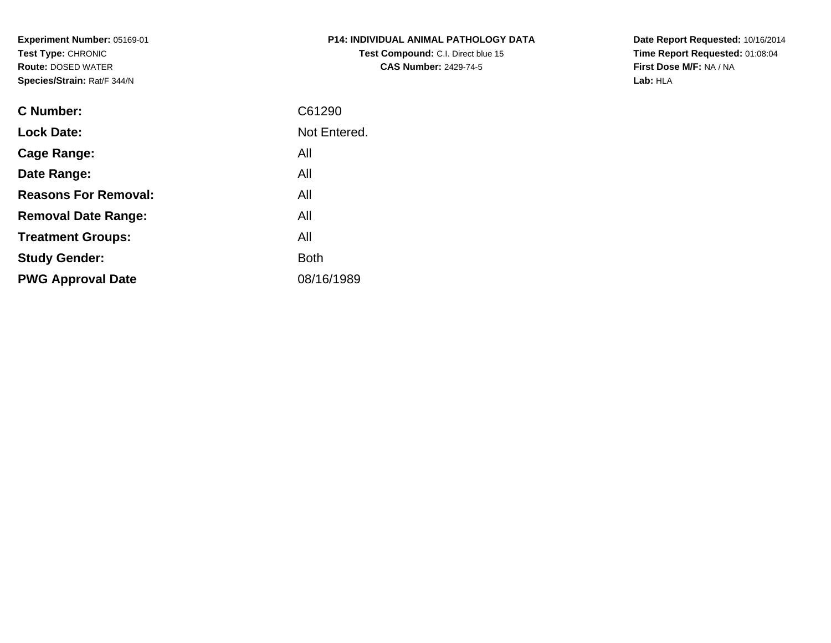**Experiment Number:** 05169-01**Test Type:** CHRONIC **Route:** DOSED WATER**Species/Strain:** Rat/F 344/N

| <b>P14: INDIVIDUAL ANIMAL PATHOLOGY DATA</b> |
|----------------------------------------------|
| <b>Test Compound: C.I. Direct blue 15</b>    |
| <b>CAS Number: 2429-74-5</b>                 |

**Date Report Requested:** 10/16/2014 **Time Report Requested:** 01:08:04**First Dose M/F:** NA / NA**Lab:** HLA

| <b>C</b> Number:            | C61290       |
|-----------------------------|--------------|
| <b>Lock Date:</b>           | Not Entered. |
| Cage Range:                 | All          |
| Date Range:                 | All          |
| <b>Reasons For Removal:</b> | All          |
| <b>Removal Date Range:</b>  | All          |
| <b>Treatment Groups:</b>    | All          |
| <b>Study Gender:</b>        | <b>Both</b>  |
| <b>PWG Approval Date</b>    | 08/16/1989   |
|                             |              |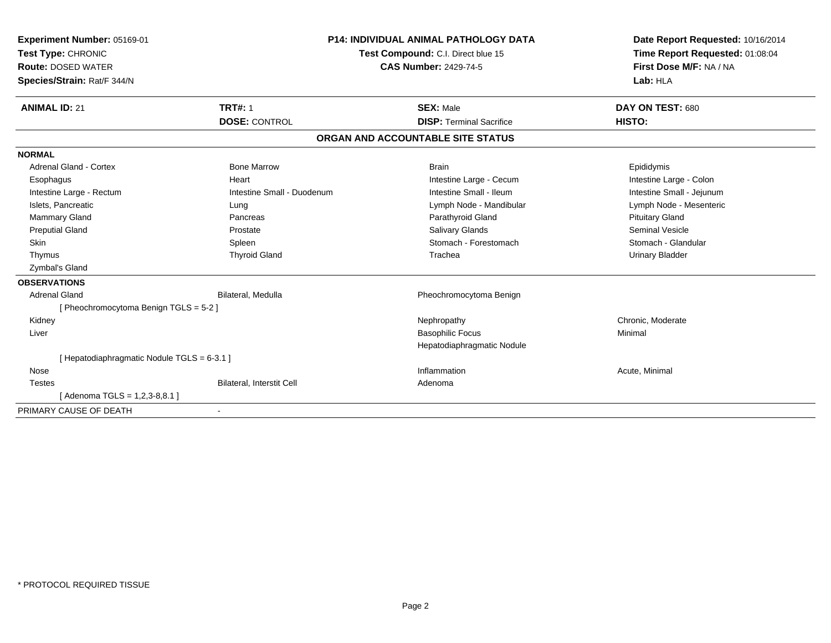| <b>Experiment Number: 05169-01</b><br>Test Type: CHRONIC<br><b>Route: DOSED WATER</b><br>Species/Strain: Rat/F 344/N |                            | <b>P14: INDIVIDUAL ANIMAL PATHOLOGY DATA</b><br>Test Compound: C.I. Direct blue 15<br><b>CAS Number: 2429-74-5</b> | Date Report Requested: 10/16/2014<br>Time Report Requested: 01:08:04<br>First Dose M/F: NA / NA<br>Lab: HLA |
|----------------------------------------------------------------------------------------------------------------------|----------------------------|--------------------------------------------------------------------------------------------------------------------|-------------------------------------------------------------------------------------------------------------|
| <b>ANIMAL ID: 21</b>                                                                                                 | <b>TRT#: 1</b>             | <b>SEX: Male</b>                                                                                                   | DAY ON TEST: 680                                                                                            |
|                                                                                                                      | <b>DOSE: CONTROL</b>       | <b>DISP: Terminal Sacrifice</b>                                                                                    | HISTO:                                                                                                      |
|                                                                                                                      |                            | ORGAN AND ACCOUNTABLE SITE STATUS                                                                                  |                                                                                                             |
| <b>NORMAL</b>                                                                                                        |                            |                                                                                                                    |                                                                                                             |
| <b>Adrenal Gland - Cortex</b>                                                                                        | <b>Bone Marrow</b>         | <b>Brain</b>                                                                                                       | Epididymis                                                                                                  |
| Esophagus                                                                                                            | Heart                      | Intestine Large - Cecum                                                                                            | Intestine Large - Colon                                                                                     |
| Intestine Large - Rectum                                                                                             | Intestine Small - Duodenum | Intestine Small - Ileum                                                                                            | Intestine Small - Jejunum                                                                                   |
| Islets. Pancreatic                                                                                                   | Lung                       | Lymph Node - Mandibular                                                                                            | Lymph Node - Mesenteric                                                                                     |
| Mammary Gland                                                                                                        | Pancreas                   | Parathyroid Gland                                                                                                  | <b>Pituitary Gland</b>                                                                                      |
| <b>Preputial Gland</b>                                                                                               | Prostate                   | <b>Salivary Glands</b>                                                                                             | Seminal Vesicle                                                                                             |
| <b>Skin</b>                                                                                                          | Spleen                     | Stomach - Forestomach                                                                                              | Stomach - Glandular                                                                                         |
| Thymus                                                                                                               | <b>Thyroid Gland</b>       | Trachea                                                                                                            | <b>Urinary Bladder</b>                                                                                      |
| Zymbal's Gland                                                                                                       |                            |                                                                                                                    |                                                                                                             |
| <b>OBSERVATIONS</b>                                                                                                  |                            |                                                                                                                    |                                                                                                             |
| <b>Adrenal Gland</b>                                                                                                 | Bilateral, Medulla         | Pheochromocytoma Benign                                                                                            |                                                                                                             |
| [Pheochromocytoma Benign TGLS = 5-2]                                                                                 |                            |                                                                                                                    |                                                                                                             |
| Kidney                                                                                                               |                            | Nephropathy                                                                                                        | Chronic, Moderate                                                                                           |
| Liver                                                                                                                |                            | <b>Basophilic Focus</b>                                                                                            | Minimal                                                                                                     |
|                                                                                                                      |                            | Hepatodiaphragmatic Nodule                                                                                         |                                                                                                             |
| [Hepatodiaphragmatic Nodule TGLS = 6-3.1]                                                                            |                            |                                                                                                                    |                                                                                                             |
| Nose                                                                                                                 |                            | Inflammation                                                                                                       | Acute, Minimal                                                                                              |
| <b>Testes</b>                                                                                                        | Bilateral, Interstit Cell  | Adenoma                                                                                                            |                                                                                                             |
| [Adenoma TGLS = 1,2,3-8,8.1]                                                                                         |                            |                                                                                                                    |                                                                                                             |
| PRIMARY CAUSE OF DEATH                                                                                               | $\blacksquare$             |                                                                                                                    |                                                                                                             |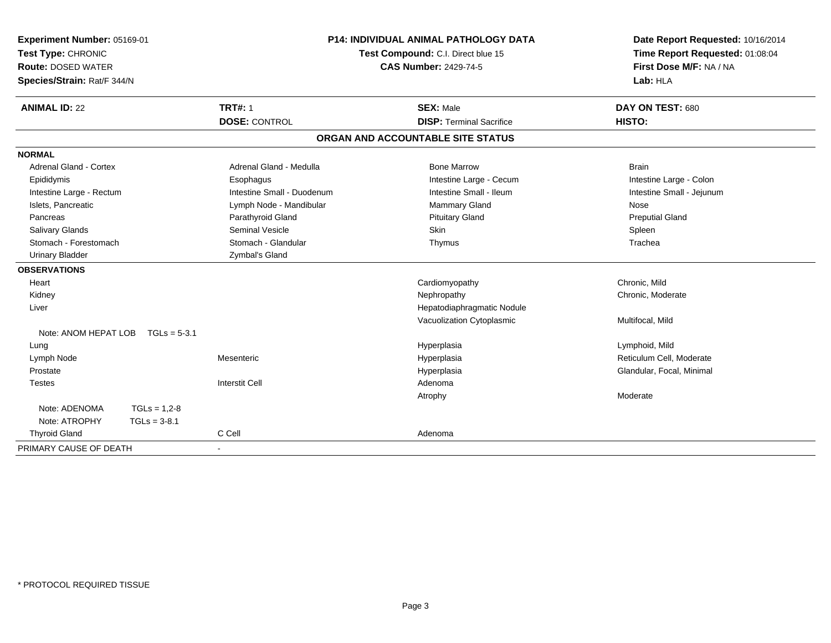| Experiment Number: 05169-01<br>Test Type: CHRONIC<br><b>Route: DOSED WATER</b><br>Species/Strain: Rat/F 344/N | <b>P14: INDIVIDUAL ANIMAL PATHOLOGY DATA</b><br>Test Compound: C.I. Direct blue 15<br><b>CAS Number: 2429-74-5</b> |                            | Date Report Requested: 10/16/2014<br>Time Report Requested: 01:08:04<br>First Dose M/F: NA / NA<br>Lab: HLA |                           |
|---------------------------------------------------------------------------------------------------------------|--------------------------------------------------------------------------------------------------------------------|----------------------------|-------------------------------------------------------------------------------------------------------------|---------------------------|
| <b>ANIMAL ID: 22</b>                                                                                          |                                                                                                                    | <b>TRT#: 1</b>             | <b>SEX: Male</b>                                                                                            | DAY ON TEST: 680          |
|                                                                                                               |                                                                                                                    | <b>DOSE: CONTROL</b>       | <b>DISP: Terminal Sacrifice</b>                                                                             | HISTO:                    |
|                                                                                                               |                                                                                                                    |                            | ORGAN AND ACCOUNTABLE SITE STATUS                                                                           |                           |
| <b>NORMAL</b>                                                                                                 |                                                                                                                    |                            |                                                                                                             |                           |
| Adrenal Gland - Cortex                                                                                        |                                                                                                                    | Adrenal Gland - Medulla    | <b>Bone Marrow</b>                                                                                          | <b>Brain</b>              |
| Epididymis                                                                                                    |                                                                                                                    | Esophagus                  | Intestine Large - Cecum                                                                                     | Intestine Large - Colon   |
| Intestine Large - Rectum                                                                                      |                                                                                                                    | Intestine Small - Duodenum | Intestine Small - Ileum                                                                                     | Intestine Small - Jejunum |
| Islets, Pancreatic                                                                                            |                                                                                                                    | Lymph Node - Mandibular    | <b>Mammary Gland</b>                                                                                        | Nose                      |
| Pancreas                                                                                                      |                                                                                                                    | Parathyroid Gland          | <b>Pituitary Gland</b>                                                                                      | <b>Preputial Gland</b>    |
| <b>Salivary Glands</b>                                                                                        |                                                                                                                    | <b>Seminal Vesicle</b>     | Skin                                                                                                        | Spleen                    |
| Stomach - Forestomach                                                                                         |                                                                                                                    | Stomach - Glandular        | Thymus                                                                                                      | Trachea                   |
| <b>Urinary Bladder</b>                                                                                        |                                                                                                                    | Zymbal's Gland             |                                                                                                             |                           |
| <b>OBSERVATIONS</b>                                                                                           |                                                                                                                    |                            |                                                                                                             |                           |
| Heart                                                                                                         |                                                                                                                    |                            | Cardiomyopathy                                                                                              | Chronic, Mild             |
| Kidney                                                                                                        |                                                                                                                    |                            | Nephropathy                                                                                                 | Chronic, Moderate         |
| Liver                                                                                                         |                                                                                                                    |                            | Hepatodiaphragmatic Nodule                                                                                  |                           |
|                                                                                                               |                                                                                                                    |                            | Vacuolization Cytoplasmic                                                                                   | Multifocal, Mild          |
| Note: ANOM HEPAT LOB                                                                                          | $TGLs = 5-3.1$                                                                                                     |                            |                                                                                                             |                           |
| Lung                                                                                                          |                                                                                                                    |                            | Hyperplasia                                                                                                 | Lymphoid, Mild            |
| Lymph Node                                                                                                    |                                                                                                                    | Mesenteric                 | Hyperplasia                                                                                                 | Reticulum Cell. Moderate  |
| Prostate                                                                                                      |                                                                                                                    |                            | Hyperplasia                                                                                                 | Glandular, Focal, Minimal |
| <b>Testes</b>                                                                                                 |                                                                                                                    | <b>Interstit Cell</b>      | Adenoma                                                                                                     |                           |
|                                                                                                               |                                                                                                                    |                            | Atrophy                                                                                                     | Moderate                  |
| Note: ADENOMA                                                                                                 | $TGLs = 1.2 - 8$                                                                                                   |                            |                                                                                                             |                           |
| Note: ATROPHY                                                                                                 | $TGLs = 3-8.1$                                                                                                     |                            |                                                                                                             |                           |
| <b>Thyroid Gland</b>                                                                                          |                                                                                                                    | C Cell                     | Adenoma                                                                                                     |                           |
| PRIMARY CAUSE OF DEATH                                                                                        |                                                                                                                    | $\blacksquare$             |                                                                                                             |                           |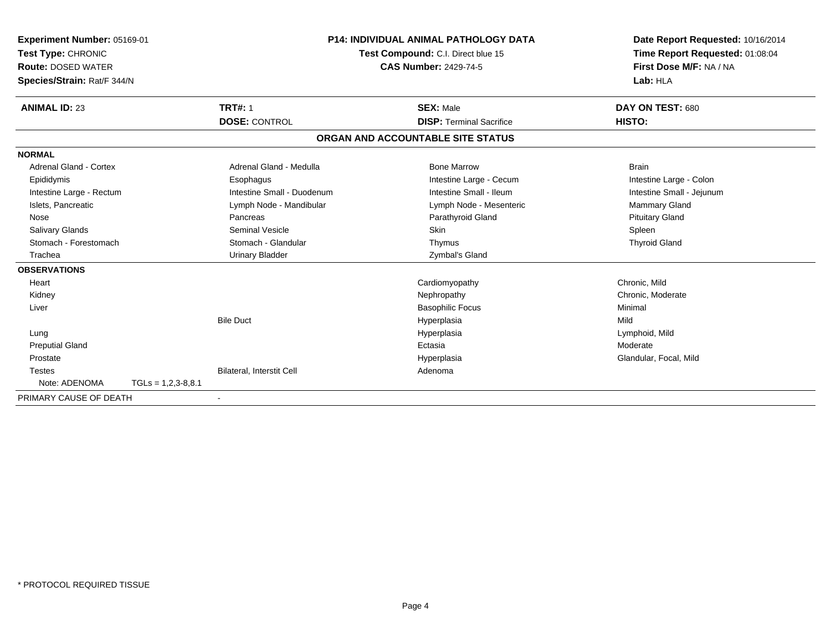| Experiment Number: 05169-01<br>Test Type: CHRONIC<br><b>Route: DOSED WATER</b><br>Species/Strain: Rat/F 344/N<br><b>ANIMAL ID: 23</b> | <b>TRT#: 1</b>             | <b>P14: INDIVIDUAL ANIMAL PATHOLOGY DATA</b><br>Test Compound: C.I. Direct blue 15<br><b>CAS Number: 2429-74-5</b><br><b>SEX: Male</b> | Date Report Requested: 10/16/2014<br>Time Report Requested: 01:08:04<br>First Dose M/F: NA / NA<br>Lab: HLA<br>DAY ON TEST: 680 |
|---------------------------------------------------------------------------------------------------------------------------------------|----------------------------|----------------------------------------------------------------------------------------------------------------------------------------|---------------------------------------------------------------------------------------------------------------------------------|
|                                                                                                                                       | <b>DOSE: CONTROL</b>       | <b>DISP: Terminal Sacrifice</b>                                                                                                        | HISTO:                                                                                                                          |
|                                                                                                                                       |                            | ORGAN AND ACCOUNTABLE SITE STATUS                                                                                                      |                                                                                                                                 |
| <b>NORMAL</b>                                                                                                                         |                            |                                                                                                                                        |                                                                                                                                 |
| Adrenal Gland - Cortex                                                                                                                | Adrenal Gland - Medulla    | <b>Bone Marrow</b>                                                                                                                     | <b>Brain</b>                                                                                                                    |
| Epididymis                                                                                                                            | Esophagus                  | Intestine Large - Cecum                                                                                                                | Intestine Large - Colon                                                                                                         |
| Intestine Large - Rectum                                                                                                              | Intestine Small - Duodenum | Intestine Small - Ileum                                                                                                                | Intestine Small - Jejunum                                                                                                       |
| Islets, Pancreatic                                                                                                                    | Lymph Node - Mandibular    | Lymph Node - Mesenteric                                                                                                                | Mammary Gland                                                                                                                   |
| Nose                                                                                                                                  | Pancreas                   | Parathyroid Gland                                                                                                                      | <b>Pituitary Gland</b>                                                                                                          |
| Salivary Glands                                                                                                                       | <b>Seminal Vesicle</b>     | <b>Skin</b>                                                                                                                            | Spleen                                                                                                                          |
| Stomach - Forestomach                                                                                                                 | Stomach - Glandular        | Thymus                                                                                                                                 | <b>Thyroid Gland</b>                                                                                                            |
| Trachea                                                                                                                               | <b>Urinary Bladder</b>     | Zymbal's Gland                                                                                                                         |                                                                                                                                 |
| <b>OBSERVATIONS</b>                                                                                                                   |                            |                                                                                                                                        |                                                                                                                                 |
| Heart                                                                                                                                 |                            | Cardiomyopathy                                                                                                                         | Chronic, Mild                                                                                                                   |
| Kidney                                                                                                                                |                            | Nephropathy                                                                                                                            | Chronic, Moderate                                                                                                               |
| Liver                                                                                                                                 |                            | <b>Basophilic Focus</b>                                                                                                                | Minimal                                                                                                                         |
|                                                                                                                                       | <b>Bile Duct</b>           | Hyperplasia                                                                                                                            | Mild                                                                                                                            |
| Lung                                                                                                                                  |                            | Hyperplasia                                                                                                                            | Lymphoid, Mild                                                                                                                  |
| <b>Preputial Gland</b>                                                                                                                |                            | Ectasia                                                                                                                                | Moderate                                                                                                                        |
| Prostate                                                                                                                              |                            | Hyperplasia                                                                                                                            | Glandular, Focal, Mild                                                                                                          |
| <b>Testes</b>                                                                                                                         | Bilateral, Interstit Cell  | Adenoma                                                                                                                                |                                                                                                                                 |
| Note: ADENOMA                                                                                                                         | $TGLs = 1,2,3-8,8.1$       |                                                                                                                                        |                                                                                                                                 |
| PRIMARY CAUSE OF DEATH                                                                                                                |                            |                                                                                                                                        |                                                                                                                                 |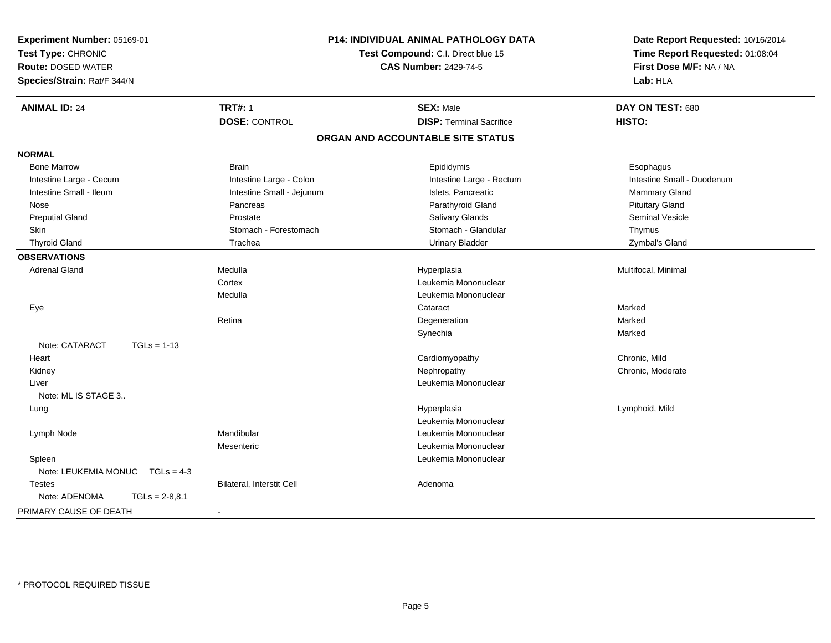| Experiment Number: 05169-01<br>Test Type: CHRONIC<br><b>Route: DOSED WATER</b><br>Species/Strain: Rat/F 344/N |                           | P14: INDIVIDUAL ANIMAL PATHOLOGY DATA<br>Test Compound: C.I. Direct blue 15<br><b>CAS Number: 2429-74-5</b> | Date Report Requested: 10/16/2014<br>Time Report Requested: 01:08:04<br>First Dose M/F: NA / NA<br>Lab: HLA |
|---------------------------------------------------------------------------------------------------------------|---------------------------|-------------------------------------------------------------------------------------------------------------|-------------------------------------------------------------------------------------------------------------|
| <b>ANIMAL ID: 24</b>                                                                                          | <b>TRT#: 1</b>            | <b>SEX: Male</b>                                                                                            | DAY ON TEST: 680                                                                                            |
|                                                                                                               | <b>DOSE: CONTROL</b>      | <b>DISP: Terminal Sacrifice</b>                                                                             | HISTO:                                                                                                      |
|                                                                                                               |                           | ORGAN AND ACCOUNTABLE SITE STATUS                                                                           |                                                                                                             |
| <b>NORMAL</b>                                                                                                 |                           |                                                                                                             |                                                                                                             |
| <b>Bone Marrow</b>                                                                                            | <b>Brain</b>              | Epididymis                                                                                                  | Esophagus                                                                                                   |
| Intestine Large - Cecum                                                                                       | Intestine Large - Colon   | Intestine Large - Rectum                                                                                    | Intestine Small - Duodenum                                                                                  |
| Intestine Small - Ileum                                                                                       | Intestine Small - Jejunum | Islets, Pancreatic                                                                                          | <b>Mammary Gland</b>                                                                                        |
| Nose                                                                                                          | Pancreas                  | Parathyroid Gland                                                                                           | <b>Pituitary Gland</b>                                                                                      |
| <b>Preputial Gland</b>                                                                                        | Prostate                  | <b>Salivary Glands</b>                                                                                      | <b>Seminal Vesicle</b>                                                                                      |
| Skin                                                                                                          | Stomach - Forestomach     | Stomach - Glandular                                                                                         | Thymus                                                                                                      |
| <b>Thyroid Gland</b>                                                                                          | Trachea                   | <b>Urinary Bladder</b>                                                                                      | Zymbal's Gland                                                                                              |
| <b>OBSERVATIONS</b>                                                                                           |                           |                                                                                                             |                                                                                                             |
| <b>Adrenal Gland</b>                                                                                          | Medulla                   | Hyperplasia                                                                                                 | Multifocal, Minimal                                                                                         |
|                                                                                                               | Cortex                    | Leukemia Mononuclear                                                                                        |                                                                                                             |
|                                                                                                               | Medulla                   | Leukemia Mononuclear                                                                                        |                                                                                                             |
| Eye                                                                                                           |                           | Cataract                                                                                                    | Marked                                                                                                      |
|                                                                                                               | Retina                    | Degeneration                                                                                                | Marked                                                                                                      |
|                                                                                                               |                           | Synechia                                                                                                    | Marked                                                                                                      |
| Note: CATARACT<br>$TGLs = 1-13$                                                                               |                           |                                                                                                             |                                                                                                             |
| Heart                                                                                                         |                           | Cardiomyopathy                                                                                              | Chronic, Mild                                                                                               |
| Kidney                                                                                                        |                           | Nephropathy                                                                                                 | Chronic, Moderate                                                                                           |
| Liver                                                                                                         |                           | Leukemia Mononuclear                                                                                        |                                                                                                             |
| Note: ML IS STAGE 3                                                                                           |                           |                                                                                                             |                                                                                                             |
| Lung                                                                                                          |                           | Hyperplasia                                                                                                 | Lymphoid, Mild                                                                                              |
|                                                                                                               |                           | Leukemia Mononuclear                                                                                        |                                                                                                             |
| Lymph Node                                                                                                    | Mandibular                | Leukemia Mononuclear                                                                                        |                                                                                                             |
|                                                                                                               | Mesenteric                | Leukemia Mononuclear                                                                                        |                                                                                                             |
| Spleen                                                                                                        |                           | Leukemia Mononuclear                                                                                        |                                                                                                             |
| Note: LEUKEMIA MONUC TGLs = 4-3                                                                               |                           |                                                                                                             |                                                                                                             |
| <b>Testes</b>                                                                                                 | Bilateral, Interstit Cell | Adenoma                                                                                                     |                                                                                                             |
| Note: ADENOMA<br>$TGLs = 2-8,8.1$                                                                             |                           |                                                                                                             |                                                                                                             |
| PRIMARY CAUSE OF DEATH                                                                                        |                           |                                                                                                             |                                                                                                             |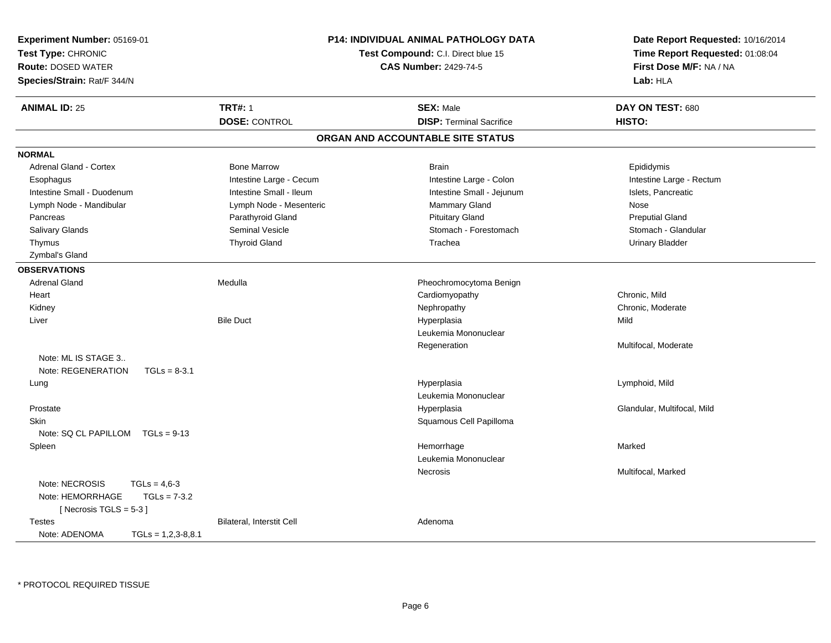| Experiment Number: 05169-01<br>Test Type: CHRONIC<br><b>Route: DOSED WATER</b><br>Species/Strain: Rat/F 344/N |                                        | <b>P14: INDIVIDUAL ANIMAL PATHOLOGY DATA</b><br>Test Compound: C.I. Direct blue 15<br><b>CAS Number: 2429-74-5</b> | Date Report Requested: 10/16/2014<br>Time Report Requested: 01:08:04<br>First Dose M/F: NA / NA<br>Lab: HLA |
|---------------------------------------------------------------------------------------------------------------|----------------------------------------|--------------------------------------------------------------------------------------------------------------------|-------------------------------------------------------------------------------------------------------------|
| <b>ANIMAL ID: 25</b>                                                                                          | <b>TRT#: 1</b><br><b>DOSE: CONTROL</b> | <b>SEX: Male</b><br><b>DISP: Terminal Sacrifice</b>                                                                | DAY ON TEST: 680<br>HISTO:                                                                                  |
|                                                                                                               |                                        | ORGAN AND ACCOUNTABLE SITE STATUS                                                                                  |                                                                                                             |
| <b>NORMAL</b>                                                                                                 |                                        |                                                                                                                    |                                                                                                             |
| Adrenal Gland - Cortex                                                                                        | <b>Bone Marrow</b>                     | <b>Brain</b>                                                                                                       | Epididymis                                                                                                  |
| Esophagus                                                                                                     | Intestine Large - Cecum                | Intestine Large - Colon                                                                                            | Intestine Large - Rectum                                                                                    |
| Intestine Small - Duodenum                                                                                    | Intestine Small - Ileum                | Intestine Small - Jejunum                                                                                          | Islets, Pancreatic                                                                                          |
| Lymph Node - Mandibular                                                                                       | Lymph Node - Mesenteric                | Mammary Gland                                                                                                      | Nose                                                                                                        |
| Pancreas                                                                                                      | Parathyroid Gland                      | <b>Pituitary Gland</b>                                                                                             | <b>Preputial Gland</b>                                                                                      |
| Salivary Glands                                                                                               | <b>Seminal Vesicle</b>                 | Stomach - Forestomach                                                                                              | Stomach - Glandular                                                                                         |
| Thymus                                                                                                        | <b>Thyroid Gland</b>                   | Trachea                                                                                                            | <b>Urinary Bladder</b>                                                                                      |
| Zymbal's Gland                                                                                                |                                        |                                                                                                                    |                                                                                                             |
| <b>OBSERVATIONS</b>                                                                                           |                                        |                                                                                                                    |                                                                                                             |
| <b>Adrenal Gland</b>                                                                                          | Medulla                                | Pheochromocytoma Benign                                                                                            |                                                                                                             |
| Heart                                                                                                         |                                        | Cardiomyopathy                                                                                                     | Chronic, Mild                                                                                               |
| Kidney                                                                                                        |                                        | Nephropathy                                                                                                        | Chronic, Moderate                                                                                           |
| Liver                                                                                                         | <b>Bile Duct</b>                       | Hyperplasia                                                                                                        | Mild                                                                                                        |
|                                                                                                               |                                        | Leukemia Mononuclear                                                                                               |                                                                                                             |
|                                                                                                               |                                        | Regeneration                                                                                                       | Multifocal, Moderate                                                                                        |
| Note: ML IS STAGE 3                                                                                           |                                        |                                                                                                                    |                                                                                                             |
| Note: REGENERATION<br>$TGLs = 8-3.1$                                                                          |                                        |                                                                                                                    |                                                                                                             |
| Lung                                                                                                          |                                        | Hyperplasia                                                                                                        | Lymphoid, Mild                                                                                              |
|                                                                                                               |                                        | Leukemia Mononuclear                                                                                               |                                                                                                             |
| Prostate                                                                                                      |                                        | Hyperplasia                                                                                                        | Glandular, Multifocal, Mild                                                                                 |
| <b>Skin</b>                                                                                                   |                                        | Squamous Cell Papilloma                                                                                            |                                                                                                             |
| Note: $SQ CL PAPILLOM TGLS = 9-13$                                                                            |                                        |                                                                                                                    |                                                                                                             |
| Spleen                                                                                                        |                                        | Hemorrhage                                                                                                         | Marked                                                                                                      |
|                                                                                                               |                                        | Leukemia Mononuclear                                                                                               |                                                                                                             |
|                                                                                                               |                                        | Necrosis                                                                                                           | Multifocal, Marked                                                                                          |
| Note: NECROSIS<br>$TGLs = 4.6-3$                                                                              |                                        |                                                                                                                    |                                                                                                             |
| Note: HEMORRHAGE<br>$TGLs = 7-3.2$                                                                            |                                        |                                                                                                                    |                                                                                                             |
| [Necrosis TGLS = $5-3$ ]                                                                                      |                                        |                                                                                                                    |                                                                                                             |
| <b>Testes</b>                                                                                                 | Bilateral, Interstit Cell              | Adenoma                                                                                                            |                                                                                                             |
| Note: ADENOMA<br>$TGLs = 1,2,3-8,8.1$                                                                         |                                        |                                                                                                                    |                                                                                                             |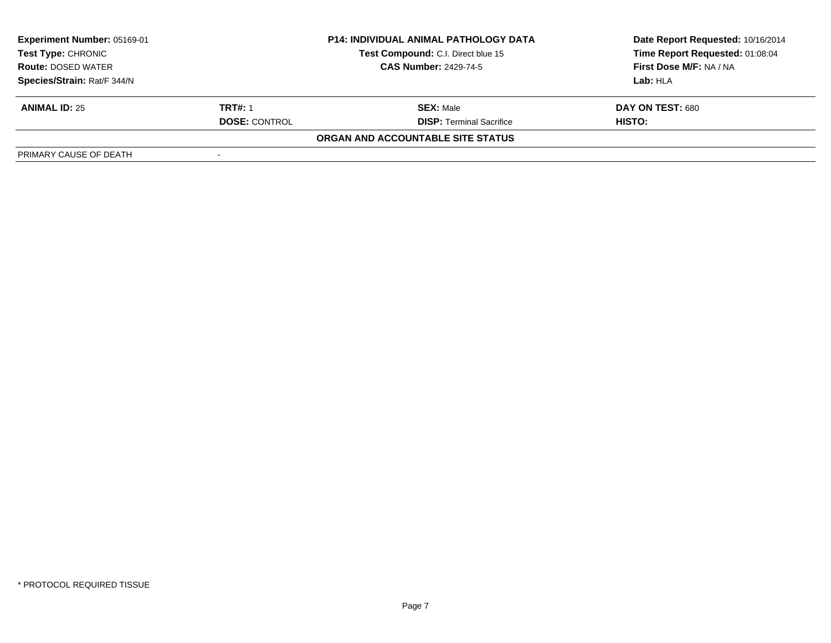| <b>Experiment Number: 05169-01</b><br>Test Type: CHRONIC |                              | <b>P14: INDIVIDUAL ANIMAL PATHOLOGY DATA</b> | Date Report Requested: 10/16/2014 |
|----------------------------------------------------------|------------------------------|----------------------------------------------|-----------------------------------|
|                                                          |                              | Test Compound: C.I. Direct blue 15           | Time Report Requested: 01:08:04   |
| <b>Route: DOSED WATER</b>                                | <b>CAS Number: 2429-74-5</b> |                                              | First Dose M/F: NA / NA           |
| Species/Strain: Rat/F 344/N                              |                              |                                              | Lab: HLA                          |
| <b>ANIMAL ID: 25</b>                                     | <b>TRT#: 1</b>               | <b>SEX: Male</b>                             | DAY ON TEST: 680                  |
|                                                          | <b>DOSE: CONTROL</b>         | <b>DISP:</b> Terminal Sacrifice              | HISTO:                            |
|                                                          |                              | ORGAN AND ACCOUNTABLE SITE STATUS            |                                   |
| PRIMARY CAUSE OF DEATH                                   |                              |                                              |                                   |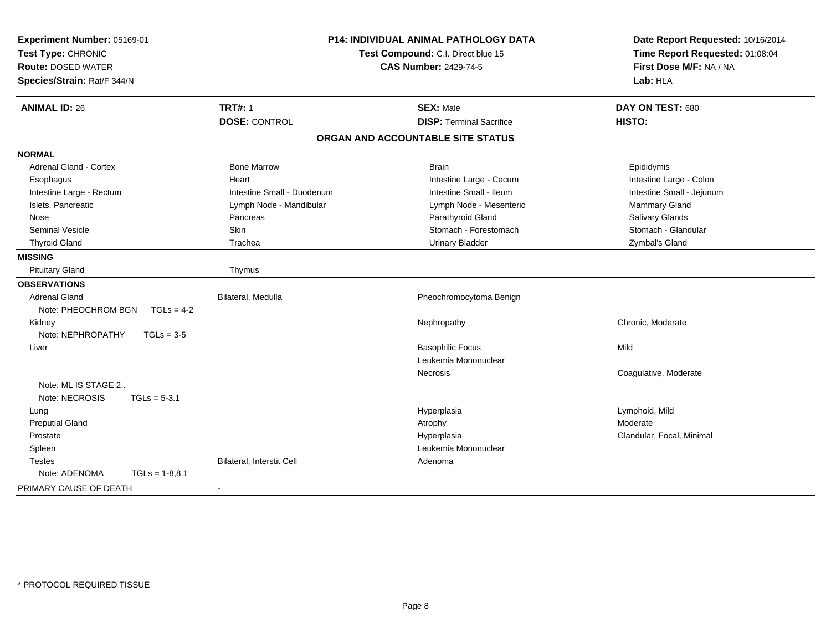| Experiment Number: 05169-01<br>Test Type: CHRONIC<br><b>Route: DOSED WATER</b><br>Species/Strain: Rat/F 344/N |                            | P14: INDIVIDUAL ANIMAL PATHOLOGY DATA<br>Date Report Requested: 10/16/2014<br>Time Report Requested: 01:08:04<br>Test Compound: C.I. Direct blue 15<br>First Dose M/F: NA / NA<br><b>CAS Number: 2429-74-5</b><br>Lab: HLA |                           |
|---------------------------------------------------------------------------------------------------------------|----------------------------|----------------------------------------------------------------------------------------------------------------------------------------------------------------------------------------------------------------------------|---------------------------|
| <b>ANIMAL ID: 26</b>                                                                                          | <b>TRT#: 1</b>             | <b>SEX: Male</b>                                                                                                                                                                                                           | DAY ON TEST: 680          |
|                                                                                                               | <b>DOSE: CONTROL</b>       | <b>DISP: Terminal Sacrifice</b>                                                                                                                                                                                            | HISTO:                    |
|                                                                                                               |                            | ORGAN AND ACCOUNTABLE SITE STATUS                                                                                                                                                                                          |                           |
| <b>NORMAL</b>                                                                                                 |                            |                                                                                                                                                                                                                            |                           |
| <b>Adrenal Gland - Cortex</b>                                                                                 | <b>Bone Marrow</b>         | <b>Brain</b>                                                                                                                                                                                                               | Epididymis                |
| Esophagus                                                                                                     | Heart                      | Intestine Large - Cecum                                                                                                                                                                                                    | Intestine Large - Colon   |
| Intestine Large - Rectum                                                                                      | Intestine Small - Duodenum | Intestine Small - Ileum                                                                                                                                                                                                    | Intestine Small - Jejunum |
| Islets, Pancreatic                                                                                            | Lymph Node - Mandibular    | Lymph Node - Mesenteric                                                                                                                                                                                                    | Mammary Gland             |
| Nose                                                                                                          | Pancreas                   | Parathyroid Gland                                                                                                                                                                                                          | Salivary Glands           |
| <b>Seminal Vesicle</b>                                                                                        | Skin                       | Stomach - Forestomach                                                                                                                                                                                                      | Stomach - Glandular       |
| <b>Thyroid Gland</b>                                                                                          | Trachea                    | <b>Urinary Bladder</b>                                                                                                                                                                                                     | Zymbal's Gland            |
| <b>MISSING</b>                                                                                                |                            |                                                                                                                                                                                                                            |                           |
| <b>Pituitary Gland</b>                                                                                        | Thymus                     |                                                                                                                                                                                                                            |                           |
| <b>OBSERVATIONS</b>                                                                                           |                            |                                                                                                                                                                                                                            |                           |
| Adrenal Gland                                                                                                 | Bilateral, Medulla         | Pheochromocytoma Benign                                                                                                                                                                                                    |                           |
| Note: PHEOCHROM BGN<br>$TGLs = 4-2$                                                                           |                            |                                                                                                                                                                                                                            |                           |
| Kidney                                                                                                        |                            | Nephropathy                                                                                                                                                                                                                | Chronic, Moderate         |
| Note: NEPHROPATHY<br>$TGLs = 3-5$                                                                             |                            |                                                                                                                                                                                                                            |                           |
| Liver                                                                                                         |                            | <b>Basophilic Focus</b>                                                                                                                                                                                                    | Mild                      |
|                                                                                                               |                            | Leukemia Mononuclear                                                                                                                                                                                                       |                           |
|                                                                                                               |                            | Necrosis                                                                                                                                                                                                                   | Coagulative, Moderate     |
| Note: ML IS STAGE 2                                                                                           |                            |                                                                                                                                                                                                                            |                           |
| Note: NECROSIS<br>$TGLs = 5-3.1$                                                                              |                            |                                                                                                                                                                                                                            |                           |
| Lung                                                                                                          |                            | Hyperplasia                                                                                                                                                                                                                | Lymphoid, Mild            |
| <b>Preputial Gland</b>                                                                                        |                            | Atrophy                                                                                                                                                                                                                    | Moderate                  |
| Prostate                                                                                                      |                            | Hyperplasia                                                                                                                                                                                                                | Glandular, Focal, Minimal |
| Spleen                                                                                                        |                            | Leukemia Mononuclear                                                                                                                                                                                                       |                           |
| <b>Testes</b>                                                                                                 | Bilateral, Interstit Cell  | Adenoma                                                                                                                                                                                                                    |                           |
| Note: ADENOMA<br>$TGLs = 1-8.8.1$                                                                             |                            |                                                                                                                                                                                                                            |                           |
| PRIMARY CAUSE OF DEATH                                                                                        |                            |                                                                                                                                                                                                                            |                           |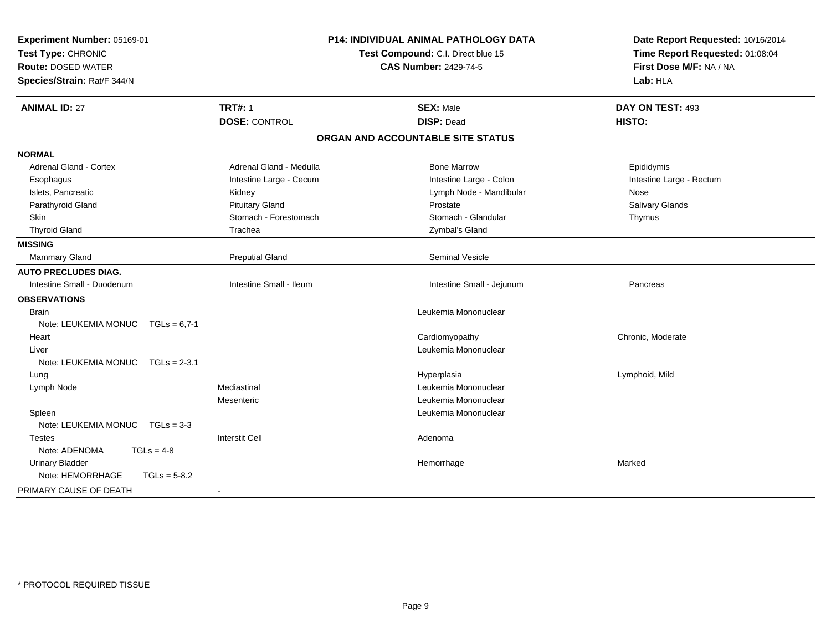| Experiment Number: 05169-01<br>Test Type: CHRONIC<br><b>Route: DOSED WATER</b><br>Species/Strain: Rat/F 344/N | <b>P14: INDIVIDUAL ANIMAL PATHOLOGY DATA</b><br>Test Compound: C.I. Direct blue 15<br><b>CAS Number: 2429-74-5</b> |                                   | Date Report Requested: 10/16/2014<br>Time Report Requested: 01:08:04<br>First Dose M/F: NA / NA<br>Lab: HLA |  |
|---------------------------------------------------------------------------------------------------------------|--------------------------------------------------------------------------------------------------------------------|-----------------------------------|-------------------------------------------------------------------------------------------------------------|--|
| <b>ANIMAL ID: 27</b>                                                                                          | <b>TRT#: 1</b>                                                                                                     | <b>SEX: Male</b>                  | DAY ON TEST: 493                                                                                            |  |
|                                                                                                               | <b>DOSE: CONTROL</b>                                                                                               | <b>DISP: Dead</b>                 | HISTO:                                                                                                      |  |
|                                                                                                               |                                                                                                                    | ORGAN AND ACCOUNTABLE SITE STATUS |                                                                                                             |  |
| <b>NORMAL</b>                                                                                                 |                                                                                                                    |                                   |                                                                                                             |  |
| <b>Adrenal Gland - Cortex</b>                                                                                 | Adrenal Gland - Medulla                                                                                            | <b>Bone Marrow</b>                | Epididymis                                                                                                  |  |
| Esophagus                                                                                                     | Intestine Large - Cecum                                                                                            | Intestine Large - Colon           | Intestine Large - Rectum                                                                                    |  |
| Islets, Pancreatic                                                                                            | Kidney                                                                                                             | Lymph Node - Mandibular           | Nose                                                                                                        |  |
| Parathyroid Gland                                                                                             | <b>Pituitary Gland</b>                                                                                             | Prostate                          | Salivary Glands                                                                                             |  |
| <b>Skin</b>                                                                                                   | Stomach - Forestomach                                                                                              | Stomach - Glandular               | Thymus                                                                                                      |  |
| <b>Thyroid Gland</b>                                                                                          | Trachea                                                                                                            | Zymbal's Gland                    |                                                                                                             |  |
| <b>MISSING</b>                                                                                                |                                                                                                                    |                                   |                                                                                                             |  |
| Mammary Gland                                                                                                 | <b>Preputial Gland</b>                                                                                             | Seminal Vesicle                   |                                                                                                             |  |
| <b>AUTO PRECLUDES DIAG.</b>                                                                                   |                                                                                                                    |                                   |                                                                                                             |  |
| Intestine Small - Duodenum                                                                                    | Intestine Small - Ileum                                                                                            | Intestine Small - Jejunum         | Pancreas                                                                                                    |  |
| <b>OBSERVATIONS</b>                                                                                           |                                                                                                                    |                                   |                                                                                                             |  |
| <b>Brain</b>                                                                                                  |                                                                                                                    | Leukemia Mononuclear              |                                                                                                             |  |
| Note: LEUKEMIA MONUC TGLs = 6,7-1                                                                             |                                                                                                                    |                                   |                                                                                                             |  |
| Heart                                                                                                         |                                                                                                                    | Cardiomyopathy                    | Chronic, Moderate                                                                                           |  |
| Liver                                                                                                         |                                                                                                                    | Leukemia Mononuclear              |                                                                                                             |  |
| Note: LEUKEMIA MONUC TGLs = 2-3.1                                                                             |                                                                                                                    |                                   |                                                                                                             |  |
| Lung                                                                                                          |                                                                                                                    | Hyperplasia                       | Lymphoid, Mild                                                                                              |  |
| Lymph Node                                                                                                    | Mediastinal                                                                                                        | Leukemia Mononuclear              |                                                                                                             |  |
|                                                                                                               | Mesenteric                                                                                                         | Leukemia Mononuclear              |                                                                                                             |  |
| Spleen                                                                                                        |                                                                                                                    | Leukemia Mononuclear              |                                                                                                             |  |
| Note: LEUKEMIA MONUC TGLs = 3-3                                                                               |                                                                                                                    |                                   |                                                                                                             |  |
| Testes                                                                                                        | <b>Interstit Cell</b>                                                                                              | Adenoma                           |                                                                                                             |  |
| Note: ADENOMA<br>$TGLs = 4-8$                                                                                 |                                                                                                                    |                                   |                                                                                                             |  |
| <b>Urinary Bladder</b>                                                                                        |                                                                                                                    | Hemorrhage                        | Marked                                                                                                      |  |
| Note: HEMORRHAGE<br>$TGLs = 5-8.2$                                                                            |                                                                                                                    |                                   |                                                                                                             |  |
| PRIMARY CAUSE OF DEATH                                                                                        | $\sim$                                                                                                             |                                   |                                                                                                             |  |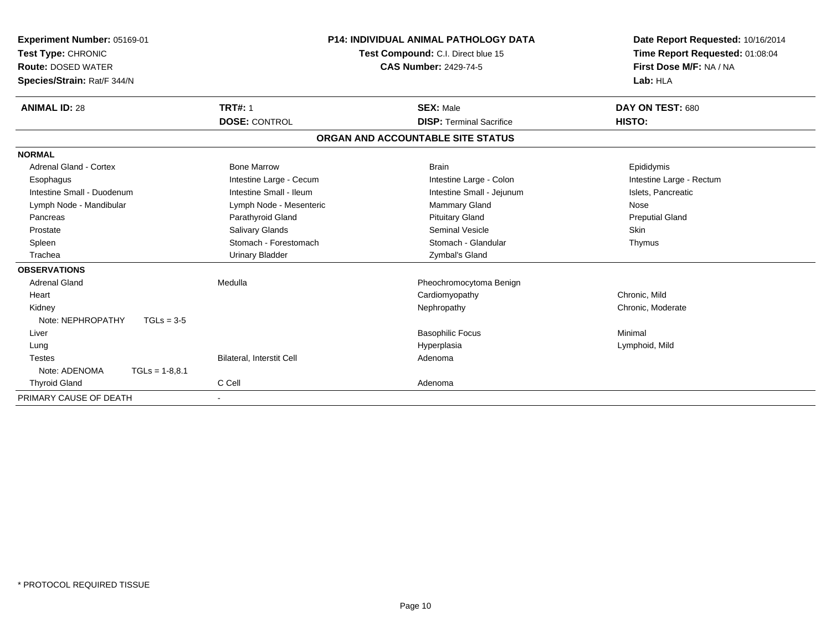| Experiment Number: 05169-01<br>Test Type: CHRONIC |                           | <b>P14: INDIVIDUAL ANIMAL PATHOLOGY DATA</b><br>Test Compound: C.I. Direct blue 15 | Date Report Requested: 10/16/2014<br>Time Report Requested: 01:08:04 |
|---------------------------------------------------|---------------------------|------------------------------------------------------------------------------------|----------------------------------------------------------------------|
| <b>Route: DOSED WATER</b>                         |                           | <b>CAS Number: 2429-74-5</b>                                                       | First Dose M/F: NA / NA                                              |
| Species/Strain: Rat/F 344/N                       |                           |                                                                                    | Lab: HLA                                                             |
| <b>ANIMAL ID: 28</b>                              | <b>TRT#: 1</b>            | <b>SEX: Male</b>                                                                   | DAY ON TEST: 680                                                     |
|                                                   | <b>DOSE: CONTROL</b>      | <b>DISP: Terminal Sacrifice</b>                                                    | HISTO:                                                               |
|                                                   |                           | ORGAN AND ACCOUNTABLE SITE STATUS                                                  |                                                                      |
| <b>NORMAL</b>                                     |                           |                                                                                    |                                                                      |
| Adrenal Gland - Cortex                            | <b>Bone Marrow</b>        | <b>Brain</b>                                                                       | Epididymis                                                           |
| Esophagus                                         | Intestine Large - Cecum   | Intestine Large - Colon                                                            | Intestine Large - Rectum                                             |
| Intestine Small - Duodenum                        | Intestine Small - Ileum   | Intestine Small - Jejunum                                                          | Islets, Pancreatic                                                   |
| Lymph Node - Mandibular                           | Lymph Node - Mesenteric   | Mammary Gland                                                                      | Nose                                                                 |
| Pancreas                                          | Parathyroid Gland         | <b>Pituitary Gland</b>                                                             | <b>Preputial Gland</b>                                               |
| Prostate                                          | <b>Salivary Glands</b>    | Seminal Vesicle                                                                    | <b>Skin</b>                                                          |
| Spleen                                            | Stomach - Forestomach     | Stomach - Glandular                                                                | Thymus                                                               |
| Trachea                                           | <b>Urinary Bladder</b>    | Zymbal's Gland                                                                     |                                                                      |
| <b>OBSERVATIONS</b>                               |                           |                                                                                    |                                                                      |
| <b>Adrenal Gland</b>                              | Medulla                   | Pheochromocytoma Benign                                                            |                                                                      |
| Heart                                             |                           | Cardiomyopathy                                                                     | Chronic, Mild                                                        |
| Kidney                                            |                           | Nephropathy                                                                        | Chronic, Moderate                                                    |
| Note: NEPHROPATHY<br>$TGLs = 3-5$                 |                           |                                                                                    |                                                                      |
| Liver                                             |                           | <b>Basophilic Focus</b>                                                            | Minimal                                                              |
| Lung                                              |                           | Hyperplasia                                                                        | Lymphoid, Mild                                                       |
| <b>Testes</b>                                     | Bilateral, Interstit Cell | Adenoma                                                                            |                                                                      |
| Note: ADENOMA<br>$TGLs = 1-8.8.1$                 |                           |                                                                                    |                                                                      |
| <b>Thyroid Gland</b>                              | C Cell                    | Adenoma                                                                            |                                                                      |
| PRIMARY CAUSE OF DEATH                            | $\blacksquare$            |                                                                                    |                                                                      |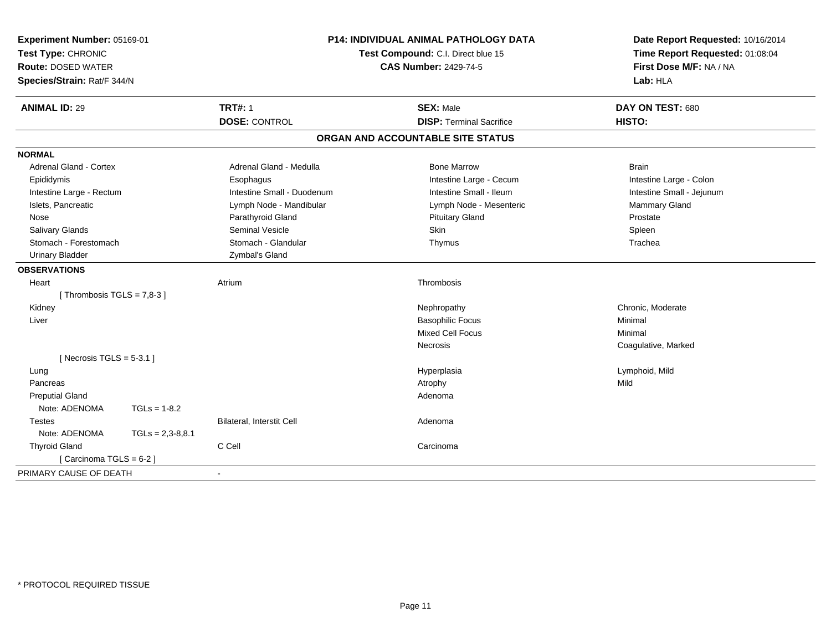| Experiment Number: 05169-01<br>Test Type: CHRONIC<br><b>Route: DOSED WATER</b><br>Species/Strain: Rat/F 344/N |                    | P14: INDIVIDUAL ANIMAL PATHOLOGY DATA<br>Test Compound: C.I. Direct blue 15<br><b>CAS Number: 2429-74-5</b> |                                   | Date Report Requested: 10/16/2014<br>Time Report Requested: 01:08:04<br>First Dose M/F: NA / NA<br>Lab: HLA |  |
|---------------------------------------------------------------------------------------------------------------|--------------------|-------------------------------------------------------------------------------------------------------------|-----------------------------------|-------------------------------------------------------------------------------------------------------------|--|
| <b>ANIMAL ID: 29</b>                                                                                          |                    | <b>TRT#: 1</b>                                                                                              | <b>SEX: Male</b>                  | DAY ON TEST: 680                                                                                            |  |
|                                                                                                               |                    | <b>DOSE: CONTROL</b>                                                                                        | <b>DISP: Terminal Sacrifice</b>   | HISTO:                                                                                                      |  |
|                                                                                                               |                    |                                                                                                             | ORGAN AND ACCOUNTABLE SITE STATUS |                                                                                                             |  |
| <b>NORMAL</b>                                                                                                 |                    |                                                                                                             |                                   |                                                                                                             |  |
| <b>Adrenal Gland - Cortex</b>                                                                                 |                    | Adrenal Gland - Medulla                                                                                     | <b>Bone Marrow</b>                | <b>Brain</b>                                                                                                |  |
| Epididymis                                                                                                    |                    | Esophagus                                                                                                   | Intestine Large - Cecum           | Intestine Large - Colon                                                                                     |  |
| Intestine Large - Rectum                                                                                      |                    | Intestine Small - Duodenum                                                                                  | Intestine Small - Ileum           | Intestine Small - Jejunum                                                                                   |  |
| Islets, Pancreatic                                                                                            |                    | Lymph Node - Mandibular                                                                                     | Lymph Node - Mesenteric           | Mammary Gland                                                                                               |  |
| Nose                                                                                                          |                    | Parathyroid Gland                                                                                           | <b>Pituitary Gland</b>            | Prostate                                                                                                    |  |
| Salivary Glands                                                                                               |                    | <b>Seminal Vesicle</b>                                                                                      | Skin                              | Spleen                                                                                                      |  |
| Stomach - Forestomach                                                                                         |                    | Stomach - Glandular                                                                                         | Thymus                            | Trachea                                                                                                     |  |
| <b>Urinary Bladder</b>                                                                                        |                    | Zymbal's Gland                                                                                              |                                   |                                                                                                             |  |
| <b>OBSERVATIONS</b>                                                                                           |                    |                                                                                                             |                                   |                                                                                                             |  |
| Heart                                                                                                         |                    | Atrium                                                                                                      | Thrombosis                        |                                                                                                             |  |
| [Thrombosis TGLS = $7,8-3$ ]                                                                                  |                    |                                                                                                             |                                   |                                                                                                             |  |
| Kidney                                                                                                        |                    |                                                                                                             | Nephropathy                       | Chronic, Moderate                                                                                           |  |
| Liver                                                                                                         |                    |                                                                                                             | <b>Basophilic Focus</b>           | Minimal                                                                                                     |  |
|                                                                                                               |                    |                                                                                                             | <b>Mixed Cell Focus</b>           | Minimal                                                                                                     |  |
|                                                                                                               |                    |                                                                                                             | Necrosis                          | Coagulative, Marked                                                                                         |  |
| [Necrosis TGLS = $5-3.1$ ]                                                                                    |                    |                                                                                                             |                                   |                                                                                                             |  |
| Lung                                                                                                          |                    |                                                                                                             | Hyperplasia                       | Lymphoid, Mild                                                                                              |  |
| Pancreas                                                                                                      |                    |                                                                                                             | Atrophy                           | Mild                                                                                                        |  |
| <b>Preputial Gland</b>                                                                                        |                    |                                                                                                             | Adenoma                           |                                                                                                             |  |
| Note: ADENOMA                                                                                                 | $TGLs = 1-8.2$     |                                                                                                             |                                   |                                                                                                             |  |
| <b>Testes</b>                                                                                                 |                    | <b>Bilateral, Interstit Cell</b>                                                                            | Adenoma                           |                                                                                                             |  |
| Note: ADENOMA                                                                                                 | $TGLs = 2,3-8,8.1$ |                                                                                                             |                                   |                                                                                                             |  |
| <b>Thyroid Gland</b>                                                                                          |                    | C Cell                                                                                                      | Carcinoma                         |                                                                                                             |  |
| [ Carcinoma TGLS = $6-2$ ]                                                                                    |                    |                                                                                                             |                                   |                                                                                                             |  |
| PRIMARY CAUSE OF DEATH                                                                                        |                    |                                                                                                             |                                   |                                                                                                             |  |
|                                                                                                               |                    |                                                                                                             |                                   |                                                                                                             |  |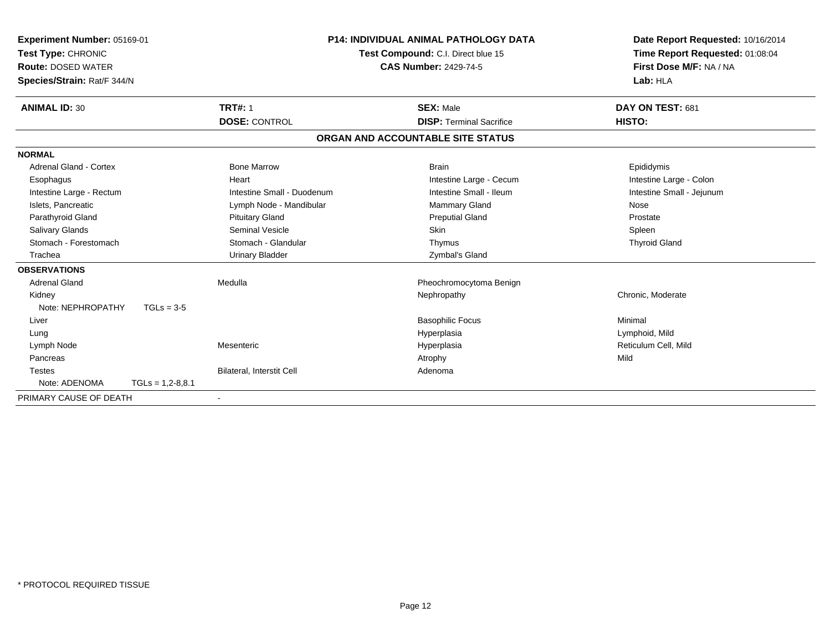| <b>Experiment Number: 05169-01</b><br>Test Type: CHRONIC<br><b>Route: DOSED WATER</b><br>Species/Strain: Rat/F 344/N |                    | <b>P14: INDIVIDUAL ANIMAL PATHOLOGY DATA</b><br>Test Compound: C.I. Direct blue 15<br><b>CAS Number: 2429-74-5</b> |  | Date Report Requested: 10/16/2014<br>Time Report Requested: 01:08:04<br>First Dose M/F: NA / NA<br>Lab: HLA |                           |
|----------------------------------------------------------------------------------------------------------------------|--------------------|--------------------------------------------------------------------------------------------------------------------|--|-------------------------------------------------------------------------------------------------------------|---------------------------|
| <b>ANIMAL ID: 30</b>                                                                                                 |                    | <b>TRT#: 1</b>                                                                                                     |  | <b>SEX: Male</b>                                                                                            | DAY ON TEST: 681          |
|                                                                                                                      |                    | <b>DOSE: CONTROL</b>                                                                                               |  | <b>DISP: Terminal Sacrifice</b>                                                                             | HISTO:                    |
|                                                                                                                      |                    |                                                                                                                    |  | ORGAN AND ACCOUNTABLE SITE STATUS                                                                           |                           |
| <b>NORMAL</b>                                                                                                        |                    |                                                                                                                    |  |                                                                                                             |                           |
| Adrenal Gland - Cortex                                                                                               |                    | <b>Bone Marrow</b>                                                                                                 |  | <b>Brain</b>                                                                                                | Epididymis                |
| Esophagus                                                                                                            |                    | Heart                                                                                                              |  | Intestine Large - Cecum                                                                                     | Intestine Large - Colon   |
| Intestine Large - Rectum                                                                                             |                    | Intestine Small - Duodenum                                                                                         |  | Intestine Small - Ileum                                                                                     | Intestine Small - Jejunum |
| Islets, Pancreatic                                                                                                   |                    | Lymph Node - Mandibular                                                                                            |  | <b>Mammary Gland</b>                                                                                        | Nose                      |
| Parathyroid Gland                                                                                                    |                    | <b>Pituitary Gland</b>                                                                                             |  | <b>Preputial Gland</b>                                                                                      | Prostate                  |
| Salivary Glands                                                                                                      |                    | Seminal Vesicle                                                                                                    |  | Skin                                                                                                        | Spleen                    |
| Stomach - Forestomach                                                                                                |                    | Stomach - Glandular                                                                                                |  | Thymus                                                                                                      | <b>Thyroid Gland</b>      |
| Trachea                                                                                                              |                    | <b>Urinary Bladder</b>                                                                                             |  | Zymbal's Gland                                                                                              |                           |
| <b>OBSERVATIONS</b>                                                                                                  |                    |                                                                                                                    |  |                                                                                                             |                           |
| <b>Adrenal Gland</b>                                                                                                 |                    | Medulla                                                                                                            |  | Pheochromocytoma Benign                                                                                     |                           |
| Kidney                                                                                                               |                    |                                                                                                                    |  | Nephropathy                                                                                                 | Chronic, Moderate         |
| Note: NEPHROPATHY                                                                                                    | $TGLs = 3-5$       |                                                                                                                    |  |                                                                                                             |                           |
| Liver                                                                                                                |                    |                                                                                                                    |  | <b>Basophilic Focus</b>                                                                                     | Minimal                   |
| Lung                                                                                                                 |                    |                                                                                                                    |  | Hyperplasia                                                                                                 | Lymphoid, Mild            |
| Lymph Node                                                                                                           |                    | Mesenteric                                                                                                         |  | Hyperplasia                                                                                                 | Reticulum Cell, Mild      |
| Pancreas                                                                                                             |                    |                                                                                                                    |  | Atrophy                                                                                                     | Mild                      |
| <b>Testes</b>                                                                                                        |                    | Bilateral, Interstit Cell                                                                                          |  | Adenoma                                                                                                     |                           |
| Note: ADENOMA                                                                                                        | $TGLs = 1,2-8,8.1$ |                                                                                                                    |  |                                                                                                             |                           |
| PRIMARY CAUSE OF DEATH                                                                                               |                    |                                                                                                                    |  |                                                                                                             |                           |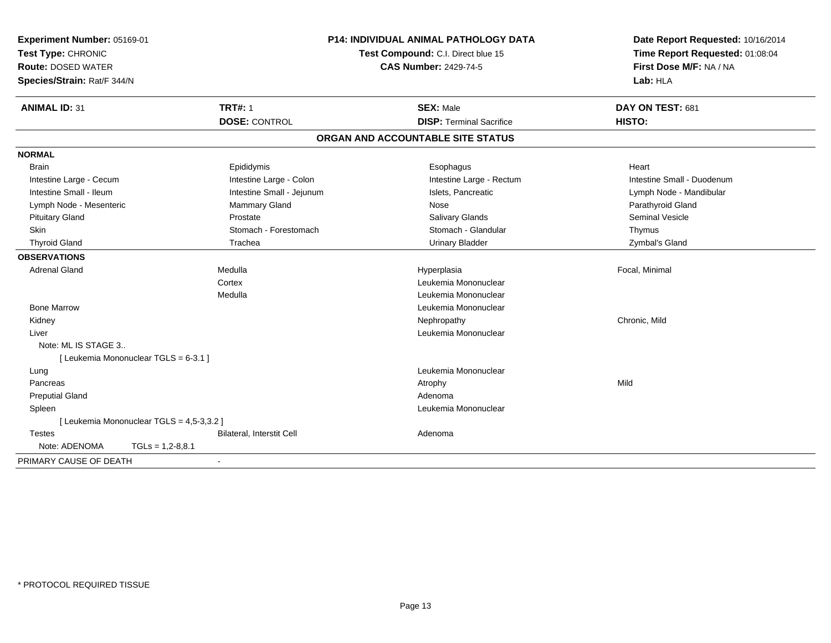| Experiment Number: 05169-01<br>Test Type: CHRONIC<br><b>Route: DOSED WATER</b><br>Species/Strain: Rat/F 344/N |                                           |                           | <b>P14: INDIVIDUAL ANIMAL PATHOLOGY DATA</b><br>Test Compound: C.I. Direct blue 15<br><b>CAS Number: 2429-74-5</b> |                                   |  | Date Report Requested: 10/16/2014<br>Time Report Requested: 01:08:04<br>First Dose M/F: NA / NA<br>Lab: HLA |  |
|---------------------------------------------------------------------------------------------------------------|-------------------------------------------|---------------------------|--------------------------------------------------------------------------------------------------------------------|-----------------------------------|--|-------------------------------------------------------------------------------------------------------------|--|
| <b>ANIMAL ID: 31</b>                                                                                          |                                           | <b>TRT#: 1</b>            |                                                                                                                    | <b>SEX: Male</b>                  |  | DAY ON TEST: 681                                                                                            |  |
|                                                                                                               |                                           | <b>DOSE: CONTROL</b>      |                                                                                                                    | <b>DISP: Terminal Sacrifice</b>   |  | HISTO:                                                                                                      |  |
|                                                                                                               |                                           |                           |                                                                                                                    | ORGAN AND ACCOUNTABLE SITE STATUS |  |                                                                                                             |  |
| <b>NORMAL</b>                                                                                                 |                                           |                           |                                                                                                                    |                                   |  |                                                                                                             |  |
| <b>Brain</b>                                                                                                  |                                           | Epididymis                |                                                                                                                    | Esophagus                         |  | Heart                                                                                                       |  |
| Intestine Large - Cecum                                                                                       |                                           | Intestine Large - Colon   |                                                                                                                    | Intestine Large - Rectum          |  | Intestine Small - Duodenum                                                                                  |  |
| Intestine Small - Ileum                                                                                       |                                           | Intestine Small - Jejunum |                                                                                                                    | Islets, Pancreatic                |  | Lymph Node - Mandibular                                                                                     |  |
| Lymph Node - Mesenteric                                                                                       |                                           | <b>Mammary Gland</b>      |                                                                                                                    | Nose                              |  | Parathyroid Gland                                                                                           |  |
| <b>Pituitary Gland</b>                                                                                        |                                           | Prostate                  |                                                                                                                    | Salivary Glands                   |  | <b>Seminal Vesicle</b>                                                                                      |  |
| Skin                                                                                                          |                                           | Stomach - Forestomach     |                                                                                                                    | Stomach - Glandular               |  | Thymus                                                                                                      |  |
| <b>Thyroid Gland</b>                                                                                          |                                           | Trachea                   |                                                                                                                    | <b>Urinary Bladder</b>            |  | Zymbal's Gland                                                                                              |  |
| <b>OBSERVATIONS</b>                                                                                           |                                           |                           |                                                                                                                    |                                   |  |                                                                                                             |  |
| <b>Adrenal Gland</b>                                                                                          |                                           | Medulla                   |                                                                                                                    | Hyperplasia                       |  | Focal, Minimal                                                                                              |  |
|                                                                                                               |                                           | Cortex                    |                                                                                                                    | Leukemia Mononuclear              |  |                                                                                                             |  |
|                                                                                                               |                                           | Medulla                   |                                                                                                                    | Leukemia Mononuclear              |  |                                                                                                             |  |
| <b>Bone Marrow</b>                                                                                            |                                           |                           |                                                                                                                    | Leukemia Mononuclear              |  |                                                                                                             |  |
| Kidney                                                                                                        |                                           |                           |                                                                                                                    | Nephropathy                       |  | Chronic, Mild                                                                                               |  |
| Liver                                                                                                         |                                           |                           |                                                                                                                    | Leukemia Mononuclear              |  |                                                                                                             |  |
| Note: ML IS STAGE 3                                                                                           |                                           |                           |                                                                                                                    |                                   |  |                                                                                                             |  |
|                                                                                                               | [ Leukemia Mononuclear TGLS = 6-3.1 ]     |                           |                                                                                                                    |                                   |  |                                                                                                             |  |
| Lung                                                                                                          |                                           |                           |                                                                                                                    | Leukemia Mononuclear              |  |                                                                                                             |  |
| Pancreas                                                                                                      |                                           |                           |                                                                                                                    | Atrophy                           |  | Mild                                                                                                        |  |
| <b>Preputial Gland</b>                                                                                        |                                           |                           |                                                                                                                    | Adenoma                           |  |                                                                                                             |  |
| Spleen                                                                                                        |                                           |                           |                                                                                                                    | Leukemia Mononuclear              |  |                                                                                                             |  |
|                                                                                                               | [ Leukemia Mononuclear TGLS = 4,5-3,3.2 ] |                           |                                                                                                                    |                                   |  |                                                                                                             |  |
| <b>Testes</b>                                                                                                 |                                           | Bilateral, Interstit Cell |                                                                                                                    | Adenoma                           |  |                                                                                                             |  |
| Note: ADENOMA                                                                                                 | $TGLS = 1,2-8,8.1$                        |                           |                                                                                                                    |                                   |  |                                                                                                             |  |
| PRIMARY CAUSE OF DEATH                                                                                        |                                           | $\blacksquare$            |                                                                                                                    |                                   |  |                                                                                                             |  |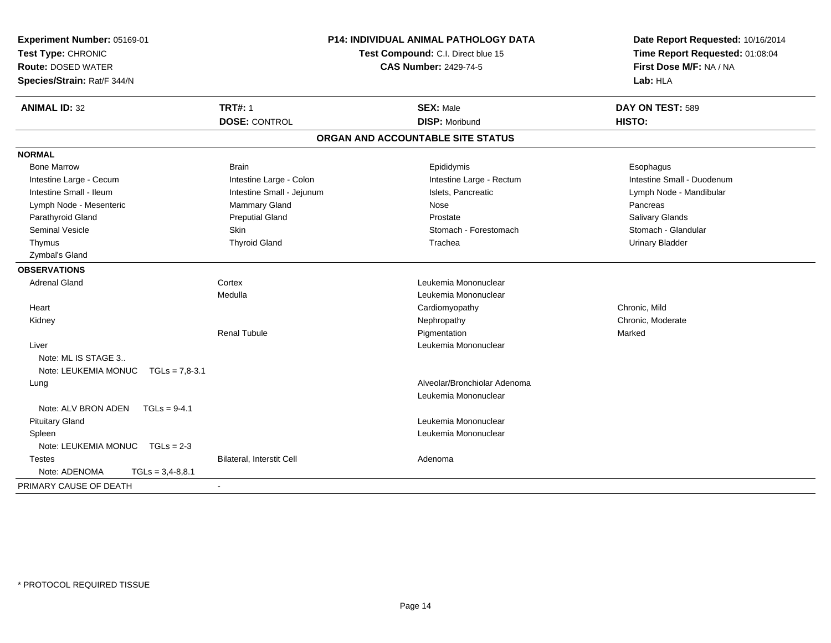| Experiment Number: 05169-01<br>Test Type: CHRONIC<br><b>Route: DOSED WATER</b><br>Species/Strain: Rat/F 344/N |                                        | P14: INDIVIDUAL ANIMAL PATHOLOGY DATA<br>Test Compound: C.I. Direct blue 15<br><b>CAS Number: 2429-74-5</b> | Date Report Requested: 10/16/2014<br>Time Report Requested: 01:08:04<br>First Dose M/F: NA / NA<br>Lab: HLA |  |
|---------------------------------------------------------------------------------------------------------------|----------------------------------------|-------------------------------------------------------------------------------------------------------------|-------------------------------------------------------------------------------------------------------------|--|
| <b>ANIMAL ID: 32</b>                                                                                          | <b>TRT#: 1</b><br><b>DOSE: CONTROL</b> | <b>SEX: Male</b><br><b>DISP: Moribund</b>                                                                   | DAY ON TEST: 589<br>HISTO:                                                                                  |  |
|                                                                                                               |                                        |                                                                                                             |                                                                                                             |  |
|                                                                                                               |                                        | ORGAN AND ACCOUNTABLE SITE STATUS                                                                           |                                                                                                             |  |
| <b>NORMAL</b>                                                                                                 |                                        |                                                                                                             |                                                                                                             |  |
| <b>Bone Marrow</b>                                                                                            | <b>Brain</b>                           | Epididymis                                                                                                  | Esophagus                                                                                                   |  |
| Intestine Large - Cecum                                                                                       | Intestine Large - Colon                | Intestine Large - Rectum                                                                                    | Intestine Small - Duodenum                                                                                  |  |
| Intestine Small - Ileum                                                                                       | Intestine Small - Jejunum              | Islets, Pancreatic                                                                                          | Lymph Node - Mandibular                                                                                     |  |
| Lymph Node - Mesenteric                                                                                       | Mammary Gland                          | Nose                                                                                                        | Pancreas                                                                                                    |  |
| Parathyroid Gland                                                                                             | <b>Preputial Gland</b>                 | Prostate                                                                                                    | Salivary Glands                                                                                             |  |
| <b>Seminal Vesicle</b>                                                                                        | Skin                                   | Stomach - Forestomach                                                                                       | Stomach - Glandular                                                                                         |  |
| Thymus                                                                                                        | <b>Thyroid Gland</b>                   | Trachea                                                                                                     | <b>Urinary Bladder</b>                                                                                      |  |
| Zymbal's Gland                                                                                                |                                        |                                                                                                             |                                                                                                             |  |
| <b>OBSERVATIONS</b>                                                                                           |                                        |                                                                                                             |                                                                                                             |  |
| <b>Adrenal Gland</b>                                                                                          | Cortex                                 | Leukemia Mononuclear                                                                                        |                                                                                                             |  |
|                                                                                                               | Medulla                                | Leukemia Mononuclear                                                                                        |                                                                                                             |  |
| Heart                                                                                                         |                                        | Cardiomyopathy                                                                                              | Chronic, Mild                                                                                               |  |
| Kidney                                                                                                        |                                        | Nephropathy                                                                                                 | Chronic, Moderate                                                                                           |  |
|                                                                                                               | <b>Renal Tubule</b>                    | Pigmentation                                                                                                | Marked                                                                                                      |  |
| Liver                                                                                                         |                                        | Leukemia Mononuclear                                                                                        |                                                                                                             |  |
| Note: ML IS STAGE 3                                                                                           |                                        |                                                                                                             |                                                                                                             |  |
| Note: LEUKEMIA MONUC<br>$TGLs = 7.8 - 3.1$                                                                    |                                        |                                                                                                             |                                                                                                             |  |
| Lung                                                                                                          |                                        | Alveolar/Bronchiolar Adenoma                                                                                |                                                                                                             |  |
|                                                                                                               |                                        | Leukemia Mononuclear                                                                                        |                                                                                                             |  |
| Note: ALV BRON ADEN<br>$TGLs = 9-4.1$                                                                         |                                        |                                                                                                             |                                                                                                             |  |
| <b>Pituitary Gland</b>                                                                                        |                                        | Leukemia Mononuclear                                                                                        |                                                                                                             |  |
| Spleen                                                                                                        |                                        | Leukemia Mononuclear                                                                                        |                                                                                                             |  |
| Note: LEUKEMIA MONUC<br>$TGLs = 2-3$                                                                          |                                        |                                                                                                             |                                                                                                             |  |
| <b>Testes</b>                                                                                                 | Bilateral, Interstit Cell              | Adenoma                                                                                                     |                                                                                                             |  |
| Note: ADENOMA<br>$TGLs = 3,4-8,8.1$                                                                           |                                        |                                                                                                             |                                                                                                             |  |
| PRIMARY CAUSE OF DEATH                                                                                        |                                        |                                                                                                             |                                                                                                             |  |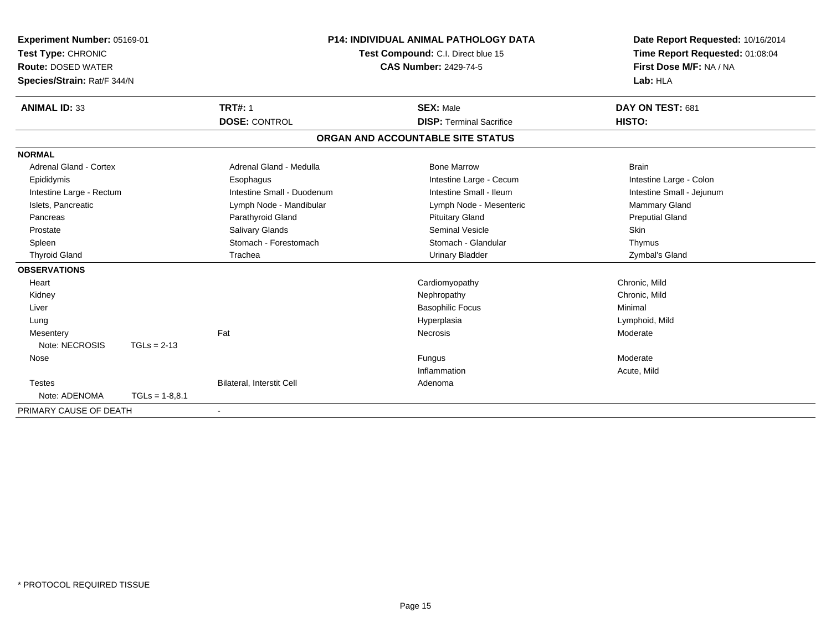| <b>Experiment Number: 05169-01</b><br>Test Type: CHRONIC<br><b>Route: DOSED WATER</b> |                  | <b>P14: INDIVIDUAL ANIMAL PATHOLOGY DATA</b><br>Test Compound: C.I. Direct blue 15<br><b>CAS Number: 2429-74-5</b> |  |                                   |  | Date Report Requested: 10/16/2014<br>Time Report Requested: 01:08:04<br>First Dose M/F: NA / NA |  |
|---------------------------------------------------------------------------------------|------------------|--------------------------------------------------------------------------------------------------------------------|--|-----------------------------------|--|-------------------------------------------------------------------------------------------------|--|
| Species/Strain: Rat/F 344/N                                                           |                  |                                                                                                                    |  |                                   |  | Lab: HLA                                                                                        |  |
| <b>ANIMAL ID: 33</b>                                                                  |                  | <b>TRT#: 1</b>                                                                                                     |  | <b>SEX: Male</b>                  |  | DAY ON TEST: 681                                                                                |  |
|                                                                                       |                  | <b>DOSE: CONTROL</b>                                                                                               |  | <b>DISP: Terminal Sacrifice</b>   |  | HISTO:                                                                                          |  |
|                                                                                       |                  |                                                                                                                    |  | ORGAN AND ACCOUNTABLE SITE STATUS |  |                                                                                                 |  |
| <b>NORMAL</b>                                                                         |                  |                                                                                                                    |  |                                   |  |                                                                                                 |  |
| Adrenal Gland - Cortex                                                                |                  | Adrenal Gland - Medulla                                                                                            |  | <b>Bone Marrow</b>                |  | <b>Brain</b>                                                                                    |  |
| Epididymis                                                                            |                  | Esophagus                                                                                                          |  | Intestine Large - Cecum           |  | Intestine Large - Colon                                                                         |  |
| Intestine Large - Rectum                                                              |                  | Intestine Small - Duodenum                                                                                         |  | Intestine Small - Ileum           |  | Intestine Small - Jejunum                                                                       |  |
| Islets, Pancreatic                                                                    |                  | Lymph Node - Mandibular                                                                                            |  | Lymph Node - Mesenteric           |  | <b>Mammary Gland</b>                                                                            |  |
| Pancreas                                                                              |                  | Parathyroid Gland                                                                                                  |  | <b>Pituitary Gland</b>            |  | <b>Preputial Gland</b>                                                                          |  |
| Prostate                                                                              |                  | Salivary Glands                                                                                                    |  | Seminal Vesicle                   |  | Skin                                                                                            |  |
| Spleen                                                                                |                  | Stomach - Forestomach                                                                                              |  | Stomach - Glandular               |  | Thymus                                                                                          |  |
| <b>Thyroid Gland</b>                                                                  |                  | Trachea                                                                                                            |  | <b>Urinary Bladder</b>            |  | Zymbal's Gland                                                                                  |  |
| <b>OBSERVATIONS</b>                                                                   |                  |                                                                                                                    |  |                                   |  |                                                                                                 |  |
| Heart                                                                                 |                  |                                                                                                                    |  | Cardiomyopathy                    |  | Chronic, Mild                                                                                   |  |
| Kidney                                                                                |                  |                                                                                                                    |  | Nephropathy                       |  | Chronic, Mild                                                                                   |  |
| Liver                                                                                 |                  |                                                                                                                    |  | <b>Basophilic Focus</b>           |  | Minimal                                                                                         |  |
| Lung                                                                                  |                  |                                                                                                                    |  | Hyperplasia                       |  | Lymphoid, Mild                                                                                  |  |
| Mesentery                                                                             |                  | Fat                                                                                                                |  | Necrosis                          |  | Moderate                                                                                        |  |
| Note: NECROSIS                                                                        | $TGLs = 2-13$    |                                                                                                                    |  |                                   |  |                                                                                                 |  |
| Nose                                                                                  |                  |                                                                                                                    |  | Fungus                            |  | Moderate                                                                                        |  |
|                                                                                       |                  |                                                                                                                    |  | Inflammation                      |  | Acute, Mild                                                                                     |  |
| <b>Testes</b>                                                                         |                  | Bilateral, Interstit Cell                                                                                          |  | Adenoma                           |  |                                                                                                 |  |
| Note: ADENOMA                                                                         | $TGLs = 1-8.8.1$ |                                                                                                                    |  |                                   |  |                                                                                                 |  |
| PRIMARY CAUSE OF DEATH                                                                |                  |                                                                                                                    |  |                                   |  |                                                                                                 |  |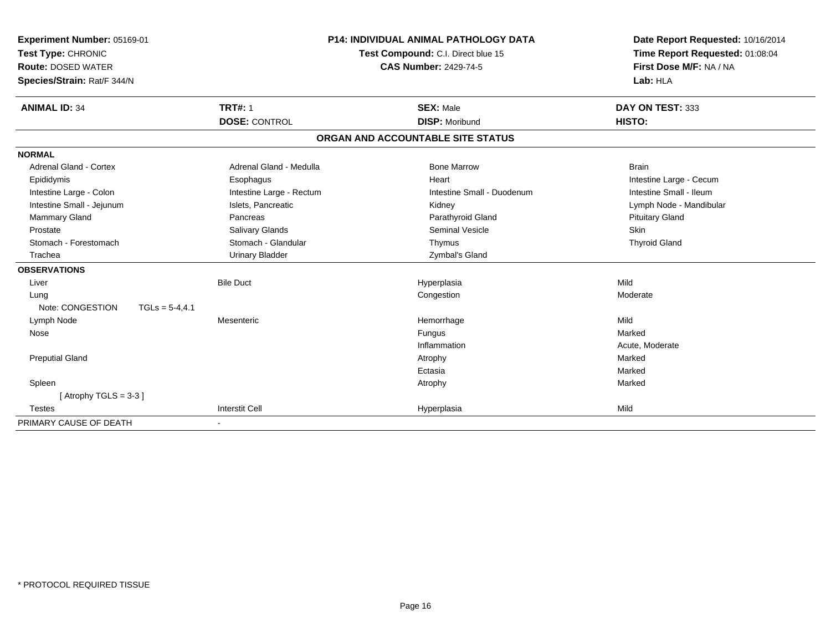| Experiment Number: 05169-01<br>Test Type: CHRONIC<br><b>Route: DOSED WATER</b><br>Species/Strain: Rat/F 344/N |                                        | <b>P14: INDIVIDUAL ANIMAL PATHOLOGY DATA</b><br>Test Compound: C.I. Direct blue 15<br><b>CAS Number: 2429-74-5</b> | Date Report Requested: 10/16/2014<br>Time Report Requested: 01:08:04<br>First Dose M/F: NA / NA<br>Lab: HLA |  |
|---------------------------------------------------------------------------------------------------------------|----------------------------------------|--------------------------------------------------------------------------------------------------------------------|-------------------------------------------------------------------------------------------------------------|--|
| <b>ANIMAL ID: 34</b>                                                                                          | <b>TRT#: 1</b><br><b>DOSE: CONTROL</b> | <b>SEX: Male</b><br><b>DISP: Moribund</b>                                                                          | DAY ON TEST: 333<br>HISTO:                                                                                  |  |
|                                                                                                               |                                        | ORGAN AND ACCOUNTABLE SITE STATUS                                                                                  |                                                                                                             |  |
| <b>NORMAL</b>                                                                                                 |                                        |                                                                                                                    |                                                                                                             |  |
| <b>Adrenal Gland - Cortex</b>                                                                                 | Adrenal Gland - Medulla                | <b>Bone Marrow</b>                                                                                                 | <b>Brain</b>                                                                                                |  |
| Epididymis                                                                                                    | Esophagus                              | Heart                                                                                                              | Intestine Large - Cecum                                                                                     |  |
| Intestine Large - Colon                                                                                       | Intestine Large - Rectum               | Intestine Small - Duodenum                                                                                         | Intestine Small - Ileum                                                                                     |  |
| Intestine Small - Jejunum                                                                                     | Islets, Pancreatic                     | Kidney                                                                                                             | Lymph Node - Mandibular                                                                                     |  |
| Mammary Gland                                                                                                 | Pancreas                               | Parathyroid Gland                                                                                                  | <b>Pituitary Gland</b>                                                                                      |  |
| Prostate                                                                                                      | Salivary Glands                        | <b>Seminal Vesicle</b>                                                                                             | <b>Skin</b>                                                                                                 |  |
| Stomach - Forestomach                                                                                         | Stomach - Glandular                    | Thymus                                                                                                             | <b>Thyroid Gland</b>                                                                                        |  |
| Trachea                                                                                                       | <b>Urinary Bladder</b>                 | Zymbal's Gland                                                                                                     |                                                                                                             |  |
| <b>OBSERVATIONS</b>                                                                                           |                                        |                                                                                                                    |                                                                                                             |  |
| Liver                                                                                                         | <b>Bile Duct</b>                       | Hyperplasia                                                                                                        | Mild                                                                                                        |  |
| Lung                                                                                                          |                                        | Congestion                                                                                                         | Moderate                                                                                                    |  |
| Note: CONGESTION<br>$TGLS = 5-4,4.1$                                                                          |                                        |                                                                                                                    |                                                                                                             |  |
| Lymph Node                                                                                                    | Mesenteric                             | Hemorrhage                                                                                                         | Mild                                                                                                        |  |
| Nose                                                                                                          |                                        | Fungus                                                                                                             | Marked                                                                                                      |  |
|                                                                                                               |                                        | Inflammation                                                                                                       | Acute, Moderate                                                                                             |  |
| <b>Preputial Gland</b>                                                                                        |                                        | Atrophy                                                                                                            | Marked                                                                                                      |  |
|                                                                                                               |                                        | Ectasia                                                                                                            | Marked                                                                                                      |  |
| Spleen                                                                                                        |                                        | Atrophy                                                                                                            | Marked                                                                                                      |  |
| [Atrophy TGLS = $3-3$ ]                                                                                       |                                        |                                                                                                                    |                                                                                                             |  |
| <b>Testes</b>                                                                                                 | <b>Interstit Cell</b>                  | Hyperplasia                                                                                                        | Mild                                                                                                        |  |
| PRIMARY CAUSE OF DEATH                                                                                        |                                        |                                                                                                                    |                                                                                                             |  |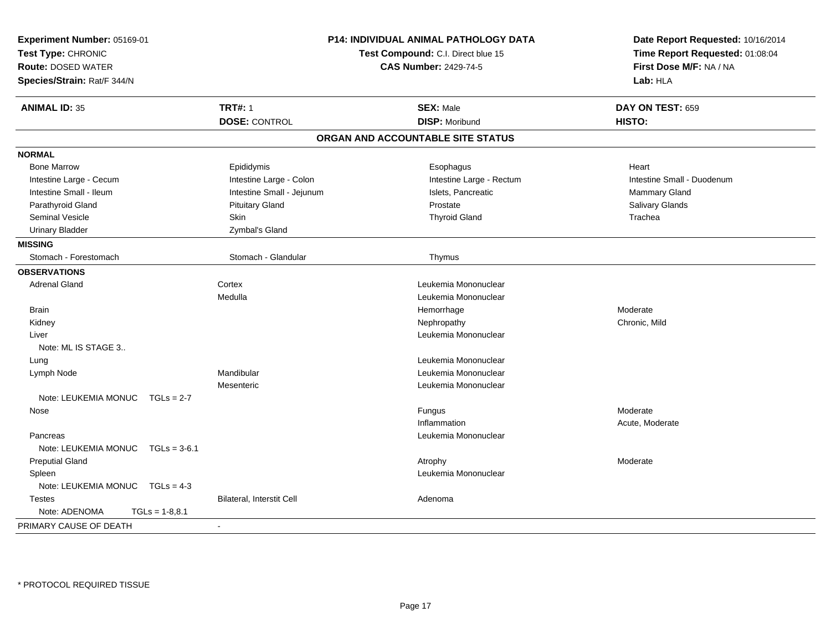| Experiment Number: 05169-01<br>Test Type: CHRONIC<br><b>Route: DOSED WATER</b><br>Species/Strain: Rat/F 344/N |                           | <b>P14: INDIVIDUAL ANIMAL PATHOLOGY DATA</b><br>Test Compound: C.I. Direct blue 15<br><b>CAS Number: 2429-74-5</b> | Date Report Requested: 10/16/2014<br>Time Report Requested: 01:08:04<br>First Dose M/F: NA / NA<br>Lab: HLA |  |
|---------------------------------------------------------------------------------------------------------------|---------------------------|--------------------------------------------------------------------------------------------------------------------|-------------------------------------------------------------------------------------------------------------|--|
| <b>ANIMAL ID: 35</b>                                                                                          | <b>TRT#: 1</b>            | <b>SEX: Male</b>                                                                                                   | DAY ON TEST: 659                                                                                            |  |
|                                                                                                               | <b>DOSE: CONTROL</b>      | <b>DISP: Moribund</b>                                                                                              | HISTO:                                                                                                      |  |
|                                                                                                               |                           | ORGAN AND ACCOUNTABLE SITE STATUS                                                                                  |                                                                                                             |  |
| <b>NORMAL</b>                                                                                                 |                           |                                                                                                                    |                                                                                                             |  |
| <b>Bone Marrow</b>                                                                                            | Epididymis                | Esophagus                                                                                                          | Heart                                                                                                       |  |
| Intestine Large - Cecum                                                                                       | Intestine Large - Colon   | Intestine Large - Rectum                                                                                           | Intestine Small - Duodenum                                                                                  |  |
| Intestine Small - Ileum                                                                                       | Intestine Small - Jejunum | Islets, Pancreatic                                                                                                 | Mammary Gland                                                                                               |  |
| Parathyroid Gland                                                                                             | <b>Pituitary Gland</b>    | Prostate                                                                                                           | Salivary Glands                                                                                             |  |
| <b>Seminal Vesicle</b>                                                                                        | Skin                      | <b>Thyroid Gland</b>                                                                                               | Trachea                                                                                                     |  |
| <b>Urinary Bladder</b>                                                                                        | Zymbal's Gland            |                                                                                                                    |                                                                                                             |  |
| <b>MISSING</b>                                                                                                |                           |                                                                                                                    |                                                                                                             |  |
| Stomach - Forestomach                                                                                         | Stomach - Glandular       | Thymus                                                                                                             |                                                                                                             |  |
| <b>OBSERVATIONS</b>                                                                                           |                           |                                                                                                                    |                                                                                                             |  |
| <b>Adrenal Gland</b>                                                                                          | Cortex                    | Leukemia Mononuclear                                                                                               |                                                                                                             |  |
|                                                                                                               | Medulla                   | Leukemia Mononuclear                                                                                               |                                                                                                             |  |
| <b>Brain</b>                                                                                                  |                           | Hemorrhage                                                                                                         | Moderate                                                                                                    |  |
| Kidney                                                                                                        |                           | Nephropathy                                                                                                        | Chronic, Mild                                                                                               |  |
| Liver                                                                                                         |                           | Leukemia Mononuclear                                                                                               |                                                                                                             |  |
| Note: ML IS STAGE 3                                                                                           |                           |                                                                                                                    |                                                                                                             |  |
| Lung                                                                                                          |                           | Leukemia Mononuclear                                                                                               |                                                                                                             |  |
| Lymph Node                                                                                                    | Mandibular                | Leukemia Mononuclear                                                                                               |                                                                                                             |  |
|                                                                                                               | Mesenteric                | Leukemia Mononuclear                                                                                               |                                                                                                             |  |
| Note: LEUKEMIA MONUC<br>$TGLs = 2-7$                                                                          |                           |                                                                                                                    |                                                                                                             |  |
| Nose                                                                                                          |                           | Fungus                                                                                                             | Moderate                                                                                                    |  |
|                                                                                                               |                           | Inflammation                                                                                                       | Acute, Moderate                                                                                             |  |
| Pancreas                                                                                                      |                           | Leukemia Mononuclear                                                                                               |                                                                                                             |  |
| Note: LEUKEMIA MONUC $TGLs = 3-6.1$                                                                           |                           |                                                                                                                    |                                                                                                             |  |
| <b>Preputial Gland</b>                                                                                        |                           | Atrophy                                                                                                            | Moderate                                                                                                    |  |
| Spleen                                                                                                        |                           | Leukemia Mononuclear                                                                                               |                                                                                                             |  |
| Note: LEUKEMIA MONUC TGLs = 4-3                                                                               |                           |                                                                                                                    |                                                                                                             |  |
| <b>Testes</b>                                                                                                 | Bilateral, Interstit Cell | Adenoma                                                                                                            |                                                                                                             |  |
| Note: ADENOMA<br>$TGLs = 1-8,8.1$                                                                             |                           |                                                                                                                    |                                                                                                             |  |
| PRIMARY CAUSE OF DEATH                                                                                        |                           |                                                                                                                    |                                                                                                             |  |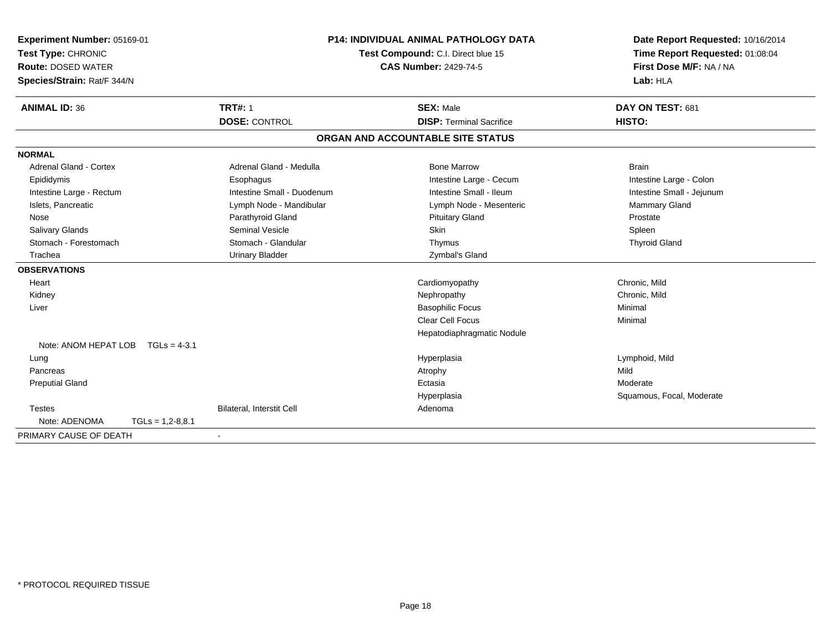| Experiment Number: 05169-01            |                            | <b>P14: INDIVIDUAL ANIMAL PATHOLOGY DATA</b> | Date Report Requested: 10/16/2014 |  |  |
|----------------------------------------|----------------------------|----------------------------------------------|-----------------------------------|--|--|
| Test Type: CHRONIC                     |                            | Test Compound: C.I. Direct blue 15           | Time Report Requested: 01:08:04   |  |  |
| <b>Route: DOSED WATER</b>              |                            | <b>CAS Number: 2429-74-5</b>                 | First Dose M/F: NA / NA           |  |  |
| Species/Strain: Rat/F 344/N            |                            |                                              | Lab: HLA                          |  |  |
| <b>ANIMAL ID: 36</b>                   | <b>TRT#: 1</b>             | <b>SEX: Male</b>                             | DAY ON TEST: 681                  |  |  |
|                                        | <b>DOSE: CONTROL</b>       | <b>DISP: Terminal Sacrifice</b>              | HISTO:                            |  |  |
|                                        |                            | ORGAN AND ACCOUNTABLE SITE STATUS            |                                   |  |  |
| <b>NORMAL</b>                          |                            |                                              |                                   |  |  |
| <b>Adrenal Gland - Cortex</b>          | Adrenal Gland - Medulla    | <b>Bone Marrow</b>                           | <b>Brain</b>                      |  |  |
| Epididymis                             | Esophagus                  | Intestine Large - Cecum                      | Intestine Large - Colon           |  |  |
| Intestine Large - Rectum               | Intestine Small - Duodenum | Intestine Small - Ileum                      | Intestine Small - Jejunum         |  |  |
| Islets, Pancreatic                     | Lymph Node - Mandibular    | Lymph Node - Mesenteric                      | <b>Mammary Gland</b>              |  |  |
| Nose                                   | Parathyroid Gland          | <b>Pituitary Gland</b>                       | Prostate                          |  |  |
| <b>Salivary Glands</b>                 | <b>Seminal Vesicle</b>     | Skin                                         | Spleen                            |  |  |
| Stomach - Forestomach                  | Stomach - Glandular        | Thymus                                       | <b>Thyroid Gland</b>              |  |  |
| Trachea                                | <b>Urinary Bladder</b>     | Zymbal's Gland                               |                                   |  |  |
| <b>OBSERVATIONS</b>                    |                            |                                              |                                   |  |  |
| Heart                                  |                            | Cardiomyopathy                               | Chronic, Mild                     |  |  |
| Kidney                                 |                            | Nephropathy                                  | Chronic, Mild                     |  |  |
| Liver                                  |                            | <b>Basophilic Focus</b>                      | Minimal                           |  |  |
|                                        |                            | Clear Cell Focus                             | Minimal                           |  |  |
|                                        |                            | Hepatodiaphragmatic Nodule                   |                                   |  |  |
| Note: ANOM HEPAT LOB<br>$TGLs = 4-3.1$ |                            |                                              |                                   |  |  |
| Lung                                   |                            | Hyperplasia                                  | Lymphoid, Mild                    |  |  |
| Pancreas                               |                            | Atrophy                                      | Mild                              |  |  |
| <b>Preputial Gland</b>                 |                            | Ectasia                                      | Moderate                          |  |  |
|                                        |                            | Hyperplasia                                  | Squamous, Focal, Moderate         |  |  |
| <b>Testes</b>                          | Bilateral, Interstit Cell  | Adenoma                                      |                                   |  |  |
| Note: ADENOMA<br>$TGLs = 1,2-8,8.1$    |                            |                                              |                                   |  |  |
| PRIMARY CAUSE OF DEATH                 |                            |                                              |                                   |  |  |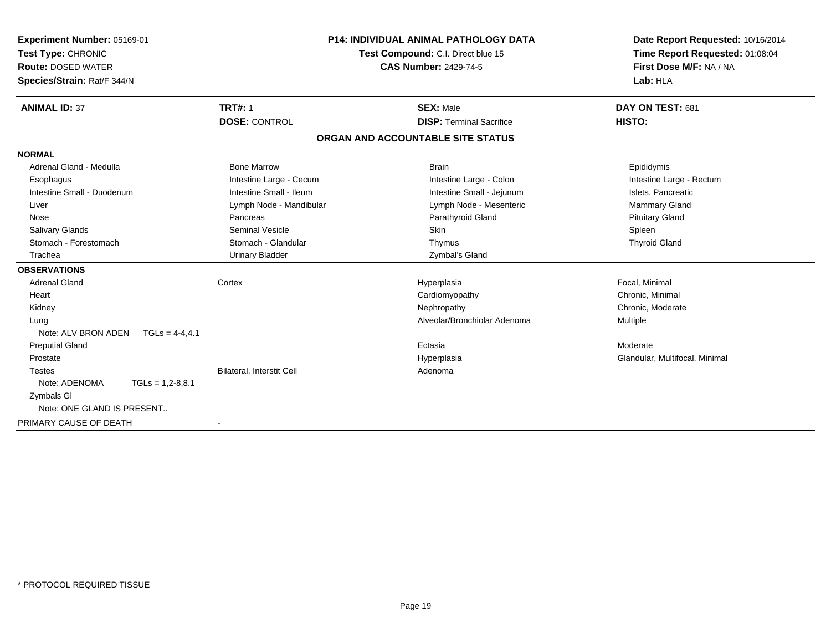| <b>Experiment Number: 05169-01</b>       |                                  | <b>P14: INDIVIDUAL ANIMAL PATHOLOGY DATA</b> | Date Report Requested: 10/16/2014 |  |
|------------------------------------------|----------------------------------|----------------------------------------------|-----------------------------------|--|
| Test Type: CHRONIC                       |                                  | Test Compound: C.I. Direct blue 15           | Time Report Requested: 01:08:04   |  |
| <b>Route: DOSED WATER</b>                |                                  | <b>CAS Number: 2429-74-5</b>                 | First Dose M/F: NA / NA           |  |
| Species/Strain: Rat/F 344/N              |                                  |                                              | Lab: HLA                          |  |
| <b>ANIMAL ID: 37</b>                     | <b>TRT#: 1</b>                   | <b>SEX: Male</b>                             | DAY ON TEST: 681                  |  |
|                                          | <b>DOSE: CONTROL</b>             | <b>DISP: Terminal Sacrifice</b>              | HISTO:                            |  |
|                                          |                                  | ORGAN AND ACCOUNTABLE SITE STATUS            |                                   |  |
| <b>NORMAL</b>                            |                                  |                                              |                                   |  |
| Adrenal Gland - Medulla                  | <b>Bone Marrow</b>               | <b>Brain</b>                                 | Epididymis                        |  |
| Esophagus                                | Intestine Large - Cecum          | Intestine Large - Colon                      | Intestine Large - Rectum          |  |
| Intestine Small - Duodenum               | Intestine Small - Ileum          | Intestine Small - Jejunum                    | Islets, Pancreatic                |  |
| Liver                                    | Lymph Node - Mandibular          | Lymph Node - Mesenteric                      | <b>Mammary Gland</b>              |  |
| Nose                                     | Pancreas                         | Parathyroid Gland                            | <b>Pituitary Gland</b>            |  |
| Salivary Glands                          | <b>Seminal Vesicle</b>           | Skin                                         | Spleen                            |  |
| Stomach - Forestomach                    | Stomach - Glandular              | Thymus                                       | <b>Thyroid Gland</b>              |  |
| Trachea                                  | <b>Urinary Bladder</b>           | Zymbal's Gland                               |                                   |  |
| <b>OBSERVATIONS</b>                      |                                  |                                              |                                   |  |
| <b>Adrenal Gland</b>                     | Cortex                           | Hyperplasia                                  | Focal, Minimal                    |  |
| Heart                                    |                                  | Cardiomyopathy                               | Chronic, Minimal                  |  |
| Kidney                                   |                                  | Nephropathy                                  | Chronic, Moderate                 |  |
| Lung                                     |                                  | Alveolar/Bronchiolar Adenoma                 | Multiple                          |  |
| Note: ALV BRON ADEN<br>$TGLs = 4-4, 4.1$ |                                  |                                              |                                   |  |
| <b>Preputial Gland</b>                   |                                  | Ectasia                                      | Moderate                          |  |
| Prostate                                 |                                  | Hyperplasia                                  | Glandular, Multifocal, Minimal    |  |
| <b>Testes</b>                            | <b>Bilateral, Interstit Cell</b> | Adenoma                                      |                                   |  |
| Note: ADENOMA<br>$TGLs = 1,2-8,8.1$      |                                  |                                              |                                   |  |
| <b>Zymbals GI</b>                        |                                  |                                              |                                   |  |
| Note: ONE GLAND IS PRESENT               |                                  |                                              |                                   |  |
| PRIMARY CAUSE OF DEATH                   |                                  |                                              |                                   |  |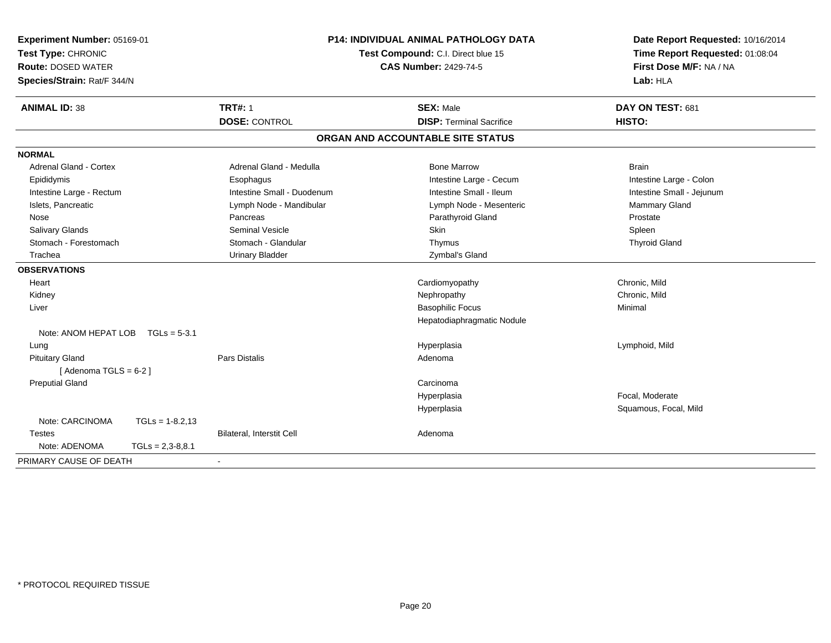| Experiment Number: 05169-01<br>Test Type: CHRONIC<br><b>Route: DOSED WATER</b><br>Species/Strain: Rat/F 344/N |                                  | P14: INDIVIDUAL ANIMAL PATHOLOGY DATA<br>Test Compound: C.I. Direct blue 15<br><b>CAS Number: 2429-74-5</b> | Date Report Requested: 10/16/2014<br>Time Report Requested: 01:08:04<br>First Dose M/F: NA / NA<br>Lab: HLA |
|---------------------------------------------------------------------------------------------------------------|----------------------------------|-------------------------------------------------------------------------------------------------------------|-------------------------------------------------------------------------------------------------------------|
| <b>ANIMAL ID: 38</b>                                                                                          | <b>TRT#: 1</b>                   | <b>SEX: Male</b>                                                                                            | DAY ON TEST: 681                                                                                            |
|                                                                                                               | <b>DOSE: CONTROL</b>             | <b>DISP: Terminal Sacrifice</b>                                                                             | HISTO:                                                                                                      |
|                                                                                                               |                                  | ORGAN AND ACCOUNTABLE SITE STATUS                                                                           |                                                                                                             |
| <b>NORMAL</b>                                                                                                 |                                  |                                                                                                             |                                                                                                             |
| Adrenal Gland - Cortex                                                                                        | Adrenal Gland - Medulla          | <b>Bone Marrow</b>                                                                                          | <b>Brain</b>                                                                                                |
| Epididymis                                                                                                    | Esophagus                        | Intestine Large - Cecum                                                                                     | Intestine Large - Colon                                                                                     |
| Intestine Large - Rectum                                                                                      | Intestine Small - Duodenum       | Intestine Small - Ileum                                                                                     | Intestine Small - Jejunum                                                                                   |
| Islets, Pancreatic                                                                                            | Lymph Node - Mandibular          | Lymph Node - Mesenteric                                                                                     | Mammary Gland                                                                                               |
| Nose                                                                                                          | Pancreas                         | Parathyroid Gland                                                                                           | Prostate                                                                                                    |
| Salivary Glands                                                                                               | <b>Seminal Vesicle</b>           | <b>Skin</b>                                                                                                 | Spleen                                                                                                      |
| Stomach - Forestomach                                                                                         | Stomach - Glandular              | Thymus                                                                                                      | <b>Thyroid Gland</b>                                                                                        |
| Trachea                                                                                                       | <b>Urinary Bladder</b>           | Zymbal's Gland                                                                                              |                                                                                                             |
| <b>OBSERVATIONS</b>                                                                                           |                                  |                                                                                                             |                                                                                                             |
| Heart                                                                                                         |                                  | Cardiomyopathy                                                                                              | Chronic, Mild                                                                                               |
| Kidney                                                                                                        |                                  | Nephropathy                                                                                                 | Chronic, Mild                                                                                               |
| Liver                                                                                                         |                                  | <b>Basophilic Focus</b>                                                                                     | Minimal                                                                                                     |
|                                                                                                               |                                  | Hepatodiaphragmatic Nodule                                                                                  |                                                                                                             |
| Note: ANOM HEPAT LOB $TGLs = 5-3.1$                                                                           |                                  |                                                                                                             |                                                                                                             |
| Lung                                                                                                          |                                  | Hyperplasia                                                                                                 | Lymphoid, Mild                                                                                              |
| <b>Pituitary Gland</b>                                                                                        | Pars Distalis                    | Adenoma                                                                                                     |                                                                                                             |
| [Adenoma TGLS = $6-2$ ]                                                                                       |                                  |                                                                                                             |                                                                                                             |
| <b>Preputial Gland</b>                                                                                        |                                  | Carcinoma                                                                                                   |                                                                                                             |
|                                                                                                               |                                  | Hyperplasia                                                                                                 | Focal. Moderate                                                                                             |
|                                                                                                               |                                  | Hyperplasia                                                                                                 | Squamous, Focal, Mild                                                                                       |
| Note: CARCINOMA<br>$TGLs = 1-8.2,13$                                                                          |                                  |                                                                                                             |                                                                                                             |
| <b>Testes</b>                                                                                                 | <b>Bilateral, Interstit Cell</b> | Adenoma                                                                                                     |                                                                                                             |
| Note: ADENOMA<br>$TGLs = 2,3-8,8.1$                                                                           |                                  |                                                                                                             |                                                                                                             |
| PRIMARY CAUSE OF DEATH                                                                                        |                                  |                                                                                                             |                                                                                                             |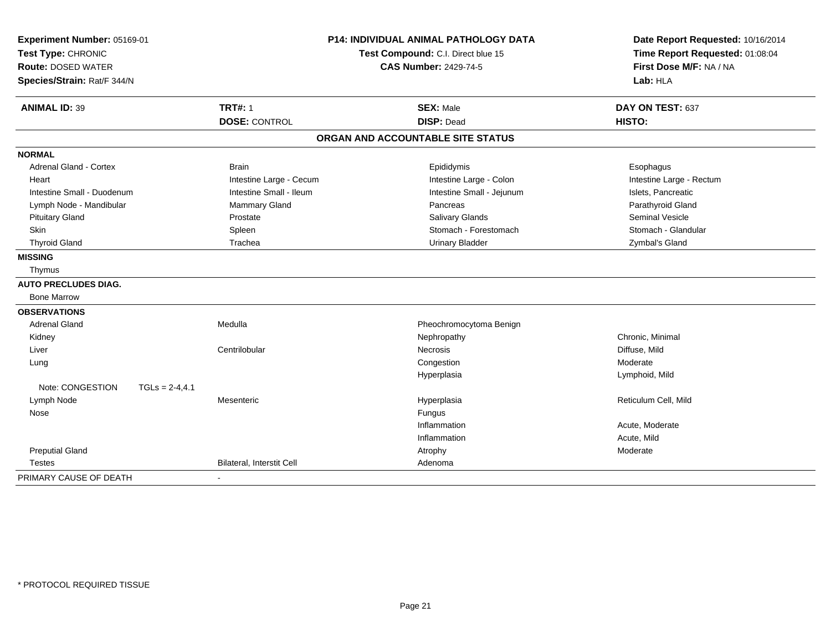| Experiment Number: 05169-01<br>Test Type: CHRONIC<br><b>Route: DOSED WATER</b><br>Species/Strain: Rat/F 344/N<br><b>TRT#: 1</b><br><b>ANIMAL ID: 39</b> |                  |                           | <b>P14: INDIVIDUAL ANIMAL PATHOLOGY DATA</b><br>Test Compound: C.I. Direct blue 15<br><b>CAS Number: 2429-74-5</b> |                                       |  | Date Report Requested: 10/16/2014<br>Time Report Requested: 01:08:04<br>First Dose M/F: NA / NA<br>Lab: HLA |  |
|---------------------------------------------------------------------------------------------------------------------------------------------------------|------------------|---------------------------|--------------------------------------------------------------------------------------------------------------------|---------------------------------------|--|-------------------------------------------------------------------------------------------------------------|--|
|                                                                                                                                                         |                  | <b>DOSE: CONTROL</b>      |                                                                                                                    | <b>SEX: Male</b><br><b>DISP: Dead</b> |  | DAY ON TEST: 637<br>HISTO:                                                                                  |  |
|                                                                                                                                                         |                  |                           |                                                                                                                    | ORGAN AND ACCOUNTABLE SITE STATUS     |  |                                                                                                             |  |
| <b>NORMAL</b>                                                                                                                                           |                  |                           |                                                                                                                    |                                       |  |                                                                                                             |  |
| <b>Adrenal Gland - Cortex</b>                                                                                                                           |                  | <b>Brain</b>              |                                                                                                                    | Epididymis                            |  | Esophagus                                                                                                   |  |
| Heart                                                                                                                                                   |                  | Intestine Large - Cecum   |                                                                                                                    | Intestine Large - Colon               |  | Intestine Large - Rectum                                                                                    |  |
| Intestine Small - Duodenum                                                                                                                              |                  | Intestine Small - Ileum   |                                                                                                                    | Intestine Small - Jejunum             |  | Islets, Pancreatic                                                                                          |  |
| Lymph Node - Mandibular                                                                                                                                 |                  | <b>Mammary Gland</b>      |                                                                                                                    | Pancreas                              |  | Parathyroid Gland                                                                                           |  |
| <b>Pituitary Gland</b>                                                                                                                                  |                  | Prostate                  |                                                                                                                    | <b>Salivary Glands</b>                |  | <b>Seminal Vesicle</b>                                                                                      |  |
| Skin                                                                                                                                                    |                  | Spleen                    |                                                                                                                    | Stomach - Forestomach                 |  | Stomach - Glandular                                                                                         |  |
| <b>Thyroid Gland</b>                                                                                                                                    |                  | Trachea                   |                                                                                                                    | <b>Urinary Bladder</b>                |  | Zymbal's Gland                                                                                              |  |
| <b>MISSING</b>                                                                                                                                          |                  |                           |                                                                                                                    |                                       |  |                                                                                                             |  |
| Thymus                                                                                                                                                  |                  |                           |                                                                                                                    |                                       |  |                                                                                                             |  |
| <b>AUTO PRECLUDES DIAG.</b>                                                                                                                             |                  |                           |                                                                                                                    |                                       |  |                                                                                                             |  |
| <b>Bone Marrow</b>                                                                                                                                      |                  |                           |                                                                                                                    |                                       |  |                                                                                                             |  |
| <b>OBSERVATIONS</b>                                                                                                                                     |                  |                           |                                                                                                                    |                                       |  |                                                                                                             |  |
| <b>Adrenal Gland</b>                                                                                                                                    |                  | Medulla                   |                                                                                                                    | Pheochromocytoma Benign               |  |                                                                                                             |  |
| Kidney                                                                                                                                                  |                  |                           |                                                                                                                    | Nephropathy                           |  | Chronic, Minimal                                                                                            |  |
| Liver                                                                                                                                                   |                  | Centrilobular             |                                                                                                                    | <b>Necrosis</b>                       |  | Diffuse, Mild                                                                                               |  |
| Lung                                                                                                                                                    |                  |                           |                                                                                                                    | Congestion                            |  | Moderate                                                                                                    |  |
|                                                                                                                                                         |                  |                           |                                                                                                                    | Hyperplasia                           |  | Lymphoid, Mild                                                                                              |  |
| Note: CONGESTION                                                                                                                                        | $TGLS = 2-4,4.1$ |                           |                                                                                                                    |                                       |  |                                                                                                             |  |
| Lymph Node                                                                                                                                              |                  | Mesenteric                |                                                                                                                    | Hyperplasia                           |  | Reticulum Cell, Mild                                                                                        |  |
| Nose                                                                                                                                                    |                  |                           |                                                                                                                    | Fungus                                |  |                                                                                                             |  |
|                                                                                                                                                         |                  |                           |                                                                                                                    | Inflammation                          |  | Acute, Moderate                                                                                             |  |
|                                                                                                                                                         |                  |                           |                                                                                                                    | Inflammation                          |  | Acute, Mild                                                                                                 |  |
| <b>Preputial Gland</b>                                                                                                                                  |                  |                           |                                                                                                                    | Atrophy                               |  | Moderate                                                                                                    |  |
| <b>Testes</b>                                                                                                                                           |                  | Bilateral, Interstit Cell |                                                                                                                    | Adenoma                               |  |                                                                                                             |  |
| PRIMARY CAUSE OF DEATH                                                                                                                                  |                  |                           |                                                                                                                    |                                       |  |                                                                                                             |  |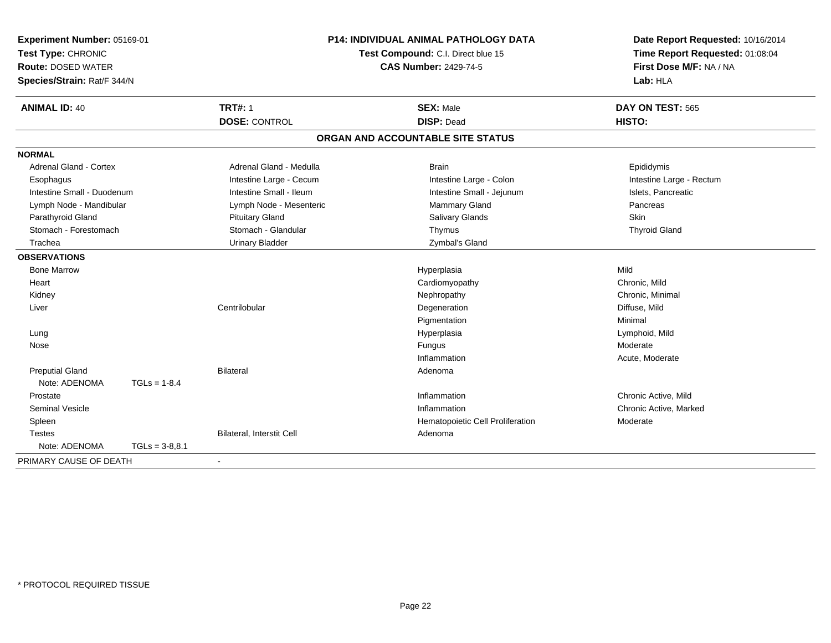| Experiment Number: 05169-01<br>Test Type: CHRONIC<br><b>Route: DOSED WATER</b><br>Species/Strain: Rat/F 344/N |                  | <b>P14: INDIVIDUAL ANIMAL PATHOLOGY DATA</b><br>Test Compound: C.I. Direct blue 15 | Date Report Requested: 10/16/2014<br>Time Report Requested: 01:08:04<br>First Dose M/F: NA / NA<br>Lab: HLA |                            |
|---------------------------------------------------------------------------------------------------------------|------------------|------------------------------------------------------------------------------------|-------------------------------------------------------------------------------------------------------------|----------------------------|
| <b>ANIMAL ID: 40</b>                                                                                          |                  | <b>TRT#: 1</b><br><b>DOSE: CONTROL</b>                                             | <b>SEX: Male</b><br><b>DISP: Dead</b>                                                                       | DAY ON TEST: 565<br>HISTO: |
|                                                                                                               |                  |                                                                                    | ORGAN AND ACCOUNTABLE SITE STATUS                                                                           |                            |
| <b>NORMAL</b>                                                                                                 |                  |                                                                                    |                                                                                                             |                            |
| <b>Adrenal Gland - Cortex</b>                                                                                 |                  | Adrenal Gland - Medulla                                                            | <b>Brain</b>                                                                                                | Epididymis                 |
| Esophagus                                                                                                     |                  | Intestine Large - Cecum                                                            | Intestine Large - Colon                                                                                     | Intestine Large - Rectum   |
| Intestine Small - Duodenum                                                                                    |                  | Intestine Small - Ileum                                                            | Intestine Small - Jejunum                                                                                   | Islets, Pancreatic         |
| Lymph Node - Mandibular                                                                                       |                  | Lymph Node - Mesenteric                                                            | Mammary Gland                                                                                               | Pancreas                   |
| Parathyroid Gland                                                                                             |                  | <b>Pituitary Gland</b>                                                             | <b>Salivary Glands</b>                                                                                      | <b>Skin</b>                |
| Stomach - Forestomach                                                                                         |                  | Stomach - Glandular                                                                | Thymus                                                                                                      | <b>Thyroid Gland</b>       |
| Trachea                                                                                                       |                  | <b>Urinary Bladder</b>                                                             | Zymbal's Gland                                                                                              |                            |
| <b>OBSERVATIONS</b>                                                                                           |                  |                                                                                    |                                                                                                             |                            |
| <b>Bone Marrow</b>                                                                                            |                  |                                                                                    | Hyperplasia                                                                                                 | Mild                       |
| Heart                                                                                                         |                  |                                                                                    | Cardiomyopathy                                                                                              | Chronic, Mild              |
| Kidney                                                                                                        |                  |                                                                                    | Nephropathy                                                                                                 | Chronic, Minimal           |
| Liver                                                                                                         |                  | Centrilobular                                                                      | Degeneration                                                                                                | Diffuse, Mild              |
|                                                                                                               |                  |                                                                                    | Pigmentation                                                                                                | Minimal                    |
| Lung                                                                                                          |                  |                                                                                    | Hyperplasia                                                                                                 | Lymphoid, Mild             |
| Nose                                                                                                          |                  |                                                                                    | Fungus                                                                                                      | Moderate                   |
|                                                                                                               |                  |                                                                                    | Inflammation                                                                                                | Acute, Moderate            |
| <b>Preputial Gland</b>                                                                                        |                  | <b>Bilateral</b>                                                                   | Adenoma                                                                                                     |                            |
| Note: ADENOMA                                                                                                 | $TGLs = 1-8.4$   |                                                                                    |                                                                                                             |                            |
| Prostate                                                                                                      |                  |                                                                                    | Inflammation                                                                                                | Chronic Active, Mild       |
| <b>Seminal Vesicle</b>                                                                                        |                  |                                                                                    | Inflammation                                                                                                | Chronic Active, Marked     |
| Spleen                                                                                                        |                  |                                                                                    | Hematopoietic Cell Proliferation                                                                            | Moderate                   |
| <b>Testes</b>                                                                                                 |                  | Bilateral, Interstit Cell                                                          | Adenoma                                                                                                     |                            |
| Note: ADENOMA                                                                                                 | $TGLs = 3-8.8.1$ |                                                                                    |                                                                                                             |                            |
| PRIMARY CAUSE OF DEATH                                                                                        |                  |                                                                                    |                                                                                                             |                            |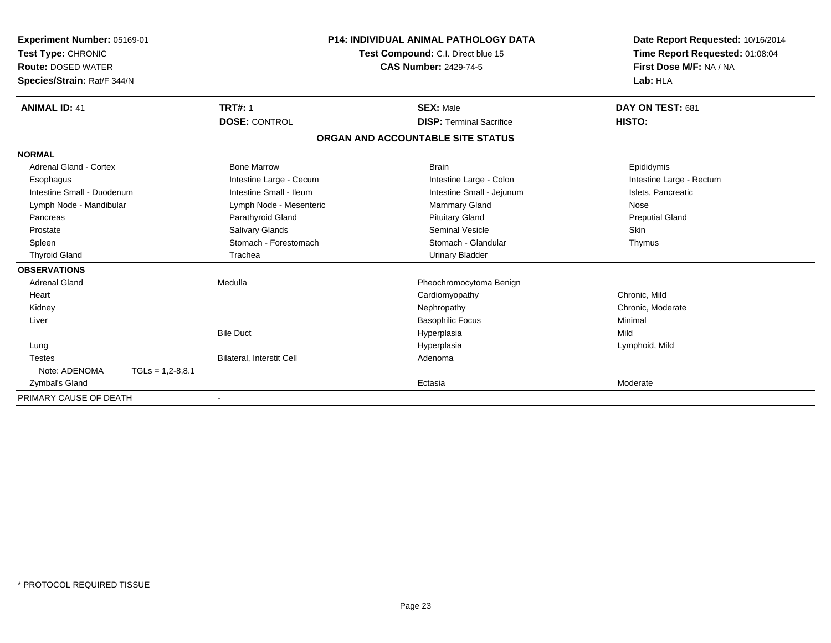| Experiment Number: 05169-01 |                    |                           | <b>P14: INDIVIDUAL ANIMAL PATHOLOGY DATA</b>                       |                                   |  | Date Report Requested: 10/16/2014                          |  |
|-----------------------------|--------------------|---------------------------|--------------------------------------------------------------------|-----------------------------------|--|------------------------------------------------------------|--|
| Test Type: CHRONIC          |                    |                           | Test Compound: C.I. Direct blue 15<br><b>CAS Number: 2429-74-5</b> |                                   |  | Time Report Requested: 01:08:04<br>First Dose M/F: NA / NA |  |
| <b>Route: DOSED WATER</b>   |                    |                           |                                                                    |                                   |  |                                                            |  |
| Species/Strain: Rat/F 344/N |                    |                           |                                                                    |                                   |  | Lab: HLA                                                   |  |
| <b>ANIMAL ID: 41</b>        |                    | <b>TRT#: 1</b>            |                                                                    | <b>SEX: Male</b>                  |  | DAY ON TEST: 681                                           |  |
|                             |                    | <b>DOSE: CONTROL</b>      |                                                                    | <b>DISP: Terminal Sacrifice</b>   |  | HISTO:                                                     |  |
|                             |                    |                           |                                                                    | ORGAN AND ACCOUNTABLE SITE STATUS |  |                                                            |  |
| <b>NORMAL</b>               |                    |                           |                                                                    |                                   |  |                                                            |  |
| Adrenal Gland - Cortex      |                    | <b>Bone Marrow</b>        |                                                                    | <b>Brain</b>                      |  | Epididymis                                                 |  |
| Esophagus                   |                    | Intestine Large - Cecum   |                                                                    | Intestine Large - Colon           |  | Intestine Large - Rectum                                   |  |
| Intestine Small - Duodenum  |                    | Intestine Small - Ileum   |                                                                    | Intestine Small - Jejunum         |  | Islets, Pancreatic                                         |  |
| Lymph Node - Mandibular     |                    | Lymph Node - Mesenteric   |                                                                    | Mammary Gland                     |  | Nose                                                       |  |
| Pancreas                    |                    | Parathyroid Gland         |                                                                    | <b>Pituitary Gland</b>            |  | <b>Preputial Gland</b>                                     |  |
| Prostate                    |                    | <b>Salivary Glands</b>    |                                                                    | Seminal Vesicle                   |  | <b>Skin</b>                                                |  |
| Spleen                      |                    | Stomach - Forestomach     |                                                                    | Stomach - Glandular               |  | Thymus                                                     |  |
| <b>Thyroid Gland</b>        |                    | Trachea                   |                                                                    | <b>Urinary Bladder</b>            |  |                                                            |  |
| <b>OBSERVATIONS</b>         |                    |                           |                                                                    |                                   |  |                                                            |  |
| <b>Adrenal Gland</b>        |                    | Medulla                   |                                                                    | Pheochromocytoma Benign           |  |                                                            |  |
| Heart                       |                    |                           |                                                                    | Cardiomyopathy                    |  | Chronic, Mild                                              |  |
| Kidney                      |                    |                           |                                                                    | Nephropathy                       |  | Chronic, Moderate                                          |  |
| Liver                       |                    |                           |                                                                    | <b>Basophilic Focus</b>           |  | Minimal                                                    |  |
|                             |                    | <b>Bile Duct</b>          |                                                                    | Hyperplasia                       |  | Mild                                                       |  |
| Lung                        |                    |                           |                                                                    | Hyperplasia                       |  | Lymphoid, Mild                                             |  |
| <b>Testes</b>               |                    | Bilateral, Interstit Cell |                                                                    | Adenoma                           |  |                                                            |  |
| Note: ADENOMA               | $TGLs = 1,2-8,8.1$ |                           |                                                                    |                                   |  |                                                            |  |
| Zymbal's Gland              |                    |                           |                                                                    | Ectasia                           |  | Moderate                                                   |  |
| PRIMARY CAUSE OF DEATH      |                    | $\overline{\phantom{a}}$  |                                                                    |                                   |  |                                                            |  |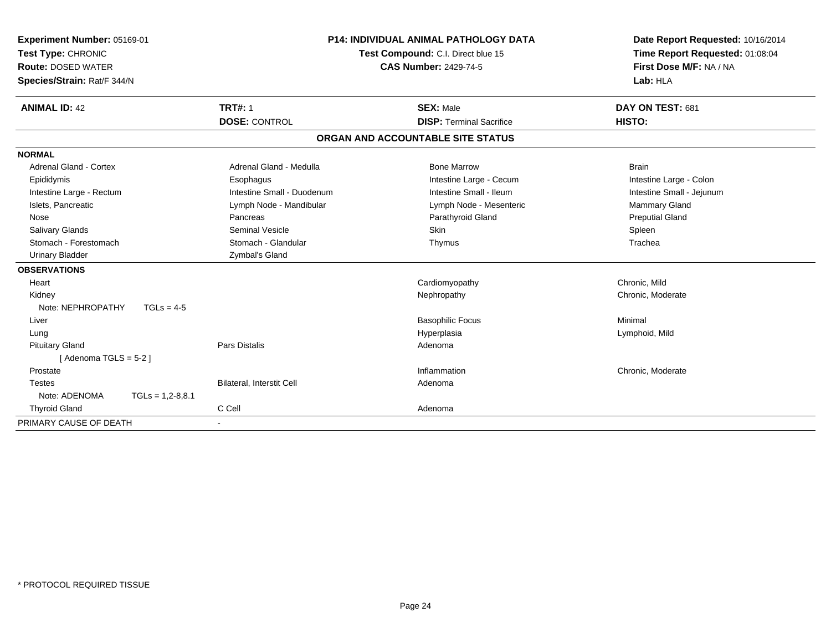| Experiment Number: 05169-01<br>Test Type: CHRONIC<br><b>Route: DOSED WATER</b><br>Species/Strain: Rat/F 344/N |                            | <b>P14: INDIVIDUAL ANIMAL PATHOLOGY DATA</b><br>Test Compound: C.I. Direct blue 15<br><b>CAS Number: 2429-74-5</b> | Date Report Requested: 10/16/2014<br>Time Report Requested: 01:08:04<br>First Dose M/F: NA / NA<br>Lab: HLA |
|---------------------------------------------------------------------------------------------------------------|----------------------------|--------------------------------------------------------------------------------------------------------------------|-------------------------------------------------------------------------------------------------------------|
| <b>ANIMAL ID: 42</b>                                                                                          | <b>TRT#: 1</b>             | <b>SEX: Male</b>                                                                                                   | DAY ON TEST: 681                                                                                            |
|                                                                                                               | <b>DOSE: CONTROL</b>       | <b>DISP: Terminal Sacrifice</b>                                                                                    | HISTO:                                                                                                      |
|                                                                                                               |                            | ORGAN AND ACCOUNTABLE SITE STATUS                                                                                  |                                                                                                             |
| <b>NORMAL</b>                                                                                                 |                            |                                                                                                                    |                                                                                                             |
| <b>Adrenal Gland - Cortex</b>                                                                                 | Adrenal Gland - Medulla    | <b>Bone Marrow</b>                                                                                                 | <b>Brain</b>                                                                                                |
| Epididymis                                                                                                    | Esophagus                  | Intestine Large - Cecum                                                                                            | Intestine Large - Colon                                                                                     |
| Intestine Large - Rectum                                                                                      | Intestine Small - Duodenum | Intestine Small - Ileum                                                                                            | Intestine Small - Jejunum                                                                                   |
| Islets, Pancreatic                                                                                            | Lymph Node - Mandibular    | Lymph Node - Mesenteric                                                                                            | Mammary Gland                                                                                               |
| Nose                                                                                                          | Pancreas                   | Parathyroid Gland                                                                                                  | <b>Preputial Gland</b>                                                                                      |
| <b>Salivary Glands</b>                                                                                        | <b>Seminal Vesicle</b>     | <b>Skin</b>                                                                                                        | Spleen                                                                                                      |
| Stomach - Forestomach                                                                                         | Stomach - Glandular        | Thymus                                                                                                             | Trachea                                                                                                     |
| <b>Urinary Bladder</b>                                                                                        | Zymbal's Gland             |                                                                                                                    |                                                                                                             |
| <b>OBSERVATIONS</b>                                                                                           |                            |                                                                                                                    |                                                                                                             |
| Heart                                                                                                         |                            | Cardiomyopathy                                                                                                     | Chronic, Mild                                                                                               |
| Kidney                                                                                                        |                            | Nephropathy                                                                                                        | Chronic, Moderate                                                                                           |
| Note: NEPHROPATHY<br>$TGLs = 4-5$                                                                             |                            |                                                                                                                    |                                                                                                             |
| Liver                                                                                                         |                            | <b>Basophilic Focus</b>                                                                                            | Minimal                                                                                                     |
| Lung                                                                                                          |                            | Hyperplasia                                                                                                        | Lymphoid, Mild                                                                                              |
| <b>Pituitary Gland</b>                                                                                        | <b>Pars Distalis</b>       | Adenoma                                                                                                            |                                                                                                             |
| [Adenoma TGLS = $5-2$ ]                                                                                       |                            |                                                                                                                    |                                                                                                             |
| Prostate                                                                                                      |                            | Inflammation                                                                                                       | Chronic, Moderate                                                                                           |
| <b>Testes</b>                                                                                                 | Bilateral, Interstit Cell  | Adenoma                                                                                                            |                                                                                                             |
| Note: ADENOMA<br>$TGLs = 1,2-8,8.1$                                                                           |                            |                                                                                                                    |                                                                                                             |
| <b>Thyroid Gland</b>                                                                                          | C Cell                     | Adenoma                                                                                                            |                                                                                                             |
| PRIMARY CAUSE OF DEATH                                                                                        |                            |                                                                                                                    |                                                                                                             |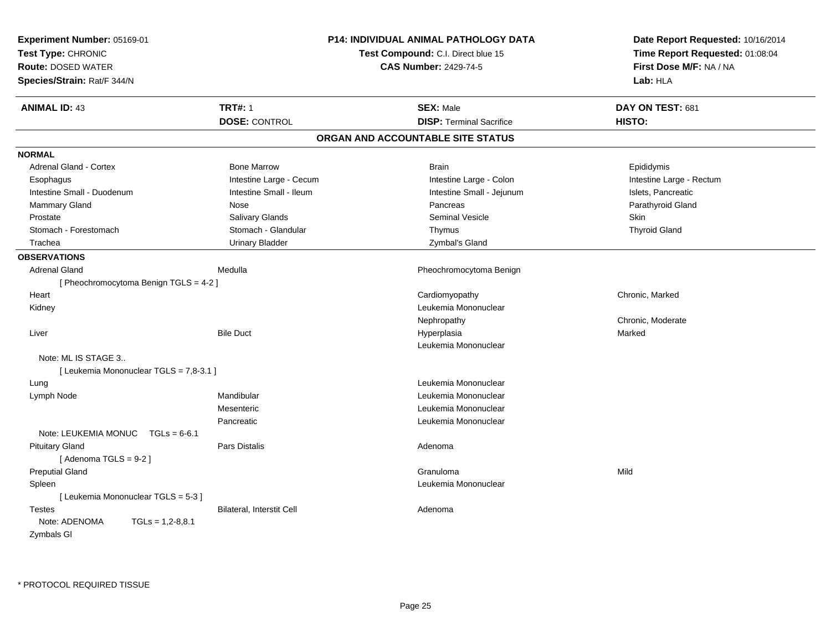| Experiment Number: 05169-01<br>Test Type: CHRONIC<br><b>Route: DOSED WATER</b><br>Species/Strain: Rat/F 344/N |                           | P14: INDIVIDUAL ANIMAL PATHOLOGY DATA<br>Test Compound: C.I. Direct blue 15<br><b>CAS Number: 2429-74-5</b> | Date Report Requested: 10/16/2014<br>Time Report Requested: 01:08:04<br>First Dose M/F: NA / NA<br>Lab: HLA |
|---------------------------------------------------------------------------------------------------------------|---------------------------|-------------------------------------------------------------------------------------------------------------|-------------------------------------------------------------------------------------------------------------|
| <b>ANIMAL ID: 43</b>                                                                                          | <b>TRT#: 1</b>            | <b>SEX: Male</b>                                                                                            | DAY ON TEST: 681                                                                                            |
|                                                                                                               | <b>DOSE: CONTROL</b>      | <b>DISP: Terminal Sacrifice</b>                                                                             | HISTO:                                                                                                      |
|                                                                                                               |                           | ORGAN AND ACCOUNTABLE SITE STATUS                                                                           |                                                                                                             |
| <b>NORMAL</b>                                                                                                 |                           |                                                                                                             |                                                                                                             |
| <b>Adrenal Gland - Cortex</b>                                                                                 | <b>Bone Marrow</b>        | <b>Brain</b>                                                                                                | Epididymis                                                                                                  |
| Esophagus                                                                                                     | Intestine Large - Cecum   | Intestine Large - Colon                                                                                     | Intestine Large - Rectum                                                                                    |
| Intestine Small - Duodenum                                                                                    | Intestine Small - Ileum   | Intestine Small - Jejunum                                                                                   | Islets, Pancreatic                                                                                          |
| <b>Mammary Gland</b>                                                                                          | Nose                      | Pancreas                                                                                                    | Parathyroid Gland                                                                                           |
| Prostate                                                                                                      | Salivary Glands           | <b>Seminal Vesicle</b>                                                                                      | Skin                                                                                                        |
| Stomach - Forestomach                                                                                         | Stomach - Glandular       | Thymus                                                                                                      | <b>Thyroid Gland</b>                                                                                        |
| Trachea                                                                                                       | <b>Urinary Bladder</b>    | Zymbal's Gland                                                                                              |                                                                                                             |
| <b>OBSERVATIONS</b>                                                                                           |                           |                                                                                                             |                                                                                                             |
| <b>Adrenal Gland</b>                                                                                          | Medulla                   | Pheochromocytoma Benign                                                                                     |                                                                                                             |
| [Pheochromocytoma Benign TGLS = $4-2$ ]                                                                       |                           |                                                                                                             |                                                                                                             |
| Heart                                                                                                         |                           | Cardiomyopathy                                                                                              | Chronic, Marked                                                                                             |
| Kidney                                                                                                        |                           | Leukemia Mononuclear                                                                                        |                                                                                                             |
|                                                                                                               |                           | Nephropathy                                                                                                 | Chronic, Moderate                                                                                           |
| Liver                                                                                                         | <b>Bile Duct</b>          | Hyperplasia                                                                                                 | Marked                                                                                                      |
|                                                                                                               |                           | Leukemia Mononuclear                                                                                        |                                                                                                             |
| Note: ML IS STAGE 3                                                                                           |                           |                                                                                                             |                                                                                                             |
| [ Leukemia Mononuclear TGLS = 7,8-3.1 ]                                                                       |                           |                                                                                                             |                                                                                                             |
| Lung                                                                                                          |                           | Leukemia Mononuclear                                                                                        |                                                                                                             |
| Lymph Node                                                                                                    | Mandibular                | Leukemia Mononuclear                                                                                        |                                                                                                             |
|                                                                                                               | Mesenteric                | Leukemia Mononuclear                                                                                        |                                                                                                             |
|                                                                                                               | Pancreatic                | Leukemia Mononuclear                                                                                        |                                                                                                             |
| Note: LEUKEMIA MONUC<br>$TGLs = 6-6.1$                                                                        |                           |                                                                                                             |                                                                                                             |
| <b>Pituitary Gland</b>                                                                                        | Pars Distalis             | Adenoma                                                                                                     |                                                                                                             |
| [Adenoma TGLS = $9-2$ ]                                                                                       |                           |                                                                                                             |                                                                                                             |
| <b>Preputial Gland</b>                                                                                        |                           | Granuloma                                                                                                   | Mild                                                                                                        |
| Spleen                                                                                                        |                           | Leukemia Mononuclear                                                                                        |                                                                                                             |
| [ Leukemia Mononuclear TGLS = 5-3 ]                                                                           |                           |                                                                                                             |                                                                                                             |
| <b>Testes</b>                                                                                                 | Bilateral, Interstit Cell | Adenoma                                                                                                     |                                                                                                             |
| Note: ADENOMA<br>$TGLs = 1,2-8,8.1$                                                                           |                           |                                                                                                             |                                                                                                             |
| Zymbals GI                                                                                                    |                           |                                                                                                             |                                                                                                             |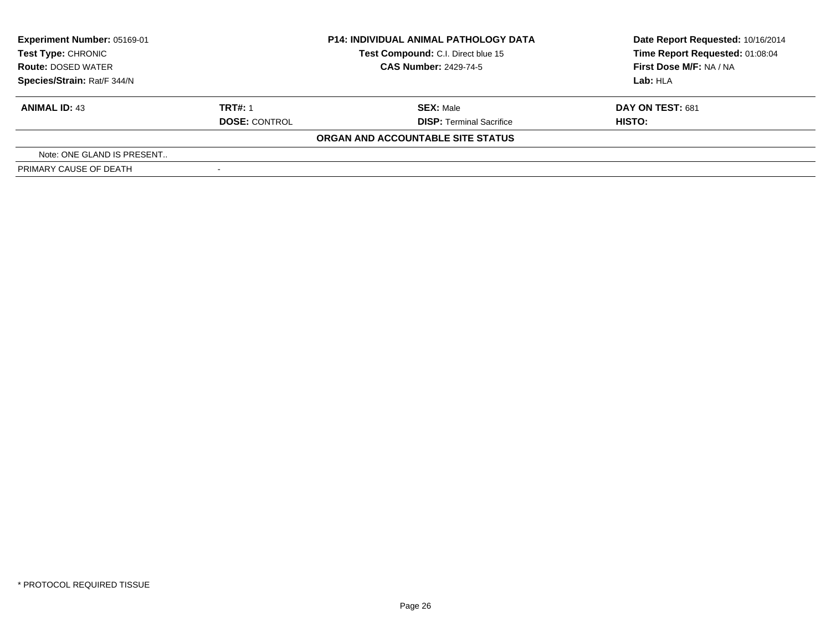| Experiment Number: 05169-01<br><b>Test Type: CHRONIC</b> |                              | <b>P14: INDIVIDUAL ANIMAL PATHOLOGY DATA</b><br>Test Compound: C.I. Direct blue 15 | Date Report Requested: 10/16/2014<br>Time Report Requested: 01:08:04 |  |
|----------------------------------------------------------|------------------------------|------------------------------------------------------------------------------------|----------------------------------------------------------------------|--|
| <b>Route: DOSED WATER</b>                                | <b>CAS Number: 2429-74-5</b> |                                                                                    | First Dose M/F: NA / NA                                              |  |
| Species/Strain: Rat/F 344/N                              |                              |                                                                                    | Lab: HLA                                                             |  |
| <b>ANIMAL ID: 43</b>                                     | <b>TRT#: 1</b>               | <b>SEX: Male</b>                                                                   | DAY ON TEST: 681                                                     |  |
|                                                          | <b>DOSE: CONTROL</b>         | <b>DISP: Terminal Sacrifice</b>                                                    | HISTO:                                                               |  |
|                                                          |                              | ORGAN AND ACCOUNTABLE SITE STATUS                                                  |                                                                      |  |
| Note: ONE GLAND IS PRESENT                               |                              |                                                                                    |                                                                      |  |
| PRIMARY CAUSE OF DEATH                                   |                              |                                                                                    |                                                                      |  |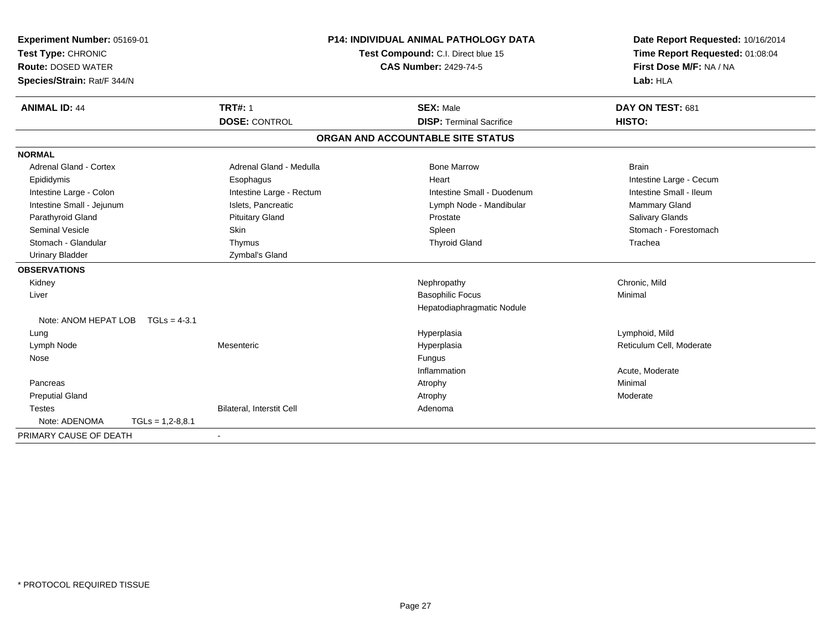| Experiment Number: 05169-01<br>Test Type: CHRONIC |                           | <b>P14: INDIVIDUAL ANIMAL PATHOLOGY DATA</b><br>Test Compound: C.I. Direct blue 15 | Date Report Requested: 10/16/2014<br>Time Report Requested: 01:08:04 |  |
|---------------------------------------------------|---------------------------|------------------------------------------------------------------------------------|----------------------------------------------------------------------|--|
| <b>Route: DOSED WATER</b>                         |                           | <b>CAS Number: 2429-74-5</b>                                                       | First Dose M/F: NA / NA                                              |  |
| Species/Strain: Rat/F 344/N                       |                           |                                                                                    | Lab: HLA                                                             |  |
| <b>ANIMAL ID: 44</b>                              | <b>TRT#: 1</b>            | <b>SEX: Male</b>                                                                   | DAY ON TEST: 681                                                     |  |
|                                                   | <b>DOSE: CONTROL</b>      | <b>DISP: Terminal Sacrifice</b>                                                    | HISTO:                                                               |  |
|                                                   |                           | ORGAN AND ACCOUNTABLE SITE STATUS                                                  |                                                                      |  |
| <b>NORMAL</b>                                     |                           |                                                                                    |                                                                      |  |
| Adrenal Gland - Cortex                            | Adrenal Gland - Medulla   | <b>Bone Marrow</b>                                                                 | <b>Brain</b>                                                         |  |
| Epididymis                                        | Esophagus                 | Heart                                                                              | Intestine Large - Cecum                                              |  |
| Intestine Large - Colon                           | Intestine Large - Rectum  | Intestine Small - Duodenum                                                         | Intestine Small - Ileum                                              |  |
| Intestine Small - Jejunum                         | Islets, Pancreatic        | Lymph Node - Mandibular                                                            | Mammary Gland                                                        |  |
| Parathyroid Gland                                 | <b>Pituitary Gland</b>    | Prostate                                                                           | Salivary Glands                                                      |  |
| <b>Seminal Vesicle</b>                            | Skin                      | Spleen                                                                             | Stomach - Forestomach                                                |  |
| Stomach - Glandular                               | Thymus                    | <b>Thyroid Gland</b>                                                               | Trachea                                                              |  |
| <b>Urinary Bladder</b>                            | Zymbal's Gland            |                                                                                    |                                                                      |  |
| <b>OBSERVATIONS</b>                               |                           |                                                                                    |                                                                      |  |
| Kidney                                            |                           | Nephropathy                                                                        | Chronic, Mild                                                        |  |
| Liver                                             |                           | <b>Basophilic Focus</b>                                                            | Minimal                                                              |  |
|                                                   |                           | Hepatodiaphragmatic Nodule                                                         |                                                                      |  |
| Note: ANOM HEPAT LOB<br>$TGLs = 4-3.1$            |                           |                                                                                    |                                                                      |  |
| Lung                                              |                           | Hyperplasia                                                                        | Lymphoid, Mild                                                       |  |
| Lymph Node                                        | Mesenteric                | Hyperplasia                                                                        | Reticulum Cell, Moderate                                             |  |
| Nose                                              |                           | Fungus                                                                             |                                                                      |  |
|                                                   |                           | Inflammation                                                                       | Acute, Moderate                                                      |  |
| Pancreas                                          |                           | Atrophy                                                                            | Minimal                                                              |  |
| <b>Preputial Gland</b>                            |                           | Atrophy                                                                            | Moderate                                                             |  |
| <b>Testes</b>                                     | Bilateral, Interstit Cell | Adenoma                                                                            |                                                                      |  |
| Note: ADENOMA<br>$TGLs = 1,2-8,8.1$               |                           |                                                                                    |                                                                      |  |
| PRIMARY CAUSE OF DEATH                            | $\blacksquare$            |                                                                                    |                                                                      |  |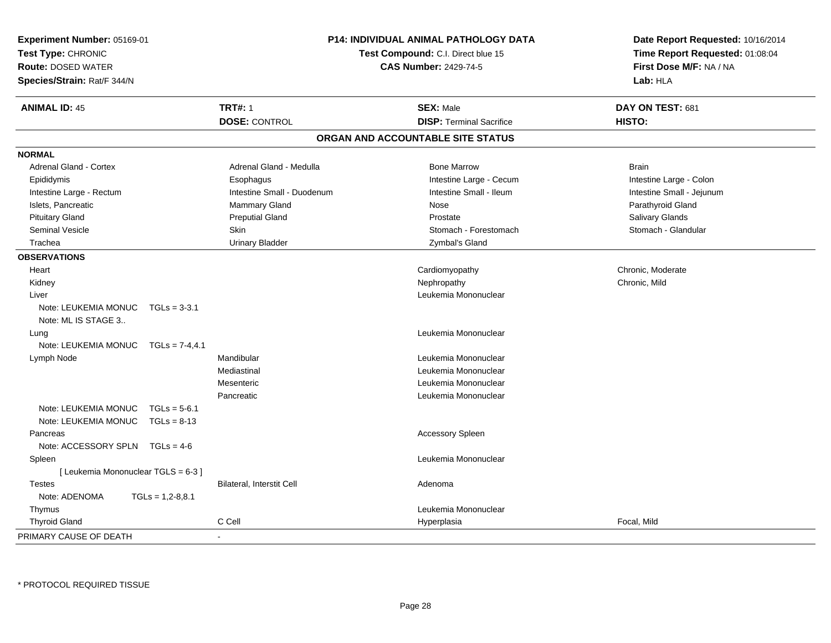| Experiment Number: 05169-01<br>Test Type: CHRONIC<br><b>Route: DOSED WATER</b><br>Species/Strain: Rat/F 344/N | <b>P14: INDIVIDUAL ANIMAL PATHOLOGY DATA</b><br>Test Compound: C.I. Direct blue 15<br><b>CAS Number: 2429-74-5</b> |                                   | Date Report Requested: 10/16/2014<br>Time Report Requested: 01:08:04<br>First Dose M/F: NA / NA<br>Lab: HLA |
|---------------------------------------------------------------------------------------------------------------|--------------------------------------------------------------------------------------------------------------------|-----------------------------------|-------------------------------------------------------------------------------------------------------------|
| <b>ANIMAL ID: 45</b>                                                                                          | <b>TRT#: 1</b>                                                                                                     | <b>SEX: Male</b>                  | DAY ON TEST: 681                                                                                            |
|                                                                                                               | <b>DOSE: CONTROL</b>                                                                                               | <b>DISP: Terminal Sacrifice</b>   | HISTO:                                                                                                      |
|                                                                                                               |                                                                                                                    | ORGAN AND ACCOUNTABLE SITE STATUS |                                                                                                             |
| <b>NORMAL</b>                                                                                                 |                                                                                                                    |                                   |                                                                                                             |
| <b>Adrenal Gland - Cortex</b>                                                                                 | Adrenal Gland - Medulla                                                                                            | <b>Bone Marrow</b>                | <b>Brain</b>                                                                                                |
| Epididymis                                                                                                    | Esophagus                                                                                                          | Intestine Large - Cecum           | Intestine Large - Colon                                                                                     |
| Intestine Large - Rectum                                                                                      | Intestine Small - Duodenum                                                                                         | Intestine Small - Ileum           | Intestine Small - Jejunum                                                                                   |
| Islets, Pancreatic                                                                                            | <b>Mammary Gland</b>                                                                                               | Nose                              | Parathyroid Gland                                                                                           |
| <b>Pituitary Gland</b>                                                                                        | <b>Preputial Gland</b>                                                                                             | Prostate                          | Salivary Glands                                                                                             |
| <b>Seminal Vesicle</b>                                                                                        | Skin                                                                                                               | Stomach - Forestomach             | Stomach - Glandular                                                                                         |
| Trachea                                                                                                       | <b>Urinary Bladder</b>                                                                                             | Zymbal's Gland                    |                                                                                                             |
| <b>OBSERVATIONS</b>                                                                                           |                                                                                                                    |                                   |                                                                                                             |
| Heart                                                                                                         |                                                                                                                    | Cardiomyopathy                    | Chronic, Moderate                                                                                           |
| Kidney                                                                                                        |                                                                                                                    | Nephropathy                       | Chronic, Mild                                                                                               |
| Liver                                                                                                         |                                                                                                                    | Leukemia Mononuclear              |                                                                                                             |
| Note: LEUKEMIA MONUC $TGLs = 3-3.1$<br>Note: ML IS STAGE 3                                                    |                                                                                                                    |                                   |                                                                                                             |
| Lung                                                                                                          |                                                                                                                    | Leukemia Mononuclear              |                                                                                                             |
| Note: LEUKEMIA MONUC TGLs = 7-4,4.1                                                                           |                                                                                                                    |                                   |                                                                                                             |
| Lymph Node                                                                                                    | Mandibular                                                                                                         | Leukemia Mononuclear              |                                                                                                             |
|                                                                                                               | Mediastinal                                                                                                        | Leukemia Mononuclear              |                                                                                                             |
|                                                                                                               | Mesenteric                                                                                                         | Leukemia Mononuclear              |                                                                                                             |
|                                                                                                               | Pancreatic                                                                                                         | Leukemia Mononuclear              |                                                                                                             |
| Note: LEUKEMIA MONUC<br>$TGLs = 5-6.1$                                                                        |                                                                                                                    |                                   |                                                                                                             |
| Note: LEUKEMIA MONUC TGLs = 8-13                                                                              |                                                                                                                    |                                   |                                                                                                             |
| Pancreas                                                                                                      |                                                                                                                    | Accessory Spleen                  |                                                                                                             |
| Note: ACCESSORY SPLN $TGLs = 4-6$                                                                             |                                                                                                                    |                                   |                                                                                                             |
| Spleen                                                                                                        |                                                                                                                    | Leukemia Mononuclear              |                                                                                                             |
| [ Leukemia Mononuclear TGLS = 6-3 ]                                                                           |                                                                                                                    |                                   |                                                                                                             |
| <b>Testes</b>                                                                                                 | Bilateral, Interstit Cell                                                                                          | Adenoma                           |                                                                                                             |
| Note: ADENOMA<br>$TGLs = 1,2-8,8.1$                                                                           |                                                                                                                    |                                   |                                                                                                             |
| Thymus                                                                                                        |                                                                                                                    | Leukemia Mononuclear              |                                                                                                             |
| <b>Thyroid Gland</b>                                                                                          | C Cell                                                                                                             | Hyperplasia                       | Focal, Mild                                                                                                 |
| PRIMARY CAUSE OF DEATH                                                                                        | L,                                                                                                                 |                                   |                                                                                                             |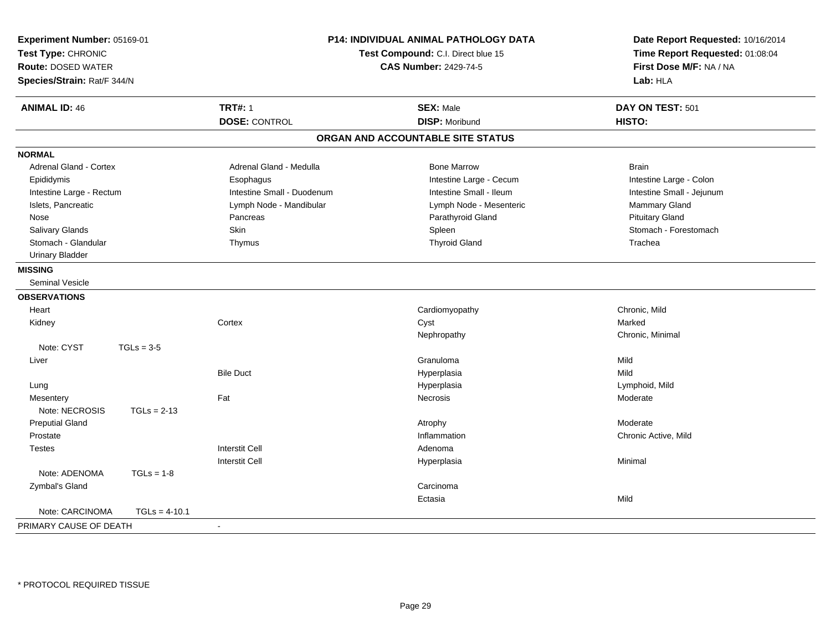| Experiment Number: 05169-01<br>Test Type: CHRONIC<br><b>Route: DOSED WATER</b><br>Species/Strain: Rat/F 344/N |                 | <b>P14: INDIVIDUAL ANIMAL PATHOLOGY DATA</b><br>Test Compound: C.I. Direct blue 15 | Date Report Requested: 10/16/2014<br>Time Report Requested: 01:08:04<br>First Dose M/F: NA / NA<br>Lab: HLA |                           |
|---------------------------------------------------------------------------------------------------------------|-----------------|------------------------------------------------------------------------------------|-------------------------------------------------------------------------------------------------------------|---------------------------|
| <b>ANIMAL ID: 46</b>                                                                                          |                 | <b>TRT#: 1</b>                                                                     | <b>SEX: Male</b>                                                                                            | DAY ON TEST: 501          |
|                                                                                                               |                 | <b>DOSE: CONTROL</b>                                                               | <b>DISP: Moribund</b>                                                                                       | HISTO:                    |
|                                                                                                               |                 |                                                                                    | ORGAN AND ACCOUNTABLE SITE STATUS                                                                           |                           |
| <b>NORMAL</b>                                                                                                 |                 |                                                                                    |                                                                                                             |                           |
| <b>Adrenal Gland - Cortex</b>                                                                                 |                 | Adrenal Gland - Medulla                                                            | <b>Bone Marrow</b>                                                                                          | <b>Brain</b>              |
| Epididymis                                                                                                    |                 | Esophagus                                                                          | Intestine Large - Cecum                                                                                     | Intestine Large - Colon   |
| Intestine Large - Rectum                                                                                      |                 | Intestine Small - Duodenum                                                         | Intestine Small - Ileum                                                                                     | Intestine Small - Jejunum |
| Islets, Pancreatic                                                                                            |                 | Lymph Node - Mandibular                                                            | Lymph Node - Mesenteric                                                                                     | Mammary Gland             |
| Nose                                                                                                          |                 | Pancreas                                                                           | Parathyroid Gland                                                                                           | <b>Pituitary Gland</b>    |
| Salivary Glands                                                                                               |                 | Skin                                                                               | Spleen                                                                                                      | Stomach - Forestomach     |
| Stomach - Glandular                                                                                           |                 | Thymus                                                                             | <b>Thyroid Gland</b>                                                                                        | Trachea                   |
| <b>Urinary Bladder</b>                                                                                        |                 |                                                                                    |                                                                                                             |                           |
| <b>MISSING</b>                                                                                                |                 |                                                                                    |                                                                                                             |                           |
| <b>Seminal Vesicle</b>                                                                                        |                 |                                                                                    |                                                                                                             |                           |
| <b>OBSERVATIONS</b>                                                                                           |                 |                                                                                    |                                                                                                             |                           |
| Heart                                                                                                         |                 |                                                                                    | Cardiomyopathy                                                                                              | Chronic, Mild             |
| Kidney                                                                                                        |                 | Cortex                                                                             | Cyst                                                                                                        | Marked                    |
|                                                                                                               |                 |                                                                                    | Nephropathy                                                                                                 | Chronic, Minimal          |
| Note: CYST                                                                                                    | $TGLs = 3-5$    |                                                                                    |                                                                                                             |                           |
| Liver                                                                                                         |                 |                                                                                    | Granuloma                                                                                                   | Mild                      |
|                                                                                                               |                 | <b>Bile Duct</b>                                                                   | Hyperplasia                                                                                                 | Mild                      |
| Lung                                                                                                          |                 |                                                                                    | Hyperplasia                                                                                                 | Lymphoid, Mild            |
| Mesentery                                                                                                     |                 | Fat                                                                                | Necrosis                                                                                                    | Moderate                  |
| Note: NECROSIS                                                                                                | $TGLs = 2-13$   |                                                                                    |                                                                                                             |                           |
| <b>Preputial Gland</b>                                                                                        |                 |                                                                                    | Atrophy                                                                                                     | Moderate                  |
| Prostate                                                                                                      |                 |                                                                                    | Inflammation                                                                                                | Chronic Active, Mild      |
| <b>Testes</b>                                                                                                 |                 | <b>Interstit Cell</b>                                                              | Adenoma                                                                                                     |                           |
|                                                                                                               |                 | <b>Interstit Cell</b>                                                              | Hyperplasia                                                                                                 | Minimal                   |
| Note: ADENOMA                                                                                                 | $TGLs = 1-8$    |                                                                                    |                                                                                                             |                           |
| Zymbal's Gland                                                                                                |                 |                                                                                    | Carcinoma                                                                                                   |                           |
|                                                                                                               |                 |                                                                                    | Ectasia                                                                                                     | Mild                      |
| Note: CARCINOMA                                                                                               | $TGLs = 4-10.1$ |                                                                                    |                                                                                                             |                           |
| PRIMARY CAUSE OF DEATH                                                                                        |                 | $\sim$                                                                             |                                                                                                             |                           |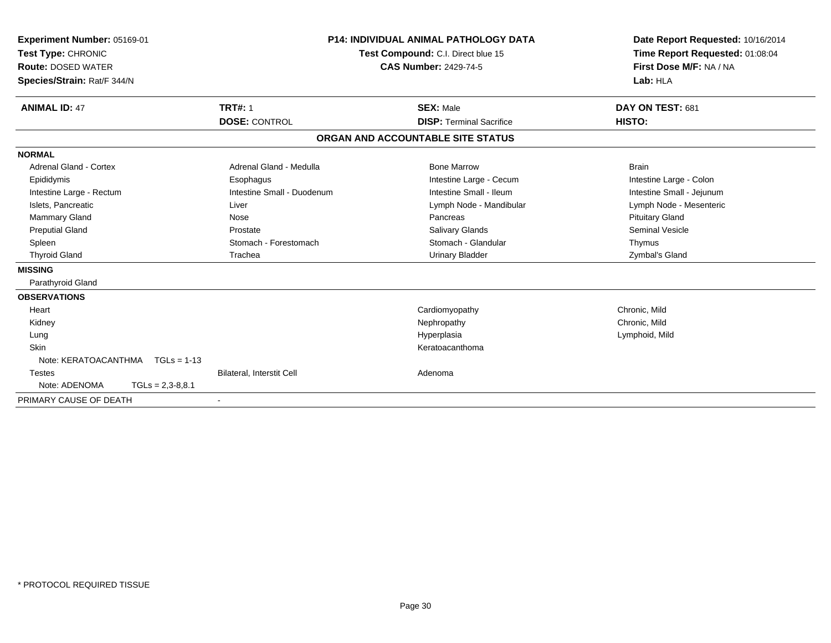| Experiment Number: 05169-01<br>Test Type: CHRONIC<br><b>Route: DOSED WATER</b><br>Species/Strain: Rat/F 344/N |                    |                                        | <b>P14: INDIVIDUAL ANIMAL PATHOLOGY DATA</b><br>Test Compound: C.I. Direct blue 15<br><b>CAS Number: 2429-74-5</b> |                                                     | Date Report Requested: 10/16/2014<br>Time Report Requested: 01:08:04<br>First Dose M/F: NA / NA<br>Lab: HLA |
|---------------------------------------------------------------------------------------------------------------|--------------------|----------------------------------------|--------------------------------------------------------------------------------------------------------------------|-----------------------------------------------------|-------------------------------------------------------------------------------------------------------------|
| <b>ANIMAL ID: 47</b>                                                                                          |                    | <b>TRT#: 1</b><br><b>DOSE: CONTROL</b> |                                                                                                                    | <b>SEX: Male</b><br><b>DISP: Terminal Sacrifice</b> | DAY ON TEST: 681<br>HISTO:                                                                                  |
|                                                                                                               |                    |                                        |                                                                                                                    |                                                     |                                                                                                             |
|                                                                                                               |                    |                                        |                                                                                                                    | ORGAN AND ACCOUNTABLE SITE STATUS                   |                                                                                                             |
| <b>NORMAL</b>                                                                                                 |                    |                                        |                                                                                                                    |                                                     |                                                                                                             |
| Adrenal Gland - Cortex                                                                                        |                    | Adrenal Gland - Medulla                |                                                                                                                    | <b>Bone Marrow</b>                                  | <b>Brain</b>                                                                                                |
| Epididymis                                                                                                    |                    | Esophagus                              |                                                                                                                    | Intestine Large - Cecum                             | Intestine Large - Colon                                                                                     |
| Intestine Large - Rectum                                                                                      |                    | Intestine Small - Duodenum             |                                                                                                                    | Intestine Small - Ileum                             | Intestine Small - Jejunum                                                                                   |
| Islets, Pancreatic                                                                                            |                    | Liver                                  |                                                                                                                    | Lymph Node - Mandibular                             | Lymph Node - Mesenteric                                                                                     |
| Mammary Gland                                                                                                 |                    | Nose                                   |                                                                                                                    | Pancreas                                            | <b>Pituitary Gland</b>                                                                                      |
| <b>Preputial Gland</b>                                                                                        |                    | Prostate                               |                                                                                                                    | <b>Salivary Glands</b>                              | Seminal Vesicle                                                                                             |
| Spleen                                                                                                        |                    | Stomach - Forestomach                  |                                                                                                                    | Stomach - Glandular                                 | Thymus                                                                                                      |
| <b>Thyroid Gland</b>                                                                                          |                    | Trachea                                |                                                                                                                    | <b>Urinary Bladder</b>                              | Zymbal's Gland                                                                                              |
| <b>MISSING</b>                                                                                                |                    |                                        |                                                                                                                    |                                                     |                                                                                                             |
| Parathyroid Gland                                                                                             |                    |                                        |                                                                                                                    |                                                     |                                                                                                             |
| <b>OBSERVATIONS</b>                                                                                           |                    |                                        |                                                                                                                    |                                                     |                                                                                                             |
| Heart                                                                                                         |                    |                                        |                                                                                                                    | Cardiomyopathy                                      | Chronic, Mild                                                                                               |
| Kidney                                                                                                        |                    |                                        |                                                                                                                    | Nephropathy                                         | Chronic, Mild                                                                                               |
| Lung                                                                                                          |                    |                                        |                                                                                                                    | Hyperplasia                                         | Lymphoid, Mild                                                                                              |
| Skin                                                                                                          |                    |                                        |                                                                                                                    | Keratoacanthoma                                     |                                                                                                             |
| Note: KERATOACANTHMA   TGLs = 1-13                                                                            |                    |                                        |                                                                                                                    |                                                     |                                                                                                             |
| <b>Testes</b>                                                                                                 |                    | Bilateral, Interstit Cell              |                                                                                                                    | Adenoma                                             |                                                                                                             |
| Note: ADENOMA                                                                                                 | $TGLs = 2,3-8,8.1$ |                                        |                                                                                                                    |                                                     |                                                                                                             |
| PRIMARY CAUSE OF DEATH                                                                                        |                    |                                        |                                                                                                                    |                                                     |                                                                                                             |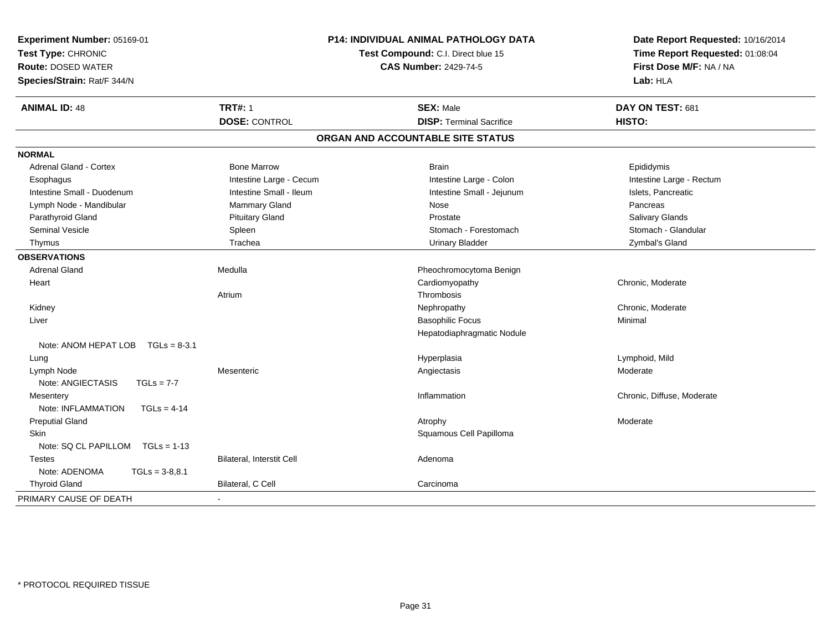| Experiment Number: 05169-01<br>Test Type: CHRONIC<br><b>Route: DOSED WATER</b><br>Species/Strain: Rat/F 344/N |                           | P14: INDIVIDUAL ANIMAL PATHOLOGY DATA<br>Test Compound: C.I. Direct blue 15<br><b>CAS Number: 2429-74-5</b> | Date Report Requested: 10/16/2014<br>Time Report Requested: 01:08:04<br>First Dose M/F: NA / NA<br>Lab: HLA |  |
|---------------------------------------------------------------------------------------------------------------|---------------------------|-------------------------------------------------------------------------------------------------------------|-------------------------------------------------------------------------------------------------------------|--|
| <b>ANIMAL ID: 48</b>                                                                                          | <b>TRT#: 1</b>            | <b>SEX: Male</b>                                                                                            | DAY ON TEST: 681                                                                                            |  |
|                                                                                                               | <b>DOSE: CONTROL</b>      | <b>DISP: Terminal Sacrifice</b>                                                                             | HISTO:                                                                                                      |  |
|                                                                                                               |                           | ORGAN AND ACCOUNTABLE SITE STATUS                                                                           |                                                                                                             |  |
| <b>NORMAL</b>                                                                                                 |                           |                                                                                                             |                                                                                                             |  |
| <b>Adrenal Gland - Cortex</b>                                                                                 | <b>Bone Marrow</b>        | <b>Brain</b>                                                                                                | Epididymis                                                                                                  |  |
| Esophagus                                                                                                     | Intestine Large - Cecum   | Intestine Large - Colon                                                                                     | Intestine Large - Rectum                                                                                    |  |
| Intestine Small - Duodenum                                                                                    | Intestine Small - Ileum   | Intestine Small - Jejunum                                                                                   | Islets, Pancreatic                                                                                          |  |
| Lymph Node - Mandibular                                                                                       | Mammary Gland             | Nose                                                                                                        | Pancreas                                                                                                    |  |
| Parathyroid Gland                                                                                             | <b>Pituitary Gland</b>    | Prostate                                                                                                    | Salivary Glands                                                                                             |  |
| <b>Seminal Vesicle</b>                                                                                        | Spleen                    | Stomach - Forestomach                                                                                       | Stomach - Glandular                                                                                         |  |
| Thymus                                                                                                        | Trachea                   | <b>Urinary Bladder</b>                                                                                      | Zymbal's Gland                                                                                              |  |
| <b>OBSERVATIONS</b>                                                                                           |                           |                                                                                                             |                                                                                                             |  |
| <b>Adrenal Gland</b>                                                                                          | Medulla                   | Pheochromocytoma Benign                                                                                     |                                                                                                             |  |
| Heart                                                                                                         |                           | Cardiomyopathy                                                                                              | Chronic, Moderate                                                                                           |  |
|                                                                                                               | Atrium                    | Thrombosis                                                                                                  |                                                                                                             |  |
| Kidney                                                                                                        |                           | Nephropathy                                                                                                 | Chronic, Moderate                                                                                           |  |
| Liver                                                                                                         |                           | <b>Basophilic Focus</b>                                                                                     | Minimal                                                                                                     |  |
|                                                                                                               |                           | Hepatodiaphragmatic Nodule                                                                                  |                                                                                                             |  |
| Note: ANOM HEPAT LOB<br>$TGLs = 8-3.1$                                                                        |                           |                                                                                                             |                                                                                                             |  |
| Lung                                                                                                          |                           | Hyperplasia                                                                                                 | Lymphoid, Mild                                                                                              |  |
| Lymph Node                                                                                                    | Mesenteric                | Angiectasis                                                                                                 | Moderate                                                                                                    |  |
| Note: ANGIECTASIS<br>$TGLs = 7-7$                                                                             |                           |                                                                                                             |                                                                                                             |  |
| Mesentery                                                                                                     |                           | Inflammation                                                                                                | Chronic, Diffuse, Moderate                                                                                  |  |
| Note: INFLAMMATION<br>$TGLs = 4-14$                                                                           |                           |                                                                                                             |                                                                                                             |  |
| <b>Preputial Gland</b>                                                                                        |                           | Atrophy                                                                                                     | Moderate                                                                                                    |  |
| Skin                                                                                                          |                           | Squamous Cell Papilloma                                                                                     |                                                                                                             |  |
| Note: SQ CL PAPILLOM<br>$TGLs = 1-13$                                                                         |                           |                                                                                                             |                                                                                                             |  |
| <b>Testes</b>                                                                                                 | Bilateral, Interstit Cell | Adenoma                                                                                                     |                                                                                                             |  |
| Note: ADENOMA<br>$TGLs = 3-8,8.1$                                                                             |                           |                                                                                                             |                                                                                                             |  |
| <b>Thyroid Gland</b>                                                                                          | Bilateral, C Cell         | Carcinoma                                                                                                   |                                                                                                             |  |
| PRIMARY CAUSE OF DEATH                                                                                        |                           |                                                                                                             |                                                                                                             |  |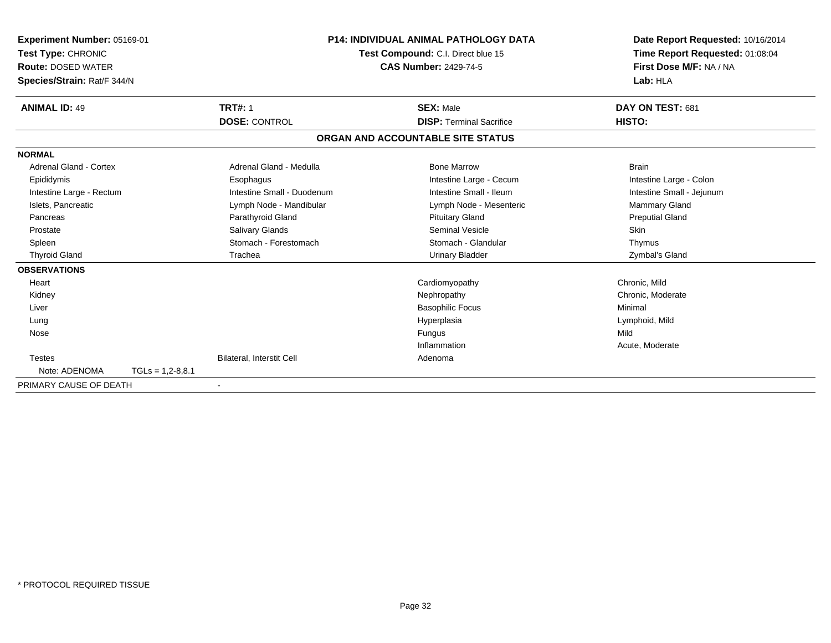| Experiment Number: 05169-01<br>Test Type: CHRONIC<br><b>Route: DOSED WATER</b> |                    |                            | <b>P14: INDIVIDUAL ANIMAL PATHOLOGY DATA</b><br>Test Compound: C.I. Direct blue 15<br><b>CAS Number: 2429-74-5</b> |                                   |  | Date Report Requested: 10/16/2014<br>Time Report Requested: 01:08:04<br>First Dose M/F: NA / NA |  |
|--------------------------------------------------------------------------------|--------------------|----------------------------|--------------------------------------------------------------------------------------------------------------------|-----------------------------------|--|-------------------------------------------------------------------------------------------------|--|
| Species/Strain: Rat/F 344/N                                                    |                    |                            |                                                                                                                    |                                   |  | Lab: HLA                                                                                        |  |
| <b>ANIMAL ID: 49</b>                                                           |                    | <b>TRT#: 1</b>             |                                                                                                                    | <b>SEX: Male</b>                  |  | DAY ON TEST: 681                                                                                |  |
|                                                                                |                    | <b>DOSE: CONTROL</b>       |                                                                                                                    | <b>DISP: Terminal Sacrifice</b>   |  | HISTO:                                                                                          |  |
|                                                                                |                    |                            |                                                                                                                    | ORGAN AND ACCOUNTABLE SITE STATUS |  |                                                                                                 |  |
| <b>NORMAL</b>                                                                  |                    |                            |                                                                                                                    |                                   |  |                                                                                                 |  |
| <b>Adrenal Gland - Cortex</b>                                                  |                    | Adrenal Gland - Medulla    |                                                                                                                    | <b>Bone Marrow</b>                |  | <b>Brain</b>                                                                                    |  |
| Epididymis                                                                     |                    | Esophagus                  |                                                                                                                    | Intestine Large - Cecum           |  | Intestine Large - Colon                                                                         |  |
| Intestine Large - Rectum                                                       |                    | Intestine Small - Duodenum |                                                                                                                    | Intestine Small - Ileum           |  | Intestine Small - Jejunum                                                                       |  |
| Islets, Pancreatic                                                             |                    | Lymph Node - Mandibular    |                                                                                                                    | Lymph Node - Mesenteric           |  | Mammary Gland                                                                                   |  |
| Pancreas                                                                       |                    | Parathyroid Gland          |                                                                                                                    | <b>Pituitary Gland</b>            |  | <b>Preputial Gland</b>                                                                          |  |
| Prostate                                                                       |                    | <b>Salivary Glands</b>     |                                                                                                                    | <b>Seminal Vesicle</b>            |  | <b>Skin</b>                                                                                     |  |
| Spleen                                                                         |                    | Stomach - Forestomach      |                                                                                                                    | Stomach - Glandular               |  | Thymus                                                                                          |  |
| <b>Thyroid Gland</b>                                                           |                    | Trachea                    |                                                                                                                    | <b>Urinary Bladder</b>            |  | Zymbal's Gland                                                                                  |  |
| <b>OBSERVATIONS</b>                                                            |                    |                            |                                                                                                                    |                                   |  |                                                                                                 |  |
| Heart                                                                          |                    |                            |                                                                                                                    | Cardiomyopathy                    |  | Chronic. Mild                                                                                   |  |
| Kidney                                                                         |                    |                            |                                                                                                                    | Nephropathy                       |  | Chronic, Moderate                                                                               |  |
| Liver                                                                          |                    |                            |                                                                                                                    | <b>Basophilic Focus</b>           |  | Minimal                                                                                         |  |
| Lung                                                                           |                    |                            |                                                                                                                    | Hyperplasia                       |  | Lymphoid, Mild                                                                                  |  |
| Nose                                                                           |                    |                            |                                                                                                                    | Fungus                            |  | Mild                                                                                            |  |
|                                                                                |                    |                            |                                                                                                                    | Inflammation                      |  | Acute, Moderate                                                                                 |  |
| <b>Testes</b>                                                                  |                    | Bilateral, Interstit Cell  |                                                                                                                    | Adenoma                           |  |                                                                                                 |  |
| Note: ADENOMA                                                                  | $TGLs = 1,2-8,8.1$ |                            |                                                                                                                    |                                   |  |                                                                                                 |  |
| PRIMARY CAUSE OF DEATH                                                         |                    |                            |                                                                                                                    |                                   |  |                                                                                                 |  |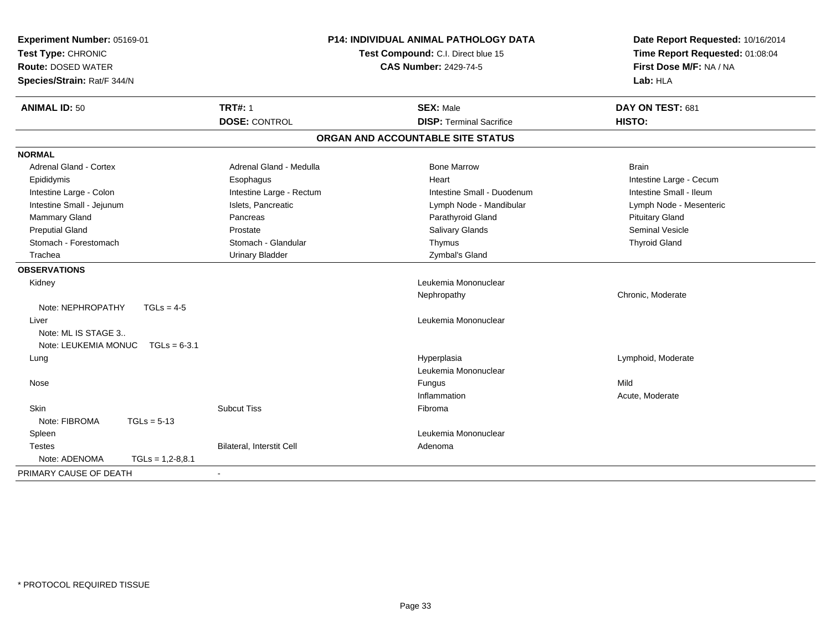| Experiment Number: 05169-01<br>Test Type: CHRONIC<br><b>Route: DOSED WATER</b><br>Species/Strain: Rat/F 344/N |                           | <b>P14: INDIVIDUAL ANIMAL PATHOLOGY DATA</b><br>Test Compound: C.I. Direct blue 15<br><b>CAS Number: 2429-74-5</b> | Date Report Requested: 10/16/2014<br>Time Report Requested: 01:08:04<br>First Dose M/F: NA / NA<br>Lab: HLA |
|---------------------------------------------------------------------------------------------------------------|---------------------------|--------------------------------------------------------------------------------------------------------------------|-------------------------------------------------------------------------------------------------------------|
| <b>ANIMAL ID: 50</b>                                                                                          | <b>TRT#: 1</b>            | <b>SEX: Male</b>                                                                                                   | DAY ON TEST: 681                                                                                            |
|                                                                                                               | <b>DOSE: CONTROL</b>      | <b>DISP: Terminal Sacrifice</b>                                                                                    | HISTO:                                                                                                      |
|                                                                                                               |                           | ORGAN AND ACCOUNTABLE SITE STATUS                                                                                  |                                                                                                             |
| <b>NORMAL</b>                                                                                                 |                           |                                                                                                                    |                                                                                                             |
| Adrenal Gland - Cortex                                                                                        | Adrenal Gland - Medulla   | <b>Bone Marrow</b>                                                                                                 | <b>Brain</b>                                                                                                |
| Epididymis                                                                                                    | Esophagus                 | Heart                                                                                                              | Intestine Large - Cecum                                                                                     |
| Intestine Large - Colon                                                                                       | Intestine Large - Rectum  | Intestine Small - Duodenum                                                                                         | Intestine Small - Ileum                                                                                     |
| Intestine Small - Jejunum                                                                                     | Islets, Pancreatic        | Lymph Node - Mandibular                                                                                            | Lymph Node - Mesenteric                                                                                     |
| Mammary Gland                                                                                                 | Pancreas                  | Parathyroid Gland                                                                                                  | <b>Pituitary Gland</b>                                                                                      |
| <b>Preputial Gland</b>                                                                                        | Prostate                  | <b>Salivary Glands</b>                                                                                             | <b>Seminal Vesicle</b>                                                                                      |
| Stomach - Forestomach                                                                                         | Stomach - Glandular       | Thymus                                                                                                             | <b>Thyroid Gland</b>                                                                                        |
| Trachea                                                                                                       | <b>Urinary Bladder</b>    | Zymbal's Gland                                                                                                     |                                                                                                             |
| <b>OBSERVATIONS</b>                                                                                           |                           |                                                                                                                    |                                                                                                             |
| Kidney                                                                                                        |                           | Leukemia Mononuclear                                                                                               |                                                                                                             |
|                                                                                                               |                           | Nephropathy                                                                                                        | Chronic, Moderate                                                                                           |
| Note: NEPHROPATHY<br>$TGLs = 4-5$                                                                             |                           |                                                                                                                    |                                                                                                             |
| Liver                                                                                                         |                           | Leukemia Mononuclear                                                                                               |                                                                                                             |
| Note: ML IS STAGE 3                                                                                           |                           |                                                                                                                    |                                                                                                             |
| Note: LEUKEMIA MONUC<br>$TGLs = 6-3.1$                                                                        |                           |                                                                                                                    |                                                                                                             |
| Lung                                                                                                          |                           | Hyperplasia                                                                                                        | Lymphoid, Moderate                                                                                          |
|                                                                                                               |                           | Leukemia Mononuclear                                                                                               |                                                                                                             |
| Nose                                                                                                          |                           | Fungus                                                                                                             | Mild                                                                                                        |
|                                                                                                               |                           | Inflammation                                                                                                       | Acute, Moderate                                                                                             |
| <b>Skin</b>                                                                                                   | <b>Subcut Tiss</b>        | Fibroma                                                                                                            |                                                                                                             |
| Note: FIBROMA<br>$TGLs = 5-13$                                                                                |                           |                                                                                                                    |                                                                                                             |
| Spleen                                                                                                        |                           | Leukemia Mononuclear                                                                                               |                                                                                                             |
| <b>Testes</b>                                                                                                 | Bilateral, Interstit Cell | Adenoma                                                                                                            |                                                                                                             |
| Note: ADENOMA<br>$TGLs = 1,2-8,8.1$                                                                           |                           |                                                                                                                    |                                                                                                             |
| PRIMARY CAUSE OF DEATH                                                                                        |                           |                                                                                                                    |                                                                                                             |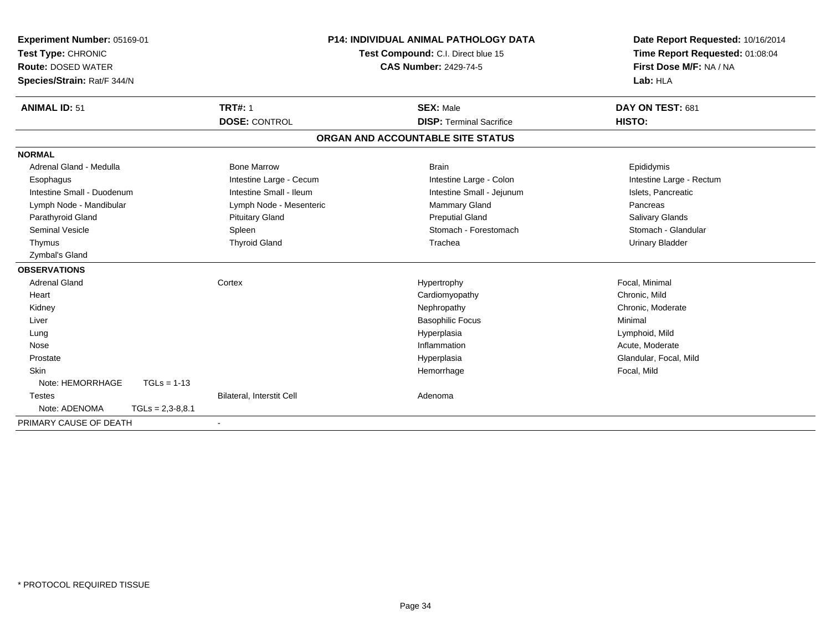| <b>Experiment Number: 05169-01</b> |                    | <b>P14: INDIVIDUAL ANIMAL PATHOLOGY DATA</b> | Date Report Requested: 10/16/2014  |                                 |
|------------------------------------|--------------------|----------------------------------------------|------------------------------------|---------------------------------|
| Test Type: CHRONIC                 |                    |                                              | Test Compound: C.I. Direct blue 15 | Time Report Requested: 01:08:04 |
| <b>Route: DOSED WATER</b>          |                    |                                              | <b>CAS Number: 2429-74-5</b>       | First Dose M/F: NA / NA         |
| Species/Strain: Rat/F 344/N        |                    |                                              |                                    | Lab: HLA                        |
| <b>ANIMAL ID: 51</b>               |                    | <b>TRT#: 1</b>                               | <b>SEX: Male</b>                   | DAY ON TEST: 681                |
|                                    |                    | <b>DOSE: CONTROL</b>                         | <b>DISP: Terminal Sacrifice</b>    | HISTO:                          |
|                                    |                    |                                              | ORGAN AND ACCOUNTABLE SITE STATUS  |                                 |
| <b>NORMAL</b>                      |                    |                                              |                                    |                                 |
| Adrenal Gland - Medulla            |                    | <b>Bone Marrow</b>                           | <b>Brain</b>                       | Epididymis                      |
| Esophagus                          |                    | Intestine Large - Cecum                      | Intestine Large - Colon            | Intestine Large - Rectum        |
| Intestine Small - Duodenum         |                    | Intestine Small - Ileum                      | Intestine Small - Jejunum          | Islets, Pancreatic              |
| Lymph Node - Mandibular            |                    | Lymph Node - Mesenteric                      | <b>Mammary Gland</b>               | Pancreas                        |
| Parathyroid Gland                  |                    | <b>Pituitary Gland</b>                       | <b>Preputial Gland</b>             | <b>Salivary Glands</b>          |
| <b>Seminal Vesicle</b>             |                    | Spleen                                       | Stomach - Forestomach              | Stomach - Glandular             |
| Thymus                             |                    | <b>Thyroid Gland</b>                         | Trachea                            | <b>Urinary Bladder</b>          |
| Zymbal's Gland                     |                    |                                              |                                    |                                 |
| <b>OBSERVATIONS</b>                |                    |                                              |                                    |                                 |
| <b>Adrenal Gland</b>               |                    | Cortex                                       | Hypertrophy                        | Focal, Minimal                  |
| Heart                              |                    |                                              | Cardiomyopathy                     | Chronic, Mild                   |
| Kidney                             |                    |                                              | Nephropathy                        | Chronic, Moderate               |
| Liver                              |                    |                                              | <b>Basophilic Focus</b>            | Minimal                         |
| Lung                               |                    |                                              | Hyperplasia                        | Lymphoid, Mild                  |
| Nose                               |                    |                                              | Inflammation                       | Acute, Moderate                 |
| Prostate                           |                    |                                              | Hyperplasia                        | Glandular, Focal, Mild          |
| <b>Skin</b>                        |                    |                                              | Hemorrhage                         | Focal, Mild                     |
| Note: HEMORRHAGE                   | $TGLs = 1-13$      |                                              |                                    |                                 |
| <b>Testes</b>                      |                    | Bilateral, Interstit Cell                    | Adenoma                            |                                 |
| Note: ADENOMA                      | $TGLs = 2,3-8,8.1$ |                                              |                                    |                                 |
| PRIMARY CAUSE OF DEATH             |                    | $\blacksquare$                               |                                    |                                 |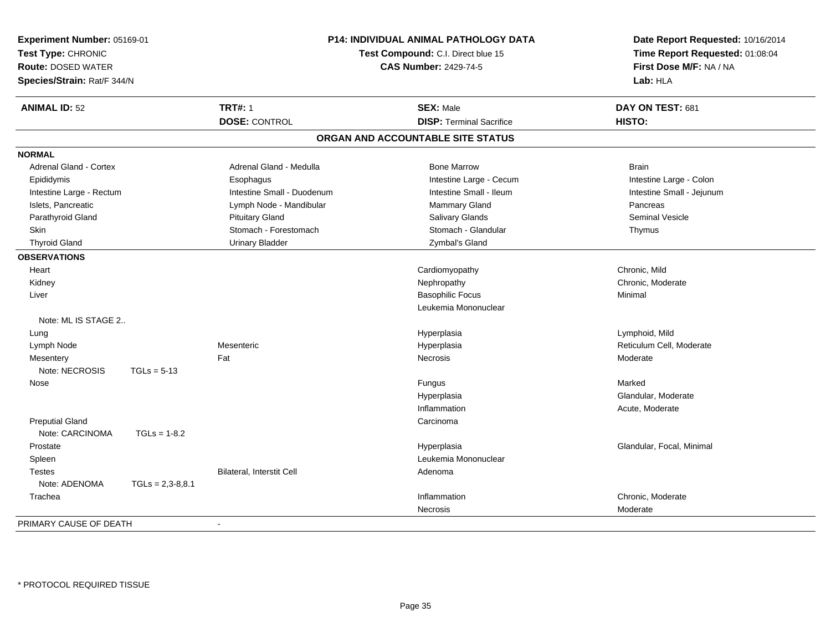| Experiment Number: 05169-01<br>Test Type: CHRONIC<br><b>Route: DOSED WATER</b><br>Species/Strain: Rat/F 344/N |                    | <b>P14: INDIVIDUAL ANIMAL PATHOLOGY DATA</b><br>Test Compound: C.I. Direct blue 15<br><b>CAS Number: 2429-74-5</b> | Date Report Requested: 10/16/2014<br>Time Report Requested: 01:08:04<br>First Dose M/F: NA / NA<br>Lab: HLA |                           |
|---------------------------------------------------------------------------------------------------------------|--------------------|--------------------------------------------------------------------------------------------------------------------|-------------------------------------------------------------------------------------------------------------|---------------------------|
| <b>ANIMAL ID: 52</b>                                                                                          |                    | <b>TRT#: 1</b>                                                                                                     | <b>SEX: Male</b>                                                                                            | DAY ON TEST: 681          |
|                                                                                                               |                    | <b>DOSE: CONTROL</b>                                                                                               | <b>DISP: Terminal Sacrifice</b>                                                                             | HISTO:                    |
|                                                                                                               |                    |                                                                                                                    | ORGAN AND ACCOUNTABLE SITE STATUS                                                                           |                           |
| <b>NORMAL</b>                                                                                                 |                    |                                                                                                                    |                                                                                                             |                           |
| <b>Adrenal Gland - Cortex</b>                                                                                 |                    | Adrenal Gland - Medulla                                                                                            | <b>Bone Marrow</b>                                                                                          | <b>Brain</b>              |
| Epididymis                                                                                                    |                    | Esophagus                                                                                                          | Intestine Large - Cecum                                                                                     | Intestine Large - Colon   |
| Intestine Large - Rectum                                                                                      |                    | Intestine Small - Duodenum                                                                                         | Intestine Small - Ileum                                                                                     | Intestine Small - Jejunum |
| Islets, Pancreatic                                                                                            |                    | Lymph Node - Mandibular                                                                                            | Mammary Gland                                                                                               | Pancreas                  |
| Parathyroid Gland                                                                                             |                    | <b>Pituitary Gland</b>                                                                                             | Salivary Glands                                                                                             | <b>Seminal Vesicle</b>    |
| <b>Skin</b>                                                                                                   |                    | Stomach - Forestomach                                                                                              | Stomach - Glandular                                                                                         | Thymus                    |
| <b>Thyroid Gland</b>                                                                                          |                    | <b>Urinary Bladder</b>                                                                                             | Zymbal's Gland                                                                                              |                           |
| <b>OBSERVATIONS</b>                                                                                           |                    |                                                                                                                    |                                                                                                             |                           |
| Heart                                                                                                         |                    |                                                                                                                    | Cardiomyopathy                                                                                              | Chronic, Mild             |
| Kidney                                                                                                        |                    |                                                                                                                    | Nephropathy                                                                                                 | Chronic, Moderate         |
| Liver                                                                                                         |                    |                                                                                                                    | <b>Basophilic Focus</b>                                                                                     | Minimal                   |
|                                                                                                               |                    |                                                                                                                    | Leukemia Mononuclear                                                                                        |                           |
| Note: ML IS STAGE 2                                                                                           |                    |                                                                                                                    |                                                                                                             |                           |
| Lung                                                                                                          |                    |                                                                                                                    | Hyperplasia                                                                                                 | Lymphoid, Mild            |
| Lymph Node                                                                                                    |                    | Mesenteric                                                                                                         | Hyperplasia                                                                                                 | Reticulum Cell, Moderate  |
| Mesentery                                                                                                     |                    | Fat                                                                                                                | Necrosis                                                                                                    | Moderate                  |
| Note: NECROSIS                                                                                                | $TGLs = 5-13$      |                                                                                                                    |                                                                                                             |                           |
| Nose                                                                                                          |                    |                                                                                                                    | Fungus                                                                                                      | Marked                    |
|                                                                                                               |                    |                                                                                                                    | Hyperplasia                                                                                                 | Glandular, Moderate       |
|                                                                                                               |                    |                                                                                                                    | Inflammation                                                                                                | Acute, Moderate           |
| <b>Preputial Gland</b>                                                                                        |                    |                                                                                                                    | Carcinoma                                                                                                   |                           |
| Note: CARCINOMA                                                                                               | $TGLs = 1-8.2$     |                                                                                                                    |                                                                                                             |                           |
| Prostate                                                                                                      |                    |                                                                                                                    | Hyperplasia                                                                                                 | Glandular, Focal, Minimal |
| Spleen                                                                                                        |                    |                                                                                                                    | Leukemia Mononuclear                                                                                        |                           |
| <b>Testes</b>                                                                                                 |                    | Bilateral, Interstit Cell                                                                                          | Adenoma                                                                                                     |                           |
| Note: ADENOMA                                                                                                 | $TGLs = 2,3-8,8.1$ |                                                                                                                    |                                                                                                             |                           |
| Trachea                                                                                                       |                    |                                                                                                                    | Inflammation                                                                                                | Chronic, Moderate         |
|                                                                                                               |                    |                                                                                                                    | <b>Necrosis</b>                                                                                             | Moderate                  |
| PRIMARY CAUSE OF DEATH                                                                                        |                    | $\sim$                                                                                                             |                                                                                                             |                           |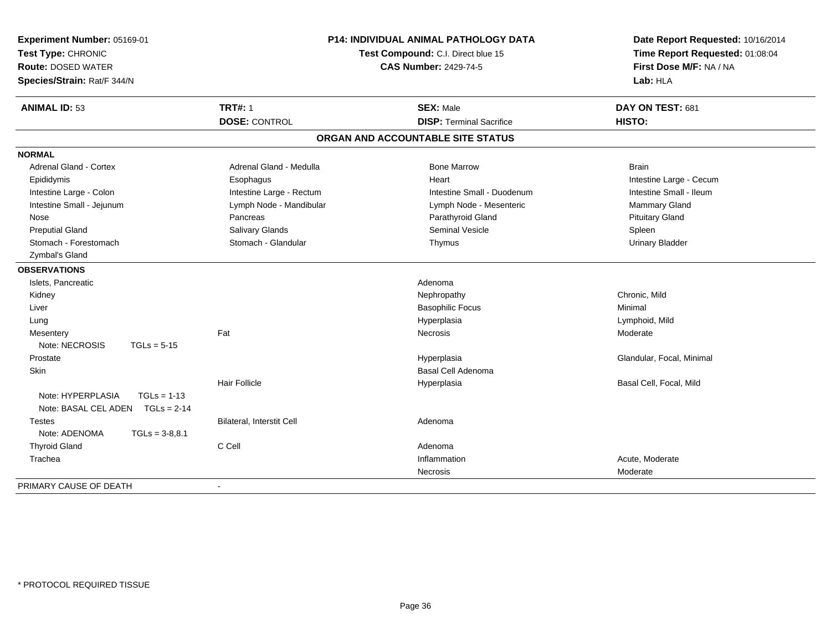| Experiment Number: 05169-01<br>Test Type: CHRONIC<br><b>Route: DOSED WATER</b><br>Species/Strain: Rat/F 344/N | P14: INDIVIDUAL ANIMAL PATHOLOGY DATA<br>Test Compound: C.I. Direct blue 15<br><b>CAS Number: 2429-74-5</b> |                                   | Date Report Requested: 10/16/2014<br>Time Report Requested: 01:08:04<br>First Dose M/F: NA / NA<br>Lab: HLA |
|---------------------------------------------------------------------------------------------------------------|-------------------------------------------------------------------------------------------------------------|-----------------------------------|-------------------------------------------------------------------------------------------------------------|
| <b>ANIMAL ID: 53</b>                                                                                          | <b>TRT#: 1</b>                                                                                              | <b>SEX: Male</b>                  | DAY ON TEST: 681                                                                                            |
|                                                                                                               | <b>DOSE: CONTROL</b>                                                                                        | <b>DISP: Terminal Sacrifice</b>   | HISTO:                                                                                                      |
|                                                                                                               |                                                                                                             | ORGAN AND ACCOUNTABLE SITE STATUS |                                                                                                             |
| <b>NORMAL</b>                                                                                                 |                                                                                                             |                                   |                                                                                                             |
| <b>Adrenal Gland - Cortex</b>                                                                                 | Adrenal Gland - Medulla                                                                                     | <b>Bone Marrow</b>                | <b>Brain</b>                                                                                                |
| Epididymis                                                                                                    | Esophagus                                                                                                   | Heart                             | Intestine Large - Cecum                                                                                     |
| Intestine Large - Colon                                                                                       | Intestine Large - Rectum                                                                                    | Intestine Small - Duodenum        | Intestine Small - Ileum                                                                                     |
| Intestine Small - Jejunum                                                                                     | Lymph Node - Mandibular                                                                                     | Lymph Node - Mesenteric           | Mammary Gland                                                                                               |
| Nose                                                                                                          | Pancreas                                                                                                    | Parathyroid Gland                 | <b>Pituitary Gland</b>                                                                                      |
| <b>Preputial Gland</b>                                                                                        | Salivary Glands                                                                                             | <b>Seminal Vesicle</b>            | Spleen                                                                                                      |
| Stomach - Forestomach                                                                                         | Stomach - Glandular                                                                                         | Thymus                            | <b>Urinary Bladder</b>                                                                                      |
| Zymbal's Gland                                                                                                |                                                                                                             |                                   |                                                                                                             |
| <b>OBSERVATIONS</b>                                                                                           |                                                                                                             |                                   |                                                                                                             |
| Islets, Pancreatic                                                                                            |                                                                                                             | Adenoma                           |                                                                                                             |
| Kidney                                                                                                        |                                                                                                             | Nephropathy                       | Chronic, Mild                                                                                               |
| Liver                                                                                                         |                                                                                                             | <b>Basophilic Focus</b>           | Minimal                                                                                                     |
| Lung                                                                                                          |                                                                                                             | Hyperplasia                       | Lymphoid, Mild                                                                                              |
| Mesentery                                                                                                     | Fat                                                                                                         | <b>Necrosis</b>                   | Moderate                                                                                                    |
| Note: NECROSIS<br>$TGLs = 5-15$                                                                               |                                                                                                             |                                   |                                                                                                             |
| Prostate                                                                                                      |                                                                                                             | Hyperplasia                       | Glandular, Focal, Minimal                                                                                   |
| <b>Skin</b>                                                                                                   |                                                                                                             | <b>Basal Cell Adenoma</b>         |                                                                                                             |
|                                                                                                               | <b>Hair Follicle</b>                                                                                        | Hyperplasia                       | Basal Cell, Focal, Mild                                                                                     |
| Note: HYPERPLASIA<br>$TGLs = 1-13$                                                                            |                                                                                                             |                                   |                                                                                                             |
| Note: BASAL CEL ADEN TGLs = 2-14                                                                              |                                                                                                             |                                   |                                                                                                             |
| Testes                                                                                                        | Bilateral, Interstit Cell                                                                                   | Adenoma                           |                                                                                                             |
| Note: ADENOMA<br>$TGLs = 3-8.8.1$                                                                             |                                                                                                             |                                   |                                                                                                             |
| <b>Thyroid Gland</b>                                                                                          | C Cell                                                                                                      | Adenoma                           |                                                                                                             |
| Trachea                                                                                                       |                                                                                                             | Inflammation                      | Acute, Moderate                                                                                             |
|                                                                                                               |                                                                                                             | <b>Necrosis</b>                   | Moderate                                                                                                    |
| PRIMARY CAUSE OF DEATH                                                                                        | $\sim$                                                                                                      |                                   |                                                                                                             |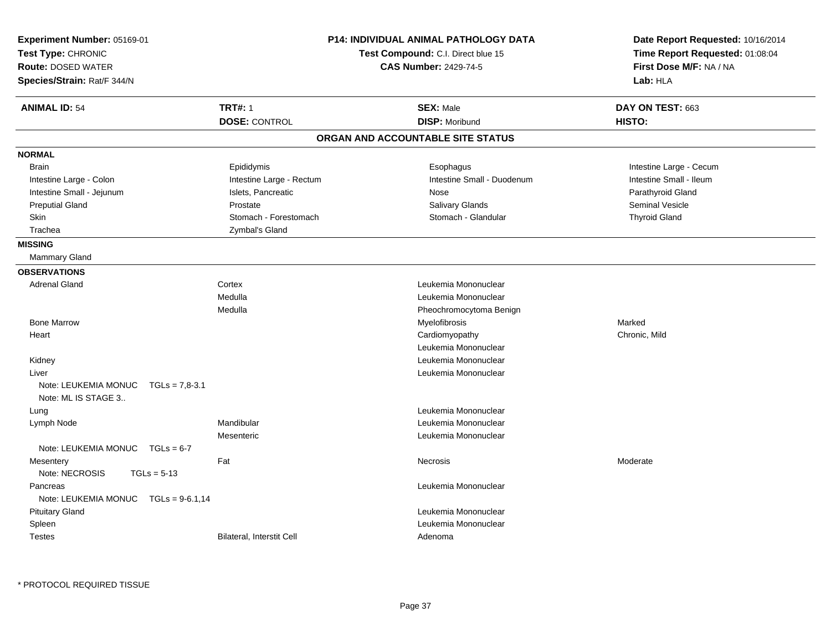| Experiment Number: 05169-01<br>Test Type: CHRONIC<br><b>Route: DOSED WATER</b><br>Species/Strain: Rat/F 344/N |                           | <b>P14: INDIVIDUAL ANIMAL PATHOLOGY DATA</b><br>Test Compound: C.I. Direct blue 15<br><b>CAS Number: 2429-74-5</b> | Date Report Requested: 10/16/2014<br>Time Report Requested: 01:08:04<br>First Dose M/F: NA / NA<br>Lab: HLA |
|---------------------------------------------------------------------------------------------------------------|---------------------------|--------------------------------------------------------------------------------------------------------------------|-------------------------------------------------------------------------------------------------------------|
| <b>ANIMAL ID: 54</b>                                                                                          | <b>TRT#: 1</b>            | <b>SEX: Male</b>                                                                                                   | DAY ON TEST: 663                                                                                            |
|                                                                                                               | <b>DOSE: CONTROL</b>      | <b>DISP: Moribund</b>                                                                                              | HISTO:                                                                                                      |
|                                                                                                               |                           | ORGAN AND ACCOUNTABLE SITE STATUS                                                                                  |                                                                                                             |
| <b>NORMAL</b>                                                                                                 |                           |                                                                                                                    |                                                                                                             |
| <b>Brain</b>                                                                                                  | Epididymis                | Esophagus                                                                                                          | Intestine Large - Cecum                                                                                     |
| Intestine Large - Colon                                                                                       | Intestine Large - Rectum  | Intestine Small - Duodenum                                                                                         | Intestine Small - Ileum                                                                                     |
| Intestine Small - Jejunum                                                                                     | Islets, Pancreatic        | Nose                                                                                                               | Parathyroid Gland                                                                                           |
| <b>Preputial Gland</b>                                                                                        | Prostate                  | <b>Salivary Glands</b>                                                                                             | <b>Seminal Vesicle</b>                                                                                      |
| Skin                                                                                                          | Stomach - Forestomach     | Stomach - Glandular                                                                                                | <b>Thyroid Gland</b>                                                                                        |
| Trachea                                                                                                       | Zymbal's Gland            |                                                                                                                    |                                                                                                             |
| <b>MISSING</b>                                                                                                |                           |                                                                                                                    |                                                                                                             |
| <b>Mammary Gland</b>                                                                                          |                           |                                                                                                                    |                                                                                                             |
| <b>OBSERVATIONS</b>                                                                                           |                           |                                                                                                                    |                                                                                                             |
| <b>Adrenal Gland</b>                                                                                          | Cortex                    | Leukemia Mononuclear                                                                                               |                                                                                                             |
|                                                                                                               | Medulla                   | Leukemia Mononuclear                                                                                               |                                                                                                             |
|                                                                                                               | Medulla                   | Pheochromocytoma Benign                                                                                            |                                                                                                             |
| <b>Bone Marrow</b>                                                                                            |                           | Myelofibrosis                                                                                                      | Marked                                                                                                      |
| Heart                                                                                                         |                           | Cardiomyopathy                                                                                                     | Chronic, Mild                                                                                               |
|                                                                                                               |                           | Leukemia Mononuclear                                                                                               |                                                                                                             |
| Kidney                                                                                                        |                           | Leukemia Mononuclear                                                                                               |                                                                                                             |
| Liver                                                                                                         |                           | Leukemia Mononuclear                                                                                               |                                                                                                             |
| Note: LEUKEMIA MONUC<br>$TGLs = 7.8-3.1$<br>Note: ML IS STAGE 3                                               |                           |                                                                                                                    |                                                                                                             |
| Lung                                                                                                          |                           | Leukemia Mononuclear                                                                                               |                                                                                                             |
| Lymph Node                                                                                                    | Mandibular                | Leukemia Mononuclear                                                                                               |                                                                                                             |
|                                                                                                               | Mesenteric                | Leukemia Mononuclear                                                                                               |                                                                                                             |
| Note: LEUKEMIA MONUC $TGLs = 6-7$                                                                             |                           |                                                                                                                    |                                                                                                             |
| Mesentery                                                                                                     | Fat                       | Necrosis                                                                                                           | Moderate                                                                                                    |
| Note: NECROSIS<br>$TGLs = 5-13$                                                                               |                           |                                                                                                                    |                                                                                                             |
| Pancreas                                                                                                      |                           | Leukemia Mononuclear                                                                                               |                                                                                                             |
| $TGLs = 9-6.1,14$<br>Note: LEUKEMIA MONUC                                                                     |                           |                                                                                                                    |                                                                                                             |
| <b>Pituitary Gland</b>                                                                                        |                           | Leukemia Mononuclear                                                                                               |                                                                                                             |
| Spleen                                                                                                        |                           | Leukemia Mononuclear                                                                                               |                                                                                                             |
| <b>Testes</b>                                                                                                 | Bilateral, Interstit Cell | Adenoma                                                                                                            |                                                                                                             |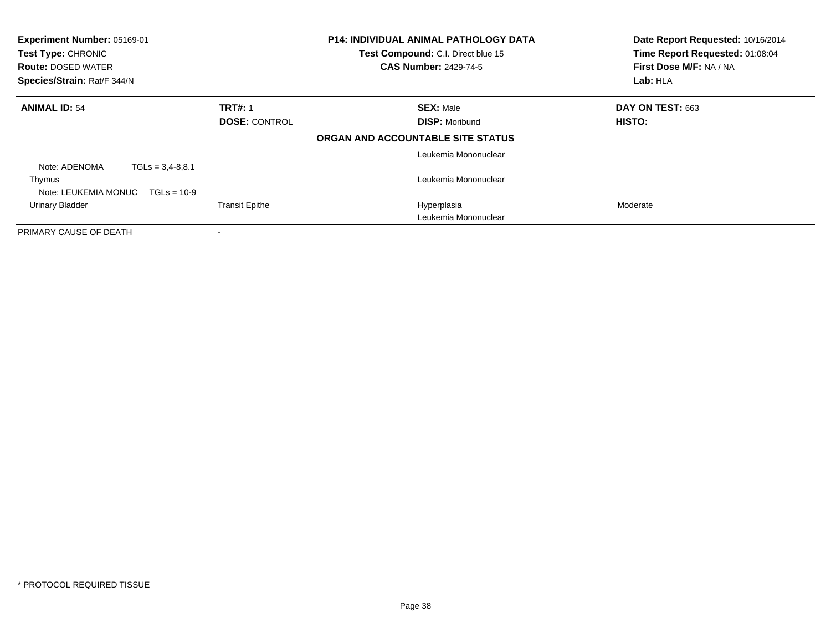| Experiment Number: 05169-01<br>Test Type: CHRONIC<br><b>Route: DOSED WATER</b><br>Species/Strain: Rat/F 344/N |                       | <b>P14: INDIVIDUAL ANIMAL PATHOLOGY DATA</b><br>Test Compound: C.I. Direct blue 15<br><b>CAS Number: 2429-74-5</b> | Date Report Requested: 10/16/2014<br>Time Report Requested: 01:08:04<br>First Dose M/F: NA / NA<br>Lab: HLA |
|---------------------------------------------------------------------------------------------------------------|-----------------------|--------------------------------------------------------------------------------------------------------------------|-------------------------------------------------------------------------------------------------------------|
| <b>ANIMAL ID: 54</b>                                                                                          | <b>TRT#: 1</b>        | <b>SEX: Male</b>                                                                                                   | DAY ON TEST: 663                                                                                            |
|                                                                                                               | <b>DOSE: CONTROL</b>  | <b>DISP: Moribund</b>                                                                                              | HISTO:                                                                                                      |
|                                                                                                               |                       | ORGAN AND ACCOUNTABLE SITE STATUS                                                                                  |                                                                                                             |
|                                                                                                               |                       | Leukemia Mononuclear                                                                                               |                                                                                                             |
| $TGLs = 3,4-8,8.1$<br>Note: ADENOMA                                                                           |                       |                                                                                                                    |                                                                                                             |
| Thymus<br>Note: LEUKEMIA MONUC<br>$TGLs = 10-9$                                                               |                       | Leukemia Mononuclear                                                                                               |                                                                                                             |
| Urinary Bladder                                                                                               | <b>Transit Epithe</b> | Hyperplasia                                                                                                        | Moderate                                                                                                    |
|                                                                                                               |                       | Leukemia Mononuclear                                                                                               |                                                                                                             |
| PRIMARY CAUSE OF DEATH                                                                                        |                       |                                                                                                                    |                                                                                                             |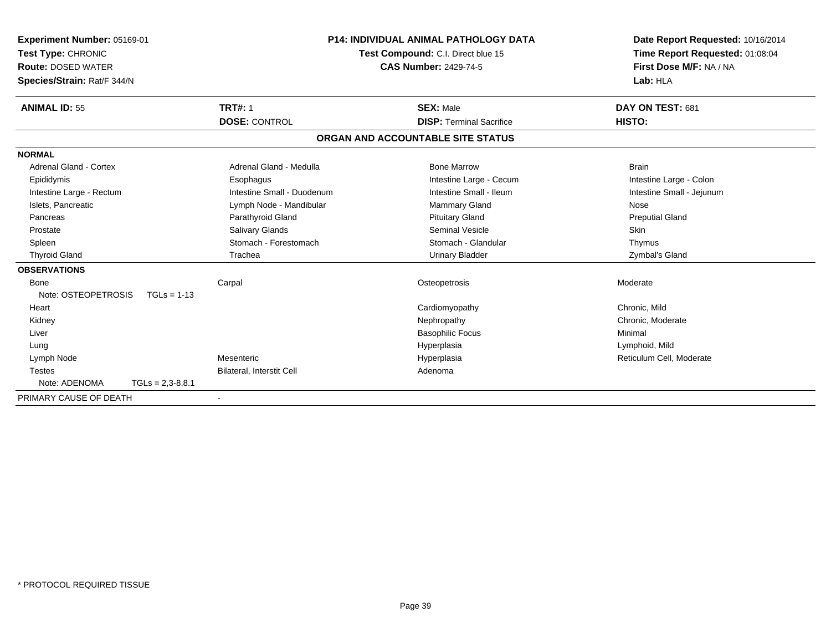| Experiment Number: 05169-01<br>Test Type: CHRONIC |                    |                            | <b>P14: INDIVIDUAL ANIMAL PATHOLOGY DATA</b><br>Test Compound: C.I. Direct blue 15 |                                   | Date Report Requested: 10/16/2014<br>Time Report Requested: 01:08:04 |
|---------------------------------------------------|--------------------|----------------------------|------------------------------------------------------------------------------------|-----------------------------------|----------------------------------------------------------------------|
| <b>Route: DOSED WATER</b>                         |                    |                            | <b>CAS Number: 2429-74-5</b>                                                       |                                   | First Dose M/F: NA / NA                                              |
| Species/Strain: Rat/F 344/N                       |                    |                            |                                                                                    |                                   | Lab: HLA                                                             |
| <b>ANIMAL ID: 55</b>                              |                    | <b>TRT#: 1</b>             |                                                                                    | <b>SEX: Male</b>                  | DAY ON TEST: 681                                                     |
|                                                   |                    | <b>DOSE: CONTROL</b>       |                                                                                    | <b>DISP: Terminal Sacrifice</b>   | HISTO:                                                               |
|                                                   |                    |                            |                                                                                    | ORGAN AND ACCOUNTABLE SITE STATUS |                                                                      |
| <b>NORMAL</b>                                     |                    |                            |                                                                                    |                                   |                                                                      |
| Adrenal Gland - Cortex                            |                    | Adrenal Gland - Medulla    |                                                                                    | <b>Bone Marrow</b>                | <b>Brain</b>                                                         |
| Epididymis                                        |                    | Esophagus                  |                                                                                    | Intestine Large - Cecum           | Intestine Large - Colon                                              |
| Intestine Large - Rectum                          |                    | Intestine Small - Duodenum |                                                                                    | Intestine Small - Ileum           | Intestine Small - Jejunum                                            |
| Islets. Pancreatic                                |                    | Lymph Node - Mandibular    |                                                                                    | <b>Mammary Gland</b>              | Nose                                                                 |
| Pancreas                                          |                    | Parathyroid Gland          |                                                                                    | <b>Pituitary Gland</b>            | <b>Preputial Gland</b>                                               |
| Prostate                                          |                    | Salivary Glands            |                                                                                    | <b>Seminal Vesicle</b>            | <b>Skin</b>                                                          |
| Spleen                                            |                    | Stomach - Forestomach      |                                                                                    | Stomach - Glandular               | Thymus                                                               |
| <b>Thyroid Gland</b>                              |                    | Trachea                    |                                                                                    | <b>Urinary Bladder</b>            | Zymbal's Gland                                                       |
| <b>OBSERVATIONS</b>                               |                    |                            |                                                                                    |                                   |                                                                      |
| <b>Bone</b>                                       |                    | Carpal                     |                                                                                    | Osteopetrosis                     | Moderate                                                             |
| Note: OSTEOPETROSIS                               | $TGLs = 1-13$      |                            |                                                                                    |                                   |                                                                      |
| Heart                                             |                    |                            |                                                                                    | Cardiomyopathy                    | Chronic, Mild                                                        |
| Kidney                                            |                    |                            |                                                                                    | Nephropathy                       | Chronic, Moderate                                                    |
| Liver                                             |                    |                            |                                                                                    | <b>Basophilic Focus</b>           | Minimal                                                              |
| Lung                                              |                    |                            |                                                                                    | Hyperplasia                       | Lymphoid, Mild                                                       |
| Lymph Node                                        |                    | Mesenteric                 |                                                                                    | Hyperplasia                       | Reticulum Cell, Moderate                                             |
| <b>Testes</b>                                     |                    | Bilateral, Interstit Cell  |                                                                                    | Adenoma                           |                                                                      |
| Note: ADENOMA                                     | $TGLs = 2,3-8,8.1$ |                            |                                                                                    |                                   |                                                                      |
| PRIMARY CAUSE OF DEATH                            |                    |                            |                                                                                    |                                   |                                                                      |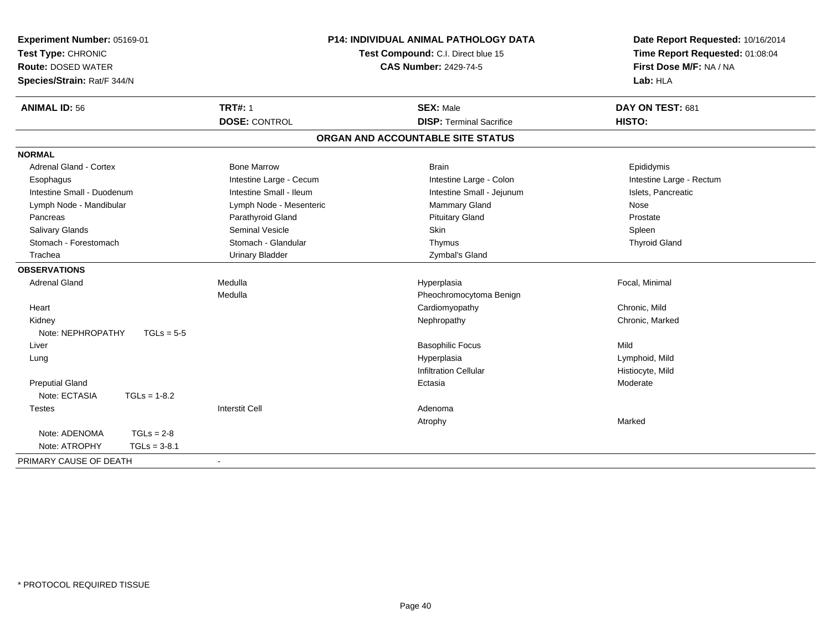| Experiment Number: 05169-01<br>Test Type: CHRONIC<br><b>Route: DOSED WATER</b><br>Species/Strain: Rat/F 344/N | P14: INDIVIDUAL ANIMAL PATHOLOGY DATA<br>Test Compound: C.I. Direct blue 15<br><b>CAS Number: 2429-74-5</b> |                                   | Date Report Requested: 10/16/2014<br>Time Report Requested: 01:08:04<br>First Dose M/F: NA / NA<br>Lab: HLA |  |
|---------------------------------------------------------------------------------------------------------------|-------------------------------------------------------------------------------------------------------------|-----------------------------------|-------------------------------------------------------------------------------------------------------------|--|
| <b>ANIMAL ID: 56</b>                                                                                          | <b>TRT#: 1</b>                                                                                              | <b>SEX: Male</b>                  | DAY ON TEST: 681                                                                                            |  |
|                                                                                                               | <b>DOSE: CONTROL</b>                                                                                        | <b>DISP: Terminal Sacrifice</b>   | <b>HISTO:</b>                                                                                               |  |
|                                                                                                               |                                                                                                             | ORGAN AND ACCOUNTABLE SITE STATUS |                                                                                                             |  |
| <b>NORMAL</b>                                                                                                 |                                                                                                             |                                   |                                                                                                             |  |
| <b>Adrenal Gland - Cortex</b>                                                                                 | <b>Bone Marrow</b>                                                                                          | <b>Brain</b>                      | Epididymis                                                                                                  |  |
| Esophagus                                                                                                     | Intestine Large - Cecum                                                                                     | Intestine Large - Colon           | Intestine Large - Rectum                                                                                    |  |
| Intestine Small - Duodenum                                                                                    | Intestine Small - Ileum                                                                                     | Intestine Small - Jejunum         | Islets, Pancreatic                                                                                          |  |
| Lymph Node - Mandibular                                                                                       | Lymph Node - Mesenteric                                                                                     | Mammary Gland                     | <b>Nose</b>                                                                                                 |  |
| Pancreas                                                                                                      | Parathyroid Gland                                                                                           | <b>Pituitary Gland</b>            | Prostate                                                                                                    |  |
| <b>Salivary Glands</b>                                                                                        | <b>Seminal Vesicle</b>                                                                                      | <b>Skin</b>                       | Spleen                                                                                                      |  |
| Stomach - Forestomach                                                                                         | Stomach - Glandular                                                                                         | Thymus                            | <b>Thyroid Gland</b>                                                                                        |  |
| Trachea                                                                                                       | <b>Urinary Bladder</b>                                                                                      | Zymbal's Gland                    |                                                                                                             |  |
| <b>OBSERVATIONS</b>                                                                                           |                                                                                                             |                                   |                                                                                                             |  |
| <b>Adrenal Gland</b>                                                                                          | Medulla                                                                                                     | Hyperplasia                       | Focal, Minimal                                                                                              |  |
|                                                                                                               | Medulla                                                                                                     | Pheochromocytoma Benign           |                                                                                                             |  |
| Heart                                                                                                         |                                                                                                             | Cardiomyopathy                    | Chronic, Mild                                                                                               |  |
| Kidney                                                                                                        |                                                                                                             | Nephropathy                       | Chronic, Marked                                                                                             |  |
| Note: NEPHROPATHY<br>$TGLs = 5-5$                                                                             |                                                                                                             |                                   |                                                                                                             |  |
| Liver                                                                                                         |                                                                                                             | <b>Basophilic Focus</b>           | Mild                                                                                                        |  |
| Lung                                                                                                          |                                                                                                             | Hyperplasia                       | Lymphoid, Mild                                                                                              |  |
|                                                                                                               |                                                                                                             | <b>Infiltration Cellular</b>      | Histiocyte, Mild                                                                                            |  |
| <b>Preputial Gland</b>                                                                                        |                                                                                                             | Ectasia                           | Moderate                                                                                                    |  |
| Note: ECTASIA<br>$TGLs = 1-8.2$                                                                               |                                                                                                             |                                   |                                                                                                             |  |
| <b>Testes</b>                                                                                                 | <b>Interstit Cell</b>                                                                                       | Adenoma                           |                                                                                                             |  |
|                                                                                                               |                                                                                                             | Atrophy                           | Marked                                                                                                      |  |
| Note: ADENOMA<br>$TGLs = 2-8$                                                                                 |                                                                                                             |                                   |                                                                                                             |  |
| Note: ATROPHY<br>$TGLs = 3-8.1$                                                                               |                                                                                                             |                                   |                                                                                                             |  |
| PRIMARY CAUSE OF DEATH                                                                                        | $\blacksquare$                                                                                              |                                   |                                                                                                             |  |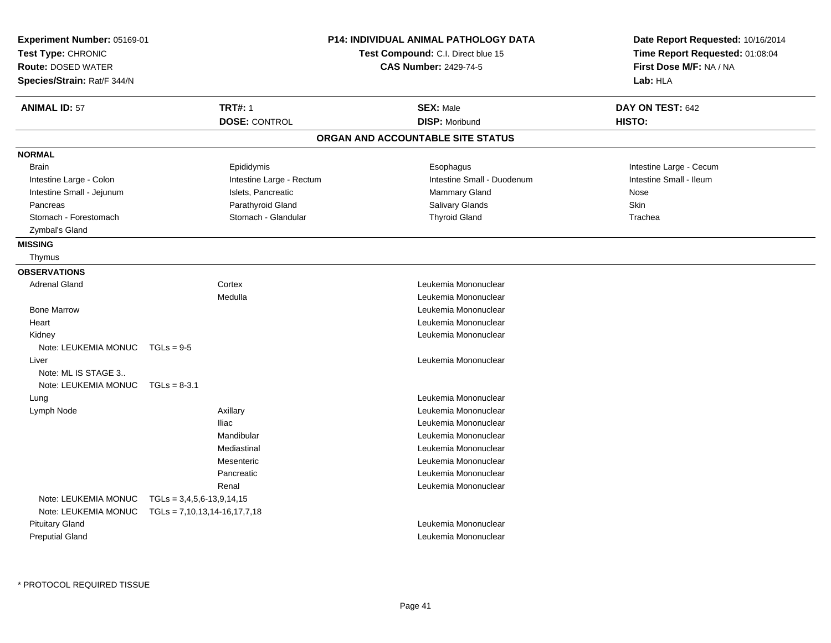| Experiment Number: 05169-01<br>Test Type: CHRONIC<br><b>Route: DOSED WATER</b><br>Species/Strain: Rat/F 344/N |                                        | <b>P14: INDIVIDUAL ANIMAL PATHOLOGY DATA</b><br>Test Compound: C.I. Direct blue 15<br><b>CAS Number: 2429-74-5</b> | Date Report Requested: 10/16/2014<br>Time Report Requested: 01:08:04<br>First Dose M/F: NA / NA<br>Lab: HLA |
|---------------------------------------------------------------------------------------------------------------|----------------------------------------|--------------------------------------------------------------------------------------------------------------------|-------------------------------------------------------------------------------------------------------------|
| <b>ANIMAL ID: 57</b>                                                                                          | <b>TRT#: 1</b><br><b>DOSE: CONTROL</b> | <b>SEX: Male</b><br><b>DISP: Moribund</b>                                                                          | DAY ON TEST: 642<br>HISTO:                                                                                  |
|                                                                                                               |                                        | ORGAN AND ACCOUNTABLE SITE STATUS                                                                                  |                                                                                                             |
| <b>NORMAL</b>                                                                                                 |                                        |                                                                                                                    |                                                                                                             |
| Brain                                                                                                         | Epididymis                             | Esophagus                                                                                                          | Intestine Large - Cecum                                                                                     |
| Intestine Large - Colon                                                                                       | Intestine Large - Rectum               | Intestine Small - Duodenum                                                                                         | Intestine Small - Ileum                                                                                     |
| Intestine Small - Jejunum                                                                                     | Islets, Pancreatic                     | Mammary Gland                                                                                                      | Nose                                                                                                        |
| Pancreas                                                                                                      | Parathyroid Gland                      | Salivary Glands                                                                                                    | Skin                                                                                                        |
| Stomach - Forestomach                                                                                         | Stomach - Glandular                    | <b>Thyroid Gland</b>                                                                                               | Trachea                                                                                                     |
| Zymbal's Gland                                                                                                |                                        |                                                                                                                    |                                                                                                             |
| <b>MISSING</b>                                                                                                |                                        |                                                                                                                    |                                                                                                             |
| Thymus                                                                                                        |                                        |                                                                                                                    |                                                                                                             |
| <b>OBSERVATIONS</b>                                                                                           |                                        |                                                                                                                    |                                                                                                             |
| <b>Adrenal Gland</b>                                                                                          | Cortex                                 | Leukemia Mononuclear                                                                                               |                                                                                                             |
|                                                                                                               | Medulla                                | Leukemia Mononuclear                                                                                               |                                                                                                             |
| <b>Bone Marrow</b>                                                                                            |                                        | Leukemia Mononuclear                                                                                               |                                                                                                             |
| Heart                                                                                                         |                                        | Leukemia Mononuclear                                                                                               |                                                                                                             |
| Kidney                                                                                                        |                                        | Leukemia Mononuclear                                                                                               |                                                                                                             |
| Note: LEUKEMIA MONUC $TGLs = 9-5$                                                                             |                                        |                                                                                                                    |                                                                                                             |
| Liver                                                                                                         |                                        | Leukemia Mononuclear                                                                                               |                                                                                                             |
| Note: ML IS STAGE 3                                                                                           |                                        |                                                                                                                    |                                                                                                             |
| Note: LEUKEMIA MONUC                                                                                          | $TGLs = 8-3.1$                         |                                                                                                                    |                                                                                                             |
| Lung                                                                                                          |                                        | Leukemia Mononuclear                                                                                               |                                                                                                             |
| Lymph Node                                                                                                    | Axillary                               | Leukemia Mononuclear                                                                                               |                                                                                                             |
|                                                                                                               | <b>Iliac</b>                           | Leukemia Mononuclear                                                                                               |                                                                                                             |
|                                                                                                               | Mandibular                             | Leukemia Mononuclear                                                                                               |                                                                                                             |
|                                                                                                               | Mediastinal                            | Leukemia Mononuclear                                                                                               |                                                                                                             |
|                                                                                                               | Mesenteric                             | Leukemia Mononuclear                                                                                               |                                                                                                             |
|                                                                                                               | Pancreatic                             | Leukemia Mononuclear                                                                                               |                                                                                                             |
|                                                                                                               | Renal                                  | Leukemia Mononuclear                                                                                               |                                                                                                             |
| Note: LEUKEMIA MONUC                                                                                          | $TGLs = 3,4,5,6-13,9,14,15$            |                                                                                                                    |                                                                                                             |
| Note: LEUKEMIA MONUC                                                                                          | $TGLs = 7,10,13,14-16,17,7,18$         |                                                                                                                    |                                                                                                             |
| <b>Pituitary Gland</b>                                                                                        |                                        | Leukemia Mononuclear                                                                                               |                                                                                                             |
| <b>Preputial Gland</b>                                                                                        |                                        | Leukemia Mononuclear                                                                                               |                                                                                                             |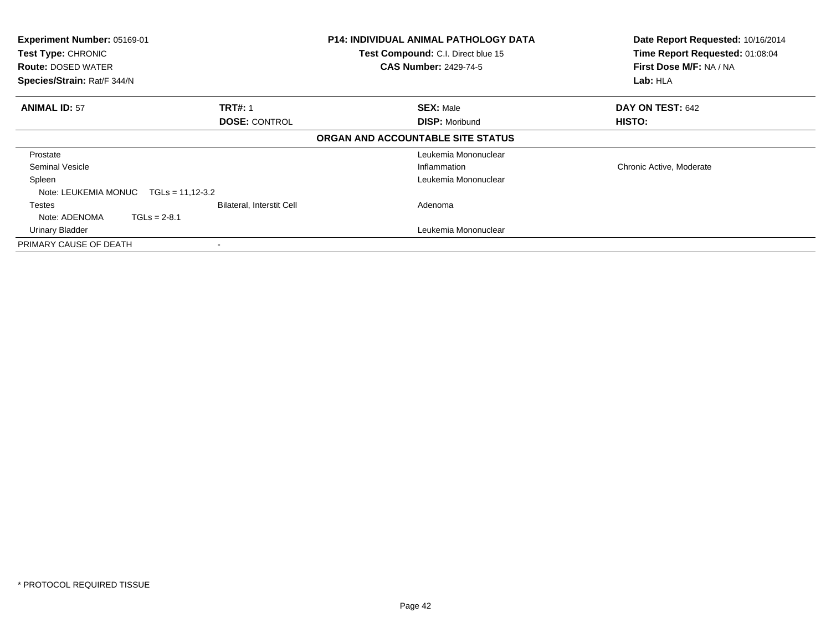| Experiment Number: 05169-01<br>Test Type: CHRONIC<br><b>Route: DOSED WATER</b><br>Species/Strain: Rat/F 344/N |                                                                   | <b>P14: INDIVIDUAL ANIMAL PATHOLOGY DATA</b><br>Test Compound: C.I. Direct blue 15<br><b>CAS Number: 2429-74-5</b> | Date Report Requested: 10/16/2014<br>Time Report Requested: 01:08:04<br>First Dose M/F: NA / NA<br>Lab: HLA |
|---------------------------------------------------------------------------------------------------------------|-------------------------------------------------------------------|--------------------------------------------------------------------------------------------------------------------|-------------------------------------------------------------------------------------------------------------|
| <b>ANIMAL ID: 57</b>                                                                                          | <b>TRT#: 1</b><br><b>DOSE: CONTROL</b>                            | <b>SEX: Male</b><br><b>DISP: Moribund</b>                                                                          | DAY ON TEST: 642<br>HISTO:                                                                                  |
|                                                                                                               |                                                                   | ORGAN AND ACCOUNTABLE SITE STATUS                                                                                  |                                                                                                             |
| Prostate                                                                                                      |                                                                   | Leukemia Mononuclear                                                                                               |                                                                                                             |
| <b>Seminal Vesicle</b><br>Spleen                                                                              |                                                                   | Inflammation<br>Leukemia Mononuclear                                                                               | Chronic Active, Moderate                                                                                    |
| Note: LEUKEMIA MONUC<br>Testes<br>Note: ADENOMA                                                               | $TGLs = 11,12-3.2$<br>Bilateral, Interstit Cell<br>$TGLs = 2-8.1$ | Adenoma                                                                                                            |                                                                                                             |
| Urinary Bladder                                                                                               |                                                                   | Leukemia Mononuclear                                                                                               |                                                                                                             |
| PRIMARY CAUSE OF DEATH                                                                                        |                                                                   |                                                                                                                    |                                                                                                             |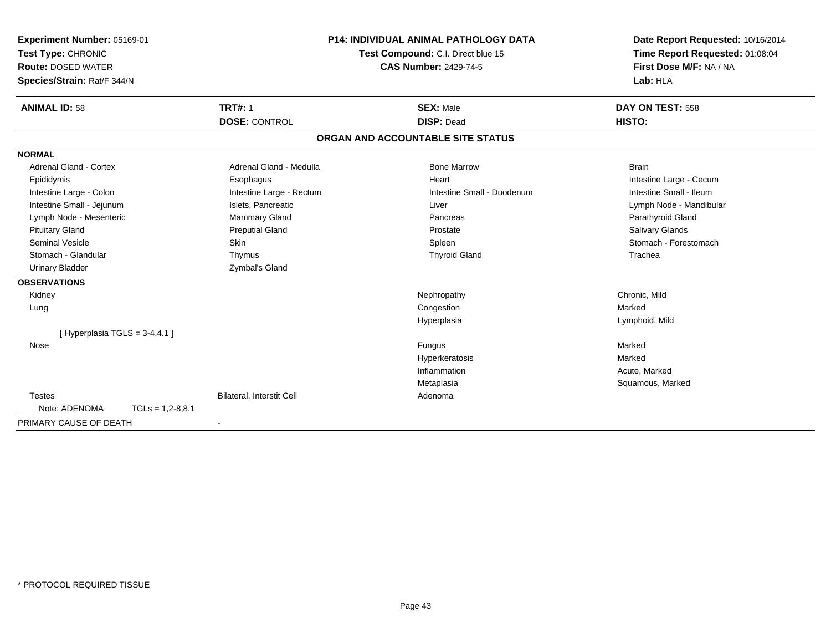| Experiment Number: 05169-01         | <b>P14: INDIVIDUAL ANIMAL PATHOLOGY DATA</b><br>Test Compound: C.I. Direct blue 15<br><b>CAS Number: 2429-74-5</b> |                                   | Date Report Requested: 10/16/2014 |
|-------------------------------------|--------------------------------------------------------------------------------------------------------------------|-----------------------------------|-----------------------------------|
| Test Type: CHRONIC                  |                                                                                                                    |                                   | Time Report Requested: 01:08:04   |
| <b>Route: DOSED WATER</b>           |                                                                                                                    |                                   | First Dose M/F: NA / NA           |
| Species/Strain: Rat/F 344/N         |                                                                                                                    |                                   | Lab: HLA                          |
| <b>ANIMAL ID: 58</b>                | <b>TRT#: 1</b>                                                                                                     | <b>SEX: Male</b>                  | DAY ON TEST: 558                  |
|                                     | <b>DOSE: CONTROL</b>                                                                                               | <b>DISP: Dead</b>                 | HISTO:                            |
|                                     |                                                                                                                    | ORGAN AND ACCOUNTABLE SITE STATUS |                                   |
| <b>NORMAL</b>                       |                                                                                                                    |                                   |                                   |
| <b>Adrenal Gland - Cortex</b>       | Adrenal Gland - Medulla                                                                                            | <b>Bone Marrow</b>                | <b>Brain</b>                      |
| Epididymis                          | Esophagus                                                                                                          | Heart                             | Intestine Large - Cecum           |
| Intestine Large - Colon             | Intestine Large - Rectum                                                                                           | Intestine Small - Duodenum        | Intestine Small - Ileum           |
| Intestine Small - Jejunum           | Islets, Pancreatic                                                                                                 | Liver                             | Lymph Node - Mandibular           |
| Lymph Node - Mesenteric             | <b>Mammary Gland</b>                                                                                               | Pancreas                          | Parathyroid Gland                 |
| <b>Pituitary Gland</b>              | <b>Preputial Gland</b>                                                                                             | Prostate                          | Salivary Glands                   |
| <b>Seminal Vesicle</b>              | Skin                                                                                                               | Spleen                            | Stomach - Forestomach             |
| Stomach - Glandular                 | Thymus                                                                                                             | <b>Thyroid Gland</b>              | Trachea                           |
| <b>Urinary Bladder</b>              | Zymbal's Gland                                                                                                     |                                   |                                   |
| <b>OBSERVATIONS</b>                 |                                                                                                                    |                                   |                                   |
| Kidney                              |                                                                                                                    | Nephropathy                       | Chronic, Mild                     |
| Lung                                |                                                                                                                    | Congestion                        | Marked                            |
|                                     |                                                                                                                    | Hyperplasia                       | Lymphoid, Mild                    |
| [Hyperplasia TGLS = $3-4,4.1$ ]     |                                                                                                                    |                                   |                                   |
| Nose                                |                                                                                                                    | Fungus                            | Marked                            |
|                                     |                                                                                                                    | Hyperkeratosis                    | Marked                            |
|                                     |                                                                                                                    | Inflammation                      | Acute, Marked                     |
|                                     |                                                                                                                    | Metaplasia                        | Squamous, Marked                  |
| <b>Testes</b>                       | Bilateral, Interstit Cell                                                                                          | Adenoma                           |                                   |
| Note: ADENOMA<br>$TGLs = 1,2-8,8.1$ |                                                                                                                    |                                   |                                   |
| PRIMARY CAUSE OF DEATH              |                                                                                                                    |                                   |                                   |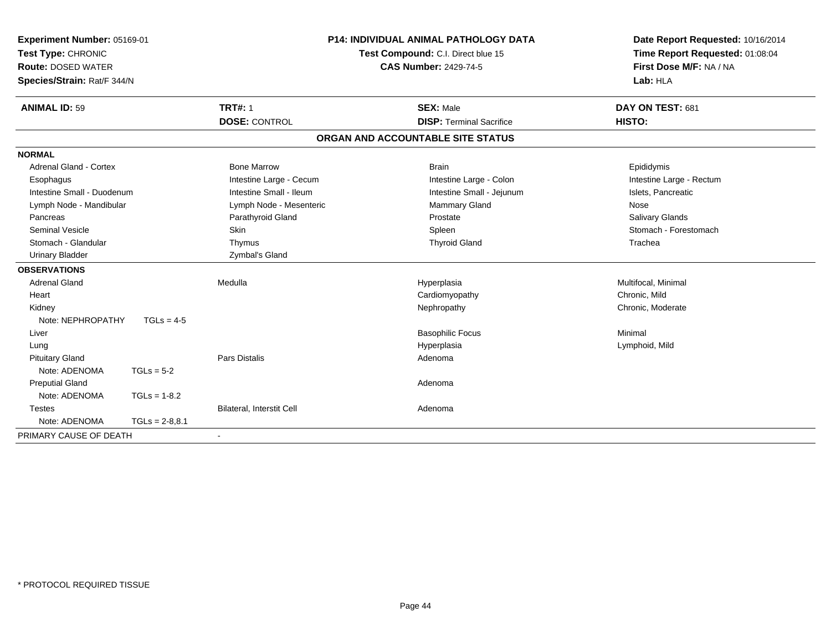| Experiment Number: 05169-01<br>Test Type: CHRONIC<br><b>Route: DOSED WATER</b><br>Species/Strain: Rat/F 344/N |                  | <b>P14: INDIVIDUAL ANIMAL PATHOLOGY DATA</b><br>Test Compound: C.I. Direct blue 15<br><b>CAS Number: 2429-74-5</b> |                                   | Date Report Requested: 10/16/2014<br>Time Report Requested: 01:08:04<br>First Dose M/F: NA / NA<br>Lab: HLA |  |
|---------------------------------------------------------------------------------------------------------------|------------------|--------------------------------------------------------------------------------------------------------------------|-----------------------------------|-------------------------------------------------------------------------------------------------------------|--|
| <b>ANIMAL ID: 59</b>                                                                                          |                  | <b>TRT#: 1</b>                                                                                                     | <b>SEX: Male</b>                  | DAY ON TEST: 681                                                                                            |  |
|                                                                                                               |                  | <b>DOSE: CONTROL</b>                                                                                               | <b>DISP: Terminal Sacrifice</b>   | HISTO:                                                                                                      |  |
|                                                                                                               |                  |                                                                                                                    | ORGAN AND ACCOUNTABLE SITE STATUS |                                                                                                             |  |
| <b>NORMAL</b>                                                                                                 |                  |                                                                                                                    |                                   |                                                                                                             |  |
| <b>Adrenal Gland - Cortex</b>                                                                                 |                  | <b>Bone Marrow</b>                                                                                                 | <b>Brain</b>                      | Epididymis                                                                                                  |  |
| Esophagus                                                                                                     |                  | Intestine Large - Cecum                                                                                            | Intestine Large - Colon           | Intestine Large - Rectum                                                                                    |  |
| Intestine Small - Duodenum                                                                                    |                  | Intestine Small - Ileum                                                                                            | Intestine Small - Jejunum         | Islets, Pancreatic                                                                                          |  |
| Lymph Node - Mandibular                                                                                       |                  | Lymph Node - Mesenteric                                                                                            | Mammary Gland                     | Nose                                                                                                        |  |
| Pancreas                                                                                                      |                  | Parathyroid Gland                                                                                                  | Prostate                          | Salivary Glands                                                                                             |  |
| Seminal Vesicle                                                                                               |                  | <b>Skin</b>                                                                                                        | Spleen                            | Stomach - Forestomach                                                                                       |  |
| Stomach - Glandular                                                                                           |                  | Thymus                                                                                                             | <b>Thyroid Gland</b>              | Trachea                                                                                                     |  |
| <b>Urinary Bladder</b>                                                                                        |                  | Zymbal's Gland                                                                                                     |                                   |                                                                                                             |  |
| <b>OBSERVATIONS</b>                                                                                           |                  |                                                                                                                    |                                   |                                                                                                             |  |
| <b>Adrenal Gland</b>                                                                                          |                  | Medulla                                                                                                            | Hyperplasia                       | Multifocal, Minimal                                                                                         |  |
| Heart                                                                                                         |                  |                                                                                                                    | Cardiomyopathy                    | Chronic, Mild                                                                                               |  |
| Kidney                                                                                                        |                  |                                                                                                                    | Nephropathy                       | Chronic, Moderate                                                                                           |  |
| Note: NEPHROPATHY                                                                                             | $TGLs = 4-5$     |                                                                                                                    |                                   |                                                                                                             |  |
| Liver                                                                                                         |                  |                                                                                                                    | <b>Basophilic Focus</b>           | Minimal                                                                                                     |  |
| Lung                                                                                                          |                  |                                                                                                                    | Hyperplasia                       | Lymphoid, Mild                                                                                              |  |
| <b>Pituitary Gland</b>                                                                                        |                  | <b>Pars Distalis</b>                                                                                               | Adenoma                           |                                                                                                             |  |
| Note: ADENOMA                                                                                                 | $TGLs = 5-2$     |                                                                                                                    |                                   |                                                                                                             |  |
| <b>Preputial Gland</b>                                                                                        |                  |                                                                                                                    | Adenoma                           |                                                                                                             |  |
| Note: ADENOMA                                                                                                 | $TGLs = 1-8.2$   |                                                                                                                    |                                   |                                                                                                             |  |
| <b>Testes</b>                                                                                                 |                  | Bilateral, Interstit Cell                                                                                          | Adenoma                           |                                                                                                             |  |
| Note: ADENOMA                                                                                                 | $TGLs = 2-8,8.1$ |                                                                                                                    |                                   |                                                                                                             |  |
| PRIMARY CAUSE OF DEATH                                                                                        |                  | $\blacksquare$                                                                                                     |                                   |                                                                                                             |  |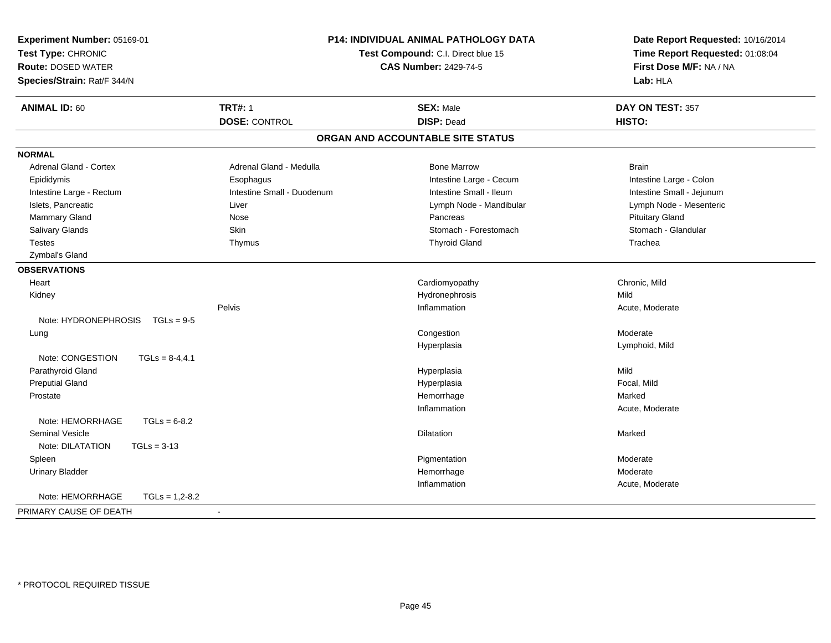| Experiment Number: 05169-01          |                                                                    | P14: INDIVIDUAL ANIMAL PATHOLOGY DATA | Date Report Requested: 10/16/2014 |
|--------------------------------------|--------------------------------------------------------------------|---------------------------------------|-----------------------------------|
| Test Type: CHRONIC                   | Test Compound: C.I. Direct blue 15<br><b>CAS Number: 2429-74-5</b> |                                       | Time Report Requested: 01:08:04   |
| <b>Route: DOSED WATER</b>            |                                                                    |                                       | First Dose M/F: NA / NA           |
| Species/Strain: Rat/F 344/N          |                                                                    |                                       | Lab: HLA                          |
| <b>ANIMAL ID: 60</b>                 | <b>TRT#: 1</b>                                                     | <b>SEX: Male</b>                      | DAY ON TEST: 357                  |
|                                      | <b>DOSE: CONTROL</b>                                               | <b>DISP: Dead</b>                     | HISTO:                            |
|                                      |                                                                    | ORGAN AND ACCOUNTABLE SITE STATUS     |                                   |
| <b>NORMAL</b>                        |                                                                    |                                       |                                   |
| <b>Adrenal Gland - Cortex</b>        | Adrenal Gland - Medulla                                            | <b>Bone Marrow</b>                    | <b>Brain</b>                      |
| Epididymis                           | Esophagus                                                          | Intestine Large - Cecum               | Intestine Large - Colon           |
| Intestine Large - Rectum             | Intestine Small - Duodenum                                         | Intestine Small - Ileum               | Intestine Small - Jejunum         |
| Islets, Pancreatic                   | Liver                                                              | Lymph Node - Mandibular               | Lymph Node - Mesenteric           |
| Mammary Gland                        | Nose                                                               | Pancreas                              | <b>Pituitary Gland</b>            |
| Salivary Glands                      | Skin                                                               | Stomach - Forestomach                 | Stomach - Glandular               |
| <b>Testes</b>                        | Thymus                                                             | <b>Thyroid Gland</b>                  | Trachea                           |
| Zymbal's Gland                       |                                                                    |                                       |                                   |
| <b>OBSERVATIONS</b>                  |                                                                    |                                       |                                   |
| Heart                                |                                                                    | Cardiomyopathy                        | Chronic, Mild                     |
| Kidney                               |                                                                    | Hydronephrosis                        | Mild                              |
|                                      | Pelvis                                                             | Inflammation                          | Acute, Moderate                   |
| Note: HYDRONEPHROSIS<br>$TGLs = 9-5$ |                                                                    |                                       |                                   |
| Lung                                 |                                                                    | Congestion                            | Moderate                          |
|                                      |                                                                    | Hyperplasia                           | Lymphoid, Mild                    |
| Note: CONGESTION<br>$TGLs = 8-4,4.1$ |                                                                    |                                       |                                   |
| Parathyroid Gland                    |                                                                    | Hyperplasia                           | Mild                              |
| <b>Preputial Gland</b>               |                                                                    | Hyperplasia                           | Focal, Mild                       |
| Prostate                             |                                                                    | Hemorrhage                            | Marked                            |
|                                      |                                                                    | Inflammation                          | Acute, Moderate                   |
| Note: HEMORRHAGE<br>$TGLs = 6-8.2$   |                                                                    |                                       |                                   |
| <b>Seminal Vesicle</b>               |                                                                    | <b>Dilatation</b>                     | Marked                            |
| Note: DILATATION<br>$TGLs = 3-13$    |                                                                    |                                       |                                   |
| Spleen                               |                                                                    | Pigmentation                          | Moderate                          |
| <b>Urinary Bladder</b>               |                                                                    | Hemorrhage                            | Moderate                          |
|                                      |                                                                    | Inflammation                          | Acute, Moderate                   |
| Note: HEMORRHAGE<br>$TGLs = 1,2-8.2$ |                                                                    |                                       |                                   |
| PRIMARY CAUSE OF DEATH               | $\sim$                                                             |                                       |                                   |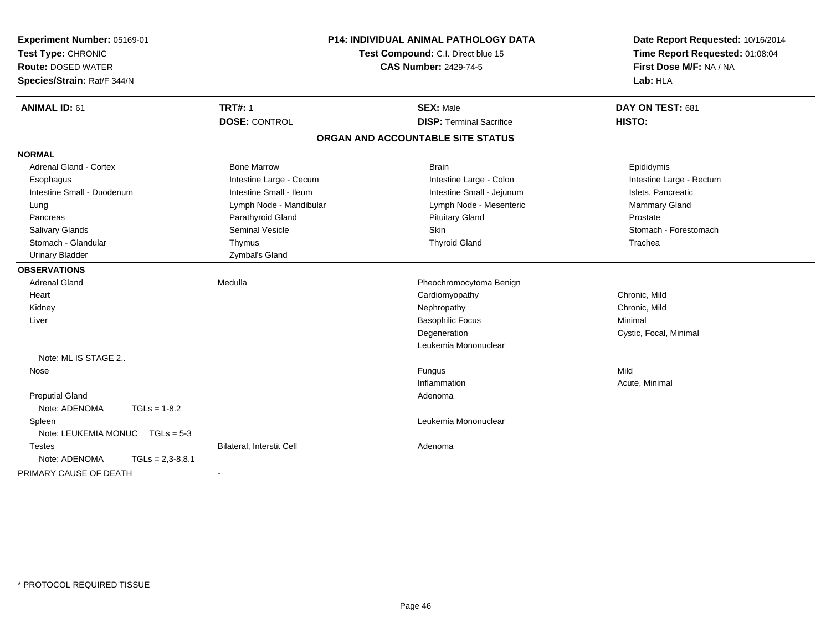| Experiment Number: 05169-01<br>Test Type: CHRONIC<br><b>Route: DOSED WATER</b><br>Species/Strain: Rat/F 344/N | <b>P14: INDIVIDUAL ANIMAL PATHOLOGY DATA</b><br>Test Compound: C.I. Direct blue 15<br><b>CAS Number: 2429-74-5</b> |                                                     | Date Report Requested: 10/16/2014<br>Time Report Requested: 01:08:04<br>First Dose M/F: NA / NA<br>Lab: HLA |  |
|---------------------------------------------------------------------------------------------------------------|--------------------------------------------------------------------------------------------------------------------|-----------------------------------------------------|-------------------------------------------------------------------------------------------------------------|--|
| <b>ANIMAL ID: 61</b>                                                                                          | <b>TRT#: 1</b><br><b>DOSE: CONTROL</b>                                                                             | <b>SEX: Male</b><br><b>DISP: Terminal Sacrifice</b> | DAY ON TEST: 681<br><b>HISTO:</b>                                                                           |  |
|                                                                                                               |                                                                                                                    |                                                     |                                                                                                             |  |
|                                                                                                               |                                                                                                                    | ORGAN AND ACCOUNTABLE SITE STATUS                   |                                                                                                             |  |
| <b>NORMAL</b>                                                                                                 |                                                                                                                    |                                                     |                                                                                                             |  |
| <b>Adrenal Gland - Cortex</b>                                                                                 | <b>Bone Marrow</b>                                                                                                 | <b>Brain</b>                                        | Epididymis                                                                                                  |  |
| Esophagus                                                                                                     | Intestine Large - Cecum                                                                                            | Intestine Large - Colon                             | Intestine Large - Rectum                                                                                    |  |
| Intestine Small - Duodenum                                                                                    | Intestine Small - Ileum                                                                                            | Intestine Small - Jejunum                           | Islets, Pancreatic                                                                                          |  |
| Lung                                                                                                          | Lymph Node - Mandibular                                                                                            | Lymph Node - Mesenteric                             | Mammary Gland                                                                                               |  |
| Pancreas                                                                                                      | Parathyroid Gland                                                                                                  | <b>Pituitary Gland</b>                              | Prostate                                                                                                    |  |
| <b>Salivary Glands</b>                                                                                        | <b>Seminal Vesicle</b>                                                                                             | Skin                                                | Stomach - Forestomach                                                                                       |  |
| Stomach - Glandular                                                                                           | Thymus                                                                                                             | <b>Thyroid Gland</b>                                | Trachea                                                                                                     |  |
| <b>Urinary Bladder</b>                                                                                        | Zymbal's Gland                                                                                                     |                                                     |                                                                                                             |  |
| <b>OBSERVATIONS</b>                                                                                           |                                                                                                                    |                                                     |                                                                                                             |  |
| <b>Adrenal Gland</b>                                                                                          | Medulla                                                                                                            | Pheochromocytoma Benign                             |                                                                                                             |  |
| Heart                                                                                                         |                                                                                                                    | Cardiomyopathy                                      | Chronic, Mild                                                                                               |  |
| Kidney                                                                                                        |                                                                                                                    | Nephropathy                                         | Chronic, Mild                                                                                               |  |
| Liver                                                                                                         |                                                                                                                    | <b>Basophilic Focus</b>                             | Minimal                                                                                                     |  |
|                                                                                                               |                                                                                                                    | Degeneration                                        | Cystic, Focal, Minimal                                                                                      |  |
|                                                                                                               |                                                                                                                    | Leukemia Mononuclear                                |                                                                                                             |  |
| Note: ML IS STAGE 2                                                                                           |                                                                                                                    |                                                     |                                                                                                             |  |
| Nose                                                                                                          |                                                                                                                    | Fungus                                              | Mild                                                                                                        |  |
|                                                                                                               |                                                                                                                    | Inflammation                                        | Acute, Minimal                                                                                              |  |
| <b>Preputial Gland</b>                                                                                        |                                                                                                                    | Adenoma                                             |                                                                                                             |  |
| Note: ADENOMA<br>$TGLs = 1-8.2$                                                                               |                                                                                                                    |                                                     |                                                                                                             |  |
| Spleen                                                                                                        |                                                                                                                    | Leukemia Mononuclear                                |                                                                                                             |  |
| Note: LEUKEMIA MONUC TGLs = 5-3                                                                               |                                                                                                                    |                                                     |                                                                                                             |  |
| <b>Testes</b>                                                                                                 | Bilateral, Interstit Cell                                                                                          | Adenoma                                             |                                                                                                             |  |
| Note: ADENOMA<br>$TGLs = 2,3-8,8.1$                                                                           |                                                                                                                    |                                                     |                                                                                                             |  |
| PRIMARY CAUSE OF DEATH                                                                                        |                                                                                                                    |                                                     |                                                                                                             |  |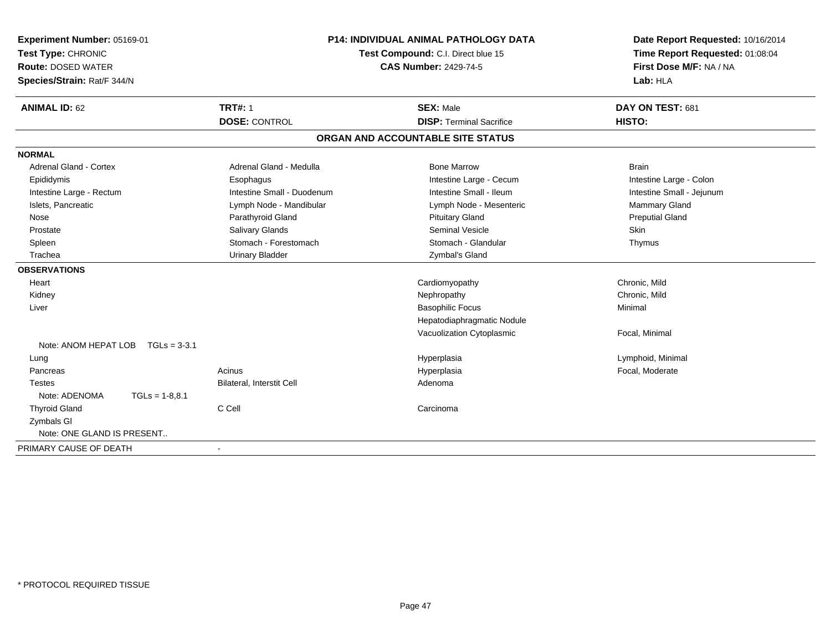| Experiment Number: 05169-01<br>Test Type: CHRONIC<br><b>Route: DOSED WATER</b><br>Species/Strain: Rat/F 344/N |                  | <b>P14: INDIVIDUAL ANIMAL PATHOLOGY DATA</b><br>Test Compound: C.I. Direct blue 15<br><b>CAS Number: 2429-74-5</b> |                                   | Date Report Requested: 10/16/2014<br>Time Report Requested: 01:08:04<br>First Dose M/F: NA / NA<br>Lab: HLA |
|---------------------------------------------------------------------------------------------------------------|------------------|--------------------------------------------------------------------------------------------------------------------|-----------------------------------|-------------------------------------------------------------------------------------------------------------|
| <b>ANIMAL ID: 62</b>                                                                                          |                  | <b>TRT#: 1</b>                                                                                                     | <b>SEX: Male</b>                  | DAY ON TEST: 681                                                                                            |
|                                                                                                               |                  | <b>DOSE: CONTROL</b>                                                                                               | <b>DISP: Terminal Sacrifice</b>   | HISTO:                                                                                                      |
|                                                                                                               |                  |                                                                                                                    | ORGAN AND ACCOUNTABLE SITE STATUS |                                                                                                             |
| <b>NORMAL</b>                                                                                                 |                  |                                                                                                                    |                                   |                                                                                                             |
| Adrenal Gland - Cortex                                                                                        |                  | Adrenal Gland - Medulla                                                                                            | <b>Bone Marrow</b>                | <b>Brain</b>                                                                                                |
| Epididymis                                                                                                    |                  | Esophagus                                                                                                          | Intestine Large - Cecum           | Intestine Large - Colon                                                                                     |
| Intestine Large - Rectum                                                                                      |                  | Intestine Small - Duodenum                                                                                         | Intestine Small - Ileum           | Intestine Small - Jejunum                                                                                   |
| Islets, Pancreatic                                                                                            |                  | Lymph Node - Mandibular                                                                                            | Lymph Node - Mesenteric           | Mammary Gland                                                                                               |
| Nose                                                                                                          |                  | Parathyroid Gland                                                                                                  | <b>Pituitary Gland</b>            | <b>Preputial Gland</b>                                                                                      |
| Prostate                                                                                                      |                  | Salivary Glands                                                                                                    | Seminal Vesicle                   | Skin                                                                                                        |
| Spleen                                                                                                        |                  | Stomach - Forestomach                                                                                              | Stomach - Glandular               | Thymus                                                                                                      |
| Trachea                                                                                                       |                  | <b>Urinary Bladder</b>                                                                                             | Zymbal's Gland                    |                                                                                                             |
| <b>OBSERVATIONS</b>                                                                                           |                  |                                                                                                                    |                                   |                                                                                                             |
| Heart                                                                                                         |                  |                                                                                                                    | Cardiomyopathy                    | Chronic, Mild                                                                                               |
| Kidney                                                                                                        |                  |                                                                                                                    | Nephropathy                       | Chronic, Mild                                                                                               |
| Liver                                                                                                         |                  |                                                                                                                    | <b>Basophilic Focus</b>           | Minimal                                                                                                     |
|                                                                                                               |                  |                                                                                                                    | Hepatodiaphragmatic Nodule        |                                                                                                             |
|                                                                                                               |                  |                                                                                                                    | Vacuolization Cytoplasmic         | Focal, Minimal                                                                                              |
| Note: ANOM HEPAT LOB                                                                                          | $TGLs = 3-3.1$   |                                                                                                                    |                                   |                                                                                                             |
| Lung                                                                                                          |                  |                                                                                                                    | Hyperplasia                       | Lymphoid, Minimal                                                                                           |
| Pancreas                                                                                                      |                  | Acinus                                                                                                             | Hyperplasia                       | Focal, Moderate                                                                                             |
| <b>Testes</b>                                                                                                 |                  | Bilateral, Interstit Cell                                                                                          | Adenoma                           |                                                                                                             |
| Note: ADENOMA                                                                                                 | $TGLs = 1-8.8.1$ |                                                                                                                    |                                   |                                                                                                             |
| <b>Thyroid Gland</b>                                                                                          |                  | C Cell                                                                                                             | Carcinoma                         |                                                                                                             |
| Zymbals GI                                                                                                    |                  |                                                                                                                    |                                   |                                                                                                             |
| Note: ONE GLAND IS PRESENT                                                                                    |                  |                                                                                                                    |                                   |                                                                                                             |
| PRIMARY CAUSE OF DEATH                                                                                        |                  |                                                                                                                    |                                   |                                                                                                             |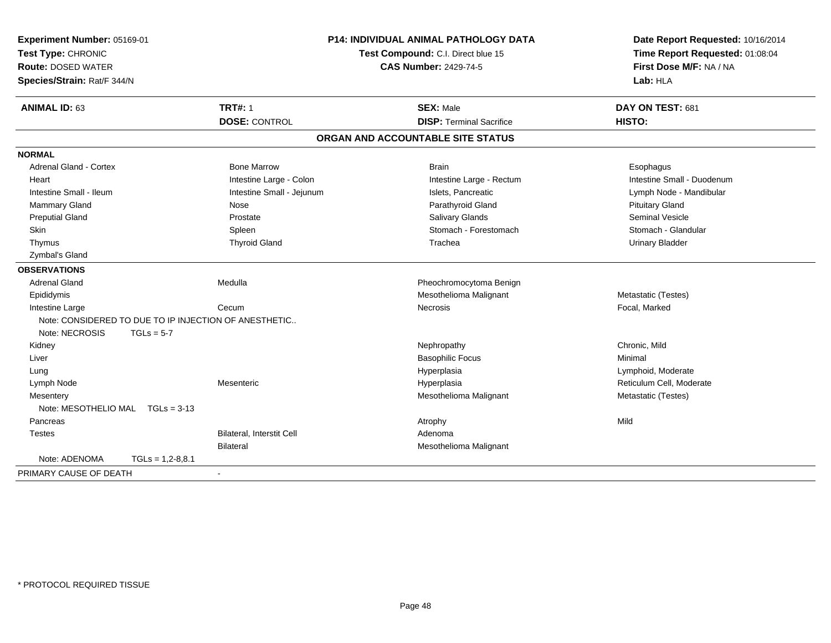| Experiment Number: 05169-01<br>Test Type: CHRONIC<br><b>Route: DOSED WATER</b><br>Species/Strain: Rat/F 344/N |                                                       |                                  | <b>P14: INDIVIDUAL ANIMAL PATHOLOGY DATA</b><br>Test Compound: C.I. Direct blue 15<br><b>CAS Number: 2429-74-5</b> | Date Report Requested: 10/16/2014<br>Time Report Requested: 01:08:04<br>First Dose M/F: NA / NA<br>Lab: HLA |
|---------------------------------------------------------------------------------------------------------------|-------------------------------------------------------|----------------------------------|--------------------------------------------------------------------------------------------------------------------|-------------------------------------------------------------------------------------------------------------|
| <b>ANIMAL ID: 63</b>                                                                                          |                                                       | <b>TRT#: 1</b>                   | <b>SEX: Male</b>                                                                                                   | DAY ON TEST: 681                                                                                            |
|                                                                                                               |                                                       | <b>DOSE: CONTROL</b>             | <b>DISP: Terminal Sacrifice</b>                                                                                    | HISTO:                                                                                                      |
|                                                                                                               |                                                       |                                  | ORGAN AND ACCOUNTABLE SITE STATUS                                                                                  |                                                                                                             |
| <b>NORMAL</b>                                                                                                 |                                                       |                                  |                                                                                                                    |                                                                                                             |
| <b>Adrenal Gland - Cortex</b>                                                                                 |                                                       | <b>Bone Marrow</b>               | <b>Brain</b>                                                                                                       | Esophagus                                                                                                   |
| Heart                                                                                                         |                                                       | Intestine Large - Colon          | Intestine Large - Rectum                                                                                           | Intestine Small - Duodenum                                                                                  |
| Intestine Small - Ileum                                                                                       |                                                       | Intestine Small - Jejunum        | Islets, Pancreatic                                                                                                 | Lymph Node - Mandibular                                                                                     |
| <b>Mammary Gland</b>                                                                                          |                                                       | Nose                             | Parathyroid Gland                                                                                                  | <b>Pituitary Gland</b>                                                                                      |
| <b>Preputial Gland</b>                                                                                        |                                                       | Prostate                         | <b>Salivary Glands</b>                                                                                             | <b>Seminal Vesicle</b>                                                                                      |
| Skin                                                                                                          |                                                       | Spleen                           | Stomach - Forestomach                                                                                              | Stomach - Glandular                                                                                         |
| Thymus                                                                                                        |                                                       | <b>Thyroid Gland</b>             | Trachea                                                                                                            | <b>Urinary Bladder</b>                                                                                      |
| Zymbal's Gland                                                                                                |                                                       |                                  |                                                                                                                    |                                                                                                             |
| <b>OBSERVATIONS</b>                                                                                           |                                                       |                                  |                                                                                                                    |                                                                                                             |
| <b>Adrenal Gland</b>                                                                                          |                                                       | Medulla                          | Pheochromocytoma Benign                                                                                            |                                                                                                             |
| Epididymis                                                                                                    |                                                       |                                  | Mesothelioma Malignant                                                                                             | Metastatic (Testes)                                                                                         |
| Intestine Large                                                                                               |                                                       | Cecum                            | Necrosis                                                                                                           | Focal, Marked                                                                                               |
|                                                                                                               | Note: CONSIDERED TO DUE TO IP INJECTION OF ANESTHETIC |                                  |                                                                                                                    |                                                                                                             |
| Note: NECROSIS                                                                                                | $TGLs = 5-7$                                          |                                  |                                                                                                                    |                                                                                                             |
| Kidney                                                                                                        |                                                       |                                  | Nephropathy                                                                                                        | Chronic, Mild                                                                                               |
| Liver                                                                                                         |                                                       |                                  | <b>Basophilic Focus</b>                                                                                            | Minimal                                                                                                     |
| Lung                                                                                                          |                                                       |                                  | Hyperplasia                                                                                                        | Lymphoid, Moderate                                                                                          |
| Lymph Node                                                                                                    |                                                       | Mesenteric                       | Hyperplasia                                                                                                        | Reticulum Cell, Moderate                                                                                    |
| Mesentery                                                                                                     |                                                       |                                  | Mesothelioma Malignant                                                                                             | Metastatic (Testes)                                                                                         |
| Note: MESOTHELIO MAL TGLs = 3-13                                                                              |                                                       |                                  |                                                                                                                    |                                                                                                             |
| Pancreas                                                                                                      |                                                       |                                  | Atrophy                                                                                                            | Mild                                                                                                        |
| Testes                                                                                                        |                                                       | <b>Bilateral, Interstit Cell</b> | Adenoma                                                                                                            |                                                                                                             |
|                                                                                                               |                                                       | <b>Bilateral</b>                 | Mesothelioma Malignant                                                                                             |                                                                                                             |
| Note: ADENOMA                                                                                                 | $TGLs = 1,2-8,8.1$                                    |                                  |                                                                                                                    |                                                                                                             |
| PRIMARY CAUSE OF DEATH                                                                                        |                                                       |                                  |                                                                                                                    |                                                                                                             |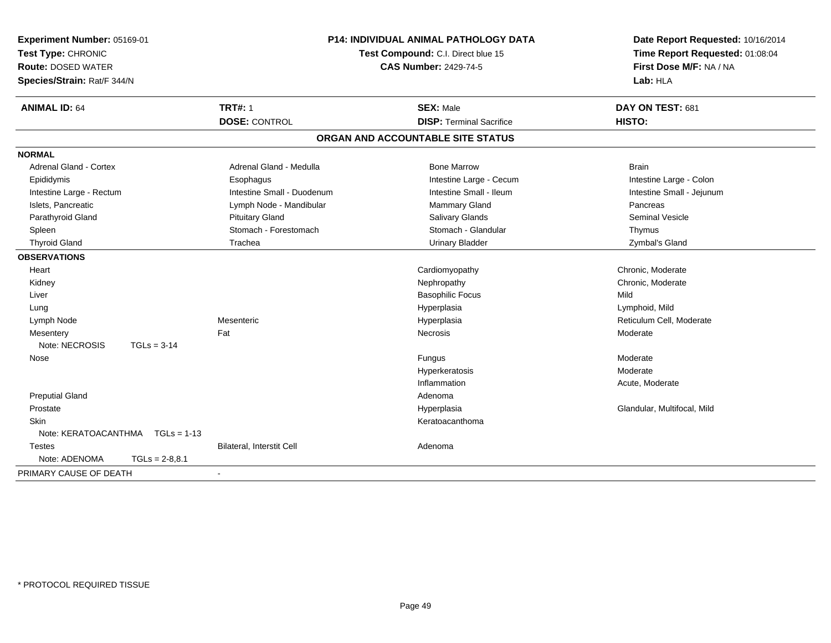| Experiment Number: 05169-01<br>Test Type: CHRONIC<br><b>Route: DOSED WATER</b><br>Species/Strain: Rat/F 344/N |                  | <b>P14: INDIVIDUAL ANIMAL PATHOLOGY DATA</b><br>Test Compound: C.I. Direct blue 15<br><b>CAS Number: 2429-74-5</b> |                                                     | Date Report Requested: 10/16/2014<br>Time Report Requested: 01:08:04<br>First Dose M/F: NA / NA<br>Lab: HLA |  |
|---------------------------------------------------------------------------------------------------------------|------------------|--------------------------------------------------------------------------------------------------------------------|-----------------------------------------------------|-------------------------------------------------------------------------------------------------------------|--|
| <b>ANIMAL ID: 64</b>                                                                                          |                  | <b>TRT#: 1</b><br><b>DOSE: CONTROL</b>                                                                             | <b>SEX: Male</b><br><b>DISP: Terminal Sacrifice</b> | DAY ON TEST: 681<br><b>HISTO:</b>                                                                           |  |
|                                                                                                               |                  |                                                                                                                    | ORGAN AND ACCOUNTABLE SITE STATUS                   |                                                                                                             |  |
| <b>NORMAL</b>                                                                                                 |                  |                                                                                                                    |                                                     |                                                                                                             |  |
| Adrenal Gland - Cortex                                                                                        |                  | Adrenal Gland - Medulla                                                                                            | <b>Bone Marrow</b>                                  | <b>Brain</b>                                                                                                |  |
| Epididymis                                                                                                    |                  | Esophagus                                                                                                          | Intestine Large - Cecum                             | Intestine Large - Colon                                                                                     |  |
| Intestine Large - Rectum                                                                                      |                  | Intestine Small - Duodenum                                                                                         | Intestine Small - Ileum                             | Intestine Small - Jejunum                                                                                   |  |
| Islets, Pancreatic                                                                                            |                  | Lymph Node - Mandibular                                                                                            | <b>Mammary Gland</b>                                | Pancreas                                                                                                    |  |
| Parathyroid Gland                                                                                             |                  | <b>Pituitary Gland</b>                                                                                             | <b>Salivary Glands</b>                              | <b>Seminal Vesicle</b>                                                                                      |  |
| Spleen                                                                                                        |                  | Stomach - Forestomach                                                                                              | Stomach - Glandular                                 | Thymus                                                                                                      |  |
| <b>Thyroid Gland</b>                                                                                          |                  | Trachea                                                                                                            | <b>Urinary Bladder</b>                              | Zymbal's Gland                                                                                              |  |
| <b>OBSERVATIONS</b>                                                                                           |                  |                                                                                                                    |                                                     |                                                                                                             |  |
| Heart                                                                                                         |                  |                                                                                                                    | Cardiomyopathy                                      | Chronic, Moderate                                                                                           |  |
| Kidney                                                                                                        |                  |                                                                                                                    | Nephropathy                                         | Chronic, Moderate                                                                                           |  |
| Liver                                                                                                         |                  |                                                                                                                    | <b>Basophilic Focus</b>                             | Mild                                                                                                        |  |
| Lung                                                                                                          |                  |                                                                                                                    | Hyperplasia                                         | Lymphoid, Mild                                                                                              |  |
| Lymph Node                                                                                                    |                  | Mesenteric                                                                                                         | Hyperplasia                                         | Reticulum Cell, Moderate                                                                                    |  |
| Mesentery                                                                                                     |                  | Fat                                                                                                                | Necrosis                                            | Moderate                                                                                                    |  |
| Note: NECROSIS                                                                                                | $TGLs = 3-14$    |                                                                                                                    |                                                     |                                                                                                             |  |
| Nose                                                                                                          |                  |                                                                                                                    | Fungus                                              | Moderate                                                                                                    |  |
|                                                                                                               |                  |                                                                                                                    | Hyperkeratosis                                      | Moderate                                                                                                    |  |
|                                                                                                               |                  |                                                                                                                    | Inflammation                                        | Acute, Moderate                                                                                             |  |
| <b>Preputial Gland</b>                                                                                        |                  |                                                                                                                    | Adenoma                                             |                                                                                                             |  |
| Prostate                                                                                                      |                  |                                                                                                                    | Hyperplasia                                         | Glandular, Multifocal, Mild                                                                                 |  |
| Skin                                                                                                          |                  |                                                                                                                    | Keratoacanthoma                                     |                                                                                                             |  |
| Note: KERATOACANTHMA                                                                                          | $TGLs = 1-13$    |                                                                                                                    |                                                     |                                                                                                             |  |
| <b>Testes</b>                                                                                                 |                  | Bilateral, Interstit Cell                                                                                          | Adenoma                                             |                                                                                                             |  |
| Note: ADENOMA                                                                                                 | $TGLs = 2-8.8.1$ |                                                                                                                    |                                                     |                                                                                                             |  |
| PRIMARY CAUSE OF DEATH                                                                                        |                  |                                                                                                                    |                                                     |                                                                                                             |  |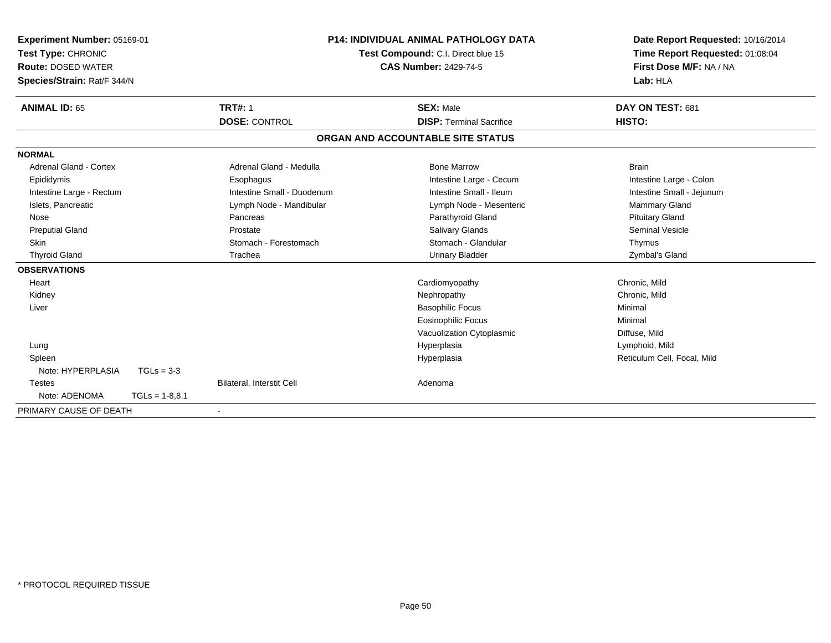| Experiment Number: 05169-01<br>Test Type: CHRONIC<br><b>Route: DOSED WATER</b> |                  | <b>P14: INDIVIDUAL ANIMAL PATHOLOGY DATA</b><br>Test Compound: C.I. Direct blue 15<br><b>CAS Number: 2429-74-5</b> |                                   | First Dose M/F: NA / NA         | Date Report Requested: 10/16/2014<br>Time Report Requested: 01:08:04 |  |
|--------------------------------------------------------------------------------|------------------|--------------------------------------------------------------------------------------------------------------------|-----------------------------------|---------------------------------|----------------------------------------------------------------------|--|
| Species/Strain: Rat/F 344/N                                                    |                  |                                                                                                                    |                                   |                                 | Lab: HLA                                                             |  |
| <b>ANIMAL ID: 65</b>                                                           |                  | <b>TRT#: 1</b>                                                                                                     | <b>SEX: Male</b>                  |                                 | DAY ON TEST: 681                                                     |  |
|                                                                                |                  | <b>DOSE: CONTROL</b>                                                                                               |                                   | <b>DISP: Terminal Sacrifice</b> | HISTO:                                                               |  |
|                                                                                |                  |                                                                                                                    | ORGAN AND ACCOUNTABLE SITE STATUS |                                 |                                                                      |  |
| <b>NORMAL</b>                                                                  |                  |                                                                                                                    |                                   |                                 |                                                                      |  |
| Adrenal Gland - Cortex                                                         |                  | Adrenal Gland - Medulla                                                                                            | <b>Bone Marrow</b>                |                                 | <b>Brain</b>                                                         |  |
| Epididymis                                                                     |                  | Esophagus                                                                                                          |                                   | Intestine Large - Cecum         | Intestine Large - Colon                                              |  |
| Intestine Large - Rectum                                                       |                  | Intestine Small - Duodenum                                                                                         |                                   | Intestine Small - Ileum         | Intestine Small - Jejunum                                            |  |
| Islets, Pancreatic                                                             |                  | Lymph Node - Mandibular                                                                                            |                                   | Lymph Node - Mesenteric         | <b>Mammary Gland</b>                                                 |  |
| Nose                                                                           |                  | Pancreas                                                                                                           |                                   | Parathyroid Gland               | <b>Pituitary Gland</b>                                               |  |
| <b>Preputial Gland</b>                                                         |                  | Prostate                                                                                                           |                                   | <b>Salivary Glands</b>          | <b>Seminal Vesicle</b>                                               |  |
| Skin                                                                           |                  | Stomach - Forestomach                                                                                              |                                   | Stomach - Glandular             | Thymus                                                               |  |
| <b>Thyroid Gland</b>                                                           |                  | Trachea                                                                                                            |                                   | Urinary Bladder                 | Zymbal's Gland                                                       |  |
| <b>OBSERVATIONS</b>                                                            |                  |                                                                                                                    |                                   |                                 |                                                                      |  |
| Heart                                                                          |                  |                                                                                                                    | Cardiomyopathy                    |                                 | Chronic, Mild                                                        |  |
| Kidney                                                                         |                  |                                                                                                                    | Nephropathy                       |                                 | Chronic, Mild                                                        |  |
| Liver                                                                          |                  |                                                                                                                    | <b>Basophilic Focus</b>           |                                 | Minimal                                                              |  |
|                                                                                |                  |                                                                                                                    | <b>Eosinophilic Focus</b>         |                                 | Minimal                                                              |  |
|                                                                                |                  |                                                                                                                    |                                   | Vacuolization Cytoplasmic       | Diffuse, Mild                                                        |  |
| Lung                                                                           |                  |                                                                                                                    | Hyperplasia                       |                                 | Lymphoid, Mild                                                       |  |
| Spleen                                                                         |                  |                                                                                                                    | Hyperplasia                       |                                 | Reticulum Cell, Focal, Mild                                          |  |
| Note: HYPERPLASIA                                                              | $TGLs = 3-3$     |                                                                                                                    |                                   |                                 |                                                                      |  |
| <b>Testes</b>                                                                  |                  | Bilateral, Interstit Cell                                                                                          | Adenoma                           |                                 |                                                                      |  |
| Note: ADENOMA                                                                  | $TGLs = 1-8.8.1$ |                                                                                                                    |                                   |                                 |                                                                      |  |
| PRIMARY CAUSE OF DEATH                                                         |                  |                                                                                                                    |                                   |                                 |                                                                      |  |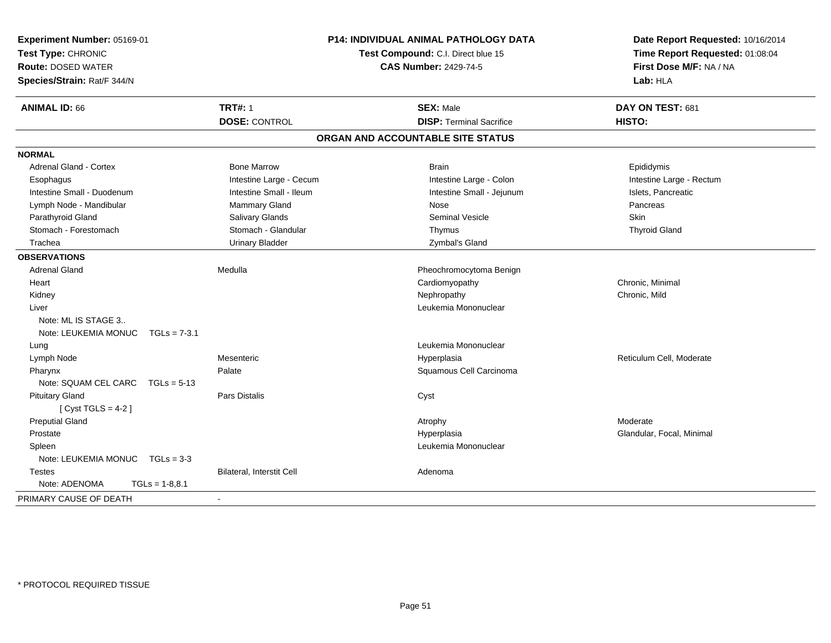| Experiment Number: 05169-01<br>Test Type: CHRONIC<br><b>Route: DOSED WATER</b><br>Species/Strain: Rat/F 344/N |                           | <b>P14: INDIVIDUAL ANIMAL PATHOLOGY DATA</b><br>Test Compound: C.I. Direct blue 15<br><b>CAS Number: 2429-74-5</b> | Date Report Requested: 10/16/2014<br>Time Report Requested: 01:08:04<br>First Dose M/F: NA / NA<br>Lab: HLA |
|---------------------------------------------------------------------------------------------------------------|---------------------------|--------------------------------------------------------------------------------------------------------------------|-------------------------------------------------------------------------------------------------------------|
| <b>ANIMAL ID: 66</b>                                                                                          | <b>TRT#: 1</b>            | <b>SEX: Male</b>                                                                                                   | DAY ON TEST: 681                                                                                            |
|                                                                                                               | <b>DOSE: CONTROL</b>      | <b>DISP: Terminal Sacrifice</b>                                                                                    | HISTO:                                                                                                      |
|                                                                                                               |                           | ORGAN AND ACCOUNTABLE SITE STATUS                                                                                  |                                                                                                             |
| <b>NORMAL</b>                                                                                                 |                           |                                                                                                                    |                                                                                                             |
| Adrenal Gland - Cortex                                                                                        | <b>Bone Marrow</b>        | <b>Brain</b>                                                                                                       | Epididymis                                                                                                  |
| Esophagus                                                                                                     | Intestine Large - Cecum   | Intestine Large - Colon                                                                                            | Intestine Large - Rectum                                                                                    |
| Intestine Small - Duodenum                                                                                    | Intestine Small - Ileum   | Intestine Small - Jejunum                                                                                          | Islets, Pancreatic                                                                                          |
| Lymph Node - Mandibular                                                                                       | <b>Mammary Gland</b>      | Nose                                                                                                               | Pancreas                                                                                                    |
| Parathyroid Gland                                                                                             | Salivary Glands           | <b>Seminal Vesicle</b>                                                                                             | <b>Skin</b>                                                                                                 |
| Stomach - Forestomach                                                                                         | Stomach - Glandular       | Thymus                                                                                                             | <b>Thyroid Gland</b>                                                                                        |
| Trachea                                                                                                       | <b>Urinary Bladder</b>    | Zymbal's Gland                                                                                                     |                                                                                                             |
| <b>OBSERVATIONS</b>                                                                                           |                           |                                                                                                                    |                                                                                                             |
| <b>Adrenal Gland</b>                                                                                          | Medulla                   | Pheochromocytoma Benign                                                                                            |                                                                                                             |
| Heart                                                                                                         |                           | Cardiomyopathy                                                                                                     | Chronic, Minimal                                                                                            |
| Kidney                                                                                                        |                           | Nephropathy                                                                                                        | Chronic, Mild                                                                                               |
| Liver                                                                                                         |                           | Leukemia Mononuclear                                                                                               |                                                                                                             |
| Note: ML IS STAGE 3                                                                                           |                           |                                                                                                                    |                                                                                                             |
| Note: LEUKEMIA MONUC TGLs = 7-3.1                                                                             |                           |                                                                                                                    |                                                                                                             |
| Lung                                                                                                          |                           | Leukemia Mononuclear                                                                                               |                                                                                                             |
| Lymph Node                                                                                                    | Mesenteric                | Hyperplasia                                                                                                        | Reticulum Cell, Moderate                                                                                    |
| Pharynx                                                                                                       | Palate                    | Squamous Cell Carcinoma                                                                                            |                                                                                                             |
| Note: SQUAM CEL CARC                                                                                          | $TGLs = 5-13$             |                                                                                                                    |                                                                                                             |
| <b>Pituitary Gland</b>                                                                                        | Pars Distalis             | Cyst                                                                                                               |                                                                                                             |
| [Cyst TGLS = $4-2$ ]                                                                                          |                           |                                                                                                                    |                                                                                                             |
| <b>Preputial Gland</b>                                                                                        |                           | Atrophy                                                                                                            | Moderate                                                                                                    |
| Prostate                                                                                                      |                           | Hyperplasia                                                                                                        | Glandular, Focal, Minimal                                                                                   |
| Spleen                                                                                                        |                           | Leukemia Mononuclear                                                                                               |                                                                                                             |
| Note: LEUKEMIA MONUC $TGLs = 3-3$                                                                             |                           |                                                                                                                    |                                                                                                             |
| <b>Testes</b>                                                                                                 | Bilateral, Interstit Cell | Adenoma                                                                                                            |                                                                                                             |
| Note: ADENOMA                                                                                                 | $TGLs = 1-8.8.1$          |                                                                                                                    |                                                                                                             |
| PRIMARY CAUSE OF DEATH                                                                                        |                           |                                                                                                                    |                                                                                                             |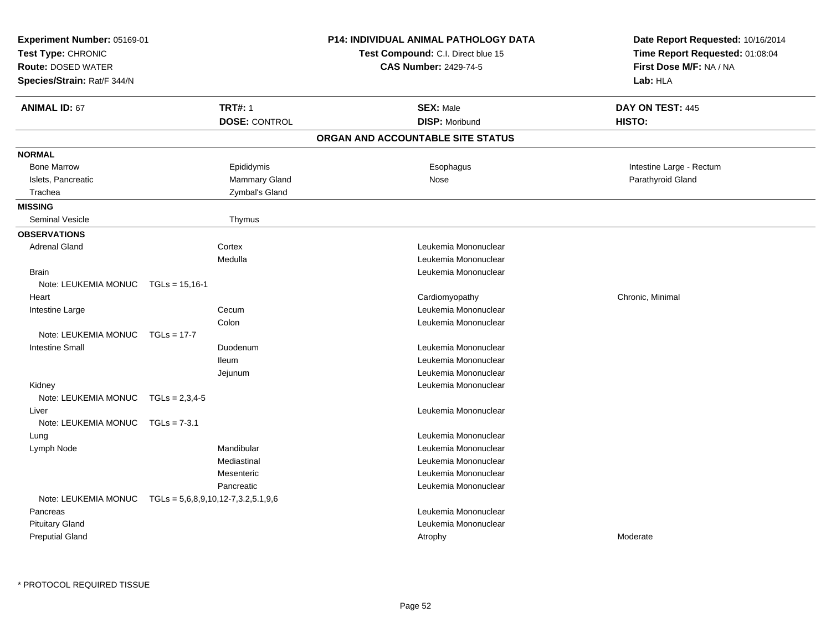| Experiment Number: 05169-01<br>Test Type: CHRONIC<br><b>Route: DOSED WATER</b><br>Species/Strain: Rat/F 344/N |                                        | <b>P14: INDIVIDUAL ANIMAL PATHOLOGY DATA</b><br>Test Compound: C.I. Direct blue 15<br><b>CAS Number: 2429-74-5</b> | Date Report Requested: 10/16/2014<br>Time Report Requested: 01:08:04<br>First Dose M/F: NA / NA<br>Lab: HLA |
|---------------------------------------------------------------------------------------------------------------|----------------------------------------|--------------------------------------------------------------------------------------------------------------------|-------------------------------------------------------------------------------------------------------------|
| <b>ANIMAL ID: 67</b>                                                                                          | <b>TRT#: 1</b><br><b>DOSE: CONTROL</b> | <b>SEX: Male</b><br><b>DISP: Moribund</b>                                                                          | DAY ON TEST: 445<br>HISTO:                                                                                  |
|                                                                                                               |                                        | ORGAN AND ACCOUNTABLE SITE STATUS                                                                                  |                                                                                                             |
| <b>NORMAL</b>                                                                                                 |                                        |                                                                                                                    |                                                                                                             |
| <b>Bone Marrow</b>                                                                                            | Epididymis                             | Esophagus                                                                                                          | Intestine Large - Rectum                                                                                    |
| Islets, Pancreatic                                                                                            | Mammary Gland                          | Nose                                                                                                               | Parathyroid Gland                                                                                           |
| Trachea                                                                                                       | Zymbal's Gland                         |                                                                                                                    |                                                                                                             |
| <b>MISSING</b>                                                                                                |                                        |                                                                                                                    |                                                                                                             |
| <b>Seminal Vesicle</b>                                                                                        | Thymus                                 |                                                                                                                    |                                                                                                             |
| <b>OBSERVATIONS</b>                                                                                           |                                        |                                                                                                                    |                                                                                                             |
| <b>Adrenal Gland</b>                                                                                          | Cortex                                 | Leukemia Mononuclear                                                                                               |                                                                                                             |
|                                                                                                               | Medulla                                | Leukemia Mononuclear                                                                                               |                                                                                                             |
| <b>Brain</b>                                                                                                  |                                        | Leukemia Mononuclear                                                                                               |                                                                                                             |
| Note: LEUKEMIA MONUC                                                                                          | $TGLs = 15,16-1$                       |                                                                                                                    |                                                                                                             |
| Heart                                                                                                         |                                        | Cardiomyopathy                                                                                                     | Chronic, Minimal                                                                                            |
| Intestine Large                                                                                               | Cecum                                  | Leukemia Mononuclear                                                                                               |                                                                                                             |
|                                                                                                               | Colon                                  | Leukemia Mononuclear                                                                                               |                                                                                                             |
| Note: LEUKEMIA MONUC                                                                                          | $TGLs = 17-7$                          |                                                                                                                    |                                                                                                             |
| Intestine Small                                                                                               | Duodenum                               | Leukemia Mononuclear                                                                                               |                                                                                                             |
|                                                                                                               | <b>Ileum</b>                           | Leukemia Mononuclear                                                                                               |                                                                                                             |
|                                                                                                               | Jejunum                                | Leukemia Mononuclear                                                                                               |                                                                                                             |
| Kidney                                                                                                        |                                        | Leukemia Mononuclear                                                                                               |                                                                                                             |
| Note: LEUKEMIA MONUC                                                                                          | $TGLs = 2,3,4-5$                       |                                                                                                                    |                                                                                                             |
| Liver                                                                                                         |                                        | Leukemia Mononuclear                                                                                               |                                                                                                             |
| Note: LEUKEMIA MONUC                                                                                          | $TGLs = 7-3.1$                         |                                                                                                                    |                                                                                                             |
| Lung                                                                                                          |                                        | Leukemia Mononuclear                                                                                               |                                                                                                             |
| Lymph Node                                                                                                    | Mandibular                             | Leukemia Mononuclear                                                                                               |                                                                                                             |
|                                                                                                               | Mediastinal                            | Leukemia Mononuclear                                                                                               |                                                                                                             |
|                                                                                                               | Mesenteric                             | Leukemia Mononuclear                                                                                               |                                                                                                             |
|                                                                                                               | Pancreatic                             | Leukemia Mononuclear                                                                                               |                                                                                                             |
| Note: LEUKEMIA MONUC                                                                                          | $TGLs = 5,6,8,9,10,12-7,3.2,5.1,9,6$   |                                                                                                                    |                                                                                                             |
| Pancreas                                                                                                      |                                        | Leukemia Mononuclear                                                                                               |                                                                                                             |
| <b>Pituitary Gland</b>                                                                                        |                                        | Leukemia Mononuclear                                                                                               |                                                                                                             |
| <b>Preputial Gland</b>                                                                                        |                                        | Atrophy                                                                                                            | Moderate                                                                                                    |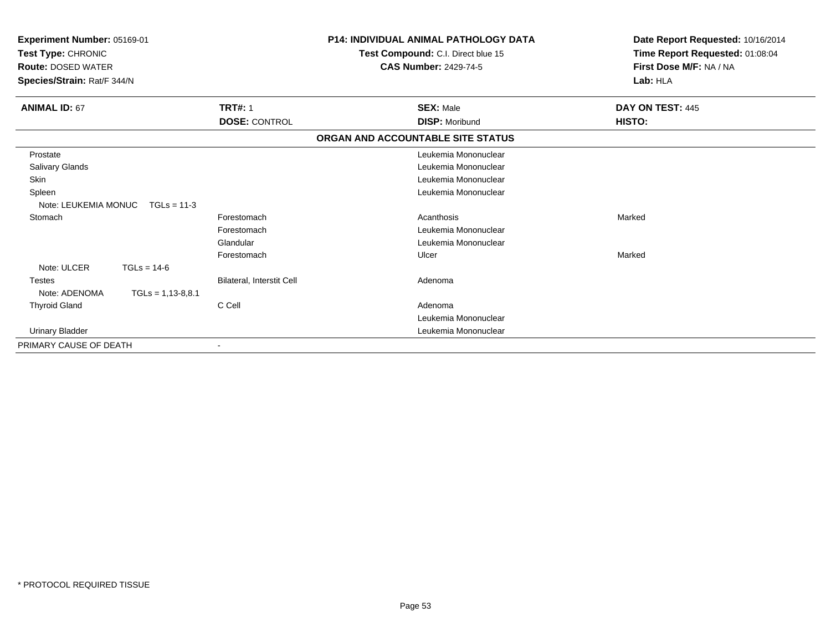| Experiment Number: 05169-01<br>Test Type: CHRONIC<br><b>Route: DOSED WATER</b><br>Species/Strain: Rat/F 344/N |                           | <b>P14: INDIVIDUAL ANIMAL PATHOLOGY DATA</b><br>Test Compound: C.I. Direct blue 15<br><b>CAS Number: 2429-74-5</b> | Date Report Requested: 10/16/2014<br>Time Report Requested: 01:08:04<br>First Dose M/F: NA / NA<br>Lab: HLA |
|---------------------------------------------------------------------------------------------------------------|---------------------------|--------------------------------------------------------------------------------------------------------------------|-------------------------------------------------------------------------------------------------------------|
| <b>ANIMAL ID: 67</b>                                                                                          | <b>TRT#: 1</b>            | <b>SEX: Male</b>                                                                                                   | DAY ON TEST: 445                                                                                            |
|                                                                                                               | <b>DOSE: CONTROL</b>      | <b>DISP: Moribund</b>                                                                                              | HISTO:                                                                                                      |
|                                                                                                               |                           | ORGAN AND ACCOUNTABLE SITE STATUS                                                                                  |                                                                                                             |
| Prostate                                                                                                      |                           | Leukemia Mononuclear                                                                                               |                                                                                                             |
| Salivary Glands                                                                                               |                           | Leukemia Mononuclear                                                                                               |                                                                                                             |
| Skin                                                                                                          |                           | Leukemia Mononuclear                                                                                               |                                                                                                             |
| Spleen                                                                                                        |                           | Leukemia Mononuclear                                                                                               |                                                                                                             |
| Note: LEUKEMIA MONUC<br>$TGLs = 11-3$                                                                         |                           |                                                                                                                    |                                                                                                             |
| Stomach                                                                                                       | Forestomach               | Acanthosis                                                                                                         | Marked                                                                                                      |
|                                                                                                               | Forestomach               | Leukemia Mononuclear                                                                                               |                                                                                                             |
|                                                                                                               | Glandular                 | Leukemia Mononuclear                                                                                               |                                                                                                             |
|                                                                                                               | Forestomach               | Ulcer                                                                                                              | Marked                                                                                                      |
| Note: ULCER<br>$TGLs = 14-6$                                                                                  |                           |                                                                                                                    |                                                                                                             |
| <b>Testes</b>                                                                                                 | Bilateral, Interstit Cell | Adenoma                                                                                                            |                                                                                                             |
| Note: ADENOMA<br>$TGLs = 1,13-8,8.1$                                                                          |                           |                                                                                                                    |                                                                                                             |
| <b>Thyroid Gland</b>                                                                                          | C Cell                    | Adenoma                                                                                                            |                                                                                                             |
|                                                                                                               |                           | Leukemia Mononuclear                                                                                               |                                                                                                             |
| <b>Urinary Bladder</b>                                                                                        |                           | Leukemia Mononuclear                                                                                               |                                                                                                             |
| PRIMARY CAUSE OF DEATH                                                                                        |                           |                                                                                                                    |                                                                                                             |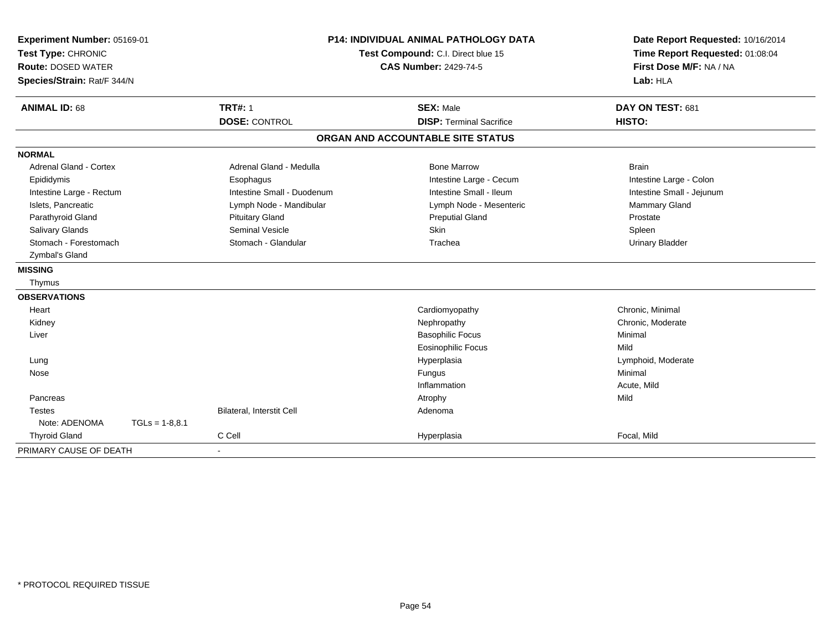| Experiment Number: 05169-01<br>Test Type: CHRONIC<br><b>Route: DOSED WATER</b><br>Species/Strain: Rat/F 344/N |                  | <b>P14: INDIVIDUAL ANIMAL PATHOLOGY DATA</b><br>Test Compound: C.I. Direct blue 15<br><b>CAS Number: 2429-74-5</b> |                                   | Date Report Requested: 10/16/2014<br>Time Report Requested: 01:08:04<br>First Dose M/F: NA / NA<br>Lab: HLA |  |
|---------------------------------------------------------------------------------------------------------------|------------------|--------------------------------------------------------------------------------------------------------------------|-----------------------------------|-------------------------------------------------------------------------------------------------------------|--|
| <b>ANIMAL ID: 68</b>                                                                                          |                  | <b>TRT#: 1</b>                                                                                                     | <b>SEX: Male</b>                  | DAY ON TEST: 681                                                                                            |  |
|                                                                                                               |                  | <b>DOSE: CONTROL</b>                                                                                               | <b>DISP: Terminal Sacrifice</b>   | HISTO:                                                                                                      |  |
|                                                                                                               |                  |                                                                                                                    | ORGAN AND ACCOUNTABLE SITE STATUS |                                                                                                             |  |
| <b>NORMAL</b>                                                                                                 |                  |                                                                                                                    |                                   |                                                                                                             |  |
| <b>Adrenal Gland - Cortex</b>                                                                                 |                  | Adrenal Gland - Medulla                                                                                            | <b>Bone Marrow</b>                | <b>Brain</b>                                                                                                |  |
| Epididymis                                                                                                    |                  | Esophagus                                                                                                          | Intestine Large - Cecum           | Intestine Large - Colon                                                                                     |  |
| Intestine Large - Rectum                                                                                      |                  | Intestine Small - Duodenum                                                                                         | Intestine Small - Ileum           | Intestine Small - Jejunum                                                                                   |  |
| Islets, Pancreatic                                                                                            |                  | Lymph Node - Mandibular                                                                                            | Lymph Node - Mesenteric           | Mammary Gland                                                                                               |  |
| Parathyroid Gland                                                                                             |                  | <b>Pituitary Gland</b>                                                                                             | <b>Preputial Gland</b>            | Prostate                                                                                                    |  |
| Salivary Glands                                                                                               |                  | <b>Seminal Vesicle</b>                                                                                             | Skin                              | Spleen                                                                                                      |  |
| Stomach - Forestomach                                                                                         |                  | Stomach - Glandular                                                                                                | Trachea                           | <b>Urinary Bladder</b>                                                                                      |  |
| Zymbal's Gland                                                                                                |                  |                                                                                                                    |                                   |                                                                                                             |  |
| <b>MISSING</b>                                                                                                |                  |                                                                                                                    |                                   |                                                                                                             |  |
| Thymus                                                                                                        |                  |                                                                                                                    |                                   |                                                                                                             |  |
| <b>OBSERVATIONS</b>                                                                                           |                  |                                                                                                                    |                                   |                                                                                                             |  |
| Heart                                                                                                         |                  |                                                                                                                    | Cardiomyopathy                    | Chronic, Minimal                                                                                            |  |
| Kidney                                                                                                        |                  |                                                                                                                    | Nephropathy                       | Chronic, Moderate                                                                                           |  |
| Liver                                                                                                         |                  |                                                                                                                    | <b>Basophilic Focus</b>           | Minimal                                                                                                     |  |
|                                                                                                               |                  |                                                                                                                    | <b>Eosinophilic Focus</b>         | Mild                                                                                                        |  |
| Lung                                                                                                          |                  |                                                                                                                    | Hyperplasia                       | Lymphoid, Moderate                                                                                          |  |
| Nose                                                                                                          |                  |                                                                                                                    | Fungus                            | Minimal                                                                                                     |  |
|                                                                                                               |                  |                                                                                                                    | Inflammation                      | Acute, Mild                                                                                                 |  |
| Pancreas                                                                                                      |                  |                                                                                                                    | Atrophy                           | Mild                                                                                                        |  |
| <b>Testes</b>                                                                                                 |                  | Bilateral, Interstit Cell                                                                                          | Adenoma                           |                                                                                                             |  |
| Note: ADENOMA                                                                                                 | $TGLs = 1-8.8.1$ |                                                                                                                    |                                   |                                                                                                             |  |
| <b>Thyroid Gland</b>                                                                                          |                  | C Cell                                                                                                             | Hyperplasia                       | Focal, Mild                                                                                                 |  |
| PRIMARY CAUSE OF DEATH                                                                                        |                  |                                                                                                                    |                                   |                                                                                                             |  |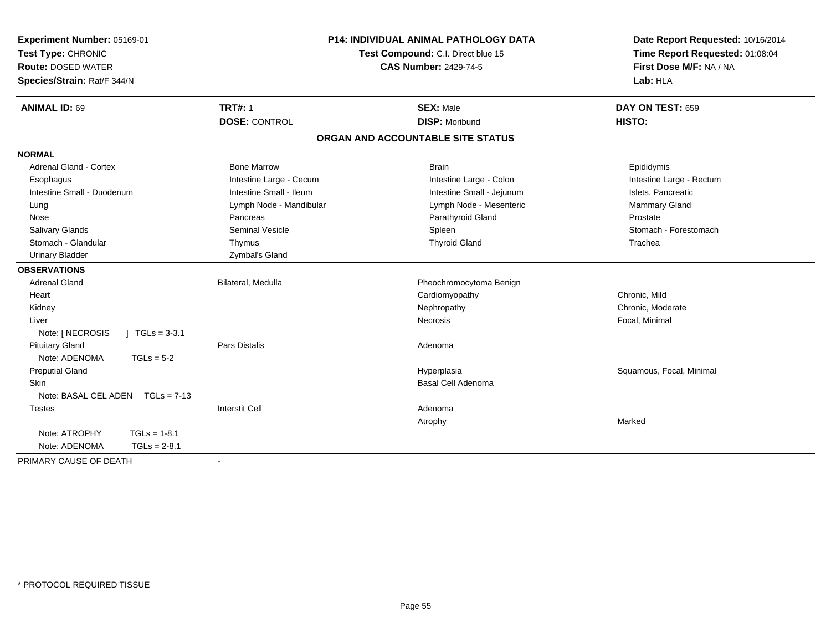| Experiment Number: 05169-01<br>Test Type: CHRONIC<br><b>Route: DOSED WATER</b><br>Species/Strain: Rat/F 344/N | <b>P14: INDIVIDUAL ANIMAL PATHOLOGY DATA</b><br>Test Compound: C.I. Direct blue 15<br><b>CAS Number: 2429-74-5</b> |                                   | Date Report Requested: 10/16/2014<br>Time Report Requested: 01:08:04<br>First Dose M/F: NA / NA<br>Lab: HLA |  |
|---------------------------------------------------------------------------------------------------------------|--------------------------------------------------------------------------------------------------------------------|-----------------------------------|-------------------------------------------------------------------------------------------------------------|--|
| <b>ANIMAL ID: 69</b>                                                                                          | <b>TRT#: 1</b>                                                                                                     | <b>SEX: Male</b>                  | DAY ON TEST: 659                                                                                            |  |
|                                                                                                               | <b>DOSE: CONTROL</b>                                                                                               | <b>DISP: Moribund</b>             | HISTO:                                                                                                      |  |
|                                                                                                               |                                                                                                                    | ORGAN AND ACCOUNTABLE SITE STATUS |                                                                                                             |  |
| <b>NORMAL</b>                                                                                                 |                                                                                                                    |                                   |                                                                                                             |  |
| <b>Adrenal Gland - Cortex</b>                                                                                 | <b>Bone Marrow</b>                                                                                                 | <b>Brain</b>                      | Epididymis                                                                                                  |  |
| Esophagus                                                                                                     | Intestine Large - Cecum                                                                                            | Intestine Large - Colon           | Intestine Large - Rectum                                                                                    |  |
| Intestine Small - Duodenum                                                                                    | Intestine Small - Ileum                                                                                            | Intestine Small - Jejunum         | Islets. Pancreatic                                                                                          |  |
| Lung                                                                                                          | Lymph Node - Mandibular                                                                                            | Lymph Node - Mesenteric           | Mammary Gland                                                                                               |  |
| Nose                                                                                                          | Pancreas                                                                                                           | Parathyroid Gland                 | Prostate                                                                                                    |  |
| <b>Salivary Glands</b>                                                                                        | <b>Seminal Vesicle</b>                                                                                             | Spleen                            | Stomach - Forestomach                                                                                       |  |
| Stomach - Glandular                                                                                           | Thymus                                                                                                             | <b>Thyroid Gland</b>              | Trachea                                                                                                     |  |
| <b>Urinary Bladder</b>                                                                                        | Zymbal's Gland                                                                                                     |                                   |                                                                                                             |  |
| <b>OBSERVATIONS</b>                                                                                           |                                                                                                                    |                                   |                                                                                                             |  |
| <b>Adrenal Gland</b>                                                                                          | Bilateral, Medulla                                                                                                 | Pheochromocytoma Benign           |                                                                                                             |  |
| Heart                                                                                                         |                                                                                                                    | Cardiomyopathy                    | Chronic, Mild                                                                                               |  |
| Kidney                                                                                                        |                                                                                                                    | Nephropathy                       | Chronic, Moderate                                                                                           |  |
| Liver                                                                                                         |                                                                                                                    | Necrosis                          | Focal, Minimal                                                                                              |  |
| Note: [ NECROSIS<br>$\int$ TGLs = 3-3.1                                                                       |                                                                                                                    |                                   |                                                                                                             |  |
| <b>Pituitary Gland</b>                                                                                        | <b>Pars Distalis</b>                                                                                               | Adenoma                           |                                                                                                             |  |
| Note: ADENOMA<br>$TGLs = 5-2$                                                                                 |                                                                                                                    |                                   |                                                                                                             |  |
| <b>Preputial Gland</b>                                                                                        |                                                                                                                    | Hyperplasia                       | Squamous, Focal, Minimal                                                                                    |  |
| Skin                                                                                                          |                                                                                                                    | Basal Cell Adenoma                |                                                                                                             |  |
| Note: BASAL CEL ADEN TGLs = 7-13                                                                              |                                                                                                                    |                                   |                                                                                                             |  |
| <b>Testes</b>                                                                                                 | <b>Interstit Cell</b>                                                                                              | Adenoma                           |                                                                                                             |  |
|                                                                                                               |                                                                                                                    | Atrophy                           | Marked                                                                                                      |  |
| Note: ATROPHY<br>$TGLs = 1-8.1$                                                                               |                                                                                                                    |                                   |                                                                                                             |  |
| Note: ADENOMA<br>$TGLs = 2-8.1$                                                                               |                                                                                                                    |                                   |                                                                                                             |  |
| PRIMARY CAUSE OF DEATH                                                                                        | $\blacksquare$                                                                                                     |                                   |                                                                                                             |  |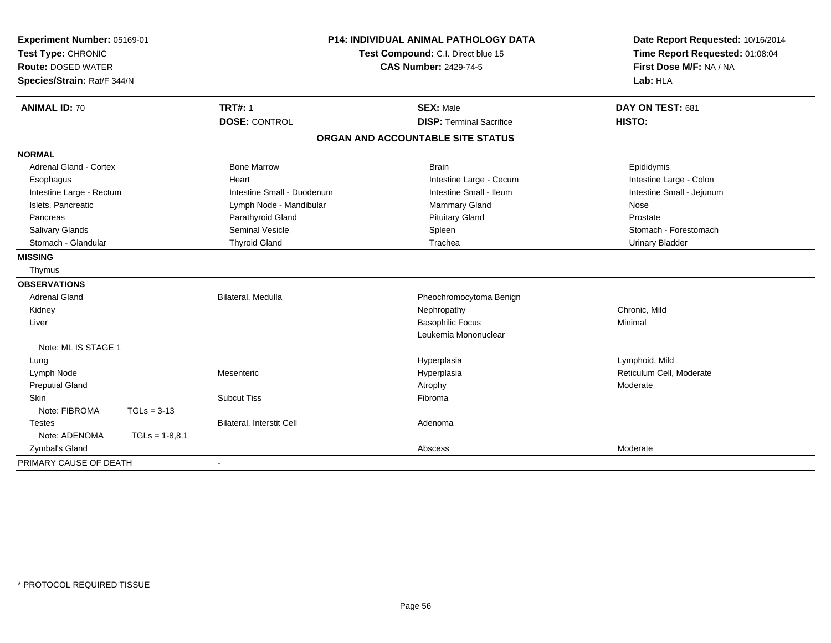| Experiment Number: 05169-01<br>Test Type: CHRONIC<br><b>Route: DOSED WATER</b><br>Species/Strain: Rat/F 344/N |                  | <b>P14: INDIVIDUAL ANIMAL PATHOLOGY DATA</b><br>Test Compound: C.I. Direct blue 15<br><b>CAS Number: 2429-74-5</b> |                                                     | Date Report Requested: 10/16/2014<br>Time Report Requested: 01:08:04<br>First Dose M/F: NA / NA<br>Lab: HLA |
|---------------------------------------------------------------------------------------------------------------|------------------|--------------------------------------------------------------------------------------------------------------------|-----------------------------------------------------|-------------------------------------------------------------------------------------------------------------|
| <b>ANIMAL ID: 70</b>                                                                                          |                  | <b>TRT#: 1</b><br><b>DOSE: CONTROL</b>                                                                             | <b>SEX: Male</b><br><b>DISP: Terminal Sacrifice</b> | DAY ON TEST: 681<br>HISTO:                                                                                  |
|                                                                                                               |                  |                                                                                                                    | ORGAN AND ACCOUNTABLE SITE STATUS                   |                                                                                                             |
| <b>NORMAL</b>                                                                                                 |                  |                                                                                                                    |                                                     |                                                                                                             |
| Adrenal Gland - Cortex                                                                                        |                  | <b>Bone Marrow</b>                                                                                                 | <b>Brain</b>                                        | Epididymis                                                                                                  |
| Esophagus                                                                                                     |                  | Heart                                                                                                              | Intestine Large - Cecum                             | Intestine Large - Colon                                                                                     |
| Intestine Large - Rectum                                                                                      |                  | Intestine Small - Duodenum                                                                                         | Intestine Small - Ileum                             | Intestine Small - Jejunum                                                                                   |
| Islets, Pancreatic                                                                                            |                  | Lymph Node - Mandibular                                                                                            | Mammary Gland                                       | Nose                                                                                                        |
| Pancreas                                                                                                      |                  | Parathyroid Gland                                                                                                  | <b>Pituitary Gland</b>                              | Prostate                                                                                                    |
| <b>Salivary Glands</b>                                                                                        |                  | <b>Seminal Vesicle</b>                                                                                             | Spleen                                              | Stomach - Forestomach                                                                                       |
| Stomach - Glandular                                                                                           |                  | <b>Thyroid Gland</b>                                                                                               | Trachea                                             | <b>Urinary Bladder</b>                                                                                      |
| <b>MISSING</b>                                                                                                |                  |                                                                                                                    |                                                     |                                                                                                             |
| Thymus                                                                                                        |                  |                                                                                                                    |                                                     |                                                                                                             |
| <b>OBSERVATIONS</b>                                                                                           |                  |                                                                                                                    |                                                     |                                                                                                             |
| <b>Adrenal Gland</b>                                                                                          |                  | Bilateral, Medulla                                                                                                 | Pheochromocytoma Benign                             |                                                                                                             |
| Kidney                                                                                                        |                  |                                                                                                                    | Nephropathy                                         | Chronic. Mild                                                                                               |
| Liver                                                                                                         |                  |                                                                                                                    | <b>Basophilic Focus</b>                             | Minimal                                                                                                     |
|                                                                                                               |                  |                                                                                                                    | Leukemia Mononuclear                                |                                                                                                             |
| Note: ML IS STAGE 1                                                                                           |                  |                                                                                                                    |                                                     |                                                                                                             |
| Lung                                                                                                          |                  |                                                                                                                    | Hyperplasia                                         | Lymphoid, Mild                                                                                              |
| Lymph Node                                                                                                    |                  | Mesenteric                                                                                                         | Hyperplasia                                         | Reticulum Cell, Moderate                                                                                    |
| <b>Preputial Gland</b>                                                                                        |                  |                                                                                                                    | Atrophy                                             | Moderate                                                                                                    |
| <b>Skin</b>                                                                                                   |                  | <b>Subcut Tiss</b>                                                                                                 | Fibroma                                             |                                                                                                             |
| Note: FIBROMA                                                                                                 | $TGLs = 3-13$    |                                                                                                                    |                                                     |                                                                                                             |
| <b>Testes</b>                                                                                                 |                  | Bilateral, Interstit Cell                                                                                          | Adenoma                                             |                                                                                                             |
| Note: ADENOMA                                                                                                 | $TGLs = 1-8,8.1$ |                                                                                                                    |                                                     |                                                                                                             |
| Zymbal's Gland                                                                                                |                  |                                                                                                                    | Abscess                                             | Moderate                                                                                                    |
| PRIMARY CAUSE OF DEATH                                                                                        |                  | $\blacksquare$                                                                                                     |                                                     |                                                                                                             |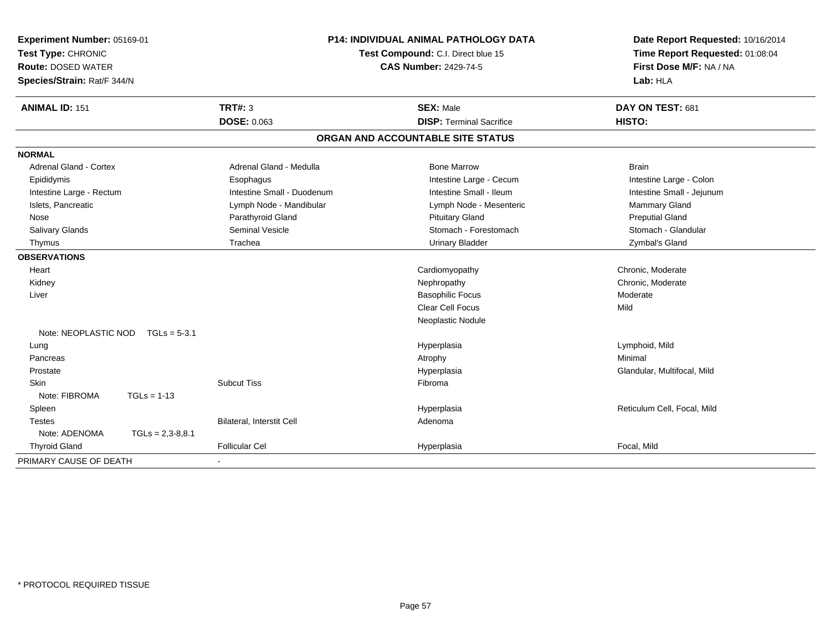| Experiment Number: 05169-01<br>Test Type: CHRONIC<br><b>Route: DOSED WATER</b><br>Species/Strain: Rat/F 344/N | P14: INDIVIDUAL ANIMAL PATHOLOGY DATA<br>Test Compound: C.I. Direct blue 15<br><b>CAS Number: 2429-74-5</b> |                                   | Date Report Requested: 10/16/2014<br>Time Report Requested: 01:08:04<br>First Dose M/F: NA / NA<br>Lab: HLA |  |
|---------------------------------------------------------------------------------------------------------------|-------------------------------------------------------------------------------------------------------------|-----------------------------------|-------------------------------------------------------------------------------------------------------------|--|
| <b>ANIMAL ID: 151</b>                                                                                         | <b>TRT#: 3</b>                                                                                              | <b>SEX: Male</b>                  | DAY ON TEST: 681                                                                                            |  |
|                                                                                                               | <b>DOSE: 0.063</b>                                                                                          | <b>DISP: Terminal Sacrifice</b>   | HISTO:                                                                                                      |  |
|                                                                                                               |                                                                                                             | ORGAN AND ACCOUNTABLE SITE STATUS |                                                                                                             |  |
| <b>NORMAL</b>                                                                                                 |                                                                                                             |                                   |                                                                                                             |  |
| <b>Adrenal Gland - Cortex</b>                                                                                 | Adrenal Gland - Medulla                                                                                     | <b>Bone Marrow</b>                | <b>Brain</b>                                                                                                |  |
| Epididymis                                                                                                    | Esophagus                                                                                                   | Intestine Large - Cecum           | Intestine Large - Colon                                                                                     |  |
| Intestine Large - Rectum                                                                                      | Intestine Small - Duodenum                                                                                  | Intestine Small - Ileum           | Intestine Small - Jejunum                                                                                   |  |
| Islets, Pancreatic                                                                                            | Lymph Node - Mandibular                                                                                     | Lymph Node - Mesenteric           | Mammary Gland                                                                                               |  |
| Nose                                                                                                          | Parathyroid Gland                                                                                           | <b>Pituitary Gland</b>            | <b>Preputial Gland</b>                                                                                      |  |
| Salivary Glands                                                                                               | <b>Seminal Vesicle</b>                                                                                      | Stomach - Forestomach             | Stomach - Glandular                                                                                         |  |
| Thymus                                                                                                        | Trachea                                                                                                     | <b>Urinary Bladder</b>            | Zymbal's Gland                                                                                              |  |
| <b>OBSERVATIONS</b>                                                                                           |                                                                                                             |                                   |                                                                                                             |  |
| Heart                                                                                                         |                                                                                                             | Cardiomyopathy                    | Chronic, Moderate                                                                                           |  |
| Kidney                                                                                                        |                                                                                                             | Nephropathy                       | Chronic, Moderate                                                                                           |  |
| Liver                                                                                                         |                                                                                                             | <b>Basophilic Focus</b>           | Moderate                                                                                                    |  |
|                                                                                                               |                                                                                                             | Clear Cell Focus                  | Mild                                                                                                        |  |
|                                                                                                               |                                                                                                             | Neoplastic Nodule                 |                                                                                                             |  |
| Note: NEOPLASTIC NOD<br>$TGLs = 5-3.1$                                                                        |                                                                                                             |                                   |                                                                                                             |  |
| Lung                                                                                                          |                                                                                                             | Hyperplasia                       | Lymphoid, Mild                                                                                              |  |
| Pancreas                                                                                                      |                                                                                                             | Atrophy                           | Minimal                                                                                                     |  |
| Prostate                                                                                                      |                                                                                                             | Hyperplasia                       | Glandular, Multifocal, Mild                                                                                 |  |
| Skin                                                                                                          | <b>Subcut Tiss</b>                                                                                          | Fibroma                           |                                                                                                             |  |
| $TGLs = 1-13$<br>Note: FIBROMA                                                                                |                                                                                                             |                                   |                                                                                                             |  |
| Spleen                                                                                                        |                                                                                                             | Hyperplasia                       | Reticulum Cell, Focal, Mild                                                                                 |  |
| <b>Testes</b>                                                                                                 | Bilateral, Interstit Cell                                                                                   | Adenoma                           |                                                                                                             |  |
| Note: ADENOMA<br>$TGLs = 2,3-8,8.1$                                                                           |                                                                                                             |                                   |                                                                                                             |  |
| <b>Thyroid Gland</b>                                                                                          | <b>Follicular Cel</b>                                                                                       | Hyperplasia                       | Focal, Mild                                                                                                 |  |
| PRIMARY CAUSE OF DEATH                                                                                        |                                                                                                             |                                   |                                                                                                             |  |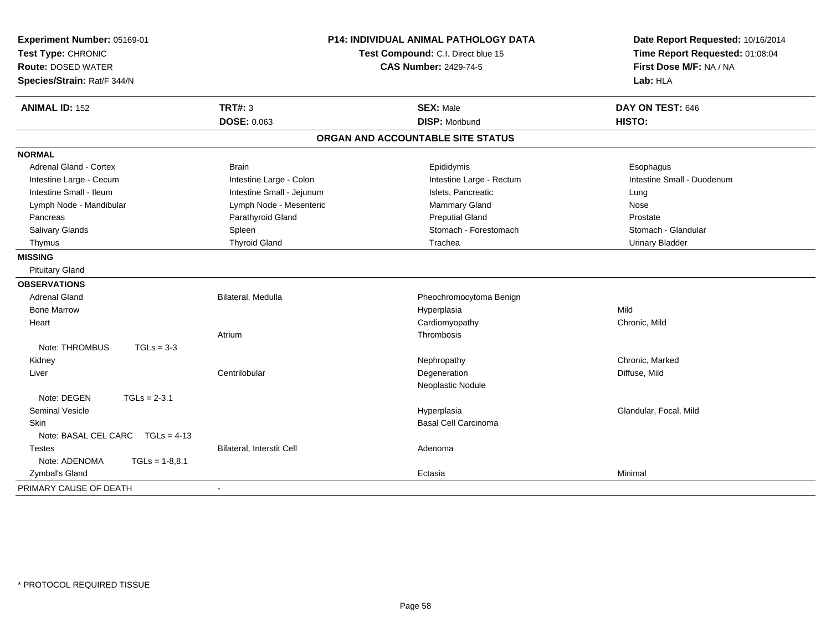| Experiment Number: 05169-01<br>Test Type: CHRONIC<br><b>Route: DOSED WATER</b><br>Species/Strain: Rat/F 344/N | P14: INDIVIDUAL ANIMAL PATHOLOGY DATA<br>Test Compound: C.I. Direct blue 15<br><b>CAS Number: 2429-74-5</b> |                                   | Date Report Requested: 10/16/2014<br>Time Report Requested: 01:08:04<br>First Dose M/F: NA / NA<br>Lab: HLA |  |
|---------------------------------------------------------------------------------------------------------------|-------------------------------------------------------------------------------------------------------------|-----------------------------------|-------------------------------------------------------------------------------------------------------------|--|
| <b>ANIMAL ID: 152</b>                                                                                         | TRT#: 3                                                                                                     | <b>SEX: Male</b>                  | DAY ON TEST: 646                                                                                            |  |
|                                                                                                               | <b>DOSE: 0.063</b>                                                                                          | <b>DISP: Moribund</b>             | HISTO:                                                                                                      |  |
|                                                                                                               |                                                                                                             | ORGAN AND ACCOUNTABLE SITE STATUS |                                                                                                             |  |
| <b>NORMAL</b>                                                                                                 |                                                                                                             |                                   |                                                                                                             |  |
| Adrenal Gland - Cortex                                                                                        | <b>Brain</b>                                                                                                | Epididymis                        | Esophagus                                                                                                   |  |
| Intestine Large - Cecum                                                                                       | Intestine Large - Colon                                                                                     | Intestine Large - Rectum          | Intestine Small - Duodenum                                                                                  |  |
| Intestine Small - Ileum                                                                                       | Intestine Small - Jejunum                                                                                   | Islets, Pancreatic                | Lung                                                                                                        |  |
| Lymph Node - Mandibular                                                                                       | Lymph Node - Mesenteric                                                                                     | Mammary Gland                     | Nose                                                                                                        |  |
| Pancreas                                                                                                      | Parathyroid Gland                                                                                           | <b>Preputial Gland</b>            | Prostate                                                                                                    |  |
| Salivary Glands                                                                                               | Spleen                                                                                                      | Stomach - Forestomach             | Stomach - Glandular                                                                                         |  |
| Thymus                                                                                                        | <b>Thyroid Gland</b>                                                                                        | Trachea                           | <b>Urinary Bladder</b>                                                                                      |  |
| <b>MISSING</b>                                                                                                |                                                                                                             |                                   |                                                                                                             |  |
| <b>Pituitary Gland</b>                                                                                        |                                                                                                             |                                   |                                                                                                             |  |
| <b>OBSERVATIONS</b>                                                                                           |                                                                                                             |                                   |                                                                                                             |  |
| <b>Adrenal Gland</b>                                                                                          | Bilateral, Medulla                                                                                          | Pheochromocytoma Benign           |                                                                                                             |  |
| <b>Bone Marrow</b>                                                                                            |                                                                                                             | Hyperplasia                       | Mild                                                                                                        |  |
| Heart                                                                                                         |                                                                                                             | Cardiomyopathy                    | Chronic, Mild                                                                                               |  |
|                                                                                                               | Atrium                                                                                                      | Thrombosis                        |                                                                                                             |  |
| Note: THROMBUS<br>$TGLs = 3-3$                                                                                |                                                                                                             |                                   |                                                                                                             |  |
| Kidney                                                                                                        |                                                                                                             | Nephropathy                       | Chronic, Marked                                                                                             |  |
| Liver                                                                                                         | Centrilobular                                                                                               | Degeneration                      | Diffuse, Mild                                                                                               |  |
|                                                                                                               |                                                                                                             | Neoplastic Nodule                 |                                                                                                             |  |
| Note: DEGEN<br>$TGLs = 2-3.1$                                                                                 |                                                                                                             |                                   |                                                                                                             |  |
| <b>Seminal Vesicle</b>                                                                                        |                                                                                                             | Hyperplasia                       | Glandular, Focal, Mild                                                                                      |  |
| <b>Skin</b>                                                                                                   |                                                                                                             | <b>Basal Cell Carcinoma</b>       |                                                                                                             |  |
| Note: BASAL CEL CARC TGLs = 4-13                                                                              |                                                                                                             |                                   |                                                                                                             |  |
| <b>Testes</b>                                                                                                 | Bilateral, Interstit Cell                                                                                   | Adenoma                           |                                                                                                             |  |
| Note: ADENOMA<br>$TGLs = 1-8,8.1$                                                                             |                                                                                                             |                                   |                                                                                                             |  |
| Zymbal's Gland                                                                                                |                                                                                                             | Ectasia                           | Minimal                                                                                                     |  |
| PRIMARY CAUSE OF DEATH                                                                                        | $\blacksquare$                                                                                              |                                   |                                                                                                             |  |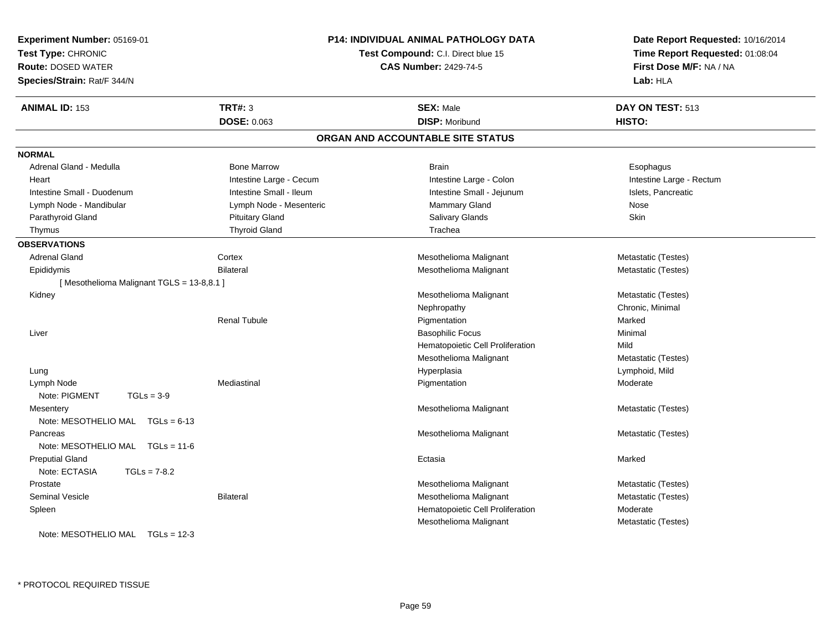| Experiment Number: 05169-01<br>Test Type: CHRONIC |                         | <b>P14: INDIVIDUAL ANIMAL PATHOLOGY DATA</b><br>Test Compound: C.I. Direct blue 15 | Date Report Requested: 10/16/2014<br>Time Report Requested: 01:08:04<br>First Dose M/F: NA / NA |  |
|---------------------------------------------------|-------------------------|------------------------------------------------------------------------------------|-------------------------------------------------------------------------------------------------|--|
| <b>Route: DOSED WATER</b>                         |                         | <b>CAS Number: 2429-74-5</b>                                                       |                                                                                                 |  |
| Species/Strain: Rat/F 344/N                       |                         |                                                                                    | Lab: HLA                                                                                        |  |
| <b>ANIMAL ID: 153</b>                             | <b>TRT#: 3</b>          | <b>SEX: Male</b>                                                                   | DAY ON TEST: 513                                                                                |  |
|                                                   | <b>DOSE: 0.063</b>      | <b>DISP: Moribund</b>                                                              | <b>HISTO:</b>                                                                                   |  |
|                                                   |                         | ORGAN AND ACCOUNTABLE SITE STATUS                                                  |                                                                                                 |  |
| <b>NORMAL</b>                                     |                         |                                                                                    |                                                                                                 |  |
| Adrenal Gland - Medulla                           | <b>Bone Marrow</b>      | <b>Brain</b>                                                                       | Esophagus                                                                                       |  |
| Heart                                             | Intestine Large - Cecum | Intestine Large - Colon                                                            | Intestine Large - Rectum                                                                        |  |
| Intestine Small - Duodenum                        | Intestine Small - Ileum | Intestine Small - Jejunum                                                          | Islets, Pancreatic                                                                              |  |
| Lymph Node - Mandibular                           | Lymph Node - Mesenteric | Mammary Gland                                                                      | Nose                                                                                            |  |
| Parathyroid Gland                                 | <b>Pituitary Gland</b>  | Salivary Glands                                                                    | Skin                                                                                            |  |
| Thymus                                            | <b>Thyroid Gland</b>    | Trachea                                                                            |                                                                                                 |  |
| <b>OBSERVATIONS</b>                               |                         |                                                                                    |                                                                                                 |  |
| <b>Adrenal Gland</b>                              | Cortex                  | Mesothelioma Malignant                                                             | Metastatic (Testes)                                                                             |  |
| Epididymis                                        | <b>Bilateral</b>        | Mesothelioma Malignant                                                             | Metastatic (Testes)                                                                             |  |
| [Mesothelioma Malignant TGLS = 13-8,8.1]          |                         |                                                                                    |                                                                                                 |  |
| Kidney                                            |                         | Mesothelioma Malignant                                                             | Metastatic (Testes)                                                                             |  |
|                                                   |                         | Nephropathy                                                                        | Chronic, Minimal                                                                                |  |
|                                                   | <b>Renal Tubule</b>     | Pigmentation                                                                       | Marked                                                                                          |  |
| Liver                                             |                         | <b>Basophilic Focus</b>                                                            | Minimal                                                                                         |  |
|                                                   |                         | Hematopoietic Cell Proliferation                                                   | Mild                                                                                            |  |
|                                                   |                         | Mesothelioma Malignant                                                             | Metastatic (Testes)                                                                             |  |
| Lung                                              |                         | Hyperplasia                                                                        | Lymphoid, Mild                                                                                  |  |
| Lymph Node                                        | Mediastinal             | Pigmentation                                                                       | Moderate                                                                                        |  |
| Note: PIGMENT<br>$TGLs = 3-9$                     |                         |                                                                                    |                                                                                                 |  |
| Mesentery                                         |                         | Mesothelioma Malignant                                                             | Metastatic (Testes)                                                                             |  |
| Note: MESOTHELIO MAL TGLs = 6-13                  |                         |                                                                                    |                                                                                                 |  |
| Pancreas                                          |                         | Mesothelioma Malignant                                                             | Metastatic (Testes)                                                                             |  |
| Note: MESOTHELIO MAL TGLs = 11-6                  |                         |                                                                                    |                                                                                                 |  |
| <b>Preputial Gland</b>                            |                         | Ectasia                                                                            | Marked                                                                                          |  |
| Note: ECTASIA<br>$TGLs = 7-8.2$                   |                         |                                                                                    |                                                                                                 |  |
| Prostate                                          |                         | Mesothelioma Malignant                                                             | Metastatic (Testes)                                                                             |  |
| <b>Seminal Vesicle</b>                            | <b>Bilateral</b>        | Mesothelioma Malignant                                                             | Metastatic (Testes)                                                                             |  |
| Spleen                                            |                         | Hematopoietic Cell Proliferation                                                   | Moderate                                                                                        |  |
|                                                   |                         | Mesothelioma Malignant                                                             | Metastatic (Testes)                                                                             |  |
| Note: MESOTHELIO MAL $TGLs = 12-3$                |                         |                                                                                    |                                                                                                 |  |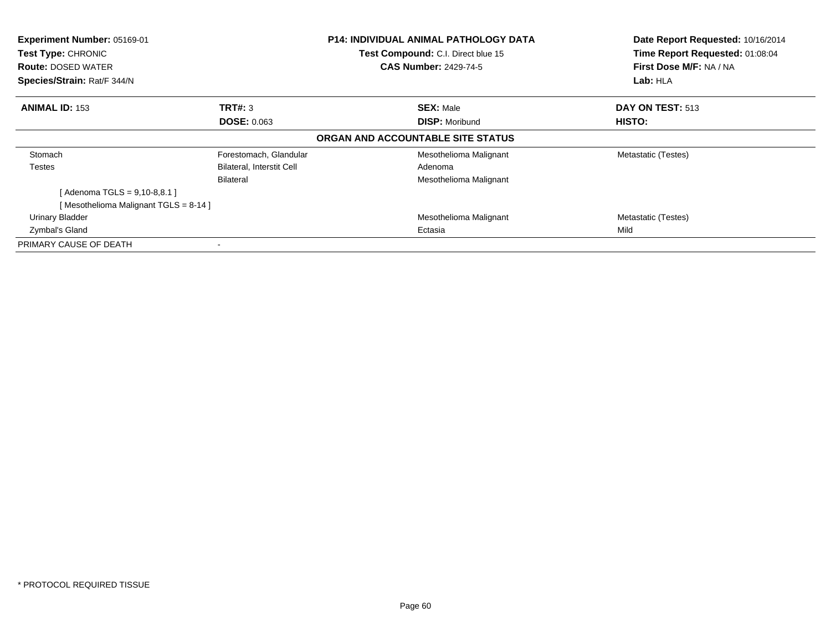| Experiment Number: 05169-01<br>Test Type: CHRONIC<br><b>Route: DOSED WATER</b> |                                  | <b>P14: INDIVIDUAL ANIMAL PATHOLOGY DATA</b><br>Test Compound: C.I. Direct blue 15<br><b>CAS Number: 2429-74-5</b> | Date Report Requested: 10/16/2014<br>Time Report Requested: 01:08:04<br>First Dose M/F: NA / NA |
|--------------------------------------------------------------------------------|----------------------------------|--------------------------------------------------------------------------------------------------------------------|-------------------------------------------------------------------------------------------------|
| Species/Strain: Rat/F 344/N                                                    |                                  |                                                                                                                    | Lab: HLA                                                                                        |
| <b>ANIMAL ID: 153</b>                                                          | TRT#: 3                          | <b>SEX: Male</b>                                                                                                   | DAY ON TEST: 513                                                                                |
|                                                                                | <b>DOSE: 0.063</b>               | <b>DISP: Moribund</b>                                                                                              | <b>HISTO:</b>                                                                                   |
|                                                                                |                                  | ORGAN AND ACCOUNTABLE SITE STATUS                                                                                  |                                                                                                 |
| Stomach                                                                        | Forestomach, Glandular           | Mesothelioma Malignant                                                                                             | Metastatic (Testes)                                                                             |
| Testes                                                                         | <b>Bilateral, Interstit Cell</b> | Adenoma                                                                                                            |                                                                                                 |
|                                                                                | Bilateral                        | Mesothelioma Malignant                                                                                             |                                                                                                 |
| [ Adenoma TGLS = 9,10-8,8.1 ]                                                  |                                  |                                                                                                                    |                                                                                                 |
| [Mesothelioma Malignant TGLS = 8-14]                                           |                                  |                                                                                                                    |                                                                                                 |
| Urinary Bladder                                                                |                                  | Mesothelioma Malignant                                                                                             | Metastatic (Testes)                                                                             |
| Zymbal's Gland                                                                 |                                  | Ectasia                                                                                                            | Mild                                                                                            |
| PRIMARY CAUSE OF DEATH                                                         |                                  |                                                                                                                    |                                                                                                 |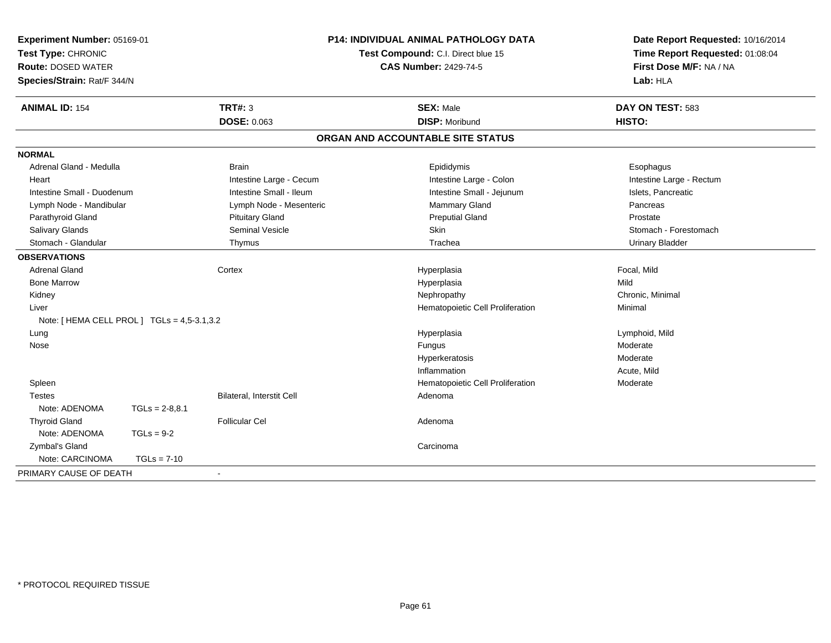| Experiment Number: 05169-01<br>Test Type: CHRONIC<br><b>Route: DOSED WATER</b><br>Species/Strain: Rat/F 344/N |                  |                           | <b>P14: INDIVIDUAL ANIMAL PATHOLOGY DATA</b><br>Test Compound: C.I. Direct blue 15<br><b>CAS Number: 2429-74-5</b> |                                   | Date Report Requested: 10/16/2014<br>Time Report Requested: 01:08:04<br>First Dose M/F: NA / NA<br>Lab: HLA |
|---------------------------------------------------------------------------------------------------------------|------------------|---------------------------|--------------------------------------------------------------------------------------------------------------------|-----------------------------------|-------------------------------------------------------------------------------------------------------------|
| <b>ANIMAL ID: 154</b>                                                                                         |                  | TRT#: 3                   |                                                                                                                    | <b>SEX: Male</b>                  | DAY ON TEST: 583                                                                                            |
|                                                                                                               |                  | <b>DOSE: 0.063</b>        |                                                                                                                    | <b>DISP: Moribund</b>             | HISTO:                                                                                                      |
|                                                                                                               |                  |                           |                                                                                                                    | ORGAN AND ACCOUNTABLE SITE STATUS |                                                                                                             |
| <b>NORMAL</b>                                                                                                 |                  |                           |                                                                                                                    |                                   |                                                                                                             |
| Adrenal Gland - Medulla                                                                                       |                  | <b>Brain</b>              |                                                                                                                    | Epididymis                        | Esophagus                                                                                                   |
| Heart                                                                                                         |                  | Intestine Large - Cecum   |                                                                                                                    | Intestine Large - Colon           | Intestine Large - Rectum                                                                                    |
| Intestine Small - Duodenum                                                                                    |                  | Intestine Small - Ileum   |                                                                                                                    | Intestine Small - Jejunum         | Islets, Pancreatic                                                                                          |
| Lymph Node - Mandibular                                                                                       |                  | Lymph Node - Mesenteric   |                                                                                                                    | Mammary Gland                     | Pancreas                                                                                                    |
| Parathyroid Gland                                                                                             |                  | <b>Pituitary Gland</b>    |                                                                                                                    | <b>Preputial Gland</b>            | Prostate                                                                                                    |
| Salivary Glands                                                                                               |                  | <b>Seminal Vesicle</b>    |                                                                                                                    | Skin                              | Stomach - Forestomach                                                                                       |
| Stomach - Glandular                                                                                           |                  | Thymus                    |                                                                                                                    | Trachea                           | <b>Urinary Bladder</b>                                                                                      |
| <b>OBSERVATIONS</b>                                                                                           |                  |                           |                                                                                                                    |                                   |                                                                                                             |
| Adrenal Gland                                                                                                 | Cortex           |                           |                                                                                                                    | Hyperplasia                       | Focal, Mild                                                                                                 |
| <b>Bone Marrow</b>                                                                                            |                  |                           |                                                                                                                    | Hyperplasia                       | Mild                                                                                                        |
| Kidney                                                                                                        |                  |                           |                                                                                                                    | Nephropathy                       | Chronic, Minimal                                                                                            |
| Liver                                                                                                         |                  |                           |                                                                                                                    | Hematopoietic Cell Proliferation  | Minimal                                                                                                     |
| Note: [ HEMA CELL PROL ] TGLs = 4,5-3.1,3.2                                                                   |                  |                           |                                                                                                                    |                                   |                                                                                                             |
| Lung                                                                                                          |                  |                           |                                                                                                                    | Hyperplasia                       | Lymphoid, Mild                                                                                              |
| Nose                                                                                                          |                  |                           |                                                                                                                    | Fungus                            | Moderate                                                                                                    |
|                                                                                                               |                  |                           |                                                                                                                    | Hyperkeratosis                    | Moderate                                                                                                    |
|                                                                                                               |                  |                           |                                                                                                                    | Inflammation                      | Acute, Mild                                                                                                 |
| Spleen                                                                                                        |                  |                           |                                                                                                                    | Hematopoietic Cell Proliferation  | Moderate                                                                                                    |
| <b>Testes</b>                                                                                                 |                  | Bilateral, Interstit Cell |                                                                                                                    | Adenoma                           |                                                                                                             |
| Note: ADENOMA                                                                                                 | $TGLs = 2-8,8.1$ |                           |                                                                                                                    |                                   |                                                                                                             |
| <b>Thyroid Gland</b>                                                                                          |                  | <b>Follicular Cel</b>     |                                                                                                                    | Adenoma                           |                                                                                                             |
| Note: ADENOMA                                                                                                 | $TGLs = 9-2$     |                           |                                                                                                                    |                                   |                                                                                                             |
| <b>Zymbal's Gland</b>                                                                                         |                  |                           |                                                                                                                    | Carcinoma                         |                                                                                                             |
| Note: CARCINOMA                                                                                               | $TGLs = 7-10$    |                           |                                                                                                                    |                                   |                                                                                                             |
| PRIMARY CAUSE OF DEATH                                                                                        |                  |                           |                                                                                                                    |                                   |                                                                                                             |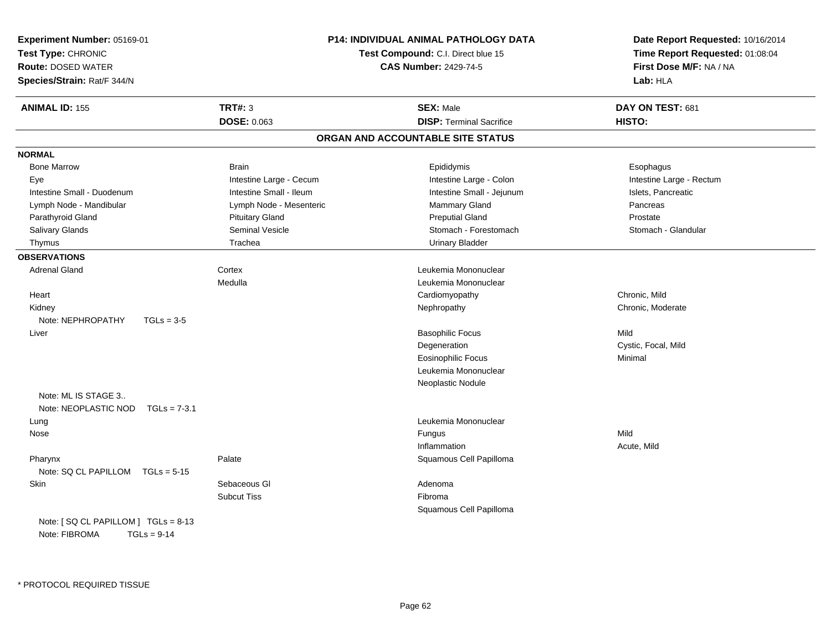| Experiment Number: 05169-01<br>Test Type: CHRONIC<br><b>Route: DOSED WATER</b><br>Species/Strain: Rat/F 344/N |                         | <b>P14: INDIVIDUAL ANIMAL PATHOLOGY DATA</b><br>Test Compound: C.I. Direct blue 15<br><b>CAS Number: 2429-74-5</b> | Date Report Requested: 10/16/2014<br>Time Report Requested: 01:08:04<br>First Dose M/F: NA / NA<br>Lab: HLA |
|---------------------------------------------------------------------------------------------------------------|-------------------------|--------------------------------------------------------------------------------------------------------------------|-------------------------------------------------------------------------------------------------------------|
| <b>ANIMAL ID: 155</b>                                                                                         | <b>TRT#: 3</b>          | <b>SEX: Male</b>                                                                                                   | DAY ON TEST: 681                                                                                            |
|                                                                                                               | DOSE: 0.063             | <b>DISP: Terminal Sacrifice</b>                                                                                    | HISTO:                                                                                                      |
|                                                                                                               |                         | ORGAN AND ACCOUNTABLE SITE STATUS                                                                                  |                                                                                                             |
| <b>NORMAL</b>                                                                                                 |                         |                                                                                                                    |                                                                                                             |
| <b>Bone Marrow</b>                                                                                            | <b>Brain</b>            | Epididymis                                                                                                         | Esophagus                                                                                                   |
| Eye                                                                                                           | Intestine Large - Cecum | Intestine Large - Colon                                                                                            | Intestine Large - Rectum                                                                                    |
| Intestine Small - Duodenum                                                                                    | Intestine Small - Ileum | Intestine Small - Jejunum                                                                                          | Islets, Pancreatic                                                                                          |
| Lymph Node - Mandibular                                                                                       | Lymph Node - Mesenteric | Mammary Gland                                                                                                      | Pancreas                                                                                                    |
| Parathyroid Gland                                                                                             | <b>Pituitary Gland</b>  | <b>Preputial Gland</b>                                                                                             | Prostate                                                                                                    |
| Salivary Glands                                                                                               | Seminal Vesicle         | Stomach - Forestomach                                                                                              | Stomach - Glandular                                                                                         |
| Thymus                                                                                                        | Trachea                 | <b>Urinary Bladder</b>                                                                                             |                                                                                                             |
| <b>OBSERVATIONS</b>                                                                                           |                         |                                                                                                                    |                                                                                                             |
| <b>Adrenal Gland</b>                                                                                          | Cortex                  | Leukemia Mononuclear                                                                                               |                                                                                                             |
|                                                                                                               | Medulla                 | Leukemia Mononuclear                                                                                               |                                                                                                             |
| Heart                                                                                                         |                         | Cardiomyopathy                                                                                                     | Chronic, Mild                                                                                               |
| Kidney                                                                                                        |                         | Nephropathy                                                                                                        | Chronic, Moderate                                                                                           |
| Note: NEPHROPATHY<br>$TGLs = 3-5$                                                                             |                         |                                                                                                                    |                                                                                                             |
| Liver                                                                                                         |                         | <b>Basophilic Focus</b>                                                                                            | Mild                                                                                                        |
|                                                                                                               |                         | Degeneration                                                                                                       | Cystic, Focal, Mild                                                                                         |
|                                                                                                               |                         | Eosinophilic Focus                                                                                                 | Minimal                                                                                                     |
|                                                                                                               |                         | Leukemia Mononuclear                                                                                               |                                                                                                             |
|                                                                                                               |                         | Neoplastic Nodule                                                                                                  |                                                                                                             |
| Note: ML IS STAGE 3                                                                                           |                         |                                                                                                                    |                                                                                                             |
| Note: NEOPLASTIC NOD<br>$TGLs = 7-3.1$                                                                        |                         |                                                                                                                    |                                                                                                             |
| Lung                                                                                                          |                         | Leukemia Mononuclear                                                                                               |                                                                                                             |
| Nose                                                                                                          |                         | Fungus                                                                                                             | Mild                                                                                                        |
|                                                                                                               |                         | Inflammation                                                                                                       | Acute, Mild                                                                                                 |
| Pharynx                                                                                                       | Palate                  | Squamous Cell Papilloma                                                                                            |                                                                                                             |
| Note: SQ CL PAPILLOM<br>$TGLs = 5-15$                                                                         |                         |                                                                                                                    |                                                                                                             |
| Skin                                                                                                          | Sebaceous GI            | Adenoma                                                                                                            |                                                                                                             |
|                                                                                                               | <b>Subcut Tiss</b>      | Fibroma                                                                                                            |                                                                                                             |
|                                                                                                               |                         | Squamous Cell Papilloma                                                                                            |                                                                                                             |
| Note: [SQ CL PAPILLOM ] TGLs = 8-13<br>Note: FIBROMA<br>$TGLs = 9-14$                                         |                         |                                                                                                                    |                                                                                                             |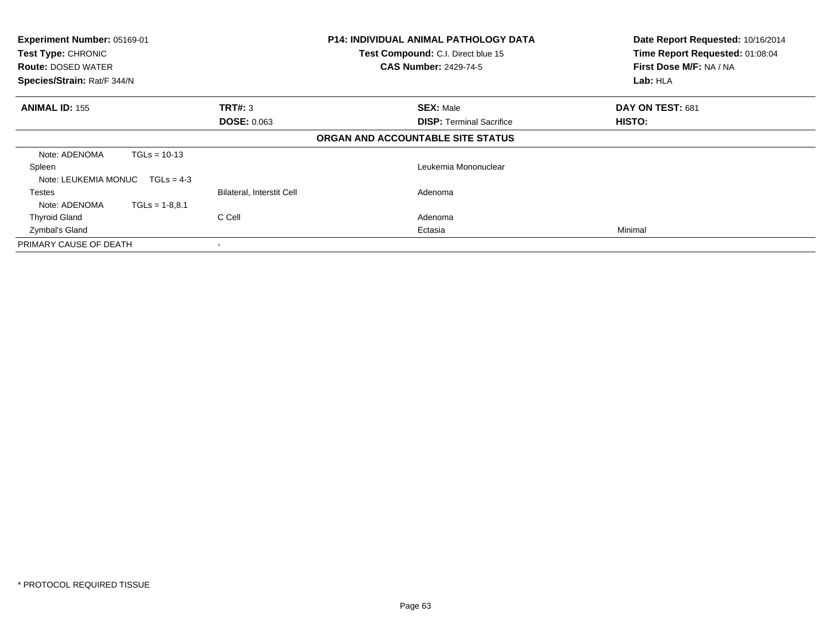| Experiment Number: 05169-01<br>Test Type: CHRONIC<br><b>Route: DOSED WATER</b><br>Species/Strain: Rat/F 344/N |                  | <b>P14: INDIVIDUAL ANIMAL PATHOLOGY DATA</b><br>Test Compound: C.I. Direct blue 15<br><b>CAS Number: 2429-74-5</b> |  | Date Report Requested: 10/16/2014<br>Time Report Requested: 01:08:04<br>First Dose M/F: NA / NA<br>Lab: HLA |                  |
|---------------------------------------------------------------------------------------------------------------|------------------|--------------------------------------------------------------------------------------------------------------------|--|-------------------------------------------------------------------------------------------------------------|------------------|
| <b>ANIMAL ID: 155</b>                                                                                         |                  | TRT#: 3                                                                                                            |  | <b>SEX: Male</b>                                                                                            | DAY ON TEST: 681 |
|                                                                                                               |                  | <b>DOSE: 0.063</b>                                                                                                 |  | <b>DISP: Terminal Sacrifice</b>                                                                             | HISTO:           |
|                                                                                                               |                  |                                                                                                                    |  | ORGAN AND ACCOUNTABLE SITE STATUS                                                                           |                  |
| Note: ADENOMA                                                                                                 | $TGLs = 10-13$   |                                                                                                                    |  |                                                                                                             |                  |
| Spleen                                                                                                        |                  |                                                                                                                    |  | Leukemia Mononuclear                                                                                        |                  |
| Note: LEUKEMIA MONUC                                                                                          | $TGLs = 4-3$     |                                                                                                                    |  |                                                                                                             |                  |
| Testes                                                                                                        |                  | Bilateral, Interstit Cell                                                                                          |  | Adenoma                                                                                                     |                  |
| Note: ADENOMA                                                                                                 | $TGLs = 1-8.8.1$ |                                                                                                                    |  |                                                                                                             |                  |
| <b>Thyroid Gland</b>                                                                                          |                  | C Cell                                                                                                             |  | Adenoma                                                                                                     |                  |
| Zymbal's Gland                                                                                                |                  |                                                                                                                    |  | Ectasia                                                                                                     | Minimal          |
| PRIMARY CAUSE OF DEATH                                                                                        |                  |                                                                                                                    |  |                                                                                                             |                  |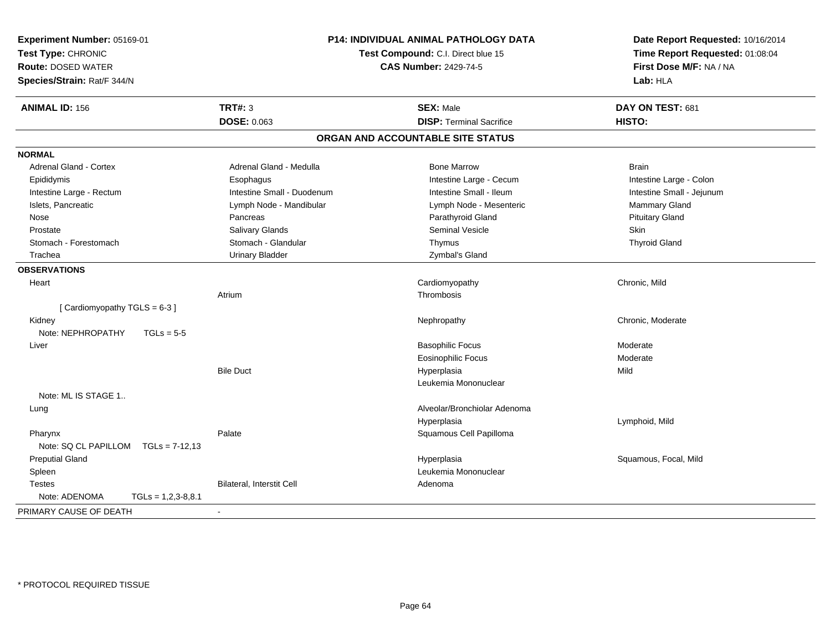| <b>TRT#: 3</b><br><b>ANIMAL ID: 156</b><br><b>SEX: Male</b><br>DAY ON TEST: 681<br><b>DOSE: 0.063</b><br><b>DISP: Terminal Sacrifice</b><br>HISTO:<br>ORGAN AND ACCOUNTABLE SITE STATUS<br><b>NORMAL</b><br>Adrenal Gland - Cortex<br>Adrenal Gland - Medulla<br><b>Bone Marrow</b><br><b>Brain</b><br>Intestine Large - Cecum<br>Intestine Large - Colon<br>Epididymis<br>Esophagus<br>Intestine Small - Duodenum<br>Intestine Large - Rectum<br>Intestine Small - Ileum<br>Intestine Small - Jejunum<br>Islets, Pancreatic<br>Lymph Node - Mesenteric<br>Mammary Gland<br>Lymph Node - Mandibular<br>Pancreas<br>Parathyroid Gland<br><b>Pituitary Gland</b><br>Nose<br><b>Seminal Vesicle</b><br><b>Skin</b><br>Salivary Glands<br>Prostate<br>Stomach - Glandular<br>Stomach - Forestomach<br><b>Thyroid Gland</b><br>Thymus<br><b>Urinary Bladder</b><br>Trachea<br>Zymbal's Gland<br><b>OBSERVATIONS</b><br>Chronic, Mild<br>Cardiomyopathy<br>Heart<br>Thrombosis<br>Atrium<br>[Cardiomyopathy TGLS = 6-3]<br>Kidney<br>Nephropathy<br>Chronic, Moderate<br>Note: NEPHROPATHY<br>$TGLs = 5-5$<br><b>Basophilic Focus</b><br>Liver<br>Moderate<br><b>Eosinophilic Focus</b><br>Moderate<br><b>Bile Duct</b><br>Hyperplasia<br>Mild<br>Leukemia Mononuclear<br>Note: ML IS STAGE 1<br>Alveolar/Bronchiolar Adenoma<br>Lung<br>Hyperplasia<br>Lymphoid, Mild<br>Palate<br>Squamous Cell Papilloma<br>Pharynx<br>Note: SQ CL PAPILLOM TGLs = 7-12,13<br><b>Preputial Gland</b><br>Squamous, Focal, Mild<br>Hyperplasia<br>Leukemia Mononuclear<br>Spleen<br>Bilateral, Interstit Cell<br>Testes<br>Adenoma<br>Note: ADENOMA<br>$TGLs = 1,2,3-8,8.1$ | Experiment Number: 05169-01<br>Test Type: CHRONIC<br><b>Route: DOSED WATER</b><br>Species/Strain: Rat/F 344/N | P14: INDIVIDUAL ANIMAL PATHOLOGY DATA<br>Test Compound: C.I. Direct blue 15<br><b>CAS Number: 2429-74-5</b> |  | Date Report Requested: 10/16/2014<br>Time Report Requested: 01:08:04<br>First Dose M/F: NA / NA<br>Lab: HLA |  |
|--------------------------------------------------------------------------------------------------------------------------------------------------------------------------------------------------------------------------------------------------------------------------------------------------------------------------------------------------------------------------------------------------------------------------------------------------------------------------------------------------------------------------------------------------------------------------------------------------------------------------------------------------------------------------------------------------------------------------------------------------------------------------------------------------------------------------------------------------------------------------------------------------------------------------------------------------------------------------------------------------------------------------------------------------------------------------------------------------------------------------------------------------------------------------------------------------------------------------------------------------------------------------------------------------------------------------------------------------------------------------------------------------------------------------------------------------------------------------------------------------------------------------------------------------------------------------------------------------------------------------------------------------------|---------------------------------------------------------------------------------------------------------------|-------------------------------------------------------------------------------------------------------------|--|-------------------------------------------------------------------------------------------------------------|--|
|                                                                                                                                                                                                                                                                                                                                                                                                                                                                                                                                                                                                                                                                                                                                                                                                                                                                                                                                                                                                                                                                                                                                                                                                                                                                                                                                                                                                                                                                                                                                                                                                                                                        |                                                                                                               |                                                                                                             |  |                                                                                                             |  |
|                                                                                                                                                                                                                                                                                                                                                                                                                                                                                                                                                                                                                                                                                                                                                                                                                                                                                                                                                                                                                                                                                                                                                                                                                                                                                                                                                                                                                                                                                                                                                                                                                                                        |                                                                                                               |                                                                                                             |  |                                                                                                             |  |
|                                                                                                                                                                                                                                                                                                                                                                                                                                                                                                                                                                                                                                                                                                                                                                                                                                                                                                                                                                                                                                                                                                                                                                                                                                                                                                                                                                                                                                                                                                                                                                                                                                                        |                                                                                                               |                                                                                                             |  |                                                                                                             |  |
|                                                                                                                                                                                                                                                                                                                                                                                                                                                                                                                                                                                                                                                                                                                                                                                                                                                                                                                                                                                                                                                                                                                                                                                                                                                                                                                                                                                                                                                                                                                                                                                                                                                        |                                                                                                               |                                                                                                             |  |                                                                                                             |  |
|                                                                                                                                                                                                                                                                                                                                                                                                                                                                                                                                                                                                                                                                                                                                                                                                                                                                                                                                                                                                                                                                                                                                                                                                                                                                                                                                                                                                                                                                                                                                                                                                                                                        |                                                                                                               |                                                                                                             |  |                                                                                                             |  |
|                                                                                                                                                                                                                                                                                                                                                                                                                                                                                                                                                                                                                                                                                                                                                                                                                                                                                                                                                                                                                                                                                                                                                                                                                                                                                                                                                                                                                                                                                                                                                                                                                                                        |                                                                                                               |                                                                                                             |  |                                                                                                             |  |
|                                                                                                                                                                                                                                                                                                                                                                                                                                                                                                                                                                                                                                                                                                                                                                                                                                                                                                                                                                                                                                                                                                                                                                                                                                                                                                                                                                                                                                                                                                                                                                                                                                                        |                                                                                                               |                                                                                                             |  |                                                                                                             |  |
|                                                                                                                                                                                                                                                                                                                                                                                                                                                                                                                                                                                                                                                                                                                                                                                                                                                                                                                                                                                                                                                                                                                                                                                                                                                                                                                                                                                                                                                                                                                                                                                                                                                        |                                                                                                               |                                                                                                             |  |                                                                                                             |  |
|                                                                                                                                                                                                                                                                                                                                                                                                                                                                                                                                                                                                                                                                                                                                                                                                                                                                                                                                                                                                                                                                                                                                                                                                                                                                                                                                                                                                                                                                                                                                                                                                                                                        |                                                                                                               |                                                                                                             |  |                                                                                                             |  |
|                                                                                                                                                                                                                                                                                                                                                                                                                                                                                                                                                                                                                                                                                                                                                                                                                                                                                                                                                                                                                                                                                                                                                                                                                                                                                                                                                                                                                                                                                                                                                                                                                                                        |                                                                                                               |                                                                                                             |  |                                                                                                             |  |
|                                                                                                                                                                                                                                                                                                                                                                                                                                                                                                                                                                                                                                                                                                                                                                                                                                                                                                                                                                                                                                                                                                                                                                                                                                                                                                                                                                                                                                                                                                                                                                                                                                                        |                                                                                                               |                                                                                                             |  |                                                                                                             |  |
|                                                                                                                                                                                                                                                                                                                                                                                                                                                                                                                                                                                                                                                                                                                                                                                                                                                                                                                                                                                                                                                                                                                                                                                                                                                                                                                                                                                                                                                                                                                                                                                                                                                        |                                                                                                               |                                                                                                             |  |                                                                                                             |  |
|                                                                                                                                                                                                                                                                                                                                                                                                                                                                                                                                                                                                                                                                                                                                                                                                                                                                                                                                                                                                                                                                                                                                                                                                                                                                                                                                                                                                                                                                                                                                                                                                                                                        |                                                                                                               |                                                                                                             |  |                                                                                                             |  |
|                                                                                                                                                                                                                                                                                                                                                                                                                                                                                                                                                                                                                                                                                                                                                                                                                                                                                                                                                                                                                                                                                                                                                                                                                                                                                                                                                                                                                                                                                                                                                                                                                                                        |                                                                                                               |                                                                                                             |  |                                                                                                             |  |
|                                                                                                                                                                                                                                                                                                                                                                                                                                                                                                                                                                                                                                                                                                                                                                                                                                                                                                                                                                                                                                                                                                                                                                                                                                                                                                                                                                                                                                                                                                                                                                                                                                                        |                                                                                                               |                                                                                                             |  |                                                                                                             |  |
|                                                                                                                                                                                                                                                                                                                                                                                                                                                                                                                                                                                                                                                                                                                                                                                                                                                                                                                                                                                                                                                                                                                                                                                                                                                                                                                                                                                                                                                                                                                                                                                                                                                        |                                                                                                               |                                                                                                             |  |                                                                                                             |  |
|                                                                                                                                                                                                                                                                                                                                                                                                                                                                                                                                                                                                                                                                                                                                                                                                                                                                                                                                                                                                                                                                                                                                                                                                                                                                                                                                                                                                                                                                                                                                                                                                                                                        |                                                                                                               |                                                                                                             |  |                                                                                                             |  |
|                                                                                                                                                                                                                                                                                                                                                                                                                                                                                                                                                                                                                                                                                                                                                                                                                                                                                                                                                                                                                                                                                                                                                                                                                                                                                                                                                                                                                                                                                                                                                                                                                                                        |                                                                                                               |                                                                                                             |  |                                                                                                             |  |
|                                                                                                                                                                                                                                                                                                                                                                                                                                                                                                                                                                                                                                                                                                                                                                                                                                                                                                                                                                                                                                                                                                                                                                                                                                                                                                                                                                                                                                                                                                                                                                                                                                                        |                                                                                                               |                                                                                                             |  |                                                                                                             |  |
|                                                                                                                                                                                                                                                                                                                                                                                                                                                                                                                                                                                                                                                                                                                                                                                                                                                                                                                                                                                                                                                                                                                                                                                                                                                                                                                                                                                                                                                                                                                                                                                                                                                        |                                                                                                               |                                                                                                             |  |                                                                                                             |  |
|                                                                                                                                                                                                                                                                                                                                                                                                                                                                                                                                                                                                                                                                                                                                                                                                                                                                                                                                                                                                                                                                                                                                                                                                                                                                                                                                                                                                                                                                                                                                                                                                                                                        |                                                                                                               |                                                                                                             |  |                                                                                                             |  |
|                                                                                                                                                                                                                                                                                                                                                                                                                                                                                                                                                                                                                                                                                                                                                                                                                                                                                                                                                                                                                                                                                                                                                                                                                                                                                                                                                                                                                                                                                                                                                                                                                                                        |                                                                                                               |                                                                                                             |  |                                                                                                             |  |
|                                                                                                                                                                                                                                                                                                                                                                                                                                                                                                                                                                                                                                                                                                                                                                                                                                                                                                                                                                                                                                                                                                                                                                                                                                                                                                                                                                                                                                                                                                                                                                                                                                                        |                                                                                                               |                                                                                                             |  |                                                                                                             |  |
|                                                                                                                                                                                                                                                                                                                                                                                                                                                                                                                                                                                                                                                                                                                                                                                                                                                                                                                                                                                                                                                                                                                                                                                                                                                                                                                                                                                                                                                                                                                                                                                                                                                        |                                                                                                               |                                                                                                             |  |                                                                                                             |  |
|                                                                                                                                                                                                                                                                                                                                                                                                                                                                                                                                                                                                                                                                                                                                                                                                                                                                                                                                                                                                                                                                                                                                                                                                                                                                                                                                                                                                                                                                                                                                                                                                                                                        |                                                                                                               |                                                                                                             |  |                                                                                                             |  |
|                                                                                                                                                                                                                                                                                                                                                                                                                                                                                                                                                                                                                                                                                                                                                                                                                                                                                                                                                                                                                                                                                                                                                                                                                                                                                                                                                                                                                                                                                                                                                                                                                                                        |                                                                                                               |                                                                                                             |  |                                                                                                             |  |
|                                                                                                                                                                                                                                                                                                                                                                                                                                                                                                                                                                                                                                                                                                                                                                                                                                                                                                                                                                                                                                                                                                                                                                                                                                                                                                                                                                                                                                                                                                                                                                                                                                                        |                                                                                                               |                                                                                                             |  |                                                                                                             |  |
|                                                                                                                                                                                                                                                                                                                                                                                                                                                                                                                                                                                                                                                                                                                                                                                                                                                                                                                                                                                                                                                                                                                                                                                                                                                                                                                                                                                                                                                                                                                                                                                                                                                        |                                                                                                               |                                                                                                             |  |                                                                                                             |  |
|                                                                                                                                                                                                                                                                                                                                                                                                                                                                                                                                                                                                                                                                                                                                                                                                                                                                                                                                                                                                                                                                                                                                                                                                                                                                                                                                                                                                                                                                                                                                                                                                                                                        |                                                                                                               |                                                                                                             |  |                                                                                                             |  |
|                                                                                                                                                                                                                                                                                                                                                                                                                                                                                                                                                                                                                                                                                                                                                                                                                                                                                                                                                                                                                                                                                                                                                                                                                                                                                                                                                                                                                                                                                                                                                                                                                                                        |                                                                                                               |                                                                                                             |  |                                                                                                             |  |
|                                                                                                                                                                                                                                                                                                                                                                                                                                                                                                                                                                                                                                                                                                                                                                                                                                                                                                                                                                                                                                                                                                                                                                                                                                                                                                                                                                                                                                                                                                                                                                                                                                                        |                                                                                                               |                                                                                                             |  |                                                                                                             |  |
|                                                                                                                                                                                                                                                                                                                                                                                                                                                                                                                                                                                                                                                                                                                                                                                                                                                                                                                                                                                                                                                                                                                                                                                                                                                                                                                                                                                                                                                                                                                                                                                                                                                        | PRIMARY CAUSE OF DEATH                                                                                        |                                                                                                             |  |                                                                                                             |  |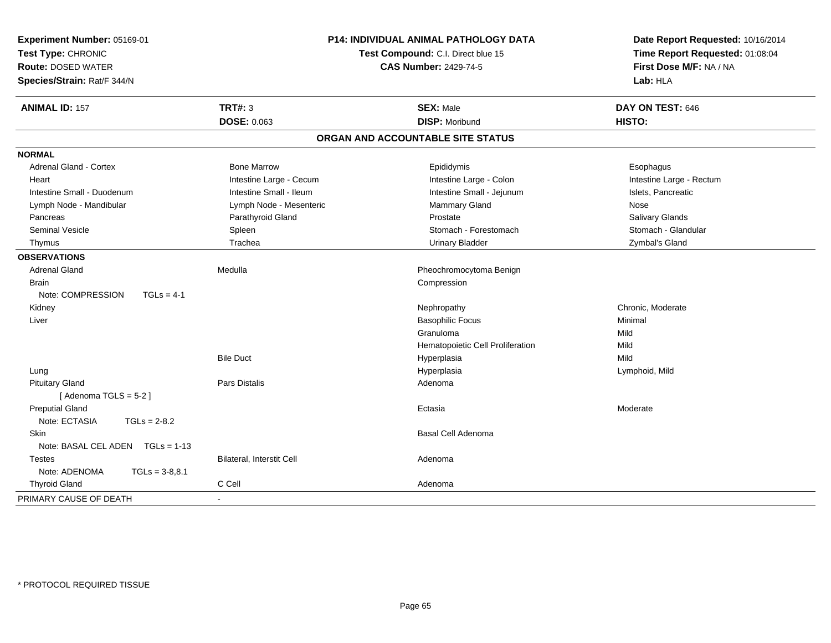| Experiment Number: 05169-01<br>Test Type: CHRONIC<br><b>Route: DOSED WATER</b><br>Species/Strain: Rat/F 344/N |                           | <b>P14: INDIVIDUAL ANIMAL PATHOLOGY DATA</b><br>Test Compound: C.I. Direct blue 15<br><b>CAS Number: 2429-74-5</b> | Date Report Requested: 10/16/2014<br>Time Report Requested: 01:08:04<br>First Dose M/F: NA / NA<br>Lab: HLA |  |
|---------------------------------------------------------------------------------------------------------------|---------------------------|--------------------------------------------------------------------------------------------------------------------|-------------------------------------------------------------------------------------------------------------|--|
| <b>ANIMAL ID: 157</b>                                                                                         | <b>TRT#: 3</b>            | <b>SEX: Male</b>                                                                                                   | DAY ON TEST: 646                                                                                            |  |
|                                                                                                               | <b>DOSE: 0.063</b>        | <b>DISP: Moribund</b>                                                                                              | HISTO:                                                                                                      |  |
|                                                                                                               |                           | ORGAN AND ACCOUNTABLE SITE STATUS                                                                                  |                                                                                                             |  |
| <b>NORMAL</b>                                                                                                 |                           |                                                                                                                    |                                                                                                             |  |
| <b>Adrenal Gland - Cortex</b>                                                                                 | <b>Bone Marrow</b>        | Epididymis                                                                                                         | Esophagus                                                                                                   |  |
| Heart                                                                                                         | Intestine Large - Cecum   | Intestine Large - Colon                                                                                            | Intestine Large - Rectum                                                                                    |  |
| Intestine Small - Duodenum                                                                                    | Intestine Small - Ileum   | Intestine Small - Jejunum                                                                                          | Islets, Pancreatic                                                                                          |  |
| Lymph Node - Mandibular                                                                                       | Lymph Node - Mesenteric   | <b>Mammary Gland</b>                                                                                               | Nose                                                                                                        |  |
| Pancreas                                                                                                      | Parathyroid Gland         | Prostate                                                                                                           | Salivary Glands                                                                                             |  |
| <b>Seminal Vesicle</b>                                                                                        | Spleen                    | Stomach - Forestomach                                                                                              | Stomach - Glandular                                                                                         |  |
| Thymus                                                                                                        | Trachea                   | <b>Urinary Bladder</b>                                                                                             | Zymbal's Gland                                                                                              |  |
| <b>OBSERVATIONS</b>                                                                                           |                           |                                                                                                                    |                                                                                                             |  |
| <b>Adrenal Gland</b>                                                                                          | Medulla                   | Pheochromocytoma Benign                                                                                            |                                                                                                             |  |
| <b>Brain</b>                                                                                                  |                           | Compression                                                                                                        |                                                                                                             |  |
| Note: COMPRESSION<br>$TGLs = 4-1$                                                                             |                           |                                                                                                                    |                                                                                                             |  |
| Kidney                                                                                                        |                           | Nephropathy                                                                                                        | Chronic, Moderate                                                                                           |  |
| Liver                                                                                                         |                           | <b>Basophilic Focus</b>                                                                                            | Minimal                                                                                                     |  |
|                                                                                                               |                           | Granuloma                                                                                                          | Mild                                                                                                        |  |
|                                                                                                               |                           | Hematopoietic Cell Proliferation                                                                                   | Mild                                                                                                        |  |
|                                                                                                               | <b>Bile Duct</b>          | Hyperplasia                                                                                                        | Mild                                                                                                        |  |
| Lung                                                                                                          |                           | Hyperplasia                                                                                                        | Lymphoid, Mild                                                                                              |  |
| <b>Pituitary Gland</b>                                                                                        | Pars Distalis             | Adenoma                                                                                                            |                                                                                                             |  |
| [Adenoma TGLS = $5-2$ ]                                                                                       |                           |                                                                                                                    |                                                                                                             |  |
| <b>Preputial Gland</b>                                                                                        |                           | Ectasia                                                                                                            | Moderate                                                                                                    |  |
| Note: ECTASIA<br>$TGLs = 2-8.2$                                                                               |                           |                                                                                                                    |                                                                                                             |  |
| <b>Skin</b>                                                                                                   |                           | Basal Cell Adenoma                                                                                                 |                                                                                                             |  |
| Note: BASAL CEL ADEN   TGLs = 1-13                                                                            |                           |                                                                                                                    |                                                                                                             |  |
| <b>Testes</b>                                                                                                 | Bilateral, Interstit Cell | Adenoma                                                                                                            |                                                                                                             |  |
| Note: ADENOMA<br>$TGLs = 3-8,8.1$                                                                             |                           |                                                                                                                    |                                                                                                             |  |
| <b>Thyroid Gland</b>                                                                                          | C Cell                    | Adenoma                                                                                                            |                                                                                                             |  |
| PRIMARY CAUSE OF DEATH                                                                                        |                           |                                                                                                                    |                                                                                                             |  |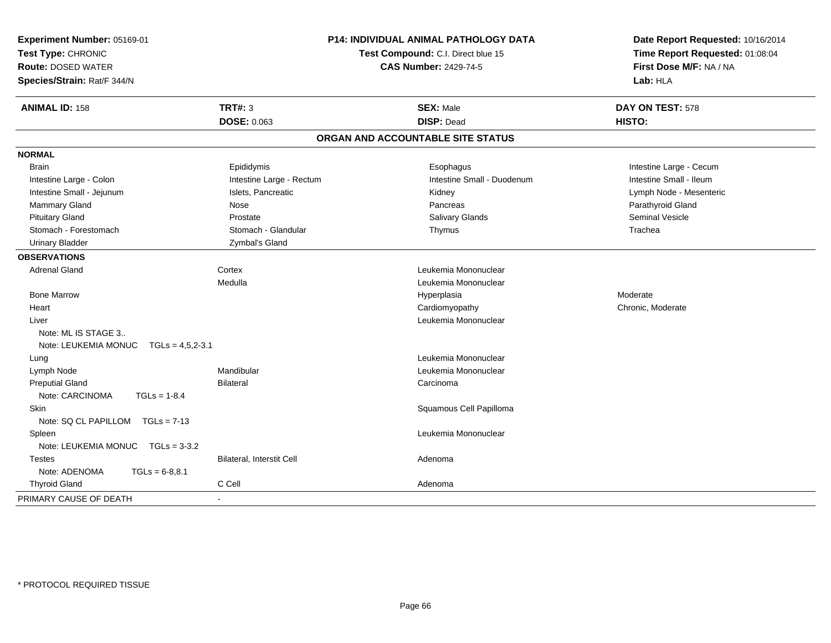| Experiment Number: 05169-01<br>Test Type: CHRONIC<br><b>Route: DOSED WATER</b><br>Species/Strain: Rat/F 344/N |                           | P14: INDIVIDUAL ANIMAL PATHOLOGY DATA<br>Test Compound: C.I. Direct blue 15<br><b>CAS Number: 2429-74-5</b> | Date Report Requested: 10/16/2014<br>Time Report Requested: 01:08:04<br>First Dose M/F: NA / NA<br>Lab: HLA |  |
|---------------------------------------------------------------------------------------------------------------|---------------------------|-------------------------------------------------------------------------------------------------------------|-------------------------------------------------------------------------------------------------------------|--|
| <b>ANIMAL ID: 158</b>                                                                                         | <b>TRT#: 3</b>            | <b>SEX: Male</b>                                                                                            | DAY ON TEST: 578                                                                                            |  |
|                                                                                                               | <b>DOSE: 0.063</b>        | <b>DISP: Dead</b>                                                                                           | HISTO:                                                                                                      |  |
|                                                                                                               |                           | ORGAN AND ACCOUNTABLE SITE STATUS                                                                           |                                                                                                             |  |
| <b>NORMAL</b>                                                                                                 |                           |                                                                                                             |                                                                                                             |  |
| <b>Brain</b>                                                                                                  | Epididymis                | Esophagus                                                                                                   | Intestine Large - Cecum                                                                                     |  |
| Intestine Large - Colon                                                                                       | Intestine Large - Rectum  | Intestine Small - Duodenum                                                                                  | Intestine Small - Ileum                                                                                     |  |
| Intestine Small - Jejunum                                                                                     | Islets, Pancreatic        | Kidney                                                                                                      | Lymph Node - Mesenteric                                                                                     |  |
| <b>Mammary Gland</b>                                                                                          | Nose                      | Pancreas                                                                                                    | Parathyroid Gland                                                                                           |  |
| <b>Pituitary Gland</b>                                                                                        | Prostate                  | Salivary Glands                                                                                             | Seminal Vesicle                                                                                             |  |
| Stomach - Forestomach                                                                                         | Stomach - Glandular       | Thymus                                                                                                      | Trachea                                                                                                     |  |
| <b>Urinary Bladder</b>                                                                                        | Zymbal's Gland            |                                                                                                             |                                                                                                             |  |
| <b>OBSERVATIONS</b>                                                                                           |                           |                                                                                                             |                                                                                                             |  |
| <b>Adrenal Gland</b>                                                                                          | Cortex                    | Leukemia Mononuclear                                                                                        |                                                                                                             |  |
|                                                                                                               | Medulla                   | Leukemia Mononuclear                                                                                        |                                                                                                             |  |
| <b>Bone Marrow</b>                                                                                            |                           | Hyperplasia                                                                                                 | Moderate                                                                                                    |  |
| Heart                                                                                                         |                           | Cardiomyopathy                                                                                              | Chronic, Moderate                                                                                           |  |
| Liver                                                                                                         |                           | Leukemia Mononuclear                                                                                        |                                                                                                             |  |
| Note: ML IS STAGE 3                                                                                           |                           |                                                                                                             |                                                                                                             |  |
| Note: LEUKEMIA MONUC<br>$TGLs = 4,5,2-3.1$                                                                    |                           |                                                                                                             |                                                                                                             |  |
| Lung                                                                                                          |                           | Leukemia Mononuclear                                                                                        |                                                                                                             |  |
| Lymph Node                                                                                                    | Mandibular                | Leukemia Mononuclear                                                                                        |                                                                                                             |  |
| <b>Preputial Gland</b>                                                                                        | <b>Bilateral</b>          | Carcinoma                                                                                                   |                                                                                                             |  |
| Note: CARCINOMA<br>$TGLs = 1-8.4$                                                                             |                           |                                                                                                             |                                                                                                             |  |
| Skin                                                                                                          |                           | Squamous Cell Papilloma                                                                                     |                                                                                                             |  |
| Note: SQ CL PAPILLOM<br>$TGLs = 7-13$                                                                         |                           |                                                                                                             |                                                                                                             |  |
| Spleen                                                                                                        |                           | Leukemia Mononuclear                                                                                        |                                                                                                             |  |
| Note: LEUKEMIA MONUC TGLs = 3-3.2                                                                             |                           |                                                                                                             |                                                                                                             |  |
| <b>Testes</b>                                                                                                 | Bilateral, Interstit Cell | Adenoma                                                                                                     |                                                                                                             |  |
| Note: ADENOMA<br>$TGLs = 6-8,8.1$                                                                             |                           |                                                                                                             |                                                                                                             |  |
| <b>Thyroid Gland</b>                                                                                          | C Cell                    | Adenoma                                                                                                     |                                                                                                             |  |
| PRIMARY CAUSE OF DEATH                                                                                        |                           |                                                                                                             |                                                                                                             |  |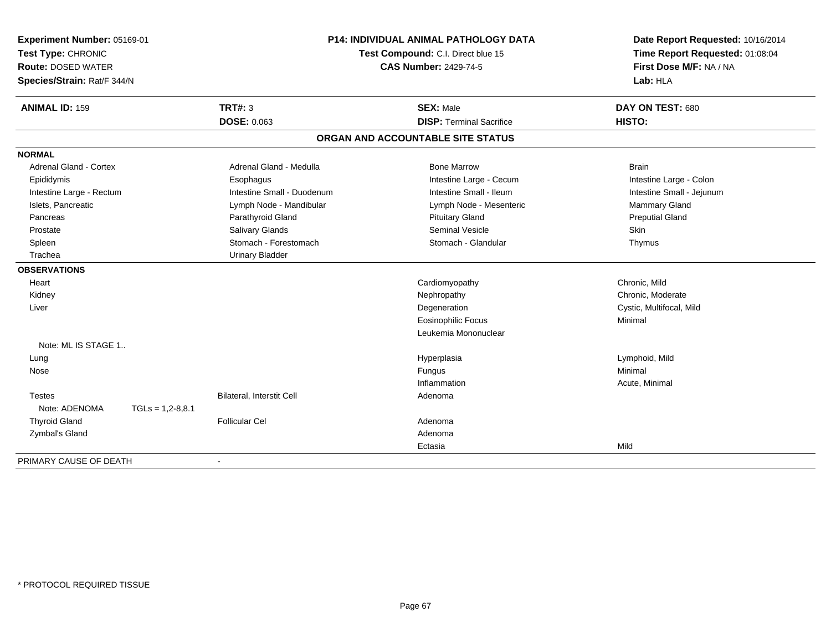| Experiment Number: 05169-01<br>Test Type: CHRONIC<br><b>Route: DOSED WATER</b><br>Species/Strain: Rat/F 344/N |                    |                            | P14: INDIVIDUAL ANIMAL PATHOLOGY DATA<br>Test Compound: C.I. Direct blue 15<br><b>CAS Number: 2429-74-5</b> | Date Report Requested: 10/16/2014<br>Time Report Requested: 01:08:04<br>First Dose M/F: NA / NA<br>Lab: HLA |  |
|---------------------------------------------------------------------------------------------------------------|--------------------|----------------------------|-------------------------------------------------------------------------------------------------------------|-------------------------------------------------------------------------------------------------------------|--|
| <b>ANIMAL ID: 159</b>                                                                                         |                    | <b>TRT#: 3</b>             | <b>SEX: Male</b>                                                                                            | DAY ON TEST: 680                                                                                            |  |
|                                                                                                               |                    | <b>DOSE: 0.063</b>         | <b>DISP: Terminal Sacrifice</b>                                                                             | HISTO:                                                                                                      |  |
|                                                                                                               |                    |                            | ORGAN AND ACCOUNTABLE SITE STATUS                                                                           |                                                                                                             |  |
| <b>NORMAL</b>                                                                                                 |                    |                            |                                                                                                             |                                                                                                             |  |
| <b>Adrenal Gland - Cortex</b>                                                                                 |                    | Adrenal Gland - Medulla    | <b>Bone Marrow</b>                                                                                          | <b>Brain</b>                                                                                                |  |
| Epididymis                                                                                                    |                    | Esophagus                  | Intestine Large - Cecum                                                                                     | Intestine Large - Colon                                                                                     |  |
| Intestine Large - Rectum                                                                                      |                    | Intestine Small - Duodenum | Intestine Small - Ileum                                                                                     | Intestine Small - Jejunum                                                                                   |  |
| Islets, Pancreatic                                                                                            |                    | Lymph Node - Mandibular    | Lymph Node - Mesenteric                                                                                     | <b>Mammary Gland</b>                                                                                        |  |
| Pancreas                                                                                                      |                    | Parathyroid Gland          | <b>Pituitary Gland</b>                                                                                      | <b>Preputial Gland</b>                                                                                      |  |
| Prostate                                                                                                      |                    | Salivary Glands            | <b>Seminal Vesicle</b>                                                                                      | Skin                                                                                                        |  |
| Spleen                                                                                                        |                    | Stomach - Forestomach      | Stomach - Glandular                                                                                         | Thymus                                                                                                      |  |
| Trachea                                                                                                       |                    | <b>Urinary Bladder</b>     |                                                                                                             |                                                                                                             |  |
| <b>OBSERVATIONS</b>                                                                                           |                    |                            |                                                                                                             |                                                                                                             |  |
| Heart                                                                                                         |                    |                            | Cardiomyopathy                                                                                              | Chronic, Mild                                                                                               |  |
| Kidney                                                                                                        |                    |                            | Nephropathy                                                                                                 | Chronic, Moderate                                                                                           |  |
| Liver                                                                                                         |                    |                            | Degeneration                                                                                                | Cystic, Multifocal, Mild                                                                                    |  |
|                                                                                                               |                    |                            | <b>Eosinophilic Focus</b>                                                                                   | Minimal                                                                                                     |  |
|                                                                                                               |                    |                            | Leukemia Mononuclear                                                                                        |                                                                                                             |  |
| Note: ML IS STAGE 1                                                                                           |                    |                            |                                                                                                             |                                                                                                             |  |
| Lung                                                                                                          |                    |                            | Hyperplasia                                                                                                 | Lymphoid, Mild                                                                                              |  |
| Nose                                                                                                          |                    |                            | Fungus                                                                                                      | Minimal                                                                                                     |  |
|                                                                                                               |                    |                            | Inflammation                                                                                                | Acute, Minimal                                                                                              |  |
| <b>Testes</b>                                                                                                 |                    | Bilateral, Interstit Cell  | Adenoma                                                                                                     |                                                                                                             |  |
| Note: ADENOMA                                                                                                 | $TGLs = 1,2-8,8.1$ |                            |                                                                                                             |                                                                                                             |  |
| <b>Thyroid Gland</b>                                                                                          |                    | <b>Follicular Cel</b>      | Adenoma                                                                                                     |                                                                                                             |  |
| Zymbal's Gland                                                                                                |                    |                            | Adenoma                                                                                                     |                                                                                                             |  |
|                                                                                                               |                    |                            | Ectasia                                                                                                     | Mild                                                                                                        |  |
| PRIMARY CAUSE OF DEATH                                                                                        |                    |                            |                                                                                                             |                                                                                                             |  |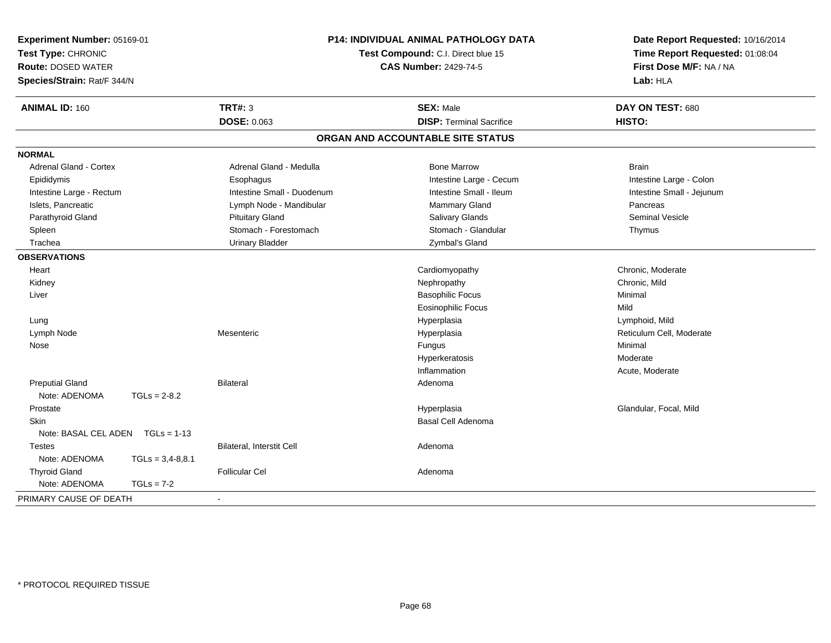| <b>ANIMAL ID: 160</b><br><b>TRT#: 3</b><br><b>SEX: Male</b><br>DAY ON TEST: 680<br>DOSE: 0.063<br><b>DISP: Terminal Sacrifice</b><br>HISTO:<br>ORGAN AND ACCOUNTABLE SITE STATUS<br><b>NORMAL</b><br>Adrenal Gland - Cortex<br>Adrenal Gland - Medulla<br><b>Bone Marrow</b><br><b>Brain</b><br>Epididymis<br>Intestine Large - Cecum<br>Intestine Large - Colon<br>Esophagus<br>Intestine Small - Ileum<br>Intestine Small - Jejunum<br>Intestine Large - Rectum<br>Intestine Small - Duodenum<br>Islets, Pancreatic<br>Lymph Node - Mandibular<br>Mammary Gland<br>Pancreas<br>Parathyroid Gland<br><b>Pituitary Gland</b><br><b>Salivary Glands</b><br><b>Seminal Vesicle</b><br>Stomach - Forestomach<br>Stomach - Glandular<br>Spleen<br>Thymus<br>Trachea<br><b>Urinary Bladder</b><br>Zymbal's Gland<br><b>OBSERVATIONS</b><br>Chronic, Moderate<br>Cardiomyopathy<br>Heart<br>Kidney<br>Nephropathy<br>Chronic, Mild<br><b>Basophilic Focus</b><br>Minimal<br>Liver<br><b>Eosinophilic Focus</b><br>Mild<br>Lymphoid, Mild<br>Hyperplasia<br>Lung<br>Reticulum Cell, Moderate<br>Lymph Node<br>Mesenteric<br>Hyperplasia<br>Minimal<br>Nose<br>Fungus<br>Moderate<br>Hyperkeratosis<br>Inflammation<br>Acute, Moderate<br><b>Preputial Gland</b><br><b>Bilateral</b><br>Adenoma<br>Note: ADENOMA<br>$TGLs = 2-8.2$<br>Hyperplasia<br>Glandular, Focal, Mild<br>Prostate<br><b>Skin</b><br>Basal Cell Adenoma<br>Note: BASAL CEL ADEN<br>$TGLs = 1-13$<br>Bilateral, Interstit Cell<br><b>Testes</b><br>Adenoma<br>Note: ADENOMA<br>$TGLs = 3,4-8,8.1$<br><b>Thyroid Gland</b><br><b>Follicular Cel</b><br>Adenoma<br>Note: ADENOMA<br>$TGLs = 7-2$ | Experiment Number: 05169-01<br>Test Type: CHRONIC<br><b>Route: DOSED WATER</b><br>Species/Strain: Rat/F 344/N |  | <b>P14: INDIVIDUAL ANIMAL PATHOLOGY DATA</b><br>Test Compound: C.I. Direct blue 15<br><b>CAS Number: 2429-74-5</b> |  | Date Report Requested: 10/16/2014<br>Time Report Requested: 01:08:04<br>First Dose M/F: NA / NA<br>Lab: HLA |
|------------------------------------------------------------------------------------------------------------------------------------------------------------------------------------------------------------------------------------------------------------------------------------------------------------------------------------------------------------------------------------------------------------------------------------------------------------------------------------------------------------------------------------------------------------------------------------------------------------------------------------------------------------------------------------------------------------------------------------------------------------------------------------------------------------------------------------------------------------------------------------------------------------------------------------------------------------------------------------------------------------------------------------------------------------------------------------------------------------------------------------------------------------------------------------------------------------------------------------------------------------------------------------------------------------------------------------------------------------------------------------------------------------------------------------------------------------------------------------------------------------------------------------------------------------------------------------------------------------------------------------------------------------|---------------------------------------------------------------------------------------------------------------|--|--------------------------------------------------------------------------------------------------------------------|--|-------------------------------------------------------------------------------------------------------------|
|                                                                                                                                                                                                                                                                                                                                                                                                                                                                                                                                                                                                                                                                                                                                                                                                                                                                                                                                                                                                                                                                                                                                                                                                                                                                                                                                                                                                                                                                                                                                                                                                                                                            |                                                                                                               |  |                                                                                                                    |  |                                                                                                             |
|                                                                                                                                                                                                                                                                                                                                                                                                                                                                                                                                                                                                                                                                                                                                                                                                                                                                                                                                                                                                                                                                                                                                                                                                                                                                                                                                                                                                                                                                                                                                                                                                                                                            |                                                                                                               |  |                                                                                                                    |  |                                                                                                             |
|                                                                                                                                                                                                                                                                                                                                                                                                                                                                                                                                                                                                                                                                                                                                                                                                                                                                                                                                                                                                                                                                                                                                                                                                                                                                                                                                                                                                                                                                                                                                                                                                                                                            |                                                                                                               |  |                                                                                                                    |  |                                                                                                             |
|                                                                                                                                                                                                                                                                                                                                                                                                                                                                                                                                                                                                                                                                                                                                                                                                                                                                                                                                                                                                                                                                                                                                                                                                                                                                                                                                                                                                                                                                                                                                                                                                                                                            |                                                                                                               |  |                                                                                                                    |  |                                                                                                             |
|                                                                                                                                                                                                                                                                                                                                                                                                                                                                                                                                                                                                                                                                                                                                                                                                                                                                                                                                                                                                                                                                                                                                                                                                                                                                                                                                                                                                                                                                                                                                                                                                                                                            |                                                                                                               |  |                                                                                                                    |  |                                                                                                             |
|                                                                                                                                                                                                                                                                                                                                                                                                                                                                                                                                                                                                                                                                                                                                                                                                                                                                                                                                                                                                                                                                                                                                                                                                                                                                                                                                                                                                                                                                                                                                                                                                                                                            |                                                                                                               |  |                                                                                                                    |  |                                                                                                             |
|                                                                                                                                                                                                                                                                                                                                                                                                                                                                                                                                                                                                                                                                                                                                                                                                                                                                                                                                                                                                                                                                                                                                                                                                                                                                                                                                                                                                                                                                                                                                                                                                                                                            |                                                                                                               |  |                                                                                                                    |  |                                                                                                             |
|                                                                                                                                                                                                                                                                                                                                                                                                                                                                                                                                                                                                                                                                                                                                                                                                                                                                                                                                                                                                                                                                                                                                                                                                                                                                                                                                                                                                                                                                                                                                                                                                                                                            |                                                                                                               |  |                                                                                                                    |  |                                                                                                             |
|                                                                                                                                                                                                                                                                                                                                                                                                                                                                                                                                                                                                                                                                                                                                                                                                                                                                                                                                                                                                                                                                                                                                                                                                                                                                                                                                                                                                                                                                                                                                                                                                                                                            |                                                                                                               |  |                                                                                                                    |  |                                                                                                             |
|                                                                                                                                                                                                                                                                                                                                                                                                                                                                                                                                                                                                                                                                                                                                                                                                                                                                                                                                                                                                                                                                                                                                                                                                                                                                                                                                                                                                                                                                                                                                                                                                                                                            |                                                                                                               |  |                                                                                                                    |  |                                                                                                             |
|                                                                                                                                                                                                                                                                                                                                                                                                                                                                                                                                                                                                                                                                                                                                                                                                                                                                                                                                                                                                                                                                                                                                                                                                                                                                                                                                                                                                                                                                                                                                                                                                                                                            |                                                                                                               |  |                                                                                                                    |  |                                                                                                             |
|                                                                                                                                                                                                                                                                                                                                                                                                                                                                                                                                                                                                                                                                                                                                                                                                                                                                                                                                                                                                                                                                                                                                                                                                                                                                                                                                                                                                                                                                                                                                                                                                                                                            |                                                                                                               |  |                                                                                                                    |  |                                                                                                             |
|                                                                                                                                                                                                                                                                                                                                                                                                                                                                                                                                                                                                                                                                                                                                                                                                                                                                                                                                                                                                                                                                                                                                                                                                                                                                                                                                                                                                                                                                                                                                                                                                                                                            |                                                                                                               |  |                                                                                                                    |  |                                                                                                             |
|                                                                                                                                                                                                                                                                                                                                                                                                                                                                                                                                                                                                                                                                                                                                                                                                                                                                                                                                                                                                                                                                                                                                                                                                                                                                                                                                                                                                                                                                                                                                                                                                                                                            |                                                                                                               |  |                                                                                                                    |  |                                                                                                             |
|                                                                                                                                                                                                                                                                                                                                                                                                                                                                                                                                                                                                                                                                                                                                                                                                                                                                                                                                                                                                                                                                                                                                                                                                                                                                                                                                                                                                                                                                                                                                                                                                                                                            |                                                                                                               |  |                                                                                                                    |  |                                                                                                             |
|                                                                                                                                                                                                                                                                                                                                                                                                                                                                                                                                                                                                                                                                                                                                                                                                                                                                                                                                                                                                                                                                                                                                                                                                                                                                                                                                                                                                                                                                                                                                                                                                                                                            |                                                                                                               |  |                                                                                                                    |  |                                                                                                             |
|                                                                                                                                                                                                                                                                                                                                                                                                                                                                                                                                                                                                                                                                                                                                                                                                                                                                                                                                                                                                                                                                                                                                                                                                                                                                                                                                                                                                                                                                                                                                                                                                                                                            |                                                                                                               |  |                                                                                                                    |  |                                                                                                             |
|                                                                                                                                                                                                                                                                                                                                                                                                                                                                                                                                                                                                                                                                                                                                                                                                                                                                                                                                                                                                                                                                                                                                                                                                                                                                                                                                                                                                                                                                                                                                                                                                                                                            |                                                                                                               |  |                                                                                                                    |  |                                                                                                             |
|                                                                                                                                                                                                                                                                                                                                                                                                                                                                                                                                                                                                                                                                                                                                                                                                                                                                                                                                                                                                                                                                                                                                                                                                                                                                                                                                                                                                                                                                                                                                                                                                                                                            |                                                                                                               |  |                                                                                                                    |  |                                                                                                             |
|                                                                                                                                                                                                                                                                                                                                                                                                                                                                                                                                                                                                                                                                                                                                                                                                                                                                                                                                                                                                                                                                                                                                                                                                                                                                                                                                                                                                                                                                                                                                                                                                                                                            |                                                                                                               |  |                                                                                                                    |  |                                                                                                             |
|                                                                                                                                                                                                                                                                                                                                                                                                                                                                                                                                                                                                                                                                                                                                                                                                                                                                                                                                                                                                                                                                                                                                                                                                                                                                                                                                                                                                                                                                                                                                                                                                                                                            |                                                                                                               |  |                                                                                                                    |  |                                                                                                             |
|                                                                                                                                                                                                                                                                                                                                                                                                                                                                                                                                                                                                                                                                                                                                                                                                                                                                                                                                                                                                                                                                                                                                                                                                                                                                                                                                                                                                                                                                                                                                                                                                                                                            |                                                                                                               |  |                                                                                                                    |  |                                                                                                             |
|                                                                                                                                                                                                                                                                                                                                                                                                                                                                                                                                                                                                                                                                                                                                                                                                                                                                                                                                                                                                                                                                                                                                                                                                                                                                                                                                                                                                                                                                                                                                                                                                                                                            |                                                                                                               |  |                                                                                                                    |  |                                                                                                             |
|                                                                                                                                                                                                                                                                                                                                                                                                                                                                                                                                                                                                                                                                                                                                                                                                                                                                                                                                                                                                                                                                                                                                                                                                                                                                                                                                                                                                                                                                                                                                                                                                                                                            |                                                                                                               |  |                                                                                                                    |  |                                                                                                             |
|                                                                                                                                                                                                                                                                                                                                                                                                                                                                                                                                                                                                                                                                                                                                                                                                                                                                                                                                                                                                                                                                                                                                                                                                                                                                                                                                                                                                                                                                                                                                                                                                                                                            |                                                                                                               |  |                                                                                                                    |  |                                                                                                             |
|                                                                                                                                                                                                                                                                                                                                                                                                                                                                                                                                                                                                                                                                                                                                                                                                                                                                                                                                                                                                                                                                                                                                                                                                                                                                                                                                                                                                                                                                                                                                                                                                                                                            |                                                                                                               |  |                                                                                                                    |  |                                                                                                             |
|                                                                                                                                                                                                                                                                                                                                                                                                                                                                                                                                                                                                                                                                                                                                                                                                                                                                                                                                                                                                                                                                                                                                                                                                                                                                                                                                                                                                                                                                                                                                                                                                                                                            |                                                                                                               |  |                                                                                                                    |  |                                                                                                             |
|                                                                                                                                                                                                                                                                                                                                                                                                                                                                                                                                                                                                                                                                                                                                                                                                                                                                                                                                                                                                                                                                                                                                                                                                                                                                                                                                                                                                                                                                                                                                                                                                                                                            |                                                                                                               |  |                                                                                                                    |  |                                                                                                             |
|                                                                                                                                                                                                                                                                                                                                                                                                                                                                                                                                                                                                                                                                                                                                                                                                                                                                                                                                                                                                                                                                                                                                                                                                                                                                                                                                                                                                                                                                                                                                                                                                                                                            |                                                                                                               |  |                                                                                                                    |  |                                                                                                             |
|                                                                                                                                                                                                                                                                                                                                                                                                                                                                                                                                                                                                                                                                                                                                                                                                                                                                                                                                                                                                                                                                                                                                                                                                                                                                                                                                                                                                                                                                                                                                                                                                                                                            |                                                                                                               |  |                                                                                                                    |  |                                                                                                             |
|                                                                                                                                                                                                                                                                                                                                                                                                                                                                                                                                                                                                                                                                                                                                                                                                                                                                                                                                                                                                                                                                                                                                                                                                                                                                                                                                                                                                                                                                                                                                                                                                                                                            | PRIMARY CAUSE OF DEATH                                                                                        |  |                                                                                                                    |  |                                                                                                             |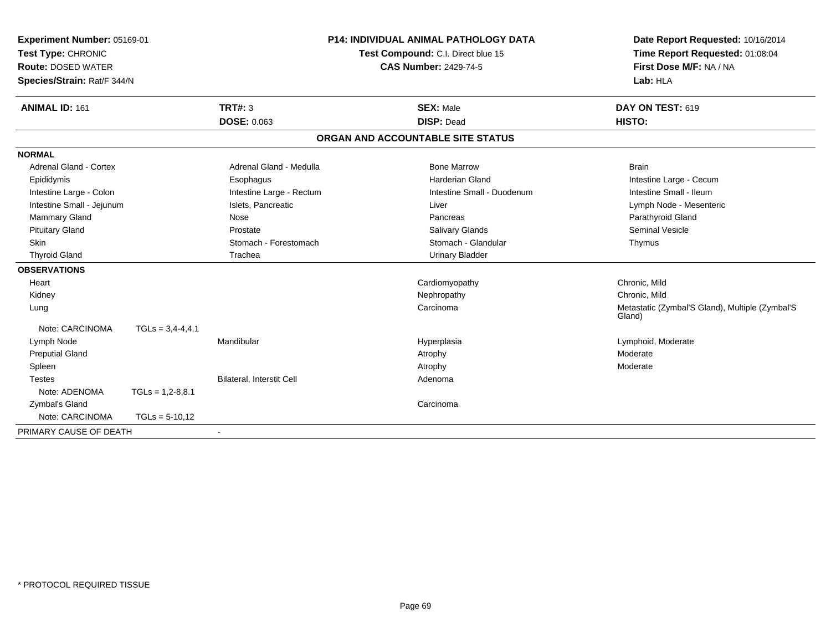| Experiment Number: 05169-01<br>Test Type: CHRONIC<br><b>Route: DOSED WATER</b><br>Species/Strain: Rat/F 344/N |                    |                                  | <b>P14: INDIVIDUAL ANIMAL PATHOLOGY DATA</b><br>Test Compound: C.I. Direct blue 15<br><b>CAS Number: 2429-74-5</b> | Date Report Requested: 10/16/2014<br>Time Report Requested: 01:08:04<br>First Dose M/F: NA / NA<br>Lab: HLA |
|---------------------------------------------------------------------------------------------------------------|--------------------|----------------------------------|--------------------------------------------------------------------------------------------------------------------|-------------------------------------------------------------------------------------------------------------|
| <b>ANIMAL ID: 161</b>                                                                                         |                    | <b>TRT#: 3</b>                   | <b>SEX: Male</b>                                                                                                   | DAY ON TEST: 619                                                                                            |
|                                                                                                               |                    | <b>DOSE: 0.063</b>               | <b>DISP: Dead</b>                                                                                                  | HISTO:                                                                                                      |
|                                                                                                               |                    |                                  | ORGAN AND ACCOUNTABLE SITE STATUS                                                                                  |                                                                                                             |
| <b>NORMAL</b>                                                                                                 |                    |                                  |                                                                                                                    |                                                                                                             |
| <b>Adrenal Gland - Cortex</b>                                                                                 |                    | Adrenal Gland - Medulla          | <b>Bone Marrow</b>                                                                                                 | <b>Brain</b>                                                                                                |
| Epididymis                                                                                                    |                    | Esophagus                        | Harderian Gland                                                                                                    | Intestine Large - Cecum                                                                                     |
| Intestine Large - Colon                                                                                       |                    | Intestine Large - Rectum         | Intestine Small - Duodenum                                                                                         | Intestine Small - Ileum                                                                                     |
| Intestine Small - Jejunum                                                                                     |                    | Islets, Pancreatic               | Liver                                                                                                              | Lymph Node - Mesenteric                                                                                     |
| Mammary Gland                                                                                                 |                    | Nose                             | Pancreas                                                                                                           | Parathyroid Gland                                                                                           |
| <b>Pituitary Gland</b>                                                                                        |                    | Prostate                         | Salivary Glands                                                                                                    | <b>Seminal Vesicle</b>                                                                                      |
| Skin                                                                                                          |                    | Stomach - Forestomach            | Stomach - Glandular                                                                                                | Thymus                                                                                                      |
| <b>Thyroid Gland</b>                                                                                          |                    | Trachea                          | <b>Urinary Bladder</b>                                                                                             |                                                                                                             |
| <b>OBSERVATIONS</b>                                                                                           |                    |                                  |                                                                                                                    |                                                                                                             |
| Heart                                                                                                         |                    |                                  | Cardiomyopathy                                                                                                     | Chronic, Mild                                                                                               |
| Kidney                                                                                                        |                    |                                  | Nephropathy                                                                                                        | Chronic, Mild                                                                                               |
| Lung                                                                                                          |                    |                                  | Carcinoma                                                                                                          | Metastatic (Zymbal'S Gland), Multiple (Zymbal'S<br>Gland)                                                   |
| Note: CARCINOMA                                                                                               | $TGLS = 3,4-4,4.1$ |                                  |                                                                                                                    |                                                                                                             |
| Lymph Node                                                                                                    |                    | Mandibular                       | Hyperplasia                                                                                                        | Lymphoid, Moderate                                                                                          |
| <b>Preputial Gland</b>                                                                                        |                    |                                  | Atrophy                                                                                                            | Moderate                                                                                                    |
| Spleen                                                                                                        |                    |                                  | Atrophy                                                                                                            | Moderate                                                                                                    |
| <b>Testes</b>                                                                                                 |                    | <b>Bilateral, Interstit Cell</b> | Adenoma                                                                                                            |                                                                                                             |
| Note: ADENOMA                                                                                                 | $TGLs = 1,2-8,8.1$ |                                  |                                                                                                                    |                                                                                                             |
| Zymbal's Gland                                                                                                |                    |                                  | Carcinoma                                                                                                          |                                                                                                             |
| Note: CARCINOMA                                                                                               | $TGLs = 5-10,12$   |                                  |                                                                                                                    |                                                                                                             |
| PRIMARY CAUSE OF DEATH                                                                                        |                    | $\sim$                           |                                                                                                                    |                                                                                                             |
|                                                                                                               |                    |                                  |                                                                                                                    |                                                                                                             |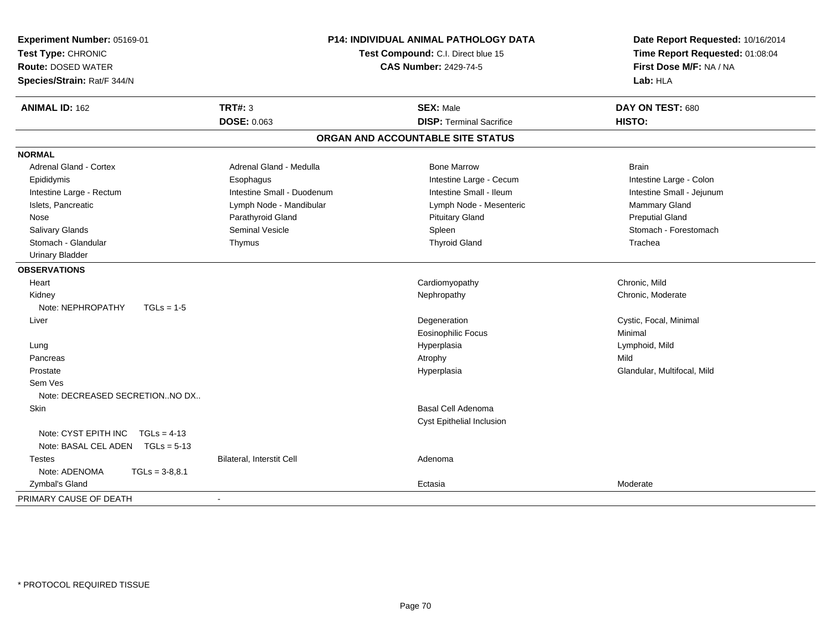| Experiment Number: 05169-01<br>Test Type: CHRONIC<br><b>Route: DOSED WATER</b><br>Species/Strain: Rat/F 344/N | <b>P14: INDIVIDUAL ANIMAL PATHOLOGY DATA</b><br>Test Compound: C.I. Direct blue 15<br><b>CAS Number: 2429-74-5</b> |                                   | Date Report Requested: 10/16/2014<br>Time Report Requested: 01:08:04<br>First Dose M/F: NA / NA<br>Lab: HLA |  |
|---------------------------------------------------------------------------------------------------------------|--------------------------------------------------------------------------------------------------------------------|-----------------------------------|-------------------------------------------------------------------------------------------------------------|--|
| <b>ANIMAL ID: 162</b>                                                                                         | <b>TRT#: 3</b>                                                                                                     | <b>SEX: Male</b>                  | DAY ON TEST: 680                                                                                            |  |
|                                                                                                               | <b>DOSE: 0.063</b>                                                                                                 | <b>DISP: Terminal Sacrifice</b>   | HISTO:                                                                                                      |  |
|                                                                                                               |                                                                                                                    | ORGAN AND ACCOUNTABLE SITE STATUS |                                                                                                             |  |
| <b>NORMAL</b>                                                                                                 |                                                                                                                    |                                   |                                                                                                             |  |
| <b>Adrenal Gland - Cortex</b>                                                                                 | Adrenal Gland - Medulla                                                                                            | <b>Bone Marrow</b>                | <b>Brain</b>                                                                                                |  |
| Epididymis                                                                                                    | Esophagus                                                                                                          | Intestine Large - Cecum           | Intestine Large - Colon                                                                                     |  |
| Intestine Large - Rectum                                                                                      | Intestine Small - Duodenum                                                                                         | Intestine Small - Ileum           | Intestine Small - Jejunum                                                                                   |  |
| Islets, Pancreatic                                                                                            | Lymph Node - Mandibular                                                                                            | Lymph Node - Mesenteric           | Mammary Gland                                                                                               |  |
| Nose                                                                                                          | Parathyroid Gland                                                                                                  | <b>Pituitary Gland</b>            | <b>Preputial Gland</b>                                                                                      |  |
| Salivary Glands                                                                                               | <b>Seminal Vesicle</b>                                                                                             | Spleen                            | Stomach - Forestomach                                                                                       |  |
| Stomach - Glandular                                                                                           | Thymus                                                                                                             | <b>Thyroid Gland</b>              | Trachea                                                                                                     |  |
| <b>Urinary Bladder</b>                                                                                        |                                                                                                                    |                                   |                                                                                                             |  |
| <b>OBSERVATIONS</b>                                                                                           |                                                                                                                    |                                   |                                                                                                             |  |
| Heart                                                                                                         |                                                                                                                    | Cardiomyopathy                    | Chronic, Mild                                                                                               |  |
| Kidney                                                                                                        |                                                                                                                    | Nephropathy                       | Chronic, Moderate                                                                                           |  |
| Note: NEPHROPATHY<br>$TGLs = 1-5$                                                                             |                                                                                                                    |                                   |                                                                                                             |  |
| Liver                                                                                                         |                                                                                                                    | Degeneration                      | Cystic, Focal, Minimal                                                                                      |  |
|                                                                                                               |                                                                                                                    | <b>Eosinophilic Focus</b>         | Minimal                                                                                                     |  |
| Lung                                                                                                          |                                                                                                                    | Hyperplasia                       | Lymphoid, Mild                                                                                              |  |
| Pancreas                                                                                                      |                                                                                                                    | Atrophy                           | Mild                                                                                                        |  |
| Prostate                                                                                                      |                                                                                                                    | Hyperplasia                       | Glandular, Multifocal, Mild                                                                                 |  |
| Sem Ves<br>Note: DECREASED SECRETIONNO DX                                                                     |                                                                                                                    |                                   |                                                                                                             |  |
| Skin                                                                                                          |                                                                                                                    | <b>Basal Cell Adenoma</b>         |                                                                                                             |  |
|                                                                                                               |                                                                                                                    | Cyst Epithelial Inclusion         |                                                                                                             |  |
| Note: CYST EPITH INC<br>$TGLs = 4-13$<br>Note: BASAL CEL ADEN TGLs = 5-13                                     |                                                                                                                    |                                   |                                                                                                             |  |
| <b>Testes</b>                                                                                                 | Bilateral, Interstit Cell                                                                                          | Adenoma                           |                                                                                                             |  |
| Note: ADENOMA<br>$TGLs = 3-8,8.1$                                                                             |                                                                                                                    |                                   |                                                                                                             |  |
| Zymbal's Gland                                                                                                |                                                                                                                    | Ectasia                           | Moderate                                                                                                    |  |
| PRIMARY CAUSE OF DEATH                                                                                        |                                                                                                                    |                                   |                                                                                                             |  |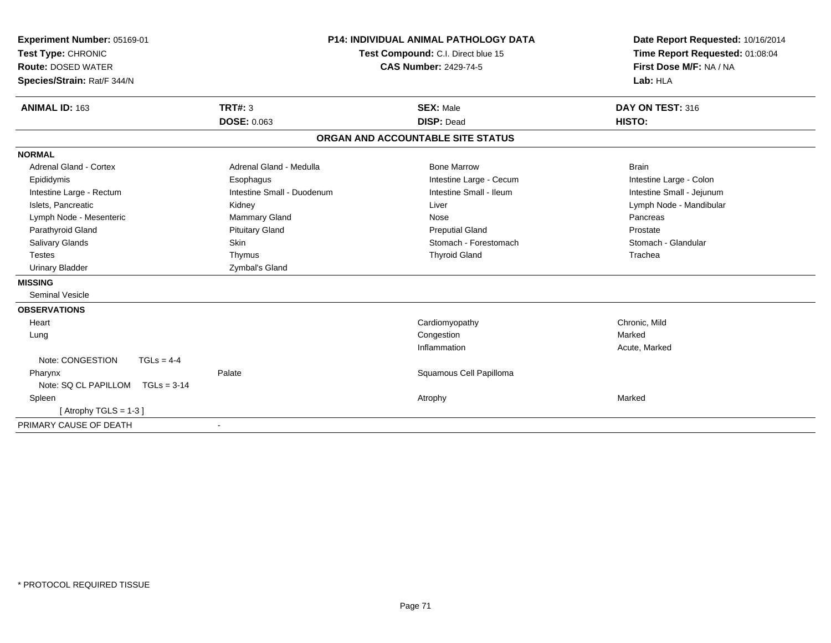| Experiment Number: 05169-01<br>Test Type: CHRONIC<br><b>Route: DOSED WATER</b><br>Species/Strain: Rat/F 344/N |                            | <b>P14: INDIVIDUAL ANIMAL PATHOLOGY DATA</b><br>Test Compound: C.I. Direct blue 15<br><b>CAS Number: 2429-74-5</b> | Date Report Requested: 10/16/2014<br>Time Report Requested: 01:08:04<br>First Dose M/F: NA / NA<br>Lab: HLA |
|---------------------------------------------------------------------------------------------------------------|----------------------------|--------------------------------------------------------------------------------------------------------------------|-------------------------------------------------------------------------------------------------------------|
| <b>ANIMAL ID: 163</b>                                                                                         | TRT#: 3                    | <b>SEX: Male</b>                                                                                                   | DAY ON TEST: 316                                                                                            |
|                                                                                                               | <b>DOSE: 0.063</b>         | <b>DISP: Dead</b>                                                                                                  | HISTO:                                                                                                      |
|                                                                                                               |                            | ORGAN AND ACCOUNTABLE SITE STATUS                                                                                  |                                                                                                             |
| <b>NORMAL</b>                                                                                                 |                            |                                                                                                                    |                                                                                                             |
| <b>Adrenal Gland - Cortex</b>                                                                                 | Adrenal Gland - Medulla    | <b>Bone Marrow</b>                                                                                                 | <b>Brain</b>                                                                                                |
| Epididymis                                                                                                    | Esophagus                  | Intestine Large - Cecum                                                                                            | Intestine Large - Colon                                                                                     |
| Intestine Large - Rectum                                                                                      | Intestine Small - Duodenum | Intestine Small - Ileum                                                                                            | Intestine Small - Jejunum                                                                                   |
| Islets. Pancreatic                                                                                            | Kidney                     | Liver                                                                                                              | Lymph Node - Mandibular                                                                                     |
| Lymph Node - Mesenteric                                                                                       | Mammary Gland              | Nose                                                                                                               | Pancreas                                                                                                    |
| Parathyroid Gland                                                                                             | <b>Pituitary Gland</b>     | <b>Preputial Gland</b>                                                                                             | Prostate                                                                                                    |
| <b>Salivary Glands</b>                                                                                        | <b>Skin</b>                | Stomach - Forestomach                                                                                              | Stomach - Glandular                                                                                         |
| <b>Testes</b>                                                                                                 | Thymus                     | <b>Thyroid Gland</b>                                                                                               | Trachea                                                                                                     |
| <b>Urinary Bladder</b>                                                                                        | Zymbal's Gland             |                                                                                                                    |                                                                                                             |
| <b>MISSING</b>                                                                                                |                            |                                                                                                                    |                                                                                                             |
| Seminal Vesicle                                                                                               |                            |                                                                                                                    |                                                                                                             |
| <b>OBSERVATIONS</b>                                                                                           |                            |                                                                                                                    |                                                                                                             |
| Heart                                                                                                         |                            | Cardiomyopathy                                                                                                     | Chronic, Mild                                                                                               |
| Lung                                                                                                          |                            | Congestion                                                                                                         | Marked                                                                                                      |
|                                                                                                               |                            | Inflammation                                                                                                       | Acute, Marked                                                                                               |
| Note: CONGESTION<br>$TGLs = 4-4$                                                                              |                            |                                                                                                                    |                                                                                                             |
| Pharynx                                                                                                       | Palate                     | Squamous Cell Papilloma                                                                                            |                                                                                                             |
| Note: SQ CL PAPILLOM<br>$TGLs = 3-14$                                                                         |                            |                                                                                                                    |                                                                                                             |
| Spleen                                                                                                        |                            | Atrophy                                                                                                            | Marked                                                                                                      |
| [Atrophy TGLS = $1-3$ ]                                                                                       |                            |                                                                                                                    |                                                                                                             |
| PRIMARY CAUSE OF DEATH                                                                                        |                            |                                                                                                                    |                                                                                                             |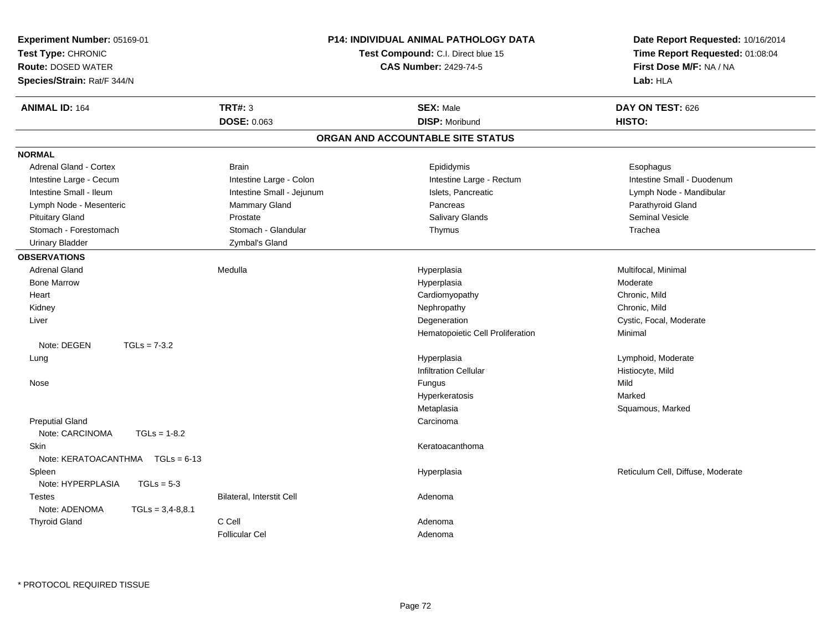| Experiment Number: 05169-01<br>Test Type: CHRONIC<br><b>Route: DOSED WATER</b><br>Species/Strain: Rat/F 344/N |                           | <b>P14: INDIVIDUAL ANIMAL PATHOLOGY DATA</b><br>Test Compound: C.I. Direct blue 15<br><b>CAS Number: 2429-74-5</b> | Date Report Requested: 10/16/2014<br>Time Report Requested: 01:08:04<br>First Dose M/F: NA / NA<br>Lab: HLA |  |
|---------------------------------------------------------------------------------------------------------------|---------------------------|--------------------------------------------------------------------------------------------------------------------|-------------------------------------------------------------------------------------------------------------|--|
| <b>ANIMAL ID: 164</b>                                                                                         | <b>TRT#: 3</b>            | <b>SEX: Male</b>                                                                                                   | DAY ON TEST: 626                                                                                            |  |
|                                                                                                               | DOSE: 0.063               | <b>DISP: Moribund</b>                                                                                              | HISTO:                                                                                                      |  |
|                                                                                                               |                           | ORGAN AND ACCOUNTABLE SITE STATUS                                                                                  |                                                                                                             |  |
| <b>NORMAL</b>                                                                                                 |                           |                                                                                                                    |                                                                                                             |  |
| <b>Adrenal Gland - Cortex</b>                                                                                 | <b>Brain</b>              | Epididymis                                                                                                         | Esophagus                                                                                                   |  |
| Intestine Large - Cecum                                                                                       | Intestine Large - Colon   | Intestine Large - Rectum                                                                                           | Intestine Small - Duodenum                                                                                  |  |
| Intestine Small - Ileum                                                                                       | Intestine Small - Jejunum | Islets, Pancreatic                                                                                                 | Lymph Node - Mandibular                                                                                     |  |
| Lymph Node - Mesenteric                                                                                       | <b>Mammary Gland</b>      | Pancreas                                                                                                           | Parathyroid Gland                                                                                           |  |
| <b>Pituitary Gland</b>                                                                                        | Prostate                  | Salivary Glands                                                                                                    | <b>Seminal Vesicle</b>                                                                                      |  |
| Stomach - Forestomach                                                                                         | Stomach - Glandular       | Thymus                                                                                                             | Trachea                                                                                                     |  |
| <b>Urinary Bladder</b>                                                                                        | Zymbal's Gland            |                                                                                                                    |                                                                                                             |  |
| <b>OBSERVATIONS</b>                                                                                           |                           |                                                                                                                    |                                                                                                             |  |
| <b>Adrenal Gland</b>                                                                                          | Medulla                   | Hyperplasia                                                                                                        | Multifocal, Minimal                                                                                         |  |
| <b>Bone Marrow</b>                                                                                            |                           | Hyperplasia                                                                                                        | Moderate                                                                                                    |  |
| Heart                                                                                                         |                           | Cardiomyopathy                                                                                                     | Chronic, Mild                                                                                               |  |
| Kidney                                                                                                        |                           | Nephropathy                                                                                                        | Chronic, Mild                                                                                               |  |
| Liver                                                                                                         |                           | Degeneration                                                                                                       | Cystic, Focal, Moderate                                                                                     |  |
|                                                                                                               |                           | Hematopoietic Cell Proliferation                                                                                   | Minimal                                                                                                     |  |
| Note: DEGEN<br>$TGLs = 7-3.2$                                                                                 |                           |                                                                                                                    |                                                                                                             |  |
| Lung                                                                                                          |                           | Hyperplasia                                                                                                        | Lymphoid, Moderate                                                                                          |  |
|                                                                                                               |                           | <b>Infiltration Cellular</b>                                                                                       | Histiocyte, Mild                                                                                            |  |
| Nose                                                                                                          |                           | Fungus                                                                                                             | Mild                                                                                                        |  |
|                                                                                                               |                           | Hyperkeratosis                                                                                                     | Marked                                                                                                      |  |
|                                                                                                               |                           | Metaplasia                                                                                                         | Squamous, Marked                                                                                            |  |
| <b>Preputial Gland</b>                                                                                        |                           | Carcinoma                                                                                                          |                                                                                                             |  |
| Note: CARCINOMA<br>$TGLs = 1-8.2$                                                                             |                           |                                                                                                                    |                                                                                                             |  |
| Skin                                                                                                          |                           | Keratoacanthoma                                                                                                    |                                                                                                             |  |
| Note: $KERATOACANTHMA \tTGLs = 6-13$                                                                          |                           |                                                                                                                    |                                                                                                             |  |
| Spleen<br>Note: HYPERPLASIA<br>$TGLs = 5-3$                                                                   |                           | Hyperplasia                                                                                                        | Reticulum Cell, Diffuse, Moderate                                                                           |  |
| <b>Testes</b>                                                                                                 | Bilateral, Interstit Cell | Adenoma                                                                                                            |                                                                                                             |  |
| Note: ADENOMA<br>$TGLs = 3,4-8,8.1$                                                                           |                           |                                                                                                                    |                                                                                                             |  |
| <b>Thyroid Gland</b>                                                                                          | C Cell                    | Adenoma                                                                                                            |                                                                                                             |  |
|                                                                                                               | <b>Follicular Cel</b>     | Adenoma                                                                                                            |                                                                                                             |  |
|                                                                                                               |                           |                                                                                                                    |                                                                                                             |  |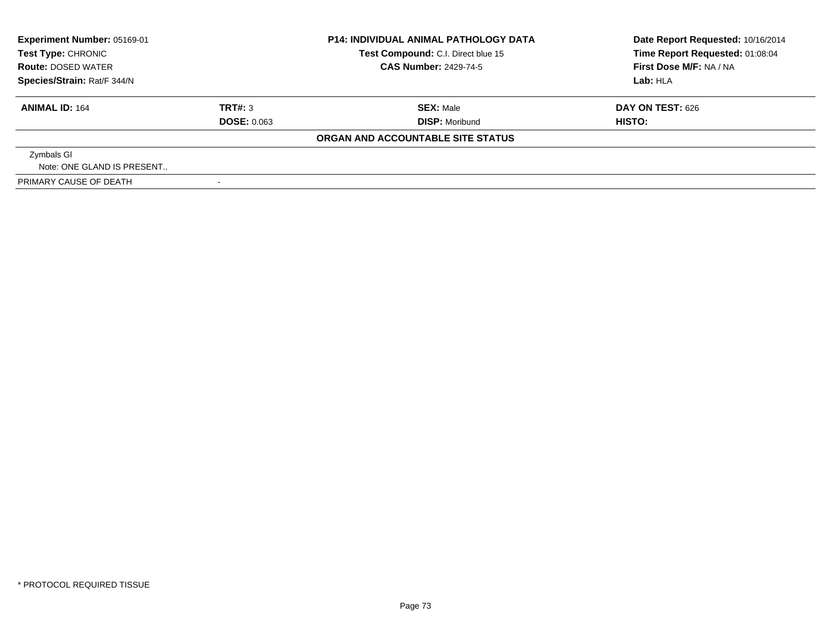| <b>Experiment Number: 05169-01</b><br>Test Type: CHRONIC<br><b>Route: DOSED WATER</b><br>Species/Strain: Rat/F 344/N |                          | <b>P14: INDIVIDUAL ANIMAL PATHOLOGY DATA</b><br>Test Compound: C.I. Direct blue 15 | Date Report Requested: 10/16/2014<br>Time Report Requested: 01:08:04 |
|----------------------------------------------------------------------------------------------------------------------|--------------------------|------------------------------------------------------------------------------------|----------------------------------------------------------------------|
|                                                                                                                      |                          | <b>CAS Number: 2429-74-5</b>                                                       | First Dose M/F: NA / NA                                              |
|                                                                                                                      |                          |                                                                                    | Lab: HLA                                                             |
| <b>ANIMAL ID: 164</b>                                                                                                | TRT#: 3                  | <b>SEX: Male</b>                                                                   | <b>DAY ON TEST: 626</b>                                              |
|                                                                                                                      | <b>DOSE: 0.063</b>       | <b>DISP: Moribund</b>                                                              | HISTO:                                                               |
|                                                                                                                      |                          | ORGAN AND ACCOUNTABLE SITE STATUS                                                  |                                                                      |
| Zymbals GI                                                                                                           |                          |                                                                                    |                                                                      |
| Note: ONE GLAND IS PRESENT                                                                                           |                          |                                                                                    |                                                                      |
| PRIMARY CAUSE OF DEATH                                                                                               | $\overline{\phantom{0}}$ |                                                                                    |                                                                      |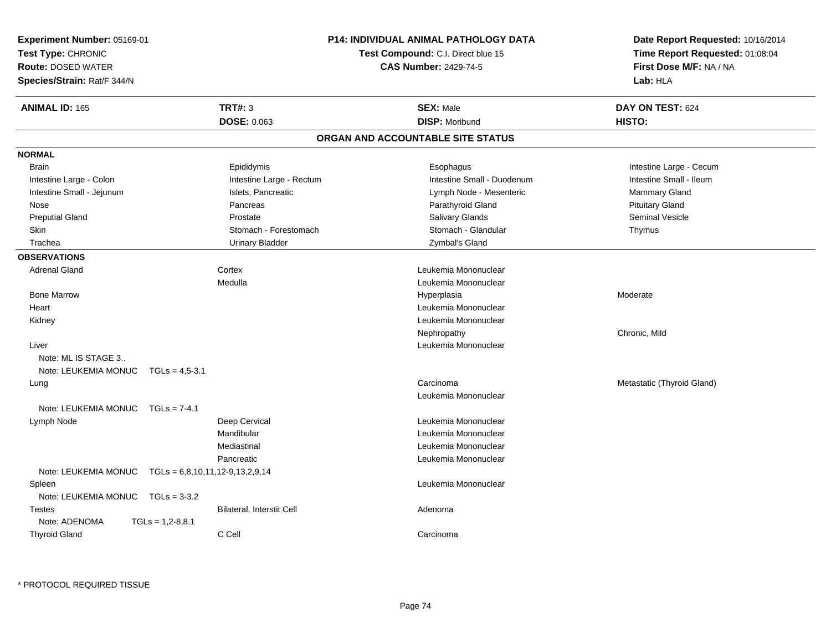| Experiment Number: 05169-01<br>Test Type: CHRONIC<br><b>Route: DOSED WATER</b><br>Species/Strain: Rat/F 344/N |                                   |                           | <b>P14: INDIVIDUAL ANIMAL PATHOLOGY DATA</b><br>Test Compound: C.I. Direct blue 15<br><b>CAS Number: 2429-74-5</b> | Date Report Requested: 10/16/2014<br>Time Report Requested: 01:08:04<br>First Dose M/F: NA / NA<br>Lab: HLA |
|---------------------------------------------------------------------------------------------------------------|-----------------------------------|---------------------------|--------------------------------------------------------------------------------------------------------------------|-------------------------------------------------------------------------------------------------------------|
| <b>ANIMAL ID: 165</b>                                                                                         |                                   | <b>TRT#: 3</b>            | <b>SEX: Male</b>                                                                                                   | DAY ON TEST: 624                                                                                            |
|                                                                                                               |                                   | DOSE: 0.063               | <b>DISP: Moribund</b>                                                                                              | HISTO:                                                                                                      |
|                                                                                                               |                                   |                           | ORGAN AND ACCOUNTABLE SITE STATUS                                                                                  |                                                                                                             |
| <b>NORMAL</b>                                                                                                 |                                   |                           |                                                                                                                    |                                                                                                             |
| <b>Brain</b>                                                                                                  |                                   | Epididymis                | Esophagus                                                                                                          | Intestine Large - Cecum                                                                                     |
| Intestine Large - Colon                                                                                       |                                   | Intestine Large - Rectum  | Intestine Small - Duodenum                                                                                         | Intestine Small - Ileum                                                                                     |
| Intestine Small - Jejunum                                                                                     |                                   | Islets, Pancreatic        | Lymph Node - Mesenteric                                                                                            | <b>Mammary Gland</b>                                                                                        |
| Nose                                                                                                          |                                   | Pancreas                  | Parathyroid Gland                                                                                                  | <b>Pituitary Gland</b>                                                                                      |
| <b>Preputial Gland</b>                                                                                        |                                   | Prostate                  | <b>Salivary Glands</b>                                                                                             | <b>Seminal Vesicle</b>                                                                                      |
| Skin                                                                                                          |                                   | Stomach - Forestomach     | Stomach - Glandular                                                                                                | Thymus                                                                                                      |
| Trachea                                                                                                       |                                   | <b>Urinary Bladder</b>    | Zymbal's Gland                                                                                                     |                                                                                                             |
| <b>OBSERVATIONS</b>                                                                                           |                                   |                           |                                                                                                                    |                                                                                                             |
| <b>Adrenal Gland</b>                                                                                          |                                   | Cortex                    | Leukemia Mononuclear                                                                                               |                                                                                                             |
|                                                                                                               |                                   | Medulla                   | Leukemia Mononuclear                                                                                               |                                                                                                             |
| <b>Bone Marrow</b>                                                                                            |                                   |                           | Hyperplasia                                                                                                        | Moderate                                                                                                    |
| Heart                                                                                                         |                                   |                           | Leukemia Mononuclear                                                                                               |                                                                                                             |
| Kidney                                                                                                        |                                   |                           | Leukemia Mononuclear                                                                                               |                                                                                                             |
|                                                                                                               |                                   |                           | Nephropathy                                                                                                        | Chronic, Mild                                                                                               |
| Liver                                                                                                         |                                   |                           | Leukemia Mononuclear                                                                                               |                                                                                                             |
| Note: ML IS STAGE 3                                                                                           |                                   |                           |                                                                                                                    |                                                                                                             |
| Note: LEUKEMIA MONUC                                                                                          | $TGLs = 4.5 - 3.1$                |                           |                                                                                                                    |                                                                                                             |
| Lung                                                                                                          |                                   |                           | Carcinoma                                                                                                          | Metastatic (Thyroid Gland)                                                                                  |
|                                                                                                               |                                   |                           | Leukemia Mononuclear                                                                                               |                                                                                                             |
| Note: LEUKEMIA MONUC                                                                                          | $TGLs = 7-4.1$                    |                           |                                                                                                                    |                                                                                                             |
| Lymph Node                                                                                                    |                                   | Deep Cervical             | Leukemia Mononuclear                                                                                               |                                                                                                             |
|                                                                                                               |                                   | Mandibular                | Leukemia Mononuclear                                                                                               |                                                                                                             |
|                                                                                                               |                                   | Mediastinal               | Leukemia Mononuclear                                                                                               |                                                                                                             |
|                                                                                                               |                                   | Pancreatic                | Leukemia Mononuclear                                                                                               |                                                                                                             |
| Note: LEUKEMIA MONUC                                                                                          | $TGLs = 6,8,10,11,12-9,13,2,9,14$ |                           |                                                                                                                    |                                                                                                             |
| Spleen                                                                                                        |                                   |                           | Leukemia Mononuclear                                                                                               |                                                                                                             |
| Note: LEUKEMIA MONUC                                                                                          | $TGLs = 3-3.2$                    |                           |                                                                                                                    |                                                                                                             |
| Testes                                                                                                        |                                   | Bilateral, Interstit Cell | Adenoma                                                                                                            |                                                                                                             |
| Note: ADENOMA                                                                                                 | $TGLs = 1,2-8,8.1$                |                           |                                                                                                                    |                                                                                                             |
| <b>Thyroid Gland</b>                                                                                          |                                   | C Cell                    | Carcinoma                                                                                                          |                                                                                                             |
|                                                                                                               |                                   |                           |                                                                                                                    |                                                                                                             |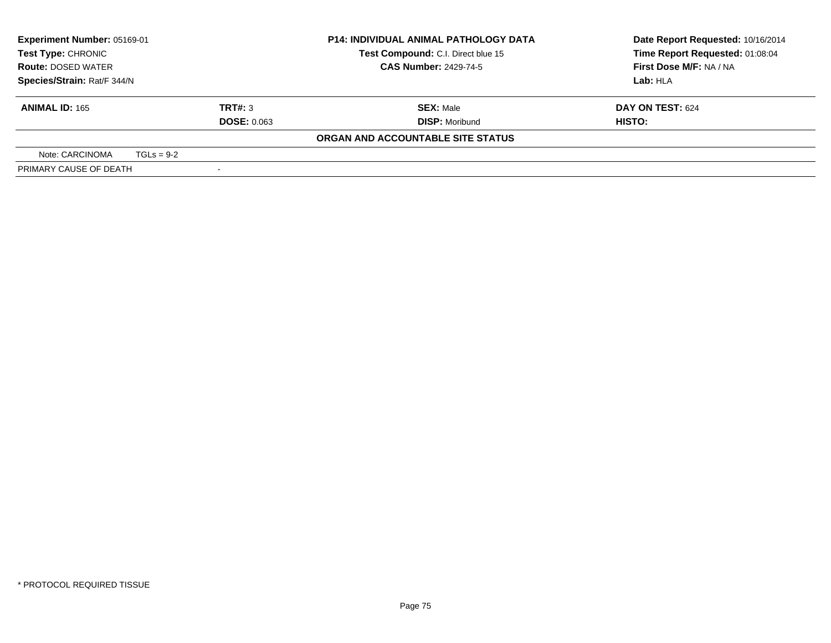| Experiment Number: 05169-01 |                                    | <b>P14: INDIVIDUAL ANIMAL PATHOLOGY DATA</b> |                                                         | Date Report Requested: 10/16/2014 |
|-----------------------------|------------------------------------|----------------------------------------------|---------------------------------------------------------|-----------------------------------|
| <b>Test Type: CHRONIC</b>   | Test Compound: C.I. Direct blue 15 |                                              |                                                         | Time Report Requested: 01:08:04   |
| <b>Route: DOSED WATER</b>   |                                    |                                              | <b>CAS Number: 2429-74-5</b><br>First Dose M/F: NA / NA |                                   |
| Species/Strain: Rat/F 344/N |                                    |                                              |                                                         | Lab: HLA                          |
| <b>ANIMAL ID: 165</b>       |                                    | TRT#: 3                                      | <b>SEX: Male</b>                                        | DAY ON TEST: 624                  |
|                             |                                    | <b>DOSE: 0.063</b>                           | <b>DISP: Moribund</b>                                   | HISTO:                            |
|                             |                                    |                                              | ORGAN AND ACCOUNTABLE SITE STATUS                       |                                   |
| Note: CARCINOMA             | $TGLs = 9-2$                       |                                              |                                                         |                                   |
| PRIMARY CAUSE OF DEATH      |                                    |                                              |                                                         |                                   |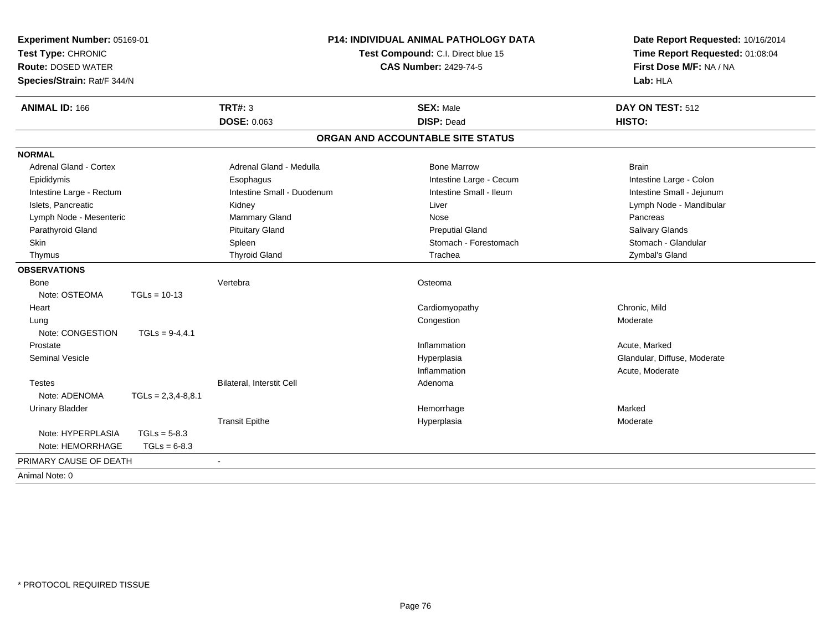| Experiment Number: 05169-01<br>Test Type: CHRONIC<br><b>Route: DOSED WATER</b><br>Species/Strain: Rat/F 344/N |                      | <b>P14: INDIVIDUAL ANIMAL PATHOLOGY DATA</b><br>Test Compound: C.I. Direct blue 15<br><b>CAS Number: 2429-74-5</b> |                                   | Date Report Requested: 10/16/2014<br>Time Report Requested: 01:08:04<br>First Dose M/F: NA / NA<br>Lab: HLA |  |
|---------------------------------------------------------------------------------------------------------------|----------------------|--------------------------------------------------------------------------------------------------------------------|-----------------------------------|-------------------------------------------------------------------------------------------------------------|--|
| <b>ANIMAL ID: 166</b>                                                                                         |                      | <b>TRT#: 3</b>                                                                                                     | <b>SEX: Male</b>                  | DAY ON TEST: 512                                                                                            |  |
|                                                                                                               |                      | <b>DOSE: 0.063</b>                                                                                                 | <b>DISP: Dead</b>                 | HISTO:                                                                                                      |  |
|                                                                                                               |                      |                                                                                                                    | ORGAN AND ACCOUNTABLE SITE STATUS |                                                                                                             |  |
| <b>NORMAL</b>                                                                                                 |                      |                                                                                                                    |                                   |                                                                                                             |  |
| Adrenal Gland - Cortex                                                                                        |                      | Adrenal Gland - Medulla                                                                                            | <b>Bone Marrow</b>                | <b>Brain</b>                                                                                                |  |
| Epididymis                                                                                                    |                      | Esophagus                                                                                                          | Intestine Large - Cecum           | Intestine Large - Colon                                                                                     |  |
| Intestine Large - Rectum                                                                                      |                      | Intestine Small - Duodenum                                                                                         | Intestine Small - Ileum           | Intestine Small - Jejunum                                                                                   |  |
| Islets, Pancreatic                                                                                            |                      | Kidney                                                                                                             | Liver                             | Lymph Node - Mandibular                                                                                     |  |
| Lymph Node - Mesenteric                                                                                       |                      | Mammary Gland                                                                                                      | Nose                              | Pancreas                                                                                                    |  |
| Parathyroid Gland                                                                                             |                      | <b>Pituitary Gland</b>                                                                                             | <b>Preputial Gland</b>            | Salivary Glands                                                                                             |  |
| Skin                                                                                                          |                      | Spleen                                                                                                             | Stomach - Forestomach             | Stomach - Glandular                                                                                         |  |
| Thymus                                                                                                        |                      | <b>Thyroid Gland</b>                                                                                               | Trachea                           | Zymbal's Gland                                                                                              |  |
| <b>OBSERVATIONS</b>                                                                                           |                      |                                                                                                                    |                                   |                                                                                                             |  |
| Bone                                                                                                          |                      | Vertebra                                                                                                           | Osteoma                           |                                                                                                             |  |
| Note: OSTEOMA                                                                                                 | $TGLs = 10-13$       |                                                                                                                    |                                   |                                                                                                             |  |
| Heart                                                                                                         |                      |                                                                                                                    | Cardiomyopathy                    | Chronic, Mild                                                                                               |  |
| Lung                                                                                                          |                      |                                                                                                                    | Congestion                        | Moderate                                                                                                    |  |
| Note: CONGESTION                                                                                              | $TGLs = 9-4,4.1$     |                                                                                                                    |                                   |                                                                                                             |  |
| Prostate                                                                                                      |                      |                                                                                                                    | Inflammation                      | Acute, Marked                                                                                               |  |
| <b>Seminal Vesicle</b>                                                                                        |                      |                                                                                                                    | Hyperplasia                       | Glandular, Diffuse, Moderate                                                                                |  |
|                                                                                                               |                      |                                                                                                                    | Inflammation                      | Acute, Moderate                                                                                             |  |
| <b>Testes</b>                                                                                                 |                      | <b>Bilateral, Interstit Cell</b>                                                                                   | Adenoma                           |                                                                                                             |  |
| Note: ADENOMA                                                                                                 | $TGLs = 2,3,4-8,8.1$ |                                                                                                                    |                                   |                                                                                                             |  |
| <b>Urinary Bladder</b>                                                                                        |                      |                                                                                                                    | Hemorrhage                        | Marked                                                                                                      |  |
|                                                                                                               |                      | <b>Transit Epithe</b>                                                                                              | Hyperplasia                       | Moderate                                                                                                    |  |
| Note: HYPERPLASIA                                                                                             | $TGLs = 5-8.3$       |                                                                                                                    |                                   |                                                                                                             |  |
| Note: HEMORRHAGE                                                                                              | $TGLs = 6-8.3$       |                                                                                                                    |                                   |                                                                                                             |  |
| PRIMARY CAUSE OF DEATH                                                                                        |                      |                                                                                                                    |                                   |                                                                                                             |  |
| Animal Note: 0                                                                                                |                      |                                                                                                                    |                                   |                                                                                                             |  |
|                                                                                                               |                      |                                                                                                                    |                                   |                                                                                                             |  |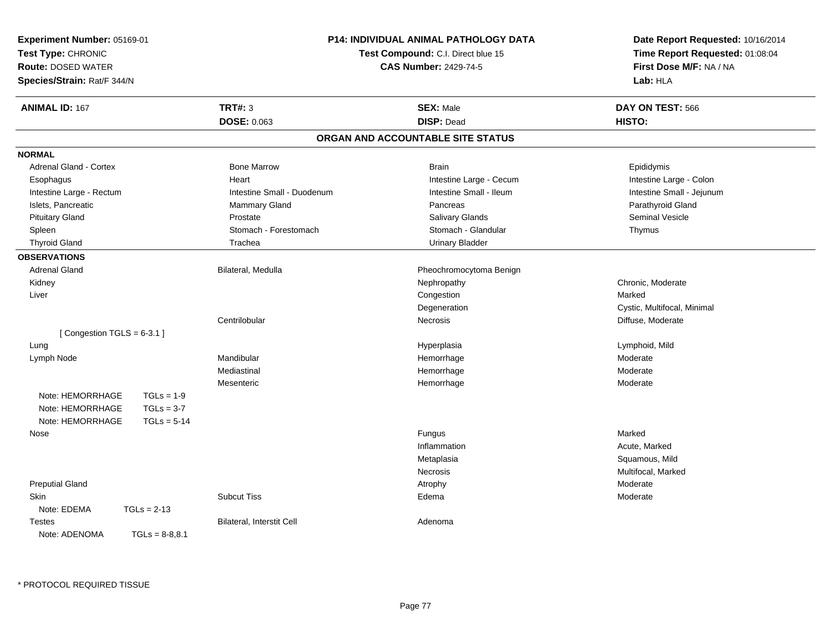| Experiment Number: 05169-01<br>Test Type: CHRONIC<br>Route: DOSED WATER<br>Species/Strain: Rat/F 344/N |                            | P14: INDIVIDUAL ANIMAL PATHOLOGY DATA<br>Test Compound: C.I. Direct blue 15<br><b>CAS Number: 2429-74-5</b> | Date Report Requested: 10/16/2014<br>Time Report Requested: 01:08:04<br>First Dose M/F: NA / NA<br>Lab: HLA |
|--------------------------------------------------------------------------------------------------------|----------------------------|-------------------------------------------------------------------------------------------------------------|-------------------------------------------------------------------------------------------------------------|
| <b>ANIMAL ID: 167</b>                                                                                  | <b>TRT#: 3</b>             | <b>SEX: Male</b>                                                                                            | DAY ON TEST: 566                                                                                            |
|                                                                                                        | DOSE: 0.063                | <b>DISP: Dead</b>                                                                                           | HISTO:                                                                                                      |
|                                                                                                        |                            | ORGAN AND ACCOUNTABLE SITE STATUS                                                                           |                                                                                                             |
| <b>NORMAL</b>                                                                                          |                            |                                                                                                             |                                                                                                             |
| Adrenal Gland - Cortex                                                                                 | <b>Bone Marrow</b>         | <b>Brain</b>                                                                                                | Epididymis                                                                                                  |
| Esophagus                                                                                              | Heart                      | Intestine Large - Cecum                                                                                     | Intestine Large - Colon                                                                                     |
| Intestine Large - Rectum                                                                               | Intestine Small - Duodenum | Intestine Small - Ileum                                                                                     | Intestine Small - Jejunum                                                                                   |
| Islets, Pancreatic                                                                                     | <b>Mammary Gland</b>       | Pancreas                                                                                                    | Parathyroid Gland                                                                                           |
| <b>Pituitary Gland</b>                                                                                 | Prostate                   | Salivary Glands                                                                                             | <b>Seminal Vesicle</b>                                                                                      |
| Spleen                                                                                                 | Stomach - Forestomach      | Stomach - Glandular                                                                                         | Thymus                                                                                                      |
| <b>Thyroid Gland</b>                                                                                   | Trachea                    | <b>Urinary Bladder</b>                                                                                      |                                                                                                             |
| <b>OBSERVATIONS</b>                                                                                    |                            |                                                                                                             |                                                                                                             |
| <b>Adrenal Gland</b>                                                                                   | Bilateral, Medulla         | Pheochromocytoma Benign                                                                                     |                                                                                                             |
| Kidney                                                                                                 |                            | Nephropathy                                                                                                 | Chronic, Moderate                                                                                           |
| Liver                                                                                                  |                            | Congestion                                                                                                  | Marked                                                                                                      |
|                                                                                                        |                            | Degeneration                                                                                                | Cystic, Multifocal, Minimal                                                                                 |
|                                                                                                        | Centrilobular              | <b>Necrosis</b>                                                                                             | Diffuse, Moderate                                                                                           |
| [Congestion TGLS = $6-3.1$ ]                                                                           |                            |                                                                                                             |                                                                                                             |
| Lung                                                                                                   |                            | Hyperplasia                                                                                                 | Lymphoid, Mild                                                                                              |
| Lymph Node                                                                                             | Mandibular                 | Hemorrhage                                                                                                  | Moderate                                                                                                    |
|                                                                                                        | Mediastinal                | Hemorrhage                                                                                                  | Moderate                                                                                                    |
|                                                                                                        | Mesenteric                 | Hemorrhage                                                                                                  | Moderate                                                                                                    |
| Note: HEMORRHAGE<br>$TGLs = 1-9$                                                                       |                            |                                                                                                             |                                                                                                             |
| Note: HEMORRHAGE<br>$TGLs = 3-7$                                                                       |                            |                                                                                                             |                                                                                                             |
| Note: HEMORRHAGE<br>$TGLs = 5-14$                                                                      |                            |                                                                                                             |                                                                                                             |
| Nose                                                                                                   |                            | <b>Fungus</b>                                                                                               | Marked                                                                                                      |
|                                                                                                        |                            | Inflammation                                                                                                | Acute, Marked                                                                                               |
|                                                                                                        |                            | Metaplasia                                                                                                  | Squamous, Mild                                                                                              |
|                                                                                                        |                            | Necrosis                                                                                                    | Multifocal, Marked                                                                                          |
| <b>Preputial Gland</b>                                                                                 |                            | Atrophy                                                                                                     | Moderate                                                                                                    |
| Skin                                                                                                   | <b>Subcut Tiss</b>         | Edema                                                                                                       | Moderate                                                                                                    |
| Note: EDEMA<br>$TGLs = 2-13$                                                                           |                            |                                                                                                             |                                                                                                             |
| <b>Testes</b>                                                                                          | Bilateral, Interstit Cell  | Adenoma                                                                                                     |                                                                                                             |
| Note: ADENOMA<br>$TGLs = 8-8,8.1$                                                                      |                            |                                                                                                             |                                                                                                             |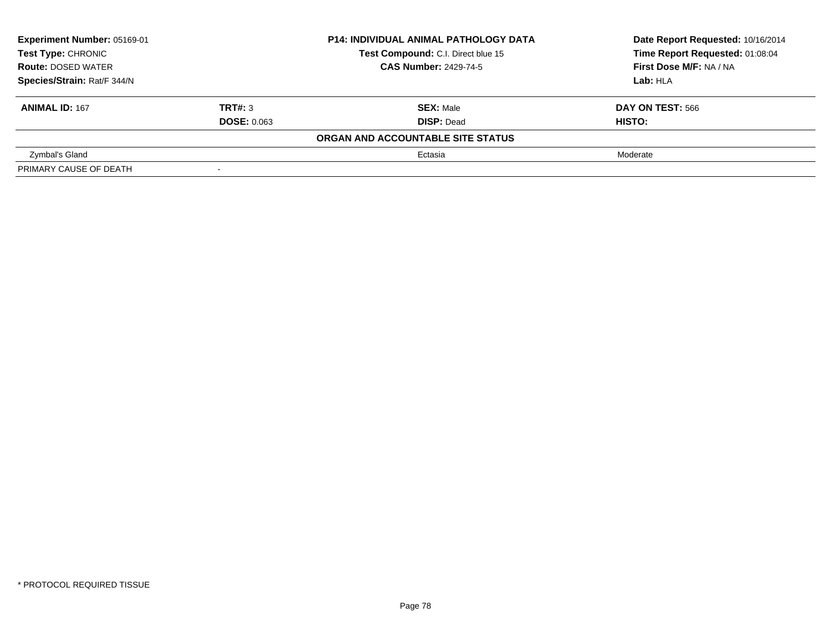| Experiment Number: 05169-01<br>Test Type: CHRONIC |                    | <b>P14: INDIVIDUAL ANIMAL PATHOLOGY DATA</b> | Date Report Requested: 10/16/2014 |  |
|---------------------------------------------------|--------------------|----------------------------------------------|-----------------------------------|--|
|                                                   |                    | Test Compound: C.I. Direct blue 15           | Time Report Requested: 01:08:04   |  |
| <b>Route: DOSED WATER</b>                         |                    | <b>CAS Number: 2429-74-5</b>                 | First Dose M/F: NA / NA           |  |
| Species/Strain: Rat/F 344/N                       |                    |                                              | Lab: HLA                          |  |
| <b>ANIMAL ID: 167</b>                             | TRT#: 3            | <b>SEX: Male</b>                             | DAY ON TEST: 566                  |  |
|                                                   | <b>DOSE: 0.063</b> | <b>DISP: Dead</b>                            | HISTO:                            |  |
|                                                   |                    | ORGAN AND ACCOUNTABLE SITE STATUS            |                                   |  |
| Zymbal's Gland                                    |                    | Ectasia                                      | Moderate                          |  |
| PRIMARY CAUSE OF DEATH                            | $\sim$             |                                              |                                   |  |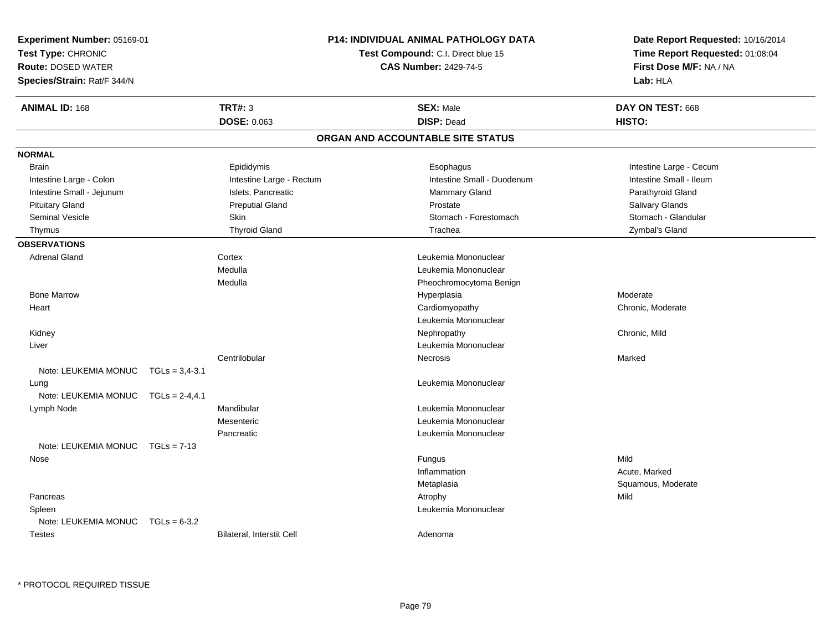| <b>Experiment Number: 05169-01</b> |                   |                                    |  | P14: INDIVIDUAL ANIMAL PATHOLOGY DATA |  |                                 |  |
|------------------------------------|-------------------|------------------------------------|--|---------------------------------------|--|---------------------------------|--|
| Test Type: CHRONIC                 |                   | Test Compound: C.I. Direct blue 15 |  |                                       |  | Time Report Requested: 01:08:04 |  |
| <b>Route: DOSED WATER</b>          |                   |                                    |  | <b>CAS Number: 2429-74-5</b>          |  | First Dose M/F: NA / NA         |  |
| Species/Strain: Rat/F 344/N        |                   |                                    |  |                                       |  | Lab: HLA                        |  |
| <b>ANIMAL ID: 168</b>              |                   | TRT#: 3                            |  | <b>SEX: Male</b>                      |  | DAY ON TEST: 668                |  |
|                                    |                   | DOSE: 0.063                        |  | <b>DISP: Dead</b>                     |  | HISTO:                          |  |
|                                    |                   |                                    |  | ORGAN AND ACCOUNTABLE SITE STATUS     |  |                                 |  |
| <b>NORMAL</b>                      |                   |                                    |  |                                       |  |                                 |  |
| <b>Brain</b>                       |                   | Epididymis                         |  | Esophagus                             |  | Intestine Large - Cecum         |  |
| Intestine Large - Colon            |                   | Intestine Large - Rectum           |  | Intestine Small - Duodenum            |  | Intestine Small - Ileum         |  |
| Intestine Small - Jejunum          |                   | Islets, Pancreatic                 |  | <b>Mammary Gland</b>                  |  | Parathyroid Gland               |  |
| <b>Pituitary Gland</b>             |                   | <b>Preputial Gland</b>             |  | Prostate                              |  | Salivary Glands                 |  |
| <b>Seminal Vesicle</b>             |                   | <b>Skin</b>                        |  | Stomach - Forestomach                 |  | Stomach - Glandular             |  |
| Thymus                             |                   | <b>Thyroid Gland</b>               |  | Trachea                               |  | Zymbal's Gland                  |  |
| <b>OBSERVATIONS</b>                |                   |                                    |  |                                       |  |                                 |  |
| Adrenal Gland                      |                   | Cortex                             |  | Leukemia Mononuclear                  |  |                                 |  |
|                                    |                   | Medulla                            |  | Leukemia Mononuclear                  |  |                                 |  |
|                                    |                   | Medulla                            |  | Pheochromocytoma Benign               |  |                                 |  |
| <b>Bone Marrow</b>                 |                   |                                    |  | Hyperplasia                           |  | Moderate                        |  |
| Heart                              |                   |                                    |  | Cardiomyopathy                        |  | Chronic, Moderate               |  |
|                                    |                   |                                    |  | Leukemia Mononuclear                  |  |                                 |  |
| Kidney                             |                   |                                    |  | Nephropathy                           |  | Chronic, Mild                   |  |
| Liver                              |                   |                                    |  | Leukemia Mononuclear                  |  |                                 |  |
|                                    |                   | Centrilobular                      |  | Necrosis                              |  | Marked                          |  |
| Note: LEUKEMIA MONUC               | $TGLs = 3,4-3.1$  |                                    |  |                                       |  |                                 |  |
| Lung                               |                   |                                    |  | Leukemia Mononuclear                  |  |                                 |  |
| Note: LEUKEMIA MONUC               | $TGLS = 2-4, 4.1$ |                                    |  |                                       |  |                                 |  |
| Lymph Node                         |                   | Mandibular                         |  | Leukemia Mononuclear                  |  |                                 |  |
|                                    |                   | Mesenteric                         |  | Leukemia Mononuclear                  |  |                                 |  |
|                                    |                   | Pancreatic                         |  | Leukemia Mononuclear                  |  |                                 |  |
| Note: LEUKEMIA MONUC               | $TGLs = 7-13$     |                                    |  |                                       |  |                                 |  |
| Nose                               |                   |                                    |  | Fungus                                |  | Mild                            |  |
|                                    |                   |                                    |  | Inflammation                          |  | Acute, Marked                   |  |
|                                    |                   |                                    |  | Metaplasia                            |  | Squamous, Moderate              |  |
| Pancreas                           |                   |                                    |  | Atrophy                               |  | Mild                            |  |
| Spleen                             |                   |                                    |  | Leukemia Mononuclear                  |  |                                 |  |
| Note: LEUKEMIA MONUC               | $TGLs = 6-3.2$    |                                    |  |                                       |  |                                 |  |
| Testes                             |                   | Bilateral, Interstit Cell          |  | Adenoma                               |  |                                 |  |
|                                    |                   |                                    |  |                                       |  |                                 |  |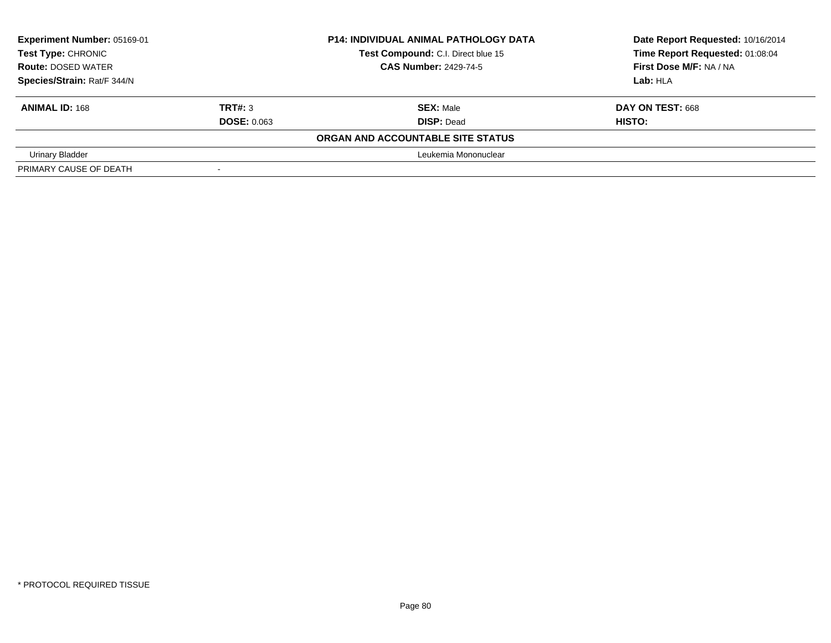| Experiment Number: 05169-01 |                          | <b>P14: INDIVIDUAL ANIMAL PATHOLOGY DATA</b> | Date Report Requested: 10/16/2014 |  |
|-----------------------------|--------------------------|----------------------------------------------|-----------------------------------|--|
| Test Type: CHRONIC          |                          | Test Compound: C.I. Direct blue 15           | Time Report Requested: 01:08:04   |  |
| <b>Route: DOSED WATER</b>   |                          | <b>CAS Number: 2429-74-5</b>                 | First Dose M/F: NA / NA           |  |
| Species/Strain: Rat/F 344/N |                          |                                              | Lab: HLA                          |  |
| <b>ANIMAL ID: 168</b>       | TRT#: 3                  | <b>SEX: Male</b>                             | <b>DAY ON TEST: 668</b>           |  |
|                             | <b>DOSE: 0.063</b>       | <b>DISP: Dead</b>                            | HISTO:                            |  |
|                             |                          | ORGAN AND ACCOUNTABLE SITE STATUS            |                                   |  |
| Urinary Bladder             |                          | Leukemia Mononuclear                         |                                   |  |
| PRIMARY CAUSE OF DEATH      | $\overline{\phantom{a}}$ |                                              |                                   |  |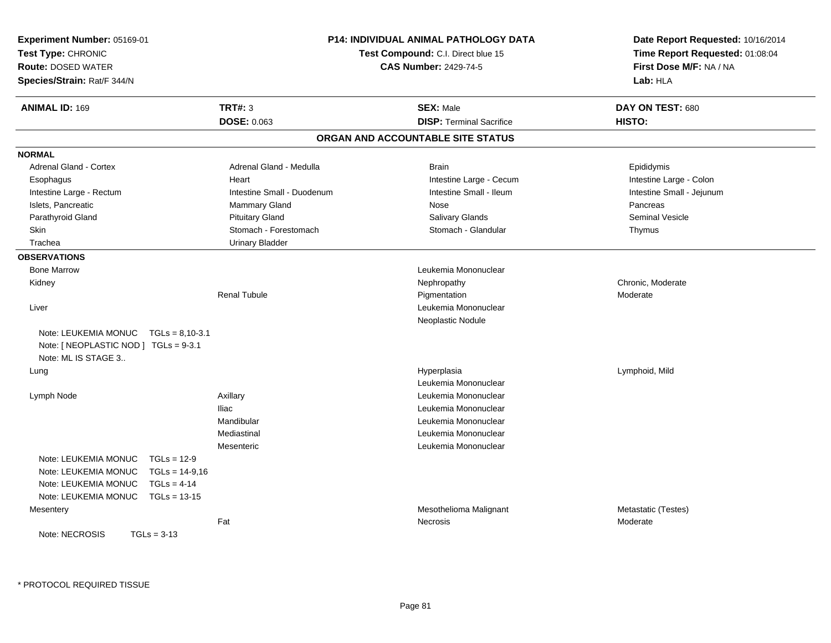| Experiment Number: 05169-01<br>Test Type: CHRONIC<br><b>Route: DOSED WATER</b><br>Species/Strain: Rat/F 344/N                                                                     |                               | <b>P14: INDIVIDUAL ANIMAL PATHOLOGY DATA</b><br>Test Compound: C.I. Direct blue 15<br><b>CAS Number: 2429-74-5</b> | Date Report Requested: 10/16/2014<br>Time Report Requested: 01:08:04<br>First Dose M/F: NA / NA<br>Lab: HLA |
|-----------------------------------------------------------------------------------------------------------------------------------------------------------------------------------|-------------------------------|--------------------------------------------------------------------------------------------------------------------|-------------------------------------------------------------------------------------------------------------|
| <b>ANIMAL ID: 169</b>                                                                                                                                                             | <b>TRT#: 3</b><br>DOSE: 0.063 | <b>SEX: Male</b><br><b>DISP: Terminal Sacrifice</b>                                                                | DAY ON TEST: 680<br>HISTO:                                                                                  |
|                                                                                                                                                                                   |                               | ORGAN AND ACCOUNTABLE SITE STATUS                                                                                  |                                                                                                             |
| <b>NORMAL</b>                                                                                                                                                                     |                               |                                                                                                                    |                                                                                                             |
| <b>Adrenal Gland - Cortex</b>                                                                                                                                                     | Adrenal Gland - Medulla       | <b>Brain</b>                                                                                                       | Epididymis                                                                                                  |
| Esophagus                                                                                                                                                                         | Heart                         | Intestine Large - Cecum                                                                                            | Intestine Large - Colon                                                                                     |
| Intestine Large - Rectum                                                                                                                                                          | Intestine Small - Duodenum    | Intestine Small - Ileum                                                                                            | Intestine Small - Jejunum                                                                                   |
| Islets, Pancreatic                                                                                                                                                                | Mammary Gland                 | Nose                                                                                                               | Pancreas                                                                                                    |
| Parathyroid Gland                                                                                                                                                                 | <b>Pituitary Gland</b>        | Salivary Glands                                                                                                    | <b>Seminal Vesicle</b>                                                                                      |
| Skin                                                                                                                                                                              | Stomach - Forestomach         | Stomach - Glandular                                                                                                | Thymus                                                                                                      |
| Trachea                                                                                                                                                                           | <b>Urinary Bladder</b>        |                                                                                                                    |                                                                                                             |
| <b>OBSERVATIONS</b>                                                                                                                                                               |                               |                                                                                                                    |                                                                                                             |
| <b>Bone Marrow</b>                                                                                                                                                                |                               | Leukemia Mononuclear                                                                                               |                                                                                                             |
| Kidney                                                                                                                                                                            |                               | Nephropathy                                                                                                        | Chronic, Moderate                                                                                           |
|                                                                                                                                                                                   | <b>Renal Tubule</b>           | Pigmentation                                                                                                       | Moderate                                                                                                    |
| Liver                                                                                                                                                                             |                               | Leukemia Mononuclear                                                                                               |                                                                                                             |
|                                                                                                                                                                                   |                               | Neoplastic Nodule                                                                                                  |                                                                                                             |
| Note: LEUKEMIA MONUC<br>$TGLs = 8.10 - 3.1$<br>Note: [ NEOPLASTIC NOD ] TGLs = 9-3.1<br>Note: ML IS STAGE 3                                                                       |                               |                                                                                                                    |                                                                                                             |
| Lung                                                                                                                                                                              |                               | Hyperplasia                                                                                                        | Lymphoid, Mild                                                                                              |
|                                                                                                                                                                                   |                               | Leukemia Mononuclear                                                                                               |                                                                                                             |
| Lymph Node                                                                                                                                                                        | Axillary                      | Leukemia Mononuclear                                                                                               |                                                                                                             |
|                                                                                                                                                                                   | <b>Iliac</b>                  | Leukemia Mononuclear                                                                                               |                                                                                                             |
|                                                                                                                                                                                   | Mandibular                    | Leukemia Mononuclear                                                                                               |                                                                                                             |
|                                                                                                                                                                                   | Mediastinal                   | Leukemia Mononuclear                                                                                               |                                                                                                             |
|                                                                                                                                                                                   | Mesenteric                    | Leukemia Mononuclear                                                                                               |                                                                                                             |
| Note: LEUKEMIA MONUC<br>$TGLs = 12-9$<br>Note: LEUKEMIA MONUC<br>$TGLs = 14-9.16$<br>Note: LEUKEMIA MONUC<br>$TGLs = 4-14$<br>Note: LEUKEMIA MONUC<br>$TGLs = 13-15$<br>Mesentery |                               | Mesothelioma Malignant                                                                                             | Metastatic (Testes)                                                                                         |
|                                                                                                                                                                                   | Fat                           | <b>Necrosis</b>                                                                                                    | Moderate                                                                                                    |
| Note: NECROSIS<br>$TGLs = 3-13$                                                                                                                                                   |                               |                                                                                                                    |                                                                                                             |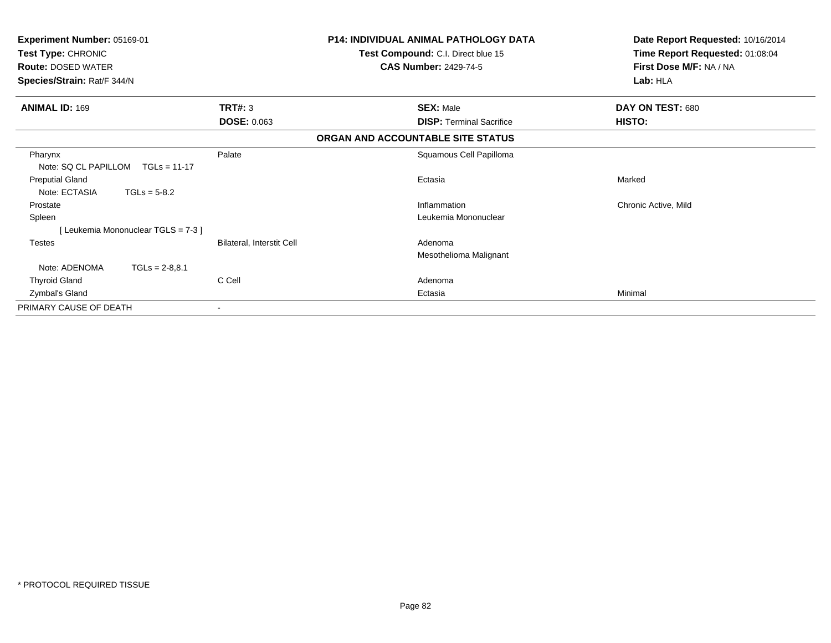| Experiment Number: 05169-01<br>Test Type: CHRONIC<br><b>Route: DOSED WATER</b><br>Species/Strain: Rat/F 344/N |                           | <b>P14: INDIVIDUAL ANIMAL PATHOLOGY DATA</b><br>Test Compound: C.I. Direct blue 15<br><b>CAS Number: 2429-74-5</b> | Date Report Requested: 10/16/2014<br>Time Report Requested: 01:08:04<br>First Dose M/F: NA / NA<br>Lab: HLA |
|---------------------------------------------------------------------------------------------------------------|---------------------------|--------------------------------------------------------------------------------------------------------------------|-------------------------------------------------------------------------------------------------------------|
| <b>ANIMAL ID: 169</b>                                                                                         | TRT#: 3                   | <b>SEX: Male</b>                                                                                                   | DAY ON TEST: 680                                                                                            |
|                                                                                                               | <b>DOSE: 0.063</b>        | <b>DISP:</b> Terminal Sacrifice                                                                                    | HISTO:                                                                                                      |
|                                                                                                               |                           | ORGAN AND ACCOUNTABLE SITE STATUS                                                                                  |                                                                                                             |
| Pharynx<br>Note: SQ CL PAPILLOM<br>$TGLs = 11-17$                                                             | Palate                    | Squamous Cell Papilloma                                                                                            |                                                                                                             |
| <b>Preputial Gland</b><br>Note: ECTASIA<br>$TGLs = 5-8.2$                                                     |                           | Ectasia                                                                                                            | Marked                                                                                                      |
| Prostate                                                                                                      |                           | Inflammation                                                                                                       | Chronic Active, Mild                                                                                        |
| Spleen                                                                                                        |                           | Leukemia Mononuclear                                                                                               |                                                                                                             |
| [Leukemia Mononuclear TGLS = 7-3]                                                                             |                           |                                                                                                                    |                                                                                                             |
| <b>Testes</b>                                                                                                 | Bilateral, Interstit Cell | Adenoma                                                                                                            |                                                                                                             |
|                                                                                                               |                           | Mesothelioma Malignant                                                                                             |                                                                                                             |
| Note: ADENOMA<br>$TGLs = 2-8.8.1$                                                                             |                           |                                                                                                                    |                                                                                                             |
| <b>Thyroid Gland</b>                                                                                          | C Cell                    | Adenoma                                                                                                            |                                                                                                             |
| Zymbal's Gland                                                                                                |                           | Ectasia                                                                                                            | Minimal                                                                                                     |
| PRIMARY CAUSE OF DEATH                                                                                        |                           |                                                                                                                    |                                                                                                             |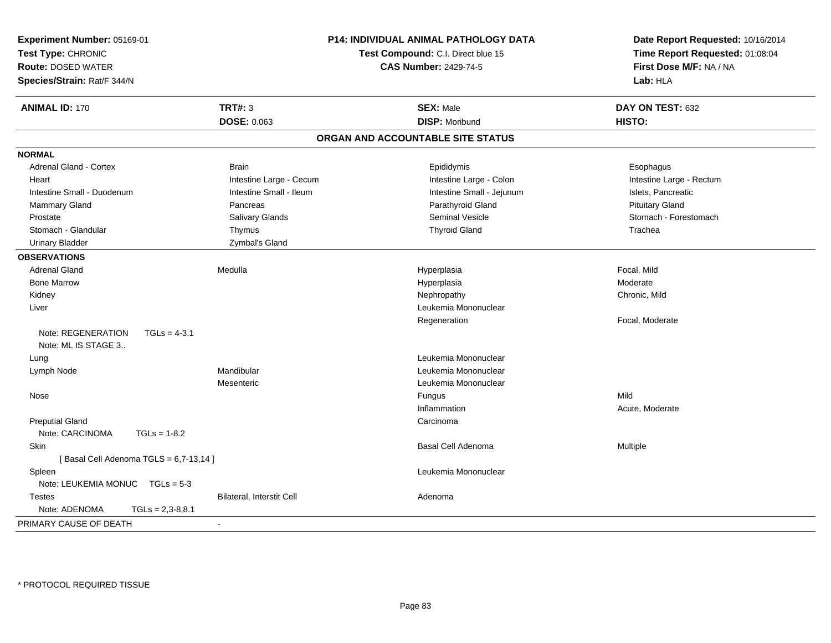| Experiment Number: 05169-01<br>Test Type: CHRONIC<br><b>Route: DOSED WATER</b><br>Species/Strain: Rat/F 344/N |                                  | <b>P14: INDIVIDUAL ANIMAL PATHOLOGY DATA</b><br>Test Compound: C.I. Direct blue 15<br><b>CAS Number: 2429-74-5</b> | Date Report Requested: 10/16/2014<br>Time Report Requested: 01:08:04<br>First Dose M/F: NA / NA<br>Lab: HLA |  |
|---------------------------------------------------------------------------------------------------------------|----------------------------------|--------------------------------------------------------------------------------------------------------------------|-------------------------------------------------------------------------------------------------------------|--|
| <b>ANIMAL ID: 170</b>                                                                                         | <b>TRT#: 3</b>                   | <b>SEX: Male</b>                                                                                                   | DAY ON TEST: 632                                                                                            |  |
|                                                                                                               | DOSE: 0.063                      | <b>DISP: Moribund</b>                                                                                              | HISTO:                                                                                                      |  |
|                                                                                                               |                                  | ORGAN AND ACCOUNTABLE SITE STATUS                                                                                  |                                                                                                             |  |
| <b>NORMAL</b>                                                                                                 |                                  |                                                                                                                    |                                                                                                             |  |
| <b>Adrenal Gland - Cortex</b>                                                                                 | <b>Brain</b>                     | Epididymis                                                                                                         | Esophagus                                                                                                   |  |
| Heart                                                                                                         | Intestine Large - Cecum          | Intestine Large - Colon                                                                                            | Intestine Large - Rectum                                                                                    |  |
| Intestine Small - Duodenum                                                                                    | Intestine Small - Ileum          | Intestine Small - Jejunum                                                                                          | Islets, Pancreatic                                                                                          |  |
| Mammary Gland                                                                                                 | Pancreas                         | Parathyroid Gland                                                                                                  | <b>Pituitary Gland</b>                                                                                      |  |
| Prostate                                                                                                      | Salivary Glands                  | <b>Seminal Vesicle</b>                                                                                             | Stomach - Forestomach                                                                                       |  |
| Stomach - Glandular                                                                                           | Thymus                           | <b>Thyroid Gland</b>                                                                                               | Trachea                                                                                                     |  |
| <b>Urinary Bladder</b>                                                                                        | Zymbal's Gland                   |                                                                                                                    |                                                                                                             |  |
| <b>OBSERVATIONS</b>                                                                                           |                                  |                                                                                                                    |                                                                                                             |  |
| <b>Adrenal Gland</b>                                                                                          | Medulla                          | Hyperplasia                                                                                                        | Focal, Mild                                                                                                 |  |
| <b>Bone Marrow</b>                                                                                            |                                  | Hyperplasia                                                                                                        | Moderate                                                                                                    |  |
| Kidney                                                                                                        |                                  | Nephropathy                                                                                                        | Chronic, Mild                                                                                               |  |
| Liver                                                                                                         |                                  | Leukemia Mononuclear                                                                                               |                                                                                                             |  |
|                                                                                                               |                                  | Regeneration                                                                                                       | Focal, Moderate                                                                                             |  |
| Note: REGENERATION<br>$TGLs = 4-3.1$<br>Note: ML IS STAGE 3                                                   |                                  |                                                                                                                    |                                                                                                             |  |
| Lung                                                                                                          |                                  | Leukemia Mononuclear                                                                                               |                                                                                                             |  |
| Lymph Node                                                                                                    | Mandibular                       | Leukemia Mononuclear                                                                                               |                                                                                                             |  |
|                                                                                                               | Mesenteric                       | Leukemia Mononuclear                                                                                               |                                                                                                             |  |
| Nose                                                                                                          |                                  | Fungus                                                                                                             | Mild                                                                                                        |  |
|                                                                                                               |                                  | Inflammation                                                                                                       | Acute, Moderate                                                                                             |  |
| <b>Preputial Gland</b>                                                                                        |                                  | Carcinoma                                                                                                          |                                                                                                             |  |
| Note: CARCINOMA<br>$TGLs = 1-8.2$                                                                             |                                  |                                                                                                                    |                                                                                                             |  |
| <b>Skin</b>                                                                                                   |                                  | <b>Basal Cell Adenoma</b>                                                                                          | Multiple                                                                                                    |  |
| [Basal Cell Adenoma TGLS = 6,7-13,14]                                                                         |                                  |                                                                                                                    |                                                                                                             |  |
| Spleen                                                                                                        |                                  | Leukemia Mononuclear                                                                                               |                                                                                                             |  |
| Note: LEUKEMIA MONUC TGLs = 5-3                                                                               |                                  |                                                                                                                    |                                                                                                             |  |
| <b>Testes</b>                                                                                                 | <b>Bilateral, Interstit Cell</b> | Adenoma                                                                                                            |                                                                                                             |  |
| Note: ADENOMA<br>$TGLs = 2,3-8,8.1$                                                                           |                                  |                                                                                                                    |                                                                                                             |  |
| PRIMARY CAUSE OF DEATH                                                                                        | $\sim$                           |                                                                                                                    |                                                                                                             |  |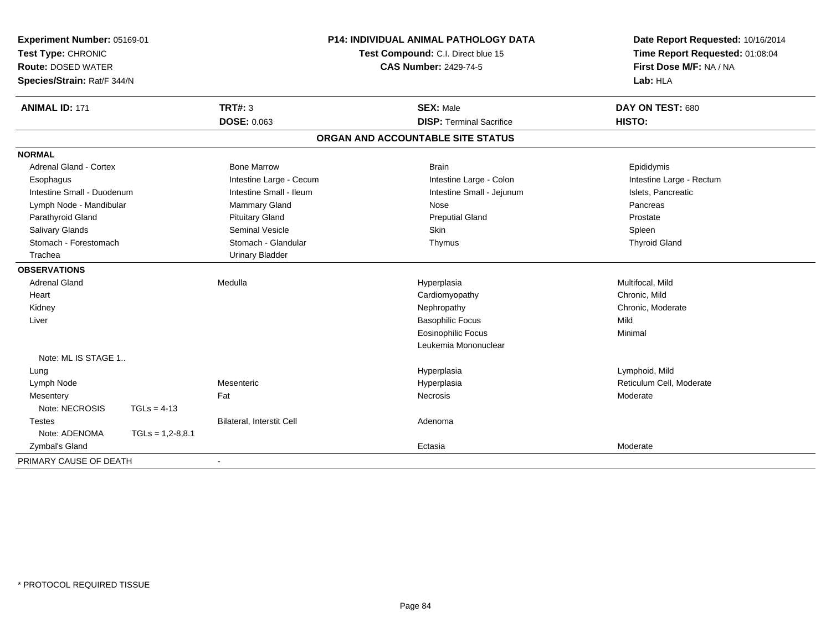| Experiment Number: 05169-01<br>Test Type: CHRONIC<br><b>Route: DOSED WATER</b><br>Species/Strain: Rat/F 344/N |                    | <b>P14: INDIVIDUAL ANIMAL PATHOLOGY DATA</b><br>Test Compound: C.I. Direct blue 15<br><b>CAS Number: 2429-74-5</b> |                                                     | Date Report Requested: 10/16/2014<br>Time Report Requested: 01:08:04<br>First Dose M/F: NA / NA<br>Lab: HLA |  |
|---------------------------------------------------------------------------------------------------------------|--------------------|--------------------------------------------------------------------------------------------------------------------|-----------------------------------------------------|-------------------------------------------------------------------------------------------------------------|--|
| <b>ANIMAL ID: 171</b>                                                                                         |                    | <b>TRT#: 3</b><br><b>DOSE: 0.063</b>                                                                               | <b>SEX: Male</b><br><b>DISP: Terminal Sacrifice</b> | DAY ON TEST: 680<br>HISTO:                                                                                  |  |
|                                                                                                               |                    |                                                                                                                    | ORGAN AND ACCOUNTABLE SITE STATUS                   |                                                                                                             |  |
| <b>NORMAL</b>                                                                                                 |                    |                                                                                                                    |                                                     |                                                                                                             |  |
| Adrenal Gland - Cortex                                                                                        |                    | <b>Bone Marrow</b>                                                                                                 | <b>Brain</b>                                        | Epididymis                                                                                                  |  |
| Esophagus                                                                                                     |                    | Intestine Large - Cecum                                                                                            | Intestine Large - Colon                             | Intestine Large - Rectum                                                                                    |  |
| Intestine Small - Duodenum                                                                                    |                    | Intestine Small - Ileum                                                                                            | Intestine Small - Jejunum                           | Islets, Pancreatic                                                                                          |  |
| Lymph Node - Mandibular                                                                                       |                    | Mammary Gland                                                                                                      | Nose                                                | Pancreas                                                                                                    |  |
| Parathyroid Gland                                                                                             |                    | <b>Pituitary Gland</b>                                                                                             | <b>Preputial Gland</b>                              | Prostate                                                                                                    |  |
| <b>Salivary Glands</b>                                                                                        |                    | <b>Seminal Vesicle</b>                                                                                             | Skin                                                | Spleen                                                                                                      |  |
| Stomach - Forestomach                                                                                         |                    | Stomach - Glandular                                                                                                | Thymus                                              | <b>Thyroid Gland</b>                                                                                        |  |
| Trachea                                                                                                       |                    | <b>Urinary Bladder</b>                                                                                             |                                                     |                                                                                                             |  |
| <b>OBSERVATIONS</b>                                                                                           |                    |                                                                                                                    |                                                     |                                                                                                             |  |
| <b>Adrenal Gland</b>                                                                                          |                    | Medulla                                                                                                            | Hyperplasia                                         | Multifocal, Mild                                                                                            |  |
| Heart                                                                                                         |                    |                                                                                                                    | Cardiomyopathy                                      | Chronic, Mild                                                                                               |  |
| Kidney                                                                                                        |                    |                                                                                                                    | Nephropathy                                         | Chronic, Moderate                                                                                           |  |
| Liver                                                                                                         |                    |                                                                                                                    | <b>Basophilic Focus</b>                             | Mild                                                                                                        |  |
|                                                                                                               |                    |                                                                                                                    | <b>Eosinophilic Focus</b>                           | Minimal                                                                                                     |  |
|                                                                                                               |                    |                                                                                                                    | Leukemia Mononuclear                                |                                                                                                             |  |
| Note: ML IS STAGE 1                                                                                           |                    |                                                                                                                    |                                                     |                                                                                                             |  |
| Lung                                                                                                          |                    |                                                                                                                    | Hyperplasia                                         | Lymphoid, Mild                                                                                              |  |
| Lymph Node                                                                                                    |                    | Mesenteric                                                                                                         | Hyperplasia                                         | Reticulum Cell, Moderate                                                                                    |  |
| Mesentery                                                                                                     |                    | Fat                                                                                                                | Necrosis                                            | Moderate                                                                                                    |  |
| Note: NECROSIS                                                                                                | $TGLs = 4-13$      |                                                                                                                    |                                                     |                                                                                                             |  |
| <b>Testes</b>                                                                                                 |                    | Bilateral, Interstit Cell                                                                                          | Adenoma                                             |                                                                                                             |  |
| Note: ADENOMA                                                                                                 | $TGLs = 1,2-8,8.1$ |                                                                                                                    |                                                     |                                                                                                             |  |
| Zymbal's Gland                                                                                                |                    |                                                                                                                    | Ectasia                                             | Moderate                                                                                                    |  |
| PRIMARY CAUSE OF DEATH                                                                                        |                    |                                                                                                                    |                                                     |                                                                                                             |  |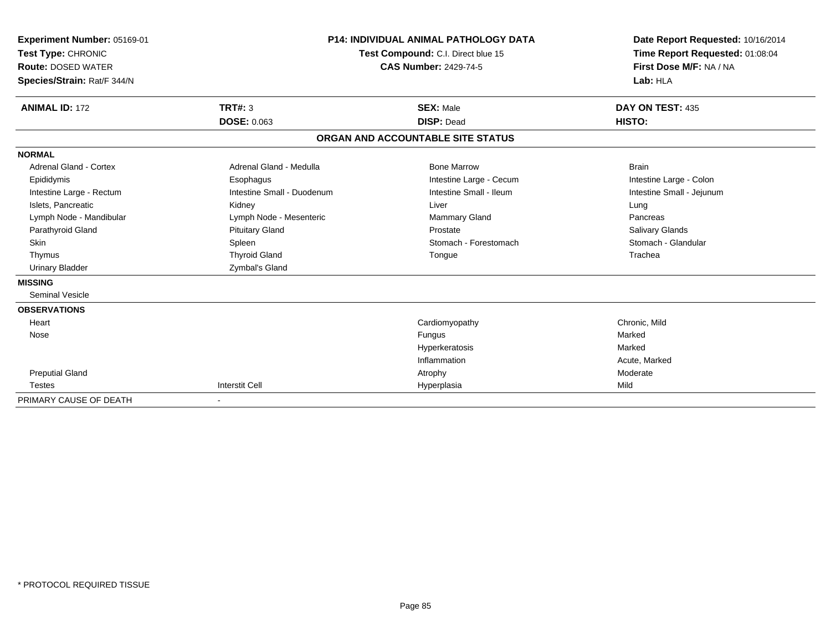| Experiment Number: 05169-01<br>Test Type: CHRONIC<br><b>Route: DOSED WATER</b><br>Species/Strain: Rat/F 344/N |                                      | <b>P14: INDIVIDUAL ANIMAL PATHOLOGY DATA</b><br>Test Compound: C.I. Direct blue 15<br><b>CAS Number: 2429-74-5</b> | Date Report Requested: 10/16/2014<br>Time Report Requested: 01:08:04<br>First Dose M/F: NA / NA<br>Lab: HLA |
|---------------------------------------------------------------------------------------------------------------|--------------------------------------|--------------------------------------------------------------------------------------------------------------------|-------------------------------------------------------------------------------------------------------------|
| <b>ANIMAL ID: 172</b>                                                                                         | <b>TRT#: 3</b><br><b>DOSE: 0.063</b> | <b>SEX: Male</b><br><b>DISP: Dead</b>                                                                              | DAY ON TEST: 435<br>HISTO:                                                                                  |
|                                                                                                               |                                      | ORGAN AND ACCOUNTABLE SITE STATUS                                                                                  |                                                                                                             |
| <b>NORMAL</b>                                                                                                 |                                      |                                                                                                                    |                                                                                                             |
| <b>Adrenal Gland - Cortex</b>                                                                                 | Adrenal Gland - Medulla              | <b>Bone Marrow</b>                                                                                                 | <b>Brain</b>                                                                                                |
| Epididymis                                                                                                    | Esophagus                            | Intestine Large - Cecum                                                                                            | Intestine Large - Colon                                                                                     |
| Intestine Large - Rectum                                                                                      | Intestine Small - Duodenum           | Intestine Small - Ileum                                                                                            | Intestine Small - Jejunum                                                                                   |
| Islets, Pancreatic                                                                                            | Kidney                               | Liver                                                                                                              | Lung                                                                                                        |
| Lymph Node - Mandibular                                                                                       | Lymph Node - Mesenteric              | Mammary Gland                                                                                                      | Pancreas                                                                                                    |
| Parathyroid Gland                                                                                             | <b>Pituitary Gland</b>               | Prostate                                                                                                           | <b>Salivary Glands</b>                                                                                      |
| <b>Skin</b>                                                                                                   | Spleen                               | Stomach - Forestomach                                                                                              | Stomach - Glandular                                                                                         |
| Thymus                                                                                                        | <b>Thyroid Gland</b>                 | Tongue                                                                                                             | Trachea                                                                                                     |
| <b>Urinary Bladder</b>                                                                                        | Zymbal's Gland                       |                                                                                                                    |                                                                                                             |
| <b>MISSING</b>                                                                                                |                                      |                                                                                                                    |                                                                                                             |
| Seminal Vesicle                                                                                               |                                      |                                                                                                                    |                                                                                                             |
| <b>OBSERVATIONS</b>                                                                                           |                                      |                                                                                                                    |                                                                                                             |
| Heart                                                                                                         |                                      | Cardiomyopathy                                                                                                     | Chronic, Mild                                                                                               |
| Nose                                                                                                          |                                      | Fungus                                                                                                             | Marked                                                                                                      |
|                                                                                                               |                                      | Hyperkeratosis                                                                                                     | Marked                                                                                                      |
|                                                                                                               |                                      | Inflammation                                                                                                       | Acute, Marked                                                                                               |
| <b>Preputial Gland</b>                                                                                        |                                      | Atrophy                                                                                                            | Moderate                                                                                                    |
| <b>Testes</b>                                                                                                 | <b>Interstit Cell</b>                | Hyperplasia                                                                                                        | Mild                                                                                                        |
| PRIMARY CAUSE OF DEATH                                                                                        |                                      |                                                                                                                    |                                                                                                             |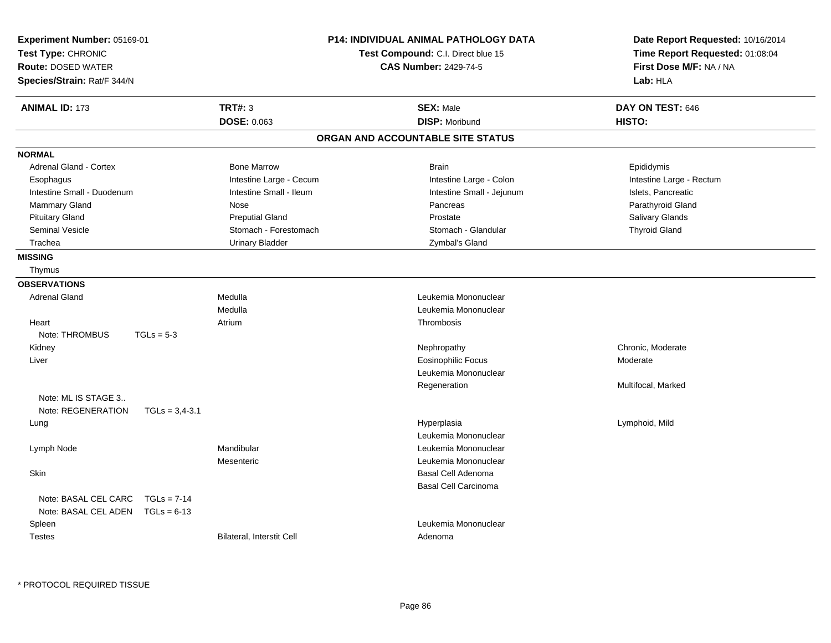| Experiment Number: 05169-01<br>Test Type: CHRONIC<br><b>Route: DOSED WATER</b><br>Species/Strain: Rat/F 344/N |                           | P14: INDIVIDUAL ANIMAL PATHOLOGY DATA<br>Test Compound: C.I. Direct blue 15<br><b>CAS Number: 2429-74-5</b> | Date Report Requested: 10/16/2014<br>Time Report Requested: 01:08:04<br>First Dose M/F: NA / NA<br>Lab: HLA |
|---------------------------------------------------------------------------------------------------------------|---------------------------|-------------------------------------------------------------------------------------------------------------|-------------------------------------------------------------------------------------------------------------|
| <b>ANIMAL ID: 173</b>                                                                                         | <b>TRT#: 3</b>            | <b>SEX: Male</b>                                                                                            | DAY ON TEST: 646                                                                                            |
|                                                                                                               | DOSE: 0.063               | <b>DISP: Moribund</b>                                                                                       | HISTO:                                                                                                      |
|                                                                                                               |                           | ORGAN AND ACCOUNTABLE SITE STATUS                                                                           |                                                                                                             |
| <b>NORMAL</b>                                                                                                 |                           |                                                                                                             |                                                                                                             |
| <b>Adrenal Gland - Cortex</b>                                                                                 | <b>Bone Marrow</b>        | <b>Brain</b>                                                                                                | Epididymis                                                                                                  |
| Esophagus                                                                                                     | Intestine Large - Cecum   | Intestine Large - Colon                                                                                     | Intestine Large - Rectum                                                                                    |
| Intestine Small - Duodenum                                                                                    | Intestine Small - Ileum   | Intestine Small - Jejunum                                                                                   | Islets, Pancreatic                                                                                          |
| <b>Mammary Gland</b>                                                                                          | Nose                      | Pancreas                                                                                                    | Parathyroid Gland                                                                                           |
| <b>Pituitary Gland</b>                                                                                        | <b>Preputial Gland</b>    | Prostate                                                                                                    | Salivary Glands                                                                                             |
| <b>Seminal Vesicle</b>                                                                                        | Stomach - Forestomach     | Stomach - Glandular                                                                                         | <b>Thyroid Gland</b>                                                                                        |
| Trachea                                                                                                       | <b>Urinary Bladder</b>    | Zymbal's Gland                                                                                              |                                                                                                             |
| <b>MISSING</b>                                                                                                |                           |                                                                                                             |                                                                                                             |
| Thymus                                                                                                        |                           |                                                                                                             |                                                                                                             |
| <b>OBSERVATIONS</b>                                                                                           |                           |                                                                                                             |                                                                                                             |
| <b>Adrenal Gland</b>                                                                                          | Medulla                   | Leukemia Mononuclear                                                                                        |                                                                                                             |
|                                                                                                               | Medulla                   | Leukemia Mononuclear                                                                                        |                                                                                                             |
| Heart                                                                                                         | Atrium                    | Thrombosis                                                                                                  |                                                                                                             |
| Note: THROMBUS<br>$TGLs = 5-3$                                                                                |                           |                                                                                                             |                                                                                                             |
| Kidney                                                                                                        |                           | Nephropathy                                                                                                 | Chronic, Moderate                                                                                           |
| Liver                                                                                                         |                           | <b>Eosinophilic Focus</b>                                                                                   | Moderate                                                                                                    |
|                                                                                                               |                           | Leukemia Mononuclear                                                                                        |                                                                                                             |
|                                                                                                               |                           | Regeneration                                                                                                | Multifocal, Marked                                                                                          |
| Note: ML IS STAGE 3                                                                                           |                           |                                                                                                             |                                                                                                             |
| Note: REGENERATION<br>$TGLs = 3.4 - 3.1$                                                                      |                           |                                                                                                             |                                                                                                             |
| Lung                                                                                                          |                           | Hyperplasia                                                                                                 | Lymphoid, Mild                                                                                              |
|                                                                                                               |                           | Leukemia Mononuclear                                                                                        |                                                                                                             |
| Lymph Node                                                                                                    | Mandibular                | Leukemia Mononuclear                                                                                        |                                                                                                             |
|                                                                                                               | Mesenteric                | Leukemia Mononuclear                                                                                        |                                                                                                             |
| Skin                                                                                                          |                           | Basal Cell Adenoma                                                                                          |                                                                                                             |
|                                                                                                               |                           | <b>Basal Cell Carcinoma</b>                                                                                 |                                                                                                             |
| Note: BASAL CEL CARC<br>$TGLs = 7-14$                                                                         |                           |                                                                                                             |                                                                                                             |
| Note: BASAL CEL ADEN<br>$TGLs = 6-13$                                                                         |                           |                                                                                                             |                                                                                                             |
| Spleen                                                                                                        |                           | Leukemia Mononuclear                                                                                        |                                                                                                             |
| <b>Testes</b>                                                                                                 | Bilateral, Interstit Cell | Adenoma                                                                                                     |                                                                                                             |
|                                                                                                               |                           |                                                                                                             |                                                                                                             |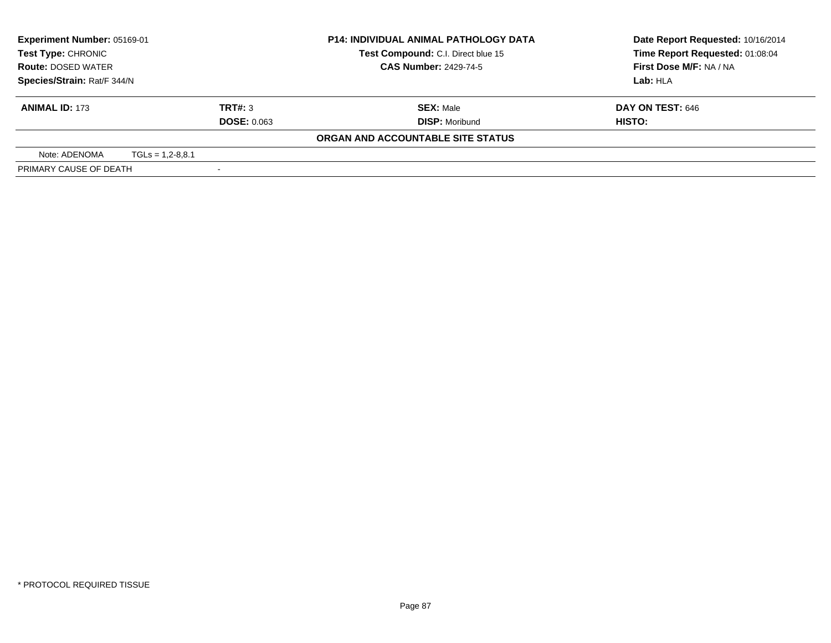| <b>Experiment Number: 05169-01</b> |                              | <b>P14: INDIVIDUAL ANIMAL PATHOLOGY DATA</b> | Date Report Requested: 10/16/2014 |
|------------------------------------|------------------------------|----------------------------------------------|-----------------------------------|
| Test Type: CHRONIC                 |                              | Test Compound: C.I. Direct blue 15           | Time Report Requested: 01:08:04   |
| <b>Route: DOSED WATER</b>          | <b>CAS Number: 2429-74-5</b> |                                              | First Dose M/F: NA / NA           |
| Species/Strain: Rat/F 344/N        |                              |                                              | Lab: HLA                          |
| <b>ANIMAL ID: 173</b>              | TRT#: 3                      | <b>SEX: Male</b>                             | DAY ON TEST: 646                  |
|                                    | <b>DOSE: 0.063</b>           | <b>DISP:</b> Moribund                        | HISTO:                            |
|                                    |                              | ORGAN AND ACCOUNTABLE SITE STATUS            |                                   |
| Note: ADENOMA                      | $TGLs = 1.2 - 8.8.1$         |                                              |                                   |
| PRIMARY CAUSE OF DEATH             |                              |                                              |                                   |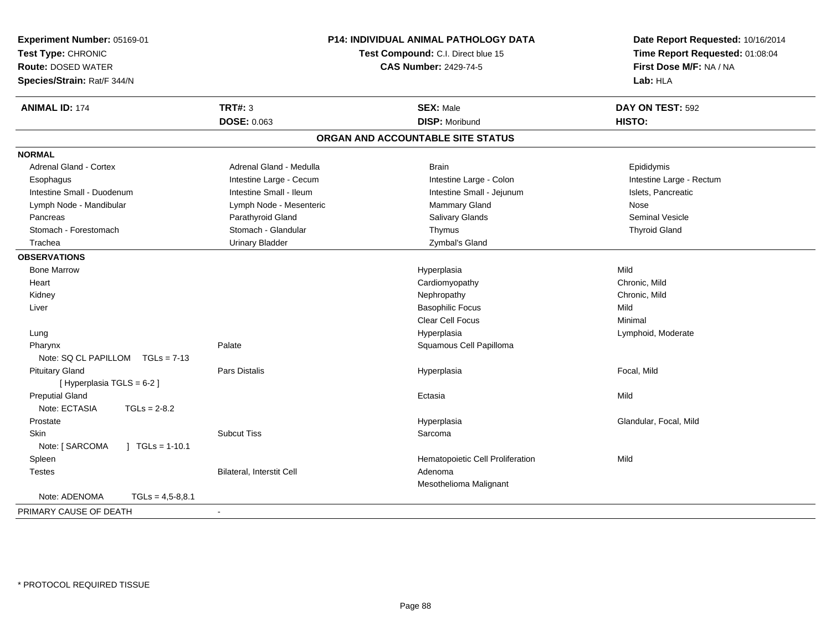| Experiment Number: 05169-01<br>Test Type: CHRONIC<br><b>Route: DOSED WATER</b><br>Species/Strain: Rat/F 344/N |                                  | P14: INDIVIDUAL ANIMAL PATHOLOGY DATA<br>Test Compound: C.I. Direct blue 15<br><b>CAS Number: 2429-74-5</b> | Date Report Requested: 10/16/2014<br>Time Report Requested: 01:08:04<br>First Dose M/F: NA / NA<br>Lab: HLA |
|---------------------------------------------------------------------------------------------------------------|----------------------------------|-------------------------------------------------------------------------------------------------------------|-------------------------------------------------------------------------------------------------------------|
| <b>ANIMAL ID: 174</b>                                                                                         | <b>TRT#: 3</b>                   | <b>SEX: Male</b>                                                                                            | DAY ON TEST: 592                                                                                            |
|                                                                                                               | DOSE: 0.063                      | <b>DISP: Moribund</b>                                                                                       | HISTO:                                                                                                      |
|                                                                                                               |                                  | ORGAN AND ACCOUNTABLE SITE STATUS                                                                           |                                                                                                             |
| <b>NORMAL</b>                                                                                                 |                                  |                                                                                                             |                                                                                                             |
| Adrenal Gland - Cortex                                                                                        | Adrenal Gland - Medulla          | <b>Brain</b>                                                                                                | Epididymis                                                                                                  |
| Esophagus                                                                                                     | Intestine Large - Cecum          | Intestine Large - Colon                                                                                     | Intestine Large - Rectum                                                                                    |
| Intestine Small - Duodenum                                                                                    | Intestine Small - Ileum          | Intestine Small - Jejunum                                                                                   | Islets, Pancreatic                                                                                          |
| Lymph Node - Mandibular                                                                                       | Lymph Node - Mesenteric          | Mammary Gland                                                                                               | Nose                                                                                                        |
| Pancreas                                                                                                      | Parathyroid Gland                | <b>Salivary Glands</b>                                                                                      | <b>Seminal Vesicle</b>                                                                                      |
| Stomach - Forestomach                                                                                         | Stomach - Glandular              | Thymus                                                                                                      | <b>Thyroid Gland</b>                                                                                        |
| Trachea                                                                                                       | <b>Urinary Bladder</b>           | Zymbal's Gland                                                                                              |                                                                                                             |
| <b>OBSERVATIONS</b>                                                                                           |                                  |                                                                                                             |                                                                                                             |
| <b>Bone Marrow</b>                                                                                            |                                  | Hyperplasia                                                                                                 | Mild                                                                                                        |
| Heart                                                                                                         |                                  | Cardiomyopathy                                                                                              | Chronic, Mild                                                                                               |
| Kidney                                                                                                        |                                  | Nephropathy                                                                                                 | Chronic, Mild                                                                                               |
| Liver                                                                                                         |                                  | <b>Basophilic Focus</b>                                                                                     | Mild                                                                                                        |
|                                                                                                               |                                  | <b>Clear Cell Focus</b>                                                                                     | Minimal                                                                                                     |
| Lung                                                                                                          |                                  | Hyperplasia                                                                                                 | Lymphoid, Moderate                                                                                          |
| Pharynx                                                                                                       | Palate                           | Squamous Cell Papilloma                                                                                     |                                                                                                             |
| Note: SQ CL PAPILLOM<br>$TGLs = 7-13$                                                                         |                                  |                                                                                                             |                                                                                                             |
| <b>Pituitary Gland</b>                                                                                        | <b>Pars Distalis</b>             | Hyperplasia                                                                                                 | Focal, Mild                                                                                                 |
| [ Hyperplasia TGLS = 6-2 ]                                                                                    |                                  |                                                                                                             |                                                                                                             |
| <b>Preputial Gland</b>                                                                                        |                                  | Ectasia                                                                                                     | Mild                                                                                                        |
| Note: ECTASIA<br>$TGLs = 2-8.2$                                                                               |                                  |                                                                                                             |                                                                                                             |
| Prostate                                                                                                      |                                  | Hyperplasia                                                                                                 | Glandular, Focal, Mild                                                                                      |
| Skin                                                                                                          | <b>Subcut Tiss</b>               | Sarcoma                                                                                                     |                                                                                                             |
| Note: [ SARCOMA<br>$\mid$ TGLs = 1-10.1                                                                       |                                  |                                                                                                             |                                                                                                             |
| Spleen                                                                                                        |                                  | Hematopoietic Cell Proliferation                                                                            | Mild                                                                                                        |
| <b>Testes</b>                                                                                                 | <b>Bilateral, Interstit Cell</b> | Adenoma                                                                                                     |                                                                                                             |
|                                                                                                               |                                  | Mesothelioma Malignant                                                                                      |                                                                                                             |
| Note: ADENOMA<br>$TGLs = 4.5 - 8.8.1$                                                                         |                                  |                                                                                                             |                                                                                                             |
| PRIMARY CAUSE OF DEATH                                                                                        |                                  |                                                                                                             |                                                                                                             |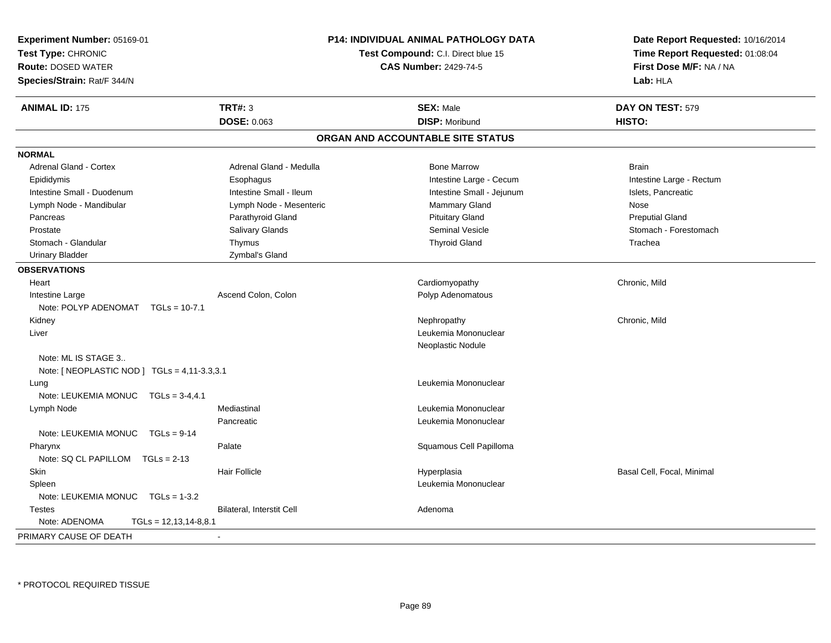| Experiment Number: 05169-01                  |                                    | <b>P14: INDIVIDUAL ANIMAL PATHOLOGY DATA</b> | Date Report Requested: 10/16/2014 |
|----------------------------------------------|------------------------------------|----------------------------------------------|-----------------------------------|
| Test Type: CHRONIC                           | Test Compound: C.I. Direct blue 15 |                                              | Time Report Requested: 01:08:04   |
| <b>Route: DOSED WATER</b>                    |                                    | <b>CAS Number: 2429-74-5</b>                 | First Dose M/F: NA / NA           |
| Species/Strain: Rat/F 344/N                  |                                    |                                              | Lab: HLA                          |
| <b>ANIMAL ID: 175</b>                        | TRT#: 3                            | <b>SEX: Male</b>                             | DAY ON TEST: 579                  |
|                                              | <b>DOSE: 0.063</b>                 | <b>DISP: Moribund</b>                        | HISTO:                            |
|                                              |                                    | ORGAN AND ACCOUNTABLE SITE STATUS            |                                   |
| <b>NORMAL</b>                                |                                    |                                              |                                   |
| <b>Adrenal Gland - Cortex</b>                | Adrenal Gland - Medulla            | <b>Bone Marrow</b>                           | <b>Brain</b>                      |
| Epididymis                                   | Esophagus                          | Intestine Large - Cecum                      | Intestine Large - Rectum          |
| Intestine Small - Duodenum                   | Intestine Small - Ileum            | Intestine Small - Jejunum                    | Islets, Pancreatic                |
| Lymph Node - Mandibular                      | Lymph Node - Mesenteric            | Mammary Gland                                | Nose                              |
| Pancreas                                     | Parathyroid Gland                  | <b>Pituitary Gland</b>                       | <b>Preputial Gland</b>            |
| Prostate                                     | Salivary Glands                    | <b>Seminal Vesicle</b>                       | Stomach - Forestomach             |
| Stomach - Glandular                          | Thymus                             | <b>Thyroid Gland</b>                         | Trachea                           |
| <b>Urinary Bladder</b>                       | Zymbal's Gland                     |                                              |                                   |
| <b>OBSERVATIONS</b>                          |                                    |                                              |                                   |
| Heart                                        |                                    | Cardiomyopathy                               | Chronic, Mild                     |
| Intestine Large                              | Ascend Colon, Colon                | Polyp Adenomatous                            |                                   |
| Note: POLYP ADENOMAT TGLs = 10-7.1           |                                    |                                              |                                   |
| Kidney                                       |                                    | Nephropathy                                  | Chronic, Mild                     |
| Liver                                        |                                    | Leukemia Mononuclear                         |                                   |
|                                              |                                    | Neoplastic Nodule                            |                                   |
| Note: ML IS STAGE 3                          |                                    |                                              |                                   |
| Note: [ NEOPLASTIC NOD ] TGLs = 4,11-3.3,3.1 |                                    |                                              |                                   |
| Lung                                         |                                    | Leukemia Mononuclear                         |                                   |
| Note: LEUKEMIA MONUC TGLs = 3-4.4.1          |                                    |                                              |                                   |
| Lymph Node                                   | Mediastinal                        | Leukemia Mononuclear                         |                                   |
|                                              | Pancreatic                         | Leukemia Mononuclear                         |                                   |
| Note: LEUKEMIA MONUC<br>$TGLs = 9-14$        |                                    |                                              |                                   |
| Pharynx                                      | Palate                             | Squamous Cell Papilloma                      |                                   |
| Note: SQ CL PAPILLOM<br>$TGLs = 2-13$        |                                    |                                              |                                   |
| Skin                                         | <b>Hair Follicle</b>               | Hyperplasia                                  | Basal Cell, Focal, Minimal        |
| Spleen                                       |                                    | Leukemia Mononuclear                         |                                   |
| Note: LEUKEMIA MONUC<br>$TGLs = 1-3.2$       |                                    |                                              |                                   |
| <b>Testes</b>                                | <b>Bilateral, Interstit Cell</b>   | Adenoma                                      |                                   |
| Note: ADENOMA<br>$TGLs = 12,13,14-8,8.1$     |                                    |                                              |                                   |
| PRIMARY CAUSE OF DEATH                       |                                    |                                              |                                   |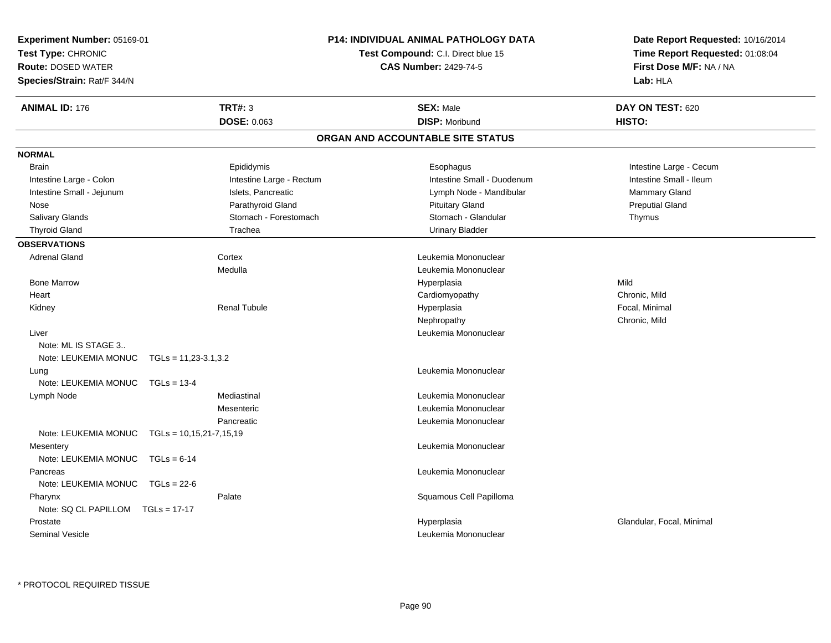| <b>Experiment Number: 05169-01</b>           |                          | P14: INDIVIDUAL ANIMAL PATHOLOGY DATA     | Date Report Requested: 10/16/2014<br>Time Report Requested: 01:08:04<br>First Dose M/F: NA / NA |
|----------------------------------------------|--------------------------|-------------------------------------------|-------------------------------------------------------------------------------------------------|
| Test Type: CHRONIC                           |                          | <b>Test Compound: C.I. Direct blue 15</b> |                                                                                                 |
| <b>Route: DOSED WATER</b>                    |                          | <b>CAS Number: 2429-74-5</b>              |                                                                                                 |
| Species/Strain: Rat/F 344/N                  |                          |                                           | Lab: HLA                                                                                        |
| <b>ANIMAL ID: 176</b>                        | <b>TRT#: 3</b>           | <b>SEX: Male</b>                          | DAY ON TEST: 620                                                                                |
|                                              | DOSE: 0.063              | <b>DISP: Moribund</b>                     | HISTO:                                                                                          |
|                                              |                          | ORGAN AND ACCOUNTABLE SITE STATUS         |                                                                                                 |
| <b>NORMAL</b>                                |                          |                                           |                                                                                                 |
| <b>Brain</b>                                 | Epididymis               | Esophagus                                 | Intestine Large - Cecum                                                                         |
| Intestine Large - Colon                      | Intestine Large - Rectum | Intestine Small - Duodenum                | Intestine Small - Ileum                                                                         |
| Intestine Small - Jejunum                    | Islets, Pancreatic       | Lymph Node - Mandibular                   | Mammary Gland                                                                                   |
| Nose                                         | Parathyroid Gland        | <b>Pituitary Gland</b>                    | <b>Preputial Gland</b>                                                                          |
| Salivary Glands                              | Stomach - Forestomach    | Stomach - Glandular                       | Thymus                                                                                          |
| <b>Thyroid Gland</b>                         | Trachea                  | <b>Urinary Bladder</b>                    |                                                                                                 |
| <b>OBSERVATIONS</b>                          |                          |                                           |                                                                                                 |
| <b>Adrenal Gland</b>                         | Cortex                   | Leukemia Mononuclear                      |                                                                                                 |
|                                              | Medulla                  | Leukemia Mononuclear                      |                                                                                                 |
| <b>Bone Marrow</b>                           |                          | Hyperplasia                               | Mild                                                                                            |
| Heart                                        |                          | Cardiomyopathy                            | Chronic, Mild                                                                                   |
| Kidney                                       | <b>Renal Tubule</b>      | Hyperplasia                               | Focal, Minimal                                                                                  |
|                                              |                          | Nephropathy                               | Chronic, Mild                                                                                   |
| Liver                                        |                          | Leukemia Mononuclear                      |                                                                                                 |
| Note: ML IS STAGE 3                          |                          |                                           |                                                                                                 |
| Note: LEUKEMIA MONUC                         | $TGLs = 11,23-3.1,3.2$   |                                           |                                                                                                 |
| Lung                                         |                          | Leukemia Mononuclear                      |                                                                                                 |
| Note: LEUKEMIA MONUC<br>$TGLs = 13-4$        |                          |                                           |                                                                                                 |
| Lymph Node                                   | Mediastinal              | Leukemia Mononuclear                      |                                                                                                 |
|                                              | Mesenteric               | Leukemia Mononuclear                      |                                                                                                 |
|                                              | Pancreatic               | Leukemia Mononuclear                      |                                                                                                 |
| Note: LEUKEMIA MONUC TGLs = 10,15,21-7,15,19 |                          |                                           |                                                                                                 |
| Mesentery                                    |                          | Leukemia Mononuclear                      |                                                                                                 |
| Note: LEUKEMIA MONUC<br>$TGLs = 6-14$        |                          |                                           |                                                                                                 |
| Pancreas                                     |                          | Leukemia Mononuclear                      |                                                                                                 |
| Note: LEUKEMIA MONUC TGLs = 22-6             |                          |                                           |                                                                                                 |
| Pharynx                                      | Palate                   | Squamous Cell Papilloma                   |                                                                                                 |
| Note: SQ CL PAPILLOM TGLs = 17-17            |                          |                                           |                                                                                                 |
| Prostate                                     |                          | Hyperplasia                               | Glandular, Focal, Minimal                                                                       |
| <b>Seminal Vesicle</b>                       |                          | Leukemia Mononuclear                      |                                                                                                 |
|                                              |                          |                                           |                                                                                                 |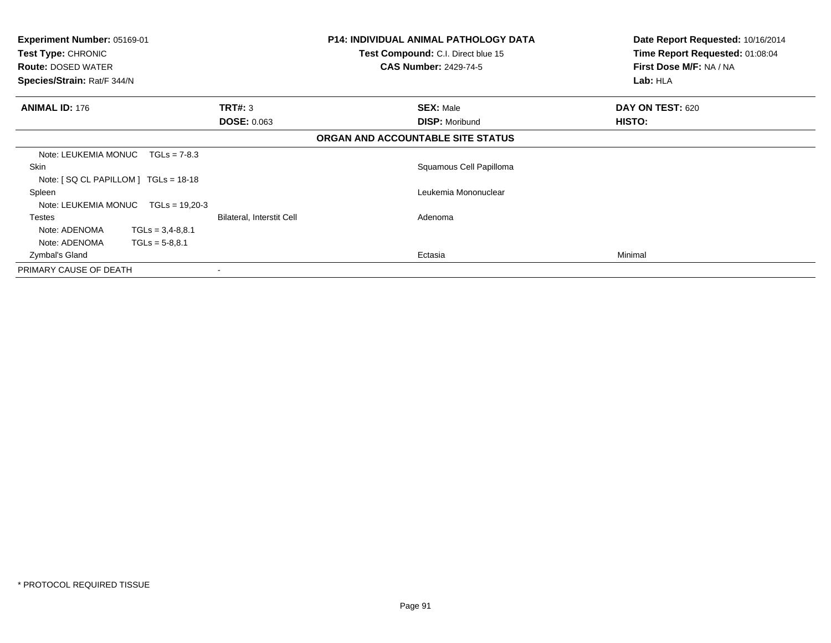| <b>Experiment Number: 05169-01</b><br>Test Type: CHRONIC<br><b>Route: DOSED WATER</b><br>Species/Strain: Rat/F 344/N |                           | <b>P14: INDIVIDUAL ANIMAL PATHOLOGY DATA</b><br>Test Compound: C.I. Direct blue 15<br><b>CAS Number: 2429-74-5</b> | Date Report Requested: 10/16/2014<br>Time Report Requested: 01:08:04<br>First Dose M/F: NA / NA<br>Lab: HLA |
|----------------------------------------------------------------------------------------------------------------------|---------------------------|--------------------------------------------------------------------------------------------------------------------|-------------------------------------------------------------------------------------------------------------|
| <b>ANIMAL ID: 176</b>                                                                                                | TRT#: 3                   | <b>SEX: Male</b>                                                                                                   | DAY ON TEST: 620                                                                                            |
|                                                                                                                      | <b>DOSE: 0.063</b>        | <b>DISP: Moribund</b>                                                                                              | HISTO:                                                                                                      |
|                                                                                                                      |                           | ORGAN AND ACCOUNTABLE SITE STATUS                                                                                  |                                                                                                             |
| Note: LEUKEMIA MONUC<br>$TGLs = 7-8.3$                                                                               |                           |                                                                                                                    |                                                                                                             |
| Skin<br>Note: $[$ SQ CL PAPILLOM $]$ TGLs = 18-18                                                                    |                           | Squamous Cell Papilloma                                                                                            |                                                                                                             |
| Spleen<br>Note: LEUKEMIA MONUC<br>$TGLs = 19,20-3$                                                                   |                           | Leukemia Mononuclear                                                                                               |                                                                                                             |
| <b>Testes</b><br>Note: ADENOMA<br>$TGLs = 3,4-8,8.1$<br>Note: ADENOMA<br>$TGLs = 5-8.8.1$                            | Bilateral, Interstit Cell | Adenoma                                                                                                            |                                                                                                             |
| Zymbal's Gland                                                                                                       |                           | Ectasia                                                                                                            | Minimal                                                                                                     |
| PRIMARY CAUSE OF DEATH                                                                                               |                           |                                                                                                                    |                                                                                                             |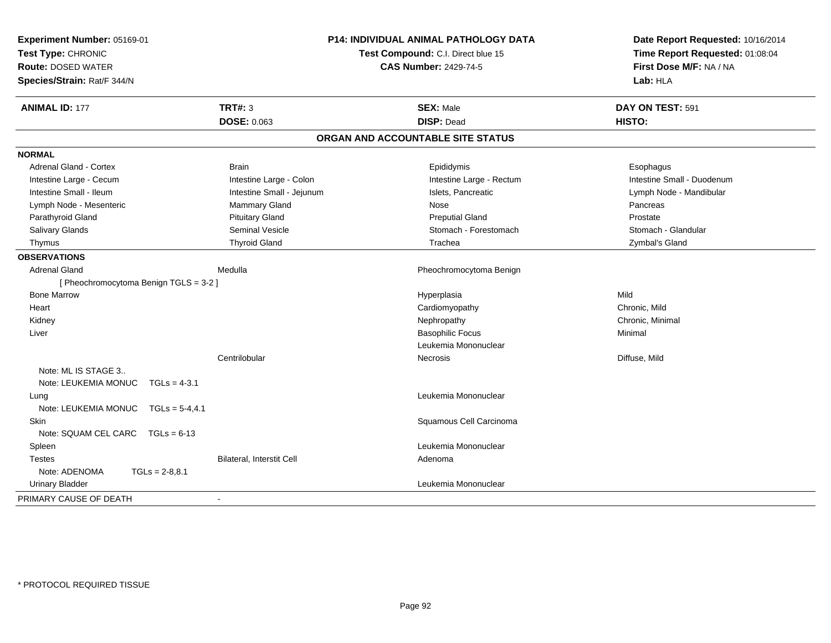| Experiment Number: 05169-01<br>Test Type: CHRONIC<br><b>Route: DOSED WATER</b><br>Species/Strain: Rat/F 344/N | <b>P14: INDIVIDUAL ANIMAL PATHOLOGY DATA</b><br>Test Compound: C.I. Direct blue 15<br><b>CAS Number: 2429-74-5</b> |                                   | Date Report Requested: 10/16/2014<br>Time Report Requested: 01:08:04<br>First Dose M/F: NA / NA<br>Lab: HLA |
|---------------------------------------------------------------------------------------------------------------|--------------------------------------------------------------------------------------------------------------------|-----------------------------------|-------------------------------------------------------------------------------------------------------------|
| <b>ANIMAL ID: 177</b>                                                                                         | <b>TRT#: 3</b>                                                                                                     | <b>SEX: Male</b>                  | DAY ON TEST: 591                                                                                            |
|                                                                                                               | DOSE: 0.063                                                                                                        | <b>DISP: Dead</b>                 | HISTO:                                                                                                      |
|                                                                                                               |                                                                                                                    | ORGAN AND ACCOUNTABLE SITE STATUS |                                                                                                             |
| <b>NORMAL</b>                                                                                                 |                                                                                                                    |                                   |                                                                                                             |
| <b>Adrenal Gland - Cortex</b>                                                                                 | <b>Brain</b>                                                                                                       | Epididymis                        | Esophagus                                                                                                   |
| Intestine Large - Cecum                                                                                       | Intestine Large - Colon                                                                                            | Intestine Large - Rectum          | Intestine Small - Duodenum                                                                                  |
| Intestine Small - Ileum                                                                                       | Intestine Small - Jejunum                                                                                          | Islets, Pancreatic                | Lymph Node - Mandibular                                                                                     |
| Lymph Node - Mesenteric                                                                                       | Mammary Gland                                                                                                      | Nose                              | Pancreas                                                                                                    |
| Parathyroid Gland                                                                                             | <b>Pituitary Gland</b>                                                                                             | <b>Preputial Gland</b>            | Prostate                                                                                                    |
| Salivary Glands                                                                                               | Seminal Vesicle                                                                                                    | Stomach - Forestomach             | Stomach - Glandular                                                                                         |
| Thymus                                                                                                        | <b>Thyroid Gland</b>                                                                                               | Trachea                           | Zymbal's Gland                                                                                              |
| <b>OBSERVATIONS</b>                                                                                           |                                                                                                                    |                                   |                                                                                                             |
| <b>Adrenal Gland</b>                                                                                          | Medulla                                                                                                            | Pheochromocytoma Benign           |                                                                                                             |
| [Pheochromocytoma Benign TGLS = 3-2]                                                                          |                                                                                                                    |                                   |                                                                                                             |
| <b>Bone Marrow</b>                                                                                            |                                                                                                                    | Hyperplasia                       | Mild                                                                                                        |
| Heart                                                                                                         |                                                                                                                    | Cardiomyopathy                    | Chronic, Mild                                                                                               |
| Kidney                                                                                                        |                                                                                                                    | Nephropathy                       | Chronic, Minimal                                                                                            |
| Liver                                                                                                         |                                                                                                                    | <b>Basophilic Focus</b>           | Minimal                                                                                                     |
|                                                                                                               |                                                                                                                    | Leukemia Mononuclear              |                                                                                                             |
|                                                                                                               | Centrilobular                                                                                                      | <b>Necrosis</b>                   | Diffuse, Mild                                                                                               |
| Note: ML IS STAGE 3                                                                                           |                                                                                                                    |                                   |                                                                                                             |
| Note: LEUKEMIA MONUC<br>$TGLs = 4-3.1$                                                                        |                                                                                                                    |                                   |                                                                                                             |
| Lung                                                                                                          |                                                                                                                    | Leukemia Mononuclear              |                                                                                                             |
| Note: LEUKEMIA MONUC TGLs = 5-4,4.1                                                                           |                                                                                                                    |                                   |                                                                                                             |
| <b>Skin</b>                                                                                                   |                                                                                                                    | Squamous Cell Carcinoma           |                                                                                                             |
| Note: SQUAM CEL CARC TGLs = 6-13                                                                              |                                                                                                                    |                                   |                                                                                                             |
| Spleen                                                                                                        |                                                                                                                    | Leukemia Mononuclear              |                                                                                                             |
| <b>Testes</b>                                                                                                 | <b>Bilateral, Interstit Cell</b>                                                                                   | Adenoma                           |                                                                                                             |
| Note: ADENOMA<br>$TGLs = 2-8,8.1$                                                                             |                                                                                                                    |                                   |                                                                                                             |
| <b>Urinary Bladder</b>                                                                                        |                                                                                                                    | Leukemia Mononuclear              |                                                                                                             |
| PRIMARY CAUSE OF DEATH                                                                                        | $\overline{\phantom{a}}$                                                                                           |                                   |                                                                                                             |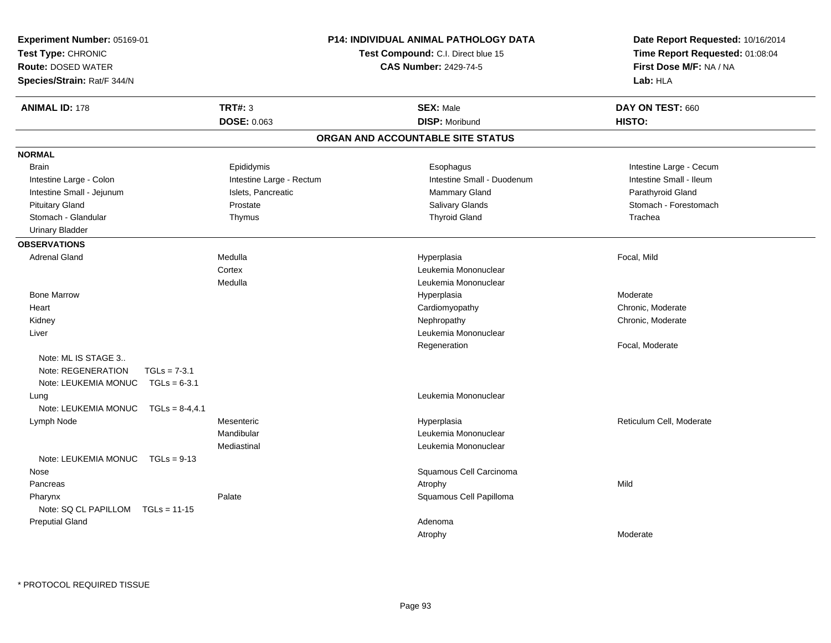| <b>Experiment Number: 05169-01</b><br>Test Type: CHRONIC<br><b>Route: DOSED WATER</b><br>Species/Strain: Rat/F 344/N |                          | <b>P14: INDIVIDUAL ANIMAL PATHOLOGY DATA</b><br>Test Compound: C.I. Direct blue 15<br><b>CAS Number: 2429-74-5</b> | Date Report Requested: 10/16/2014<br>Time Report Requested: 01:08:04<br>First Dose M/F: NA / NA<br>Lab: HLA |
|----------------------------------------------------------------------------------------------------------------------|--------------------------|--------------------------------------------------------------------------------------------------------------------|-------------------------------------------------------------------------------------------------------------|
| <b>ANIMAL ID: 178</b>                                                                                                | <b>TRT#: 3</b>           | <b>SEX: Male</b>                                                                                                   | DAY ON TEST: 660                                                                                            |
|                                                                                                                      | <b>DOSE: 0.063</b>       | <b>DISP: Moribund</b>                                                                                              | HISTO:                                                                                                      |
|                                                                                                                      |                          | ORGAN AND ACCOUNTABLE SITE STATUS                                                                                  |                                                                                                             |
| <b>NORMAL</b>                                                                                                        |                          |                                                                                                                    |                                                                                                             |
| <b>Brain</b>                                                                                                         | Epididymis               | Esophagus                                                                                                          | Intestine Large - Cecum                                                                                     |
| Intestine Large - Colon                                                                                              | Intestine Large - Rectum | Intestine Small - Duodenum                                                                                         | Intestine Small - Ileum                                                                                     |
| Intestine Small - Jejunum                                                                                            | Islets, Pancreatic       | Mammary Gland                                                                                                      | Parathyroid Gland                                                                                           |
| <b>Pituitary Gland</b>                                                                                               | Prostate                 | Salivary Glands                                                                                                    | Stomach - Forestomach                                                                                       |
| Stomach - Glandular                                                                                                  | Thymus                   | <b>Thyroid Gland</b>                                                                                               | Trachea                                                                                                     |
| <b>Urinary Bladder</b>                                                                                               |                          |                                                                                                                    |                                                                                                             |
| <b>OBSERVATIONS</b>                                                                                                  |                          |                                                                                                                    |                                                                                                             |
| <b>Adrenal Gland</b>                                                                                                 | Medulla                  | Hyperplasia                                                                                                        | Focal, Mild                                                                                                 |
|                                                                                                                      | Cortex                   | Leukemia Mononuclear                                                                                               |                                                                                                             |
|                                                                                                                      | Medulla                  | Leukemia Mononuclear                                                                                               |                                                                                                             |
| <b>Bone Marrow</b>                                                                                                   |                          | Hyperplasia                                                                                                        | Moderate                                                                                                    |
| Heart                                                                                                                |                          | Cardiomyopathy                                                                                                     | Chronic, Moderate                                                                                           |
| Kidney                                                                                                               |                          | Nephropathy                                                                                                        | Chronic, Moderate                                                                                           |
| Liver                                                                                                                |                          | Leukemia Mononuclear                                                                                               |                                                                                                             |
|                                                                                                                      |                          | Regeneration                                                                                                       | Focal, Moderate                                                                                             |
| Note: ML IS STAGE 3                                                                                                  |                          |                                                                                                                    |                                                                                                             |
| Note: REGENERATION<br>$TGLs = 7-3.1$                                                                                 |                          |                                                                                                                    |                                                                                                             |
| Note: LEUKEMIA MONUC<br>$TGLs = 6-3.1$                                                                               |                          |                                                                                                                    |                                                                                                             |
| Lung                                                                                                                 |                          | Leukemia Mononuclear                                                                                               |                                                                                                             |
| Note: LEUKEMIA MONUC<br>$TGLs = 8-4, 4.1$                                                                            |                          |                                                                                                                    |                                                                                                             |
| Lymph Node                                                                                                           | Mesenteric               | Hyperplasia                                                                                                        | Reticulum Cell, Moderate                                                                                    |
|                                                                                                                      | Mandibular               | Leukemia Mononuclear                                                                                               |                                                                                                             |
|                                                                                                                      | Mediastinal              | Leukemia Mononuclear                                                                                               |                                                                                                             |
| Note: LEUKEMIA MONUC<br>$TGLs = 9-13$                                                                                |                          |                                                                                                                    |                                                                                                             |
| Nose                                                                                                                 |                          | Squamous Cell Carcinoma                                                                                            |                                                                                                             |
| Pancreas                                                                                                             |                          | Atrophy                                                                                                            | Mild                                                                                                        |
| Pharynx                                                                                                              | Palate                   | Squamous Cell Papilloma                                                                                            |                                                                                                             |
| Note: SQ CL PAPILLOM<br>$TGLs = 11-15$                                                                               |                          |                                                                                                                    |                                                                                                             |
| <b>Preputial Gland</b>                                                                                               |                          | Adenoma                                                                                                            |                                                                                                             |
|                                                                                                                      |                          | Atrophy                                                                                                            | Moderate                                                                                                    |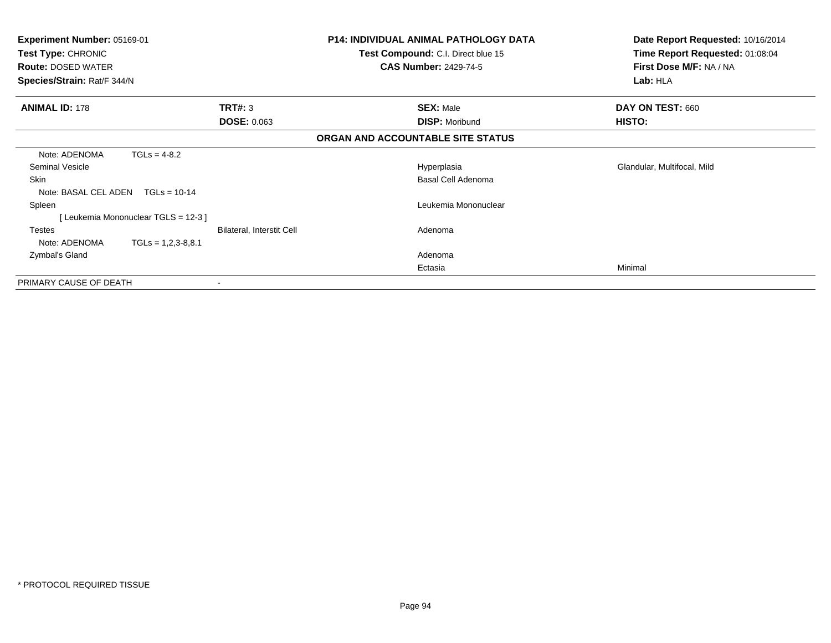| <b>Experiment Number: 05169-01</b><br>Test Type: CHRONIC<br><b>Route: DOSED WATER</b><br>Species/Strain: Rat/F 344/N |                                  | <b>P14: INDIVIDUAL ANIMAL PATHOLOGY DATA</b><br>Test Compound: C.I. Direct blue 15<br><b>CAS Number: 2429-74-5</b> | Date Report Requested: 10/16/2014<br>Time Report Requested: 01:08:04<br>First Dose M/F: NA / NA<br>Lab: HLA |
|----------------------------------------------------------------------------------------------------------------------|----------------------------------|--------------------------------------------------------------------------------------------------------------------|-------------------------------------------------------------------------------------------------------------|
| <b>ANIMAL ID: 178</b>                                                                                                | TRT#: 3                          | <b>SEX: Male</b>                                                                                                   | DAY ON TEST: 660                                                                                            |
|                                                                                                                      | <b>DOSE: 0.063</b>               | <b>DISP: Moribund</b>                                                                                              | <b>HISTO:</b>                                                                                               |
|                                                                                                                      |                                  | ORGAN AND ACCOUNTABLE SITE STATUS                                                                                  |                                                                                                             |
| $TGLs = 4-8.2$<br>Note: ADENOMA                                                                                      |                                  |                                                                                                                    |                                                                                                             |
| Seminal Vesicle                                                                                                      |                                  | Hyperplasia                                                                                                        | Glandular, Multifocal, Mild                                                                                 |
| Skin                                                                                                                 |                                  | Basal Cell Adenoma                                                                                                 |                                                                                                             |
| Note: BASAL CEL ADEN<br>$TGLs = 10-14$                                                                               |                                  |                                                                                                                    |                                                                                                             |
| Spleen                                                                                                               |                                  | Leukemia Mononuclear                                                                                               |                                                                                                             |
| [Leukemia Mononuclear TGLS = 12-3]                                                                                   |                                  |                                                                                                                    |                                                                                                             |
| <b>Testes</b>                                                                                                        | <b>Bilateral, Interstit Cell</b> | Adenoma                                                                                                            |                                                                                                             |
| Note: ADENOMA<br>$TGLs = 1,2,3-8,8.1$                                                                                |                                  |                                                                                                                    |                                                                                                             |
| Zymbal's Gland                                                                                                       |                                  | Adenoma                                                                                                            |                                                                                                             |
|                                                                                                                      |                                  | Ectasia                                                                                                            | Minimal                                                                                                     |
| PRIMARY CAUSE OF DEATH                                                                                               |                                  |                                                                                                                    |                                                                                                             |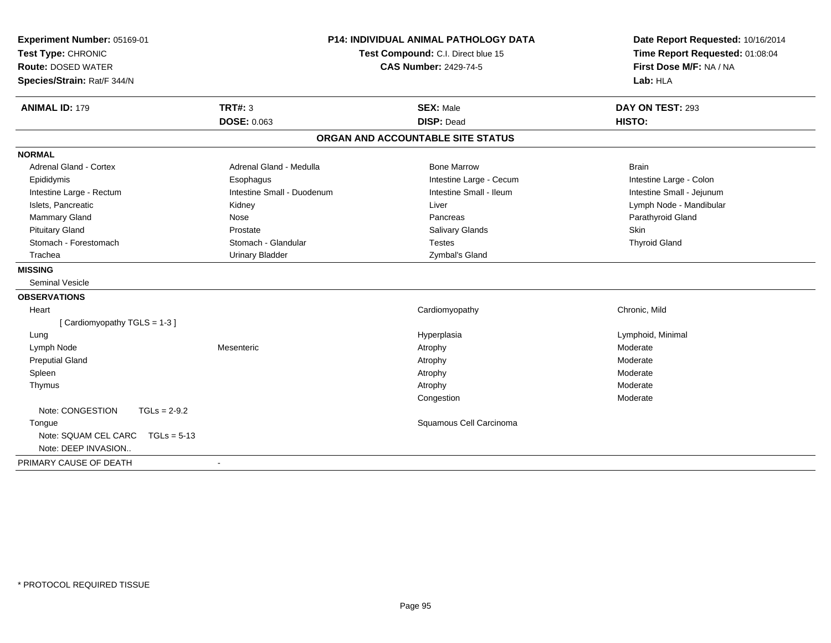| Experiment Number: 05169-01<br>Test Type: CHRONIC<br><b>Route: DOSED WATER</b><br>Species/Strain: Rat/F 344/N | <b>P14: INDIVIDUAL ANIMAL PATHOLOGY DATA</b><br>Test Compound: C.I. Direct blue 15<br><b>CAS Number: 2429-74-5</b> |                                       | Date Report Requested: 10/16/2014<br>Time Report Requested: 01:08:04<br>First Dose M/F: NA / NA<br>Lab: HLA |
|---------------------------------------------------------------------------------------------------------------|--------------------------------------------------------------------------------------------------------------------|---------------------------------------|-------------------------------------------------------------------------------------------------------------|
| <b>ANIMAL ID: 179</b>                                                                                         | <b>TRT#: 3</b><br><b>DOSE: 0.063</b>                                                                               | <b>SEX: Male</b><br><b>DISP: Dead</b> | DAY ON TEST: 293<br>HISTO:                                                                                  |
|                                                                                                               |                                                                                                                    | ORGAN AND ACCOUNTABLE SITE STATUS     |                                                                                                             |
| <b>NORMAL</b>                                                                                                 |                                                                                                                    |                                       |                                                                                                             |
| Adrenal Gland - Cortex                                                                                        | Adrenal Gland - Medulla                                                                                            | <b>Bone Marrow</b>                    | <b>Brain</b>                                                                                                |
| Epididymis                                                                                                    | Esophagus                                                                                                          | Intestine Large - Cecum               | Intestine Large - Colon                                                                                     |
| Intestine Large - Rectum                                                                                      | Intestine Small - Duodenum                                                                                         | Intestine Small - Ileum               | Intestine Small - Jejunum                                                                                   |
| Islets, Pancreatic                                                                                            | Kidney                                                                                                             | Liver                                 | Lymph Node - Mandibular                                                                                     |
| Mammary Gland                                                                                                 | Nose                                                                                                               | Pancreas                              | Parathyroid Gland                                                                                           |
| <b>Pituitary Gland</b>                                                                                        | Prostate                                                                                                           | Salivary Glands                       | Skin                                                                                                        |
| Stomach - Forestomach                                                                                         | Stomach - Glandular                                                                                                | <b>Testes</b>                         | <b>Thyroid Gland</b>                                                                                        |
| Trachea                                                                                                       | <b>Urinary Bladder</b>                                                                                             | Zymbal's Gland                        |                                                                                                             |
| <b>MISSING</b>                                                                                                |                                                                                                                    |                                       |                                                                                                             |
| <b>Seminal Vesicle</b>                                                                                        |                                                                                                                    |                                       |                                                                                                             |
| <b>OBSERVATIONS</b>                                                                                           |                                                                                                                    |                                       |                                                                                                             |
| Heart                                                                                                         |                                                                                                                    | Cardiomyopathy                        | Chronic, Mild                                                                                               |
| [Cardiomyopathy TGLS = 1-3]                                                                                   |                                                                                                                    |                                       |                                                                                                             |
| Lung                                                                                                          |                                                                                                                    | Hyperplasia                           | Lymphoid, Minimal                                                                                           |
| Lymph Node                                                                                                    | Mesenteric                                                                                                         | Atrophy                               | Moderate                                                                                                    |
| <b>Preputial Gland</b>                                                                                        |                                                                                                                    | Atrophy                               | Moderate                                                                                                    |
| Spleen                                                                                                        |                                                                                                                    | Atrophy                               | Moderate                                                                                                    |
| Thymus                                                                                                        |                                                                                                                    | Atrophy                               | Moderate                                                                                                    |
|                                                                                                               |                                                                                                                    | Congestion                            | Moderate                                                                                                    |
| Note: CONGESTION<br>$TGLs = 2-9.2$                                                                            |                                                                                                                    |                                       |                                                                                                             |
| Tongue                                                                                                        |                                                                                                                    | Squamous Cell Carcinoma               |                                                                                                             |
| Note: SQUAM CEL CARC<br>$TGLs = 5-13$                                                                         |                                                                                                                    |                                       |                                                                                                             |
| Note: DEEP INVASION                                                                                           |                                                                                                                    |                                       |                                                                                                             |
| PRIMARY CAUSE OF DEATH                                                                                        | $\blacksquare$                                                                                                     |                                       |                                                                                                             |
|                                                                                                               |                                                                                                                    |                                       |                                                                                                             |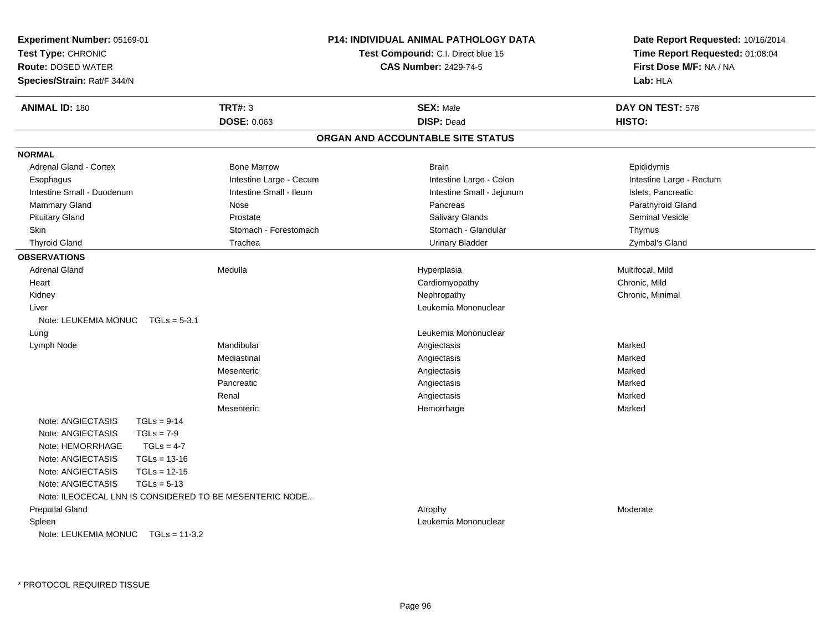| Experiment Number: 05169-01                             |                         | <b>P14: INDIVIDUAL ANIMAL PATHOLOGY DATA</b> | Date Report Requested: 10/16/2014<br>Time Report Requested: 01:08:04 |  |
|---------------------------------------------------------|-------------------------|----------------------------------------------|----------------------------------------------------------------------|--|
| Test Type: CHRONIC                                      |                         | <b>Test Compound: C.I. Direct blue 15</b>    |                                                                      |  |
| <b>Route: DOSED WATER</b>                               |                         | <b>CAS Number: 2429-74-5</b>                 | First Dose M/F: NA / NA<br>Lab: HLA                                  |  |
| Species/Strain: Rat/F 344/N                             |                         |                                              |                                                                      |  |
| <b>ANIMAL ID: 180</b>                                   | <b>TRT#: 3</b>          | <b>SEX: Male</b>                             | DAY ON TEST: 578                                                     |  |
|                                                         | <b>DOSE: 0.063</b>      | <b>DISP: Dead</b>                            | HISTO:                                                               |  |
|                                                         |                         | ORGAN AND ACCOUNTABLE SITE STATUS            |                                                                      |  |
| <b>NORMAL</b>                                           |                         |                                              |                                                                      |  |
| <b>Adrenal Gland - Cortex</b>                           | <b>Bone Marrow</b>      | <b>Brain</b>                                 | Epididymis                                                           |  |
| Esophagus                                               | Intestine Large - Cecum | Intestine Large - Colon                      | Intestine Large - Rectum                                             |  |
| Intestine Small - Duodenum                              | Intestine Small - Ileum | Intestine Small - Jejunum                    | Islets, Pancreatic                                                   |  |
| Mammary Gland                                           | Nose                    | Pancreas                                     | Parathyroid Gland                                                    |  |
| <b>Pituitary Gland</b>                                  | Prostate                | Salivary Glands                              | Seminal Vesicle                                                      |  |
| Skin                                                    | Stomach - Forestomach   | Stomach - Glandular                          | Thymus                                                               |  |
| <b>Thyroid Gland</b>                                    | Trachea                 | <b>Urinary Bladder</b>                       | Zymbal's Gland                                                       |  |
| <b>OBSERVATIONS</b>                                     |                         |                                              |                                                                      |  |
| <b>Adrenal Gland</b>                                    | Medulla                 | Hyperplasia                                  | Multifocal, Mild                                                     |  |
| Heart                                                   |                         | Cardiomyopathy                               | Chronic, Mild                                                        |  |
| Kidney                                                  |                         | Nephropathy                                  | Chronic, Minimal                                                     |  |
| Liver                                                   |                         | Leukemia Mononuclear                         |                                                                      |  |
| Note: LEUKEMIA MONUC TGLs = 5-3.1                       |                         |                                              |                                                                      |  |
| Lung                                                    |                         | Leukemia Mononuclear                         |                                                                      |  |
| Lymph Node                                              | Mandibular              | Angiectasis                                  | Marked                                                               |  |
|                                                         | Mediastinal             | Angiectasis                                  | Marked                                                               |  |
|                                                         | Mesenteric              | Angiectasis                                  | Marked                                                               |  |
|                                                         | Pancreatic              | Angiectasis                                  | Marked                                                               |  |
|                                                         | Renal                   | Angiectasis                                  | Marked                                                               |  |
|                                                         | Mesenteric              | Hemorrhage                                   | Marked                                                               |  |
| Note: ANGIECTASIS<br>$TGLs = 9-14$                      |                         |                                              |                                                                      |  |
| Note: ANGIECTASIS<br>$TGLs = 7-9$                       |                         |                                              |                                                                      |  |
| Note: HEMORRHAGE<br>$TGLs = 4-7$                        |                         |                                              |                                                                      |  |
| $TGLs = 13-16$<br>Note: ANGIECTASIS                     |                         |                                              |                                                                      |  |
| Note: ANGIECTASIS<br>$TGLs = 12-15$                     |                         |                                              |                                                                      |  |
| Note: ANGIECTASIS<br>$TGLs = 6-13$                      |                         |                                              |                                                                      |  |
| Note: ILEOCECAL LNN IS CONSIDERED TO BE MESENTERIC NODE |                         |                                              |                                                                      |  |
| <b>Preputial Gland</b>                                  |                         | Atrophy                                      | Moderate                                                             |  |
| Spleen                                                  |                         | Leukemia Mononuclear                         |                                                                      |  |
| Note: LEUKEMIA MONUC TGLs = 11-3.2                      |                         |                                              |                                                                      |  |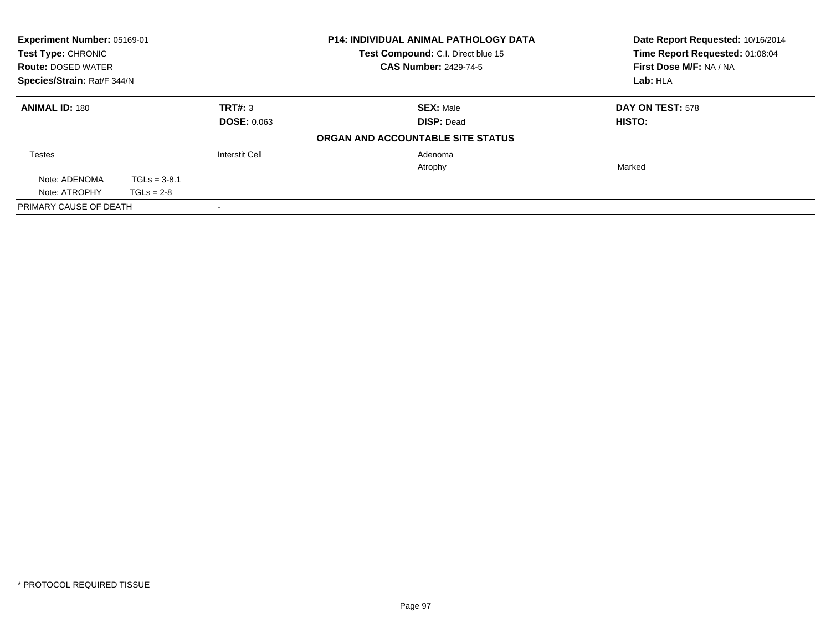| Experiment Number: 05169-01   |                |                       | <b>P14: INDIVIDUAL ANIMAL PATHOLOGY DATA</b> | Date Report Requested: 10/16/2014 |
|-------------------------------|----------------|-----------------------|----------------------------------------------|-----------------------------------|
| Test Type: CHRONIC            |                |                       | Test Compound: C.I. Direct blue 15           | Time Report Requested: 01:08:04   |
| <b>Route: DOSED WATER</b>     |                |                       | <b>CAS Number: 2429-74-5</b>                 | First Dose M/F: NA / NA           |
| Species/Strain: Rat/F 344/N   |                |                       |                                              | Lab: HLA                          |
| <b>ANIMAL ID: 180</b>         |                | TRT#: 3               | <b>SEX: Male</b>                             | DAY ON TEST: 578                  |
| <b>DOSE: 0.063</b>            |                |                       | <b>DISP: Dead</b>                            | HISTO:                            |
|                               |                |                       | ORGAN AND ACCOUNTABLE SITE STATUS            |                                   |
| <b>Testes</b>                 |                | <b>Interstit Cell</b> | Adenoma                                      |                                   |
|                               |                |                       | Atrophy                                      | Marked                            |
| Note: ADENOMA                 | $TGLs = 3-8.1$ |                       |                                              |                                   |
| Note: ATROPHY<br>$TGLs = 2-8$ |                |                       |                                              |                                   |
| PRIMARY CAUSE OF DEATH        |                |                       |                                              |                                   |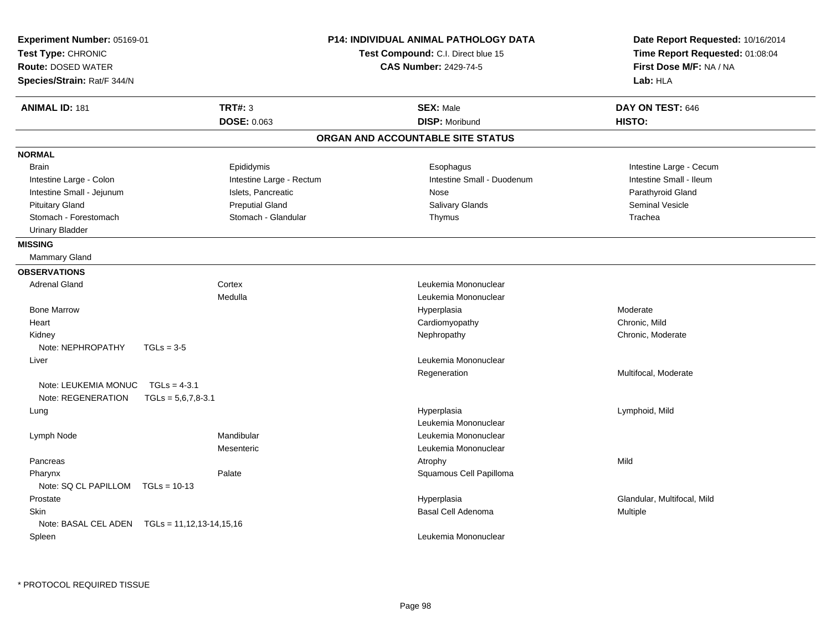| Experiment Number: 05169-01<br>Test Type: CHRONIC<br><b>Route: DOSED WATER</b><br>Species/Strain: Rat/F 344/N |                          | P14: INDIVIDUAL ANIMAL PATHOLOGY DATA<br>Test Compound: C.I. Direct blue 15<br><b>CAS Number: 2429-74-5</b> | Date Report Requested: 10/16/2014<br>Time Report Requested: 01:08:04<br>First Dose M/F: NA / NA<br>Lab: HLA |
|---------------------------------------------------------------------------------------------------------------|--------------------------|-------------------------------------------------------------------------------------------------------------|-------------------------------------------------------------------------------------------------------------|
| <b>TRT#: 3</b><br><b>ANIMAL ID: 181</b>                                                                       |                          | <b>SEX: Male</b>                                                                                            | DAY ON TEST: 646                                                                                            |
|                                                                                                               | <b>DOSE: 0.063</b>       | <b>DISP: Moribund</b>                                                                                       | HISTO:                                                                                                      |
|                                                                                                               |                          | ORGAN AND ACCOUNTABLE SITE STATUS                                                                           |                                                                                                             |
| <b>NORMAL</b>                                                                                                 |                          |                                                                                                             |                                                                                                             |
| <b>Brain</b>                                                                                                  | Epididymis               | Esophagus                                                                                                   | Intestine Large - Cecum                                                                                     |
| Intestine Large - Colon                                                                                       | Intestine Large - Rectum | Intestine Small - Duodenum                                                                                  | Intestine Small - Ileum                                                                                     |
| Intestine Small - Jejunum                                                                                     | Islets, Pancreatic       | Nose                                                                                                        | Parathyroid Gland                                                                                           |
| <b>Pituitary Gland</b>                                                                                        | <b>Preputial Gland</b>   | Salivary Glands                                                                                             | <b>Seminal Vesicle</b>                                                                                      |
| Stomach - Forestomach                                                                                         | Stomach - Glandular      | Thymus                                                                                                      | Trachea                                                                                                     |
| <b>Urinary Bladder</b>                                                                                        |                          |                                                                                                             |                                                                                                             |
| <b>MISSING</b>                                                                                                |                          |                                                                                                             |                                                                                                             |
| <b>Mammary Gland</b>                                                                                          |                          |                                                                                                             |                                                                                                             |
| <b>OBSERVATIONS</b>                                                                                           |                          |                                                                                                             |                                                                                                             |
| <b>Adrenal Gland</b><br>Cortex                                                                                |                          | Leukemia Mononuclear                                                                                        |                                                                                                             |
| Medulla                                                                                                       |                          | Leukemia Mononuclear                                                                                        |                                                                                                             |
| <b>Bone Marrow</b>                                                                                            |                          | Hyperplasia                                                                                                 | Moderate                                                                                                    |
| Heart                                                                                                         |                          | Cardiomyopathy                                                                                              | Chronic, Mild                                                                                               |
| Kidney                                                                                                        |                          | Nephropathy                                                                                                 | Chronic, Moderate                                                                                           |
| Note: NEPHROPATHY<br>$TGLs = 3-5$                                                                             |                          |                                                                                                             |                                                                                                             |
| Liver                                                                                                         |                          | Leukemia Mononuclear                                                                                        |                                                                                                             |
|                                                                                                               |                          | Regeneration                                                                                                | Multifocal, Moderate                                                                                        |
| Note: LEUKEMIA MONUC<br>$TGLs = 4-3.1$                                                                        |                          |                                                                                                             |                                                                                                             |
| Note: REGENERATION<br>$TGLs = 5.6.7.8 - 3.1$                                                                  |                          |                                                                                                             |                                                                                                             |
| Lung                                                                                                          |                          | Hyperplasia                                                                                                 | Lymphoid, Mild                                                                                              |
|                                                                                                               |                          | Leukemia Mononuclear                                                                                        |                                                                                                             |
| Mandibular<br>Lymph Node                                                                                      |                          | Leukemia Mononuclear                                                                                        |                                                                                                             |
| Mesenteric                                                                                                    |                          | Leukemia Mononuclear                                                                                        |                                                                                                             |
| Pancreas                                                                                                      |                          | Atrophy                                                                                                     | Mild                                                                                                        |
| Palate<br>Pharynx                                                                                             |                          | Squamous Cell Papilloma                                                                                     |                                                                                                             |
| Note: SQ CL PAPILLOM<br>$TGLs = 10-13$                                                                        |                          |                                                                                                             |                                                                                                             |
| Prostate                                                                                                      |                          | Hyperplasia                                                                                                 | Glandular, Multifocal, Mild                                                                                 |
| <b>Skin</b>                                                                                                   |                          | Basal Cell Adenoma                                                                                          | Multiple                                                                                                    |
| Note: BASAL CEL ADEN    TGLs = 11,12,13-14,15,16                                                              |                          |                                                                                                             |                                                                                                             |
| Spleen                                                                                                        |                          | Leukemia Mononuclear                                                                                        |                                                                                                             |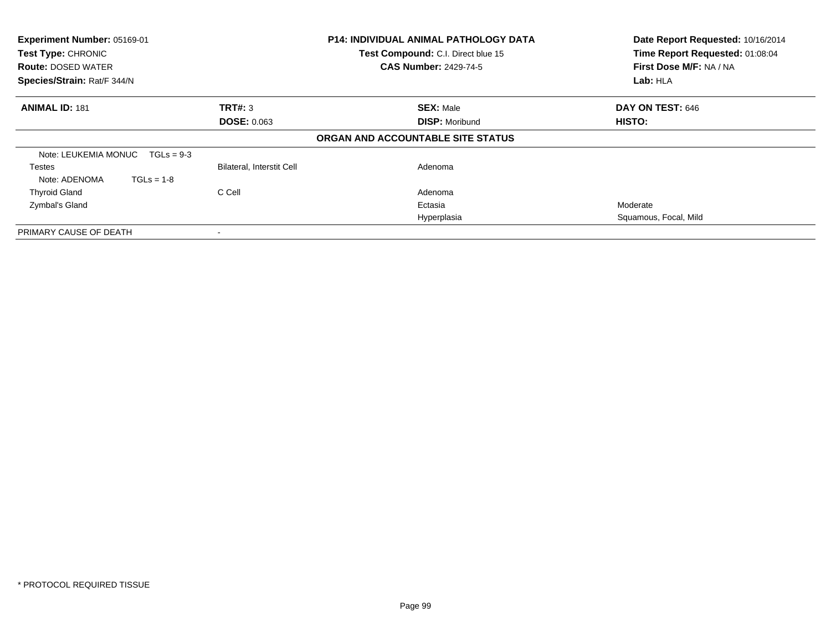| Experiment Number: 05169-01<br>Test Type: CHRONIC<br><b>Route: DOSED WATER</b> |                           | <b>P14: INDIVIDUAL ANIMAL PATHOLOGY DATA</b><br>Test Compound: C.I. Direct blue 15<br><b>CAS Number: 2429-74-5</b> | Date Report Requested: 10/16/2014<br>Time Report Requested: 01:08:04<br>First Dose M/F: NA / NA |
|--------------------------------------------------------------------------------|---------------------------|--------------------------------------------------------------------------------------------------------------------|-------------------------------------------------------------------------------------------------|
| Species/Strain: Rat/F 344/N                                                    |                           |                                                                                                                    | Lab: HLA                                                                                        |
| <b>ANIMAL ID: 181</b>                                                          | TRT#: 3                   | <b>SEX: Male</b>                                                                                                   | DAY ON TEST: 646                                                                                |
|                                                                                | <b>DOSE: 0.063</b>        | <b>DISP: Moribund</b>                                                                                              | <b>HISTO:</b>                                                                                   |
|                                                                                |                           | ORGAN AND ACCOUNTABLE SITE STATUS                                                                                  |                                                                                                 |
| Note: LEUKEMIA MONUC<br>$TGLs = 9-3$                                           |                           |                                                                                                                    |                                                                                                 |
| Testes                                                                         | Bilateral, Interstit Cell | Adenoma                                                                                                            |                                                                                                 |
| $TGLs = 1-8$<br>Note: ADENOMA                                                  |                           |                                                                                                                    |                                                                                                 |
| <b>Thyroid Gland</b>                                                           | C Cell                    | Adenoma                                                                                                            |                                                                                                 |
| Zymbal's Gland                                                                 |                           | Ectasia                                                                                                            | Moderate                                                                                        |
|                                                                                |                           | Hyperplasia                                                                                                        | Squamous, Focal, Mild                                                                           |
| PRIMARY CAUSE OF DEATH                                                         |                           |                                                                                                                    |                                                                                                 |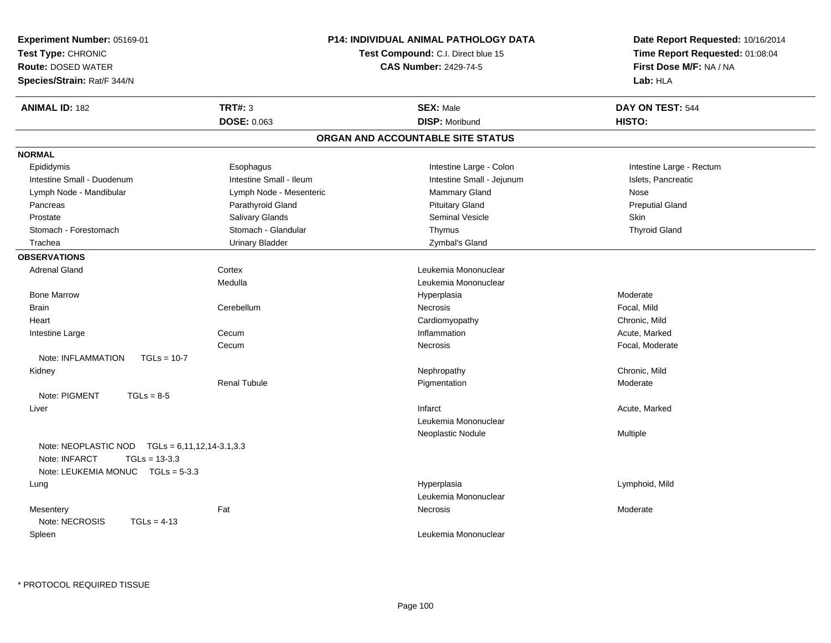| <b>Experiment Number: 05169-01</b>                  |                         | <b>P14: INDIVIDUAL ANIMAL PATHOLOGY DATA</b> | Date Report Requested: 10/16/2014 |  |
|-----------------------------------------------------|-------------------------|----------------------------------------------|-----------------------------------|--|
| Test Type: CHRONIC                                  |                         | Test Compound: C.I. Direct blue 15           | Time Report Requested: 01:08:04   |  |
| <b>Route: DOSED WATER</b>                           |                         | <b>CAS Number: 2429-74-5</b>                 | First Dose M/F: NA / NA           |  |
| Species/Strain: Rat/F 344/N                         |                         |                                              | Lab: HLA                          |  |
| <b>ANIMAL ID: 182</b>                               | <b>TRT#: 3</b>          | <b>SEX: Male</b>                             | DAY ON TEST: 544                  |  |
|                                                     | DOSE: 0.063             | <b>DISP: Moribund</b>                        | HISTO:                            |  |
|                                                     |                         | ORGAN AND ACCOUNTABLE SITE STATUS            |                                   |  |
| <b>NORMAL</b>                                       |                         |                                              |                                   |  |
| Epididymis                                          | Esophagus               | Intestine Large - Colon                      | Intestine Large - Rectum          |  |
| Intestine Small - Duodenum                          | Intestine Small - Ileum | Intestine Small - Jejunum                    | Islets, Pancreatic                |  |
| Lymph Node - Mandibular                             | Lymph Node - Mesenteric | Mammary Gland                                | Nose                              |  |
| Pancreas                                            | Parathyroid Gland       | <b>Pituitary Gland</b>                       | <b>Preputial Gland</b>            |  |
| Prostate                                            | Salivary Glands         | Seminal Vesicle                              | Skin                              |  |
| Stomach - Forestomach                               | Stomach - Glandular     | Thymus                                       | <b>Thyroid Gland</b>              |  |
| Trachea                                             | <b>Urinary Bladder</b>  | Zymbal's Gland                               |                                   |  |
| <b>OBSERVATIONS</b>                                 |                         |                                              |                                   |  |
| <b>Adrenal Gland</b>                                | Cortex                  | Leukemia Mononuclear                         |                                   |  |
|                                                     | Medulla                 | Leukemia Mononuclear                         |                                   |  |
| <b>Bone Marrow</b>                                  |                         | Hyperplasia                                  | Moderate                          |  |
| Brain                                               | Cerebellum              | <b>Necrosis</b>                              | Focal, Mild                       |  |
| Heart                                               |                         | Cardiomyopathy                               | Chronic, Mild                     |  |
| Intestine Large                                     | Cecum                   | Inflammation                                 | Acute, Marked                     |  |
|                                                     | Cecum                   | Necrosis                                     | Focal, Moderate                   |  |
| Note: INFLAMMATION<br>$TGLs = 10-7$                 |                         |                                              |                                   |  |
| Kidney                                              |                         | Nephropathy                                  | Chronic, Mild                     |  |
|                                                     | <b>Renal Tubule</b>     | Pigmentation                                 | Moderate                          |  |
| Note: PIGMENT<br>$TGLs = 8-5$                       |                         |                                              |                                   |  |
| Liver                                               |                         | Infarct                                      | Acute, Marked                     |  |
|                                                     |                         | Leukemia Mononuclear                         |                                   |  |
|                                                     |                         | Neoplastic Nodule                            | Multiple                          |  |
| Note: NEOPLASTIC NOD<br>$TGLs = 6,11,12,14-3.1,3.3$ |                         |                                              |                                   |  |
| Note: INFARCT<br>$TGLs = 13-3.3$                    |                         |                                              |                                   |  |
| Note: LEUKEMIA MONUC TGLs = 5-3.3                   |                         |                                              |                                   |  |
| Lung                                                |                         | Hyperplasia                                  | Lymphoid, Mild                    |  |
|                                                     |                         | Leukemia Mononuclear                         |                                   |  |
| Mesentery                                           | Fat                     | Necrosis                                     | Moderate                          |  |
| Note: NECROSIS<br>$TGLs = 4-13$                     |                         |                                              |                                   |  |
| Spleen                                              |                         | Leukemia Mononuclear                         |                                   |  |
|                                                     |                         |                                              |                                   |  |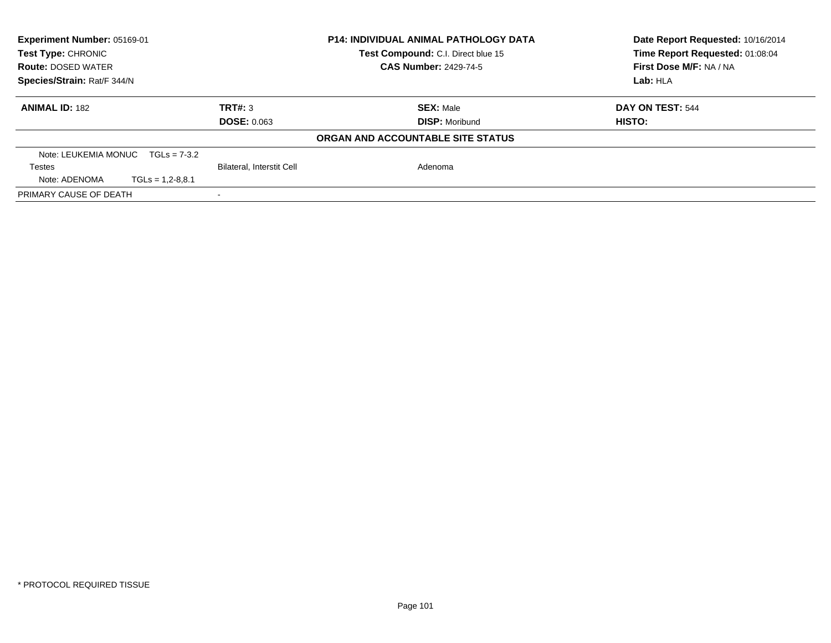| <b>Experiment Number: 05169-01</b><br><b>Test Type: CHRONIC</b> |                    |                           | <b>P14: INDIVIDUAL ANIMAL PATHOLOGY DATA</b><br><b>Test Compound: C.I. Direct blue 15</b> | Date Report Requested: 10/16/2014<br>Time Report Requested: 01:08:04 |
|-----------------------------------------------------------------|--------------------|---------------------------|-------------------------------------------------------------------------------------------|----------------------------------------------------------------------|
| <b>Route: DOSED WATER</b>                                       |                    |                           | <b>CAS Number: 2429-74-5</b>                                                              | First Dose M/F: NA / NA                                              |
| Species/Strain: Rat/F 344/N                                     |                    |                           |                                                                                           | Lab: HLA                                                             |
| <b>ANIMAL ID: 182</b>                                           |                    | TRT#: 3                   | <b>SEX: Male</b>                                                                          | DAY ON TEST: 544                                                     |
|                                                                 |                    | <b>DOSE: 0.063</b>        | <b>DISP:</b> Moribund                                                                     | <b>HISTO:</b>                                                        |
|                                                                 |                    |                           | ORGAN AND ACCOUNTABLE SITE STATUS                                                         |                                                                      |
| Note: LEUKEMIA MONUC $TGLs = 7-3.2$                             |                    |                           |                                                                                           |                                                                      |
| <b>Testes</b>                                                   |                    | Bilateral, Interstit Cell | Adenoma                                                                                   |                                                                      |
| Note: ADENOMA                                                   | $TGLs = 1,2-8,8.1$ |                           |                                                                                           |                                                                      |
| PRIMARY CAUSE OF DEATH                                          |                    |                           |                                                                                           |                                                                      |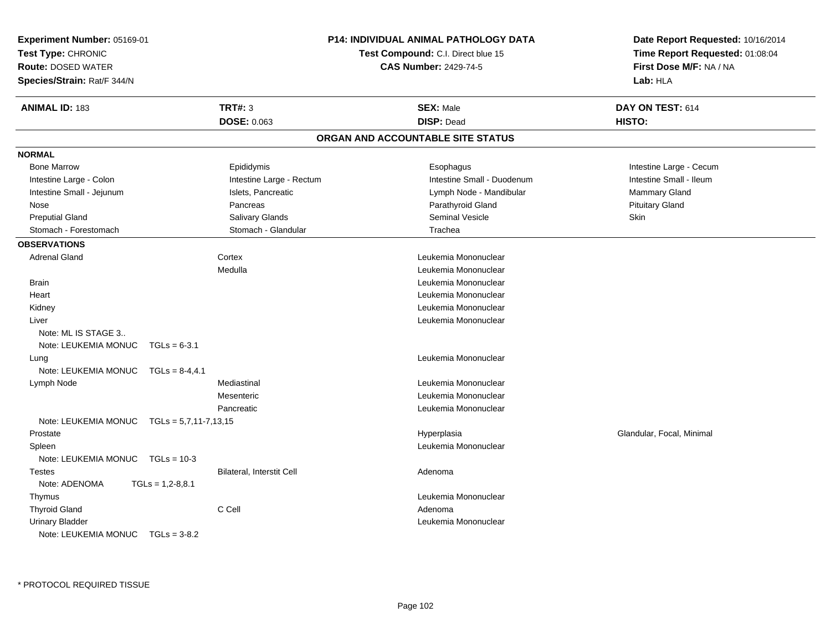| <b>Experiment Number: 05169-01</b><br>Test Type: CHRONIC<br><b>Route: DOSED WATER</b><br>Species/Strain: Rat/F 344/N |                           | <b>P14: INDIVIDUAL ANIMAL PATHOLOGY DATA</b><br>Test Compound: C.I. Direct blue 15<br><b>CAS Number: 2429-74-5</b> | Date Report Requested: 10/16/2014<br>Time Report Requested: 01:08:04<br>First Dose M/F: NA / NA<br>Lab: HLA |
|----------------------------------------------------------------------------------------------------------------------|---------------------------|--------------------------------------------------------------------------------------------------------------------|-------------------------------------------------------------------------------------------------------------|
| <b>ANIMAL ID: 183</b>                                                                                                | <b>TRT#: 3</b>            | <b>SEX: Male</b>                                                                                                   | DAY ON TEST: 614                                                                                            |
|                                                                                                                      | DOSE: 0.063               | <b>DISP: Dead</b>                                                                                                  | HISTO:                                                                                                      |
|                                                                                                                      |                           | ORGAN AND ACCOUNTABLE SITE STATUS                                                                                  |                                                                                                             |
| <b>NORMAL</b>                                                                                                        |                           |                                                                                                                    |                                                                                                             |
| <b>Bone Marrow</b>                                                                                                   | Epididymis                | Esophagus                                                                                                          | Intestine Large - Cecum                                                                                     |
| Intestine Large - Colon                                                                                              | Intestine Large - Rectum  | Intestine Small - Duodenum                                                                                         | Intestine Small - Ileum                                                                                     |
| Intestine Small - Jejunum                                                                                            | Islets, Pancreatic        | Lymph Node - Mandibular                                                                                            | Mammary Gland                                                                                               |
| Nose                                                                                                                 | Pancreas                  | Parathyroid Gland                                                                                                  | <b>Pituitary Gland</b>                                                                                      |
| <b>Preputial Gland</b>                                                                                               | Salivary Glands           | <b>Seminal Vesicle</b>                                                                                             | Skin                                                                                                        |
| Stomach - Forestomach                                                                                                | Stomach - Glandular       | Trachea                                                                                                            |                                                                                                             |
| <b>OBSERVATIONS</b>                                                                                                  |                           |                                                                                                                    |                                                                                                             |
| <b>Adrenal Gland</b>                                                                                                 | Cortex                    | Leukemia Mononuclear                                                                                               |                                                                                                             |
|                                                                                                                      | Medulla                   | Leukemia Mononuclear                                                                                               |                                                                                                             |
| <b>Brain</b>                                                                                                         |                           | Leukemia Mononuclear                                                                                               |                                                                                                             |
| Heart                                                                                                                |                           | Leukemia Mononuclear                                                                                               |                                                                                                             |
| Kidney                                                                                                               |                           | Leukemia Mononuclear                                                                                               |                                                                                                             |
| Liver                                                                                                                |                           | Leukemia Mononuclear                                                                                               |                                                                                                             |
| Note: ML IS STAGE 3                                                                                                  |                           |                                                                                                                    |                                                                                                             |
| Note: LEUKEMIA MONUC                                                                                                 | $TGLs = 6-3.1$            |                                                                                                                    |                                                                                                             |
| Lung                                                                                                                 |                           | Leukemia Mononuclear                                                                                               |                                                                                                             |
| Note: LEUKEMIA MONUC TGLs = 8-4,4.1                                                                                  |                           |                                                                                                                    |                                                                                                             |
| Lymph Node                                                                                                           | Mediastinal               | Leukemia Mononuclear                                                                                               |                                                                                                             |
|                                                                                                                      | Mesenteric                | Leukemia Mononuclear                                                                                               |                                                                                                             |
|                                                                                                                      | Pancreatic                | Leukemia Mononuclear                                                                                               |                                                                                                             |
| Note: LEUKEMIA MONUC $TGLs = 5,7,11-7,13,15$                                                                         |                           |                                                                                                                    |                                                                                                             |
| Prostate                                                                                                             |                           | Hyperplasia                                                                                                        | Glandular, Focal, Minimal                                                                                   |
| Spleen                                                                                                               |                           | Leukemia Mononuclear                                                                                               |                                                                                                             |
| Note: LEUKEMIA MONUC   TGLs = 10-3                                                                                   |                           |                                                                                                                    |                                                                                                             |
| <b>Testes</b>                                                                                                        | Bilateral, Interstit Cell | Adenoma                                                                                                            |                                                                                                             |
| Note: ADENOMA                                                                                                        | $TGLs = 1,2-8,8.1$        |                                                                                                                    |                                                                                                             |
| Thymus                                                                                                               |                           | Leukemia Mononuclear                                                                                               |                                                                                                             |
| <b>Thyroid Gland</b>                                                                                                 | C Cell                    | Adenoma                                                                                                            |                                                                                                             |
| <b>Urinary Bladder</b>                                                                                               |                           | Leukemia Mononuclear                                                                                               |                                                                                                             |
| Note: LEUKEMIA MONUC TGLs = 3-8.2                                                                                    |                           |                                                                                                                    |                                                                                                             |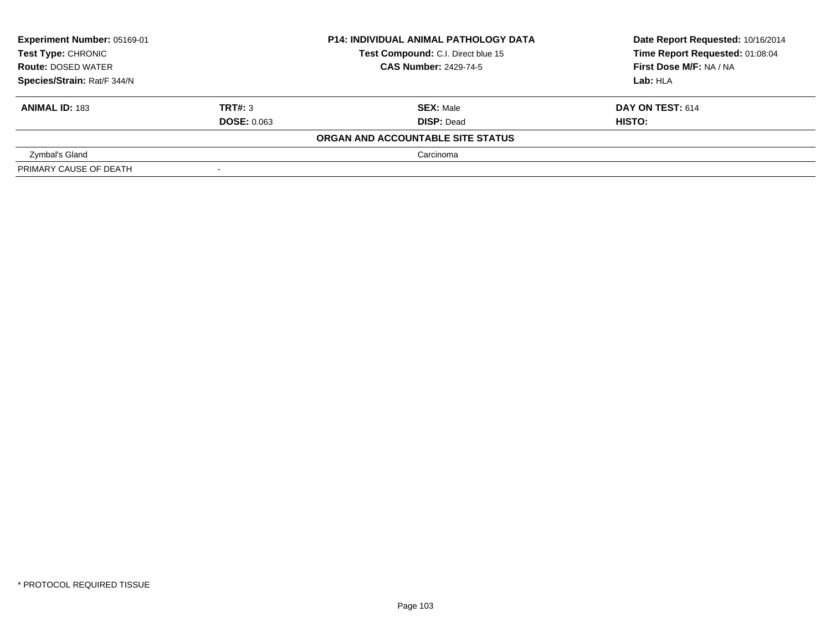| Experiment Number: 05169-01<br><b>Test Type: CHRONIC</b> |                    | <b>P14: INDIVIDUAL ANIMAL PATHOLOGY DATA</b> | Date Report Requested: 10/16/2014 |  |
|----------------------------------------------------------|--------------------|----------------------------------------------|-----------------------------------|--|
|                                                          |                    | Test Compound: C.I. Direct blue 15           | Time Report Requested: 01:08:04   |  |
| <b>Route: DOSED WATER</b>                                |                    | <b>CAS Number: 2429-74-5</b>                 | First Dose M/F: NA / NA           |  |
| Species/Strain: Rat/F 344/N                              |                    |                                              | Lab: HLA                          |  |
| <b>ANIMAL ID: 183</b>                                    | TRT#: 3            | <b>SEX: Male</b>                             | DAY ON TEST: 614                  |  |
|                                                          | <b>DOSE: 0.063</b> | <b>DISP: Dead</b>                            | HISTO:                            |  |
|                                                          |                    | ORGAN AND ACCOUNTABLE SITE STATUS            |                                   |  |
| Zymbal's Gland                                           |                    | Carcinoma                                    |                                   |  |
| PRIMARY CAUSE OF DEATH                                   |                    |                                              |                                   |  |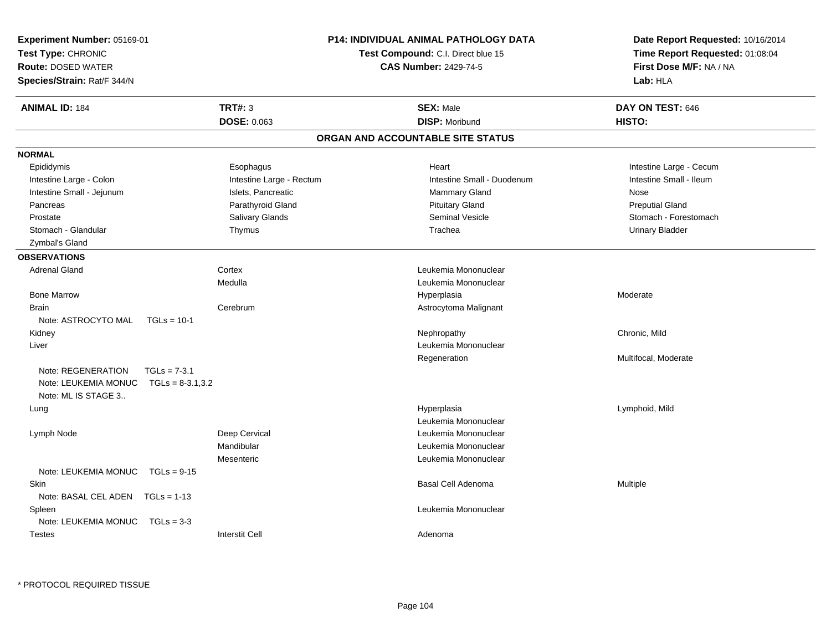| Experiment Number: 05169-01<br>Test Type: CHRONIC<br><b>Route: DOSED WATER</b><br>Species/Strain: Rat/F 344/N |                          | <b>P14: INDIVIDUAL ANIMAL PATHOLOGY DATA</b><br>Test Compound: C.I. Direct blue 15<br><b>CAS Number: 2429-74-5</b> | Date Report Requested: 10/16/2014<br>Time Report Requested: 01:08:04<br>First Dose M/F: NA / NA<br>Lab: HLA |
|---------------------------------------------------------------------------------------------------------------|--------------------------|--------------------------------------------------------------------------------------------------------------------|-------------------------------------------------------------------------------------------------------------|
| <b>ANIMAL ID: 184</b>                                                                                         | <b>TRT#: 3</b>           | <b>SEX: Male</b>                                                                                                   | DAY ON TEST: 646                                                                                            |
|                                                                                                               | DOSE: 0.063              | <b>DISP: Moribund</b>                                                                                              | HISTO:                                                                                                      |
|                                                                                                               |                          | ORGAN AND ACCOUNTABLE SITE STATUS                                                                                  |                                                                                                             |
| <b>NORMAL</b>                                                                                                 |                          |                                                                                                                    |                                                                                                             |
| Epididymis                                                                                                    | Esophagus                | Heart                                                                                                              | Intestine Large - Cecum                                                                                     |
| Intestine Large - Colon                                                                                       | Intestine Large - Rectum | Intestine Small - Duodenum                                                                                         | Intestine Small - Ileum                                                                                     |
| Intestine Small - Jejunum                                                                                     | Islets, Pancreatic       | <b>Mammary Gland</b>                                                                                               | Nose                                                                                                        |
| Pancreas                                                                                                      | Parathyroid Gland        | <b>Pituitary Gland</b>                                                                                             | <b>Preputial Gland</b>                                                                                      |
| Prostate                                                                                                      | Salivary Glands          | <b>Seminal Vesicle</b>                                                                                             | Stomach - Forestomach                                                                                       |
| Stomach - Glandular                                                                                           | Thymus                   | Trachea                                                                                                            | <b>Urinary Bladder</b>                                                                                      |
| Zymbal's Gland                                                                                                |                          |                                                                                                                    |                                                                                                             |
| <b>OBSERVATIONS</b>                                                                                           |                          |                                                                                                                    |                                                                                                             |
| <b>Adrenal Gland</b>                                                                                          | Cortex                   | Leukemia Mononuclear                                                                                               |                                                                                                             |
|                                                                                                               | Medulla                  | Leukemia Mononuclear                                                                                               |                                                                                                             |
| <b>Bone Marrow</b>                                                                                            |                          | Hyperplasia                                                                                                        | Moderate                                                                                                    |
| Brain                                                                                                         | Cerebrum                 | Astrocytoma Malignant                                                                                              |                                                                                                             |
| Note: ASTROCYTO MAL                                                                                           | $TGLs = 10-1$            |                                                                                                                    |                                                                                                             |
| Kidney                                                                                                        |                          | Nephropathy                                                                                                        | Chronic, Mild                                                                                               |
| Liver                                                                                                         |                          | Leukemia Mononuclear                                                                                               |                                                                                                             |
|                                                                                                               |                          | Regeneration                                                                                                       | Multifocal, Moderate                                                                                        |
| Note: REGENERATION                                                                                            | $TGLs = 7-3.1$           |                                                                                                                    |                                                                                                             |
| Note: LEUKEMIA MONUC                                                                                          | $TGLs = 8-3.1,3.2$       |                                                                                                                    |                                                                                                             |
| Note: ML IS STAGE 3                                                                                           |                          |                                                                                                                    |                                                                                                             |
| Lung                                                                                                          |                          | Hyperplasia                                                                                                        | Lymphoid, Mild                                                                                              |
|                                                                                                               |                          | Leukemia Mononuclear                                                                                               |                                                                                                             |
| Lymph Node                                                                                                    | Deep Cervical            | Leukemia Mononuclear                                                                                               |                                                                                                             |
|                                                                                                               | Mandibular               | Leukemia Mononuclear                                                                                               |                                                                                                             |
|                                                                                                               | Mesenteric               | Leukemia Mononuclear                                                                                               |                                                                                                             |
| Note: LEUKEMIA MONUC                                                                                          | $TGLs = 9-15$            |                                                                                                                    |                                                                                                             |
| Skin                                                                                                          |                          | Basal Cell Adenoma                                                                                                 | Multiple                                                                                                    |
| Note: BASAL CEL ADEN   TGLs = 1-13                                                                            |                          |                                                                                                                    |                                                                                                             |
| Spleen                                                                                                        |                          | Leukemia Mononuclear                                                                                               |                                                                                                             |
| Note: LEUKEMIA MONUC                                                                                          | $TGLs = 3-3$             |                                                                                                                    |                                                                                                             |
| <b>Testes</b>                                                                                                 | <b>Interstit Cell</b>    | Adenoma                                                                                                            |                                                                                                             |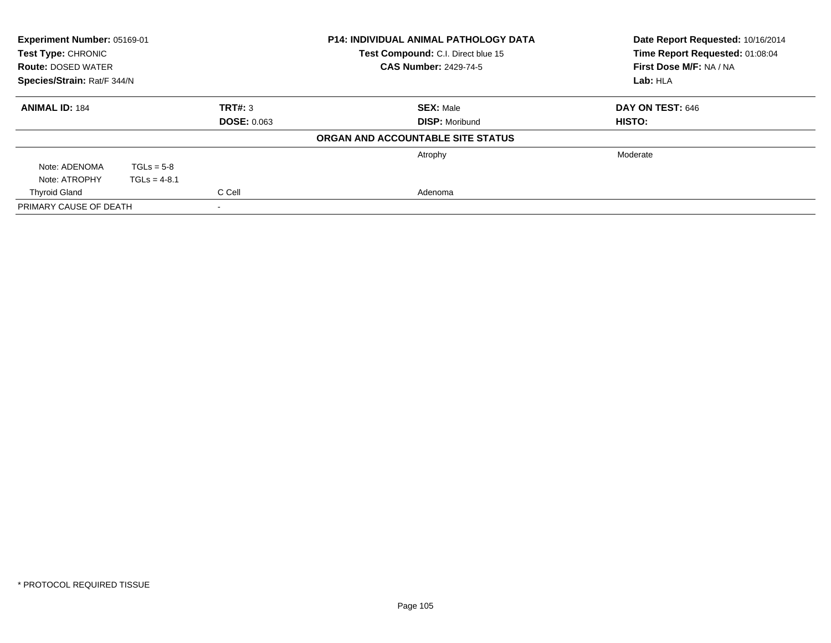| Experiment Number: 05169-01<br><b>Test Type: CHRONIC</b><br><b>Route: DOSED WATER</b><br>Species/Strain: Rat/F 344/N |                |                               | <b>P14: INDIVIDUAL ANIMAL PATHOLOGY DATA</b><br>Test Compound: C.I. Direct blue 15<br><b>CAS Number: 2429-74-5</b> | Date Report Requested: 10/16/2014<br>Time Report Requested: 01:08:04<br>First Dose M/F: NA / NA<br>Lab: HLA |
|----------------------------------------------------------------------------------------------------------------------|----------------|-------------------------------|--------------------------------------------------------------------------------------------------------------------|-------------------------------------------------------------------------------------------------------------|
| <b>ANIMAL ID: 184</b>                                                                                                |                | TRT#: 3<br><b>DOSE: 0.063</b> | <b>SEX: Male</b><br><b>DISP: Moribund</b>                                                                          | DAY ON TEST: 646<br>HISTO:                                                                                  |
|                                                                                                                      |                |                               | ORGAN AND ACCOUNTABLE SITE STATUS                                                                                  |                                                                                                             |
|                                                                                                                      |                |                               | Atrophy                                                                                                            | Moderate                                                                                                    |
| Note: ADENOMA                                                                                                        | $TGLs = 5-8$   |                               |                                                                                                                    |                                                                                                             |
| Note: ATROPHY                                                                                                        | $TGLs = 4-8.1$ |                               |                                                                                                                    |                                                                                                             |
| C Cell<br><b>Thyroid Gland</b>                                                                                       |                |                               | Adenoma                                                                                                            |                                                                                                             |
| PRIMARY CAUSE OF DEATH                                                                                               |                |                               |                                                                                                                    |                                                                                                             |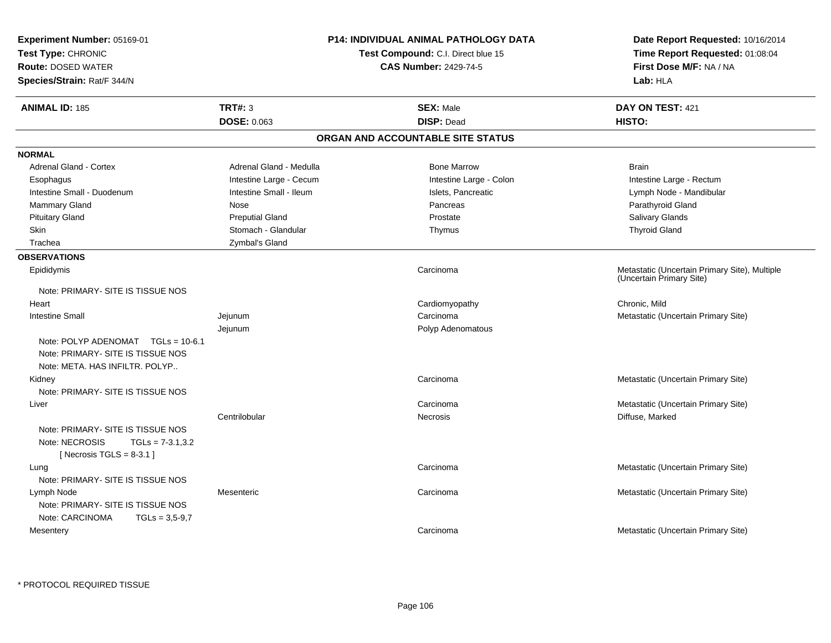| Experiment Number: 05169-01<br>Test Type: CHRONIC<br><b>Route: DOSED WATER</b><br>Species/Strain: Rat/F 344/N |                         | <b>P14: INDIVIDUAL ANIMAL PATHOLOGY DATA</b><br><b>Test Compound: C.I. Direct blue 15</b><br><b>CAS Number: 2429-74-5</b> | Date Report Requested: 10/16/2014<br>Time Report Requested: 01:08:04<br>First Dose M/F: NA / NA<br>Lab: HLA |
|---------------------------------------------------------------------------------------------------------------|-------------------------|---------------------------------------------------------------------------------------------------------------------------|-------------------------------------------------------------------------------------------------------------|
| <b>ANIMAL ID: 185</b>                                                                                         | <b>TRT#: 3</b>          | <b>SEX: Male</b>                                                                                                          | DAY ON TEST: 421                                                                                            |
|                                                                                                               | <b>DOSE: 0.063</b>      | <b>DISP: Dead</b>                                                                                                         | HISTO:                                                                                                      |
|                                                                                                               |                         | ORGAN AND ACCOUNTABLE SITE STATUS                                                                                         |                                                                                                             |
| <b>NORMAL</b>                                                                                                 |                         |                                                                                                                           |                                                                                                             |
| <b>Adrenal Gland - Cortex</b>                                                                                 | Adrenal Gland - Medulla | <b>Bone Marrow</b>                                                                                                        | <b>Brain</b>                                                                                                |
| Esophagus                                                                                                     | Intestine Large - Cecum | Intestine Large - Colon                                                                                                   | Intestine Large - Rectum                                                                                    |
| Intestine Small - Duodenum                                                                                    | Intestine Small - Ileum | Islets, Pancreatic                                                                                                        | Lymph Node - Mandibular                                                                                     |
| <b>Mammary Gland</b>                                                                                          | Nose                    | Pancreas                                                                                                                  | Parathyroid Gland                                                                                           |
| <b>Pituitary Gland</b>                                                                                        | <b>Preputial Gland</b>  | Prostate                                                                                                                  | Salivary Glands                                                                                             |
| Skin                                                                                                          | Stomach - Glandular     | Thymus                                                                                                                    | <b>Thyroid Gland</b>                                                                                        |
| Trachea                                                                                                       | Zymbal's Gland          |                                                                                                                           |                                                                                                             |
| <b>OBSERVATIONS</b>                                                                                           |                         |                                                                                                                           |                                                                                                             |
| Epididymis                                                                                                    |                         | Carcinoma                                                                                                                 | Metastatic (Uncertain Primary Site), Multiple<br>(Uncertain Primary Site)                                   |
| Note: PRIMARY- SITE IS TISSUE NOS                                                                             |                         |                                                                                                                           |                                                                                                             |
| Heart                                                                                                         |                         | Cardiomyopathy                                                                                                            | Chronic, Mild                                                                                               |
| <b>Intestine Small</b>                                                                                        | Jejunum                 | Carcinoma                                                                                                                 | Metastatic (Uncertain Primary Site)                                                                         |
| Note: POLYP ADENOMAT TGLs = 10-6.1<br>Note: PRIMARY- SITE IS TISSUE NOS<br>Note: META. HAS INFILTR. POLYP     | Jejunum                 | Polyp Adenomatous                                                                                                         |                                                                                                             |
| Kidney                                                                                                        |                         | Carcinoma                                                                                                                 | Metastatic (Uncertain Primary Site)                                                                         |
| Note: PRIMARY- SITE IS TISSUE NOS                                                                             |                         |                                                                                                                           |                                                                                                             |
| Liver                                                                                                         |                         | Carcinoma                                                                                                                 | Metastatic (Uncertain Primary Site)                                                                         |
| Note: PRIMARY- SITE IS TISSUE NOS<br>Note: NECROSIS<br>$TGLs = 7-3.1,3.2$<br>[ Necrosis TGLS = $8-3.1$ ]      | Centrilobular           | <b>Necrosis</b>                                                                                                           | Diffuse, Marked                                                                                             |
| Lung<br>Note: PRIMARY- SITE IS TISSUE NOS                                                                     |                         | Carcinoma                                                                                                                 | Metastatic (Uncertain Primary Site)                                                                         |
| Lymph Node<br>Note: PRIMARY- SITE IS TISSUE NOS<br>Note: CARCINOMA<br>$TGLs = 3,5-9,7$                        | Mesenteric              | Carcinoma                                                                                                                 | Metastatic (Uncertain Primary Site)                                                                         |
| Mesentery                                                                                                     |                         | Carcinoma                                                                                                                 | Metastatic (Uncertain Primary Site)                                                                         |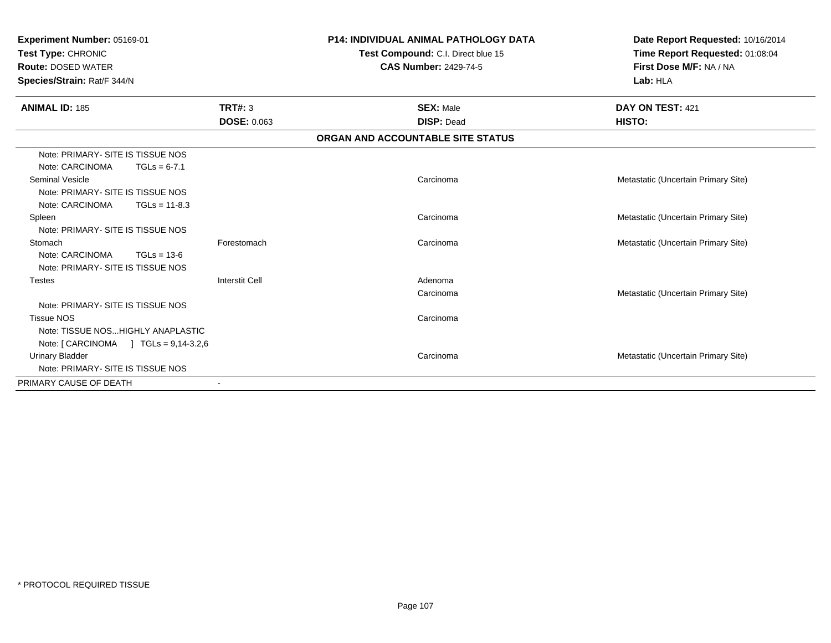| Experiment Number: 05169-01<br>Test Type: CHRONIC<br><b>Route: DOSED WATER</b><br>Species/Strain: Rat/F 344/N |                       | <b>P14: INDIVIDUAL ANIMAL PATHOLOGY DATA</b><br>Test Compound: C.I. Direct blue 15<br><b>CAS Number: 2429-74-5</b> | Date Report Requested: 10/16/2014<br>Time Report Requested: 01:08:04<br>First Dose M/F: NA / NA<br>Lab: HLA |  |
|---------------------------------------------------------------------------------------------------------------|-----------------------|--------------------------------------------------------------------------------------------------------------------|-------------------------------------------------------------------------------------------------------------|--|
| <b>ANIMAL ID: 185</b>                                                                                         | <b>TRT#: 3</b>        | <b>SEX: Male</b>                                                                                                   | DAY ON TEST: 421                                                                                            |  |
|                                                                                                               | <b>DOSE: 0.063</b>    | <b>DISP: Dead</b>                                                                                                  | HISTO:                                                                                                      |  |
|                                                                                                               |                       | ORGAN AND ACCOUNTABLE SITE STATUS                                                                                  |                                                                                                             |  |
| Note: PRIMARY- SITE IS TISSUE NOS                                                                             |                       |                                                                                                                    |                                                                                                             |  |
| Note: CARCINOMA<br>$TGLs = 6-7.1$                                                                             |                       |                                                                                                                    |                                                                                                             |  |
| <b>Seminal Vesicle</b>                                                                                        |                       | Carcinoma                                                                                                          | Metastatic (Uncertain Primary Site)                                                                         |  |
| Note: PRIMARY- SITE IS TISSUE NOS                                                                             |                       |                                                                                                                    |                                                                                                             |  |
| Note: CARCINOMA<br>$TGLs = 11-8.3$                                                                            |                       |                                                                                                                    |                                                                                                             |  |
| Spleen                                                                                                        |                       | Carcinoma                                                                                                          | Metastatic (Uncertain Primary Site)                                                                         |  |
| Note: PRIMARY- SITE IS TISSUE NOS                                                                             |                       |                                                                                                                    |                                                                                                             |  |
| Stomach                                                                                                       | Forestomach           | Carcinoma                                                                                                          | Metastatic (Uncertain Primary Site)                                                                         |  |
| Note: CARCINOMA<br>$TGLs = 13-6$                                                                              |                       |                                                                                                                    |                                                                                                             |  |
| Note: PRIMARY- SITE IS TISSUE NOS                                                                             |                       |                                                                                                                    |                                                                                                             |  |
| <b>Testes</b>                                                                                                 | <b>Interstit Cell</b> | Adenoma                                                                                                            |                                                                                                             |  |
|                                                                                                               |                       | Carcinoma                                                                                                          | Metastatic (Uncertain Primary Site)                                                                         |  |
| Note: PRIMARY-SITE IS TISSUE NOS                                                                              |                       |                                                                                                                    |                                                                                                             |  |
| <b>Tissue NOS</b>                                                                                             |                       | Carcinoma                                                                                                          |                                                                                                             |  |
| Note: TISSUE NOS HIGHLY ANAPLASTIC                                                                            |                       |                                                                                                                    |                                                                                                             |  |
| Note: $\lceil$ CARCINOMA $\rfloor$ TGLs = 9,14-3.2,6                                                          |                       |                                                                                                                    |                                                                                                             |  |
| <b>Urinary Bladder</b>                                                                                        |                       | Carcinoma                                                                                                          | Metastatic (Uncertain Primary Site)                                                                         |  |
| Note: PRIMARY- SITE IS TISSUE NOS                                                                             |                       |                                                                                                                    |                                                                                                             |  |
| PRIMARY CAUSE OF DEATH                                                                                        |                       |                                                                                                                    |                                                                                                             |  |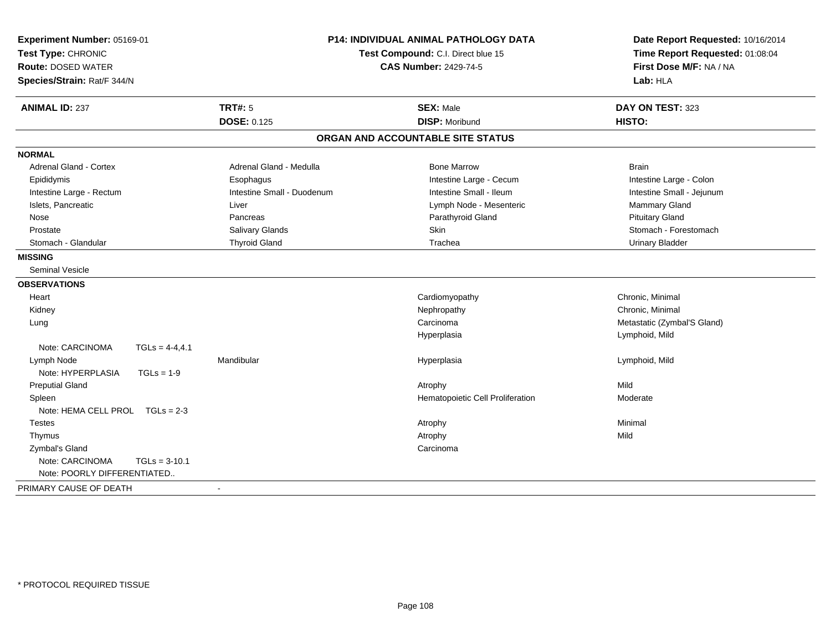| Experiment Number: 05169-01<br>Test Type: CHRONIC<br><b>Route: DOSED WATER</b><br>Species/Strain: Rat/F 344/N | <b>P14: INDIVIDUAL ANIMAL PATHOLOGY DATA</b><br>Test Compound: C.I. Direct blue 15<br><b>CAS Number: 2429-74-5</b> |                                   | Date Report Requested: 10/16/2014<br>Time Report Requested: 01:08:04<br>First Dose M/F: NA / NA<br>Lab: HLA |
|---------------------------------------------------------------------------------------------------------------|--------------------------------------------------------------------------------------------------------------------|-----------------------------------|-------------------------------------------------------------------------------------------------------------|
| <b>ANIMAL ID: 237</b>                                                                                         | <b>TRT#: 5</b>                                                                                                     | <b>SEX: Male</b>                  | DAY ON TEST: 323                                                                                            |
|                                                                                                               | <b>DOSE: 0.125</b>                                                                                                 | <b>DISP: Moribund</b>             | HISTO:                                                                                                      |
|                                                                                                               |                                                                                                                    | ORGAN AND ACCOUNTABLE SITE STATUS |                                                                                                             |
| <b>NORMAL</b>                                                                                                 |                                                                                                                    |                                   |                                                                                                             |
| Adrenal Gland - Cortex                                                                                        | Adrenal Gland - Medulla                                                                                            | <b>Bone Marrow</b>                | <b>Brain</b>                                                                                                |
| Epididymis                                                                                                    | Esophagus                                                                                                          | Intestine Large - Cecum           | Intestine Large - Colon                                                                                     |
| Intestine Large - Rectum                                                                                      | Intestine Small - Duodenum                                                                                         | Intestine Small - Ileum           | Intestine Small - Jejunum                                                                                   |
| Islets, Pancreatic                                                                                            | Liver                                                                                                              | Lymph Node - Mesenteric           | Mammary Gland                                                                                               |
| Nose                                                                                                          | Pancreas                                                                                                           | Parathyroid Gland                 | <b>Pituitary Gland</b>                                                                                      |
| Prostate                                                                                                      | Salivary Glands                                                                                                    | Skin                              | Stomach - Forestomach                                                                                       |
| Stomach - Glandular                                                                                           | <b>Thyroid Gland</b>                                                                                               | Trachea                           | <b>Urinary Bladder</b>                                                                                      |
| <b>MISSING</b>                                                                                                |                                                                                                                    |                                   |                                                                                                             |
| <b>Seminal Vesicle</b>                                                                                        |                                                                                                                    |                                   |                                                                                                             |
| <b>OBSERVATIONS</b>                                                                                           |                                                                                                                    |                                   |                                                                                                             |
| Heart                                                                                                         |                                                                                                                    | Cardiomyopathy                    | Chronic. Minimal                                                                                            |
| Kidney                                                                                                        |                                                                                                                    | Nephropathy                       | Chronic, Minimal                                                                                            |
| Lung                                                                                                          |                                                                                                                    | Carcinoma                         | Metastatic (Zymbal'S Gland)                                                                                 |
|                                                                                                               |                                                                                                                    | Hyperplasia                       | Lymphoid, Mild                                                                                              |
| Note: CARCINOMA<br>$TGLS = 4-4, 4.1$                                                                          |                                                                                                                    |                                   |                                                                                                             |
| Lymph Node                                                                                                    | Mandibular                                                                                                         | Hyperplasia                       | Lymphoid, Mild                                                                                              |
| Note: HYPERPLASIA<br>$TGLs = 1-9$                                                                             |                                                                                                                    |                                   |                                                                                                             |
| <b>Preputial Gland</b>                                                                                        |                                                                                                                    | Atrophy                           | Mild                                                                                                        |
| Spleen                                                                                                        |                                                                                                                    | Hematopoietic Cell Proliferation  | Moderate                                                                                                    |
| Note: HEMA CELL PROL TGLs = 2-3                                                                               |                                                                                                                    |                                   |                                                                                                             |
| <b>Testes</b>                                                                                                 |                                                                                                                    | Atrophy                           | Minimal                                                                                                     |
| Thymus                                                                                                        |                                                                                                                    | Atrophy                           | Mild                                                                                                        |
| Zymbal's Gland                                                                                                |                                                                                                                    | Carcinoma                         |                                                                                                             |
| Note: CARCINOMA<br>$TGLs = 3-10.1$                                                                            |                                                                                                                    |                                   |                                                                                                             |
| Note: POORLY DIFFERENTIATED                                                                                   |                                                                                                                    |                                   |                                                                                                             |
| PRIMARY CAUSE OF DEATH                                                                                        | $\blacksquare$                                                                                                     |                                   |                                                                                                             |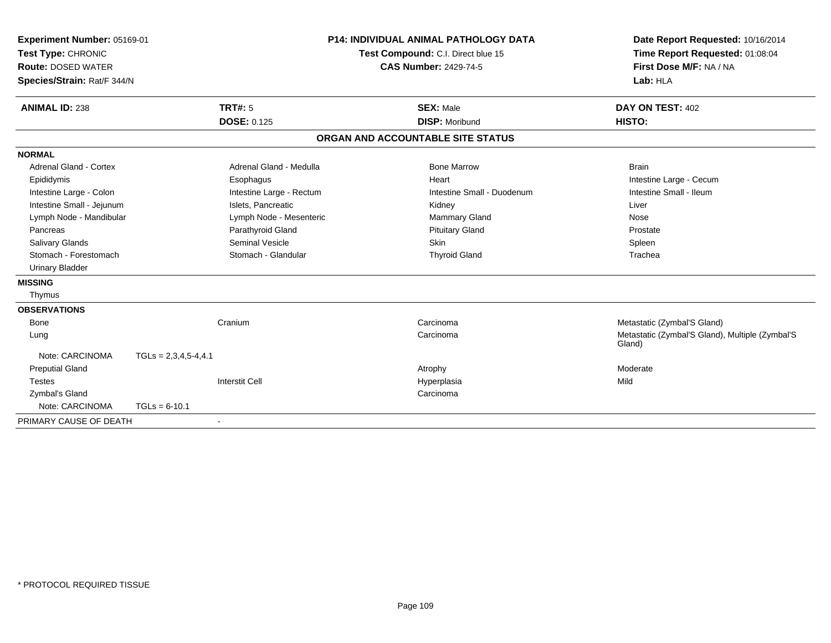| Experiment Number: 05169-01<br>Test Type: CHRONIC<br><b>Route: DOSED WATER</b><br>Species/Strain: Rat/F 344/N |                        |                          | <b>P14: INDIVIDUAL ANIMAL PATHOLOGY DATA</b><br>Test Compound: C.I. Direct blue 15<br><b>CAS Number: 2429-74-5</b> |                                   | Date Report Requested: 10/16/2014<br>Time Report Requested: 01:08:04<br>First Dose M/F: NA / NA<br>Lab: HLA |  |
|---------------------------------------------------------------------------------------------------------------|------------------------|--------------------------|--------------------------------------------------------------------------------------------------------------------|-----------------------------------|-------------------------------------------------------------------------------------------------------------|--|
| <b>ANIMAL ID: 238</b>                                                                                         |                        | <b>TRT#: 5</b>           |                                                                                                                    | <b>SEX: Male</b>                  | DAY ON TEST: 402                                                                                            |  |
|                                                                                                               |                        | <b>DOSE: 0.125</b>       |                                                                                                                    | <b>DISP: Moribund</b>             | HISTO:                                                                                                      |  |
|                                                                                                               |                        |                          |                                                                                                                    | ORGAN AND ACCOUNTABLE SITE STATUS |                                                                                                             |  |
| <b>NORMAL</b>                                                                                                 |                        |                          |                                                                                                                    |                                   |                                                                                                             |  |
| <b>Adrenal Gland - Cortex</b>                                                                                 |                        | Adrenal Gland - Medulla  |                                                                                                                    | <b>Bone Marrow</b>                | <b>Brain</b>                                                                                                |  |
| Epididymis                                                                                                    |                        | Esophagus                |                                                                                                                    | Heart                             | Intestine Large - Cecum                                                                                     |  |
| Intestine Large - Colon                                                                                       |                        | Intestine Large - Rectum |                                                                                                                    | Intestine Small - Duodenum        | Intestine Small - Ileum                                                                                     |  |
| Intestine Small - Jejunum                                                                                     |                        | Islets, Pancreatic       |                                                                                                                    | Kidney                            | Liver                                                                                                       |  |
| Lymph Node - Mandibular                                                                                       |                        | Lymph Node - Mesenteric  |                                                                                                                    | Mammary Gland                     | Nose                                                                                                        |  |
| Pancreas                                                                                                      |                        | Parathyroid Gland        |                                                                                                                    | <b>Pituitary Gland</b>            | Prostate                                                                                                    |  |
| Salivary Glands                                                                                               |                        | <b>Seminal Vesicle</b>   |                                                                                                                    | <b>Skin</b>                       | Spleen                                                                                                      |  |
| Stomach - Forestomach                                                                                         |                        | Stomach - Glandular      |                                                                                                                    | <b>Thyroid Gland</b>              | Trachea                                                                                                     |  |
| <b>Urinary Bladder</b>                                                                                        |                        |                          |                                                                                                                    |                                   |                                                                                                             |  |
| <b>MISSING</b>                                                                                                |                        |                          |                                                                                                                    |                                   |                                                                                                             |  |
| Thymus                                                                                                        |                        |                          |                                                                                                                    |                                   |                                                                                                             |  |
| <b>OBSERVATIONS</b>                                                                                           |                        |                          |                                                                                                                    |                                   |                                                                                                             |  |
| <b>Bone</b>                                                                                                   |                        | Cranium                  |                                                                                                                    | Carcinoma                         | Metastatic (Zymbal'S Gland)                                                                                 |  |
| Lung                                                                                                          |                        |                          |                                                                                                                    | Carcinoma                         | Metastatic (Zymbal'S Gland), Multiple (Zymbal'S<br>Gland)                                                   |  |
| Note: CARCINOMA                                                                                               | $TGLs = 2,3,4,5-4,4.1$ |                          |                                                                                                                    |                                   |                                                                                                             |  |
| <b>Preputial Gland</b>                                                                                        |                        |                          |                                                                                                                    | Atrophy                           | Moderate                                                                                                    |  |
| Testes                                                                                                        |                        | <b>Interstit Cell</b>    |                                                                                                                    | Hyperplasia                       | Mild                                                                                                        |  |
| Zymbal's Gland                                                                                                |                        |                          |                                                                                                                    | Carcinoma                         |                                                                                                             |  |
| Note: CARCINOMA                                                                                               | $TGLs = 6-10.1$        |                          |                                                                                                                    |                                   |                                                                                                             |  |
| PRIMARY CAUSE OF DEATH                                                                                        |                        | $\blacksquare$           |                                                                                                                    |                                   |                                                                                                             |  |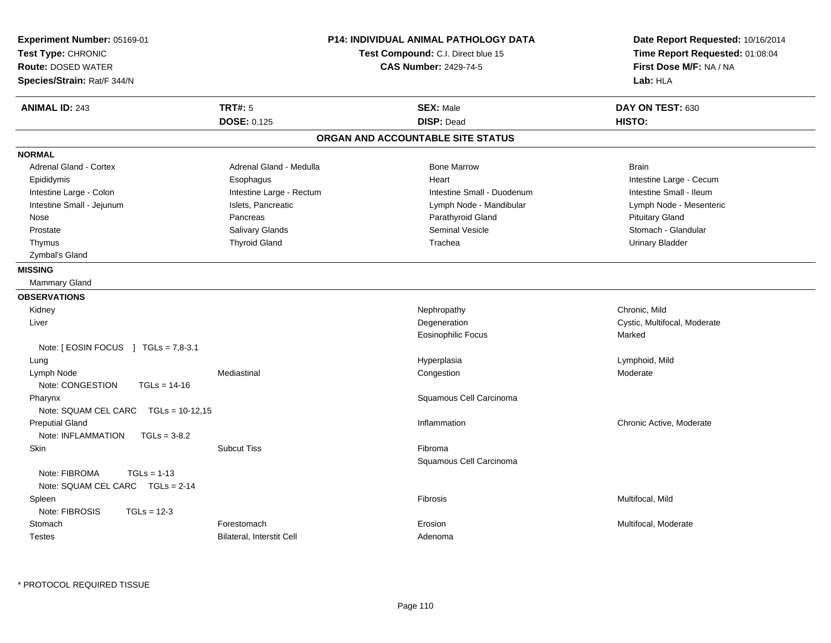| <b>TRT#: 5</b><br><b>ANIMAL ID: 243</b><br><b>SEX: Male</b><br>DAY ON TEST: 630<br><b>DOSE: 0.125</b><br><b>DISP: Dead</b><br>HISTO:<br>ORGAN AND ACCOUNTABLE SITE STATUS<br><b>NORMAL</b><br><b>Adrenal Gland - Cortex</b><br>Adrenal Gland - Medulla<br><b>Bone Marrow</b><br><b>Brain</b><br>Epididymis<br>Heart<br>Intestine Large - Cecum<br>Esophagus<br>Intestine Large - Colon<br>Intestine Large - Rectum<br>Intestine Small - Ileum<br>Intestine Small - Duodenum<br>Intestine Small - Jejunum<br>Islets, Pancreatic<br>Lymph Node - Mandibular<br>Lymph Node - Mesenteric<br><b>Pituitary Gland</b><br>Pancreas<br>Parathyroid Gland<br>Nose<br>Salivary Glands<br>Seminal Vesicle<br>Stomach - Glandular<br>Prostate<br><b>Thyroid Gland</b><br>Trachea<br><b>Urinary Bladder</b><br>Thymus<br>Zymbal's Gland<br><b>MISSING</b><br>Mammary Gland<br><b>OBSERVATIONS</b><br>Chronic, Mild<br>Kidney<br>Nephropathy<br>Degeneration<br>Cystic, Multifocal, Moderate<br>Liver<br>Eosinophilic Focus<br>Marked<br>Note: [ EOSIN FOCUS ] TGLs = 7,8-3.1<br>Lymphoid, Mild<br>Lung<br>Hyperplasia<br>Lymph Node<br>Mediastinal<br>Congestion<br>Moderate<br>Note: CONGESTION<br>$TGLs = 14-16$<br>Squamous Cell Carcinoma<br>Pharynx<br>Note: SQUAM CEL CARC  TGLs = 10-12,15<br><b>Preputial Gland</b><br>Inflammation<br>Chronic Active, Moderate<br>Note: INFLAMMATION<br>$TGLs = 3-8.2$<br><b>Skin</b><br><b>Subcut Tiss</b><br>Fibroma<br>Squamous Cell Carcinoma<br>Note: FIBROMA<br>$TGLs = 1-13$<br>Note: SQUAM CEL CARC TGLs = 2-14<br>Fibrosis<br>Multifocal, Mild<br>Spleen<br>Note: FIBROSIS<br>$TGLs = 12-3$<br>Forestomach<br>Multifocal, Moderate<br>Stomach<br>Erosion<br>Bilateral, Interstit Cell<br><b>Testes</b><br>Adenoma | Experiment Number: 05169-01<br>Test Type: CHRONIC<br><b>Route: DOSED WATER</b><br>Species/Strain: Rat/F 344/N | <b>P14: INDIVIDUAL ANIMAL PATHOLOGY DATA</b><br>Test Compound: C.I. Direct blue 15<br><b>CAS Number: 2429-74-5</b> | Date Report Requested: 10/16/2014<br>Time Report Requested: 01:08:04<br>First Dose M/F: NA / NA<br>Lab: HLA |
|-------------------------------------------------------------------------------------------------------------------------------------------------------------------------------------------------------------------------------------------------------------------------------------------------------------------------------------------------------------------------------------------------------------------------------------------------------------------------------------------------------------------------------------------------------------------------------------------------------------------------------------------------------------------------------------------------------------------------------------------------------------------------------------------------------------------------------------------------------------------------------------------------------------------------------------------------------------------------------------------------------------------------------------------------------------------------------------------------------------------------------------------------------------------------------------------------------------------------------------------------------------------------------------------------------------------------------------------------------------------------------------------------------------------------------------------------------------------------------------------------------------------------------------------------------------------------------------------------------------------------------------------------------------------------------------------------------------------------------------------------------|---------------------------------------------------------------------------------------------------------------|--------------------------------------------------------------------------------------------------------------------|-------------------------------------------------------------------------------------------------------------|
|                                                                                                                                                                                                                                                                                                                                                                                                                                                                                                                                                                                                                                                                                                                                                                                                                                                                                                                                                                                                                                                                                                                                                                                                                                                                                                                                                                                                                                                                                                                                                                                                                                                                                                                                                       |                                                                                                               |                                                                                                                    |                                                                                                             |
|                                                                                                                                                                                                                                                                                                                                                                                                                                                                                                                                                                                                                                                                                                                                                                                                                                                                                                                                                                                                                                                                                                                                                                                                                                                                                                                                                                                                                                                                                                                                                                                                                                                                                                                                                       |                                                                                                               |                                                                                                                    |                                                                                                             |
|                                                                                                                                                                                                                                                                                                                                                                                                                                                                                                                                                                                                                                                                                                                                                                                                                                                                                                                                                                                                                                                                                                                                                                                                                                                                                                                                                                                                                                                                                                                                                                                                                                                                                                                                                       |                                                                                                               |                                                                                                                    |                                                                                                             |
|                                                                                                                                                                                                                                                                                                                                                                                                                                                                                                                                                                                                                                                                                                                                                                                                                                                                                                                                                                                                                                                                                                                                                                                                                                                                                                                                                                                                                                                                                                                                                                                                                                                                                                                                                       |                                                                                                               |                                                                                                                    |                                                                                                             |
|                                                                                                                                                                                                                                                                                                                                                                                                                                                                                                                                                                                                                                                                                                                                                                                                                                                                                                                                                                                                                                                                                                                                                                                                                                                                                                                                                                                                                                                                                                                                                                                                                                                                                                                                                       |                                                                                                               |                                                                                                                    |                                                                                                             |
|                                                                                                                                                                                                                                                                                                                                                                                                                                                                                                                                                                                                                                                                                                                                                                                                                                                                                                                                                                                                                                                                                                                                                                                                                                                                                                                                                                                                                                                                                                                                                                                                                                                                                                                                                       |                                                                                                               |                                                                                                                    |                                                                                                             |
|                                                                                                                                                                                                                                                                                                                                                                                                                                                                                                                                                                                                                                                                                                                                                                                                                                                                                                                                                                                                                                                                                                                                                                                                                                                                                                                                                                                                                                                                                                                                                                                                                                                                                                                                                       |                                                                                                               |                                                                                                                    |                                                                                                             |
|                                                                                                                                                                                                                                                                                                                                                                                                                                                                                                                                                                                                                                                                                                                                                                                                                                                                                                                                                                                                                                                                                                                                                                                                                                                                                                                                                                                                                                                                                                                                                                                                                                                                                                                                                       |                                                                                                               |                                                                                                                    |                                                                                                             |
|                                                                                                                                                                                                                                                                                                                                                                                                                                                                                                                                                                                                                                                                                                                                                                                                                                                                                                                                                                                                                                                                                                                                                                                                                                                                                                                                                                                                                                                                                                                                                                                                                                                                                                                                                       |                                                                                                               |                                                                                                                    |                                                                                                             |
|                                                                                                                                                                                                                                                                                                                                                                                                                                                                                                                                                                                                                                                                                                                                                                                                                                                                                                                                                                                                                                                                                                                                                                                                                                                                                                                                                                                                                                                                                                                                                                                                                                                                                                                                                       |                                                                                                               |                                                                                                                    |                                                                                                             |
|                                                                                                                                                                                                                                                                                                                                                                                                                                                                                                                                                                                                                                                                                                                                                                                                                                                                                                                                                                                                                                                                                                                                                                                                                                                                                                                                                                                                                                                                                                                                                                                                                                                                                                                                                       |                                                                                                               |                                                                                                                    |                                                                                                             |
|                                                                                                                                                                                                                                                                                                                                                                                                                                                                                                                                                                                                                                                                                                                                                                                                                                                                                                                                                                                                                                                                                                                                                                                                                                                                                                                                                                                                                                                                                                                                                                                                                                                                                                                                                       |                                                                                                               |                                                                                                                    |                                                                                                             |
|                                                                                                                                                                                                                                                                                                                                                                                                                                                                                                                                                                                                                                                                                                                                                                                                                                                                                                                                                                                                                                                                                                                                                                                                                                                                                                                                                                                                                                                                                                                                                                                                                                                                                                                                                       |                                                                                                               |                                                                                                                    |                                                                                                             |
|                                                                                                                                                                                                                                                                                                                                                                                                                                                                                                                                                                                                                                                                                                                                                                                                                                                                                                                                                                                                                                                                                                                                                                                                                                                                                                                                                                                                                                                                                                                                                                                                                                                                                                                                                       |                                                                                                               |                                                                                                                    |                                                                                                             |
|                                                                                                                                                                                                                                                                                                                                                                                                                                                                                                                                                                                                                                                                                                                                                                                                                                                                                                                                                                                                                                                                                                                                                                                                                                                                                                                                                                                                                                                                                                                                                                                                                                                                                                                                                       |                                                                                                               |                                                                                                                    |                                                                                                             |
|                                                                                                                                                                                                                                                                                                                                                                                                                                                                                                                                                                                                                                                                                                                                                                                                                                                                                                                                                                                                                                                                                                                                                                                                                                                                                                                                                                                                                                                                                                                                                                                                                                                                                                                                                       |                                                                                                               |                                                                                                                    |                                                                                                             |
|                                                                                                                                                                                                                                                                                                                                                                                                                                                                                                                                                                                                                                                                                                                                                                                                                                                                                                                                                                                                                                                                                                                                                                                                                                                                                                                                                                                                                                                                                                                                                                                                                                                                                                                                                       |                                                                                                               |                                                                                                                    |                                                                                                             |
|                                                                                                                                                                                                                                                                                                                                                                                                                                                                                                                                                                                                                                                                                                                                                                                                                                                                                                                                                                                                                                                                                                                                                                                                                                                                                                                                                                                                                                                                                                                                                                                                                                                                                                                                                       |                                                                                                               |                                                                                                                    |                                                                                                             |
|                                                                                                                                                                                                                                                                                                                                                                                                                                                                                                                                                                                                                                                                                                                                                                                                                                                                                                                                                                                                                                                                                                                                                                                                                                                                                                                                                                                                                                                                                                                                                                                                                                                                                                                                                       |                                                                                                               |                                                                                                                    |                                                                                                             |
|                                                                                                                                                                                                                                                                                                                                                                                                                                                                                                                                                                                                                                                                                                                                                                                                                                                                                                                                                                                                                                                                                                                                                                                                                                                                                                                                                                                                                                                                                                                                                                                                                                                                                                                                                       |                                                                                                               |                                                                                                                    |                                                                                                             |
|                                                                                                                                                                                                                                                                                                                                                                                                                                                                                                                                                                                                                                                                                                                                                                                                                                                                                                                                                                                                                                                                                                                                                                                                                                                                                                                                                                                                                                                                                                                                                                                                                                                                                                                                                       |                                                                                                               |                                                                                                                    |                                                                                                             |
|                                                                                                                                                                                                                                                                                                                                                                                                                                                                                                                                                                                                                                                                                                                                                                                                                                                                                                                                                                                                                                                                                                                                                                                                                                                                                                                                                                                                                                                                                                                                                                                                                                                                                                                                                       |                                                                                                               |                                                                                                                    |                                                                                                             |
|                                                                                                                                                                                                                                                                                                                                                                                                                                                                                                                                                                                                                                                                                                                                                                                                                                                                                                                                                                                                                                                                                                                                                                                                                                                                                                                                                                                                                                                                                                                                                                                                                                                                                                                                                       |                                                                                                               |                                                                                                                    |                                                                                                             |
|                                                                                                                                                                                                                                                                                                                                                                                                                                                                                                                                                                                                                                                                                                                                                                                                                                                                                                                                                                                                                                                                                                                                                                                                                                                                                                                                                                                                                                                                                                                                                                                                                                                                                                                                                       |                                                                                                               |                                                                                                                    |                                                                                                             |
|                                                                                                                                                                                                                                                                                                                                                                                                                                                                                                                                                                                                                                                                                                                                                                                                                                                                                                                                                                                                                                                                                                                                                                                                                                                                                                                                                                                                                                                                                                                                                                                                                                                                                                                                                       |                                                                                                               |                                                                                                                    |                                                                                                             |
|                                                                                                                                                                                                                                                                                                                                                                                                                                                                                                                                                                                                                                                                                                                                                                                                                                                                                                                                                                                                                                                                                                                                                                                                                                                                                                                                                                                                                                                                                                                                                                                                                                                                                                                                                       |                                                                                                               |                                                                                                                    |                                                                                                             |
|                                                                                                                                                                                                                                                                                                                                                                                                                                                                                                                                                                                                                                                                                                                                                                                                                                                                                                                                                                                                                                                                                                                                                                                                                                                                                                                                                                                                                                                                                                                                                                                                                                                                                                                                                       |                                                                                                               |                                                                                                                    |                                                                                                             |
|                                                                                                                                                                                                                                                                                                                                                                                                                                                                                                                                                                                                                                                                                                                                                                                                                                                                                                                                                                                                                                                                                                                                                                                                                                                                                                                                                                                                                                                                                                                                                                                                                                                                                                                                                       |                                                                                                               |                                                                                                                    |                                                                                                             |
|                                                                                                                                                                                                                                                                                                                                                                                                                                                                                                                                                                                                                                                                                                                                                                                                                                                                                                                                                                                                                                                                                                                                                                                                                                                                                                                                                                                                                                                                                                                                                                                                                                                                                                                                                       |                                                                                                               |                                                                                                                    |                                                                                                             |
|                                                                                                                                                                                                                                                                                                                                                                                                                                                                                                                                                                                                                                                                                                                                                                                                                                                                                                                                                                                                                                                                                                                                                                                                                                                                                                                                                                                                                                                                                                                                                                                                                                                                                                                                                       |                                                                                                               |                                                                                                                    |                                                                                                             |
|                                                                                                                                                                                                                                                                                                                                                                                                                                                                                                                                                                                                                                                                                                                                                                                                                                                                                                                                                                                                                                                                                                                                                                                                                                                                                                                                                                                                                                                                                                                                                                                                                                                                                                                                                       |                                                                                                               |                                                                                                                    |                                                                                                             |
|                                                                                                                                                                                                                                                                                                                                                                                                                                                                                                                                                                                                                                                                                                                                                                                                                                                                                                                                                                                                                                                                                                                                                                                                                                                                                                                                                                                                                                                                                                                                                                                                                                                                                                                                                       |                                                                                                               |                                                                                                                    |                                                                                                             |
|                                                                                                                                                                                                                                                                                                                                                                                                                                                                                                                                                                                                                                                                                                                                                                                                                                                                                                                                                                                                                                                                                                                                                                                                                                                                                                                                                                                                                                                                                                                                                                                                                                                                                                                                                       |                                                                                                               |                                                                                                                    |                                                                                                             |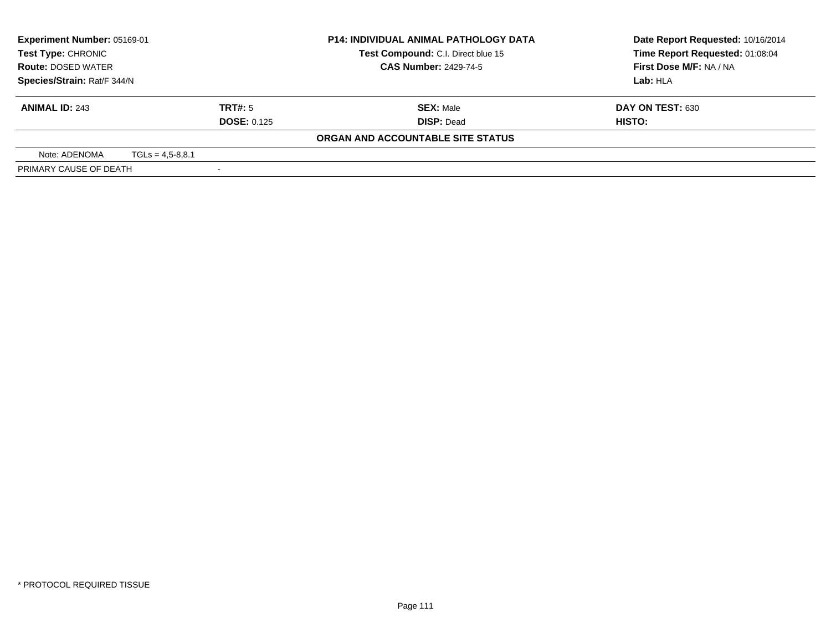| <b>Experiment Number: 05169-01</b>                     |                      |                    | <b>P14: INDIVIDUAL ANIMAL PATHOLOGY DATA</b> | Date Report Requested: 10/16/2014 |
|--------------------------------------------------------|----------------------|--------------------|----------------------------------------------|-----------------------------------|
| <b>Test Type: CHRONIC</b><br><b>Route: DOSED WATER</b> |                      |                    | Test Compound: C.I. Direct blue 15           | Time Report Requested: 01:08:04   |
|                                                        |                      |                    | <b>CAS Number: 2429-74-5</b>                 | First Dose M/F: NA / NA           |
| Species/Strain: Rat/F 344/N                            | Lab: HLA             |                    |                                              |                                   |
| <b>ANIMAL ID: 243</b>                                  |                      | TRT#: 5            | <b>SEX: Male</b>                             | DAY ON TEST: 630                  |
|                                                        |                      | <b>DOSE: 0.125</b> | <b>DISP: Dead</b>                            | HISTO:                            |
|                                                        |                      |                    | ORGAN AND ACCOUNTABLE SITE STATUS            |                                   |
| Note: ADENOMA                                          | $TGLs = 4.5 - 8.8.1$ |                    |                                              |                                   |
| PRIMARY CAUSE OF DEATH                                 |                      |                    |                                              |                                   |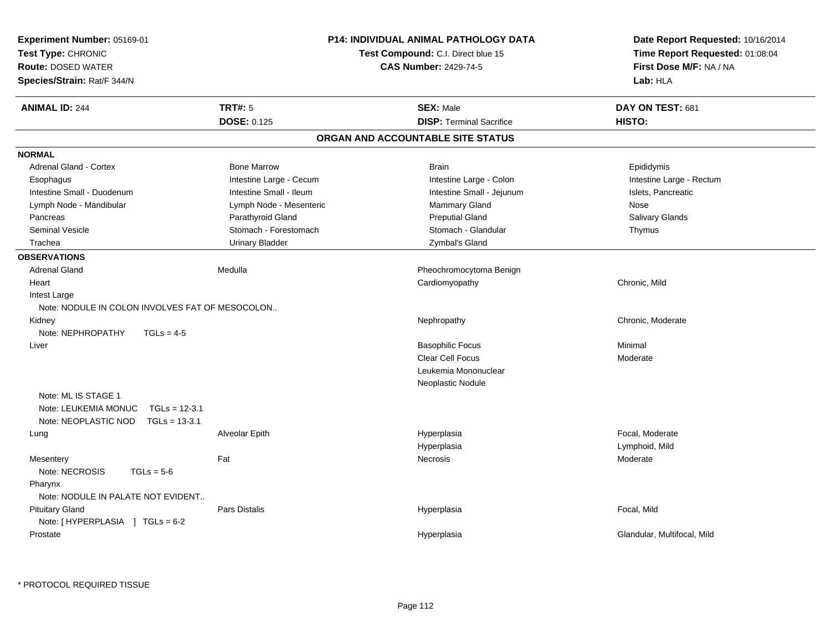| Experiment Number: 05169-01<br>Test Type: CHRONIC<br><b>Route: DOSED WATER</b><br>Species/Strain: Rat/F 344/N |                         | <b>P14: INDIVIDUAL ANIMAL PATHOLOGY DATA</b><br>Test Compound: C.I. Direct blue 15<br><b>CAS Number: 2429-74-5</b> | Date Report Requested: 10/16/2014<br>Time Report Requested: 01:08:04<br>First Dose M/F: NA / NA<br>Lab: HLA |
|---------------------------------------------------------------------------------------------------------------|-------------------------|--------------------------------------------------------------------------------------------------------------------|-------------------------------------------------------------------------------------------------------------|
| <b>ANIMAL ID: 244</b>                                                                                         | <b>TRT#: 5</b>          | <b>SEX: Male</b>                                                                                                   | DAY ON TEST: 681                                                                                            |
|                                                                                                               | DOSE: 0.125             | <b>DISP: Terminal Sacrifice</b>                                                                                    | HISTO:                                                                                                      |
|                                                                                                               |                         | ORGAN AND ACCOUNTABLE SITE STATUS                                                                                  |                                                                                                             |
| <b>NORMAL</b>                                                                                                 |                         |                                                                                                                    |                                                                                                             |
| Adrenal Gland - Cortex                                                                                        | <b>Bone Marrow</b>      | <b>Brain</b>                                                                                                       | Epididymis                                                                                                  |
| Esophagus                                                                                                     | Intestine Large - Cecum | Intestine Large - Colon                                                                                            | Intestine Large - Rectum                                                                                    |
| Intestine Small - Duodenum                                                                                    | Intestine Small - Ileum | Intestine Small - Jejunum                                                                                          | Islets, Pancreatic                                                                                          |
| Lymph Node - Mandibular                                                                                       | Lymph Node - Mesenteric | Mammary Gland                                                                                                      | <b>Nose</b>                                                                                                 |
| Pancreas                                                                                                      | Parathyroid Gland       | <b>Preputial Gland</b>                                                                                             | Salivary Glands                                                                                             |
| <b>Seminal Vesicle</b>                                                                                        | Stomach - Forestomach   | Stomach - Glandular                                                                                                | Thymus                                                                                                      |
| Trachea                                                                                                       | <b>Urinary Bladder</b>  | Zymbal's Gland                                                                                                     |                                                                                                             |
| <b>OBSERVATIONS</b>                                                                                           |                         |                                                                                                                    |                                                                                                             |
| <b>Adrenal Gland</b>                                                                                          | Medulla                 | Pheochromocytoma Benign                                                                                            |                                                                                                             |
| Heart                                                                                                         |                         | Cardiomyopathy                                                                                                     | Chronic, Mild                                                                                               |
| Intest Large                                                                                                  |                         |                                                                                                                    |                                                                                                             |
| Note: NODULE IN COLON INVOLVES FAT OF MESOCOLON                                                               |                         |                                                                                                                    |                                                                                                             |
| Kidney                                                                                                        |                         | Nephropathy                                                                                                        | Chronic, Moderate                                                                                           |
| Note: NEPHROPATHY<br>$TGLs = 4-5$                                                                             |                         |                                                                                                                    |                                                                                                             |
| Liver                                                                                                         |                         | <b>Basophilic Focus</b>                                                                                            | Minimal                                                                                                     |
|                                                                                                               |                         | Clear Cell Focus                                                                                                   | Moderate                                                                                                    |
|                                                                                                               |                         | Leukemia Mononuclear                                                                                               |                                                                                                             |
|                                                                                                               |                         | Neoplastic Nodule                                                                                                  |                                                                                                             |
| Note: ML IS STAGE 1                                                                                           |                         |                                                                                                                    |                                                                                                             |
| $TGLs = 12-3.1$<br>Note: LEUKEMIA MONUC                                                                       |                         |                                                                                                                    |                                                                                                             |
| Note: NEOPLASTIC NOD<br>$TGLs = 13-3.1$                                                                       |                         |                                                                                                                    |                                                                                                             |
| Lung                                                                                                          | Alveolar Epith          | Hyperplasia                                                                                                        | Focal, Moderate                                                                                             |
|                                                                                                               |                         | Hyperplasia                                                                                                        | Lymphoid, Mild                                                                                              |
| Mesentery                                                                                                     | Fat                     | Necrosis                                                                                                           | Moderate                                                                                                    |
| Note: NECROSIS<br>$TGLs = 5-6$                                                                                |                         |                                                                                                                    |                                                                                                             |
| Pharynx                                                                                                       |                         |                                                                                                                    |                                                                                                             |
| Note: NODULE IN PALATE NOT EVIDENT                                                                            |                         |                                                                                                                    |                                                                                                             |
| <b>Pituitary Gland</b>                                                                                        | Pars Distalis           | Hyperplasia                                                                                                        | Focal, Mild                                                                                                 |
| Note: [HYPERPLASIA ] TGLs = 6-2                                                                               |                         |                                                                                                                    |                                                                                                             |
| Prostate                                                                                                      |                         | Hyperplasia                                                                                                        | Glandular, Multifocal, Mild                                                                                 |
|                                                                                                               |                         |                                                                                                                    |                                                                                                             |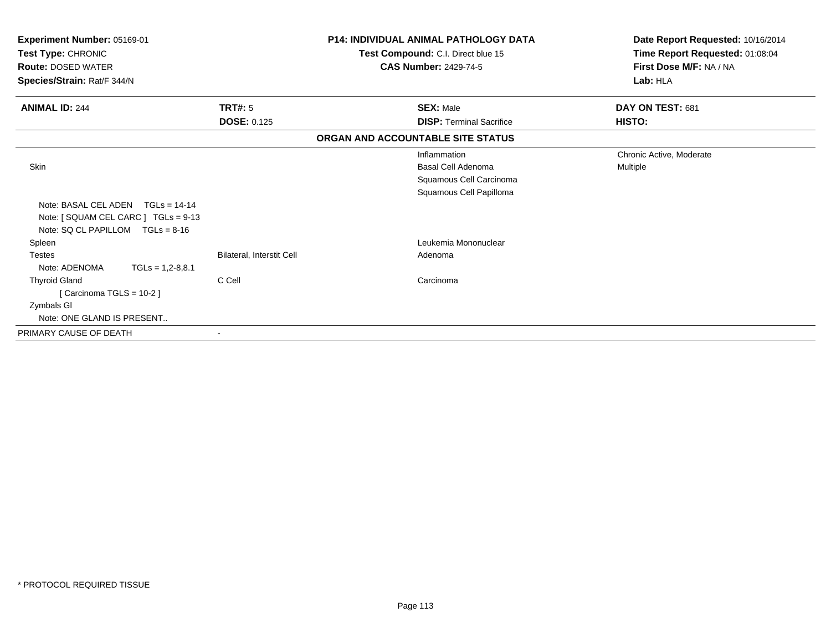| Experiment Number: 05169-01<br>Test Type: CHRONIC<br><b>Route: DOSED WATER</b><br>Species/Strain: Rat/F 344/N |                           | <b>P14: INDIVIDUAL ANIMAL PATHOLOGY DATA</b><br>Test Compound: C.I. Direct blue 15<br><b>CAS Number: 2429-74-5</b> | Date Report Requested: 10/16/2014<br>Time Report Requested: 01:08:04<br>First Dose M/F: NA / NA<br>Lab: HLA |  |
|---------------------------------------------------------------------------------------------------------------|---------------------------|--------------------------------------------------------------------------------------------------------------------|-------------------------------------------------------------------------------------------------------------|--|
| <b>ANIMAL ID: 244</b>                                                                                         | TRT#: 5                   | <b>SEX: Male</b>                                                                                                   | DAY ON TEST: 681                                                                                            |  |
|                                                                                                               | <b>DOSE: 0.125</b>        | <b>DISP:</b> Terminal Sacrifice                                                                                    | HISTO:                                                                                                      |  |
|                                                                                                               |                           | ORGAN AND ACCOUNTABLE SITE STATUS                                                                                  |                                                                                                             |  |
|                                                                                                               |                           | Inflammation                                                                                                       | Chronic Active, Moderate                                                                                    |  |
| <b>Skin</b>                                                                                                   |                           | Basal Cell Adenoma                                                                                                 | Multiple                                                                                                    |  |
|                                                                                                               |                           | Squamous Cell Carcinoma                                                                                            |                                                                                                             |  |
|                                                                                                               |                           | Squamous Cell Papilloma                                                                                            |                                                                                                             |  |
| Note: BASAL CEL ADEN<br>$TGLs = 14-14$                                                                        |                           |                                                                                                                    |                                                                                                             |  |
| Note: [ SQUAM CEL CARC ] TGLs = 9-13                                                                          |                           |                                                                                                                    |                                                                                                             |  |
| Note: $SQ CL PAPILLOM TGLs = 8-16$                                                                            |                           |                                                                                                                    |                                                                                                             |  |
| Spleen                                                                                                        |                           | Leukemia Mononuclear                                                                                               |                                                                                                             |  |
| <b>Testes</b>                                                                                                 | Bilateral, Interstit Cell | Adenoma                                                                                                            |                                                                                                             |  |
| Note: ADENOMA<br>$TGLs = 1,2-8,8.1$                                                                           |                           |                                                                                                                    |                                                                                                             |  |
| <b>Thyroid Gland</b>                                                                                          | C Cell                    | Carcinoma                                                                                                          |                                                                                                             |  |
| [Carcinoma TGLS = 10-2]                                                                                       |                           |                                                                                                                    |                                                                                                             |  |
| Zymbals GI                                                                                                    |                           |                                                                                                                    |                                                                                                             |  |
| Note: ONE GLAND IS PRESENT                                                                                    |                           |                                                                                                                    |                                                                                                             |  |
| PRIMARY CAUSE OF DEATH                                                                                        |                           |                                                                                                                    |                                                                                                             |  |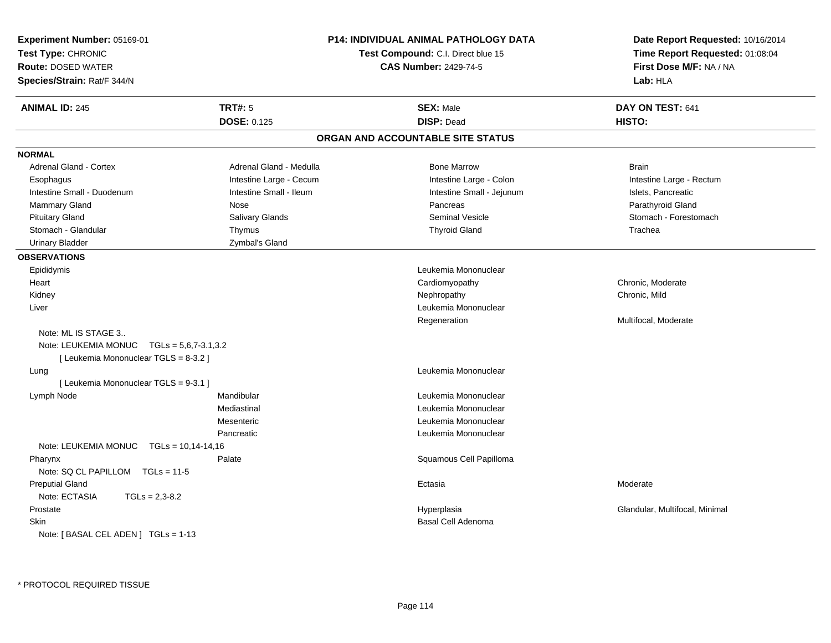| Experiment Number: 05169-01                   |                         | <b>P14: INDIVIDUAL ANIMAL PATHOLOGY DATA</b> | Date Report Requested: 10/16/2014                          |  |
|-----------------------------------------------|-------------------------|----------------------------------------------|------------------------------------------------------------|--|
| Test Type: CHRONIC                            |                         | <b>Test Compound: C.I. Direct blue 15</b>    | Time Report Requested: 01:08:04<br>First Dose M/F: NA / NA |  |
| <b>Route: DOSED WATER</b>                     |                         | <b>CAS Number: 2429-74-5</b>                 |                                                            |  |
| Species/Strain: Rat/F 344/N                   |                         |                                              | Lab: HLA                                                   |  |
| <b>ANIMAL ID: 245</b>                         | <b>TRT#: 5</b>          | <b>SEX: Male</b>                             | DAY ON TEST: 641                                           |  |
|                                               | <b>DOSE: 0.125</b>      | <b>DISP: Dead</b>                            | HISTO:                                                     |  |
|                                               |                         | ORGAN AND ACCOUNTABLE SITE STATUS            |                                                            |  |
| <b>NORMAL</b>                                 |                         |                                              |                                                            |  |
| <b>Adrenal Gland - Cortex</b>                 | Adrenal Gland - Medulla | <b>Bone Marrow</b>                           | <b>Brain</b>                                               |  |
| Esophagus                                     | Intestine Large - Cecum | Intestine Large - Colon                      | Intestine Large - Rectum                                   |  |
| Intestine Small - Duodenum                    | Intestine Small - Ileum | Intestine Small - Jejunum                    | Islets, Pancreatic                                         |  |
| Mammary Gland                                 | Nose                    | Pancreas                                     | Parathyroid Gland                                          |  |
| <b>Pituitary Gland</b>                        | Salivary Glands         | <b>Seminal Vesicle</b>                       | Stomach - Forestomach                                      |  |
| Stomach - Glandular                           | Thymus                  | <b>Thyroid Gland</b>                         | Trachea                                                    |  |
| <b>Urinary Bladder</b>                        | Zymbal's Gland          |                                              |                                                            |  |
| <b>OBSERVATIONS</b>                           |                         |                                              |                                                            |  |
| Epididymis                                    |                         | Leukemia Mononuclear                         |                                                            |  |
| Heart                                         |                         | Cardiomyopathy                               | Chronic, Moderate                                          |  |
| Kidney                                        |                         | Nephropathy                                  | Chronic, Mild                                              |  |
| Liver                                         |                         | Leukemia Mononuclear                         |                                                            |  |
|                                               |                         | Regeneration                                 | Multifocal, Moderate                                       |  |
| Note: ML IS STAGE 3                           |                         |                                              |                                                            |  |
| Note: LEUKEMIA MONUC $TGLs = 5.6.7 - 3.1.3.2$ |                         |                                              |                                                            |  |
| [ Leukemia Mononuclear TGLS = 8-3.2 ]         |                         |                                              |                                                            |  |
| Lung                                          |                         | Leukemia Mononuclear                         |                                                            |  |
| [ Leukemia Mononuclear TGLS = 9-3.1 ]         |                         |                                              |                                                            |  |
| Lymph Node                                    | Mandibular              | Leukemia Mononuclear                         |                                                            |  |
|                                               | Mediastinal             | Leukemia Mononuclear                         |                                                            |  |
|                                               | Mesenteric              | Leukemia Mononuclear                         |                                                            |  |
|                                               | Pancreatic              | Leukemia Mononuclear                         |                                                            |  |
| Note: LEUKEMIA MONUC $TGLs = 10,14-14,16$     |                         |                                              |                                                            |  |
| Pharynx                                       | Palate                  | Squamous Cell Papilloma                      |                                                            |  |
| Note: SQ CL PAPILLOM TGLs = 11-5              |                         |                                              |                                                            |  |
| <b>Preputial Gland</b>                        |                         | Ectasia                                      | Moderate                                                   |  |
| Note: ECTASIA<br>$TGLs = 2,3-8.2$             |                         |                                              |                                                            |  |
| Prostate                                      |                         | Hyperplasia                                  | Glandular, Multifocal, Minimal                             |  |
| <b>Skin</b>                                   |                         | <b>Basal Cell Adenoma</b>                    |                                                            |  |
| Note: [BASAL CEL ADEN] TGLs = 1-13            |                         |                                              |                                                            |  |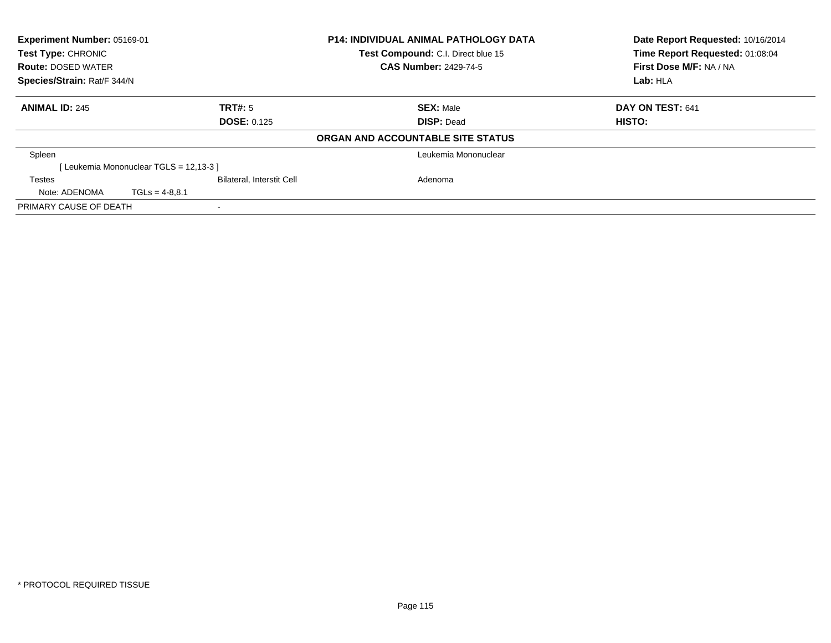| Experiment Number: 05169-01<br>Test Type: CHRONIC |                                       |                                  | <b>P14: INDIVIDUAL ANIMAL PATHOLOGY DATA</b> | Date Report Requested: 10/16/2014 |
|---------------------------------------------------|---------------------------------------|----------------------------------|----------------------------------------------|-----------------------------------|
|                                                   |                                       |                                  | Test Compound: C.I. Direct blue 15           | Time Report Requested: 01:08:04   |
| <b>Route: DOSED WATER</b>                         |                                       |                                  | <b>CAS Number: 2429-74-5</b>                 | First Dose M/F: NA / NA           |
| Species/Strain: Rat/F 344/N                       |                                       |                                  |                                              | Lab: HLA                          |
| <b>ANIMAL ID: 245</b>                             |                                       | <b>TRT#: 5</b>                   | <b>SEX: Male</b>                             | DAY ON TEST: 641                  |
|                                                   |                                       | <b>DOSE: 0.125</b>               | <b>DISP: Dead</b>                            | HISTO:                            |
|                                                   |                                       |                                  | ORGAN AND ACCOUNTABLE SITE STATUS            |                                   |
| Spleen                                            |                                       |                                  | Leukemia Mononuclear                         |                                   |
|                                                   | [Leukemia Mononuclear TGLS = 12,13-3] |                                  |                                              |                                   |
| Testes                                            |                                       | <b>Bilateral, Interstit Cell</b> | Adenoma                                      |                                   |
| Note: ADENOMA                                     | $TGLs = 4-8.8.1$                      |                                  |                                              |                                   |
| PRIMARY CAUSE OF DEATH                            |                                       |                                  |                                              |                                   |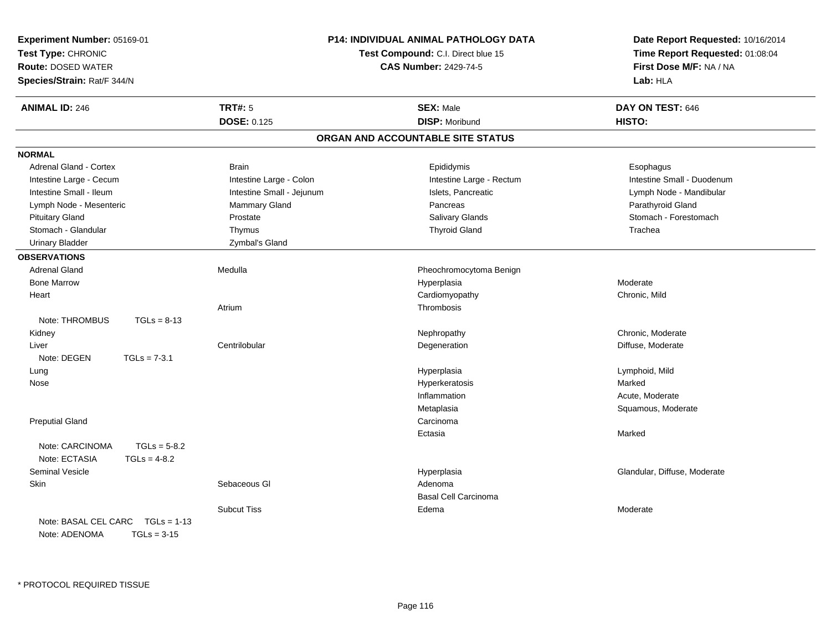| Experiment Number: 05169-01<br>Test Type: CHRONIC<br><b>Route: DOSED WATER</b><br>Species/Strain: Rat/F 344/N |                | P14: INDIVIDUAL ANIMAL PATHOLOGY DATA<br>Test Compound: C.I. Direct blue 15<br><b>CAS Number: 2429-74-5</b> |                                   | Date Report Requested: 10/16/2014<br>Time Report Requested: 01:08:04<br>First Dose M/F: NA / NA<br>Lab: HLA |
|---------------------------------------------------------------------------------------------------------------|----------------|-------------------------------------------------------------------------------------------------------------|-----------------------------------|-------------------------------------------------------------------------------------------------------------|
| <b>ANIMAL ID: 246</b>                                                                                         |                | <b>TRT#: 5</b>                                                                                              | <b>SEX: Male</b>                  | DAY ON TEST: 646                                                                                            |
|                                                                                                               |                | <b>DOSE: 0.125</b>                                                                                          | <b>DISP: Moribund</b>             | HISTO:                                                                                                      |
|                                                                                                               |                |                                                                                                             | ORGAN AND ACCOUNTABLE SITE STATUS |                                                                                                             |
| <b>NORMAL</b>                                                                                                 |                |                                                                                                             |                                   |                                                                                                             |
| Adrenal Gland - Cortex                                                                                        |                | <b>Brain</b>                                                                                                | Epididymis                        | Esophagus                                                                                                   |
| Intestine Large - Cecum                                                                                       |                | Intestine Large - Colon                                                                                     | Intestine Large - Rectum          | Intestine Small - Duodenum                                                                                  |
| Intestine Small - Ileum                                                                                       |                | Intestine Small - Jejunum                                                                                   | Islets, Pancreatic                | Lymph Node - Mandibular                                                                                     |
| Lymph Node - Mesenteric                                                                                       |                | Mammary Gland                                                                                               | Pancreas                          | Parathyroid Gland                                                                                           |
| <b>Pituitary Gland</b>                                                                                        |                | Prostate                                                                                                    | <b>Salivary Glands</b>            | Stomach - Forestomach                                                                                       |
| Stomach - Glandular                                                                                           |                | Thymus                                                                                                      | <b>Thyroid Gland</b>              | Trachea                                                                                                     |
| <b>Urinary Bladder</b>                                                                                        |                | Zymbal's Gland                                                                                              |                                   |                                                                                                             |
| <b>OBSERVATIONS</b>                                                                                           |                |                                                                                                             |                                   |                                                                                                             |
| <b>Adrenal Gland</b>                                                                                          |                | Medulla                                                                                                     | Pheochromocytoma Benign           |                                                                                                             |
| <b>Bone Marrow</b>                                                                                            |                |                                                                                                             | Hyperplasia                       | Moderate                                                                                                    |
| Heart                                                                                                         |                |                                                                                                             | Cardiomyopathy                    | Chronic, Mild                                                                                               |
|                                                                                                               |                | Atrium                                                                                                      | Thrombosis                        |                                                                                                             |
| Note: THROMBUS                                                                                                | $TGLs = 8-13$  |                                                                                                             |                                   |                                                                                                             |
| Kidney                                                                                                        |                |                                                                                                             | Nephropathy                       | Chronic, Moderate                                                                                           |
| Liver                                                                                                         |                | Centrilobular                                                                                               | Degeneration                      | Diffuse, Moderate                                                                                           |
| Note: DEGEN                                                                                                   | $TGLs = 7-3.1$ |                                                                                                             |                                   |                                                                                                             |
| Lung                                                                                                          |                |                                                                                                             | Hyperplasia                       | Lymphoid, Mild                                                                                              |
| Nose                                                                                                          |                |                                                                                                             | Hyperkeratosis                    | Marked                                                                                                      |
|                                                                                                               |                |                                                                                                             | Inflammation                      | Acute, Moderate                                                                                             |
|                                                                                                               |                |                                                                                                             | Metaplasia                        | Squamous, Moderate                                                                                          |
| <b>Preputial Gland</b>                                                                                        |                |                                                                                                             | Carcinoma                         |                                                                                                             |
|                                                                                                               |                |                                                                                                             | Ectasia                           | Marked                                                                                                      |
| Note: CARCINOMA                                                                                               | $TGLs = 5-8.2$ |                                                                                                             |                                   |                                                                                                             |
| Note: ECTASIA                                                                                                 | $TGLs = 4-8.2$ |                                                                                                             |                                   |                                                                                                             |
| <b>Seminal Vesicle</b>                                                                                        |                |                                                                                                             | Hyperplasia                       | Glandular, Diffuse, Moderate                                                                                |
| Skin                                                                                                          |                | Sebaceous GI                                                                                                | Adenoma                           |                                                                                                             |
|                                                                                                               |                |                                                                                                             | <b>Basal Cell Carcinoma</b>       |                                                                                                             |
|                                                                                                               |                | <b>Subcut Tiss</b>                                                                                          | Edema                             | Moderate                                                                                                    |
| Note: BASAL CEL CARC TGLs = 1-13<br>Note: ADENOMA                                                             | $TGLs = 3-15$  |                                                                                                             |                                   |                                                                                                             |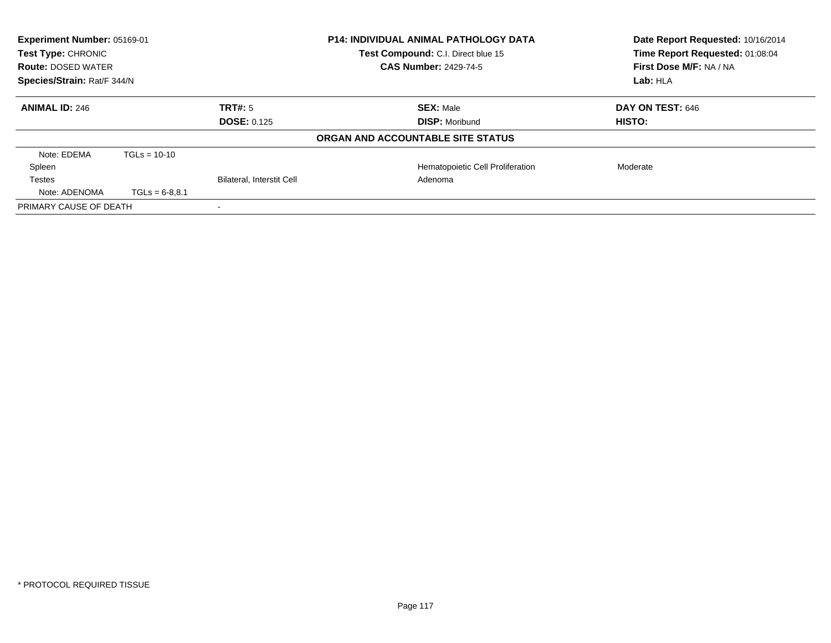| Experiment Number: 05169-01<br>Test Type: CHRONIC<br><b>Route: DOSED WATER</b><br>Species/Strain: Rat/F 344/N |                  |                                  | <b>P14: INDIVIDUAL ANIMAL PATHOLOGY DATA</b><br>Test Compound: C.I. Direct blue 15<br><b>CAS Number: 2429-74-5</b> | Date Report Requested: 10/16/2014<br>Time Report Requested: 01:08:04<br>First Dose M/F: NA / NA<br>Lab: HLA |
|---------------------------------------------------------------------------------------------------------------|------------------|----------------------------------|--------------------------------------------------------------------------------------------------------------------|-------------------------------------------------------------------------------------------------------------|
| <b>ANIMAL ID: 246</b>                                                                                         |                  | TRT#: 5                          | <b>SEX: Male</b>                                                                                                   | <b>DAY ON TEST: 646</b>                                                                                     |
|                                                                                                               |                  | <b>DOSE: 0.125</b>               | <b>DISP: Moribund</b>                                                                                              | HISTO:                                                                                                      |
|                                                                                                               |                  |                                  | ORGAN AND ACCOUNTABLE SITE STATUS                                                                                  |                                                                                                             |
| Note: EDEMA                                                                                                   | $TGLs = 10-10$   |                                  |                                                                                                                    |                                                                                                             |
| Spleen                                                                                                        |                  |                                  | Hematopoietic Cell Proliferation                                                                                   | Moderate                                                                                                    |
| Testes                                                                                                        |                  | <b>Bilateral, Interstit Cell</b> | Adenoma                                                                                                            |                                                                                                             |
| Note: ADENOMA                                                                                                 | $TGLs = 6-8,8.1$ |                                  |                                                                                                                    |                                                                                                             |
| PRIMARY CAUSE OF DEATH                                                                                        |                  |                                  |                                                                                                                    |                                                                                                             |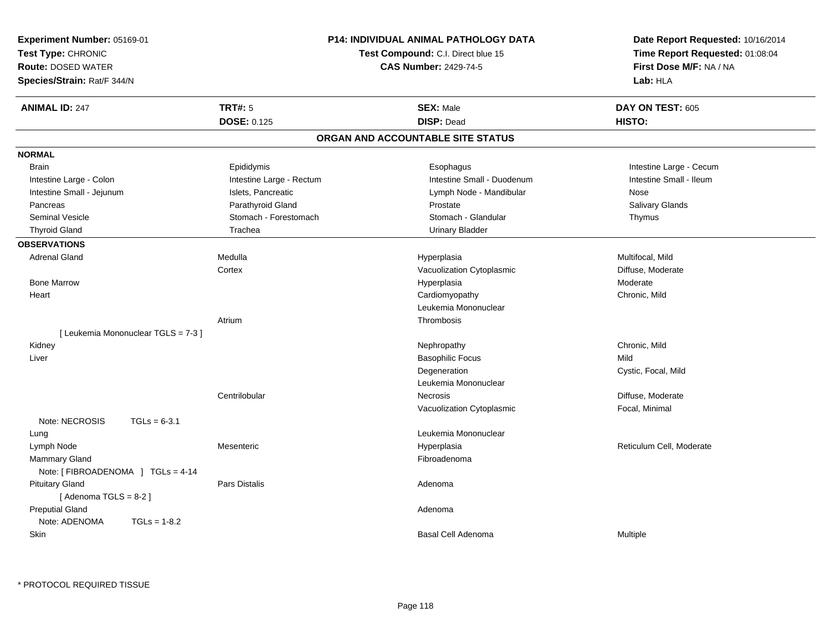| <b>Experiment Number: 05169-01</b><br>Test Type: CHRONIC<br><b>Route: DOSED WATER</b><br>Species/Strain: Rat/F 344/N |                          | <b>P14: INDIVIDUAL ANIMAL PATHOLOGY DATA</b><br>Test Compound: C.I. Direct blue 15<br><b>CAS Number: 2429-74-5</b> | Date Report Requested: 10/16/2014<br>Time Report Requested: 01:08:04<br>First Dose M/F: NA / NA<br>Lab: HLA |
|----------------------------------------------------------------------------------------------------------------------|--------------------------|--------------------------------------------------------------------------------------------------------------------|-------------------------------------------------------------------------------------------------------------|
| <b>ANIMAL ID: 247</b>                                                                                                | <b>TRT#: 5</b>           | <b>SEX: Male</b>                                                                                                   | DAY ON TEST: 605                                                                                            |
|                                                                                                                      | <b>DOSE: 0.125</b>       | <b>DISP: Dead</b>                                                                                                  | HISTO:                                                                                                      |
|                                                                                                                      |                          | ORGAN AND ACCOUNTABLE SITE STATUS                                                                                  |                                                                                                             |
| <b>NORMAL</b>                                                                                                        |                          |                                                                                                                    |                                                                                                             |
| <b>Brain</b>                                                                                                         | Epididymis               | Esophagus                                                                                                          | Intestine Large - Cecum                                                                                     |
| Intestine Large - Colon                                                                                              | Intestine Large - Rectum | Intestine Small - Duodenum                                                                                         | Intestine Small - Ileum                                                                                     |
| Intestine Small - Jejunum                                                                                            | Islets, Pancreatic       | Lymph Node - Mandibular                                                                                            | Nose                                                                                                        |
| Pancreas                                                                                                             | Parathyroid Gland        | Prostate                                                                                                           | Salivary Glands                                                                                             |
| <b>Seminal Vesicle</b>                                                                                               | Stomach - Forestomach    | Stomach - Glandular                                                                                                | Thymus                                                                                                      |
| <b>Thyroid Gland</b>                                                                                                 | Trachea                  | <b>Urinary Bladder</b>                                                                                             |                                                                                                             |
| <b>OBSERVATIONS</b>                                                                                                  |                          |                                                                                                                    |                                                                                                             |
| <b>Adrenal Gland</b>                                                                                                 | Medulla                  | Hyperplasia                                                                                                        | Multifocal, Mild                                                                                            |
|                                                                                                                      | Cortex                   | Vacuolization Cytoplasmic                                                                                          | Diffuse, Moderate                                                                                           |
| <b>Bone Marrow</b>                                                                                                   |                          | Hyperplasia                                                                                                        | Moderate                                                                                                    |
| Heart                                                                                                                |                          | Cardiomyopathy                                                                                                     | Chronic, Mild                                                                                               |
|                                                                                                                      |                          | Leukemia Mononuclear                                                                                               |                                                                                                             |
|                                                                                                                      | Atrium                   | Thrombosis                                                                                                         |                                                                                                             |
| [ Leukemia Mononuclear TGLS = 7-3 ]                                                                                  |                          |                                                                                                                    |                                                                                                             |
| Kidney                                                                                                               |                          | Nephropathy                                                                                                        | Chronic, Mild                                                                                               |
| Liver                                                                                                                |                          | <b>Basophilic Focus</b>                                                                                            | Mild                                                                                                        |
|                                                                                                                      |                          | Degeneration                                                                                                       | Cystic, Focal, Mild                                                                                         |
|                                                                                                                      |                          | Leukemia Mononuclear                                                                                               |                                                                                                             |
|                                                                                                                      | Centrilobular            | <b>Necrosis</b>                                                                                                    | Diffuse, Moderate                                                                                           |
|                                                                                                                      |                          | Vacuolization Cytoplasmic                                                                                          | Focal, Minimal                                                                                              |
| Note: NECROSIS<br>$TGLs = 6-3.1$                                                                                     |                          |                                                                                                                    |                                                                                                             |
| Lung                                                                                                                 |                          | Leukemia Mononuclear                                                                                               |                                                                                                             |
| Lymph Node                                                                                                           | Mesenteric               | Hyperplasia                                                                                                        | Reticulum Cell, Moderate                                                                                    |
| Mammary Gland                                                                                                        |                          | Fibroadenoma                                                                                                       |                                                                                                             |
| Note: [FIBROADENOMA ] TGLs = 4-14                                                                                    |                          |                                                                                                                    |                                                                                                             |
| <b>Pituitary Gland</b>                                                                                               | <b>Pars Distalis</b>     | Adenoma                                                                                                            |                                                                                                             |
| [Adenoma TGLS = $8-2$ ]                                                                                              |                          |                                                                                                                    |                                                                                                             |
| <b>Preputial Gland</b>                                                                                               |                          | Adenoma                                                                                                            |                                                                                                             |
| Note: ADENOMA<br>$TGLs = 1-8.2$                                                                                      |                          |                                                                                                                    |                                                                                                             |
| Skin                                                                                                                 |                          | Basal Cell Adenoma                                                                                                 | Multiple                                                                                                    |
|                                                                                                                      |                          |                                                                                                                    |                                                                                                             |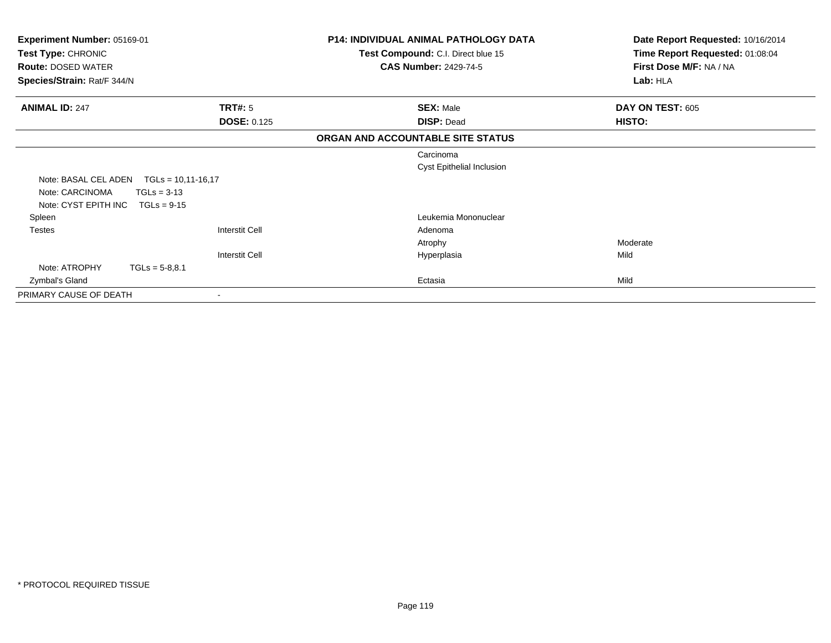| Experiment Number: 05169-01 |                       | <b>P14: INDIVIDUAL ANIMAL PATHOLOGY DATA</b> | Date Report Requested: 10/16/2014 |
|-----------------------------|-----------------------|----------------------------------------------|-----------------------------------|
| Test Type: CHRONIC          |                       | Test Compound: C.I. Direct blue 15           | Time Report Requested: 01:08:04   |
| <b>Route: DOSED WATER</b>   |                       | <b>CAS Number: 2429-74-5</b>                 | First Dose M/F: NA / NA           |
| Species/Strain: Rat/F 344/N |                       |                                              | Lab: HLA                          |
| <b>ANIMAL ID: 247</b>       | <b>TRT#: 5</b>        | <b>SEX: Male</b>                             | DAY ON TEST: 605                  |
|                             | <b>DOSE: 0.125</b>    | <b>DISP: Dead</b>                            | HISTO:                            |
|                             |                       | ORGAN AND ACCOUNTABLE SITE STATUS            |                                   |
|                             |                       | Carcinoma                                    |                                   |
|                             |                       | Cyst Epithelial Inclusion                    |                                   |
| Note: BASAL CEL ADEN        | $TGLs = 10,11-16,17$  |                                              |                                   |
| Note: CARCINOMA             | $TGLs = 3-13$         |                                              |                                   |
| Note: CYST EPITH INC        | $TGLs = 9-15$         |                                              |                                   |
| Spleen                      |                       | Leukemia Mononuclear                         |                                   |
| <b>Testes</b>               | <b>Interstit Cell</b> | Adenoma                                      |                                   |
|                             |                       | Atrophy                                      | Moderate                          |
|                             | <b>Interstit Cell</b> | Hyperplasia                                  | Mild                              |
| Note: ATROPHY               | $TGLs = 5-8,8.1$      |                                              |                                   |
| Zymbal's Gland              |                       | Ectasia                                      | Mild                              |
| PRIMARY CAUSE OF DEATH      |                       |                                              |                                   |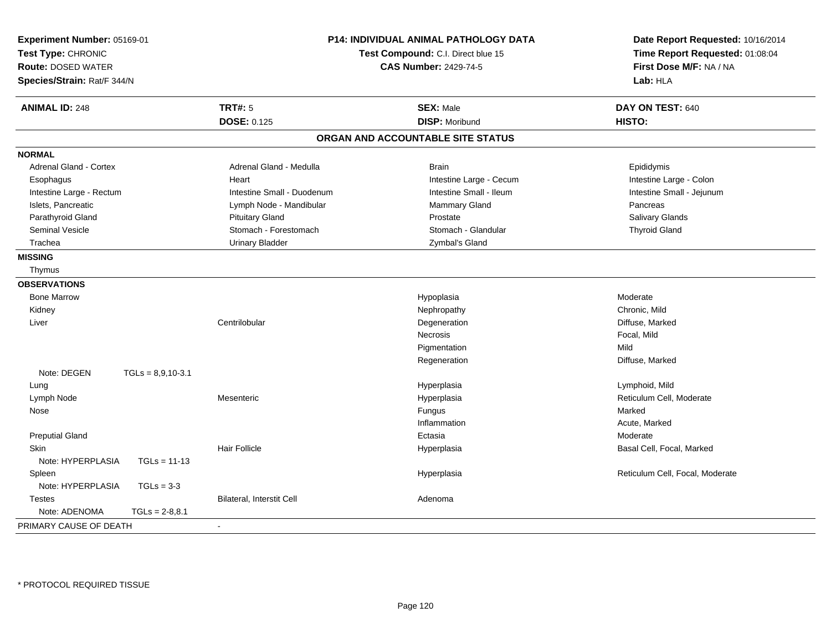| <b>TRT#: 5</b><br><b>ANIMAL ID: 248</b><br><b>SEX: Male</b><br>DAY ON TEST: 640<br><b>DOSE: 0.125</b><br><b>DISP: Moribund</b><br>HISTO:<br>ORGAN AND ACCOUNTABLE SITE STATUS<br><b>NORMAL</b><br>Adrenal Gland - Cortex<br>Adrenal Gland - Medulla<br><b>Brain</b><br>Epididymis<br>Intestine Large - Cecum<br>Intestine Large - Colon<br>Esophagus<br>Heart<br>Intestine Small - Ileum<br>Intestine Small - Jejunum<br>Intestine Large - Rectum<br>Intestine Small - Duodenum<br>Islets, Pancreatic<br>Mammary Gland<br>Lymph Node - Mandibular<br>Pancreas<br>Parathyroid Gland<br><b>Pituitary Gland</b><br>Prostate<br><b>Salivary Glands</b><br><b>Seminal Vesicle</b><br>Stomach - Forestomach<br>Stomach - Glandular<br><b>Thyroid Gland</b><br><b>Urinary Bladder</b><br>Zymbal's Gland<br>Trachea<br><b>MISSING</b><br>Thymus<br><b>OBSERVATIONS</b><br><b>Bone Marrow</b><br>Hypoplasia<br>Moderate<br>Chronic, Mild<br>Kidney<br>Nephropathy<br>Centrilobular<br>Degeneration<br>Diffuse, Marked<br>Liver<br>Focal, Mild<br>Necrosis<br>Mild<br>Pigmentation<br>Regeneration<br>Diffuse, Marked<br>Note: DEGEN<br>$TGLS = 8,9,10-3.1$<br>Lymphoid, Mild<br>Hyperplasia<br>Lung<br>Lymph Node<br>Mesenteric<br>Hyperplasia<br>Reticulum Cell, Moderate<br>Marked<br>Nose<br>Fungus<br>Acute, Marked<br>Inflammation<br><b>Preputial Gland</b><br>Ectasia<br>Moderate<br><b>Skin</b><br><b>Hair Follicle</b><br>Basal Cell, Focal, Marked<br>Hyperplasia<br>Note: HYPERPLASIA<br>$TGLs = 11-13$<br>Reticulum Cell, Focal, Moderate<br>Hyperplasia<br>Spleen<br>Note: HYPERPLASIA<br>$TGLs = 3-3$<br>Bilateral, Interstit Cell<br><b>Testes</b><br>Adenoma<br>Note: ADENOMA<br>$TGLs = 2-8,8.1$<br>PRIMARY CAUSE OF DEATH<br>÷ | Experiment Number: 05169-01<br>Test Type: CHRONIC<br><b>Route: DOSED WATER</b><br>Species/Strain: Rat/F 344/N | <b>P14: INDIVIDUAL ANIMAL PATHOLOGY DATA</b><br>Test Compound: C.I. Direct blue 15<br><b>CAS Number: 2429-74-5</b> |  | Date Report Requested: 10/16/2014<br>Time Report Requested: 01:08:04<br>First Dose M/F: NA / NA<br>Lab: HLA |
|-----------------------------------------------------------------------------------------------------------------------------------------------------------------------------------------------------------------------------------------------------------------------------------------------------------------------------------------------------------------------------------------------------------------------------------------------------------------------------------------------------------------------------------------------------------------------------------------------------------------------------------------------------------------------------------------------------------------------------------------------------------------------------------------------------------------------------------------------------------------------------------------------------------------------------------------------------------------------------------------------------------------------------------------------------------------------------------------------------------------------------------------------------------------------------------------------------------------------------------------------------------------------------------------------------------------------------------------------------------------------------------------------------------------------------------------------------------------------------------------------------------------------------------------------------------------------------------------------------------------------------------------------------------------------------------------------------------------------------------------|---------------------------------------------------------------------------------------------------------------|--------------------------------------------------------------------------------------------------------------------|--|-------------------------------------------------------------------------------------------------------------|
|                                                                                                                                                                                                                                                                                                                                                                                                                                                                                                                                                                                                                                                                                                                                                                                                                                                                                                                                                                                                                                                                                                                                                                                                                                                                                                                                                                                                                                                                                                                                                                                                                                                                                                                                         |                                                                                                               |                                                                                                                    |  |                                                                                                             |
|                                                                                                                                                                                                                                                                                                                                                                                                                                                                                                                                                                                                                                                                                                                                                                                                                                                                                                                                                                                                                                                                                                                                                                                                                                                                                                                                                                                                                                                                                                                                                                                                                                                                                                                                         |                                                                                                               |                                                                                                                    |  |                                                                                                             |
|                                                                                                                                                                                                                                                                                                                                                                                                                                                                                                                                                                                                                                                                                                                                                                                                                                                                                                                                                                                                                                                                                                                                                                                                                                                                                                                                                                                                                                                                                                                                                                                                                                                                                                                                         |                                                                                                               |                                                                                                                    |  |                                                                                                             |
|                                                                                                                                                                                                                                                                                                                                                                                                                                                                                                                                                                                                                                                                                                                                                                                                                                                                                                                                                                                                                                                                                                                                                                                                                                                                                                                                                                                                                                                                                                                                                                                                                                                                                                                                         |                                                                                                               |                                                                                                                    |  |                                                                                                             |
|                                                                                                                                                                                                                                                                                                                                                                                                                                                                                                                                                                                                                                                                                                                                                                                                                                                                                                                                                                                                                                                                                                                                                                                                                                                                                                                                                                                                                                                                                                                                                                                                                                                                                                                                         |                                                                                                               |                                                                                                                    |  |                                                                                                             |
|                                                                                                                                                                                                                                                                                                                                                                                                                                                                                                                                                                                                                                                                                                                                                                                                                                                                                                                                                                                                                                                                                                                                                                                                                                                                                                                                                                                                                                                                                                                                                                                                                                                                                                                                         |                                                                                                               |                                                                                                                    |  |                                                                                                             |
|                                                                                                                                                                                                                                                                                                                                                                                                                                                                                                                                                                                                                                                                                                                                                                                                                                                                                                                                                                                                                                                                                                                                                                                                                                                                                                                                                                                                                                                                                                                                                                                                                                                                                                                                         |                                                                                                               |                                                                                                                    |  |                                                                                                             |
|                                                                                                                                                                                                                                                                                                                                                                                                                                                                                                                                                                                                                                                                                                                                                                                                                                                                                                                                                                                                                                                                                                                                                                                                                                                                                                                                                                                                                                                                                                                                                                                                                                                                                                                                         |                                                                                                               |                                                                                                                    |  |                                                                                                             |
|                                                                                                                                                                                                                                                                                                                                                                                                                                                                                                                                                                                                                                                                                                                                                                                                                                                                                                                                                                                                                                                                                                                                                                                                                                                                                                                                                                                                                                                                                                                                                                                                                                                                                                                                         |                                                                                                               |                                                                                                                    |  |                                                                                                             |
|                                                                                                                                                                                                                                                                                                                                                                                                                                                                                                                                                                                                                                                                                                                                                                                                                                                                                                                                                                                                                                                                                                                                                                                                                                                                                                                                                                                                                                                                                                                                                                                                                                                                                                                                         |                                                                                                               |                                                                                                                    |  |                                                                                                             |
|                                                                                                                                                                                                                                                                                                                                                                                                                                                                                                                                                                                                                                                                                                                                                                                                                                                                                                                                                                                                                                                                                                                                                                                                                                                                                                                                                                                                                                                                                                                                                                                                                                                                                                                                         |                                                                                                               |                                                                                                                    |  |                                                                                                             |
|                                                                                                                                                                                                                                                                                                                                                                                                                                                                                                                                                                                                                                                                                                                                                                                                                                                                                                                                                                                                                                                                                                                                                                                                                                                                                                                                                                                                                                                                                                                                                                                                                                                                                                                                         |                                                                                                               |                                                                                                                    |  |                                                                                                             |
|                                                                                                                                                                                                                                                                                                                                                                                                                                                                                                                                                                                                                                                                                                                                                                                                                                                                                                                                                                                                                                                                                                                                                                                                                                                                                                                                                                                                                                                                                                                                                                                                                                                                                                                                         |                                                                                                               |                                                                                                                    |  |                                                                                                             |
|                                                                                                                                                                                                                                                                                                                                                                                                                                                                                                                                                                                                                                                                                                                                                                                                                                                                                                                                                                                                                                                                                                                                                                                                                                                                                                                                                                                                                                                                                                                                                                                                                                                                                                                                         |                                                                                                               |                                                                                                                    |  |                                                                                                             |
|                                                                                                                                                                                                                                                                                                                                                                                                                                                                                                                                                                                                                                                                                                                                                                                                                                                                                                                                                                                                                                                                                                                                                                                                                                                                                                                                                                                                                                                                                                                                                                                                                                                                                                                                         |                                                                                                               |                                                                                                                    |  |                                                                                                             |
|                                                                                                                                                                                                                                                                                                                                                                                                                                                                                                                                                                                                                                                                                                                                                                                                                                                                                                                                                                                                                                                                                                                                                                                                                                                                                                                                                                                                                                                                                                                                                                                                                                                                                                                                         |                                                                                                               |                                                                                                                    |  |                                                                                                             |
|                                                                                                                                                                                                                                                                                                                                                                                                                                                                                                                                                                                                                                                                                                                                                                                                                                                                                                                                                                                                                                                                                                                                                                                                                                                                                                                                                                                                                                                                                                                                                                                                                                                                                                                                         |                                                                                                               |                                                                                                                    |  |                                                                                                             |
|                                                                                                                                                                                                                                                                                                                                                                                                                                                                                                                                                                                                                                                                                                                                                                                                                                                                                                                                                                                                                                                                                                                                                                                                                                                                                                                                                                                                                                                                                                                                                                                                                                                                                                                                         |                                                                                                               |                                                                                                                    |  |                                                                                                             |
|                                                                                                                                                                                                                                                                                                                                                                                                                                                                                                                                                                                                                                                                                                                                                                                                                                                                                                                                                                                                                                                                                                                                                                                                                                                                                                                                                                                                                                                                                                                                                                                                                                                                                                                                         |                                                                                                               |                                                                                                                    |  |                                                                                                             |
|                                                                                                                                                                                                                                                                                                                                                                                                                                                                                                                                                                                                                                                                                                                                                                                                                                                                                                                                                                                                                                                                                                                                                                                                                                                                                                                                                                                                                                                                                                                                                                                                                                                                                                                                         |                                                                                                               |                                                                                                                    |  |                                                                                                             |
|                                                                                                                                                                                                                                                                                                                                                                                                                                                                                                                                                                                                                                                                                                                                                                                                                                                                                                                                                                                                                                                                                                                                                                                                                                                                                                                                                                                                                                                                                                                                                                                                                                                                                                                                         |                                                                                                               |                                                                                                                    |  |                                                                                                             |
|                                                                                                                                                                                                                                                                                                                                                                                                                                                                                                                                                                                                                                                                                                                                                                                                                                                                                                                                                                                                                                                                                                                                                                                                                                                                                                                                                                                                                                                                                                                                                                                                                                                                                                                                         |                                                                                                               |                                                                                                                    |  |                                                                                                             |
|                                                                                                                                                                                                                                                                                                                                                                                                                                                                                                                                                                                                                                                                                                                                                                                                                                                                                                                                                                                                                                                                                                                                                                                                                                                                                                                                                                                                                                                                                                                                                                                                                                                                                                                                         |                                                                                                               |                                                                                                                    |  |                                                                                                             |
|                                                                                                                                                                                                                                                                                                                                                                                                                                                                                                                                                                                                                                                                                                                                                                                                                                                                                                                                                                                                                                                                                                                                                                                                                                                                                                                                                                                                                                                                                                                                                                                                                                                                                                                                         |                                                                                                               |                                                                                                                    |  |                                                                                                             |
|                                                                                                                                                                                                                                                                                                                                                                                                                                                                                                                                                                                                                                                                                                                                                                                                                                                                                                                                                                                                                                                                                                                                                                                                                                                                                                                                                                                                                                                                                                                                                                                                                                                                                                                                         |                                                                                                               |                                                                                                                    |  |                                                                                                             |
|                                                                                                                                                                                                                                                                                                                                                                                                                                                                                                                                                                                                                                                                                                                                                                                                                                                                                                                                                                                                                                                                                                                                                                                                                                                                                                                                                                                                                                                                                                                                                                                                                                                                                                                                         |                                                                                                               |                                                                                                                    |  |                                                                                                             |
|                                                                                                                                                                                                                                                                                                                                                                                                                                                                                                                                                                                                                                                                                                                                                                                                                                                                                                                                                                                                                                                                                                                                                                                                                                                                                                                                                                                                                                                                                                                                                                                                                                                                                                                                         |                                                                                                               |                                                                                                                    |  |                                                                                                             |
|                                                                                                                                                                                                                                                                                                                                                                                                                                                                                                                                                                                                                                                                                                                                                                                                                                                                                                                                                                                                                                                                                                                                                                                                                                                                                                                                                                                                                                                                                                                                                                                                                                                                                                                                         |                                                                                                               |                                                                                                                    |  |                                                                                                             |
|                                                                                                                                                                                                                                                                                                                                                                                                                                                                                                                                                                                                                                                                                                                                                                                                                                                                                                                                                                                                                                                                                                                                                                                                                                                                                                                                                                                                                                                                                                                                                                                                                                                                                                                                         |                                                                                                               |                                                                                                                    |  |                                                                                                             |
|                                                                                                                                                                                                                                                                                                                                                                                                                                                                                                                                                                                                                                                                                                                                                                                                                                                                                                                                                                                                                                                                                                                                                                                                                                                                                                                                                                                                                                                                                                                                                                                                                                                                                                                                         |                                                                                                               |                                                                                                                    |  |                                                                                                             |
|                                                                                                                                                                                                                                                                                                                                                                                                                                                                                                                                                                                                                                                                                                                                                                                                                                                                                                                                                                                                                                                                                                                                                                                                                                                                                                                                                                                                                                                                                                                                                                                                                                                                                                                                         |                                                                                                               |                                                                                                                    |  |                                                                                                             |
|                                                                                                                                                                                                                                                                                                                                                                                                                                                                                                                                                                                                                                                                                                                                                                                                                                                                                                                                                                                                                                                                                                                                                                                                                                                                                                                                                                                                                                                                                                                                                                                                                                                                                                                                         |                                                                                                               |                                                                                                                    |  |                                                                                                             |
|                                                                                                                                                                                                                                                                                                                                                                                                                                                                                                                                                                                                                                                                                                                                                                                                                                                                                                                                                                                                                                                                                                                                                                                                                                                                                                                                                                                                                                                                                                                                                                                                                                                                                                                                         |                                                                                                               |                                                                                                                    |  |                                                                                                             |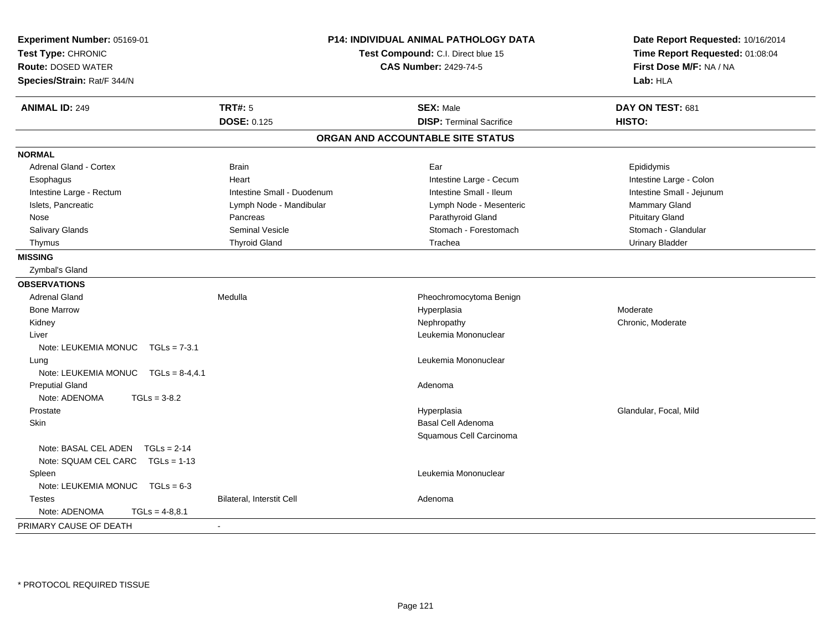| Experiment Number: 05169-01<br>Test Type: CHRONIC<br><b>Route: DOSED WATER</b><br>Species/Strain: Rat/F 344/N |                            | <b>P14: INDIVIDUAL ANIMAL PATHOLOGY DATA</b><br>Test Compound: C.I. Direct blue 15<br><b>CAS Number: 2429-74-5</b> | Date Report Requested: 10/16/2014<br>Time Report Requested: 01:08:04<br>First Dose M/F: NA / NA<br>Lab: HLA |
|---------------------------------------------------------------------------------------------------------------|----------------------------|--------------------------------------------------------------------------------------------------------------------|-------------------------------------------------------------------------------------------------------------|
| <b>ANIMAL ID: 249</b>                                                                                         | <b>TRT#: 5</b>             | <b>SEX: Male</b>                                                                                                   | DAY ON TEST: 681                                                                                            |
|                                                                                                               | <b>DOSE: 0.125</b>         | <b>DISP: Terminal Sacrifice</b>                                                                                    | HISTO:                                                                                                      |
|                                                                                                               |                            | ORGAN AND ACCOUNTABLE SITE STATUS                                                                                  |                                                                                                             |
| <b>NORMAL</b>                                                                                                 |                            |                                                                                                                    |                                                                                                             |
| <b>Adrenal Gland - Cortex</b>                                                                                 | <b>Brain</b>               | Ear                                                                                                                | Epididymis                                                                                                  |
| Esophagus                                                                                                     | Heart                      | Intestine Large - Cecum                                                                                            | Intestine Large - Colon                                                                                     |
| Intestine Large - Rectum                                                                                      | Intestine Small - Duodenum | Intestine Small - Ileum                                                                                            | Intestine Small - Jejunum                                                                                   |
| Islets, Pancreatic                                                                                            | Lymph Node - Mandibular    | Lymph Node - Mesenteric                                                                                            | Mammary Gland                                                                                               |
| Nose                                                                                                          | Pancreas                   | Parathyroid Gland                                                                                                  | <b>Pituitary Gland</b>                                                                                      |
| Salivary Glands                                                                                               | Seminal Vesicle            | Stomach - Forestomach                                                                                              | Stomach - Glandular                                                                                         |
| Thymus                                                                                                        | <b>Thyroid Gland</b>       | Trachea                                                                                                            | <b>Urinary Bladder</b>                                                                                      |
| <b>MISSING</b>                                                                                                |                            |                                                                                                                    |                                                                                                             |
| Zymbal's Gland                                                                                                |                            |                                                                                                                    |                                                                                                             |
| <b>OBSERVATIONS</b>                                                                                           |                            |                                                                                                                    |                                                                                                             |
| <b>Adrenal Gland</b>                                                                                          | Medulla                    | Pheochromocytoma Benign                                                                                            |                                                                                                             |
| <b>Bone Marrow</b>                                                                                            |                            | Hyperplasia                                                                                                        | Moderate                                                                                                    |
| Kidney                                                                                                        |                            | Nephropathy                                                                                                        | Chronic, Moderate                                                                                           |
| Liver                                                                                                         |                            | Leukemia Mononuclear                                                                                               |                                                                                                             |
| Note: LEUKEMIA MONUC TGLs = 7-3.1                                                                             |                            |                                                                                                                    |                                                                                                             |
| Lung                                                                                                          |                            | Leukemia Mononuclear                                                                                               |                                                                                                             |
| Note: LEUKEMIA MONUC  TGLs = 8-4,4.1                                                                          |                            |                                                                                                                    |                                                                                                             |
| <b>Preputial Gland</b>                                                                                        |                            | Adenoma                                                                                                            |                                                                                                             |
| Note: ADENOMA<br>$TGLs = 3-8.2$                                                                               |                            |                                                                                                                    |                                                                                                             |
| Prostate                                                                                                      |                            | Hyperplasia                                                                                                        | Glandular, Focal, Mild                                                                                      |
| Skin                                                                                                          |                            | Basal Cell Adenoma                                                                                                 |                                                                                                             |
|                                                                                                               |                            | Squamous Cell Carcinoma                                                                                            |                                                                                                             |
| Note: BASAL CEL ADEN TGLs = 2-14                                                                              |                            |                                                                                                                    |                                                                                                             |
| Note: SQUAM CEL CARC TGLs = 1-13                                                                              |                            |                                                                                                                    |                                                                                                             |
| Spleen                                                                                                        |                            | Leukemia Mononuclear                                                                                               |                                                                                                             |
| Note: LEUKEMIA MONUC $TGLs = 6-3$                                                                             |                            |                                                                                                                    |                                                                                                             |
| <b>Testes</b>                                                                                                 | Bilateral, Interstit Cell  | Adenoma                                                                                                            |                                                                                                             |
| Note: ADENOMA<br>$TGLs = 4-8,8.1$                                                                             |                            |                                                                                                                    |                                                                                                             |
| PRIMARY CAUSE OF DEATH                                                                                        | $\blacksquare$             |                                                                                                                    |                                                                                                             |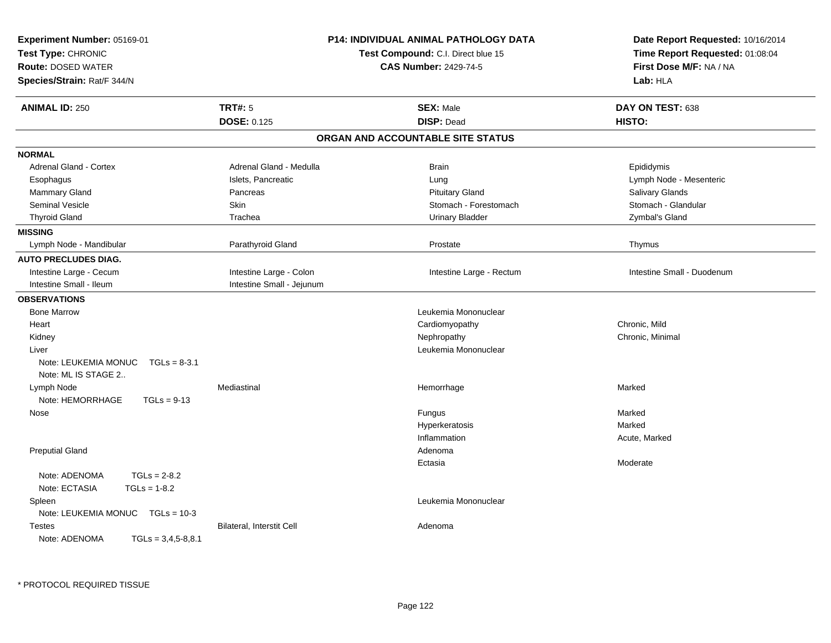| Experiment Number: 05169-01<br>Test Type: CHRONIC<br><b>Route: DOSED WATER</b><br>Species/Strain: Rat/F 344/N |                           | <b>P14: INDIVIDUAL ANIMAL PATHOLOGY DATA</b><br>Test Compound: C.I. Direct blue 15<br><b>CAS Number: 2429-74-5</b> | Date Report Requested: 10/16/2014<br>Time Report Requested: 01:08:04<br>First Dose M/F: NA / NA<br>Lab: HLA |
|---------------------------------------------------------------------------------------------------------------|---------------------------|--------------------------------------------------------------------------------------------------------------------|-------------------------------------------------------------------------------------------------------------|
| <b>ANIMAL ID: 250</b>                                                                                         | <b>TRT#: 5</b>            | <b>SEX: Male</b>                                                                                                   | DAY ON TEST: 638                                                                                            |
|                                                                                                               | DOSE: 0.125               | <b>DISP: Dead</b>                                                                                                  | HISTO:                                                                                                      |
|                                                                                                               |                           | ORGAN AND ACCOUNTABLE SITE STATUS                                                                                  |                                                                                                             |
| <b>NORMAL</b>                                                                                                 |                           |                                                                                                                    |                                                                                                             |
| <b>Adrenal Gland - Cortex</b>                                                                                 | Adrenal Gland - Medulla   | <b>Brain</b>                                                                                                       | Epididymis                                                                                                  |
| Esophagus                                                                                                     | Islets, Pancreatic        | Lung                                                                                                               | Lymph Node - Mesenteric                                                                                     |
| <b>Mammary Gland</b>                                                                                          | Pancreas                  | <b>Pituitary Gland</b>                                                                                             | Salivary Glands                                                                                             |
| <b>Seminal Vesicle</b>                                                                                        | Skin                      | Stomach - Forestomach                                                                                              | Stomach - Glandular                                                                                         |
| <b>Thyroid Gland</b>                                                                                          | Trachea                   | Urinary Bladder                                                                                                    | Zymbal's Gland                                                                                              |
| <b>MISSING</b>                                                                                                |                           |                                                                                                                    |                                                                                                             |
| Lymph Node - Mandibular                                                                                       | Parathyroid Gland         | Prostate                                                                                                           | Thymus                                                                                                      |
| <b>AUTO PRECLUDES DIAG.</b>                                                                                   |                           |                                                                                                                    |                                                                                                             |
| Intestine Large - Cecum                                                                                       | Intestine Large - Colon   | Intestine Large - Rectum                                                                                           | Intestine Small - Duodenum                                                                                  |
| Intestine Small - Ileum                                                                                       | Intestine Small - Jejunum |                                                                                                                    |                                                                                                             |
| <b>OBSERVATIONS</b>                                                                                           |                           |                                                                                                                    |                                                                                                             |
| <b>Bone Marrow</b>                                                                                            |                           | Leukemia Mononuclear                                                                                               |                                                                                                             |
| Heart                                                                                                         |                           | Cardiomyopathy                                                                                                     | Chronic, Mild                                                                                               |
| Kidney                                                                                                        |                           | Nephropathy                                                                                                        | Chronic, Minimal                                                                                            |
| Liver                                                                                                         |                           | Leukemia Mononuclear                                                                                               |                                                                                                             |
| Note: LEUKEMIA MONUC<br>$TGLs = 8-3.1$<br>Note: ML IS STAGE 2                                                 |                           |                                                                                                                    |                                                                                                             |
| Lymph Node                                                                                                    | Mediastinal               | Hemorrhage                                                                                                         | Marked                                                                                                      |
| Note: HEMORRHAGE<br>$TGLs = 9-13$                                                                             |                           |                                                                                                                    |                                                                                                             |
| Nose                                                                                                          |                           | Fungus                                                                                                             | Marked                                                                                                      |
|                                                                                                               |                           | Hyperkeratosis                                                                                                     | Marked                                                                                                      |
|                                                                                                               |                           | Inflammation                                                                                                       | Acute, Marked                                                                                               |
| <b>Preputial Gland</b>                                                                                        |                           | Adenoma                                                                                                            |                                                                                                             |
|                                                                                                               |                           | Ectasia                                                                                                            | Moderate                                                                                                    |
| $TGLs = 2-8.2$<br>Note: ADENOMA                                                                               |                           |                                                                                                                    |                                                                                                             |
| Note: ECTASIA<br>$TGLs = 1-8.2$                                                                               |                           |                                                                                                                    |                                                                                                             |
| Spleen                                                                                                        |                           | Leukemia Mononuclear                                                                                               |                                                                                                             |
| Note: LEUKEMIA MONUC  TGLs = 10-3                                                                             |                           |                                                                                                                    |                                                                                                             |
| <b>Testes</b><br>Note: ADENOMA<br>$TGLs = 3,4,5-8,8.1$                                                        | Bilateral, Interstit Cell | Adenoma                                                                                                            |                                                                                                             |

\* PROTOCOL REQUIRED TISSUE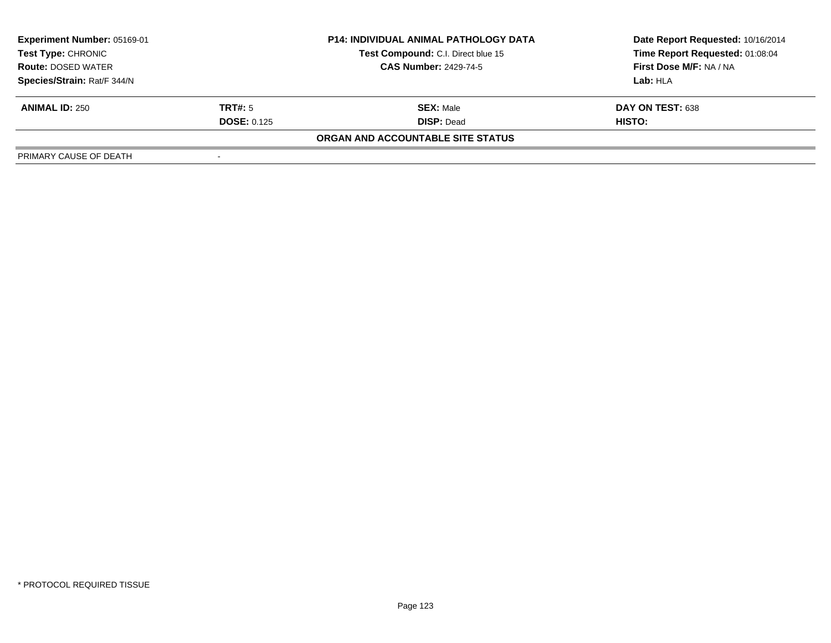| <b>Experiment Number: 05169-01</b><br>Test Type: CHRONIC |                    | <b>P14: INDIVIDUAL ANIMAL PATHOLOGY DATA</b> | Date Report Requested: 10/16/2014 |  |
|----------------------------------------------------------|--------------------|----------------------------------------------|-----------------------------------|--|
|                                                          |                    | Test Compound: C.I. Direct blue 15           | Time Report Requested: 01:08:04   |  |
| <b>Route: DOSED WATER</b>                                |                    | <b>CAS Number: 2429-74-5</b>                 | <b>First Dose M/F: NA / NA</b>    |  |
| Species/Strain: Rat/F 344/N                              |                    |                                              | Lab: HLA                          |  |
| <b>ANIMAL ID: 250</b>                                    | <b>TRT#:</b> 5     | <b>SEX: Male</b>                             | DAY ON TEST: 638                  |  |
|                                                          | <b>DOSE: 0.125</b> | <b>DISP: Dead</b>                            | HISTO:                            |  |
|                                                          |                    | ORGAN AND ACCOUNTABLE SITE STATUS            |                                   |  |
| PRIMARY CAUSE OF DEATH                                   |                    |                                              |                                   |  |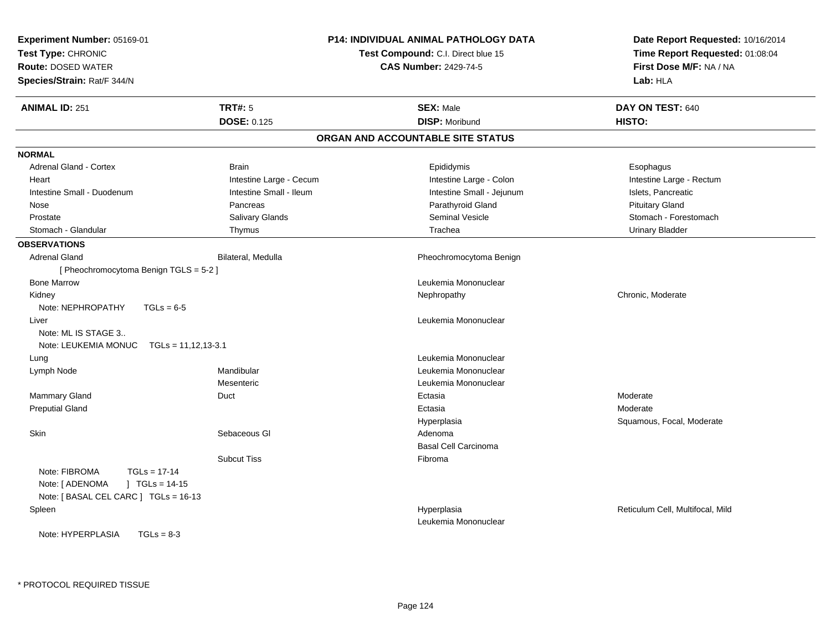| <b>Experiment Number: 05169-01</b><br>Test Type: CHRONIC<br><b>Route: DOSED WATER</b><br>Species/Strain: Rat/F 344/N              |                         | P14: INDIVIDUAL ANIMAL PATHOLOGY DATA<br>Test Compound: C.I. Direct blue 15<br><b>CAS Number: 2429-74-5</b> | Date Report Requested: 10/16/2014<br>Time Report Requested: 01:08:04<br>First Dose M/F: NA / NA<br>Lab: HLA |
|-----------------------------------------------------------------------------------------------------------------------------------|-------------------------|-------------------------------------------------------------------------------------------------------------|-------------------------------------------------------------------------------------------------------------|
| <b>ANIMAL ID: 251</b>                                                                                                             | <b>TRT#: 5</b>          | <b>SEX: Male</b>                                                                                            | DAY ON TEST: 640                                                                                            |
|                                                                                                                                   | <b>DOSE: 0.125</b>      | <b>DISP: Moribund</b>                                                                                       | HISTO:                                                                                                      |
|                                                                                                                                   |                         | ORGAN AND ACCOUNTABLE SITE STATUS                                                                           |                                                                                                             |
| <b>NORMAL</b>                                                                                                                     |                         |                                                                                                             |                                                                                                             |
| <b>Adrenal Gland - Cortex</b>                                                                                                     | <b>Brain</b>            | Epididymis                                                                                                  | Esophagus                                                                                                   |
| Heart                                                                                                                             | Intestine Large - Cecum | Intestine Large - Colon                                                                                     | Intestine Large - Rectum                                                                                    |
| Intestine Small - Duodenum                                                                                                        | Intestine Small - Ileum | Intestine Small - Jejunum                                                                                   | Islets, Pancreatic                                                                                          |
| Nose                                                                                                                              | Pancreas                | Parathyroid Gland                                                                                           | <b>Pituitary Gland</b>                                                                                      |
| Prostate                                                                                                                          | Salivary Glands         | <b>Seminal Vesicle</b>                                                                                      | Stomach - Forestomach                                                                                       |
| Stomach - Glandular                                                                                                               | Thymus                  | Trachea                                                                                                     | <b>Urinary Bladder</b>                                                                                      |
| <b>OBSERVATIONS</b>                                                                                                               |                         |                                                                                                             |                                                                                                             |
| Adrenal Gland                                                                                                                     | Bilateral, Medulla      | Pheochromocytoma Benign                                                                                     |                                                                                                             |
| [Pheochromocytoma Benign TGLS = 5-2]                                                                                              |                         |                                                                                                             |                                                                                                             |
| <b>Bone Marrow</b>                                                                                                                |                         | Leukemia Mononuclear                                                                                        |                                                                                                             |
| Kidney                                                                                                                            |                         | Nephropathy                                                                                                 | Chronic, Moderate                                                                                           |
| Note: NEPHROPATHY<br>$TGLs = 6-5$                                                                                                 |                         |                                                                                                             |                                                                                                             |
| Liver                                                                                                                             |                         | Leukemia Mononuclear                                                                                        |                                                                                                             |
| Note: ML IS STAGE 3                                                                                                               |                         |                                                                                                             |                                                                                                             |
| Note: LEUKEMIA MONUC<br>TGLs = 11,12,13-3.1                                                                                       |                         |                                                                                                             |                                                                                                             |
| Lung                                                                                                                              |                         | Leukemia Mononuclear                                                                                        |                                                                                                             |
| Lymph Node                                                                                                                        | Mandibular              | Leukemia Mononuclear                                                                                        |                                                                                                             |
|                                                                                                                                   | Mesenteric              | Leukemia Mononuclear                                                                                        |                                                                                                             |
| Mammary Gland                                                                                                                     | Duct                    | Ectasia                                                                                                     | Moderate                                                                                                    |
| <b>Preputial Gland</b>                                                                                                            |                         | Ectasia                                                                                                     | Moderate                                                                                                    |
|                                                                                                                                   |                         | Hyperplasia                                                                                                 | Squamous, Focal, Moderate                                                                                   |
| Skin                                                                                                                              | Sebaceous GI            | Adenoma                                                                                                     |                                                                                                             |
|                                                                                                                                   |                         | <b>Basal Cell Carcinoma</b>                                                                                 |                                                                                                             |
| Note: FIBROMA<br>$TGLs = 17-14$<br>Note: [ ADENOMA<br>$1 \text{ TGLs} = 14-15$<br>Note: [ BASAL CEL CARC ] TGLs = 16-13<br>Spleen | <b>Subcut Tiss</b>      | Fibroma<br>Hyperplasia                                                                                      | Reticulum Cell, Multifocal, Mild                                                                            |
| Note: HYPERPLASIA<br>$TGLs = 8-3$                                                                                                 |                         | Leukemia Mononuclear                                                                                        |                                                                                                             |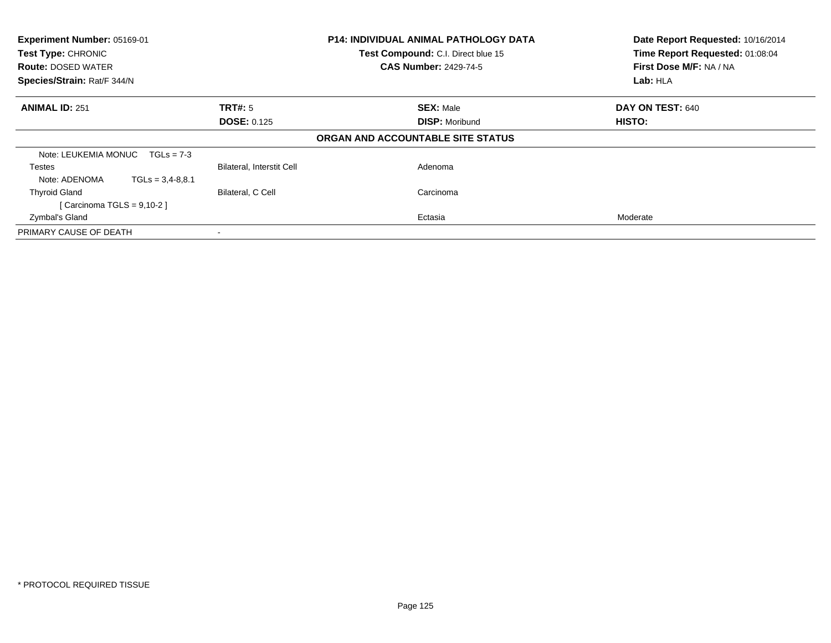| Experiment Number: 05169-01<br>Test Type: CHRONIC<br>Test Compound: C.I. Direct blue 15<br><b>CAS Number: 2429-74-5</b><br><b>Route: DOSED WATER</b><br>Species/Strain: Rat/F 344/N |                           | <b>P14: INDIVIDUAL ANIMAL PATHOLOGY DATA</b> | Date Report Requested: 10/16/2014<br>Time Report Requested: 01:08:04<br>First Dose M/F: NA / NA<br>Lab: HLA |  |
|-------------------------------------------------------------------------------------------------------------------------------------------------------------------------------------|---------------------------|----------------------------------------------|-------------------------------------------------------------------------------------------------------------|--|
| <b>ANIMAL ID: 251</b>                                                                                                                                                               | TRT#: 5                   | <b>SEX: Male</b>                             | DAY ON TEST: 640                                                                                            |  |
|                                                                                                                                                                                     | <b>DOSE: 0.125</b>        | <b>DISP: Moribund</b>                        | HISTO:                                                                                                      |  |
|                                                                                                                                                                                     |                           | ORGAN AND ACCOUNTABLE SITE STATUS            |                                                                                                             |  |
| Note: LEUKEMIA MONUC $TGLs = 7-3$                                                                                                                                                   |                           |                                              |                                                                                                             |  |
| Testes                                                                                                                                                                              | Bilateral, Interstit Cell | Adenoma                                      |                                                                                                             |  |
| Note: ADENOMA<br>$TGLs = 3.4-8.8.1$                                                                                                                                                 |                           |                                              |                                                                                                             |  |
| <b>Thyroid Gland</b>                                                                                                                                                                | Bilateral, C Cell         | Carcinoma                                    |                                                                                                             |  |
| [Carcinoma TGLS = $9,10-2$ ]                                                                                                                                                        |                           |                                              |                                                                                                             |  |
| Zymbal's Gland                                                                                                                                                                      |                           | Ectasia                                      | Moderate                                                                                                    |  |
| PRIMARY CAUSE OF DEATH                                                                                                                                                              |                           |                                              |                                                                                                             |  |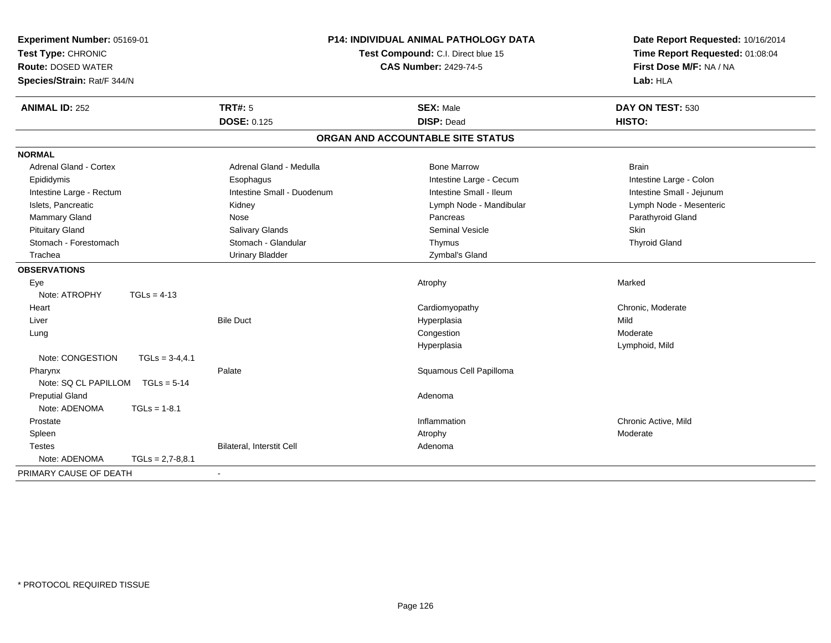| Experiment Number: 05169-01<br>Test Type: CHRONIC<br><b>Route: DOSED WATER</b><br>Species/Strain: Rat/F 344/N |                    | <b>P14: INDIVIDUAL ANIMAL PATHOLOGY DATA</b><br>Test Compound: C.I. Direct blue 15<br><b>CAS Number: 2429-74-5</b> |                                       | Date Report Requested: 10/16/2014<br>Time Report Requested: 01:08:04<br>First Dose M/F: NA / NA<br>Lab: HLA |  |
|---------------------------------------------------------------------------------------------------------------|--------------------|--------------------------------------------------------------------------------------------------------------------|---------------------------------------|-------------------------------------------------------------------------------------------------------------|--|
| <b>ANIMAL ID: 252</b>                                                                                         |                    | <b>TRT#: 5</b><br><b>DOSE: 0.125</b>                                                                               | <b>SEX: Male</b><br><b>DISP: Dead</b> | DAY ON TEST: 530<br>HISTO:                                                                                  |  |
|                                                                                                               |                    |                                                                                                                    | ORGAN AND ACCOUNTABLE SITE STATUS     |                                                                                                             |  |
| <b>NORMAL</b>                                                                                                 |                    |                                                                                                                    |                                       |                                                                                                             |  |
| Adrenal Gland - Cortex                                                                                        |                    | Adrenal Gland - Medulla                                                                                            | <b>Bone Marrow</b>                    | <b>Brain</b>                                                                                                |  |
| Epididymis                                                                                                    |                    | Esophagus                                                                                                          | Intestine Large - Cecum               | Intestine Large - Colon                                                                                     |  |
| Intestine Large - Rectum                                                                                      |                    | Intestine Small - Duodenum                                                                                         | Intestine Small - Ileum               | Intestine Small - Jejunum                                                                                   |  |
| Islets, Pancreatic                                                                                            |                    | Kidney                                                                                                             | Lymph Node - Mandibular               | Lymph Node - Mesenteric                                                                                     |  |
| Mammary Gland                                                                                                 |                    | Nose                                                                                                               | Pancreas                              | Parathyroid Gland                                                                                           |  |
| <b>Pituitary Gland</b>                                                                                        |                    | Salivary Glands                                                                                                    | Seminal Vesicle                       | <b>Skin</b>                                                                                                 |  |
| Stomach - Forestomach                                                                                         |                    | Stomach - Glandular                                                                                                | Thymus                                | <b>Thyroid Gland</b>                                                                                        |  |
| Trachea                                                                                                       |                    | <b>Urinary Bladder</b>                                                                                             | Zymbal's Gland                        |                                                                                                             |  |
| <b>OBSERVATIONS</b>                                                                                           |                    |                                                                                                                    |                                       |                                                                                                             |  |
| Eye                                                                                                           |                    |                                                                                                                    | Atrophy                               | Marked                                                                                                      |  |
| Note: ATROPHY                                                                                                 | $TGLs = 4-13$      |                                                                                                                    |                                       |                                                                                                             |  |
| Heart                                                                                                         |                    |                                                                                                                    | Cardiomyopathy                        | Chronic, Moderate                                                                                           |  |
| Liver                                                                                                         |                    | <b>Bile Duct</b>                                                                                                   | Hyperplasia                           | Mild                                                                                                        |  |
| Lung                                                                                                          |                    |                                                                                                                    | Congestion                            | Moderate                                                                                                    |  |
|                                                                                                               |                    |                                                                                                                    | Hyperplasia                           | Lymphoid, Mild                                                                                              |  |
| Note: CONGESTION                                                                                              | $TGLs = 3-4,4.1$   |                                                                                                                    |                                       |                                                                                                             |  |
| Pharynx                                                                                                       |                    | Palate                                                                                                             | Squamous Cell Papilloma               |                                                                                                             |  |
| Note: SQ CL PAPILLOM                                                                                          | $TGLs = 5-14$      |                                                                                                                    |                                       |                                                                                                             |  |
| <b>Preputial Gland</b>                                                                                        |                    |                                                                                                                    | Adenoma                               |                                                                                                             |  |
| Note: ADENOMA                                                                                                 | $TGLs = 1-8.1$     |                                                                                                                    |                                       |                                                                                                             |  |
| Prostate                                                                                                      |                    |                                                                                                                    | Inflammation                          | Chronic Active, Mild                                                                                        |  |
| Spleen                                                                                                        |                    |                                                                                                                    | Atrophy                               | Moderate                                                                                                    |  |
| <b>Testes</b>                                                                                                 |                    | Bilateral, Interstit Cell                                                                                          | Adenoma                               |                                                                                                             |  |
| Note: ADENOMA                                                                                                 | $TGLs = 2,7-8,8.1$ |                                                                                                                    |                                       |                                                                                                             |  |
| PRIMARY CAUSE OF DEATH                                                                                        |                    |                                                                                                                    |                                       |                                                                                                             |  |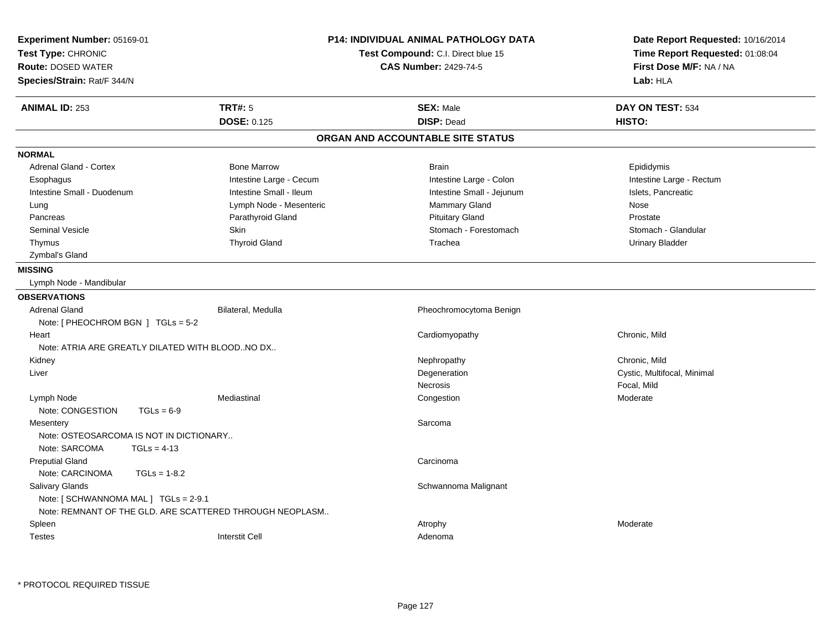| Experiment Number: 05169-01<br>Test Type: CHRONIC<br><b>Route: DOSED WATER</b><br>Species/Strain: Rat/F 344/N |                         | <b>P14: INDIVIDUAL ANIMAL PATHOLOGY DATA</b><br>Test Compound: C.I. Direct blue 15<br><b>CAS Number: 2429-74-5</b> | Date Report Requested: 10/16/2014<br>Time Report Requested: 01:08:04<br>First Dose M/F: NA / NA<br>Lab: HLA |
|---------------------------------------------------------------------------------------------------------------|-------------------------|--------------------------------------------------------------------------------------------------------------------|-------------------------------------------------------------------------------------------------------------|
| <b>TRT#: 5</b><br><b>ANIMAL ID: 253</b>                                                                       |                         | <b>SEX: Male</b>                                                                                                   | DAY ON TEST: 534                                                                                            |
|                                                                                                               | <b>DOSE: 0.125</b>      | <b>DISP: Dead</b>                                                                                                  | HISTO:                                                                                                      |
|                                                                                                               |                         | ORGAN AND ACCOUNTABLE SITE STATUS                                                                                  |                                                                                                             |
| <b>NORMAL</b>                                                                                                 |                         |                                                                                                                    |                                                                                                             |
| Adrenal Gland - Cortex                                                                                        | <b>Bone Marrow</b>      | <b>Brain</b>                                                                                                       | Epididymis                                                                                                  |
| Esophagus                                                                                                     | Intestine Large - Cecum | Intestine Large - Colon                                                                                            | Intestine Large - Rectum                                                                                    |
| Intestine Small - Duodenum                                                                                    | Intestine Small - Ileum | Intestine Small - Jejunum                                                                                          | Islets, Pancreatic                                                                                          |
| Lung                                                                                                          | Lymph Node - Mesenteric | Mammary Gland                                                                                                      | Nose                                                                                                        |
| Pancreas                                                                                                      | Parathyroid Gland       | <b>Pituitary Gland</b>                                                                                             | Prostate                                                                                                    |
| <b>Seminal Vesicle</b><br>Skin                                                                                |                         | Stomach - Forestomach                                                                                              | Stomach - Glandular                                                                                         |
| Thymus                                                                                                        | <b>Thyroid Gland</b>    | Trachea                                                                                                            | <b>Urinary Bladder</b>                                                                                      |
| Zymbal's Gland                                                                                                |                         |                                                                                                                    |                                                                                                             |
| <b>MISSING</b>                                                                                                |                         |                                                                                                                    |                                                                                                             |
| Lymph Node - Mandibular                                                                                       |                         |                                                                                                                    |                                                                                                             |
| <b>OBSERVATIONS</b>                                                                                           |                         |                                                                                                                    |                                                                                                             |
| <b>Adrenal Gland</b>                                                                                          | Bilateral, Medulla      | Pheochromocytoma Benign                                                                                            |                                                                                                             |
| Note: $[$ PHEOCHROM BGN $]$ TGLs = 5-2                                                                        |                         |                                                                                                                    |                                                                                                             |
| Heart                                                                                                         |                         | Cardiomyopathy                                                                                                     | Chronic, Mild                                                                                               |
| Note: ATRIA ARE GREATLY DILATED WITH BLOODNO DX                                                               |                         |                                                                                                                    |                                                                                                             |
| Kidney                                                                                                        |                         | Nephropathy                                                                                                        | Chronic, Mild                                                                                               |
| Liver                                                                                                         |                         | Degeneration                                                                                                       | Cystic, Multifocal, Minimal                                                                                 |
|                                                                                                               |                         | <b>Necrosis</b>                                                                                                    | Focal, Mild                                                                                                 |
| Lymph Node<br>Mediastinal                                                                                     |                         | Congestion                                                                                                         | Moderate                                                                                                    |
| Note: CONGESTION<br>$TGLs = 6-9$                                                                              |                         |                                                                                                                    |                                                                                                             |
| Mesentery                                                                                                     |                         | Sarcoma                                                                                                            |                                                                                                             |
| Note: OSTEOSARCOMA IS NOT IN DICTIONARY                                                                       |                         |                                                                                                                    |                                                                                                             |
| Note: SARCOMA<br>$TGLs = 4-13$                                                                                |                         |                                                                                                                    |                                                                                                             |
| <b>Preputial Gland</b>                                                                                        |                         | Carcinoma                                                                                                          |                                                                                                             |
| Note: CARCINOMA<br>$TGLs = 1-8.2$                                                                             |                         |                                                                                                                    |                                                                                                             |
| Salivary Glands                                                                                               |                         | Schwannoma Malignant                                                                                               |                                                                                                             |
| Note: [ SCHWANNOMA MAL ] TGLs = 2-9.1                                                                         |                         |                                                                                                                    |                                                                                                             |
| Note: REMNANT OF THE GLD, ARE SCATTERED THROUGH NEOPLASM                                                      |                         |                                                                                                                    |                                                                                                             |
| Spleen                                                                                                        |                         |                                                                                                                    |                                                                                                             |
| <b>Interstit Cell</b>                                                                                         |                         | Atrophy                                                                                                            | Moderate                                                                                                    |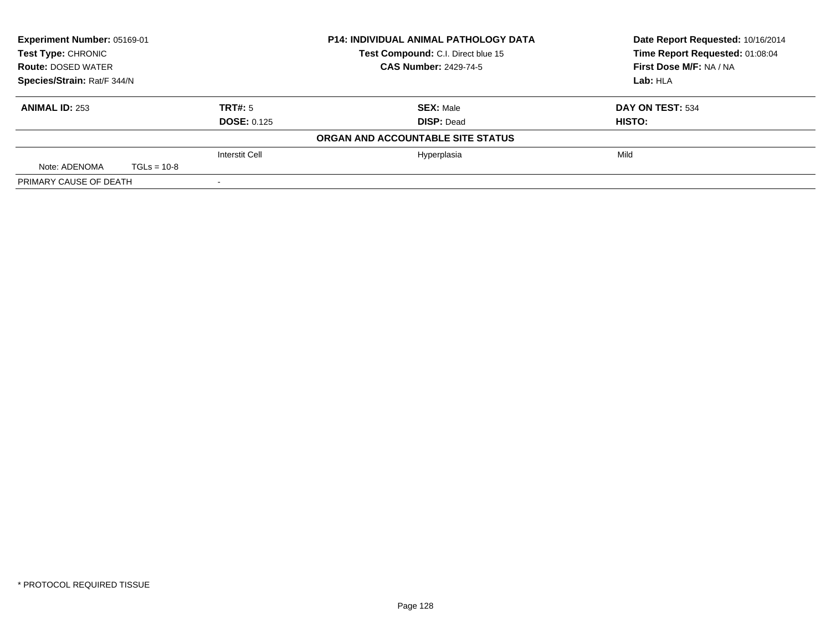| Experiment Number: 05169-01 |               |                    | <b>P14: INDIVIDUAL ANIMAL PATHOLOGY DATA</b> | Date Report Requested: 10/16/2014 |
|-----------------------------|---------------|--------------------|----------------------------------------------|-----------------------------------|
| <b>Test Type: CHRONIC</b>   |               |                    | Test Compound: C.I. Direct blue 15           | Time Report Requested: 01:08:04   |
| <b>Route: DOSED WATER</b>   |               |                    | <b>CAS Number: 2429-74-5</b>                 | First Dose M/F: NA / NA           |
| Species/Strain: Rat/F 344/N |               |                    |                                              | Lab: HLA                          |
| <b>ANIMAL ID: 253</b>       |               | TRT#: 5            | <b>SEX: Male</b>                             | DAY ON TEST: 534                  |
|                             |               | <b>DOSE: 0.125</b> | <b>DISP: Dead</b>                            | HISTO:                            |
|                             |               |                    | ORGAN AND ACCOUNTABLE SITE STATUS            |                                   |
|                             |               | Interstit Cell     | Hyperplasia                                  | Mild                              |
| Note: ADENOMA               | $TGLs = 10-8$ |                    |                                              |                                   |
| PRIMARY CAUSE OF DEATH      |               |                    |                                              |                                   |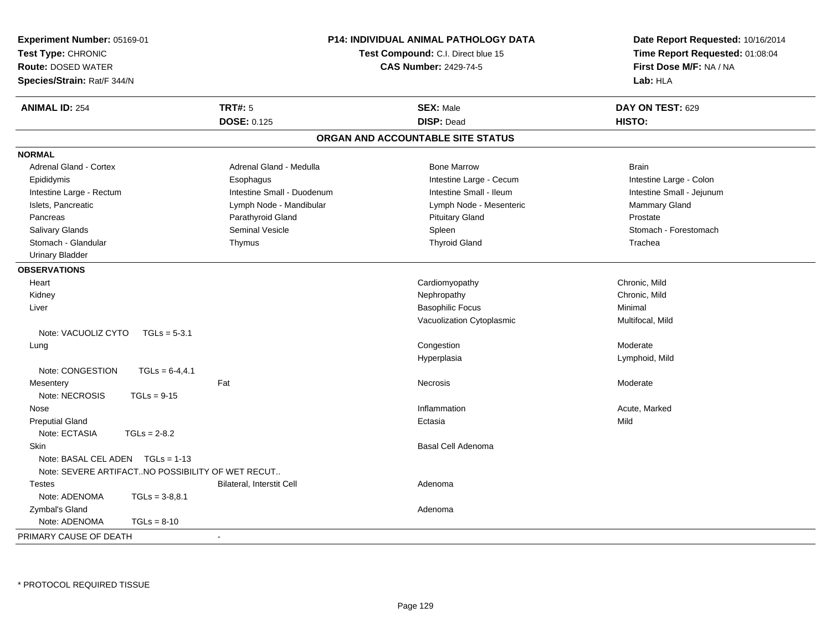| Experiment Number: 05169-01                      |                                    | <b>P14: INDIVIDUAL ANIMAL PATHOLOGY DATA</b> | Date Report Requested: 10/16/2014 |  |
|--------------------------------------------------|------------------------------------|----------------------------------------------|-----------------------------------|--|
| Test Type: CHRONIC                               | Test Compound: C.I. Direct blue 15 |                                              | Time Report Requested: 01:08:04   |  |
| <b>Route: DOSED WATER</b>                        |                                    | <b>CAS Number: 2429-74-5</b>                 | First Dose M/F: NA / NA           |  |
| Species/Strain: Rat/F 344/N                      |                                    |                                              | Lab: HLA                          |  |
| <b>ANIMAL ID: 254</b>                            | <b>TRT#: 5</b>                     | <b>SEX: Male</b>                             | DAY ON TEST: 629                  |  |
|                                                  | <b>DOSE: 0.125</b>                 | <b>DISP: Dead</b>                            | HISTO:                            |  |
|                                                  |                                    | ORGAN AND ACCOUNTABLE SITE STATUS            |                                   |  |
| <b>NORMAL</b>                                    |                                    |                                              |                                   |  |
| <b>Adrenal Gland - Cortex</b>                    | Adrenal Gland - Medulla            | <b>Bone Marrow</b>                           | <b>Brain</b>                      |  |
| Epididymis                                       | Esophagus                          | Intestine Large - Cecum                      | Intestine Large - Colon           |  |
| Intestine Large - Rectum                         | Intestine Small - Duodenum         | Intestine Small - Ileum                      | Intestine Small - Jejunum         |  |
| Islets, Pancreatic                               | Lymph Node - Mandibular            | Lymph Node - Mesenteric                      | Mammary Gland                     |  |
| Pancreas                                         | Parathyroid Gland                  | <b>Pituitary Gland</b>                       | Prostate                          |  |
| Salivary Glands                                  | <b>Seminal Vesicle</b>             | Spleen                                       | Stomach - Forestomach             |  |
| Stomach - Glandular                              | Thymus                             | <b>Thyroid Gland</b>                         | Trachea                           |  |
| <b>Urinary Bladder</b>                           |                                    |                                              |                                   |  |
| <b>OBSERVATIONS</b>                              |                                    |                                              |                                   |  |
| Heart                                            |                                    | Cardiomyopathy                               | Chronic, Mild                     |  |
| Kidney                                           |                                    | Nephropathy                                  | Chronic, Mild                     |  |
| Liver                                            |                                    | <b>Basophilic Focus</b>                      | Minimal                           |  |
|                                                  |                                    | Vacuolization Cytoplasmic                    | Multifocal, Mild                  |  |
| Note: VACUOLIZ CYTO<br>$TGLs = 5-3.1$            |                                    |                                              |                                   |  |
| Lung                                             |                                    | Congestion                                   | Moderate                          |  |
|                                                  |                                    | Hyperplasia                                  | Lymphoid, Mild                    |  |
| Note: CONGESTION<br>$TGLs = 6-4, 4.1$            |                                    |                                              |                                   |  |
| Mesentery                                        | Fat                                | <b>Necrosis</b>                              | Moderate                          |  |
| Note: NECROSIS<br>$TGLs = 9-15$                  |                                    |                                              |                                   |  |
| Nose                                             |                                    | Inflammation                                 | Acute, Marked                     |  |
| <b>Preputial Gland</b>                           |                                    | Ectasia                                      | Mild                              |  |
| Note: ECTASIA<br>$TGLs = 2-8.2$                  |                                    |                                              |                                   |  |
| Skin                                             |                                    | Basal Cell Adenoma                           |                                   |  |
| Note: BASAL CEL ADEN<br>$TGLs = 1-13$            |                                    |                                              |                                   |  |
| Note: SEVERE ARTIFACTNO POSSIBILITY OF WET RECUT |                                    |                                              |                                   |  |
| <b>Testes</b>                                    | Bilateral, Interstit Cell          | Adenoma                                      |                                   |  |
| Note: ADENOMA<br>$TGLs = 3-8.8.1$                |                                    |                                              |                                   |  |
| Zymbal's Gland                                   |                                    | Adenoma                                      |                                   |  |
| Note: ADENOMA<br>$TGLs = 8-10$                   |                                    |                                              |                                   |  |
| PRIMARY CAUSE OF DEATH                           |                                    |                                              |                                   |  |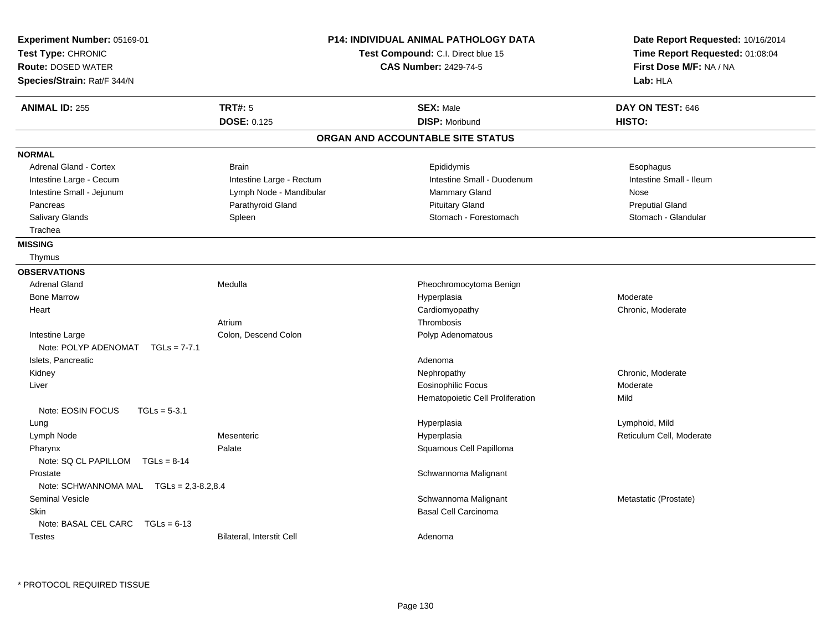| Experiment Number: 05169-01<br>Test Type: CHRONIC<br><b>Route: DOSED WATER</b><br>Species/Strain: Rat/F 344/N |                                      | <b>P14: INDIVIDUAL ANIMAL PATHOLOGY DATA</b><br>Test Compound: C.I. Direct blue 15<br><b>CAS Number: 2429-74-5</b> | Date Report Requested: 10/16/2014<br>Time Report Requested: 01:08:04<br>First Dose M/F: NA / NA<br>Lab: HLA |
|---------------------------------------------------------------------------------------------------------------|--------------------------------------|--------------------------------------------------------------------------------------------------------------------|-------------------------------------------------------------------------------------------------------------|
| <b>ANIMAL ID: 255</b>                                                                                         | <b>TRT#: 5</b><br><b>DOSE: 0.125</b> | <b>SEX: Male</b><br><b>DISP: Moribund</b>                                                                          | DAY ON TEST: 646<br>HISTO:                                                                                  |
|                                                                                                               |                                      | ORGAN AND ACCOUNTABLE SITE STATUS                                                                                  |                                                                                                             |
| <b>NORMAL</b>                                                                                                 |                                      |                                                                                                                    |                                                                                                             |
| Adrenal Gland - Cortex                                                                                        | <b>Brain</b>                         | Epididymis                                                                                                         | Esophagus                                                                                                   |
| Intestine Large - Cecum                                                                                       | Intestine Large - Rectum             | Intestine Small - Duodenum                                                                                         | Intestine Small - Ileum                                                                                     |
| Intestine Small - Jejunum                                                                                     | Lymph Node - Mandibular              | Mammary Gland                                                                                                      | Nose                                                                                                        |
| Pancreas                                                                                                      | Parathyroid Gland                    | <b>Pituitary Gland</b>                                                                                             | <b>Preputial Gland</b>                                                                                      |
| Salivary Glands                                                                                               | Spleen                               | Stomach - Forestomach                                                                                              | Stomach - Glandular                                                                                         |
| Trachea                                                                                                       |                                      |                                                                                                                    |                                                                                                             |
| <b>MISSING</b>                                                                                                |                                      |                                                                                                                    |                                                                                                             |
| Thymus                                                                                                        |                                      |                                                                                                                    |                                                                                                             |
| <b>OBSERVATIONS</b>                                                                                           |                                      |                                                                                                                    |                                                                                                             |
| <b>Adrenal Gland</b>                                                                                          | Medulla                              | Pheochromocytoma Benign                                                                                            |                                                                                                             |
| <b>Bone Marrow</b>                                                                                            |                                      | Hyperplasia                                                                                                        | Moderate                                                                                                    |
| Heart                                                                                                         |                                      | Cardiomyopathy                                                                                                     | Chronic, Moderate                                                                                           |
|                                                                                                               | Atrium                               | Thrombosis                                                                                                         |                                                                                                             |
| Intestine Large                                                                                               | Colon, Descend Colon                 | Polyp Adenomatous                                                                                                  |                                                                                                             |
| Note: POLYP ADENOMAT<br>$TGLs = 7-7.1$                                                                        |                                      |                                                                                                                    |                                                                                                             |
| Islets, Pancreatic                                                                                            |                                      | Adenoma                                                                                                            |                                                                                                             |
| Kidney                                                                                                        |                                      | Nephropathy                                                                                                        | Chronic, Moderate                                                                                           |
| Liver                                                                                                         |                                      | <b>Eosinophilic Focus</b>                                                                                          | Moderate                                                                                                    |
|                                                                                                               |                                      | Hematopoietic Cell Proliferation                                                                                   | Mild                                                                                                        |
| Note: EOSIN FOCUS<br>$TGLs = 5-3.1$                                                                           |                                      |                                                                                                                    |                                                                                                             |
| Lung                                                                                                          |                                      | Hyperplasia                                                                                                        | Lymphoid, Mild                                                                                              |
| Lymph Node                                                                                                    | Mesenteric                           | Hyperplasia                                                                                                        | Reticulum Cell, Moderate                                                                                    |
| Pharynx                                                                                                       | Palate                               | Squamous Cell Papilloma                                                                                            |                                                                                                             |
| Note: SQ CL PAPILLOM TGLs = 8-14                                                                              |                                      |                                                                                                                    |                                                                                                             |
| Prostate                                                                                                      |                                      | Schwannoma Malignant                                                                                               |                                                                                                             |
| Note: SCHWANNOMA MAL TGLs = 2,3-8.2,8.4                                                                       |                                      |                                                                                                                    |                                                                                                             |
| <b>Seminal Vesicle</b>                                                                                        |                                      | Schwannoma Malignant                                                                                               | Metastatic (Prostate)                                                                                       |
| <b>Skin</b>                                                                                                   |                                      | <b>Basal Cell Carcinoma</b>                                                                                        |                                                                                                             |
| Note: BASAL CEL CARC<br>$TGLs = 6-13$                                                                         |                                      |                                                                                                                    |                                                                                                             |
| <b>Testes</b>                                                                                                 | <b>Bilateral, Interstit Cell</b>     | Adenoma                                                                                                            |                                                                                                             |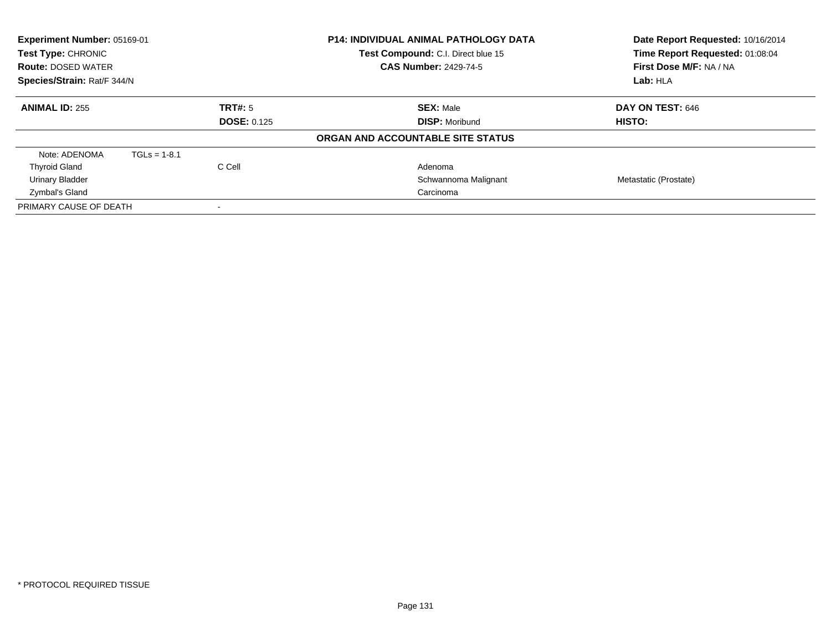| Experiment Number: 05169-01<br>Test Type: CHRONIC<br><b>Route: DOSED WATER</b><br>Species/Strain: Rat/F 344/N |                |                    | <b>P14: INDIVIDUAL ANIMAL PATHOLOGY DATA</b><br>Date Report Requested: 10/16/2014<br>Time Report Requested: 01:08:04<br>Test Compound: C.I. Direct blue 15<br>First Dose M/F: NA / NA<br><b>CAS Number: 2429-74-5</b><br>Lab: HLA |                       |
|---------------------------------------------------------------------------------------------------------------|----------------|--------------------|-----------------------------------------------------------------------------------------------------------------------------------------------------------------------------------------------------------------------------------|-----------------------|
| <b>ANIMAL ID: 255</b>                                                                                         |                | TRT#: 5            | <b>SEX: Male</b>                                                                                                                                                                                                                  | DAY ON TEST: 646      |
|                                                                                                               |                | <b>DOSE: 0.125</b> | <b>DISP: Moribund</b>                                                                                                                                                                                                             | HISTO:                |
|                                                                                                               |                |                    | ORGAN AND ACCOUNTABLE SITE STATUS                                                                                                                                                                                                 |                       |
| Note: ADENOMA                                                                                                 | $TGLs = 1-8.1$ |                    |                                                                                                                                                                                                                                   |                       |
| <b>Thyroid Gland</b>                                                                                          |                | C Cell             | Adenoma                                                                                                                                                                                                                           |                       |
| <b>Urinary Bladder</b>                                                                                        |                |                    | Schwannoma Malignant                                                                                                                                                                                                              | Metastatic (Prostate) |
| Zymbal's Gland                                                                                                |                |                    | Carcinoma                                                                                                                                                                                                                         |                       |
| PRIMARY CAUSE OF DEATH                                                                                        |                |                    |                                                                                                                                                                                                                                   |                       |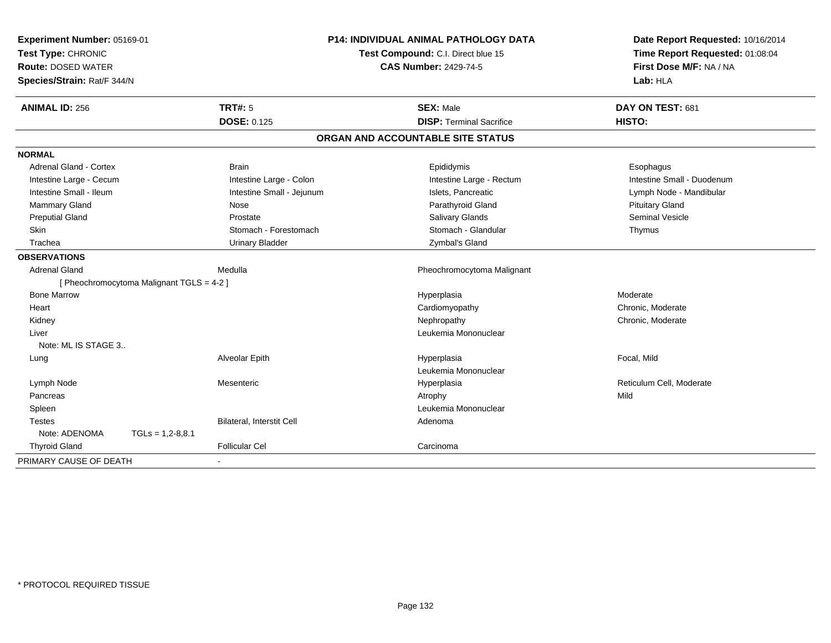| Experiment Number: 05169-01               |                           | <b>P14: INDIVIDUAL ANIMAL PATHOLOGY DATA</b> | Date Report Requested: 10/16/2014 |
|-------------------------------------------|---------------------------|----------------------------------------------|-----------------------------------|
| Test Type: CHRONIC                        |                           | Test Compound: C.I. Direct blue 15           | Time Report Requested: 01:08:04   |
| <b>Route: DOSED WATER</b>                 |                           | <b>CAS Number: 2429-74-5</b>                 | First Dose M/F: NA / NA           |
| Species/Strain: Rat/F 344/N               |                           |                                              | Lab: HLA                          |
| <b>ANIMAL ID: 256</b>                     | <b>TRT#: 5</b>            | <b>SEX: Male</b>                             | DAY ON TEST: 681                  |
|                                           | <b>DOSE: 0.125</b>        | <b>DISP: Terminal Sacrifice</b>              | HISTO:                            |
|                                           |                           | ORGAN AND ACCOUNTABLE SITE STATUS            |                                   |
| <b>NORMAL</b>                             |                           |                                              |                                   |
| Adrenal Gland - Cortex                    | <b>Brain</b>              | Epididymis                                   | Esophagus                         |
| Intestine Large - Cecum                   | Intestine Large - Colon   | Intestine Large - Rectum                     | Intestine Small - Duodenum        |
| Intestine Small - Ileum                   | Intestine Small - Jejunum | Islets, Pancreatic                           | Lymph Node - Mandibular           |
| Mammary Gland                             | Nose                      | Parathyroid Gland                            | <b>Pituitary Gland</b>            |
| <b>Preputial Gland</b>                    | Prostate                  | Salivary Glands                              | <b>Seminal Vesicle</b>            |
| Skin                                      | Stomach - Forestomach     | Stomach - Glandular                          | Thymus                            |
| Trachea                                   | <b>Urinary Bladder</b>    | Zymbal's Gland                               |                                   |
| <b>OBSERVATIONS</b>                       |                           |                                              |                                   |
| <b>Adrenal Gland</b>                      | Medulla                   | Pheochromocytoma Malignant                   |                                   |
| [ Pheochromocytoma Malignant TGLS = 4-2 ] |                           |                                              |                                   |
| <b>Bone Marrow</b>                        |                           | Hyperplasia                                  | Moderate                          |
| Heart                                     |                           | Cardiomyopathy                               | Chronic, Moderate                 |
| Kidney                                    |                           | Nephropathy                                  | Chronic, Moderate                 |
| Liver                                     |                           | Leukemia Mononuclear                         |                                   |
| Note: ML IS STAGE 3                       |                           |                                              |                                   |
| Lung                                      | Alveolar Epith            | Hyperplasia                                  | Focal, Mild                       |
|                                           |                           | Leukemia Mononuclear                         |                                   |
| Lymph Node                                | Mesenteric                | Hyperplasia                                  | Reticulum Cell, Moderate          |
| Pancreas                                  |                           | Atrophy                                      | Mild                              |
| Spleen                                    |                           | Leukemia Mononuclear                         |                                   |
| <b>Testes</b>                             | Bilateral, Interstit Cell | Adenoma                                      |                                   |
| Note: ADENOMA                             | $TGLs = 1,2-8,8.1$        |                                              |                                   |
| <b>Thyroid Gland</b>                      | <b>Follicular Cel</b>     | Carcinoma                                    |                                   |
| PRIMARY CAUSE OF DEATH                    | $\blacksquare$            |                                              |                                   |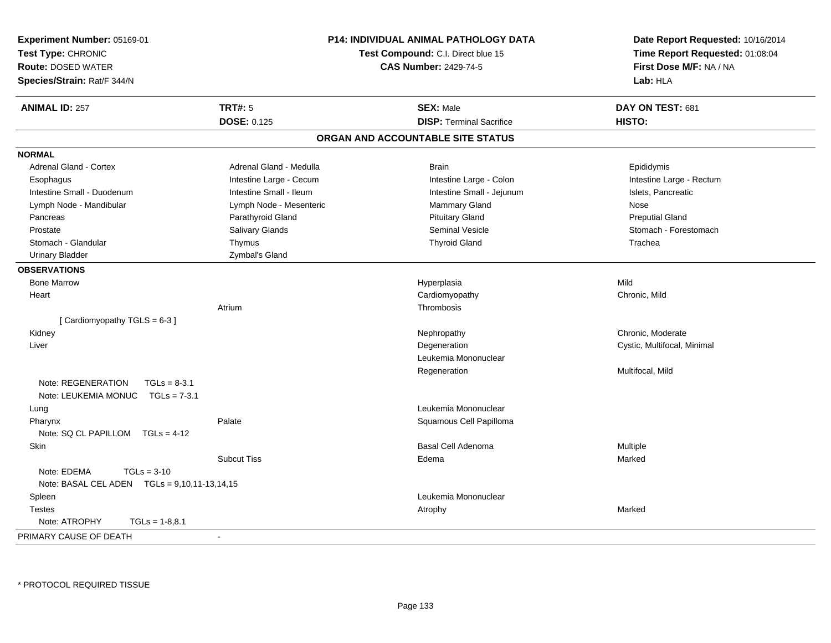| <b>Experiment Number: 05169-01</b><br>Test Type: CHRONIC<br><b>Route: DOSED WATER</b> | P14: INDIVIDUAL ANIMAL PATHOLOGY DATA<br>Test Compound: C.I. Direct blue 15<br><b>CAS Number: 2429-74-5</b> |                                   | Date Report Requested: 10/16/2014<br>Time Report Requested: 01:08:04<br>First Dose M/F: NA / NA |
|---------------------------------------------------------------------------------------|-------------------------------------------------------------------------------------------------------------|-----------------------------------|-------------------------------------------------------------------------------------------------|
| Species/Strain: Rat/F 344/N                                                           |                                                                                                             |                                   | Lab: HLA                                                                                        |
| <b>ANIMAL ID: 257</b>                                                                 | <b>TRT#: 5</b>                                                                                              | <b>SEX: Male</b>                  | DAY ON TEST: 681                                                                                |
|                                                                                       | <b>DOSE: 0.125</b>                                                                                          | <b>DISP: Terminal Sacrifice</b>   | HISTO:                                                                                          |
|                                                                                       |                                                                                                             | ORGAN AND ACCOUNTABLE SITE STATUS |                                                                                                 |
| <b>NORMAL</b>                                                                         |                                                                                                             |                                   |                                                                                                 |
| <b>Adrenal Gland - Cortex</b>                                                         | Adrenal Gland - Medulla                                                                                     | <b>Brain</b>                      | Epididymis                                                                                      |
| Esophagus                                                                             | Intestine Large - Cecum                                                                                     | Intestine Large - Colon           | Intestine Large - Rectum                                                                        |
| Intestine Small - Duodenum                                                            | Intestine Small - Ileum                                                                                     | Intestine Small - Jejunum         | Islets, Pancreatic                                                                              |
| Lymph Node - Mandibular                                                               | Lymph Node - Mesenteric                                                                                     | Mammary Gland                     | Nose                                                                                            |
| Pancreas                                                                              | Parathyroid Gland                                                                                           | <b>Pituitary Gland</b>            | <b>Preputial Gland</b>                                                                          |
| Prostate                                                                              | Salivary Glands                                                                                             | <b>Seminal Vesicle</b>            | Stomach - Forestomach                                                                           |
| Stomach - Glandular                                                                   | Thymus                                                                                                      | <b>Thyroid Gland</b>              | Trachea                                                                                         |
| <b>Urinary Bladder</b>                                                                | Zymbal's Gland                                                                                              |                                   |                                                                                                 |
| <b>OBSERVATIONS</b>                                                                   |                                                                                                             |                                   |                                                                                                 |
| <b>Bone Marrow</b>                                                                    |                                                                                                             | Hyperplasia                       | Mild                                                                                            |
| Heart                                                                                 |                                                                                                             | Cardiomyopathy                    | Chronic, Mild                                                                                   |
|                                                                                       | Atrium                                                                                                      | Thrombosis                        |                                                                                                 |
| [Cardiomyopathy TGLS = 6-3]                                                           |                                                                                                             |                                   |                                                                                                 |
| Kidney                                                                                |                                                                                                             | Nephropathy                       | Chronic, Moderate                                                                               |
| Liver                                                                                 |                                                                                                             | Degeneration                      | Cystic, Multifocal, Minimal                                                                     |
|                                                                                       |                                                                                                             | Leukemia Mononuclear              |                                                                                                 |
|                                                                                       |                                                                                                             | Regeneration                      | Multifocal, Mild                                                                                |
| Note: REGENERATION<br>$TGLs = 8-3.1$                                                  |                                                                                                             |                                   |                                                                                                 |
| Note: LEUKEMIA MONUC TGLs = 7-3.1                                                     |                                                                                                             |                                   |                                                                                                 |
| Lung                                                                                  |                                                                                                             | Leukemia Mononuclear              |                                                                                                 |
| Pharynx                                                                               | Palate                                                                                                      | Squamous Cell Papilloma           |                                                                                                 |
| Note: SQ CL PAPILLOM TGLs = 4-12                                                      |                                                                                                             |                                   |                                                                                                 |
| Skin                                                                                  |                                                                                                             | Basal Cell Adenoma                | Multiple                                                                                        |
|                                                                                       | <b>Subcut Tiss</b>                                                                                          | Edema                             | Marked                                                                                          |
| Note: EDEMA<br>$TGLs = 3-10$                                                          |                                                                                                             |                                   |                                                                                                 |
| Note: BASAL CEL ADEN    TGLs = 9,10,11-13,14,15                                       |                                                                                                             |                                   |                                                                                                 |
| Spleen                                                                                |                                                                                                             | Leukemia Mononuclear              |                                                                                                 |
| <b>Testes</b>                                                                         |                                                                                                             | Atrophy                           | Marked                                                                                          |
| Note: ATROPHY<br>$TGLs = 1-8.8.1$                                                     |                                                                                                             |                                   |                                                                                                 |
| PRIMARY CAUSE OF DEATH                                                                |                                                                                                             |                                   |                                                                                                 |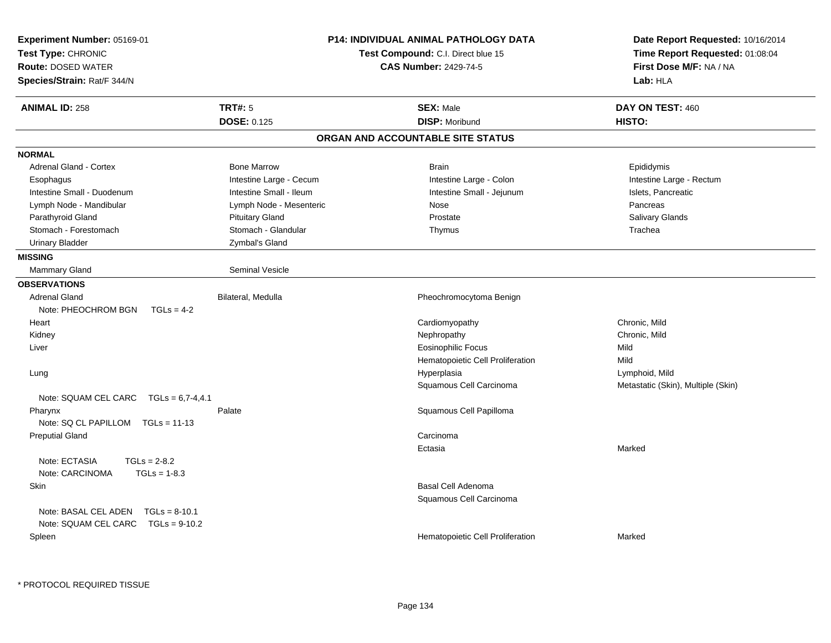| Experiment Number: 05169-01<br>Test Type: CHRONIC<br><b>Route: DOSED WATER</b><br>Species/Strain: Rat/F 344/N | P14: INDIVIDUAL ANIMAL PATHOLOGY DATA<br><b>Test Compound: C.I. Direct blue 15</b><br><b>CAS Number: 2429-74-5</b> | Date Report Requested: 10/16/2014<br>Time Report Requested: 01:08:04<br>First Dose M/F: NA / NA<br>Lab: HLA |
|---------------------------------------------------------------------------------------------------------------|--------------------------------------------------------------------------------------------------------------------|-------------------------------------------------------------------------------------------------------------|
| <b>TRT#: 5</b><br><b>ANIMAL ID: 258</b>                                                                       | <b>SEX: Male</b>                                                                                                   | DAY ON TEST: 460                                                                                            |
| <b>DOSE: 0.125</b>                                                                                            | <b>DISP: Moribund</b>                                                                                              | HISTO:                                                                                                      |
|                                                                                                               | ORGAN AND ACCOUNTABLE SITE STATUS                                                                                  |                                                                                                             |
| <b>NORMAL</b>                                                                                                 |                                                                                                                    |                                                                                                             |
| Adrenal Gland - Cortex<br><b>Bone Marrow</b>                                                                  | <b>Brain</b>                                                                                                       | Epididymis                                                                                                  |
| Intestine Large - Cecum<br>Esophagus                                                                          | Intestine Large - Colon                                                                                            | Intestine Large - Rectum                                                                                    |
| Intestine Small - Duodenum<br>Intestine Small - Ileum                                                         | Intestine Small - Jejunum                                                                                          | Islets, Pancreatic                                                                                          |
| Lymph Node - Mesenteric<br>Lymph Node - Mandibular                                                            | Nose                                                                                                               | Pancreas                                                                                                    |
| Parathyroid Gland<br><b>Pituitary Gland</b>                                                                   | Prostate                                                                                                           | <b>Salivary Glands</b>                                                                                      |
| Stomach - Glandular<br>Stomach - Forestomach                                                                  | Thymus                                                                                                             | Trachea                                                                                                     |
| <b>Urinary Bladder</b><br>Zymbal's Gland                                                                      |                                                                                                                    |                                                                                                             |
| <b>MISSING</b>                                                                                                |                                                                                                                    |                                                                                                             |
| <b>Seminal Vesicle</b><br><b>Mammary Gland</b>                                                                |                                                                                                                    |                                                                                                             |
| <b>OBSERVATIONS</b>                                                                                           |                                                                                                                    |                                                                                                             |
| <b>Adrenal Gland</b><br>Bilateral, Medulla                                                                    | Pheochromocytoma Benign                                                                                            |                                                                                                             |
| Note: PHEOCHROM BGN<br>$TGLs = 4-2$                                                                           |                                                                                                                    |                                                                                                             |
| Heart                                                                                                         | Cardiomyopathy                                                                                                     | Chronic, Mild                                                                                               |
| Kidney                                                                                                        | Nephropathy                                                                                                        | Chronic, Mild                                                                                               |
| Liver                                                                                                         | <b>Eosinophilic Focus</b>                                                                                          | Mild                                                                                                        |
|                                                                                                               | Hematopoietic Cell Proliferation                                                                                   | Mild                                                                                                        |
| Lung                                                                                                          | Hyperplasia                                                                                                        | Lymphoid, Mild                                                                                              |
|                                                                                                               | Squamous Cell Carcinoma                                                                                            | Metastatic (Skin), Multiple (Skin)                                                                          |
| Note: SQUAM CEL CARC $TGLs = 6,7-4,4.1$                                                                       |                                                                                                                    |                                                                                                             |
| Palate<br>Pharynx                                                                                             | Squamous Cell Papilloma                                                                                            |                                                                                                             |
| Note: $SQ CL PAPILLOM TGLs = 11-13$                                                                           |                                                                                                                    |                                                                                                             |
| <b>Preputial Gland</b>                                                                                        | Carcinoma                                                                                                          |                                                                                                             |
|                                                                                                               | Ectasia                                                                                                            | Marked                                                                                                      |
| Note: ECTASIA<br>$TGLs = 2-8.2$<br>Note: CARCINOMA<br>$TGLs = 1-8.3$                                          |                                                                                                                    |                                                                                                             |
| Skin                                                                                                          | Basal Cell Adenoma                                                                                                 |                                                                                                             |
|                                                                                                               | Squamous Cell Carcinoma                                                                                            |                                                                                                             |
| Note: BASAL CEL ADEN<br>$TGLs = 8-10.1$                                                                       |                                                                                                                    |                                                                                                             |
| Note: SQUAM CEL CARC<br>$TGLs = 9-10.2$                                                                       |                                                                                                                    |                                                                                                             |
|                                                                                                               |                                                                                                                    | Marked                                                                                                      |
| Spleen                                                                                                        | Hematopoietic Cell Proliferation                                                                                   |                                                                                                             |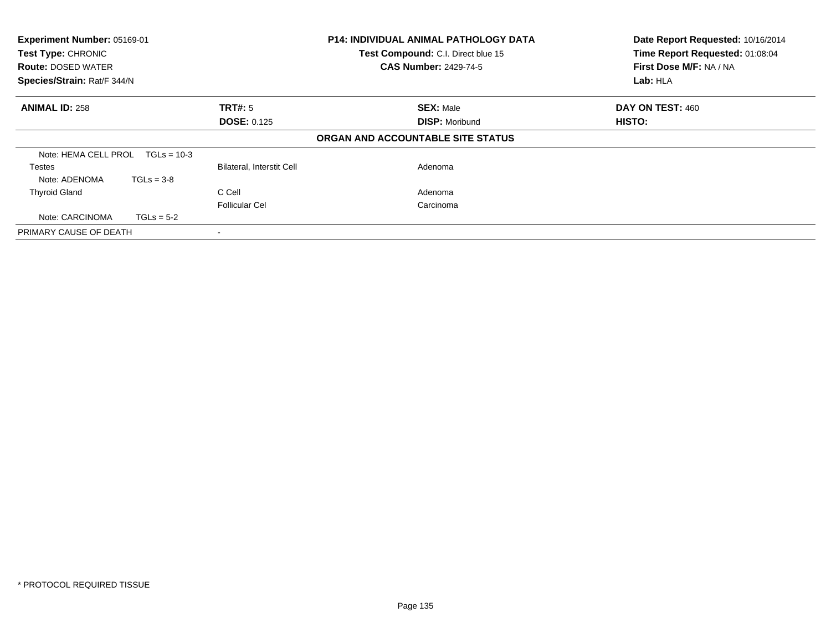| Experiment Number: 05169-01<br>Test Type: CHRONIC<br><b>Route: DOSED WATER</b><br>Species/Strain: Rat/F 344/N |               |                           | <b>P14: INDIVIDUAL ANIMAL PATHOLOGY DATA</b><br>Test Compound: C.I. Direct blue 15<br><b>CAS Number: 2429-74-5</b> | Date Report Requested: 10/16/2014<br>Time Report Requested: 01:08:04<br>First Dose M/F: NA / NA<br>Lab: HLA |
|---------------------------------------------------------------------------------------------------------------|---------------|---------------------------|--------------------------------------------------------------------------------------------------------------------|-------------------------------------------------------------------------------------------------------------|
|                                                                                                               |               |                           |                                                                                                                    |                                                                                                             |
| <b>ANIMAL ID: 258</b>                                                                                         |               | <b>TRT#: 5</b>            | <b>SEX: Male</b>                                                                                                   | DAY ON TEST: 460                                                                                            |
|                                                                                                               |               | <b>DOSE: 0.125</b>        | <b>DISP: Moribund</b>                                                                                              | HISTO:                                                                                                      |
|                                                                                                               |               |                           | ORGAN AND ACCOUNTABLE SITE STATUS                                                                                  |                                                                                                             |
| Note: HEMA CELL PROL                                                                                          | $TGLs = 10-3$ |                           |                                                                                                                    |                                                                                                             |
| <b>Testes</b>                                                                                                 |               | Bilateral, Interstit Cell | Adenoma                                                                                                            |                                                                                                             |
| Note: ADENOMA                                                                                                 | $TGLs = 3-8$  |                           |                                                                                                                    |                                                                                                             |
| <b>Thyroid Gland</b>                                                                                          |               | C Cell                    | Adenoma                                                                                                            |                                                                                                             |
|                                                                                                               |               | <b>Follicular Cel</b>     | Carcinoma                                                                                                          |                                                                                                             |
| Note: CARCINOMA                                                                                               | $TGLs = 5-2$  |                           |                                                                                                                    |                                                                                                             |
| PRIMARY CAUSE OF DEATH                                                                                        |               |                           |                                                                                                                    |                                                                                                             |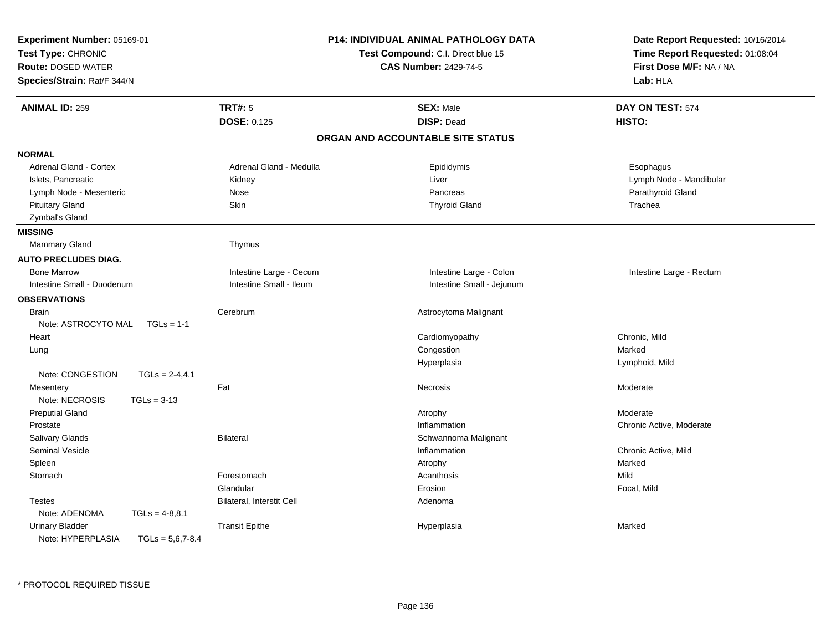| Experiment Number: 05169-01<br>Test Type: CHRONIC<br><b>Route: DOSED WATER</b><br>Species/Strain: Rat/F 344/N |                           | <b>P14: INDIVIDUAL ANIMAL PATHOLOGY DATA</b><br>Test Compound: C.I. Direct blue 15<br><b>CAS Number: 2429-74-5</b> | Date Report Requested: 10/16/2014<br>Time Report Requested: 01:08:04<br>First Dose M/F: NA / NA<br>Lab: HLA |
|---------------------------------------------------------------------------------------------------------------|---------------------------|--------------------------------------------------------------------------------------------------------------------|-------------------------------------------------------------------------------------------------------------|
| <b>ANIMAL ID: 259</b>                                                                                         | <b>TRT#: 5</b>            | <b>SEX: Male</b>                                                                                                   | DAY ON TEST: 574                                                                                            |
|                                                                                                               | <b>DOSE: 0.125</b>        | <b>DISP: Dead</b>                                                                                                  | HISTO:                                                                                                      |
|                                                                                                               |                           | ORGAN AND ACCOUNTABLE SITE STATUS                                                                                  |                                                                                                             |
| <b>NORMAL</b>                                                                                                 |                           |                                                                                                                    |                                                                                                             |
| <b>Adrenal Gland - Cortex</b>                                                                                 | Adrenal Gland - Medulla   | Epididymis                                                                                                         | Esophagus                                                                                                   |
| Islets, Pancreatic                                                                                            | Kidney                    | Liver                                                                                                              | Lymph Node - Mandibular                                                                                     |
| Lymph Node - Mesenteric                                                                                       | Nose                      | Pancreas                                                                                                           | Parathyroid Gland                                                                                           |
| <b>Pituitary Gland</b>                                                                                        | Skin                      | <b>Thyroid Gland</b>                                                                                               | Trachea                                                                                                     |
| Zymbal's Gland                                                                                                |                           |                                                                                                                    |                                                                                                             |
| <b>MISSING</b>                                                                                                |                           |                                                                                                                    |                                                                                                             |
| Mammary Gland                                                                                                 | Thymus                    |                                                                                                                    |                                                                                                             |
| <b>AUTO PRECLUDES DIAG.</b>                                                                                   |                           |                                                                                                                    |                                                                                                             |
| <b>Bone Marrow</b>                                                                                            | Intestine Large - Cecum   | Intestine Large - Colon                                                                                            | Intestine Large - Rectum                                                                                    |
| Intestine Small - Duodenum                                                                                    | Intestine Small - Ileum   | Intestine Small - Jejunum                                                                                          |                                                                                                             |
| <b>OBSERVATIONS</b>                                                                                           |                           |                                                                                                                    |                                                                                                             |
| <b>Brain</b>                                                                                                  | Cerebrum                  | Astrocytoma Malignant                                                                                              |                                                                                                             |
| Note: ASTROCYTO MAL<br>$TGLs = 1-1$                                                                           |                           |                                                                                                                    |                                                                                                             |
| Heart                                                                                                         |                           | Cardiomyopathy                                                                                                     | Chronic, Mild                                                                                               |
| Lung                                                                                                          |                           | Congestion                                                                                                         | Marked                                                                                                      |
|                                                                                                               |                           | Hyperplasia                                                                                                        | Lymphoid, Mild                                                                                              |
| Note: CONGESTION<br>$TGLs = 2-4,4.1$                                                                          |                           |                                                                                                                    |                                                                                                             |
| Mesentery                                                                                                     | Fat                       | Necrosis                                                                                                           | Moderate                                                                                                    |
| Note: NECROSIS<br>$TGLs = 3-13$                                                                               |                           |                                                                                                                    |                                                                                                             |
| <b>Preputial Gland</b>                                                                                        |                           | Atrophy                                                                                                            | Moderate                                                                                                    |
| Prostate                                                                                                      |                           | Inflammation                                                                                                       | Chronic Active, Moderate                                                                                    |
| <b>Salivary Glands</b>                                                                                        | <b>Bilateral</b>          | Schwannoma Malignant                                                                                               |                                                                                                             |
| Seminal Vesicle                                                                                               |                           | Inflammation                                                                                                       | Chronic Active, Mild                                                                                        |
| Spleen                                                                                                        |                           | Atrophy                                                                                                            | Marked                                                                                                      |
| Stomach                                                                                                       | Forestomach               | Acanthosis                                                                                                         | Mild                                                                                                        |
|                                                                                                               | Glandular                 | Erosion                                                                                                            | Focal, Mild                                                                                                 |
| <b>Testes</b>                                                                                                 | Bilateral, Interstit Cell | Adenoma                                                                                                            |                                                                                                             |
| Note: ADENOMA<br>$TGLs = 4-8,8.1$                                                                             |                           |                                                                                                                    |                                                                                                             |
| <b>Urinary Bladder</b>                                                                                        | <b>Transit Epithe</b>     | Hyperplasia                                                                                                        | Marked                                                                                                      |
| Note: HYPERPLASIA<br>$TGLs = 5,6,7-8.4$                                                                       |                           |                                                                                                                    |                                                                                                             |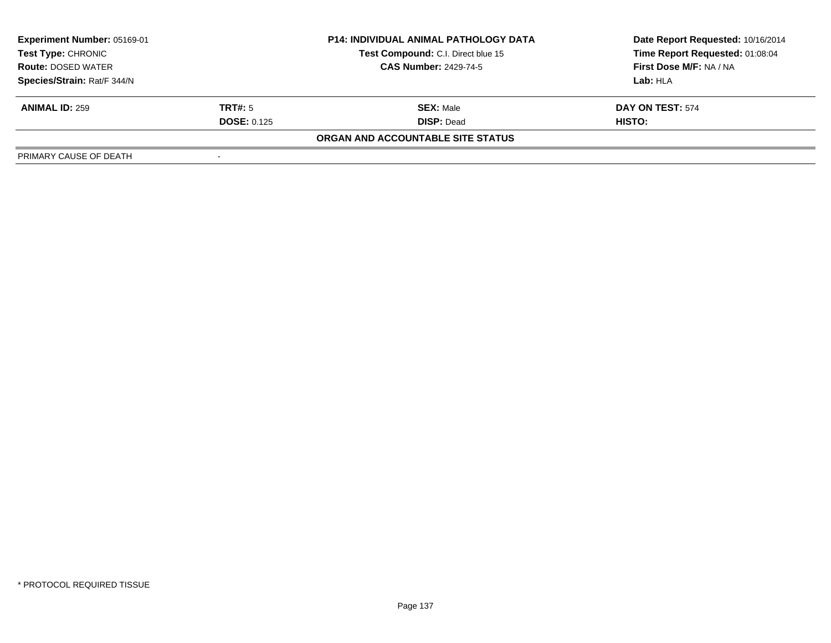| <b>Experiment Number: 05169-01</b><br>Test Type: CHRONIC<br><b>Route: DOSED WATER</b> |                    | <b>P14: INDIVIDUAL ANIMAL PATHOLOGY DATA</b> | Date Report Requested: 10/16/2014 |  |
|---------------------------------------------------------------------------------------|--------------------|----------------------------------------------|-----------------------------------|--|
|                                                                                       |                    | Test Compound: C.I. Direct blue 15           | Time Report Requested: 01:08:04   |  |
|                                                                                       |                    | <b>CAS Number: 2429-74-5</b>                 | <b>First Dose M/F: NA / NA</b>    |  |
| Species/Strain: Rat/F 344/N                                                           |                    |                                              | Lab: HLA                          |  |
| <b>ANIMAL ID: 259</b>                                                                 | <b>TRT#:</b> 5     | <b>SEX: Male</b>                             | DAY ON TEST: 574                  |  |
|                                                                                       | <b>DOSE: 0.125</b> | <b>DISP: Dead</b>                            | HISTO:                            |  |
|                                                                                       |                    | ORGAN AND ACCOUNTABLE SITE STATUS            |                                   |  |
| PRIMARY CAUSE OF DEATH                                                                |                    |                                              |                                   |  |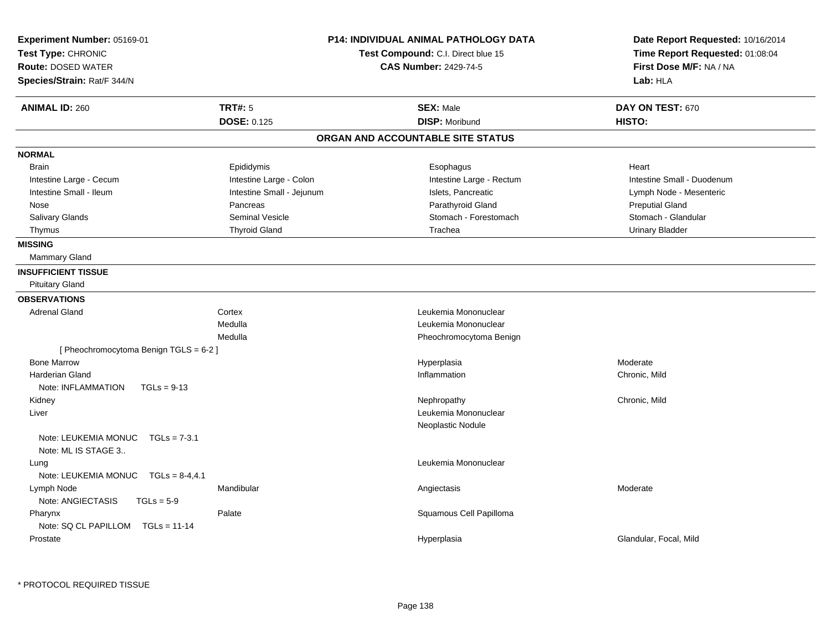| Experiment Number: 05169-01<br>Test Type: CHRONIC             |                           | <b>P14: INDIVIDUAL ANIMAL PATHOLOGY DATA</b><br>Test Compound: C.I. Direct blue 15 | Date Report Requested: 10/16/2014<br>Time Report Requested: 01:08:04 |
|---------------------------------------------------------------|---------------------------|------------------------------------------------------------------------------------|----------------------------------------------------------------------|
| <b>Route: DOSED WATER</b>                                     |                           | <b>CAS Number: 2429-74-5</b>                                                       | First Dose M/F: NA / NA                                              |
| Species/Strain: Rat/F 344/N                                   |                           |                                                                                    | Lab: HLA                                                             |
| <b>ANIMAL ID: 260</b>                                         | <b>TRT#: 5</b>            | <b>SEX: Male</b>                                                                   | DAY ON TEST: 670                                                     |
|                                                               | <b>DOSE: 0.125</b>        | <b>DISP: Moribund</b>                                                              | HISTO:                                                               |
|                                                               |                           | ORGAN AND ACCOUNTABLE SITE STATUS                                                  |                                                                      |
| <b>NORMAL</b>                                                 |                           |                                                                                    |                                                                      |
| <b>Brain</b>                                                  | Epididymis                | Esophagus                                                                          | Heart                                                                |
| Intestine Large - Cecum                                       | Intestine Large - Colon   | Intestine Large - Rectum                                                           | Intestine Small - Duodenum                                           |
| Intestine Small - Ileum                                       | Intestine Small - Jejunum | Islets, Pancreatic                                                                 | Lymph Node - Mesenteric                                              |
| Nose                                                          | Pancreas                  | Parathyroid Gland                                                                  | <b>Preputial Gland</b>                                               |
| Salivary Glands                                               | <b>Seminal Vesicle</b>    | Stomach - Forestomach                                                              | Stomach - Glandular                                                  |
| Thymus                                                        | <b>Thyroid Gland</b>      | Trachea                                                                            | <b>Urinary Bladder</b>                                               |
| <b>MISSING</b>                                                |                           |                                                                                    |                                                                      |
| <b>Mammary Gland</b>                                          |                           |                                                                                    |                                                                      |
| <b>INSUFFICIENT TISSUE</b>                                    |                           |                                                                                    |                                                                      |
| <b>Pituitary Gland</b>                                        |                           |                                                                                    |                                                                      |
| <b>OBSERVATIONS</b>                                           |                           |                                                                                    |                                                                      |
| <b>Adrenal Gland</b>                                          | Cortex                    | Leukemia Mononuclear                                                               |                                                                      |
|                                                               | Medulla                   | Leukemia Mononuclear                                                               |                                                                      |
|                                                               | Medulla                   | Pheochromocytoma Benign                                                            |                                                                      |
| [ Pheochromocytoma Benign TGLS = 6-2 ]                        |                           |                                                                                    |                                                                      |
| <b>Bone Marrow</b>                                            |                           | Hyperplasia                                                                        | Moderate                                                             |
| <b>Harderian Gland</b>                                        |                           | Inflammation                                                                       | Chronic, Mild                                                        |
| Note: INFLAMMATION<br>$TGLs = 9-13$                           |                           |                                                                                    |                                                                      |
| Kidney                                                        |                           | Nephropathy                                                                        | Chronic, Mild                                                        |
| Liver                                                         |                           | Leukemia Mononuclear                                                               |                                                                      |
|                                                               |                           | Neoplastic Nodule                                                                  |                                                                      |
| Note: LEUKEMIA MONUC<br>$TGLs = 7-3.1$<br>Note: ML IS STAGE 3 |                           |                                                                                    |                                                                      |
| Lung                                                          |                           | Leukemia Mononuclear                                                               |                                                                      |
| Note: LEUKEMIA MONUC<br>$TGLs = 8-4, 4.1$                     |                           |                                                                                    |                                                                      |
| Lymph Node                                                    | Mandibular                | Angiectasis                                                                        | Moderate                                                             |
| Note: ANGIECTASIS<br>$TGLs = 5-9$                             |                           |                                                                                    |                                                                      |
| Pharynx                                                       | Palate                    | Squamous Cell Papilloma                                                            |                                                                      |
| Note: SQ CL PAPILLOM TGLs = 11-14                             |                           |                                                                                    |                                                                      |
| Prostate                                                      |                           | Hyperplasia                                                                        | Glandular, Focal, Mild                                               |
|                                                               |                           |                                                                                    |                                                                      |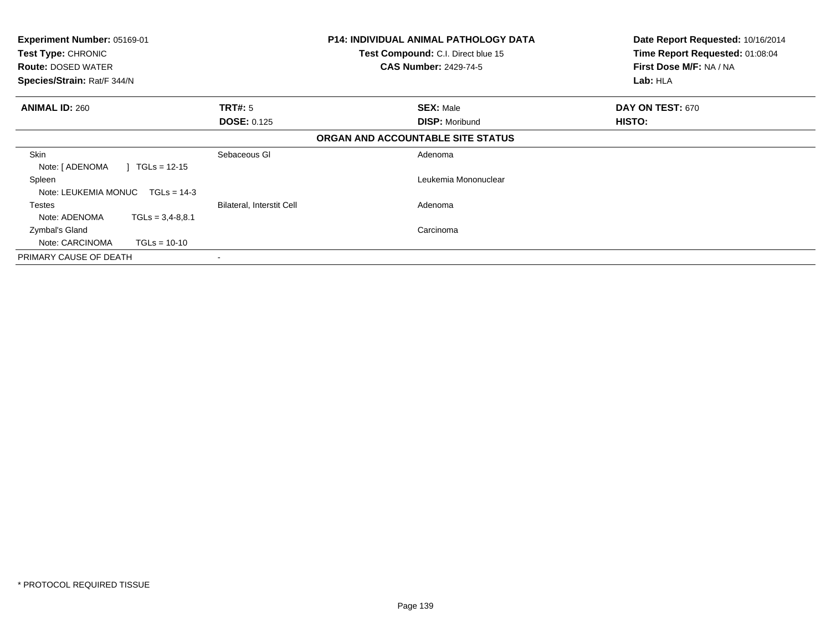| <b>Experiment Number: 05169-01</b><br>Test Type: CHRONIC<br><b>Route: DOSED WATER</b><br>Species/Strain: Rat/F 344/N |                           | <b>P14: INDIVIDUAL ANIMAL PATHOLOGY DATA</b><br>Date Report Requested: 10/16/2014<br>Time Report Requested: 01:08:04<br>Test Compound: C.I. Direct blue 15<br><b>CAS Number: 2429-74-5</b><br>First Dose M/F: NA / NA<br>Lab: HLA |                  |
|----------------------------------------------------------------------------------------------------------------------|---------------------------|-----------------------------------------------------------------------------------------------------------------------------------------------------------------------------------------------------------------------------------|------------------|
| <b>ANIMAL ID: 260</b>                                                                                                | <b>TRT#: 5</b>            | <b>SEX: Male</b>                                                                                                                                                                                                                  | DAY ON TEST: 670 |
|                                                                                                                      | <b>DOSE: 0.125</b>        | <b>DISP: Moribund</b>                                                                                                                                                                                                             | <b>HISTO:</b>    |
|                                                                                                                      |                           | ORGAN AND ACCOUNTABLE SITE STATUS                                                                                                                                                                                                 |                  |
| <b>Skin</b><br>$TGLs = 12-15$<br>Note: [ ADENOMA                                                                     | Sebaceous GI              | Adenoma                                                                                                                                                                                                                           |                  |
| Spleen<br>Note: LEUKEMIA MONUC TGLs = 14-3                                                                           |                           | Leukemia Mononuclear                                                                                                                                                                                                              |                  |
| <b>Testes</b>                                                                                                        | Bilateral, Interstit Cell | Adenoma                                                                                                                                                                                                                           |                  |
| Note: ADENOMA<br>$TGLs = 3,4-8,8.1$                                                                                  |                           |                                                                                                                                                                                                                                   |                  |
| Zymbal's Gland                                                                                                       |                           | Carcinoma                                                                                                                                                                                                                         |                  |
| Note: CARCINOMA<br>$TGLs = 10-10$                                                                                    |                           |                                                                                                                                                                                                                                   |                  |
| PRIMARY CAUSE OF DEATH                                                                                               |                           |                                                                                                                                                                                                                                   |                  |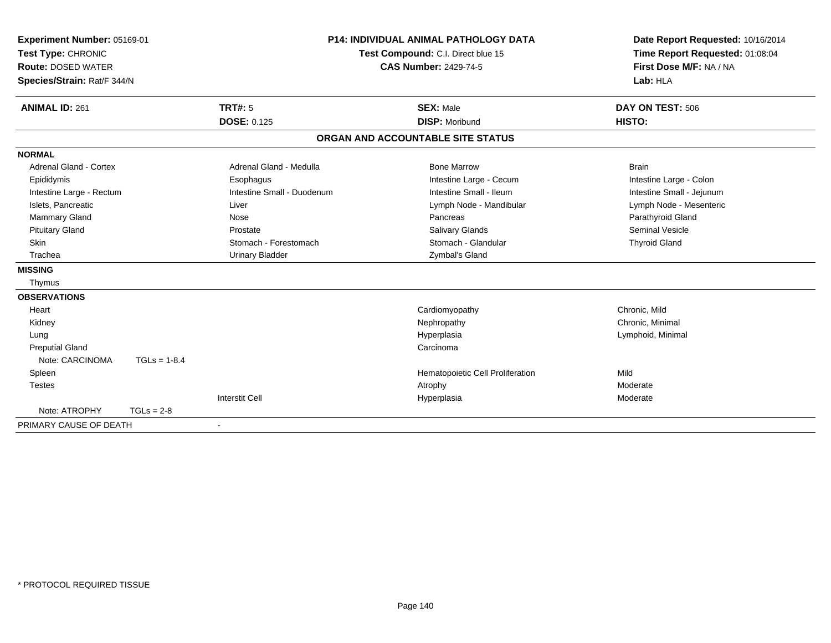| Experiment Number: 05169-01   |                                    |                            | <b>P14: INDIVIDUAL ANIMAL PATHOLOGY DATA</b> | Date Report Requested: 10/16/2014 |
|-------------------------------|------------------------------------|----------------------------|----------------------------------------------|-----------------------------------|
| Test Type: CHRONIC            | Test Compound: C.I. Direct blue 15 |                            | Time Report Requested: 01:08:04              |                                   |
| <b>Route: DOSED WATER</b>     |                                    |                            | <b>CAS Number: 2429-74-5</b>                 | First Dose M/F: NA / NA           |
| Species/Strain: Rat/F 344/N   |                                    |                            |                                              | Lab: HLA                          |
| <b>ANIMAL ID: 261</b>         |                                    | <b>TRT#: 5</b>             | <b>SEX: Male</b>                             | DAY ON TEST: 506                  |
|                               |                                    | <b>DOSE: 0.125</b>         | <b>DISP: Moribund</b>                        | HISTO:                            |
|                               |                                    |                            | ORGAN AND ACCOUNTABLE SITE STATUS            |                                   |
| <b>NORMAL</b>                 |                                    |                            |                                              |                                   |
| <b>Adrenal Gland - Cortex</b> |                                    | Adrenal Gland - Medulla    | <b>Bone Marrow</b>                           | <b>Brain</b>                      |
| Epididymis                    |                                    | Esophagus                  | Intestine Large - Cecum                      | Intestine Large - Colon           |
| Intestine Large - Rectum      |                                    | Intestine Small - Duodenum | Intestine Small - Ileum                      | Intestine Small - Jejunum         |
| Islets, Pancreatic            |                                    | Liver                      | Lymph Node - Mandibular                      | Lymph Node - Mesenteric           |
| Mammary Gland                 |                                    | Nose                       | Pancreas                                     | Parathyroid Gland                 |
| <b>Pituitary Gland</b>        |                                    | Prostate                   | <b>Salivary Glands</b>                       | <b>Seminal Vesicle</b>            |
| Skin                          |                                    | Stomach - Forestomach      | Stomach - Glandular                          | <b>Thyroid Gland</b>              |
| Trachea                       |                                    | <b>Urinary Bladder</b>     | Zymbal's Gland                               |                                   |
| <b>MISSING</b>                |                                    |                            |                                              |                                   |
| Thymus                        |                                    |                            |                                              |                                   |
| <b>OBSERVATIONS</b>           |                                    |                            |                                              |                                   |
| Heart                         |                                    |                            | Cardiomyopathy                               | Chronic, Mild                     |
| Kidney                        |                                    |                            | Nephropathy                                  | Chronic, Minimal                  |
| Lung                          |                                    |                            | Hyperplasia                                  | Lymphoid, Minimal                 |
| <b>Preputial Gland</b>        |                                    |                            | Carcinoma                                    |                                   |
| Note: CARCINOMA               | $TGLs = 1-8.4$                     |                            |                                              |                                   |
| Spleen                        |                                    |                            | Hematopoietic Cell Proliferation             | Mild                              |
| <b>Testes</b>                 |                                    |                            | Atrophy                                      | Moderate                          |
|                               |                                    | <b>Interstit Cell</b>      | Hyperplasia                                  | Moderate                          |
| Note: ATROPHY                 | $TGLs = 2-8$                       |                            |                                              |                                   |
| PRIMARY CAUSE OF DEATH        |                                    |                            |                                              |                                   |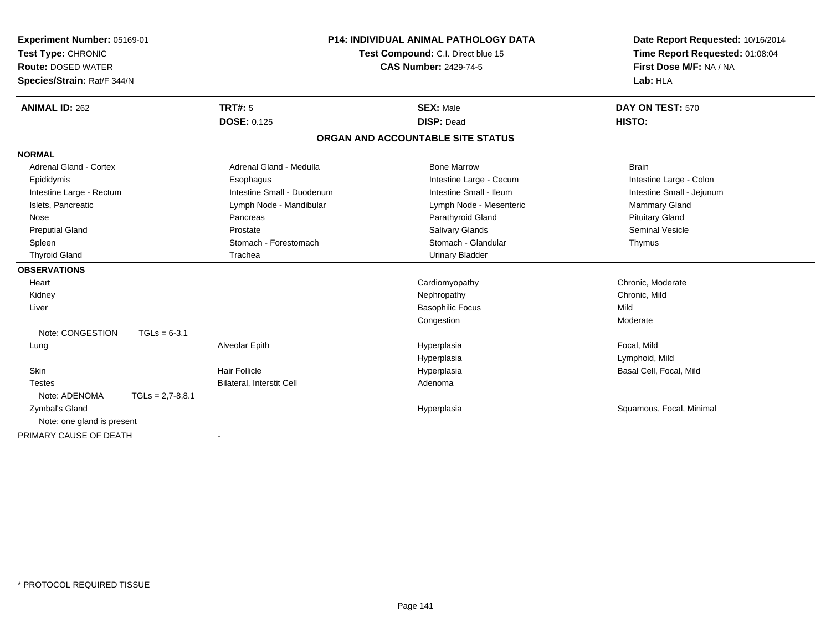| Experiment Number: 05169-01<br>Test Type: CHRONIC |                            | <b>P14: INDIVIDUAL ANIMAL PATHOLOGY DATA</b><br>Test Compound: C.I. Direct blue 15 | Date Report Requested: 10/16/2014<br>Time Report Requested: 01:08:04 |
|---------------------------------------------------|----------------------------|------------------------------------------------------------------------------------|----------------------------------------------------------------------|
| <b>Route: DOSED WATER</b>                         |                            | <b>CAS Number: 2429-74-5</b>                                                       | First Dose M/F: NA / NA                                              |
| Species/Strain: Rat/F 344/N                       |                            |                                                                                    | Lab: HLA                                                             |
| <b>ANIMAL ID: 262</b>                             | <b>TRT#: 5</b>             | <b>SEX: Male</b>                                                                   | DAY ON TEST: 570                                                     |
|                                                   | <b>DOSE: 0.125</b>         | <b>DISP: Dead</b>                                                                  | HISTO:                                                               |
|                                                   |                            | ORGAN AND ACCOUNTABLE SITE STATUS                                                  |                                                                      |
| <b>NORMAL</b>                                     |                            |                                                                                    |                                                                      |
| <b>Adrenal Gland - Cortex</b>                     | Adrenal Gland - Medulla    | <b>Bone Marrow</b>                                                                 | <b>Brain</b>                                                         |
| Epididymis                                        | Esophagus                  | Intestine Large - Cecum                                                            | Intestine Large - Colon                                              |
| Intestine Large - Rectum                          | Intestine Small - Duodenum | Intestine Small - Ileum                                                            | Intestine Small - Jejunum                                            |
| Islets, Pancreatic                                | Lymph Node - Mandibular    | Lymph Node - Mesenteric                                                            | Mammary Gland                                                        |
| Nose                                              | Pancreas                   | Parathyroid Gland                                                                  | <b>Pituitary Gland</b>                                               |
| <b>Preputial Gland</b>                            | Prostate                   | Salivary Glands                                                                    | <b>Seminal Vesicle</b>                                               |
| Spleen                                            | Stomach - Forestomach      | Stomach - Glandular                                                                | Thymus                                                               |
| <b>Thyroid Gland</b>                              | Trachea                    | <b>Urinary Bladder</b>                                                             |                                                                      |
| <b>OBSERVATIONS</b>                               |                            |                                                                                    |                                                                      |
| Heart                                             |                            | Cardiomyopathy                                                                     | Chronic, Moderate                                                    |
| Kidney                                            |                            | Nephropathy                                                                        | Chronic, Mild                                                        |
| Liver                                             |                            | <b>Basophilic Focus</b>                                                            | Mild                                                                 |
|                                                   |                            | Congestion                                                                         | Moderate                                                             |
| Note: CONGESTION                                  | $TGLs = 6-3.1$             |                                                                                    |                                                                      |
| Lung                                              | Alveolar Epith             | Hyperplasia                                                                        | Focal, Mild                                                          |
|                                                   |                            | Hyperplasia                                                                        | Lymphoid, Mild                                                       |
| Skin                                              | <b>Hair Follicle</b>       | Hyperplasia                                                                        | Basal Cell, Focal, Mild                                              |
| <b>Testes</b>                                     | Bilateral, Interstit Cell  | Adenoma                                                                            |                                                                      |
| Note: ADENOMA                                     | $TGLs = 2,7-8,8.1$         |                                                                                    |                                                                      |
| <b>Zymbal's Gland</b>                             |                            | Hyperplasia                                                                        | Squamous, Focal, Minimal                                             |
| Note: one gland is present                        |                            |                                                                                    |                                                                      |
| PRIMARY CAUSE OF DEATH                            |                            |                                                                                    |                                                                      |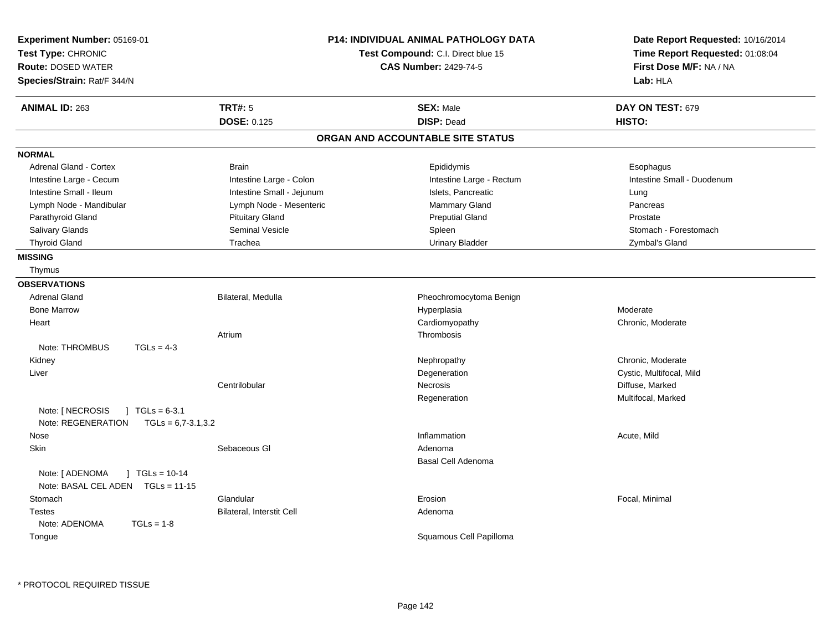| Experiment Number: 05169-01<br>Test Type: CHRONIC<br><b>Route: DOSED WATER</b><br>Species/Strain: Rat/F 344/N |                           | <b>P14: INDIVIDUAL ANIMAL PATHOLOGY DATA</b><br>Test Compound: C.I. Direct blue 15<br><b>CAS Number: 2429-74-5</b> | Date Report Requested: 10/16/2014<br>Time Report Requested: 01:08:04<br>First Dose M/F: NA / NA<br>Lab: HLA |
|---------------------------------------------------------------------------------------------------------------|---------------------------|--------------------------------------------------------------------------------------------------------------------|-------------------------------------------------------------------------------------------------------------|
| <b>ANIMAL ID: 263</b>                                                                                         | <b>TRT#: 5</b>            | <b>SEX: Male</b>                                                                                                   | DAY ON TEST: 679                                                                                            |
|                                                                                                               | <b>DOSE: 0.125</b>        | <b>DISP: Dead</b>                                                                                                  | HISTO:                                                                                                      |
|                                                                                                               |                           | ORGAN AND ACCOUNTABLE SITE STATUS                                                                                  |                                                                                                             |
| <b>NORMAL</b>                                                                                                 |                           |                                                                                                                    |                                                                                                             |
| <b>Adrenal Gland - Cortex</b>                                                                                 | <b>Brain</b>              | Epididymis                                                                                                         | Esophagus                                                                                                   |
| Intestine Large - Cecum                                                                                       | Intestine Large - Colon   | Intestine Large - Rectum                                                                                           | Intestine Small - Duodenum                                                                                  |
| Intestine Small - Ileum                                                                                       | Intestine Small - Jejunum | Islets, Pancreatic                                                                                                 | Lung                                                                                                        |
| Lymph Node - Mandibular                                                                                       | Lymph Node - Mesenteric   | Mammary Gland                                                                                                      | Pancreas                                                                                                    |
| Parathyroid Gland                                                                                             | <b>Pituitary Gland</b>    | <b>Preputial Gland</b>                                                                                             | Prostate                                                                                                    |
| Salivary Glands                                                                                               | <b>Seminal Vesicle</b>    | Spleen                                                                                                             | Stomach - Forestomach                                                                                       |
| <b>Thyroid Gland</b>                                                                                          | Trachea                   | <b>Urinary Bladder</b>                                                                                             | Zymbal's Gland                                                                                              |
| <b>MISSING</b>                                                                                                |                           |                                                                                                                    |                                                                                                             |
| Thymus                                                                                                        |                           |                                                                                                                    |                                                                                                             |
| <b>OBSERVATIONS</b>                                                                                           |                           |                                                                                                                    |                                                                                                             |
| <b>Adrenal Gland</b>                                                                                          | Bilateral, Medulla        | Pheochromocytoma Benign                                                                                            |                                                                                                             |
| <b>Bone Marrow</b>                                                                                            |                           | Hyperplasia                                                                                                        | Moderate                                                                                                    |
| Heart                                                                                                         |                           | Cardiomyopathy                                                                                                     | Chronic, Moderate                                                                                           |
|                                                                                                               | Atrium                    | Thrombosis                                                                                                         |                                                                                                             |
| Note: THROMBUS<br>$TGLs = 4-3$                                                                                |                           |                                                                                                                    |                                                                                                             |
| Kidney                                                                                                        |                           | Nephropathy                                                                                                        | Chronic, Moderate                                                                                           |
| Liver                                                                                                         |                           | Degeneration                                                                                                       | Cystic, Multifocal, Mild                                                                                    |
|                                                                                                               | Centrilobular             | Necrosis                                                                                                           | Diffuse, Marked                                                                                             |
|                                                                                                               |                           | Regeneration                                                                                                       | Multifocal, Marked                                                                                          |
| Note: [ NECROSIS<br>$J \cdot TGLs = 6-3.1$                                                                    |                           |                                                                                                                    |                                                                                                             |
| Note: REGENERATION<br>$TGLs = 6.7 - 3.1, 3.2$                                                                 |                           |                                                                                                                    |                                                                                                             |
| Nose                                                                                                          |                           | Inflammation                                                                                                       | Acute, Mild                                                                                                 |
| Skin                                                                                                          | Sebaceous Gl              | Adenoma                                                                                                            |                                                                                                             |
|                                                                                                               |                           | Basal Cell Adenoma                                                                                                 |                                                                                                             |
| Note: [ ADENOMA<br>$\mid$ TGLs = 10-14<br>Note: BASAL CEL ADEN TGLs = 11-15                                   |                           |                                                                                                                    |                                                                                                             |
| Stomach                                                                                                       | Glandular                 | Erosion                                                                                                            | Focal, Minimal                                                                                              |
| <b>Testes</b>                                                                                                 | Bilateral, Interstit Cell | Adenoma                                                                                                            |                                                                                                             |
| Note: ADENOMA<br>$TGLs = 1-8$                                                                                 |                           |                                                                                                                    |                                                                                                             |
| Tongue                                                                                                        |                           | Squamous Cell Papilloma                                                                                            |                                                                                                             |
|                                                                                                               |                           |                                                                                                                    |                                                                                                             |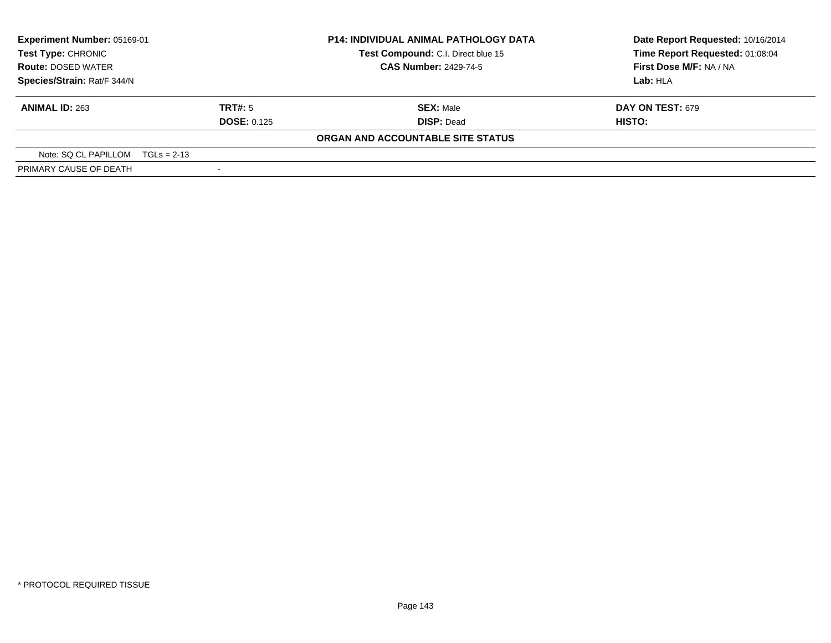| Experiment Number: 05169-01        |                                    | <b>P14: INDIVIDUAL ANIMAL PATHOLOGY DATA</b> | Date Report Requested: 10/16/2014                                   |                         |
|------------------------------------|------------------------------------|----------------------------------------------|---------------------------------------------------------------------|-------------------------|
| <b>Test Type: CHRONIC</b>          | Test Compound: C.I. Direct blue 15 |                                              | Time Report Requested: 01:08:04                                     |                         |
| <b>Route: DOSED WATER</b>          |                                    |                                              | <b>CAS Number: 2429-74-5</b><br>First Dose M/F: NA / NA<br>Lab: HLA |                         |
| Species/Strain: Rat/F 344/N        |                                    |                                              |                                                                     |                         |
| <b>ANIMAL ID: 263</b>              |                                    | <b>TRT#:</b> 5                               | <b>SEX: Male</b>                                                    | <b>DAY ON TEST: 679</b> |
|                                    |                                    | <b>DOSE: 0.125</b>                           | <b>DISP: Dead</b>                                                   | HISTO:                  |
|                                    |                                    |                                              | ORGAN AND ACCOUNTABLE SITE STATUS                                   |                         |
| Note: $SQ CL PAPILLOM TGLs = 2-13$ |                                    |                                              |                                                                     |                         |
| PRIMARY CAUSE OF DEATH             |                                    |                                              |                                                                     |                         |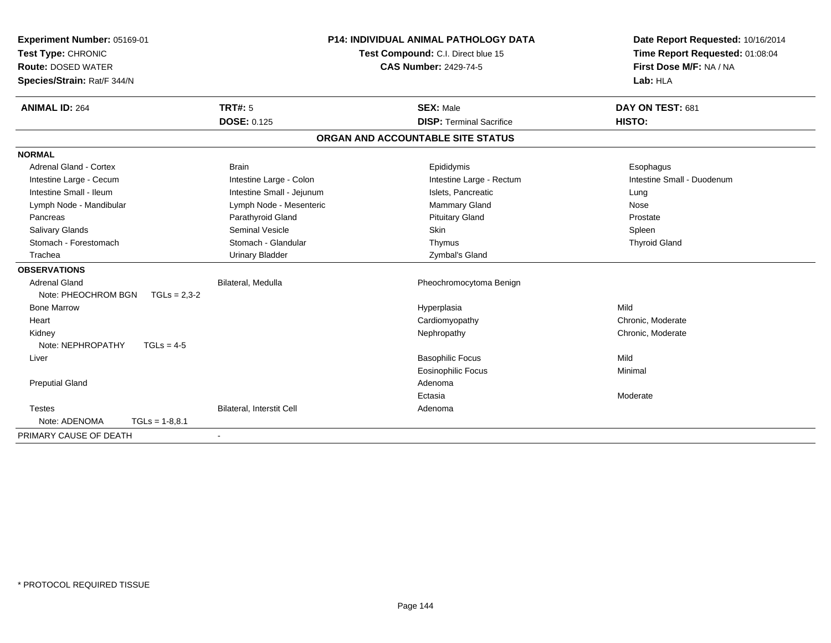| Experiment Number: 05169-01             |                                  | <b>P14: INDIVIDUAL ANIMAL PATHOLOGY DATA</b> | Date Report Requested: 10/16/2014 |  |
|-----------------------------------------|----------------------------------|----------------------------------------------|-----------------------------------|--|
| Test Type: CHRONIC                      |                                  | Test Compound: C.I. Direct blue 15           | Time Report Requested: 01:08:04   |  |
| <b>Route: DOSED WATER</b>               |                                  | <b>CAS Number: 2429-74-5</b>                 | First Dose M/F: NA / NA           |  |
| Species/Strain: Rat/F 344/N             |                                  |                                              | Lab: HLA                          |  |
| <b>ANIMAL ID: 264</b>                   | TRT#: 5                          | <b>SEX: Male</b>                             | DAY ON TEST: 681                  |  |
|                                         | <b>DOSE: 0.125</b>               | <b>DISP: Terminal Sacrifice</b>              | HISTO:                            |  |
|                                         |                                  | ORGAN AND ACCOUNTABLE SITE STATUS            |                                   |  |
| <b>NORMAL</b>                           |                                  |                                              |                                   |  |
| <b>Adrenal Gland - Cortex</b>           | <b>Brain</b>                     | Epididymis                                   | Esophagus                         |  |
| Intestine Large - Cecum                 | Intestine Large - Colon          | Intestine Large - Rectum                     | Intestine Small - Duodenum        |  |
| Intestine Small - Ileum                 | Intestine Small - Jejunum        | Islets. Pancreatic                           | Lung                              |  |
| Lymph Node - Mandibular                 | Lymph Node - Mesenteric          | Mammary Gland                                | Nose                              |  |
| Pancreas                                | Parathyroid Gland                | <b>Pituitary Gland</b>                       | Prostate                          |  |
| <b>Salivary Glands</b>                  | <b>Seminal Vesicle</b>           | Skin                                         | Spleen                            |  |
| Stomach - Forestomach                   | Stomach - Glandular              | Thymus                                       | <b>Thyroid Gland</b>              |  |
| Trachea                                 | <b>Urinary Bladder</b>           | Zymbal's Gland                               |                                   |  |
| <b>OBSERVATIONS</b>                     |                                  |                                              |                                   |  |
| <b>Adrenal Gland</b>                    | Bilateral, Medulla               | Pheochromocytoma Benign                      |                                   |  |
| Note: PHEOCHROM BGN<br>$TGLs = 2.3 - 2$ |                                  |                                              |                                   |  |
| <b>Bone Marrow</b>                      |                                  | Hyperplasia                                  | Mild                              |  |
| Heart                                   |                                  | Cardiomyopathy                               | Chronic, Moderate                 |  |
| Kidney                                  |                                  | Nephropathy                                  | Chronic, Moderate                 |  |
| Note: NEPHROPATHY<br>$TGLs = 4-5$       |                                  |                                              |                                   |  |
| Liver                                   |                                  | <b>Basophilic Focus</b>                      | Mild                              |  |
|                                         |                                  | <b>Eosinophilic Focus</b>                    | Minimal                           |  |
| <b>Preputial Gland</b>                  |                                  | Adenoma                                      |                                   |  |
|                                         |                                  | Ectasia                                      | Moderate                          |  |
| <b>Testes</b>                           | <b>Bilateral, Interstit Cell</b> | Adenoma                                      |                                   |  |
| Note: ADENOMA<br>$TGLs = 1-8,8.1$       |                                  |                                              |                                   |  |
| PRIMARY CAUSE OF DEATH                  |                                  |                                              |                                   |  |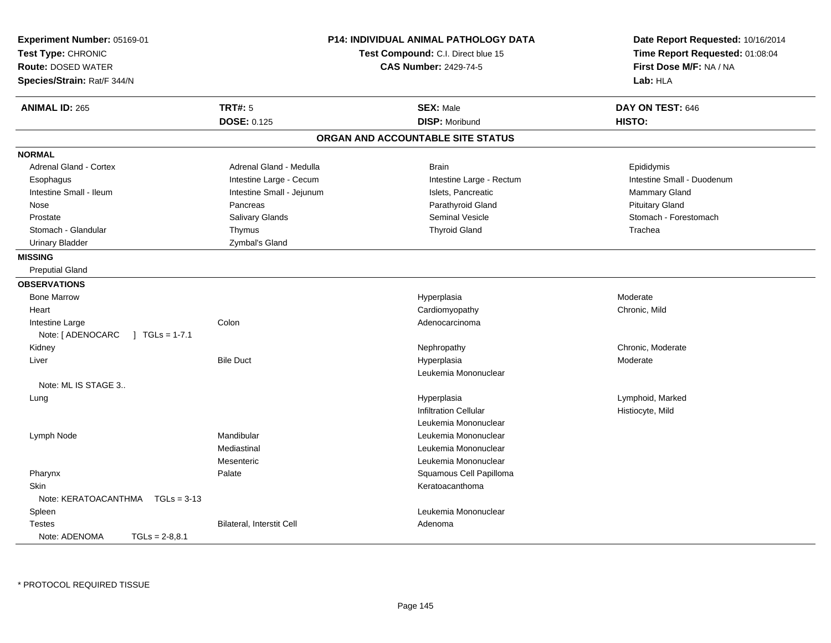| Experiment Number: 05169-01<br>Test Type: CHRONIC<br><b>Route: DOSED WATER</b><br>Species/Strain: Rat/F 344/N | <b>P14: INDIVIDUAL ANIMAL PATHOLOGY DATA</b><br><b>Test Compound: C.I. Direct blue 15</b><br><b>CAS Number: 2429-74-5</b> |                                   | Date Report Requested: 10/16/2014<br>Time Report Requested: 01:08:04<br>First Dose M/F: NA / NA<br>Lab: HLA |  |
|---------------------------------------------------------------------------------------------------------------|---------------------------------------------------------------------------------------------------------------------------|-----------------------------------|-------------------------------------------------------------------------------------------------------------|--|
| <b>ANIMAL ID: 265</b>                                                                                         | <b>TRT#: 5</b>                                                                                                            | <b>SEX: Male</b>                  | DAY ON TEST: 646                                                                                            |  |
|                                                                                                               | <b>DOSE: 0.125</b>                                                                                                        | <b>DISP: Moribund</b>             | HISTO:                                                                                                      |  |
|                                                                                                               |                                                                                                                           | ORGAN AND ACCOUNTABLE SITE STATUS |                                                                                                             |  |
| <b>NORMAL</b>                                                                                                 |                                                                                                                           |                                   |                                                                                                             |  |
| <b>Adrenal Gland - Cortex</b>                                                                                 | Adrenal Gland - Medulla                                                                                                   | <b>Brain</b>                      | Epididymis                                                                                                  |  |
| Esophagus                                                                                                     | Intestine Large - Cecum                                                                                                   | Intestine Large - Rectum          | Intestine Small - Duodenum                                                                                  |  |
| Intestine Small - Ileum                                                                                       | Intestine Small - Jejunum                                                                                                 | Islets, Pancreatic                | Mammary Gland                                                                                               |  |
| Nose                                                                                                          | Pancreas                                                                                                                  | Parathyroid Gland                 | <b>Pituitary Gland</b>                                                                                      |  |
| Prostate                                                                                                      | Salivary Glands                                                                                                           | Seminal Vesicle                   | Stomach - Forestomach                                                                                       |  |
| Stomach - Glandular                                                                                           | Thymus                                                                                                                    | <b>Thyroid Gland</b>              | Trachea                                                                                                     |  |
| <b>Urinary Bladder</b>                                                                                        | Zymbal's Gland                                                                                                            |                                   |                                                                                                             |  |
| <b>MISSING</b>                                                                                                |                                                                                                                           |                                   |                                                                                                             |  |
| <b>Preputial Gland</b>                                                                                        |                                                                                                                           |                                   |                                                                                                             |  |
| <b>OBSERVATIONS</b>                                                                                           |                                                                                                                           |                                   |                                                                                                             |  |
| <b>Bone Marrow</b>                                                                                            |                                                                                                                           | Hyperplasia                       | Moderate                                                                                                    |  |
| Heart                                                                                                         |                                                                                                                           | Cardiomyopathy                    | Chronic, Mild                                                                                               |  |
| Intestine Large                                                                                               | Colon                                                                                                                     | Adenocarcinoma                    |                                                                                                             |  |
| Note: [ ADENOCARC<br>$\vert$ TGLs = 1-7.1                                                                     |                                                                                                                           |                                   |                                                                                                             |  |
| Kidney                                                                                                        |                                                                                                                           | Nephropathy                       | Chronic, Moderate                                                                                           |  |
| Liver                                                                                                         | <b>Bile Duct</b>                                                                                                          | Hyperplasia                       | Moderate                                                                                                    |  |
|                                                                                                               |                                                                                                                           | Leukemia Mononuclear              |                                                                                                             |  |
| Note: ML IS STAGE 3                                                                                           |                                                                                                                           |                                   |                                                                                                             |  |
| Lung                                                                                                          |                                                                                                                           | Hyperplasia                       | Lymphoid, Marked                                                                                            |  |
|                                                                                                               |                                                                                                                           | <b>Infiltration Cellular</b>      | Histiocyte, Mild                                                                                            |  |
|                                                                                                               |                                                                                                                           | Leukemia Mononuclear              |                                                                                                             |  |
| Lymph Node                                                                                                    | Mandibular                                                                                                                | Leukemia Mononuclear              |                                                                                                             |  |
|                                                                                                               | Mediastinal                                                                                                               | Leukemia Mononuclear              |                                                                                                             |  |
|                                                                                                               | Mesenteric                                                                                                                | Leukemia Mononuclear              |                                                                                                             |  |
| Pharynx                                                                                                       | Palate                                                                                                                    | Squamous Cell Papilloma           |                                                                                                             |  |
| Skin                                                                                                          |                                                                                                                           | Keratoacanthoma                   |                                                                                                             |  |
| Note: KERATOACANTHMA   TGLs = 3-13                                                                            |                                                                                                                           |                                   |                                                                                                             |  |
| Spleen                                                                                                        |                                                                                                                           | Leukemia Mononuclear              |                                                                                                             |  |
| <b>Testes</b>                                                                                                 | Bilateral, Interstit Cell                                                                                                 | Adenoma                           |                                                                                                             |  |
| Note: ADENOMA<br>$TGLs = 2-8.8.1$                                                                             |                                                                                                                           |                                   |                                                                                                             |  |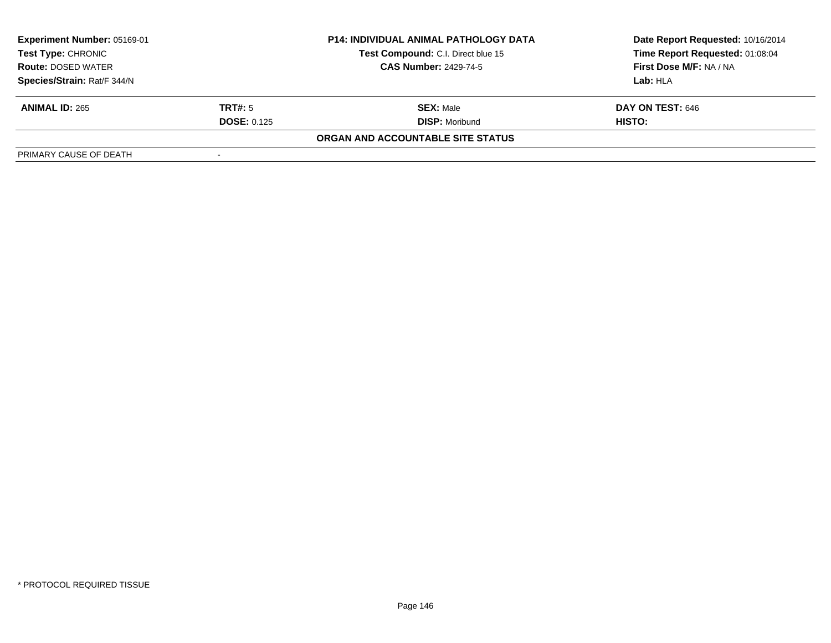| <b>Experiment Number: 05169-01</b><br><b>Test Type: CHRONIC</b> |                              | <b>P14: INDIVIDUAL ANIMAL PATHOLOGY DATA</b> | Date Report Requested: 10/16/2014 |  |
|-----------------------------------------------------------------|------------------------------|----------------------------------------------|-----------------------------------|--|
|                                                                 |                              | Test Compound: C.I. Direct blue 15           | Time Report Requested: 01:08:04   |  |
| <b>Route: DOSED WATER</b>                                       | <b>CAS Number: 2429-74-5</b> |                                              | First Dose M/F: NA / NA           |  |
| Species/Strain: Rat/F 344/N                                     |                              |                                              | Lab: HLA                          |  |
| <b>ANIMAL ID: 265</b>                                           | TRT#: 5                      | <b>SEX: Male</b>                             | DAY ON TEST: 646                  |  |
|                                                                 | <b>DOSE: 0.125</b>           | <b>DISP: Moribund</b>                        | <b>HISTO:</b>                     |  |
|                                                                 |                              | ORGAN AND ACCOUNTABLE SITE STATUS            |                                   |  |
| PRIMARY CAUSE OF DEATH                                          | $\overline{\phantom{a}}$     |                                              |                                   |  |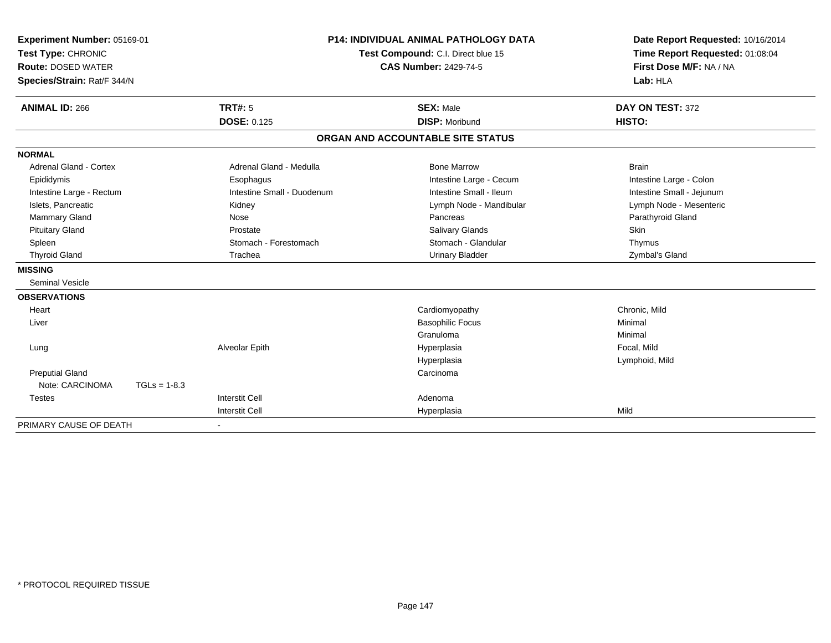| Experiment Number: 05169-01   |                | <b>P14: INDIVIDUAL ANIMAL PATHOLOGY DATA</b><br>Test Compound: C.I. Direct blue 15 |                                   | Date Report Requested: 10/16/2014 |
|-------------------------------|----------------|------------------------------------------------------------------------------------|-----------------------------------|-----------------------------------|
| Test Type: CHRONIC            |                |                                                                                    |                                   | Time Report Requested: 01:08:04   |
| <b>Route: DOSED WATER</b>     |                |                                                                                    | <b>CAS Number: 2429-74-5</b>      | First Dose M/F: NA / NA           |
| Species/Strain: Rat/F 344/N   |                |                                                                                    |                                   | Lab: HLA                          |
| <b>ANIMAL ID: 266</b>         |                | <b>TRT#: 5</b>                                                                     | <b>SEX: Male</b>                  | DAY ON TEST: 372                  |
|                               |                | <b>DOSE: 0.125</b>                                                                 | <b>DISP: Moribund</b>             | HISTO:                            |
|                               |                |                                                                                    | ORGAN AND ACCOUNTABLE SITE STATUS |                                   |
| <b>NORMAL</b>                 |                |                                                                                    |                                   |                                   |
| <b>Adrenal Gland - Cortex</b> |                | Adrenal Gland - Medulla                                                            | <b>Bone Marrow</b>                | <b>Brain</b>                      |
| Epididymis                    |                | Esophagus                                                                          | Intestine Large - Cecum           | Intestine Large - Colon           |
| Intestine Large - Rectum      |                | Intestine Small - Duodenum                                                         | Intestine Small - Ileum           | Intestine Small - Jejunum         |
| Islets, Pancreatic            |                | Kidney                                                                             | Lymph Node - Mandibular           | Lymph Node - Mesenteric           |
| Mammary Gland                 |                | Nose                                                                               | Pancreas                          | Parathyroid Gland                 |
| <b>Pituitary Gland</b>        |                | Prostate                                                                           | <b>Salivary Glands</b>            | <b>Skin</b>                       |
| Spleen                        |                | Stomach - Forestomach                                                              | Stomach - Glandular               | Thymus                            |
| <b>Thyroid Gland</b>          |                | Trachea                                                                            | <b>Urinary Bladder</b>            | Zymbal's Gland                    |
| <b>MISSING</b>                |                |                                                                                    |                                   |                                   |
| <b>Seminal Vesicle</b>        |                |                                                                                    |                                   |                                   |
| <b>OBSERVATIONS</b>           |                |                                                                                    |                                   |                                   |
| Heart                         |                |                                                                                    | Cardiomyopathy                    | Chronic, Mild                     |
| Liver                         |                |                                                                                    | <b>Basophilic Focus</b>           | Minimal                           |
|                               |                |                                                                                    | Granuloma                         | Minimal                           |
| Lung                          |                | Alveolar Epith                                                                     | Hyperplasia                       | Focal, Mild                       |
|                               |                |                                                                                    | Hyperplasia                       | Lymphoid, Mild                    |
| <b>Preputial Gland</b>        |                |                                                                                    | Carcinoma                         |                                   |
| Note: CARCINOMA               | $TGLs = 1-8.3$ |                                                                                    |                                   |                                   |
| <b>Testes</b>                 |                | <b>Interstit Cell</b>                                                              | Adenoma                           |                                   |
|                               |                | <b>Interstit Cell</b>                                                              | Hyperplasia                       | Mild                              |
| PRIMARY CAUSE OF DEATH        |                | $\blacksquare$                                                                     |                                   |                                   |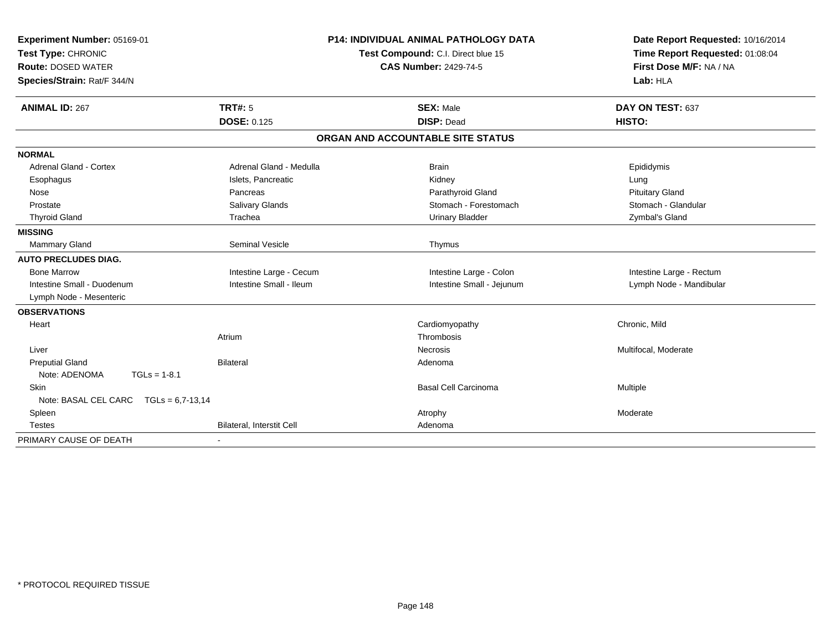| Experiment Number: 05169-01<br>Test Type: CHRONIC |                              | <b>P14: INDIVIDUAL ANIMAL PATHOLOGY DATA</b><br>Test Compound: C.I. Direct blue 15 | Date Report Requested: 10/16/2014<br>Time Report Requested: 01:08:04 |
|---------------------------------------------------|------------------------------|------------------------------------------------------------------------------------|----------------------------------------------------------------------|
| <b>Route: DOSED WATER</b>                         | <b>CAS Number: 2429-74-5</b> |                                                                                    | First Dose M/F: NA / NA                                              |
| Species/Strain: Rat/F 344/N                       |                              |                                                                                    | Lab: HLA                                                             |
| <b>ANIMAL ID: 267</b>                             | <b>TRT#: 5</b>               | <b>SEX: Male</b>                                                                   | DAY ON TEST: 637                                                     |
|                                                   | <b>DOSE: 0.125</b>           | <b>DISP: Dead</b>                                                                  | <b>HISTO:</b>                                                        |
|                                                   |                              | ORGAN AND ACCOUNTABLE SITE STATUS                                                  |                                                                      |
| <b>NORMAL</b>                                     |                              |                                                                                    |                                                                      |
| Adrenal Gland - Cortex                            | Adrenal Gland - Medulla      | <b>Brain</b>                                                                       | Epididymis                                                           |
| Esophagus                                         | Islets, Pancreatic           | Kidney                                                                             | Lung                                                                 |
| Nose                                              | Pancreas                     | Parathyroid Gland                                                                  | <b>Pituitary Gland</b>                                               |
| Prostate                                          | Salivary Glands              | Stomach - Forestomach                                                              | Stomach - Glandular                                                  |
| <b>Thyroid Gland</b>                              | Trachea                      | <b>Urinary Bladder</b>                                                             | Zymbal's Gland                                                       |
| <b>MISSING</b>                                    |                              |                                                                                    |                                                                      |
| <b>Mammary Gland</b>                              | <b>Seminal Vesicle</b>       | Thymus                                                                             |                                                                      |
| <b>AUTO PRECLUDES DIAG.</b>                       |                              |                                                                                    |                                                                      |
| <b>Bone Marrow</b>                                | Intestine Large - Cecum      | Intestine Large - Colon                                                            | Intestine Large - Rectum                                             |
| Intestine Small - Duodenum                        | Intestine Small - Ileum      | Intestine Small - Jejunum                                                          | Lymph Node - Mandibular                                              |
| Lymph Node - Mesenteric                           |                              |                                                                                    |                                                                      |
| <b>OBSERVATIONS</b>                               |                              |                                                                                    |                                                                      |
| Heart                                             |                              | Cardiomyopathy                                                                     | Chronic, Mild                                                        |
|                                                   | Atrium                       | Thrombosis                                                                         |                                                                      |
| Liver                                             |                              | <b>Necrosis</b>                                                                    | Multifocal, Moderate                                                 |
| <b>Preputial Gland</b>                            | <b>Bilateral</b>             | Adenoma                                                                            |                                                                      |
| Note: ADENOMA<br>$TGLs = 1-8.1$                   |                              |                                                                                    |                                                                      |
| <b>Skin</b>                                       |                              | <b>Basal Cell Carcinoma</b>                                                        | Multiple                                                             |
| Note: BASAL CEL CARC TGLs = 6,7-13,14             |                              |                                                                                    |                                                                      |
| Spleen                                            |                              | Atrophy                                                                            | Moderate                                                             |
| <b>Testes</b>                                     | Bilateral, Interstit Cell    | Adenoma                                                                            |                                                                      |
| PRIMARY CAUSE OF DEATH                            |                              |                                                                                    |                                                                      |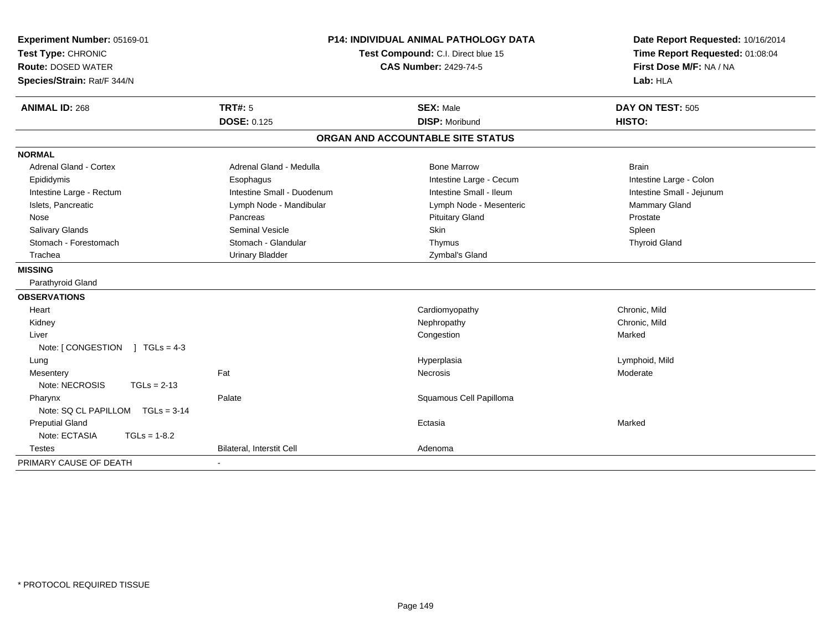| Experiment Number: 05169-01<br>Test Type: CHRONIC<br><b>Route: DOSED WATER</b><br>Species/Strain: Rat/F 344/N | P14: INDIVIDUAL ANIMAL PATHOLOGY DATA<br>Test Compound: C.I. Direct blue 15<br><b>CAS Number: 2429-74-5</b> |                                   | Date Report Requested: 10/16/2014<br>Time Report Requested: 01:08:04<br>First Dose M/F: NA / NA<br>Lab: HLA |  |
|---------------------------------------------------------------------------------------------------------------|-------------------------------------------------------------------------------------------------------------|-----------------------------------|-------------------------------------------------------------------------------------------------------------|--|
| <b>ANIMAL ID: 268</b>                                                                                         | <b>TRT#: 5</b>                                                                                              | <b>SEX: Male</b>                  | DAY ON TEST: 505                                                                                            |  |
|                                                                                                               | <b>DOSE: 0.125</b>                                                                                          | <b>DISP: Moribund</b>             | HISTO:                                                                                                      |  |
|                                                                                                               |                                                                                                             | ORGAN AND ACCOUNTABLE SITE STATUS |                                                                                                             |  |
| <b>NORMAL</b>                                                                                                 |                                                                                                             |                                   |                                                                                                             |  |
| <b>Adrenal Gland - Cortex</b>                                                                                 | Adrenal Gland - Medulla                                                                                     | <b>Bone Marrow</b>                | <b>Brain</b>                                                                                                |  |
| Epididymis                                                                                                    | Esophagus                                                                                                   | Intestine Large - Cecum           | Intestine Large - Colon                                                                                     |  |
| Intestine Large - Rectum                                                                                      | Intestine Small - Duodenum                                                                                  | Intestine Small - Ileum           | Intestine Small - Jejunum                                                                                   |  |
| Islets, Pancreatic                                                                                            | Lymph Node - Mandibular                                                                                     | Lymph Node - Mesenteric           | Mammary Gland                                                                                               |  |
| Nose                                                                                                          | Pancreas                                                                                                    | <b>Pituitary Gland</b>            | Prostate                                                                                                    |  |
| Salivary Glands                                                                                               | <b>Seminal Vesicle</b>                                                                                      | Skin                              | Spleen                                                                                                      |  |
| Stomach - Forestomach                                                                                         | Stomach - Glandular                                                                                         | Thymus                            | <b>Thyroid Gland</b>                                                                                        |  |
| Trachea                                                                                                       | <b>Urinary Bladder</b>                                                                                      | Zymbal's Gland                    |                                                                                                             |  |
| <b>MISSING</b>                                                                                                |                                                                                                             |                                   |                                                                                                             |  |
| Parathyroid Gland                                                                                             |                                                                                                             |                                   |                                                                                                             |  |
| <b>OBSERVATIONS</b>                                                                                           |                                                                                                             |                                   |                                                                                                             |  |
| Heart                                                                                                         |                                                                                                             | Cardiomyopathy                    | Chronic, Mild                                                                                               |  |
| Kidney                                                                                                        |                                                                                                             | Nephropathy                       | Chronic, Mild                                                                                               |  |
| Liver                                                                                                         |                                                                                                             | Congestion                        | Marked                                                                                                      |  |
| Note: $[CONGESTION] TGLs = 4-3$                                                                               |                                                                                                             |                                   |                                                                                                             |  |
| Lung                                                                                                          |                                                                                                             | Hyperplasia                       | Lymphoid, Mild                                                                                              |  |
| Mesentery                                                                                                     | Fat                                                                                                         | <b>Necrosis</b>                   | Moderate                                                                                                    |  |
| Note: NECROSIS<br>$TGLs = 2-13$                                                                               |                                                                                                             |                                   |                                                                                                             |  |
| Pharynx                                                                                                       | Palate                                                                                                      | Squamous Cell Papilloma           |                                                                                                             |  |
| Note: SQ CL PAPILLOM TGLs = 3-14                                                                              |                                                                                                             |                                   |                                                                                                             |  |
| <b>Preputial Gland</b>                                                                                        |                                                                                                             | Ectasia                           | Marked                                                                                                      |  |
| Note: ECTASIA<br>$TGLs = 1-8.2$                                                                               |                                                                                                             |                                   |                                                                                                             |  |
| <b>Testes</b>                                                                                                 | <b>Bilateral, Interstit Cell</b>                                                                            | Adenoma                           |                                                                                                             |  |
| PRIMARY CAUSE OF DEATH                                                                                        |                                                                                                             |                                   |                                                                                                             |  |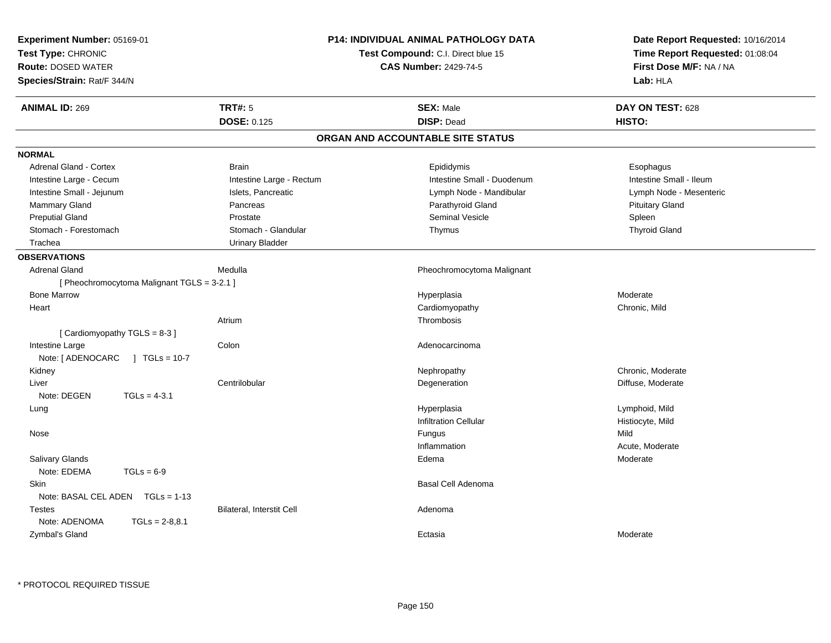| <b>P14: INDIVIDUAL ANIMAL PATHOLOGY DATA</b><br>Experiment Number: 05169-01<br>Test Type: CHRONIC<br><b>Test Compound: C.I. Direct blue 15</b><br><b>Route: DOSED WATER</b><br><b>CAS Number: 2429-74-5</b><br>Species/Strain: Rat/F 344/N |                                   | Date Report Requested: 10/16/2014<br>Time Report Requested: 01:08:04<br>First Dose M/F: NA / NA<br>Lab: HLA |
|--------------------------------------------------------------------------------------------------------------------------------------------------------------------------------------------------------------------------------------------|-----------------------------------|-------------------------------------------------------------------------------------------------------------|
| <b>TRT#: 5</b><br><b>ANIMAL ID: 269</b>                                                                                                                                                                                                    | <b>SEX: Male</b>                  | DAY ON TEST: 628                                                                                            |
| <b>DOSE: 0.125</b>                                                                                                                                                                                                                         | <b>DISP: Dead</b>                 | HISTO:                                                                                                      |
|                                                                                                                                                                                                                                            | ORGAN AND ACCOUNTABLE SITE STATUS |                                                                                                             |
| <b>NORMAL</b>                                                                                                                                                                                                                              |                                   |                                                                                                             |
| Adrenal Gland - Cortex<br><b>Brain</b>                                                                                                                                                                                                     | Epididymis                        | Esophagus                                                                                                   |
| Intestine Large - Cecum<br>Intestine Large - Rectum                                                                                                                                                                                        | Intestine Small - Duodenum        | Intestine Small - Ileum                                                                                     |
| Intestine Small - Jejunum<br>Islets, Pancreatic                                                                                                                                                                                            | Lymph Node - Mandibular           | Lymph Node - Mesenteric                                                                                     |
| Mammary Gland<br>Pancreas                                                                                                                                                                                                                  | Parathyroid Gland                 | <b>Pituitary Gland</b>                                                                                      |
| <b>Preputial Gland</b><br>Prostate                                                                                                                                                                                                         | Seminal Vesicle                   | Spleen                                                                                                      |
| Stomach - Forestomach<br>Stomach - Glandular                                                                                                                                                                                               | Thymus                            | <b>Thyroid Gland</b>                                                                                        |
| Trachea<br><b>Urinary Bladder</b>                                                                                                                                                                                                          |                                   |                                                                                                             |
| <b>OBSERVATIONS</b>                                                                                                                                                                                                                        |                                   |                                                                                                             |
| Medulla<br><b>Adrenal Gland</b>                                                                                                                                                                                                            | Pheochromocytoma Malignant        |                                                                                                             |
| [ Pheochromocytoma Malignant TGLS = 3-2.1 ]                                                                                                                                                                                                |                                   |                                                                                                             |
| <b>Bone Marrow</b>                                                                                                                                                                                                                         | Hyperplasia                       | Moderate                                                                                                    |
| Heart                                                                                                                                                                                                                                      | Cardiomyopathy                    | Chronic, Mild                                                                                               |
| Atrium                                                                                                                                                                                                                                     | Thrombosis                        |                                                                                                             |
| [Cardiomyopathy TGLS = 8-3]                                                                                                                                                                                                                |                                   |                                                                                                             |
| Colon<br>Intestine Large                                                                                                                                                                                                                   | Adenocarcinoma                    |                                                                                                             |
| Note: [ ADENOCARC<br>$\sqrt{1}$ TGLs = 10-7                                                                                                                                                                                                |                                   |                                                                                                             |
| Kidney                                                                                                                                                                                                                                     | Nephropathy                       | Chronic, Moderate                                                                                           |
| Centrilobular<br>Liver                                                                                                                                                                                                                     | Degeneration                      | Diffuse, Moderate                                                                                           |
| Note: DEGEN<br>$TGLs = 4-3.1$                                                                                                                                                                                                              |                                   |                                                                                                             |
| Lung                                                                                                                                                                                                                                       | Hyperplasia                       | Lymphoid, Mild                                                                                              |
|                                                                                                                                                                                                                                            | <b>Infiltration Cellular</b>      | Histiocyte, Mild                                                                                            |
| Nose                                                                                                                                                                                                                                       | Fungus                            | Mild                                                                                                        |
|                                                                                                                                                                                                                                            | Inflammation                      | Acute, Moderate                                                                                             |
| <b>Salivary Glands</b>                                                                                                                                                                                                                     | Edema                             | Moderate                                                                                                    |
| Note: EDEMA<br>$TGLs = 6-9$                                                                                                                                                                                                                |                                   |                                                                                                             |
| Skin                                                                                                                                                                                                                                       | Basal Cell Adenoma                |                                                                                                             |
| Note: BASAL CEL ADEN TGLs = 1-13                                                                                                                                                                                                           |                                   |                                                                                                             |
| Bilateral, Interstit Cell<br>Testes                                                                                                                                                                                                        | Adenoma                           |                                                                                                             |
| Note: ADENOMA<br>$TGLs = 2-8.8.1$                                                                                                                                                                                                          |                                   |                                                                                                             |
| Zymbal's Gland                                                                                                                                                                                                                             | Ectasia                           | Moderate                                                                                                    |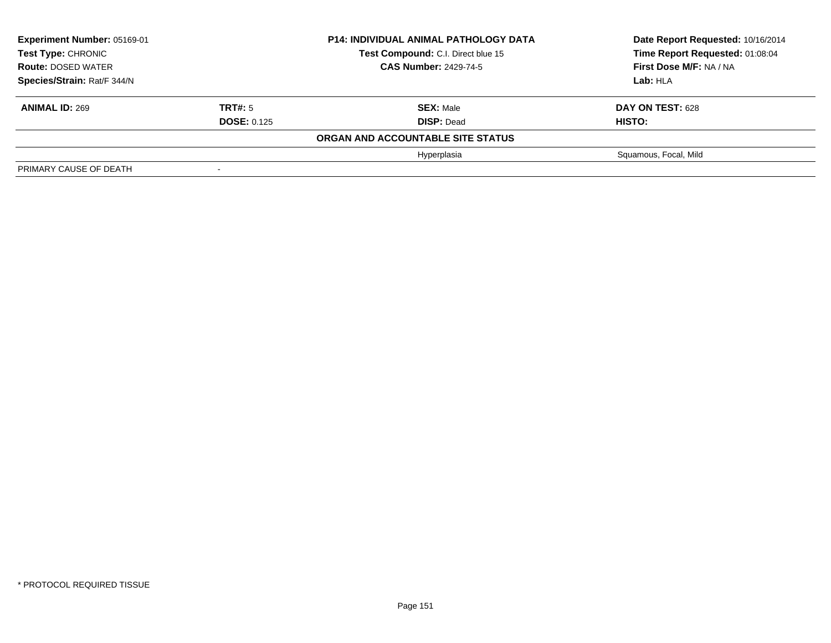| Experiment Number: 05169-01<br><b>Test Type: CHRONIC</b> |                              | <b>P14: INDIVIDUAL ANIMAL PATHOLOGY DATA</b> | Date Report Requested: 10/16/2014 |
|----------------------------------------------------------|------------------------------|----------------------------------------------|-----------------------------------|
|                                                          |                              | Test Compound: C.I. Direct blue 15           | Time Report Requested: 01:08:04   |
| <b>Route: DOSED WATER</b>                                | <b>CAS Number: 2429-74-5</b> |                                              | First Dose M/F: NA / NA           |
| Species/Strain: Rat/F 344/N                              |                              | Lab: HLA                                     |                                   |
| <b>ANIMAL ID: 269</b>                                    | TRT#: 5                      | <b>SEX: Male</b>                             | DAY ON TEST: 628                  |
|                                                          | <b>DOSE: 0.125</b>           | <b>DISP: Dead</b>                            | HISTO:                            |
|                                                          |                              | ORGAN AND ACCOUNTABLE SITE STATUS            |                                   |
|                                                          |                              | Hyperplasia                                  | Squamous, Focal, Mild             |
| PRIMARY CAUSE OF DEATH                                   | $\overline{\phantom{0}}$     |                                              |                                   |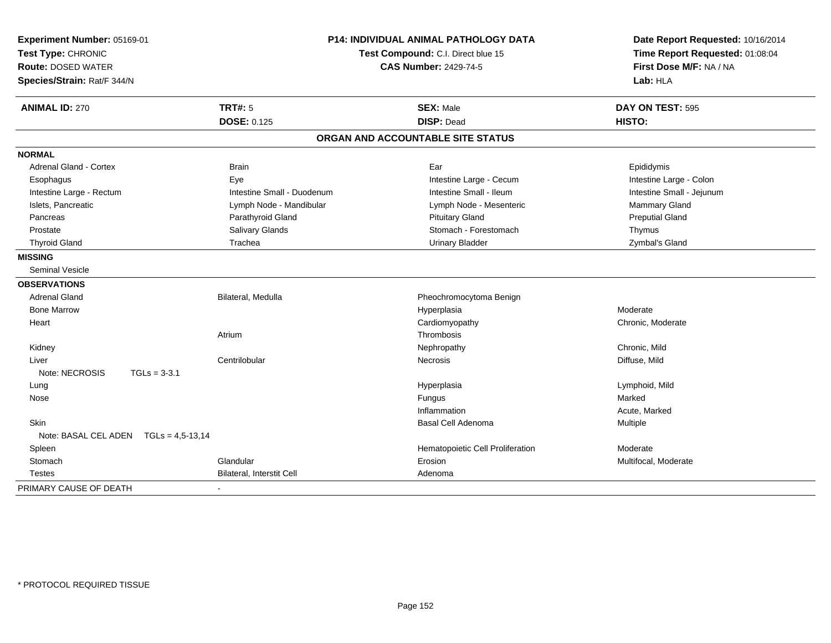| Experiment Number: 05169-01<br>Test Type: CHRONIC<br><b>Route: DOSED WATER</b><br>Species/Strain: Rat/F 344/N |                                  | P14: INDIVIDUAL ANIMAL PATHOLOGY DATA<br>Test Compound: C.I. Direct blue 15<br><b>CAS Number: 2429-74-5</b> |                           |
|---------------------------------------------------------------------------------------------------------------|----------------------------------|-------------------------------------------------------------------------------------------------------------|---------------------------|
| <b>ANIMAL ID: 270</b>                                                                                         | <b>TRT#: 5</b>                   | <b>SEX: Male</b>                                                                                            | DAY ON TEST: 595          |
|                                                                                                               | <b>DOSE: 0.125</b>               | <b>DISP: Dead</b>                                                                                           | HISTO:                    |
|                                                                                                               |                                  | ORGAN AND ACCOUNTABLE SITE STATUS                                                                           |                           |
| <b>NORMAL</b>                                                                                                 |                                  |                                                                                                             |                           |
| Adrenal Gland - Cortex                                                                                        | <b>Brain</b>                     | Ear                                                                                                         | Epididymis                |
| Esophagus                                                                                                     | Eye                              | Intestine Large - Cecum                                                                                     | Intestine Large - Colon   |
| Intestine Large - Rectum                                                                                      | Intestine Small - Duodenum       | Intestine Small - Ileum                                                                                     | Intestine Small - Jejunum |
| Islets, Pancreatic                                                                                            | Lymph Node - Mandibular          | Lymph Node - Mesenteric                                                                                     | Mammary Gland             |
| Pancreas                                                                                                      | Parathyroid Gland                | <b>Pituitary Gland</b>                                                                                      | <b>Preputial Gland</b>    |
| Prostate                                                                                                      | Salivary Glands                  | Stomach - Forestomach                                                                                       | Thymus                    |
| <b>Thyroid Gland</b>                                                                                          | Trachea                          | <b>Urinary Bladder</b>                                                                                      | Zymbal's Gland            |
| <b>MISSING</b>                                                                                                |                                  |                                                                                                             |                           |
| <b>Seminal Vesicle</b>                                                                                        |                                  |                                                                                                             |                           |
| <b>OBSERVATIONS</b>                                                                                           |                                  |                                                                                                             |                           |
| <b>Adrenal Gland</b>                                                                                          | Bilateral, Medulla               | Pheochromocytoma Benign                                                                                     |                           |
| <b>Bone Marrow</b>                                                                                            |                                  | Hyperplasia                                                                                                 | Moderate                  |
| Heart                                                                                                         |                                  | Cardiomyopathy                                                                                              | Chronic, Moderate         |
|                                                                                                               | Atrium                           | Thrombosis                                                                                                  |                           |
| Kidney                                                                                                        |                                  | Nephropathy                                                                                                 | Chronic, Mild             |
| Liver                                                                                                         | Centrilobular                    | Necrosis                                                                                                    | Diffuse, Mild             |
| Note: NECROSIS                                                                                                | $TGLs = 3-3.1$                   |                                                                                                             |                           |
| Lung                                                                                                          |                                  | Hyperplasia                                                                                                 | Lymphoid, Mild            |
| Nose                                                                                                          |                                  | Fungus                                                                                                      | Marked                    |
|                                                                                                               |                                  | Inflammation                                                                                                | Acute, Marked             |
| Skin                                                                                                          |                                  | Basal Cell Adenoma                                                                                          | Multiple                  |
| Note: BASAL CEL ADEN TGLs = 4,5-13,14                                                                         |                                  |                                                                                                             |                           |
| Spleen                                                                                                        |                                  | Hematopoietic Cell Proliferation                                                                            | Moderate                  |
| Stomach                                                                                                       | Glandular                        | Erosion                                                                                                     | Multifocal, Moderate      |
| <b>Testes</b>                                                                                                 | <b>Bilateral, Interstit Cell</b> | Adenoma                                                                                                     |                           |
| PRIMARY CAUSE OF DEATH                                                                                        |                                  |                                                                                                             |                           |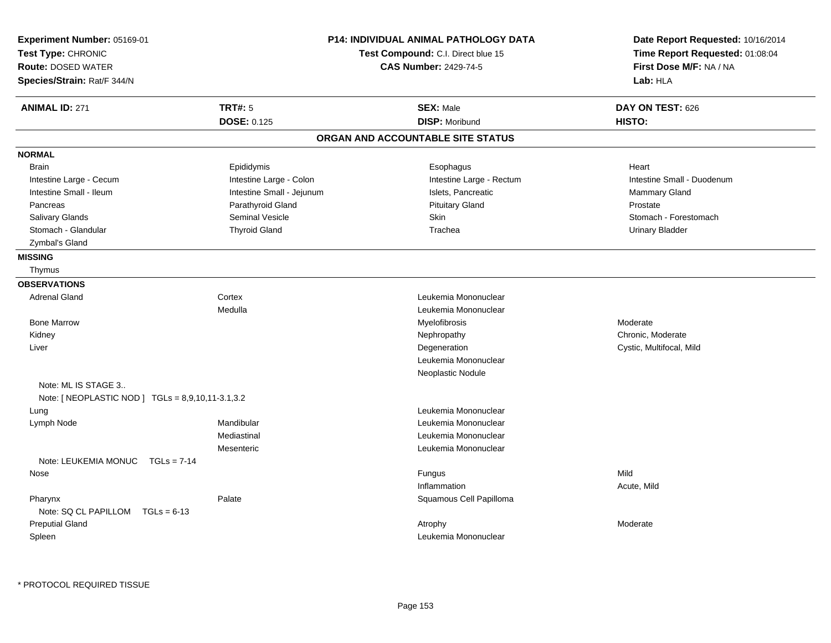| Experiment Number: 05169-01<br>Test Type: CHRONIC |                           | <b>P14: INDIVIDUAL ANIMAL PATHOLOGY DATA</b> | Date Report Requested: 10/16/2014 |
|---------------------------------------------------|---------------------------|----------------------------------------------|-----------------------------------|
|                                                   |                           | Test Compound: C.I. Direct blue 15           | Time Report Requested: 01:08:04   |
| <b>Route: DOSED WATER</b>                         |                           | <b>CAS Number: 2429-74-5</b>                 | First Dose M/F: NA / NA           |
| Species/Strain: Rat/F 344/N                       |                           |                                              | Lab: HLA                          |
| <b>ANIMAL ID: 271</b>                             | <b>TRT#: 5</b>            | <b>SEX: Male</b>                             | DAY ON TEST: 626                  |
|                                                   | <b>DOSE: 0.125</b>        | <b>DISP: Moribund</b>                        | HISTO:                            |
|                                                   |                           | ORGAN AND ACCOUNTABLE SITE STATUS            |                                   |
| <b>NORMAL</b>                                     |                           |                                              |                                   |
| <b>Brain</b>                                      | Epididymis                | Esophagus                                    | Heart                             |
| Intestine Large - Cecum                           | Intestine Large - Colon   | Intestine Large - Rectum                     | Intestine Small - Duodenum        |
| Intestine Small - Ileum                           | Intestine Small - Jejunum | Islets, Pancreatic                           | Mammary Gland                     |
| Pancreas                                          | Parathyroid Gland         | <b>Pituitary Gland</b>                       | Prostate                          |
| Salivary Glands                                   | <b>Seminal Vesicle</b>    | Skin                                         | Stomach - Forestomach             |
| Stomach - Glandular                               | <b>Thyroid Gland</b>      | Trachea                                      | <b>Urinary Bladder</b>            |
| Zymbal's Gland                                    |                           |                                              |                                   |
| <b>MISSING</b>                                    |                           |                                              |                                   |
| Thymus                                            |                           |                                              |                                   |
| <b>OBSERVATIONS</b>                               |                           |                                              |                                   |
| <b>Adrenal Gland</b>                              | Cortex                    | Leukemia Mononuclear                         |                                   |
|                                                   | Medulla                   | Leukemia Mononuclear                         |                                   |
| <b>Bone Marrow</b>                                |                           | Myelofibrosis                                | Moderate                          |
| Kidney                                            |                           | Nephropathy                                  | Chronic, Moderate                 |
| Liver                                             |                           | Degeneration                                 | Cystic, Multifocal, Mild          |
|                                                   |                           | Leukemia Mononuclear                         |                                   |
|                                                   |                           | Neoplastic Nodule                            |                                   |
| Note: ML IS STAGE 3                               |                           |                                              |                                   |
| Note: [ NEOPLASTIC NOD ] TGLs = 8,9,10,11-3.1,3.2 |                           |                                              |                                   |
| Lung                                              |                           | Leukemia Mononuclear                         |                                   |
| Lymph Node                                        | Mandibular                | Leukemia Mononuclear                         |                                   |
|                                                   | Mediastinal               | Leukemia Mononuclear                         |                                   |
|                                                   | Mesenteric                | Leukemia Mononuclear                         |                                   |
| Note: LEUKEMIA MONUC<br>$TGLs = 7-14$             |                           |                                              |                                   |
| Nose                                              |                           | Fungus                                       | Mild                              |
|                                                   |                           | Inflammation                                 | Acute, Mild                       |
| Pharynx                                           | Palate                    | Squamous Cell Papilloma                      |                                   |
| Note: SQ CL PAPILLOM<br>$TGLs = 6-13$             |                           |                                              |                                   |
| <b>Preputial Gland</b>                            |                           |                                              |                                   |
|                                                   |                           | Atrophy                                      | Moderate                          |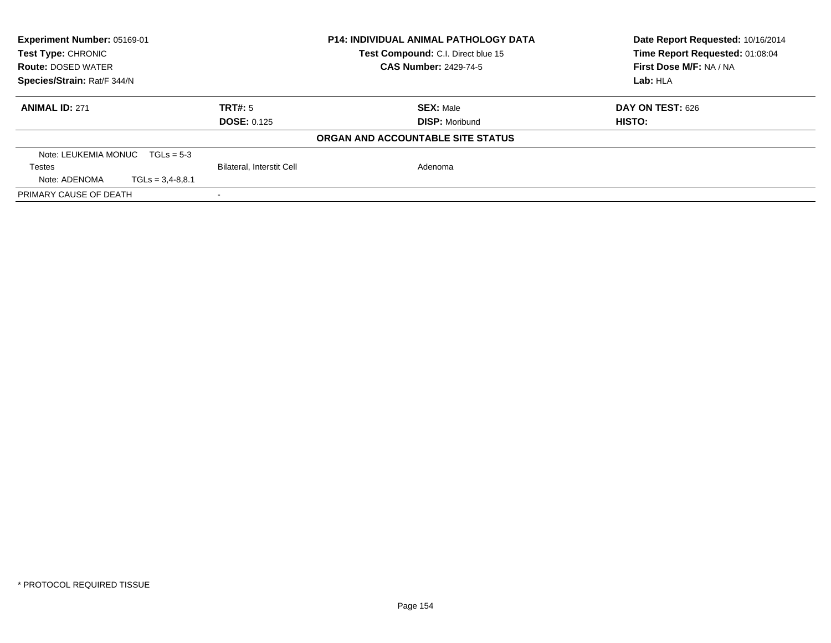| Experiment Number: 05169-01<br><b>Test Type: CHRONIC</b> |                    |                                  | <b>P14: INDIVIDUAL ANIMAL PATHOLOGY DATA</b><br>Test Compound: C.I. Direct blue 15 | Date Report Requested: 10/16/2014<br>Time Report Requested: 01:08:04 |
|----------------------------------------------------------|--------------------|----------------------------------|------------------------------------------------------------------------------------|----------------------------------------------------------------------|
| <b>Route: DOSED WATER</b>                                |                    |                                  | <b>CAS Number: 2429-74-5</b>                                                       | First Dose M/F: NA / NA                                              |
| Species/Strain: Rat/F 344/N                              |                    |                                  | Lab: HLA                                                                           |                                                                      |
| <b>ANIMAL ID: 271</b>                                    |                    | TRT#: 5                          | <b>SEX: Male</b>                                                                   | DAY ON TEST: 626                                                     |
|                                                          |                    | <b>DOSE: 0.125</b>               | <b>DISP:</b> Moribund                                                              | <b>HISTO:</b>                                                        |
|                                                          |                    |                                  | ORGAN AND ACCOUNTABLE SITE STATUS                                                  |                                                                      |
| Note: LEUKEMIA MONUC                                     | $TGLs = 5-3$       |                                  |                                                                                    |                                                                      |
| <b>Testes</b>                                            |                    | <b>Bilateral, Interstit Cell</b> | Adenoma                                                                            |                                                                      |
| Note: ADENOMA                                            | $TGLs = 3,4-8,8.1$ |                                  |                                                                                    |                                                                      |
| PRIMARY CAUSE OF DEATH                                   |                    |                                  |                                                                                    |                                                                      |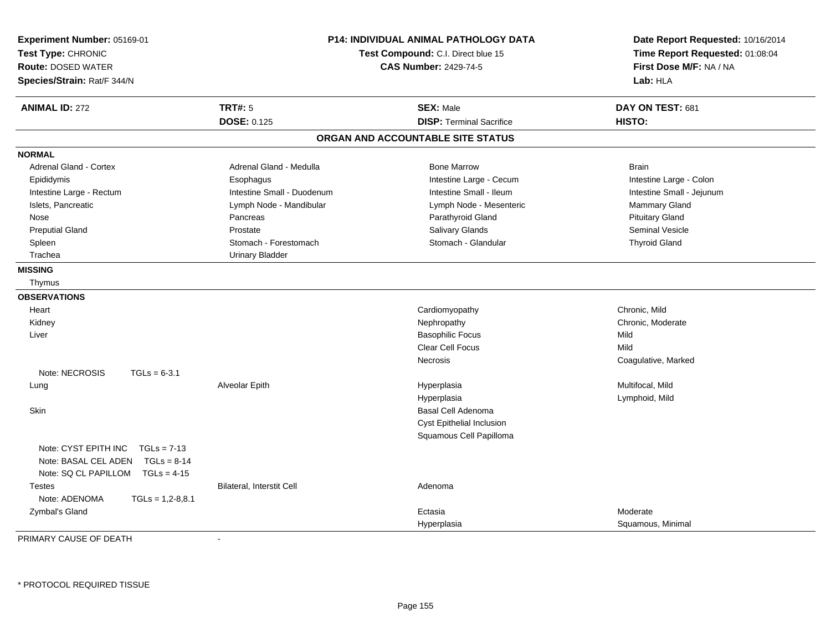| Experiment Number: 05169-01<br>Test Type: CHRONIC<br><b>Route: DOSED WATER</b><br>Species/Strain: Rat/F 344/N      | P14: INDIVIDUAL ANIMAL PATHOLOGY DATA<br>Test Compound: C.I. Direct blue 15<br><b>CAS Number: 2429-74-5</b> |                                   | Date Report Requested: 10/16/2014<br>Time Report Requested: 01:08:04<br>First Dose M/F: NA / NA<br>Lab: HLA |
|--------------------------------------------------------------------------------------------------------------------|-------------------------------------------------------------------------------------------------------------|-----------------------------------|-------------------------------------------------------------------------------------------------------------|
| <b>ANIMAL ID: 272</b>                                                                                              | <b>TRT#: 5</b>                                                                                              | <b>SEX: Male</b>                  | DAY ON TEST: 681                                                                                            |
|                                                                                                                    | <b>DOSE: 0.125</b>                                                                                          | <b>DISP: Terminal Sacrifice</b>   | <b>HISTO:</b>                                                                                               |
|                                                                                                                    |                                                                                                             | ORGAN AND ACCOUNTABLE SITE STATUS |                                                                                                             |
| <b>NORMAL</b>                                                                                                      |                                                                                                             |                                   |                                                                                                             |
| <b>Adrenal Gland - Cortex</b>                                                                                      | Adrenal Gland - Medulla                                                                                     | <b>Bone Marrow</b>                | <b>Brain</b>                                                                                                |
| Epididymis                                                                                                         | Esophagus                                                                                                   | Intestine Large - Cecum           | Intestine Large - Colon                                                                                     |
| Intestine Large - Rectum                                                                                           | Intestine Small - Duodenum                                                                                  | Intestine Small - Ileum           | Intestine Small - Jejunum                                                                                   |
| Islets, Pancreatic                                                                                                 | Lymph Node - Mandibular                                                                                     | Lymph Node - Mesenteric           | Mammary Gland                                                                                               |
| Nose                                                                                                               | Pancreas                                                                                                    | Parathyroid Gland                 | <b>Pituitary Gland</b>                                                                                      |
| <b>Preputial Gland</b>                                                                                             | Prostate                                                                                                    | Salivary Glands                   | <b>Seminal Vesicle</b>                                                                                      |
| Spleen                                                                                                             | Stomach - Forestomach                                                                                       | Stomach - Glandular               | <b>Thyroid Gland</b>                                                                                        |
| Trachea                                                                                                            | <b>Urinary Bladder</b>                                                                                      |                                   |                                                                                                             |
| <b>MISSING</b>                                                                                                     |                                                                                                             |                                   |                                                                                                             |
| Thymus                                                                                                             |                                                                                                             |                                   |                                                                                                             |
| <b>OBSERVATIONS</b>                                                                                                |                                                                                                             |                                   |                                                                                                             |
| Heart                                                                                                              |                                                                                                             | Cardiomyopathy                    | Chronic, Mild                                                                                               |
| Kidney                                                                                                             |                                                                                                             | Nephropathy                       | Chronic, Moderate                                                                                           |
| Liver                                                                                                              |                                                                                                             | <b>Basophilic Focus</b>           | Mild                                                                                                        |
|                                                                                                                    |                                                                                                             | Clear Cell Focus                  | Mild                                                                                                        |
|                                                                                                                    |                                                                                                             | Necrosis                          | Coagulative, Marked                                                                                         |
| Note: NECROSIS<br>$TGLs = 6-3.1$                                                                                   |                                                                                                             |                                   |                                                                                                             |
| Lung                                                                                                               | Alveolar Epith                                                                                              | Hyperplasia                       | Multifocal, Mild                                                                                            |
|                                                                                                                    |                                                                                                             | Hyperplasia                       | Lymphoid, Mild                                                                                              |
| Skin                                                                                                               |                                                                                                             | Basal Cell Adenoma                |                                                                                                             |
|                                                                                                                    |                                                                                                             | Cyst Epithelial Inclusion         |                                                                                                             |
|                                                                                                                    |                                                                                                             | Squamous Cell Papilloma           |                                                                                                             |
| Note: CYST EPITH INC<br>$TGLs = 7-13$<br>Note: BASAL CEL ADEN TGLs = 8-14<br>Note: SQ CL PAPILLOM<br>$TGLs = 4-15$ |                                                                                                             |                                   |                                                                                                             |
| <b>Testes</b><br>Note: ADENOMA<br>$TGLs = 1,2-8,8.1$                                                               | <b>Bilateral, Interstit Cell</b>                                                                            | Adenoma                           |                                                                                                             |
| Zymbal's Gland                                                                                                     |                                                                                                             | Ectasia                           | Moderate                                                                                                    |
|                                                                                                                    |                                                                                                             | Hyperplasia                       | Squamous, Minimal                                                                                           |

PRIMARY CAUSE OF DEATH-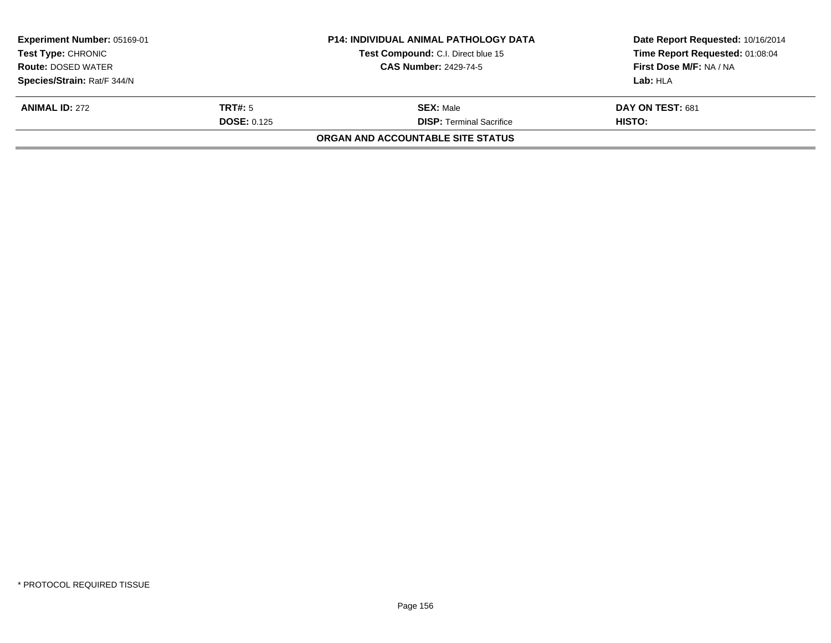| Experiment Number: 05169-01<br><b>Test Type: CHRONIC</b> |                    | <b>P14: INDIVIDUAL ANIMAL PATHOLOGY DATA</b><br>Test Compound: C.I. Direct blue 15 | Date Report Requested: 10/16/2014<br>Time Report Requested: 01:08:04 |
|----------------------------------------------------------|--------------------|------------------------------------------------------------------------------------|----------------------------------------------------------------------|
| <b>Route: DOSED WATER</b>                                |                    | <b>CAS Number: 2429-74-5</b>                                                       | First Dose M/F: NA / NA                                              |
| Species/Strain: Rat/F 344/N                              |                    |                                                                                    | Lab: HLA                                                             |
| <b>ANIMAL ID: 272</b>                                    | <b>TRT#:</b> 5     | <b>SEX: Male</b>                                                                   | DAY ON TEST: 681                                                     |
|                                                          | <b>DOSE: 0.125</b> | <b>DISP:</b> Terminal Sacrifice                                                    | HISTO:                                                               |
|                                                          |                    | ORGAN AND ACCOUNTABLE SITE STATUS                                                  |                                                                      |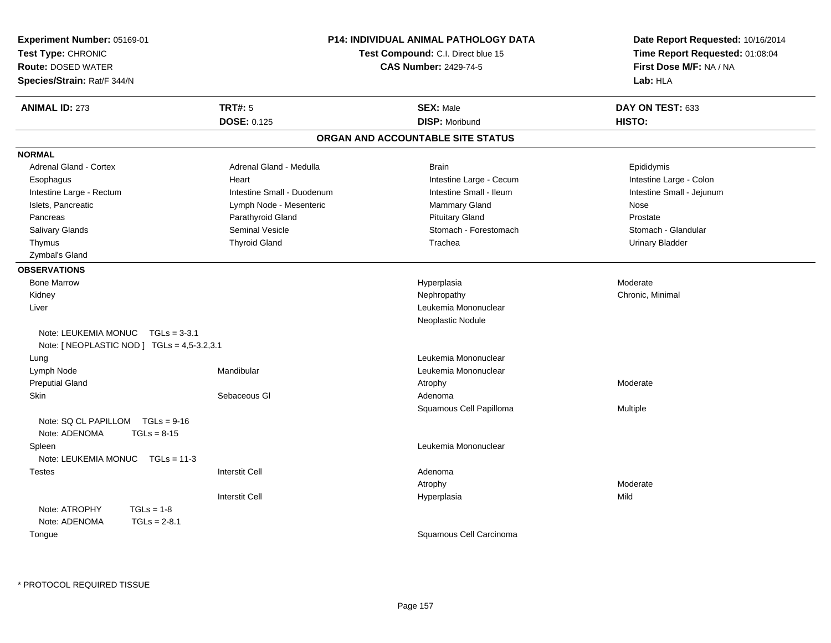| Experiment Number: 05169-01                 |                                    | P14: INDIVIDUAL ANIMAL PATHOLOGY DATA | Date Report Requested: 10/16/2014 |  |
|---------------------------------------------|------------------------------------|---------------------------------------|-----------------------------------|--|
| Test Type: CHRONIC                          | Test Compound: C.I. Direct blue 15 |                                       | Time Report Requested: 01:08:04   |  |
| <b>Route: DOSED WATER</b>                   |                                    | <b>CAS Number: 2429-74-5</b>          | First Dose M/F: NA / NA           |  |
| Species/Strain: Rat/F 344/N                 |                                    |                                       | Lab: HLA                          |  |
| <b>ANIMAL ID: 273</b>                       | <b>TRT#: 5</b>                     | <b>SEX: Male</b>                      | DAY ON TEST: 633                  |  |
|                                             | <b>DOSE: 0.125</b>                 | <b>DISP: Moribund</b>                 | HISTO:                            |  |
|                                             |                                    | ORGAN AND ACCOUNTABLE SITE STATUS     |                                   |  |
| <b>NORMAL</b>                               |                                    |                                       |                                   |  |
| <b>Adrenal Gland - Cortex</b>               | Adrenal Gland - Medulla            | <b>Brain</b>                          | Epididymis                        |  |
| Esophagus                                   | Heart                              | Intestine Large - Cecum               | Intestine Large - Colon           |  |
| Intestine Large - Rectum                    | Intestine Small - Duodenum         | Intestine Small - Ileum               | Intestine Small - Jejunum         |  |
| Islets, Pancreatic                          | Lymph Node - Mesenteric            | Mammary Gland                         | Nose                              |  |
| Pancreas                                    | Parathyroid Gland                  | <b>Pituitary Gland</b>                | Prostate                          |  |
| Salivary Glands                             | Seminal Vesicle                    | Stomach - Forestomach                 | Stomach - Glandular               |  |
| Thymus                                      | <b>Thyroid Gland</b>               | Trachea                               | <b>Urinary Bladder</b>            |  |
| Zymbal's Gland                              |                                    |                                       |                                   |  |
| <b>OBSERVATIONS</b>                         |                                    |                                       |                                   |  |
| <b>Bone Marrow</b>                          |                                    | Hyperplasia                           | Moderate                          |  |
| Kidney                                      |                                    | Nephropathy                           | Chronic, Minimal                  |  |
| Liver                                       |                                    | Leukemia Mononuclear                  |                                   |  |
|                                             |                                    | Neoplastic Nodule                     |                                   |  |
| Note: LEUKEMIA MONUC<br>$TGLs = 3-3.1$      |                                    |                                       |                                   |  |
| Note: [ NEOPLASTIC NOD ] TGLs = 4,5-3.2,3.1 |                                    |                                       |                                   |  |
| Lung                                        |                                    | Leukemia Mononuclear                  |                                   |  |
| Lymph Node                                  | Mandibular                         | Leukemia Mononuclear                  |                                   |  |
| <b>Preputial Gland</b>                      |                                    | Atrophy                               | Moderate                          |  |
| <b>Skin</b>                                 | Sebaceous GI                       | Adenoma                               |                                   |  |
|                                             |                                    | Squamous Cell Papilloma               | Multiple                          |  |
| Note: SQ CL PAPILLOM TGLs = 9-16            |                                    |                                       |                                   |  |
| Note: ADENOMA<br>$TGLs = 8-15$              |                                    |                                       |                                   |  |
| Spleen                                      |                                    | Leukemia Mononuclear                  |                                   |  |
| Note: LEUKEMIA MONUC<br>$TGLs = 11-3$       |                                    |                                       |                                   |  |
| <b>Testes</b>                               | <b>Interstit Cell</b>              | Adenoma                               |                                   |  |
|                                             |                                    | Atrophy                               | Moderate                          |  |
|                                             | <b>Interstit Cell</b>              | Hyperplasia                           | Mild                              |  |
| Note: ATROPHY<br>$TGLs = 1-8$               |                                    |                                       |                                   |  |
| Note: ADENOMA<br>$TGLs = 2-8.1$             |                                    |                                       |                                   |  |
| Tongue                                      |                                    | Squamous Cell Carcinoma               |                                   |  |
|                                             |                                    |                                       |                                   |  |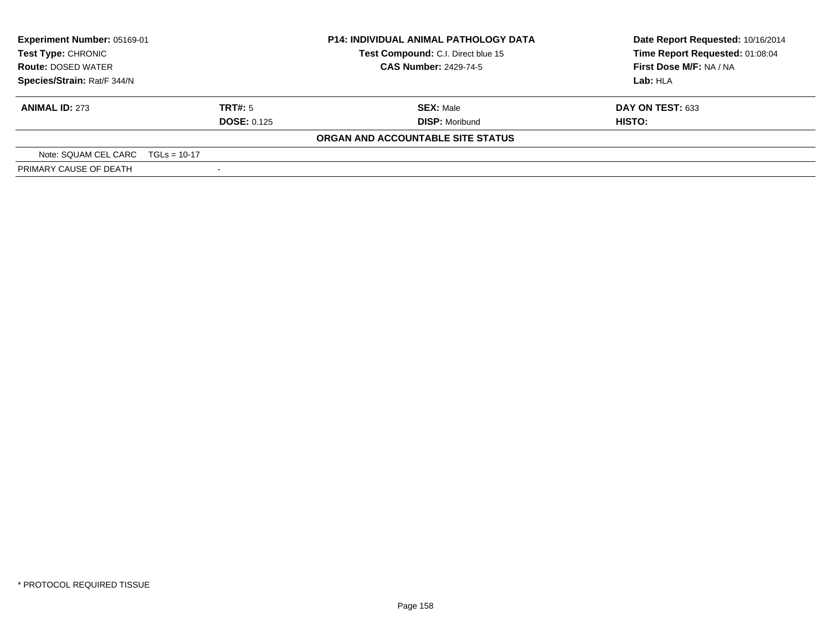| Experiment Number: 05169-01<br>Test Type: CHRONIC |                    | <b>P14: INDIVIDUAL ANIMAL PATHOLOGY DATA</b> | Date Report Requested: 10/16/2014 |  |
|---------------------------------------------------|--------------------|----------------------------------------------|-----------------------------------|--|
|                                                   |                    | Test Compound: C.I. Direct blue 15           | Time Report Requested: 01:08:04   |  |
| <b>Route: DOSED WATER</b>                         |                    | <b>CAS Number: 2429-74-5</b>                 | First Dose M/F: NA / NA           |  |
| Species/Strain: Rat/F 344/N                       |                    |                                              | Lab: HLA                          |  |
| <b>ANIMAL ID: 273</b>                             | <b>TRT#:</b> 5     | <b>SEX: Male</b>                             | DAY ON TEST: 633                  |  |
|                                                   | <b>DOSE: 0.125</b> | <b>DISP: Moribund</b>                        | HISTO:                            |  |
|                                                   |                    | ORGAN AND ACCOUNTABLE SITE STATUS            |                                   |  |
| Note: SQUAM CEL CARC TGLs = 10-17                 |                    |                                              |                                   |  |
| PRIMARY CAUSE OF DEATH                            |                    |                                              |                                   |  |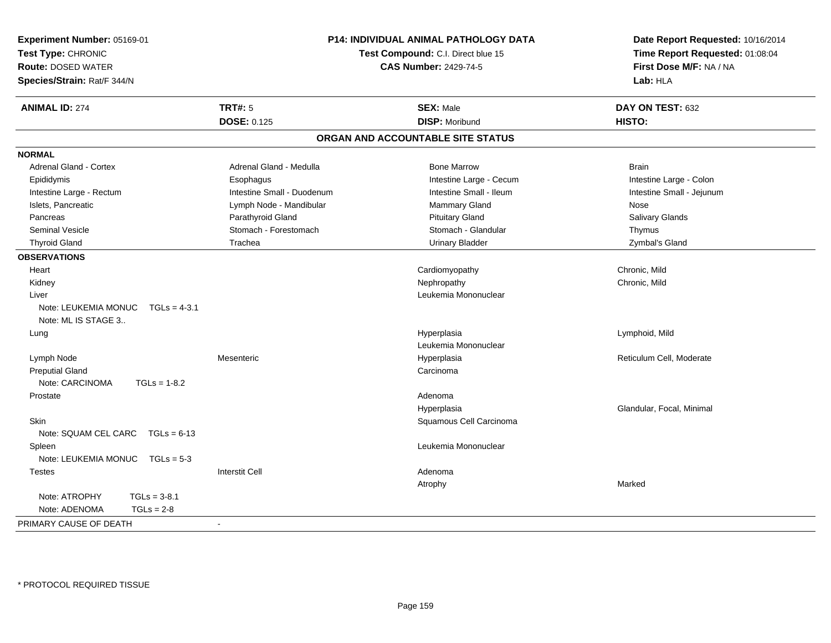| Experiment Number: 05169-01<br>Date Report Requested: 10/16/2014<br>Time Report Requested: 01:08:04<br>Test Type: CHRONIC<br>Test Compound: C.I. Direct blue 15<br>First Dose M/F: NA / NA<br><b>Route: DOSED WATER</b><br><b>CAS Number: 2429-74-5</b><br>Species/Strain: Rat/F 344/N<br>Lab: HLA |
|----------------------------------------------------------------------------------------------------------------------------------------------------------------------------------------------------------------------------------------------------------------------------------------------------|
|                                                                                                                                                                                                                                                                                                    |
|                                                                                                                                                                                                                                                                                                    |
|                                                                                                                                                                                                                                                                                                    |
|                                                                                                                                                                                                                                                                                                    |
| <b>TRT#: 5</b><br><b>ANIMAL ID: 274</b><br><b>SEX: Male</b><br>DAY ON TEST: 632                                                                                                                                                                                                                    |
| <b>DOSE: 0.125</b><br><b>DISP: Moribund</b><br>HISTO:                                                                                                                                                                                                                                              |
| ORGAN AND ACCOUNTABLE SITE STATUS                                                                                                                                                                                                                                                                  |
| <b>NORMAL</b>                                                                                                                                                                                                                                                                                      |
| Adrenal Gland - Medulla<br><b>Bone Marrow</b><br><b>Adrenal Gland - Cortex</b><br><b>Brain</b>                                                                                                                                                                                                     |
| Intestine Large - Cecum<br>Intestine Large - Colon<br>Epididymis<br>Esophagus                                                                                                                                                                                                                      |
| Intestine Large - Rectum<br>Intestine Small - Duodenum<br>Intestine Small - Ileum<br>Intestine Small - Jejunum                                                                                                                                                                                     |
| Islets, Pancreatic<br>Lymph Node - Mandibular<br>Mammary Gland<br>Nose                                                                                                                                                                                                                             |
| Parathyroid Gland<br><b>Pituitary Gland</b><br>Salivary Glands<br>Pancreas                                                                                                                                                                                                                         |
| Stomach - Forestomach<br><b>Seminal Vesicle</b><br>Stomach - Glandular<br>Thymus                                                                                                                                                                                                                   |
| <b>Thyroid Gland</b><br>Trachea<br><b>Urinary Bladder</b><br>Zymbal's Gland                                                                                                                                                                                                                        |
| <b>OBSERVATIONS</b>                                                                                                                                                                                                                                                                                |
| Chronic, Mild<br>Cardiomyopathy<br>Heart                                                                                                                                                                                                                                                           |
| Chronic, Mild<br>Kidney<br>Nephropathy                                                                                                                                                                                                                                                             |
| Leukemia Mononuclear<br>Liver                                                                                                                                                                                                                                                                      |
| Note: LEUKEMIA MONUC<br>$TGLs = 4-3.1$                                                                                                                                                                                                                                                             |
| Note: ML IS STAGE 3                                                                                                                                                                                                                                                                                |
| Hyperplasia<br>Lymphoid, Mild<br>Lung                                                                                                                                                                                                                                                              |
| Leukemia Mononuclear                                                                                                                                                                                                                                                                               |
| Reticulum Cell, Moderate<br>Lymph Node<br>Mesenteric<br>Hyperplasia                                                                                                                                                                                                                                |
| <b>Preputial Gland</b><br>Carcinoma                                                                                                                                                                                                                                                                |
| $TGLs = 1-8.2$<br>Note: CARCINOMA                                                                                                                                                                                                                                                                  |
| Prostate<br>Adenoma                                                                                                                                                                                                                                                                                |
| Hyperplasia<br>Glandular, Focal, Minimal                                                                                                                                                                                                                                                           |
| Skin<br>Squamous Cell Carcinoma                                                                                                                                                                                                                                                                    |
| Note: SQUAM CEL CARC<br>$TGLs = 6-13$                                                                                                                                                                                                                                                              |
| Spleen<br>Leukemia Mononuclear                                                                                                                                                                                                                                                                     |
| Note: LEUKEMIA MONUC<br>$TGLs = 5-3$                                                                                                                                                                                                                                                               |
| <b>Interstit Cell</b><br><b>Testes</b><br>Adenoma                                                                                                                                                                                                                                                  |
| Marked<br>Atrophy                                                                                                                                                                                                                                                                                  |
| Note: ATROPHY<br>$TGLs = 3-8.1$                                                                                                                                                                                                                                                                    |
| $TGLs = 2-8$<br>Note: ADENOMA                                                                                                                                                                                                                                                                      |
| PRIMARY CAUSE OF DEATH<br>$\sim$                                                                                                                                                                                                                                                                   |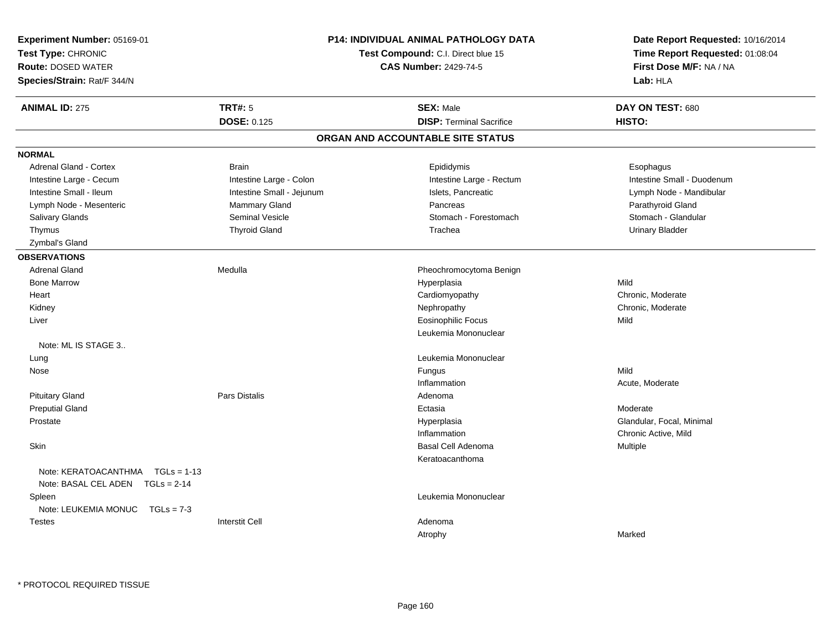| <b>TRT#: 5</b><br><b>ANIMAL ID: 275</b><br><b>SEX: Male</b><br>DAY ON TEST: 680<br><b>DOSE: 0.125</b><br><b>DISP: Terminal Sacrifice</b><br>HISTO:<br>ORGAN AND ACCOUNTABLE SITE STATUS<br><b>NORMAL</b><br>Adrenal Gland - Cortex<br><b>Brain</b><br>Epididymis<br>Esophagus<br>Intestine Large - Colon<br>Intestine Small - Duodenum<br>Intestine Large - Cecum<br>Intestine Large - Rectum<br>Intestine Small - Ileum<br>Intestine Small - Jejunum<br>Islets, Pancreatic<br>Lymph Node - Mandibular<br>Mammary Gland<br>Parathyroid Gland<br>Lymph Node - Mesenteric<br>Pancreas<br><b>Salivary Glands</b><br><b>Seminal Vesicle</b><br>Stomach - Forestomach<br>Stomach - Glandular<br><b>Thyroid Gland</b><br><b>Urinary Bladder</b><br>Thymus<br>Trachea<br>Zymbal's Gland<br><b>OBSERVATIONS</b><br><b>Adrenal Gland</b><br>Medulla<br>Pheochromocytoma Benign<br>Mild<br><b>Bone Marrow</b><br>Hyperplasia<br>Chronic, Moderate<br>Heart<br>Cardiomyopathy<br>Kidney<br>Nephropathy<br>Chronic, Moderate<br><b>Eosinophilic Focus</b><br>Mild<br>Liver<br>Leukemia Mononuclear<br>Note: ML IS STAGE 3<br>Leukemia Mononuclear<br>Lung<br>Mild<br>Fungus<br>Nose<br>Inflammation<br>Acute, Moderate<br><b>Pituitary Gland</b><br><b>Pars Distalis</b><br>Adenoma<br><b>Preputial Gland</b><br>Moderate<br>Ectasia<br>Glandular, Focal, Minimal<br>Prostate<br>Hyperplasia<br>Inflammation<br>Chronic Active, Mild<br>Skin<br><b>Basal Cell Adenoma</b><br>Multiple<br>Keratoacanthoma<br>Note: KERATOACANTHMA   TGLs = 1-13<br>Note: BASAL CEL ADEN TGLs = 2-14<br>Leukemia Mononuclear<br>Spleen<br>Note: LEUKEMIA MONUC<br>$TGLs = 7-3$<br><b>Interstit Cell</b><br>Adenoma<br><b>Testes</b> | Experiment Number: 05169-01<br>Test Type: CHRONIC<br><b>Route: DOSED WATER</b><br>Species/Strain: Rat/F 344/N | <b>P14: INDIVIDUAL ANIMAL PATHOLOGY DATA</b><br>Test Compound: C.I. Direct blue 15<br><b>CAS Number: 2429-74-5</b> | Date Report Requested: 10/16/2014<br>Time Report Requested: 01:08:04<br>First Dose M/F: NA / NA<br>Lab: HLA |
|-------------------------------------------------------------------------------------------------------------------------------------------------------------------------------------------------------------------------------------------------------------------------------------------------------------------------------------------------------------------------------------------------------------------------------------------------------------------------------------------------------------------------------------------------------------------------------------------------------------------------------------------------------------------------------------------------------------------------------------------------------------------------------------------------------------------------------------------------------------------------------------------------------------------------------------------------------------------------------------------------------------------------------------------------------------------------------------------------------------------------------------------------------------------------------------------------------------------------------------------------------------------------------------------------------------------------------------------------------------------------------------------------------------------------------------------------------------------------------------------------------------------------------------------------------------------------------------------------------------------------------------------------------------------------------------------------------|---------------------------------------------------------------------------------------------------------------|--------------------------------------------------------------------------------------------------------------------|-------------------------------------------------------------------------------------------------------------|
|                                                                                                                                                                                                                                                                                                                                                                                                                                                                                                                                                                                                                                                                                                                                                                                                                                                                                                                                                                                                                                                                                                                                                                                                                                                                                                                                                                                                                                                                                                                                                                                                                                                                                                       |                                                                                                               |                                                                                                                    |                                                                                                             |
|                                                                                                                                                                                                                                                                                                                                                                                                                                                                                                                                                                                                                                                                                                                                                                                                                                                                                                                                                                                                                                                                                                                                                                                                                                                                                                                                                                                                                                                                                                                                                                                                                                                                                                       |                                                                                                               |                                                                                                                    |                                                                                                             |
|                                                                                                                                                                                                                                                                                                                                                                                                                                                                                                                                                                                                                                                                                                                                                                                                                                                                                                                                                                                                                                                                                                                                                                                                                                                                                                                                                                                                                                                                                                                                                                                                                                                                                                       |                                                                                                               |                                                                                                                    |                                                                                                             |
|                                                                                                                                                                                                                                                                                                                                                                                                                                                                                                                                                                                                                                                                                                                                                                                                                                                                                                                                                                                                                                                                                                                                                                                                                                                                                                                                                                                                                                                                                                                                                                                                                                                                                                       |                                                                                                               |                                                                                                                    |                                                                                                             |
|                                                                                                                                                                                                                                                                                                                                                                                                                                                                                                                                                                                                                                                                                                                                                                                                                                                                                                                                                                                                                                                                                                                                                                                                                                                                                                                                                                                                                                                                                                                                                                                                                                                                                                       |                                                                                                               |                                                                                                                    |                                                                                                             |
|                                                                                                                                                                                                                                                                                                                                                                                                                                                                                                                                                                                                                                                                                                                                                                                                                                                                                                                                                                                                                                                                                                                                                                                                                                                                                                                                                                                                                                                                                                                                                                                                                                                                                                       |                                                                                                               |                                                                                                                    |                                                                                                             |
|                                                                                                                                                                                                                                                                                                                                                                                                                                                                                                                                                                                                                                                                                                                                                                                                                                                                                                                                                                                                                                                                                                                                                                                                                                                                                                                                                                                                                                                                                                                                                                                                                                                                                                       |                                                                                                               |                                                                                                                    |                                                                                                             |
|                                                                                                                                                                                                                                                                                                                                                                                                                                                                                                                                                                                                                                                                                                                                                                                                                                                                                                                                                                                                                                                                                                                                                                                                                                                                                                                                                                                                                                                                                                                                                                                                                                                                                                       |                                                                                                               |                                                                                                                    |                                                                                                             |
|                                                                                                                                                                                                                                                                                                                                                                                                                                                                                                                                                                                                                                                                                                                                                                                                                                                                                                                                                                                                                                                                                                                                                                                                                                                                                                                                                                                                                                                                                                                                                                                                                                                                                                       |                                                                                                               |                                                                                                                    |                                                                                                             |
|                                                                                                                                                                                                                                                                                                                                                                                                                                                                                                                                                                                                                                                                                                                                                                                                                                                                                                                                                                                                                                                                                                                                                                                                                                                                                                                                                                                                                                                                                                                                                                                                                                                                                                       |                                                                                                               |                                                                                                                    |                                                                                                             |
|                                                                                                                                                                                                                                                                                                                                                                                                                                                                                                                                                                                                                                                                                                                                                                                                                                                                                                                                                                                                                                                                                                                                                                                                                                                                                                                                                                                                                                                                                                                                                                                                                                                                                                       |                                                                                                               |                                                                                                                    |                                                                                                             |
|                                                                                                                                                                                                                                                                                                                                                                                                                                                                                                                                                                                                                                                                                                                                                                                                                                                                                                                                                                                                                                                                                                                                                                                                                                                                                                                                                                                                                                                                                                                                                                                                                                                                                                       |                                                                                                               |                                                                                                                    |                                                                                                             |
|                                                                                                                                                                                                                                                                                                                                                                                                                                                                                                                                                                                                                                                                                                                                                                                                                                                                                                                                                                                                                                                                                                                                                                                                                                                                                                                                                                                                                                                                                                                                                                                                                                                                                                       |                                                                                                               |                                                                                                                    |                                                                                                             |
|                                                                                                                                                                                                                                                                                                                                                                                                                                                                                                                                                                                                                                                                                                                                                                                                                                                                                                                                                                                                                                                                                                                                                                                                                                                                                                                                                                                                                                                                                                                                                                                                                                                                                                       |                                                                                                               |                                                                                                                    |                                                                                                             |
|                                                                                                                                                                                                                                                                                                                                                                                                                                                                                                                                                                                                                                                                                                                                                                                                                                                                                                                                                                                                                                                                                                                                                                                                                                                                                                                                                                                                                                                                                                                                                                                                                                                                                                       |                                                                                                               |                                                                                                                    |                                                                                                             |
|                                                                                                                                                                                                                                                                                                                                                                                                                                                                                                                                                                                                                                                                                                                                                                                                                                                                                                                                                                                                                                                                                                                                                                                                                                                                                                                                                                                                                                                                                                                                                                                                                                                                                                       |                                                                                                               |                                                                                                                    |                                                                                                             |
|                                                                                                                                                                                                                                                                                                                                                                                                                                                                                                                                                                                                                                                                                                                                                                                                                                                                                                                                                                                                                                                                                                                                                                                                                                                                                                                                                                                                                                                                                                                                                                                                                                                                                                       |                                                                                                               |                                                                                                                    |                                                                                                             |
|                                                                                                                                                                                                                                                                                                                                                                                                                                                                                                                                                                                                                                                                                                                                                                                                                                                                                                                                                                                                                                                                                                                                                                                                                                                                                                                                                                                                                                                                                                                                                                                                                                                                                                       |                                                                                                               |                                                                                                                    |                                                                                                             |
|                                                                                                                                                                                                                                                                                                                                                                                                                                                                                                                                                                                                                                                                                                                                                                                                                                                                                                                                                                                                                                                                                                                                                                                                                                                                                                                                                                                                                                                                                                                                                                                                                                                                                                       |                                                                                                               |                                                                                                                    |                                                                                                             |
|                                                                                                                                                                                                                                                                                                                                                                                                                                                                                                                                                                                                                                                                                                                                                                                                                                                                                                                                                                                                                                                                                                                                                                                                                                                                                                                                                                                                                                                                                                                                                                                                                                                                                                       |                                                                                                               |                                                                                                                    |                                                                                                             |
|                                                                                                                                                                                                                                                                                                                                                                                                                                                                                                                                                                                                                                                                                                                                                                                                                                                                                                                                                                                                                                                                                                                                                                                                                                                                                                                                                                                                                                                                                                                                                                                                                                                                                                       |                                                                                                               |                                                                                                                    |                                                                                                             |
|                                                                                                                                                                                                                                                                                                                                                                                                                                                                                                                                                                                                                                                                                                                                                                                                                                                                                                                                                                                                                                                                                                                                                                                                                                                                                                                                                                                                                                                                                                                                                                                                                                                                                                       |                                                                                                               |                                                                                                                    |                                                                                                             |
|                                                                                                                                                                                                                                                                                                                                                                                                                                                                                                                                                                                                                                                                                                                                                                                                                                                                                                                                                                                                                                                                                                                                                                                                                                                                                                                                                                                                                                                                                                                                                                                                                                                                                                       |                                                                                                               |                                                                                                                    |                                                                                                             |
|                                                                                                                                                                                                                                                                                                                                                                                                                                                                                                                                                                                                                                                                                                                                                                                                                                                                                                                                                                                                                                                                                                                                                                                                                                                                                                                                                                                                                                                                                                                                                                                                                                                                                                       |                                                                                                               |                                                                                                                    |                                                                                                             |
|                                                                                                                                                                                                                                                                                                                                                                                                                                                                                                                                                                                                                                                                                                                                                                                                                                                                                                                                                                                                                                                                                                                                                                                                                                                                                                                                                                                                                                                                                                                                                                                                                                                                                                       |                                                                                                               |                                                                                                                    |                                                                                                             |
|                                                                                                                                                                                                                                                                                                                                                                                                                                                                                                                                                                                                                                                                                                                                                                                                                                                                                                                                                                                                                                                                                                                                                                                                                                                                                                                                                                                                                                                                                                                                                                                                                                                                                                       |                                                                                                               |                                                                                                                    |                                                                                                             |
|                                                                                                                                                                                                                                                                                                                                                                                                                                                                                                                                                                                                                                                                                                                                                                                                                                                                                                                                                                                                                                                                                                                                                                                                                                                                                                                                                                                                                                                                                                                                                                                                                                                                                                       |                                                                                                               |                                                                                                                    |                                                                                                             |
|                                                                                                                                                                                                                                                                                                                                                                                                                                                                                                                                                                                                                                                                                                                                                                                                                                                                                                                                                                                                                                                                                                                                                                                                                                                                                                                                                                                                                                                                                                                                                                                                                                                                                                       |                                                                                                               |                                                                                                                    |                                                                                                             |
|                                                                                                                                                                                                                                                                                                                                                                                                                                                                                                                                                                                                                                                                                                                                                                                                                                                                                                                                                                                                                                                                                                                                                                                                                                                                                                                                                                                                                                                                                                                                                                                                                                                                                                       |                                                                                                               |                                                                                                                    |                                                                                                             |
|                                                                                                                                                                                                                                                                                                                                                                                                                                                                                                                                                                                                                                                                                                                                                                                                                                                                                                                                                                                                                                                                                                                                                                                                                                                                                                                                                                                                                                                                                                                                                                                                                                                                                                       |                                                                                                               |                                                                                                                    |                                                                                                             |
|                                                                                                                                                                                                                                                                                                                                                                                                                                                                                                                                                                                                                                                                                                                                                                                                                                                                                                                                                                                                                                                                                                                                                                                                                                                                                                                                                                                                                                                                                                                                                                                                                                                                                                       |                                                                                                               |                                                                                                                    |                                                                                                             |
|                                                                                                                                                                                                                                                                                                                                                                                                                                                                                                                                                                                                                                                                                                                                                                                                                                                                                                                                                                                                                                                                                                                                                                                                                                                                                                                                                                                                                                                                                                                                                                                                                                                                                                       |                                                                                                               | Atrophy                                                                                                            | Marked                                                                                                      |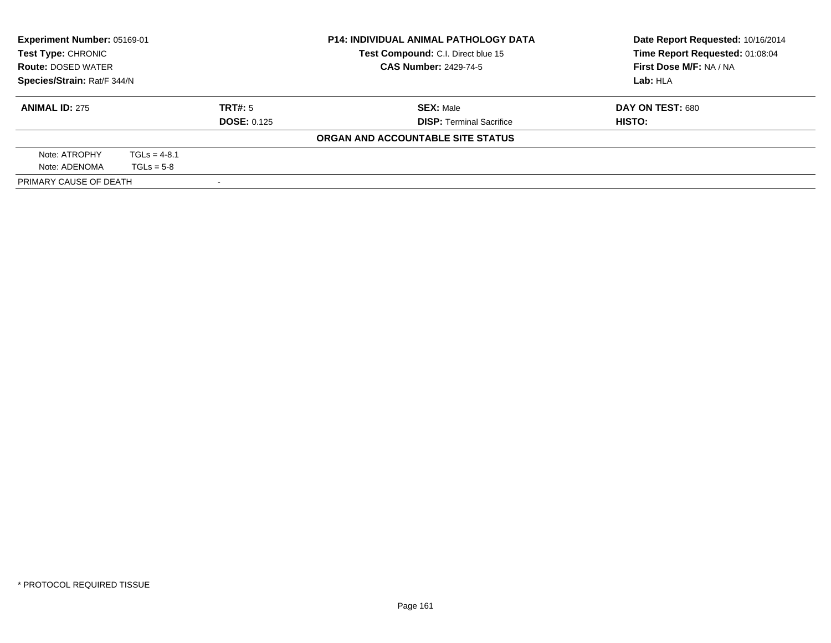| Experiment Number: 05169-01<br><b>Test Type: CHRONIC</b><br><b>Route: DOSED WATER</b><br>Species/Strain: Rat/F 344/N |                |                    | <b>P14: INDIVIDUAL ANIMAL PATHOLOGY DATA</b> | Date Report Requested: 10/16/2014 |
|----------------------------------------------------------------------------------------------------------------------|----------------|--------------------|----------------------------------------------|-----------------------------------|
|                                                                                                                      |                |                    | Test Compound: C.I. Direct blue 15           | Time Report Requested: 01:08:04   |
|                                                                                                                      |                |                    | <b>CAS Number: 2429-74-5</b>                 | First Dose M/F: NA / NA           |
|                                                                                                                      |                |                    |                                              | Lab: HLA                          |
| <b>ANIMAL ID: 275</b>                                                                                                |                | TRT#: 5            | <b>SEX: Male</b>                             | DAY ON TEST: 680                  |
|                                                                                                                      |                | <b>DOSE: 0.125</b> | <b>DISP: Terminal Sacrifice</b>              | HISTO:                            |
|                                                                                                                      |                |                    | ORGAN AND ACCOUNTABLE SITE STATUS            |                                   |
| Note: ATROPHY                                                                                                        | $TGLs = 4-8.1$ |                    |                                              |                                   |
| Note: ADENOMA                                                                                                        | $TGLs = 5-8$   |                    |                                              |                                   |
| PRIMARY CAUSE OF DEATH                                                                                               |                |                    |                                              |                                   |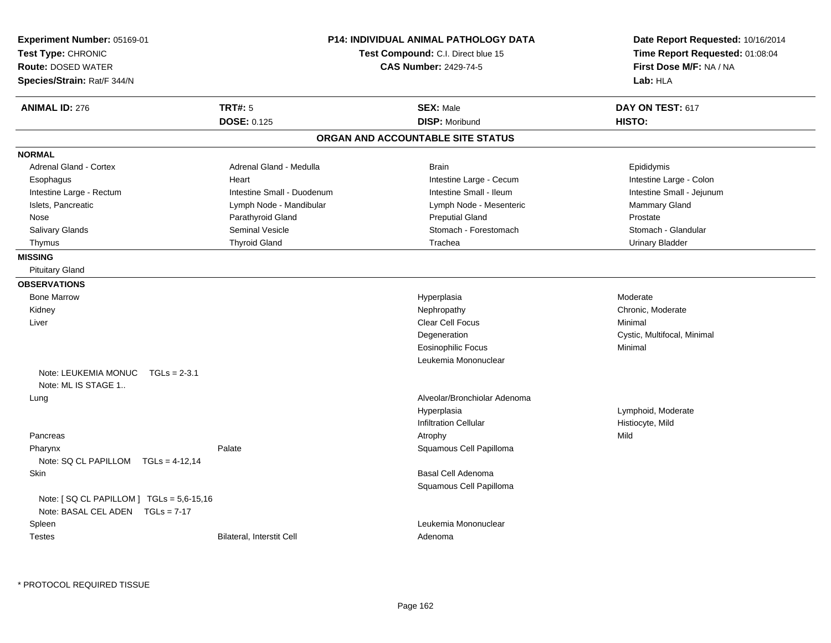| Experiment Number: 05169-01<br>Test Type: CHRONIC<br><b>Route: DOSED WATER</b><br>Species/Strain: Rat/F 344/N |                                      | <b>P14: INDIVIDUAL ANIMAL PATHOLOGY DATA</b><br>Test Compound: C.I. Direct blue 15<br><b>CAS Number: 2429-74-5</b> | Date Report Requested: 10/16/2014<br>Time Report Requested: 01:08:04<br>First Dose M/F: NA / NA<br>Lab: HLA |
|---------------------------------------------------------------------------------------------------------------|--------------------------------------|--------------------------------------------------------------------------------------------------------------------|-------------------------------------------------------------------------------------------------------------|
| <b>ANIMAL ID: 276</b>                                                                                         | <b>TRT#: 5</b><br><b>DOSE: 0.125</b> | <b>SEX: Male</b><br><b>DISP: Moribund</b>                                                                          | DAY ON TEST: 617<br>HISTO:                                                                                  |
|                                                                                                               |                                      | ORGAN AND ACCOUNTABLE SITE STATUS                                                                                  |                                                                                                             |
| <b>NORMAL</b>                                                                                                 |                                      |                                                                                                                    |                                                                                                             |
| Adrenal Gland - Cortex                                                                                        | Adrenal Gland - Medulla              | <b>Brain</b>                                                                                                       | Epididymis                                                                                                  |
| Esophagus                                                                                                     | Heart                                | Intestine Large - Cecum                                                                                            | Intestine Large - Colon                                                                                     |
| Intestine Large - Rectum                                                                                      | Intestine Small - Duodenum           | Intestine Small - Ileum                                                                                            | Intestine Small - Jejunum                                                                                   |
| Islets, Pancreatic                                                                                            | Lymph Node - Mandibular              | Lymph Node - Mesenteric                                                                                            | Mammary Gland                                                                                               |
| Nose                                                                                                          | Parathyroid Gland                    | <b>Preputial Gland</b>                                                                                             | Prostate                                                                                                    |
| Salivary Glands                                                                                               | Seminal Vesicle                      | Stomach - Forestomach                                                                                              | Stomach - Glandular                                                                                         |
| Thymus                                                                                                        | <b>Thyroid Gland</b>                 | Trachea                                                                                                            | <b>Urinary Bladder</b>                                                                                      |
| <b>MISSING</b>                                                                                                |                                      |                                                                                                                    |                                                                                                             |
| <b>Pituitary Gland</b>                                                                                        |                                      |                                                                                                                    |                                                                                                             |
| <b>OBSERVATIONS</b>                                                                                           |                                      |                                                                                                                    |                                                                                                             |
| <b>Bone Marrow</b>                                                                                            |                                      | Hyperplasia                                                                                                        | Moderate                                                                                                    |
| Kidney                                                                                                        |                                      | Nephropathy                                                                                                        | Chronic, Moderate                                                                                           |
| Liver                                                                                                         |                                      | <b>Clear Cell Focus</b>                                                                                            | Minimal                                                                                                     |
|                                                                                                               |                                      | Degeneration                                                                                                       | Cystic, Multifocal, Minimal                                                                                 |
|                                                                                                               |                                      | <b>Eosinophilic Focus</b>                                                                                          | Minimal                                                                                                     |
|                                                                                                               |                                      | Leukemia Mononuclear                                                                                               |                                                                                                             |
| Note: LEUKEMIA MONUC<br>$TGLs = 2-3.1$<br>Note: ML IS STAGE 1                                                 |                                      |                                                                                                                    |                                                                                                             |
| Lung                                                                                                          |                                      | Alveolar/Bronchiolar Adenoma                                                                                       |                                                                                                             |
|                                                                                                               |                                      | Hyperplasia                                                                                                        | Lymphoid, Moderate                                                                                          |
|                                                                                                               |                                      | <b>Infiltration Cellular</b>                                                                                       | Histiocyte, Mild                                                                                            |
| Pancreas                                                                                                      |                                      | Atrophy                                                                                                            | Mild                                                                                                        |
| Pharynx                                                                                                       | Palate                               | Squamous Cell Papilloma                                                                                            |                                                                                                             |
| Note: SQ CL PAPILLOM $TGLs = 4-12,14$                                                                         |                                      |                                                                                                                    |                                                                                                             |
| Skin                                                                                                          |                                      | Basal Cell Adenoma<br>Squamous Cell Papilloma                                                                      |                                                                                                             |
| Note: [SQ CL PAPILLOM ] TGLs = 5,6-15,16<br>Note: BASAL CEL ADEN TGLs = 7-17                                  |                                      |                                                                                                                    |                                                                                                             |
| Spleen                                                                                                        |                                      | Leukemia Mononuclear                                                                                               |                                                                                                             |
| <b>Testes</b>                                                                                                 | Bilateral, Interstit Cell            | Adenoma                                                                                                            |                                                                                                             |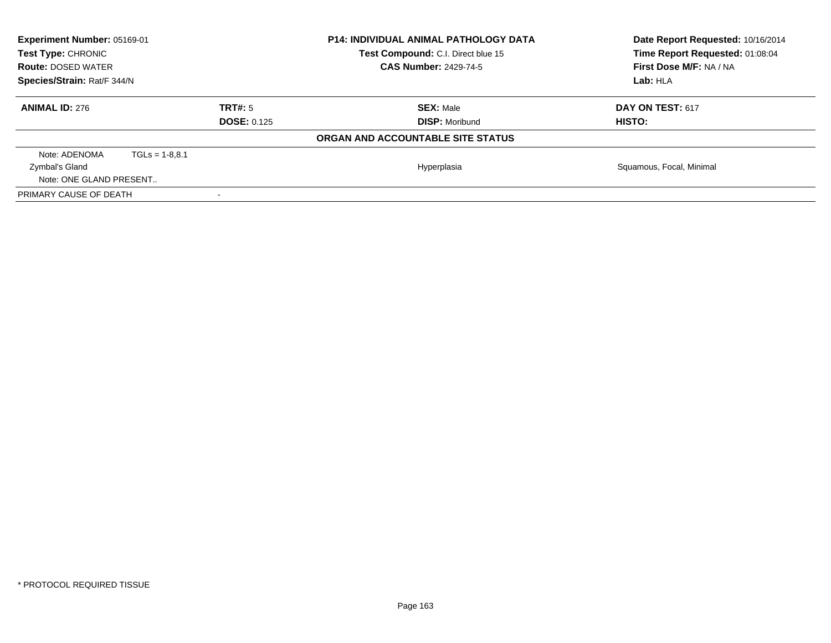| <b>Experiment Number: 05169-01</b><br><b>Test Type: CHRONIC</b><br><b>Route: DOSED WATER</b><br>Species/Strain: Rat/F 344/N |                  |                    | <b>P14: INDIVIDUAL ANIMAL PATHOLOGY DATA</b><br><b>Test Compound: C.I. Direct blue 15</b><br><b>CAS Number: 2429-74-5</b> | Date Report Requested: 10/16/2014<br>Time Report Requested: 01:08:04<br>First Dose M/F: NA / NA |
|-----------------------------------------------------------------------------------------------------------------------------|------------------|--------------------|---------------------------------------------------------------------------------------------------------------------------|-------------------------------------------------------------------------------------------------|
|                                                                                                                             |                  |                    |                                                                                                                           | Lab: HLA                                                                                        |
| <b>ANIMAL ID: 276</b>                                                                                                       |                  | TRT#: 5            | <b>SEX: Male</b>                                                                                                          | DAY ON TEST: 617                                                                                |
|                                                                                                                             |                  | <b>DOSE: 0.125</b> | <b>DISP:</b> Moribund                                                                                                     | <b>HISTO:</b>                                                                                   |
|                                                                                                                             |                  |                    | ORGAN AND ACCOUNTABLE SITE STATUS                                                                                         |                                                                                                 |
| Note: ADENOMA                                                                                                               | $TGLs = 1-8.8.1$ |                    |                                                                                                                           |                                                                                                 |
| Zymbal's Gland                                                                                                              |                  |                    | Hyperplasia                                                                                                               | Squamous, Focal, Minimal                                                                        |
| Note: ONE GLAND PRESENT                                                                                                     |                  |                    |                                                                                                                           |                                                                                                 |
| PRIMARY CAUSE OF DEATH                                                                                                      |                  |                    |                                                                                                                           |                                                                                                 |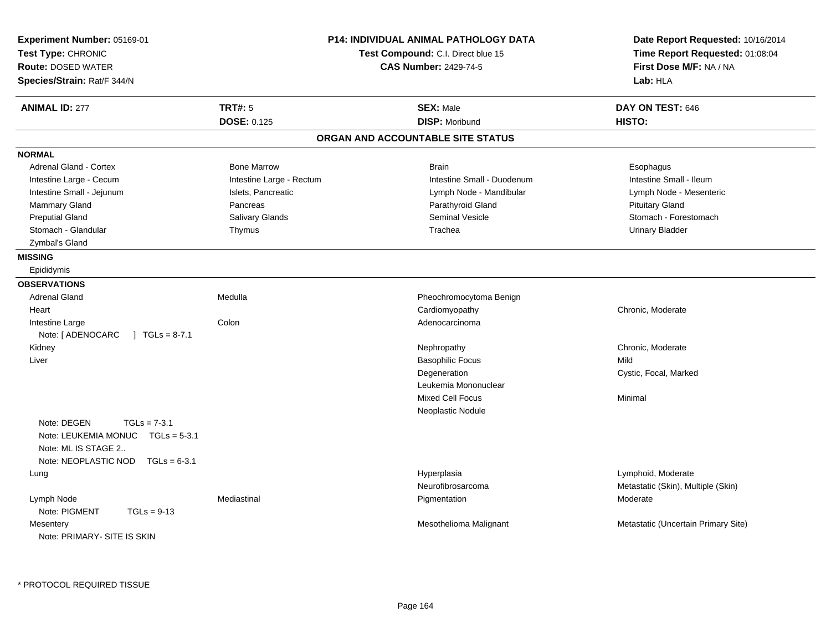| Experiment Number: 05169-01<br>Test Type: CHRONIC<br><b>Route: DOSED WATER</b><br>Species/Strain: Rat/F 344/N                         |                          | <b>P14: INDIVIDUAL ANIMAL PATHOLOGY DATA</b><br>Test Compound: C.I. Direct blue 15<br><b>CAS Number: 2429-74-5</b> | Date Report Requested: 10/16/2014<br>Time Report Requested: 01:08:04<br>First Dose M/F: NA / NA<br>Lab: HLA |
|---------------------------------------------------------------------------------------------------------------------------------------|--------------------------|--------------------------------------------------------------------------------------------------------------------|-------------------------------------------------------------------------------------------------------------|
| <b>ANIMAL ID: 277</b>                                                                                                                 | <b>TRT#: 5</b>           | <b>SEX: Male</b>                                                                                                   | DAY ON TEST: 646                                                                                            |
|                                                                                                                                       | <b>DOSE: 0.125</b>       | <b>DISP: Moribund</b>                                                                                              | HISTO:                                                                                                      |
|                                                                                                                                       |                          | ORGAN AND ACCOUNTABLE SITE STATUS                                                                                  |                                                                                                             |
| <b>NORMAL</b>                                                                                                                         |                          |                                                                                                                    |                                                                                                             |
| <b>Adrenal Gland - Cortex</b>                                                                                                         | <b>Bone Marrow</b>       | <b>Brain</b>                                                                                                       | Esophagus                                                                                                   |
| Intestine Large - Cecum                                                                                                               | Intestine Large - Rectum | Intestine Small - Duodenum                                                                                         | Intestine Small - Ileum                                                                                     |
| Intestine Small - Jejunum                                                                                                             | Islets, Pancreatic       | Lymph Node - Mandibular                                                                                            | Lymph Node - Mesenteric                                                                                     |
| Mammary Gland                                                                                                                         | Pancreas                 | Parathyroid Gland                                                                                                  | <b>Pituitary Gland</b>                                                                                      |
| <b>Preputial Gland</b>                                                                                                                | <b>Salivary Glands</b>   | Seminal Vesicle                                                                                                    | Stomach - Forestomach                                                                                       |
| Stomach - Glandular                                                                                                                   | Thymus                   | Trachea                                                                                                            | <b>Urinary Bladder</b>                                                                                      |
| Zymbal's Gland                                                                                                                        |                          |                                                                                                                    |                                                                                                             |
| <b>MISSING</b>                                                                                                                        |                          |                                                                                                                    |                                                                                                             |
| Epididymis                                                                                                                            |                          |                                                                                                                    |                                                                                                             |
| <b>OBSERVATIONS</b>                                                                                                                   |                          |                                                                                                                    |                                                                                                             |
| <b>Adrenal Gland</b>                                                                                                                  | Medulla                  | Pheochromocytoma Benign                                                                                            |                                                                                                             |
| Heart                                                                                                                                 |                          | Cardiomyopathy                                                                                                     | Chronic, Moderate                                                                                           |
| Intestine Large                                                                                                                       | Colon                    | Adenocarcinoma                                                                                                     |                                                                                                             |
| $1 \text{ TGLs} = 8-7.1$<br>Note: [ ADENOCARC                                                                                         |                          |                                                                                                                    |                                                                                                             |
| Kidney                                                                                                                                |                          | Nephropathy                                                                                                        | Chronic, Moderate                                                                                           |
| Liver                                                                                                                                 |                          | <b>Basophilic Focus</b>                                                                                            | Mild                                                                                                        |
|                                                                                                                                       |                          | Degeneration                                                                                                       | Cystic, Focal, Marked                                                                                       |
|                                                                                                                                       |                          | Leukemia Mononuclear                                                                                               |                                                                                                             |
|                                                                                                                                       |                          | <b>Mixed Cell Focus</b>                                                                                            | Minimal                                                                                                     |
|                                                                                                                                       |                          | Neoplastic Nodule                                                                                                  |                                                                                                             |
| Note: DEGEN<br>$TGLs = 7-3.1$<br>Note: LEUKEMIA MONUC<br>$TGLs = 5-3.1$<br>Note: ML IS STAGE 2<br>Note: NEOPLASTIC NOD $TGLs = 6-3.1$ |                          |                                                                                                                    |                                                                                                             |
| Lung                                                                                                                                  |                          | Hyperplasia                                                                                                        | Lymphoid, Moderate                                                                                          |
|                                                                                                                                       |                          | Neurofibrosarcoma                                                                                                  | Metastatic (Skin), Multiple (Skin)                                                                          |
| Lymph Node<br>Note: PIGMENT<br>$TGLs = 9-13$                                                                                          | Mediastinal              | Pigmentation                                                                                                       | Moderate                                                                                                    |
| Mesentery<br>Note: PRIMARY- SITE IS SKIN                                                                                              |                          | Mesothelioma Malignant                                                                                             | Metastatic (Uncertain Primary Site)                                                                         |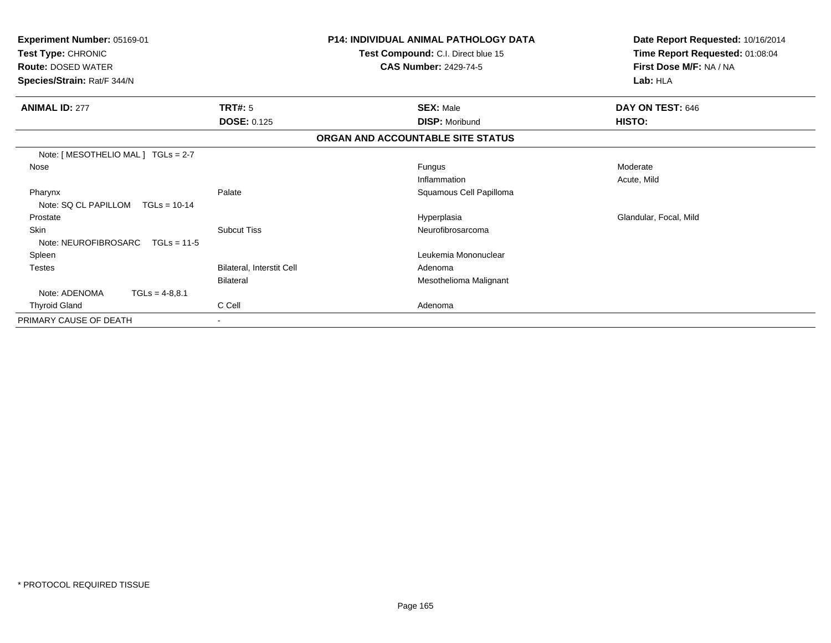| Experiment Number: 05169-01<br>Test Type: CHRONIC<br><b>Route: DOSED WATER</b><br>Species/Strain: Rat/F 344/N |                           | <b>P14: INDIVIDUAL ANIMAL PATHOLOGY DATA</b><br>Test Compound: C.I. Direct blue 15<br><b>CAS Number: 2429-74-5</b> | Date Report Requested: 10/16/2014<br>Time Report Requested: 01:08:04<br>First Dose M/F: NA / NA<br>Lab: HLA |
|---------------------------------------------------------------------------------------------------------------|---------------------------|--------------------------------------------------------------------------------------------------------------------|-------------------------------------------------------------------------------------------------------------|
| <b>ANIMAL ID: 277</b>                                                                                         | <b>TRT#: 5</b>            | <b>SEX: Male</b>                                                                                                   | DAY ON TEST: 646                                                                                            |
|                                                                                                               | <b>DOSE: 0.125</b>        | <b>DISP: Moribund</b>                                                                                              | HISTO:                                                                                                      |
|                                                                                                               |                           | ORGAN AND ACCOUNTABLE SITE STATUS                                                                                  |                                                                                                             |
| Note: [ MESOTHELIO MAL ] TGLs = 2-7                                                                           |                           |                                                                                                                    |                                                                                                             |
| Nose                                                                                                          |                           | Fungus                                                                                                             | Moderate                                                                                                    |
|                                                                                                               |                           | Inflammation                                                                                                       | Acute, Mild                                                                                                 |
| Pharynx<br>Note: SQ CL PAPILLOM<br>$TGLs = 10-14$                                                             | Palate                    | Squamous Cell Papilloma                                                                                            |                                                                                                             |
| Prostate                                                                                                      |                           | Hyperplasia                                                                                                        | Glandular, Focal, Mild                                                                                      |
| <b>Skin</b><br>Note: NEUROFIBROSARC<br>$TGLs = 11-5$                                                          | <b>Subcut Tiss</b>        | Neurofibrosarcoma                                                                                                  |                                                                                                             |
| Spleen                                                                                                        |                           | Leukemia Mononuclear                                                                                               |                                                                                                             |
| <b>Testes</b>                                                                                                 | Bilateral, Interstit Cell | Adenoma                                                                                                            |                                                                                                             |
|                                                                                                               | Bilateral                 | Mesothelioma Malignant                                                                                             |                                                                                                             |
| Note: ADENOMA<br>$TGLs = 4-8.8.1$                                                                             |                           |                                                                                                                    |                                                                                                             |
| <b>Thyroid Gland</b>                                                                                          | C Cell                    | Adenoma                                                                                                            |                                                                                                             |
| PRIMARY CAUSE OF DEATH                                                                                        | $\sim$                    |                                                                                                                    |                                                                                                             |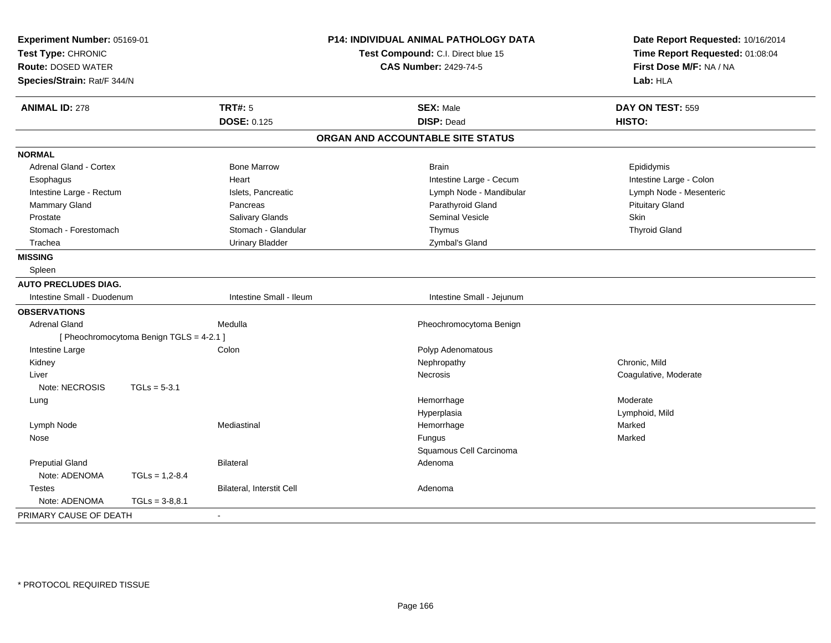| Experiment Number: 05169-01<br>Test Type: CHRONIC<br><b>Route: DOSED WATER</b><br>Species/Strain: Rat/F 344/N |                                          |                           | P14: INDIVIDUAL ANIMAL PATHOLOGY DATA<br>Test Compound: C.I. Direct blue 15<br><b>CAS Number: 2429-74-5</b> | Date Report Requested: 10/16/2014<br>Time Report Requested: 01:08:04<br>First Dose M/F: NA / NA<br>Lab: HLA |
|---------------------------------------------------------------------------------------------------------------|------------------------------------------|---------------------------|-------------------------------------------------------------------------------------------------------------|-------------------------------------------------------------------------------------------------------------|
| <b>ANIMAL ID: 278</b>                                                                                         |                                          | <b>TRT#: 5</b>            | <b>SEX: Male</b>                                                                                            | DAY ON TEST: 559                                                                                            |
|                                                                                                               |                                          | <b>DOSE: 0.125</b>        | <b>DISP: Dead</b>                                                                                           | HISTO:                                                                                                      |
|                                                                                                               |                                          |                           | ORGAN AND ACCOUNTABLE SITE STATUS                                                                           |                                                                                                             |
| <b>NORMAL</b>                                                                                                 |                                          |                           |                                                                                                             |                                                                                                             |
| <b>Adrenal Gland - Cortex</b>                                                                                 |                                          | <b>Bone Marrow</b>        | <b>Brain</b>                                                                                                | Epididymis                                                                                                  |
| Esophagus                                                                                                     |                                          | Heart                     | Intestine Large - Cecum                                                                                     | Intestine Large - Colon                                                                                     |
| Intestine Large - Rectum                                                                                      |                                          | Islets, Pancreatic        | Lymph Node - Mandibular                                                                                     | Lymph Node - Mesenteric                                                                                     |
| Mammary Gland                                                                                                 |                                          | Pancreas                  | Parathyroid Gland                                                                                           | <b>Pituitary Gland</b>                                                                                      |
| Prostate                                                                                                      |                                          | Salivary Glands           | <b>Seminal Vesicle</b>                                                                                      | Skin                                                                                                        |
| Stomach - Forestomach                                                                                         |                                          | Stomach - Glandular       | Thymus                                                                                                      | <b>Thyroid Gland</b>                                                                                        |
| Trachea                                                                                                       |                                          | <b>Urinary Bladder</b>    | Zymbal's Gland                                                                                              |                                                                                                             |
| <b>MISSING</b>                                                                                                |                                          |                           |                                                                                                             |                                                                                                             |
| Spleen                                                                                                        |                                          |                           |                                                                                                             |                                                                                                             |
| <b>AUTO PRECLUDES DIAG.</b>                                                                                   |                                          |                           |                                                                                                             |                                                                                                             |
| Intestine Small - Duodenum                                                                                    |                                          | Intestine Small - Ileum   | Intestine Small - Jejunum                                                                                   |                                                                                                             |
| <b>OBSERVATIONS</b>                                                                                           |                                          |                           |                                                                                                             |                                                                                                             |
| <b>Adrenal Gland</b>                                                                                          |                                          | Medulla                   | Pheochromocytoma Benign                                                                                     |                                                                                                             |
|                                                                                                               | [ Pheochromocytoma Benign TGLS = 4-2.1 ] |                           |                                                                                                             |                                                                                                             |
| Intestine Large                                                                                               |                                          | Colon                     | Polyp Adenomatous                                                                                           |                                                                                                             |
| Kidney                                                                                                        |                                          |                           | Nephropathy                                                                                                 | Chronic, Mild                                                                                               |
| Liver                                                                                                         |                                          |                           | Necrosis                                                                                                    | Coagulative, Moderate                                                                                       |
| Note: NECROSIS                                                                                                | $TGLs = 5-3.1$                           |                           |                                                                                                             |                                                                                                             |
| Lung                                                                                                          |                                          |                           | Hemorrhage                                                                                                  | Moderate                                                                                                    |
|                                                                                                               |                                          |                           | Hyperplasia                                                                                                 | Lymphoid, Mild                                                                                              |
| Lymph Node                                                                                                    |                                          | Mediastinal               | Hemorrhage                                                                                                  | Marked                                                                                                      |
| Nose                                                                                                          |                                          |                           | Fungus                                                                                                      | Marked                                                                                                      |
|                                                                                                               |                                          |                           | Squamous Cell Carcinoma                                                                                     |                                                                                                             |
| <b>Preputial Gland</b>                                                                                        |                                          | <b>Bilateral</b>          | Adenoma                                                                                                     |                                                                                                             |
| Note: ADENOMA                                                                                                 | $TGLs = 1,2-8.4$                         |                           |                                                                                                             |                                                                                                             |
| <b>Testes</b>                                                                                                 |                                          | Bilateral, Interstit Cell | Adenoma                                                                                                     |                                                                                                             |
| Note: ADENOMA                                                                                                 | $TGLs = 3-8.8.1$                         |                           |                                                                                                             |                                                                                                             |
| PRIMARY CAUSE OF DEATH                                                                                        |                                          |                           |                                                                                                             |                                                                                                             |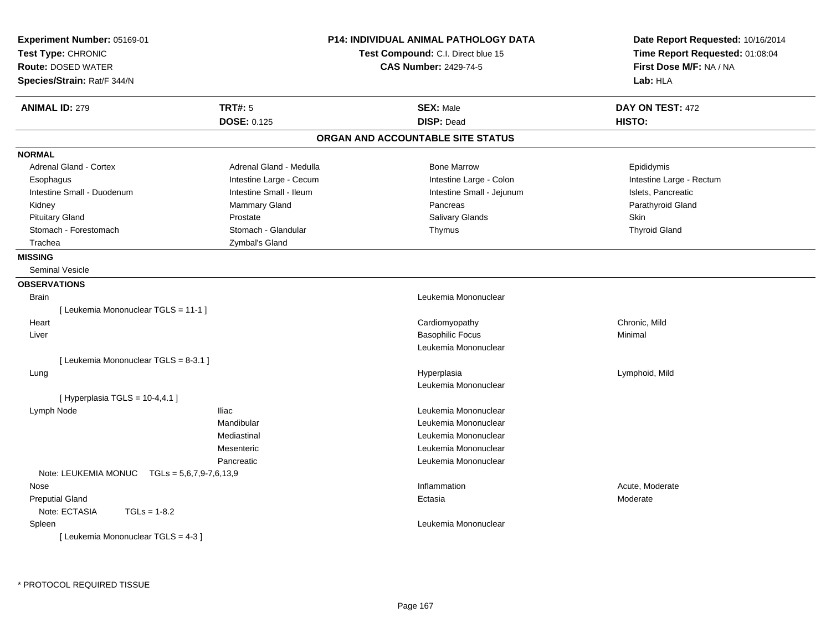| Experiment Number: 05169-01<br>Test Type: CHRONIC<br><b>Route: DOSED WATER</b><br>Species/Strain: Rat/F 344/N |                         | <b>P14: INDIVIDUAL ANIMAL PATHOLOGY DATA</b><br>Test Compound: C.I. Direct blue 15<br><b>CAS Number: 2429-74-5</b> | Date Report Requested: 10/16/2014<br>Time Report Requested: 01:08:04<br>First Dose M/F: NA / NA<br>Lab: HLA |
|---------------------------------------------------------------------------------------------------------------|-------------------------|--------------------------------------------------------------------------------------------------------------------|-------------------------------------------------------------------------------------------------------------|
| <b>ANIMAL ID: 279</b>                                                                                         | <b>TRT#: 5</b>          | <b>SEX: Male</b>                                                                                                   | DAY ON TEST: 472                                                                                            |
|                                                                                                               | <b>DOSE: 0.125</b>      | <b>DISP: Dead</b>                                                                                                  | HISTO:                                                                                                      |
|                                                                                                               |                         | ORGAN AND ACCOUNTABLE SITE STATUS                                                                                  |                                                                                                             |
| <b>NORMAL</b>                                                                                                 |                         |                                                                                                                    |                                                                                                             |
| <b>Adrenal Gland - Cortex</b>                                                                                 | Adrenal Gland - Medulla | <b>Bone Marrow</b>                                                                                                 | Epididymis                                                                                                  |
| Esophagus                                                                                                     | Intestine Large - Cecum | Intestine Large - Colon                                                                                            | Intestine Large - Rectum                                                                                    |
| Intestine Small - Duodenum                                                                                    | Intestine Small - Ileum | Intestine Small - Jejunum                                                                                          | Islets, Pancreatic                                                                                          |
| Kidney                                                                                                        | <b>Mammary Gland</b>    | Pancreas                                                                                                           | Parathyroid Gland                                                                                           |
| <b>Pituitary Gland</b>                                                                                        | Prostate                | Salivary Glands                                                                                                    | Skin                                                                                                        |
| Stomach - Forestomach                                                                                         | Stomach - Glandular     | Thymus                                                                                                             | <b>Thyroid Gland</b>                                                                                        |
| Trachea                                                                                                       | Zymbal's Gland          |                                                                                                                    |                                                                                                             |
| <b>MISSING</b>                                                                                                |                         |                                                                                                                    |                                                                                                             |
| <b>Seminal Vesicle</b>                                                                                        |                         |                                                                                                                    |                                                                                                             |
| <b>OBSERVATIONS</b>                                                                                           |                         |                                                                                                                    |                                                                                                             |
| <b>Brain</b>                                                                                                  |                         | Leukemia Mononuclear                                                                                               |                                                                                                             |
| [ Leukemia Mononuclear TGLS = 11-1 ]                                                                          |                         |                                                                                                                    |                                                                                                             |
| Heart                                                                                                         |                         | Cardiomyopathy                                                                                                     | Chronic, Mild                                                                                               |
| Liver                                                                                                         |                         | <b>Basophilic Focus</b>                                                                                            | Minimal                                                                                                     |
|                                                                                                               |                         | Leukemia Mononuclear                                                                                               |                                                                                                             |
| [ Leukemia Mononuclear TGLS = 8-3.1 ]                                                                         |                         |                                                                                                                    |                                                                                                             |
| Lung                                                                                                          |                         | Hyperplasia                                                                                                        | Lymphoid, Mild                                                                                              |
|                                                                                                               |                         | Leukemia Mononuclear                                                                                               |                                                                                                             |
| [Hyperplasia TGLS = $10-4,4.1$ ]                                                                              |                         |                                                                                                                    |                                                                                                             |
| Lymph Node                                                                                                    | <b>Iliac</b>            | Leukemia Mononuclear                                                                                               |                                                                                                             |
|                                                                                                               | Mandibular              | Leukemia Mononuclear                                                                                               |                                                                                                             |
|                                                                                                               | Mediastinal             | Leukemia Mononuclear                                                                                               |                                                                                                             |
|                                                                                                               | Mesenteric              | Leukemia Mononuclear                                                                                               |                                                                                                             |
|                                                                                                               | Pancreatic              | Leukemia Mononuclear                                                                                               |                                                                                                             |
| Note: LEUKEMIA MONUC $TGLs = 5,6,7,9-7,6,13,9$                                                                |                         |                                                                                                                    |                                                                                                             |
| Nose                                                                                                          |                         | Inflammation                                                                                                       | Acute, Moderate                                                                                             |
| <b>Preputial Gland</b>                                                                                        |                         | Ectasia                                                                                                            | Moderate                                                                                                    |
| Note: ECTASIA<br>$TGLs = 1-8.2$                                                                               |                         |                                                                                                                    |                                                                                                             |
| Spleen                                                                                                        |                         | Leukemia Mononuclear                                                                                               |                                                                                                             |
| [ Leukemia Mononuclear TGLS = 4-3 ]                                                                           |                         |                                                                                                                    |                                                                                                             |
|                                                                                                               |                         |                                                                                                                    |                                                                                                             |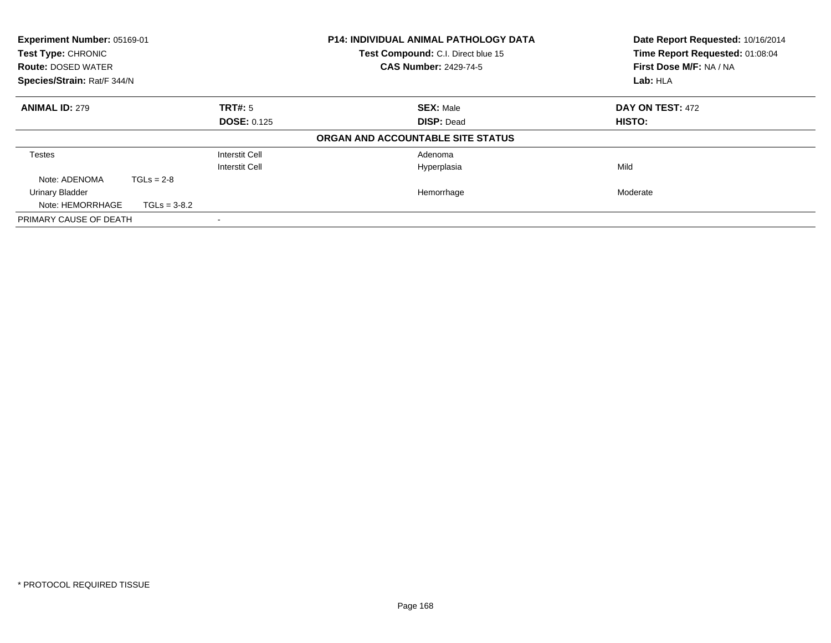| Experiment Number: 05169-01<br>Test Type: CHRONIC<br><b>Route: DOSED WATER</b><br>Species/Strain: Rat/F 344/N |                                |                                         | <b>P14: INDIVIDUAL ANIMAL PATHOLOGY DATA</b><br>Test Compound: C.I. Direct blue 15<br><b>CAS Number: 2429-74-5</b> | Date Report Requested: 10/16/2014<br>Time Report Requested: 01:08:04<br>First Dose M/F: NA / NA<br>Lab: HLA |
|---------------------------------------------------------------------------------------------------------------|--------------------------------|-----------------------------------------|--------------------------------------------------------------------------------------------------------------------|-------------------------------------------------------------------------------------------------------------|
| <b>ANIMAL ID: 279</b>                                                                                         |                                | TRT#: 5<br><b>DOSE: 0.125</b>           | <b>SEX: Male</b><br><b>DISP: Dead</b>                                                                              | DAY ON TEST: 472<br><b>HISTO:</b>                                                                           |
|                                                                                                               |                                |                                         | ORGAN AND ACCOUNTABLE SITE STATUS                                                                                  |                                                                                                             |
| Testes                                                                                                        |                                | Interstit Cell<br><b>Interstit Cell</b> | Adenoma<br>Hyperplasia                                                                                             | Mild                                                                                                        |
| Note: ADENOMA<br>Urinary Bladder<br>Note: HEMORRHAGE                                                          | $TGLs = 2-8$<br>$TGLs = 3-8.2$ |                                         | Hemorrhage                                                                                                         | Moderate                                                                                                    |
| PRIMARY CAUSE OF DEATH                                                                                        |                                |                                         |                                                                                                                    |                                                                                                             |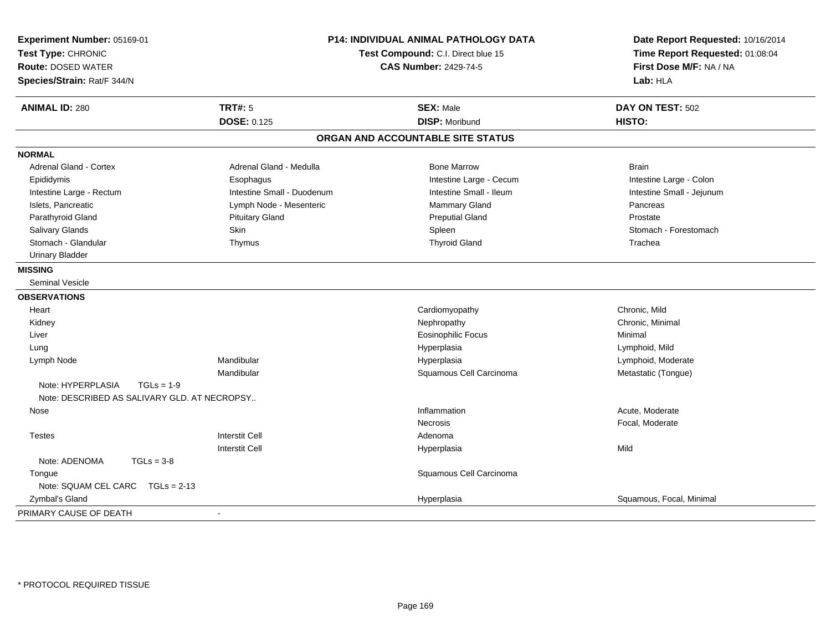| Experiment Number: 05169-01<br>Test Type: CHRONIC<br><b>Route: DOSED WATER</b><br>Species/Strain: Rat/F 344/N |                            | P14: INDIVIDUAL ANIMAL PATHOLOGY DATA<br>Test Compound: C.I. Direct blue 15<br><b>CAS Number: 2429-74-5</b> | Date Report Requested: 10/16/2014<br>Time Report Requested: 01:08:04<br>First Dose M/F: NA / NA<br>Lab: HLA |  |
|---------------------------------------------------------------------------------------------------------------|----------------------------|-------------------------------------------------------------------------------------------------------------|-------------------------------------------------------------------------------------------------------------|--|
| <b>ANIMAL ID: 280</b>                                                                                         | <b>TRT#: 5</b>             | <b>SEX: Male</b>                                                                                            | DAY ON TEST: 502                                                                                            |  |
|                                                                                                               | <b>DOSE: 0.125</b>         | <b>DISP: Moribund</b>                                                                                       | HISTO:                                                                                                      |  |
|                                                                                                               |                            | ORGAN AND ACCOUNTABLE SITE STATUS                                                                           |                                                                                                             |  |
| <b>NORMAL</b>                                                                                                 |                            |                                                                                                             |                                                                                                             |  |
| <b>Adrenal Gland - Cortex</b>                                                                                 | Adrenal Gland - Medulla    | <b>Bone Marrow</b>                                                                                          | <b>Brain</b>                                                                                                |  |
| Epididymis                                                                                                    | Esophagus                  | Intestine Large - Cecum                                                                                     | Intestine Large - Colon                                                                                     |  |
| Intestine Large - Rectum                                                                                      | Intestine Small - Duodenum | Intestine Small - Ileum                                                                                     | Intestine Small - Jejunum                                                                                   |  |
| Islets, Pancreatic                                                                                            | Lymph Node - Mesenteric    | Mammary Gland                                                                                               | Pancreas                                                                                                    |  |
| Parathyroid Gland                                                                                             | <b>Pituitary Gland</b>     | <b>Preputial Gland</b>                                                                                      | Prostate                                                                                                    |  |
| Salivary Glands                                                                                               | Skin                       | Spleen                                                                                                      | Stomach - Forestomach                                                                                       |  |
| Stomach - Glandular                                                                                           | Thymus                     | <b>Thyroid Gland</b>                                                                                        | Trachea                                                                                                     |  |
| <b>Urinary Bladder</b>                                                                                        |                            |                                                                                                             |                                                                                                             |  |
| <b>MISSING</b>                                                                                                |                            |                                                                                                             |                                                                                                             |  |
| <b>Seminal Vesicle</b>                                                                                        |                            |                                                                                                             |                                                                                                             |  |
| <b>OBSERVATIONS</b>                                                                                           |                            |                                                                                                             |                                                                                                             |  |
| Heart                                                                                                         |                            | Cardiomyopathy                                                                                              | Chronic, Mild                                                                                               |  |
| Kidney                                                                                                        |                            | Nephropathy                                                                                                 | Chronic, Minimal                                                                                            |  |
| Liver                                                                                                         |                            | <b>Eosinophilic Focus</b>                                                                                   | Minimal                                                                                                     |  |
| Lung                                                                                                          |                            | Hyperplasia                                                                                                 | Lymphoid, Mild                                                                                              |  |
| Lymph Node                                                                                                    | Mandibular                 | Hyperplasia                                                                                                 | Lymphoid, Moderate                                                                                          |  |
|                                                                                                               | Mandibular                 | Squamous Cell Carcinoma                                                                                     | Metastatic (Tongue)                                                                                         |  |
| Note: HYPERPLASIA                                                                                             | $TGLs = 1-9$               |                                                                                                             |                                                                                                             |  |
| Note: DESCRIBED AS SALIVARY GLD. AT NECROPSY                                                                  |                            |                                                                                                             |                                                                                                             |  |
| Nose                                                                                                          |                            | Inflammation                                                                                                | Acute, Moderate                                                                                             |  |
|                                                                                                               |                            | <b>Necrosis</b>                                                                                             | Focal, Moderate                                                                                             |  |
| <b>Testes</b>                                                                                                 | <b>Interstit Cell</b>      | Adenoma                                                                                                     |                                                                                                             |  |
|                                                                                                               | Interstit Cell             | Hyperplasia                                                                                                 | Mild                                                                                                        |  |
| Note: ADENOMA                                                                                                 | $TGLs = 3-8$               |                                                                                                             |                                                                                                             |  |
| Tongue                                                                                                        |                            | Squamous Cell Carcinoma                                                                                     |                                                                                                             |  |
| Note: SQUAM CEL CARC TGLs = 2-13                                                                              |                            |                                                                                                             |                                                                                                             |  |
| Zymbal's Gland                                                                                                |                            | Hyperplasia                                                                                                 | Squamous, Focal, Minimal                                                                                    |  |
| PRIMARY CAUSE OF DEATH                                                                                        | $\blacksquare$             |                                                                                                             |                                                                                                             |  |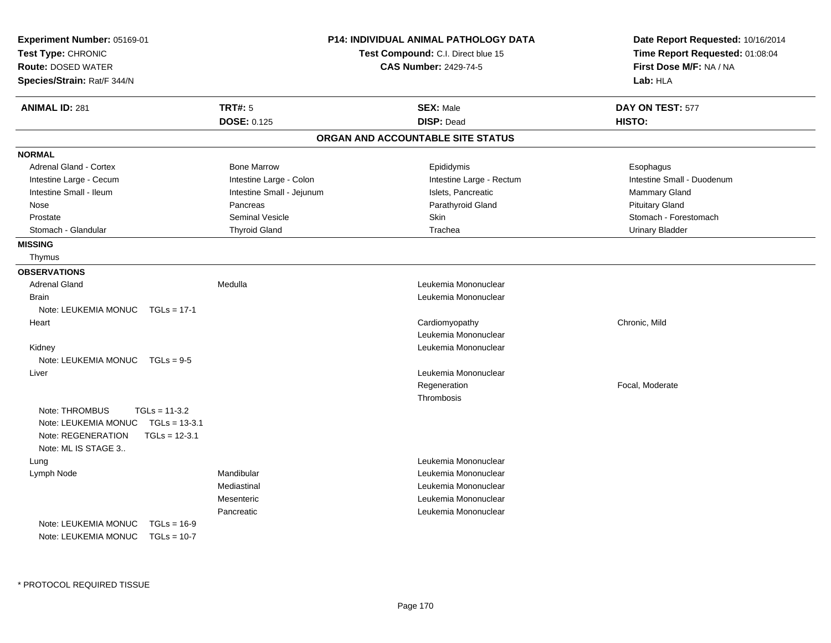| Experiment Number: 05169-01<br>Test Type: CHRONIC<br><b>Route: DOSED WATER</b><br>Species/Strain: Rat/F 344/N                                |                           | <b>P14: INDIVIDUAL ANIMAL PATHOLOGY DATA</b><br>Test Compound: C.I. Direct blue 15<br><b>CAS Number: 2429-74-5</b> | Date Report Requested: 10/16/2014<br>Time Report Requested: 01:08:04<br>First Dose M/F: NA / NA<br>Lab: HLA |
|----------------------------------------------------------------------------------------------------------------------------------------------|---------------------------|--------------------------------------------------------------------------------------------------------------------|-------------------------------------------------------------------------------------------------------------|
| <b>ANIMAL ID: 281</b>                                                                                                                        | <b>TRT#: 5</b>            | <b>SEX: Male</b>                                                                                                   | DAY ON TEST: 577                                                                                            |
|                                                                                                                                              | <b>DOSE: 0.125</b>        | <b>DISP: Dead</b>                                                                                                  | HISTO:                                                                                                      |
|                                                                                                                                              |                           | ORGAN AND ACCOUNTABLE SITE STATUS                                                                                  |                                                                                                             |
| <b>NORMAL</b>                                                                                                                                |                           |                                                                                                                    |                                                                                                             |
| <b>Adrenal Gland - Cortex</b>                                                                                                                | <b>Bone Marrow</b>        | Epididymis                                                                                                         | Esophagus                                                                                                   |
| Intestine Large - Cecum                                                                                                                      | Intestine Large - Colon   | Intestine Large - Rectum                                                                                           | Intestine Small - Duodenum                                                                                  |
| Intestine Small - Ileum                                                                                                                      | Intestine Small - Jejunum | Islets, Pancreatic                                                                                                 | <b>Mammary Gland</b>                                                                                        |
| Nose                                                                                                                                         | Pancreas                  | Parathyroid Gland                                                                                                  | <b>Pituitary Gland</b>                                                                                      |
| Prostate                                                                                                                                     | Seminal Vesicle           | Skin                                                                                                               | Stomach - Forestomach                                                                                       |
| Stomach - Glandular                                                                                                                          | <b>Thyroid Gland</b>      | Trachea                                                                                                            | <b>Urinary Bladder</b>                                                                                      |
| <b>MISSING</b>                                                                                                                               |                           |                                                                                                                    |                                                                                                             |
| Thymus                                                                                                                                       |                           |                                                                                                                    |                                                                                                             |
| <b>OBSERVATIONS</b>                                                                                                                          |                           |                                                                                                                    |                                                                                                             |
| <b>Adrenal Gland</b>                                                                                                                         | Medulla                   | Leukemia Mononuclear                                                                                               |                                                                                                             |
| <b>Brain</b>                                                                                                                                 |                           | Leukemia Mononuclear                                                                                               |                                                                                                             |
| Note: LEUKEMIA MONUC TGLs = 17-1                                                                                                             |                           |                                                                                                                    |                                                                                                             |
| Heart                                                                                                                                        |                           | Cardiomyopathy                                                                                                     | Chronic, Mild                                                                                               |
|                                                                                                                                              |                           | Leukemia Mononuclear                                                                                               |                                                                                                             |
| Kidney                                                                                                                                       |                           | Leukemia Mononuclear                                                                                               |                                                                                                             |
| Note: LEUKEMIA MONUC TGLs = 9-5                                                                                                              |                           |                                                                                                                    |                                                                                                             |
| Liver                                                                                                                                        |                           | Leukemia Mononuclear                                                                                               |                                                                                                             |
|                                                                                                                                              |                           | Regeneration                                                                                                       | Focal, Moderate                                                                                             |
|                                                                                                                                              |                           | Thrombosis                                                                                                         |                                                                                                             |
| Note: THROMBUS<br>$TGLs = 11-3.2$<br>Note: LEUKEMIA MONUC<br>$TGLs = 13-3.1$<br>Note: REGENERATION<br>$TGLs = 12-3.1$<br>Note: ML IS STAGE 3 |                           |                                                                                                                    |                                                                                                             |
| Lung                                                                                                                                         |                           | Leukemia Mononuclear                                                                                               |                                                                                                             |
| Lymph Node                                                                                                                                   | Mandibular                | Leukemia Mononuclear                                                                                               |                                                                                                             |
|                                                                                                                                              | Mediastinal               | Leukemia Mononuclear                                                                                               |                                                                                                             |
|                                                                                                                                              | Mesenteric                | Leukemia Mononuclear                                                                                               |                                                                                                             |
|                                                                                                                                              | Pancreatic                | Leukemia Mononuclear                                                                                               |                                                                                                             |
| Note: LEUKEMIA MONUC<br>$TGLs = 16-9$<br>Note: LEUKEMIA MONUC<br>$TGLs = 10-7$                                                               |                           |                                                                                                                    |                                                                                                             |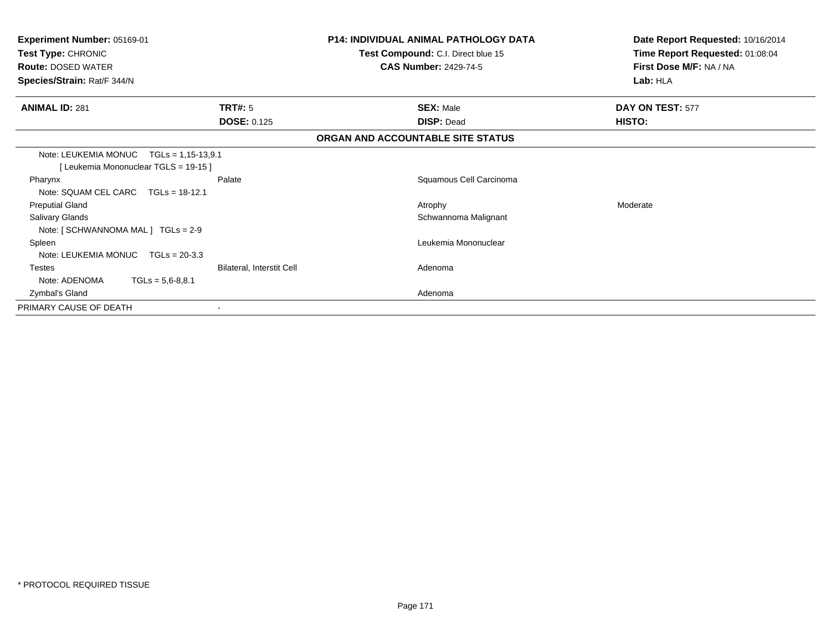| <b>Experiment Number: 05169-01</b><br>Test Type: CHRONIC<br><b>Route: DOSED WATER</b><br>Species/Strain: Rat/F 344/N |                                                 | <b>P14: INDIVIDUAL ANIMAL PATHOLOGY DATA</b><br>Test Compound: C.I. Direct blue 15<br><b>CAS Number: 2429-74-5</b> | Date Report Requested: 10/16/2014<br>Time Report Requested: 01:08:04<br>First Dose M/F: NA / NA<br>Lab: HLA |
|----------------------------------------------------------------------------------------------------------------------|-------------------------------------------------|--------------------------------------------------------------------------------------------------------------------|-------------------------------------------------------------------------------------------------------------|
| <b>ANIMAL ID: 281</b>                                                                                                | TRT#: 5<br><b>DOSE: 0.125</b>                   | <b>SEX: Male</b><br><b>DISP: Dead</b>                                                                              | DAY ON TEST: 577<br>HISTO:                                                                                  |
|                                                                                                                      |                                                 | ORGAN AND ACCOUNTABLE SITE STATUS                                                                                  |                                                                                                             |
| Note: LEUKEMIA MONUC<br>[Leukemia Mononuclear TGLS = 19-15]<br>Pharynx                                               | $TGLs = 1,15-13,9.1$<br>Palate                  | Squamous Cell Carcinoma                                                                                            |                                                                                                             |
| Note: SQUAM CEL CARC<br><b>Preputial Gland</b><br>Salivary Glands                                                    | $TGLs = 18-12.1$                                | Atrophy<br>Schwannoma Malignant                                                                                    | Moderate                                                                                                    |
| Note: $[ SCHWANNOMA MAL ] TGLS = 2-9$<br>Spleen<br>Note: LEUKEMIA MONUC TGLs = 20-3.3                                |                                                 | Leukemia Mononuclear                                                                                               |                                                                                                             |
| <b>Testes</b><br>Note: ADENOMA                                                                                       | Bilateral, Interstit Cell<br>$TGLs = 5,6-8,8.1$ | Adenoma                                                                                                            |                                                                                                             |
| Zymbal's Gland<br>PRIMARY CAUSE OF DEATH                                                                             |                                                 | Adenoma                                                                                                            |                                                                                                             |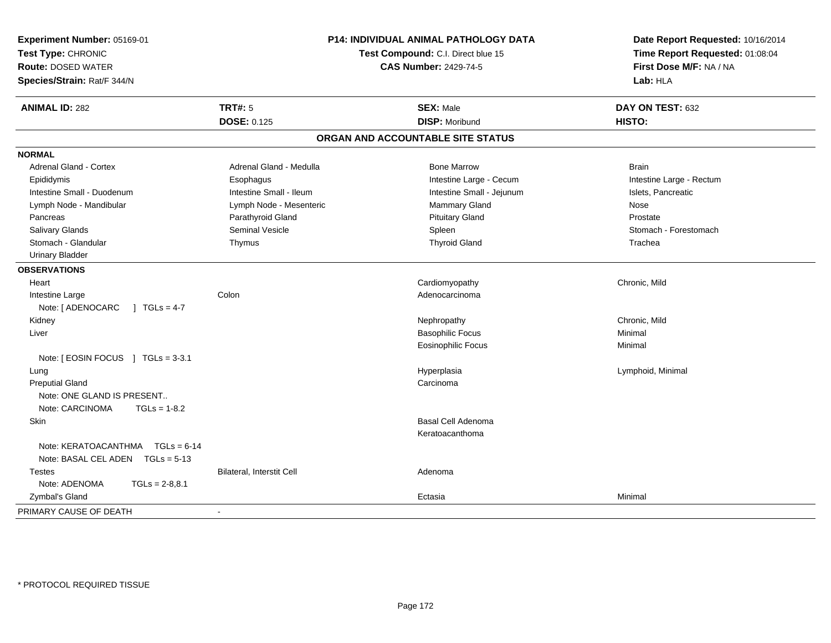| Experiment Number: 05169-01<br>Test Type: CHRONIC<br><b>Route: DOSED WATER</b><br>Species/Strain: Rat/F 344/N | P14: INDIVIDUAL ANIMAL PATHOLOGY DATA<br>Test Compound: C.I. Direct blue 15<br><b>CAS Number: 2429-74-5</b> |                                   | Date Report Requested: 10/16/2014<br>Time Report Requested: 01:08:04<br>First Dose M/F: NA / NA<br>Lab: HLA |  |
|---------------------------------------------------------------------------------------------------------------|-------------------------------------------------------------------------------------------------------------|-----------------------------------|-------------------------------------------------------------------------------------------------------------|--|
| <b>ANIMAL ID: 282</b>                                                                                         | <b>TRT#: 5</b>                                                                                              | <b>SEX: Male</b>                  | DAY ON TEST: 632                                                                                            |  |
|                                                                                                               | <b>DOSE: 0.125</b>                                                                                          | <b>DISP: Moribund</b>             | HISTO:                                                                                                      |  |
|                                                                                                               |                                                                                                             | ORGAN AND ACCOUNTABLE SITE STATUS |                                                                                                             |  |
| <b>NORMAL</b>                                                                                                 |                                                                                                             |                                   |                                                                                                             |  |
| Adrenal Gland - Cortex                                                                                        | Adrenal Gland - Medulla                                                                                     | <b>Bone Marrow</b>                | <b>Brain</b>                                                                                                |  |
| Epididymis                                                                                                    | Esophagus                                                                                                   | Intestine Large - Cecum           | Intestine Large - Rectum                                                                                    |  |
| Intestine Small - Duodenum                                                                                    | Intestine Small - Ileum                                                                                     | Intestine Small - Jejunum         | Islets, Pancreatic                                                                                          |  |
| Lymph Node - Mandibular                                                                                       | Lymph Node - Mesenteric                                                                                     | Mammary Gland                     | Nose                                                                                                        |  |
| Pancreas                                                                                                      | Parathyroid Gland                                                                                           | <b>Pituitary Gland</b>            | Prostate                                                                                                    |  |
| <b>Salivary Glands</b>                                                                                        | <b>Seminal Vesicle</b>                                                                                      | Spleen                            | Stomach - Forestomach                                                                                       |  |
| Stomach - Glandular                                                                                           | Thymus                                                                                                      | <b>Thyroid Gland</b>              | Trachea                                                                                                     |  |
| <b>Urinary Bladder</b>                                                                                        |                                                                                                             |                                   |                                                                                                             |  |
| <b>OBSERVATIONS</b>                                                                                           |                                                                                                             |                                   |                                                                                                             |  |
| Heart                                                                                                         |                                                                                                             | Cardiomyopathy                    | Chronic, Mild                                                                                               |  |
| Intestine Large                                                                                               | Colon                                                                                                       | Adenocarcinoma                    |                                                                                                             |  |
| $1 TGLs = 4-7$<br>Note: [ ADENOCARC                                                                           |                                                                                                             |                                   |                                                                                                             |  |
| Kidney                                                                                                        |                                                                                                             | Nephropathy                       | Chronic, Mild                                                                                               |  |
| Liver                                                                                                         |                                                                                                             | <b>Basophilic Focus</b>           | Minimal                                                                                                     |  |
|                                                                                                               |                                                                                                             | <b>Eosinophilic Focus</b>         | Minimal                                                                                                     |  |
| Note: $[ EOSIN FOCUS ] TGLs = 3-3.1$                                                                          |                                                                                                             |                                   |                                                                                                             |  |
| Lung                                                                                                          |                                                                                                             | Hyperplasia                       | Lymphoid, Minimal                                                                                           |  |
| <b>Preputial Gland</b>                                                                                        |                                                                                                             | Carcinoma                         |                                                                                                             |  |
| Note: ONE GLAND IS PRESENT                                                                                    |                                                                                                             |                                   |                                                                                                             |  |
| Note: CARCINOMA<br>$TGLs = 1-8.2$                                                                             |                                                                                                             |                                   |                                                                                                             |  |
| Skin                                                                                                          |                                                                                                             | <b>Basal Cell Adenoma</b>         |                                                                                                             |  |
|                                                                                                               |                                                                                                             | Keratoacanthoma                   |                                                                                                             |  |
| Note: KERATOACANTHMA   TGLs = 6-14<br>Note: BASAL CEL ADEN TGLs = 5-13                                        |                                                                                                             |                                   |                                                                                                             |  |
| <b>Testes</b>                                                                                                 | Bilateral, Interstit Cell                                                                                   | Adenoma                           |                                                                                                             |  |
| Note: ADENOMA<br>$TGLs = 2-8.8.1$                                                                             |                                                                                                             |                                   |                                                                                                             |  |
| Zymbal's Gland                                                                                                |                                                                                                             | Ectasia                           | Minimal                                                                                                     |  |
| PRIMARY CAUSE OF DEATH                                                                                        | $\sim$                                                                                                      |                                   |                                                                                                             |  |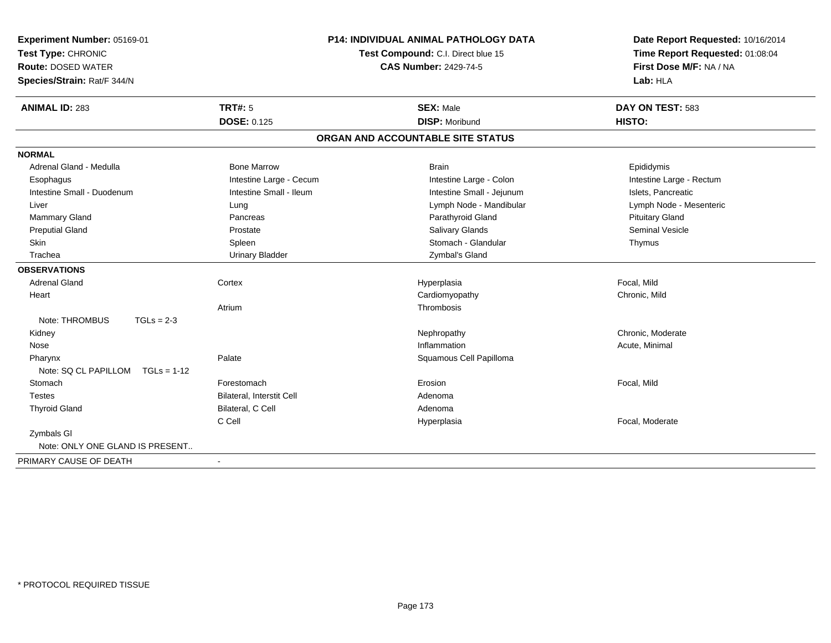| Experiment Number: 05169-01           |                                    | P14: INDIVIDUAL ANIMAL PATHOLOGY DATA | Date Report Requested: 10/16/2014 |  |
|---------------------------------------|------------------------------------|---------------------------------------|-----------------------------------|--|
| Test Type: CHRONIC                    | Test Compound: C.I. Direct blue 15 |                                       | Time Report Requested: 01:08:04   |  |
| <b>Route: DOSED WATER</b>             |                                    | <b>CAS Number: 2429-74-5</b>          | First Dose M/F: NA / NA           |  |
| Species/Strain: Rat/F 344/N           |                                    |                                       | Lab: HLA                          |  |
| <b>ANIMAL ID: 283</b>                 | <b>TRT#: 5</b>                     | <b>SEX: Male</b>                      | DAY ON TEST: 583                  |  |
|                                       | <b>DOSE: 0.125</b>                 | <b>DISP: Moribund</b>                 | HISTO:                            |  |
|                                       |                                    | ORGAN AND ACCOUNTABLE SITE STATUS     |                                   |  |
| <b>NORMAL</b>                         |                                    |                                       |                                   |  |
| Adrenal Gland - Medulla               | <b>Bone Marrow</b>                 | <b>Brain</b>                          | Epididymis                        |  |
| Esophagus                             | Intestine Large - Cecum            | Intestine Large - Colon               | Intestine Large - Rectum          |  |
| Intestine Small - Duodenum            | Intestine Small - Ileum            | Intestine Small - Jejunum             | Islets, Pancreatic                |  |
| Liver                                 | Lung                               | Lymph Node - Mandibular               | Lymph Node - Mesenteric           |  |
| Mammary Gland                         | Pancreas                           | Parathyroid Gland                     | <b>Pituitary Gland</b>            |  |
| <b>Preputial Gland</b>                | Prostate                           | <b>Salivary Glands</b>                | <b>Seminal Vesicle</b>            |  |
| Skin                                  | Spleen                             | Stomach - Glandular                   | Thymus                            |  |
| Trachea                               | <b>Urinary Bladder</b>             | Zymbal's Gland                        |                                   |  |
| <b>OBSERVATIONS</b>                   |                                    |                                       |                                   |  |
| <b>Adrenal Gland</b>                  | Cortex                             | Hyperplasia                           | Focal, Mild                       |  |
| Heart                                 |                                    | Cardiomyopathy                        | Chronic, Mild                     |  |
|                                       | Atrium                             | Thrombosis                            |                                   |  |
| Note: THROMBUS<br>$TGLs = 2-3$        |                                    |                                       |                                   |  |
| Kidney                                |                                    | Nephropathy                           | Chronic. Moderate                 |  |
| Nose                                  |                                    | Inflammation                          | Acute, Minimal                    |  |
| Pharynx                               | Palate                             | Squamous Cell Papilloma               |                                   |  |
| Note: SQ CL PAPILLOM<br>$TGLs = 1-12$ |                                    |                                       |                                   |  |
| Stomach                               | Forestomach                        | Erosion                               | Focal, Mild                       |  |
| <b>Testes</b>                         | Bilateral, Interstit Cell          | Adenoma                               |                                   |  |
| <b>Thyroid Gland</b>                  | Bilateral, C Cell                  | Adenoma                               |                                   |  |
|                                       | C Cell                             | Hyperplasia                           | Focal, Moderate                   |  |
| Zymbals GI                            |                                    |                                       |                                   |  |
| Note: ONLY ONE GLAND IS PRESENT       |                                    |                                       |                                   |  |
| PRIMARY CAUSE OF DEATH                | $\sim$                             |                                       |                                   |  |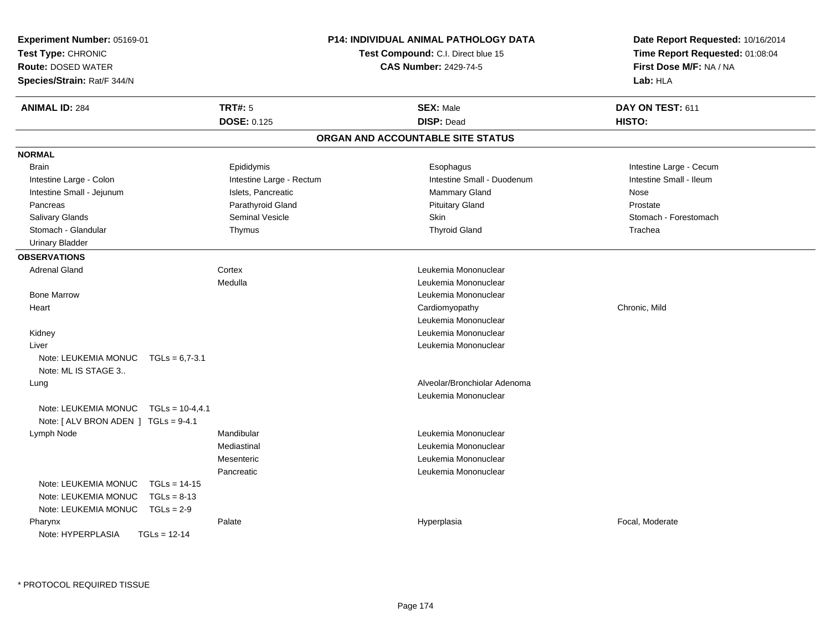| Experiment Number: 05169-01<br>Test Type: CHRONIC<br><b>Route: DOSED WATER</b><br>Species/Strain: Rat/F 344/N |                          | <b>P14: INDIVIDUAL ANIMAL PATHOLOGY DATA</b><br>Test Compound: C.I. Direct blue 15<br><b>CAS Number: 2429-74-5</b> | Date Report Requested: 10/16/2014<br>Time Report Requested: 01:08:04<br>First Dose M/F: NA / NA<br>Lab: HLA |
|---------------------------------------------------------------------------------------------------------------|--------------------------|--------------------------------------------------------------------------------------------------------------------|-------------------------------------------------------------------------------------------------------------|
| <b>ANIMAL ID: 284</b>                                                                                         | <b>TRT#: 5</b>           | <b>SEX: Male</b>                                                                                                   | DAY ON TEST: 611                                                                                            |
|                                                                                                               | <b>DOSE: 0.125</b>       | <b>DISP: Dead</b>                                                                                                  | HISTO:                                                                                                      |
|                                                                                                               |                          | ORGAN AND ACCOUNTABLE SITE STATUS                                                                                  |                                                                                                             |
| <b>NORMAL</b>                                                                                                 |                          |                                                                                                                    |                                                                                                             |
| <b>Brain</b>                                                                                                  | Epididymis               | Esophagus                                                                                                          | Intestine Large - Cecum                                                                                     |
| Intestine Large - Colon                                                                                       | Intestine Large - Rectum | Intestine Small - Duodenum                                                                                         | Intestine Small - Ileum                                                                                     |
| Intestine Small - Jejunum                                                                                     | Islets, Pancreatic       | <b>Mammary Gland</b>                                                                                               | Nose                                                                                                        |
| Pancreas                                                                                                      | Parathyroid Gland        | <b>Pituitary Gland</b>                                                                                             | Prostate                                                                                                    |
| <b>Salivary Glands</b>                                                                                        | <b>Seminal Vesicle</b>   | Skin                                                                                                               | Stomach - Forestomach                                                                                       |
| Stomach - Glandular                                                                                           | Thymus                   | <b>Thyroid Gland</b>                                                                                               | Trachea                                                                                                     |
| <b>Urinary Bladder</b>                                                                                        |                          |                                                                                                                    |                                                                                                             |
| <b>OBSERVATIONS</b>                                                                                           |                          |                                                                                                                    |                                                                                                             |
| <b>Adrenal Gland</b>                                                                                          | Cortex                   | Leukemia Mononuclear                                                                                               |                                                                                                             |
|                                                                                                               | Medulla                  | Leukemia Mononuclear                                                                                               |                                                                                                             |
| <b>Bone Marrow</b>                                                                                            |                          | Leukemia Mononuclear                                                                                               |                                                                                                             |
| Heart                                                                                                         |                          | Cardiomyopathy                                                                                                     | Chronic, Mild                                                                                               |
|                                                                                                               |                          | Leukemia Mononuclear                                                                                               |                                                                                                             |
| Kidney                                                                                                        |                          | Leukemia Mononuclear                                                                                               |                                                                                                             |
| Liver                                                                                                         |                          | Leukemia Mononuclear                                                                                               |                                                                                                             |
| Note: LEUKEMIA MONUC<br>$TGLs = 6.7 - 3.1$                                                                    |                          |                                                                                                                    |                                                                                                             |
| Note: ML IS STAGE 3                                                                                           |                          |                                                                                                                    |                                                                                                             |
| Lung                                                                                                          |                          | Alveolar/Bronchiolar Adenoma                                                                                       |                                                                                                             |
|                                                                                                               |                          | Leukemia Mononuclear                                                                                               |                                                                                                             |
| Note: LEUKEMIA MONUC<br>$TGLs = 10-4,4.1$                                                                     |                          |                                                                                                                    |                                                                                                             |
| Note: [ ALV BRON ADEN ] TGLs = 9-4.1                                                                          |                          |                                                                                                                    |                                                                                                             |
| Lymph Node                                                                                                    | Mandibular               | Leukemia Mononuclear                                                                                               |                                                                                                             |
|                                                                                                               | Mediastinal              | Leukemia Mononuclear                                                                                               |                                                                                                             |
|                                                                                                               | Mesenteric               | Leukemia Mononuclear                                                                                               |                                                                                                             |
|                                                                                                               | Pancreatic               | Leukemia Mononuclear                                                                                               |                                                                                                             |
| Note: LEUKEMIA MONUC<br>$TGLs = 14-15$                                                                        |                          |                                                                                                                    |                                                                                                             |
| Note: LEUKEMIA MONUC<br>$TGLs = 8-13$                                                                         |                          |                                                                                                                    |                                                                                                             |
| Note: LEUKEMIA MONUC<br>$TGLs = 2-9$                                                                          |                          |                                                                                                                    |                                                                                                             |
| Pharynx                                                                                                       | Palate                   | Hyperplasia                                                                                                        | Focal, Moderate                                                                                             |
| Note: HYPERPLASIA<br>$TGLs = 12-14$                                                                           |                          |                                                                                                                    |                                                                                                             |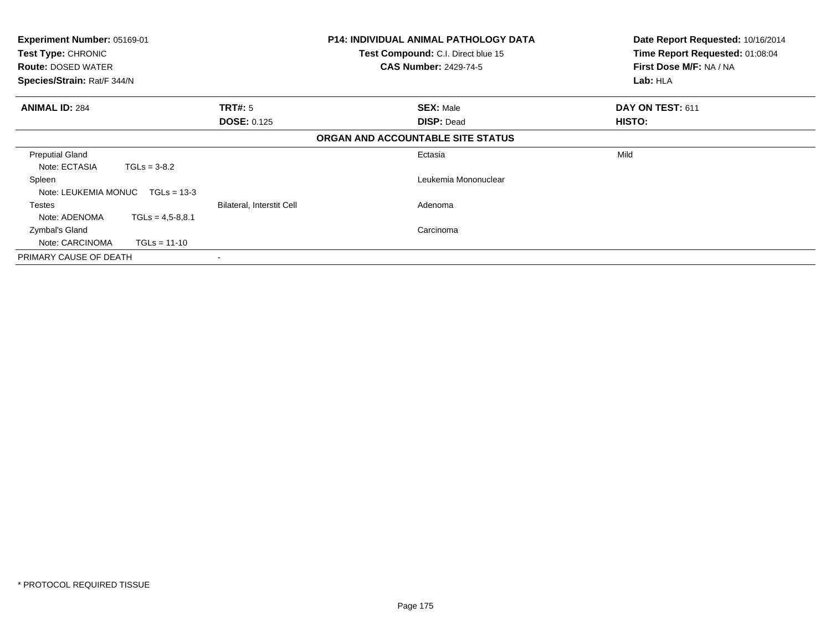| <b>Experiment Number: 05169-01</b><br>Test Type: CHRONIC<br><b>Route: DOSED WATER</b><br>Species/Strain: Rat/F 344/N |                      |                                      | <b>P14: INDIVIDUAL ANIMAL PATHOLOGY DATA</b><br>Test Compound: C.I. Direct blue 15<br><b>CAS Number: 2429-74-5</b> | Date Report Requested: 10/16/2014<br>Time Report Requested: 01:08:04<br>First Dose M/F: NA / NA<br>Lab: HLA |
|----------------------------------------------------------------------------------------------------------------------|----------------------|--------------------------------------|--------------------------------------------------------------------------------------------------------------------|-------------------------------------------------------------------------------------------------------------|
| <b>ANIMAL ID: 284</b>                                                                                                |                      | <b>TRT#:</b> 5<br><b>DOSE: 0.125</b> | <b>SEX: Male</b><br><b>DISP: Dead</b>                                                                              | DAY ON TEST: 611<br>HISTO:                                                                                  |
|                                                                                                                      |                      |                                      | ORGAN AND ACCOUNTABLE SITE STATUS                                                                                  |                                                                                                             |
| <b>Preputial Gland</b><br>Note: ECTASIA                                                                              | $TGLs = 3-8.2$       |                                      | Ectasia                                                                                                            | Mild                                                                                                        |
| Spleen<br>Note: LEUKEMIA MONUC TGLs = 13-3                                                                           |                      |                                      | Leukemia Mononuclear                                                                                               |                                                                                                             |
| Testes<br>Note: ADENOMA                                                                                              | $TGLs = 4.5 - 8.8.1$ | Bilateral, Interstit Cell            | Adenoma                                                                                                            |                                                                                                             |
| Zymbal's Gland<br>Note: CARCINOMA                                                                                    | $TGLs = 11-10$       |                                      | Carcinoma                                                                                                          |                                                                                                             |
| PRIMARY CAUSE OF DEATH                                                                                               |                      |                                      |                                                                                                                    |                                                                                                             |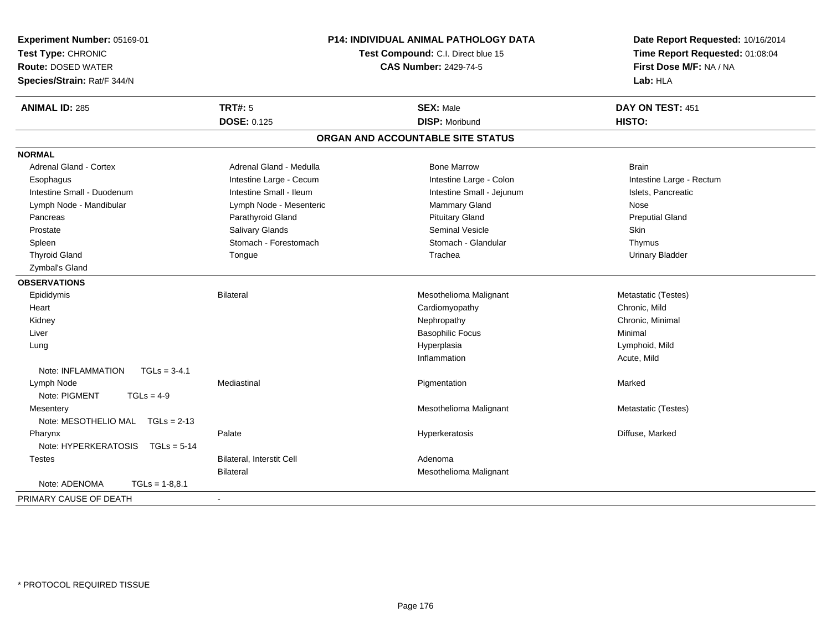| Experiment Number: 05169-01          |                                  | <b>P14: INDIVIDUAL ANIMAL PATHOLOGY DATA</b> | Date Report Requested: 10/16/2014 |  |
|--------------------------------------|----------------------------------|----------------------------------------------|-----------------------------------|--|
| Test Type: CHRONIC                   |                                  | Test Compound: C.I. Direct blue 15           | Time Report Requested: 01:08:04   |  |
| <b>Route: DOSED WATER</b>            |                                  | <b>CAS Number: 2429-74-5</b>                 | First Dose M/F: NA / NA           |  |
| Species/Strain: Rat/F 344/N          |                                  |                                              | Lab: HLA                          |  |
| <b>ANIMAL ID: 285</b>                | <b>TRT#: 5</b>                   | <b>SEX: Male</b>                             | DAY ON TEST: 451                  |  |
|                                      | DOSE: 0.125                      | <b>DISP: Moribund</b>                        | HISTO:                            |  |
|                                      |                                  | ORGAN AND ACCOUNTABLE SITE STATUS            |                                   |  |
| <b>NORMAL</b>                        |                                  |                                              |                                   |  |
| <b>Adrenal Gland - Cortex</b>        | Adrenal Gland - Medulla          | <b>Bone Marrow</b>                           | <b>Brain</b>                      |  |
| Esophagus                            | Intestine Large - Cecum          | Intestine Large - Colon                      | Intestine Large - Rectum          |  |
| Intestine Small - Duodenum           | Intestine Small - Ileum          | Intestine Small - Jejunum                    | Islets, Pancreatic                |  |
| Lymph Node - Mandibular              | Lymph Node - Mesenteric          | Mammary Gland                                | Nose                              |  |
| Pancreas                             | Parathyroid Gland                | <b>Pituitary Gland</b>                       | <b>Preputial Gland</b>            |  |
| Prostate                             | Salivary Glands                  | Seminal Vesicle                              | <b>Skin</b>                       |  |
| Spleen                               | Stomach - Forestomach            | Stomach - Glandular                          | Thymus                            |  |
| <b>Thyroid Gland</b>                 | Tongue                           | Trachea                                      | <b>Urinary Bladder</b>            |  |
| Zymbal's Gland                       |                                  |                                              |                                   |  |
| <b>OBSERVATIONS</b>                  |                                  |                                              |                                   |  |
| Epididymis                           | <b>Bilateral</b>                 | Mesothelioma Malignant                       | Metastatic (Testes)               |  |
| Heart                                |                                  | Cardiomyopathy                               | Chronic, Mild                     |  |
| Kidney                               |                                  | Nephropathy                                  | Chronic, Minimal                  |  |
| Liver                                |                                  | <b>Basophilic Focus</b>                      | Minimal                           |  |
| Lung                                 |                                  | Hyperplasia                                  | Lymphoid, Mild                    |  |
|                                      |                                  | Inflammation                                 | Acute, Mild                       |  |
| Note: INFLAMMATION<br>$TGLs = 3-4.1$ |                                  |                                              |                                   |  |
| Lymph Node                           | Mediastinal                      | Pigmentation                                 | Marked                            |  |
| Note: PIGMENT<br>$TGLs = 4-9$        |                                  |                                              |                                   |  |
| Mesentery                            |                                  | Mesothelioma Malignant                       | Metastatic (Testes)               |  |
| Note: MESOTHELIO MAL TGLs = 2-13     |                                  |                                              |                                   |  |
| Pharynx                              | Palate                           | Hyperkeratosis                               | Diffuse, Marked                   |  |
| Note: HYPERKERATOSIS TGLs = 5-14     |                                  |                                              |                                   |  |
| <b>Testes</b>                        | <b>Bilateral, Interstit Cell</b> | Adenoma                                      |                                   |  |
|                                      | <b>Bilateral</b>                 | Mesothelioma Malignant                       |                                   |  |
| Note: ADENOMA<br>$TGLs = 1-8,8.1$    |                                  |                                              |                                   |  |
| PRIMARY CAUSE OF DEATH               |                                  |                                              |                                   |  |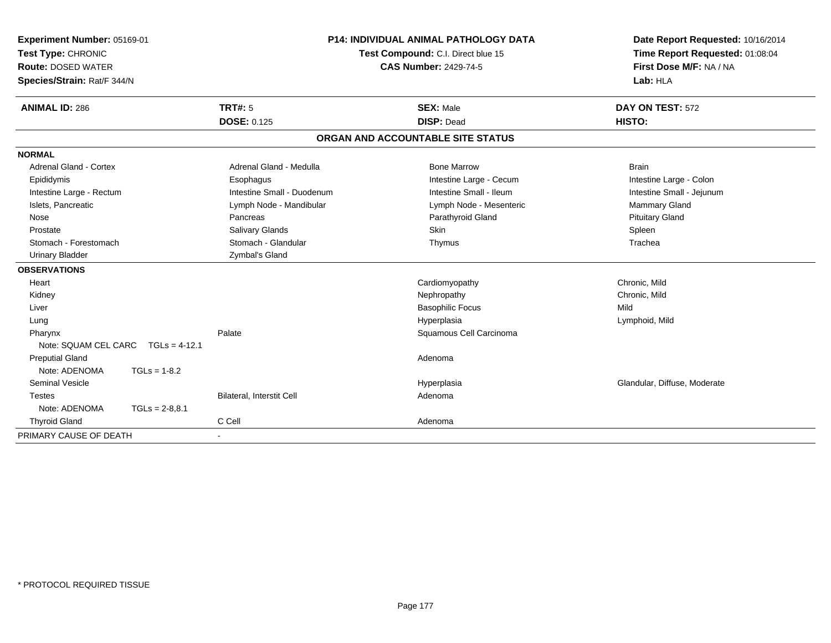| Experiment Number: 05169-01<br>Test Type: CHRONIC<br><b>Route: DOSED WATER</b> | <b>P14: INDIVIDUAL ANIMAL PATHOLOGY DATA</b><br>Test Compound: C.I. Direct blue 15<br><b>CAS Number: 2429-74-5</b> |                                   | Date Report Requested: 10/16/2014<br>Time Report Requested: 01:08:04<br>First Dose M/F: NA / NA |
|--------------------------------------------------------------------------------|--------------------------------------------------------------------------------------------------------------------|-----------------------------------|-------------------------------------------------------------------------------------------------|
| Species/Strain: Rat/F 344/N                                                    |                                                                                                                    |                                   | Lab: HLA                                                                                        |
| <b>ANIMAL ID: 286</b>                                                          | <b>TRT#: 5</b>                                                                                                     | <b>SEX: Male</b>                  | DAY ON TEST: 572                                                                                |
|                                                                                | <b>DOSE: 0.125</b>                                                                                                 | <b>DISP: Dead</b>                 | HISTO:                                                                                          |
|                                                                                |                                                                                                                    | ORGAN AND ACCOUNTABLE SITE STATUS |                                                                                                 |
| <b>NORMAL</b>                                                                  |                                                                                                                    |                                   |                                                                                                 |
| <b>Adrenal Gland - Cortex</b>                                                  | Adrenal Gland - Medulla                                                                                            | <b>Bone Marrow</b>                | <b>Brain</b>                                                                                    |
| Epididymis                                                                     | Esophagus                                                                                                          | Intestine Large - Cecum           | Intestine Large - Colon                                                                         |
| Intestine Large - Rectum                                                       | Intestine Small - Duodenum                                                                                         | Intestine Small - Ileum           | Intestine Small - Jejunum                                                                       |
| Islets, Pancreatic                                                             | Lymph Node - Mandibular                                                                                            | Lymph Node - Mesenteric           | Mammary Gland                                                                                   |
| Nose                                                                           | Pancreas                                                                                                           | Parathyroid Gland                 | <b>Pituitary Gland</b>                                                                          |
| Prostate                                                                       | Salivary Glands                                                                                                    | Skin                              | Spleen                                                                                          |
| Stomach - Forestomach                                                          | Stomach - Glandular                                                                                                | Thymus                            | Trachea                                                                                         |
| <b>Urinary Bladder</b>                                                         | Zymbal's Gland                                                                                                     |                                   |                                                                                                 |
| <b>OBSERVATIONS</b>                                                            |                                                                                                                    |                                   |                                                                                                 |
| Heart                                                                          |                                                                                                                    | Cardiomyopathy                    | Chronic, Mild                                                                                   |
| Kidney                                                                         |                                                                                                                    | Nephropathy                       | Chronic, Mild                                                                                   |
| Liver                                                                          |                                                                                                                    | <b>Basophilic Focus</b>           | Mild                                                                                            |
| Lung                                                                           |                                                                                                                    | Hyperplasia                       | Lymphoid, Mild                                                                                  |
| Pharynx                                                                        | Palate                                                                                                             | Squamous Cell Carcinoma           |                                                                                                 |
| Note: SQUAM CEL CARC<br>$TGLs = 4-12.1$                                        |                                                                                                                    |                                   |                                                                                                 |
| <b>Preputial Gland</b>                                                         |                                                                                                                    | Adenoma                           |                                                                                                 |
| Note: ADENOMA<br>$TGLs = 1-8.2$                                                |                                                                                                                    |                                   |                                                                                                 |
| <b>Seminal Vesicle</b>                                                         |                                                                                                                    | Hyperplasia                       | Glandular, Diffuse, Moderate                                                                    |
| <b>Testes</b>                                                                  | <b>Bilateral, Interstit Cell</b>                                                                                   | Adenoma                           |                                                                                                 |
| Note: ADENOMA<br>$TGLs = 2-8,8.1$                                              |                                                                                                                    |                                   |                                                                                                 |
| <b>Thyroid Gland</b>                                                           | C Cell                                                                                                             | Adenoma                           |                                                                                                 |
| PRIMARY CAUSE OF DEATH                                                         | $\overline{\phantom{0}}$                                                                                           |                                   |                                                                                                 |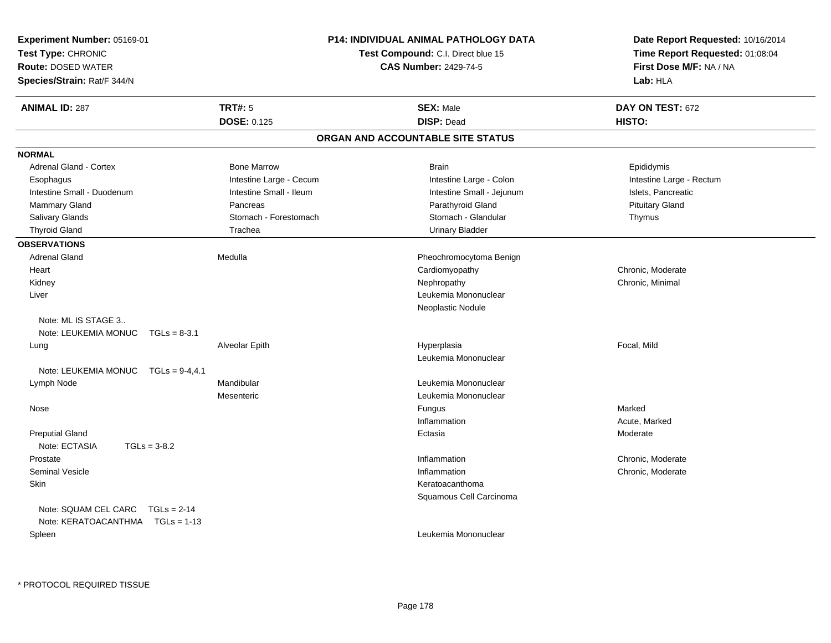| <b>Experiment Number: 05169-01</b>       |                         | <b>P14: INDIVIDUAL ANIMAL PATHOLOGY DATA</b> | Date Report Requested: 10/16/2014   |  |
|------------------------------------------|-------------------------|----------------------------------------------|-------------------------------------|--|
| Test Type: CHRONIC                       |                         | <b>Test Compound: C.I. Direct blue 15</b>    | Time Report Requested: 01:08:04     |  |
| <b>Route: DOSED WATER</b>                |                         | <b>CAS Number: 2429-74-5</b>                 | First Dose M/F: NA / NA<br>Lab: HLA |  |
| Species/Strain: Rat/F 344/N              |                         |                                              |                                     |  |
| <b>ANIMAL ID: 287</b>                    | <b>TRT#: 5</b>          | <b>SEX: Male</b>                             | DAY ON TEST: 672                    |  |
|                                          | <b>DOSE: 0.125</b>      | <b>DISP: Dead</b>                            | HISTO:                              |  |
|                                          |                         | ORGAN AND ACCOUNTABLE SITE STATUS            |                                     |  |
| <b>NORMAL</b>                            |                         |                                              |                                     |  |
| <b>Adrenal Gland - Cortex</b>            | <b>Bone Marrow</b>      | <b>Brain</b>                                 | Epididymis                          |  |
| Esophagus                                | Intestine Large - Cecum | Intestine Large - Colon                      | Intestine Large - Rectum            |  |
| Intestine Small - Duodenum               | Intestine Small - Ileum | Intestine Small - Jejunum                    | Islets, Pancreatic                  |  |
| Mammary Gland                            | Pancreas                | Parathyroid Gland                            | <b>Pituitary Gland</b>              |  |
| Salivary Glands                          | Stomach - Forestomach   | Stomach - Glandular                          | Thymus                              |  |
| <b>Thyroid Gland</b>                     | Trachea                 | <b>Urinary Bladder</b>                       |                                     |  |
| <b>OBSERVATIONS</b>                      |                         |                                              |                                     |  |
| <b>Adrenal Gland</b>                     | Medulla                 | Pheochromocytoma Benign                      |                                     |  |
| Heart                                    |                         | Cardiomyopathy                               | Chronic, Moderate                   |  |
| Kidney                                   |                         | Nephropathy                                  | Chronic, Minimal                    |  |
| Liver                                    |                         | Leukemia Mononuclear                         |                                     |  |
|                                          |                         | Neoplastic Nodule                            |                                     |  |
| Note: ML IS STAGE 3                      |                         |                                              |                                     |  |
| Note: LEUKEMIA MONUC<br>$TGLs = 8-3.1$   |                         |                                              |                                     |  |
| Lung                                     | Alveolar Epith          | Hyperplasia                                  | Focal, Mild                         |  |
|                                          |                         | Leukemia Mononuclear                         |                                     |  |
| Note: LEUKEMIA MONUC<br>$TGLs = 9-4,4.1$ |                         |                                              |                                     |  |
| Lymph Node                               | Mandibular              | Leukemia Mononuclear                         |                                     |  |
|                                          | Mesenteric              | Leukemia Mononuclear                         |                                     |  |
| Nose                                     |                         | Fungus                                       | Marked                              |  |
|                                          |                         | Inflammation                                 | Acute, Marked                       |  |
| <b>Preputial Gland</b>                   |                         | Ectasia                                      | Moderate                            |  |
| Note: ECTASIA<br>$TGLs = 3-8.2$          |                         |                                              |                                     |  |
| Prostate                                 |                         | Inflammation                                 | Chronic, Moderate                   |  |
| <b>Seminal Vesicle</b>                   |                         | Inflammation                                 | Chronic, Moderate                   |  |
| <b>Skin</b>                              |                         | Keratoacanthoma                              |                                     |  |
|                                          |                         | Squamous Cell Carcinoma                      |                                     |  |
| Note: SQUAM CEL CARC<br>$TGLs = 2-14$    |                         |                                              |                                     |  |
| Note: KERATOACANTHMA    TGLs = 1-13      |                         |                                              |                                     |  |
| Spleen                                   |                         | Leukemia Mononuclear                         |                                     |  |
|                                          |                         |                                              |                                     |  |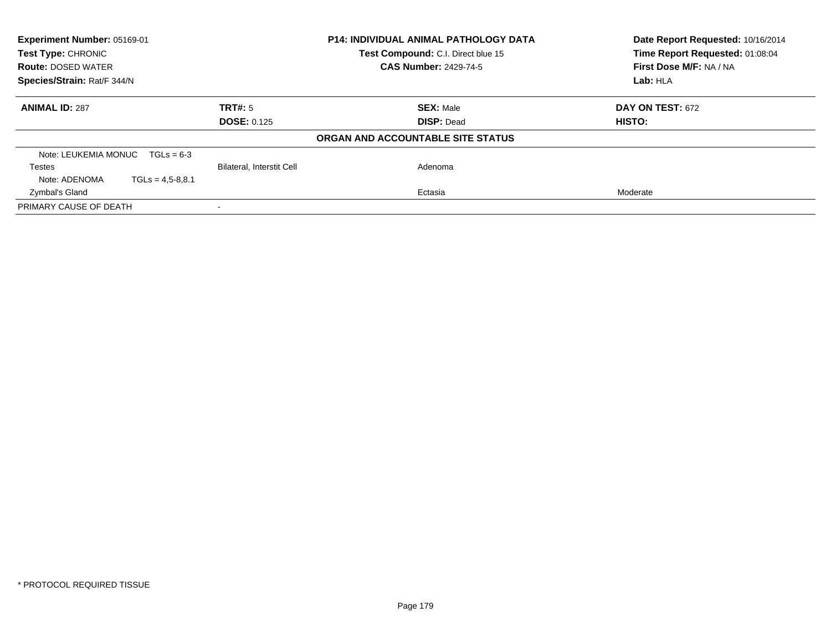| Experiment Number: 05169-01           |                           | <b>P14: INDIVIDUAL ANIMAL PATHOLOGY DATA</b> | Date Report Requested: 10/16/2014 |  |
|---------------------------------------|---------------------------|----------------------------------------------|-----------------------------------|--|
| Test Type: CHRONIC                    |                           | Test Compound: C.I. Direct blue 15           | Time Report Requested: 01:08:04   |  |
| <b>Route: DOSED WATER</b>             |                           | <b>CAS Number: 2429-74-5</b>                 | First Dose M/F: NA / NA           |  |
| Species/Strain: Rat/F 344/N           |                           |                                              | Lab: HLA                          |  |
| <b>ANIMAL ID: 287</b>                 | TRT#: 5                   | <b>SEX: Male</b>                             | <b>DAY ON TEST: 672</b>           |  |
|                                       | <b>DOSE: 0.125</b>        | <b>DISP: Dead</b>                            | HISTO:                            |  |
|                                       |                           | ORGAN AND ACCOUNTABLE SITE STATUS            |                                   |  |
| Note: LEUKEMIA MONUC $TGLs = 6-3$     |                           |                                              |                                   |  |
| Testes                                | Bilateral, Interstit Cell | Adenoma                                      |                                   |  |
| Note: ADENOMA<br>$TGLs = 4.5 - 8.8.1$ |                           |                                              |                                   |  |
| Zymbal's Gland                        |                           | Ectasia                                      | Moderate                          |  |
| PRIMARY CAUSE OF DEATH                |                           |                                              |                                   |  |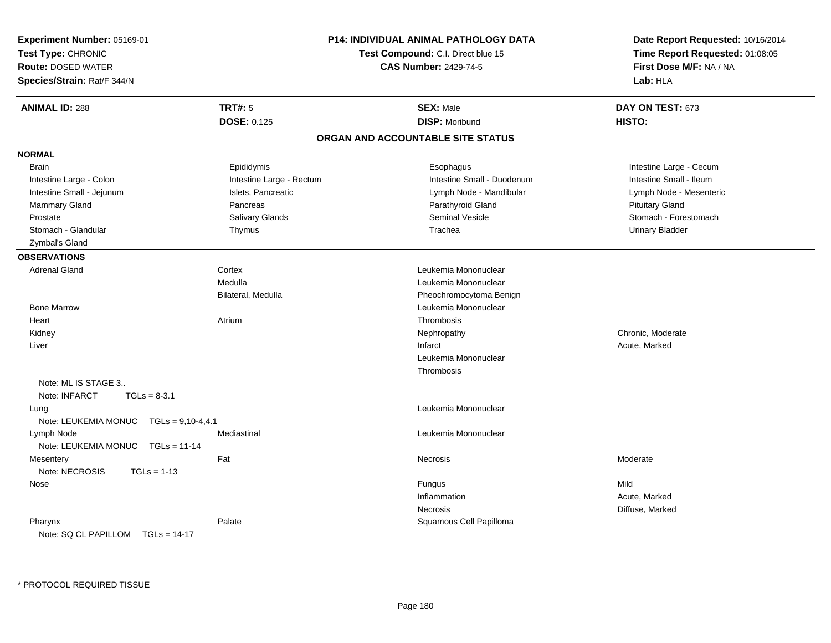| Experiment Number: 05169-01<br>Test Type: CHRONIC<br><b>Route: DOSED WATER</b><br>Species/Strain: Rat/F 344/N |                          | P14: INDIVIDUAL ANIMAL PATHOLOGY DATA<br>Test Compound: C.I. Direct blue 15<br><b>CAS Number: 2429-74-5</b> | Date Report Requested: 10/16/2014<br>Time Report Requested: 01:08:05<br>First Dose M/F: NA / NA<br>Lab: HLA |
|---------------------------------------------------------------------------------------------------------------|--------------------------|-------------------------------------------------------------------------------------------------------------|-------------------------------------------------------------------------------------------------------------|
| <b>ANIMAL ID: 288</b>                                                                                         | <b>TRT#: 5</b>           | <b>SEX: Male</b>                                                                                            | DAY ON TEST: 673                                                                                            |
|                                                                                                               | <b>DOSE: 0.125</b>       | <b>DISP: Moribund</b>                                                                                       | HISTO:                                                                                                      |
|                                                                                                               |                          | ORGAN AND ACCOUNTABLE SITE STATUS                                                                           |                                                                                                             |
| <b>NORMAL</b>                                                                                                 |                          |                                                                                                             |                                                                                                             |
| <b>Brain</b>                                                                                                  | Epididymis               | Esophagus                                                                                                   | Intestine Large - Cecum                                                                                     |
| Intestine Large - Colon                                                                                       | Intestine Large - Rectum | Intestine Small - Duodenum                                                                                  | Intestine Small - Ileum                                                                                     |
| Intestine Small - Jejunum                                                                                     | Islets, Pancreatic       | Lymph Node - Mandibular                                                                                     | Lymph Node - Mesenteric                                                                                     |
| Mammary Gland                                                                                                 | Pancreas                 | Parathyroid Gland                                                                                           | <b>Pituitary Gland</b>                                                                                      |
| Prostate                                                                                                      | Salivary Glands          | <b>Seminal Vesicle</b>                                                                                      | Stomach - Forestomach                                                                                       |
| Stomach - Glandular                                                                                           | Thymus                   | Trachea                                                                                                     | <b>Urinary Bladder</b>                                                                                      |
| Zymbal's Gland                                                                                                |                          |                                                                                                             |                                                                                                             |
| <b>OBSERVATIONS</b>                                                                                           |                          |                                                                                                             |                                                                                                             |
| <b>Adrenal Gland</b>                                                                                          | Cortex                   | Leukemia Mononuclear                                                                                        |                                                                                                             |
|                                                                                                               | Medulla                  | Leukemia Mononuclear                                                                                        |                                                                                                             |
|                                                                                                               | Bilateral, Medulla       | Pheochromocytoma Benign                                                                                     |                                                                                                             |
| <b>Bone Marrow</b>                                                                                            |                          | Leukemia Mononuclear                                                                                        |                                                                                                             |
| Heart                                                                                                         | Atrium                   | Thrombosis                                                                                                  |                                                                                                             |
| Kidney                                                                                                        |                          | Nephropathy                                                                                                 | Chronic, Moderate                                                                                           |
| Liver                                                                                                         |                          | Infarct                                                                                                     | Acute, Marked                                                                                               |
|                                                                                                               |                          | Leukemia Mononuclear                                                                                        |                                                                                                             |
|                                                                                                               |                          | Thrombosis                                                                                                  |                                                                                                             |
| Note: ML IS STAGE 3                                                                                           |                          |                                                                                                             |                                                                                                             |
| Note: INFARCT<br>$TGLs = 8-3.1$                                                                               |                          |                                                                                                             |                                                                                                             |
| Lung                                                                                                          |                          | Leukemia Mononuclear                                                                                        |                                                                                                             |
| Note: LEUKEMIA MONUC TGLs = 9,10-4,4.1                                                                        |                          |                                                                                                             |                                                                                                             |
| Lymph Node                                                                                                    | Mediastinal              | Leukemia Mononuclear                                                                                        |                                                                                                             |
| Note: LEUKEMIA MONUC TGLs = 11-14                                                                             |                          |                                                                                                             |                                                                                                             |
| Mesentery                                                                                                     | Fat                      | Necrosis                                                                                                    | Moderate                                                                                                    |
| Note: NECROSIS<br>$TGLs = 1-13$                                                                               |                          |                                                                                                             |                                                                                                             |
| Nose                                                                                                          |                          | Fungus                                                                                                      | Mild                                                                                                        |
|                                                                                                               |                          | Inflammation                                                                                                | Acute, Marked                                                                                               |
|                                                                                                               |                          | <b>Necrosis</b>                                                                                             | Diffuse, Marked                                                                                             |
| Pharynx<br>Note: SQ CL PAPILLOM TGLs = 14-17                                                                  | Palate                   | Squamous Cell Papilloma                                                                                     |                                                                                                             |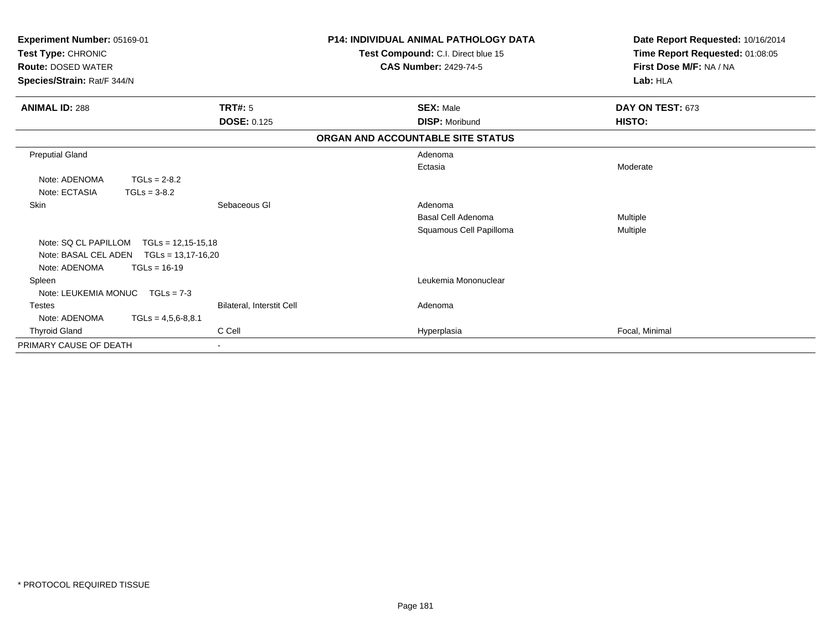| Experiment Number: 05169-01<br>Test Type: CHRONIC<br><b>Route: DOSED WATER</b><br>Species/Strain: Rat/F 344/N |                           | <b>P14: INDIVIDUAL ANIMAL PATHOLOGY DATA</b><br>Test Compound: C.I. Direct blue 15<br><b>CAS Number: 2429-74-5</b> | Date Report Requested: 10/16/2014<br>Time Report Requested: 01:08:05<br>First Dose M/F: NA / NA<br>Lab: HLA |
|---------------------------------------------------------------------------------------------------------------|---------------------------|--------------------------------------------------------------------------------------------------------------------|-------------------------------------------------------------------------------------------------------------|
| <b>ANIMAL ID: 288</b>                                                                                         | <b>TRT#: 5</b>            | <b>SEX: Male</b>                                                                                                   | DAY ON TEST: 673                                                                                            |
|                                                                                                               | <b>DOSE: 0.125</b>        | <b>DISP: Moribund</b>                                                                                              | HISTO:                                                                                                      |
|                                                                                                               |                           | ORGAN AND ACCOUNTABLE SITE STATUS                                                                                  |                                                                                                             |
| <b>Preputial Gland</b>                                                                                        |                           | Adenoma                                                                                                            |                                                                                                             |
|                                                                                                               |                           | Ectasia                                                                                                            | Moderate                                                                                                    |
| Note: ADENOMA<br>$TGLs = 2-8.2$                                                                               |                           |                                                                                                                    |                                                                                                             |
| Note: ECTASIA<br>$TGLs = 3-8.2$                                                                               |                           |                                                                                                                    |                                                                                                             |
| Skin                                                                                                          | Sebaceous GI              | Adenoma                                                                                                            |                                                                                                             |
|                                                                                                               |                           | <b>Basal Cell Adenoma</b>                                                                                          | Multiple                                                                                                    |
|                                                                                                               |                           | Squamous Cell Papilloma                                                                                            | <b>Multiple</b>                                                                                             |
| Note: SQ CL PAPILLOM<br>$TGLs = 12,15-15,18$                                                                  |                           |                                                                                                                    |                                                                                                             |
| Note: BASAL CEL ADEN<br>$TGLs = 13,17-16,20$                                                                  |                           |                                                                                                                    |                                                                                                             |
| Note: ADENOMA<br>$TGLs = 16-19$                                                                               |                           |                                                                                                                    |                                                                                                             |
| Spleen                                                                                                        |                           | Leukemia Mononuclear                                                                                               |                                                                                                             |
| Note: LEUKEMIA MONUC<br>$TGLs = 7-3$                                                                          |                           |                                                                                                                    |                                                                                                             |
| <b>Testes</b>                                                                                                 | Bilateral, Interstit Cell | Adenoma                                                                                                            |                                                                                                             |
| Note: ADENOMA<br>$TGLs = 4,5,6-8,8.1$                                                                         |                           |                                                                                                                    |                                                                                                             |
| <b>Thyroid Gland</b>                                                                                          | C Cell                    | Hyperplasia                                                                                                        | Focal, Minimal                                                                                              |
| PRIMARY CAUSE OF DEATH                                                                                        |                           |                                                                                                                    |                                                                                                             |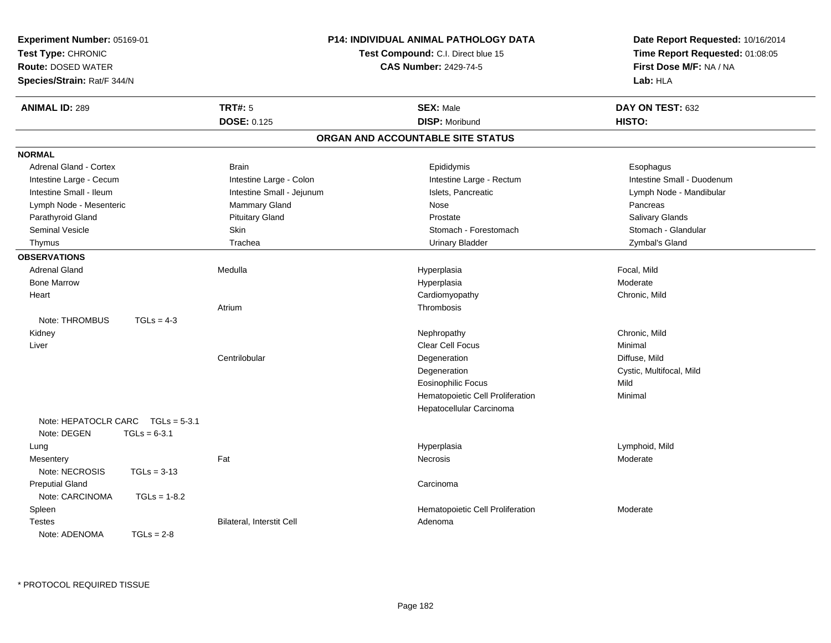| <b>Experiment Number: 05169-01</b><br>Test Type: CHRONIC<br><b>Route: DOSED WATER</b><br>Species/Strain: Rat/F 344/N |                           | <b>P14: INDIVIDUAL ANIMAL PATHOLOGY DATA</b><br>Test Compound: C.I. Direct blue 15<br><b>CAS Number: 2429-74-5</b> | Date Report Requested: 10/16/2014<br>Time Report Requested: 01:08:05<br>First Dose M/F: NA / NA<br>Lab: HLA |
|----------------------------------------------------------------------------------------------------------------------|---------------------------|--------------------------------------------------------------------------------------------------------------------|-------------------------------------------------------------------------------------------------------------|
| <b>ANIMAL ID: 289</b>                                                                                                | <b>TRT#: 5</b>            | <b>SEX: Male</b>                                                                                                   | DAY ON TEST: 632                                                                                            |
|                                                                                                                      | <b>DOSE: 0.125</b>        | <b>DISP: Moribund</b>                                                                                              | HISTO:                                                                                                      |
|                                                                                                                      |                           | ORGAN AND ACCOUNTABLE SITE STATUS                                                                                  |                                                                                                             |
| <b>NORMAL</b>                                                                                                        |                           |                                                                                                                    |                                                                                                             |
| <b>Adrenal Gland - Cortex</b>                                                                                        | <b>Brain</b>              | Epididymis                                                                                                         | Esophagus                                                                                                   |
| Intestine Large - Cecum                                                                                              | Intestine Large - Colon   | Intestine Large - Rectum                                                                                           | Intestine Small - Duodenum                                                                                  |
| Intestine Small - Ileum                                                                                              | Intestine Small - Jejunum | Islets, Pancreatic                                                                                                 | Lymph Node - Mandibular                                                                                     |
| Lymph Node - Mesenteric                                                                                              | Mammary Gland             | Nose                                                                                                               | Pancreas                                                                                                    |
| Parathyroid Gland                                                                                                    | <b>Pituitary Gland</b>    | Prostate                                                                                                           | Salivary Glands                                                                                             |
| <b>Seminal Vesicle</b>                                                                                               | Skin                      | Stomach - Forestomach                                                                                              | Stomach - Glandular                                                                                         |
| Thymus                                                                                                               | Trachea                   | <b>Urinary Bladder</b>                                                                                             | Zymbal's Gland                                                                                              |
| <b>OBSERVATIONS</b>                                                                                                  |                           |                                                                                                                    |                                                                                                             |
| <b>Adrenal Gland</b>                                                                                                 | Medulla                   | Hyperplasia                                                                                                        | Focal, Mild                                                                                                 |
| <b>Bone Marrow</b>                                                                                                   |                           | Hyperplasia                                                                                                        | Moderate                                                                                                    |
| Heart                                                                                                                |                           | Cardiomyopathy                                                                                                     | Chronic, Mild                                                                                               |
|                                                                                                                      | Atrium                    | Thrombosis                                                                                                         |                                                                                                             |
| Note: THROMBUS<br>$TGLs = 4-3$                                                                                       |                           |                                                                                                                    |                                                                                                             |
| Kidney                                                                                                               |                           | Nephropathy                                                                                                        | Chronic, Mild                                                                                               |
| Liver                                                                                                                |                           | <b>Clear Cell Focus</b>                                                                                            | Minimal                                                                                                     |
|                                                                                                                      | Centrilobular             | Degeneration                                                                                                       | Diffuse, Mild                                                                                               |
|                                                                                                                      |                           | Degeneration                                                                                                       | Cystic, Multifocal, Mild                                                                                    |
|                                                                                                                      |                           | Eosinophilic Focus                                                                                                 | Mild                                                                                                        |
|                                                                                                                      |                           | Hematopoietic Cell Proliferation                                                                                   | Minimal                                                                                                     |
|                                                                                                                      |                           | Hepatocellular Carcinoma                                                                                           |                                                                                                             |
| Note: HEPATOCLR CARC<br>$TGLs = 5-3.1$                                                                               |                           |                                                                                                                    |                                                                                                             |
| Note: DEGEN<br>$TGLs = 6-3.1$                                                                                        |                           |                                                                                                                    |                                                                                                             |
| Lung                                                                                                                 |                           | Hyperplasia                                                                                                        | Lymphoid, Mild                                                                                              |
| Mesentery                                                                                                            | Fat                       | <b>Necrosis</b>                                                                                                    | Moderate                                                                                                    |
| Note: NECROSIS<br>$TGLs = 3-13$                                                                                      |                           |                                                                                                                    |                                                                                                             |
| <b>Preputial Gland</b>                                                                                               |                           | Carcinoma                                                                                                          |                                                                                                             |
| Note: CARCINOMA<br>$TGLs = 1-8.2$                                                                                    |                           |                                                                                                                    |                                                                                                             |
| Spleen                                                                                                               |                           | Hematopoietic Cell Proliferation                                                                                   | Moderate                                                                                                    |
| <b>Testes</b>                                                                                                        | Bilateral, Interstit Cell | Adenoma                                                                                                            |                                                                                                             |
| Note: ADENOMA<br>$TGLs = 2-8$                                                                                        |                           |                                                                                                                    |                                                                                                             |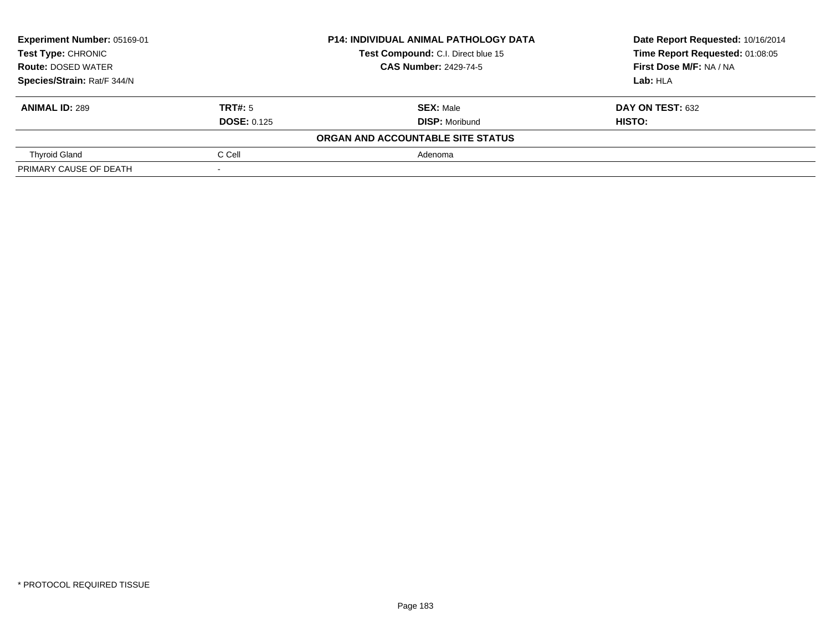| Experiment Number: 05169-01<br><b>Test Type: CHRONIC</b> |                    | <b>P14: INDIVIDUAL ANIMAL PATHOLOGY DATA</b> | Date Report Requested: 10/16/2014 |
|----------------------------------------------------------|--------------------|----------------------------------------------|-----------------------------------|
|                                                          |                    | Test Compound: C.I. Direct blue 15           | Time Report Requested: 01:08:05   |
| <b>Route: DOSED WATER</b>                                |                    | <b>CAS Number: 2429-74-5</b>                 | First Dose M/F: NA / NA           |
| Species/Strain: Rat/F 344/N                              |                    |                                              | Lab: HLA                          |
| <b>ANIMAL ID: 289</b>                                    | TRT#: 5            | <b>SEX: Male</b>                             | <b>DAY ON TEST: 632</b>           |
|                                                          | <b>DOSE: 0.125</b> | <b>DISP: Moribund</b>                        | <b>HISTO:</b>                     |
|                                                          |                    | ORGAN AND ACCOUNTABLE SITE STATUS            |                                   |
| <b>Thyroid Gland</b>                                     | C Cell             | Adenoma                                      |                                   |
| PRIMARY CAUSE OF DEATH                                   |                    |                                              |                                   |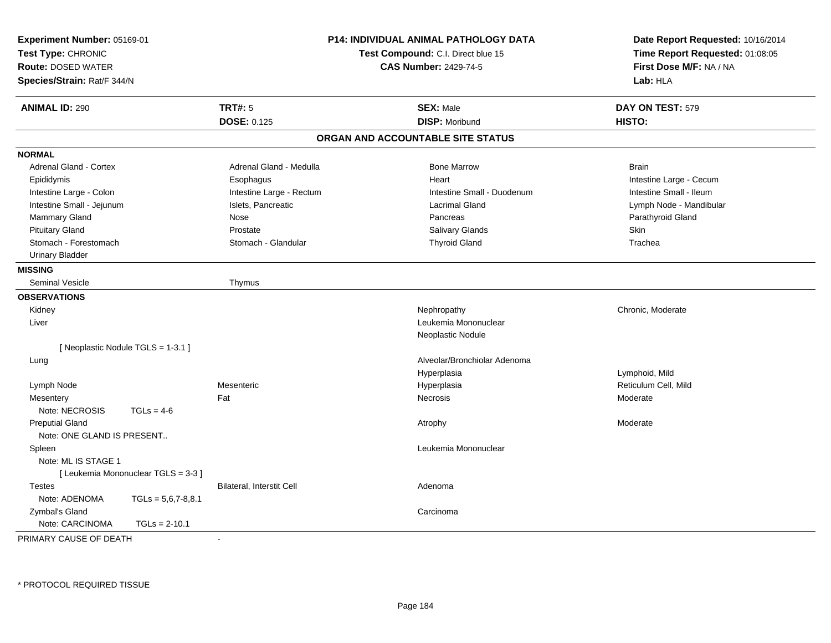| Experiment Number: 05169-01<br>Test Type: CHRONIC<br><b>Route: DOSED WATER</b><br>Species/Strain: Rat/F 344/N |                                  | <b>P14: INDIVIDUAL ANIMAL PATHOLOGY DATA</b><br>Test Compound: C.I. Direct blue 15<br><b>CAS Number: 2429-74-5</b> | Date Report Requested: 10/16/2014<br>Time Report Requested: 01:08:05<br>First Dose M/F: NA / NA<br>Lab: HLA |
|---------------------------------------------------------------------------------------------------------------|----------------------------------|--------------------------------------------------------------------------------------------------------------------|-------------------------------------------------------------------------------------------------------------|
| <b>ANIMAL ID: 290</b>                                                                                         | <b>TRT#: 5</b>                   | <b>SEX: Male</b>                                                                                                   | DAY ON TEST: 579                                                                                            |
|                                                                                                               | <b>DOSE: 0.125</b>               | <b>DISP: Moribund</b>                                                                                              | HISTO:                                                                                                      |
|                                                                                                               |                                  | ORGAN AND ACCOUNTABLE SITE STATUS                                                                                  |                                                                                                             |
| <b>NORMAL</b>                                                                                                 |                                  |                                                                                                                    |                                                                                                             |
| Adrenal Gland - Cortex                                                                                        | Adrenal Gland - Medulla          | <b>Bone Marrow</b>                                                                                                 | <b>Brain</b>                                                                                                |
| Epididymis                                                                                                    | Esophagus                        | Heart                                                                                                              | Intestine Large - Cecum                                                                                     |
| Intestine Large - Colon                                                                                       | Intestine Large - Rectum         | Intestine Small - Duodenum                                                                                         | Intestine Small - Ileum                                                                                     |
| Intestine Small - Jejunum                                                                                     | Islets, Pancreatic               | <b>Lacrimal Gland</b>                                                                                              | Lymph Node - Mandibular                                                                                     |
| Mammary Gland                                                                                                 | <b>Nose</b>                      | Pancreas                                                                                                           | Parathyroid Gland                                                                                           |
| <b>Pituitary Gland</b>                                                                                        | Prostate                         | <b>Salivary Glands</b>                                                                                             | <b>Skin</b>                                                                                                 |
| Stomach - Forestomach                                                                                         | Stomach - Glandular              | <b>Thyroid Gland</b>                                                                                               | Trachea                                                                                                     |
| <b>Urinary Bladder</b>                                                                                        |                                  |                                                                                                                    |                                                                                                             |
| <b>MISSING</b>                                                                                                |                                  |                                                                                                                    |                                                                                                             |
| Seminal Vesicle                                                                                               | Thymus                           |                                                                                                                    |                                                                                                             |
| <b>OBSERVATIONS</b>                                                                                           |                                  |                                                                                                                    |                                                                                                             |
| Kidney                                                                                                        |                                  | Nephropathy                                                                                                        | Chronic, Moderate                                                                                           |
| Liver                                                                                                         |                                  | Leukemia Mononuclear                                                                                               |                                                                                                             |
|                                                                                                               |                                  | Neoplastic Nodule                                                                                                  |                                                                                                             |
| [ Neoplastic Nodule TGLS = 1-3.1 ]                                                                            |                                  |                                                                                                                    |                                                                                                             |
| Lung                                                                                                          |                                  | Alveolar/Bronchiolar Adenoma                                                                                       |                                                                                                             |
|                                                                                                               |                                  | Hyperplasia                                                                                                        | Lymphoid, Mild                                                                                              |
| Lymph Node                                                                                                    | Mesenteric                       | Hyperplasia                                                                                                        | Reticulum Cell, Mild                                                                                        |
| Mesentery                                                                                                     | Fat                              | <b>Necrosis</b>                                                                                                    | Moderate                                                                                                    |
| Note: NECROSIS<br>$TGLs = 4-6$                                                                                |                                  |                                                                                                                    |                                                                                                             |
| <b>Preputial Gland</b>                                                                                        |                                  | Atrophy                                                                                                            | Moderate                                                                                                    |
| Note: ONE GLAND IS PRESENT                                                                                    |                                  |                                                                                                                    |                                                                                                             |
| Spleen                                                                                                        |                                  | Leukemia Mononuclear                                                                                               |                                                                                                             |
| Note: ML IS STAGE 1                                                                                           |                                  |                                                                                                                    |                                                                                                             |
| [Leukemia Mononuclear TGLS = 3-3]                                                                             |                                  |                                                                                                                    |                                                                                                             |
| <b>Testes</b>                                                                                                 | <b>Bilateral, Interstit Cell</b> | Adenoma                                                                                                            |                                                                                                             |
| Note: ADENOMA<br>$TGLs = 5,6,7-8,8.1$                                                                         |                                  |                                                                                                                    |                                                                                                             |
| Zymbal's Gland                                                                                                |                                  | Carcinoma                                                                                                          |                                                                                                             |
| Note: CARCINOMA<br>$TGLs = 2-10.1$                                                                            |                                  |                                                                                                                    |                                                                                                             |
| PRIMARY CAUSE OF DEATH                                                                                        |                                  |                                                                                                                    |                                                                                                             |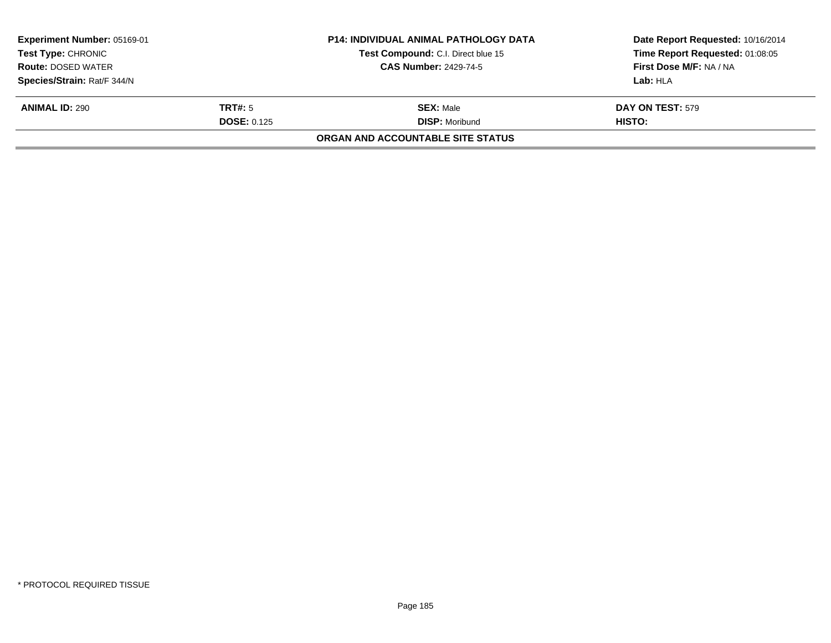| <b>Experiment Number: 05169-01</b><br><b>Test Type: CHRONIC</b> |                      | <b>P14: INDIVIDUAL ANIMAL PATHOLOGY DATA</b> | Date Report Requested: 10/16/2014 |
|-----------------------------------------------------------------|----------------------|----------------------------------------------|-----------------------------------|
|                                                                 |                      | Test Compound: C.I. Direct blue 15           | Time Report Requested: 01:08:05   |
| <b>Route: DOSED WATER</b>                                       |                      | <b>CAS Number: 2429-74-5</b>                 | First Dose M/F: NA / NA           |
| Species/Strain: Rat/F 344/N                                     |                      |                                              | Lab: HLA                          |
| <b>ANIMAL ID: 290</b>                                           | TRT#: 5              | <b>SEX: Male</b>                             | <b>DAY ON TEST: 579</b>           |
|                                                                 | <b>DOSE:</b> $0.125$ | <b>DISP:</b> Moribund                        | HISTO:                            |
|                                                                 |                      | ORGAN AND ACCOUNTABLE SITE STATUS            |                                   |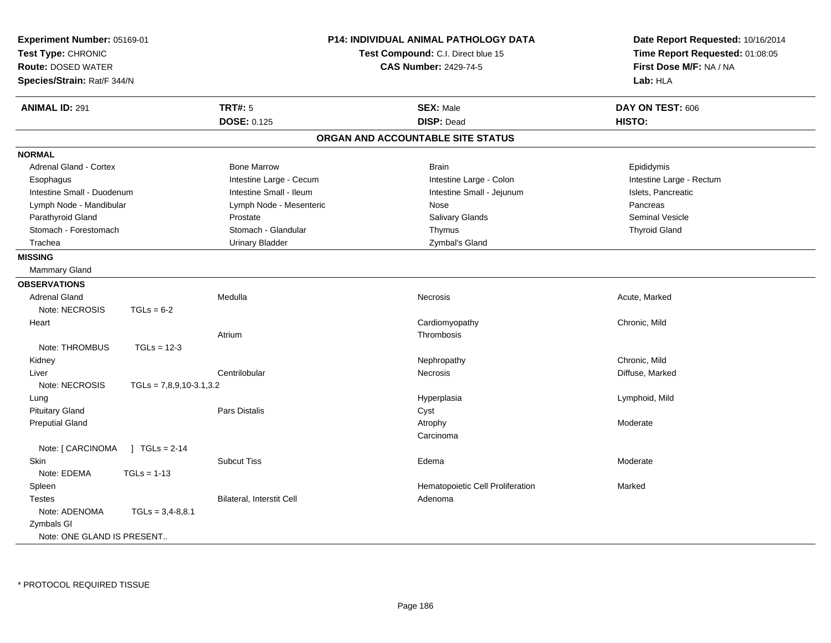| Experiment Number: 05169-01<br>Test Type: CHRONIC<br><b>Route: DOSED WATER</b><br>Species/Strain: Rat/F 344/N |                           |                                      | <b>P14: INDIVIDUAL ANIMAL PATHOLOGY DATA</b><br>Test Compound: C.I. Direct blue 15<br><b>CAS Number: 2429-74-5</b> | Date Report Requested: 10/16/2014<br>Time Report Requested: 01:08:05<br>First Dose M/F: NA / NA<br>Lab: HLA |
|---------------------------------------------------------------------------------------------------------------|---------------------------|--------------------------------------|--------------------------------------------------------------------------------------------------------------------|-------------------------------------------------------------------------------------------------------------|
| <b>ANIMAL ID: 291</b>                                                                                         |                           | <b>TRT#: 5</b><br><b>DOSE: 0.125</b> | <b>SEX: Male</b><br><b>DISP: Dead</b>                                                                              | DAY ON TEST: 606<br>HISTO:                                                                                  |
|                                                                                                               |                           |                                      | ORGAN AND ACCOUNTABLE SITE STATUS                                                                                  |                                                                                                             |
| <b>NORMAL</b>                                                                                                 |                           |                                      |                                                                                                                    |                                                                                                             |
| Adrenal Gland - Cortex                                                                                        |                           | <b>Bone Marrow</b>                   | <b>Brain</b>                                                                                                       | Epididymis                                                                                                  |
| Esophagus                                                                                                     |                           | Intestine Large - Cecum              | Intestine Large - Colon                                                                                            | Intestine Large - Rectum                                                                                    |
| Intestine Small - Duodenum                                                                                    |                           | Intestine Small - Ileum              | Intestine Small - Jejunum                                                                                          | Islets, Pancreatic                                                                                          |
| Lymph Node - Mandibular                                                                                       |                           | Lymph Node - Mesenteric              | Nose                                                                                                               | Pancreas                                                                                                    |
| Parathyroid Gland                                                                                             |                           | Prostate                             | Salivary Glands                                                                                                    | <b>Seminal Vesicle</b>                                                                                      |
| Stomach - Forestomach                                                                                         |                           | Stomach - Glandular                  | Thymus                                                                                                             | <b>Thyroid Gland</b>                                                                                        |
| Trachea                                                                                                       |                           | <b>Urinary Bladder</b>               | Zymbal's Gland                                                                                                     |                                                                                                             |
| <b>MISSING</b><br>Mammary Gland                                                                               |                           |                                      |                                                                                                                    |                                                                                                             |
| <b>OBSERVATIONS</b>                                                                                           |                           |                                      |                                                                                                                    |                                                                                                             |
| <b>Adrenal Gland</b><br>Note: NECROSIS                                                                        | $TGLs = 6-2$              | Medulla                              | Necrosis                                                                                                           | Acute, Marked                                                                                               |
| Heart                                                                                                         |                           |                                      | Cardiomyopathy                                                                                                     | Chronic, Mild                                                                                               |
|                                                                                                               |                           | Atrium                               | Thrombosis                                                                                                         |                                                                                                             |
| Note: THROMBUS                                                                                                | $TGLs = 12-3$             |                                      |                                                                                                                    |                                                                                                             |
| Kidney                                                                                                        |                           |                                      | Nephropathy                                                                                                        | Chronic, Mild                                                                                               |
| Liver                                                                                                         |                           | Centrilobular                        | Necrosis                                                                                                           | Diffuse, Marked                                                                                             |
| Note: NECROSIS                                                                                                | $TGLs = 7,8,9,10-3.1,3.2$ |                                      |                                                                                                                    |                                                                                                             |
| Lung                                                                                                          |                           |                                      | Hyperplasia                                                                                                        | Lymphoid, Mild                                                                                              |
| <b>Pituitary Gland</b>                                                                                        |                           | Pars Distalis                        | Cyst                                                                                                               |                                                                                                             |
| <b>Preputial Gland</b>                                                                                        |                           |                                      | Atrophy                                                                                                            | Moderate                                                                                                    |
|                                                                                                               |                           |                                      | Carcinoma                                                                                                          |                                                                                                             |
| Note: [ CARCINOMA                                                                                             | $1 TGLs = 2-14$           |                                      |                                                                                                                    |                                                                                                             |
| <b>Skin</b>                                                                                                   |                           | <b>Subcut Tiss</b>                   | Edema                                                                                                              | Moderate                                                                                                    |
| Note: EDEMA                                                                                                   | $TGLs = 1-13$             |                                      |                                                                                                                    |                                                                                                             |
| Spleen                                                                                                        |                           |                                      | Hematopoietic Cell Proliferation                                                                                   | Marked                                                                                                      |
| <b>Testes</b>                                                                                                 |                           | Bilateral, Interstit Cell            | Adenoma                                                                                                            |                                                                                                             |
| Note: ADENOMA                                                                                                 | $TGLs = 3,4-8,8.1$        |                                      |                                                                                                                    |                                                                                                             |
| Zymbals GI                                                                                                    |                           |                                      |                                                                                                                    |                                                                                                             |
| Note: ONE GLAND IS PRESENT                                                                                    |                           |                                      |                                                                                                                    |                                                                                                             |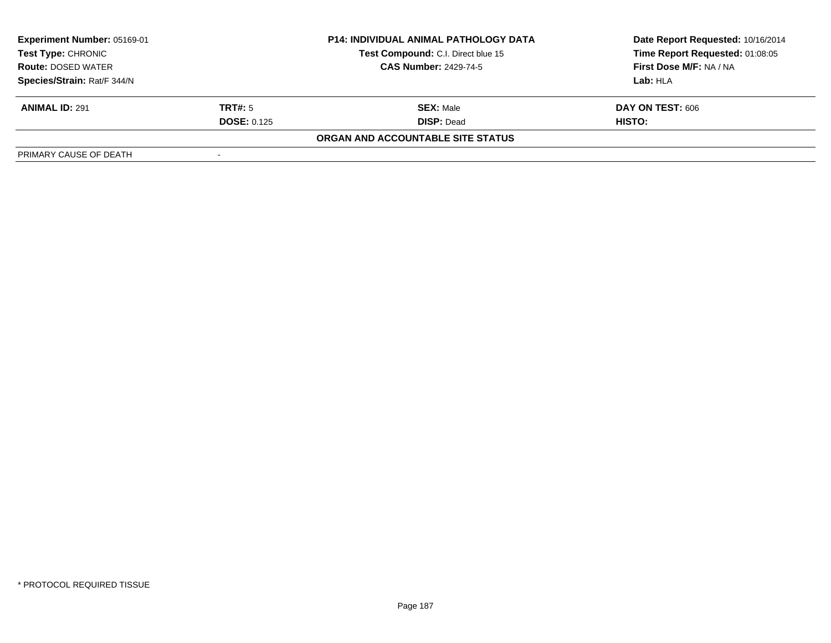| Experiment Number: 05169-01<br>Test Type: CHRONIC<br><b>Route: DOSED WATER</b> |                    | <b>P14: INDIVIDUAL ANIMAL PATHOLOGY DATA</b> | Date Report Requested: 10/16/2014 |  |
|--------------------------------------------------------------------------------|--------------------|----------------------------------------------|-----------------------------------|--|
|                                                                                |                    | Test Compound: C.I. Direct blue 15           | Time Report Requested: 01:08:05   |  |
|                                                                                |                    | <b>CAS Number: 2429-74-5</b>                 | First Dose M/F: NA / NA           |  |
| Species/Strain: Rat/F 344/N                                                    |                    |                                              | Lab: HLA                          |  |
| <b>ANIMAL ID: 291</b>                                                          | TRT#: 5            | <b>SEX: Male</b>                             | DAY ON TEST: 606                  |  |
|                                                                                | <b>DOSE: 0.125</b> | <b>DISP: Dead</b>                            | HISTO:                            |  |
|                                                                                |                    | ORGAN AND ACCOUNTABLE SITE STATUS            |                                   |  |
| PRIMARY CAUSE OF DEATH                                                         |                    |                                              |                                   |  |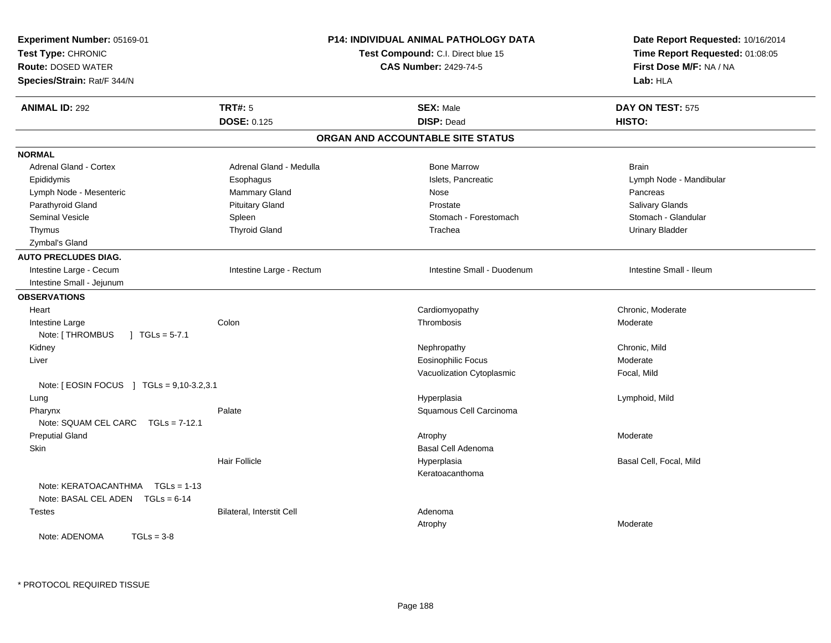| Experiment Number: 05169-01<br>Test Type: CHRONIC<br><b>Route: DOSED WATER</b><br>Species/Strain: Rat/F 344/N |                           | P14: INDIVIDUAL ANIMAL PATHOLOGY DATA<br>Test Compound: C.I. Direct blue 15<br><b>CAS Number: 2429-74-5</b> | Date Report Requested: 10/16/2014<br>Time Report Requested: 01:08:05<br>First Dose M/F: NA / NA<br>Lab: HLA |
|---------------------------------------------------------------------------------------------------------------|---------------------------|-------------------------------------------------------------------------------------------------------------|-------------------------------------------------------------------------------------------------------------|
| <b>ANIMAL ID: 292</b>                                                                                         | <b>TRT#: 5</b>            | <b>SEX: Male</b>                                                                                            | DAY ON TEST: 575                                                                                            |
|                                                                                                               | <b>DOSE: 0.125</b>        | <b>DISP: Dead</b>                                                                                           | HISTO:                                                                                                      |
|                                                                                                               |                           | ORGAN AND ACCOUNTABLE SITE STATUS                                                                           |                                                                                                             |
| <b>NORMAL</b>                                                                                                 |                           |                                                                                                             |                                                                                                             |
| Adrenal Gland - Cortex                                                                                        | Adrenal Gland - Medulla   | <b>Bone Marrow</b>                                                                                          | <b>Brain</b>                                                                                                |
| Epididymis                                                                                                    | Esophagus                 | Islets, Pancreatic                                                                                          | Lymph Node - Mandibular                                                                                     |
| Lymph Node - Mesenteric                                                                                       | Mammary Gland             | Nose                                                                                                        | Pancreas                                                                                                    |
| Parathyroid Gland                                                                                             | <b>Pituitary Gland</b>    | Prostate                                                                                                    | Salivary Glands                                                                                             |
| <b>Seminal Vesicle</b>                                                                                        | Spleen                    | Stomach - Forestomach                                                                                       | Stomach - Glandular                                                                                         |
| Thymus                                                                                                        | <b>Thyroid Gland</b>      | Trachea                                                                                                     | <b>Urinary Bladder</b>                                                                                      |
| Zymbal's Gland                                                                                                |                           |                                                                                                             |                                                                                                             |
| <b>AUTO PRECLUDES DIAG.</b>                                                                                   |                           |                                                                                                             |                                                                                                             |
| Intestine Large - Cecum                                                                                       | Intestine Large - Rectum  | Intestine Small - Duodenum                                                                                  | Intestine Small - Ileum                                                                                     |
| Intestine Small - Jejunum                                                                                     |                           |                                                                                                             |                                                                                                             |
| <b>OBSERVATIONS</b>                                                                                           |                           |                                                                                                             |                                                                                                             |
| Heart                                                                                                         |                           | Cardiomyopathy                                                                                              | Chronic, Moderate                                                                                           |
| Intestine Large                                                                                               | Colon                     | Thrombosis                                                                                                  | Moderate                                                                                                    |
| Note: [ THROMBUS<br>$\vert$ TGLs = 5-7.1                                                                      |                           |                                                                                                             |                                                                                                             |
| Kidney                                                                                                        |                           | Nephropathy                                                                                                 | Chronic, Mild                                                                                               |
| Liver                                                                                                         |                           | <b>Eosinophilic Focus</b>                                                                                   | Moderate                                                                                                    |
|                                                                                                               |                           | Vacuolization Cytoplasmic                                                                                   | Focal, Mild                                                                                                 |
| Note: [ EOSIN FOCUS ] TGLs = 9,10-3.2,3.1                                                                     |                           |                                                                                                             |                                                                                                             |
| Lung                                                                                                          |                           | Hyperplasia                                                                                                 | Lymphoid, Mild                                                                                              |
| Pharynx                                                                                                       | Palate                    | Squamous Cell Carcinoma                                                                                     |                                                                                                             |
| Note: SQUAM CEL CARC<br>$TGLs = 7-12.1$                                                                       |                           |                                                                                                             |                                                                                                             |
| <b>Preputial Gland</b>                                                                                        |                           | Atrophy                                                                                                     | Moderate                                                                                                    |
| Skin                                                                                                          |                           | Basal Cell Adenoma                                                                                          |                                                                                                             |
|                                                                                                               | <b>Hair Follicle</b>      | Hyperplasia                                                                                                 | Basal Cell, Focal, Mild                                                                                     |
|                                                                                                               |                           | Keratoacanthoma                                                                                             |                                                                                                             |
| Note: KERATOACANTHMA   TGLs = 1-13                                                                            |                           |                                                                                                             |                                                                                                             |
| Note: BASAL CEL ADEN TGLs = 6-14                                                                              |                           |                                                                                                             |                                                                                                             |
| <b>Testes</b>                                                                                                 | Bilateral, Interstit Cell | Adenoma                                                                                                     |                                                                                                             |
|                                                                                                               |                           | Atrophy                                                                                                     | Moderate                                                                                                    |
| Note: ADENOMA<br>$TGLs = 3-8$                                                                                 |                           |                                                                                                             |                                                                                                             |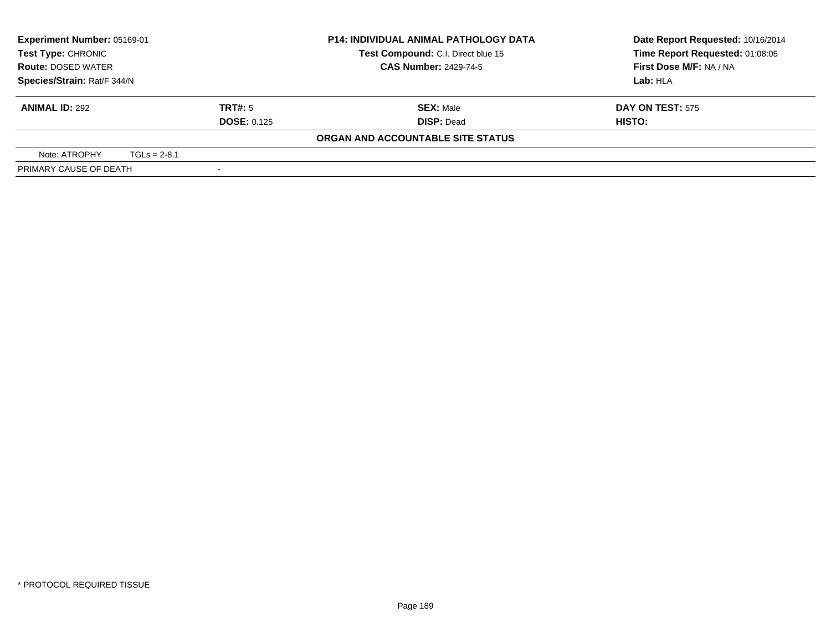| Experiment Number: 05169-01<br>Test Type: CHRONIC<br><b>Route: DOSED WATER</b><br>Species/Strain: Rat/F 344/N |                    | <b>P14: INDIVIDUAL ANIMAL PATHOLOGY DATA</b> | Date Report Requested: 10/16/2014 |
|---------------------------------------------------------------------------------------------------------------|--------------------|----------------------------------------------|-----------------------------------|
|                                                                                                               |                    | Test Compound: C.I. Direct blue 15           | Time Report Requested: 01:08:05   |
|                                                                                                               |                    | <b>CAS Number: 2429-74-5</b>                 | First Dose M/F: NA / NA           |
|                                                                                                               |                    |                                              | Lab: HLA                          |
| <b>ANIMAL ID: 292</b>                                                                                         | <b>TRT#:</b> 5     | <b>SEX: Male</b>                             | <b>DAY ON TEST: 575</b>           |
|                                                                                                               | <b>DOSE: 0.125</b> | <b>DISP: Dead</b>                            | HISTO:                            |
|                                                                                                               |                    | ORGAN AND ACCOUNTABLE SITE STATUS            |                                   |
| Note: ATROPHY                                                                                                 | $TGLs = 2-8.1$     |                                              |                                   |
| PRIMARY CAUSE OF DEATH                                                                                        |                    |                                              |                                   |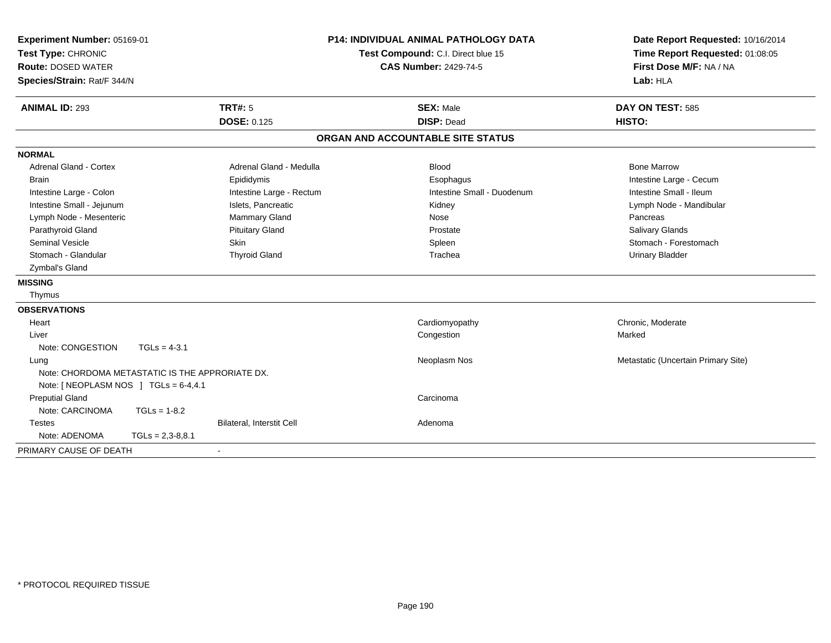| Experiment Number: 05169-01<br>Test Type: CHRONIC<br><b>Route: DOSED WATER</b><br>Species/Strain: Rat/F 344/N |                    | <b>P14: INDIVIDUAL ANIMAL PATHOLOGY DATA</b><br>Test Compound: C.I. Direct blue 15<br><b>CAS Number: 2429-74-5</b> |                                   | Date Report Requested: 10/16/2014<br>Time Report Requested: 01:08:05<br>First Dose M/F: NA / NA<br>Lab: HLA |  |
|---------------------------------------------------------------------------------------------------------------|--------------------|--------------------------------------------------------------------------------------------------------------------|-----------------------------------|-------------------------------------------------------------------------------------------------------------|--|
| <b>ANIMAL ID: 293</b>                                                                                         |                    | <b>TRT#: 5</b>                                                                                                     | <b>SEX: Male</b>                  | DAY ON TEST: 585                                                                                            |  |
|                                                                                                               |                    | <b>DOSE: 0.125</b>                                                                                                 | <b>DISP: Dead</b>                 | HISTO:                                                                                                      |  |
|                                                                                                               |                    |                                                                                                                    | ORGAN AND ACCOUNTABLE SITE STATUS |                                                                                                             |  |
| <b>NORMAL</b>                                                                                                 |                    |                                                                                                                    |                                   |                                                                                                             |  |
| <b>Adrenal Gland - Cortex</b>                                                                                 |                    | Adrenal Gland - Medulla                                                                                            | <b>Blood</b>                      | <b>Bone Marrow</b>                                                                                          |  |
| <b>Brain</b>                                                                                                  |                    | Epididymis                                                                                                         | Esophagus                         | Intestine Large - Cecum                                                                                     |  |
| Intestine Large - Colon                                                                                       |                    | Intestine Large - Rectum                                                                                           | Intestine Small - Duodenum        | Intestine Small - Ileum                                                                                     |  |
| Intestine Small - Jejunum                                                                                     |                    | Islets, Pancreatic                                                                                                 | Kidney                            | Lymph Node - Mandibular                                                                                     |  |
| Lymph Node - Mesenteric                                                                                       |                    | Mammary Gland                                                                                                      | Nose                              | Pancreas                                                                                                    |  |
| Parathyroid Gland                                                                                             |                    | <b>Pituitary Gland</b>                                                                                             | Prostate                          | <b>Salivary Glands</b>                                                                                      |  |
| <b>Seminal Vesicle</b>                                                                                        |                    | <b>Skin</b>                                                                                                        | Spleen                            | Stomach - Forestomach                                                                                       |  |
| Stomach - Glandular                                                                                           |                    | <b>Thyroid Gland</b>                                                                                               | Trachea                           | <b>Urinary Bladder</b>                                                                                      |  |
| Zymbal's Gland                                                                                                |                    |                                                                                                                    |                                   |                                                                                                             |  |
| <b>MISSING</b>                                                                                                |                    |                                                                                                                    |                                   |                                                                                                             |  |
| Thymus                                                                                                        |                    |                                                                                                                    |                                   |                                                                                                             |  |
| <b>OBSERVATIONS</b>                                                                                           |                    |                                                                                                                    |                                   |                                                                                                             |  |
| Heart                                                                                                         |                    |                                                                                                                    | Cardiomyopathy                    | Chronic, Moderate                                                                                           |  |
| Liver                                                                                                         |                    |                                                                                                                    | Congestion                        | Marked                                                                                                      |  |
| Note: CONGESTION                                                                                              | $TGLs = 4-3.1$     |                                                                                                                    |                                   |                                                                                                             |  |
| Lung                                                                                                          |                    |                                                                                                                    | Neoplasm Nos                      | Metastatic (Uncertain Primary Site)                                                                         |  |
| Note: CHORDOMA METASTATIC IS THE APPRORIATE DX.                                                               |                    |                                                                                                                    |                                   |                                                                                                             |  |
| Note: [ NEOPLASM NOS ] TGLs = 6-4,4.1                                                                         |                    |                                                                                                                    |                                   |                                                                                                             |  |
| <b>Preputial Gland</b>                                                                                        |                    |                                                                                                                    | Carcinoma                         |                                                                                                             |  |
| Note: CARCINOMA                                                                                               | $TGLs = 1-8.2$     |                                                                                                                    |                                   |                                                                                                             |  |
| <b>Testes</b>                                                                                                 |                    | Bilateral, Interstit Cell                                                                                          | Adenoma                           |                                                                                                             |  |
| Note: ADENOMA                                                                                                 | $TGLs = 2,3-8,8.1$ |                                                                                                                    |                                   |                                                                                                             |  |
| PRIMARY CAUSE OF DEATH                                                                                        |                    |                                                                                                                    |                                   |                                                                                                             |  |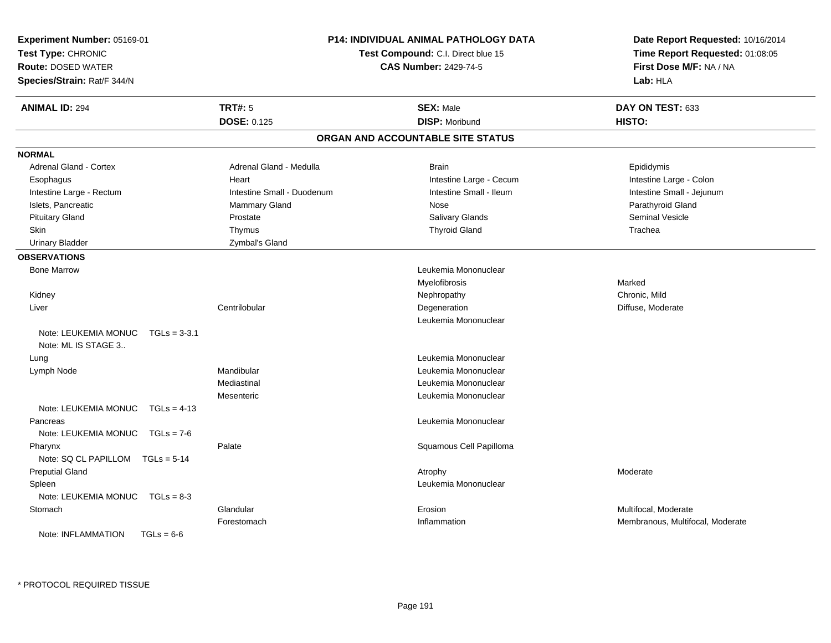| Experiment Number: 05169-01<br>Test Type: CHRONIC<br><b>Route: DOSED WATER</b><br>Species/Strain: Rat/F 344/N | P14: INDIVIDUAL ANIMAL PATHOLOGY DATA<br>Test Compound: C.I. Direct blue 15<br><b>CAS Number: 2429-74-5</b> |                                   | Date Report Requested: 10/16/2014<br>Time Report Requested: 01:08:05<br>First Dose M/F: NA / NA<br>Lab: HLA |
|---------------------------------------------------------------------------------------------------------------|-------------------------------------------------------------------------------------------------------------|-----------------------------------|-------------------------------------------------------------------------------------------------------------|
| <b>ANIMAL ID: 294</b>                                                                                         | <b>TRT#: 5</b>                                                                                              | <b>SEX: Male</b>                  | DAY ON TEST: 633                                                                                            |
|                                                                                                               | <b>DOSE: 0.125</b>                                                                                          | <b>DISP: Moribund</b>             | HISTO:                                                                                                      |
|                                                                                                               |                                                                                                             | ORGAN AND ACCOUNTABLE SITE STATUS |                                                                                                             |
| <b>NORMAL</b>                                                                                                 |                                                                                                             |                                   |                                                                                                             |
| <b>Adrenal Gland - Cortex</b>                                                                                 | Adrenal Gland - Medulla                                                                                     | <b>Brain</b>                      | Epididymis                                                                                                  |
| Esophagus                                                                                                     | Heart                                                                                                       | Intestine Large - Cecum           | Intestine Large - Colon                                                                                     |
| Intestine Large - Rectum                                                                                      | Intestine Small - Duodenum                                                                                  | Intestine Small - Ileum           | Intestine Small - Jejunum                                                                                   |
| Islets, Pancreatic                                                                                            | Mammary Gland                                                                                               | Nose                              | Parathyroid Gland                                                                                           |
| <b>Pituitary Gland</b>                                                                                        | Prostate                                                                                                    | <b>Salivary Glands</b>            | <b>Seminal Vesicle</b>                                                                                      |
| Skin                                                                                                          | Thymus                                                                                                      | <b>Thyroid Gland</b>              | Trachea                                                                                                     |
| <b>Urinary Bladder</b>                                                                                        | Zymbal's Gland                                                                                              |                                   |                                                                                                             |
| <b>OBSERVATIONS</b>                                                                                           |                                                                                                             |                                   |                                                                                                             |
| <b>Bone Marrow</b>                                                                                            |                                                                                                             | Leukemia Mononuclear              |                                                                                                             |
|                                                                                                               |                                                                                                             | Myelofibrosis                     | Marked                                                                                                      |
| Kidney                                                                                                        |                                                                                                             | Nephropathy                       | Chronic, Mild                                                                                               |
| Liver                                                                                                         | Centrilobular                                                                                               | Degeneration                      | Diffuse, Moderate                                                                                           |
|                                                                                                               |                                                                                                             | Leukemia Mononuclear              |                                                                                                             |
| Note: LEUKEMIA MONUC<br>$TGLs = 3-3.1$                                                                        |                                                                                                             |                                   |                                                                                                             |
| Note: ML IS STAGE 3                                                                                           |                                                                                                             |                                   |                                                                                                             |
| Lung                                                                                                          |                                                                                                             | Leukemia Mononuclear              |                                                                                                             |
| Lymph Node                                                                                                    | Mandibular                                                                                                  | Leukemia Mononuclear              |                                                                                                             |
|                                                                                                               | Mediastinal                                                                                                 | Leukemia Mononuclear              |                                                                                                             |
|                                                                                                               | Mesenteric                                                                                                  | Leukemia Mononuclear              |                                                                                                             |
| Note: LEUKEMIA MONUC<br>$TGLs = 4-13$                                                                         |                                                                                                             |                                   |                                                                                                             |
| Pancreas                                                                                                      |                                                                                                             | Leukemia Mononuclear              |                                                                                                             |
| Note: LEUKEMIA MONUC TGLs = 7-6                                                                               |                                                                                                             |                                   |                                                                                                             |
| Pharynx                                                                                                       | Palate                                                                                                      | Squamous Cell Papilloma           |                                                                                                             |
| Note: SQ CL PAPILLOM TGLs = 5-14                                                                              |                                                                                                             |                                   |                                                                                                             |
| <b>Preputial Gland</b>                                                                                        |                                                                                                             | Atrophy                           | Moderate                                                                                                    |
| Spleen                                                                                                        |                                                                                                             | Leukemia Mononuclear              |                                                                                                             |
| Note: LEUKEMIA MONUC<br>$TGLs = 8-3$                                                                          |                                                                                                             |                                   |                                                                                                             |
| Stomach                                                                                                       | Glandular                                                                                                   | Erosion                           | Multifocal, Moderate                                                                                        |
|                                                                                                               | Forestomach                                                                                                 | Inflammation                      | Membranous, Multifocal, Moderate                                                                            |
| Note: INFLAMMATION<br>$TGLs = 6-6$                                                                            |                                                                                                             |                                   |                                                                                                             |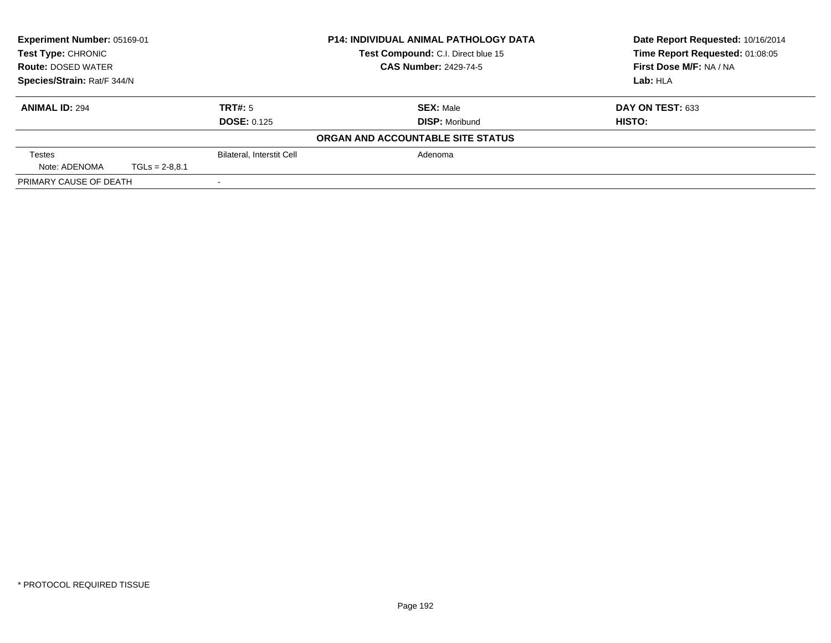| Experiment Number: 05169-01<br><b>Test Type: CHRONIC</b><br><b>Route: DOSED WATER</b><br>Species/Strain: Rat/F 344/N |                  | <b>P14: INDIVIDUAL ANIMAL PATHOLOGY DATA</b> |                                    | Date Report Requested: 10/16/2014 |
|----------------------------------------------------------------------------------------------------------------------|------------------|----------------------------------------------|------------------------------------|-----------------------------------|
|                                                                                                                      |                  |                                              | Test Compound: C.I. Direct blue 15 | Time Report Requested: 01:08:05   |
|                                                                                                                      |                  |                                              | <b>CAS Number: 2429-74-5</b>       | First Dose M/F: NA / NA           |
|                                                                                                                      |                  |                                              |                                    | Lab: HLA                          |
| <b>ANIMAL ID: 294</b>                                                                                                |                  | TRT#: 5                                      | <b>SEX: Male</b>                   | DAY ON TEST: 633                  |
|                                                                                                                      |                  | <b>DOSE: 0.125</b>                           | <b>DISP: Moribund</b>              | HISTO:                            |
|                                                                                                                      |                  |                                              | ORGAN AND ACCOUNTABLE SITE STATUS  |                                   |
| <b>Testes</b>                                                                                                        |                  | <b>Bilateral, Interstit Cell</b>             | Adenoma                            |                                   |
| Note: ADENOMA                                                                                                        | $TGLs = 2-8.8.1$ |                                              |                                    |                                   |
| PRIMARY CAUSE OF DEATH                                                                                               |                  |                                              |                                    |                                   |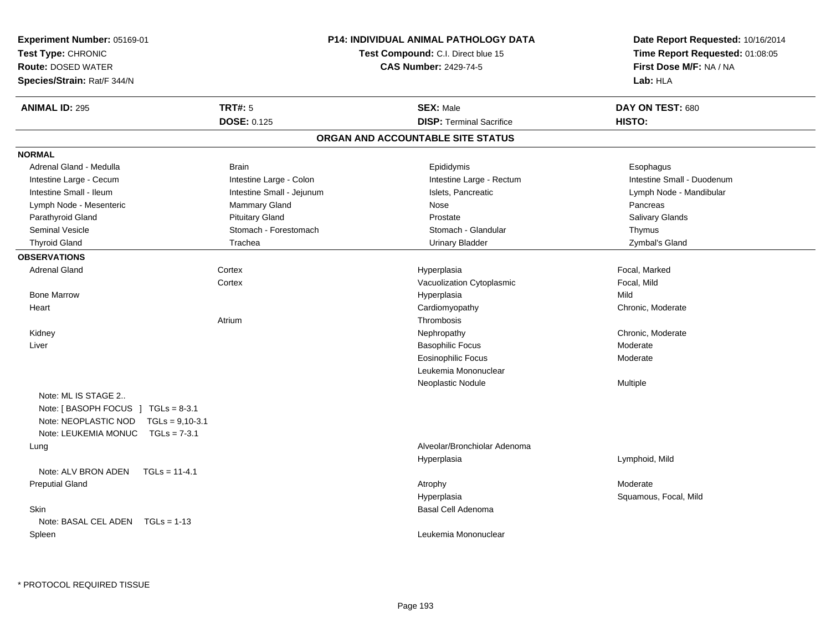| Experiment Number: 05169-01<br>Test Type: CHRONIC<br><b>Route: DOSED WATER</b><br>Species/Strain: Rat/F 344/N |                           | <b>P14: INDIVIDUAL ANIMAL PATHOLOGY DATA</b><br>Test Compound: C.I. Direct blue 15<br><b>CAS Number: 2429-74-5</b> | Date Report Requested: 10/16/2014<br>Time Report Requested: 01:08:05<br>First Dose M/F: NA / NA<br>Lab: HLA |
|---------------------------------------------------------------------------------------------------------------|---------------------------|--------------------------------------------------------------------------------------------------------------------|-------------------------------------------------------------------------------------------------------------|
| <b>ANIMAL ID: 295</b>                                                                                         | TRT#: 5                   | <b>SEX: Male</b>                                                                                                   | DAY ON TEST: 680                                                                                            |
|                                                                                                               | <b>DOSE: 0.125</b>        | <b>DISP: Terminal Sacrifice</b>                                                                                    | HISTO:                                                                                                      |
|                                                                                                               |                           | ORGAN AND ACCOUNTABLE SITE STATUS                                                                                  |                                                                                                             |
| <b>NORMAL</b>                                                                                                 |                           |                                                                                                                    |                                                                                                             |
| Adrenal Gland - Medulla                                                                                       | <b>Brain</b>              | Epididymis                                                                                                         | Esophagus                                                                                                   |
| Intestine Large - Cecum                                                                                       | Intestine Large - Colon   | Intestine Large - Rectum                                                                                           | Intestine Small - Duodenum                                                                                  |
| Intestine Small - Ileum                                                                                       | Intestine Small - Jejunum | Islets, Pancreatic                                                                                                 | Lymph Node - Mandibular                                                                                     |
| Lymph Node - Mesenteric                                                                                       | Mammary Gland             | Nose                                                                                                               | Pancreas                                                                                                    |
| Parathyroid Gland                                                                                             | <b>Pituitary Gland</b>    | Prostate                                                                                                           | Salivary Glands                                                                                             |
| Seminal Vesicle                                                                                               | Stomach - Forestomach     | Stomach - Glandular                                                                                                | Thymus                                                                                                      |
| <b>Thyroid Gland</b>                                                                                          | Trachea                   | <b>Urinary Bladder</b>                                                                                             | Zymbal's Gland                                                                                              |
| <b>OBSERVATIONS</b>                                                                                           |                           |                                                                                                                    |                                                                                                             |
| <b>Adrenal Gland</b>                                                                                          | Cortex                    | Hyperplasia                                                                                                        | Focal, Marked                                                                                               |
|                                                                                                               | Cortex                    | Vacuolization Cytoplasmic                                                                                          | Focal, Mild                                                                                                 |
| <b>Bone Marrow</b>                                                                                            |                           | Hyperplasia                                                                                                        | Mild                                                                                                        |
| Heart                                                                                                         |                           | Cardiomyopathy                                                                                                     | Chronic, Moderate                                                                                           |
|                                                                                                               | Atrium                    | Thrombosis                                                                                                         |                                                                                                             |
| Kidney                                                                                                        |                           | Nephropathy                                                                                                        | Chronic, Moderate                                                                                           |
| Liver                                                                                                         |                           | <b>Basophilic Focus</b>                                                                                            | Moderate                                                                                                    |
|                                                                                                               |                           | <b>Eosinophilic Focus</b>                                                                                          | Moderate                                                                                                    |
|                                                                                                               |                           | Leukemia Mononuclear                                                                                               |                                                                                                             |
|                                                                                                               |                           | Neoplastic Nodule                                                                                                  | Multiple                                                                                                    |
| Note: ML IS STAGE 2                                                                                           |                           |                                                                                                                    |                                                                                                             |
| Note: [BASOPH FOCUS ] $TGLs = 8-3.1$                                                                          |                           |                                                                                                                    |                                                                                                             |
| Note: NEOPLASTIC NOD TGLs = 9,10-3.1                                                                          |                           |                                                                                                                    |                                                                                                             |
| Note: LEUKEMIA MONUC<br>$TGLs = 7-3.1$                                                                        |                           |                                                                                                                    |                                                                                                             |
| Lung                                                                                                          |                           | Alveolar/Bronchiolar Adenoma                                                                                       |                                                                                                             |
|                                                                                                               |                           | Hyperplasia                                                                                                        | Lymphoid, Mild                                                                                              |
| Note: ALV BRON ADEN<br>$TGLs = 11-4.1$                                                                        |                           |                                                                                                                    |                                                                                                             |
| <b>Preputial Gland</b>                                                                                        |                           | Atrophy                                                                                                            | Moderate                                                                                                    |
|                                                                                                               |                           | Hyperplasia                                                                                                        | Squamous, Focal, Mild                                                                                       |
| <b>Skin</b>                                                                                                   |                           | Basal Cell Adenoma                                                                                                 |                                                                                                             |
| Note: BASAL CEL ADEN TGLs = 1-13                                                                              |                           |                                                                                                                    |                                                                                                             |
| Spleen                                                                                                        |                           | Leukemia Mononuclear                                                                                               |                                                                                                             |
|                                                                                                               |                           |                                                                                                                    |                                                                                                             |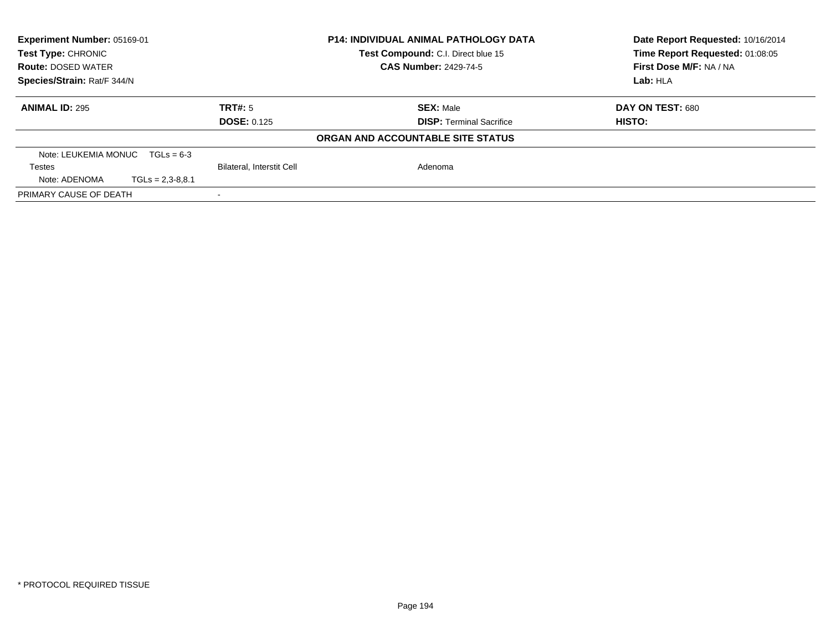| <b>Experiment Number: 05169-01</b><br><b>Test Type: CHRONIC</b> |                    |                                  | <b>P14: INDIVIDUAL ANIMAL PATHOLOGY DATA</b><br>Test Compound: C.I. Direct blue 15 | Date Report Requested: 10/16/2014<br>Time Report Requested: 01:08:05 |
|-----------------------------------------------------------------|--------------------|----------------------------------|------------------------------------------------------------------------------------|----------------------------------------------------------------------|
| <b>Route: DOSED WATER</b>                                       |                    |                                  | <b>CAS Number: 2429-74-5</b>                                                       | First Dose M/F: NA / NA                                              |
| Species/Strain: Rat/F 344/N                                     |                    |                                  |                                                                                    | Lab: HLA                                                             |
| <b>ANIMAL ID: 295</b>                                           |                    | TRT#: 5                          | <b>SEX: Male</b>                                                                   | DAY ON TEST: 680                                                     |
|                                                                 |                    | <b>DOSE: 0.125</b>               | <b>DISP:</b> Terminal Sacrifice                                                    | HISTO:                                                               |
|                                                                 |                    |                                  | ORGAN AND ACCOUNTABLE SITE STATUS                                                  |                                                                      |
| Note: LEUKEMIA MONUC $TGLs = 6-3$                               |                    |                                  |                                                                                    |                                                                      |
| <b>Testes</b>                                                   |                    | <b>Bilateral, Interstit Cell</b> | Adenoma                                                                            |                                                                      |
| Note: ADENOMA                                                   | $TGLs = 2,3-8,8.1$ |                                  |                                                                                    |                                                                      |
| PRIMARY CAUSE OF DEATH                                          |                    |                                  |                                                                                    |                                                                      |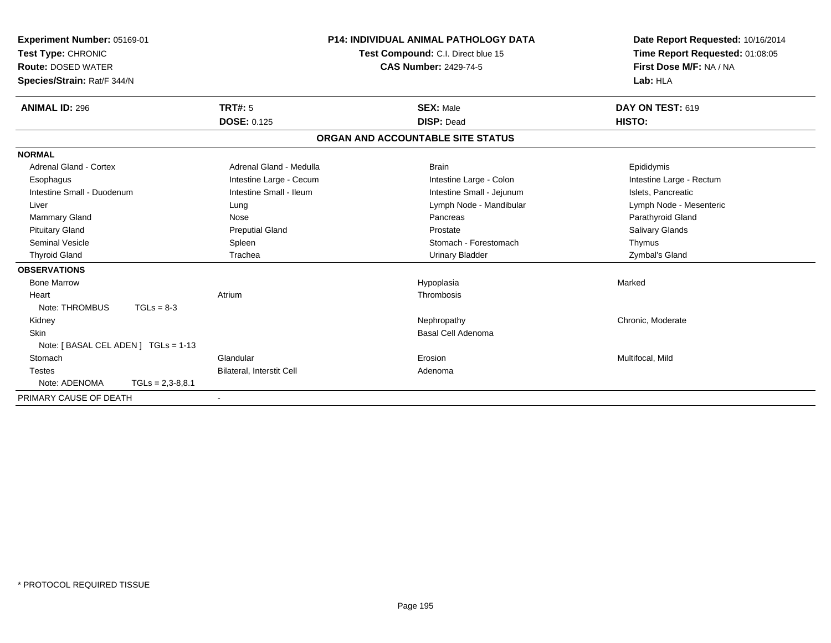| Experiment Number: 05169-01<br>Test Type: CHRONIC<br><b>Route: DOSED WATER</b><br>Species/Strain: Rat/F 344/N |                    |                           | <b>P14: INDIVIDUAL ANIMAL PATHOLOGY DATA</b><br>Test Compound: C.I. Direct blue 15<br><b>CAS Number: 2429-74-5</b> | Date Report Requested: 10/16/2014<br>Time Report Requested: 01:08:05<br>First Dose M/F: NA / NA<br>Lab: HLA |
|---------------------------------------------------------------------------------------------------------------|--------------------|---------------------------|--------------------------------------------------------------------------------------------------------------------|-------------------------------------------------------------------------------------------------------------|
| <b>ANIMAL ID: 296</b>                                                                                         |                    | <b>TRT#: 5</b>            | <b>SEX: Male</b>                                                                                                   | DAY ON TEST: 619                                                                                            |
|                                                                                                               |                    | <b>DOSE: 0.125</b>        | <b>DISP: Dead</b>                                                                                                  | HISTO:                                                                                                      |
|                                                                                                               |                    |                           | ORGAN AND ACCOUNTABLE SITE STATUS                                                                                  |                                                                                                             |
| <b>NORMAL</b>                                                                                                 |                    |                           |                                                                                                                    |                                                                                                             |
| Adrenal Gland - Cortex                                                                                        |                    | Adrenal Gland - Medulla   | <b>Brain</b>                                                                                                       | Epididymis                                                                                                  |
| Esophagus                                                                                                     |                    | Intestine Large - Cecum   | Intestine Large - Colon                                                                                            | Intestine Large - Rectum                                                                                    |
| Intestine Small - Duodenum                                                                                    |                    | Intestine Small - Ileum   | Intestine Small - Jejunum                                                                                          | Islets. Pancreatic                                                                                          |
| Liver                                                                                                         |                    | Lung                      | Lymph Node - Mandibular                                                                                            | Lymph Node - Mesenteric                                                                                     |
| Mammary Gland                                                                                                 |                    | Nose                      | Pancreas                                                                                                           | Parathyroid Gland                                                                                           |
| <b>Pituitary Gland</b>                                                                                        |                    | <b>Preputial Gland</b>    | Prostate                                                                                                           | Salivary Glands                                                                                             |
| <b>Seminal Vesicle</b>                                                                                        |                    | Spleen                    | Stomach - Forestomach                                                                                              | Thymus                                                                                                      |
| <b>Thyroid Gland</b>                                                                                          |                    | Trachea                   | <b>Urinary Bladder</b>                                                                                             | Zymbal's Gland                                                                                              |
| <b>OBSERVATIONS</b>                                                                                           |                    |                           |                                                                                                                    |                                                                                                             |
| <b>Bone Marrow</b>                                                                                            |                    |                           | Hypoplasia                                                                                                         | Marked                                                                                                      |
| Heart                                                                                                         |                    | Atrium                    | Thrombosis                                                                                                         |                                                                                                             |
| Note: THROMBUS                                                                                                | $TGLs = 8-3$       |                           |                                                                                                                    |                                                                                                             |
| Kidney                                                                                                        |                    |                           | Nephropathy                                                                                                        | Chronic, Moderate                                                                                           |
| <b>Skin</b>                                                                                                   |                    |                           | <b>Basal Cell Adenoma</b>                                                                                          |                                                                                                             |
| Note: [ BASAL CEL ADEN ] TGLs = 1-13                                                                          |                    |                           |                                                                                                                    |                                                                                                             |
| Stomach                                                                                                       |                    | Glandular                 | Erosion                                                                                                            | Multifocal, Mild                                                                                            |
| <b>Testes</b>                                                                                                 |                    | Bilateral, Interstit Cell | Adenoma                                                                                                            |                                                                                                             |
| Note: ADENOMA                                                                                                 | $TGLs = 2,3-8,8.1$ |                           |                                                                                                                    |                                                                                                             |
| PRIMARY CAUSE OF DEATH                                                                                        |                    | $\blacksquare$            |                                                                                                                    |                                                                                                             |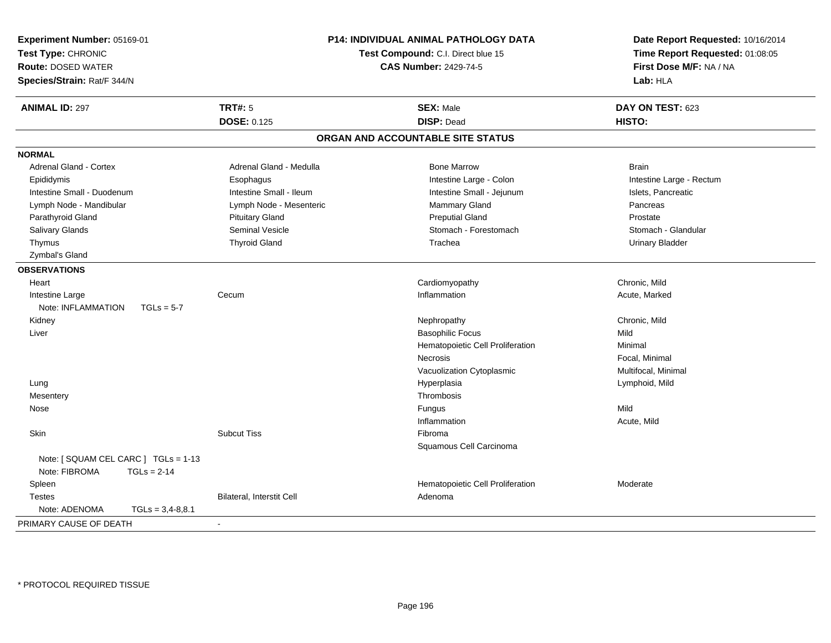| Experiment Number: 05169-01          |                           | <b>P14: INDIVIDUAL ANIMAL PATHOLOGY DATA</b> | Date Report Requested: 10/16/2014 |
|--------------------------------------|---------------------------|----------------------------------------------|-----------------------------------|
| Test Type: CHRONIC                   |                           | Test Compound: C.I. Direct blue 15           | Time Report Requested: 01:08:05   |
| <b>Route: DOSED WATER</b>            |                           | <b>CAS Number: 2429-74-5</b>                 | First Dose M/F: NA / NA           |
| Species/Strain: Rat/F 344/N          |                           |                                              | Lab: HLA                          |
|                                      |                           |                                              |                                   |
| <b>ANIMAL ID: 297</b>                | <b>TRT#: 5</b>            | <b>SEX: Male</b>                             | DAY ON TEST: 623                  |
|                                      | <b>DOSE: 0.125</b>        | <b>DISP: Dead</b>                            | HISTO:                            |
|                                      |                           | ORGAN AND ACCOUNTABLE SITE STATUS            |                                   |
| <b>NORMAL</b>                        |                           |                                              |                                   |
| <b>Adrenal Gland - Cortex</b>        | Adrenal Gland - Medulla   | <b>Bone Marrow</b>                           | <b>Brain</b>                      |
| Epididymis                           | Esophagus                 | Intestine Large - Colon                      | Intestine Large - Rectum          |
| Intestine Small - Duodenum           | Intestine Small - Ileum   | Intestine Small - Jejunum                    | Islets, Pancreatic                |
| Lymph Node - Mandibular              | Lymph Node - Mesenteric   | Mammary Gland                                | Pancreas                          |
| Parathyroid Gland                    | <b>Pituitary Gland</b>    | <b>Preputial Gland</b>                       | Prostate                          |
| Salivary Glands                      | <b>Seminal Vesicle</b>    | Stomach - Forestomach                        | Stomach - Glandular               |
| Thymus                               | <b>Thyroid Gland</b>      | Trachea                                      | <b>Urinary Bladder</b>            |
| Zymbal's Gland                       |                           |                                              |                                   |
| <b>OBSERVATIONS</b>                  |                           |                                              |                                   |
| Heart                                |                           | Cardiomyopathy                               | Chronic, Mild                     |
| Intestine Large                      | Cecum                     | Inflammation                                 | Acute, Marked                     |
| Note: INFLAMMATION<br>$TGLs = 5-7$   |                           |                                              |                                   |
| Kidney                               |                           | Nephropathy                                  | Chronic, Mild                     |
| Liver                                |                           | <b>Basophilic Focus</b>                      | Mild                              |
|                                      |                           | Hematopoietic Cell Proliferation             | Minimal                           |
|                                      |                           | Necrosis                                     | Focal, Minimal                    |
|                                      |                           | Vacuolization Cytoplasmic                    | Multifocal, Minimal               |
| Lung                                 |                           | Hyperplasia                                  | Lymphoid, Mild                    |
| Mesentery                            |                           | Thrombosis                                   |                                   |
| Nose                                 |                           | Fungus                                       | Mild                              |
|                                      |                           | Inflammation                                 | Acute, Mild                       |
| <b>Skin</b>                          | <b>Subcut Tiss</b>        | Fibroma                                      |                                   |
|                                      |                           | Squamous Cell Carcinoma                      |                                   |
| Note: [ SQUAM CEL CARC ] TGLs = 1-13 |                           |                                              |                                   |
| Note: FIBROMA<br>$TGLs = 2-14$       |                           |                                              |                                   |
| Spleen                               |                           | Hematopoietic Cell Proliferation             | Moderate                          |
| <b>Testes</b>                        | Bilateral, Interstit Cell | Adenoma                                      |                                   |
| Note: ADENOMA<br>$TGLs = 3,4-8,8.1$  |                           |                                              |                                   |
| PRIMARY CAUSE OF DEATH               |                           |                                              |                                   |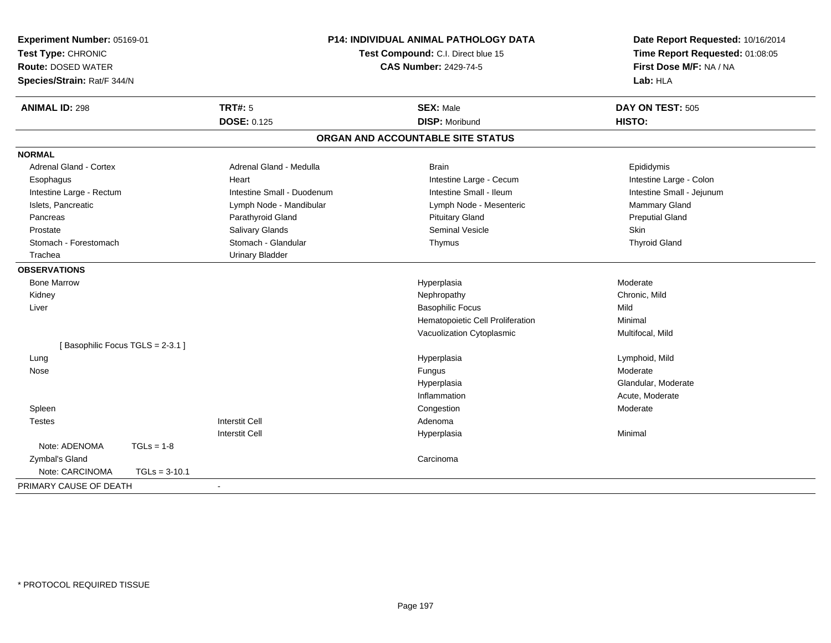| Experiment Number: 05169-01                  | P14: INDIVIDUAL ANIMAL PATHOLOGY DATA                 | Date Report Requested: 10/16/2014 |
|----------------------------------------------|-------------------------------------------------------|-----------------------------------|
| Test Type: CHRONIC                           | Test Compound: C.I. Direct blue 15                    | Time Report Requested: 01:08:05   |
| <b>Route: DOSED WATER</b>                    | <b>CAS Number: 2429-74-5</b>                          | First Dose M/F: NA / NA           |
| Species/Strain: Rat/F 344/N                  |                                                       | Lab: HLA                          |
| <b>TRT#: 5</b><br><b>ANIMAL ID: 298</b>      | <b>SEX: Male</b>                                      | DAY ON TEST: 505                  |
| <b>DOSE: 0.125</b>                           | <b>DISP: Moribund</b>                                 | HISTO:                            |
|                                              | ORGAN AND ACCOUNTABLE SITE STATUS                     |                                   |
| <b>NORMAL</b>                                |                                                       |                                   |
| Adrenal Gland - Cortex                       | Adrenal Gland - Medulla<br><b>Brain</b>               | Epididymis                        |
| Esophagus<br>Heart                           | Intestine Large - Cecum                               | Intestine Large - Colon           |
| Intestine Large - Rectum                     | Intestine Small - Duodenum<br>Intestine Small - Ileum | Intestine Small - Jejunum         |
| Islets, Pancreatic                           | Lymph Node - Mandibular<br>Lymph Node - Mesenteric    | Mammary Gland                     |
| Parathyroid Gland<br>Pancreas                | <b>Pituitary Gland</b>                                | <b>Preputial Gland</b>            |
| Salivary Glands<br>Prostate                  | <b>Seminal Vesicle</b>                                | Skin                              |
| Stomach - Glandular<br>Stomach - Forestomach | Thymus                                                | <b>Thyroid Gland</b>              |
| Trachea<br><b>Urinary Bladder</b>            |                                                       |                                   |
| <b>OBSERVATIONS</b>                          |                                                       |                                   |
| <b>Bone Marrow</b>                           | Hyperplasia                                           | Moderate                          |
| Kidney                                       | Nephropathy                                           | Chronic, Mild                     |
| Liver                                        | <b>Basophilic Focus</b>                               | Mild                              |
|                                              | Hematopoietic Cell Proliferation                      | Minimal                           |
|                                              | Vacuolization Cytoplasmic                             | Multifocal, Mild                  |
| [Basophilic Focus TGLS = 2-3.1]              |                                                       |                                   |
| Lung                                         | Hyperplasia                                           | Lymphoid, Mild                    |
| Nose                                         | Fungus                                                | Moderate                          |
|                                              | Hyperplasia                                           | Glandular, Moderate               |
|                                              | Inflammation                                          | Acute, Moderate                   |
| Spleen                                       | Congestion                                            | Moderate                          |
| <b>Interstit Cell</b><br><b>Testes</b>       | Adenoma                                               |                                   |
| <b>Interstit Cell</b>                        | Hyperplasia                                           | Minimal                           |
| Note: ADENOMA<br>$TGLs = 1-8$                |                                                       |                                   |
| Zymbal's Gland                               | Carcinoma                                             |                                   |
| Note: CARCINOMA<br>$TGLs = 3-10.1$           |                                                       |                                   |
| PRIMARY CAUSE OF DEATH<br>$\blacksquare$     |                                                       |                                   |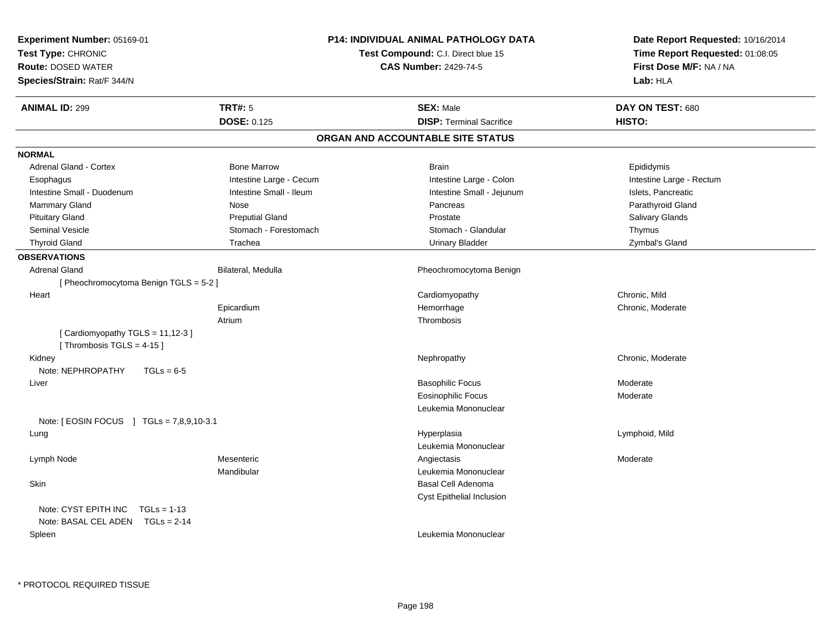| Experiment Number: 05169-01<br>Test Type: CHRONIC<br><b>Route: DOSED WATER</b><br>Species/Strain: Rat/F 344/N |                                      | <b>P14: INDIVIDUAL ANIMAL PATHOLOGY DATA</b><br>Test Compound: C.I. Direct blue 15<br><b>CAS Number: 2429-74-5</b> | Date Report Requested: 10/16/2014<br>Time Report Requested: 01:08:05<br>First Dose M/F: NA / NA<br>Lab: HLA |
|---------------------------------------------------------------------------------------------------------------|--------------------------------------|--------------------------------------------------------------------------------------------------------------------|-------------------------------------------------------------------------------------------------------------|
| <b>ANIMAL ID: 299</b>                                                                                         | <b>TRT#: 5</b><br><b>DOSE: 0.125</b> | <b>SEX: Male</b><br><b>DISP: Terminal Sacrifice</b>                                                                | DAY ON TEST: 680<br>HISTO:                                                                                  |
|                                                                                                               |                                      | ORGAN AND ACCOUNTABLE SITE STATUS                                                                                  |                                                                                                             |
| <b>NORMAL</b>                                                                                                 |                                      |                                                                                                                    |                                                                                                             |
| <b>Adrenal Gland - Cortex</b>                                                                                 | <b>Bone Marrow</b>                   | <b>Brain</b>                                                                                                       | Epididymis                                                                                                  |
| Esophagus                                                                                                     | Intestine Large - Cecum              | Intestine Large - Colon                                                                                            | Intestine Large - Rectum                                                                                    |
| Intestine Small - Duodenum                                                                                    | Intestine Small - Ileum              | Intestine Small - Jejunum                                                                                          | Islets, Pancreatic                                                                                          |
| Mammary Gland                                                                                                 | Nose                                 | Pancreas                                                                                                           | Parathyroid Gland                                                                                           |
| <b>Pituitary Gland</b>                                                                                        | <b>Preputial Gland</b>               | Prostate                                                                                                           | Salivary Glands                                                                                             |
| <b>Seminal Vesicle</b>                                                                                        | Stomach - Forestomach                | Stomach - Glandular                                                                                                | Thymus                                                                                                      |
| <b>Thyroid Gland</b>                                                                                          | Trachea                              | <b>Urinary Bladder</b>                                                                                             | Zymbal's Gland                                                                                              |
| <b>OBSERVATIONS</b>                                                                                           |                                      |                                                                                                                    |                                                                                                             |
| <b>Adrenal Gland</b>                                                                                          | Bilateral, Medulla                   | Pheochromocytoma Benign                                                                                            |                                                                                                             |
| [ Pheochromocytoma Benign TGLS = 5-2 ]                                                                        |                                      |                                                                                                                    |                                                                                                             |
| Heart                                                                                                         |                                      | Cardiomyopathy                                                                                                     | Chronic, Mild                                                                                               |
|                                                                                                               | Epicardium                           | Hemorrhage                                                                                                         | Chronic, Moderate                                                                                           |
|                                                                                                               | Atrium                               | Thrombosis                                                                                                         |                                                                                                             |
| [Cardiomyopathy TGLS = 11,12-3]<br>[Thrombosis TGLS = $4-15$ ]                                                |                                      |                                                                                                                    |                                                                                                             |
| Kidney<br>Note: NEPHROPATHY<br>$TGLs = 6-5$                                                                   |                                      | Nephropathy                                                                                                        | Chronic, Moderate                                                                                           |
| Liver                                                                                                         |                                      | <b>Basophilic Focus</b>                                                                                            | Moderate                                                                                                    |
|                                                                                                               |                                      | <b>Eosinophilic Focus</b>                                                                                          | Moderate                                                                                                    |
|                                                                                                               |                                      | Leukemia Mononuclear                                                                                               |                                                                                                             |
| Note: $[ EOSIN FOCUS ] TGLs = 7,8,9,10-3.1 ]$                                                                 |                                      |                                                                                                                    |                                                                                                             |
| Lung                                                                                                          |                                      | Hyperplasia                                                                                                        | Lymphoid, Mild                                                                                              |
|                                                                                                               |                                      | Leukemia Mononuclear                                                                                               |                                                                                                             |
| Lymph Node                                                                                                    | Mesenteric                           | Angiectasis                                                                                                        | Moderate                                                                                                    |
|                                                                                                               | Mandibular                           | Leukemia Mononuclear                                                                                               |                                                                                                             |
| Skin                                                                                                          |                                      | Basal Cell Adenoma                                                                                                 |                                                                                                             |
|                                                                                                               |                                      | Cyst Epithelial Inclusion                                                                                          |                                                                                                             |
| Note: CYST EPITH INC<br>$TGLs = 1-13$                                                                         |                                      |                                                                                                                    |                                                                                                             |
| Note: BASAL CEL ADEN TGLs = 2-14                                                                              |                                      |                                                                                                                    |                                                                                                             |
| Spleen                                                                                                        |                                      | Leukemia Mononuclear                                                                                               |                                                                                                             |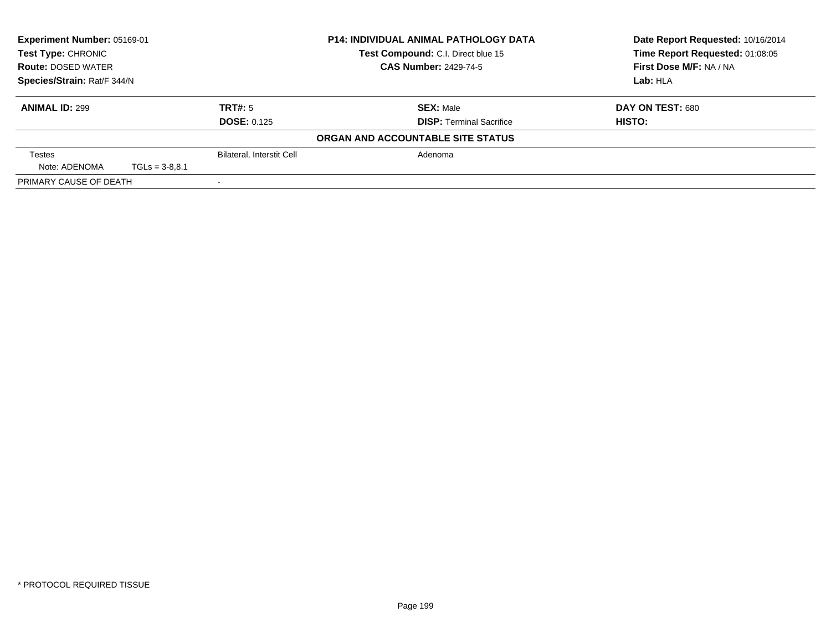| Experiment Number: 05169-01<br><b>Test Type: CHRONIC</b><br><b>Route: DOSED WATER</b> |                             |                                  | <b>P14: INDIVIDUAL ANIMAL PATHOLOGY DATA</b> | Date Report Requested: 10/16/2014 |
|---------------------------------------------------------------------------------------|-----------------------------|----------------------------------|----------------------------------------------|-----------------------------------|
|                                                                                       |                             |                                  | Test Compound: C.I. Direct blue 15           | Time Report Requested: 01:08:05   |
|                                                                                       |                             |                                  | <b>CAS Number: 2429-74-5</b>                 | First Dose M/F: NA / NA           |
|                                                                                       | Species/Strain: Rat/F 344/N |                                  |                                              | Lab: HLA                          |
| <b>ANIMAL ID: 299</b>                                                                 |                             | TRT#: 5                          | <b>SEX: Male</b>                             | DAY ON TEST: 680                  |
|                                                                                       |                             | <b>DOSE: 0.125</b>               | <b>DISP:</b> Terminal Sacrifice              | HISTO:                            |
|                                                                                       |                             |                                  | ORGAN AND ACCOUNTABLE SITE STATUS            |                                   |
| <b>Testes</b>                                                                         |                             | <b>Bilateral, Interstit Cell</b> | Adenoma                                      |                                   |
| Note: ADENOMA                                                                         | $TGLs = 3-8.8.1$            |                                  |                                              |                                   |
| PRIMARY CAUSE OF DEATH                                                                |                             |                                  |                                              |                                   |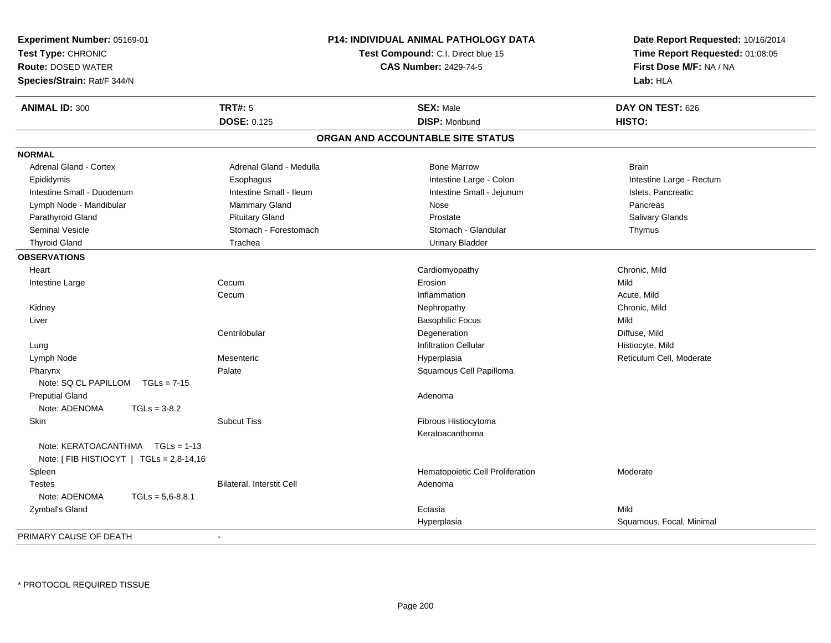| Experiment Number: 05169-01<br>Test Type: CHRONIC<br><b>Route: DOSED WATER</b><br>Species/Strain: Rat/F 344/N |                           | P14: INDIVIDUAL ANIMAL PATHOLOGY DATA<br>Test Compound: C.I. Direct blue 15<br><b>CAS Number: 2429-74-5</b> | Date Report Requested: 10/16/2014<br>Time Report Requested: 01:08:05<br>First Dose M/F: NA / NA<br>Lab: HLA |
|---------------------------------------------------------------------------------------------------------------|---------------------------|-------------------------------------------------------------------------------------------------------------|-------------------------------------------------------------------------------------------------------------|
| <b>ANIMAL ID: 300</b>                                                                                         | <b>TRT#: 5</b>            | <b>SEX: Male</b>                                                                                            | DAY ON TEST: 626                                                                                            |
|                                                                                                               | <b>DOSE: 0.125</b>        | <b>DISP: Moribund</b>                                                                                       | HISTO:                                                                                                      |
|                                                                                                               |                           | ORGAN AND ACCOUNTABLE SITE STATUS                                                                           |                                                                                                             |
| <b>NORMAL</b>                                                                                                 |                           |                                                                                                             |                                                                                                             |
| <b>Adrenal Gland - Cortex</b>                                                                                 | Adrenal Gland - Medulla   | <b>Bone Marrow</b>                                                                                          | <b>Brain</b>                                                                                                |
| Epididymis                                                                                                    | Esophagus                 | Intestine Large - Colon                                                                                     | Intestine Large - Rectum                                                                                    |
| Intestine Small - Duodenum                                                                                    | Intestine Small - Ileum   | Intestine Small - Jejunum                                                                                   | Islets, Pancreatic                                                                                          |
| Lymph Node - Mandibular                                                                                       | <b>Mammary Gland</b>      | Nose                                                                                                        | Pancreas                                                                                                    |
| Parathyroid Gland                                                                                             | <b>Pituitary Gland</b>    | Prostate                                                                                                    | Salivary Glands                                                                                             |
| <b>Seminal Vesicle</b>                                                                                        | Stomach - Forestomach     | Stomach - Glandular                                                                                         | Thymus                                                                                                      |
| <b>Thyroid Gland</b>                                                                                          | Trachea                   | <b>Urinary Bladder</b>                                                                                      |                                                                                                             |
| <b>OBSERVATIONS</b>                                                                                           |                           |                                                                                                             |                                                                                                             |
| Heart                                                                                                         |                           | Cardiomyopathy                                                                                              | Chronic, Mild                                                                                               |
| Intestine Large                                                                                               | Cecum                     | Erosion                                                                                                     | Mild                                                                                                        |
|                                                                                                               | Cecum                     | Inflammation                                                                                                | Acute, Mild                                                                                                 |
| Kidney                                                                                                        |                           | Nephropathy                                                                                                 | Chronic, Mild                                                                                               |
| Liver                                                                                                         |                           | <b>Basophilic Focus</b>                                                                                     | Mild                                                                                                        |
|                                                                                                               | Centrilobular             | Degeneration                                                                                                | Diffuse, Mild                                                                                               |
| Lung                                                                                                          |                           | <b>Infiltration Cellular</b>                                                                                | Histiocyte, Mild                                                                                            |
| Lymph Node                                                                                                    | Mesenteric                | Hyperplasia                                                                                                 | Reticulum Cell, Moderate                                                                                    |
| Pharynx                                                                                                       | Palate                    | Squamous Cell Papilloma                                                                                     |                                                                                                             |
| Note: SQ CL PAPILLOM<br>$TGLs = 7-15$                                                                         |                           |                                                                                                             |                                                                                                             |
| <b>Preputial Gland</b>                                                                                        |                           | Adenoma                                                                                                     |                                                                                                             |
| Note: ADENOMA<br>$TGLs = 3-8.2$                                                                               |                           |                                                                                                             |                                                                                                             |
| Skin                                                                                                          | <b>Subcut Tiss</b>        | Fibrous Histiocytoma<br>Keratoacanthoma                                                                     |                                                                                                             |
| Note: KERATOACANTHMA   TGLs = 1-13<br>Note: $[$ FIB HISTIOCYT $]$ TGLs = 2,8-14,16                            |                           |                                                                                                             |                                                                                                             |
| Spleen                                                                                                        |                           | Hematopoietic Cell Proliferation                                                                            | Moderate                                                                                                    |
| <b>Testes</b>                                                                                                 | Bilateral, Interstit Cell | Adenoma                                                                                                     |                                                                                                             |
| Note: ADENOMA<br>$TGLs = 5,6-8,8.1$                                                                           |                           |                                                                                                             |                                                                                                             |
| Zymbal's Gland                                                                                                |                           | Ectasia                                                                                                     | Mild                                                                                                        |
|                                                                                                               |                           | Hyperplasia                                                                                                 | Squamous, Focal, Minimal                                                                                    |
| PRIMARY CAUSE OF DEATH                                                                                        |                           |                                                                                                             |                                                                                                             |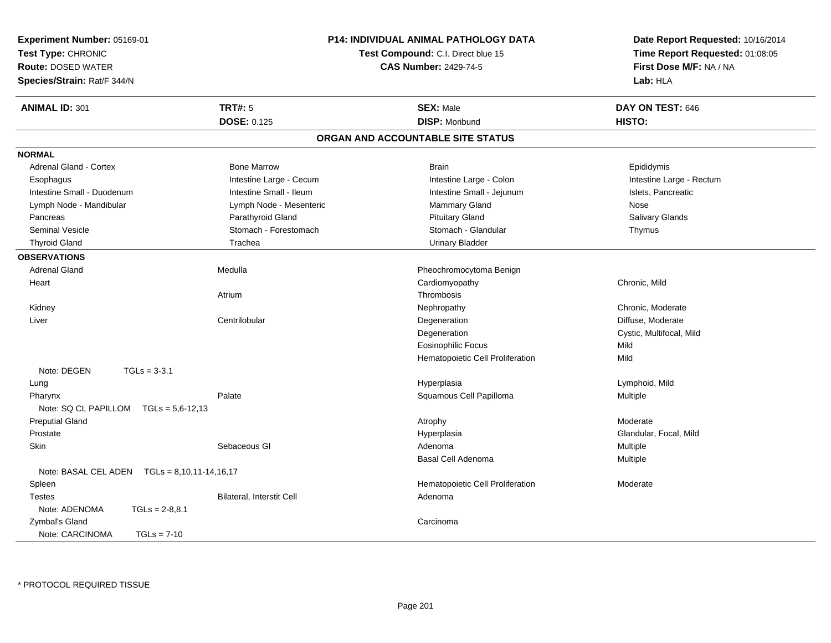| Experiment Number: 05169-01                     |                                    | <b>P14: INDIVIDUAL ANIMAL PATHOLOGY DATA</b> | Date Report Requested: 10/16/2014 |
|-------------------------------------------------|------------------------------------|----------------------------------------------|-----------------------------------|
| Test Type: CHRONIC                              | Test Compound: C.I. Direct blue 15 |                                              | Time Report Requested: 01:08:05   |
| <b>Route: DOSED WATER</b>                       |                                    | <b>CAS Number: 2429-74-5</b>                 | First Dose M/F: NA / NA           |
| Species/Strain: Rat/F 344/N                     |                                    |                                              | Lab: HLA                          |
| <b>ANIMAL ID: 301</b>                           | <b>TRT#: 5</b>                     | <b>SEX: Male</b>                             | DAY ON TEST: 646                  |
|                                                 | <b>DOSE: 0.125</b>                 | <b>DISP: Moribund</b>                        | HISTO:                            |
|                                                 |                                    | ORGAN AND ACCOUNTABLE SITE STATUS            |                                   |
| <b>NORMAL</b>                                   |                                    |                                              |                                   |
| <b>Adrenal Gland - Cortex</b>                   | <b>Bone Marrow</b>                 | <b>Brain</b>                                 | Epididymis                        |
| Esophagus                                       | Intestine Large - Cecum            | Intestine Large - Colon                      | Intestine Large - Rectum          |
| Intestine Small - Duodenum                      | Intestine Small - Ileum            | Intestine Small - Jejunum                    | Islets, Pancreatic                |
| Lymph Node - Mandibular                         | Lymph Node - Mesenteric            | Mammary Gland                                | Nose                              |
| Pancreas                                        | Parathyroid Gland                  | <b>Pituitary Gland</b>                       | <b>Salivary Glands</b>            |
| <b>Seminal Vesicle</b>                          | Stomach - Forestomach              | Stomach - Glandular                          | Thymus                            |
| <b>Thyroid Gland</b>                            | Trachea                            | <b>Urinary Bladder</b>                       |                                   |
| <b>OBSERVATIONS</b>                             |                                    |                                              |                                   |
| <b>Adrenal Gland</b>                            | Medulla                            | Pheochromocytoma Benign                      |                                   |
| Heart                                           |                                    | Cardiomyopathy                               | Chronic, Mild                     |
|                                                 | Atrium                             | Thrombosis                                   |                                   |
| Kidney                                          |                                    | Nephropathy                                  | Chronic, Moderate                 |
| Liver                                           | Centrilobular                      | Degeneration                                 | Diffuse, Moderate                 |
|                                                 |                                    | Degeneration                                 | Cystic, Multifocal, Mild          |
|                                                 |                                    | <b>Eosinophilic Focus</b>                    | Mild                              |
|                                                 |                                    | Hematopoietic Cell Proliferation             | Mild                              |
| Note: DEGEN<br>$TGLs = 3-3.1$                   |                                    |                                              |                                   |
| Lung                                            |                                    | Hyperplasia                                  | Lymphoid, Mild                    |
| Pharynx                                         | Palate                             | Squamous Cell Papilloma                      | Multiple                          |
| Note: $SQ CL PAPILLOM TGLs = 5.6-12.13$         |                                    |                                              |                                   |
| <b>Preputial Gland</b>                          |                                    | Atrophy                                      | Moderate                          |
| Prostate                                        |                                    | Hyperplasia                                  | Glandular, Focal, Mild            |
| <b>Skin</b>                                     | Sebaceous GI                       | Adenoma                                      | Multiple                          |
|                                                 |                                    | Basal Cell Adenoma                           | Multiple                          |
| Note: BASAL CEL ADEN    TGLs = 8,10,11-14,16,17 |                                    |                                              |                                   |
| Spleen                                          |                                    | Hematopoietic Cell Proliferation             | Moderate                          |
| <b>Testes</b>                                   | Bilateral, Interstit Cell          | Adenoma                                      |                                   |
| Note: ADENOMA<br>$TGLs = 2-8.8.1$               |                                    |                                              |                                   |
| Zymbal's Gland                                  |                                    | Carcinoma                                    |                                   |
| Note: CARCINOMA<br>$TGLs = 7-10$                |                                    |                                              |                                   |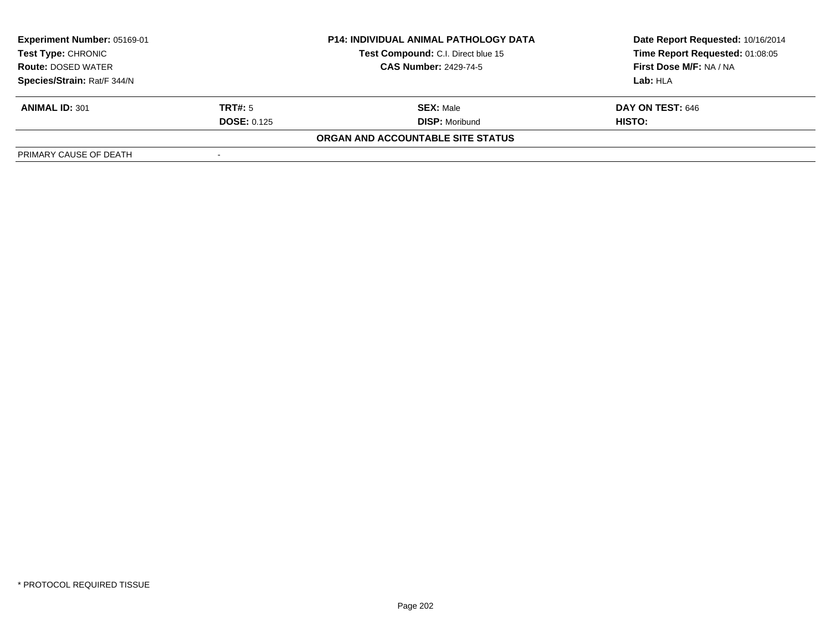| <b>Experiment Number: 05169-01</b> |                          | <b>P14: INDIVIDUAL ANIMAL PATHOLOGY DATA</b> | Date Report Requested: 10/16/2014 |
|------------------------------------|--------------------------|----------------------------------------------|-----------------------------------|
| Test Type: CHRONIC                 |                          | Test Compound: C.I. Direct blue 15           | Time Report Requested: 01:08:05   |
| <b>Route: DOSED WATER</b>          |                          | <b>CAS Number: 2429-74-5</b>                 | First Dose M/F: NA / NA           |
| Species/Strain: Rat/F 344/N        |                          |                                              | Lab: HLA                          |
| <b>ANIMAL ID: 301</b>              | TRT#: 5                  | <b>SEX: Male</b>                             | DAY ON TEST: 646                  |
|                                    | <b>DOSE: 0.125</b>       | <b>DISP: Moribund</b>                        | <b>HISTO:</b>                     |
|                                    |                          | ORGAN AND ACCOUNTABLE SITE STATUS            |                                   |
| PRIMARY CAUSE OF DEATH             | $\overline{\phantom{a}}$ |                                              |                                   |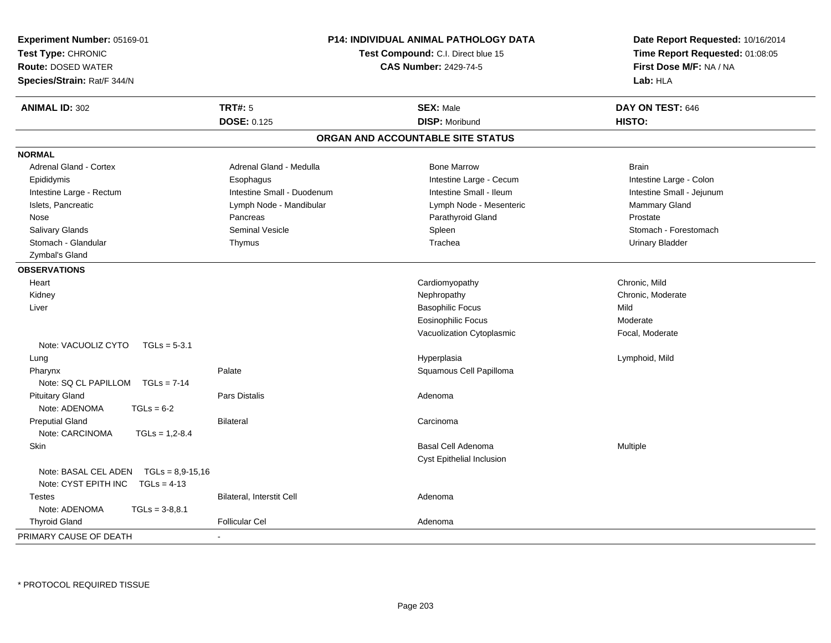| Experiment Number: 05169-01                  |                                                                    | <b>P14: INDIVIDUAL ANIMAL PATHOLOGY DATA</b> | Date Report Requested: 10/16/2014 |  |
|----------------------------------------------|--------------------------------------------------------------------|----------------------------------------------|-----------------------------------|--|
| Test Type: CHRONIC                           | Test Compound: C.I. Direct blue 15<br><b>CAS Number: 2429-74-5</b> |                                              | Time Report Requested: 01:08:05   |  |
| <b>Route: DOSED WATER</b>                    |                                                                    |                                              | First Dose M/F: NA / NA           |  |
| Species/Strain: Rat/F 344/N                  |                                                                    |                                              | Lab: HLA                          |  |
| <b>ANIMAL ID: 302</b>                        | <b>TRT#: 5</b>                                                     | <b>SEX: Male</b>                             | DAY ON TEST: 646                  |  |
|                                              | <b>DOSE: 0.125</b>                                                 | <b>DISP: Moribund</b>                        | HISTO:                            |  |
|                                              |                                                                    | ORGAN AND ACCOUNTABLE SITE STATUS            |                                   |  |
| <b>NORMAL</b>                                |                                                                    |                                              |                                   |  |
| Adrenal Gland - Cortex                       | Adrenal Gland - Medulla                                            | <b>Bone Marrow</b>                           | <b>Brain</b>                      |  |
| Epididymis                                   | Esophagus                                                          | Intestine Large - Cecum                      | Intestine Large - Colon           |  |
| Intestine Large - Rectum                     | Intestine Small - Duodenum                                         | Intestine Small - Ileum                      | Intestine Small - Jejunum         |  |
| Islets, Pancreatic                           | Lymph Node - Mandibular                                            | Lymph Node - Mesenteric                      | Mammary Gland                     |  |
| Nose                                         | Pancreas                                                           | Parathyroid Gland                            | Prostate                          |  |
| Salivary Glands                              | <b>Seminal Vesicle</b>                                             | Spleen                                       | Stomach - Forestomach             |  |
| Stomach - Glandular                          | Thymus                                                             | Trachea                                      | <b>Urinary Bladder</b>            |  |
| Zymbal's Gland                               |                                                                    |                                              |                                   |  |
| <b>OBSERVATIONS</b>                          |                                                                    |                                              |                                   |  |
| Heart                                        |                                                                    | Cardiomyopathy                               | Chronic, Mild                     |  |
| Kidney                                       |                                                                    | Nephropathy                                  | Chronic, Moderate                 |  |
| Liver                                        |                                                                    | <b>Basophilic Focus</b>                      | Mild                              |  |
|                                              |                                                                    | <b>Eosinophilic Focus</b>                    | Moderate                          |  |
|                                              |                                                                    | Vacuolization Cytoplasmic                    | Focal, Moderate                   |  |
| Note: VACUOLIZ CYTO<br>$TGLs = 5-3.1$        |                                                                    |                                              |                                   |  |
| Lung                                         |                                                                    | Hyperplasia                                  | Lymphoid, Mild                    |  |
| Pharynx                                      | Palate                                                             | Squamous Cell Papilloma                      |                                   |  |
| Note: $SQ CL PAPILLOM TGLs = 7-14$           |                                                                    |                                              |                                   |  |
| <b>Pituitary Gland</b>                       | Pars Distalis                                                      | Adenoma                                      |                                   |  |
| Note: ADENOMA<br>$TGLs = 6-2$                |                                                                    |                                              |                                   |  |
| <b>Preputial Gland</b>                       | <b>Bilateral</b>                                                   | Carcinoma                                    |                                   |  |
| Note: CARCINOMA<br>$TGLs = 1,2-8.4$          |                                                                    |                                              |                                   |  |
| Skin                                         |                                                                    | Basal Cell Adenoma                           | Multiple                          |  |
|                                              |                                                                    | Cyst Epithelial Inclusion                    |                                   |  |
| Note: BASAL CEL ADEN<br>$TGLs = 8.9 - 15.16$ |                                                                    |                                              |                                   |  |
| Note: CYST EPITH INC<br>$TGLs = 4-13$        |                                                                    |                                              |                                   |  |
| <b>Testes</b>                                | Bilateral, Interstit Cell                                          | Adenoma                                      |                                   |  |
| Note: ADENOMA<br>$TGLs = 3-8,8.1$            |                                                                    |                                              |                                   |  |
| <b>Thyroid Gland</b>                         | <b>Follicular Cel</b>                                              | Adenoma                                      |                                   |  |
| PRIMARY CAUSE OF DEATH                       |                                                                    |                                              |                                   |  |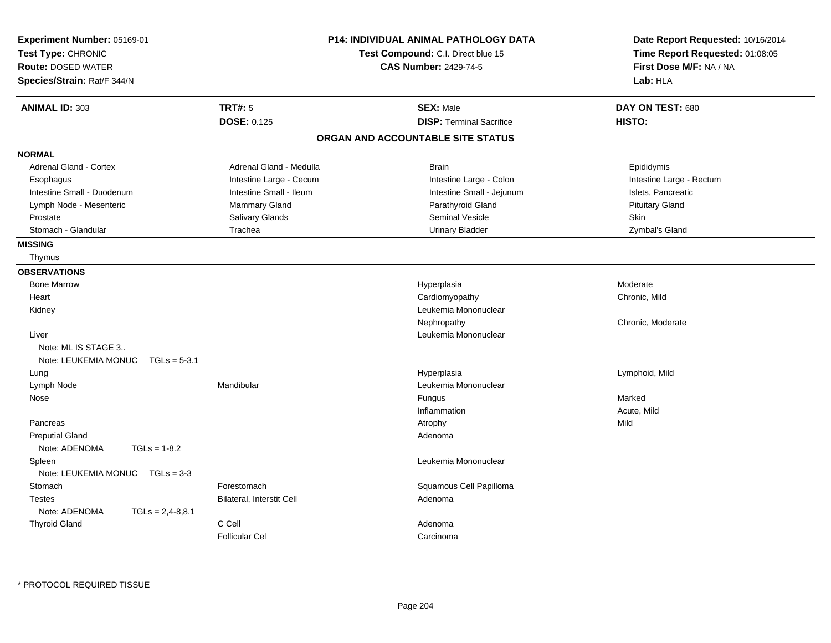| Experiment Number: 05169-01<br>Test Type: CHRONIC<br><b>Route: DOSED WATER</b> |                           | <b>P14: INDIVIDUAL ANIMAL PATHOLOGY DATA</b><br>Test Compound: C.I. Direct blue 15<br><b>CAS Number: 2429-74-5</b> | Date Report Requested: 10/16/2014<br>Time Report Requested: 01:08:05<br>First Dose M/F: NA / NA |
|--------------------------------------------------------------------------------|---------------------------|--------------------------------------------------------------------------------------------------------------------|-------------------------------------------------------------------------------------------------|
| Species/Strain: Rat/F 344/N                                                    |                           |                                                                                                                    | Lab: HLA                                                                                        |
|                                                                                |                           |                                                                                                                    |                                                                                                 |
| <b>ANIMAL ID: 303</b>                                                          | TRT#: 5                   | <b>SEX: Male</b>                                                                                                   | DAY ON TEST: 680                                                                                |
|                                                                                | <b>DOSE: 0.125</b>        | <b>DISP: Terminal Sacrifice</b>                                                                                    | HISTO:                                                                                          |
|                                                                                |                           | ORGAN AND ACCOUNTABLE SITE STATUS                                                                                  |                                                                                                 |
| <b>NORMAL</b>                                                                  |                           |                                                                                                                    |                                                                                                 |
| <b>Adrenal Gland - Cortex</b>                                                  | Adrenal Gland - Medulla   | <b>Brain</b>                                                                                                       | Epididymis                                                                                      |
| Esophagus                                                                      | Intestine Large - Cecum   | Intestine Large - Colon                                                                                            | Intestine Large - Rectum                                                                        |
| Intestine Small - Duodenum                                                     | Intestine Small - Ileum   | Intestine Small - Jejunum                                                                                          | Islets, Pancreatic                                                                              |
| Lymph Node - Mesenteric                                                        | Mammary Gland             | Parathyroid Gland                                                                                                  | <b>Pituitary Gland</b>                                                                          |
| Prostate                                                                       | Salivary Glands           | <b>Seminal Vesicle</b>                                                                                             | Skin                                                                                            |
| Stomach - Glandular                                                            | Trachea                   | <b>Urinary Bladder</b>                                                                                             | Zymbal's Gland                                                                                  |
| <b>MISSING</b>                                                                 |                           |                                                                                                                    |                                                                                                 |
| Thymus                                                                         |                           |                                                                                                                    |                                                                                                 |
| <b>OBSERVATIONS</b>                                                            |                           |                                                                                                                    |                                                                                                 |
| <b>Bone Marrow</b>                                                             |                           | Hyperplasia                                                                                                        | Moderate                                                                                        |
| Heart                                                                          |                           | Cardiomyopathy                                                                                                     | Chronic, Mild                                                                                   |
| Kidney                                                                         |                           | Leukemia Mononuclear                                                                                               |                                                                                                 |
|                                                                                |                           | Nephropathy                                                                                                        | Chronic, Moderate                                                                               |
| Liver                                                                          |                           | Leukemia Mononuclear                                                                                               |                                                                                                 |
| Note: ML IS STAGE 3                                                            |                           |                                                                                                                    |                                                                                                 |
| Note: LEUKEMIA MONUC TGLs = 5-3.1                                              |                           |                                                                                                                    |                                                                                                 |
| Lung                                                                           |                           | Hyperplasia                                                                                                        | Lymphoid, Mild                                                                                  |
| Lymph Node                                                                     | Mandibular                | Leukemia Mononuclear                                                                                               |                                                                                                 |
| Nose                                                                           |                           | Fungus                                                                                                             | Marked                                                                                          |
|                                                                                |                           | Inflammation                                                                                                       | Acute, Mild                                                                                     |
| Pancreas                                                                       |                           | Atrophy                                                                                                            | Mild                                                                                            |
| <b>Preputial Gland</b>                                                         |                           | Adenoma                                                                                                            |                                                                                                 |
| Note: ADENOMA<br>$TGLs = 1-8.2$                                                |                           |                                                                                                                    |                                                                                                 |
| Spleen                                                                         |                           | Leukemia Mononuclear                                                                                               |                                                                                                 |
| Note: LEUKEMIA MONUC $TGLs = 3-3$                                              |                           |                                                                                                                    |                                                                                                 |
| Stomach                                                                        | Forestomach               | Squamous Cell Papilloma                                                                                            |                                                                                                 |
| <b>Testes</b>                                                                  | Bilateral, Interstit Cell | Adenoma                                                                                                            |                                                                                                 |
| Note: ADENOMA<br>$TGLs = 2,4-8,8.1$                                            |                           |                                                                                                                    |                                                                                                 |
| <b>Thyroid Gland</b>                                                           | C Cell                    | Adenoma                                                                                                            |                                                                                                 |
|                                                                                | <b>Follicular Cel</b>     | Carcinoma                                                                                                          |                                                                                                 |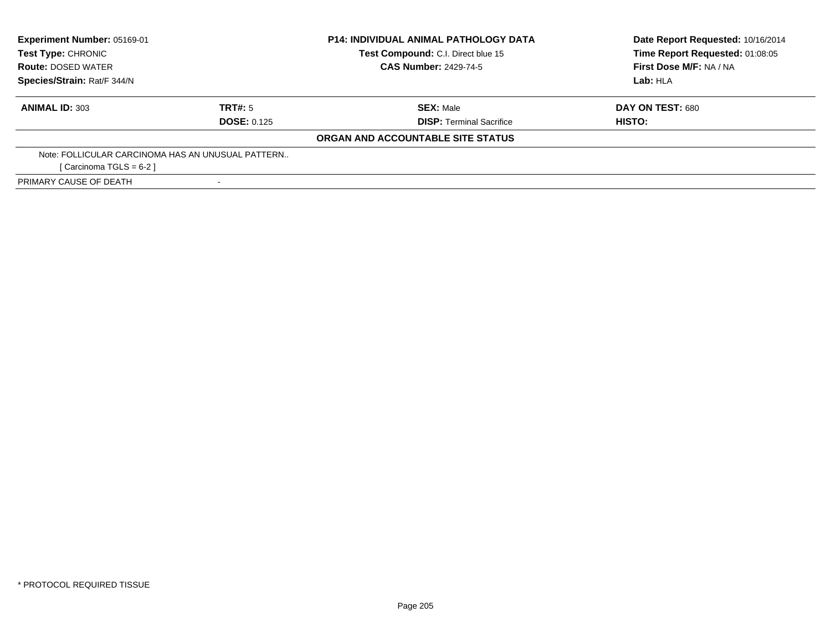| <b>Experiment Number: 05169-01</b><br>Test Type: CHRONIC |                    | <b>P14: INDIVIDUAL ANIMAL PATHOLOGY DATA</b> | Date Report Requested: 10/16/2014 |
|----------------------------------------------------------|--------------------|----------------------------------------------|-----------------------------------|
|                                                          |                    | Test Compound: C.I. Direct blue 15           | Time Report Requested: 01:08:05   |
| <b>Route: DOSED WATER</b>                                |                    | <b>CAS Number: 2429-74-5</b>                 | First Dose M/F: NA / NA           |
| Species/Strain: Rat/F 344/N                              |                    |                                              | Lab: HLA                          |
| <b>ANIMAL ID: 303</b>                                    | TRT#: 5            | <b>SEX: Male</b>                             | DAY ON TEST: 680                  |
|                                                          | <b>DOSE: 0.125</b> | <b>DISP:</b> Terminal Sacrifice              | HISTO:                            |
|                                                          |                    | ORGAN AND ACCOUNTABLE SITE STATUS            |                                   |
| Note: FOLLICULAR CARCINOMA HAS AN UNUSUAL PATTERN        |                    |                                              |                                   |
| [ Carcinoma TGLS = $6-2$ ]                               |                    |                                              |                                   |
| PRIMARY CAUSE OF DEATH                                   |                    |                                              |                                   |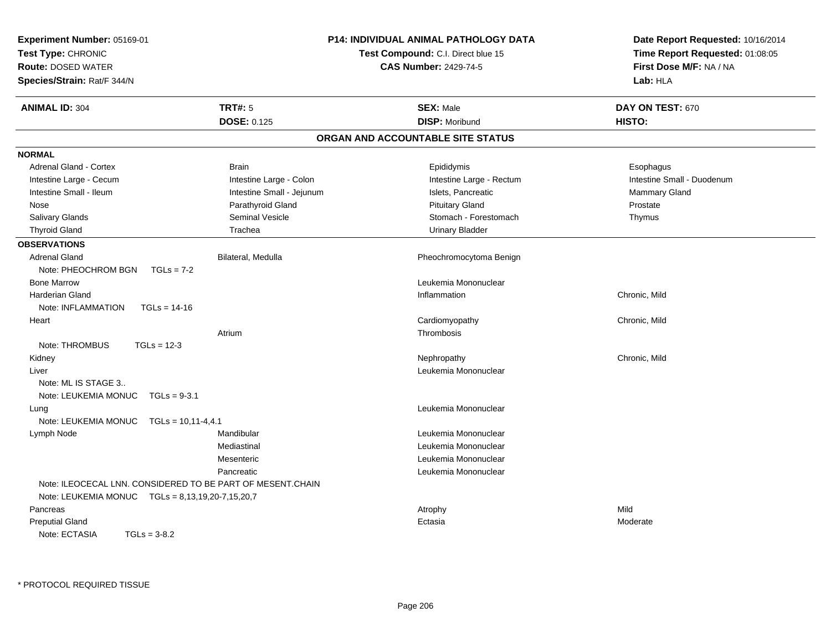| Experiment Number: 05169-01<br>Test Type: CHRONIC<br><b>Route: DOSED WATER</b><br>Species/Strain: Rat/F 344/N |                           | <b>P14: INDIVIDUAL ANIMAL PATHOLOGY DATA</b><br><b>Test Compound: C.I. Direct blue 15</b><br><b>CAS Number: 2429-74-5</b> | Date Report Requested: 10/16/2014<br>Time Report Requested: 01:08:05<br>First Dose M/F: NA / NA<br>Lab: HLA |
|---------------------------------------------------------------------------------------------------------------|---------------------------|---------------------------------------------------------------------------------------------------------------------------|-------------------------------------------------------------------------------------------------------------|
| <b>ANIMAL ID: 304</b>                                                                                         | <b>TRT#: 5</b>            | <b>SEX: Male</b>                                                                                                          | DAY ON TEST: 670                                                                                            |
|                                                                                                               | <b>DOSE: 0.125</b>        | <b>DISP: Moribund</b>                                                                                                     | HISTO:                                                                                                      |
|                                                                                                               |                           | ORGAN AND ACCOUNTABLE SITE STATUS                                                                                         |                                                                                                             |
| <b>NORMAL</b>                                                                                                 |                           |                                                                                                                           |                                                                                                             |
| Adrenal Gland - Cortex                                                                                        | <b>Brain</b>              | Epididymis                                                                                                                | Esophagus                                                                                                   |
| Intestine Large - Cecum                                                                                       | Intestine Large - Colon   | Intestine Large - Rectum                                                                                                  | Intestine Small - Duodenum                                                                                  |
| Intestine Small - Ileum                                                                                       | Intestine Small - Jejunum | Islets, Pancreatic                                                                                                        | <b>Mammary Gland</b>                                                                                        |
| Nose                                                                                                          | Parathyroid Gland         | <b>Pituitary Gland</b>                                                                                                    | Prostate                                                                                                    |
| Salivary Glands                                                                                               | <b>Seminal Vesicle</b>    | Stomach - Forestomach                                                                                                     | Thymus                                                                                                      |
| <b>Thyroid Gland</b>                                                                                          | Trachea                   | <b>Urinary Bladder</b>                                                                                                    |                                                                                                             |
| <b>OBSERVATIONS</b>                                                                                           |                           |                                                                                                                           |                                                                                                             |
| <b>Adrenal Gland</b>                                                                                          | Bilateral, Medulla        | Pheochromocytoma Benign                                                                                                   |                                                                                                             |
| Note: PHEOCHROM BGN<br>$TGLs = 7-2$                                                                           |                           |                                                                                                                           |                                                                                                             |
| <b>Bone Marrow</b>                                                                                            |                           | Leukemia Mononuclear                                                                                                      |                                                                                                             |
| <b>Harderian Gland</b>                                                                                        |                           | Inflammation                                                                                                              | Chronic, Mild                                                                                               |
| Note: INFLAMMATION<br>$TGLs = 14-16$                                                                          |                           |                                                                                                                           |                                                                                                             |
| Heart                                                                                                         |                           | Cardiomyopathy                                                                                                            | Chronic, Mild                                                                                               |
|                                                                                                               | Atrium                    | Thrombosis                                                                                                                |                                                                                                             |
| Note: THROMBUS<br>$TGLs = 12-3$                                                                               |                           |                                                                                                                           |                                                                                                             |
| Kidney                                                                                                        |                           | Nephropathy                                                                                                               | Chronic, Mild                                                                                               |
| Liver                                                                                                         |                           | Leukemia Mononuclear                                                                                                      |                                                                                                             |
| Note: ML IS STAGE 3                                                                                           |                           |                                                                                                                           |                                                                                                             |
| Note: LEUKEMIA MONUC<br>$TGLs = 9-3.1$                                                                        |                           |                                                                                                                           |                                                                                                             |
| Lung                                                                                                          |                           | Leukemia Mononuclear                                                                                                      |                                                                                                             |
| Note: LEUKEMIA MONUC                                                                                          | $TGLs = 10, 11-4, 4.1$    |                                                                                                                           |                                                                                                             |
| Lymph Node                                                                                                    | Mandibular                | Leukemia Mononuclear                                                                                                      |                                                                                                             |
|                                                                                                               | Mediastinal               | Leukemia Mononuclear                                                                                                      |                                                                                                             |
|                                                                                                               | Mesenteric                | Leukemia Mononuclear                                                                                                      |                                                                                                             |
|                                                                                                               | Pancreatic                | Leukemia Mononuclear                                                                                                      |                                                                                                             |
| Note: ILEOCECAL LNN. CONSIDERED TO BE PART OF MESENT.CHAIN                                                    |                           |                                                                                                                           |                                                                                                             |
| Note: LEUKEMIA MONUC    TGLs = 8,13,19,20-7,15,20,7                                                           |                           |                                                                                                                           |                                                                                                             |
| Pancreas                                                                                                      |                           | Atrophy                                                                                                                   | Mild                                                                                                        |
| <b>Preputial Gland</b>                                                                                        |                           | Ectasia                                                                                                                   | Moderate                                                                                                    |
| Note: ECTASIA<br>$TGLs = 3-8.2$                                                                               |                           |                                                                                                                           |                                                                                                             |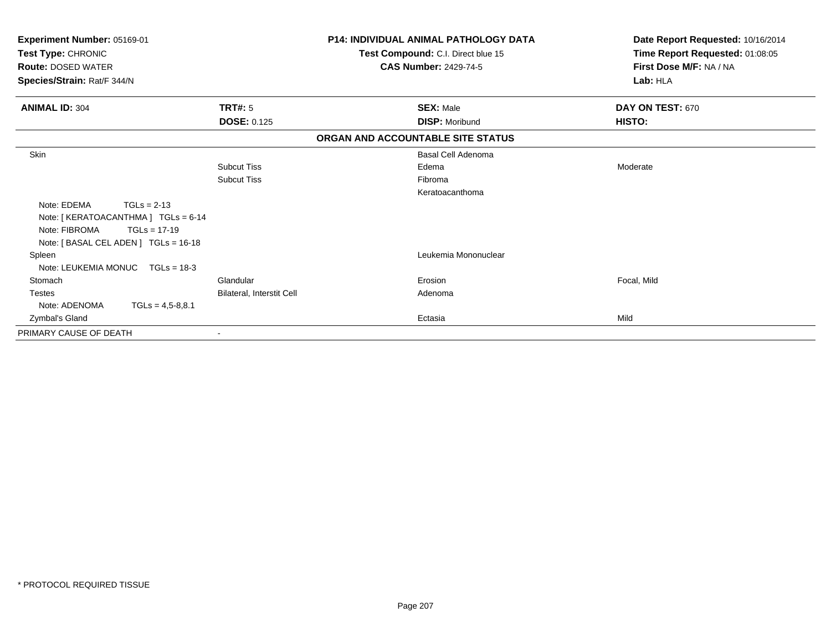| Experiment Number: 05169-01<br>Test Type: CHRONIC<br><b>Route: DOSED WATER</b><br>Species/Strain: Rat/F 344/N |                                  | <b>P14: INDIVIDUAL ANIMAL PATHOLOGY DATA</b><br>Test Compound: C.I. Direct blue 15<br><b>CAS Number: 2429-74-5</b> | Date Report Requested: 10/16/2014<br>Time Report Requested: 01:08:05<br>First Dose M/F: NA / NA<br>Lab: HLA |
|---------------------------------------------------------------------------------------------------------------|----------------------------------|--------------------------------------------------------------------------------------------------------------------|-------------------------------------------------------------------------------------------------------------|
| <b>ANIMAL ID: 304</b>                                                                                         | <b>TRT#: 5</b>                   | <b>SEX: Male</b>                                                                                                   | DAY ON TEST: 670                                                                                            |
|                                                                                                               | <b>DOSE: 0.125</b>               | <b>DISP: Moribund</b>                                                                                              | <b>HISTO:</b>                                                                                               |
|                                                                                                               |                                  | ORGAN AND ACCOUNTABLE SITE STATUS                                                                                  |                                                                                                             |
| Skin                                                                                                          |                                  | <b>Basal Cell Adenoma</b>                                                                                          |                                                                                                             |
|                                                                                                               | <b>Subcut Tiss</b>               | Edema                                                                                                              | Moderate                                                                                                    |
|                                                                                                               | <b>Subcut Tiss</b>               | Fibroma                                                                                                            |                                                                                                             |
|                                                                                                               |                                  | Keratoacanthoma                                                                                                    |                                                                                                             |
| Note: EDEMA<br>$TGLs = 2-13$                                                                                  |                                  |                                                                                                                    |                                                                                                             |
| Note: [KERATOACANTHMA] TGLs = 6-14                                                                            |                                  |                                                                                                                    |                                                                                                             |
| Note: FIBROMA<br>$TGLs = 17-19$                                                                               |                                  |                                                                                                                    |                                                                                                             |
| Note: [BASAL CEL ADEN] TGLs = 16-18                                                                           |                                  |                                                                                                                    |                                                                                                             |
| Spleen                                                                                                        |                                  | Leukemia Mononuclear                                                                                               |                                                                                                             |
| Note: LEUKEMIA MONUC<br>$TGLs = 18-3$                                                                         |                                  |                                                                                                                    |                                                                                                             |
| Stomach                                                                                                       | Glandular                        | Erosion                                                                                                            | Focal, Mild                                                                                                 |
| <b>Testes</b>                                                                                                 | <b>Bilateral, Interstit Cell</b> | Adenoma                                                                                                            |                                                                                                             |
| Note: ADENOMA<br>$TGLs = 4.5 - 8.8.1$                                                                         |                                  |                                                                                                                    |                                                                                                             |
| Zymbal's Gland                                                                                                |                                  | Ectasia                                                                                                            | Mild                                                                                                        |
| PRIMARY CAUSE OF DEATH                                                                                        |                                  |                                                                                                                    |                                                                                                             |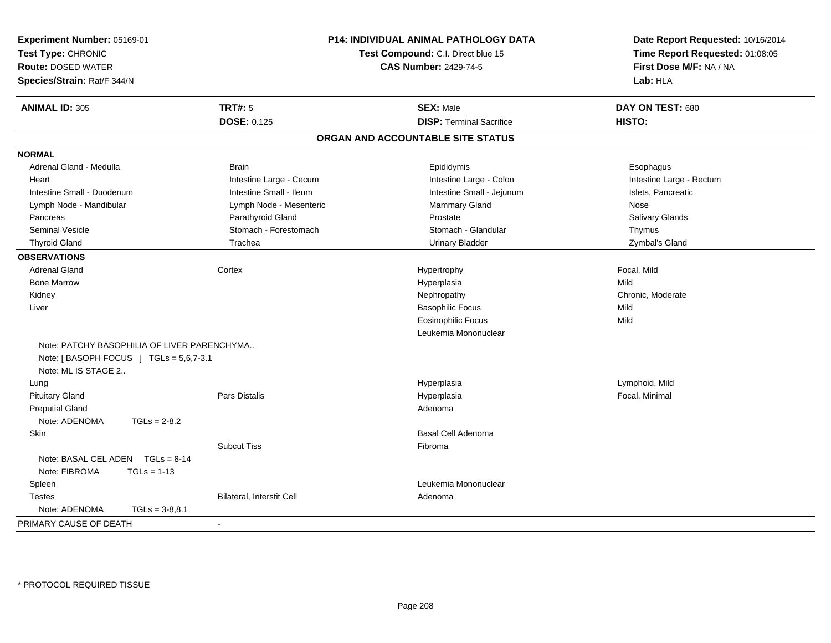| Experiment Number: 05169-01<br>Test Type: CHRONIC<br><b>Route: DOSED WATER</b><br>Species/Strain: Rat/F 344/N |                                                                                       |                           | P14: INDIVIDUAL ANIMAL PATHOLOGY DATA<br>Test Compound: C.I. Direct blue 15<br><b>CAS Number: 2429-74-5</b> | Date Report Requested: 10/16/2014<br>Time Report Requested: 01:08:05<br>First Dose M/F: NA / NA<br>Lab: HLA |
|---------------------------------------------------------------------------------------------------------------|---------------------------------------------------------------------------------------|---------------------------|-------------------------------------------------------------------------------------------------------------|-------------------------------------------------------------------------------------------------------------|
| <b>ANIMAL ID: 305</b>                                                                                         |                                                                                       | <b>TRT#: 5</b>            | <b>SEX: Male</b>                                                                                            | DAY ON TEST: 680                                                                                            |
|                                                                                                               |                                                                                       | <b>DOSE: 0.125</b>        | <b>DISP: Terminal Sacrifice</b>                                                                             | HISTO:                                                                                                      |
|                                                                                                               |                                                                                       |                           | ORGAN AND ACCOUNTABLE SITE STATUS                                                                           |                                                                                                             |
| <b>NORMAL</b>                                                                                                 |                                                                                       |                           |                                                                                                             |                                                                                                             |
| Adrenal Gland - Medulla                                                                                       |                                                                                       | <b>Brain</b>              | Epididymis                                                                                                  | Esophagus                                                                                                   |
| Heart                                                                                                         |                                                                                       | Intestine Large - Cecum   | Intestine Large - Colon                                                                                     | Intestine Large - Rectum                                                                                    |
| Intestine Small - Duodenum                                                                                    |                                                                                       | Intestine Small - Ileum   | Intestine Small - Jejunum                                                                                   | Islets, Pancreatic                                                                                          |
| Lymph Node - Mandibular                                                                                       |                                                                                       | Lymph Node - Mesenteric   | Mammary Gland                                                                                               | Nose                                                                                                        |
| Pancreas                                                                                                      |                                                                                       | Parathyroid Gland         | Prostate                                                                                                    | Salivary Glands                                                                                             |
| <b>Seminal Vesicle</b>                                                                                        |                                                                                       | Stomach - Forestomach     | Stomach - Glandular                                                                                         | Thymus                                                                                                      |
| <b>Thyroid Gland</b>                                                                                          |                                                                                       | Trachea                   | <b>Urinary Bladder</b>                                                                                      | Zymbal's Gland                                                                                              |
| <b>OBSERVATIONS</b>                                                                                           |                                                                                       |                           |                                                                                                             |                                                                                                             |
| <b>Adrenal Gland</b>                                                                                          |                                                                                       | Cortex                    | Hypertrophy                                                                                                 | Focal, Mild                                                                                                 |
| <b>Bone Marrow</b>                                                                                            |                                                                                       |                           | Hyperplasia                                                                                                 | Mild                                                                                                        |
| Kidney                                                                                                        |                                                                                       |                           | Nephropathy                                                                                                 | Chronic, Moderate                                                                                           |
| Liver                                                                                                         |                                                                                       |                           | <b>Basophilic Focus</b>                                                                                     | Mild                                                                                                        |
|                                                                                                               |                                                                                       |                           | <b>Eosinophilic Focus</b>                                                                                   | Mild                                                                                                        |
|                                                                                                               |                                                                                       |                           | Leukemia Mononuclear                                                                                        |                                                                                                             |
| Note: ML IS STAGE 2                                                                                           | Note: PATCHY BASOPHILIA OF LIVER PARENCHYMA<br>Note: [BASOPH FOCUS ] TGLs = 5,6,7-3.1 |                           |                                                                                                             |                                                                                                             |
| Lung                                                                                                          |                                                                                       |                           | Hyperplasia                                                                                                 | Lymphoid, Mild                                                                                              |
| <b>Pituitary Gland</b>                                                                                        |                                                                                       | <b>Pars Distalis</b>      | Hyperplasia                                                                                                 | Focal, Minimal                                                                                              |
| <b>Preputial Gland</b>                                                                                        |                                                                                       |                           | Adenoma                                                                                                     |                                                                                                             |
| Note: ADENOMA                                                                                                 | $TGLs = 2-8.2$                                                                        |                           |                                                                                                             |                                                                                                             |
| Skin                                                                                                          |                                                                                       |                           | <b>Basal Cell Adenoma</b>                                                                                   |                                                                                                             |
|                                                                                                               |                                                                                       | <b>Subcut Tiss</b>        | Fibroma                                                                                                     |                                                                                                             |
| Note: BASAL CEL ADEN $TGLs = 8-14$<br>Note: FIBROMA                                                           | $TGLs = 1-13$                                                                         |                           |                                                                                                             |                                                                                                             |
| Spleen                                                                                                        |                                                                                       |                           | Leukemia Mononuclear                                                                                        |                                                                                                             |
| <b>Testes</b>                                                                                                 |                                                                                       | Bilateral, Interstit Cell | Adenoma                                                                                                     |                                                                                                             |
| Note: ADENOMA                                                                                                 | $TGLs = 3-8,8.1$                                                                      |                           |                                                                                                             |                                                                                                             |
| PRIMARY CAUSE OF DEATH                                                                                        |                                                                                       | $\mathbf{r}$              |                                                                                                             |                                                                                                             |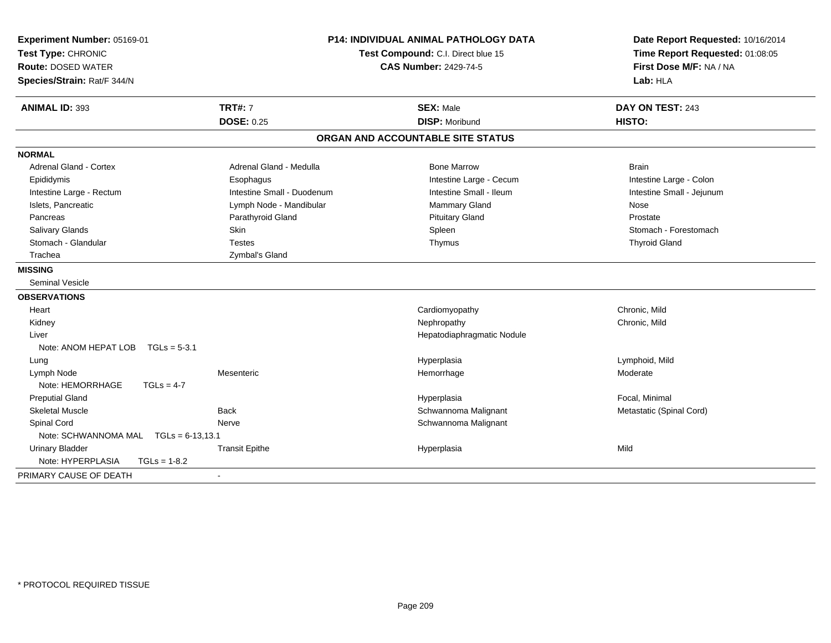| Experiment Number: 05169-01<br>Test Type: CHRONIC<br><b>Route: DOSED WATER</b><br>Species/Strain: Rat/F 344/N | <b>P14: INDIVIDUAL ANIMAL PATHOLOGY DATA</b><br>Test Compound: C.I. Direct blue 15<br><b>CAS Number: 2429-74-5</b> |                                   | Date Report Requested: 10/16/2014<br>Time Report Requested: 01:08:05<br>First Dose M/F: NA / NA<br>Lab: HLA |  |
|---------------------------------------------------------------------------------------------------------------|--------------------------------------------------------------------------------------------------------------------|-----------------------------------|-------------------------------------------------------------------------------------------------------------|--|
| <b>ANIMAL ID: 393</b>                                                                                         | <b>TRT#: 7</b>                                                                                                     | <b>SEX: Male</b>                  | DAY ON TEST: 243                                                                                            |  |
|                                                                                                               | <b>DOSE: 0.25</b>                                                                                                  | <b>DISP: Moribund</b>             | HISTO:                                                                                                      |  |
|                                                                                                               |                                                                                                                    | ORGAN AND ACCOUNTABLE SITE STATUS |                                                                                                             |  |
| <b>NORMAL</b>                                                                                                 |                                                                                                                    |                                   |                                                                                                             |  |
| <b>Adrenal Gland - Cortex</b>                                                                                 | Adrenal Gland - Medulla                                                                                            | <b>Bone Marrow</b>                | <b>Brain</b>                                                                                                |  |
| Epididymis                                                                                                    | Esophagus                                                                                                          | Intestine Large - Cecum           | Intestine Large - Colon                                                                                     |  |
| Intestine Large - Rectum                                                                                      | Intestine Small - Duodenum                                                                                         | Intestine Small - Ileum           | Intestine Small - Jejunum                                                                                   |  |
| Islets, Pancreatic                                                                                            | Lymph Node - Mandibular                                                                                            | <b>Mammary Gland</b>              | Nose                                                                                                        |  |
| Pancreas                                                                                                      | Parathyroid Gland                                                                                                  | <b>Pituitary Gland</b>            | Prostate                                                                                                    |  |
| Salivary Glands                                                                                               | Skin                                                                                                               | Spleen                            | Stomach - Forestomach                                                                                       |  |
| Stomach - Glandular                                                                                           | <b>Testes</b>                                                                                                      | Thymus                            | <b>Thyroid Gland</b>                                                                                        |  |
| Trachea                                                                                                       | Zymbal's Gland                                                                                                     |                                   |                                                                                                             |  |
| <b>MISSING</b>                                                                                                |                                                                                                                    |                                   |                                                                                                             |  |
| <b>Seminal Vesicle</b>                                                                                        |                                                                                                                    |                                   |                                                                                                             |  |
| <b>OBSERVATIONS</b>                                                                                           |                                                                                                                    |                                   |                                                                                                             |  |
| Heart                                                                                                         |                                                                                                                    | Cardiomyopathy                    | Chronic, Mild                                                                                               |  |
| Kidney                                                                                                        |                                                                                                                    | Nephropathy                       | Chronic, Mild                                                                                               |  |
| Liver                                                                                                         |                                                                                                                    | Hepatodiaphragmatic Nodule        |                                                                                                             |  |
| Note: ANOM HEPAT LOB                                                                                          | $TGLs = 5-3.1$                                                                                                     |                                   |                                                                                                             |  |
| Lung                                                                                                          |                                                                                                                    | Hyperplasia                       | Lymphoid, Mild                                                                                              |  |
| Lymph Node                                                                                                    | Mesenteric                                                                                                         | Hemorrhage                        | Moderate                                                                                                    |  |
| Note: HEMORRHAGE                                                                                              | $TGLs = 4-7$                                                                                                       |                                   |                                                                                                             |  |
| <b>Preputial Gland</b>                                                                                        |                                                                                                                    | Hyperplasia                       | Focal, Minimal                                                                                              |  |
| <b>Skeletal Muscle</b>                                                                                        | <b>Back</b>                                                                                                        | Schwannoma Malignant              | Metastatic (Spinal Cord)                                                                                    |  |
| Spinal Cord                                                                                                   | Nerve                                                                                                              | Schwannoma Malignant              |                                                                                                             |  |
| Note: SCHWANNOMA MAL TGLs = 6-13,13.1                                                                         |                                                                                                                    |                                   |                                                                                                             |  |
| <b>Urinary Bladder</b>                                                                                        | <b>Transit Epithe</b>                                                                                              | Hyperplasia                       | Mild                                                                                                        |  |
| Note: HYPERPLASIA                                                                                             | $TGLs = 1-8.2$                                                                                                     |                                   |                                                                                                             |  |
| PRIMARY CAUSE OF DEATH                                                                                        | $\blacksquare$                                                                                                     |                                   |                                                                                                             |  |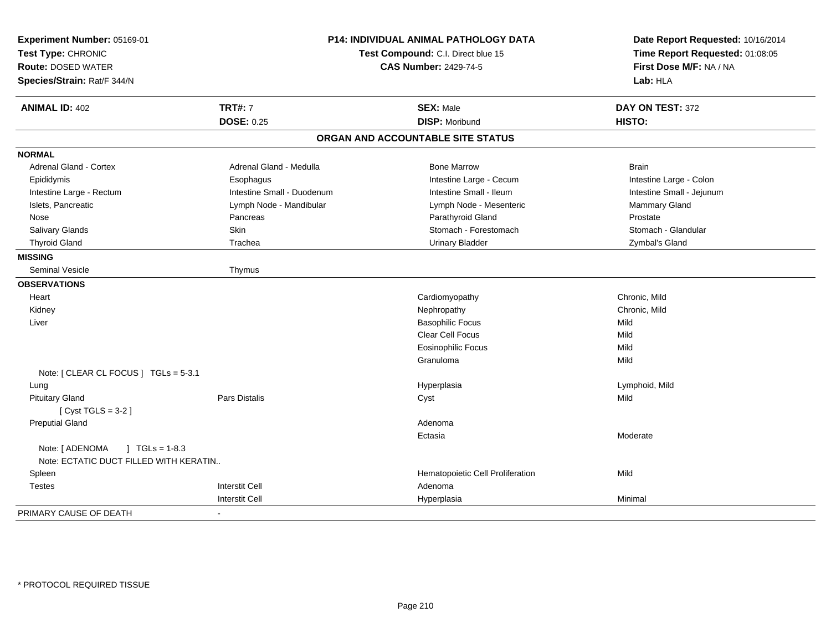| Experiment Number: 05169-01<br>Test Type: CHRONIC<br><b>Route: DOSED WATER</b><br>Species/Strain: Rat/F 344/N |                            | P14: INDIVIDUAL ANIMAL PATHOLOGY DATA<br>Test Compound: C.I. Direct blue 15<br><b>CAS Number: 2429-74-5</b> | Date Report Requested: 10/16/2014<br>Time Report Requested: 01:08:05<br>First Dose M/F: NA / NA<br>Lab: HLA |
|---------------------------------------------------------------------------------------------------------------|----------------------------|-------------------------------------------------------------------------------------------------------------|-------------------------------------------------------------------------------------------------------------|
| <b>ANIMAL ID: 402</b>                                                                                         | <b>TRT#: 7</b>             | <b>SEX: Male</b>                                                                                            | DAY ON TEST: 372                                                                                            |
|                                                                                                               | <b>DOSE: 0.25</b>          | <b>DISP: Moribund</b>                                                                                       | HISTO:                                                                                                      |
|                                                                                                               |                            | ORGAN AND ACCOUNTABLE SITE STATUS                                                                           |                                                                                                             |
| <b>NORMAL</b>                                                                                                 |                            |                                                                                                             |                                                                                                             |
| Adrenal Gland - Cortex                                                                                        | Adrenal Gland - Medulla    | <b>Bone Marrow</b>                                                                                          | <b>Brain</b>                                                                                                |
| Epididymis                                                                                                    | Esophagus                  | Intestine Large - Cecum                                                                                     | Intestine Large - Colon                                                                                     |
| Intestine Large - Rectum                                                                                      | Intestine Small - Duodenum | Intestine Small - Ileum                                                                                     | Intestine Small - Jejunum                                                                                   |
| Islets, Pancreatic                                                                                            | Lymph Node - Mandibular    | Lymph Node - Mesenteric                                                                                     | Mammary Gland                                                                                               |
| Nose                                                                                                          | Pancreas                   | Parathyroid Gland                                                                                           | Prostate                                                                                                    |
| Salivary Glands                                                                                               | Skin                       | Stomach - Forestomach                                                                                       | Stomach - Glandular                                                                                         |
| <b>Thyroid Gland</b>                                                                                          | Trachea                    | <b>Urinary Bladder</b>                                                                                      | Zymbal's Gland                                                                                              |
| <b>MISSING</b>                                                                                                |                            |                                                                                                             |                                                                                                             |
| <b>Seminal Vesicle</b>                                                                                        | Thymus                     |                                                                                                             |                                                                                                             |
| <b>OBSERVATIONS</b>                                                                                           |                            |                                                                                                             |                                                                                                             |
| Heart                                                                                                         |                            | Cardiomyopathy                                                                                              | Chronic, Mild                                                                                               |
| Kidney                                                                                                        |                            | Nephropathy                                                                                                 | Chronic, Mild                                                                                               |
| Liver                                                                                                         |                            | <b>Basophilic Focus</b>                                                                                     | Mild                                                                                                        |
|                                                                                                               |                            | Clear Cell Focus                                                                                            | Mild                                                                                                        |
|                                                                                                               |                            | <b>Eosinophilic Focus</b>                                                                                   | Mild                                                                                                        |
|                                                                                                               |                            | Granuloma                                                                                                   | Mild                                                                                                        |
| Note: [ CLEAR CL FOCUS ] TGLs = 5-3.1                                                                         |                            |                                                                                                             |                                                                                                             |
| Lung                                                                                                          |                            | Hyperplasia                                                                                                 | Lymphoid, Mild                                                                                              |
| <b>Pituitary Gland</b>                                                                                        | <b>Pars Distalis</b>       | Cyst                                                                                                        | Mild                                                                                                        |
| [Cyst TGLS = $3-2$ ]                                                                                          |                            |                                                                                                             |                                                                                                             |
| <b>Preputial Gland</b>                                                                                        |                            | Adenoma                                                                                                     |                                                                                                             |
|                                                                                                               |                            | Ectasia                                                                                                     | Moderate                                                                                                    |
| Note: [ ADENOMA<br>$\sqrt{1}$ TGLs = 1-8.3<br>Note: ECTATIC DUCT FILLED WITH KERATIN                          |                            |                                                                                                             |                                                                                                             |
| Spleen                                                                                                        |                            | Hematopoietic Cell Proliferation                                                                            | Mild                                                                                                        |
| <b>Testes</b>                                                                                                 | <b>Interstit Cell</b>      | Adenoma                                                                                                     |                                                                                                             |
|                                                                                                               | <b>Interstit Cell</b>      | Hyperplasia                                                                                                 | Minimal                                                                                                     |
| PRIMARY CAUSE OF DEATH                                                                                        | $\blacksquare$             |                                                                                                             |                                                                                                             |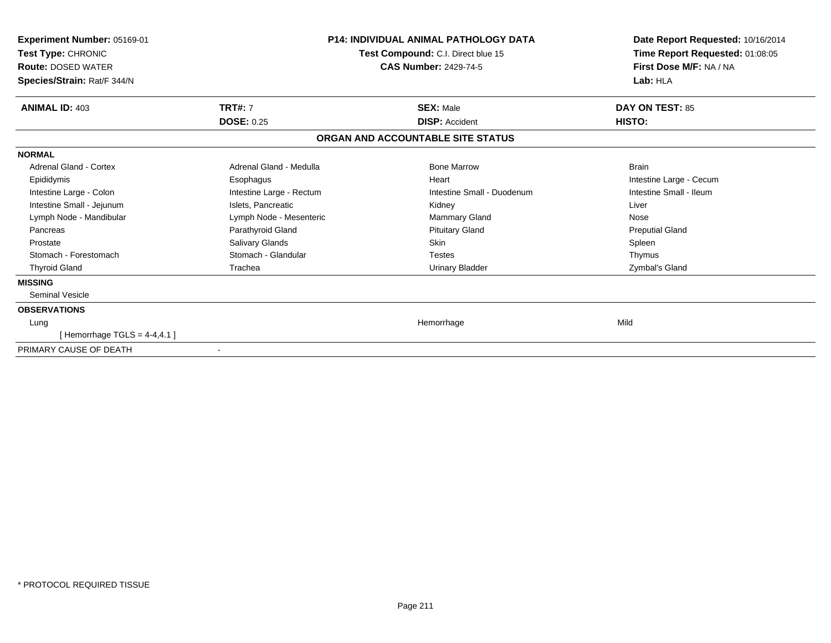| <b>Experiment Number: 05169-01</b><br>Test Type: CHRONIC<br><b>Route: DOSED WATER</b><br>Species/Strain: Rat/F 344/N | Test Compound: C.I. Direct blue 15<br><b>CAS Number: 2429-74-5</b> |                                   | <b>P14: INDIVIDUAL ANIMAL PATHOLOGY DATA</b> |  | Date Report Requested: 10/16/2014<br>Time Report Requested: 01:08:05<br>First Dose M/F: NA / NA<br>Lab: HLA |
|----------------------------------------------------------------------------------------------------------------------|--------------------------------------------------------------------|-----------------------------------|----------------------------------------------|--|-------------------------------------------------------------------------------------------------------------|
| <b>ANIMAL ID: 403</b>                                                                                                | <b>TRT#: 7</b>                                                     | <b>SEX: Male</b>                  | DAY ON TEST: 85                              |  |                                                                                                             |
|                                                                                                                      | <b>DOSE: 0.25</b>                                                  | <b>DISP: Accident</b>             | HISTO:                                       |  |                                                                                                             |
|                                                                                                                      |                                                                    | ORGAN AND ACCOUNTABLE SITE STATUS |                                              |  |                                                                                                             |
| <b>NORMAL</b>                                                                                                        |                                                                    |                                   |                                              |  |                                                                                                             |
| Adrenal Gland - Cortex                                                                                               | Adrenal Gland - Medulla                                            | <b>Bone Marrow</b>                | <b>Brain</b>                                 |  |                                                                                                             |
| Epididymis                                                                                                           | Esophagus                                                          | Heart                             | Intestine Large - Cecum                      |  |                                                                                                             |
| Intestine Large - Colon                                                                                              | Intestine Large - Rectum                                           | Intestine Small - Duodenum        | Intestine Small - Ileum                      |  |                                                                                                             |
| Intestine Small - Jejunum                                                                                            | Islets, Pancreatic                                                 | Kidney                            | Liver                                        |  |                                                                                                             |
| Lymph Node - Mandibular                                                                                              | Lymph Node - Mesenteric                                            | Mammary Gland                     | Nose                                         |  |                                                                                                             |
| Pancreas                                                                                                             | Parathyroid Gland                                                  | <b>Pituitary Gland</b>            | <b>Preputial Gland</b>                       |  |                                                                                                             |
| Prostate                                                                                                             | <b>Salivary Glands</b>                                             | Skin                              | Spleen                                       |  |                                                                                                             |
| Stomach - Forestomach                                                                                                | Stomach - Glandular                                                | <b>Testes</b>                     | Thymus                                       |  |                                                                                                             |
| <b>Thyroid Gland</b>                                                                                                 | Trachea                                                            | Urinary Bladder                   | Zymbal's Gland                               |  |                                                                                                             |
| <b>MISSING</b>                                                                                                       |                                                                    |                                   |                                              |  |                                                                                                             |
| <b>Seminal Vesicle</b>                                                                                               |                                                                    |                                   |                                              |  |                                                                                                             |
| <b>OBSERVATIONS</b>                                                                                                  |                                                                    |                                   |                                              |  |                                                                                                             |
| Lung                                                                                                                 |                                                                    | Hemorrhage                        | Mild                                         |  |                                                                                                             |
| [Hemorrhage TGLS = $4-4,4.1$ ]                                                                                       |                                                                    |                                   |                                              |  |                                                                                                             |
| PRIMARY CAUSE OF DEATH                                                                                               |                                                                    |                                   |                                              |  |                                                                                                             |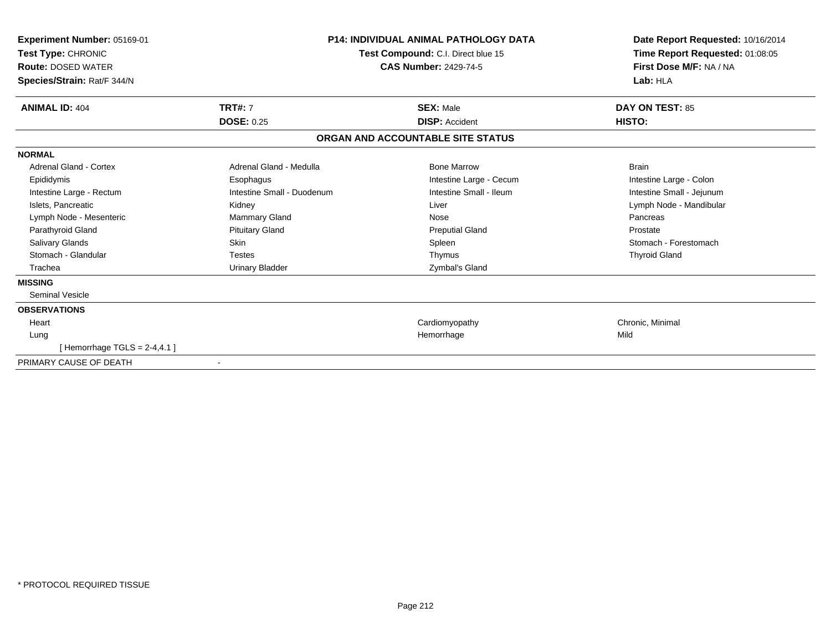| Experiment Number: 05169-01<br>Test Type: CHRONIC<br><b>Route: DOSED WATER</b><br>Species/Strain: Rat/F 344/N |                            | <b>P14: INDIVIDUAL ANIMAL PATHOLOGY DATA</b><br>Test Compound: C.I. Direct blue 15<br><b>CAS Number: 2429-74-5</b> | Date Report Requested: 10/16/2014<br>Time Report Requested: 01:08:05<br>First Dose M/F: NA / NA<br>Lab: HLA |
|---------------------------------------------------------------------------------------------------------------|----------------------------|--------------------------------------------------------------------------------------------------------------------|-------------------------------------------------------------------------------------------------------------|
| <b>ANIMAL ID: 404</b>                                                                                         | <b>TRT#: 7</b>             | <b>SEX: Male</b>                                                                                                   | <b>DAY ON TEST: 85</b>                                                                                      |
|                                                                                                               | <b>DOSE: 0.25</b>          | <b>DISP:</b> Accident                                                                                              | HISTO:                                                                                                      |
|                                                                                                               |                            | ORGAN AND ACCOUNTABLE SITE STATUS                                                                                  |                                                                                                             |
| <b>NORMAL</b>                                                                                                 |                            |                                                                                                                    |                                                                                                             |
| <b>Adrenal Gland - Cortex</b>                                                                                 | Adrenal Gland - Medulla    | <b>Bone Marrow</b>                                                                                                 | <b>Brain</b>                                                                                                |
| Epididymis                                                                                                    | Esophagus                  | Intestine Large - Cecum                                                                                            | Intestine Large - Colon                                                                                     |
| Intestine Large - Rectum                                                                                      | Intestine Small - Duodenum | Intestine Small - Ileum                                                                                            | Intestine Small - Jejunum                                                                                   |
| Islets, Pancreatic                                                                                            | Kidney                     | Liver                                                                                                              | Lymph Node - Mandibular                                                                                     |
| Lymph Node - Mesenteric                                                                                       | <b>Mammary Gland</b>       | Nose                                                                                                               | Pancreas                                                                                                    |
| Parathyroid Gland                                                                                             | <b>Pituitary Gland</b>     | <b>Preputial Gland</b>                                                                                             | Prostate                                                                                                    |
| Salivary Glands                                                                                               | Skin                       | Spleen                                                                                                             | Stomach - Forestomach                                                                                       |
| Stomach - Glandular                                                                                           | Testes                     | Thymus                                                                                                             | <b>Thyroid Gland</b>                                                                                        |
| Trachea                                                                                                       | <b>Urinary Bladder</b>     | Zymbal's Gland                                                                                                     |                                                                                                             |
| <b>MISSING</b>                                                                                                |                            |                                                                                                                    |                                                                                                             |
| <b>Seminal Vesicle</b>                                                                                        |                            |                                                                                                                    |                                                                                                             |
| <b>OBSERVATIONS</b>                                                                                           |                            |                                                                                                                    |                                                                                                             |
| Heart                                                                                                         |                            | Cardiomyopathy                                                                                                     | Chronic, Minimal                                                                                            |
| Lung                                                                                                          |                            | Hemorrhage                                                                                                         | Mild                                                                                                        |
| [Hemorrhage TGLS = $2-4,4.1$ ]                                                                                |                            |                                                                                                                    |                                                                                                             |
| PRIMARY CAUSE OF DEATH                                                                                        | $\blacksquare$             |                                                                                                                    |                                                                                                             |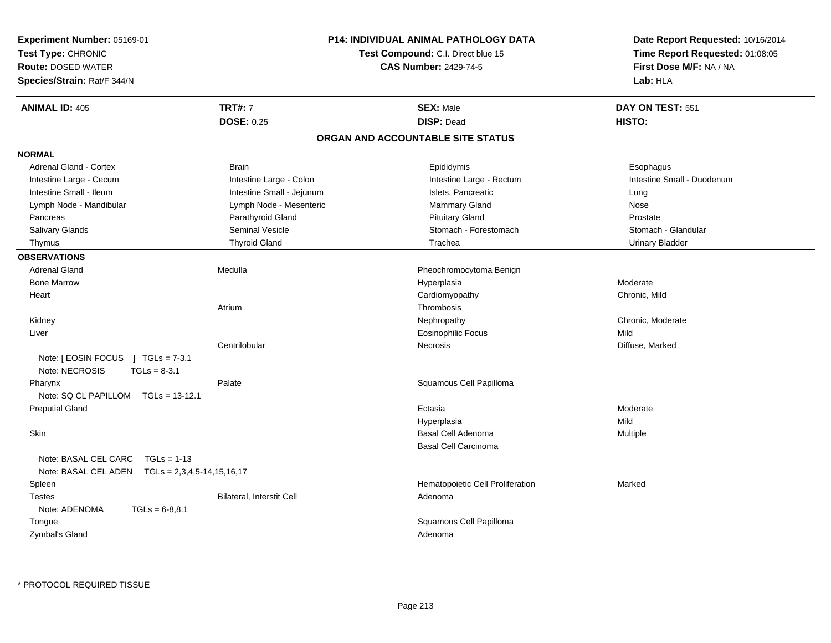| Test Type: CHRONIC<br><b>Test Compound: C.I. Direct blue 15</b><br>First Dose M/F: NA / NA<br><b>Route: DOSED WATER</b><br><b>CAS Number: 2429-74-5</b><br>Species/Strain: Rat/F 344/N<br>Lab: HLA<br><b>TRT#: 7</b><br><b>ANIMAL ID: 405</b><br><b>SEX: Male</b><br>DAY ON TEST: 551<br><b>DOSE: 0.25</b><br><b>DISP: Dead</b><br>HISTO:<br>ORGAN AND ACCOUNTABLE SITE STATUS<br><b>NORMAL</b><br><b>Adrenal Gland - Cortex</b><br><b>Brain</b><br>Epididymis<br>Esophagus<br>Intestine Large - Colon<br>Intestine Large - Rectum<br>Intestine Small - Duodenum<br>Intestine Large - Cecum<br>Intestine Small - Ileum<br>Intestine Small - Jejunum<br>Islets, Pancreatic<br>Lung<br>Lymph Node - Mesenteric<br>Lymph Node - Mandibular<br>Mammary Gland<br>Nose<br>Parathyroid Gland<br><b>Pituitary Gland</b><br>Prostate<br>Pancreas<br>Seminal Vesicle<br>Stomach - Forestomach<br>Stomach - Glandular<br>Salivary Glands<br><b>Thyroid Gland</b><br>Trachea<br><b>Urinary Bladder</b><br>Thymus<br><b>OBSERVATIONS</b><br>Medulla<br><b>Adrenal Gland</b><br>Pheochromocytoma Benign<br><b>Bone Marrow</b><br>Moderate<br>Hyperplasia<br>Cardiomyopathy<br>Chronic, Mild<br>Heart<br>Atrium<br>Thrombosis<br>Chronic, Moderate<br>Kidney<br>Nephropathy<br>Eosinophilic Focus<br>Mild<br>Liver |  | Date Report Requested: 10/16/2014 | <b>P14: INDIVIDUAL ANIMAL PATHOLOGY DATA</b> |               | <b>Experiment Number: 05169-01</b> |  |
|-----------------------------------------------------------------------------------------------------------------------------------------------------------------------------------------------------------------------------------------------------------------------------------------------------------------------------------------------------------------------------------------------------------------------------------------------------------------------------------------------------------------------------------------------------------------------------------------------------------------------------------------------------------------------------------------------------------------------------------------------------------------------------------------------------------------------------------------------------------------------------------------------------------------------------------------------------------------------------------------------------------------------------------------------------------------------------------------------------------------------------------------------------------------------------------------------------------------------------------------------------------------------------------------------------|--|-----------------------------------|----------------------------------------------|---------------|------------------------------------|--|
|                                                                                                                                                                                                                                                                                                                                                                                                                                                                                                                                                                                                                                                                                                                                                                                                                                                                                                                                                                                                                                                                                                                                                                                                                                                                                                     |  | Time Report Requested: 01:08:05   |                                              |               |                                    |  |
|                                                                                                                                                                                                                                                                                                                                                                                                                                                                                                                                                                                                                                                                                                                                                                                                                                                                                                                                                                                                                                                                                                                                                                                                                                                                                                     |  |                                   |                                              |               |                                    |  |
|                                                                                                                                                                                                                                                                                                                                                                                                                                                                                                                                                                                                                                                                                                                                                                                                                                                                                                                                                                                                                                                                                                                                                                                                                                                                                                     |  |                                   |                                              |               |                                    |  |
|                                                                                                                                                                                                                                                                                                                                                                                                                                                                                                                                                                                                                                                                                                                                                                                                                                                                                                                                                                                                                                                                                                                                                                                                                                                                                                     |  |                                   |                                              |               |                                    |  |
|                                                                                                                                                                                                                                                                                                                                                                                                                                                                                                                                                                                                                                                                                                                                                                                                                                                                                                                                                                                                                                                                                                                                                                                                                                                                                                     |  |                                   |                                              |               |                                    |  |
|                                                                                                                                                                                                                                                                                                                                                                                                                                                                                                                                                                                                                                                                                                                                                                                                                                                                                                                                                                                                                                                                                                                                                                                                                                                                                                     |  |                                   |                                              |               |                                    |  |
|                                                                                                                                                                                                                                                                                                                                                                                                                                                                                                                                                                                                                                                                                                                                                                                                                                                                                                                                                                                                                                                                                                                                                                                                                                                                                                     |  |                                   |                                              |               |                                    |  |
|                                                                                                                                                                                                                                                                                                                                                                                                                                                                                                                                                                                                                                                                                                                                                                                                                                                                                                                                                                                                                                                                                                                                                                                                                                                                                                     |  |                                   |                                              |               |                                    |  |
|                                                                                                                                                                                                                                                                                                                                                                                                                                                                                                                                                                                                                                                                                                                                                                                                                                                                                                                                                                                                                                                                                                                                                                                                                                                                                                     |  |                                   |                                              |               |                                    |  |
|                                                                                                                                                                                                                                                                                                                                                                                                                                                                                                                                                                                                                                                                                                                                                                                                                                                                                                                                                                                                                                                                                                                                                                                                                                                                                                     |  |                                   |                                              |               |                                    |  |
|                                                                                                                                                                                                                                                                                                                                                                                                                                                                                                                                                                                                                                                                                                                                                                                                                                                                                                                                                                                                                                                                                                                                                                                                                                                                                                     |  |                                   |                                              |               |                                    |  |
|                                                                                                                                                                                                                                                                                                                                                                                                                                                                                                                                                                                                                                                                                                                                                                                                                                                                                                                                                                                                                                                                                                                                                                                                                                                                                                     |  |                                   |                                              |               |                                    |  |
|                                                                                                                                                                                                                                                                                                                                                                                                                                                                                                                                                                                                                                                                                                                                                                                                                                                                                                                                                                                                                                                                                                                                                                                                                                                                                                     |  |                                   |                                              |               |                                    |  |
|                                                                                                                                                                                                                                                                                                                                                                                                                                                                                                                                                                                                                                                                                                                                                                                                                                                                                                                                                                                                                                                                                                                                                                                                                                                                                                     |  |                                   |                                              |               |                                    |  |
|                                                                                                                                                                                                                                                                                                                                                                                                                                                                                                                                                                                                                                                                                                                                                                                                                                                                                                                                                                                                                                                                                                                                                                                                                                                                                                     |  |                                   |                                              |               |                                    |  |
|                                                                                                                                                                                                                                                                                                                                                                                                                                                                                                                                                                                                                                                                                                                                                                                                                                                                                                                                                                                                                                                                                                                                                                                                                                                                                                     |  |                                   |                                              |               |                                    |  |
|                                                                                                                                                                                                                                                                                                                                                                                                                                                                                                                                                                                                                                                                                                                                                                                                                                                                                                                                                                                                                                                                                                                                                                                                                                                                                                     |  |                                   |                                              |               |                                    |  |
|                                                                                                                                                                                                                                                                                                                                                                                                                                                                                                                                                                                                                                                                                                                                                                                                                                                                                                                                                                                                                                                                                                                                                                                                                                                                                                     |  |                                   |                                              |               |                                    |  |
|                                                                                                                                                                                                                                                                                                                                                                                                                                                                                                                                                                                                                                                                                                                                                                                                                                                                                                                                                                                                                                                                                                                                                                                                                                                                                                     |  |                                   |                                              |               |                                    |  |
|                                                                                                                                                                                                                                                                                                                                                                                                                                                                                                                                                                                                                                                                                                                                                                                                                                                                                                                                                                                                                                                                                                                                                                                                                                                                                                     |  |                                   |                                              |               |                                    |  |
|                                                                                                                                                                                                                                                                                                                                                                                                                                                                                                                                                                                                                                                                                                                                                                                                                                                                                                                                                                                                                                                                                                                                                                                                                                                                                                     |  |                                   |                                              |               |                                    |  |
|                                                                                                                                                                                                                                                                                                                                                                                                                                                                                                                                                                                                                                                                                                                                                                                                                                                                                                                                                                                                                                                                                                                                                                                                                                                                                                     |  | Diffuse, Marked                   | <b>Necrosis</b>                              | Centrilobular |                                    |  |
| Note: $[ EOSIN FOCUS ] TGLs = 7-3.1$<br>Note: NECROSIS<br>$TGLs = 8-3.1$                                                                                                                                                                                                                                                                                                                                                                                                                                                                                                                                                                                                                                                                                                                                                                                                                                                                                                                                                                                                                                                                                                                                                                                                                            |  |                                   |                                              |               |                                    |  |
| Palate<br>Squamous Cell Papilloma<br>Pharynx                                                                                                                                                                                                                                                                                                                                                                                                                                                                                                                                                                                                                                                                                                                                                                                                                                                                                                                                                                                                                                                                                                                                                                                                                                                        |  |                                   |                                              |               |                                    |  |
| Note: SQ CL PAPILLOM TGLs = 13-12.1                                                                                                                                                                                                                                                                                                                                                                                                                                                                                                                                                                                                                                                                                                                                                                                                                                                                                                                                                                                                                                                                                                                                                                                                                                                                 |  |                                   |                                              |               |                                    |  |
| <b>Preputial Gland</b><br>Ectasia<br>Moderate                                                                                                                                                                                                                                                                                                                                                                                                                                                                                                                                                                                                                                                                                                                                                                                                                                                                                                                                                                                                                                                                                                                                                                                                                                                       |  |                                   |                                              |               |                                    |  |
| Mild<br>Hyperplasia                                                                                                                                                                                                                                                                                                                                                                                                                                                                                                                                                                                                                                                                                                                                                                                                                                                                                                                                                                                                                                                                                                                                                                                                                                                                                 |  |                                   |                                              |               |                                    |  |
| <b>Basal Cell Adenoma</b><br><b>Skin</b><br>Multiple                                                                                                                                                                                                                                                                                                                                                                                                                                                                                                                                                                                                                                                                                                                                                                                                                                                                                                                                                                                                                                                                                                                                                                                                                                                |  |                                   |                                              |               |                                    |  |
| <b>Basal Cell Carcinoma</b>                                                                                                                                                                                                                                                                                                                                                                                                                                                                                                                                                                                                                                                                                                                                                                                                                                                                                                                                                                                                                                                                                                                                                                                                                                                                         |  |                                   |                                              |               |                                    |  |
| Note: BASAL CEL CARC<br>$TGLs = 1-13$<br>$TGLs = 2,3,4,5-14,15,16,17$<br>Note: BASAL CEL ADEN                                                                                                                                                                                                                                                                                                                                                                                                                                                                                                                                                                                                                                                                                                                                                                                                                                                                                                                                                                                                                                                                                                                                                                                                       |  |                                   |                                              |               |                                    |  |
| Hematopoietic Cell Proliferation<br>Marked<br>Spleen                                                                                                                                                                                                                                                                                                                                                                                                                                                                                                                                                                                                                                                                                                                                                                                                                                                                                                                                                                                                                                                                                                                                                                                                                                                |  |                                   |                                              |               |                                    |  |
| <b>Testes</b><br>Bilateral, Interstit Cell<br>Adenoma                                                                                                                                                                                                                                                                                                                                                                                                                                                                                                                                                                                                                                                                                                                                                                                                                                                                                                                                                                                                                                                                                                                                                                                                                                               |  |                                   |                                              |               |                                    |  |
| Note: ADENOMA<br>$TGLs = 6-8,8.1$                                                                                                                                                                                                                                                                                                                                                                                                                                                                                                                                                                                                                                                                                                                                                                                                                                                                                                                                                                                                                                                                                                                                                                                                                                                                   |  |                                   |                                              |               |                                    |  |
| Squamous Cell Papilloma<br>Tongue                                                                                                                                                                                                                                                                                                                                                                                                                                                                                                                                                                                                                                                                                                                                                                                                                                                                                                                                                                                                                                                                                                                                                                                                                                                                   |  |                                   |                                              |               |                                    |  |
| Zymbal's Gland<br>Adenoma                                                                                                                                                                                                                                                                                                                                                                                                                                                                                                                                                                                                                                                                                                                                                                                                                                                                                                                                                                                                                                                                                                                                                                                                                                                                           |  |                                   |                                              |               |                                    |  |
|                                                                                                                                                                                                                                                                                                                                                                                                                                                                                                                                                                                                                                                                                                                                                                                                                                                                                                                                                                                                                                                                                                                                                                                                                                                                                                     |  |                                   |                                              |               |                                    |  |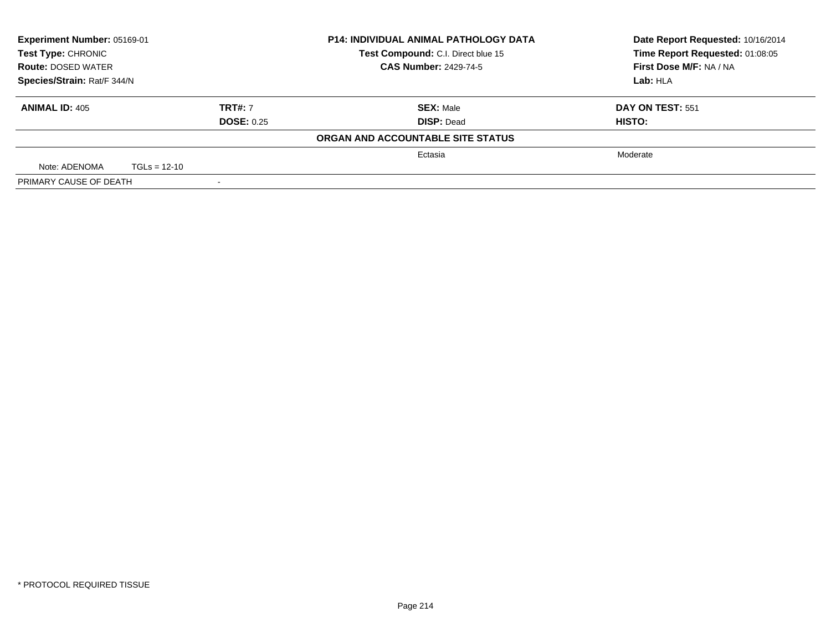| Experiment Number: 05169-01<br><b>Test Type: CHRONIC</b><br><b>Route: DOSED WATER</b> |                |                   | <b>P14: INDIVIDUAL ANIMAL PATHOLOGY DATA</b> | Date Report Requested: 10/16/2014 |
|---------------------------------------------------------------------------------------|----------------|-------------------|----------------------------------------------|-----------------------------------|
|                                                                                       |                |                   | Test Compound: C.I. Direct blue 15           | Time Report Requested: 01:08:05   |
|                                                                                       |                |                   | <b>CAS Number: 2429-74-5</b>                 | First Dose M/F: NA / NA           |
| Species/Strain: Rat/F 344/N                                                           |                |                   |                                              | Lab: HLA                          |
| <b>ANIMAL ID: 405</b>                                                                 |                | <b>TRT#: 7</b>    | <b>SEX: Male</b>                             | <b>DAY ON TEST: 551</b>           |
|                                                                                       |                | <b>DOSE: 0.25</b> | <b>DISP: Dead</b>                            | HISTO:                            |
|                                                                                       |                |                   | ORGAN AND ACCOUNTABLE SITE STATUS            |                                   |
|                                                                                       |                |                   | Ectasia                                      | Moderate                          |
| Note: ADENOMA                                                                         | $TGLs = 12-10$ |                   |                                              |                                   |
| PRIMARY CAUSE OF DEATH                                                                |                |                   |                                              |                                   |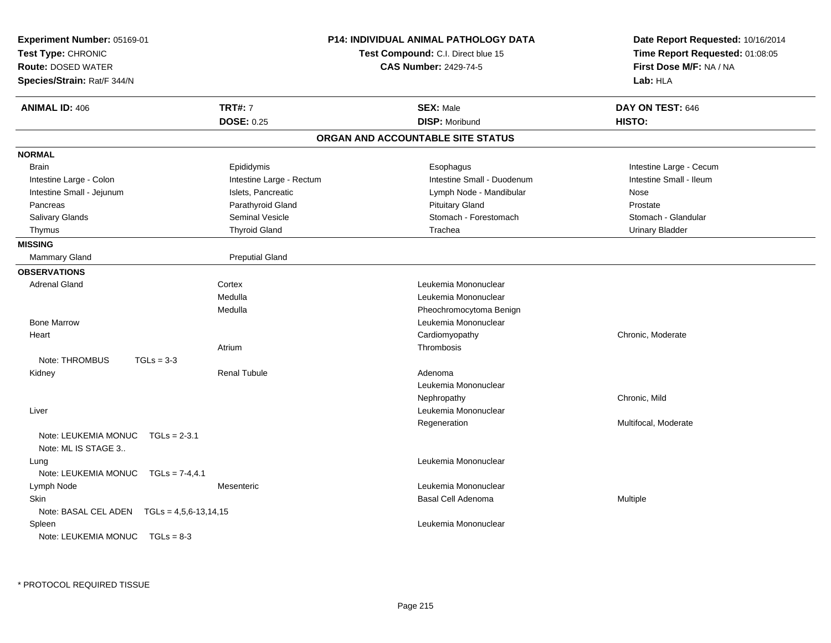| <b>TRT#: 7</b><br><b>SEX: Male</b><br><b>ANIMAL ID: 406</b><br>DAY ON TEST: 646<br><b>DOSE: 0.25</b><br><b>DISP: Moribund</b><br>HISTO:<br>ORGAN AND ACCOUNTABLE SITE STATUS<br><b>NORMAL</b><br>Epididymis<br>Intestine Large - Cecum<br><b>Brain</b><br>Esophagus<br>Intestine Large - Colon<br>Intestine Large - Rectum<br>Intestine Small - Duodenum<br>Intestine Small - Ileum<br>Intestine Small - Jejunum<br>Islets, Pancreatic<br>Lymph Node - Mandibular<br>Nose<br><b>Pituitary Gland</b><br>Parathyroid Gland<br>Prostate<br>Pancreas<br>Stomach - Forestomach<br>Stomach - Glandular<br>Salivary Glands<br>Seminal Vesicle<br><b>Thyroid Gland</b><br>Trachea<br><b>Urinary Bladder</b><br>Thymus<br><b>MISSING</b><br><b>Preputial Gland</b><br><b>Mammary Gland</b><br><b>OBSERVATIONS</b><br><b>Adrenal Gland</b><br>Cortex<br>Leukemia Mononuclear<br>Medulla<br>Leukemia Mononuclear<br>Medulla<br>Pheochromocytoma Benign<br><b>Bone Marrow</b><br>Leukemia Mononuclear<br>Cardiomyopathy<br>Chronic, Moderate<br>Heart<br>Thrombosis<br>Atrium<br>Note: THROMBUS<br>$TGLs = 3-3$<br><b>Renal Tubule</b><br>Adenoma<br>Kidney | Time Report Requested: 01:08:05<br>First Dose M/F: NA / NA |
|-------------------------------------------------------------------------------------------------------------------------------------------------------------------------------------------------------------------------------------------------------------------------------------------------------------------------------------------------------------------------------------------------------------------------------------------------------------------------------------------------------------------------------------------------------------------------------------------------------------------------------------------------------------------------------------------------------------------------------------------------------------------------------------------------------------------------------------------------------------------------------------------------------------------------------------------------------------------------------------------------------------------------------------------------------------------------------------------------------------------------------------------------|------------------------------------------------------------|
|                                                                                                                                                                                                                                                                                                                                                                                                                                                                                                                                                                                                                                                                                                                                                                                                                                                                                                                                                                                                                                                                                                                                                 |                                                            |
|                                                                                                                                                                                                                                                                                                                                                                                                                                                                                                                                                                                                                                                                                                                                                                                                                                                                                                                                                                                                                                                                                                                                                 |                                                            |
|                                                                                                                                                                                                                                                                                                                                                                                                                                                                                                                                                                                                                                                                                                                                                                                                                                                                                                                                                                                                                                                                                                                                                 |                                                            |
|                                                                                                                                                                                                                                                                                                                                                                                                                                                                                                                                                                                                                                                                                                                                                                                                                                                                                                                                                                                                                                                                                                                                                 |                                                            |
|                                                                                                                                                                                                                                                                                                                                                                                                                                                                                                                                                                                                                                                                                                                                                                                                                                                                                                                                                                                                                                                                                                                                                 |                                                            |
|                                                                                                                                                                                                                                                                                                                                                                                                                                                                                                                                                                                                                                                                                                                                                                                                                                                                                                                                                                                                                                                                                                                                                 |                                                            |
|                                                                                                                                                                                                                                                                                                                                                                                                                                                                                                                                                                                                                                                                                                                                                                                                                                                                                                                                                                                                                                                                                                                                                 |                                                            |
|                                                                                                                                                                                                                                                                                                                                                                                                                                                                                                                                                                                                                                                                                                                                                                                                                                                                                                                                                                                                                                                                                                                                                 |                                                            |
|                                                                                                                                                                                                                                                                                                                                                                                                                                                                                                                                                                                                                                                                                                                                                                                                                                                                                                                                                                                                                                                                                                                                                 |                                                            |
|                                                                                                                                                                                                                                                                                                                                                                                                                                                                                                                                                                                                                                                                                                                                                                                                                                                                                                                                                                                                                                                                                                                                                 |                                                            |
|                                                                                                                                                                                                                                                                                                                                                                                                                                                                                                                                                                                                                                                                                                                                                                                                                                                                                                                                                                                                                                                                                                                                                 |                                                            |
|                                                                                                                                                                                                                                                                                                                                                                                                                                                                                                                                                                                                                                                                                                                                                                                                                                                                                                                                                                                                                                                                                                                                                 |                                                            |
|                                                                                                                                                                                                                                                                                                                                                                                                                                                                                                                                                                                                                                                                                                                                                                                                                                                                                                                                                                                                                                                                                                                                                 |                                                            |
|                                                                                                                                                                                                                                                                                                                                                                                                                                                                                                                                                                                                                                                                                                                                                                                                                                                                                                                                                                                                                                                                                                                                                 |                                                            |
|                                                                                                                                                                                                                                                                                                                                                                                                                                                                                                                                                                                                                                                                                                                                                                                                                                                                                                                                                                                                                                                                                                                                                 |                                                            |
|                                                                                                                                                                                                                                                                                                                                                                                                                                                                                                                                                                                                                                                                                                                                                                                                                                                                                                                                                                                                                                                                                                                                                 |                                                            |
|                                                                                                                                                                                                                                                                                                                                                                                                                                                                                                                                                                                                                                                                                                                                                                                                                                                                                                                                                                                                                                                                                                                                                 |                                                            |
|                                                                                                                                                                                                                                                                                                                                                                                                                                                                                                                                                                                                                                                                                                                                                                                                                                                                                                                                                                                                                                                                                                                                                 |                                                            |
|                                                                                                                                                                                                                                                                                                                                                                                                                                                                                                                                                                                                                                                                                                                                                                                                                                                                                                                                                                                                                                                                                                                                                 |                                                            |
|                                                                                                                                                                                                                                                                                                                                                                                                                                                                                                                                                                                                                                                                                                                                                                                                                                                                                                                                                                                                                                                                                                                                                 |                                                            |
|                                                                                                                                                                                                                                                                                                                                                                                                                                                                                                                                                                                                                                                                                                                                                                                                                                                                                                                                                                                                                                                                                                                                                 |                                                            |
| Leukemia Mononuclear                                                                                                                                                                                                                                                                                                                                                                                                                                                                                                                                                                                                                                                                                                                                                                                                                                                                                                                                                                                                                                                                                                                            |                                                            |
| Chronic, Mild<br>Nephropathy                                                                                                                                                                                                                                                                                                                                                                                                                                                                                                                                                                                                                                                                                                                                                                                                                                                                                                                                                                                                                                                                                                                    |                                                            |
| Leukemia Mononuclear<br>Liver                                                                                                                                                                                                                                                                                                                                                                                                                                                                                                                                                                                                                                                                                                                                                                                                                                                                                                                                                                                                                                                                                                                   |                                                            |
| Multifocal, Moderate<br>Regeneration                                                                                                                                                                                                                                                                                                                                                                                                                                                                                                                                                                                                                                                                                                                                                                                                                                                                                                                                                                                                                                                                                                            |                                                            |
| Note: LEUKEMIA MONUC<br>$TGLs = 2-3.1$<br>Note: ML IS STAGE 3                                                                                                                                                                                                                                                                                                                                                                                                                                                                                                                                                                                                                                                                                                                                                                                                                                                                                                                                                                                                                                                                                   |                                                            |
| Leukemia Mononuclear<br>Lung                                                                                                                                                                                                                                                                                                                                                                                                                                                                                                                                                                                                                                                                                                                                                                                                                                                                                                                                                                                                                                                                                                                    |                                                            |
| Note: LEUKEMIA MONUC<br>$TGLS = 7-4, 4.1$                                                                                                                                                                                                                                                                                                                                                                                                                                                                                                                                                                                                                                                                                                                                                                                                                                                                                                                                                                                                                                                                                                       |                                                            |
| Lymph Node<br>Leukemia Mononuclear<br>Mesenteric                                                                                                                                                                                                                                                                                                                                                                                                                                                                                                                                                                                                                                                                                                                                                                                                                                                                                                                                                                                                                                                                                                |                                                            |
| <b>Skin</b><br><b>Basal Cell Adenoma</b><br>Multiple                                                                                                                                                                                                                                                                                                                                                                                                                                                                                                                                                                                                                                                                                                                                                                                                                                                                                                                                                                                                                                                                                            |                                                            |
| Note: BASAL CEL ADEN $TGLs = 4,5,6-13,14,15$                                                                                                                                                                                                                                                                                                                                                                                                                                                                                                                                                                                                                                                                                                                                                                                                                                                                                                                                                                                                                                                                                                    |                                                            |
| Leukemia Mononuclear<br>Spleen                                                                                                                                                                                                                                                                                                                                                                                                                                                                                                                                                                                                                                                                                                                                                                                                                                                                                                                                                                                                                                                                                                                  |                                                            |
| Note: LEUKEMIA MONUC TGLs = 8-3                                                                                                                                                                                                                                                                                                                                                                                                                                                                                                                                                                                                                                                                                                                                                                                                                                                                                                                                                                                                                                                                                                                 |                                                            |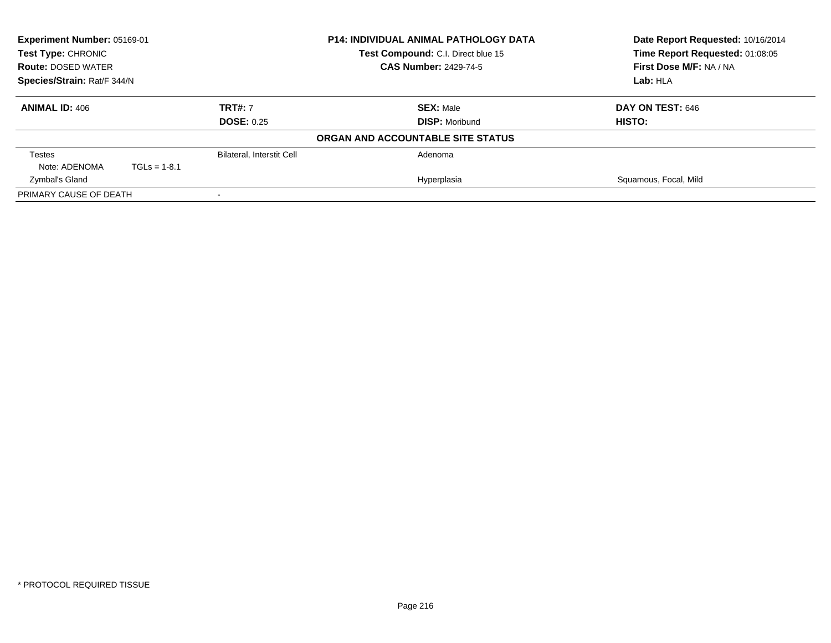|                             | Experiment Number: 05169-01<br>P14: INDIVIDUAL ANIMAL PATHOLOGY DATA<br><b>Test Type: CHRONIC</b><br>Test Compound: C.I. Direct blue 15 |                           |                                   | Date Report Requested: 10/16/2014 |
|-----------------------------|-----------------------------------------------------------------------------------------------------------------------------------------|---------------------------|-----------------------------------|-----------------------------------|
|                             |                                                                                                                                         |                           |                                   | Time Report Requested: 01:08:05   |
| <b>Route: DOSED WATER</b>   |                                                                                                                                         |                           | <b>CAS Number: 2429-74-5</b>      | First Dose M/F: NA / NA           |
| Species/Strain: Rat/F 344/N |                                                                                                                                         |                           | Lab: HLA                          |                                   |
| <b>ANIMAL ID: 406</b>       |                                                                                                                                         | <b>TRT#: 7</b>            | <b>SEX: Male</b>                  | <b>DAY ON TEST: 646</b>           |
|                             |                                                                                                                                         | <b>DOSE: 0.25</b>         | <b>DISP: Moribund</b>             | HISTO:                            |
|                             |                                                                                                                                         |                           | ORGAN AND ACCOUNTABLE SITE STATUS |                                   |
| <b>Testes</b>               |                                                                                                                                         | Bilateral, Interstit Cell | Adenoma                           |                                   |
| Note: ADENOMA               | $TGLs = 1-8.1$                                                                                                                          |                           |                                   |                                   |
| Zymbal's Gland              |                                                                                                                                         |                           | Hyperplasia                       | Squamous, Focal, Mild             |
| PRIMARY CAUSE OF DEATH      |                                                                                                                                         |                           |                                   |                                   |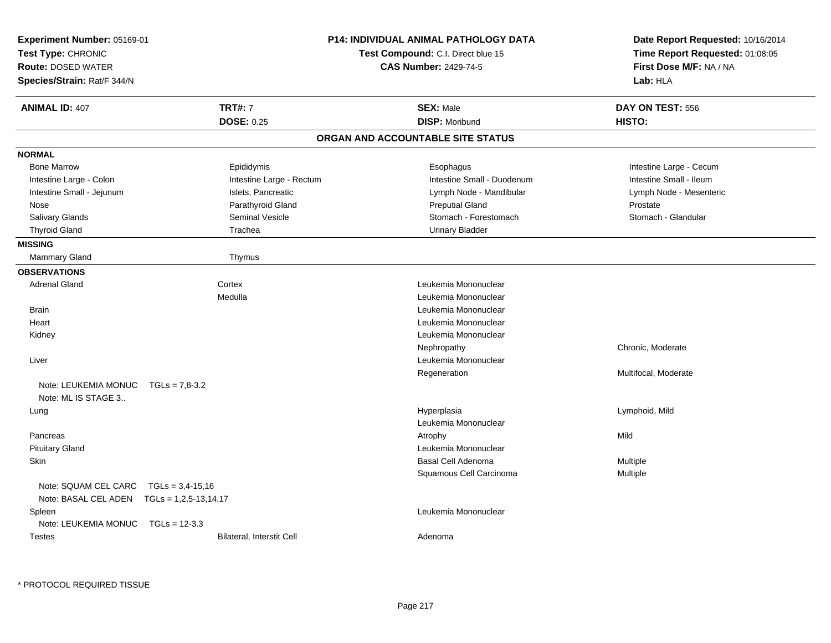| Experiment Number: 05169-01<br>Test Type: CHRONIC<br><b>Route: DOSED WATER</b><br>Species/Strain: Rat/F 344/N |                           | <b>P14: INDIVIDUAL ANIMAL PATHOLOGY DATA</b><br>Test Compound: C.I. Direct blue 15<br><b>CAS Number: 2429-74-5</b> | Date Report Requested: 10/16/2014<br>Time Report Requested: 01:08:05<br>First Dose M/F: NA / NA<br>Lab: HLA |
|---------------------------------------------------------------------------------------------------------------|---------------------------|--------------------------------------------------------------------------------------------------------------------|-------------------------------------------------------------------------------------------------------------|
| <b>ANIMAL ID: 407</b>                                                                                         | <b>TRT#: 7</b>            | <b>SEX: Male</b>                                                                                                   | DAY ON TEST: 556                                                                                            |
|                                                                                                               | <b>DOSE: 0.25</b>         | <b>DISP: Moribund</b>                                                                                              | HISTO:                                                                                                      |
|                                                                                                               |                           | ORGAN AND ACCOUNTABLE SITE STATUS                                                                                  |                                                                                                             |
| <b>NORMAL</b>                                                                                                 |                           |                                                                                                                    |                                                                                                             |
| <b>Bone Marrow</b>                                                                                            | Epididymis                | Esophagus                                                                                                          | Intestine Large - Cecum                                                                                     |
| Intestine Large - Colon                                                                                       | Intestine Large - Rectum  | Intestine Small - Duodenum                                                                                         | Intestine Small - Ileum                                                                                     |
| Intestine Small - Jejunum                                                                                     | Islets, Pancreatic        | Lymph Node - Mandibular                                                                                            | Lymph Node - Mesenteric                                                                                     |
| Nose                                                                                                          | Parathyroid Gland         | <b>Preputial Gland</b>                                                                                             | Prostate                                                                                                    |
| Salivary Glands                                                                                               | Seminal Vesicle           | Stomach - Forestomach                                                                                              | Stomach - Glandular                                                                                         |
| <b>Thyroid Gland</b>                                                                                          | Trachea                   | <b>Urinary Bladder</b>                                                                                             |                                                                                                             |
| <b>MISSING</b>                                                                                                |                           |                                                                                                                    |                                                                                                             |
| <b>Mammary Gland</b>                                                                                          | Thymus                    |                                                                                                                    |                                                                                                             |
| <b>OBSERVATIONS</b>                                                                                           |                           |                                                                                                                    |                                                                                                             |
| <b>Adrenal Gland</b>                                                                                          | Cortex                    | Leukemia Mononuclear                                                                                               |                                                                                                             |
|                                                                                                               | Medulla                   | Leukemia Mononuclear                                                                                               |                                                                                                             |
| <b>Brain</b>                                                                                                  |                           | Leukemia Mononuclear                                                                                               |                                                                                                             |
| Heart                                                                                                         |                           | Leukemia Mononuclear                                                                                               |                                                                                                             |
| Kidney                                                                                                        |                           | Leukemia Mononuclear                                                                                               |                                                                                                             |
|                                                                                                               |                           | Nephropathy                                                                                                        | Chronic, Moderate                                                                                           |
| Liver                                                                                                         |                           | Leukemia Mononuclear                                                                                               |                                                                                                             |
|                                                                                                               |                           | Regeneration                                                                                                       | Multifocal, Moderate                                                                                        |
| Note: LEUKEMIA MONUC<br>Note: ML IS STAGE 3                                                                   | $TGLs = 7.8 - 3.2$        |                                                                                                                    |                                                                                                             |
| Lung                                                                                                          |                           | Hyperplasia                                                                                                        | Lymphoid, Mild                                                                                              |
|                                                                                                               |                           | Leukemia Mononuclear                                                                                               |                                                                                                             |
| Pancreas                                                                                                      |                           | Atrophy                                                                                                            | Mild                                                                                                        |
| <b>Pituitary Gland</b>                                                                                        |                           | Leukemia Mononuclear                                                                                               |                                                                                                             |
| Skin                                                                                                          |                           | <b>Basal Cell Adenoma</b>                                                                                          | Multiple                                                                                                    |
|                                                                                                               |                           | Squamous Cell Carcinoma                                                                                            | Multiple                                                                                                    |
| Note: SQUAM CEL CARC                                                                                          | $TGLs = 3,4-15,16$        |                                                                                                                    |                                                                                                             |
| Note: BASAL CEL ADEN    TGLs = 1,2,5-13,14,17                                                                 |                           |                                                                                                                    |                                                                                                             |
| Spleen                                                                                                        |                           | Leukemia Mononuclear                                                                                               |                                                                                                             |
| Note: LEUKEMIA MONUC                                                                                          | $TGLs = 12-3.3$           |                                                                                                                    |                                                                                                             |
| <b>Testes</b>                                                                                                 | Bilateral, Interstit Cell | Adenoma                                                                                                            |                                                                                                             |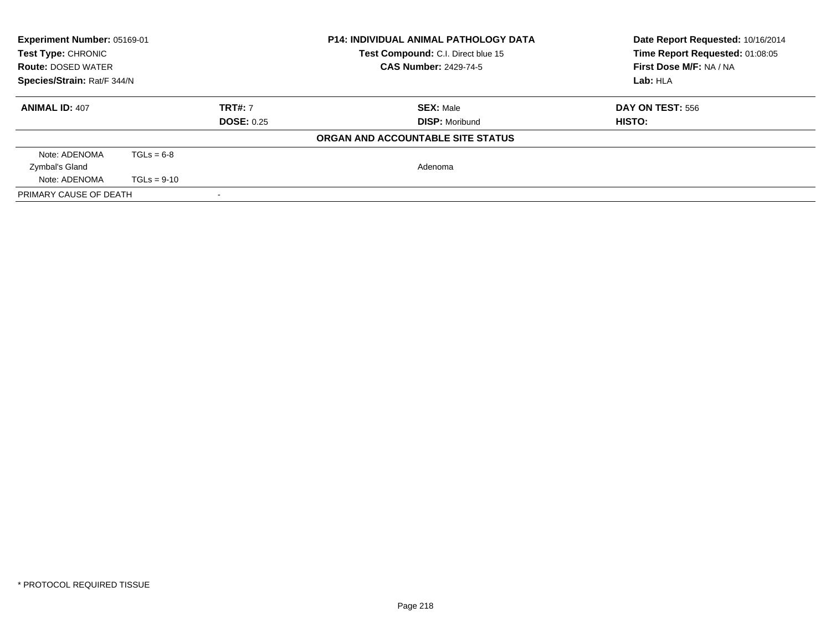| <b>Experiment Number: 05169-01</b><br>Test Type: CHRONIC<br>Test Compound: C.I. Direct blue 15<br><b>CAS Number: 2429-74-5</b><br><b>Route: DOSED WATER</b><br>Species/Strain: Rat/F 344/N |               | <b>P14: INDIVIDUAL ANIMAL PATHOLOGY DATA</b> | Date Report Requested: 10/16/2014<br>Time Report Requested: 01:08:05<br>First Dose M/F: NA / NA<br>Lab: HLA |                         |
|--------------------------------------------------------------------------------------------------------------------------------------------------------------------------------------------|---------------|----------------------------------------------|-------------------------------------------------------------------------------------------------------------|-------------------------|
| <b>ANIMAL ID: 407</b>                                                                                                                                                                      |               | <b>TRT#: 7</b><br><b>DOSE: 0.25</b>          | <b>SEX: Male</b>                                                                                            | <b>DAY ON TEST: 556</b> |
|                                                                                                                                                                                            |               |                                              | <b>DISP:</b> Moribund                                                                                       | HISTO:                  |
|                                                                                                                                                                                            |               |                                              | ORGAN AND ACCOUNTABLE SITE STATUS                                                                           |                         |
| Note: ADENOMA                                                                                                                                                                              | $TGLs = 6-8$  |                                              |                                                                                                             |                         |
| Zymbal's Gland                                                                                                                                                                             |               |                                              | Adenoma                                                                                                     |                         |
| Note: ADENOMA                                                                                                                                                                              | $TGLs = 9-10$ |                                              |                                                                                                             |                         |
| PRIMARY CAUSE OF DEATH                                                                                                                                                                     |               |                                              |                                                                                                             |                         |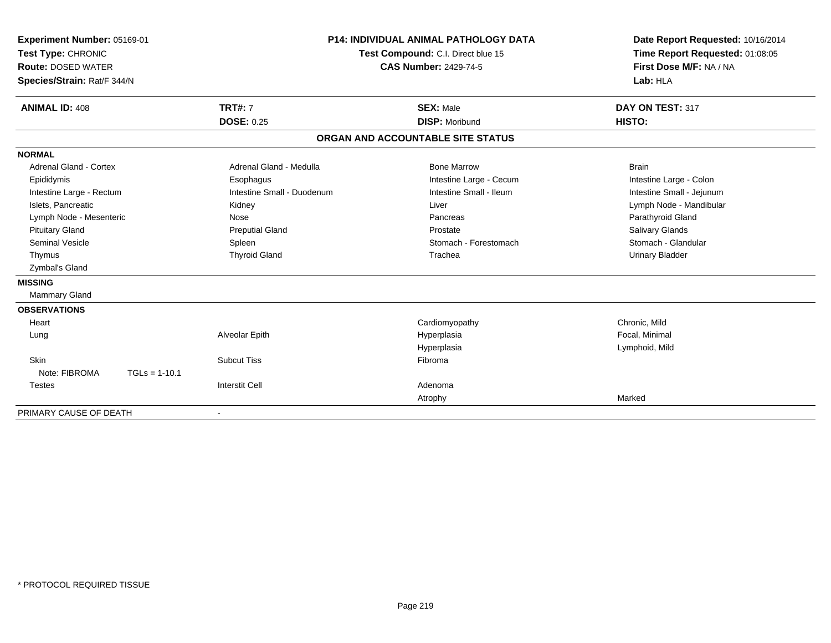| Experiment Number: 05169-01<br>Test Type: CHRONIC<br><b>Route: DOSED WATER</b><br>Species/Strain: Rat/F 344/N<br><b>ANIMAL ID: 408</b> | <b>TRT#: 7</b>             | <b>P14: INDIVIDUAL ANIMAL PATHOLOGY DATA</b><br>Test Compound: C.I. Direct blue 15<br><b>CAS Number: 2429-74-5</b><br><b>SEX: Male</b> | Date Report Requested: 10/16/2014<br>Time Report Requested: 01:08:05<br>First Dose M/F: NA / NA<br>Lab: HLA<br>DAY ON TEST: 317 |
|----------------------------------------------------------------------------------------------------------------------------------------|----------------------------|----------------------------------------------------------------------------------------------------------------------------------------|---------------------------------------------------------------------------------------------------------------------------------|
|                                                                                                                                        | <b>DOSE: 0.25</b>          | <b>DISP: Moribund</b>                                                                                                                  | HISTO:                                                                                                                          |
|                                                                                                                                        |                            | ORGAN AND ACCOUNTABLE SITE STATUS                                                                                                      |                                                                                                                                 |
| <b>NORMAL</b>                                                                                                                          |                            |                                                                                                                                        |                                                                                                                                 |
| <b>Adrenal Gland - Cortex</b>                                                                                                          | Adrenal Gland - Medulla    | <b>Bone Marrow</b>                                                                                                                     | <b>Brain</b>                                                                                                                    |
| Epididymis                                                                                                                             | Esophagus                  | Intestine Large - Cecum                                                                                                                | Intestine Large - Colon                                                                                                         |
| Intestine Large - Rectum                                                                                                               | Intestine Small - Duodenum | Intestine Small - Ileum                                                                                                                | Intestine Small - Jejunum                                                                                                       |
| Islets, Pancreatic                                                                                                                     | Kidney                     | Liver                                                                                                                                  | Lymph Node - Mandibular                                                                                                         |
| Lymph Node - Mesenteric                                                                                                                | Nose                       | Pancreas                                                                                                                               | Parathyroid Gland                                                                                                               |
| <b>Pituitary Gland</b>                                                                                                                 | <b>Preputial Gland</b>     | Prostate                                                                                                                               | <b>Salivary Glands</b>                                                                                                          |
| <b>Seminal Vesicle</b>                                                                                                                 | Spleen                     | Stomach - Forestomach                                                                                                                  | Stomach - Glandular                                                                                                             |
| Thymus                                                                                                                                 | <b>Thyroid Gland</b>       | Trachea                                                                                                                                | <b>Urinary Bladder</b>                                                                                                          |
| Zymbal's Gland                                                                                                                         |                            |                                                                                                                                        |                                                                                                                                 |
| <b>MISSING</b>                                                                                                                         |                            |                                                                                                                                        |                                                                                                                                 |
| Mammary Gland                                                                                                                          |                            |                                                                                                                                        |                                                                                                                                 |
| <b>OBSERVATIONS</b>                                                                                                                    |                            |                                                                                                                                        |                                                                                                                                 |
| Heart                                                                                                                                  |                            | Cardiomyopathy                                                                                                                         | Chronic, Mild                                                                                                                   |
| Lung                                                                                                                                   | Alveolar Epith             | Hyperplasia                                                                                                                            | Focal, Minimal                                                                                                                  |
|                                                                                                                                        |                            | Hyperplasia                                                                                                                            | Lymphoid, Mild                                                                                                                  |
| Skin                                                                                                                                   | <b>Subcut Tiss</b>         | Fibroma                                                                                                                                |                                                                                                                                 |
| Note: FIBROMA<br>$TGLs = 1-10.1$                                                                                                       |                            |                                                                                                                                        |                                                                                                                                 |
| <b>Testes</b>                                                                                                                          | <b>Interstit Cell</b>      | Adenoma                                                                                                                                |                                                                                                                                 |
|                                                                                                                                        |                            | Atrophy                                                                                                                                | Marked                                                                                                                          |
| PRIMARY CAUSE OF DEATH                                                                                                                 |                            |                                                                                                                                        |                                                                                                                                 |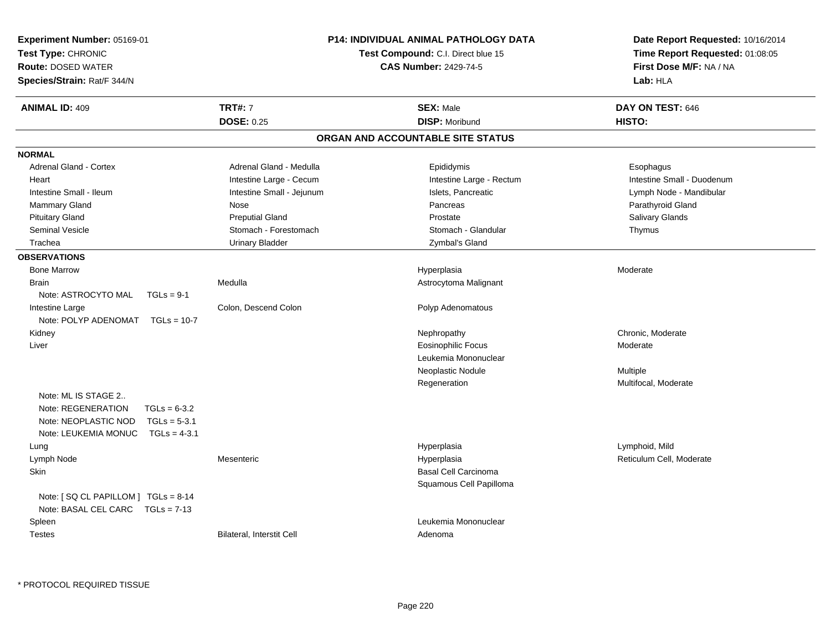| Experiment Number: 05169-01<br>Test Type: CHRONIC<br><b>Route: DOSED WATER</b><br>Species/Strain: Rat/F 344/N                                   |                                     | <b>P14: INDIVIDUAL ANIMAL PATHOLOGY DATA</b><br>Test Compound: C.I. Direct blue 15<br><b>CAS Number: 2429-74-5</b> | Date Report Requested: 10/16/2014<br>Time Report Requested: 01:08:05<br>First Dose M/F: NA / NA<br>Lab: HLA |
|-------------------------------------------------------------------------------------------------------------------------------------------------|-------------------------------------|--------------------------------------------------------------------------------------------------------------------|-------------------------------------------------------------------------------------------------------------|
| <b>ANIMAL ID: 409</b>                                                                                                                           | <b>TRT#: 7</b><br><b>DOSE: 0.25</b> | <b>SEX: Male</b><br><b>DISP: Moribund</b>                                                                          | DAY ON TEST: 646<br>HISTO:                                                                                  |
|                                                                                                                                                 |                                     | ORGAN AND ACCOUNTABLE SITE STATUS                                                                                  |                                                                                                             |
| <b>NORMAL</b>                                                                                                                                   |                                     |                                                                                                                    |                                                                                                             |
| Adrenal Gland - Cortex                                                                                                                          | Adrenal Gland - Medulla             | Epididymis                                                                                                         | Esophagus                                                                                                   |
| Heart                                                                                                                                           | Intestine Large - Cecum             | Intestine Large - Rectum                                                                                           | Intestine Small - Duodenum                                                                                  |
| Intestine Small - Ileum                                                                                                                         | Intestine Small - Jejunum           | Islets, Pancreatic                                                                                                 | Lymph Node - Mandibular                                                                                     |
| Mammary Gland                                                                                                                                   | Nose                                | Pancreas                                                                                                           | Parathyroid Gland                                                                                           |
| <b>Pituitary Gland</b>                                                                                                                          | <b>Preputial Gland</b>              | Prostate                                                                                                           | Salivary Glands                                                                                             |
| <b>Seminal Vesicle</b>                                                                                                                          | Stomach - Forestomach               | Stomach - Glandular                                                                                                | Thymus                                                                                                      |
| Trachea                                                                                                                                         | <b>Urinary Bladder</b>              | Zymbal's Gland                                                                                                     |                                                                                                             |
| <b>OBSERVATIONS</b>                                                                                                                             |                                     |                                                                                                                    |                                                                                                             |
| <b>Bone Marrow</b>                                                                                                                              |                                     | Hyperplasia                                                                                                        | Moderate                                                                                                    |
| <b>Brain</b>                                                                                                                                    | Medulla                             | Astrocytoma Malignant                                                                                              |                                                                                                             |
| Note: ASTROCYTO MAL<br>$TGLs = 9-1$                                                                                                             |                                     |                                                                                                                    |                                                                                                             |
| Intestine Large                                                                                                                                 | Colon, Descend Colon                | Polyp Adenomatous                                                                                                  |                                                                                                             |
| Note: POLYP ADENOMAT TGLs = 10-7                                                                                                                |                                     |                                                                                                                    |                                                                                                             |
| Kidney                                                                                                                                          |                                     | Nephropathy                                                                                                        | Chronic, Moderate                                                                                           |
| Liver                                                                                                                                           |                                     | <b>Eosinophilic Focus</b>                                                                                          | Moderate                                                                                                    |
|                                                                                                                                                 |                                     | Leukemia Mononuclear                                                                                               |                                                                                                             |
|                                                                                                                                                 |                                     | Neoplastic Nodule                                                                                                  | Multiple                                                                                                    |
| Note: ML IS STAGE 2<br>Note: REGENERATION<br>$TGLs = 6-3.2$<br>Note: NEOPLASTIC NOD<br>$TGLs = 5-3.1$<br>Note: LEUKEMIA MONUC<br>$TGLs = 4-3.1$ |                                     | Regeneration                                                                                                       | Multifocal, Moderate                                                                                        |
| Lung                                                                                                                                            |                                     | Hyperplasia                                                                                                        | Lymphoid, Mild                                                                                              |
| Lymph Node                                                                                                                                      | Mesenteric                          | Hyperplasia                                                                                                        | Reticulum Cell, Moderate                                                                                    |
| <b>Skin</b>                                                                                                                                     |                                     | Basal Cell Carcinoma                                                                                               |                                                                                                             |
| Note: [SQ CL PAPILLOM ] TGLs = 8-14<br>Note: BASAL CEL CARC TGLs = 7-13                                                                         |                                     | Squamous Cell Papilloma                                                                                            |                                                                                                             |
| Spleen                                                                                                                                          |                                     | Leukemia Mononuclear                                                                                               |                                                                                                             |
| <b>Testes</b>                                                                                                                                   | <b>Bilateral, Interstit Cell</b>    | Adenoma                                                                                                            |                                                                                                             |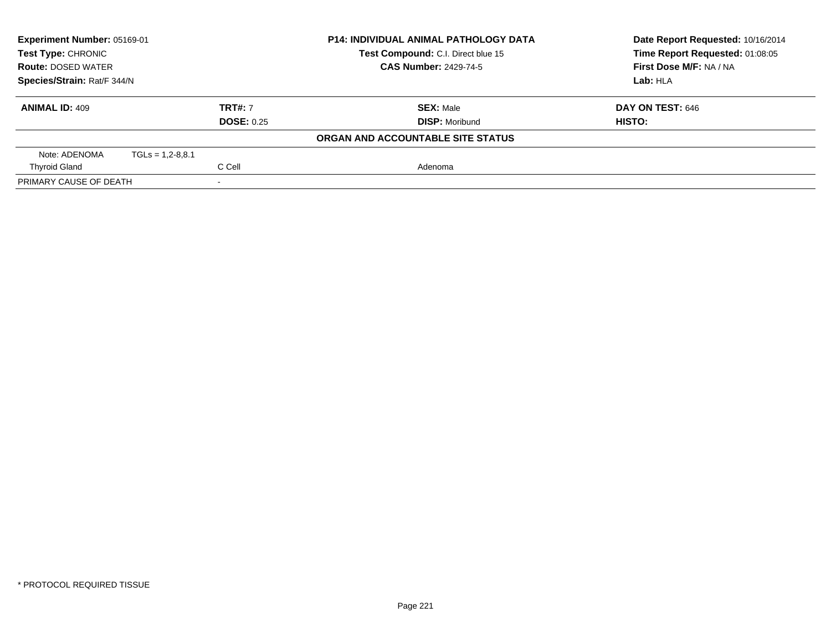| Experiment Number: 05169-01<br>Test Type: CHRONIC<br><b>Route: DOSED WATER</b> |                      |                   | <b>P14: INDIVIDUAL ANIMAL PATHOLOGY DATA</b><br>Test Compound: C.I. Direct blue 15 | Date Report Requested: 10/16/2014<br>Time Report Requested: 01:08:05 |
|--------------------------------------------------------------------------------|----------------------|-------------------|------------------------------------------------------------------------------------|----------------------------------------------------------------------|
|                                                                                |                      |                   | <b>CAS Number: 2429-74-5</b>                                                       | First Dose M/F: NA / NA                                              |
| Species/Strain: Rat/F 344/N                                                    |                      |                   |                                                                                    | Lab: HLA                                                             |
| <b>ANIMAL ID: 409</b>                                                          |                      | <b>TRT#: 7</b>    | <b>SEX: Male</b>                                                                   | <b>DAY ON TEST: 646</b>                                              |
|                                                                                |                      | <b>DOSE: 0.25</b> | <b>DISP: Moribund</b>                                                              | <b>HISTO:</b>                                                        |
|                                                                                |                      |                   | ORGAN AND ACCOUNTABLE SITE STATUS                                                  |                                                                      |
| Note: ADENOMA                                                                  | $TGLs = 1.2 - 8.8.1$ |                   |                                                                                    |                                                                      |
| <b>Thyroid Gland</b>                                                           |                      | C Cell            | Adenoma                                                                            |                                                                      |
| PRIMARY CAUSE OF DEATH                                                         |                      |                   |                                                                                    |                                                                      |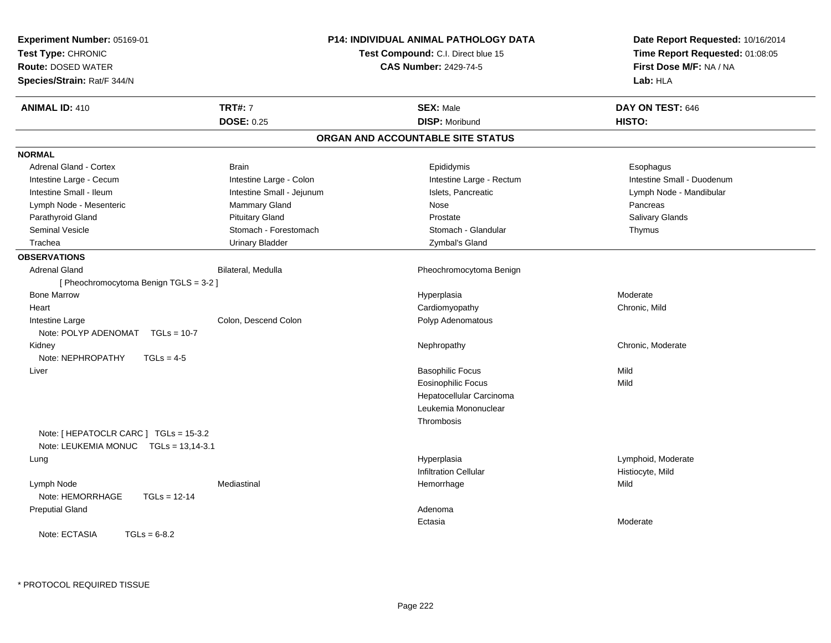| Experiment Number: 05169-01<br>Test Type: CHRONIC<br><b>Route: DOSED WATER</b><br>Species/Strain: Rat/F 344/N |                           | <b>P14: INDIVIDUAL ANIMAL PATHOLOGY DATA</b><br>Test Compound: C.I. Direct blue 15<br><b>CAS Number: 2429-74-5</b> | Date Report Requested: 10/16/2014<br>Time Report Requested: 01:08:05<br>First Dose M/F: NA / NA<br>Lab: HLA |
|---------------------------------------------------------------------------------------------------------------|---------------------------|--------------------------------------------------------------------------------------------------------------------|-------------------------------------------------------------------------------------------------------------|
| <b>ANIMAL ID: 410</b>                                                                                         | <b>TRT#: 7</b>            | <b>SEX: Male</b>                                                                                                   | DAY ON TEST: 646                                                                                            |
|                                                                                                               | <b>DOSE: 0.25</b>         | <b>DISP: Moribund</b>                                                                                              | HISTO:                                                                                                      |
|                                                                                                               |                           | ORGAN AND ACCOUNTABLE SITE STATUS                                                                                  |                                                                                                             |
| <b>NORMAL</b>                                                                                                 |                           |                                                                                                                    |                                                                                                             |
| <b>Adrenal Gland - Cortex</b>                                                                                 | <b>Brain</b>              | Epididymis                                                                                                         | Esophagus                                                                                                   |
| Intestine Large - Cecum                                                                                       | Intestine Large - Colon   | Intestine Large - Rectum                                                                                           | Intestine Small - Duodenum                                                                                  |
| Intestine Small - Ileum                                                                                       | Intestine Small - Jejunum | Islets, Pancreatic                                                                                                 | Lymph Node - Mandibular                                                                                     |
| Lymph Node - Mesenteric                                                                                       | Mammary Gland             | Nose                                                                                                               | Pancreas                                                                                                    |
| Parathyroid Gland                                                                                             | <b>Pituitary Gland</b>    | Prostate                                                                                                           | Salivary Glands                                                                                             |
| Seminal Vesicle                                                                                               | Stomach - Forestomach     | Stomach - Glandular                                                                                                | Thymus                                                                                                      |
| Trachea                                                                                                       | <b>Urinary Bladder</b>    | Zymbal's Gland                                                                                                     |                                                                                                             |
| <b>OBSERVATIONS</b>                                                                                           |                           |                                                                                                                    |                                                                                                             |
| <b>Adrenal Gland</b>                                                                                          | Bilateral, Medulla        | Pheochromocytoma Benign                                                                                            |                                                                                                             |
| [Pheochromocytoma Benign TGLS = 3-2]                                                                          |                           |                                                                                                                    |                                                                                                             |
| <b>Bone Marrow</b>                                                                                            |                           | Hyperplasia                                                                                                        | Moderate                                                                                                    |
| Heart                                                                                                         |                           | Cardiomyopathy                                                                                                     | Chronic, Mild                                                                                               |
| Intestine Large                                                                                               | Colon, Descend Colon      | Polyp Adenomatous                                                                                                  |                                                                                                             |
| Note: POLYP ADENOMAT<br>$TGLs = 10-7$                                                                         |                           |                                                                                                                    |                                                                                                             |
| Kidney                                                                                                        |                           | Nephropathy                                                                                                        | Chronic, Moderate                                                                                           |
| Note: NEPHROPATHY<br>$TGLs = 4-5$                                                                             |                           |                                                                                                                    |                                                                                                             |
| Liver                                                                                                         |                           | <b>Basophilic Focus</b>                                                                                            | Mild                                                                                                        |
|                                                                                                               |                           | <b>Eosinophilic Focus</b>                                                                                          | Mild                                                                                                        |
|                                                                                                               |                           | Hepatocellular Carcinoma                                                                                           |                                                                                                             |
|                                                                                                               |                           | Leukemia Mononuclear                                                                                               |                                                                                                             |
|                                                                                                               |                           | Thrombosis                                                                                                         |                                                                                                             |
| Note: [ HEPATOCLR CARC ] TGLs = 15-3.2<br>Note: LEUKEMIA MONUC TGLs = 13,14-3.1                               |                           |                                                                                                                    |                                                                                                             |
| Lung                                                                                                          |                           | Hyperplasia                                                                                                        | Lymphoid, Moderate                                                                                          |
|                                                                                                               |                           | <b>Infiltration Cellular</b>                                                                                       | Histiocyte, Mild                                                                                            |
| Lymph Node<br>Note: HEMORRHAGE<br>$TGLs = 12-14$                                                              | Mediastinal               | Hemorrhage                                                                                                         | Mild                                                                                                        |
| <b>Preputial Gland</b>                                                                                        |                           | Adenoma                                                                                                            |                                                                                                             |
|                                                                                                               |                           | Ectasia                                                                                                            | Moderate                                                                                                    |
| Note: ECTASIA<br>$TGLs = 6-8.2$                                                                               |                           |                                                                                                                    |                                                                                                             |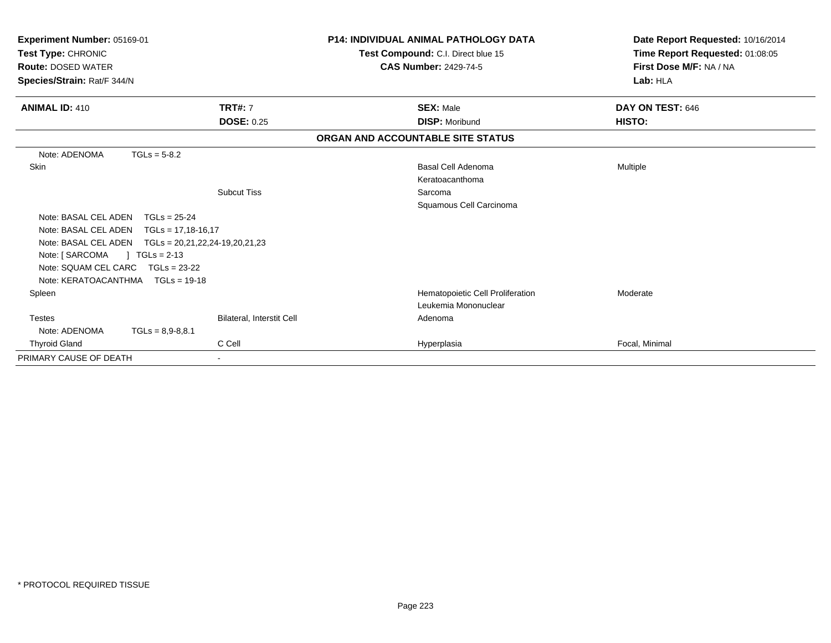| Experiment Number: 05169-01<br>Test Type: CHRONIC<br><b>Route: DOSED WATER</b><br>Species/Strain: Rat/F 344/N |                           | <b>P14: INDIVIDUAL ANIMAL PATHOLOGY DATA</b><br>Test Compound: C.I. Direct blue 15<br><b>CAS Number: 2429-74-5</b> | Date Report Requested: 10/16/2014<br>Time Report Requested: 01:08:05<br>First Dose M/F: NA / NA<br>Lab: HLA |  |
|---------------------------------------------------------------------------------------------------------------|---------------------------|--------------------------------------------------------------------------------------------------------------------|-------------------------------------------------------------------------------------------------------------|--|
| <b>ANIMAL ID: 410</b>                                                                                         | <b>TRT#: 7</b>            | <b>SEX: Male</b>                                                                                                   | DAY ON TEST: 646                                                                                            |  |
|                                                                                                               | <b>DOSE: 0.25</b>         | <b>DISP: Moribund</b>                                                                                              | HISTO:                                                                                                      |  |
|                                                                                                               |                           | ORGAN AND ACCOUNTABLE SITE STATUS                                                                                  |                                                                                                             |  |
| Note: ADENOMA<br>$TGLs = 5-8.2$                                                                               |                           |                                                                                                                    |                                                                                                             |  |
| <b>Skin</b>                                                                                                   |                           | Basal Cell Adenoma                                                                                                 | <b>Multiple</b>                                                                                             |  |
|                                                                                                               |                           | Keratoacanthoma                                                                                                    |                                                                                                             |  |
|                                                                                                               | <b>Subcut Tiss</b>        | Sarcoma                                                                                                            |                                                                                                             |  |
|                                                                                                               |                           | Squamous Cell Carcinoma                                                                                            |                                                                                                             |  |
| Note: BASAL CEL ADEN                                                                                          | $TGLs = 25-24$            |                                                                                                                    |                                                                                                             |  |
| Note: BASAL CEL ADEN                                                                                          | $TGLs = 17,18-16,17$      |                                                                                                                    |                                                                                                             |  |
| Note: BASAL CEL ADEN    TGLs = 20,21,22,24-19,20,21,23                                                        |                           |                                                                                                                    |                                                                                                             |  |
| Note: [ SARCOMA<br>$TGLs = 2-13$                                                                              |                           |                                                                                                                    |                                                                                                             |  |
| Note: SQUAM CEL CARC TGLs = 23-22                                                                             |                           |                                                                                                                    |                                                                                                             |  |
| Note: KERATOACANTHMA   TGLs = 19-18                                                                           |                           |                                                                                                                    |                                                                                                             |  |
| Spleen                                                                                                        |                           | Hematopoietic Cell Proliferation                                                                                   | Moderate                                                                                                    |  |
|                                                                                                               |                           | Leukemia Mononuclear                                                                                               |                                                                                                             |  |
| <b>Testes</b>                                                                                                 | Bilateral, Interstit Cell | Adenoma                                                                                                            |                                                                                                             |  |
| Note: ADENOMA                                                                                                 | $TGLs = 8,9-8,8.1$        |                                                                                                                    |                                                                                                             |  |
| <b>Thyroid Gland</b>                                                                                          | C Cell                    | Hyperplasia                                                                                                        | Focal, Minimal                                                                                              |  |
| PRIMARY CAUSE OF DEATH                                                                                        |                           |                                                                                                                    |                                                                                                             |  |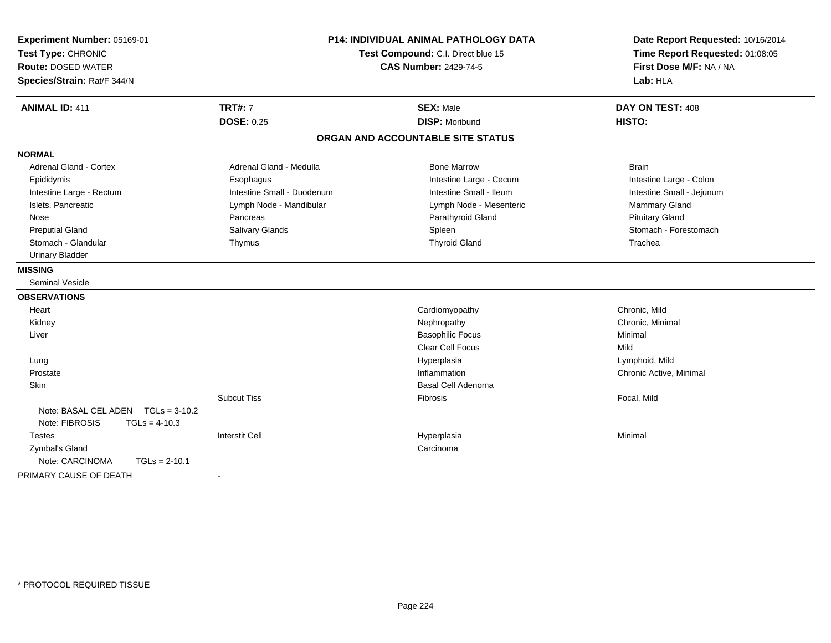| Experiment Number: 05169-01<br>Test Type: CHRONIC<br><b>Route: DOSED WATER</b><br>Species/Strain: Rat/F 344/N | <b>P14: INDIVIDUAL ANIMAL PATHOLOGY DATA</b><br>Test Compound: C.I. Direct blue 15<br><b>CAS Number: 2429-74-5</b> |                                           | Date Report Requested: 10/16/2014<br>Time Report Requested: 01:08:05<br>First Dose M/F: NA / NA<br>Lab: HLA |  |
|---------------------------------------------------------------------------------------------------------------|--------------------------------------------------------------------------------------------------------------------|-------------------------------------------|-------------------------------------------------------------------------------------------------------------|--|
| <b>ANIMAL ID: 411</b>                                                                                         | <b>TRT#: 7</b><br><b>DOSE: 0.25</b>                                                                                | <b>SEX: Male</b><br><b>DISP: Moribund</b> | DAY ON TEST: 408<br><b>HISTO:</b>                                                                           |  |
|                                                                                                               |                                                                                                                    |                                           |                                                                                                             |  |
|                                                                                                               |                                                                                                                    | ORGAN AND ACCOUNTABLE SITE STATUS         |                                                                                                             |  |
| <b>NORMAL</b>                                                                                                 |                                                                                                                    |                                           |                                                                                                             |  |
| Adrenal Gland - Cortex                                                                                        | Adrenal Gland - Medulla                                                                                            | <b>Bone Marrow</b>                        | <b>Brain</b>                                                                                                |  |
| Epididymis                                                                                                    | Esophagus                                                                                                          | Intestine Large - Cecum                   | Intestine Large - Colon                                                                                     |  |
| Intestine Large - Rectum                                                                                      | Intestine Small - Duodenum                                                                                         | Intestine Small - Ileum                   | Intestine Small - Jejunum                                                                                   |  |
| Islets, Pancreatic                                                                                            | Lymph Node - Mandibular                                                                                            | Lymph Node - Mesenteric                   | Mammary Gland                                                                                               |  |
| Nose                                                                                                          | Pancreas                                                                                                           | Parathyroid Gland                         | <b>Pituitary Gland</b>                                                                                      |  |
| <b>Preputial Gland</b>                                                                                        | Salivary Glands                                                                                                    | Spleen                                    | Stomach - Forestomach                                                                                       |  |
| Stomach - Glandular                                                                                           | Thymus                                                                                                             | <b>Thyroid Gland</b>                      | Trachea                                                                                                     |  |
| <b>Urinary Bladder</b>                                                                                        |                                                                                                                    |                                           |                                                                                                             |  |
| <b>MISSING</b>                                                                                                |                                                                                                                    |                                           |                                                                                                             |  |
| <b>Seminal Vesicle</b>                                                                                        |                                                                                                                    |                                           |                                                                                                             |  |
| <b>OBSERVATIONS</b>                                                                                           |                                                                                                                    |                                           |                                                                                                             |  |
| Heart                                                                                                         |                                                                                                                    | Cardiomyopathy                            | Chronic, Mild                                                                                               |  |
| Kidney                                                                                                        |                                                                                                                    | Nephropathy                               | Chronic, Minimal                                                                                            |  |
| Liver                                                                                                         |                                                                                                                    | <b>Basophilic Focus</b>                   | Minimal                                                                                                     |  |
|                                                                                                               |                                                                                                                    | <b>Clear Cell Focus</b>                   | Mild                                                                                                        |  |
| Lung                                                                                                          |                                                                                                                    | Hyperplasia                               | Lymphoid, Mild                                                                                              |  |
| Prostate                                                                                                      |                                                                                                                    | Inflammation                              | Chronic Active, Minimal                                                                                     |  |
| Skin                                                                                                          |                                                                                                                    | <b>Basal Cell Adenoma</b>                 |                                                                                                             |  |
|                                                                                                               | <b>Subcut Tiss</b>                                                                                                 | Fibrosis                                  | Focal, Mild                                                                                                 |  |
| Note: BASAL CEL ADEN TGLs = 3-10.2                                                                            |                                                                                                                    |                                           |                                                                                                             |  |
| Note: FIBROSIS<br>$TGLs = 4-10.3$                                                                             |                                                                                                                    |                                           |                                                                                                             |  |
| <b>Testes</b>                                                                                                 | <b>Interstit Cell</b>                                                                                              | Hyperplasia                               | Minimal                                                                                                     |  |
| Zymbal's Gland                                                                                                |                                                                                                                    | Carcinoma                                 |                                                                                                             |  |
| Note: CARCINOMA<br>$TGLs = 2-10.1$                                                                            |                                                                                                                    |                                           |                                                                                                             |  |
| PRIMARY CAUSE OF DEATH                                                                                        |                                                                                                                    |                                           |                                                                                                             |  |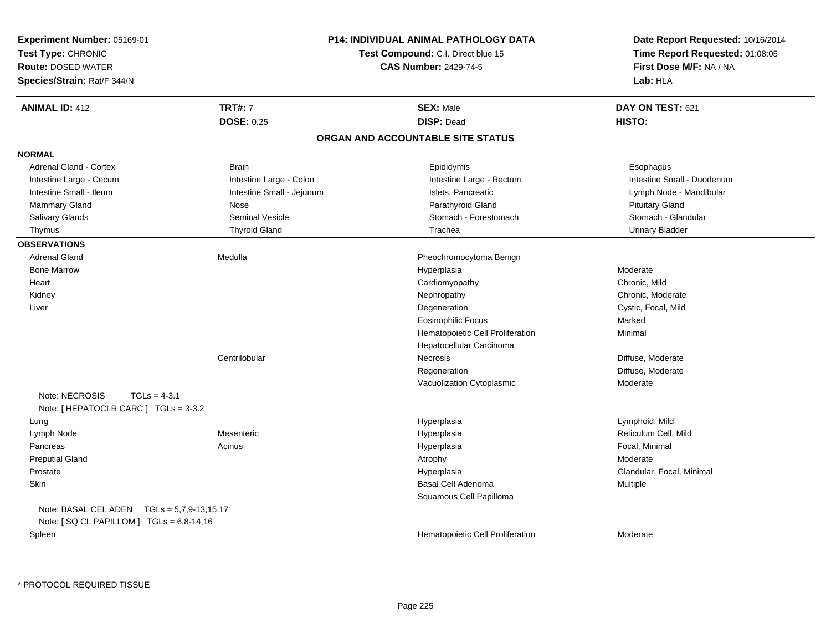| Experiment Number: 05169-01<br>Test Type: CHRONIC<br><b>Route: DOSED WATER</b><br>Species/Strain: Rat/F 344/N |                           | <b>P14: INDIVIDUAL ANIMAL PATHOLOGY DATA</b><br>Test Compound: C.I. Direct blue 15<br><b>CAS Number: 2429-74-5</b> | Date Report Requested: 10/16/2014<br>Time Report Requested: 01:08:05<br>First Dose M/F: NA / NA<br>Lab: HLA |
|---------------------------------------------------------------------------------------------------------------|---------------------------|--------------------------------------------------------------------------------------------------------------------|-------------------------------------------------------------------------------------------------------------|
| <b>ANIMAL ID: 412</b>                                                                                         | <b>TRT#: 7</b>            | <b>SEX: Male</b><br><b>DISP: Dead</b>                                                                              | DAY ON TEST: 621                                                                                            |
|                                                                                                               | <b>DOSE: 0.25</b>         | ORGAN AND ACCOUNTABLE SITE STATUS                                                                                  | HISTO:                                                                                                      |
|                                                                                                               |                           |                                                                                                                    |                                                                                                             |
| <b>NORMAL</b>                                                                                                 |                           |                                                                                                                    |                                                                                                             |
| Adrenal Gland - Cortex                                                                                        | <b>Brain</b>              | Epididymis                                                                                                         | Esophagus                                                                                                   |
| Intestine Large - Cecum                                                                                       | Intestine Large - Colon   | Intestine Large - Rectum                                                                                           | Intestine Small - Duodenum                                                                                  |
| Intestine Small - Ileum                                                                                       | Intestine Small - Jejunum | Islets, Pancreatic                                                                                                 | Lymph Node - Mandibular                                                                                     |
| Mammary Gland                                                                                                 | Nose                      | Parathyroid Gland                                                                                                  | <b>Pituitary Gland</b>                                                                                      |
| Salivary Glands                                                                                               | <b>Seminal Vesicle</b>    | Stomach - Forestomach                                                                                              | Stomach - Glandular                                                                                         |
| Thymus                                                                                                        | <b>Thyroid Gland</b>      | Trachea                                                                                                            | <b>Urinary Bladder</b>                                                                                      |
| <b>OBSERVATIONS</b>                                                                                           |                           |                                                                                                                    |                                                                                                             |
| <b>Adrenal Gland</b>                                                                                          | Medulla                   | Pheochromocytoma Benign                                                                                            |                                                                                                             |
| <b>Bone Marrow</b>                                                                                            |                           | Hyperplasia                                                                                                        | Moderate                                                                                                    |
| Heart                                                                                                         |                           | Cardiomyopathy                                                                                                     | Chronic, Mild                                                                                               |
| Kidney                                                                                                        |                           | Nephropathy                                                                                                        | Chronic, Moderate                                                                                           |
| Liver                                                                                                         |                           | Degeneration                                                                                                       | Cystic, Focal, Mild                                                                                         |
|                                                                                                               |                           | <b>Eosinophilic Focus</b>                                                                                          | Marked                                                                                                      |
|                                                                                                               |                           | Hematopoietic Cell Proliferation                                                                                   | Minimal                                                                                                     |
|                                                                                                               |                           | Hepatocellular Carcinoma                                                                                           |                                                                                                             |
|                                                                                                               | Centrilobular             | Necrosis                                                                                                           | Diffuse, Moderate                                                                                           |
|                                                                                                               |                           | Regeneration                                                                                                       | Diffuse, Moderate                                                                                           |
|                                                                                                               |                           | Vacuolization Cytoplasmic                                                                                          | Moderate                                                                                                    |
| Note: NECROSIS<br>$TGLs = 4-3.1$<br>Note: [ HEPATOCLR CARC ] TGLs = 3-3.2                                     |                           |                                                                                                                    |                                                                                                             |
| Lung                                                                                                          |                           | Hyperplasia                                                                                                        | Lymphoid, Mild                                                                                              |
| Lymph Node                                                                                                    | Mesenteric                | Hyperplasia                                                                                                        | Reticulum Cell, Mild                                                                                        |
| Pancreas                                                                                                      | Acinus                    | Hyperplasia                                                                                                        | Focal, Minimal                                                                                              |
| <b>Preputial Gland</b>                                                                                        |                           | Atrophy                                                                                                            | Moderate                                                                                                    |
| Prostate                                                                                                      |                           | Hyperplasia                                                                                                        | Glandular, Focal, Minimal                                                                                   |
| Skin                                                                                                          |                           | Basal Cell Adenoma                                                                                                 | Multiple                                                                                                    |
|                                                                                                               |                           | Squamous Cell Papilloma                                                                                            |                                                                                                             |
| Note: BASAL CEL ADEN $TGLs = 5,7,9-13,15,17$<br>Note: [SQ CL PAPILLOM ] TGLs = 6,8-14,16                      |                           |                                                                                                                    |                                                                                                             |
| Spleen                                                                                                        |                           | Hematopoietic Cell Proliferation                                                                                   | Moderate                                                                                                    |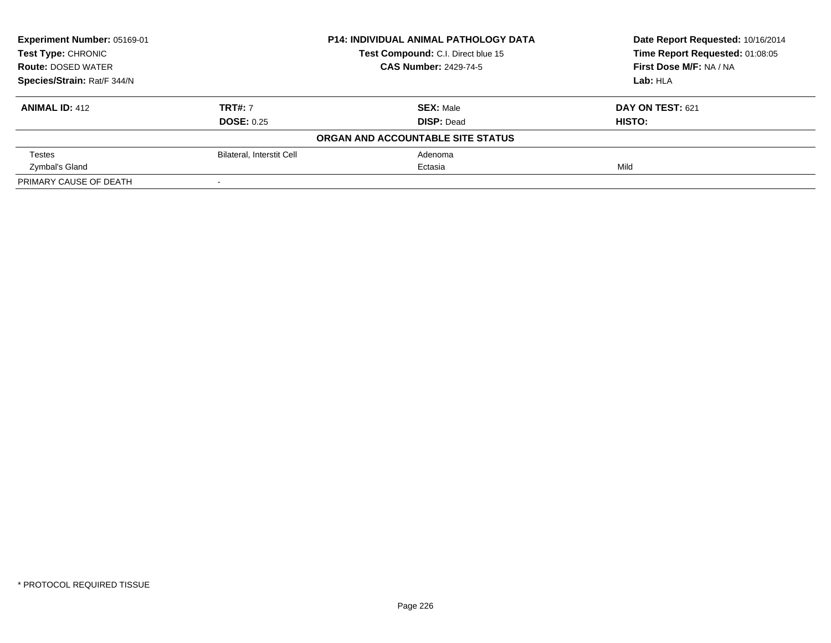| Experiment Number: 05169-01 |                              | <b>P14: INDIVIDUAL ANIMAL PATHOLOGY DATA</b> | Date Report Requested: 10/16/2014 |
|-----------------------------|------------------------------|----------------------------------------------|-----------------------------------|
| <b>Test Type: CHRONIC</b>   |                              | Test Compound: C.I. Direct blue 15           | Time Report Requested: 01:08:05   |
| <b>Route: DOSED WATER</b>   | <b>CAS Number: 2429-74-5</b> |                                              | First Dose M/F: NA / NA           |
| Species/Strain: Rat/F 344/N |                              |                                              | Lab: HLA                          |
| <b>ANIMAL ID: 412</b>       | <b>TRT#: 7</b>               | <b>SEX: Male</b>                             | DAY ON TEST: 621                  |
|                             | <b>DOSE: 0.25</b>            | <b>DISP: Dead</b>                            | HISTO:                            |
|                             |                              | ORGAN AND ACCOUNTABLE SITE STATUS            |                                   |
| <b>Testes</b>               | Bilateral, Interstit Cell    | Adenoma                                      |                                   |
| Zymbal's Gland              |                              | Ectasia                                      | Mild                              |
| PRIMARY CAUSE OF DEATH      |                              |                                              |                                   |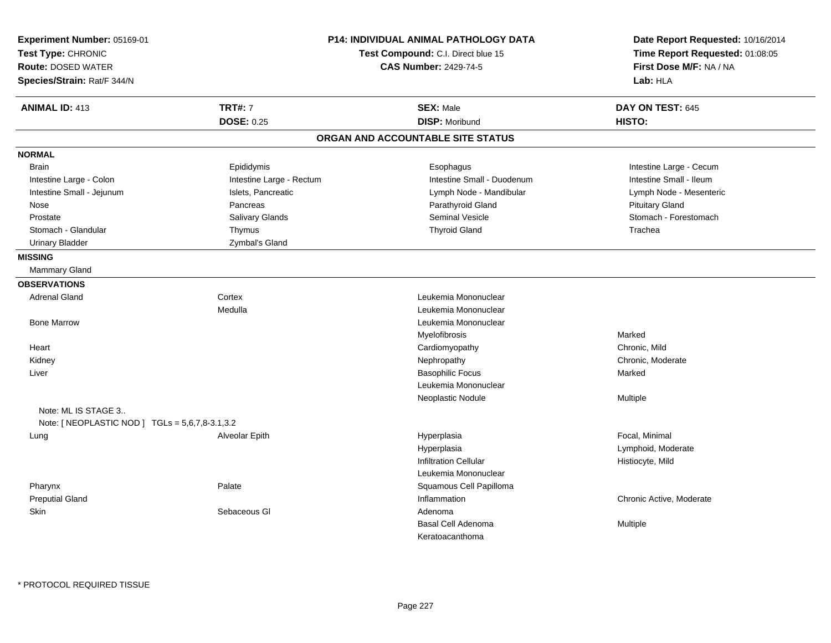| Experiment Number: 05169-01<br>Test Type: CHRONIC<br><b>Route: DOSED WATER</b><br>Species/Strain: Rat/F 344/N |                          | <b>P14: INDIVIDUAL ANIMAL PATHOLOGY DATA</b><br>Test Compound: C.I. Direct blue 15<br><b>CAS Number: 2429-74-5</b> | Date Report Requested: 10/16/2014<br>Time Report Requested: 01:08:05<br>First Dose M/F: NA / NA<br>Lab: HLA |
|---------------------------------------------------------------------------------------------------------------|--------------------------|--------------------------------------------------------------------------------------------------------------------|-------------------------------------------------------------------------------------------------------------|
| <b>ANIMAL ID: 413</b>                                                                                         | <b>TRT#: 7</b>           | <b>SEX: Male</b>                                                                                                   | DAY ON TEST: 645                                                                                            |
|                                                                                                               | <b>DOSE: 0.25</b>        | <b>DISP: Moribund</b>                                                                                              | HISTO:                                                                                                      |
|                                                                                                               |                          | ORGAN AND ACCOUNTABLE SITE STATUS                                                                                  |                                                                                                             |
| <b>NORMAL</b>                                                                                                 |                          |                                                                                                                    |                                                                                                             |
| <b>Brain</b>                                                                                                  | Epididymis               | Esophagus                                                                                                          | Intestine Large - Cecum                                                                                     |
| Intestine Large - Colon                                                                                       | Intestine Large - Rectum | Intestine Small - Duodenum                                                                                         | Intestine Small - Ileum                                                                                     |
| Intestine Small - Jejunum                                                                                     | Islets, Pancreatic       | Lymph Node - Mandibular                                                                                            | Lymph Node - Mesenteric                                                                                     |
| Nose                                                                                                          | Pancreas                 | Parathyroid Gland                                                                                                  | <b>Pituitary Gland</b>                                                                                      |
| Prostate                                                                                                      | <b>Salivary Glands</b>   | <b>Seminal Vesicle</b>                                                                                             | Stomach - Forestomach                                                                                       |
| Stomach - Glandular                                                                                           | Thymus                   | <b>Thyroid Gland</b>                                                                                               | Trachea                                                                                                     |
| <b>Urinary Bladder</b>                                                                                        | Zymbal's Gland           |                                                                                                                    |                                                                                                             |
| <b>MISSING</b>                                                                                                |                          |                                                                                                                    |                                                                                                             |
| <b>Mammary Gland</b>                                                                                          |                          |                                                                                                                    |                                                                                                             |
| <b>OBSERVATIONS</b>                                                                                           |                          |                                                                                                                    |                                                                                                             |
| <b>Adrenal Gland</b>                                                                                          | Cortex                   | Leukemia Mononuclear                                                                                               |                                                                                                             |
|                                                                                                               | Medulla                  | Leukemia Mononuclear                                                                                               |                                                                                                             |
| <b>Bone Marrow</b>                                                                                            |                          | Leukemia Mononuclear                                                                                               |                                                                                                             |
|                                                                                                               |                          | Myelofibrosis                                                                                                      | Marked                                                                                                      |
| Heart                                                                                                         |                          | Cardiomyopathy                                                                                                     | Chronic, Mild                                                                                               |
| Kidney                                                                                                        |                          | Nephropathy                                                                                                        | Chronic, Moderate                                                                                           |
| Liver                                                                                                         |                          | <b>Basophilic Focus</b>                                                                                            | Marked                                                                                                      |
|                                                                                                               |                          | Leukemia Mononuclear                                                                                               |                                                                                                             |
|                                                                                                               |                          | Neoplastic Nodule                                                                                                  | Multiple                                                                                                    |
| Note: ML IS STAGE 3<br>Note: [ NEOPLASTIC NOD ] TGLs = 5,6,7,8-3.1,3.2                                        |                          |                                                                                                                    |                                                                                                             |
| Lung                                                                                                          | Alveolar Epith           | Hyperplasia                                                                                                        | Focal, Minimal                                                                                              |
|                                                                                                               |                          | Hyperplasia                                                                                                        | Lymphoid, Moderate                                                                                          |
|                                                                                                               |                          | <b>Infiltration Cellular</b>                                                                                       | Histiocyte, Mild                                                                                            |
|                                                                                                               |                          | Leukemia Mononuclear                                                                                               |                                                                                                             |
| Pharynx                                                                                                       | Palate                   | Squamous Cell Papilloma                                                                                            |                                                                                                             |
| <b>Preputial Gland</b>                                                                                        |                          | Inflammation                                                                                                       | Chronic Active, Moderate                                                                                    |
| Skin                                                                                                          | Sebaceous GI             | Adenoma                                                                                                            |                                                                                                             |
|                                                                                                               |                          | <b>Basal Cell Adenoma</b>                                                                                          | Multiple                                                                                                    |
|                                                                                                               |                          | Keratoacanthoma                                                                                                    |                                                                                                             |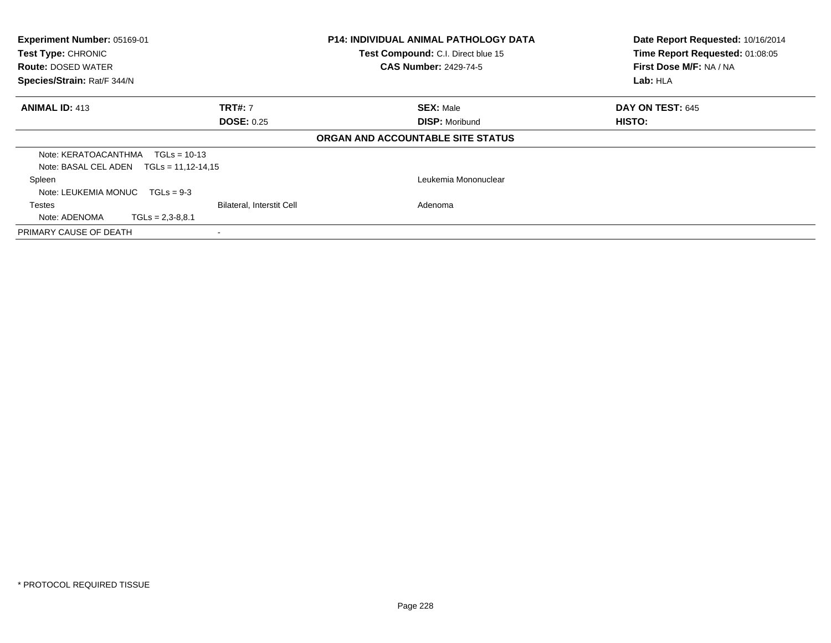| Experiment Number: 05169-01<br><b>P14: INDIVIDUAL ANIMAL PATHOLOGY DATA</b><br>Test Type: CHRONIC<br>Test Compound: C.I. Direct blue 15<br><b>CAS Number: 2429-74-5</b><br><b>Route: DOSED WATER</b><br>Species/Strain: Rat/F 344/N |                                                          | Date Report Requested: 10/16/2014<br>Time Report Requested: 01:08:05<br>First Dose M/F: NA / NA<br>Lab: HLA |                         |
|-------------------------------------------------------------------------------------------------------------------------------------------------------------------------------------------------------------------------------------|----------------------------------------------------------|-------------------------------------------------------------------------------------------------------------|-------------------------|
| <b>ANIMAL ID: 413</b>                                                                                                                                                                                                               | <b>TRT#: 7</b><br><b>DOSE: 0.25</b>                      | <b>SEX: Male</b>                                                                                            | <b>DAY ON TEST: 645</b> |
|                                                                                                                                                                                                                                     |                                                          | <b>DISP: Moribund</b><br>ORGAN AND ACCOUNTABLE SITE STATUS                                                  | HISTO:                  |
| Note: KERATOACANTHMA<br>Note: BASAL CEL ADEN $TGLs = 11.12 - 14.15$                                                                                                                                                                 | $TGLs = 10-13$                                           |                                                                                                             |                         |
| Spleen<br>Note: LEUKEMIA MONUC                                                                                                                                                                                                      | $TGLs = 9-3$                                             | Leukemia Mononuclear                                                                                        |                         |
| Testes<br>Note: ADENOMA                                                                                                                                                                                                             | <b>Bilateral, Interstit Cell</b><br>$TGLs = 2.3 - 8.8.1$ | Adenoma                                                                                                     |                         |
| PRIMARY CAUSE OF DEATH                                                                                                                                                                                                              |                                                          |                                                                                                             |                         |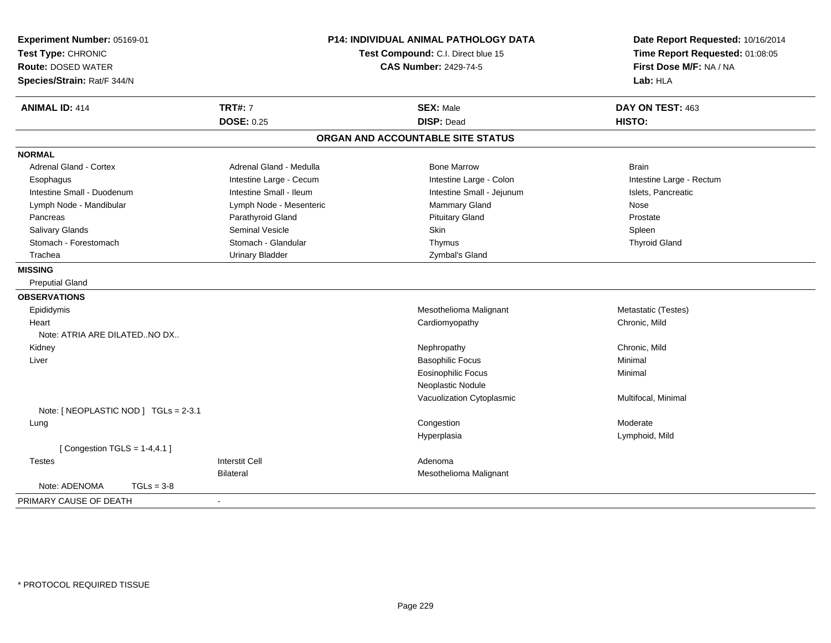| Experiment Number: 05169-01<br>Test Type: CHRONIC<br><b>Route: DOSED WATER</b><br>Species/Strain: Rat/F 344/N | <b>P14: INDIVIDUAL ANIMAL PATHOLOGY DATA</b><br>Test Compound: C.I. Direct blue 15<br><b>CAS Number: 2429-74-5</b> |                                   | Date Report Requested: 10/16/2014<br>Time Report Requested: 01:08:05<br>First Dose M/F: NA / NA<br>Lab: HLA |
|---------------------------------------------------------------------------------------------------------------|--------------------------------------------------------------------------------------------------------------------|-----------------------------------|-------------------------------------------------------------------------------------------------------------|
| <b>ANIMAL ID: 414</b>                                                                                         | <b>TRT#: 7</b>                                                                                                     | <b>SEX: Male</b>                  | DAY ON TEST: 463                                                                                            |
|                                                                                                               | <b>DOSE: 0.25</b>                                                                                                  | <b>DISP: Dead</b>                 | HISTO:                                                                                                      |
|                                                                                                               |                                                                                                                    | ORGAN AND ACCOUNTABLE SITE STATUS |                                                                                                             |
| <b>NORMAL</b>                                                                                                 |                                                                                                                    |                                   |                                                                                                             |
| Adrenal Gland - Cortex                                                                                        | Adrenal Gland - Medulla                                                                                            | <b>Bone Marrow</b>                | <b>Brain</b>                                                                                                |
| Esophagus                                                                                                     | Intestine Large - Cecum                                                                                            | Intestine Large - Colon           | Intestine Large - Rectum                                                                                    |
| Intestine Small - Duodenum                                                                                    | Intestine Small - Ileum                                                                                            | Intestine Small - Jejunum         | Islets, Pancreatic                                                                                          |
| Lymph Node - Mandibular                                                                                       | Lymph Node - Mesenteric                                                                                            | Mammary Gland                     | Nose                                                                                                        |
| Pancreas                                                                                                      | Parathyroid Gland                                                                                                  | <b>Pituitary Gland</b>            | Prostate                                                                                                    |
| Salivary Glands                                                                                               | <b>Seminal Vesicle</b>                                                                                             | Skin                              | Spleen                                                                                                      |
| Stomach - Forestomach                                                                                         | Stomach - Glandular                                                                                                | Thymus                            | <b>Thyroid Gland</b>                                                                                        |
| Trachea                                                                                                       | <b>Urinary Bladder</b>                                                                                             | Zymbal's Gland                    |                                                                                                             |
| <b>MISSING</b>                                                                                                |                                                                                                                    |                                   |                                                                                                             |
| <b>Preputial Gland</b>                                                                                        |                                                                                                                    |                                   |                                                                                                             |
| <b>OBSERVATIONS</b>                                                                                           |                                                                                                                    |                                   |                                                                                                             |
| Epididymis                                                                                                    |                                                                                                                    | Mesothelioma Malignant            | Metastatic (Testes)                                                                                         |
| Heart                                                                                                         |                                                                                                                    | Cardiomyopathy                    | Chronic, Mild                                                                                               |
| Note: ATRIA ARE DILATEDNO DX                                                                                  |                                                                                                                    |                                   |                                                                                                             |
| Kidney                                                                                                        |                                                                                                                    | Nephropathy                       | Chronic, Mild                                                                                               |
| Liver                                                                                                         |                                                                                                                    | <b>Basophilic Focus</b>           | Minimal                                                                                                     |
|                                                                                                               |                                                                                                                    | <b>Eosinophilic Focus</b>         | Minimal                                                                                                     |
|                                                                                                               |                                                                                                                    | Neoplastic Nodule                 |                                                                                                             |
| Note: [ NEOPLASTIC NOD ] TGLs = 2-3.1                                                                         |                                                                                                                    | Vacuolization Cytoplasmic         | Multifocal, Minimal                                                                                         |
| Lung                                                                                                          |                                                                                                                    | Congestion                        | Moderate                                                                                                    |
|                                                                                                               |                                                                                                                    | Hyperplasia                       | Lymphoid, Mild                                                                                              |
| [Congestion TGLS = $1-4,4.1$ ]                                                                                |                                                                                                                    |                                   |                                                                                                             |
| <b>Testes</b>                                                                                                 | <b>Interstit Cell</b>                                                                                              | Adenoma                           |                                                                                                             |
|                                                                                                               | <b>Bilateral</b>                                                                                                   | Mesothelioma Malignant            |                                                                                                             |
| Note: ADENOMA<br>$TGLs = 3-8$                                                                                 |                                                                                                                    |                                   |                                                                                                             |
| PRIMARY CAUSE OF DEATH                                                                                        |                                                                                                                    |                                   |                                                                                                             |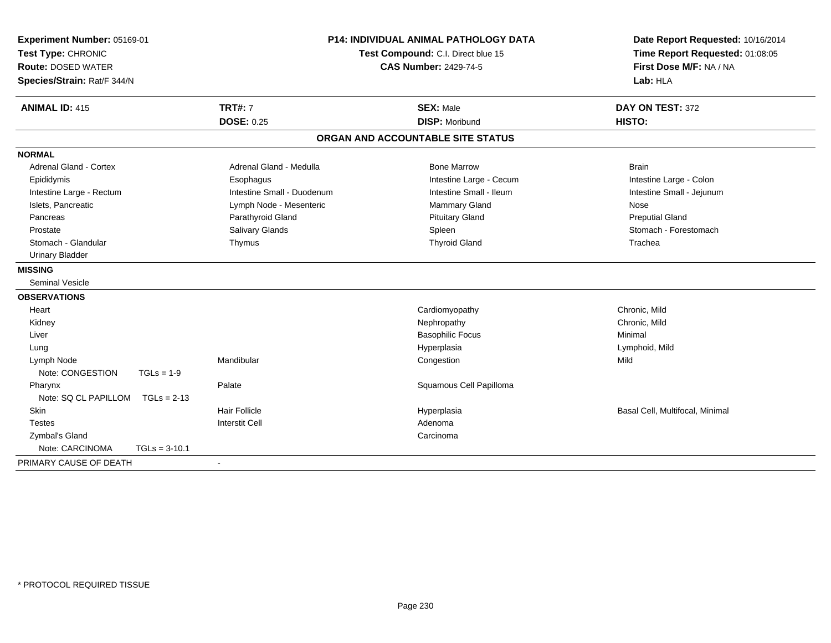| Experiment Number: 05169-01<br>Test Type: CHRONIC<br><b>Route: DOSED WATER</b><br>Species/Strain: Rat/F 344/N |                            | <b>P14: INDIVIDUAL ANIMAL PATHOLOGY DATA</b><br>Test Compound: C.I. Direct blue 15<br><b>CAS Number: 2429-74-5</b> |                                 |
|---------------------------------------------------------------------------------------------------------------|----------------------------|--------------------------------------------------------------------------------------------------------------------|---------------------------------|
| <b>ANIMAL ID: 415</b>                                                                                         | <b>TRT#: 7</b>             | <b>SEX: Male</b>                                                                                                   | DAY ON TEST: 372                |
|                                                                                                               | <b>DOSE: 0.25</b>          | <b>DISP: Moribund</b>                                                                                              | HISTO:                          |
|                                                                                                               |                            | ORGAN AND ACCOUNTABLE SITE STATUS                                                                                  |                                 |
| <b>NORMAL</b>                                                                                                 |                            |                                                                                                                    |                                 |
| <b>Adrenal Gland - Cortex</b>                                                                                 | Adrenal Gland - Medulla    | <b>Bone Marrow</b>                                                                                                 | <b>Brain</b>                    |
| Epididymis                                                                                                    | Esophagus                  | Intestine Large - Cecum                                                                                            | Intestine Large - Colon         |
| Intestine Large - Rectum                                                                                      | Intestine Small - Duodenum | Intestine Small - Ileum                                                                                            | Intestine Small - Jejunum       |
| Islets, Pancreatic                                                                                            | Lymph Node - Mesenteric    | <b>Mammary Gland</b>                                                                                               | Nose                            |
| Pancreas                                                                                                      | Parathyroid Gland          | <b>Pituitary Gland</b>                                                                                             | <b>Preputial Gland</b>          |
| Prostate                                                                                                      | <b>Salivary Glands</b>     | Spleen                                                                                                             | Stomach - Forestomach           |
| Stomach - Glandular                                                                                           | Thymus                     | <b>Thyroid Gland</b>                                                                                               | Trachea                         |
| <b>Urinary Bladder</b>                                                                                        |                            |                                                                                                                    |                                 |
| <b>MISSING</b>                                                                                                |                            |                                                                                                                    |                                 |
| <b>Seminal Vesicle</b>                                                                                        |                            |                                                                                                                    |                                 |
| <b>OBSERVATIONS</b>                                                                                           |                            |                                                                                                                    |                                 |
| Heart                                                                                                         |                            | Cardiomyopathy                                                                                                     | Chronic, Mild                   |
| Kidney                                                                                                        |                            | Nephropathy                                                                                                        | Chronic, Mild                   |
| Liver                                                                                                         |                            | <b>Basophilic Focus</b>                                                                                            | Minimal                         |
| Lung                                                                                                          |                            | Hyperplasia                                                                                                        | Lymphoid, Mild                  |
| Lymph Node                                                                                                    | Mandibular                 | Congestion                                                                                                         | Mild                            |
| Note: CONGESTION                                                                                              | $TGLs = 1-9$               |                                                                                                                    |                                 |
| Pharynx                                                                                                       | Palate                     | Squamous Cell Papilloma                                                                                            |                                 |
| Note: SQ CL PAPILLOM                                                                                          | $TGLs = 2-13$              |                                                                                                                    |                                 |
| <b>Skin</b>                                                                                                   | <b>Hair Follicle</b>       | Hyperplasia                                                                                                        | Basal Cell, Multifocal, Minimal |
| <b>Testes</b>                                                                                                 | <b>Interstit Cell</b>      | Adenoma                                                                                                            |                                 |
| Zymbal's Gland                                                                                                |                            | Carcinoma                                                                                                          |                                 |
| Note: CARCINOMA                                                                                               | $TGLs = 3-10.1$            |                                                                                                                    |                                 |
| PRIMARY CAUSE OF DEATH                                                                                        |                            |                                                                                                                    |                                 |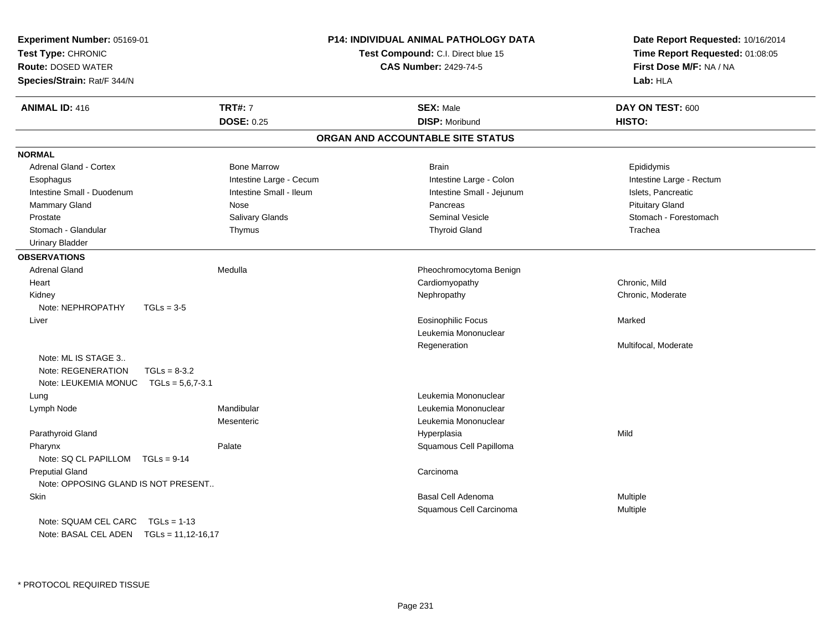| <b>ANIMAL ID: 416</b><br><b>TRT#: 7</b><br><b>SEX: Male</b><br>DAY ON TEST: 600<br><b>DOSE: 0.25</b><br><b>DISP: Moribund</b><br>HISTO:<br>ORGAN AND ACCOUNTABLE SITE STATUS<br><b>NORMAL</b><br><b>Adrenal Gland - Cortex</b><br><b>Bone Marrow</b><br><b>Brain</b><br>Epididymis<br>Intestine Large - Cecum<br>Intestine Large - Colon<br>Intestine Large - Rectum<br>Esophagus<br>Intestine Small - Duodenum<br>Intestine Small - Ileum<br>Intestine Small - Jejunum<br>Islets, Pancreatic<br><b>Pituitary Gland</b><br>Mammary Gland<br>Pancreas<br>Nose<br>Salivary Glands<br><b>Seminal Vesicle</b><br>Stomach - Forestomach<br>Prostate<br>Stomach - Glandular<br><b>Thyroid Gland</b><br>Trachea<br>Thymus<br><b>Urinary Bladder</b><br><b>OBSERVATIONS</b><br><b>Adrenal Gland</b><br>Medulla<br>Pheochromocytoma Benign<br>Chronic, Mild<br>Cardiomyopathy<br>Heart<br>Nephropathy<br>Chronic, Moderate<br>Kidney<br>Note: NEPHROPATHY<br>$TGLs = 3-5$<br><b>Eosinophilic Focus</b><br>Marked<br>Liver<br>Leukemia Mononuclear<br>Multifocal, Moderate<br>Regeneration<br>Note: ML IS STAGE 3<br>Note: REGENERATION<br>$TGLs = 8-3.2$<br>Note: LEUKEMIA MONUC<br>$TGLs = 5,6,7-3.1$<br>Leukemia Mononuclear<br>Lung<br>Mandibular<br>Leukemia Mononuclear<br>Lymph Node<br>Mesenteric<br>Leukemia Mononuclear<br>Parathyroid Gland<br>Mild<br>Hyperplasia<br>Squamous Cell Papilloma<br>Palate<br>Pharynx<br>Note: SQ CL PAPILLOM TGLs = 9-14<br><b>Preputial Gland</b><br>Carcinoma<br>Note: OPPOSING GLAND IS NOT PRESENT<br>Skin<br>Basal Cell Adenoma<br>Multiple<br>Squamous Cell Carcinoma<br>Multiple<br>Note: SQUAM CEL CARC<br>$TGLs = 1-13$<br>Note: BASAL CEL ADEN TGLs = 11,12-16,17 | Experiment Number: 05169-01<br>Test Type: CHRONIC<br><b>Route: DOSED WATER</b><br>Species/Strain: Rat/F 344/N | <b>P14: INDIVIDUAL ANIMAL PATHOLOGY DATA</b><br>Test Compound: C.I. Direct blue 15<br><b>CAS Number: 2429-74-5</b> | Date Report Requested: 10/16/2014<br>Time Report Requested: 01:08:05<br>First Dose M/F: NA / NA<br>Lab: HLA |
|------------------------------------------------------------------------------------------------------------------------------------------------------------------------------------------------------------------------------------------------------------------------------------------------------------------------------------------------------------------------------------------------------------------------------------------------------------------------------------------------------------------------------------------------------------------------------------------------------------------------------------------------------------------------------------------------------------------------------------------------------------------------------------------------------------------------------------------------------------------------------------------------------------------------------------------------------------------------------------------------------------------------------------------------------------------------------------------------------------------------------------------------------------------------------------------------------------------------------------------------------------------------------------------------------------------------------------------------------------------------------------------------------------------------------------------------------------------------------------------------------------------------------------------------------------------------------------------------------------------------------------------------------------------------------------------------------------|---------------------------------------------------------------------------------------------------------------|--------------------------------------------------------------------------------------------------------------------|-------------------------------------------------------------------------------------------------------------|
|                                                                                                                                                                                                                                                                                                                                                                                                                                                                                                                                                                                                                                                                                                                                                                                                                                                                                                                                                                                                                                                                                                                                                                                                                                                                                                                                                                                                                                                                                                                                                                                                                                                                                                            |                                                                                                               |                                                                                                                    |                                                                                                             |
|                                                                                                                                                                                                                                                                                                                                                                                                                                                                                                                                                                                                                                                                                                                                                                                                                                                                                                                                                                                                                                                                                                                                                                                                                                                                                                                                                                                                                                                                                                                                                                                                                                                                                                            |                                                                                                               |                                                                                                                    |                                                                                                             |
|                                                                                                                                                                                                                                                                                                                                                                                                                                                                                                                                                                                                                                                                                                                                                                                                                                                                                                                                                                                                                                                                                                                                                                                                                                                                                                                                                                                                                                                                                                                                                                                                                                                                                                            |                                                                                                               |                                                                                                                    |                                                                                                             |
|                                                                                                                                                                                                                                                                                                                                                                                                                                                                                                                                                                                                                                                                                                                                                                                                                                                                                                                                                                                                                                                                                                                                                                                                                                                                                                                                                                                                                                                                                                                                                                                                                                                                                                            |                                                                                                               |                                                                                                                    |                                                                                                             |
|                                                                                                                                                                                                                                                                                                                                                                                                                                                                                                                                                                                                                                                                                                                                                                                                                                                                                                                                                                                                                                                                                                                                                                                                                                                                                                                                                                                                                                                                                                                                                                                                                                                                                                            |                                                                                                               |                                                                                                                    |                                                                                                             |
|                                                                                                                                                                                                                                                                                                                                                                                                                                                                                                                                                                                                                                                                                                                                                                                                                                                                                                                                                                                                                                                                                                                                                                                                                                                                                                                                                                                                                                                                                                                                                                                                                                                                                                            |                                                                                                               |                                                                                                                    |                                                                                                             |
|                                                                                                                                                                                                                                                                                                                                                                                                                                                                                                                                                                                                                                                                                                                                                                                                                                                                                                                                                                                                                                                                                                                                                                                                                                                                                                                                                                                                                                                                                                                                                                                                                                                                                                            |                                                                                                               |                                                                                                                    |                                                                                                             |
|                                                                                                                                                                                                                                                                                                                                                                                                                                                                                                                                                                                                                                                                                                                                                                                                                                                                                                                                                                                                                                                                                                                                                                                                                                                                                                                                                                                                                                                                                                                                                                                                                                                                                                            |                                                                                                               |                                                                                                                    |                                                                                                             |
|                                                                                                                                                                                                                                                                                                                                                                                                                                                                                                                                                                                                                                                                                                                                                                                                                                                                                                                                                                                                                                                                                                                                                                                                                                                                                                                                                                                                                                                                                                                                                                                                                                                                                                            |                                                                                                               |                                                                                                                    |                                                                                                             |
|                                                                                                                                                                                                                                                                                                                                                                                                                                                                                                                                                                                                                                                                                                                                                                                                                                                                                                                                                                                                                                                                                                                                                                                                                                                                                                                                                                                                                                                                                                                                                                                                                                                                                                            |                                                                                                               |                                                                                                                    |                                                                                                             |
|                                                                                                                                                                                                                                                                                                                                                                                                                                                                                                                                                                                                                                                                                                                                                                                                                                                                                                                                                                                                                                                                                                                                                                                                                                                                                                                                                                                                                                                                                                                                                                                                                                                                                                            |                                                                                                               |                                                                                                                    |                                                                                                             |
|                                                                                                                                                                                                                                                                                                                                                                                                                                                                                                                                                                                                                                                                                                                                                                                                                                                                                                                                                                                                                                                                                                                                                                                                                                                                                                                                                                                                                                                                                                                                                                                                                                                                                                            |                                                                                                               |                                                                                                                    |                                                                                                             |
|                                                                                                                                                                                                                                                                                                                                                                                                                                                                                                                                                                                                                                                                                                                                                                                                                                                                                                                                                                                                                                                                                                                                                                                                                                                                                                                                                                                                                                                                                                                                                                                                                                                                                                            |                                                                                                               |                                                                                                                    |                                                                                                             |
|                                                                                                                                                                                                                                                                                                                                                                                                                                                                                                                                                                                                                                                                                                                                                                                                                                                                                                                                                                                                                                                                                                                                                                                                                                                                                                                                                                                                                                                                                                                                                                                                                                                                                                            |                                                                                                               |                                                                                                                    |                                                                                                             |
|                                                                                                                                                                                                                                                                                                                                                                                                                                                                                                                                                                                                                                                                                                                                                                                                                                                                                                                                                                                                                                                                                                                                                                                                                                                                                                                                                                                                                                                                                                                                                                                                                                                                                                            |                                                                                                               |                                                                                                                    |                                                                                                             |
|                                                                                                                                                                                                                                                                                                                                                                                                                                                                                                                                                                                                                                                                                                                                                                                                                                                                                                                                                                                                                                                                                                                                                                                                                                                                                                                                                                                                                                                                                                                                                                                                                                                                                                            |                                                                                                               |                                                                                                                    |                                                                                                             |
|                                                                                                                                                                                                                                                                                                                                                                                                                                                                                                                                                                                                                                                                                                                                                                                                                                                                                                                                                                                                                                                                                                                                                                                                                                                                                                                                                                                                                                                                                                                                                                                                                                                                                                            |                                                                                                               |                                                                                                                    |                                                                                                             |
|                                                                                                                                                                                                                                                                                                                                                                                                                                                                                                                                                                                                                                                                                                                                                                                                                                                                                                                                                                                                                                                                                                                                                                                                                                                                                                                                                                                                                                                                                                                                                                                                                                                                                                            |                                                                                                               |                                                                                                                    |                                                                                                             |
|                                                                                                                                                                                                                                                                                                                                                                                                                                                                                                                                                                                                                                                                                                                                                                                                                                                                                                                                                                                                                                                                                                                                                                                                                                                                                                                                                                                                                                                                                                                                                                                                                                                                                                            |                                                                                                               |                                                                                                                    |                                                                                                             |
|                                                                                                                                                                                                                                                                                                                                                                                                                                                                                                                                                                                                                                                                                                                                                                                                                                                                                                                                                                                                                                                                                                                                                                                                                                                                                                                                                                                                                                                                                                                                                                                                                                                                                                            |                                                                                                               |                                                                                                                    |                                                                                                             |
|                                                                                                                                                                                                                                                                                                                                                                                                                                                                                                                                                                                                                                                                                                                                                                                                                                                                                                                                                                                                                                                                                                                                                                                                                                                                                                                                                                                                                                                                                                                                                                                                                                                                                                            |                                                                                                               |                                                                                                                    |                                                                                                             |
|                                                                                                                                                                                                                                                                                                                                                                                                                                                                                                                                                                                                                                                                                                                                                                                                                                                                                                                                                                                                                                                                                                                                                                                                                                                                                                                                                                                                                                                                                                                                                                                                                                                                                                            |                                                                                                               |                                                                                                                    |                                                                                                             |
|                                                                                                                                                                                                                                                                                                                                                                                                                                                                                                                                                                                                                                                                                                                                                                                                                                                                                                                                                                                                                                                                                                                                                                                                                                                                                                                                                                                                                                                                                                                                                                                                                                                                                                            |                                                                                                               |                                                                                                                    |                                                                                                             |
|                                                                                                                                                                                                                                                                                                                                                                                                                                                                                                                                                                                                                                                                                                                                                                                                                                                                                                                                                                                                                                                                                                                                                                                                                                                                                                                                                                                                                                                                                                                                                                                                                                                                                                            |                                                                                                               |                                                                                                                    |                                                                                                             |
|                                                                                                                                                                                                                                                                                                                                                                                                                                                                                                                                                                                                                                                                                                                                                                                                                                                                                                                                                                                                                                                                                                                                                                                                                                                                                                                                                                                                                                                                                                                                                                                                                                                                                                            |                                                                                                               |                                                                                                                    |                                                                                                             |
|                                                                                                                                                                                                                                                                                                                                                                                                                                                                                                                                                                                                                                                                                                                                                                                                                                                                                                                                                                                                                                                                                                                                                                                                                                                                                                                                                                                                                                                                                                                                                                                                                                                                                                            |                                                                                                               |                                                                                                                    |                                                                                                             |
|                                                                                                                                                                                                                                                                                                                                                                                                                                                                                                                                                                                                                                                                                                                                                                                                                                                                                                                                                                                                                                                                                                                                                                                                                                                                                                                                                                                                                                                                                                                                                                                                                                                                                                            |                                                                                                               |                                                                                                                    |                                                                                                             |
|                                                                                                                                                                                                                                                                                                                                                                                                                                                                                                                                                                                                                                                                                                                                                                                                                                                                                                                                                                                                                                                                                                                                                                                                                                                                                                                                                                                                                                                                                                                                                                                                                                                                                                            |                                                                                                               |                                                                                                                    |                                                                                                             |
|                                                                                                                                                                                                                                                                                                                                                                                                                                                                                                                                                                                                                                                                                                                                                                                                                                                                                                                                                                                                                                                                                                                                                                                                                                                                                                                                                                                                                                                                                                                                                                                                                                                                                                            |                                                                                                               |                                                                                                                    |                                                                                                             |
|                                                                                                                                                                                                                                                                                                                                                                                                                                                                                                                                                                                                                                                                                                                                                                                                                                                                                                                                                                                                                                                                                                                                                                                                                                                                                                                                                                                                                                                                                                                                                                                                                                                                                                            |                                                                                                               |                                                                                                                    |                                                                                                             |
|                                                                                                                                                                                                                                                                                                                                                                                                                                                                                                                                                                                                                                                                                                                                                                                                                                                                                                                                                                                                                                                                                                                                                                                                                                                                                                                                                                                                                                                                                                                                                                                                                                                                                                            |                                                                                                               |                                                                                                                    |                                                                                                             |
|                                                                                                                                                                                                                                                                                                                                                                                                                                                                                                                                                                                                                                                                                                                                                                                                                                                                                                                                                                                                                                                                                                                                                                                                                                                                                                                                                                                                                                                                                                                                                                                                                                                                                                            |                                                                                                               |                                                                                                                    |                                                                                                             |
|                                                                                                                                                                                                                                                                                                                                                                                                                                                                                                                                                                                                                                                                                                                                                                                                                                                                                                                                                                                                                                                                                                                                                                                                                                                                                                                                                                                                                                                                                                                                                                                                                                                                                                            |                                                                                                               |                                                                                                                    |                                                                                                             |
|                                                                                                                                                                                                                                                                                                                                                                                                                                                                                                                                                                                                                                                                                                                                                                                                                                                                                                                                                                                                                                                                                                                                                                                                                                                                                                                                                                                                                                                                                                                                                                                                                                                                                                            |                                                                                                               |                                                                                                                    |                                                                                                             |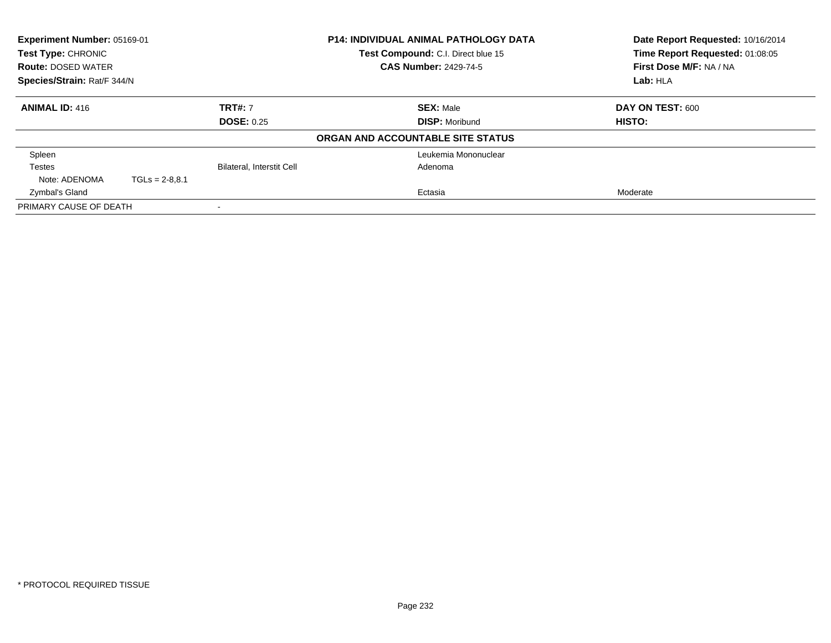| Experiment Number: 05169-01<br><b>Test Type: CHRONIC</b><br><b>Route: DOSED WATER</b> |                  |                                  | <b>P14: INDIVIDUAL ANIMAL PATHOLOGY DATA</b><br>Test Compound: C.I. Direct blue 15<br><b>CAS Number: 2429-74-5</b> | Date Report Requested: 10/16/2014<br>Time Report Requested: 01:08:05<br>First Dose M/F: NA / NA |
|---------------------------------------------------------------------------------------|------------------|----------------------------------|--------------------------------------------------------------------------------------------------------------------|-------------------------------------------------------------------------------------------------|
| Species/Strain: Rat/F 344/N                                                           |                  |                                  |                                                                                                                    | Lab: HLA                                                                                        |
| <b>ANIMAL ID: 416</b>                                                                 |                  | <b>TRT#: 7</b>                   | <b>SEX: Male</b>                                                                                                   | DAY ON TEST: 600                                                                                |
|                                                                                       |                  | <b>DOSE: 0.25</b>                | <b>DISP: Moribund</b>                                                                                              | HISTO:                                                                                          |
|                                                                                       |                  |                                  | ORGAN AND ACCOUNTABLE SITE STATUS                                                                                  |                                                                                                 |
| Spleen                                                                                |                  |                                  | Leukemia Mononuclear                                                                                               |                                                                                                 |
| Testes                                                                                |                  | <b>Bilateral, Interstit Cell</b> | Adenoma                                                                                                            |                                                                                                 |
| Note: ADENOMA                                                                         | $TGLs = 2-8.8.1$ |                                  |                                                                                                                    |                                                                                                 |
| Zymbal's Gland                                                                        |                  |                                  | Ectasia                                                                                                            | Moderate                                                                                        |
| PRIMARY CAUSE OF DEATH                                                                |                  |                                  |                                                                                                                    |                                                                                                 |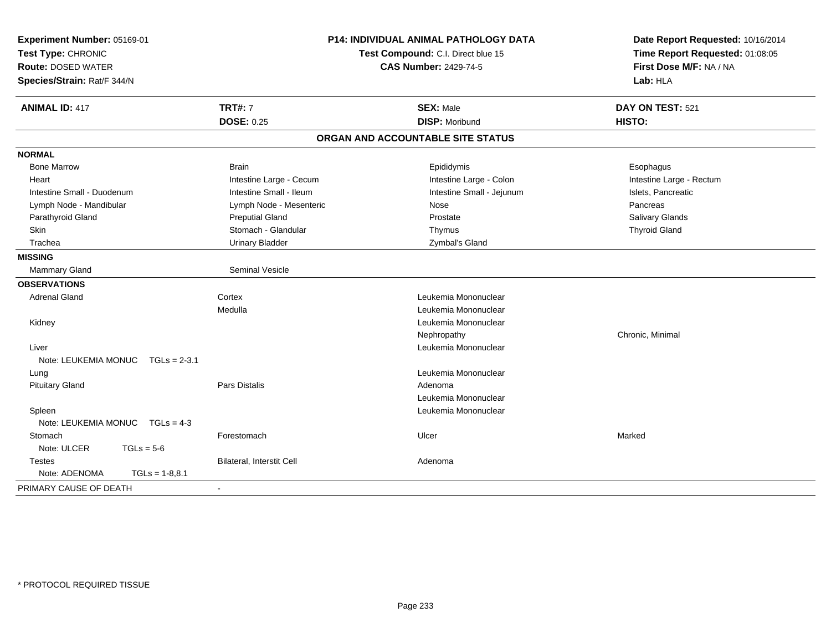| Experiment Number: 05169-01<br>Test Type: CHRONIC<br><b>Route: DOSED WATER</b><br>Species/Strain: Rat/F 344/N | <b>P14: INDIVIDUAL ANIMAL PATHOLOGY DATA</b><br>Test Compound: C.I. Direct blue 15<br><b>CAS Number: 2429-74-5</b> |                                   | Date Report Requested: 10/16/2014<br>Time Report Requested: 01:08:05<br>First Dose M/F: NA / NA<br>Lab: HLA |
|---------------------------------------------------------------------------------------------------------------|--------------------------------------------------------------------------------------------------------------------|-----------------------------------|-------------------------------------------------------------------------------------------------------------|
| <b>ANIMAL ID: 417</b>                                                                                         | <b>TRT#: 7</b>                                                                                                     | <b>SEX: Male</b>                  | DAY ON TEST: 521                                                                                            |
|                                                                                                               | <b>DOSE: 0.25</b>                                                                                                  | <b>DISP: Moribund</b>             | HISTO:                                                                                                      |
|                                                                                                               |                                                                                                                    | ORGAN AND ACCOUNTABLE SITE STATUS |                                                                                                             |
| <b>NORMAL</b>                                                                                                 |                                                                                                                    |                                   |                                                                                                             |
| <b>Bone Marrow</b>                                                                                            | <b>Brain</b>                                                                                                       | Epididymis                        | Esophagus                                                                                                   |
| Heart                                                                                                         | Intestine Large - Cecum                                                                                            | Intestine Large - Colon           | Intestine Large - Rectum                                                                                    |
| Intestine Small - Duodenum                                                                                    | Intestine Small - Ileum                                                                                            | Intestine Small - Jejunum         | Islets, Pancreatic                                                                                          |
| Lymph Node - Mandibular                                                                                       | Lymph Node - Mesenteric                                                                                            | Nose                              | Pancreas                                                                                                    |
| Parathyroid Gland                                                                                             | <b>Preputial Gland</b>                                                                                             | Prostate                          | Salivary Glands                                                                                             |
| Skin                                                                                                          | Stomach - Glandular                                                                                                | Thymus                            | <b>Thyroid Gland</b>                                                                                        |
| Trachea                                                                                                       | <b>Urinary Bladder</b>                                                                                             | Zymbal's Gland                    |                                                                                                             |
| <b>MISSING</b>                                                                                                |                                                                                                                    |                                   |                                                                                                             |
| <b>Mammary Gland</b>                                                                                          | <b>Seminal Vesicle</b>                                                                                             |                                   |                                                                                                             |
| <b>OBSERVATIONS</b>                                                                                           |                                                                                                                    |                                   |                                                                                                             |
| <b>Adrenal Gland</b>                                                                                          | Cortex                                                                                                             | Leukemia Mononuclear              |                                                                                                             |
|                                                                                                               | Medulla                                                                                                            | Leukemia Mononuclear              |                                                                                                             |
| Kidney                                                                                                        |                                                                                                                    | Leukemia Mononuclear              |                                                                                                             |
|                                                                                                               |                                                                                                                    | Nephropathy                       | Chronic, Minimal                                                                                            |
| Liver                                                                                                         |                                                                                                                    | Leukemia Mononuclear              |                                                                                                             |
| Note: LEUKEMIA MONUC<br>$TGLs = 2-3.1$                                                                        |                                                                                                                    |                                   |                                                                                                             |
| Lung                                                                                                          |                                                                                                                    | Leukemia Mononuclear              |                                                                                                             |
| <b>Pituitary Gland</b>                                                                                        | <b>Pars Distalis</b>                                                                                               | Adenoma                           |                                                                                                             |
|                                                                                                               |                                                                                                                    | Leukemia Mononuclear              |                                                                                                             |
| Spleen                                                                                                        |                                                                                                                    | Leukemia Mononuclear              |                                                                                                             |
| Note: LEUKEMIA MONUC TGLs = 4-3                                                                               |                                                                                                                    |                                   |                                                                                                             |
| Stomach                                                                                                       | Forestomach                                                                                                        | Ulcer                             | Marked                                                                                                      |
| Note: ULCER<br>$TGLs = 5-6$                                                                                   |                                                                                                                    |                                   |                                                                                                             |
| <b>Testes</b>                                                                                                 | <b>Bilateral, Interstit Cell</b>                                                                                   | Adenoma                           |                                                                                                             |
| Note: ADENOMA<br>$TGLs = 1-8,8.1$                                                                             |                                                                                                                    |                                   |                                                                                                             |
| PRIMARY CAUSE OF DEATH                                                                                        |                                                                                                                    |                                   |                                                                                                             |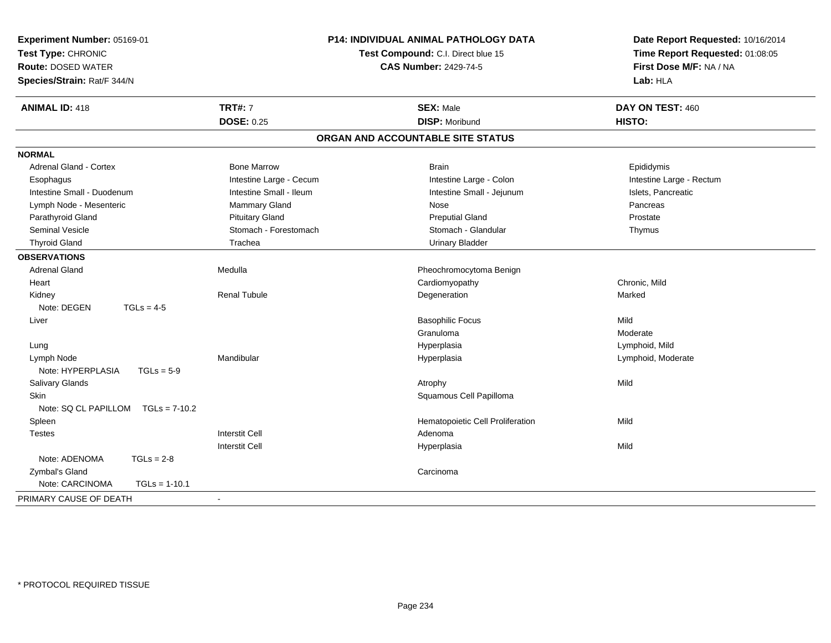| Experiment Number: 05169-01<br>Test Type: CHRONIC<br><b>Route: DOSED WATER</b><br>Species/Strain: Rat/F 344/N |                         | <b>P14: INDIVIDUAL ANIMAL PATHOLOGY DATA</b><br>Test Compound: C.I. Direct blue 15<br><b>CAS Number: 2429-74-5</b> | Date Report Requested: 10/16/2014<br>Time Report Requested: 01:08:05<br>First Dose M/F: NA / NA<br>Lab: HLA |
|---------------------------------------------------------------------------------------------------------------|-------------------------|--------------------------------------------------------------------------------------------------------------------|-------------------------------------------------------------------------------------------------------------|
| <b>ANIMAL ID: 418</b>                                                                                         | <b>TRT#: 7</b>          | <b>SEX: Male</b>                                                                                                   | DAY ON TEST: 460                                                                                            |
|                                                                                                               | <b>DOSE: 0.25</b>       | <b>DISP: Moribund</b>                                                                                              | HISTO:                                                                                                      |
|                                                                                                               |                         | ORGAN AND ACCOUNTABLE SITE STATUS                                                                                  |                                                                                                             |
| <b>NORMAL</b>                                                                                                 |                         |                                                                                                                    |                                                                                                             |
| <b>Adrenal Gland - Cortex</b>                                                                                 | <b>Bone Marrow</b>      | <b>Brain</b>                                                                                                       | Epididymis                                                                                                  |
| Esophagus                                                                                                     | Intestine Large - Cecum | Intestine Large - Colon                                                                                            | Intestine Large - Rectum                                                                                    |
| Intestine Small - Duodenum                                                                                    | Intestine Small - Ileum | Intestine Small - Jejunum                                                                                          | Islets, Pancreatic                                                                                          |
| Lymph Node - Mesenteric                                                                                       | Mammary Gland           | Nose                                                                                                               | Pancreas                                                                                                    |
| Parathyroid Gland                                                                                             | <b>Pituitary Gland</b>  | <b>Preputial Gland</b>                                                                                             | Prostate                                                                                                    |
| <b>Seminal Vesicle</b>                                                                                        | Stomach - Forestomach   | Stomach - Glandular                                                                                                | Thymus                                                                                                      |
| <b>Thyroid Gland</b>                                                                                          | Trachea                 | <b>Urinary Bladder</b>                                                                                             |                                                                                                             |
| <b>OBSERVATIONS</b>                                                                                           |                         |                                                                                                                    |                                                                                                             |
| <b>Adrenal Gland</b>                                                                                          | Medulla                 | Pheochromocytoma Benign                                                                                            |                                                                                                             |
| Heart                                                                                                         |                         | Cardiomyopathy                                                                                                     | Chronic, Mild                                                                                               |
| Kidney                                                                                                        | <b>Renal Tubule</b>     | Degeneration                                                                                                       | Marked                                                                                                      |
| Note: DEGEN                                                                                                   | $TGLs = 4-5$            |                                                                                                                    |                                                                                                             |
| Liver                                                                                                         |                         | <b>Basophilic Focus</b>                                                                                            | Mild                                                                                                        |
|                                                                                                               |                         | Granuloma                                                                                                          | Moderate                                                                                                    |
| Lung                                                                                                          |                         | Hyperplasia                                                                                                        | Lymphoid, Mild                                                                                              |
| Lymph Node                                                                                                    | Mandibular              | Hyperplasia                                                                                                        | Lymphoid, Moderate                                                                                          |
| Note: HYPERPLASIA                                                                                             | $TGLs = 5-9$            |                                                                                                                    |                                                                                                             |
| Salivary Glands                                                                                               |                         | Atrophy                                                                                                            | Mild                                                                                                        |
| <b>Skin</b>                                                                                                   |                         | Squamous Cell Papilloma                                                                                            |                                                                                                             |
| Note: SQ CL PAPILLOM                                                                                          | $TGLs = 7-10.2$         |                                                                                                                    |                                                                                                             |
| Spleen                                                                                                        |                         | Hematopoietic Cell Proliferation                                                                                   | Mild                                                                                                        |
| <b>Testes</b>                                                                                                 | <b>Interstit Cell</b>   | Adenoma                                                                                                            |                                                                                                             |
|                                                                                                               | <b>Interstit Cell</b>   | Hyperplasia                                                                                                        | Mild                                                                                                        |
| Note: ADENOMA                                                                                                 | $TGLs = 2-8$            |                                                                                                                    |                                                                                                             |
| Zymbal's Gland                                                                                                |                         | Carcinoma                                                                                                          |                                                                                                             |
| Note: CARCINOMA                                                                                               | $TGLs = 1-10.1$         |                                                                                                                    |                                                                                                             |
| PRIMARY CAUSE OF DEATH                                                                                        |                         |                                                                                                                    |                                                                                                             |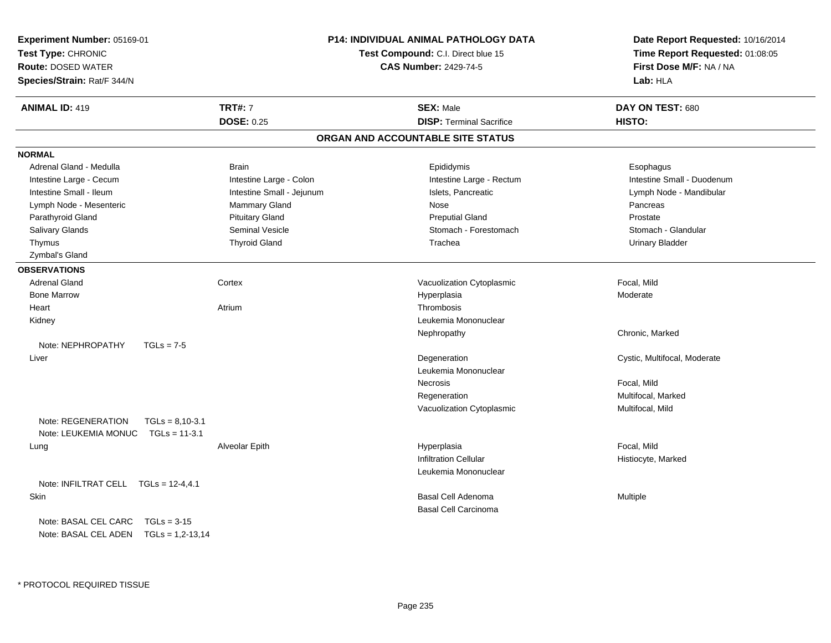| Experiment Number: 05169-01<br>Test Type: CHRONIC<br><b>Route: DOSED WATER</b><br>Species/Strain: Rat/F 344/N |                           | <b>P14: INDIVIDUAL ANIMAL PATHOLOGY DATA</b><br>Test Compound: C.I. Direct blue 15<br><b>CAS Number: 2429-74-5</b> | Date Report Requested: 10/16/2014<br>Time Report Requested: 01:08:05<br>First Dose M/F: NA / NA<br>Lab: HLA |
|---------------------------------------------------------------------------------------------------------------|---------------------------|--------------------------------------------------------------------------------------------------------------------|-------------------------------------------------------------------------------------------------------------|
| <b>ANIMAL ID: 419</b>                                                                                         | <b>TRT#: 7</b>            | <b>SEX: Male</b>                                                                                                   | DAY ON TEST: 680                                                                                            |
|                                                                                                               | <b>DOSE: 0.25</b>         | <b>DISP: Terminal Sacrifice</b>                                                                                    | HISTO:                                                                                                      |
|                                                                                                               |                           | ORGAN AND ACCOUNTABLE SITE STATUS                                                                                  |                                                                                                             |
| <b>NORMAL</b>                                                                                                 |                           |                                                                                                                    |                                                                                                             |
| Adrenal Gland - Medulla                                                                                       | <b>Brain</b>              | Epididymis                                                                                                         | Esophagus                                                                                                   |
| Intestine Large - Cecum                                                                                       | Intestine Large - Colon   | Intestine Large - Rectum                                                                                           | Intestine Small - Duodenum                                                                                  |
| Intestine Small - Ileum                                                                                       | Intestine Small - Jejunum | Islets, Pancreatic                                                                                                 | Lymph Node - Mandibular                                                                                     |
| Lymph Node - Mesenteric                                                                                       | Mammary Gland             | Nose                                                                                                               | Pancreas                                                                                                    |
| Parathyroid Gland                                                                                             | <b>Pituitary Gland</b>    | <b>Preputial Gland</b>                                                                                             | Prostate                                                                                                    |
| Salivary Glands                                                                                               | Seminal Vesicle           | Stomach - Forestomach                                                                                              | Stomach - Glandular                                                                                         |
| Thymus                                                                                                        | <b>Thyroid Gland</b>      | Trachea                                                                                                            | <b>Urinary Bladder</b>                                                                                      |
| Zymbal's Gland                                                                                                |                           |                                                                                                                    |                                                                                                             |
| <b>OBSERVATIONS</b>                                                                                           |                           |                                                                                                                    |                                                                                                             |
| <b>Adrenal Gland</b>                                                                                          | Cortex                    | Vacuolization Cytoplasmic                                                                                          | Focal, Mild                                                                                                 |
| <b>Bone Marrow</b>                                                                                            |                           | Hyperplasia                                                                                                        | Moderate                                                                                                    |
| Heart                                                                                                         | Atrium                    | Thrombosis                                                                                                         |                                                                                                             |
| Kidney                                                                                                        |                           | Leukemia Mononuclear                                                                                               |                                                                                                             |
|                                                                                                               |                           | Nephropathy                                                                                                        | Chronic, Marked                                                                                             |
| Note: NEPHROPATHY<br>$TGLs = 7-5$                                                                             |                           |                                                                                                                    |                                                                                                             |
| Liver                                                                                                         |                           | Degeneration                                                                                                       | Cystic, Multifocal, Moderate                                                                                |
|                                                                                                               |                           | Leukemia Mononuclear                                                                                               |                                                                                                             |
|                                                                                                               |                           | Necrosis                                                                                                           | Focal, Mild                                                                                                 |
|                                                                                                               |                           | Regeneration                                                                                                       | Multifocal, Marked                                                                                          |
|                                                                                                               |                           | Vacuolization Cytoplasmic                                                                                          | Multifocal, Mild                                                                                            |
| Note: REGENERATION<br>$TGLs = 8,10-3.1$                                                                       |                           |                                                                                                                    |                                                                                                             |
| Note: LEUKEMIA MONUC<br>$TGLs = 11-3.1$                                                                       |                           |                                                                                                                    |                                                                                                             |
| Lung                                                                                                          | Alveolar Epith            | Hyperplasia                                                                                                        | Focal, Mild                                                                                                 |
|                                                                                                               |                           | <b>Infiltration Cellular</b>                                                                                       | Histiocyte, Marked                                                                                          |
|                                                                                                               |                           | Leukemia Mononuclear                                                                                               |                                                                                                             |
| Note: INFILTRAT CELL $TGLs = 12-4, 4.1$                                                                       |                           |                                                                                                                    |                                                                                                             |
| Skin                                                                                                          |                           | Basal Cell Adenoma                                                                                                 | Multiple                                                                                                    |
|                                                                                                               |                           | <b>Basal Cell Carcinoma</b>                                                                                        |                                                                                                             |
| Note: BASAL CEL CARC<br>$TGLs = 3-15$                                                                         |                           |                                                                                                                    |                                                                                                             |
| Note: BASAL CEL ADEN    TGLs = 1,2-13,14                                                                      |                           |                                                                                                                    |                                                                                                             |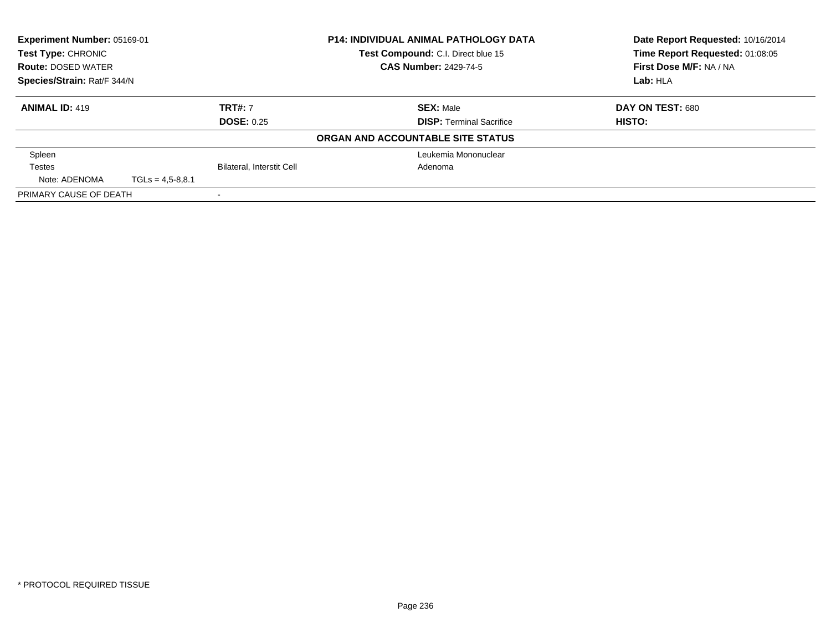| Experiment Number: 05169-01<br><b>Test Type: CHRONIC</b> |                              |                           | <b>P14: INDIVIDUAL ANIMAL PATHOLOGY DATA</b> | Date Report Requested: 10/16/2014 |
|----------------------------------------------------------|------------------------------|---------------------------|----------------------------------------------|-----------------------------------|
|                                                          |                              |                           | Test Compound: C.I. Direct blue 15           | Time Report Requested: 01:08:05   |
| <b>Route: DOSED WATER</b>                                | <b>CAS Number: 2429-74-5</b> |                           |                                              | First Dose M/F: NA / NA           |
| Species/Strain: Rat/F 344/N                              |                              |                           |                                              | Lab: HLA                          |
| <b>ANIMAL ID: 419</b>                                    |                              | <b>TRT#: 7</b>            | <b>SEX: Male</b>                             | DAY ON TEST: 680                  |
|                                                          |                              | <b>DOSE: 0.25</b>         | <b>DISP:</b> Terminal Sacrifice              | HISTO:                            |
|                                                          |                              |                           | ORGAN AND ACCOUNTABLE SITE STATUS            |                                   |
| Spleen                                                   |                              |                           | Leukemia Mononuclear                         |                                   |
| <b>Testes</b>                                            |                              | Bilateral, Interstit Cell | Adenoma                                      |                                   |
| Note: ADENOMA                                            | $TGLs = 4.5 - 8.8.1$         |                           |                                              |                                   |
| PRIMARY CAUSE OF DEATH                                   |                              |                           |                                              |                                   |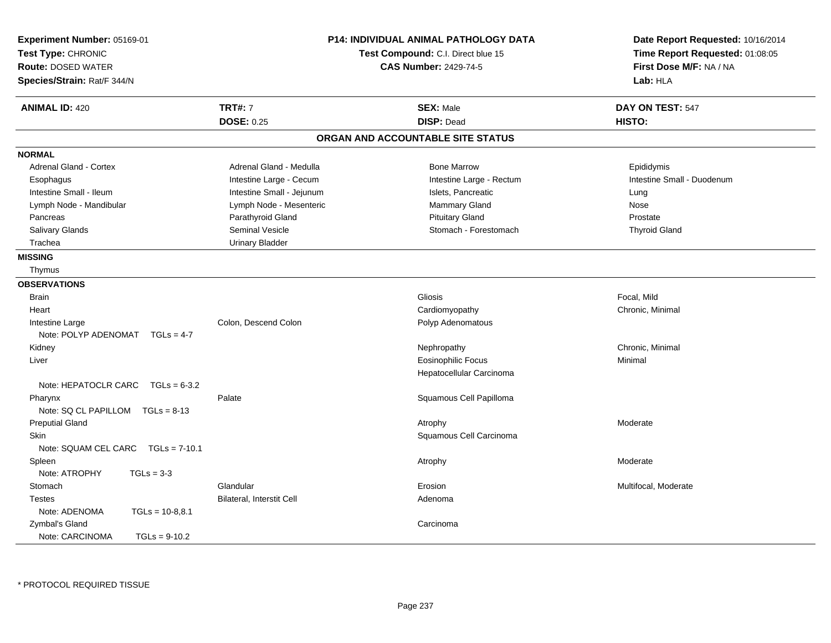| Experiment Number: 05169-01<br>Test Type: CHRONIC<br><b>Route: DOSED WATER</b><br>Species/Strain: Rat/F 344/N |                           | <b>P14: INDIVIDUAL ANIMAL PATHOLOGY DATA</b><br>Test Compound: C.I. Direct blue 15<br><b>CAS Number: 2429-74-5</b> | Date Report Requested: 10/16/2014<br>Time Report Requested: 01:08:05<br>First Dose M/F: NA / NA<br>Lab: HLA |
|---------------------------------------------------------------------------------------------------------------|---------------------------|--------------------------------------------------------------------------------------------------------------------|-------------------------------------------------------------------------------------------------------------|
| <b>ANIMAL ID: 420</b>                                                                                         | <b>TRT#: 7</b>            | <b>SEX: Male</b>                                                                                                   | DAY ON TEST: 547                                                                                            |
|                                                                                                               | <b>DOSE: 0.25</b>         | <b>DISP: Dead</b>                                                                                                  | HISTO:                                                                                                      |
|                                                                                                               |                           | ORGAN AND ACCOUNTABLE SITE STATUS                                                                                  |                                                                                                             |
| <b>NORMAL</b>                                                                                                 |                           |                                                                                                                    |                                                                                                             |
| <b>Adrenal Gland - Cortex</b>                                                                                 | Adrenal Gland - Medulla   | <b>Bone Marrow</b>                                                                                                 | Epididymis                                                                                                  |
| Esophagus                                                                                                     | Intestine Large - Cecum   | Intestine Large - Rectum                                                                                           | Intestine Small - Duodenum                                                                                  |
| Intestine Small - Ileum                                                                                       | Intestine Small - Jejunum | Islets, Pancreatic                                                                                                 | Lung                                                                                                        |
| Lymph Node - Mandibular                                                                                       | Lymph Node - Mesenteric   | Mammary Gland                                                                                                      | <b>Nose</b>                                                                                                 |
| Pancreas                                                                                                      | Parathyroid Gland         | <b>Pituitary Gland</b>                                                                                             | Prostate                                                                                                    |
| Salivary Glands                                                                                               | Seminal Vesicle           | Stomach - Forestomach                                                                                              | <b>Thyroid Gland</b>                                                                                        |
| Trachea                                                                                                       | <b>Urinary Bladder</b>    |                                                                                                                    |                                                                                                             |
| <b>MISSING</b>                                                                                                |                           |                                                                                                                    |                                                                                                             |
| Thymus                                                                                                        |                           |                                                                                                                    |                                                                                                             |
| <b>OBSERVATIONS</b>                                                                                           |                           |                                                                                                                    |                                                                                                             |
| <b>Brain</b>                                                                                                  |                           | <b>Gliosis</b>                                                                                                     | Focal, Mild                                                                                                 |
| Heart                                                                                                         |                           | Cardiomyopathy                                                                                                     | Chronic, Minimal                                                                                            |
| Intestine Large                                                                                               | Colon, Descend Colon      | Polyp Adenomatous                                                                                                  |                                                                                                             |
| Note: POLYP ADENOMAT<br>$TGLS = 4-7$                                                                          |                           |                                                                                                                    |                                                                                                             |
| Kidney                                                                                                        |                           | Nephropathy                                                                                                        | Chronic, Minimal                                                                                            |
| Liver                                                                                                         |                           | <b>Eosinophilic Focus</b>                                                                                          | Minimal                                                                                                     |
|                                                                                                               |                           | Hepatocellular Carcinoma                                                                                           |                                                                                                             |
| Note: HEPATOCLR CARC $TGLs = 6-3.2$                                                                           |                           |                                                                                                                    |                                                                                                             |
| Pharynx                                                                                                       | Palate                    | Squamous Cell Papilloma                                                                                            |                                                                                                             |
| Note: SQ CL PAPILLOM TGLs = 8-13                                                                              |                           |                                                                                                                    |                                                                                                             |
| <b>Preputial Gland</b>                                                                                        |                           | Atrophy                                                                                                            | Moderate                                                                                                    |
| <b>Skin</b>                                                                                                   |                           | Squamous Cell Carcinoma                                                                                            |                                                                                                             |
| Note: SQUAM CEL CARC<br>$TGLs = 7-10.1$                                                                       |                           |                                                                                                                    |                                                                                                             |
| Spleen                                                                                                        |                           | Atrophy                                                                                                            | Moderate                                                                                                    |
| Note: ATROPHY<br>$TGLs = 3-3$                                                                                 |                           |                                                                                                                    |                                                                                                             |
| Stomach                                                                                                       | Glandular                 | Erosion                                                                                                            | Multifocal, Moderate                                                                                        |
| <b>Testes</b>                                                                                                 | Bilateral, Interstit Cell | Adenoma                                                                                                            |                                                                                                             |
| Note: ADENOMA<br>$TGLs = 10-8,8.1$                                                                            |                           |                                                                                                                    |                                                                                                             |
| Zymbal's Gland                                                                                                |                           | Carcinoma                                                                                                          |                                                                                                             |
| Note: CARCINOMA<br>$TGLs = 9-10.2$                                                                            |                           |                                                                                                                    |                                                                                                             |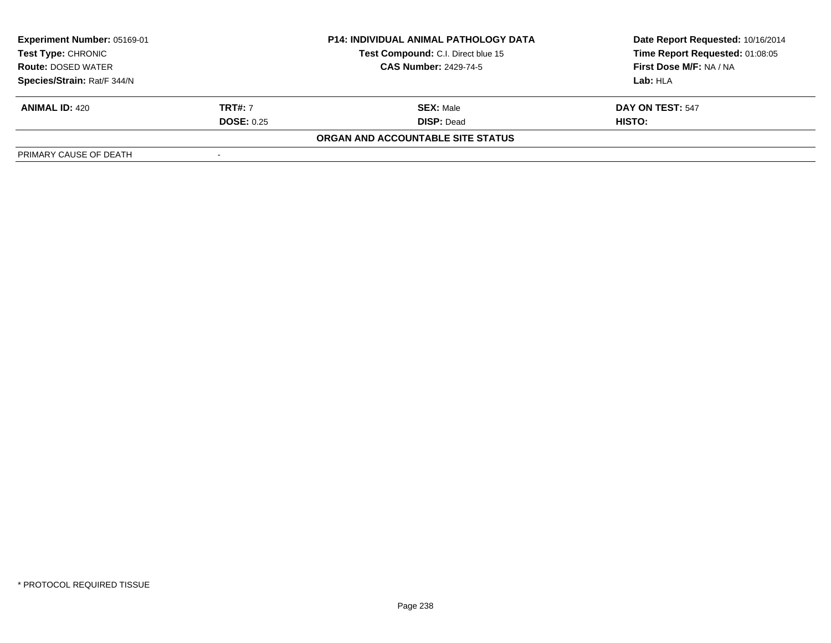| Experiment Number: 05169-01 |                   | <b>P14: INDIVIDUAL ANIMAL PATHOLOGY DATA</b> | Date Report Requested: 10/16/2014 |
|-----------------------------|-------------------|----------------------------------------------|-----------------------------------|
| Test Type: CHRONIC          |                   | Test Compound: C.I. Direct blue 15           | Time Report Requested: 01:08:05   |
| <b>Route: DOSED WATER</b>   |                   | <b>CAS Number: 2429-74-5</b>                 | First Dose M/F: NA / NA           |
| Species/Strain: Rat/F 344/N |                   |                                              | Lab:HLA                           |
| <b>ANIMAL ID: 420</b>       | <b>TRT#:</b> 7    | <b>SEX: Male</b>                             | DAY ON TEST: 547                  |
|                             | <b>DOSE: 0.25</b> | <b>DISP: Dead</b>                            | HISTO:                            |
|                             |                   | ORGAN AND ACCOUNTABLE SITE STATUS            |                                   |
| PRIMARY CAUSE OF DEATH      |                   |                                              |                                   |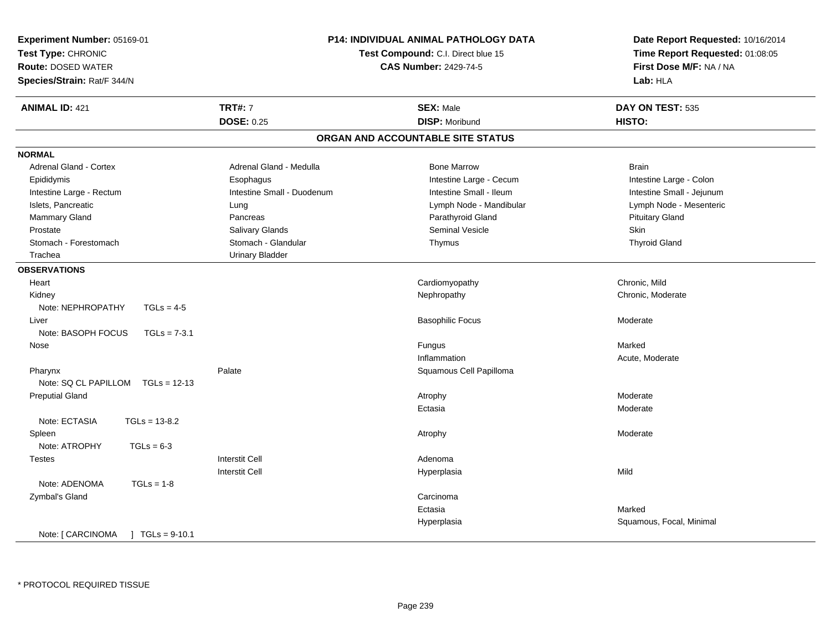| Experiment Number: 05169-01<br>Test Type: CHRONIC<br><b>Route: DOSED WATER</b><br>Species/Strain: Rat/F 344/N | P14: INDIVIDUAL ANIMAL PATHOLOGY DATA<br>Test Compound: C.I. Direct blue 15<br><b>CAS Number: 2429-74-5</b> |                                   | Date Report Requested: 10/16/2014<br>Time Report Requested: 01:08:05<br>First Dose M/F: NA / NA<br>Lab: HLA |
|---------------------------------------------------------------------------------------------------------------|-------------------------------------------------------------------------------------------------------------|-----------------------------------|-------------------------------------------------------------------------------------------------------------|
| <b>ANIMAL ID: 421</b>                                                                                         | <b>TRT#: 7</b>                                                                                              | <b>SEX: Male</b>                  | DAY ON TEST: 535                                                                                            |
|                                                                                                               | <b>DOSE: 0.25</b>                                                                                           | <b>DISP: Moribund</b>             | HISTO:                                                                                                      |
|                                                                                                               |                                                                                                             | ORGAN AND ACCOUNTABLE SITE STATUS |                                                                                                             |
| <b>NORMAL</b>                                                                                                 |                                                                                                             |                                   |                                                                                                             |
| Adrenal Gland - Cortex                                                                                        | Adrenal Gland - Medulla                                                                                     | <b>Bone Marrow</b>                | <b>Brain</b>                                                                                                |
| Epididymis                                                                                                    | Esophagus                                                                                                   | Intestine Large - Cecum           | Intestine Large - Colon                                                                                     |
| Intestine Large - Rectum                                                                                      | Intestine Small - Duodenum                                                                                  | Intestine Small - Ileum           | Intestine Small - Jejunum                                                                                   |
| Islets, Pancreatic                                                                                            | Lung                                                                                                        | Lymph Node - Mandibular           | Lymph Node - Mesenteric                                                                                     |
| Mammary Gland                                                                                                 | Pancreas                                                                                                    | Parathyroid Gland                 | <b>Pituitary Gland</b>                                                                                      |
| Prostate                                                                                                      | Salivary Glands                                                                                             | Seminal Vesicle                   | Skin                                                                                                        |
| Stomach - Forestomach                                                                                         | Stomach - Glandular                                                                                         | Thymus                            | <b>Thyroid Gland</b>                                                                                        |
| Trachea                                                                                                       | <b>Urinary Bladder</b>                                                                                      |                                   |                                                                                                             |
| <b>OBSERVATIONS</b>                                                                                           |                                                                                                             |                                   |                                                                                                             |
| Heart                                                                                                         |                                                                                                             | Cardiomyopathy                    | Chronic, Mild                                                                                               |
| Kidney                                                                                                        |                                                                                                             | Nephropathy                       | Chronic, Moderate                                                                                           |
| Note: NEPHROPATHY<br>$TGLs = 4-5$                                                                             |                                                                                                             |                                   |                                                                                                             |
| Liver                                                                                                         |                                                                                                             | <b>Basophilic Focus</b>           | Moderate                                                                                                    |
| Note: BASOPH FOCUS<br>$TGLs = 7-3.1$                                                                          |                                                                                                             |                                   |                                                                                                             |
| Nose                                                                                                          |                                                                                                             | Fungus                            | Marked                                                                                                      |
|                                                                                                               |                                                                                                             | Inflammation                      | Acute, Moderate                                                                                             |
| Pharynx                                                                                                       | Palate                                                                                                      | Squamous Cell Papilloma           |                                                                                                             |
| Note: SQ CL PAPILLOM<br>$TGLs = 12-13$                                                                        |                                                                                                             |                                   |                                                                                                             |
| <b>Preputial Gland</b>                                                                                        |                                                                                                             | Atrophy                           | Moderate                                                                                                    |
|                                                                                                               |                                                                                                             | Ectasia                           | Moderate                                                                                                    |
| Note: ECTASIA<br>$TGLs = 13-8.2$                                                                              |                                                                                                             |                                   |                                                                                                             |
| Spleen                                                                                                        |                                                                                                             | Atrophy                           | Moderate                                                                                                    |
| Note: ATROPHY<br>$TGLs = 6-3$                                                                                 |                                                                                                             |                                   |                                                                                                             |
| <b>Testes</b>                                                                                                 | <b>Interstit Cell</b>                                                                                       | Adenoma                           |                                                                                                             |
|                                                                                                               | <b>Interstit Cell</b>                                                                                       | Hyperplasia                       | Mild                                                                                                        |
| Note: ADENOMA<br>$TGLs = 1-8$                                                                                 |                                                                                                             |                                   |                                                                                                             |
| Zymbal's Gland                                                                                                |                                                                                                             | Carcinoma                         |                                                                                                             |
|                                                                                                               |                                                                                                             | Ectasia                           | Marked                                                                                                      |
|                                                                                                               |                                                                                                             | Hyperplasia                       | Squamous, Focal, Minimal                                                                                    |
| Note: [ CARCINOMA<br>$TGLs = 9-10.1$                                                                          |                                                                                                             |                                   |                                                                                                             |

\* PROTOCOL REQUIRED TISSUE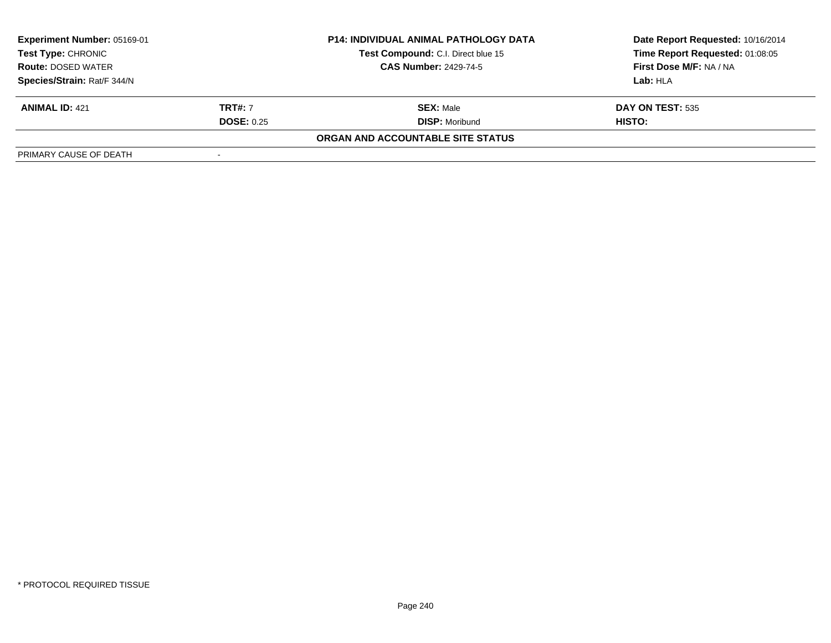| Experiment Number: 05169-01<br>Test Type: CHRONIC<br><b>Route: DOSED WATER</b> |                   | <b>P14: INDIVIDUAL ANIMAL PATHOLOGY DATA</b><br>Test Compound: C.I. Direct blue 15 | Date Report Requested: 10/16/2014<br>Time Report Requested: 01:08:05 |
|--------------------------------------------------------------------------------|-------------------|------------------------------------------------------------------------------------|----------------------------------------------------------------------|
|                                                                                |                   | <b>CAS Number: 2429-74-5</b>                                                       | First Dose M/F: NA / NA                                              |
| Species/Strain: Rat/F 344/N                                                    |                   |                                                                                    | Lab:HLA                                                              |
| <b>ANIMAL ID: 421</b>                                                          | <b>TRT#:</b> 7    | <b>SEX: Male</b>                                                                   | <b>DAY ON TEST: 535</b>                                              |
|                                                                                | <b>DOSE: 0.25</b> | <b>DISP:</b> Moribund                                                              | HISTO:                                                               |
|                                                                                |                   | ORGAN AND ACCOUNTABLE SITE STATUS                                                  |                                                                      |
| PRIMARY CAUSE OF DEATH                                                         |                   |                                                                                    |                                                                      |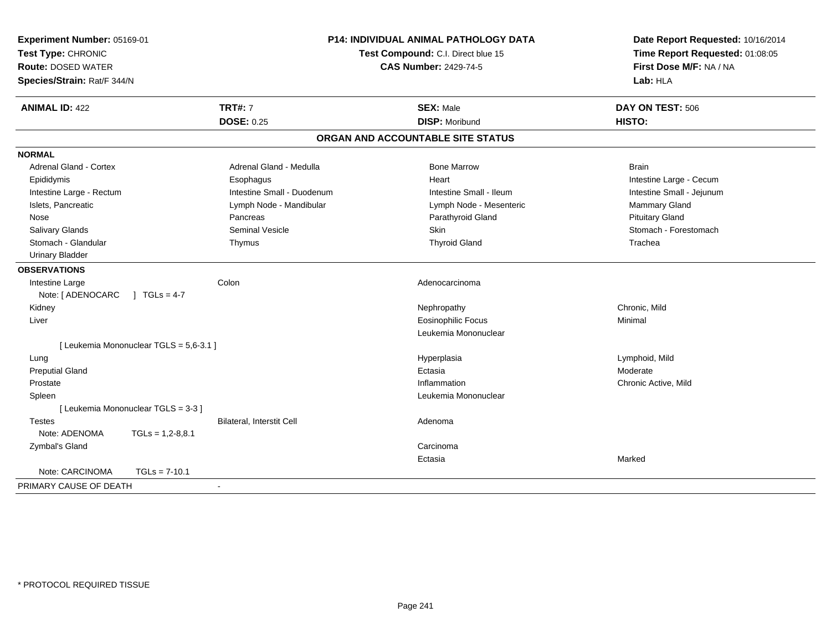| Experiment Number: 05169-01<br>Test Type: CHRONIC<br><b>Route: DOSED WATER</b><br>Species/Strain: Rat/F 344/N |                                         | P14: INDIVIDUAL ANIMAL PATHOLOGY DATA<br>Test Compound: C.I. Direct blue 15<br><b>CAS Number: 2429-74-5</b> | Date Report Requested: 10/16/2014<br>Time Report Requested: 01:08:05<br>First Dose M/F: NA / NA<br>Lab: HLA |
|---------------------------------------------------------------------------------------------------------------|-----------------------------------------|-------------------------------------------------------------------------------------------------------------|-------------------------------------------------------------------------------------------------------------|
| <b>ANIMAL ID: 422</b>                                                                                         | <b>TRT#: 7</b><br><b>DOSE: 0.25</b>     | <b>SEX: Male</b><br><b>DISP: Moribund</b>                                                                   | DAY ON TEST: 506<br>HISTO:                                                                                  |
|                                                                                                               |                                         | ORGAN AND ACCOUNTABLE SITE STATUS                                                                           |                                                                                                             |
|                                                                                                               |                                         |                                                                                                             |                                                                                                             |
| <b>NORMAL</b>                                                                                                 |                                         |                                                                                                             |                                                                                                             |
| <b>Adrenal Gland - Cortex</b>                                                                                 | Adrenal Gland - Medulla                 | <b>Bone Marrow</b>                                                                                          | <b>Brain</b>                                                                                                |
| Epididymis                                                                                                    | Esophagus                               | Heart                                                                                                       | Intestine Large - Cecum                                                                                     |
| Intestine Large - Rectum                                                                                      | Intestine Small - Duodenum              | Intestine Small - Ileum                                                                                     | Intestine Small - Jejunum                                                                                   |
| Islets, Pancreatic                                                                                            | Lymph Node - Mandibular                 | Lymph Node - Mesenteric                                                                                     | Mammary Gland                                                                                               |
| Nose                                                                                                          | Pancreas                                | Parathyroid Gland                                                                                           | <b>Pituitary Gland</b>                                                                                      |
| <b>Salivary Glands</b>                                                                                        | Seminal Vesicle                         | Skin                                                                                                        | Stomach - Forestomach                                                                                       |
| Stomach - Glandular                                                                                           | Thymus                                  | <b>Thyroid Gland</b>                                                                                        | Trachea                                                                                                     |
| <b>Urinary Bladder</b>                                                                                        |                                         |                                                                                                             |                                                                                                             |
| <b>OBSERVATIONS</b>                                                                                           |                                         |                                                                                                             |                                                                                                             |
| Intestine Large                                                                                               | Colon                                   | Adenocarcinoma                                                                                              |                                                                                                             |
| Note: [ ADENOCARC                                                                                             | $1 TGLs = 4-7$                          |                                                                                                             |                                                                                                             |
| Kidney                                                                                                        |                                         | Nephropathy                                                                                                 | Chronic, Mild                                                                                               |
| Liver                                                                                                         |                                         | <b>Eosinophilic Focus</b>                                                                                   | Minimal                                                                                                     |
|                                                                                                               |                                         | Leukemia Mononuclear                                                                                        |                                                                                                             |
|                                                                                                               | [ Leukemia Mononuclear TGLS = 5,6-3.1 ] |                                                                                                             |                                                                                                             |
| Lung                                                                                                          |                                         | Hyperplasia                                                                                                 | Lymphoid, Mild                                                                                              |
| <b>Preputial Gland</b>                                                                                        |                                         | Ectasia                                                                                                     | Moderate                                                                                                    |
| Prostate                                                                                                      |                                         | Inflammation                                                                                                | Chronic Active, Mild                                                                                        |
| Spleen                                                                                                        |                                         | Leukemia Mononuclear                                                                                        |                                                                                                             |
| [ Leukemia Mononuclear TGLS = 3-3 ]                                                                           |                                         |                                                                                                             |                                                                                                             |
| <b>Testes</b>                                                                                                 | Bilateral, Interstit Cell               | Adenoma                                                                                                     |                                                                                                             |
| Note: ADENOMA                                                                                                 | $TGLs = 1,2-8,8.1$                      |                                                                                                             |                                                                                                             |
| Zymbal's Gland                                                                                                |                                         | Carcinoma                                                                                                   |                                                                                                             |
|                                                                                                               |                                         | Ectasia                                                                                                     | Marked                                                                                                      |
| Note: CARCINOMA                                                                                               | $TGLs = 7-10.1$                         |                                                                                                             |                                                                                                             |
| PRIMARY CAUSE OF DEATH                                                                                        |                                         |                                                                                                             |                                                                                                             |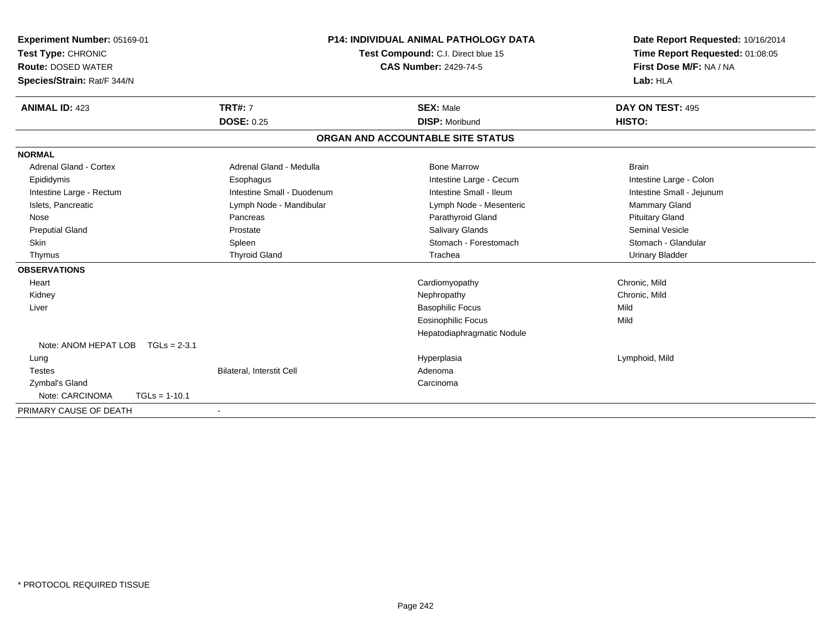| Experiment Number: 05169-01<br>Test Type: CHRONIC |                            | <b>P14: INDIVIDUAL ANIMAL PATHOLOGY DATA</b> | Date Report Requested: 10/16/2014 |
|---------------------------------------------------|----------------------------|----------------------------------------------|-----------------------------------|
|                                                   |                            | Test Compound: C.I. Direct blue 15           | Time Report Requested: 01:08:05   |
| <b>Route: DOSED WATER</b>                         |                            | <b>CAS Number: 2429-74-5</b>                 | First Dose M/F: NA / NA           |
| Species/Strain: Rat/F 344/N                       |                            |                                              | Lab: HLA                          |
| <b>ANIMAL ID: 423</b>                             | <b>TRT#: 7</b>             | <b>SEX: Male</b>                             | DAY ON TEST: 495                  |
|                                                   | <b>DOSE: 0.25</b>          | <b>DISP: Moribund</b>                        | HISTO:                            |
|                                                   |                            | ORGAN AND ACCOUNTABLE SITE STATUS            |                                   |
| <b>NORMAL</b>                                     |                            |                                              |                                   |
| Adrenal Gland - Cortex                            | Adrenal Gland - Medulla    | <b>Bone Marrow</b>                           | <b>Brain</b>                      |
| Epididymis                                        | Esophagus                  | Intestine Large - Cecum                      | Intestine Large - Colon           |
| Intestine Large - Rectum                          | Intestine Small - Duodenum | Intestine Small - Ileum                      | Intestine Small - Jejunum         |
| Islets, Pancreatic                                | Lymph Node - Mandibular    | Lymph Node - Mesenteric                      | <b>Mammary Gland</b>              |
| Nose                                              | Pancreas                   | Parathyroid Gland                            | <b>Pituitary Gland</b>            |
| <b>Preputial Gland</b>                            | Prostate                   | Salivary Glands                              | <b>Seminal Vesicle</b>            |
| Skin                                              | Spleen                     | Stomach - Forestomach                        | Stomach - Glandular               |
| Thymus                                            | <b>Thyroid Gland</b>       | Trachea                                      | <b>Urinary Bladder</b>            |
| <b>OBSERVATIONS</b>                               |                            |                                              |                                   |
| Heart                                             |                            | Cardiomyopathy                               | Chronic, Mild                     |
| Kidney                                            |                            | Nephropathy                                  | Chronic, Mild                     |
| Liver                                             |                            | <b>Basophilic Focus</b>                      | Mild                              |
|                                                   |                            | <b>Eosinophilic Focus</b>                    | Mild                              |
|                                                   |                            | Hepatodiaphragmatic Nodule                   |                                   |
| Note: ANOM HEPAT LOB                              | $TGLs = 2-3.1$             |                                              |                                   |
| Lung                                              |                            | Hyperplasia                                  | Lymphoid, Mild                    |
| <b>Testes</b>                                     | Bilateral, Interstit Cell  | Adenoma                                      |                                   |
| Zymbal's Gland                                    |                            | Carcinoma                                    |                                   |
| Note: CARCINOMA                                   | $TGLs = 1-10.1$            |                                              |                                   |
| PRIMARY CAUSE OF DEATH                            | $\blacksquare$             |                                              |                                   |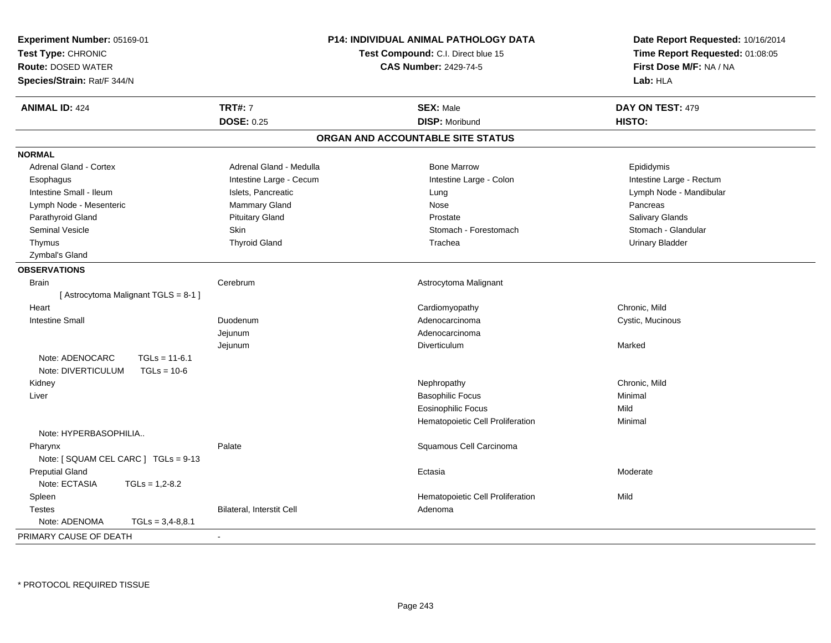| <b>Experiment Number: 05169-01</b><br>Test Type: CHRONIC<br><b>Route: DOSED WATER</b><br>Species/Strain: Rat/F 344/N | <b>P14: INDIVIDUAL ANIMAL PATHOLOGY DATA</b><br>Test Compound: C.I. Direct blue 15<br><b>CAS Number: 2429-74-5</b> |                                   | Date Report Requested: 10/16/2014<br>Time Report Requested: 01:08:05<br>First Dose M/F: NA / NA<br>Lab: HLA |
|----------------------------------------------------------------------------------------------------------------------|--------------------------------------------------------------------------------------------------------------------|-----------------------------------|-------------------------------------------------------------------------------------------------------------|
| <b>ANIMAL ID: 424</b>                                                                                                | <b>TRT#: 7</b>                                                                                                     | <b>SEX: Male</b>                  | DAY ON TEST: 479                                                                                            |
|                                                                                                                      | <b>DOSE: 0.25</b>                                                                                                  | <b>DISP: Moribund</b>             | HISTO:                                                                                                      |
|                                                                                                                      |                                                                                                                    | ORGAN AND ACCOUNTABLE SITE STATUS |                                                                                                             |
| <b>NORMAL</b>                                                                                                        |                                                                                                                    |                                   |                                                                                                             |
| Adrenal Gland - Cortex                                                                                               | Adrenal Gland - Medulla                                                                                            | <b>Bone Marrow</b>                | Epididymis                                                                                                  |
| Esophagus                                                                                                            | Intestine Large - Cecum                                                                                            | Intestine Large - Colon           | Intestine Large - Rectum                                                                                    |
| Intestine Small - Ileum                                                                                              | Islets, Pancreatic                                                                                                 | Lung                              | Lymph Node - Mandibular                                                                                     |
| Lymph Node - Mesenteric                                                                                              | Mammary Gland                                                                                                      | Nose                              | Pancreas                                                                                                    |
| Parathyroid Gland                                                                                                    | <b>Pituitary Gland</b>                                                                                             | Prostate                          | Salivary Glands                                                                                             |
| <b>Seminal Vesicle</b>                                                                                               | Skin                                                                                                               | Stomach - Forestomach             | Stomach - Glandular                                                                                         |
| Thymus                                                                                                               | <b>Thyroid Gland</b>                                                                                               | Trachea                           | <b>Urinary Bladder</b>                                                                                      |
| Zymbal's Gland                                                                                                       |                                                                                                                    |                                   |                                                                                                             |
| <b>OBSERVATIONS</b>                                                                                                  |                                                                                                                    |                                   |                                                                                                             |
| <b>Brain</b>                                                                                                         | Cerebrum                                                                                                           | Astrocytoma Malignant             |                                                                                                             |
| [Astrocytoma Malignant TGLS = 8-1]                                                                                   |                                                                                                                    |                                   |                                                                                                             |
| Heart                                                                                                                |                                                                                                                    | Cardiomyopathy                    | Chronic, Mild                                                                                               |
| <b>Intestine Small</b>                                                                                               | Duodenum                                                                                                           | Adenocarcinoma                    | Cystic, Mucinous                                                                                            |
|                                                                                                                      | Jejunum                                                                                                            | Adenocarcinoma                    |                                                                                                             |
|                                                                                                                      | Jejunum                                                                                                            | Diverticulum                      | Marked                                                                                                      |
| Note: ADENOCARC<br>$TGLs = 11-6.1$                                                                                   |                                                                                                                    |                                   |                                                                                                             |
| Note: DIVERTICULUM<br>$TGLs = 10-6$                                                                                  |                                                                                                                    |                                   |                                                                                                             |
| Kidney                                                                                                               |                                                                                                                    | Nephropathy                       | Chronic, Mild                                                                                               |
| Liver                                                                                                                |                                                                                                                    | <b>Basophilic Focus</b>           | Minimal                                                                                                     |
|                                                                                                                      |                                                                                                                    | <b>Eosinophilic Focus</b>         | Mild                                                                                                        |
|                                                                                                                      |                                                                                                                    | Hematopoietic Cell Proliferation  | Minimal                                                                                                     |
| Note: HYPERBASOPHILIA                                                                                                |                                                                                                                    |                                   |                                                                                                             |
| Pharynx                                                                                                              | Palate                                                                                                             | Squamous Cell Carcinoma           |                                                                                                             |
| Note: [ SQUAM CEL CARC ] TGLs = 9-13                                                                                 |                                                                                                                    |                                   |                                                                                                             |
| <b>Preputial Gland</b>                                                                                               |                                                                                                                    | Ectasia                           | Moderate                                                                                                    |
| Note: ECTASIA<br>$TGLs = 1,2-8.2$                                                                                    |                                                                                                                    |                                   |                                                                                                             |
| Spleen                                                                                                               |                                                                                                                    | Hematopoietic Cell Proliferation  | Mild                                                                                                        |
| <b>Testes</b>                                                                                                        | Bilateral, Interstit Cell                                                                                          | Adenoma                           |                                                                                                             |
| Note: ADENOMA<br>$TGLs = 3,4-8,8.1$                                                                                  |                                                                                                                    |                                   |                                                                                                             |
| PRIMARY CAUSE OF DEATH                                                                                               |                                                                                                                    |                                   |                                                                                                             |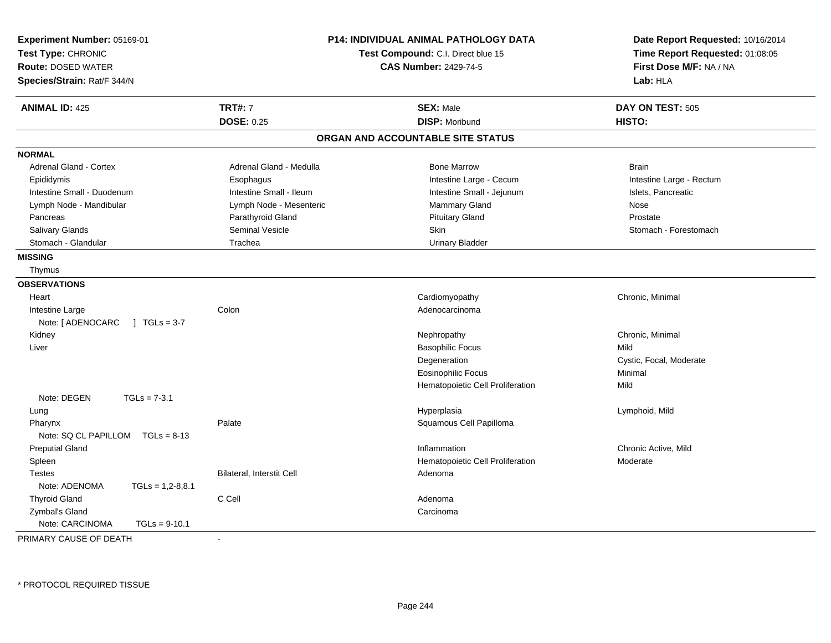| Experiment Number: 05169-01<br>Test Type: CHRONIC<br><b>Route: DOSED WATER</b><br>Species/Strain: Rat/F 344/N |                           | <b>P14: INDIVIDUAL ANIMAL PATHOLOGY DATA</b><br>Test Compound: C.I. Direct blue 15<br><b>CAS Number: 2429-74-5</b> | Date Report Requested: 10/16/2014<br>Time Report Requested: 01:08:05<br>First Dose M/F: NA / NA<br>Lab: HLA |  |
|---------------------------------------------------------------------------------------------------------------|---------------------------|--------------------------------------------------------------------------------------------------------------------|-------------------------------------------------------------------------------------------------------------|--|
| <b>ANIMAL ID: 425</b>                                                                                         | <b>TRT#: 7</b>            | <b>SEX: Male</b>                                                                                                   | DAY ON TEST: 505                                                                                            |  |
|                                                                                                               | <b>DOSE: 0.25</b>         | <b>DISP: Moribund</b>                                                                                              | HISTO:                                                                                                      |  |
|                                                                                                               |                           | ORGAN AND ACCOUNTABLE SITE STATUS                                                                                  |                                                                                                             |  |
| <b>NORMAL</b>                                                                                                 |                           |                                                                                                                    |                                                                                                             |  |
| <b>Adrenal Gland - Cortex</b>                                                                                 | Adrenal Gland - Medulla   | <b>Bone Marrow</b>                                                                                                 | <b>Brain</b>                                                                                                |  |
| Epididymis                                                                                                    | Esophagus                 | Intestine Large - Cecum                                                                                            | Intestine Large - Rectum                                                                                    |  |
| Intestine Small - Duodenum                                                                                    | Intestine Small - Ileum   | Intestine Small - Jejunum                                                                                          | Islets, Pancreatic                                                                                          |  |
| Lymph Node - Mandibular                                                                                       | Lymph Node - Mesenteric   | Mammary Gland                                                                                                      | Nose                                                                                                        |  |
| Pancreas                                                                                                      | Parathyroid Gland         | <b>Pituitary Gland</b>                                                                                             | Prostate                                                                                                    |  |
| Salivary Glands                                                                                               | Seminal Vesicle           | Skin                                                                                                               | Stomach - Forestomach                                                                                       |  |
| Stomach - Glandular                                                                                           | Trachea                   | <b>Urinary Bladder</b>                                                                                             |                                                                                                             |  |
| <b>MISSING</b>                                                                                                |                           |                                                                                                                    |                                                                                                             |  |
| Thymus                                                                                                        |                           |                                                                                                                    |                                                                                                             |  |
| <b>OBSERVATIONS</b>                                                                                           |                           |                                                                                                                    |                                                                                                             |  |
| Heart                                                                                                         |                           | Cardiomyopathy                                                                                                     | Chronic, Minimal                                                                                            |  |
| Intestine Large                                                                                               | Colon                     | Adenocarcinoma                                                                                                     |                                                                                                             |  |
| Note: [ ADENOCARC<br>$1 TGLs = 3-7$                                                                           |                           |                                                                                                                    |                                                                                                             |  |
| Kidney                                                                                                        |                           | Nephropathy                                                                                                        | Chronic, Minimal                                                                                            |  |
| Liver                                                                                                         |                           | <b>Basophilic Focus</b>                                                                                            | Mild                                                                                                        |  |
|                                                                                                               |                           | Degeneration                                                                                                       | Cystic, Focal, Moderate                                                                                     |  |
|                                                                                                               |                           | <b>Eosinophilic Focus</b>                                                                                          | Minimal                                                                                                     |  |
|                                                                                                               |                           | Hematopoietic Cell Proliferation                                                                                   | Mild                                                                                                        |  |
| Note: DEGEN<br>$TGLs = 7-3.1$                                                                                 |                           |                                                                                                                    |                                                                                                             |  |
| Lung                                                                                                          |                           | Hyperplasia                                                                                                        | Lymphoid, Mild                                                                                              |  |
| Pharynx                                                                                                       | Palate                    | Squamous Cell Papilloma                                                                                            |                                                                                                             |  |
| Note: SQ CL PAPILLOM<br>$TGLs = 8-13$                                                                         |                           |                                                                                                                    |                                                                                                             |  |
| <b>Preputial Gland</b>                                                                                        |                           | Inflammation                                                                                                       | Chronic Active, Mild                                                                                        |  |
| Spleen                                                                                                        |                           | Hematopoietic Cell Proliferation                                                                                   | Moderate                                                                                                    |  |
| <b>Testes</b>                                                                                                 | Bilateral, Interstit Cell | Adenoma                                                                                                            |                                                                                                             |  |
| Note: ADENOMA<br>$TGLs = 1,2-8,8.1$                                                                           |                           |                                                                                                                    |                                                                                                             |  |
| <b>Thyroid Gland</b>                                                                                          | C Cell                    | Adenoma                                                                                                            |                                                                                                             |  |
| Zymbal's Gland                                                                                                |                           | Carcinoma                                                                                                          |                                                                                                             |  |
| Note: CARCINOMA<br>$TGLs = 9-10.1$                                                                            |                           |                                                                                                                    |                                                                                                             |  |
| PRIMARY CAUSE OF DEATH                                                                                        | $\blacksquare$            |                                                                                                                    |                                                                                                             |  |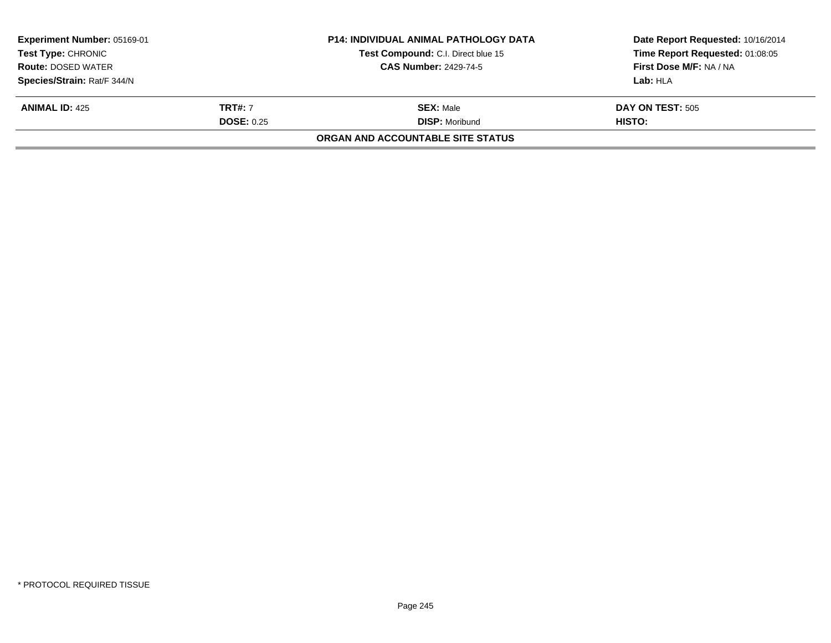| <b>Experiment Number: 05169-01</b><br><b>Test Type: CHRONIC</b> |                   | <b>P14: INDIVIDUAL ANIMAL PATHOLOGY DATA</b> | Date Report Requested: 10/16/2014 |  |
|-----------------------------------------------------------------|-------------------|----------------------------------------------|-----------------------------------|--|
|                                                                 |                   | Test Compound: C.I. Direct blue 15           | Time Report Requested: 01:08:05   |  |
| <b>Route: DOSED WATER</b>                                       |                   | <b>CAS Number: 2429-74-5</b>                 | First Dose M/F: NA / NA           |  |
| Species/Strain: Rat/F 344/N                                     |                   |                                              | Lab: HLA                          |  |
| <b>ANIMAL ID: 425</b>                                           | <b>TRT#: 7</b>    | <b>SEX: Male</b>                             | <b>DAY ON TEST: 505</b>           |  |
|                                                                 | <b>DOSE: 0.25</b> | <b>DISP: Moribund</b>                        | HISTO:                            |  |
|                                                                 |                   | ORGAN AND ACCOUNTABLE SITE STATUS            |                                   |  |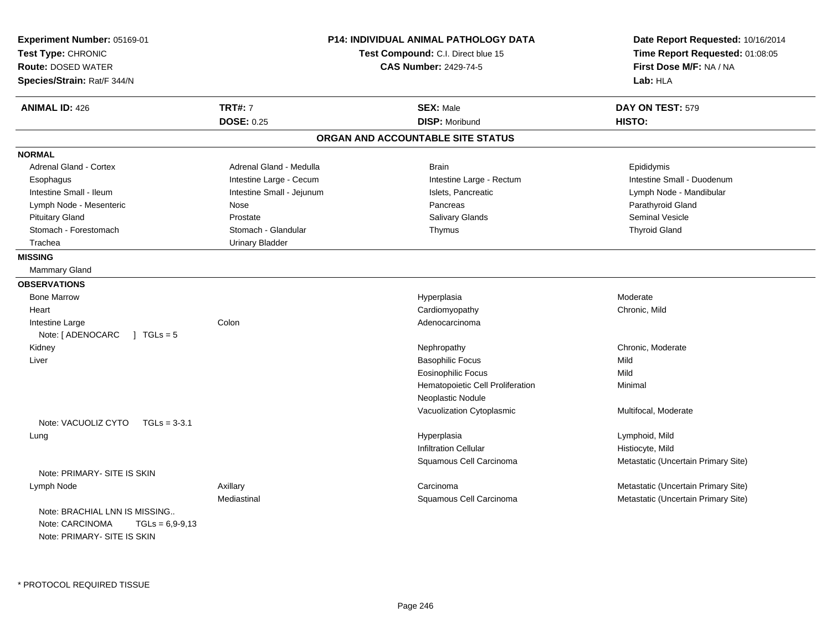| Experiment Number: 05169-01<br>Test Type: CHRONIC<br><b>Route: DOSED WATER</b><br>Species/Strain: Rat/F 344/N |                           | <b>P14: INDIVIDUAL ANIMAL PATHOLOGY DATA</b><br>Test Compound: C.I. Direct blue 15<br><b>CAS Number: 2429-74-5</b> | Date Report Requested: 10/16/2014<br>Time Report Requested: 01:08:05<br>First Dose M/F: NA / NA<br>Lab: HLA |
|---------------------------------------------------------------------------------------------------------------|---------------------------|--------------------------------------------------------------------------------------------------------------------|-------------------------------------------------------------------------------------------------------------|
| <b>ANIMAL ID: 426</b>                                                                                         | <b>TRT#: 7</b>            | <b>SEX: Male</b>                                                                                                   | DAY ON TEST: 579                                                                                            |
|                                                                                                               | <b>DOSE: 0.25</b>         | <b>DISP: Moribund</b>                                                                                              | HISTO:                                                                                                      |
|                                                                                                               |                           | ORGAN AND ACCOUNTABLE SITE STATUS                                                                                  |                                                                                                             |
| <b>NORMAL</b>                                                                                                 |                           |                                                                                                                    |                                                                                                             |
| <b>Adrenal Gland - Cortex</b>                                                                                 | Adrenal Gland - Medulla   | <b>Brain</b>                                                                                                       | Epididymis                                                                                                  |
| Esophagus                                                                                                     | Intestine Large - Cecum   | Intestine Large - Rectum                                                                                           | Intestine Small - Duodenum                                                                                  |
| Intestine Small - Ileum                                                                                       | Intestine Small - Jejunum | Islets, Pancreatic                                                                                                 | Lymph Node - Mandibular                                                                                     |
| Lymph Node - Mesenteric                                                                                       | Nose                      | Pancreas                                                                                                           | Parathyroid Gland                                                                                           |
| <b>Pituitary Gland</b>                                                                                        | Prostate                  | Salivary Glands                                                                                                    | <b>Seminal Vesicle</b>                                                                                      |
| Stomach - Forestomach                                                                                         | Stomach - Glandular       | Thymus                                                                                                             | <b>Thyroid Gland</b>                                                                                        |
| Trachea                                                                                                       | <b>Urinary Bladder</b>    |                                                                                                                    |                                                                                                             |
| <b>MISSING</b>                                                                                                |                           |                                                                                                                    |                                                                                                             |
| Mammary Gland                                                                                                 |                           |                                                                                                                    |                                                                                                             |
| <b>OBSERVATIONS</b>                                                                                           |                           |                                                                                                                    |                                                                                                             |
| <b>Bone Marrow</b>                                                                                            |                           | Hyperplasia                                                                                                        | Moderate                                                                                                    |
| Heart                                                                                                         |                           | Cardiomyopathy                                                                                                     | Chronic, Mild                                                                                               |
| Intestine Large                                                                                               | Colon                     | Adenocarcinoma                                                                                                     |                                                                                                             |
| Note: [ ADENOCARC<br>$1 TGLs = 5$                                                                             |                           |                                                                                                                    |                                                                                                             |
| Kidney                                                                                                        |                           | Nephropathy                                                                                                        | Chronic, Moderate                                                                                           |
| Liver                                                                                                         |                           | <b>Basophilic Focus</b>                                                                                            | Mild                                                                                                        |
|                                                                                                               |                           | <b>Eosinophilic Focus</b>                                                                                          | Mild                                                                                                        |
|                                                                                                               |                           | Hematopoietic Cell Proliferation                                                                                   | Minimal                                                                                                     |
|                                                                                                               |                           | Neoplastic Nodule                                                                                                  |                                                                                                             |
|                                                                                                               |                           | Vacuolization Cytoplasmic                                                                                          | Multifocal, Moderate                                                                                        |
| Note: VACUOLIZ CYTO<br>$TGLs = 3-3.1$                                                                         |                           |                                                                                                                    |                                                                                                             |
| Lung                                                                                                          |                           | Hyperplasia                                                                                                        | Lymphoid, Mild                                                                                              |
|                                                                                                               |                           | <b>Infiltration Cellular</b>                                                                                       | Histiocyte, Mild                                                                                            |
|                                                                                                               |                           | Squamous Cell Carcinoma                                                                                            | Metastatic (Uncertain Primary Site)                                                                         |
| Note: PRIMARY- SITE IS SKIN                                                                                   |                           |                                                                                                                    |                                                                                                             |
| Lymph Node                                                                                                    | Axillary                  | Carcinoma                                                                                                          | Metastatic (Uncertain Primary Site)                                                                         |
| Note: BRACHIAL LNN IS MISSING<br>Note: CARCINOMA<br>$TGLs = 6,9-9,13$<br>Note: PRIMARY- SITE IS SKIN          | Mediastinal               | Squamous Cell Carcinoma                                                                                            | Metastatic (Uncertain Primary Site)                                                                         |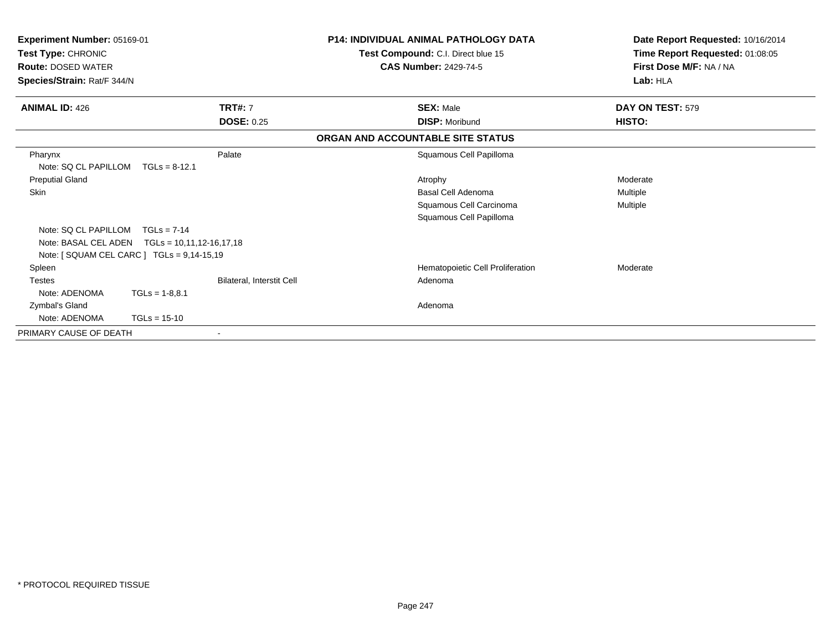| Experiment Number: 05169-01<br>Test Type: CHRONIC<br><b>Route: DOSED WATER</b><br>Species/Strain: Rat/F 344/N |                                                  |                           | <b>P14: INDIVIDUAL ANIMAL PATHOLOGY DATA</b><br>Test Compound: C.I. Direct blue 15<br><b>CAS Number: 2429-74-5</b> | Date Report Requested: 10/16/2014<br>Time Report Requested: 01:08:05<br>First Dose M/F: NA / NA<br>Lab: HLA |
|---------------------------------------------------------------------------------------------------------------|--------------------------------------------------|---------------------------|--------------------------------------------------------------------------------------------------------------------|-------------------------------------------------------------------------------------------------------------|
| <b>ANIMAL ID: 426</b>                                                                                         | <b>TRT#: 7</b>                                   |                           | <b>SEX: Male</b>                                                                                                   | DAY ON TEST: 579                                                                                            |
|                                                                                                               |                                                  | <b>DOSE: 0.25</b>         | <b>DISP: Moribund</b>                                                                                              | <b>HISTO:</b>                                                                                               |
|                                                                                                               |                                                  |                           | ORGAN AND ACCOUNTABLE SITE STATUS                                                                                  |                                                                                                             |
| Pharynx<br>Note: SQ CL PAPILLOM                                                                               | Palate<br>$TGLs = 8-12.1$                        |                           | Squamous Cell Papilloma                                                                                            |                                                                                                             |
| <b>Preputial Gland</b>                                                                                        |                                                  |                           | Atrophy                                                                                                            | Moderate                                                                                                    |
| Skin                                                                                                          |                                                  |                           | Basal Cell Adenoma                                                                                                 | Multiple                                                                                                    |
|                                                                                                               |                                                  |                           | Squamous Cell Carcinoma                                                                                            | Multiple                                                                                                    |
|                                                                                                               |                                                  |                           | Squamous Cell Papilloma                                                                                            |                                                                                                             |
| Note: SQ CL PAPILLOM                                                                                          | $TGLs = 7-14$                                    |                           |                                                                                                                    |                                                                                                             |
|                                                                                                               | Note: BASAL CEL ADEN    TGLs = 10,11,12-16,17,18 |                           |                                                                                                                    |                                                                                                             |
|                                                                                                               | Note: [ SQUAM CEL CARC ] TGLs = 9,14-15,19       |                           |                                                                                                                    |                                                                                                             |
| Spleen                                                                                                        |                                                  |                           | Hematopoietic Cell Proliferation                                                                                   | Moderate                                                                                                    |
| <b>Testes</b>                                                                                                 |                                                  | Bilateral, Interstit Cell | Adenoma                                                                                                            |                                                                                                             |
| Note: ADENOMA                                                                                                 | $TGLs = 1-8.8.1$                                 |                           |                                                                                                                    |                                                                                                             |
| Zymbal's Gland                                                                                                |                                                  |                           | Adenoma                                                                                                            |                                                                                                             |
| Note: ADENOMA                                                                                                 | $TGLs = 15-10$                                   |                           |                                                                                                                    |                                                                                                             |
| PRIMARY CAUSE OF DEATH                                                                                        | ٠                                                |                           |                                                                                                                    |                                                                                                             |
|                                                                                                               |                                                  |                           |                                                                                                                    |                                                                                                             |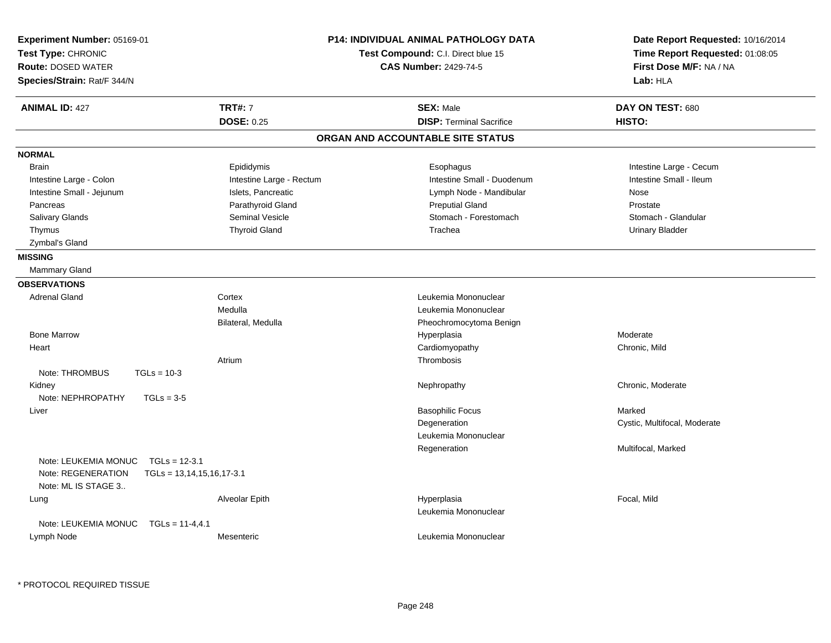| Experiment Number: 05169-01<br>Test Type: CHRONIC<br><b>Route: DOSED WATER</b><br>Species/Strain: Rat/F 344/N |                                                |                          | <b>P14: INDIVIDUAL ANIMAL PATHOLOGY DATA</b><br>Test Compound: C.I. Direct blue 15<br><b>CAS Number: 2429-74-5</b> |                                 | Date Report Requested: 10/16/2014<br>Time Report Requested: 01:08:05<br>First Dose M/F: NA / NA<br>Lab: HLA |
|---------------------------------------------------------------------------------------------------------------|------------------------------------------------|--------------------------|--------------------------------------------------------------------------------------------------------------------|---------------------------------|-------------------------------------------------------------------------------------------------------------|
| <b>ANIMAL ID: 427</b>                                                                                         |                                                | <b>TRT#: 7</b>           | <b>SEX: Male</b>                                                                                                   |                                 | DAY ON TEST: 680                                                                                            |
|                                                                                                               |                                                | <b>DOSE: 0.25</b>        |                                                                                                                    | <b>DISP: Terminal Sacrifice</b> | HISTO:                                                                                                      |
|                                                                                                               |                                                |                          | ORGAN AND ACCOUNTABLE SITE STATUS                                                                                  |                                 |                                                                                                             |
| <b>NORMAL</b>                                                                                                 |                                                |                          |                                                                                                                    |                                 |                                                                                                             |
| <b>Brain</b>                                                                                                  |                                                | Epididymis               |                                                                                                                    | Esophagus                       | Intestine Large - Cecum                                                                                     |
| Intestine Large - Colon                                                                                       |                                                | Intestine Large - Rectum |                                                                                                                    | Intestine Small - Duodenum      | Intestine Small - Ileum                                                                                     |
| Intestine Small - Jejunum                                                                                     |                                                | Islets, Pancreatic       |                                                                                                                    | Lymph Node - Mandibular         | Nose                                                                                                        |
| Pancreas                                                                                                      |                                                | Parathyroid Gland        |                                                                                                                    | <b>Preputial Gland</b>          | Prostate                                                                                                    |
| Salivary Glands                                                                                               |                                                | <b>Seminal Vesicle</b>   |                                                                                                                    | Stomach - Forestomach           | Stomach - Glandular                                                                                         |
| Thymus                                                                                                        |                                                | <b>Thyroid Gland</b>     |                                                                                                                    | Trachea                         | <b>Urinary Bladder</b>                                                                                      |
| Zymbal's Gland                                                                                                |                                                |                          |                                                                                                                    |                                 |                                                                                                             |
| <b>MISSING</b>                                                                                                |                                                |                          |                                                                                                                    |                                 |                                                                                                             |
| <b>Mammary Gland</b>                                                                                          |                                                |                          |                                                                                                                    |                                 |                                                                                                             |
| <b>OBSERVATIONS</b>                                                                                           |                                                |                          |                                                                                                                    |                                 |                                                                                                             |
| <b>Adrenal Gland</b>                                                                                          |                                                | Cortex                   |                                                                                                                    | Leukemia Mononuclear            |                                                                                                             |
|                                                                                                               |                                                | Medulla                  |                                                                                                                    | Leukemia Mononuclear            |                                                                                                             |
|                                                                                                               |                                                | Bilateral, Medulla       |                                                                                                                    | Pheochromocytoma Benign         |                                                                                                             |
| <b>Bone Marrow</b>                                                                                            |                                                |                          | Hyperplasia                                                                                                        |                                 | Moderate                                                                                                    |
| Heart                                                                                                         |                                                |                          |                                                                                                                    | Cardiomyopathy                  | Chronic, Mild                                                                                               |
|                                                                                                               |                                                | Atrium                   | Thrombosis                                                                                                         |                                 |                                                                                                             |
| Note: THROMBUS                                                                                                | $TGLs = 10-3$                                  |                          |                                                                                                                    |                                 |                                                                                                             |
| Kidney                                                                                                        |                                                |                          |                                                                                                                    | Nephropathy                     | Chronic, Moderate                                                                                           |
| Note: NEPHROPATHY                                                                                             | $TGLs = 3-5$                                   |                          |                                                                                                                    |                                 |                                                                                                             |
| Liver                                                                                                         |                                                |                          |                                                                                                                    | <b>Basophilic Focus</b>         | Marked                                                                                                      |
|                                                                                                               |                                                |                          |                                                                                                                    | Degeneration                    | Cystic, Multifocal, Moderate                                                                                |
|                                                                                                               |                                                |                          |                                                                                                                    | Leukemia Mononuclear            |                                                                                                             |
|                                                                                                               |                                                |                          |                                                                                                                    | Regeneration                    | Multifocal, Marked                                                                                          |
| Note: LEUKEMIA MONUC<br>Note: REGENERATION<br>Note: ML IS STAGE 3                                             | $TGLs = 12-3.1$<br>$TGLs = 13,14,15,16,17-3.1$ |                          |                                                                                                                    |                                 |                                                                                                             |
| Lung                                                                                                          |                                                | Alveolar Epith           | Hyperplasia                                                                                                        | Leukemia Mononuclear            | Focal, Mild                                                                                                 |
| Note: LEUKEMIA MONUC                                                                                          | $TGLs = 11-4,4.1$                              |                          |                                                                                                                    |                                 |                                                                                                             |
| Lymph Node                                                                                                    |                                                | Mesenteric               |                                                                                                                    | Leukemia Mononuclear            |                                                                                                             |

\* PROTOCOL REQUIRED TISSUE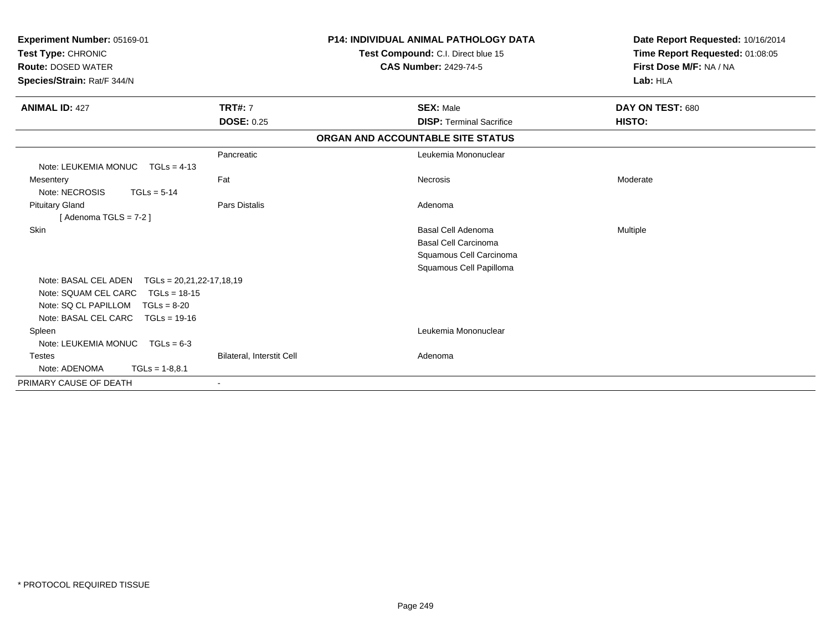| Experiment Number: 05169-01<br>Test Type: CHRONIC<br><b>Route: DOSED WATER</b><br>Species/Strain: Rat/F 344/N |                           | <b>P14: INDIVIDUAL ANIMAL PATHOLOGY DATA</b><br>Test Compound: C.I. Direct blue 15<br><b>CAS Number: 2429-74-5</b> | Date Report Requested: 10/16/2014<br>Time Report Requested: 01:08:05<br>First Dose M/F: NA / NA<br>Lab: HLA |
|---------------------------------------------------------------------------------------------------------------|---------------------------|--------------------------------------------------------------------------------------------------------------------|-------------------------------------------------------------------------------------------------------------|
| <b>ANIMAL ID: 427</b>                                                                                         | <b>TRT#: 7</b>            | <b>SEX: Male</b>                                                                                                   | DAY ON TEST: 680                                                                                            |
|                                                                                                               | <b>DOSE: 0.25</b>         | <b>DISP: Terminal Sacrifice</b>                                                                                    | HISTO:                                                                                                      |
|                                                                                                               |                           | ORGAN AND ACCOUNTABLE SITE STATUS                                                                                  |                                                                                                             |
|                                                                                                               | Pancreatic                | Leukemia Mononuclear                                                                                               |                                                                                                             |
| Note: LEUKEMIA MONUC<br>$TGLs = 4-13$                                                                         |                           |                                                                                                                    |                                                                                                             |
| Mesentery                                                                                                     | Fat                       | Necrosis                                                                                                           | Moderate                                                                                                    |
| Note: NECROSIS<br>$TGLs = 5-14$                                                                               |                           |                                                                                                                    |                                                                                                             |
| <b>Pituitary Gland</b>                                                                                        | Pars Distalis             | Adenoma                                                                                                            |                                                                                                             |
| [Adenoma TGLS = $7-2$ ]                                                                                       |                           |                                                                                                                    |                                                                                                             |
| Skin                                                                                                          |                           | <b>Basal Cell Adenoma</b>                                                                                          | Multiple                                                                                                    |
|                                                                                                               |                           | <b>Basal Cell Carcinoma</b>                                                                                        |                                                                                                             |
|                                                                                                               |                           | Squamous Cell Carcinoma                                                                                            |                                                                                                             |
|                                                                                                               |                           | Squamous Cell Papilloma                                                                                            |                                                                                                             |
| Note: BASAL CEL ADEN<br>$TGLS = 20,21,22-17,18,19$                                                            |                           |                                                                                                                    |                                                                                                             |
| Note: SQUAM CEL CARC<br>$TGLs = 18-15$                                                                        |                           |                                                                                                                    |                                                                                                             |
| Note: SQ CL PAPILLOM<br>$TGLs = 8-20$                                                                         |                           |                                                                                                                    |                                                                                                             |
| Note: BASAL CEL CARC<br>$TGLs = 19-16$                                                                        |                           |                                                                                                                    |                                                                                                             |
| Spleen                                                                                                        |                           | Leukemia Mononuclear                                                                                               |                                                                                                             |
| Note: LEUKEMIA MONUC<br>$TGLs = 6-3$                                                                          |                           |                                                                                                                    |                                                                                                             |
| <b>Testes</b>                                                                                                 | Bilateral, Interstit Cell | Adenoma                                                                                                            |                                                                                                             |
| Note: ADENOMA<br>$TGLs = 1-8,8.1$                                                                             |                           |                                                                                                                    |                                                                                                             |
| PRIMARY CAUSE OF DEATH                                                                                        |                           |                                                                                                                    |                                                                                                             |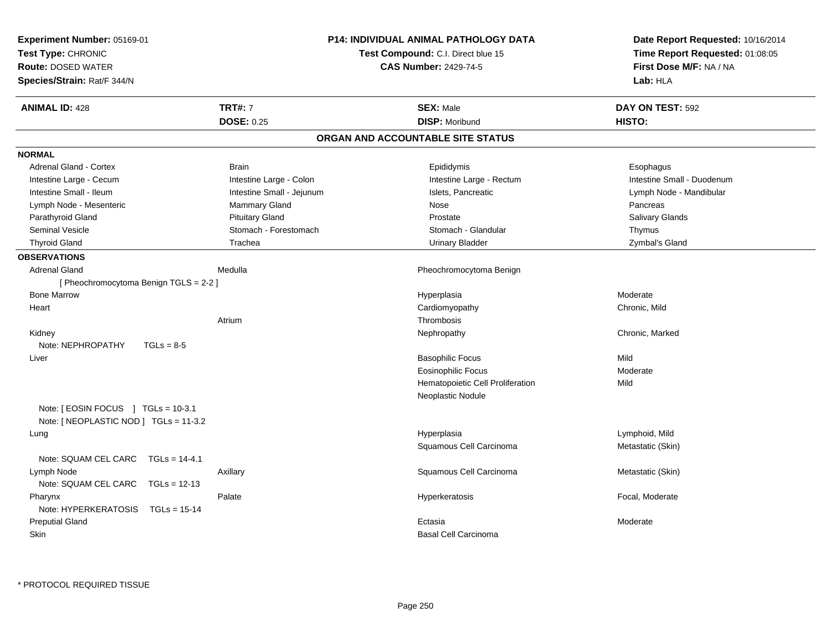| Experiment Number: 05169-01<br>Test Type: CHRONIC<br><b>Route: DOSED WATER</b><br>Species/Strain: Rat/F 344/N |                                     | <b>P14: INDIVIDUAL ANIMAL PATHOLOGY DATA</b><br>Test Compound: C.I. Direct blue 15<br><b>CAS Number: 2429-74-5</b> | Date Report Requested: 10/16/2014<br>Time Report Requested: 01:08:05<br>First Dose M/F: NA / NA<br>Lab: HLA |
|---------------------------------------------------------------------------------------------------------------|-------------------------------------|--------------------------------------------------------------------------------------------------------------------|-------------------------------------------------------------------------------------------------------------|
| <b>ANIMAL ID: 428</b>                                                                                         | <b>TRT#: 7</b><br><b>DOSE: 0.25</b> | <b>SEX: Male</b><br><b>DISP: Moribund</b>                                                                          | DAY ON TEST: 592<br>HISTO:                                                                                  |
|                                                                                                               |                                     | ORGAN AND ACCOUNTABLE SITE STATUS                                                                                  |                                                                                                             |
| <b>NORMAL</b>                                                                                                 |                                     |                                                                                                                    |                                                                                                             |
| Adrenal Gland - Cortex                                                                                        | <b>Brain</b>                        | Epididymis                                                                                                         | Esophagus                                                                                                   |
| Intestine Large - Cecum                                                                                       | Intestine Large - Colon             | Intestine Large - Rectum                                                                                           | Intestine Small - Duodenum                                                                                  |
| Intestine Small - Ileum                                                                                       | Intestine Small - Jejunum           | Islets, Pancreatic                                                                                                 | Lymph Node - Mandibular                                                                                     |
| Lymph Node - Mesenteric                                                                                       | Mammary Gland                       | Nose                                                                                                               | Pancreas                                                                                                    |
| Parathyroid Gland                                                                                             | <b>Pituitary Gland</b>              | Prostate                                                                                                           | Salivary Glands                                                                                             |
| Seminal Vesicle                                                                                               | Stomach - Forestomach               | Stomach - Glandular                                                                                                | Thymus                                                                                                      |
| <b>Thyroid Gland</b>                                                                                          | Trachea                             | <b>Urinary Bladder</b>                                                                                             | Zymbal's Gland                                                                                              |
| <b>OBSERVATIONS</b>                                                                                           |                                     |                                                                                                                    |                                                                                                             |
| <b>Adrenal Gland</b><br>[ Pheochromocytoma Benign TGLS = 2-2 ]                                                | Medulla                             | Pheochromocytoma Benign                                                                                            |                                                                                                             |
| <b>Bone Marrow</b>                                                                                            |                                     | Hyperplasia                                                                                                        | Moderate                                                                                                    |
| Heart                                                                                                         |                                     | Cardiomyopathy                                                                                                     | Chronic, Mild                                                                                               |
|                                                                                                               | Atrium                              | Thrombosis                                                                                                         |                                                                                                             |
| Kidney                                                                                                        |                                     | Nephropathy                                                                                                        | Chronic, Marked                                                                                             |
| Note: NEPHROPATHY<br>$TGLs = 8-5$                                                                             |                                     |                                                                                                                    |                                                                                                             |
| Liver                                                                                                         |                                     | <b>Basophilic Focus</b>                                                                                            | Mild                                                                                                        |
|                                                                                                               |                                     | <b>Eosinophilic Focus</b>                                                                                          | Moderate                                                                                                    |
|                                                                                                               |                                     | Hematopoietic Cell Proliferation                                                                                   | Mild                                                                                                        |
|                                                                                                               |                                     | Neoplastic Nodule                                                                                                  |                                                                                                             |
| Note: [ EOSIN FOCUS ] TGLs = 10-3.1<br>Note: [ NEOPLASTIC NOD ] TGLs = 11-3.2                                 |                                     |                                                                                                                    |                                                                                                             |
| Lung                                                                                                          |                                     | Hyperplasia                                                                                                        | Lymphoid, Mild                                                                                              |
|                                                                                                               |                                     | Squamous Cell Carcinoma                                                                                            | Metastatic (Skin)                                                                                           |
| Note: SQUAM CEL CARC    TGLs = 14-4.1                                                                         |                                     |                                                                                                                    |                                                                                                             |
| Lymph Node                                                                                                    | Axillary                            | Squamous Cell Carcinoma                                                                                            | Metastatic (Skin)                                                                                           |
| Note: SQUAM CEL CARC TGLs = 12-13                                                                             |                                     |                                                                                                                    |                                                                                                             |
| Pharynx                                                                                                       | Palate                              | Hyperkeratosis                                                                                                     | Focal, Moderate                                                                                             |
| Note: HYPERKERATOSIS<br>$TGLs = 15-14$                                                                        |                                     |                                                                                                                    |                                                                                                             |
| <b>Preputial Gland</b>                                                                                        |                                     | Ectasia                                                                                                            | Moderate                                                                                                    |
| Skin                                                                                                          |                                     | <b>Basal Cell Carcinoma</b>                                                                                        |                                                                                                             |
|                                                                                                               |                                     |                                                                                                                    |                                                                                                             |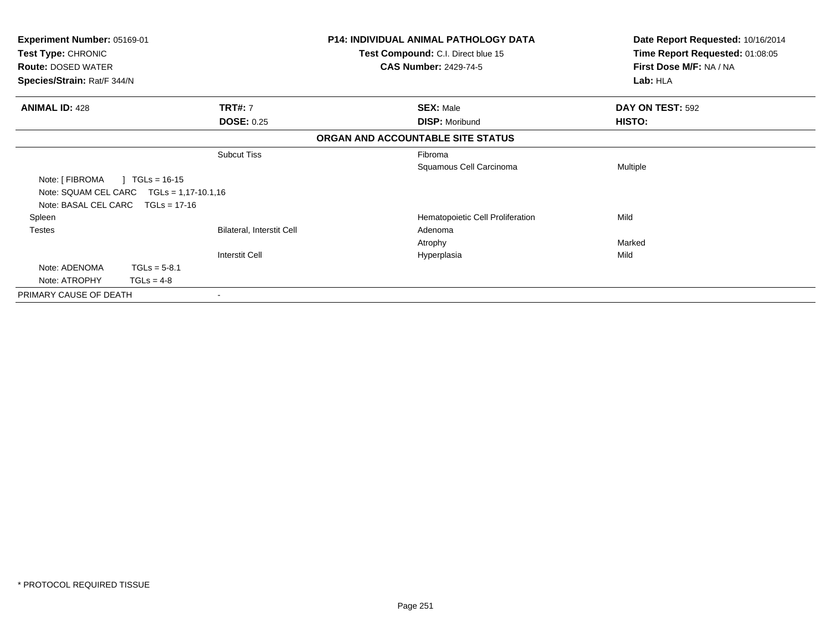| Experiment Number: 05169-01<br>Test Type: CHRONIC |                           | <b>P14: INDIVIDUAL ANIMAL PATHOLOGY DATA</b> | Date Report Requested: 10/16/2014 |
|---------------------------------------------------|---------------------------|----------------------------------------------|-----------------------------------|
|                                                   |                           | Test Compound: C.I. Direct blue 15           | Time Report Requested: 01:08:05   |
| <b>Route: DOSED WATER</b>                         |                           | <b>CAS Number: 2429-74-5</b>                 | First Dose M/F: NA / NA           |
| Species/Strain: Rat/F 344/N                       |                           |                                              | Lab: HLA                          |
| <b>ANIMAL ID: 428</b>                             | <b>TRT#: 7</b>            | <b>SEX: Male</b>                             | DAY ON TEST: 592                  |
|                                                   | <b>DOSE: 0.25</b>         | <b>DISP: Moribund</b>                        | HISTO:                            |
|                                                   |                           | ORGAN AND ACCOUNTABLE SITE STATUS            |                                   |
|                                                   | <b>Subcut Tiss</b>        | Fibroma                                      |                                   |
|                                                   |                           | Squamous Cell Carcinoma                      | Multiple                          |
| Note: [ FIBROMA<br>$\mid$ TGLs = 16-15            |                           |                                              |                                   |
| Note: SQUAM CEL CARC $TGLs = 1,17-10.1,16$        |                           |                                              |                                   |
| Note: BASAL CEL CARC TGLs = 17-16                 |                           |                                              |                                   |
| Spleen                                            |                           | Hematopoietic Cell Proliferation             | Mild                              |
| <b>Testes</b>                                     | Bilateral, Interstit Cell | Adenoma                                      |                                   |
|                                                   |                           | Atrophy                                      | Marked                            |
|                                                   | <b>Interstit Cell</b>     | Hyperplasia                                  | Mild                              |
| Note: ADENOMA<br>$TGLs = 5-8.1$                   |                           |                                              |                                   |
| Note: ATROPHY<br>$TGLS = 4-8$                     |                           |                                              |                                   |
| PRIMARY CAUSE OF DEATH                            |                           |                                              |                                   |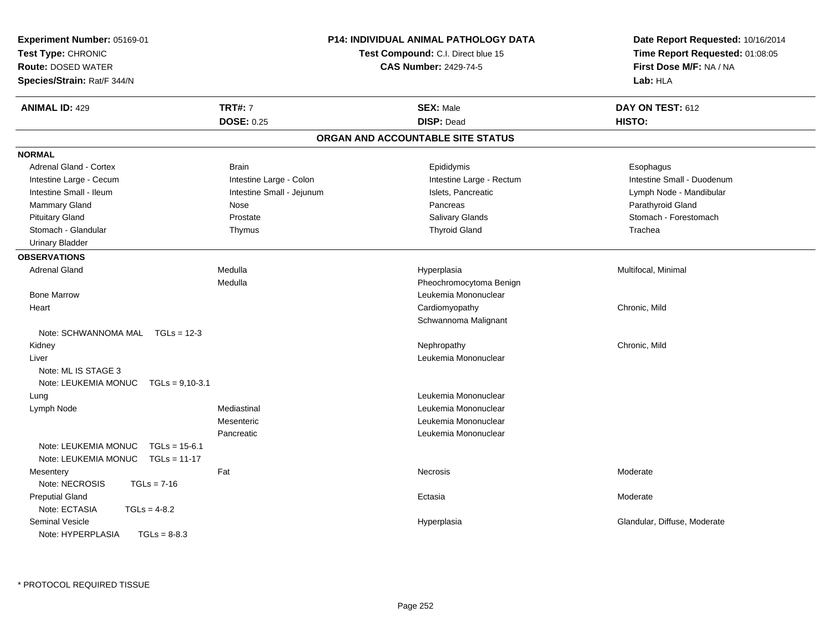| Experiment Number: 05169-01<br>Test Type: CHRONIC<br><b>Route: DOSED WATER</b><br>Species/Strain: Rat/F 344/N |                           | <b>P14: INDIVIDUAL ANIMAL PATHOLOGY DATA</b><br>Test Compound: C.I. Direct blue 15<br><b>CAS Number: 2429-74-5</b> | Date Report Requested: 10/16/2014<br>Time Report Requested: 01:08:05<br>First Dose M/F: NA / NA<br>Lab: HLA |
|---------------------------------------------------------------------------------------------------------------|---------------------------|--------------------------------------------------------------------------------------------------------------------|-------------------------------------------------------------------------------------------------------------|
| <b>ANIMAL ID: 429</b>                                                                                         | <b>TRT#: 7</b>            | <b>SEX: Male</b>                                                                                                   | DAY ON TEST: 612                                                                                            |
|                                                                                                               | <b>DOSE: 0.25</b>         | <b>DISP: Dead</b>                                                                                                  | HISTO:                                                                                                      |
|                                                                                                               |                           | ORGAN AND ACCOUNTABLE SITE STATUS                                                                                  |                                                                                                             |
| <b>NORMAL</b>                                                                                                 |                           |                                                                                                                    |                                                                                                             |
| <b>Adrenal Gland - Cortex</b>                                                                                 | <b>Brain</b>              | Epididymis                                                                                                         | Esophagus                                                                                                   |
| Intestine Large - Cecum                                                                                       | Intestine Large - Colon   | Intestine Large - Rectum                                                                                           | Intestine Small - Duodenum                                                                                  |
| Intestine Small - Ileum                                                                                       | Intestine Small - Jejunum | Islets, Pancreatic                                                                                                 | Lymph Node - Mandibular                                                                                     |
| <b>Mammary Gland</b>                                                                                          | Nose                      | Pancreas                                                                                                           | Parathyroid Gland                                                                                           |
| <b>Pituitary Gland</b>                                                                                        | Prostate                  | <b>Salivary Glands</b>                                                                                             | Stomach - Forestomach                                                                                       |
| Stomach - Glandular                                                                                           | Thymus                    | <b>Thyroid Gland</b>                                                                                               | Trachea                                                                                                     |
| <b>Urinary Bladder</b>                                                                                        |                           |                                                                                                                    |                                                                                                             |
| <b>OBSERVATIONS</b>                                                                                           |                           |                                                                                                                    |                                                                                                             |
| <b>Adrenal Gland</b>                                                                                          | Medulla                   | Hyperplasia                                                                                                        | Multifocal, Minimal                                                                                         |
|                                                                                                               | Medulla                   | Pheochromocytoma Benign                                                                                            |                                                                                                             |
| <b>Bone Marrow</b>                                                                                            |                           | Leukemia Mononuclear                                                                                               |                                                                                                             |
| Heart                                                                                                         |                           | Cardiomyopathy                                                                                                     | Chronic, Mild                                                                                               |
|                                                                                                               |                           | Schwannoma Malignant                                                                                               |                                                                                                             |
| Note: SCHWANNOMA MAL TGLs = 12-3                                                                              |                           |                                                                                                                    |                                                                                                             |
| Kidney                                                                                                        |                           | Nephropathy                                                                                                        | Chronic, Mild                                                                                               |
| Liver                                                                                                         |                           | Leukemia Mononuclear                                                                                               |                                                                                                             |
| Note: ML IS STAGE 3                                                                                           |                           |                                                                                                                    |                                                                                                             |
| Note: LEUKEMIA MONUC<br>$TGLs = 9,10-3.1$                                                                     |                           |                                                                                                                    |                                                                                                             |
| Lung                                                                                                          |                           | Leukemia Mononuclear                                                                                               |                                                                                                             |
| Lymph Node                                                                                                    | Mediastinal               | Leukemia Mononuclear                                                                                               |                                                                                                             |
|                                                                                                               | Mesenteric                | Leukemia Mononuclear                                                                                               |                                                                                                             |
|                                                                                                               | Pancreatic                | Leukemia Mononuclear                                                                                               |                                                                                                             |
| Note: LEUKEMIA MONUC<br>$TGLs = 15-6.1$                                                                       |                           |                                                                                                                    |                                                                                                             |
| Note: LEUKEMIA MONUC<br>$TGLs = 11-17$                                                                        |                           |                                                                                                                    |                                                                                                             |
| Mesentery                                                                                                     | Fat                       | Necrosis                                                                                                           | Moderate                                                                                                    |
| Note: NECROSIS<br>$TGLs = 7-16$                                                                               |                           |                                                                                                                    |                                                                                                             |
| <b>Preputial Gland</b>                                                                                        |                           | Ectasia                                                                                                            | Moderate                                                                                                    |
| Note: ECTASIA<br>$TGLs = 4-8.2$                                                                               |                           |                                                                                                                    |                                                                                                             |
| <b>Seminal Vesicle</b>                                                                                        |                           | Hyperplasia                                                                                                        | Glandular, Diffuse, Moderate                                                                                |
| Note: HYPERPLASIA<br>$TGLs = 8-8.3$                                                                           |                           |                                                                                                                    |                                                                                                             |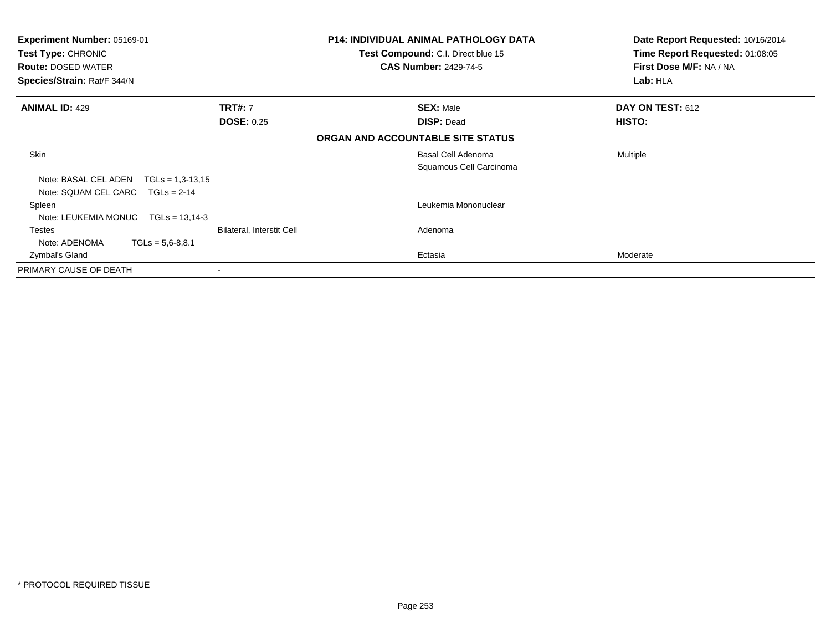| <b>Experiment Number: 05169-01</b><br><b>Test Type: CHRONIC</b><br><b>Route: DOSED WATER</b> |                           | <b>P14: INDIVIDUAL ANIMAL PATHOLOGY DATA</b><br><b>Test Compound: C.I. Direct blue 15</b><br><b>CAS Number: 2429-74-5</b> | Date Report Requested: 10/16/2014<br>Time Report Requested: 01:08:05<br>First Dose M/F: NA / NA |
|----------------------------------------------------------------------------------------------|---------------------------|---------------------------------------------------------------------------------------------------------------------------|-------------------------------------------------------------------------------------------------|
| Species/Strain: Rat/F 344/N                                                                  |                           |                                                                                                                           | Lab: HLA                                                                                        |
| <b>ANIMAL ID: 429</b>                                                                        | <b>TRT#: 7</b>            | <b>SEX: Male</b>                                                                                                          | DAY ON TEST: 612                                                                                |
|                                                                                              | <b>DOSE: 0.25</b>         | <b>DISP: Dead</b>                                                                                                         | HISTO:                                                                                          |
|                                                                                              |                           | ORGAN AND ACCOUNTABLE SITE STATUS                                                                                         |                                                                                                 |
| Skin                                                                                         |                           | Basal Cell Adenoma                                                                                                        | <b>Multiple</b>                                                                                 |
|                                                                                              |                           | Squamous Cell Carcinoma                                                                                                   |                                                                                                 |
| Note: BASAL CEL ADEN<br>$TGLs = 1,3-13,15$                                                   |                           |                                                                                                                           |                                                                                                 |
| Note: SQUAM CEL CARC<br>$TGLs = 2-14$                                                        |                           |                                                                                                                           |                                                                                                 |
| Spleen                                                                                       |                           | Leukemia Mononuclear                                                                                                      |                                                                                                 |
| Note: LEUKEMIA MONUC<br>$TGLs = 13.14-3$                                                     |                           |                                                                                                                           |                                                                                                 |
| Testes                                                                                       | Bilateral, Interstit Cell | Adenoma                                                                                                                   |                                                                                                 |
| Note: ADENOMA<br>$TGLs = 5,6-8,8.1$                                                          |                           |                                                                                                                           |                                                                                                 |
| Zymbal's Gland                                                                               |                           | Ectasia                                                                                                                   | Moderate                                                                                        |
| PRIMARY CAUSE OF DEATH                                                                       | ۰                         |                                                                                                                           |                                                                                                 |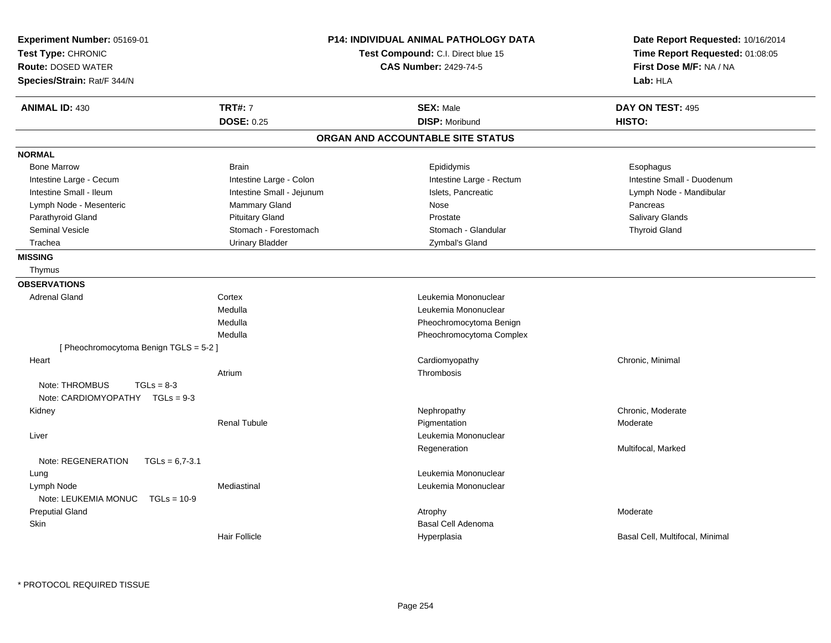| Experiment Number: 05169-01<br>Test Type: CHRONIC<br><b>Route: DOSED WATER</b><br>Species/Strain: Rat/F 344/N |                           | <b>P14: INDIVIDUAL ANIMAL PATHOLOGY DATA</b><br>Test Compound: C.I. Direct blue 15<br><b>CAS Number: 2429-74-5</b> | Date Report Requested: 10/16/2014<br>Time Report Requested: 01:08:05<br>First Dose M/F: NA / NA<br>Lab: HLA |
|---------------------------------------------------------------------------------------------------------------|---------------------------|--------------------------------------------------------------------------------------------------------------------|-------------------------------------------------------------------------------------------------------------|
| <b>ANIMAL ID: 430</b>                                                                                         | <b>TRT#: 7</b>            | <b>SEX: Male</b>                                                                                                   | DAY ON TEST: 495                                                                                            |
|                                                                                                               | <b>DOSE: 0.25</b>         | <b>DISP: Moribund</b>                                                                                              | HISTO:                                                                                                      |
|                                                                                                               |                           | ORGAN AND ACCOUNTABLE SITE STATUS                                                                                  |                                                                                                             |
| <b>NORMAL</b>                                                                                                 |                           |                                                                                                                    |                                                                                                             |
| <b>Bone Marrow</b>                                                                                            | <b>Brain</b>              | Epididymis                                                                                                         | Esophagus                                                                                                   |
| Intestine Large - Cecum                                                                                       | Intestine Large - Colon   | Intestine Large - Rectum                                                                                           | Intestine Small - Duodenum                                                                                  |
| Intestine Small - Ileum                                                                                       | Intestine Small - Jejunum | Islets, Pancreatic                                                                                                 | Lymph Node - Mandibular                                                                                     |
| Lymph Node - Mesenteric                                                                                       | Mammary Gland             | Nose                                                                                                               | Pancreas                                                                                                    |
| Parathyroid Gland                                                                                             | <b>Pituitary Gland</b>    | Prostate                                                                                                           | <b>Salivary Glands</b>                                                                                      |
| Seminal Vesicle                                                                                               | Stomach - Forestomach     | Stomach - Glandular                                                                                                | <b>Thyroid Gland</b>                                                                                        |
| Trachea                                                                                                       | <b>Urinary Bladder</b>    | Zymbal's Gland                                                                                                     |                                                                                                             |
| <b>MISSING</b>                                                                                                |                           |                                                                                                                    |                                                                                                             |
| Thymus                                                                                                        |                           |                                                                                                                    |                                                                                                             |
| <b>OBSERVATIONS</b>                                                                                           |                           |                                                                                                                    |                                                                                                             |
| <b>Adrenal Gland</b>                                                                                          | Cortex                    | Leukemia Mononuclear                                                                                               |                                                                                                             |
|                                                                                                               | Medulla                   | Leukemia Mononuclear                                                                                               |                                                                                                             |
|                                                                                                               | Medulla                   | Pheochromocytoma Benign                                                                                            |                                                                                                             |
|                                                                                                               | Medulla                   | Pheochromocytoma Complex                                                                                           |                                                                                                             |
| [Pheochromocytoma Benign TGLS = 5-2]                                                                          |                           |                                                                                                                    |                                                                                                             |
| Heart                                                                                                         |                           | Cardiomyopathy                                                                                                     | Chronic, Minimal                                                                                            |
|                                                                                                               | Atrium                    | Thrombosis                                                                                                         |                                                                                                             |
| Note: THROMBUS<br>$TGLs = 8-3$<br>Note: CARDIOMYOPATHY TGLs = 9-3                                             |                           |                                                                                                                    |                                                                                                             |
| Kidney                                                                                                        |                           | Nephropathy                                                                                                        | Chronic, Moderate                                                                                           |
|                                                                                                               | <b>Renal Tubule</b>       | Pigmentation                                                                                                       | Moderate                                                                                                    |
| Liver                                                                                                         |                           | Leukemia Mononuclear                                                                                               |                                                                                                             |
|                                                                                                               |                           | Regeneration                                                                                                       | Multifocal, Marked                                                                                          |
| Note: REGENERATION<br>$TGLs = 6,7-3.1$                                                                        |                           |                                                                                                                    |                                                                                                             |
| Lung                                                                                                          |                           | Leukemia Mononuclear                                                                                               |                                                                                                             |
| Lymph Node                                                                                                    | Mediastinal               | Leukemia Mononuclear                                                                                               |                                                                                                             |
| Note: LEUKEMIA MONUC TGLs = 10-9                                                                              |                           |                                                                                                                    |                                                                                                             |
| <b>Preputial Gland</b>                                                                                        |                           | Atrophy                                                                                                            | Moderate                                                                                                    |
| Skin                                                                                                          |                           | Basal Cell Adenoma                                                                                                 |                                                                                                             |
|                                                                                                               | <b>Hair Follicle</b>      | Hyperplasia                                                                                                        | Basal Cell, Multifocal, Minimal                                                                             |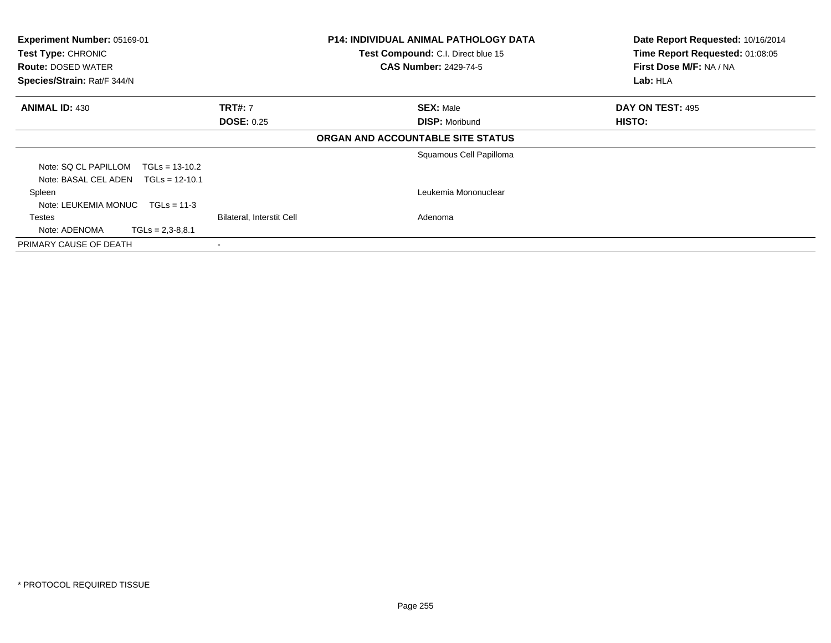| Experiment Number: 05169-01<br>Test Type: CHRONIC |                           | <b>P14: INDIVIDUAL ANIMAL PATHOLOGY DATA</b><br>Test Compound: C.I. Direct blue 15 | Date Report Requested: 10/16/2014<br>Time Report Requested: 01:08:05 |
|---------------------------------------------------|---------------------------|------------------------------------------------------------------------------------|----------------------------------------------------------------------|
| <b>Route: DOSED WATER</b>                         |                           | <b>CAS Number: 2429-74-5</b>                                                       | First Dose M/F: NA / NA                                              |
| Species/Strain: Rat/F 344/N                       |                           |                                                                                    | Lab: HLA                                                             |
| <b>ANIMAL ID: 430</b>                             | <b>TRT#: 7</b>            | <b>SEX: Male</b>                                                                   | DAY ON TEST: 495                                                     |
|                                                   | <b>DOSE: 0.25</b>         | <b>DISP: Moribund</b>                                                              | <b>HISTO:</b>                                                        |
|                                                   |                           | ORGAN AND ACCOUNTABLE SITE STATUS                                                  |                                                                      |
|                                                   |                           | Squamous Cell Papilloma                                                            |                                                                      |
| Note: SQ CL PAPILLOM<br>$TGLs = 13-10.2$          |                           |                                                                                    |                                                                      |
| Note: BASAL CEL ADEN<br>$TGLs = 12-10.1$          |                           |                                                                                    |                                                                      |
| Spleen                                            |                           | Leukemia Mononuclear                                                               |                                                                      |
| Note: LEUKEMIA MONUC<br>$TGLs = 11-3$             |                           |                                                                                    |                                                                      |
| Testes                                            | Bilateral, Interstit Cell | Adenoma                                                                            |                                                                      |
| $TGLs = 2,3-8,8.1$<br>Note: ADENOMA               |                           |                                                                                    |                                                                      |
| PRIMARY CAUSE OF DEATH                            |                           |                                                                                    |                                                                      |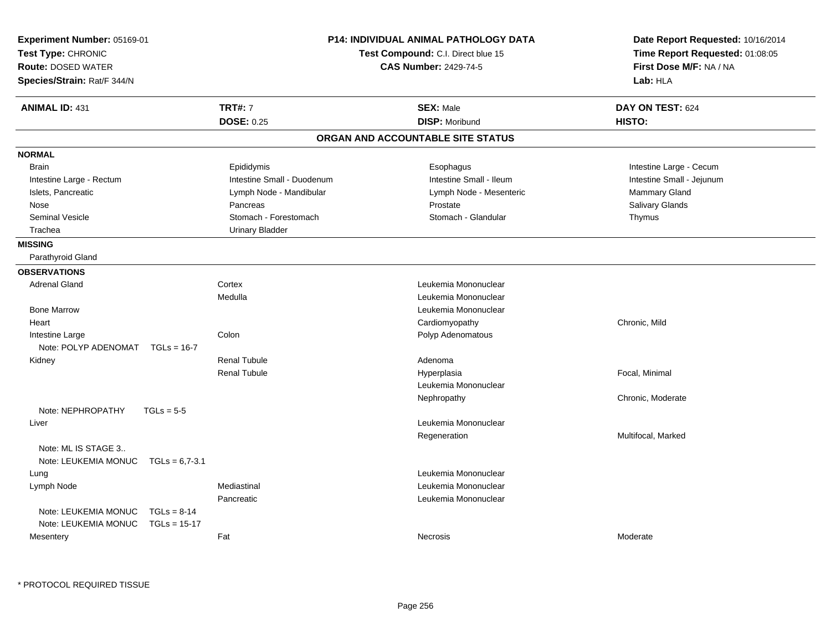| Experiment Number: 05169-01<br>Test Type: CHRONIC<br><b>Route: DOSED WATER</b><br>Species/Strain: Rat/F 344/N |                                 |                            | <b>P14: INDIVIDUAL ANIMAL PATHOLOGY DATA</b><br>Test Compound: C.I. Direct blue 15<br><b>CAS Number: 2429-74-5</b> | Date Report Requested: 10/16/2014<br>Time Report Requested: 01:08:05<br>First Dose M/F: NA / NA<br>Lab: HLA |
|---------------------------------------------------------------------------------------------------------------|---------------------------------|----------------------------|--------------------------------------------------------------------------------------------------------------------|-------------------------------------------------------------------------------------------------------------|
| <b>ANIMAL ID: 431</b>                                                                                         |                                 | <b>TRT#: 7</b>             | <b>SEX: Male</b>                                                                                                   | DAY ON TEST: 624                                                                                            |
|                                                                                                               |                                 | <b>DOSE: 0.25</b>          | <b>DISP: Moribund</b>                                                                                              | HISTO:                                                                                                      |
|                                                                                                               |                                 |                            | ORGAN AND ACCOUNTABLE SITE STATUS                                                                                  |                                                                                                             |
| <b>NORMAL</b>                                                                                                 |                                 |                            |                                                                                                                    |                                                                                                             |
| <b>Brain</b>                                                                                                  |                                 | Epididymis                 | Esophagus                                                                                                          | Intestine Large - Cecum                                                                                     |
| Intestine Large - Rectum                                                                                      |                                 | Intestine Small - Duodenum | Intestine Small - Ileum                                                                                            | Intestine Small - Jejunum                                                                                   |
| Islets, Pancreatic                                                                                            |                                 | Lymph Node - Mandibular    | Lymph Node - Mesenteric                                                                                            | Mammary Gland                                                                                               |
| Nose                                                                                                          |                                 | Pancreas                   | Prostate                                                                                                           | Salivary Glands                                                                                             |
| <b>Seminal Vesicle</b>                                                                                        |                                 | Stomach - Forestomach      | Stomach - Glandular                                                                                                | Thymus                                                                                                      |
| Trachea                                                                                                       |                                 | <b>Urinary Bladder</b>     |                                                                                                                    |                                                                                                             |
| <b>MISSING</b>                                                                                                |                                 |                            |                                                                                                                    |                                                                                                             |
| Parathyroid Gland                                                                                             |                                 |                            |                                                                                                                    |                                                                                                             |
| <b>OBSERVATIONS</b>                                                                                           |                                 |                            |                                                                                                                    |                                                                                                             |
| Adrenal Gland                                                                                                 |                                 | Cortex                     | Leukemia Mononuclear                                                                                               |                                                                                                             |
|                                                                                                               |                                 | Medulla                    | Leukemia Mononuclear                                                                                               |                                                                                                             |
| <b>Bone Marrow</b>                                                                                            |                                 |                            | Leukemia Mononuclear                                                                                               |                                                                                                             |
| Heart                                                                                                         |                                 |                            | Cardiomyopathy                                                                                                     | Chronic, Mild                                                                                               |
| Intestine Large                                                                                               |                                 | Colon                      | Polyp Adenomatous                                                                                                  |                                                                                                             |
| Note: POLYP ADENOMAT                                                                                          | $TGLs = 16-7$                   |                            |                                                                                                                    |                                                                                                             |
| Kidney                                                                                                        |                                 | <b>Renal Tubule</b>        | Adenoma                                                                                                            |                                                                                                             |
|                                                                                                               |                                 | <b>Renal Tubule</b>        | Hyperplasia                                                                                                        | Focal, Minimal                                                                                              |
|                                                                                                               |                                 |                            | Leukemia Mononuclear                                                                                               |                                                                                                             |
|                                                                                                               |                                 |                            | Nephropathy                                                                                                        | Chronic, Moderate                                                                                           |
| Note: NEPHROPATHY                                                                                             | $TGLs = 5-5$                    |                            |                                                                                                                    |                                                                                                             |
| Liver                                                                                                         |                                 |                            | Leukemia Mononuclear                                                                                               |                                                                                                             |
|                                                                                                               |                                 |                            | Regeneration                                                                                                       | Multifocal, Marked                                                                                          |
| Note: ML IS STAGE 3<br>Note: LEUKEMIA MONUC TGLs = 6,7-3.1                                                    |                                 |                            |                                                                                                                    |                                                                                                             |
| Lung                                                                                                          |                                 |                            | Leukemia Mononuclear                                                                                               |                                                                                                             |
| Lymph Node                                                                                                    |                                 | Mediastinal                | Leukemia Mononuclear                                                                                               |                                                                                                             |
|                                                                                                               |                                 | Pancreatic                 | Leukemia Mononuclear                                                                                               |                                                                                                             |
| Note: LEUKEMIA MONUC<br>Note: LEUKEMIA MONUC                                                                  | $TGLs = 8-14$<br>$TGLs = 15-17$ |                            |                                                                                                                    |                                                                                                             |
| Mesentery                                                                                                     |                                 | Fat                        | Necrosis                                                                                                           | Moderate                                                                                                    |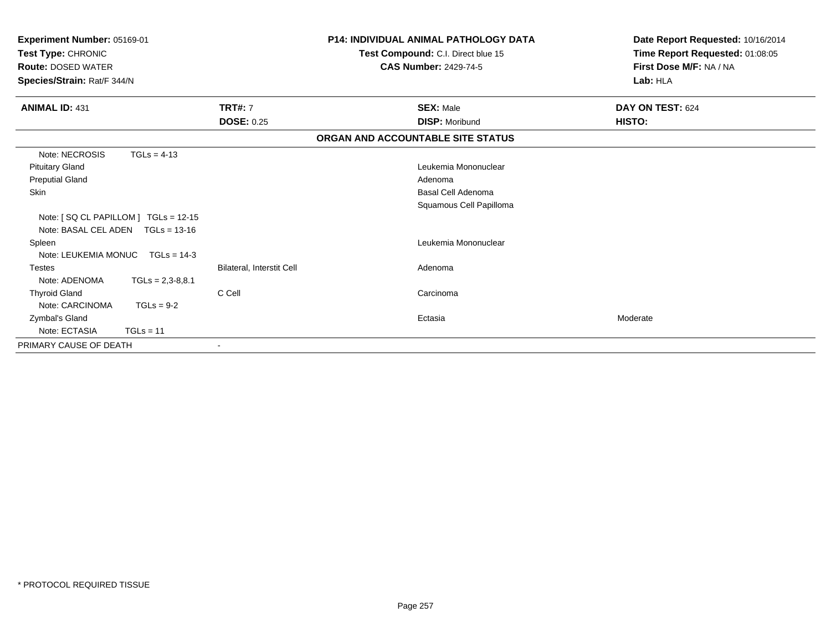| Experiment Number: 05169-01<br>Test Type: CHRONIC<br><b>Route: DOSED WATER</b><br>Species/Strain: Rat/F 344/N |                    |                           | <b>P14: INDIVIDUAL ANIMAL PATHOLOGY DATA</b><br>Test Compound: C.I. Direct blue 15<br><b>CAS Number: 2429-74-5</b> | Date Report Requested: 10/16/2014<br>Time Report Requested: 01:08:05<br>First Dose M/F: NA / NA<br>Lab: HLA |
|---------------------------------------------------------------------------------------------------------------|--------------------|---------------------------|--------------------------------------------------------------------------------------------------------------------|-------------------------------------------------------------------------------------------------------------|
| <b>ANIMAL ID: 431</b>                                                                                         |                    | <b>TRT#: 7</b>            | <b>SEX: Male</b>                                                                                                   | DAY ON TEST: 624                                                                                            |
|                                                                                                               |                    | <b>DOSE: 0.25</b>         | <b>DISP: Moribund</b>                                                                                              | HISTO:                                                                                                      |
|                                                                                                               |                    |                           | ORGAN AND ACCOUNTABLE SITE STATUS                                                                                  |                                                                                                             |
| Note: NECROSIS                                                                                                | $TGLs = 4-13$      |                           |                                                                                                                    |                                                                                                             |
| <b>Pituitary Gland</b>                                                                                        |                    |                           | Leukemia Mononuclear                                                                                               |                                                                                                             |
| <b>Preputial Gland</b>                                                                                        |                    |                           | Adenoma                                                                                                            |                                                                                                             |
| <b>Skin</b>                                                                                                   |                    |                           | <b>Basal Cell Adenoma</b>                                                                                          |                                                                                                             |
|                                                                                                               |                    |                           | Squamous Cell Papilloma                                                                                            |                                                                                                             |
| Note: [SQ CL PAPILLOM ] TGLs = 12-15                                                                          |                    |                           |                                                                                                                    |                                                                                                             |
| Note: BASAL CEL ADEN TGLs = 13-16                                                                             |                    |                           |                                                                                                                    |                                                                                                             |
| Spleen                                                                                                        |                    |                           | Leukemia Mononuclear                                                                                               |                                                                                                             |
| Note: LEUKEMIA MONUC TGLs = 14-3                                                                              |                    |                           |                                                                                                                    |                                                                                                             |
| <b>Testes</b>                                                                                                 |                    | Bilateral, Interstit Cell | Adenoma                                                                                                            |                                                                                                             |
| Note: ADENOMA                                                                                                 | $TGLs = 2,3-8,8.1$ |                           |                                                                                                                    |                                                                                                             |
| <b>Thyroid Gland</b>                                                                                          |                    | C Cell                    | Carcinoma                                                                                                          |                                                                                                             |
| Note: CARCINOMA                                                                                               | $TGLs = 9-2$       |                           |                                                                                                                    |                                                                                                             |
| Zymbal's Gland                                                                                                |                    |                           | Ectasia                                                                                                            | Moderate                                                                                                    |
| Note: ECTASIA                                                                                                 | $TGLs = 11$        |                           |                                                                                                                    |                                                                                                             |
| PRIMARY CAUSE OF DEATH                                                                                        |                    |                           |                                                                                                                    |                                                                                                             |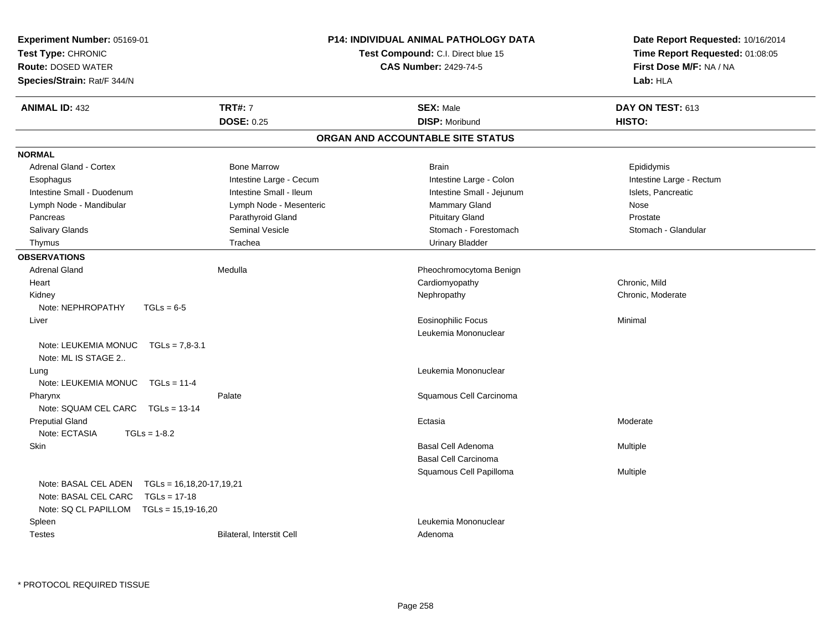| <b>Experiment Number: 05169-01</b>                     |                           | P14: INDIVIDUAL ANIMAL PATHOLOGY DATA | Date Report Requested: 10/16/2014 |  |
|--------------------------------------------------------|---------------------------|---------------------------------------|-----------------------------------|--|
| Test Type: CHRONIC                                     |                           | Test Compound: C.I. Direct blue 15    | Time Report Requested: 01:08:05   |  |
| <b>Route: DOSED WATER</b>                              |                           | <b>CAS Number: 2429-74-5</b>          | First Dose M/F: NA / NA           |  |
| Species/Strain: Rat/F 344/N                            |                           |                                       | Lab: HLA                          |  |
| <b>ANIMAL ID: 432</b>                                  | <b>TRT#: 7</b>            | <b>SEX: Male</b>                      | DAY ON TEST: 613                  |  |
|                                                        | <b>DOSE: 0.25</b>         | <b>DISP: Moribund</b>                 | HISTO:                            |  |
|                                                        |                           | ORGAN AND ACCOUNTABLE SITE STATUS     |                                   |  |
| <b>NORMAL</b>                                          |                           |                                       |                                   |  |
| Adrenal Gland - Cortex                                 | <b>Bone Marrow</b>        | <b>Brain</b>                          | Epididymis                        |  |
| Esophagus                                              | Intestine Large - Cecum   | Intestine Large - Colon               | Intestine Large - Rectum          |  |
| Intestine Small - Duodenum                             | Intestine Small - Ileum   | Intestine Small - Jejunum             | Islets, Pancreatic                |  |
| Lymph Node - Mandibular                                | Lymph Node - Mesenteric   | Mammary Gland                         | Nose                              |  |
| Pancreas                                               | Parathyroid Gland         | <b>Pituitary Gland</b>                | Prostate                          |  |
| Salivary Glands                                        | Seminal Vesicle           | Stomach - Forestomach                 | Stomach - Glandular               |  |
| Thymus                                                 | Trachea                   | Urinary Bladder                       |                                   |  |
| <b>OBSERVATIONS</b>                                    |                           |                                       |                                   |  |
| <b>Adrenal Gland</b>                                   | Medulla                   | Pheochromocytoma Benign               |                                   |  |
| Heart                                                  |                           | Cardiomyopathy                        | Chronic, Mild                     |  |
| Kidney                                                 |                           | Nephropathy                           | Chronic, Moderate                 |  |
| Note: NEPHROPATHY<br>$TGLs = 6-5$                      |                           |                                       |                                   |  |
| Liver                                                  |                           | <b>Eosinophilic Focus</b>             | Minimal                           |  |
|                                                        |                           | Leukemia Mononuclear                  |                                   |  |
| Note: LEUKEMIA MONUC<br>$TGLs = 7,8-3.1$               |                           |                                       |                                   |  |
| Note: ML IS STAGE 2                                    |                           |                                       |                                   |  |
| Lung                                                   |                           | Leukemia Mononuclear                  |                                   |  |
| Note: LEUKEMIA MONUC<br>$TGLs = 11-4$                  |                           |                                       |                                   |  |
| Pharynx                                                | Palate                    | Squamous Cell Carcinoma               |                                   |  |
| Note: SQUAM CEL CARC TGLs = 13-14                      |                           |                                       |                                   |  |
| <b>Preputial Gland</b>                                 |                           | Ectasia                               | Moderate                          |  |
| Note: ECTASIA<br>$TGLs = 1-8.2$                        |                           |                                       |                                   |  |
| Skin                                                   |                           | Basal Cell Adenoma                    | Multiple                          |  |
|                                                        |                           | <b>Basal Cell Carcinoma</b>           |                                   |  |
|                                                        |                           | Squamous Cell Papilloma               | Multiple                          |  |
| Note: BASAL CEL ADEN<br>$TGLs = 16, 18, 20-17, 19, 21$ |                           |                                       |                                   |  |
| Note: BASAL CEL CARC<br>$TGLs = 17-18$                 |                           |                                       |                                   |  |
| Note: SQ CL PAPILLOM TGLs = 15,19-16,20                |                           |                                       |                                   |  |
| Spleen                                                 |                           | Leukemia Mononuclear                  |                                   |  |
| <b>Testes</b>                                          | Bilateral, Interstit Cell | Adenoma                               |                                   |  |
|                                                        |                           |                                       |                                   |  |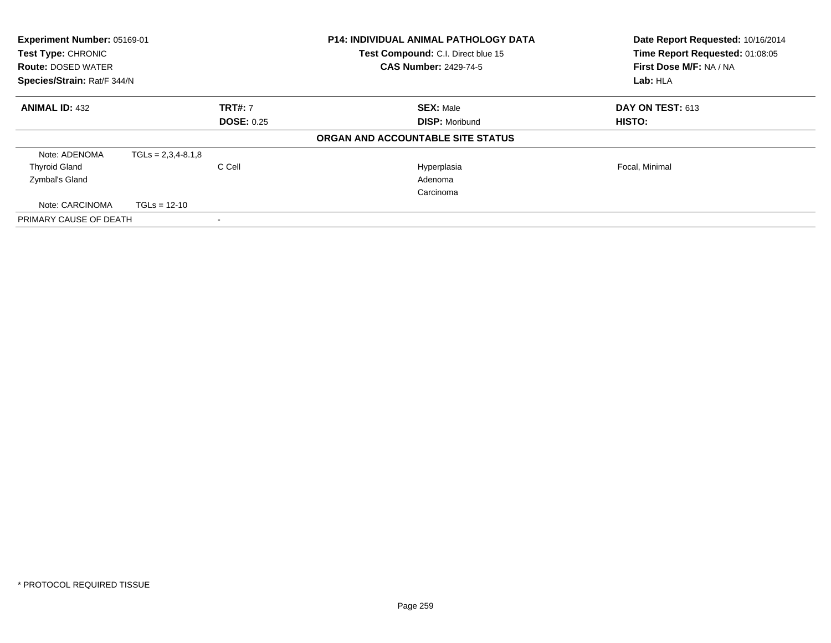| Experiment Number: 05169-01<br>Test Type: CHRONIC<br><b>Route: DOSED WATER</b><br>Species/Strain: Rat/F 344/N |                      |                                           | <b>P14: INDIVIDUAL ANIMAL PATHOLOGY DATA</b><br>Date Report Requested: 10/16/2014<br>Time Report Requested: 01:08:05<br>Test Compound: C.I. Direct blue 15<br>First Dose M/F: NA / NA<br><b>CAS Number: 2429-74-5</b><br>Lab: HLA |                |
|---------------------------------------------------------------------------------------------------------------|----------------------|-------------------------------------------|-----------------------------------------------------------------------------------------------------------------------------------------------------------------------------------------------------------------------------------|----------------|
| <b>ANIMAL ID: 432</b><br><b>TRT#: 7</b><br><b>DOSE: 0.25</b>                                                  |                      | <b>SEX: Male</b><br><b>DISP: Moribund</b> | DAY ON TEST: 613<br><b>HISTO:</b>                                                                                                                                                                                                 |                |
|                                                                                                               |                      |                                           | ORGAN AND ACCOUNTABLE SITE STATUS                                                                                                                                                                                                 |                |
| Note: ADENOMA                                                                                                 | $TGLs = 2,3,4-8.1,8$ |                                           |                                                                                                                                                                                                                                   |                |
| <b>Thyroid Gland</b>                                                                                          |                      | C Cell                                    | Hyperplasia                                                                                                                                                                                                                       | Focal, Minimal |
| Zymbal's Gland                                                                                                |                      |                                           | Adenoma                                                                                                                                                                                                                           |                |
|                                                                                                               |                      |                                           | Carcinoma                                                                                                                                                                                                                         |                |
| Note: CARCINOMA                                                                                               | $TGLs = 12-10$       |                                           |                                                                                                                                                                                                                                   |                |
| PRIMARY CAUSE OF DEATH                                                                                        |                      |                                           |                                                                                                                                                                                                                                   |                |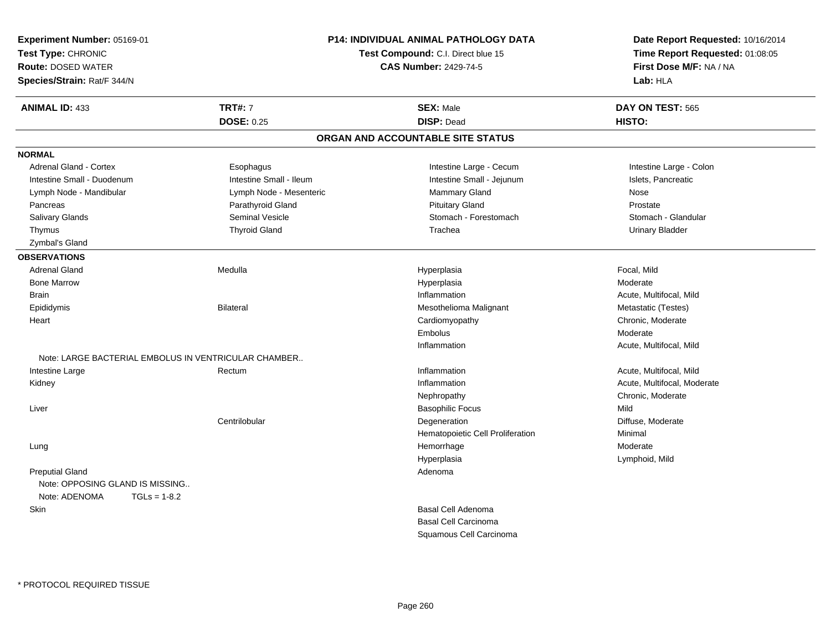| Experiment Number: 05169-01<br>Test Type: CHRONIC<br><b>Route: DOSED WATER</b><br>Species/Strain: Rat/F 344/N | <b>P14: INDIVIDUAL ANIMAL PATHOLOGY DATA</b><br>Test Compound: C.I. Direct blue 15<br><b>CAS Number: 2429-74-5</b> |                                   | Date Report Requested: 10/16/2014<br>Time Report Requested: 01:08:05<br>First Dose M/F: NA / NA<br>Lab: HLA |
|---------------------------------------------------------------------------------------------------------------|--------------------------------------------------------------------------------------------------------------------|-----------------------------------|-------------------------------------------------------------------------------------------------------------|
| <b>ANIMAL ID: 433</b>                                                                                         | <b>TRT#: 7</b>                                                                                                     | <b>SEX: Male</b>                  | DAY ON TEST: 565                                                                                            |
|                                                                                                               | <b>DOSE: 0.25</b>                                                                                                  | <b>DISP: Dead</b>                 | HISTO:                                                                                                      |
|                                                                                                               |                                                                                                                    | ORGAN AND ACCOUNTABLE SITE STATUS |                                                                                                             |
| <b>NORMAL</b>                                                                                                 |                                                                                                                    |                                   |                                                                                                             |
| Adrenal Gland - Cortex                                                                                        | Esophagus                                                                                                          | Intestine Large - Cecum           | Intestine Large - Colon                                                                                     |
| Intestine Small - Duodenum                                                                                    | Intestine Small - Ileum                                                                                            | Intestine Small - Jejunum         | Islets, Pancreatic                                                                                          |
| Lymph Node - Mandibular                                                                                       | Lymph Node - Mesenteric                                                                                            | Mammary Gland                     | Nose                                                                                                        |
| Pancreas                                                                                                      | Parathyroid Gland                                                                                                  | <b>Pituitary Gland</b>            | Prostate                                                                                                    |
| Salivary Glands                                                                                               | <b>Seminal Vesicle</b>                                                                                             | Stomach - Forestomach             | Stomach - Glandular                                                                                         |
| Thymus                                                                                                        | <b>Thyroid Gland</b>                                                                                               | Trachea                           | <b>Urinary Bladder</b>                                                                                      |
| Zymbal's Gland                                                                                                |                                                                                                                    |                                   |                                                                                                             |
| <b>OBSERVATIONS</b>                                                                                           |                                                                                                                    |                                   |                                                                                                             |
| <b>Adrenal Gland</b>                                                                                          | Medulla                                                                                                            | Hyperplasia                       | Focal, Mild                                                                                                 |
| <b>Bone Marrow</b>                                                                                            |                                                                                                                    | Hyperplasia                       | Moderate                                                                                                    |
| <b>Brain</b>                                                                                                  |                                                                                                                    | Inflammation                      | Acute, Multifocal, Mild                                                                                     |
| Epididymis                                                                                                    | <b>Bilateral</b>                                                                                                   | Mesothelioma Malignant            | Metastatic (Testes)                                                                                         |
| Heart                                                                                                         |                                                                                                                    | Cardiomyopathy                    | Chronic, Moderate                                                                                           |
|                                                                                                               |                                                                                                                    | Embolus                           | Moderate                                                                                                    |
|                                                                                                               |                                                                                                                    | Inflammation                      | Acute, Multifocal, Mild                                                                                     |
| Note: LARGE BACTERIAL EMBOLUS IN VENTRICULAR CHAMBER                                                          |                                                                                                                    |                                   |                                                                                                             |
| Intestine Large                                                                                               | Rectum                                                                                                             | Inflammation                      | Acute, Multifocal, Mild                                                                                     |
| Kidney                                                                                                        |                                                                                                                    | Inflammation                      | Acute, Multifocal, Moderate                                                                                 |
|                                                                                                               |                                                                                                                    | Nephropathy                       | Chronic, Moderate                                                                                           |
| Liver                                                                                                         |                                                                                                                    | <b>Basophilic Focus</b>           | Mild                                                                                                        |
|                                                                                                               | Centrilobular                                                                                                      | Degeneration                      | Diffuse, Moderate                                                                                           |
|                                                                                                               |                                                                                                                    | Hematopoietic Cell Proliferation  | Minimal                                                                                                     |
| Lung                                                                                                          |                                                                                                                    | Hemorrhage                        | Moderate                                                                                                    |
|                                                                                                               |                                                                                                                    | Hyperplasia                       | Lymphoid, Mild                                                                                              |
| <b>Preputial Gland</b>                                                                                        |                                                                                                                    | Adenoma                           |                                                                                                             |
| Note: OPPOSING GLAND IS MISSING                                                                               |                                                                                                                    |                                   |                                                                                                             |
| Note: ADENOMA<br>$TGLs = 1-8.2$                                                                               |                                                                                                                    |                                   |                                                                                                             |
| Skin                                                                                                          |                                                                                                                    | <b>Basal Cell Adenoma</b>         |                                                                                                             |
|                                                                                                               |                                                                                                                    | <b>Basal Cell Carcinoma</b>       |                                                                                                             |
|                                                                                                               |                                                                                                                    | Squamous Cell Carcinoma           |                                                                                                             |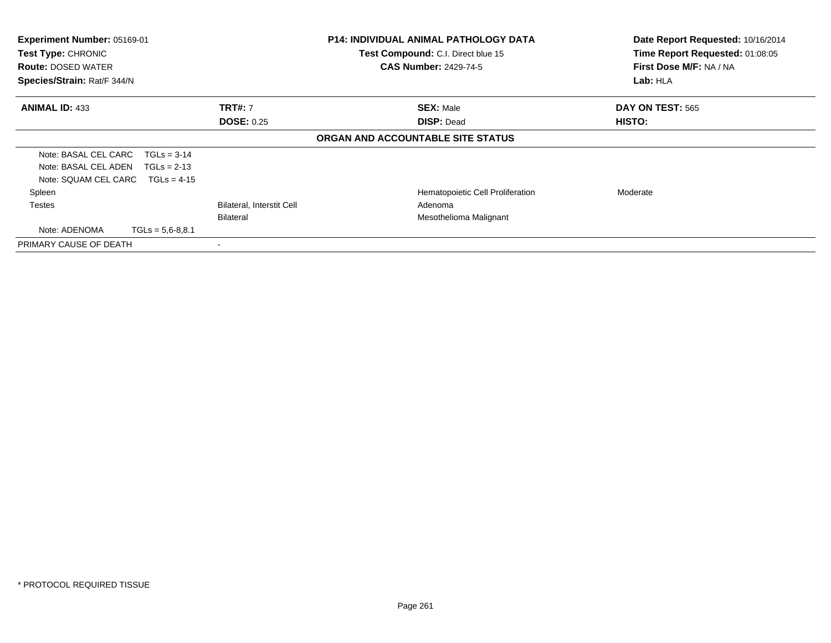| Experiment Number: 05169-01                     |                                  | P14: INDIVIDUAL ANIMAL PATHOLOGY DATA                              | Date Report Requested: 10/16/2014                          |
|-------------------------------------------------|----------------------------------|--------------------------------------------------------------------|------------------------------------------------------------|
| Test Type: CHRONIC<br><b>Route: DOSED WATER</b> |                                  | Test Compound: C.I. Direct blue 15<br><b>CAS Number: 2429-74-5</b> | Time Report Requested: 01:08:05<br>First Dose M/F: NA / NA |
| Species/Strain: Rat/F 344/N                     |                                  | Lab: HLA                                                           |                                                            |
| <b>ANIMAL ID: 433</b>                           | <b>TRT#: 7</b>                   | <b>SEX: Male</b>                                                   | DAY ON TEST: 565                                           |
|                                                 | <b>DOSE: 0.25</b>                | <b>DISP: Dead</b>                                                  | HISTO:                                                     |
|                                                 |                                  | ORGAN AND ACCOUNTABLE SITE STATUS                                  |                                                            |
| Note: BASAL CEL CARC<br>$TGLs = 3-14$           |                                  |                                                                    |                                                            |
| Note: BASAL CEL ADEN<br>$TGLs = 2-13$           |                                  |                                                                    |                                                            |
| Note: SQUAM CEL CARC $TGLs = 4-15$              |                                  |                                                                    |                                                            |
| Spleen                                          |                                  | Hematopoietic Cell Proliferation                                   | Moderate                                                   |
| Testes                                          | <b>Bilateral, Interstit Cell</b> | Adenoma                                                            |                                                            |
|                                                 | Bilateral                        | Mesothelioma Malignant                                             |                                                            |
| Note: ADENOMA<br>$TGLs = 5,6-8,8.1$             |                                  |                                                                    |                                                            |
| PRIMARY CAUSE OF DEATH                          |                                  |                                                                    |                                                            |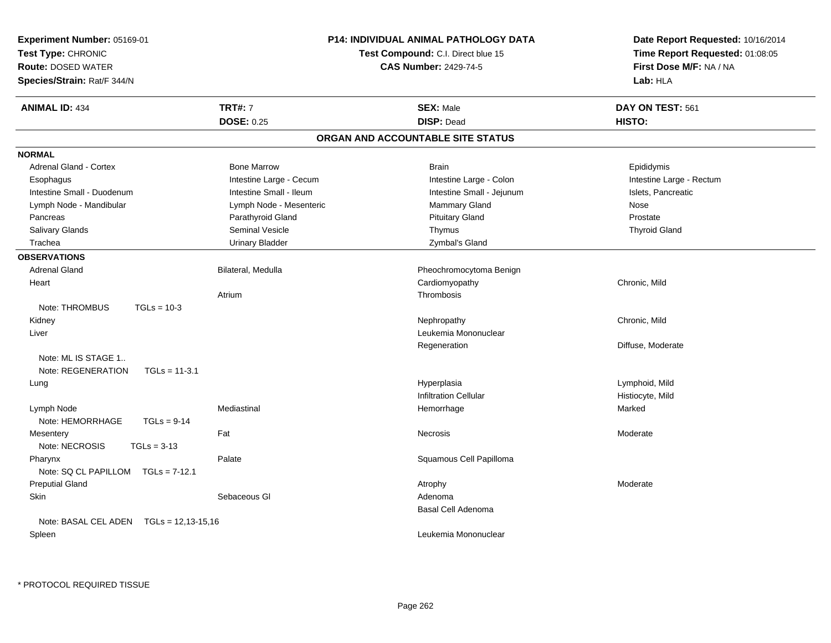| Experiment Number: 05169-01<br>Test Type: CHRONIC<br><b>Route: DOSED WATER</b><br>Species/Strain: Rat/F 344/N | <b>P14: INDIVIDUAL ANIMAL PATHOLOGY DATA</b><br><b>Test Compound: C.I. Direct blue 15</b><br><b>CAS Number: 2429-74-5</b> |                                   | Date Report Requested: 10/16/2014<br>Time Report Requested: 01:08:05<br>First Dose M/F: NA / NA<br>Lab: HLA |
|---------------------------------------------------------------------------------------------------------------|---------------------------------------------------------------------------------------------------------------------------|-----------------------------------|-------------------------------------------------------------------------------------------------------------|
| <b>ANIMAL ID: 434</b>                                                                                         | <b>TRT#: 7</b>                                                                                                            | <b>SEX: Male</b>                  | DAY ON TEST: 561                                                                                            |
|                                                                                                               | <b>DOSE: 0.25</b>                                                                                                         | <b>DISP: Dead</b>                 | HISTO:                                                                                                      |
|                                                                                                               |                                                                                                                           | ORGAN AND ACCOUNTABLE SITE STATUS |                                                                                                             |
| <b>NORMAL</b>                                                                                                 |                                                                                                                           |                                   |                                                                                                             |
| <b>Adrenal Gland - Cortex</b>                                                                                 | <b>Bone Marrow</b>                                                                                                        | <b>Brain</b>                      | Epididymis                                                                                                  |
| Esophagus                                                                                                     | Intestine Large - Cecum                                                                                                   | Intestine Large - Colon           | Intestine Large - Rectum                                                                                    |
| Intestine Small - Duodenum                                                                                    | Intestine Small - Ileum                                                                                                   | Intestine Small - Jejunum         | Islets, Pancreatic                                                                                          |
| Lymph Node - Mandibular                                                                                       | Lymph Node - Mesenteric                                                                                                   | Mammary Gland                     | Nose                                                                                                        |
| Pancreas                                                                                                      | Parathyroid Gland                                                                                                         | <b>Pituitary Gland</b>            | Prostate                                                                                                    |
| Salivary Glands                                                                                               | Seminal Vesicle                                                                                                           | Thymus                            | <b>Thyroid Gland</b>                                                                                        |
| Trachea                                                                                                       | <b>Urinary Bladder</b>                                                                                                    | Zymbal's Gland                    |                                                                                                             |
| <b>OBSERVATIONS</b>                                                                                           |                                                                                                                           |                                   |                                                                                                             |
| <b>Adrenal Gland</b>                                                                                          | Bilateral, Medulla                                                                                                        | Pheochromocytoma Benign           |                                                                                                             |
| Heart                                                                                                         |                                                                                                                           | Cardiomyopathy                    | Chronic, Mild                                                                                               |
|                                                                                                               | Atrium                                                                                                                    | Thrombosis                        |                                                                                                             |
| Note: THROMBUS<br>$TGLs = 10-3$                                                                               |                                                                                                                           |                                   |                                                                                                             |
| Kidney                                                                                                        |                                                                                                                           | Nephropathy                       | Chronic, Mild                                                                                               |
| Liver                                                                                                         |                                                                                                                           | Leukemia Mononuclear              |                                                                                                             |
|                                                                                                               |                                                                                                                           | Regeneration                      | Diffuse, Moderate                                                                                           |
| Note: ML IS STAGE 1                                                                                           |                                                                                                                           |                                   |                                                                                                             |
| Note: REGENERATION<br>$TGLs = 11-3.1$                                                                         |                                                                                                                           |                                   |                                                                                                             |
| Lung                                                                                                          |                                                                                                                           | Hyperplasia                       | Lymphoid, Mild                                                                                              |
|                                                                                                               |                                                                                                                           | <b>Infiltration Cellular</b>      | Histiocyte, Mild                                                                                            |
| Lymph Node                                                                                                    | Mediastinal                                                                                                               | Hemorrhage                        | Marked                                                                                                      |
| Note: HEMORRHAGE<br>$TGLs = 9-14$                                                                             |                                                                                                                           |                                   |                                                                                                             |
| Mesentery                                                                                                     | Fat                                                                                                                       | <b>Necrosis</b>                   | Moderate                                                                                                    |
| Note: NECROSIS<br>$TGLs = 3-13$                                                                               |                                                                                                                           |                                   |                                                                                                             |
| Pharynx                                                                                                       | Palate                                                                                                                    | Squamous Cell Papilloma           |                                                                                                             |
| Note: SQ CL PAPILLOM TGLs = 7-12.1                                                                            |                                                                                                                           |                                   |                                                                                                             |
| <b>Preputial Gland</b>                                                                                        |                                                                                                                           | Atrophy                           | Moderate                                                                                                    |
| <b>Skin</b>                                                                                                   | Sebaceous GI                                                                                                              | Adenoma                           |                                                                                                             |
|                                                                                                               |                                                                                                                           | Basal Cell Adenoma                |                                                                                                             |
| Note: BASAL CEL ADEN TGLs = 12,13-15,16                                                                       |                                                                                                                           |                                   |                                                                                                             |
| Spleen                                                                                                        |                                                                                                                           | Leukemia Mononuclear              |                                                                                                             |
|                                                                                                               |                                                                                                                           |                                   |                                                                                                             |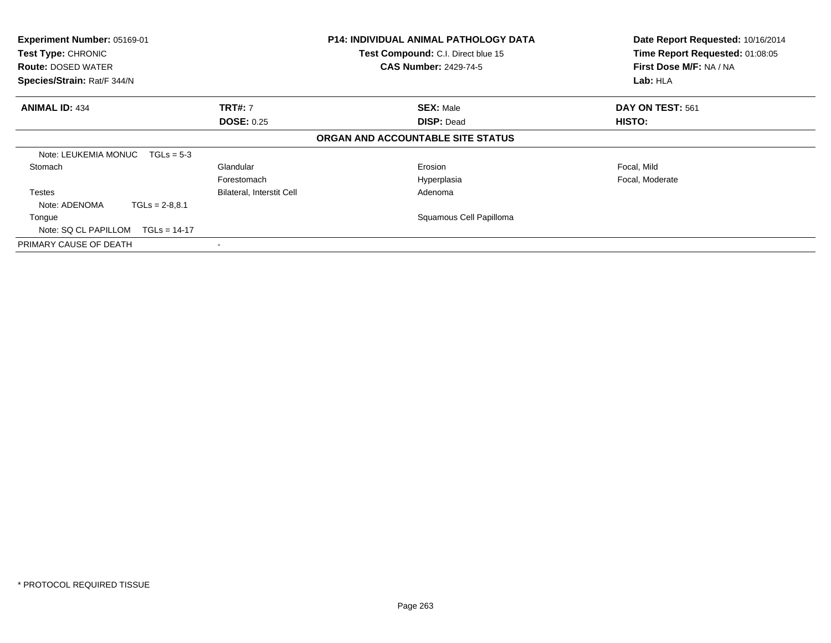| Experiment Number: 05169-01<br>Test Type: CHRONIC<br><b>Route: DOSED WATER</b><br>Species/Strain: Rat/F 344/N |                                  | P14: INDIVIDUAL ANIMAL PATHOLOGY DATA<br>Test Compound: C.I. Direct blue 15<br><b>CAS Number: 2429-74-5</b> | Date Report Requested: 10/16/2014<br>Time Report Requested: 01:08:05<br>First Dose M/F: NA / NA<br>Lab: HLA |
|---------------------------------------------------------------------------------------------------------------|----------------------------------|-------------------------------------------------------------------------------------------------------------|-------------------------------------------------------------------------------------------------------------|
|                                                                                                               |                                  |                                                                                                             |                                                                                                             |
| <b>ANIMAL ID: 434</b>                                                                                         | <b>TRT#: 7</b>                   | <b>SEX: Male</b>                                                                                            | DAY ON TEST: 561                                                                                            |
|                                                                                                               | <b>DOSE: 0.25</b>                | <b>DISP: Dead</b>                                                                                           | <b>HISTO:</b>                                                                                               |
|                                                                                                               |                                  | ORGAN AND ACCOUNTABLE SITE STATUS                                                                           |                                                                                                             |
| Note: LEUKEMIA MONUC<br>$TGLs = 5-3$                                                                          |                                  |                                                                                                             |                                                                                                             |
| Stomach                                                                                                       | Glandular                        | Erosion                                                                                                     | Focal, Mild                                                                                                 |
|                                                                                                               | Forestomach                      | Hyperplasia                                                                                                 | Focal, Moderate                                                                                             |
| <b>Testes</b>                                                                                                 | <b>Bilateral, Interstit Cell</b> | Adenoma                                                                                                     |                                                                                                             |
| Note: ADENOMA<br>$TGLs = 2-8.8.1$                                                                             |                                  |                                                                                                             |                                                                                                             |
| Tongue                                                                                                        |                                  | Squamous Cell Papilloma                                                                                     |                                                                                                             |
| Note: SQ CL PAPILLOM<br>$TGLs = 14-17$                                                                        |                                  |                                                                                                             |                                                                                                             |
| PRIMARY CAUSE OF DEATH                                                                                        |                                  |                                                                                                             |                                                                                                             |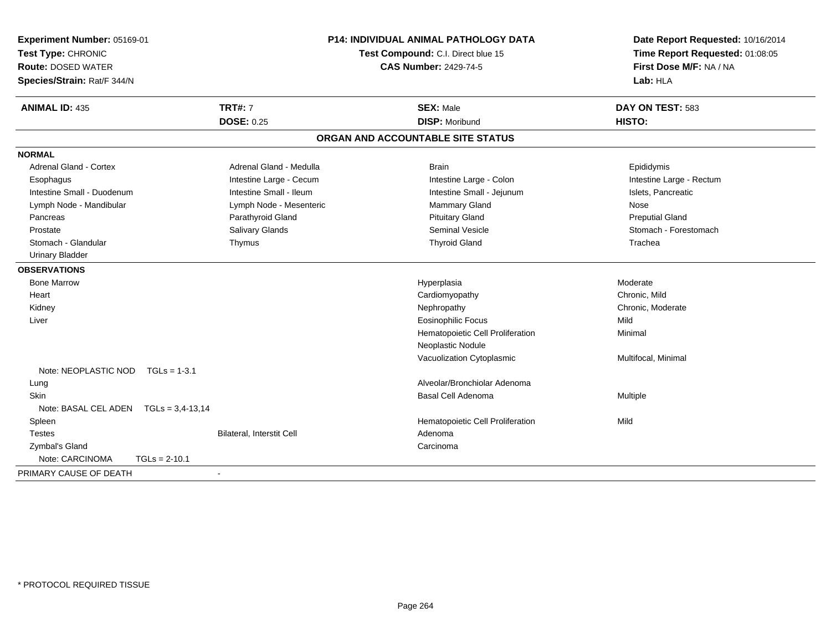| Experiment Number: 05169-01<br>Test Type: CHRONIC<br><b>Route: DOSED WATER</b><br>Species/Strain: Rat/F 344/N | <b>P14: INDIVIDUAL ANIMAL PATHOLOGY DATA</b><br>Test Compound: C.I. Direct blue 15<br><b>CAS Number: 2429-74-5</b> |                                   | Date Report Requested: 10/16/2014<br>Time Report Requested: 01:08:05<br>First Dose M/F: NA / NA<br>Lab: HLA |
|---------------------------------------------------------------------------------------------------------------|--------------------------------------------------------------------------------------------------------------------|-----------------------------------|-------------------------------------------------------------------------------------------------------------|
| <b>ANIMAL ID: 435</b>                                                                                         | <b>TRT#: 7</b>                                                                                                     | <b>SEX: Male</b>                  | DAY ON TEST: 583                                                                                            |
|                                                                                                               | <b>DOSE: 0.25</b>                                                                                                  | <b>DISP: Moribund</b>             | HISTO:                                                                                                      |
|                                                                                                               |                                                                                                                    | ORGAN AND ACCOUNTABLE SITE STATUS |                                                                                                             |
| <b>NORMAL</b>                                                                                                 |                                                                                                                    |                                   |                                                                                                             |
| <b>Adrenal Gland - Cortex</b>                                                                                 | Adrenal Gland - Medulla                                                                                            | <b>Brain</b>                      | Epididymis                                                                                                  |
| Esophagus                                                                                                     | Intestine Large - Cecum                                                                                            | Intestine Large - Colon           | Intestine Large - Rectum                                                                                    |
| Intestine Small - Duodenum                                                                                    | Intestine Small - Ileum                                                                                            | Intestine Small - Jejunum         | Islets, Pancreatic                                                                                          |
| Lymph Node - Mandibular                                                                                       | Lymph Node - Mesenteric                                                                                            | <b>Mammary Gland</b>              | <b>Nose</b>                                                                                                 |
| Pancreas                                                                                                      | Parathyroid Gland                                                                                                  | <b>Pituitary Gland</b>            | <b>Preputial Gland</b>                                                                                      |
| Prostate                                                                                                      | Salivary Glands                                                                                                    | Seminal Vesicle                   | Stomach - Forestomach                                                                                       |
| Stomach - Glandular                                                                                           | Thymus                                                                                                             | <b>Thyroid Gland</b>              | Trachea                                                                                                     |
| <b>Urinary Bladder</b>                                                                                        |                                                                                                                    |                                   |                                                                                                             |
| <b>OBSERVATIONS</b>                                                                                           |                                                                                                                    |                                   |                                                                                                             |
| <b>Bone Marrow</b>                                                                                            |                                                                                                                    | Hyperplasia                       | Moderate                                                                                                    |
| Heart                                                                                                         |                                                                                                                    | Cardiomyopathy                    | Chronic, Mild                                                                                               |
| Kidney                                                                                                        |                                                                                                                    | Nephropathy                       | Chronic, Moderate                                                                                           |
| Liver                                                                                                         |                                                                                                                    | <b>Eosinophilic Focus</b>         | Mild                                                                                                        |
|                                                                                                               |                                                                                                                    | Hematopoietic Cell Proliferation  | Minimal                                                                                                     |
|                                                                                                               |                                                                                                                    | Neoplastic Nodule                 |                                                                                                             |
|                                                                                                               |                                                                                                                    | Vacuolization Cytoplasmic         | Multifocal, Minimal                                                                                         |
| Note: NEOPLASTIC NOD<br>$TGLs = 1-3.1$                                                                        |                                                                                                                    |                                   |                                                                                                             |
| Lung                                                                                                          |                                                                                                                    | Alveolar/Bronchiolar Adenoma      |                                                                                                             |
| <b>Skin</b>                                                                                                   |                                                                                                                    | Basal Cell Adenoma                | Multiple                                                                                                    |
| Note: BASAL CEL ADEN    TGLs = 3,4-13,14                                                                      |                                                                                                                    |                                   |                                                                                                             |
| Spleen                                                                                                        |                                                                                                                    | Hematopoietic Cell Proliferation  | Mild                                                                                                        |
| <b>Testes</b>                                                                                                 | <b>Bilateral, Interstit Cell</b>                                                                                   | Adenoma                           |                                                                                                             |
| Zymbal's Gland                                                                                                |                                                                                                                    | Carcinoma                         |                                                                                                             |
| Note: CARCINOMA<br>$TGLs = 2-10.1$                                                                            |                                                                                                                    |                                   |                                                                                                             |
| PRIMARY CAUSE OF DEATH                                                                                        |                                                                                                                    |                                   |                                                                                                             |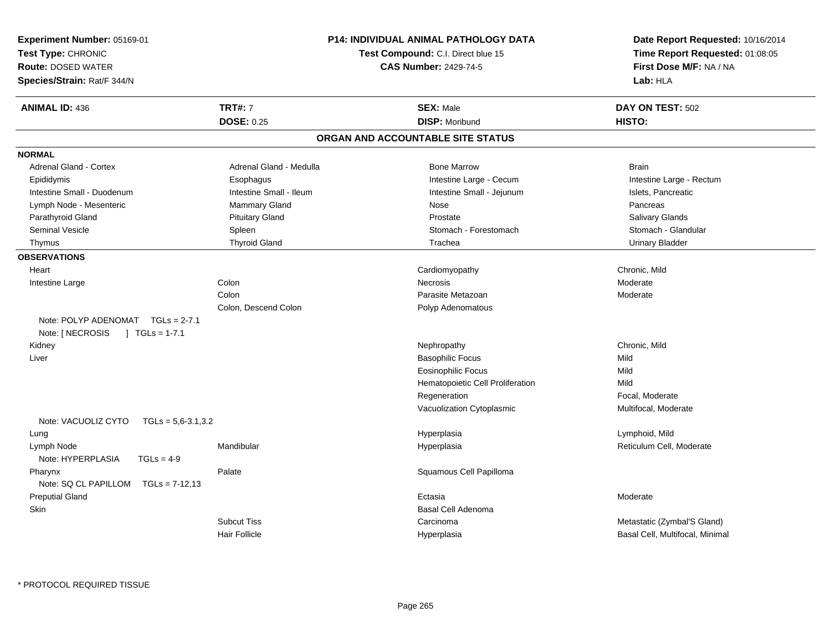| Experiment Number: 05169-01<br>Test Type: CHRONIC<br><b>Route: DOSED WATER</b><br>Species/Strain: Rat/F 344/N |                         | <b>P14: INDIVIDUAL ANIMAL PATHOLOGY DATA</b><br>Test Compound: C.I. Direct blue 15<br><b>CAS Number: 2429-74-5</b> | Date Report Requested: 10/16/2014<br>Time Report Requested: 01:08:05<br>First Dose M/F: NA / NA<br>Lab: HLA |
|---------------------------------------------------------------------------------------------------------------|-------------------------|--------------------------------------------------------------------------------------------------------------------|-------------------------------------------------------------------------------------------------------------|
| <b>ANIMAL ID: 436</b>                                                                                         | <b>TRT#: 7</b>          | <b>SEX: Male</b>                                                                                                   | DAY ON TEST: 502                                                                                            |
|                                                                                                               | <b>DOSE: 0.25</b>       | <b>DISP: Moribund</b>                                                                                              | HISTO:                                                                                                      |
|                                                                                                               |                         | ORGAN AND ACCOUNTABLE SITE STATUS                                                                                  |                                                                                                             |
| <b>NORMAL</b>                                                                                                 |                         |                                                                                                                    |                                                                                                             |
| <b>Adrenal Gland - Cortex</b>                                                                                 | Adrenal Gland - Medulla | <b>Bone Marrow</b>                                                                                                 | <b>Brain</b>                                                                                                |
| Epididymis                                                                                                    | Esophagus               | Intestine Large - Cecum                                                                                            | Intestine Large - Rectum                                                                                    |
| Intestine Small - Duodenum                                                                                    | Intestine Small - Ileum | Intestine Small - Jejunum                                                                                          | Islets, Pancreatic                                                                                          |
| Lymph Node - Mesenteric                                                                                       | <b>Mammary Gland</b>    | Nose                                                                                                               | Pancreas                                                                                                    |
| Parathyroid Gland                                                                                             | <b>Pituitary Gland</b>  | Prostate                                                                                                           | <b>Salivary Glands</b>                                                                                      |
| <b>Seminal Vesicle</b>                                                                                        | Spleen                  | Stomach - Forestomach                                                                                              | Stomach - Glandular                                                                                         |
| Thymus                                                                                                        | <b>Thyroid Gland</b>    | Trachea                                                                                                            | <b>Urinary Bladder</b>                                                                                      |
| <b>OBSERVATIONS</b>                                                                                           |                         |                                                                                                                    |                                                                                                             |
| Heart                                                                                                         |                         | Cardiomyopathy                                                                                                     | Chronic, Mild                                                                                               |
| Intestine Large                                                                                               | Colon                   | Necrosis                                                                                                           | Moderate                                                                                                    |
|                                                                                                               | Colon                   | Parasite Metazoan                                                                                                  | Moderate                                                                                                    |
|                                                                                                               | Colon, Descend Colon    | Polyp Adenomatous                                                                                                  |                                                                                                             |
| Note: POLYP ADENOMAT TGLs = 2-7.1                                                                             |                         |                                                                                                                    |                                                                                                             |
| Note: [ NECROSIS<br>$\int$ TGLs = 1-7.1                                                                       |                         |                                                                                                                    |                                                                                                             |
| Kidney                                                                                                        |                         | Nephropathy                                                                                                        | Chronic, Mild                                                                                               |
| Liver                                                                                                         |                         | <b>Basophilic Focus</b>                                                                                            | Mild                                                                                                        |
|                                                                                                               |                         | <b>Eosinophilic Focus</b>                                                                                          | Mild                                                                                                        |
|                                                                                                               |                         | Hematopoietic Cell Proliferation                                                                                   | Mild                                                                                                        |
|                                                                                                               |                         | Regeneration                                                                                                       | Focal, Moderate                                                                                             |
|                                                                                                               |                         | Vacuolization Cytoplasmic                                                                                          | Multifocal, Moderate                                                                                        |
| Note: VACUOLIZ CYTO<br>$TGLs = 5,6-3.1,3.2$                                                                   |                         |                                                                                                                    |                                                                                                             |
| Lung                                                                                                          |                         | Hyperplasia                                                                                                        | Lymphoid, Mild                                                                                              |
| Lymph Node<br>Note: HYPERPLASIA<br>$TGLs = 4-9$                                                               | Mandibular              | Hyperplasia                                                                                                        | Reticulum Cell, Moderate                                                                                    |
| Pharynx<br>Note: SQ CL PAPILLOM<br>$TGLs = 7-12,13$                                                           | Palate                  | Squamous Cell Papilloma                                                                                            |                                                                                                             |
| <b>Preputial Gland</b>                                                                                        |                         | Ectasia                                                                                                            | Moderate                                                                                                    |
| Skin                                                                                                          |                         | <b>Basal Cell Adenoma</b>                                                                                          |                                                                                                             |
|                                                                                                               | <b>Subcut Tiss</b>      | Carcinoma                                                                                                          | Metastatic (Zymbal'S Gland)                                                                                 |
|                                                                                                               | Hair Follicle           | Hyperplasia                                                                                                        | Basal Cell, Multifocal, Minimal                                                                             |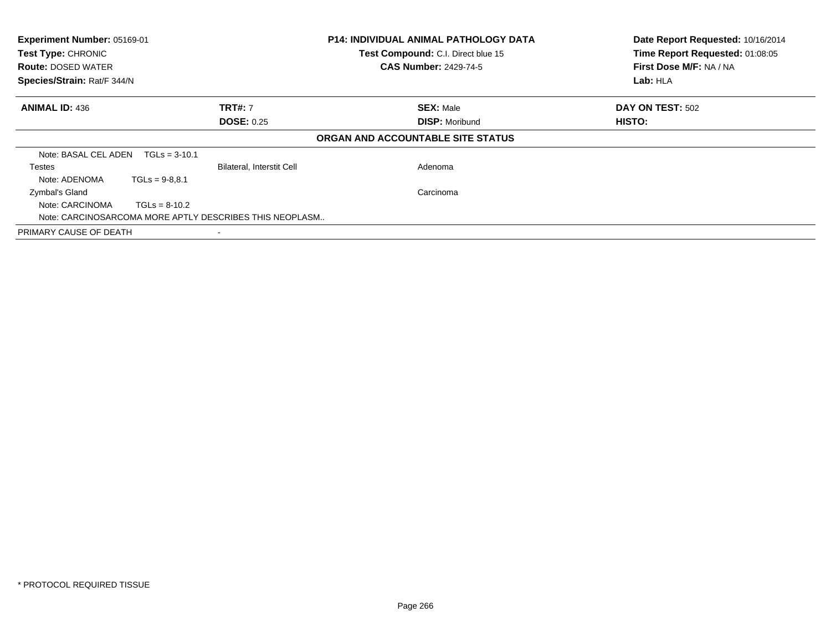| Experiment Number: 05169-01<br>Test Type: CHRONIC<br><b>Route: DOSED WATER</b><br>Species/Strain: Rat/F 344/N |                                  | <b>P14: INDIVIDUAL ANIMAL PATHOLOGY DATA</b><br>Test Compound: C.I. Direct blue 15<br><b>CAS Number: 2429-74-5</b> | Date Report Requested: 10/16/2014<br>Time Report Requested: 01:08:05<br>First Dose M/F: NA / NA<br>Lab: HLA |
|---------------------------------------------------------------------------------------------------------------|----------------------------------|--------------------------------------------------------------------------------------------------------------------|-------------------------------------------------------------------------------------------------------------|
| <b>ANIMAL ID: 436</b>                                                                                         | <b>TRT#: 7</b>                   | <b>SEX: Male</b>                                                                                                   | DAY ON TEST: 502                                                                                            |
|                                                                                                               | <b>DOSE: 0.25</b>                | <b>DISP: Moribund</b>                                                                                              | <b>HISTO:</b>                                                                                               |
|                                                                                                               |                                  | ORGAN AND ACCOUNTABLE SITE STATUS                                                                                  |                                                                                                             |
| Note: BASAL CEL ADEN<br>$TGLs = 3-10.1$                                                                       |                                  |                                                                                                                    |                                                                                                             |
| Testes                                                                                                        | <b>Bilateral, Interstit Cell</b> | Adenoma                                                                                                            |                                                                                                             |
| Note: ADENOMA<br>$TGLs = 9-8.8.1$                                                                             |                                  |                                                                                                                    |                                                                                                             |
| Zymbal's Gland                                                                                                |                                  | Carcinoma                                                                                                          |                                                                                                             |
| Note: CARCINOMA<br>$TGLs = 8-10.2$                                                                            |                                  |                                                                                                                    |                                                                                                             |
| Note: CARCINOSARCOMA MORE APTLY DESCRIBES THIS NEOPLASM                                                       |                                  |                                                                                                                    |                                                                                                             |
| PRIMARY CAUSE OF DEATH                                                                                        |                                  |                                                                                                                    |                                                                                                             |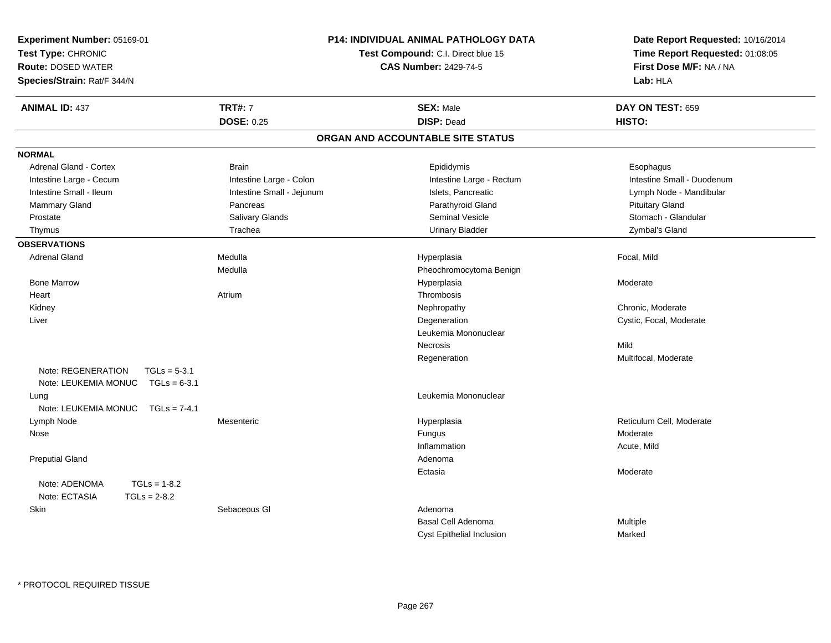| Experiment Number: 05169-01<br>Test Type: CHRONIC<br><b>Route: DOSED WATER</b><br>Species/Strain: Rat/F 344/N |                           | P14: INDIVIDUAL ANIMAL PATHOLOGY DATA<br>Test Compound: C.I. Direct blue 15<br><b>CAS Number: 2429-74-5</b> | Date Report Requested: 10/16/2014<br>Time Report Requested: 01:08:05<br>First Dose M/F: NA / NA<br>Lab: HLA |
|---------------------------------------------------------------------------------------------------------------|---------------------------|-------------------------------------------------------------------------------------------------------------|-------------------------------------------------------------------------------------------------------------|
| <b>ANIMAL ID: 437</b>                                                                                         | <b>TRT#: 7</b>            | <b>SEX: Male</b>                                                                                            | DAY ON TEST: 659                                                                                            |
|                                                                                                               | <b>DOSE: 0.25</b>         | <b>DISP: Dead</b>                                                                                           | HISTO:                                                                                                      |
|                                                                                                               |                           | ORGAN AND ACCOUNTABLE SITE STATUS                                                                           |                                                                                                             |
| <b>NORMAL</b>                                                                                                 |                           |                                                                                                             |                                                                                                             |
| Adrenal Gland - Cortex                                                                                        | <b>Brain</b>              | Epididymis                                                                                                  | Esophagus                                                                                                   |
| Intestine Large - Cecum                                                                                       | Intestine Large - Colon   | Intestine Large - Rectum                                                                                    | Intestine Small - Duodenum                                                                                  |
| Intestine Small - Ileum                                                                                       | Intestine Small - Jejunum | Islets, Pancreatic                                                                                          | Lymph Node - Mandibular                                                                                     |
| Mammary Gland                                                                                                 | Pancreas                  | Parathyroid Gland                                                                                           | <b>Pituitary Gland</b>                                                                                      |
| Prostate                                                                                                      | Salivary Glands           | <b>Seminal Vesicle</b>                                                                                      | Stomach - Glandular                                                                                         |
| Thymus                                                                                                        | Trachea                   | <b>Urinary Bladder</b>                                                                                      | Zymbal's Gland                                                                                              |
| <b>OBSERVATIONS</b>                                                                                           |                           |                                                                                                             |                                                                                                             |
| <b>Adrenal Gland</b>                                                                                          | Medulla                   | Hyperplasia                                                                                                 | Focal, Mild                                                                                                 |
|                                                                                                               | Medulla                   | Pheochromocytoma Benign                                                                                     |                                                                                                             |
| <b>Bone Marrow</b>                                                                                            |                           | Hyperplasia                                                                                                 | Moderate                                                                                                    |
| Heart                                                                                                         | Atrium                    | Thrombosis                                                                                                  |                                                                                                             |
| Kidney                                                                                                        |                           | Nephropathy                                                                                                 | Chronic, Moderate                                                                                           |
| Liver                                                                                                         |                           | Degeneration                                                                                                | Cystic, Focal, Moderate                                                                                     |
|                                                                                                               |                           | Leukemia Mononuclear                                                                                        |                                                                                                             |
|                                                                                                               |                           | Necrosis                                                                                                    | Mild                                                                                                        |
|                                                                                                               |                           | Regeneration                                                                                                | Multifocal, Moderate                                                                                        |
| Note: REGENERATION<br>$TGLs = 5-3.1$<br>Note: LEUKEMIA MONUC<br>$TGLs = 6-3.1$                                |                           |                                                                                                             |                                                                                                             |
| Lung                                                                                                          |                           | Leukemia Mononuclear                                                                                        |                                                                                                             |
| Note: LEUKEMIA MONUC<br>$TGLs = 7-4.1$                                                                        |                           |                                                                                                             |                                                                                                             |
| Lymph Node                                                                                                    | Mesenteric                | Hyperplasia                                                                                                 | Reticulum Cell, Moderate                                                                                    |
| Nose                                                                                                          |                           | Fungus                                                                                                      | Moderate                                                                                                    |
|                                                                                                               |                           | Inflammation                                                                                                | Acute, Mild                                                                                                 |
| <b>Preputial Gland</b>                                                                                        |                           | Adenoma                                                                                                     |                                                                                                             |
|                                                                                                               |                           | Ectasia                                                                                                     | Moderate                                                                                                    |
| $TGLs = 1-8.2$<br>Note: ADENOMA                                                                               |                           |                                                                                                             |                                                                                                             |
| Note: ECTASIA<br>$TGLs = 2-8.2$                                                                               |                           |                                                                                                             |                                                                                                             |
| Skin                                                                                                          | Sebaceous GI              | Adenoma                                                                                                     |                                                                                                             |
|                                                                                                               |                           | Basal Cell Adenoma                                                                                          | Multiple                                                                                                    |
|                                                                                                               |                           | Cyst Epithelial Inclusion                                                                                   | Marked                                                                                                      |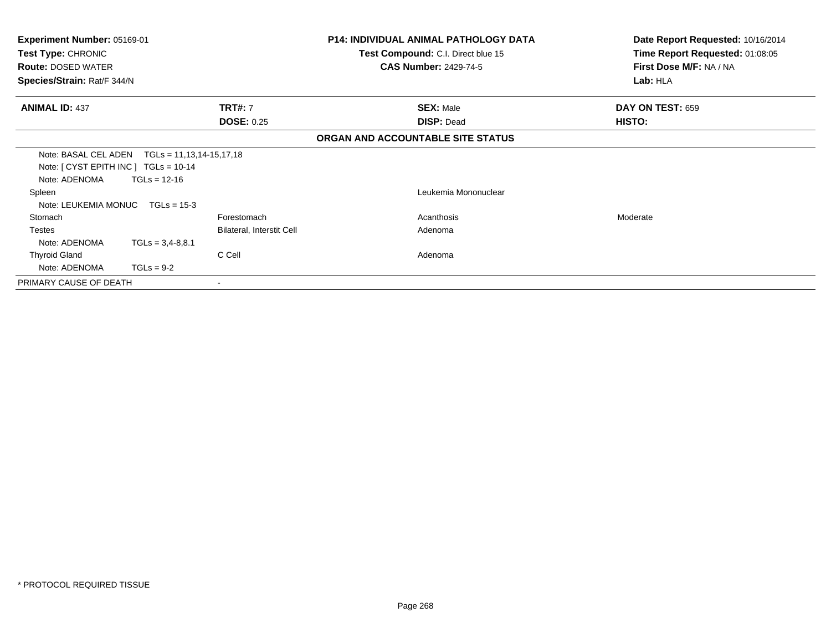| <b>Experiment Number: 05169-01</b><br>Test Type: CHRONIC<br><b>Route: DOSED WATER</b><br>Species/Strain: Rat/F 344/N |                                                                    |                           | <b>P14: INDIVIDUAL ANIMAL PATHOLOGY DATA</b><br>Test Compound: C.I. Direct blue 15<br><b>CAS Number: 2429-74-5</b> | Date Report Requested: 10/16/2014<br>Time Report Requested: 01:08:05<br>First Dose M/F: NA / NA<br>Lab: HLA |
|----------------------------------------------------------------------------------------------------------------------|--------------------------------------------------------------------|---------------------------|--------------------------------------------------------------------------------------------------------------------|-------------------------------------------------------------------------------------------------------------|
| <b>ANIMAL ID: 437</b>                                                                                                |                                                                    | <b>TRT#: 7</b>            | <b>SEX: Male</b>                                                                                                   | DAY ON TEST: 659                                                                                            |
|                                                                                                                      |                                                                    | <b>DOSE: 0.25</b>         | <b>DISP: Dead</b>                                                                                                  | <b>HISTO:</b>                                                                                               |
|                                                                                                                      |                                                                    |                           | ORGAN AND ACCOUNTABLE SITE STATUS                                                                                  |                                                                                                             |
| Note: [ CYST EPITH INC ] TGLs = 10-14<br>Note: ADENOMA                                                               | Note: BASAL CEL ADEN    TGLs = 11,13,14-15,17,18<br>$TGLs = 12-16$ |                           |                                                                                                                    |                                                                                                             |
| Spleen<br>Note: LEUKEMIA MONUC                                                                                       | $TGLs = 15-3$                                                      |                           | Leukemia Mononuclear                                                                                               |                                                                                                             |
| Stomach                                                                                                              |                                                                    | Forestomach               | Acanthosis                                                                                                         | Moderate                                                                                                    |
| <b>Testes</b>                                                                                                        |                                                                    | Bilateral, Interstit Cell | Adenoma                                                                                                            |                                                                                                             |
| Note: ADENOMA                                                                                                        | $TGLs = 3,4-8,8.1$                                                 |                           |                                                                                                                    |                                                                                                             |
| <b>Thyroid Gland</b>                                                                                                 |                                                                    | C Cell                    | Adenoma                                                                                                            |                                                                                                             |
| Note: ADENOMA                                                                                                        | $TGLs = 9-2$                                                       |                           |                                                                                                                    |                                                                                                             |
| PRIMARY CAUSE OF DEATH                                                                                               |                                                                    |                           |                                                                                                                    |                                                                                                             |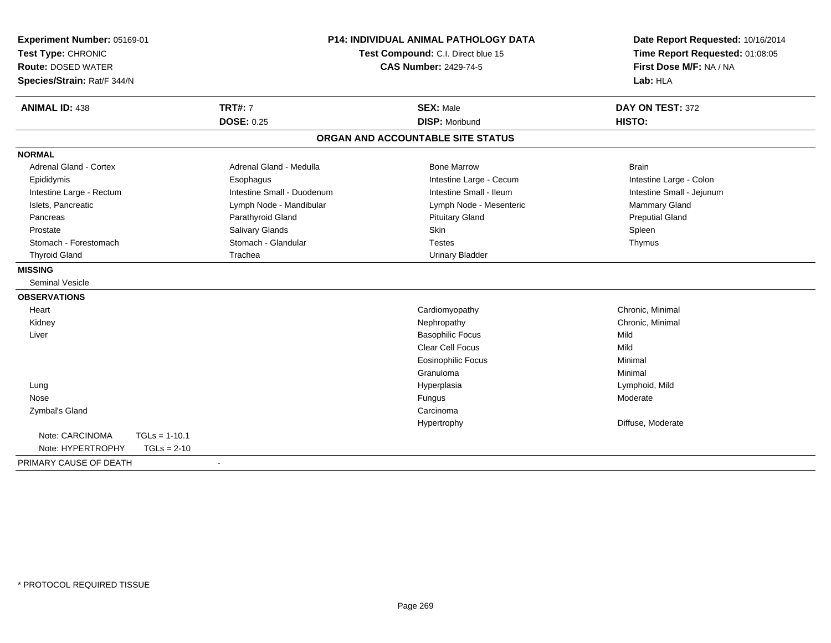| Experiment Number: 05169-01<br>Test Type: CHRONIC<br><b>Route: DOSED WATER</b><br>Species/Strain: Rat/F 344/N |                                     | P14: INDIVIDUAL ANIMAL PATHOLOGY DATA<br>Test Compound: C.I. Direct blue 15<br><b>CAS Number: 2429-74-5</b> |                                           | Date Report Requested: 10/16/2014<br>Time Report Requested: 01:08:05<br>First Dose M/F: NA / NA<br>Lab: HLA |  |
|---------------------------------------------------------------------------------------------------------------|-------------------------------------|-------------------------------------------------------------------------------------------------------------|-------------------------------------------|-------------------------------------------------------------------------------------------------------------|--|
| <b>ANIMAL ID: 438</b>                                                                                         | <b>TRT#: 7</b><br><b>DOSE: 0.25</b> |                                                                                                             | <b>SEX: Male</b><br><b>DISP: Moribund</b> | DAY ON TEST: 372<br>HISTO:                                                                                  |  |
|                                                                                                               |                                     |                                                                                                             |                                           |                                                                                                             |  |
|                                                                                                               |                                     |                                                                                                             | ORGAN AND ACCOUNTABLE SITE STATUS         |                                                                                                             |  |
| <b>NORMAL</b>                                                                                                 |                                     |                                                                                                             |                                           |                                                                                                             |  |
| <b>Adrenal Gland - Cortex</b>                                                                                 |                                     | Adrenal Gland - Medulla                                                                                     | <b>Bone Marrow</b>                        | <b>Brain</b>                                                                                                |  |
| Epididymis                                                                                                    | Esophagus                           |                                                                                                             | Intestine Large - Cecum                   | Intestine Large - Colon                                                                                     |  |
| Intestine Large - Rectum                                                                                      |                                     | Intestine Small - Duodenum                                                                                  | Intestine Small - Ileum                   | Intestine Small - Jejunum                                                                                   |  |
| Islets, Pancreatic                                                                                            |                                     | Lymph Node - Mandibular                                                                                     | Lymph Node - Mesenteric                   | <b>Mammary Gland</b>                                                                                        |  |
| Pancreas                                                                                                      | Parathyroid Gland                   |                                                                                                             | <b>Pituitary Gland</b>                    | <b>Preputial Gland</b>                                                                                      |  |
| Prostate                                                                                                      | Salivary Glands                     |                                                                                                             | <b>Skin</b>                               | Spleen                                                                                                      |  |
| Stomach - Forestomach                                                                                         | Stomach - Glandular                 |                                                                                                             | <b>Testes</b>                             | Thymus                                                                                                      |  |
| <b>Thyroid Gland</b>                                                                                          | Trachea                             |                                                                                                             | <b>Urinary Bladder</b>                    |                                                                                                             |  |
| <b>MISSING</b>                                                                                                |                                     |                                                                                                             |                                           |                                                                                                             |  |
| <b>Seminal Vesicle</b>                                                                                        |                                     |                                                                                                             |                                           |                                                                                                             |  |
| <b>OBSERVATIONS</b>                                                                                           |                                     |                                                                                                             |                                           |                                                                                                             |  |
| Heart                                                                                                         |                                     |                                                                                                             | Cardiomyopathy                            | Chronic, Minimal                                                                                            |  |
| Kidney                                                                                                        |                                     |                                                                                                             | Nephropathy                               | Chronic, Minimal                                                                                            |  |
| Liver                                                                                                         |                                     |                                                                                                             | <b>Basophilic Focus</b>                   | Mild                                                                                                        |  |
|                                                                                                               |                                     |                                                                                                             | Clear Cell Focus                          | Mild                                                                                                        |  |
|                                                                                                               |                                     |                                                                                                             | <b>Eosinophilic Focus</b>                 | Minimal                                                                                                     |  |
|                                                                                                               |                                     |                                                                                                             | Granuloma                                 | Minimal                                                                                                     |  |
| Lung                                                                                                          |                                     |                                                                                                             | Hyperplasia                               | Lymphoid, Mild                                                                                              |  |
| Nose                                                                                                          |                                     |                                                                                                             | Fungus                                    | Moderate                                                                                                    |  |
| Zymbal's Gland                                                                                                |                                     |                                                                                                             | Carcinoma                                 |                                                                                                             |  |
|                                                                                                               |                                     |                                                                                                             | Hypertrophy                               | Diffuse, Moderate                                                                                           |  |
| Note: CARCINOMA                                                                                               | $TGLs = 1-10.1$                     |                                                                                                             |                                           |                                                                                                             |  |
| Note: HYPERTROPHY                                                                                             | $TGLs = 2-10$                       |                                                                                                             |                                           |                                                                                                             |  |
| PRIMARY CAUSE OF DEATH                                                                                        |                                     |                                                                                                             |                                           |                                                                                                             |  |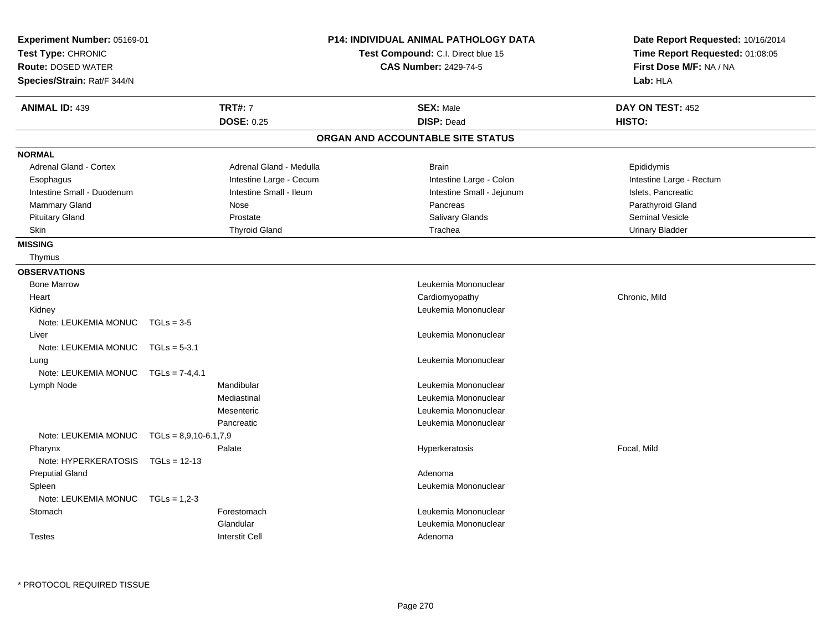|                           | Test Compound: C.I. Direct blue 15 | Time Report Requested: 01:08:05                                                 |  |
|---------------------------|------------------------------------|---------------------------------------------------------------------------------|--|
|                           |                                    |                                                                                 |  |
|                           | <b>CAS Number: 2429-74-5</b>       | First Dose M/F: NA / NA                                                         |  |
|                           |                                    | Lab: HLA                                                                        |  |
| <b>TRT#: 7</b>            | <b>SEX: Male</b>                   | DAY ON TEST: 452                                                                |  |
| <b>DOSE: 0.25</b>         | <b>DISP: Dead</b>                  | HISTO:                                                                          |  |
|                           |                                    |                                                                                 |  |
|                           |                                    |                                                                                 |  |
| Adrenal Gland - Medulla   | <b>Brain</b>                       | Epididymis                                                                      |  |
|                           |                                    | Intestine Large - Rectum                                                        |  |
| Intestine Small - Ileum   | Intestine Small - Jejunum          | Islets, Pancreatic                                                              |  |
| Nose                      | Pancreas                           | Parathyroid Gland                                                               |  |
| Prostate                  |                                    | <b>Seminal Vesicle</b>                                                          |  |
| <b>Thyroid Gland</b>      | Trachea                            | <b>Urinary Bladder</b>                                                          |  |
|                           |                                    |                                                                                 |  |
|                           |                                    |                                                                                 |  |
|                           |                                    |                                                                                 |  |
|                           | Leukemia Mononuclear               |                                                                                 |  |
|                           | Cardiomyopathy                     | Chronic, Mild                                                                   |  |
|                           | Leukemia Mononuclear               |                                                                                 |  |
|                           |                                    |                                                                                 |  |
|                           | Leukemia Mononuclear               |                                                                                 |  |
|                           |                                    |                                                                                 |  |
|                           | Leukemia Mononuclear               |                                                                                 |  |
|                           |                                    |                                                                                 |  |
| Mandibular                | Leukemia Mononuclear               |                                                                                 |  |
| Mediastinal               | Leukemia Mononuclear               |                                                                                 |  |
| Mesenteric                | Leukemia Mononuclear               |                                                                                 |  |
| Pancreatic                | Leukemia Mononuclear               |                                                                                 |  |
| $TGLs = 8.9, 10-6.1, 7.9$ |                                    |                                                                                 |  |
| Palate                    | Hyperkeratosis                     | Focal, Mild                                                                     |  |
|                           |                                    |                                                                                 |  |
|                           | Adenoma                            |                                                                                 |  |
|                           | Leukemia Mononuclear               |                                                                                 |  |
|                           |                                    |                                                                                 |  |
| Forestomach               | Leukemia Mononuclear               |                                                                                 |  |
| Glandular                 | Leukemia Mononuclear               |                                                                                 |  |
| <b>Interstit Cell</b>     | Adenoma                            |                                                                                 |  |
|                           | Intestine Large - Cecum            | ORGAN AND ACCOUNTABLE SITE STATUS<br>Intestine Large - Colon<br>Salivary Glands |  |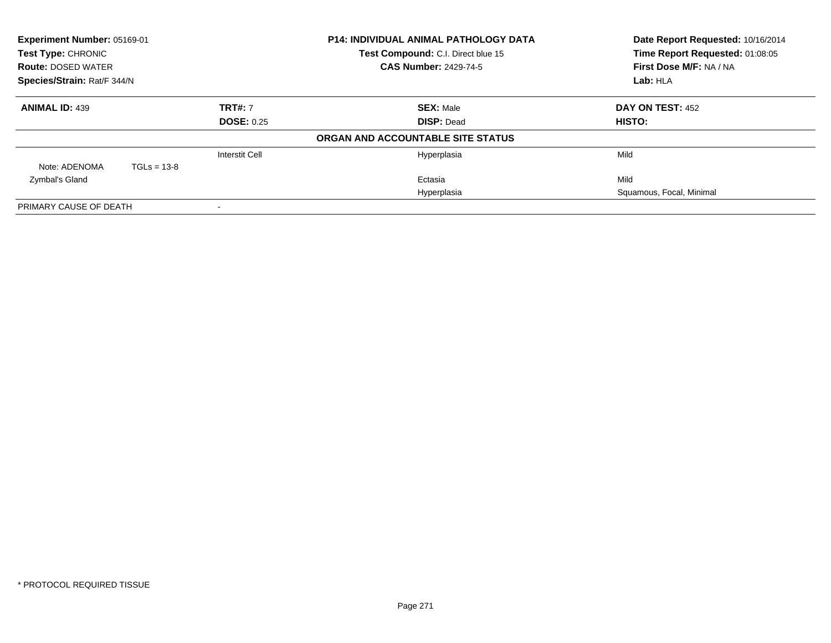| Experiment Number: 05169-01<br>Test Type: CHRONIC |                              |                       | <b>P14: INDIVIDUAL ANIMAL PATHOLOGY DATA</b> | Date Report Requested: 10/16/2014 |
|---------------------------------------------------|------------------------------|-----------------------|----------------------------------------------|-----------------------------------|
|                                                   |                              |                       | Test Compound: C.I. Direct blue 15           | Time Report Requested: 01:08:05   |
| <b>Route: DOSED WATER</b>                         | <b>CAS Number: 2429-74-5</b> |                       | First Dose M/F: NA / NA                      |                                   |
| Species/Strain: Rat/F 344/N                       |                              |                       | Lab: HLA                                     |                                   |
| <b>ANIMAL ID: 439</b>                             |                              | <b>TRT#: 7</b>        | <b>SEX: Male</b>                             | DAY ON TEST: 452                  |
| <b>DOSE: 0.25</b>                                 |                              |                       | <b>DISP: Dead</b>                            | HISTO:                            |
|                                                   |                              |                       | ORGAN AND ACCOUNTABLE SITE STATUS            |                                   |
|                                                   |                              | <b>Interstit Cell</b> | Hyperplasia                                  | Mild                              |
| Note: ADENOMA                                     | $TGLs = 13-8$                |                       |                                              |                                   |
| Zymbal's Gland                                    |                              |                       | Ectasia                                      | Mild                              |
|                                                   |                              |                       | Hyperplasia                                  | Squamous, Focal, Minimal          |
| PRIMARY CAUSE OF DEATH                            |                              | $\,$                  |                                              |                                   |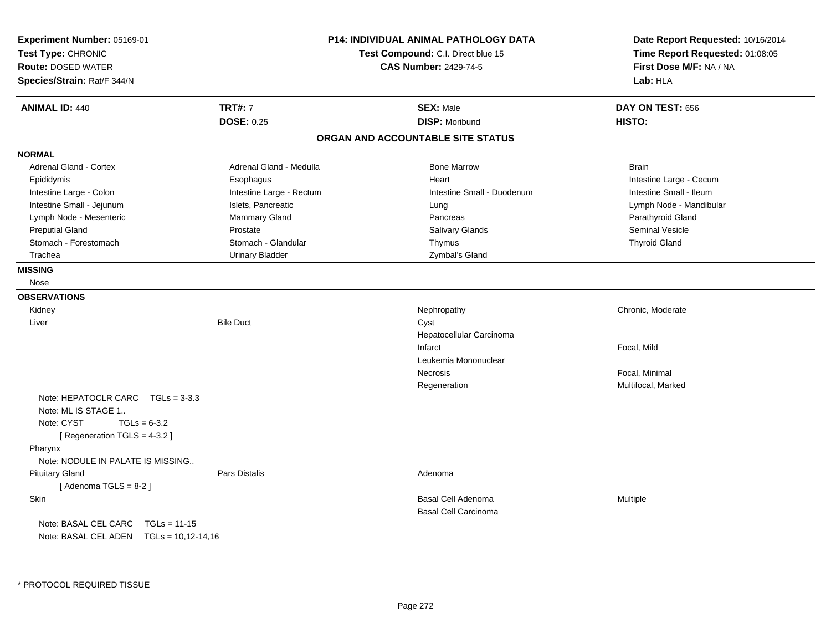| Experiment Number: 05169-01<br>Test Type: CHRONIC<br><b>Route: DOSED WATER</b><br>Species/Strain: Rat/F 344/N               | <b>P14: INDIVIDUAL ANIMAL PATHOLOGY DATA</b><br>Test Compound: C.I. Direct blue 15<br><b>CAS Number: 2429-74-5</b> |                                                          | Date Report Requested: 10/16/2014<br>Time Report Requested: 01:08:05<br>First Dose M/F: NA / NA<br>Lab: HLA |
|-----------------------------------------------------------------------------------------------------------------------------|--------------------------------------------------------------------------------------------------------------------|----------------------------------------------------------|-------------------------------------------------------------------------------------------------------------|
| <b>ANIMAL ID: 440</b>                                                                                                       | <b>TRT#: 7</b>                                                                                                     | <b>SEX: Male</b>                                         | DAY ON TEST: 656                                                                                            |
|                                                                                                                             | <b>DOSE: 0.25</b>                                                                                                  | <b>DISP: Moribund</b>                                    | HISTO:                                                                                                      |
|                                                                                                                             |                                                                                                                    | ORGAN AND ACCOUNTABLE SITE STATUS                        |                                                                                                             |
| <b>NORMAL</b>                                                                                                               |                                                                                                                    |                                                          |                                                                                                             |
| Adrenal Gland - Cortex                                                                                                      | Adrenal Gland - Medulla                                                                                            | <b>Bone Marrow</b>                                       | <b>Brain</b>                                                                                                |
| Epididymis                                                                                                                  | Esophagus                                                                                                          | Heart                                                    | Intestine Large - Cecum                                                                                     |
| Intestine Large - Colon                                                                                                     | Intestine Large - Rectum                                                                                           | Intestine Small - Duodenum                               | Intestine Small - Ileum                                                                                     |
| Intestine Small - Jejunum                                                                                                   | Islets, Pancreatic                                                                                                 | Lung                                                     | Lymph Node - Mandibular                                                                                     |
| Lymph Node - Mesenteric                                                                                                     | Mammary Gland                                                                                                      | Pancreas                                                 | Parathyroid Gland                                                                                           |
| <b>Preputial Gland</b>                                                                                                      | Prostate                                                                                                           | Salivary Glands                                          | Seminal Vesicle                                                                                             |
| Stomach - Forestomach                                                                                                       | Stomach - Glandular                                                                                                | Thymus                                                   | <b>Thyroid Gland</b>                                                                                        |
| Trachea                                                                                                                     | <b>Urinary Bladder</b>                                                                                             | Zymbal's Gland                                           |                                                                                                             |
| <b>MISSING</b>                                                                                                              |                                                                                                                    |                                                          |                                                                                                             |
| Nose                                                                                                                        |                                                                                                                    |                                                          |                                                                                                             |
| <b>OBSERVATIONS</b>                                                                                                         |                                                                                                                    |                                                          |                                                                                                             |
| Kidney                                                                                                                      |                                                                                                                    | Nephropathy                                              | Chronic, Moderate                                                                                           |
| Liver                                                                                                                       | <b>Bile Duct</b>                                                                                                   | Cyst                                                     |                                                                                                             |
|                                                                                                                             |                                                                                                                    | Hepatocellular Carcinoma                                 |                                                                                                             |
|                                                                                                                             |                                                                                                                    | Infarct                                                  | Focal, Mild                                                                                                 |
|                                                                                                                             |                                                                                                                    | Leukemia Mononuclear                                     |                                                                                                             |
|                                                                                                                             |                                                                                                                    | Necrosis                                                 | Focal, Minimal                                                                                              |
|                                                                                                                             |                                                                                                                    | Regeneration                                             | Multifocal, Marked                                                                                          |
| Note: HEPATOCLR CARC $TGLs = 3-3.3$<br>Note: ML IS STAGE 1<br>Note: CYST<br>$TGLs = 6-3.2$<br>[ Regeneration TGLS = 4-3.2 ] |                                                                                                                    |                                                          |                                                                                                             |
| Pharynx                                                                                                                     |                                                                                                                    |                                                          |                                                                                                             |
| Note: NODULE IN PALATE IS MISSING                                                                                           |                                                                                                                    |                                                          |                                                                                                             |
| <b>Pituitary Gland</b><br>[Adenoma TGLS = $8-2$ ]                                                                           | <b>Pars Distalis</b>                                                                                               | Adenoma                                                  |                                                                                                             |
| Skin                                                                                                                        |                                                                                                                    | <b>Basal Cell Adenoma</b><br><b>Basal Cell Carcinoma</b> | Multiple                                                                                                    |
| Note: BASAL CEL CARC<br>$TGLs = 11-15$<br>Note: BASAL CEL ADEN TGLs = 10,12-14,16                                           |                                                                                                                    |                                                          |                                                                                                             |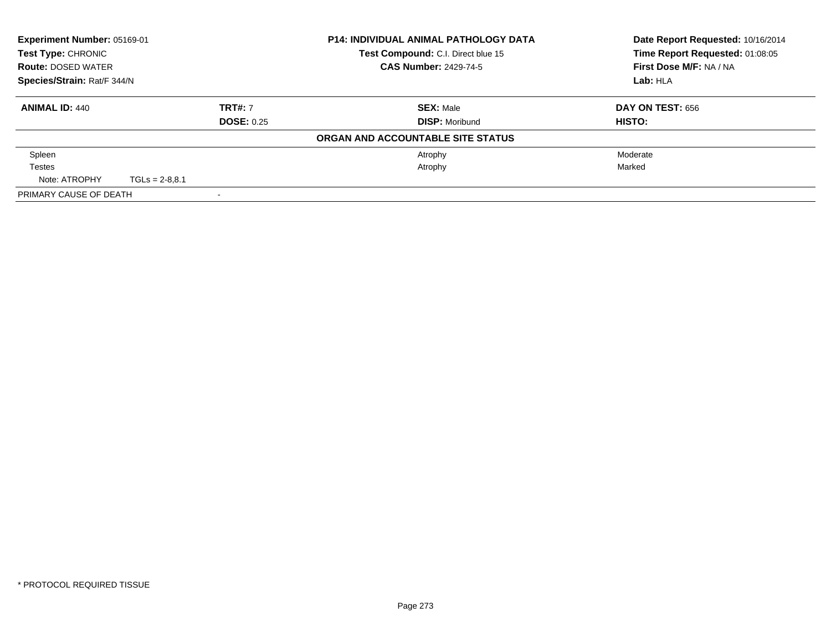| Experiment Number: 05169-01<br><b>Test Type: CHRONIC</b> |                  |                   | <b>P14: INDIVIDUAL ANIMAL PATHOLOGY DATA</b> | Date Report Requested: 10/16/2014<br>Time Report Requested: 01:08:05 |
|----------------------------------------------------------|------------------|-------------------|----------------------------------------------|----------------------------------------------------------------------|
|                                                          |                  |                   | Test Compound: C.I. Direct blue 15           |                                                                      |
| <b>Route: DOSED WATER</b>                                |                  |                   | <b>CAS Number: 2429-74-5</b>                 | First Dose M/F: NA / NA                                              |
| Species/Strain: Rat/F 344/N                              |                  |                   |                                              | Lab: HLA                                                             |
| <b>ANIMAL ID: 440</b>                                    |                  | <b>TRT#: 7</b>    | <b>SEX: Male</b>                             | DAY ON TEST: 656                                                     |
|                                                          |                  | <b>DOSE: 0.25</b> | <b>DISP: Moribund</b>                        | HISTO:                                                               |
|                                                          |                  |                   | ORGAN AND ACCOUNTABLE SITE STATUS            |                                                                      |
| Spleen                                                   |                  |                   | Atrophy                                      | Moderate                                                             |
| <b>Testes</b>                                            |                  |                   | Atrophy                                      | Marked                                                               |
| Note: ATROPHY                                            | $TGLs = 2-8.8.1$ |                   |                                              |                                                                      |
| PRIMARY CAUSE OF DEATH                                   |                  |                   |                                              |                                                                      |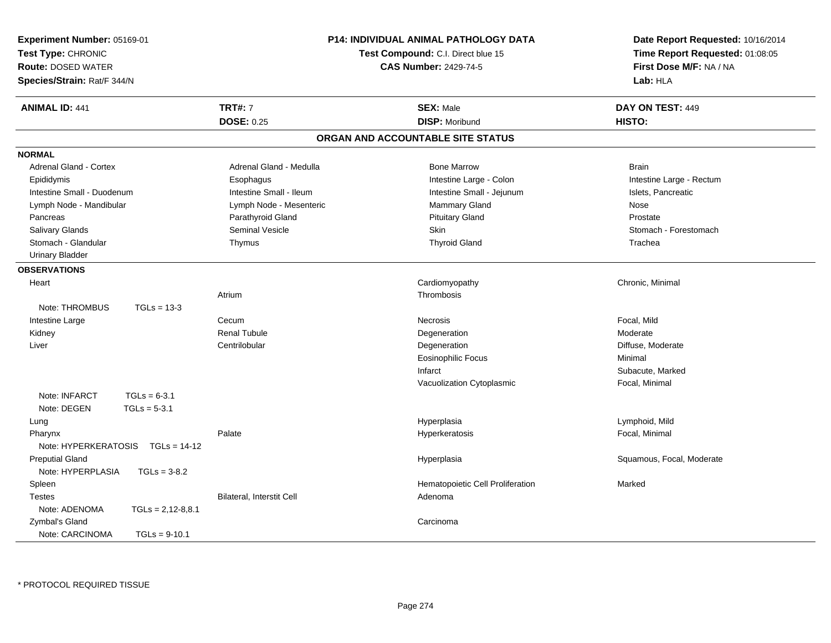| Experiment Number: 05169-01<br>Test Type: CHRONIC<br><b>Route: DOSED WATER</b><br>Species/Strain: Rat/F 344/N | <b>P14: INDIVIDUAL ANIMAL PATHOLOGY DATA</b><br>Test Compound: C.I. Direct blue 15<br><b>CAS Number: 2429-74-5</b> |                                   | Date Report Requested: 10/16/2014<br>Time Report Requested: 01:08:05<br>First Dose M/F: NA / NA<br>Lab: HLA |
|---------------------------------------------------------------------------------------------------------------|--------------------------------------------------------------------------------------------------------------------|-----------------------------------|-------------------------------------------------------------------------------------------------------------|
| <b>ANIMAL ID: 441</b>                                                                                         | <b>TRT#: 7</b>                                                                                                     | <b>SEX: Male</b>                  | DAY ON TEST: 449                                                                                            |
|                                                                                                               | <b>DOSE: 0.25</b>                                                                                                  | <b>DISP: Moribund</b>             | HISTO:                                                                                                      |
|                                                                                                               |                                                                                                                    | ORGAN AND ACCOUNTABLE SITE STATUS |                                                                                                             |
| <b>NORMAL</b>                                                                                                 |                                                                                                                    |                                   |                                                                                                             |
| Adrenal Gland - Cortex                                                                                        | Adrenal Gland - Medulla                                                                                            | <b>Bone Marrow</b>                | <b>Brain</b>                                                                                                |
| Epididymis                                                                                                    | Esophagus                                                                                                          | Intestine Large - Colon           | Intestine Large - Rectum                                                                                    |
| Intestine Small - Duodenum                                                                                    | Intestine Small - Ileum                                                                                            | Intestine Small - Jejunum         | Islets, Pancreatic                                                                                          |
| Lymph Node - Mandibular                                                                                       | Lymph Node - Mesenteric                                                                                            | Mammary Gland                     | Nose                                                                                                        |
| Pancreas                                                                                                      | Parathyroid Gland                                                                                                  | <b>Pituitary Gland</b>            | Prostate                                                                                                    |
| <b>Salivary Glands</b>                                                                                        | <b>Seminal Vesicle</b>                                                                                             | Skin                              | Stomach - Forestomach                                                                                       |
| Stomach - Glandular                                                                                           | Thymus                                                                                                             | <b>Thyroid Gland</b>              | Trachea                                                                                                     |
| <b>Urinary Bladder</b>                                                                                        |                                                                                                                    |                                   |                                                                                                             |
| <b>OBSERVATIONS</b>                                                                                           |                                                                                                                    |                                   |                                                                                                             |
| Heart                                                                                                         |                                                                                                                    | Cardiomyopathy                    | Chronic, Minimal                                                                                            |
|                                                                                                               | Atrium                                                                                                             | Thrombosis                        |                                                                                                             |
| Note: THROMBUS<br>$TGLs = 13-3$                                                                               |                                                                                                                    |                                   |                                                                                                             |
| Intestine Large                                                                                               | Cecum                                                                                                              | <b>Necrosis</b>                   | Focal, Mild                                                                                                 |
| Kidney                                                                                                        | <b>Renal Tubule</b>                                                                                                | Degeneration                      | Moderate                                                                                                    |
| Liver                                                                                                         | Centrilobular                                                                                                      | Degeneration                      | Diffuse, Moderate                                                                                           |
|                                                                                                               |                                                                                                                    | <b>Eosinophilic Focus</b>         | Minimal                                                                                                     |
|                                                                                                               |                                                                                                                    | Infarct                           | Subacute, Marked                                                                                            |
|                                                                                                               |                                                                                                                    | Vacuolization Cytoplasmic         | Focal, Minimal                                                                                              |
| Note: INFARCT<br>$TGLs = 6-3.1$                                                                               |                                                                                                                    |                                   |                                                                                                             |
| Note: DEGEN<br>$TGLs = 5-3.1$                                                                                 |                                                                                                                    |                                   |                                                                                                             |
| Lung                                                                                                          |                                                                                                                    | Hyperplasia                       | Lymphoid, Mild                                                                                              |
| Pharynx                                                                                                       | Palate                                                                                                             | Hyperkeratosis                    | Focal, Minimal                                                                                              |
| Note: HYPERKERATOSIS<br>$TGLs = 14-12$                                                                        |                                                                                                                    |                                   |                                                                                                             |
| <b>Preputial Gland</b>                                                                                        |                                                                                                                    | Hyperplasia                       | Squamous, Focal, Moderate                                                                                   |
| Note: HYPERPLASIA<br>$TGLs = 3-8.2$                                                                           |                                                                                                                    |                                   |                                                                                                             |
| Spleen                                                                                                        |                                                                                                                    | Hematopoietic Cell Proliferation  | Marked                                                                                                      |
| <b>Testes</b>                                                                                                 | Bilateral, Interstit Cell                                                                                          | Adenoma                           |                                                                                                             |
| Note: ADENOMA<br>$TGLs = 2,12-8,8.1$                                                                          |                                                                                                                    |                                   |                                                                                                             |
| Zymbal's Gland                                                                                                |                                                                                                                    | Carcinoma                         |                                                                                                             |
| Note: CARCINOMA<br>$TGLs = 9-10.1$                                                                            |                                                                                                                    |                                   |                                                                                                             |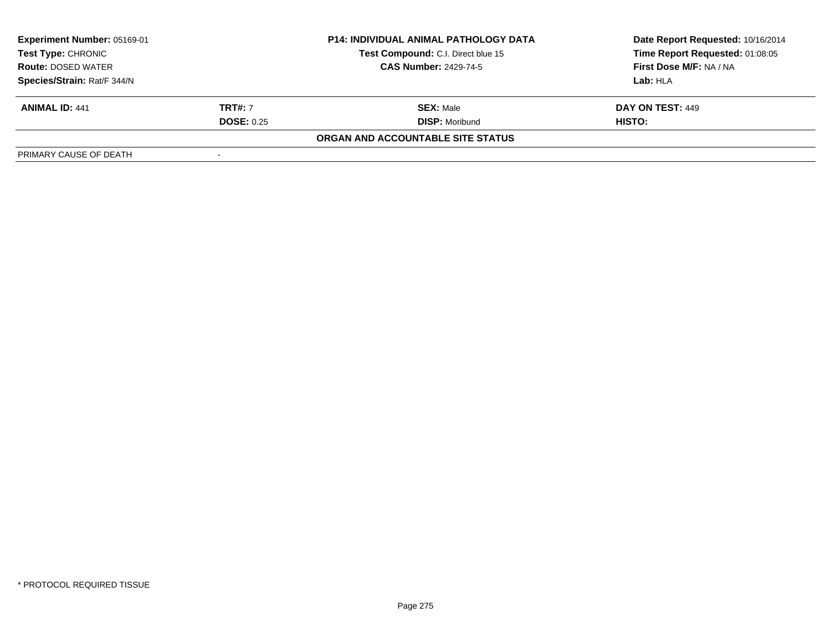| Experiment Number: 05169-01 |                   | <b>P14: INDIVIDUAL ANIMAL PATHOLOGY DATA</b> | Date Report Requested: 10/16/2014 |
|-----------------------------|-------------------|----------------------------------------------|-----------------------------------|
| Test Type: CHRONIC          |                   | Test Compound: C.I. Direct blue 15           | Time Report Requested: 01:08:05   |
| <b>Route: DOSED WATER</b>   |                   | <b>CAS Number: 2429-74-5</b>                 | First Dose M/F: NA / NA           |
| Species/Strain: Rat/F 344/N |                   |                                              | Lab:HLA                           |
| <b>ANIMAL ID: 441</b>       | <b>TRT#: 7</b>    | <b>SEX: Male</b>                             | <b>DAY ON TEST: 449</b>           |
|                             | <b>DOSE: 0.25</b> | <b>DISP:</b> Moribund                        | HISTO:                            |
|                             |                   | ORGAN AND ACCOUNTABLE SITE STATUS            |                                   |
| PRIMARY CAUSE OF DEATH      |                   |                                              |                                   |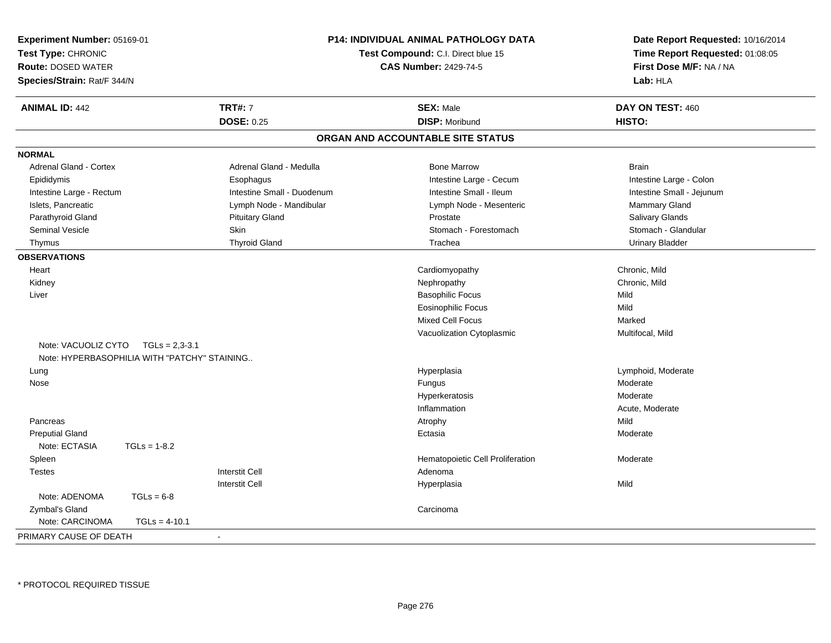| Test Type: CHRONIC<br><b>Route: DOSED WATER</b> | Experiment Number: 05169-01<br><b>P14: INDIVIDUAL ANIMAL PATHOLOGY DATA</b><br>Test Compound: C.I. Direct blue 15<br><b>CAS Number: 2429-74-5</b><br>Species/Strain: Rat/F 344/N |                            |                                   | Date Report Requested: 10/16/2014<br>Time Report Requested: 01:08:05<br>First Dose M/F: NA / NA<br>Lab: HLA |
|-------------------------------------------------|----------------------------------------------------------------------------------------------------------------------------------------------------------------------------------|----------------------------|-----------------------------------|-------------------------------------------------------------------------------------------------------------|
| <b>ANIMAL ID: 442</b>                           |                                                                                                                                                                                  | <b>TRT#: 7</b>             | <b>SEX: Male</b>                  | DAY ON TEST: 460                                                                                            |
|                                                 |                                                                                                                                                                                  | <b>DOSE: 0.25</b>          | <b>DISP: Moribund</b>             | HISTO:                                                                                                      |
|                                                 |                                                                                                                                                                                  |                            | ORGAN AND ACCOUNTABLE SITE STATUS |                                                                                                             |
| <b>NORMAL</b>                                   |                                                                                                                                                                                  |                            |                                   |                                                                                                             |
| Adrenal Gland - Cortex                          |                                                                                                                                                                                  | Adrenal Gland - Medulla    | <b>Bone Marrow</b>                | <b>Brain</b>                                                                                                |
| Epididymis                                      |                                                                                                                                                                                  | Esophagus                  | Intestine Large - Cecum           | Intestine Large - Colon                                                                                     |
| Intestine Large - Rectum                        |                                                                                                                                                                                  | Intestine Small - Duodenum | Intestine Small - Ileum           | Intestine Small - Jejunum                                                                                   |
| Islets, Pancreatic                              |                                                                                                                                                                                  | Lymph Node - Mandibular    | Lymph Node - Mesenteric           | Mammary Gland                                                                                               |
| Parathyroid Gland                               |                                                                                                                                                                                  | <b>Pituitary Gland</b>     | Prostate                          | <b>Salivary Glands</b>                                                                                      |
| Seminal Vesicle                                 |                                                                                                                                                                                  | Skin                       | Stomach - Forestomach             | Stomach - Glandular                                                                                         |
| Thymus                                          |                                                                                                                                                                                  | <b>Thyroid Gland</b>       | Trachea                           | <b>Urinary Bladder</b>                                                                                      |
| <b>OBSERVATIONS</b>                             |                                                                                                                                                                                  |                            |                                   |                                                                                                             |
| Heart                                           |                                                                                                                                                                                  |                            | Cardiomyopathy                    | Chronic, Mild                                                                                               |
| Kidney                                          |                                                                                                                                                                                  |                            | Nephropathy                       | Chronic, Mild                                                                                               |
| Liver                                           |                                                                                                                                                                                  |                            | <b>Basophilic Focus</b>           | Mild                                                                                                        |
|                                                 |                                                                                                                                                                                  |                            | <b>Eosinophilic Focus</b>         | Mild                                                                                                        |
|                                                 |                                                                                                                                                                                  |                            | Mixed Cell Focus                  | Marked                                                                                                      |
|                                                 |                                                                                                                                                                                  |                            | Vacuolization Cytoplasmic         | Multifocal, Mild                                                                                            |
| Note: VACUOLIZ CYTO                             | TGLs = 2,3-3.1                                                                                                                                                                   |                            |                                   |                                                                                                             |
|                                                 | Note: HYPERBASOPHILIA WITH "PATCHY" STAINING                                                                                                                                     |                            |                                   |                                                                                                             |
| Lung                                            |                                                                                                                                                                                  |                            | Hyperplasia                       | Lymphoid, Moderate                                                                                          |
| Nose                                            |                                                                                                                                                                                  |                            | Fungus                            | Moderate                                                                                                    |
|                                                 |                                                                                                                                                                                  |                            | Hyperkeratosis                    | Moderate                                                                                                    |
|                                                 |                                                                                                                                                                                  |                            | Inflammation                      | Acute, Moderate                                                                                             |
| Pancreas                                        |                                                                                                                                                                                  |                            | Atrophy                           | Mild                                                                                                        |
| <b>Preputial Gland</b>                          |                                                                                                                                                                                  |                            | Ectasia                           | Moderate                                                                                                    |
| Note: ECTASIA                                   | $TGLs = 1-8.2$                                                                                                                                                                   |                            |                                   |                                                                                                             |
| Spleen                                          |                                                                                                                                                                                  |                            | Hematopoietic Cell Proliferation  | Moderate                                                                                                    |
| <b>Testes</b>                                   |                                                                                                                                                                                  | <b>Interstit Cell</b>      | Adenoma                           |                                                                                                             |
|                                                 |                                                                                                                                                                                  | <b>Interstit Cell</b>      | Hyperplasia                       | Mild                                                                                                        |
| Note: ADENOMA                                   | $TGLs = 6-8$                                                                                                                                                                     |                            |                                   |                                                                                                             |
| Zymbal's Gland                                  |                                                                                                                                                                                  |                            | Carcinoma                         |                                                                                                             |
| Note: CARCINOMA                                 | $TGLs = 4-10.1$                                                                                                                                                                  |                            |                                   |                                                                                                             |
| PRIMARY CAUSE OF DEATH                          |                                                                                                                                                                                  |                            |                                   |                                                                                                             |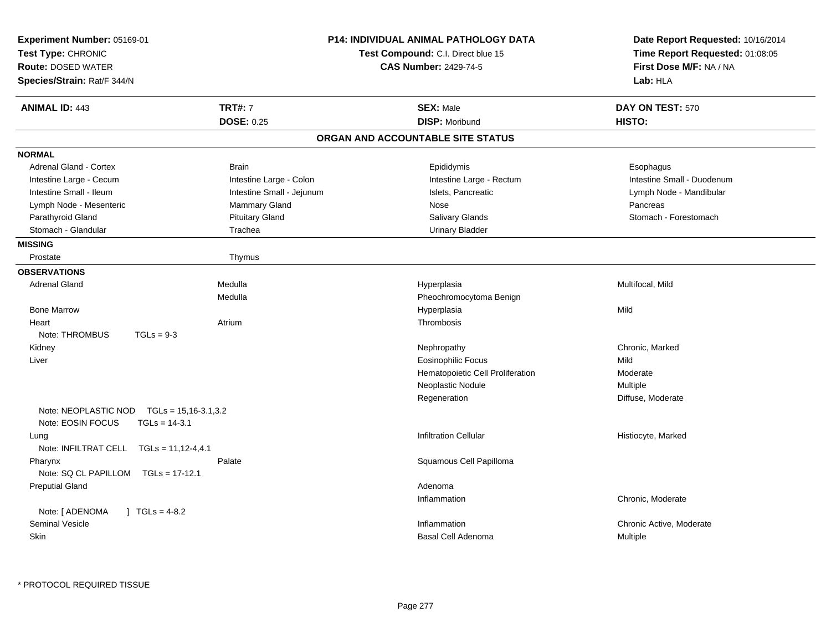| Experiment Number: 05169-01<br>Test Type: CHRONIC<br><b>Route: DOSED WATER</b><br>Species/Strain: Rat/F 344/N | P14: INDIVIDUAL ANIMAL PATHOLOGY DATA<br>Test Compound: C.I. Direct blue 15<br><b>CAS Number: 2429-74-5</b> | Date Report Requested: 10/16/2014<br>Time Report Requested: 01:08:05<br>First Dose M/F: NA / NA<br>Lab: HLA |
|---------------------------------------------------------------------------------------------------------------|-------------------------------------------------------------------------------------------------------------|-------------------------------------------------------------------------------------------------------------|
| <b>TRT#: 7</b><br><b>ANIMAL ID: 443</b>                                                                       | <b>SEX: Male</b>                                                                                            | DAY ON TEST: 570                                                                                            |
| <b>DOSE: 0.25</b>                                                                                             | <b>DISP: Moribund</b>                                                                                       | HISTO:                                                                                                      |
|                                                                                                               | ORGAN AND ACCOUNTABLE SITE STATUS                                                                           |                                                                                                             |
| <b>NORMAL</b>                                                                                                 |                                                                                                             |                                                                                                             |
| Adrenal Gland - Cortex<br><b>Brain</b>                                                                        | Epididymis                                                                                                  | Esophagus                                                                                                   |
| Intestine Large - Colon<br>Intestine Large - Cecum                                                            | Intestine Large - Rectum                                                                                    | Intestine Small - Duodenum                                                                                  |
| Intestine Small - Ileum<br>Intestine Small - Jejunum                                                          | Islets, Pancreatic                                                                                          | Lymph Node - Mandibular                                                                                     |
| Mammary Gland<br>Lymph Node - Mesenteric                                                                      | Nose                                                                                                        | Pancreas                                                                                                    |
| <b>Pituitary Gland</b><br>Parathyroid Gland                                                                   | Salivary Glands                                                                                             | Stomach - Forestomach                                                                                       |
| Stomach - Glandular<br>Trachea                                                                                | <b>Urinary Bladder</b>                                                                                      |                                                                                                             |
| <b>MISSING</b>                                                                                                |                                                                                                             |                                                                                                             |
| Prostate<br>Thymus                                                                                            |                                                                                                             |                                                                                                             |
| <b>OBSERVATIONS</b>                                                                                           |                                                                                                             |                                                                                                             |
| <b>Adrenal Gland</b><br>Medulla                                                                               | Hyperplasia                                                                                                 | Multifocal, Mild                                                                                            |
| Medulla                                                                                                       | Pheochromocytoma Benign                                                                                     |                                                                                                             |
| <b>Bone Marrow</b>                                                                                            | Hyperplasia                                                                                                 | Mild                                                                                                        |
| Atrium<br>Heart                                                                                               | Thrombosis                                                                                                  |                                                                                                             |
| Note: THROMBUS<br>$TGLs = 9-3$                                                                                |                                                                                                             |                                                                                                             |
| Kidney                                                                                                        | Nephropathy                                                                                                 | Chronic, Marked                                                                                             |
| Liver                                                                                                         | <b>Eosinophilic Focus</b>                                                                                   | Mild                                                                                                        |
|                                                                                                               | Hematopoietic Cell Proliferation                                                                            | Moderate                                                                                                    |
|                                                                                                               | Neoplastic Nodule                                                                                           | Multiple                                                                                                    |
|                                                                                                               | Regeneration                                                                                                | Diffuse, Moderate                                                                                           |
| Note: NEOPLASTIC NOD $TGLS = 15,16-3.1,3.2$                                                                   |                                                                                                             |                                                                                                             |
| Note: EOSIN FOCUS<br>$TGLs = 14-3.1$                                                                          |                                                                                                             |                                                                                                             |
| Lung                                                                                                          | <b>Infiltration Cellular</b>                                                                                | Histiocyte, Marked                                                                                          |
| Note: INFILTRAT CELL TGLs = 11,12-4,4.1                                                                       |                                                                                                             |                                                                                                             |
| Palate<br>Pharynx                                                                                             | Squamous Cell Papilloma                                                                                     |                                                                                                             |
| Note: SQ CL PAPILLOM<br>$TGLs = 17-12.1$                                                                      |                                                                                                             |                                                                                                             |
| <b>Preputial Gland</b>                                                                                        | Adenoma                                                                                                     |                                                                                                             |
|                                                                                                               | Inflammation                                                                                                | Chronic, Moderate                                                                                           |
| Note: [ ADENOMA<br>$1 \text{ TGLs} = 4-8.2$                                                                   |                                                                                                             |                                                                                                             |
| <b>Seminal Vesicle</b>                                                                                        | Inflammation                                                                                                | Chronic Active, Moderate                                                                                    |
| Skin                                                                                                          | Basal Cell Adenoma                                                                                          | Multiple                                                                                                    |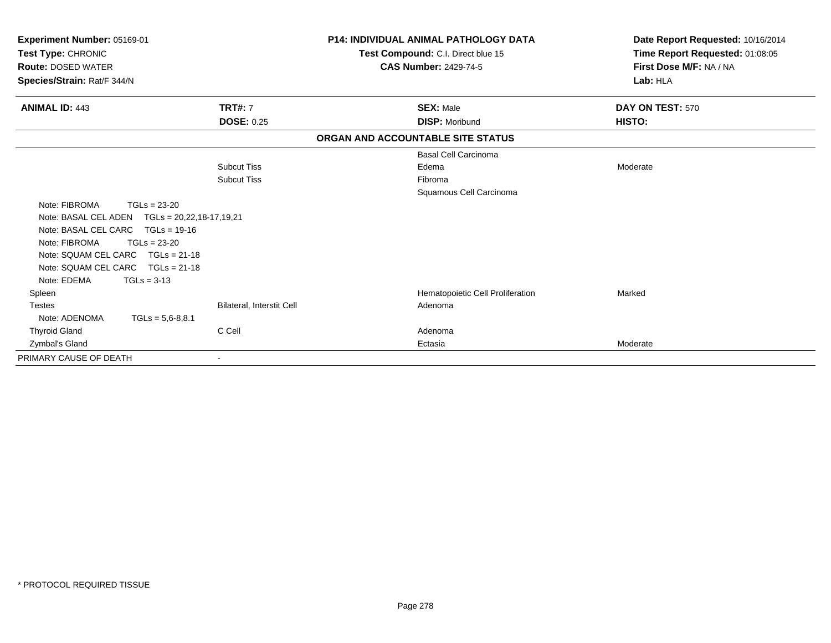| <b>Experiment Number: 05169-01</b><br>Test Type: CHRONIC<br><b>Route: DOSED WATER</b><br>Species/Strain: Rat/F 344/N |                           | P14: INDIVIDUAL ANIMAL PATHOLOGY DATA<br>Test Compound: C.I. Direct blue 15<br><b>CAS Number: 2429-74-5</b> | Date Report Requested: 10/16/2014<br>Time Report Requested: 01:08:05<br>First Dose M/F: NA / NA<br>Lab: HLA |
|----------------------------------------------------------------------------------------------------------------------|---------------------------|-------------------------------------------------------------------------------------------------------------|-------------------------------------------------------------------------------------------------------------|
| <b>ANIMAL ID: 443</b>                                                                                                | <b>TRT#: 7</b>            | <b>SEX: Male</b>                                                                                            | DAY ON TEST: 570                                                                                            |
|                                                                                                                      | <b>DOSE: 0.25</b>         | <b>DISP: Moribund</b>                                                                                       | HISTO:                                                                                                      |
|                                                                                                                      |                           | ORGAN AND ACCOUNTABLE SITE STATUS                                                                           |                                                                                                             |
|                                                                                                                      |                           | <b>Basal Cell Carcinoma</b>                                                                                 |                                                                                                             |
|                                                                                                                      | <b>Subcut Tiss</b>        | Edema                                                                                                       | Moderate                                                                                                    |
|                                                                                                                      | <b>Subcut Tiss</b>        | Fibroma                                                                                                     |                                                                                                             |
|                                                                                                                      |                           | Squamous Cell Carcinoma                                                                                     |                                                                                                             |
| Note: FIBROMA<br>$TGLs = 23-20$                                                                                      |                           |                                                                                                             |                                                                                                             |
| Note: BASAL CEL ADEN    TGLs = 20,22,18-17,19,21                                                                     |                           |                                                                                                             |                                                                                                             |
| Note: BASAL CEL CARC TGLs = 19-16                                                                                    |                           |                                                                                                             |                                                                                                             |
| Note: FIBROMA<br>$TGLs = 23-20$                                                                                      |                           |                                                                                                             |                                                                                                             |
| Note: SQUAM CEL CARC<br>$TGLs = 21-18$                                                                               |                           |                                                                                                             |                                                                                                             |
| Note: SQUAM CEL CARC<br>$TGLs = 21-18$                                                                               |                           |                                                                                                             |                                                                                                             |
| Note: EDEMA<br>$TGLs = 3-13$                                                                                         |                           |                                                                                                             |                                                                                                             |
| Spleen                                                                                                               |                           | Hematopoietic Cell Proliferation                                                                            | Marked                                                                                                      |
| <b>Testes</b>                                                                                                        | Bilateral, Interstit Cell | Adenoma                                                                                                     |                                                                                                             |
| Note: ADENOMA<br>$TGLs = 5,6-8,8.1$                                                                                  |                           |                                                                                                             |                                                                                                             |
| <b>Thyroid Gland</b>                                                                                                 | C Cell                    | Adenoma                                                                                                     |                                                                                                             |
| Zymbal's Gland                                                                                                       |                           | Ectasia                                                                                                     | Moderate                                                                                                    |
| PRIMARY CAUSE OF DEATH                                                                                               |                           |                                                                                                             |                                                                                                             |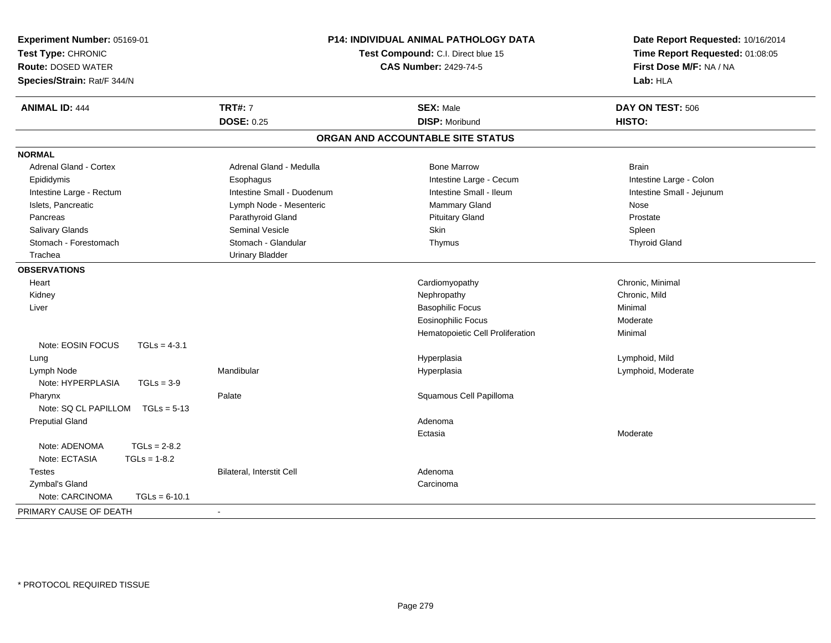|                                                        | <b>SEX: Male</b>                  |                           |
|--------------------------------------------------------|-----------------------------------|---------------------------|
| <b>TRT#: 7</b><br><b>ANIMAL ID: 444</b>                |                                   | DAY ON TEST: 506          |
| <b>DOSE: 0.25</b>                                      | <b>DISP: Moribund</b>             | HISTO:                    |
|                                                        | ORGAN AND ACCOUNTABLE SITE STATUS |                           |
| <b>NORMAL</b>                                          |                                   |                           |
| Adrenal Gland - Cortex<br>Adrenal Gland - Medulla      | <b>Bone Marrow</b>                | <b>Brain</b>              |
| Epididymis<br>Esophagus                                | Intestine Large - Cecum           | Intestine Large - Colon   |
| Intestine Large - Rectum<br>Intestine Small - Duodenum | Intestine Small - Ileum           | Intestine Small - Jejunum |
| Islets, Pancreatic<br>Lymph Node - Mesenteric          | Mammary Gland                     | Nose                      |
| Parathyroid Gland<br>Pancreas                          | <b>Pituitary Gland</b>            | Prostate                  |
| Salivary Glands<br>Seminal Vesicle                     | Skin                              | Spleen                    |
| Stomach - Forestomach<br>Stomach - Glandular           | Thymus                            | <b>Thyroid Gland</b>      |
| <b>Urinary Bladder</b><br>Trachea                      |                                   |                           |
| <b>OBSERVATIONS</b>                                    |                                   |                           |
| Heart                                                  | Cardiomyopathy                    | Chronic, Minimal          |
| Kidney                                                 | Nephropathy                       | Chronic, Mild             |
| Liver                                                  | <b>Basophilic Focus</b>           | Minimal                   |
|                                                        | <b>Eosinophilic Focus</b>         | Moderate                  |
|                                                        | Hematopoietic Cell Proliferation  | Minimal                   |
| Note: EOSIN FOCUS<br>$TGLs = 4-3.1$                    |                                   |                           |
| Lung                                                   | Hyperplasia                       | Lymphoid, Mild            |
| Mandibular<br>Lymph Node                               | Hyperplasia                       | Lymphoid, Moderate        |
| Note: HYPERPLASIA<br>$TGLs = 3-9$                      |                                   |                           |
| Palate<br>Pharynx                                      | Squamous Cell Papilloma           |                           |
| Note: SQ CL PAPILLOM<br>$TGLs = 5-13$                  |                                   |                           |
| <b>Preputial Gland</b>                                 | Adenoma                           |                           |
|                                                        | Ectasia                           | Moderate                  |
| $TGLs = 2-8.2$<br>Note: ADENOMA                        |                                   |                           |
| Note: ECTASIA<br>$TGLs = 1-8.2$                        |                                   |                           |
| Bilateral, Interstit Cell<br><b>Testes</b>             | Adenoma                           |                           |
| Zymbal's Gland                                         | Carcinoma                         |                           |
| Note: CARCINOMA<br>$TGLs = 6-10.1$                     |                                   |                           |
| PRIMARY CAUSE OF DEATH                                 |                                   |                           |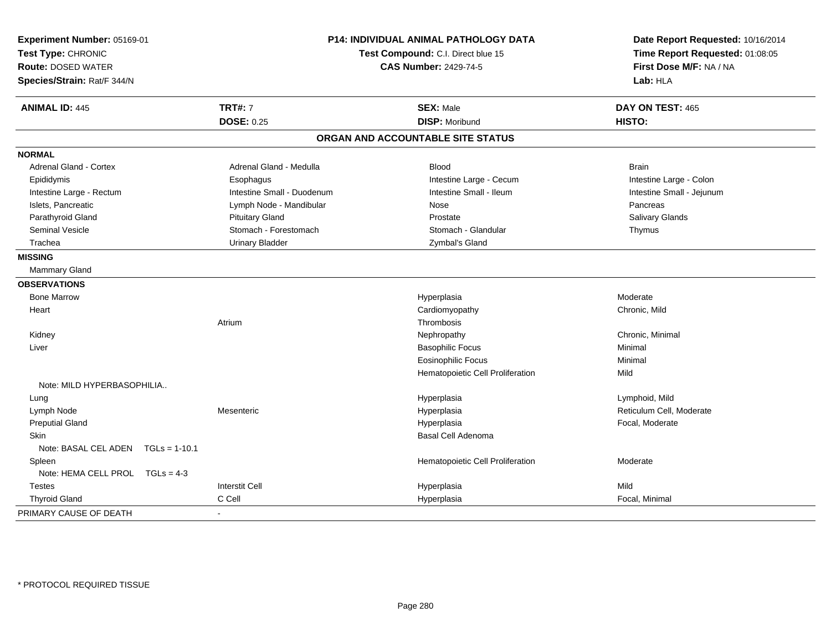| Experiment Number: 05169-01<br>Test Type: CHRONIC<br><b>Route: DOSED WATER</b><br>Species/Strain: Rat/F 344/N | P14: INDIVIDUAL ANIMAL PATHOLOGY DATA<br>Test Compound: C.I. Direct blue 15<br><b>CAS Number: 2429-74-5</b> |                                   | Date Report Requested: 10/16/2014<br>Time Report Requested: 01:08:05<br>First Dose M/F: NA / NA<br>Lab: HLA |
|---------------------------------------------------------------------------------------------------------------|-------------------------------------------------------------------------------------------------------------|-----------------------------------|-------------------------------------------------------------------------------------------------------------|
| <b>ANIMAL ID: 445</b>                                                                                         | <b>TRT#: 7</b>                                                                                              | <b>SEX: Male</b>                  | DAY ON TEST: 465                                                                                            |
|                                                                                                               | <b>DOSE: 0.25</b>                                                                                           | <b>DISP: Moribund</b>             | HISTO:                                                                                                      |
|                                                                                                               |                                                                                                             | ORGAN AND ACCOUNTABLE SITE STATUS |                                                                                                             |
| <b>NORMAL</b>                                                                                                 |                                                                                                             |                                   |                                                                                                             |
| <b>Adrenal Gland - Cortex</b>                                                                                 | Adrenal Gland - Medulla                                                                                     | <b>Blood</b>                      | <b>Brain</b>                                                                                                |
| Epididymis                                                                                                    | Esophagus                                                                                                   | Intestine Large - Cecum           | Intestine Large - Colon                                                                                     |
| Intestine Large - Rectum                                                                                      | Intestine Small - Duodenum                                                                                  | Intestine Small - Ileum           | Intestine Small - Jejunum                                                                                   |
| Islets, Pancreatic                                                                                            | Lymph Node - Mandibular                                                                                     | Nose                              | Pancreas                                                                                                    |
| Parathyroid Gland                                                                                             | <b>Pituitary Gland</b>                                                                                      | Prostate                          | Salivary Glands                                                                                             |
| <b>Seminal Vesicle</b>                                                                                        | Stomach - Forestomach                                                                                       | Stomach - Glandular               | Thymus                                                                                                      |
| Trachea                                                                                                       | <b>Urinary Bladder</b>                                                                                      | Zymbal's Gland                    |                                                                                                             |
| <b>MISSING</b>                                                                                                |                                                                                                             |                                   |                                                                                                             |
| Mammary Gland                                                                                                 |                                                                                                             |                                   |                                                                                                             |
| <b>OBSERVATIONS</b>                                                                                           |                                                                                                             |                                   |                                                                                                             |
| <b>Bone Marrow</b>                                                                                            |                                                                                                             | Hyperplasia                       | Moderate                                                                                                    |
| Heart                                                                                                         |                                                                                                             | Cardiomyopathy                    | Chronic, Mild                                                                                               |
|                                                                                                               | Atrium                                                                                                      | Thrombosis                        |                                                                                                             |
| Kidney                                                                                                        |                                                                                                             | Nephropathy                       | Chronic, Minimal                                                                                            |
| Liver                                                                                                         |                                                                                                             | <b>Basophilic Focus</b>           | Minimal                                                                                                     |
|                                                                                                               |                                                                                                             | <b>Eosinophilic Focus</b>         | Minimal                                                                                                     |
|                                                                                                               |                                                                                                             | Hematopoietic Cell Proliferation  | Mild                                                                                                        |
| Note: MILD HYPERBASOPHILIA                                                                                    |                                                                                                             |                                   |                                                                                                             |
| Lung                                                                                                          |                                                                                                             | Hyperplasia                       | Lymphoid, Mild                                                                                              |
| Lymph Node                                                                                                    | Mesenteric                                                                                                  | Hyperplasia                       | Reticulum Cell, Moderate                                                                                    |
| <b>Preputial Gland</b>                                                                                        |                                                                                                             | Hyperplasia                       | Focal, Moderate                                                                                             |
| <b>Skin</b>                                                                                                   |                                                                                                             | Basal Cell Adenoma                |                                                                                                             |
| Note: BASAL CEL ADEN TGLs = 1-10.1                                                                            |                                                                                                             |                                   |                                                                                                             |
| Spleen                                                                                                        |                                                                                                             | Hematopoietic Cell Proliferation  | Moderate                                                                                                    |
| Note: HEMA CELL PROL TGLs = 4-3                                                                               |                                                                                                             |                                   |                                                                                                             |
| <b>Testes</b>                                                                                                 | <b>Interstit Cell</b>                                                                                       | Hyperplasia                       | Mild                                                                                                        |
| <b>Thyroid Gland</b>                                                                                          | C Cell                                                                                                      | Hyperplasia                       | Focal, Minimal                                                                                              |
| PRIMARY CAUSE OF DEATH                                                                                        | $\blacksquare$                                                                                              |                                   |                                                                                                             |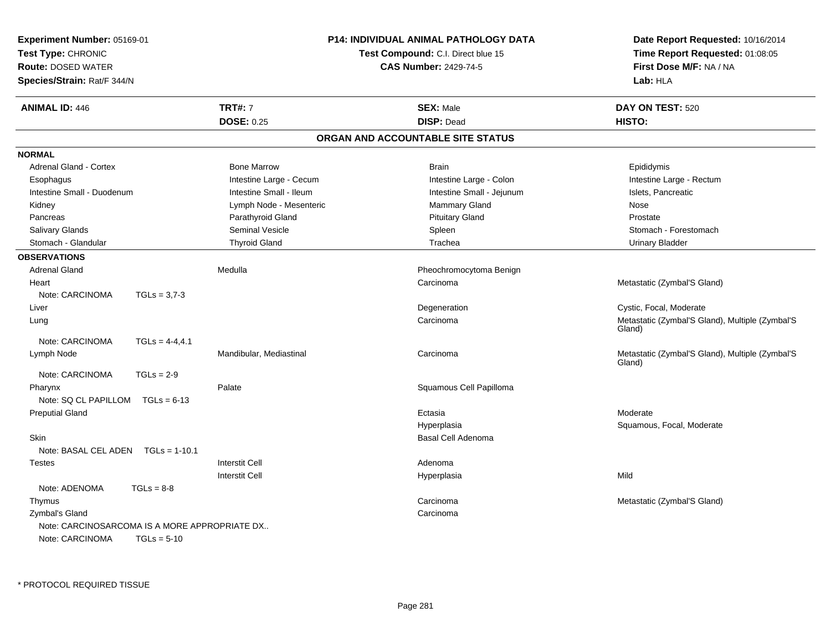| <b>Experiment Number: 05169-01</b><br>Test Type: CHRONIC<br><b>Route: DOSED WATER</b> |                   |                         | <b>P14: INDIVIDUAL ANIMAL PATHOLOGY DATA</b><br><b>Test Compound: C.I. Direct blue 15</b><br><b>CAS Number: 2429-74-5</b> | Date Report Requested: 10/16/2014<br>Time Report Requested: 01:08:05<br>First Dose M/F: NA / NA |
|---------------------------------------------------------------------------------------|-------------------|-------------------------|---------------------------------------------------------------------------------------------------------------------------|-------------------------------------------------------------------------------------------------|
| Species/Strain: Rat/F 344/N                                                           |                   |                         |                                                                                                                           | Lab: HLA                                                                                        |
| <b>ANIMAL ID: 446</b>                                                                 |                   | <b>TRT#: 7</b>          | <b>SEX: Male</b>                                                                                                          | DAY ON TEST: 520                                                                                |
|                                                                                       |                   | <b>DOSE: 0.25</b>       | <b>DISP: Dead</b>                                                                                                         | HISTO:                                                                                          |
|                                                                                       |                   |                         | ORGAN AND ACCOUNTABLE SITE STATUS                                                                                         |                                                                                                 |
| <b>NORMAL</b>                                                                         |                   |                         |                                                                                                                           |                                                                                                 |
| <b>Adrenal Gland - Cortex</b>                                                         |                   | <b>Bone Marrow</b>      | <b>Brain</b>                                                                                                              | Epididymis                                                                                      |
| Esophagus                                                                             |                   | Intestine Large - Cecum | Intestine Large - Colon                                                                                                   | Intestine Large - Rectum                                                                        |
| Intestine Small - Duodenum                                                            |                   | Intestine Small - Ileum | Intestine Small - Jejunum                                                                                                 | Islets, Pancreatic                                                                              |
| Kidney                                                                                |                   | Lymph Node - Mesenteric | Mammary Gland                                                                                                             | Nose                                                                                            |
| Pancreas                                                                              |                   | Parathyroid Gland       | <b>Pituitary Gland</b>                                                                                                    | Prostate                                                                                        |
| Salivary Glands                                                                       |                   | <b>Seminal Vesicle</b>  | Spleen                                                                                                                    | Stomach - Forestomach                                                                           |
| Stomach - Glandular                                                                   |                   | <b>Thyroid Gland</b>    | Trachea                                                                                                                   | <b>Urinary Bladder</b>                                                                          |
| <b>OBSERVATIONS</b>                                                                   |                   |                         |                                                                                                                           |                                                                                                 |
| Adrenal Gland                                                                         |                   | Medulla                 | Pheochromocytoma Benign                                                                                                   |                                                                                                 |
| Heart                                                                                 |                   |                         | Carcinoma                                                                                                                 | Metastatic (Zymbal'S Gland)                                                                     |
| Note: CARCINOMA                                                                       | $TGLs = 3.7-3$    |                         |                                                                                                                           |                                                                                                 |
| Liver                                                                                 |                   |                         | Degeneration                                                                                                              | Cystic, Focal, Moderate                                                                         |
| Lung                                                                                  |                   |                         | Carcinoma                                                                                                                 | Metastatic (Zymbal'S Gland), Multiple (Zymbal'S<br>Gland)                                       |
| Note: CARCINOMA                                                                       | $TGLS = 4-4, 4.1$ |                         |                                                                                                                           |                                                                                                 |
| Lymph Node                                                                            |                   | Mandibular, Mediastinal | Carcinoma                                                                                                                 | Metastatic (Zymbal'S Gland), Multiple (Zymbal'S<br>Gland)                                       |
| Note: CARCINOMA                                                                       | $TGLs = 2-9$      |                         |                                                                                                                           |                                                                                                 |
| Pharynx                                                                               |                   | Palate                  | Squamous Cell Papilloma                                                                                                   |                                                                                                 |
| Note: SQ CL PAPILLOM                                                                  | $TGLs = 6-13$     |                         |                                                                                                                           |                                                                                                 |
| <b>Preputial Gland</b>                                                                |                   |                         | Ectasia                                                                                                                   | Moderate                                                                                        |
|                                                                                       |                   |                         | Hyperplasia                                                                                                               | Squamous, Focal, Moderate                                                                       |
| Skin                                                                                  |                   |                         | Basal Cell Adenoma                                                                                                        |                                                                                                 |
| Note: BASAL CEL ADEN                                                                  | $TGLs = 1-10.1$   |                         |                                                                                                                           |                                                                                                 |
| <b>Testes</b>                                                                         |                   | <b>Interstit Cell</b>   | Adenoma                                                                                                                   |                                                                                                 |
|                                                                                       |                   | <b>Interstit Cell</b>   | Hyperplasia                                                                                                               | Mild                                                                                            |
| Note: ADENOMA                                                                         | $TGLs = 8-8$      |                         |                                                                                                                           |                                                                                                 |
| Thymus                                                                                |                   |                         | Carcinoma                                                                                                                 | Metastatic (Zymbal'S Gland)                                                                     |
| Zymbal's Gland                                                                        |                   |                         | Carcinoma                                                                                                                 |                                                                                                 |
| Note: CARCINOSARCOMA IS A MORE APPROPRIATE DX                                         |                   |                         |                                                                                                                           |                                                                                                 |
| Note: CARCINOMA                                                                       | $TGLs = 5-10$     |                         |                                                                                                                           |                                                                                                 |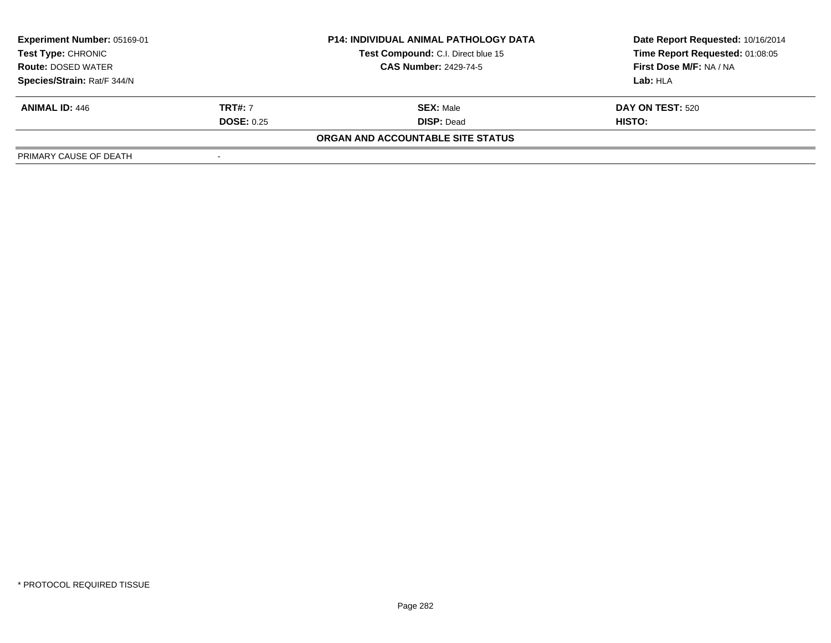| <b>Experiment Number: 05169-01</b><br>Test Type: CHRONIC |                   | <b>P14: INDIVIDUAL ANIMAL PATHOLOGY DATA</b> | Date Report Requested: 10/16/2014 |  |
|----------------------------------------------------------|-------------------|----------------------------------------------|-----------------------------------|--|
|                                                          |                   | Test Compound: C.I. Direct blue 15           | Time Report Requested: 01:08:05   |  |
| <b>Route: DOSED WATER</b>                                |                   | <b>CAS Number: 2429-74-5</b>                 | First Dose M/F: NA / NA           |  |
| Species/Strain: Rat/F 344/N                              |                   |                                              | Lab: HLA                          |  |
| <b>ANIMAL ID: 446</b>                                    | <b>TRT#: 7</b>    | <b>SEX: Male</b>                             | DAY ON TEST: 520                  |  |
|                                                          | <b>DOSE: 0.25</b> | <b>DISP: Dead</b>                            | HISTO:                            |  |
|                                                          |                   | ORGAN AND ACCOUNTABLE SITE STATUS            |                                   |  |
| PRIMARY CAUSE OF DEATH                                   |                   |                                              |                                   |  |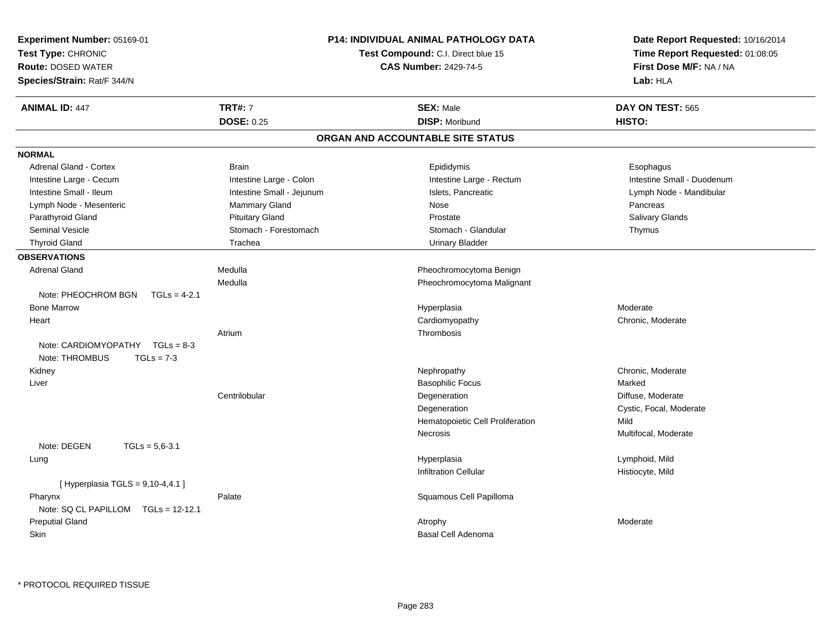| Experiment Number: 05169-01<br>Test Type: CHRONIC<br><b>Route: DOSED WATER</b><br>Species/Strain: Rat/F 344/N | <b>P14: INDIVIDUAL ANIMAL PATHOLOGY DATA</b><br>Test Compound: C.I. Direct blue 15<br><b>CAS Number: 2429-74-5</b> |                                           | Date Report Requested: 10/16/2014<br>Time Report Requested: 01:08:05<br>First Dose M/F: NA / NA<br>Lab: HLA |
|---------------------------------------------------------------------------------------------------------------|--------------------------------------------------------------------------------------------------------------------|-------------------------------------------|-------------------------------------------------------------------------------------------------------------|
| <b>ANIMAL ID: 447</b>                                                                                         | <b>TRT#: 7</b><br><b>DOSE: 0.25</b>                                                                                | <b>SEX: Male</b><br><b>DISP: Moribund</b> | DAY ON TEST: 565<br>HISTO:                                                                                  |
|                                                                                                               |                                                                                                                    | ORGAN AND ACCOUNTABLE SITE STATUS         |                                                                                                             |
| <b>NORMAL</b>                                                                                                 |                                                                                                                    |                                           |                                                                                                             |
| Adrenal Gland - Cortex                                                                                        | <b>Brain</b>                                                                                                       | Epididymis                                | Esophagus                                                                                                   |
| Intestine Large - Cecum                                                                                       | Intestine Large - Colon                                                                                            | Intestine Large - Rectum                  | Intestine Small - Duodenum                                                                                  |
| Intestine Small - Ileum                                                                                       | Intestine Small - Jejunum                                                                                          | Islets, Pancreatic                        | Lymph Node - Mandibular                                                                                     |
| Lymph Node - Mesenteric                                                                                       | Mammary Gland                                                                                                      | Nose                                      | Pancreas                                                                                                    |
| Parathyroid Gland                                                                                             | <b>Pituitary Gland</b>                                                                                             | Prostate                                  | Salivary Glands                                                                                             |
| <b>Seminal Vesicle</b>                                                                                        | Stomach - Forestomach                                                                                              | Stomach - Glandular                       | Thymus                                                                                                      |
| <b>Thyroid Gland</b>                                                                                          | Trachea                                                                                                            | <b>Urinary Bladder</b>                    |                                                                                                             |
| <b>OBSERVATIONS</b>                                                                                           |                                                                                                                    |                                           |                                                                                                             |
| <b>Adrenal Gland</b>                                                                                          | Medulla                                                                                                            | Pheochromocytoma Benign                   |                                                                                                             |
|                                                                                                               | Medulla                                                                                                            | Pheochromocytoma Malignant                |                                                                                                             |
| Note: PHEOCHROM BGN<br>$TGLs = 4-2.1$                                                                         |                                                                                                                    |                                           |                                                                                                             |
| <b>Bone Marrow</b>                                                                                            |                                                                                                                    | Hyperplasia                               | Moderate                                                                                                    |
| Heart                                                                                                         |                                                                                                                    | Cardiomyopathy                            | Chronic, Moderate                                                                                           |
|                                                                                                               | Atrium                                                                                                             | Thrombosis                                |                                                                                                             |
| Note: CARDIOMYOPATHY TGLs = 8-3                                                                               |                                                                                                                    |                                           |                                                                                                             |
| Note: THROMBUS<br>$TGLs = 7-3$                                                                                |                                                                                                                    |                                           |                                                                                                             |
| Kidney                                                                                                        |                                                                                                                    | Nephropathy                               | Chronic, Moderate                                                                                           |
| Liver                                                                                                         |                                                                                                                    | <b>Basophilic Focus</b>                   | Marked                                                                                                      |
|                                                                                                               | Centrilobular                                                                                                      | Degeneration                              | Diffuse, Moderate                                                                                           |
|                                                                                                               |                                                                                                                    | Degeneration                              | Cystic, Focal, Moderate                                                                                     |
|                                                                                                               |                                                                                                                    | Hematopoietic Cell Proliferation          | Mild                                                                                                        |
|                                                                                                               |                                                                                                                    | Necrosis                                  | Multifocal, Moderate                                                                                        |
| Note: DEGEN<br>$TGLs = 5.6 - 3.1$                                                                             |                                                                                                                    |                                           |                                                                                                             |
| Lung                                                                                                          |                                                                                                                    | Hyperplasia                               | Lymphoid, Mild                                                                                              |
|                                                                                                               |                                                                                                                    | Infiltration Cellular                     | Histiocyte, Mild                                                                                            |
| [ Hyperplasia TGLS = 9,10-4,4.1 ]                                                                             |                                                                                                                    |                                           |                                                                                                             |
| Pharynx                                                                                                       | Palate                                                                                                             | Squamous Cell Papilloma                   |                                                                                                             |
| Note: SQ CL PAPILLOM TGLs = 12-12.1                                                                           |                                                                                                                    |                                           |                                                                                                             |
| <b>Preputial Gland</b>                                                                                        |                                                                                                                    | Atrophy                                   | Moderate                                                                                                    |
| Skin                                                                                                          |                                                                                                                    | Basal Cell Adenoma                        |                                                                                                             |
|                                                                                                               |                                                                                                                    |                                           |                                                                                                             |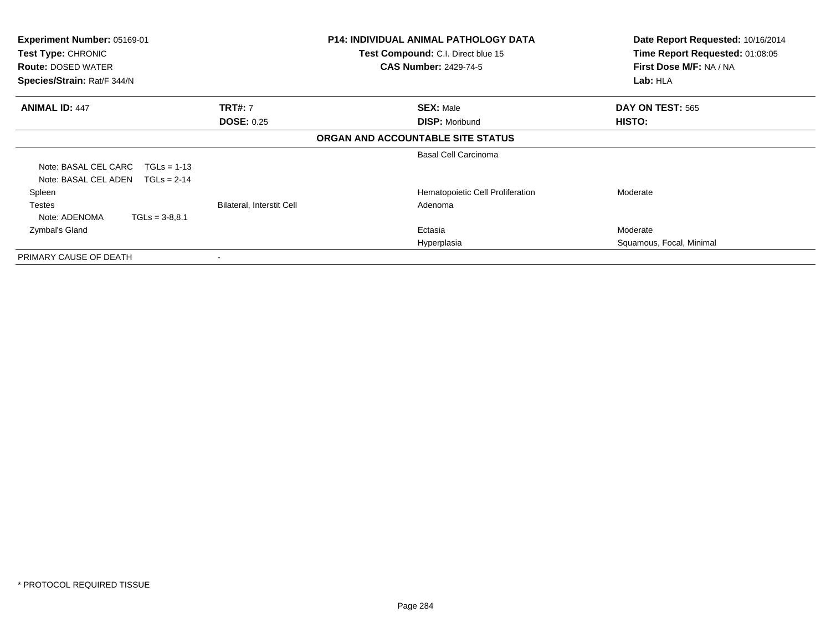| <b>Experiment Number: 05169-01</b><br><b>Test Type: CHRONIC</b><br><b>Route: DOSED WATER</b> | <b>P14: INDIVIDUAL ANIMAL PATHOLOGY DATA</b><br>Test Compound: C.I. Direct blue 15<br><b>CAS Number: 2429-74-5</b> |                                   | Date Report Requested: 10/16/2014<br>Time Report Requested: 01:08:05<br>First Dose M/F: NA / NA |  |
|----------------------------------------------------------------------------------------------|--------------------------------------------------------------------------------------------------------------------|-----------------------------------|-------------------------------------------------------------------------------------------------|--|
| Species/Strain: Rat/F 344/N                                                                  |                                                                                                                    |                                   | Lab: HLA                                                                                        |  |
| <b>ANIMAL ID: 447</b>                                                                        | <b>TRT#: 7</b>                                                                                                     | <b>SEX: Male</b>                  | DAY ON TEST: 565                                                                                |  |
|                                                                                              | <b>DOSE: 0.25</b>                                                                                                  | <b>DISP: Moribund</b>             | <b>HISTO:</b>                                                                                   |  |
|                                                                                              |                                                                                                                    | ORGAN AND ACCOUNTABLE SITE STATUS |                                                                                                 |  |
|                                                                                              |                                                                                                                    | <b>Basal Cell Carcinoma</b>       |                                                                                                 |  |
| Note: BASAL CEL CARC<br>$TGLs = 1-13$                                                        |                                                                                                                    |                                   |                                                                                                 |  |
| Note: BASAL CEL ADEN<br>$TGLs = 2-14$                                                        |                                                                                                                    |                                   |                                                                                                 |  |
| Spleen                                                                                       |                                                                                                                    | Hematopoietic Cell Proliferation  | Moderate                                                                                        |  |
| <b>Testes</b>                                                                                | <b>Bilateral, Interstit Cell</b>                                                                                   | Adenoma                           |                                                                                                 |  |
| Note: ADENOMA<br>$TGLs = 3-8.8.1$                                                            |                                                                                                                    |                                   |                                                                                                 |  |
| Zymbal's Gland                                                                               |                                                                                                                    | Ectasia                           | Moderate                                                                                        |  |
|                                                                                              |                                                                                                                    | Hyperplasia                       | Squamous, Focal, Minimal                                                                        |  |
| PRIMARY CAUSE OF DEATH                                                                       |                                                                                                                    |                                   |                                                                                                 |  |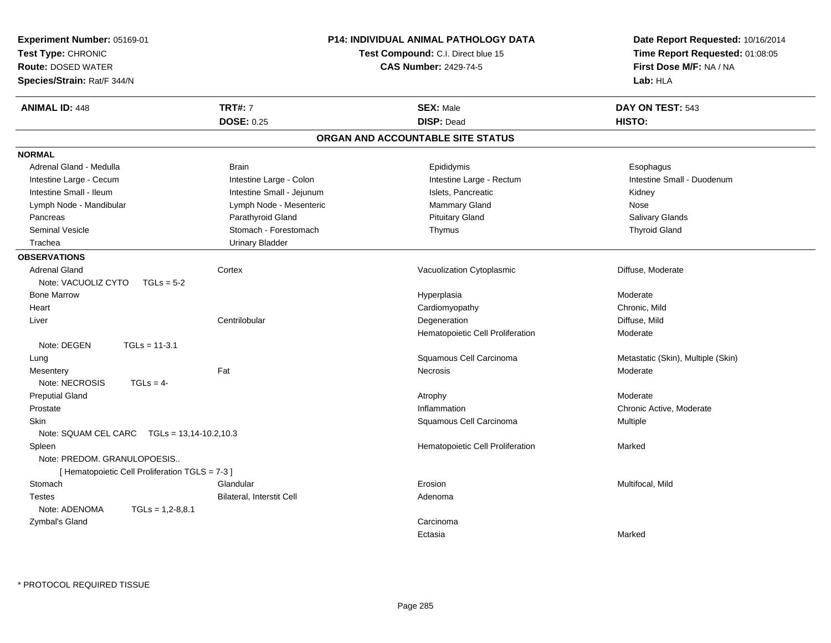| <b>ANIMAL ID: 448</b><br><b>TRT#: 7</b><br><b>SEX: Male</b><br>DAY ON TEST: 543<br><b>DOSE: 0.25</b><br><b>DISP: Dead</b><br>HISTO:<br>ORGAN AND ACCOUNTABLE SITE STATUS<br><b>NORMAL</b><br>Adrenal Gland - Medulla<br><b>Brain</b><br>Epididymis<br>Esophagus<br>Intestine Large - Cecum<br>Intestine Large - Colon<br>Intestine Large - Rectum<br>Intestine Small - Duodenum<br>Intestine Small - Ileum<br>Intestine Small - Jejunum<br>Islets, Pancreatic<br>Kidney<br>Mammary Gland<br>Lymph Node - Mandibular<br>Lymph Node - Mesenteric<br>Nose<br>Salivary Glands<br>Parathyroid Gland<br><b>Pituitary Gland</b><br>Pancreas<br>Seminal Vesicle<br>Stomach - Forestomach<br>Thymus<br><b>Thyroid Gland</b><br><b>Urinary Bladder</b><br>Trachea<br><b>OBSERVATIONS</b><br><b>Adrenal Gland</b><br>Vacuolization Cytoplasmic<br>Diffuse, Moderate<br>Cortex<br>Note: VACUOLIZ CYTO<br>$TGLs = 5-2$<br><b>Bone Marrow</b><br>Moderate<br>Hyperplasia<br>Heart<br>Cardiomyopathy<br>Chronic, Mild<br>Centrilobular<br>Degeneration<br>Diffuse, Mild<br>Liver<br>Moderate<br>Hematopoietic Cell Proliferation<br>Note: DEGEN<br>$TGLs = 11-3.1$<br>Squamous Cell Carcinoma<br>Metastatic (Skin), Multiple (Skin)<br>Lung<br>Fat<br>Necrosis<br>Moderate<br>Mesentery<br>Note: NECROSIS<br>$TGLs = 4-$<br><b>Preputial Gland</b><br>Moderate<br>Atrophy<br>Prostate<br>Inflammation<br>Chronic Active, Moderate<br><b>Skin</b><br>Squamous Cell Carcinoma<br>Multiple<br>Note: SQUAM CEL CARC    TGLs = 13,14-10.2,10.3<br>Spleen<br>Hematopoietic Cell Proliferation<br>Marked<br>Note: PREDOM. GRANULOPOESIS<br>[Hematopoietic Cell Proliferation TGLS = 7-3]<br>Glandular<br>Stomach<br>Erosion<br>Multifocal, Mild<br>Bilateral, Interstit Cell<br><b>Testes</b><br>Adenoma<br>Note: ADENOMA<br>$TGLs = 1,2-8,8.1$<br>Zymbal's Gland<br>Carcinoma<br>Marked<br>Ectasia | Experiment Number: 05169-01<br>Test Type: CHRONIC<br><b>Route: DOSED WATER</b><br>Species/Strain: Rat/F 344/N | P14: INDIVIDUAL ANIMAL PATHOLOGY DATA<br>Test Compound: C.I. Direct blue 15<br><b>CAS Number: 2429-74-5</b> | Date Report Requested: 10/16/2014<br>Time Report Requested: 01:08:05<br>First Dose M/F: NA / NA<br>Lab: HLA |
|-------------------------------------------------------------------------------------------------------------------------------------------------------------------------------------------------------------------------------------------------------------------------------------------------------------------------------------------------------------------------------------------------------------------------------------------------------------------------------------------------------------------------------------------------------------------------------------------------------------------------------------------------------------------------------------------------------------------------------------------------------------------------------------------------------------------------------------------------------------------------------------------------------------------------------------------------------------------------------------------------------------------------------------------------------------------------------------------------------------------------------------------------------------------------------------------------------------------------------------------------------------------------------------------------------------------------------------------------------------------------------------------------------------------------------------------------------------------------------------------------------------------------------------------------------------------------------------------------------------------------------------------------------------------------------------------------------------------------------------------------------------------------------------------------------------------------------------------------------------------------------|---------------------------------------------------------------------------------------------------------------|-------------------------------------------------------------------------------------------------------------|-------------------------------------------------------------------------------------------------------------|
|                                                                                                                                                                                                                                                                                                                                                                                                                                                                                                                                                                                                                                                                                                                                                                                                                                                                                                                                                                                                                                                                                                                                                                                                                                                                                                                                                                                                                                                                                                                                                                                                                                                                                                                                                                                                                                                                               |                                                                                                               |                                                                                                             |                                                                                                             |
|                                                                                                                                                                                                                                                                                                                                                                                                                                                                                                                                                                                                                                                                                                                                                                                                                                                                                                                                                                                                                                                                                                                                                                                                                                                                                                                                                                                                                                                                                                                                                                                                                                                                                                                                                                                                                                                                               |                                                                                                               |                                                                                                             |                                                                                                             |
|                                                                                                                                                                                                                                                                                                                                                                                                                                                                                                                                                                                                                                                                                                                                                                                                                                                                                                                                                                                                                                                                                                                                                                                                                                                                                                                                                                                                                                                                                                                                                                                                                                                                                                                                                                                                                                                                               |                                                                                                               |                                                                                                             |                                                                                                             |
|                                                                                                                                                                                                                                                                                                                                                                                                                                                                                                                                                                                                                                                                                                                                                                                                                                                                                                                                                                                                                                                                                                                                                                                                                                                                                                                                                                                                                                                                                                                                                                                                                                                                                                                                                                                                                                                                               |                                                                                                               |                                                                                                             |                                                                                                             |
|                                                                                                                                                                                                                                                                                                                                                                                                                                                                                                                                                                                                                                                                                                                                                                                                                                                                                                                                                                                                                                                                                                                                                                                                                                                                                                                                                                                                                                                                                                                                                                                                                                                                                                                                                                                                                                                                               |                                                                                                               |                                                                                                             |                                                                                                             |
|                                                                                                                                                                                                                                                                                                                                                                                                                                                                                                                                                                                                                                                                                                                                                                                                                                                                                                                                                                                                                                                                                                                                                                                                                                                                                                                                                                                                                                                                                                                                                                                                                                                                                                                                                                                                                                                                               |                                                                                                               |                                                                                                             |                                                                                                             |
|                                                                                                                                                                                                                                                                                                                                                                                                                                                                                                                                                                                                                                                                                                                                                                                                                                                                                                                                                                                                                                                                                                                                                                                                                                                                                                                                                                                                                                                                                                                                                                                                                                                                                                                                                                                                                                                                               |                                                                                                               |                                                                                                             |                                                                                                             |
|                                                                                                                                                                                                                                                                                                                                                                                                                                                                                                                                                                                                                                                                                                                                                                                                                                                                                                                                                                                                                                                                                                                                                                                                                                                                                                                                                                                                                                                                                                                                                                                                                                                                                                                                                                                                                                                                               |                                                                                                               |                                                                                                             |                                                                                                             |
|                                                                                                                                                                                                                                                                                                                                                                                                                                                                                                                                                                                                                                                                                                                                                                                                                                                                                                                                                                                                                                                                                                                                                                                                                                                                                                                                                                                                                                                                                                                                                                                                                                                                                                                                                                                                                                                                               |                                                                                                               |                                                                                                             |                                                                                                             |
|                                                                                                                                                                                                                                                                                                                                                                                                                                                                                                                                                                                                                                                                                                                                                                                                                                                                                                                                                                                                                                                                                                                                                                                                                                                                                                                                                                                                                                                                                                                                                                                                                                                                                                                                                                                                                                                                               |                                                                                                               |                                                                                                             |                                                                                                             |
|                                                                                                                                                                                                                                                                                                                                                                                                                                                                                                                                                                                                                                                                                                                                                                                                                                                                                                                                                                                                                                                                                                                                                                                                                                                                                                                                                                                                                                                                                                                                                                                                                                                                                                                                                                                                                                                                               |                                                                                                               |                                                                                                             |                                                                                                             |
|                                                                                                                                                                                                                                                                                                                                                                                                                                                                                                                                                                                                                                                                                                                                                                                                                                                                                                                                                                                                                                                                                                                                                                                                                                                                                                                                                                                                                                                                                                                                                                                                                                                                                                                                                                                                                                                                               |                                                                                                               |                                                                                                             |                                                                                                             |
|                                                                                                                                                                                                                                                                                                                                                                                                                                                                                                                                                                                                                                                                                                                                                                                                                                                                                                                                                                                                                                                                                                                                                                                                                                                                                                                                                                                                                                                                                                                                                                                                                                                                                                                                                                                                                                                                               |                                                                                                               |                                                                                                             |                                                                                                             |
|                                                                                                                                                                                                                                                                                                                                                                                                                                                                                                                                                                                                                                                                                                                                                                                                                                                                                                                                                                                                                                                                                                                                                                                                                                                                                                                                                                                                                                                                                                                                                                                                                                                                                                                                                                                                                                                                               |                                                                                                               |                                                                                                             |                                                                                                             |
|                                                                                                                                                                                                                                                                                                                                                                                                                                                                                                                                                                                                                                                                                                                                                                                                                                                                                                                                                                                                                                                                                                                                                                                                                                                                                                                                                                                                                                                                                                                                                                                                                                                                                                                                                                                                                                                                               |                                                                                                               |                                                                                                             |                                                                                                             |
|                                                                                                                                                                                                                                                                                                                                                                                                                                                                                                                                                                                                                                                                                                                                                                                                                                                                                                                                                                                                                                                                                                                                                                                                                                                                                                                                                                                                                                                                                                                                                                                                                                                                                                                                                                                                                                                                               |                                                                                                               |                                                                                                             |                                                                                                             |
|                                                                                                                                                                                                                                                                                                                                                                                                                                                                                                                                                                                                                                                                                                                                                                                                                                                                                                                                                                                                                                                                                                                                                                                                                                                                                                                                                                                                                                                                                                                                                                                                                                                                                                                                                                                                                                                                               |                                                                                                               |                                                                                                             |                                                                                                             |
|                                                                                                                                                                                                                                                                                                                                                                                                                                                                                                                                                                                                                                                                                                                                                                                                                                                                                                                                                                                                                                                                                                                                                                                                                                                                                                                                                                                                                                                                                                                                                                                                                                                                                                                                                                                                                                                                               |                                                                                                               |                                                                                                             |                                                                                                             |
|                                                                                                                                                                                                                                                                                                                                                                                                                                                                                                                                                                                                                                                                                                                                                                                                                                                                                                                                                                                                                                                                                                                                                                                                                                                                                                                                                                                                                                                                                                                                                                                                                                                                                                                                                                                                                                                                               |                                                                                                               |                                                                                                             |                                                                                                             |
|                                                                                                                                                                                                                                                                                                                                                                                                                                                                                                                                                                                                                                                                                                                                                                                                                                                                                                                                                                                                                                                                                                                                                                                                                                                                                                                                                                                                                                                                                                                                                                                                                                                                                                                                                                                                                                                                               |                                                                                                               |                                                                                                             |                                                                                                             |
|                                                                                                                                                                                                                                                                                                                                                                                                                                                                                                                                                                                                                                                                                                                                                                                                                                                                                                                                                                                                                                                                                                                                                                                                                                                                                                                                                                                                                                                                                                                                                                                                                                                                                                                                                                                                                                                                               |                                                                                                               |                                                                                                             |                                                                                                             |
|                                                                                                                                                                                                                                                                                                                                                                                                                                                                                                                                                                                                                                                                                                                                                                                                                                                                                                                                                                                                                                                                                                                                                                                                                                                                                                                                                                                                                                                                                                                                                                                                                                                                                                                                                                                                                                                                               |                                                                                                               |                                                                                                             |                                                                                                             |
|                                                                                                                                                                                                                                                                                                                                                                                                                                                                                                                                                                                                                                                                                                                                                                                                                                                                                                                                                                                                                                                                                                                                                                                                                                                                                                                                                                                                                                                                                                                                                                                                                                                                                                                                                                                                                                                                               |                                                                                                               |                                                                                                             |                                                                                                             |
|                                                                                                                                                                                                                                                                                                                                                                                                                                                                                                                                                                                                                                                                                                                                                                                                                                                                                                                                                                                                                                                                                                                                                                                                                                                                                                                                                                                                                                                                                                                                                                                                                                                                                                                                                                                                                                                                               |                                                                                                               |                                                                                                             |                                                                                                             |
|                                                                                                                                                                                                                                                                                                                                                                                                                                                                                                                                                                                                                                                                                                                                                                                                                                                                                                                                                                                                                                                                                                                                                                                                                                                                                                                                                                                                                                                                                                                                                                                                                                                                                                                                                                                                                                                                               |                                                                                                               |                                                                                                             |                                                                                                             |
|                                                                                                                                                                                                                                                                                                                                                                                                                                                                                                                                                                                                                                                                                                                                                                                                                                                                                                                                                                                                                                                                                                                                                                                                                                                                                                                                                                                                                                                                                                                                                                                                                                                                                                                                                                                                                                                                               |                                                                                                               |                                                                                                             |                                                                                                             |
|                                                                                                                                                                                                                                                                                                                                                                                                                                                                                                                                                                                                                                                                                                                                                                                                                                                                                                                                                                                                                                                                                                                                                                                                                                                                                                                                                                                                                                                                                                                                                                                                                                                                                                                                                                                                                                                                               |                                                                                                               |                                                                                                             |                                                                                                             |
|                                                                                                                                                                                                                                                                                                                                                                                                                                                                                                                                                                                                                                                                                                                                                                                                                                                                                                                                                                                                                                                                                                                                                                                                                                                                                                                                                                                                                                                                                                                                                                                                                                                                                                                                                                                                                                                                               |                                                                                                               |                                                                                                             |                                                                                                             |
|                                                                                                                                                                                                                                                                                                                                                                                                                                                                                                                                                                                                                                                                                                                                                                                                                                                                                                                                                                                                                                                                                                                                                                                                                                                                                                                                                                                                                                                                                                                                                                                                                                                                                                                                                                                                                                                                               |                                                                                                               |                                                                                                             |                                                                                                             |
|                                                                                                                                                                                                                                                                                                                                                                                                                                                                                                                                                                                                                                                                                                                                                                                                                                                                                                                                                                                                                                                                                                                                                                                                                                                                                                                                                                                                                                                                                                                                                                                                                                                                                                                                                                                                                                                                               |                                                                                                               |                                                                                                             |                                                                                                             |
|                                                                                                                                                                                                                                                                                                                                                                                                                                                                                                                                                                                                                                                                                                                                                                                                                                                                                                                                                                                                                                                                                                                                                                                                                                                                                                                                                                                                                                                                                                                                                                                                                                                                                                                                                                                                                                                                               |                                                                                                               |                                                                                                             |                                                                                                             |
|                                                                                                                                                                                                                                                                                                                                                                                                                                                                                                                                                                                                                                                                                                                                                                                                                                                                                                                                                                                                                                                                                                                                                                                                                                                                                                                                                                                                                                                                                                                                                                                                                                                                                                                                                                                                                                                                               |                                                                                                               |                                                                                                             |                                                                                                             |
|                                                                                                                                                                                                                                                                                                                                                                                                                                                                                                                                                                                                                                                                                                                                                                                                                                                                                                                                                                                                                                                                                                                                                                                                                                                                                                                                                                                                                                                                                                                                                                                                                                                                                                                                                                                                                                                                               |                                                                                                               |                                                                                                             |                                                                                                             |
|                                                                                                                                                                                                                                                                                                                                                                                                                                                                                                                                                                                                                                                                                                                                                                                                                                                                                                                                                                                                                                                                                                                                                                                                                                                                                                                                                                                                                                                                                                                                                                                                                                                                                                                                                                                                                                                                               |                                                                                                               |                                                                                                             |                                                                                                             |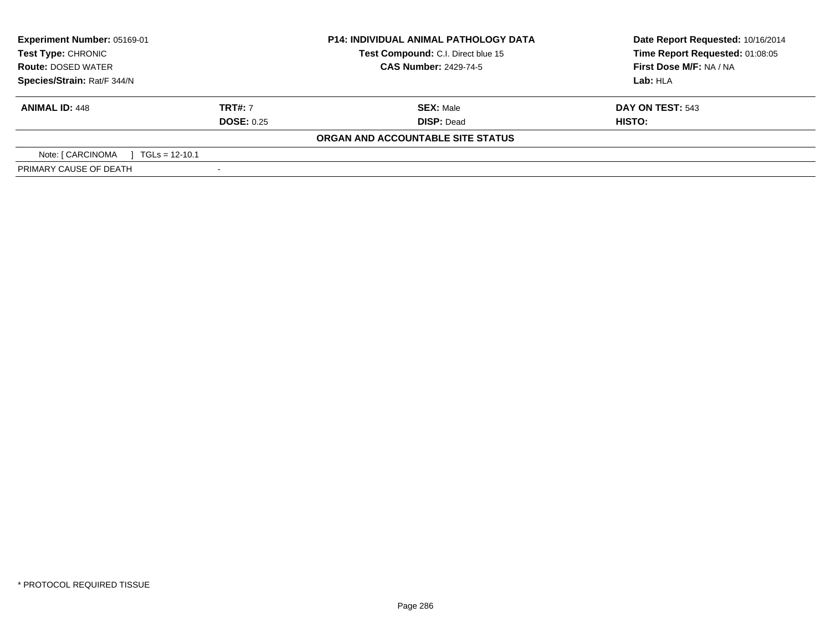| <b>Experiment Number: 05169-01</b><br>Test Type: CHRONIC |                   | <b>P14: INDIVIDUAL ANIMAL PATHOLOGY DATA</b> | Date Report Requested: 10/16/2014 |  |
|----------------------------------------------------------|-------------------|----------------------------------------------|-----------------------------------|--|
|                                                          |                   | Test Compound: C.I. Direct blue 15           | Time Report Requested: 01:08:05   |  |
| <b>Route: DOSED WATER</b>                                |                   | <b>CAS Number: 2429-74-5</b>                 | First Dose M/F: NA / NA           |  |
| Species/Strain: Rat/F 344/N                              |                   |                                              | Lab: HLA                          |  |
| <b>ANIMAL ID: 448</b>                                    | <b>TRT#: 7</b>    | <b>SEX: Male</b>                             | DAY ON TEST: 543                  |  |
|                                                          | <b>DOSE: 0.25</b> | <b>DISP: Dead</b>                            | HISTO:                            |  |
|                                                          |                   | ORGAN AND ACCOUNTABLE SITE STATUS            |                                   |  |
| Note: [ CARCINOMA<br>$TGLs = 12-10.1$                    |                   |                                              |                                   |  |
| PRIMARY CAUSE OF DEATH                                   |                   |                                              |                                   |  |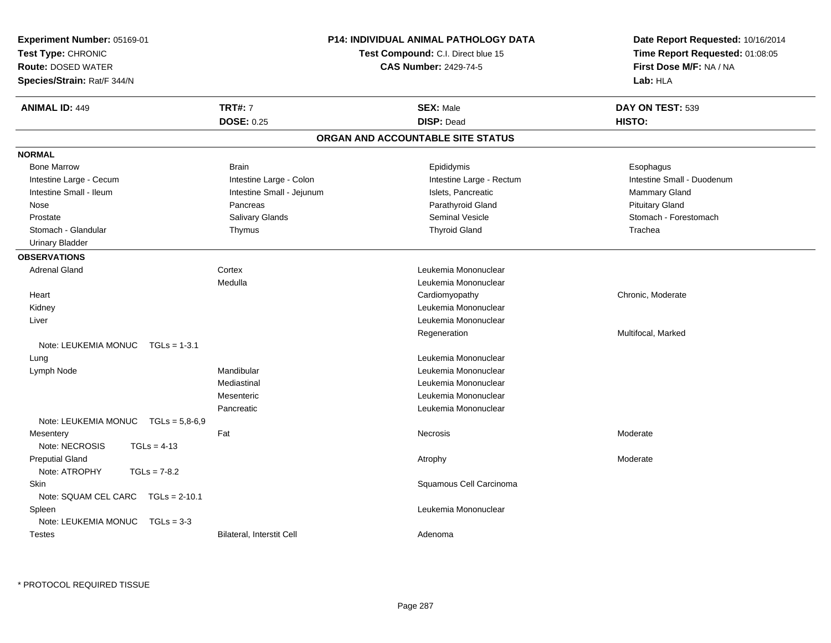| <b>Experiment Number: 05169-01</b><br>Test Type: CHRONIC<br><b>Route: DOSED WATER</b><br>Species/Strain: Rat/F 344/N |                           | <b>P14: INDIVIDUAL ANIMAL PATHOLOGY DATA</b><br>Test Compound: C.I. Direct blue 15<br><b>CAS Number: 2429-74-5</b> | Date Report Requested: 10/16/2014<br>Time Report Requested: 01:08:05<br>First Dose M/F: NA / NA<br>Lab: HLA |
|----------------------------------------------------------------------------------------------------------------------|---------------------------|--------------------------------------------------------------------------------------------------------------------|-------------------------------------------------------------------------------------------------------------|
| <b>ANIMAL ID: 449</b>                                                                                                | <b>TRT#: 7</b>            | <b>SEX: Male</b>                                                                                                   | DAY ON TEST: 539                                                                                            |
|                                                                                                                      | <b>DOSE: 0.25</b>         | <b>DISP: Dead</b>                                                                                                  | HISTO:                                                                                                      |
|                                                                                                                      |                           | ORGAN AND ACCOUNTABLE SITE STATUS                                                                                  |                                                                                                             |
| <b>NORMAL</b>                                                                                                        |                           |                                                                                                                    |                                                                                                             |
| <b>Bone Marrow</b>                                                                                                   | <b>Brain</b>              | Epididymis                                                                                                         | Esophagus                                                                                                   |
| Intestine Large - Cecum                                                                                              | Intestine Large - Colon   | Intestine Large - Rectum                                                                                           | Intestine Small - Duodenum                                                                                  |
| Intestine Small - Ileum                                                                                              | Intestine Small - Jejunum | Islets, Pancreatic                                                                                                 | Mammary Gland                                                                                               |
| Nose                                                                                                                 | Pancreas                  | Parathyroid Gland                                                                                                  | <b>Pituitary Gland</b>                                                                                      |
| Prostate                                                                                                             | <b>Salivary Glands</b>    | <b>Seminal Vesicle</b>                                                                                             | Stomach - Forestomach                                                                                       |
| Stomach - Glandular                                                                                                  | Thymus                    | <b>Thyroid Gland</b>                                                                                               | Trachea                                                                                                     |
| <b>Urinary Bladder</b>                                                                                               |                           |                                                                                                                    |                                                                                                             |
| <b>OBSERVATIONS</b><br><b>Adrenal Gland</b>                                                                          |                           | Leukemia Mononuclear                                                                                               |                                                                                                             |
|                                                                                                                      | Cortex<br>Medulla         | Leukemia Mononuclear                                                                                               |                                                                                                             |
| Heart                                                                                                                |                           | Cardiomyopathy                                                                                                     | Chronic, Moderate                                                                                           |
| Kidney                                                                                                               |                           | Leukemia Mononuclear                                                                                               |                                                                                                             |
| Liver                                                                                                                |                           | Leukemia Mononuclear                                                                                               |                                                                                                             |
|                                                                                                                      |                           | Regeneration                                                                                                       | Multifocal, Marked                                                                                          |
| Note: LEUKEMIA MONUC<br>$TGLs = 1-3.1$                                                                               |                           |                                                                                                                    |                                                                                                             |
| Lung                                                                                                                 |                           | Leukemia Mononuclear                                                                                               |                                                                                                             |
| Lymph Node                                                                                                           | Mandibular                | Leukemia Mononuclear                                                                                               |                                                                                                             |
|                                                                                                                      | Mediastinal               | Leukemia Mononuclear                                                                                               |                                                                                                             |
|                                                                                                                      | Mesenteric                | Leukemia Mononuclear                                                                                               |                                                                                                             |
|                                                                                                                      | Pancreatic                | Leukemia Mononuclear                                                                                               |                                                                                                             |
| Note: LEUKEMIA MONUC<br>$TGLs = 5,8-6,9$                                                                             |                           |                                                                                                                    |                                                                                                             |
| Mesentery                                                                                                            | Fat                       | <b>Necrosis</b>                                                                                                    | Moderate                                                                                                    |
| Note: NECROSIS<br>$TGLs = 4-13$                                                                                      |                           |                                                                                                                    |                                                                                                             |
| <b>Preputial Gland</b>                                                                                               |                           | Atrophy                                                                                                            | Moderate                                                                                                    |
| Note: ATROPHY<br>$TGLs = 7-8.2$                                                                                      |                           |                                                                                                                    |                                                                                                             |
| Skin                                                                                                                 |                           | Squamous Cell Carcinoma                                                                                            |                                                                                                             |
| Note: SQUAM CEL CARC<br>$TGLs = 2-10.1$                                                                              |                           |                                                                                                                    |                                                                                                             |
| Spleen                                                                                                               |                           | Leukemia Mononuclear                                                                                               |                                                                                                             |
| Note: LEUKEMIA MONUC<br>$TGLs = 3-3$                                                                                 |                           |                                                                                                                    |                                                                                                             |
| <b>Testes</b>                                                                                                        | Bilateral, Interstit Cell | Adenoma                                                                                                            |                                                                                                             |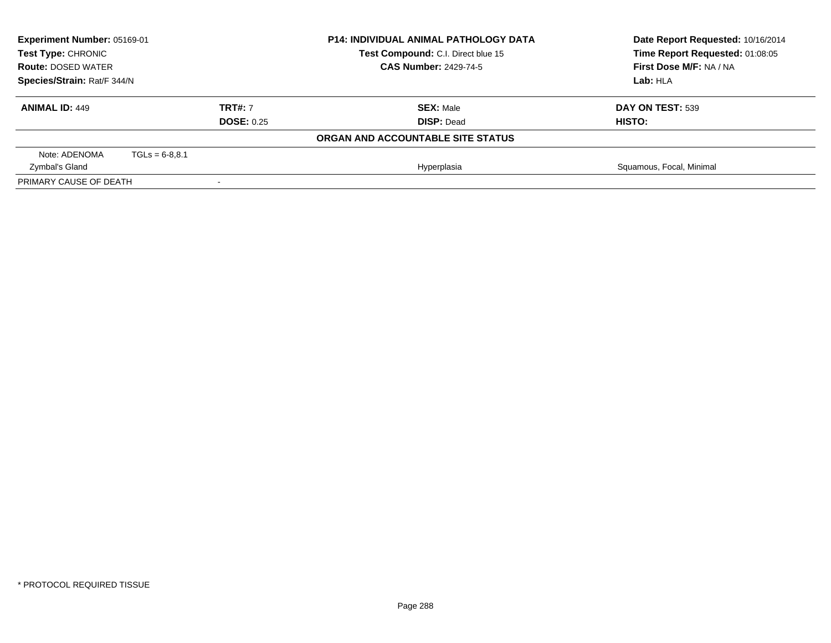| Experiment Number: 05169-01 |                                    |                   | <b>P14: INDIVIDUAL ANIMAL PATHOLOGY DATA</b> | Date Report Requested: 10/16/2014 |
|-----------------------------|------------------------------------|-------------------|----------------------------------------------|-----------------------------------|
| Test Type: CHRONIC          | Test Compound: C.I. Direct blue 15 |                   |                                              | Time Report Requested: 01:08:05   |
| <b>Route: DOSED WATER</b>   |                                    |                   | <b>CAS Number: 2429-74-5</b>                 | First Dose M/F: NA / NA           |
| Species/Strain: Rat/F 344/N |                                    |                   | Lab: HLA                                     |                                   |
| <b>ANIMAL ID: 449</b>       |                                    | <b>TRT#: 7</b>    | <b>SEX: Male</b>                             | DAY ON TEST: 539                  |
|                             |                                    | <b>DOSE: 0.25</b> | <b>DISP: Dead</b>                            | HISTO:                            |
|                             |                                    |                   | ORGAN AND ACCOUNTABLE SITE STATUS            |                                   |
| Note: ADENOMA               | $TGLs = 6-8.8.1$                   |                   |                                              |                                   |
| Zymbal's Gland              |                                    |                   | Hyperplasia                                  | Squamous, Focal, Minimal          |
| PRIMARY CAUSE OF DEATH      |                                    |                   |                                              |                                   |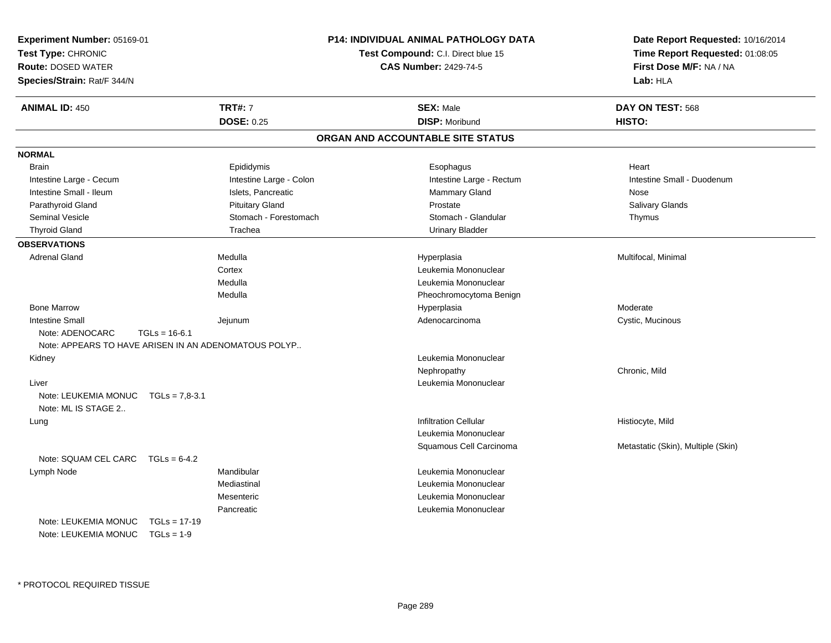| Experiment Number: 05169-01<br>Test Type: CHRONIC<br><b>Route: DOSED WATER</b><br>Species/Strain: Rat/F 344/N |                         | <b>P14: INDIVIDUAL ANIMAL PATHOLOGY DATA</b><br>Test Compound: C.I. Direct blue 15<br><b>CAS Number: 2429-74-5</b> | Date Report Requested: 10/16/2014<br>Time Report Requested: 01:08:05<br>First Dose M/F: NA / NA<br>Lab: HLA |
|---------------------------------------------------------------------------------------------------------------|-------------------------|--------------------------------------------------------------------------------------------------------------------|-------------------------------------------------------------------------------------------------------------|
| <b>ANIMAL ID: 450</b>                                                                                         | <b>TRT#: 7</b>          | <b>SEX: Male</b>                                                                                                   | DAY ON TEST: 568                                                                                            |
|                                                                                                               | <b>DOSE: 0.25</b>       | <b>DISP: Moribund</b>                                                                                              | <b>HISTO:</b>                                                                                               |
|                                                                                                               |                         | ORGAN AND ACCOUNTABLE SITE STATUS                                                                                  |                                                                                                             |
| <b>NORMAL</b>                                                                                                 |                         |                                                                                                                    |                                                                                                             |
| <b>Brain</b>                                                                                                  | Epididymis              | Esophagus                                                                                                          | Heart                                                                                                       |
| Intestine Large - Cecum                                                                                       | Intestine Large - Colon | Intestine Large - Rectum                                                                                           | Intestine Small - Duodenum                                                                                  |
| Intestine Small - Ileum                                                                                       | Islets, Pancreatic      | Mammary Gland                                                                                                      | Nose                                                                                                        |
| Parathyroid Gland                                                                                             | <b>Pituitary Gland</b>  | Prostate                                                                                                           | Salivary Glands                                                                                             |
| Seminal Vesicle                                                                                               | Stomach - Forestomach   | Stomach - Glandular                                                                                                | Thymus                                                                                                      |
| <b>Thyroid Gland</b>                                                                                          | Trachea                 | <b>Urinary Bladder</b>                                                                                             |                                                                                                             |
| <b>OBSERVATIONS</b>                                                                                           |                         |                                                                                                                    |                                                                                                             |
| <b>Adrenal Gland</b>                                                                                          | Medulla                 | Hyperplasia                                                                                                        | Multifocal, Minimal                                                                                         |
|                                                                                                               | Cortex                  | Leukemia Mononuclear                                                                                               |                                                                                                             |
|                                                                                                               | Medulla                 | Leukemia Mononuclear                                                                                               |                                                                                                             |
|                                                                                                               | Medulla                 | Pheochromocytoma Benign                                                                                            |                                                                                                             |
| <b>Bone Marrow</b>                                                                                            |                         | Hyperplasia                                                                                                        | Moderate                                                                                                    |
| <b>Intestine Small</b>                                                                                        | Jejunum                 | Adenocarcinoma                                                                                                     | Cystic, Mucinous                                                                                            |
| Note: ADENOCARC<br>$TGLs = 16-6.1$<br>Note: APPEARS TO HAVE ARISEN IN AN ADENOMATOUS POLYP                    |                         |                                                                                                                    |                                                                                                             |
| Kidney                                                                                                        |                         | Leukemia Mononuclear                                                                                               |                                                                                                             |
|                                                                                                               |                         | Nephropathy                                                                                                        | Chronic, Mild                                                                                               |
| Liver                                                                                                         |                         | Leukemia Mononuclear                                                                                               |                                                                                                             |
| Note: LEUKEMIA MONUC<br>$TGLs = 7.8-3.1$<br>Note: ML IS STAGE 2                                               |                         |                                                                                                                    |                                                                                                             |
| Lung                                                                                                          |                         | <b>Infiltration Cellular</b>                                                                                       | Histiocyte, Mild                                                                                            |
|                                                                                                               |                         | Leukemia Mononuclear                                                                                               |                                                                                                             |
|                                                                                                               |                         | Squamous Cell Carcinoma                                                                                            | Metastatic (Skin), Multiple (Skin)                                                                          |
| Note: SQUAM CEL CARC $TGLs = 6-4.2$                                                                           |                         |                                                                                                                    |                                                                                                             |
| Lymph Node                                                                                                    | Mandibular              | Leukemia Mononuclear                                                                                               |                                                                                                             |
|                                                                                                               | Mediastinal             | Leukemia Mononuclear                                                                                               |                                                                                                             |
|                                                                                                               | Mesenteric              | Leukemia Mononuclear                                                                                               |                                                                                                             |
|                                                                                                               | Pancreatic              | Leukemia Mononuclear                                                                                               |                                                                                                             |
| Note: LEUKEMIA MONUC<br>$TGLs = 17-19$                                                                        |                         |                                                                                                                    |                                                                                                             |
| Note: LEUKEMIA MONUC<br>$TGLs = 1-9$                                                                          |                         |                                                                                                                    |                                                                                                             |
|                                                                                                               |                         |                                                                                                                    |                                                                                                             |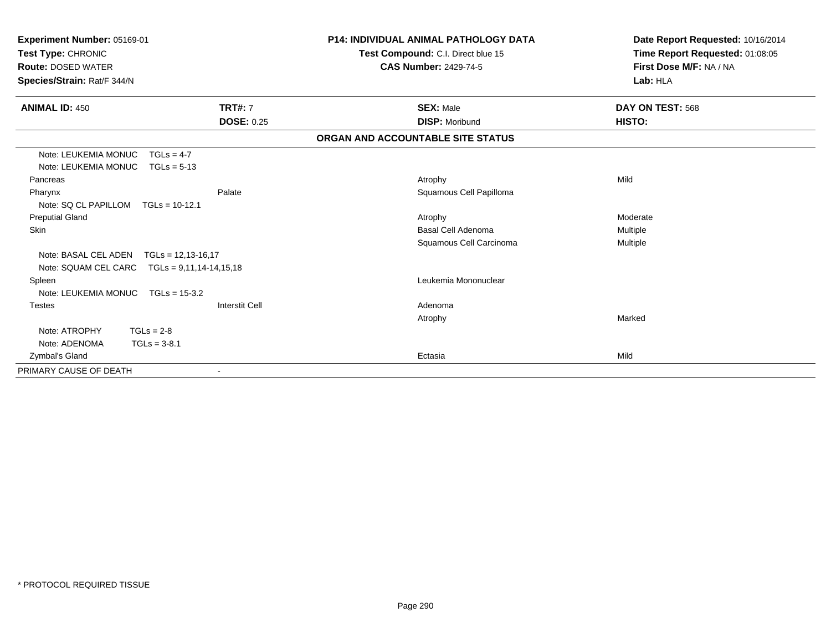| Experiment Number: 05169-01<br>Test Type: CHRONIC<br><b>Route: DOSED WATER</b><br>Species/Strain: Rat/F 344/N |                       | <b>P14: INDIVIDUAL ANIMAL PATHOLOGY DATA</b><br>Test Compound: C.I. Direct blue 15<br><b>CAS Number: 2429-74-5</b> | Date Report Requested: 10/16/2014<br>Time Report Requested: 01:08:05<br>First Dose M/F: NA / NA<br>Lab: HLA |
|---------------------------------------------------------------------------------------------------------------|-----------------------|--------------------------------------------------------------------------------------------------------------------|-------------------------------------------------------------------------------------------------------------|
| <b>ANIMAL ID: 450</b>                                                                                         | <b>TRT#: 7</b>        | <b>SEX: Male</b>                                                                                                   | DAY ON TEST: 568                                                                                            |
|                                                                                                               | <b>DOSE: 0.25</b>     | <b>DISP: Moribund</b>                                                                                              | HISTO:                                                                                                      |
|                                                                                                               |                       | ORGAN AND ACCOUNTABLE SITE STATUS                                                                                  |                                                                                                             |
| Note: LEUKEMIA MONUC                                                                                          | $TGLs = 4-7$          |                                                                                                                    |                                                                                                             |
| Note: LEUKEMIA MONUC                                                                                          | $TGLs = 5-13$         |                                                                                                                    |                                                                                                             |
| Pancreas                                                                                                      |                       | Atrophy                                                                                                            | Mild                                                                                                        |
| Pharynx                                                                                                       | Palate                | Squamous Cell Papilloma                                                                                            |                                                                                                             |
| Note: SQ CL PAPILLOM                                                                                          | $TGLs = 10-12.1$      |                                                                                                                    |                                                                                                             |
| <b>Preputial Gland</b>                                                                                        |                       | Atrophy                                                                                                            | Moderate                                                                                                    |
| Skin                                                                                                          |                       | Basal Cell Adenoma                                                                                                 | Multiple                                                                                                    |
|                                                                                                               |                       | Squamous Cell Carcinoma                                                                                            | Multiple                                                                                                    |
| Note: BASAL CEL ADEN                                                                                          | $TGLs = 12,13-16,17$  |                                                                                                                    |                                                                                                             |
| Note: SQUAM CEL CARC    TGLs = 9,11,14-14,15,18                                                               |                       |                                                                                                                    |                                                                                                             |
| Spleen                                                                                                        |                       | Leukemia Mononuclear                                                                                               |                                                                                                             |
| Note: LEUKEMIA MONUC                                                                                          | $TGLs = 15-3.2$       |                                                                                                                    |                                                                                                             |
| <b>Testes</b>                                                                                                 | <b>Interstit Cell</b> | Adenoma                                                                                                            |                                                                                                             |
|                                                                                                               |                       | Atrophy                                                                                                            | Marked                                                                                                      |
| Note: ATROPHY                                                                                                 | $TGLs = 2-8$          |                                                                                                                    |                                                                                                             |
| Note: ADENOMA                                                                                                 | $TGLs = 3-8.1$        |                                                                                                                    |                                                                                                             |
| Zymbal's Gland                                                                                                |                       | Ectasia                                                                                                            | Mild                                                                                                        |
| PRIMARY CAUSE OF DEATH                                                                                        |                       |                                                                                                                    |                                                                                                             |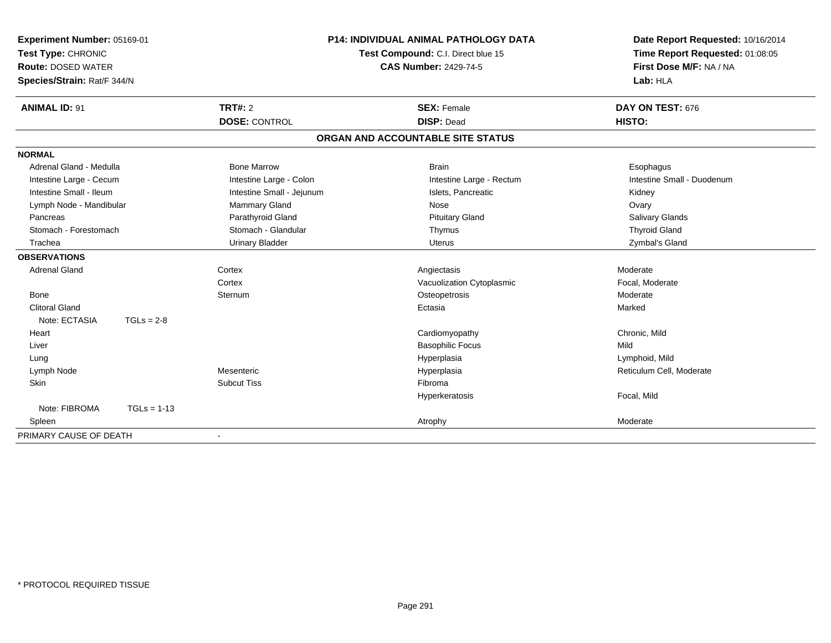| Experiment Number: 05169-01<br>Test Type: CHRONIC<br><b>Route: DOSED WATER</b><br>Species/Strain: Rat/F 344/N |               |                           | P14: INDIVIDUAL ANIMAL PATHOLOGY DATA<br>Test Compound: C.I. Direct blue 15 | Date Report Requested: 10/16/2014<br>Time Report Requested: 01:08:05 |
|---------------------------------------------------------------------------------------------------------------|---------------|---------------------------|-----------------------------------------------------------------------------|----------------------------------------------------------------------|
|                                                                                                               |               |                           | <b>CAS Number: 2429-74-5</b>                                                | First Dose M/F: NA / NA<br>Lab: HLA                                  |
| <b>ANIMAL ID: 91</b>                                                                                          |               | <b>TRT#: 2</b>            | <b>SEX: Female</b>                                                          | DAY ON TEST: 676                                                     |
|                                                                                                               |               | <b>DOSE: CONTROL</b>      | <b>DISP: Dead</b>                                                           | HISTO:                                                               |
|                                                                                                               |               |                           | ORGAN AND ACCOUNTABLE SITE STATUS                                           |                                                                      |
| <b>NORMAL</b>                                                                                                 |               |                           |                                                                             |                                                                      |
| Adrenal Gland - Medulla                                                                                       |               | <b>Bone Marrow</b>        | <b>Brain</b>                                                                | Esophagus                                                            |
| Intestine Large - Cecum                                                                                       |               | Intestine Large - Colon   | Intestine Large - Rectum                                                    | Intestine Small - Duodenum                                           |
| Intestine Small - Ileum                                                                                       |               | Intestine Small - Jejunum | Islets, Pancreatic                                                          | Kidney                                                               |
| Lymph Node - Mandibular                                                                                       |               | Mammary Gland             | Nose                                                                        | Ovary                                                                |
| Pancreas                                                                                                      |               | Parathyroid Gland         | <b>Pituitary Gland</b>                                                      | Salivary Glands                                                      |
| Stomach - Forestomach                                                                                         |               | Stomach - Glandular       | Thymus                                                                      | <b>Thyroid Gland</b>                                                 |
| Trachea                                                                                                       |               | <b>Urinary Bladder</b>    | <b>Uterus</b>                                                               | Zymbal's Gland                                                       |
| <b>OBSERVATIONS</b>                                                                                           |               |                           |                                                                             |                                                                      |
| <b>Adrenal Gland</b>                                                                                          |               | Cortex                    | Angiectasis                                                                 | Moderate                                                             |
|                                                                                                               |               | Cortex                    | Vacuolization Cytoplasmic                                                   | Focal, Moderate                                                      |
| <b>Bone</b>                                                                                                   |               | Sternum                   | Osteopetrosis                                                               | Moderate                                                             |
| <b>Clitoral Gland</b>                                                                                         |               |                           | Ectasia                                                                     | Marked                                                               |
| Note: ECTASIA                                                                                                 | $TGLs = 2-8$  |                           |                                                                             |                                                                      |
| Heart                                                                                                         |               |                           | Cardiomyopathy                                                              | Chronic, Mild                                                        |
| Liver                                                                                                         |               |                           | <b>Basophilic Focus</b>                                                     | Mild                                                                 |
| Lung                                                                                                          |               |                           | Hyperplasia                                                                 | Lymphoid, Mild                                                       |
| Lymph Node                                                                                                    |               | Mesenteric                | Hyperplasia                                                                 | Reticulum Cell, Moderate                                             |
| <b>Skin</b>                                                                                                   |               | <b>Subcut Tiss</b>        | Fibroma                                                                     |                                                                      |
|                                                                                                               |               |                           | Hyperkeratosis                                                              | Focal, Mild                                                          |
| Note: FIBROMA                                                                                                 | $TGLs = 1-13$ |                           |                                                                             |                                                                      |
| Spleen                                                                                                        |               |                           | Atrophy                                                                     | Moderate                                                             |
| PRIMARY CAUSE OF DEATH                                                                                        |               | $\blacksquare$            |                                                                             |                                                                      |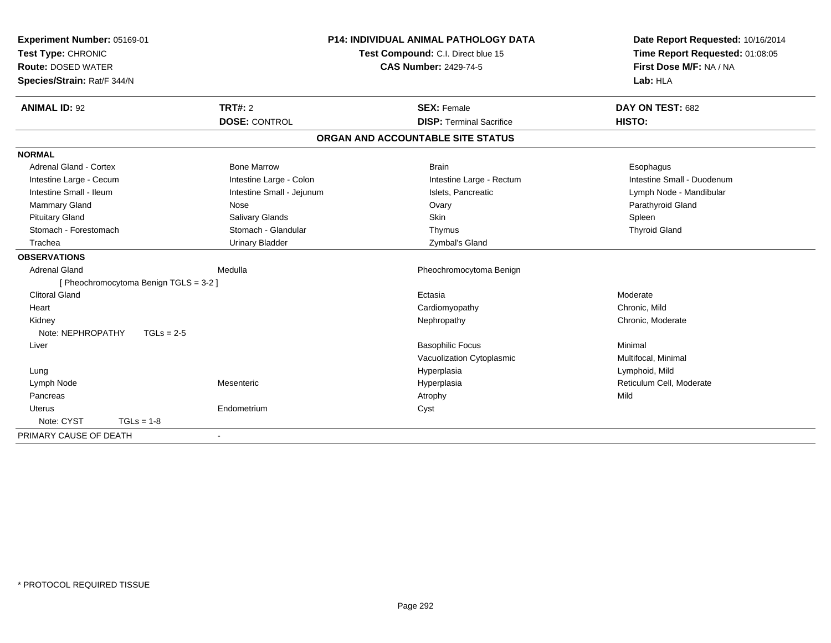| Experiment Number: 05169-01            |                           | <b>P14: INDIVIDUAL ANIMAL PATHOLOGY DATA</b> | Date Report Requested: 10/16/2014 |
|----------------------------------------|---------------------------|----------------------------------------------|-----------------------------------|
| Test Type: CHRONIC                     |                           | Test Compound: C.I. Direct blue 15           | Time Report Requested: 01:08:05   |
| <b>Route: DOSED WATER</b>              |                           | <b>CAS Number: 2429-74-5</b>                 | First Dose M/F: NA / NA           |
| Species/Strain: Rat/F 344/N            |                           |                                              | Lab: HLA                          |
| <b>ANIMAL ID: 92</b>                   | TRT#: 2                   | <b>SEX: Female</b>                           | DAY ON TEST: 682                  |
|                                        | <b>DOSE: CONTROL</b>      | <b>DISP: Terminal Sacrifice</b>              | <b>HISTO:</b>                     |
|                                        |                           | ORGAN AND ACCOUNTABLE SITE STATUS            |                                   |
| <b>NORMAL</b>                          |                           |                                              |                                   |
| <b>Adrenal Gland - Cortex</b>          | <b>Bone Marrow</b>        | <b>Brain</b>                                 | Esophagus                         |
| Intestine Large - Cecum                | Intestine Large - Colon   | Intestine Large - Rectum                     | Intestine Small - Duodenum        |
| Intestine Small - Ileum                | Intestine Small - Jejunum | Islets. Pancreatic                           | Lymph Node - Mandibular           |
| Mammary Gland                          | Nose                      | Ovary                                        | Parathyroid Gland                 |
| <b>Pituitary Gland</b>                 | Salivary Glands           | Skin                                         | Spleen                            |
| Stomach - Forestomach                  | Stomach - Glandular       | Thymus                                       | <b>Thyroid Gland</b>              |
| Trachea                                | <b>Urinary Bladder</b>    | Zymbal's Gland                               |                                   |
| <b>OBSERVATIONS</b>                    |                           |                                              |                                   |
| <b>Adrenal Gland</b>                   | Medulla                   | Pheochromocytoma Benign                      |                                   |
| [ Pheochromocytoma Benign TGLS = 3-2 ] |                           |                                              |                                   |
| Clitoral Gland                         |                           | Ectasia                                      | Moderate                          |
| Heart                                  |                           | Cardiomyopathy                               | Chronic, Mild                     |
| Kidney                                 |                           | Nephropathy                                  | Chronic, Moderate                 |
| Note: NEPHROPATHY<br>$TGLs = 2-5$      |                           |                                              |                                   |
| Liver                                  |                           | <b>Basophilic Focus</b>                      | Minimal                           |
|                                        |                           | Vacuolization Cytoplasmic                    | Multifocal, Minimal               |
| Lung                                   |                           | Hyperplasia                                  | Lymphoid, Mild                    |
| Lymph Node                             | Mesenteric                | Hyperplasia                                  | Reticulum Cell, Moderate          |
| Pancreas                               |                           | Atrophy                                      | Mild                              |
| <b>Uterus</b>                          | Endometrium               | Cyst                                         |                                   |
| Note: CYST<br>$TGLs = 1-8$             |                           |                                              |                                   |
| PRIMARY CAUSE OF DEATH                 | $\overline{\phantom{a}}$  |                                              |                                   |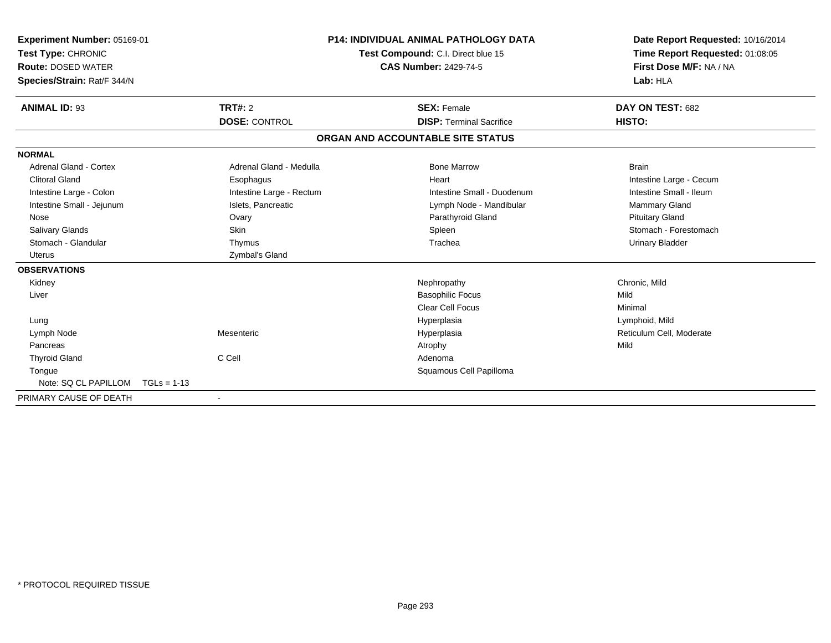| <b>Experiment Number: 05169-01</b><br>Test Type: CHRONIC<br><b>Route: DOSED WATER</b><br>Species/Strain: Rat/F 344/N |                          | P14: INDIVIDUAL ANIMAL PATHOLOGY DATA<br>Test Compound: C.I. Direct blue 15<br><b>CAS Number: 2429-74-5</b> |                                   | Date Report Requested: 10/16/2014<br>Time Report Requested: 01:08:05<br>First Dose M/F: NA / NA<br>Lab: HLA |  |
|----------------------------------------------------------------------------------------------------------------------|--------------------------|-------------------------------------------------------------------------------------------------------------|-----------------------------------|-------------------------------------------------------------------------------------------------------------|--|
| <b>ANIMAL ID: 93</b>                                                                                                 | TRT#: 2                  |                                                                                                             | <b>SEX: Female</b>                | DAY ON TEST: 682                                                                                            |  |
|                                                                                                                      | <b>DOSE: CONTROL</b>     |                                                                                                             | <b>DISP: Terminal Sacrifice</b>   | HISTO:                                                                                                      |  |
|                                                                                                                      |                          |                                                                                                             | ORGAN AND ACCOUNTABLE SITE STATUS |                                                                                                             |  |
| <b>NORMAL</b>                                                                                                        |                          |                                                                                                             |                                   |                                                                                                             |  |
| Adrenal Gland - Cortex                                                                                               | Adrenal Gland - Medulla  |                                                                                                             | <b>Bone Marrow</b>                | <b>Brain</b>                                                                                                |  |
| <b>Clitoral Gland</b>                                                                                                | Esophagus                |                                                                                                             | Heart                             | Intestine Large - Cecum                                                                                     |  |
| Intestine Large - Colon                                                                                              | Intestine Large - Rectum |                                                                                                             | Intestine Small - Duodenum        | Intestine Small - Ileum                                                                                     |  |
| Intestine Small - Jejunum                                                                                            | Islets, Pancreatic       |                                                                                                             | Lymph Node - Mandibular           | Mammary Gland                                                                                               |  |
| Nose                                                                                                                 | Ovary                    |                                                                                                             | Parathyroid Gland                 | <b>Pituitary Gland</b>                                                                                      |  |
| Salivary Glands                                                                                                      | <b>Skin</b>              |                                                                                                             | Spleen                            | Stomach - Forestomach                                                                                       |  |
| Stomach - Glandular                                                                                                  | Thymus                   |                                                                                                             | Trachea                           | <b>Urinary Bladder</b>                                                                                      |  |
| Uterus                                                                                                               | Zymbal's Gland           |                                                                                                             |                                   |                                                                                                             |  |
| <b>OBSERVATIONS</b>                                                                                                  |                          |                                                                                                             |                                   |                                                                                                             |  |
| Kidney                                                                                                               |                          |                                                                                                             | Nephropathy                       | Chronic, Mild                                                                                               |  |
| Liver                                                                                                                |                          |                                                                                                             | <b>Basophilic Focus</b>           | Mild                                                                                                        |  |
|                                                                                                                      |                          |                                                                                                             | Clear Cell Focus                  | Minimal                                                                                                     |  |
| Lung                                                                                                                 |                          |                                                                                                             | Hyperplasia                       | Lymphoid, Mild                                                                                              |  |
| Lymph Node                                                                                                           | Mesenteric               |                                                                                                             | Hyperplasia                       | Reticulum Cell, Moderate                                                                                    |  |
| Pancreas                                                                                                             |                          |                                                                                                             | Atrophy                           | Mild                                                                                                        |  |
| <b>Thyroid Gland</b>                                                                                                 | C Cell                   |                                                                                                             | Adenoma                           |                                                                                                             |  |
| Tongue                                                                                                               |                          |                                                                                                             | Squamous Cell Papilloma           |                                                                                                             |  |
| Note: SQ CL PAPILLOM                                                                                                 | $TGLs = 1-13$            |                                                                                                             |                                   |                                                                                                             |  |
| PRIMARY CAUSE OF DEATH                                                                                               |                          |                                                                                                             |                                   |                                                                                                             |  |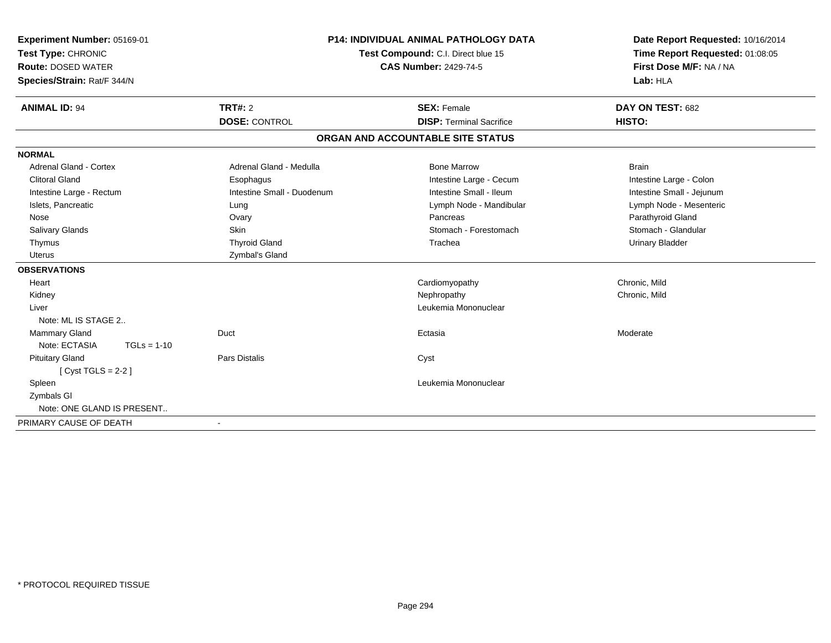| Experiment Number: 05169-01<br>Test Type: CHRONIC<br><b>Route: DOSED WATER</b><br>Species/Strain: Rat/F 344/N |                            | <b>P14: INDIVIDUAL ANIMAL PATHOLOGY DATA</b><br>Test Compound: C.I. Direct blue 15<br><b>CAS Number: 2429-74-5</b> | Date Report Requested: 10/16/2014<br>Time Report Requested: 01:08:05<br>First Dose M/F: NA / NA<br>Lab: HLA |  |
|---------------------------------------------------------------------------------------------------------------|----------------------------|--------------------------------------------------------------------------------------------------------------------|-------------------------------------------------------------------------------------------------------------|--|
| <b>ANIMAL ID: 94</b>                                                                                          | <b>TRT#: 2</b>             | <b>SEX: Female</b>                                                                                                 | DAY ON TEST: 682                                                                                            |  |
|                                                                                                               | <b>DOSE: CONTROL</b>       | <b>DISP: Terminal Sacrifice</b>                                                                                    | HISTO:                                                                                                      |  |
|                                                                                                               |                            | ORGAN AND ACCOUNTABLE SITE STATUS                                                                                  |                                                                                                             |  |
| <b>NORMAL</b>                                                                                                 |                            |                                                                                                                    |                                                                                                             |  |
| Adrenal Gland - Cortex                                                                                        | Adrenal Gland - Medulla    | <b>Bone Marrow</b>                                                                                                 | <b>Brain</b>                                                                                                |  |
| <b>Clitoral Gland</b>                                                                                         | Esophagus                  | Intestine Large - Cecum                                                                                            | Intestine Large - Colon                                                                                     |  |
| Intestine Large - Rectum                                                                                      | Intestine Small - Duodenum | Intestine Small - Ileum                                                                                            | Intestine Small - Jejunum                                                                                   |  |
| Islets, Pancreatic                                                                                            | Lung                       | Lymph Node - Mandibular                                                                                            | Lymph Node - Mesenteric                                                                                     |  |
| Nose                                                                                                          | Ovary                      | Pancreas                                                                                                           | Parathyroid Gland                                                                                           |  |
| Salivary Glands                                                                                               | <b>Skin</b>                | Stomach - Forestomach                                                                                              | Stomach - Glandular                                                                                         |  |
| Thymus                                                                                                        | <b>Thyroid Gland</b>       | Trachea                                                                                                            | <b>Urinary Bladder</b>                                                                                      |  |
| Uterus                                                                                                        | Zymbal's Gland             |                                                                                                                    |                                                                                                             |  |
| <b>OBSERVATIONS</b>                                                                                           |                            |                                                                                                                    |                                                                                                             |  |
| Heart                                                                                                         |                            | Cardiomyopathy                                                                                                     | Chronic, Mild                                                                                               |  |
| Kidney                                                                                                        |                            | Nephropathy                                                                                                        | Chronic, Mild                                                                                               |  |
| Liver                                                                                                         |                            | Leukemia Mononuclear                                                                                               |                                                                                                             |  |
| Note: ML IS STAGE 2                                                                                           |                            |                                                                                                                    |                                                                                                             |  |
| <b>Mammary Gland</b>                                                                                          | Duct                       | Ectasia                                                                                                            | Moderate                                                                                                    |  |
| Note: ECTASIA<br>$TGLs = 1-10$                                                                                |                            |                                                                                                                    |                                                                                                             |  |
| <b>Pituitary Gland</b>                                                                                        | <b>Pars Distalis</b>       | Cyst                                                                                                               |                                                                                                             |  |
| [ Cyst TGLS = $2-2$ ]                                                                                         |                            |                                                                                                                    |                                                                                                             |  |
| Spleen                                                                                                        |                            | Leukemia Mononuclear                                                                                               |                                                                                                             |  |
| Zymbals GI                                                                                                    |                            |                                                                                                                    |                                                                                                             |  |
| Note: ONE GLAND IS PRESENT                                                                                    |                            |                                                                                                                    |                                                                                                             |  |
| PRIMARY CAUSE OF DEATH                                                                                        | $\blacksquare$             |                                                                                                                    |                                                                                                             |  |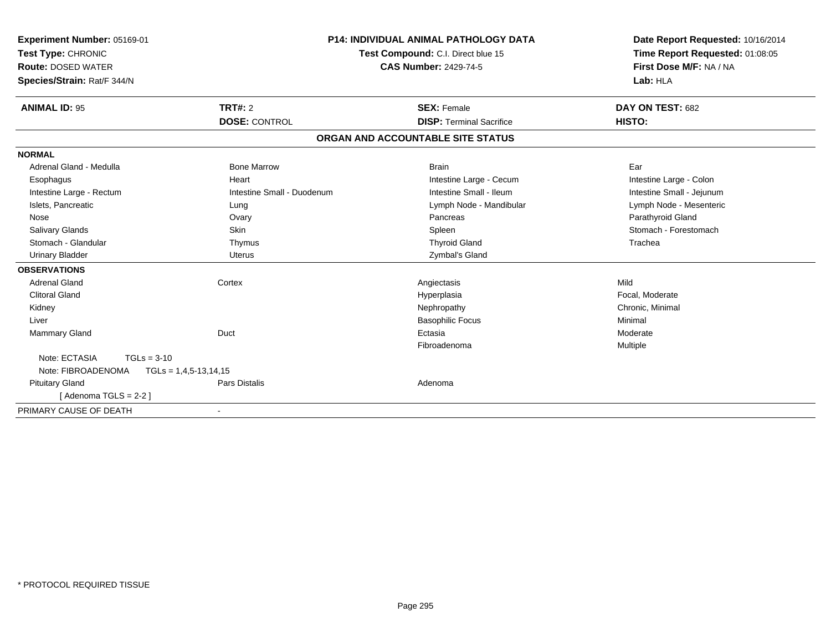| Experiment Number: 05169-01<br>Test Type: CHRONIC<br><b>Route: DOSED WATER</b><br>Species/Strain: Rat/F 344/N |                             | <b>P14: INDIVIDUAL ANIMAL PATHOLOGY DATA</b><br>Test Compound: C.I. Direct blue 15<br><b>CAS Number: 2429-74-5</b> | Date Report Requested: 10/16/2014<br>Time Report Requested: 01:08:05<br>First Dose M/F: NA / NA<br>Lab: HLA |
|---------------------------------------------------------------------------------------------------------------|-----------------------------|--------------------------------------------------------------------------------------------------------------------|-------------------------------------------------------------------------------------------------------------|
| <b>ANIMAL ID: 95</b>                                                                                          | TRT#: 2                     | <b>SEX: Female</b>                                                                                                 | DAY ON TEST: 682                                                                                            |
|                                                                                                               | <b>DOSE: CONTROL</b>        | <b>DISP: Terminal Sacrifice</b>                                                                                    | HISTO:                                                                                                      |
|                                                                                                               |                             | ORGAN AND ACCOUNTABLE SITE STATUS                                                                                  |                                                                                                             |
| <b>NORMAL</b>                                                                                                 |                             |                                                                                                                    |                                                                                                             |
| Adrenal Gland - Medulla                                                                                       | <b>Bone Marrow</b>          | <b>Brain</b>                                                                                                       | Ear                                                                                                         |
| Esophagus                                                                                                     | Heart                       | Intestine Large - Cecum                                                                                            | Intestine Large - Colon                                                                                     |
| Intestine Large - Rectum                                                                                      | Intestine Small - Duodenum  | Intestine Small - Ileum                                                                                            | Intestine Small - Jejunum                                                                                   |
| Islets, Pancreatic                                                                                            | Lung                        | Lymph Node - Mandibular                                                                                            | Lymph Node - Mesenteric                                                                                     |
| Nose                                                                                                          | Ovary                       | Pancreas                                                                                                           | Parathyroid Gland                                                                                           |
| <b>Salivary Glands</b>                                                                                        | Skin                        | Spleen                                                                                                             | Stomach - Forestomach                                                                                       |
| Stomach - Glandular                                                                                           | Thymus                      | <b>Thyroid Gland</b>                                                                                               | Trachea                                                                                                     |
| <b>Urinary Bladder</b>                                                                                        | <b>Uterus</b>               | Zymbal's Gland                                                                                                     |                                                                                                             |
| <b>OBSERVATIONS</b>                                                                                           |                             |                                                                                                                    |                                                                                                             |
| <b>Adrenal Gland</b>                                                                                          | Cortex                      | Angiectasis                                                                                                        | Mild                                                                                                        |
| <b>Clitoral Gland</b>                                                                                         |                             | Hyperplasia                                                                                                        | Focal, Moderate                                                                                             |
| Kidney                                                                                                        |                             | Nephropathy                                                                                                        | Chronic, Minimal                                                                                            |
| Liver                                                                                                         |                             | <b>Basophilic Focus</b>                                                                                            | Minimal                                                                                                     |
| Mammary Gland                                                                                                 | Duct                        | Ectasia                                                                                                            | Moderate                                                                                                    |
|                                                                                                               |                             | Fibroadenoma                                                                                                       | Multiple                                                                                                    |
| Note: ECTASIA<br>$TGLs = 3-10$                                                                                |                             |                                                                                                                    |                                                                                                             |
| Note: FIBROADENOMA                                                                                            | $TGLs = 1, 4, 5-13, 14, 15$ |                                                                                                                    |                                                                                                             |
| <b>Pituitary Gland</b>                                                                                        | <b>Pars Distalis</b>        | Adenoma                                                                                                            |                                                                                                             |
| [Adenoma TGLS = $2-2$ ]                                                                                       |                             |                                                                                                                    |                                                                                                             |
| PRIMARY CAUSE OF DEATH                                                                                        | $\overline{\phantom{a}}$    |                                                                                                                    |                                                                                                             |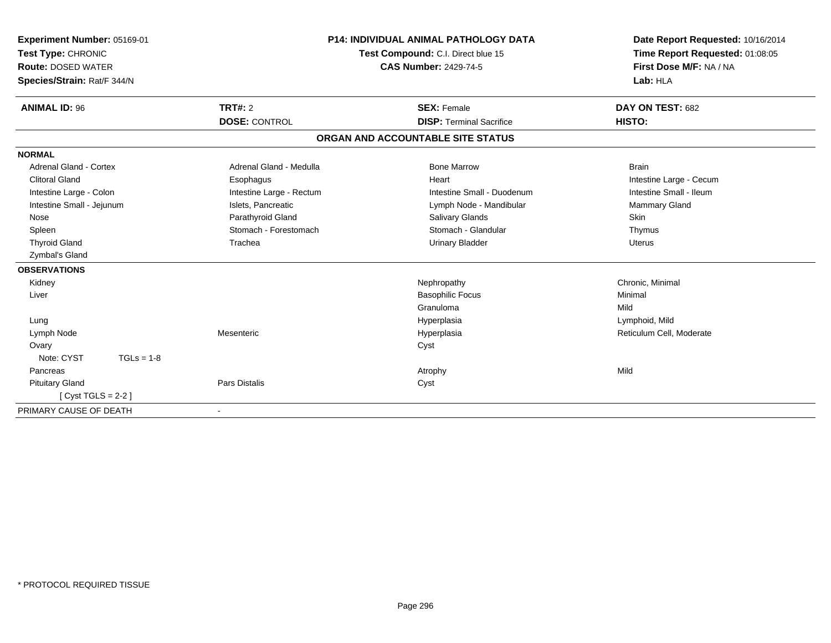| Experiment Number: 05169-01<br>Test Type: CHRONIC<br><b>Route: DOSED WATER</b><br>Species/Strain: Rat/F 344/N |                          | <b>P14: INDIVIDUAL ANIMAL PATHOLOGY DATA</b><br>Test Compound: C.I. Direct blue 15<br><b>CAS Number: 2429-74-5</b> | Date Report Requested: 10/16/2014<br>Time Report Requested: 01:08:05<br>First Dose M/F: NA / NA<br>Lab: HLA |
|---------------------------------------------------------------------------------------------------------------|--------------------------|--------------------------------------------------------------------------------------------------------------------|-------------------------------------------------------------------------------------------------------------|
| <b>ANIMAL ID: 96</b>                                                                                          | TRT#: 2                  | <b>SEX: Female</b>                                                                                                 | DAY ON TEST: 682                                                                                            |
|                                                                                                               | <b>DOSE: CONTROL</b>     | <b>DISP: Terminal Sacrifice</b>                                                                                    | HISTO:                                                                                                      |
|                                                                                                               |                          | ORGAN AND ACCOUNTABLE SITE STATUS                                                                                  |                                                                                                             |
| <b>NORMAL</b>                                                                                                 |                          |                                                                                                                    |                                                                                                             |
| <b>Adrenal Gland - Cortex</b>                                                                                 | Adrenal Gland - Medulla  | <b>Bone Marrow</b>                                                                                                 | <b>Brain</b>                                                                                                |
| <b>Clitoral Gland</b>                                                                                         | Esophagus                | Heart                                                                                                              | Intestine Large - Cecum                                                                                     |
| Intestine Large - Colon                                                                                       | Intestine Large - Rectum | Intestine Small - Duodenum                                                                                         | Intestine Small - Ileum                                                                                     |
| Intestine Small - Jejunum                                                                                     | Islets. Pancreatic       | Lymph Node - Mandibular                                                                                            | <b>Mammary Gland</b>                                                                                        |
| Nose                                                                                                          | Parathyroid Gland        | <b>Salivary Glands</b>                                                                                             | <b>Skin</b>                                                                                                 |
| Spleen                                                                                                        | Stomach - Forestomach    | Stomach - Glandular                                                                                                | Thymus                                                                                                      |
| <b>Thyroid Gland</b>                                                                                          | Trachea                  | <b>Urinary Bladder</b>                                                                                             | <b>Uterus</b>                                                                                               |
| Zymbal's Gland                                                                                                |                          |                                                                                                                    |                                                                                                             |
| <b>OBSERVATIONS</b>                                                                                           |                          |                                                                                                                    |                                                                                                             |
| Kidney                                                                                                        |                          | Nephropathy                                                                                                        | Chronic, Minimal                                                                                            |
| Liver                                                                                                         |                          | <b>Basophilic Focus</b>                                                                                            | Minimal                                                                                                     |
|                                                                                                               |                          | Granuloma                                                                                                          | Mild                                                                                                        |
| Lung                                                                                                          |                          | Hyperplasia                                                                                                        | Lymphoid, Mild                                                                                              |
| Lymph Node                                                                                                    | Mesenteric               | Hyperplasia                                                                                                        | Reticulum Cell, Moderate                                                                                    |
| Ovary                                                                                                         |                          | Cyst                                                                                                               |                                                                                                             |
| Note: CYST<br>$TGLs = 1-8$                                                                                    |                          |                                                                                                                    |                                                                                                             |
| Pancreas                                                                                                      |                          | Atrophy                                                                                                            | Mild                                                                                                        |
| <b>Pituitary Gland</b>                                                                                        | <b>Pars Distalis</b>     | Cyst                                                                                                               |                                                                                                             |
| [Cyst TGLS = $2-2$ ]                                                                                          |                          |                                                                                                                    |                                                                                                             |
| PRIMARY CAUSE OF DEATH                                                                                        |                          |                                                                                                                    |                                                                                                             |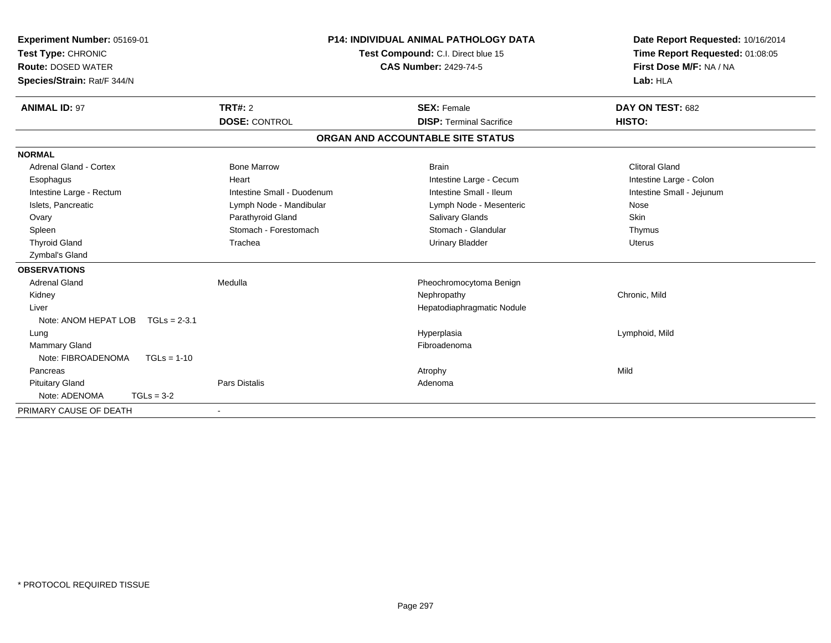| Experiment Number: 05169-01<br>Test Type: CHRONIC<br><b>Route: DOSED WATER</b><br>Species/Strain: Rat/F 344/N |                            | <b>P14: INDIVIDUAL ANIMAL PATHOLOGY DATA</b><br>Test Compound: C.I. Direct blue 15<br><b>CAS Number: 2429-74-5</b> | Date Report Requested: 10/16/2014<br>Time Report Requested: 01:08:05<br>First Dose M/F: NA / NA<br>Lab: HLA |
|---------------------------------------------------------------------------------------------------------------|----------------------------|--------------------------------------------------------------------------------------------------------------------|-------------------------------------------------------------------------------------------------------------|
| <b>ANIMAL ID: 97</b>                                                                                          | <b>TRT#: 2</b>             | <b>SEX: Female</b>                                                                                                 | DAY ON TEST: 682                                                                                            |
|                                                                                                               | <b>DOSE: CONTROL</b>       | <b>DISP: Terminal Sacrifice</b>                                                                                    | HISTO:                                                                                                      |
|                                                                                                               |                            | ORGAN AND ACCOUNTABLE SITE STATUS                                                                                  |                                                                                                             |
| <b>NORMAL</b>                                                                                                 |                            |                                                                                                                    |                                                                                                             |
| Adrenal Gland - Cortex                                                                                        | <b>Bone Marrow</b>         | <b>Brain</b>                                                                                                       | <b>Clitoral Gland</b>                                                                                       |
| Esophagus                                                                                                     | Heart                      | Intestine Large - Cecum                                                                                            | Intestine Large - Colon                                                                                     |
| Intestine Large - Rectum                                                                                      | Intestine Small - Duodenum | Intestine Small - Ileum                                                                                            | Intestine Small - Jejunum                                                                                   |
| Islets, Pancreatic                                                                                            | Lymph Node - Mandibular    | Lymph Node - Mesenteric                                                                                            | Nose                                                                                                        |
| Ovary                                                                                                         | Parathyroid Gland          | Salivary Glands                                                                                                    | Skin                                                                                                        |
| Spleen                                                                                                        | Stomach - Forestomach      | Stomach - Glandular                                                                                                | Thymus                                                                                                      |
| <b>Thyroid Gland</b>                                                                                          | Trachea                    | <b>Urinary Bladder</b>                                                                                             | Uterus                                                                                                      |
| Zymbal's Gland                                                                                                |                            |                                                                                                                    |                                                                                                             |
| <b>OBSERVATIONS</b>                                                                                           |                            |                                                                                                                    |                                                                                                             |
| <b>Adrenal Gland</b>                                                                                          | Medulla                    | Pheochromocytoma Benign                                                                                            |                                                                                                             |
| Kidney                                                                                                        |                            | Nephropathy                                                                                                        | Chronic, Mild                                                                                               |
| Liver                                                                                                         |                            | Hepatodiaphragmatic Nodule                                                                                         |                                                                                                             |
| Note: ANOM HEPAT LOB<br>$TGLs = 2-3.1$                                                                        |                            |                                                                                                                    |                                                                                                             |
| Lung                                                                                                          |                            | Hyperplasia                                                                                                        | Lymphoid, Mild                                                                                              |
| <b>Mammary Gland</b>                                                                                          |                            | Fibroadenoma                                                                                                       |                                                                                                             |
| Note: FIBROADENOMA<br>$TGLs = 1-10$                                                                           |                            |                                                                                                                    |                                                                                                             |
| Pancreas                                                                                                      |                            | Atrophy                                                                                                            | Mild                                                                                                        |
| <b>Pituitary Gland</b>                                                                                        | <b>Pars Distalis</b>       | Adenoma                                                                                                            |                                                                                                             |
| Note: ADENOMA<br>$TGLs = 3-2$                                                                                 |                            |                                                                                                                    |                                                                                                             |
| PRIMARY CAUSE OF DEATH                                                                                        | $\overline{\phantom{a}}$   |                                                                                                                    |                                                                                                             |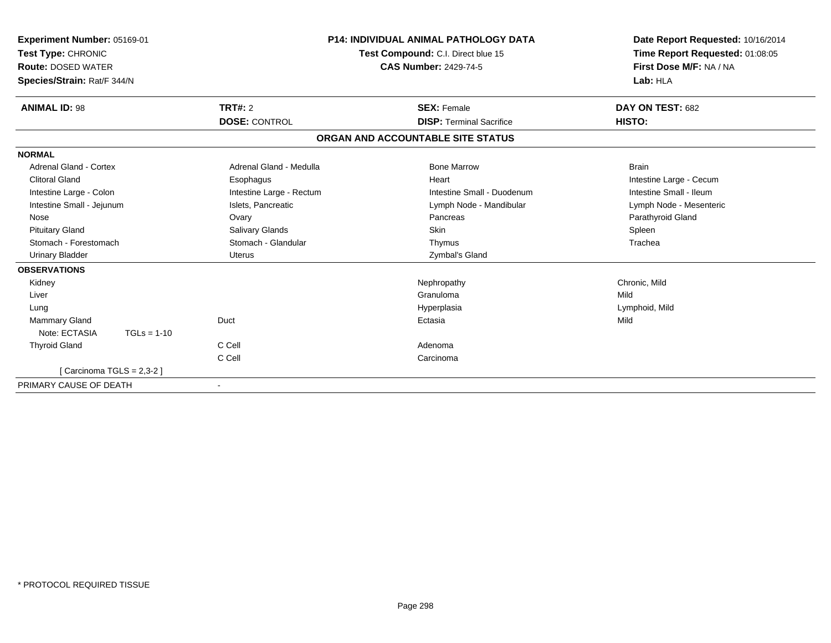| Experiment Number: 05169-01<br>Test Type: CHRONIC<br><b>Route: DOSED WATER</b><br>Species/Strain: Rat/F 344/N |                          | <b>P14: INDIVIDUAL ANIMAL PATHOLOGY DATA</b><br>Test Compound: C.I. Direct blue 15<br><b>CAS Number: 2429-74-5</b> | Date Report Requested: 10/16/2014<br>Time Report Requested: 01:08:05<br>First Dose M/F: NA / NA<br>Lab: HLA |
|---------------------------------------------------------------------------------------------------------------|--------------------------|--------------------------------------------------------------------------------------------------------------------|-------------------------------------------------------------------------------------------------------------|
| <b>ANIMAL ID: 98</b>                                                                                          | TRT#: 2                  | <b>SEX: Female</b>                                                                                                 | DAY ON TEST: 682                                                                                            |
|                                                                                                               | <b>DOSE: CONTROL</b>     | <b>DISP: Terminal Sacrifice</b>                                                                                    | HISTO:                                                                                                      |
|                                                                                                               |                          | ORGAN AND ACCOUNTABLE SITE STATUS                                                                                  |                                                                                                             |
| <b>NORMAL</b>                                                                                                 |                          |                                                                                                                    |                                                                                                             |
| Adrenal Gland - Cortex                                                                                        | Adrenal Gland - Medulla  | <b>Bone Marrow</b>                                                                                                 | <b>Brain</b>                                                                                                |
| <b>Clitoral Gland</b>                                                                                         | Esophagus                | Heart                                                                                                              | Intestine Large - Cecum                                                                                     |
| Intestine Large - Colon                                                                                       | Intestine Large - Rectum | Intestine Small - Duodenum                                                                                         | Intestine Small - Ileum                                                                                     |
| Intestine Small - Jejunum                                                                                     | Islets, Pancreatic       | Lymph Node - Mandibular                                                                                            | Lymph Node - Mesenteric                                                                                     |
| Nose                                                                                                          | Ovary                    | Pancreas                                                                                                           | Parathyroid Gland                                                                                           |
| <b>Pituitary Gland</b>                                                                                        | Salivary Glands          | <b>Skin</b>                                                                                                        | Spleen                                                                                                      |
| Stomach - Forestomach                                                                                         | Stomach - Glandular      | Thymus                                                                                                             | Trachea                                                                                                     |
| <b>Urinary Bladder</b>                                                                                        | <b>Uterus</b>            | Zymbal's Gland                                                                                                     |                                                                                                             |
| <b>OBSERVATIONS</b>                                                                                           |                          |                                                                                                                    |                                                                                                             |
| Kidney                                                                                                        |                          | Nephropathy                                                                                                        | Chronic, Mild                                                                                               |
| Liver                                                                                                         |                          | Granuloma                                                                                                          | Mild                                                                                                        |
| Lung                                                                                                          |                          | Hyperplasia                                                                                                        | Lymphoid, Mild                                                                                              |
| <b>Mammary Gland</b>                                                                                          | Duct                     | Ectasia                                                                                                            | Mild                                                                                                        |
| Note: ECTASIA<br>$TGLs = 1-10$                                                                                |                          |                                                                                                                    |                                                                                                             |
| <b>Thyroid Gland</b>                                                                                          | C Cell                   | Adenoma                                                                                                            |                                                                                                             |
|                                                                                                               | C Cell                   | Carcinoma                                                                                                          |                                                                                                             |
| [Carcinoma TGLS = $2,3-2$ ]                                                                                   |                          |                                                                                                                    |                                                                                                             |
| PRIMARY CAUSE OF DEATH                                                                                        |                          |                                                                                                                    |                                                                                                             |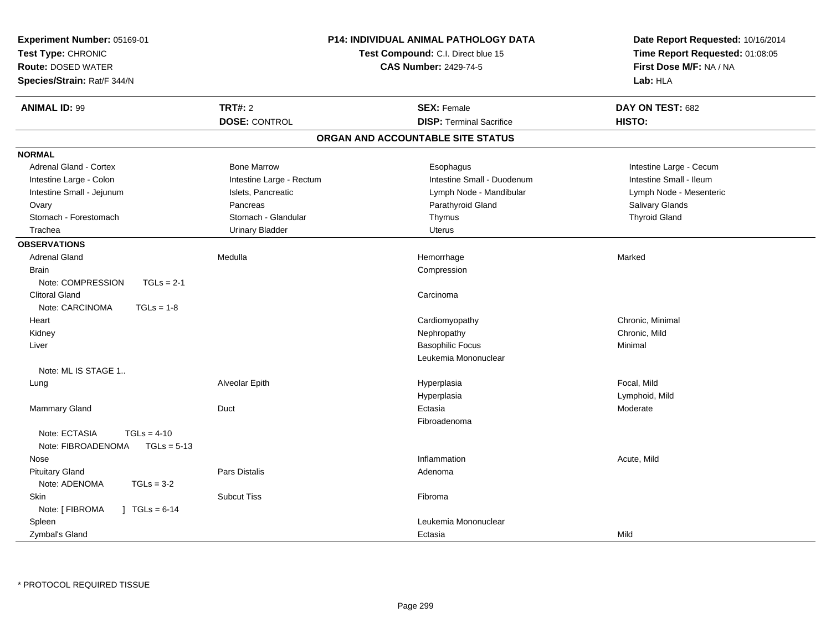| Experiment Number: 05169-01<br>Test Type: CHRONIC<br><b>Route: DOSED WATER</b><br>Species/Strain: Rat/F 344/N | <b>P14: INDIVIDUAL ANIMAL PATHOLOGY DATA</b><br>Test Compound: C.I. Direct blue 15<br><b>CAS Number: 2429-74-5</b> |                                   | Date Report Requested: 10/16/2014<br>Time Report Requested: 01:08:05<br>First Dose M/F: NA / NA<br>Lab: HLA |
|---------------------------------------------------------------------------------------------------------------|--------------------------------------------------------------------------------------------------------------------|-----------------------------------|-------------------------------------------------------------------------------------------------------------|
| <b>ANIMAL ID: 99</b>                                                                                          | <b>TRT#: 2</b>                                                                                                     | <b>SEX: Female</b>                | DAY ON TEST: 682                                                                                            |
|                                                                                                               | <b>DOSE: CONTROL</b>                                                                                               | <b>DISP: Terminal Sacrifice</b>   | HISTO:                                                                                                      |
|                                                                                                               |                                                                                                                    | ORGAN AND ACCOUNTABLE SITE STATUS |                                                                                                             |
| <b>NORMAL</b>                                                                                                 |                                                                                                                    |                                   |                                                                                                             |
| <b>Adrenal Gland - Cortex</b>                                                                                 | <b>Bone Marrow</b>                                                                                                 | Esophagus                         | Intestine Large - Cecum                                                                                     |
| Intestine Large - Colon                                                                                       | Intestine Large - Rectum                                                                                           | Intestine Small - Duodenum        | Intestine Small - Ileum                                                                                     |
| Intestine Small - Jejunum                                                                                     | Islets, Pancreatic                                                                                                 | Lymph Node - Mandibular           | Lymph Node - Mesenteric                                                                                     |
| Ovary                                                                                                         | Pancreas                                                                                                           | Parathyroid Gland                 | Salivary Glands                                                                                             |
| Stomach - Forestomach                                                                                         | Stomach - Glandular                                                                                                | Thymus                            | <b>Thyroid Gland</b>                                                                                        |
| Trachea                                                                                                       | <b>Urinary Bladder</b>                                                                                             | <b>Uterus</b>                     |                                                                                                             |
| <b>OBSERVATIONS</b>                                                                                           |                                                                                                                    |                                   |                                                                                                             |
| <b>Adrenal Gland</b>                                                                                          | Medulla                                                                                                            | Hemorrhage                        | Marked                                                                                                      |
| <b>Brain</b>                                                                                                  |                                                                                                                    | Compression                       |                                                                                                             |
| Note: COMPRESSION<br>$TGLs = 2-1$                                                                             |                                                                                                                    |                                   |                                                                                                             |
| <b>Clitoral Gland</b>                                                                                         |                                                                                                                    | Carcinoma                         |                                                                                                             |
| Note: CARCINOMA<br>$TGLs = 1-8$                                                                               |                                                                                                                    |                                   |                                                                                                             |
| Heart                                                                                                         |                                                                                                                    | Cardiomyopathy                    | Chronic, Minimal                                                                                            |
| Kidney                                                                                                        |                                                                                                                    | Nephropathy                       | Chronic, Mild                                                                                               |
| Liver                                                                                                         |                                                                                                                    | <b>Basophilic Focus</b>           | Minimal                                                                                                     |
|                                                                                                               |                                                                                                                    | Leukemia Mononuclear              |                                                                                                             |
| Note: ML IS STAGE 1                                                                                           |                                                                                                                    |                                   |                                                                                                             |
| Lung                                                                                                          | Alveolar Epith                                                                                                     | Hyperplasia                       | Focal, Mild                                                                                                 |
|                                                                                                               |                                                                                                                    | Hyperplasia                       | Lymphoid, Mild                                                                                              |
| Mammary Gland                                                                                                 | Duct                                                                                                               | Ectasia                           | Moderate                                                                                                    |
|                                                                                                               |                                                                                                                    | Fibroadenoma                      |                                                                                                             |
| Note: ECTASIA<br>$TGLs = 4-10$<br>Note: FIBROADENOMA<br>$TGLs = 5-13$                                         |                                                                                                                    |                                   |                                                                                                             |
| Nose                                                                                                          |                                                                                                                    | Inflammation                      | Acute, Mild                                                                                                 |
| <b>Pituitary Gland</b>                                                                                        | Pars Distalis                                                                                                      | Adenoma                           |                                                                                                             |
| Note: ADENOMA<br>$TGLs = 3-2$                                                                                 |                                                                                                                    |                                   |                                                                                                             |
| Skin                                                                                                          | <b>Subcut Tiss</b>                                                                                                 | Fibroma                           |                                                                                                             |
| Note: [ FIBROMA<br>$] TGLs = 6-14$                                                                            |                                                                                                                    |                                   |                                                                                                             |
| Spleen                                                                                                        |                                                                                                                    | Leukemia Mononuclear              |                                                                                                             |
|                                                                                                               |                                                                                                                    |                                   |                                                                                                             |
| Zymbal's Gland                                                                                                |                                                                                                                    | Ectasia                           | Mild                                                                                                        |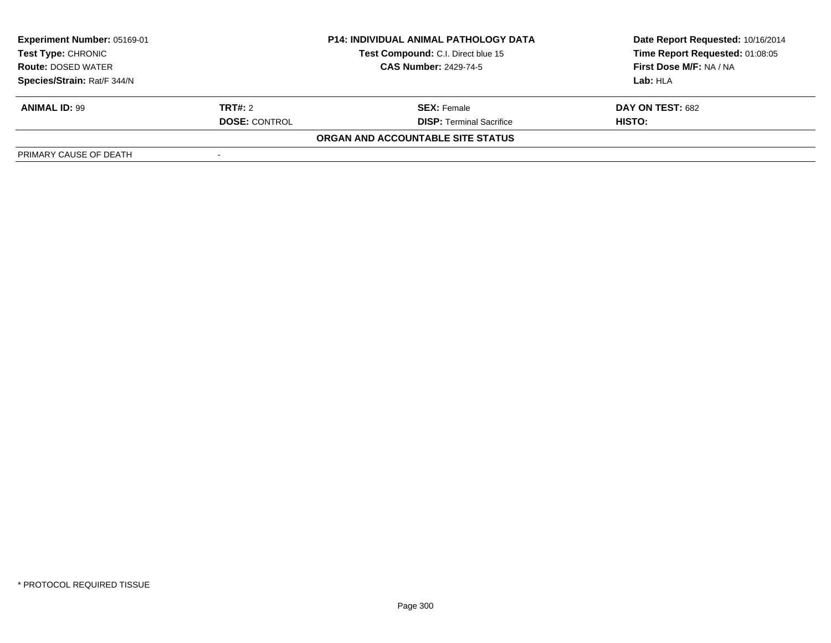| <b>Experiment Number: 05169-01</b>                                             |                      | <b>P14: INDIVIDUAL ANIMAL PATHOLOGY DATA</b> | Date Report Requested: 10/16/2014 |  |
|--------------------------------------------------------------------------------|----------------------|----------------------------------------------|-----------------------------------|--|
| Test Type: CHRONIC<br><b>Route: DOSED WATER</b><br>Species/Strain: Rat/F 344/N |                      | Test Compound: C.I. Direct blue 15           | Time Report Requested: 01:08:05   |  |
|                                                                                |                      | <b>CAS Number: 2429-74-5</b>                 | First Dose M/F: NA / NA           |  |
|                                                                                |                      |                                              | Lab: HLA                          |  |
| <b>ANIMAL ID: 99</b>                                                           | <b>TRT#:</b> 2       | <b>SEX:</b> Female                           | DAY ON TEST: 682                  |  |
|                                                                                | <b>DOSE: CONTROL</b> | <b>DISP:</b> Terminal Sacrifice              | HISTO:                            |  |
|                                                                                |                      | ORGAN AND ACCOUNTABLE SITE STATUS            |                                   |  |
| PRIMARY CAUSE OF DEATH                                                         |                      |                                              |                                   |  |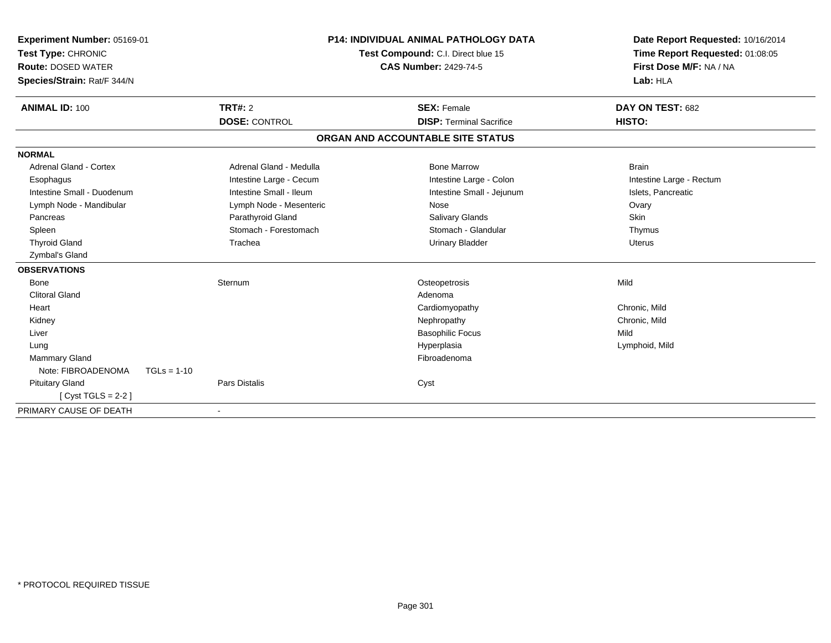| <b>Experiment Number: 05169-01</b><br>Test Type: CHRONIC<br><b>Route: DOSED WATER</b><br>Species/Strain: Rat/F 344/N |               | <b>P14: INDIVIDUAL ANIMAL PATHOLOGY DATA</b><br>Test Compound: C.I. Direct blue 15<br><b>CAS Number: 2429-74-5</b> |  | Date Report Requested: 10/16/2014<br>Time Report Requested: 01:08:05<br>First Dose M/F: NA / NA<br>Lab: HLA |                          |
|----------------------------------------------------------------------------------------------------------------------|---------------|--------------------------------------------------------------------------------------------------------------------|--|-------------------------------------------------------------------------------------------------------------|--------------------------|
| <b>ANIMAL ID: 100</b>                                                                                                |               | <b>TRT#: 2</b>                                                                                                     |  | <b>SEX: Female</b>                                                                                          | DAY ON TEST: 682         |
|                                                                                                                      |               | <b>DOSE: CONTROL</b>                                                                                               |  | <b>DISP: Terminal Sacrifice</b>                                                                             | HISTO:                   |
|                                                                                                                      |               |                                                                                                                    |  | ORGAN AND ACCOUNTABLE SITE STATUS                                                                           |                          |
| <b>NORMAL</b>                                                                                                        |               |                                                                                                                    |  |                                                                                                             |                          |
| <b>Adrenal Gland - Cortex</b>                                                                                        |               | Adrenal Gland - Medulla                                                                                            |  | <b>Bone Marrow</b>                                                                                          | <b>Brain</b>             |
| Esophagus                                                                                                            |               | Intestine Large - Cecum                                                                                            |  | Intestine Large - Colon                                                                                     | Intestine Large - Rectum |
| Intestine Small - Duodenum                                                                                           |               | Intestine Small - Ileum                                                                                            |  | Intestine Small - Jejunum                                                                                   | Islets, Pancreatic       |
| Lymph Node - Mandibular                                                                                              |               | Lymph Node - Mesenteric                                                                                            |  | Nose                                                                                                        | Ovary                    |
| Pancreas                                                                                                             |               | Parathyroid Gland                                                                                                  |  | <b>Salivary Glands</b>                                                                                      | Skin                     |
| Spleen                                                                                                               |               | Stomach - Forestomach                                                                                              |  | Stomach - Glandular                                                                                         | Thymus                   |
| <b>Thyroid Gland</b>                                                                                                 |               | Trachea                                                                                                            |  | <b>Urinary Bladder</b>                                                                                      | <b>Uterus</b>            |
| Zymbal's Gland                                                                                                       |               |                                                                                                                    |  |                                                                                                             |                          |
| <b>OBSERVATIONS</b>                                                                                                  |               |                                                                                                                    |  |                                                                                                             |                          |
| <b>Bone</b>                                                                                                          |               | Sternum                                                                                                            |  | Osteopetrosis                                                                                               | Mild                     |
| <b>Clitoral Gland</b>                                                                                                |               |                                                                                                                    |  | Adenoma                                                                                                     |                          |
| Heart                                                                                                                |               |                                                                                                                    |  | Cardiomyopathy                                                                                              | Chronic, Mild            |
| Kidney                                                                                                               |               |                                                                                                                    |  | Nephropathy                                                                                                 | Chronic, Mild            |
| Liver                                                                                                                |               |                                                                                                                    |  | <b>Basophilic Focus</b>                                                                                     | Mild                     |
| Lung                                                                                                                 |               |                                                                                                                    |  | Hyperplasia                                                                                                 | Lymphoid, Mild           |
| Mammary Gland                                                                                                        |               |                                                                                                                    |  | Fibroadenoma                                                                                                |                          |
| Note: FIBROADENOMA                                                                                                   | $TGLs = 1-10$ |                                                                                                                    |  |                                                                                                             |                          |
| <b>Pituitary Gland</b>                                                                                               |               | <b>Pars Distalis</b>                                                                                               |  | Cyst                                                                                                        |                          |
| [Cyst TGLS = $2-2$ ]                                                                                                 |               |                                                                                                                    |  |                                                                                                             |                          |
| PRIMARY CAUSE OF DEATH                                                                                               |               |                                                                                                                    |  |                                                                                                             |                          |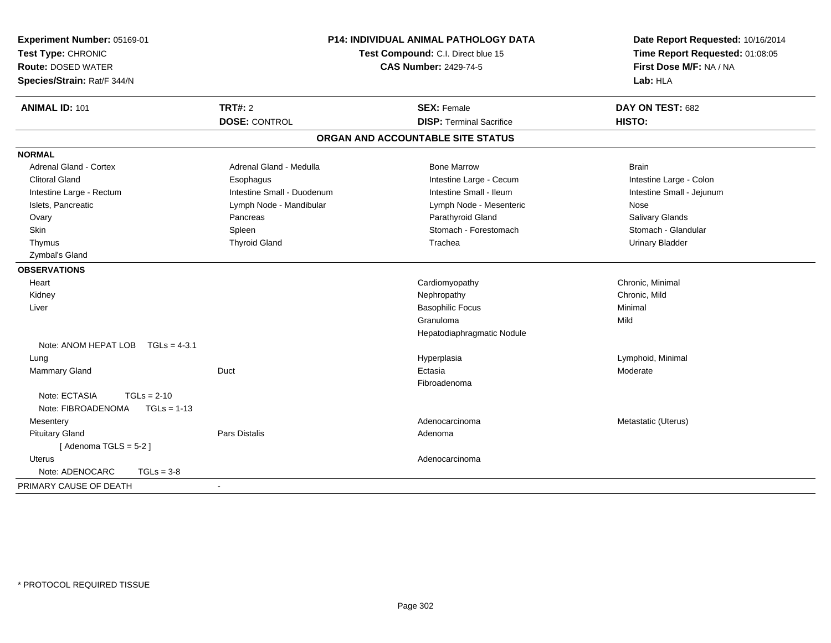| Experiment Number: 05169-01<br>Test Type: CHRONIC<br><b>Route: DOSED WATER</b><br>Species/Strain: Rat/F 344/N |                            | P14: INDIVIDUAL ANIMAL PATHOLOGY DATA<br>Test Compound: C.I. Direct blue 15<br><b>CAS Number: 2429-74-5</b> | Date Report Requested: 10/16/2014<br>Time Report Requested: 01:08:05<br>First Dose M/F: NA / NA<br>Lab: HLA |
|---------------------------------------------------------------------------------------------------------------|----------------------------|-------------------------------------------------------------------------------------------------------------|-------------------------------------------------------------------------------------------------------------|
| <b>ANIMAL ID: 101</b>                                                                                         | TRT#: 2                    | <b>SEX: Female</b>                                                                                          | DAY ON TEST: 682                                                                                            |
|                                                                                                               | <b>DOSE: CONTROL</b>       | <b>DISP: Terminal Sacrifice</b>                                                                             | HISTO:                                                                                                      |
|                                                                                                               |                            | ORGAN AND ACCOUNTABLE SITE STATUS                                                                           |                                                                                                             |
| <b>NORMAL</b>                                                                                                 |                            |                                                                                                             |                                                                                                             |
| <b>Adrenal Gland - Cortex</b>                                                                                 | Adrenal Gland - Medulla    | <b>Bone Marrow</b>                                                                                          | <b>Brain</b>                                                                                                |
| <b>Clitoral Gland</b>                                                                                         | Esophagus                  | Intestine Large - Cecum                                                                                     | Intestine Large - Colon                                                                                     |
| Intestine Large - Rectum                                                                                      | Intestine Small - Duodenum | Intestine Small - Ileum                                                                                     | Intestine Small - Jejunum                                                                                   |
| Islets, Pancreatic                                                                                            | Lymph Node - Mandibular    | Lymph Node - Mesenteric                                                                                     | Nose                                                                                                        |
| Ovary                                                                                                         | Pancreas                   | Parathyroid Gland                                                                                           | Salivary Glands                                                                                             |
| <b>Skin</b>                                                                                                   | Spleen                     | Stomach - Forestomach                                                                                       | Stomach - Glandular                                                                                         |
| Thymus                                                                                                        | <b>Thyroid Gland</b>       | Trachea                                                                                                     | <b>Urinary Bladder</b>                                                                                      |
| Zymbal's Gland                                                                                                |                            |                                                                                                             |                                                                                                             |
| <b>OBSERVATIONS</b>                                                                                           |                            |                                                                                                             |                                                                                                             |
| Heart                                                                                                         |                            | Cardiomyopathy                                                                                              | Chronic, Minimal                                                                                            |
| Kidney                                                                                                        |                            | Nephropathy                                                                                                 | Chronic, Mild                                                                                               |
| Liver                                                                                                         |                            | <b>Basophilic Focus</b>                                                                                     | Minimal                                                                                                     |
|                                                                                                               |                            | Granuloma                                                                                                   | Mild                                                                                                        |
|                                                                                                               |                            | Hepatodiaphragmatic Nodule                                                                                  |                                                                                                             |
| Note: ANOM HEPAT LOB TGLs = 4-3.1                                                                             |                            |                                                                                                             |                                                                                                             |
| Lung                                                                                                          |                            | Hyperplasia                                                                                                 | Lymphoid, Minimal                                                                                           |
| Mammary Gland                                                                                                 | Duct                       | Ectasia                                                                                                     | Moderate                                                                                                    |
|                                                                                                               |                            | Fibroadenoma                                                                                                |                                                                                                             |
| Note: ECTASIA<br>$TGLs = 2-10$                                                                                |                            |                                                                                                             |                                                                                                             |
| Note: FIBROADENOMA<br>$TGLs = 1-13$                                                                           |                            |                                                                                                             |                                                                                                             |
| Mesentery                                                                                                     |                            | Adenocarcinoma                                                                                              | Metastatic (Uterus)                                                                                         |
| <b>Pituitary Gland</b>                                                                                        | <b>Pars Distalis</b>       | Adenoma                                                                                                     |                                                                                                             |
| [Adenoma TGLS = $5-2$ ]                                                                                       |                            |                                                                                                             |                                                                                                             |
| <b>Uterus</b>                                                                                                 |                            | Adenocarcinoma                                                                                              |                                                                                                             |
| Note: ADENOCARC<br>$TGLs = 3-8$                                                                               |                            |                                                                                                             |                                                                                                             |
| PRIMARY CAUSE OF DEATH                                                                                        |                            |                                                                                                             |                                                                                                             |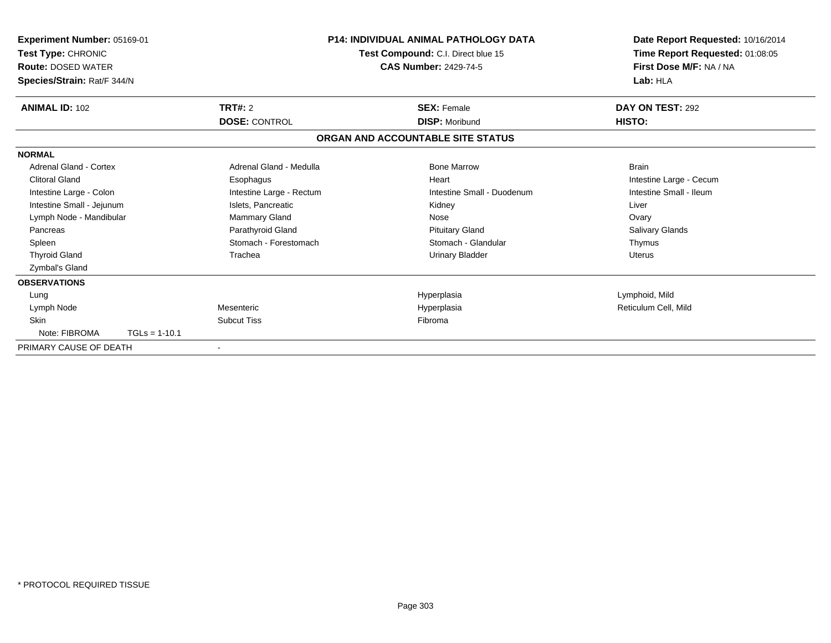| Experiment Number: 05169-01<br>Test Type: CHRONIC<br><b>Route: DOSED WATER</b><br>Species/Strain: Rat/F 344/N |                 |                          | <b>P14: INDIVIDUAL ANIMAL PATHOLOGY DATA</b><br>Test Compound: C.I. Direct blue 15<br><b>CAS Number: 2429-74-5</b> | Date Report Requested: 10/16/2014<br>Time Report Requested: 01:08:05<br>First Dose M/F: NA / NA<br>Lab: HLA |
|---------------------------------------------------------------------------------------------------------------|-----------------|--------------------------|--------------------------------------------------------------------------------------------------------------------|-------------------------------------------------------------------------------------------------------------|
| <b>ANIMAL ID: 102</b>                                                                                         |                 | TRT#: 2                  | <b>SEX: Female</b>                                                                                                 | DAY ON TEST: 292                                                                                            |
|                                                                                                               |                 | <b>DOSE: CONTROL</b>     | <b>DISP: Moribund</b>                                                                                              | HISTO:                                                                                                      |
|                                                                                                               |                 |                          | ORGAN AND ACCOUNTABLE SITE STATUS                                                                                  |                                                                                                             |
| <b>NORMAL</b>                                                                                                 |                 |                          |                                                                                                                    |                                                                                                             |
| <b>Adrenal Gland - Cortex</b>                                                                                 |                 | Adrenal Gland - Medulla  | <b>Bone Marrow</b>                                                                                                 | <b>Brain</b>                                                                                                |
| <b>Clitoral Gland</b>                                                                                         |                 | Esophagus                | Heart                                                                                                              | Intestine Large - Cecum                                                                                     |
| Intestine Large - Colon                                                                                       |                 | Intestine Large - Rectum | Intestine Small - Duodenum                                                                                         | Intestine Small - Ileum                                                                                     |
| Intestine Small - Jejunum                                                                                     |                 | Islets, Pancreatic       | Kidney                                                                                                             | Liver                                                                                                       |
| Lymph Node - Mandibular                                                                                       |                 | <b>Mammary Gland</b>     | Nose                                                                                                               | Ovary                                                                                                       |
| Pancreas                                                                                                      |                 | Parathyroid Gland        | <b>Pituitary Gland</b>                                                                                             | Salivary Glands                                                                                             |
| Spleen                                                                                                        |                 | Stomach - Forestomach    | Stomach - Glandular                                                                                                | Thymus                                                                                                      |
| <b>Thyroid Gland</b>                                                                                          |                 | Trachea                  | <b>Urinary Bladder</b>                                                                                             | <b>Uterus</b>                                                                                               |
| Zymbal's Gland                                                                                                |                 |                          |                                                                                                                    |                                                                                                             |
| <b>OBSERVATIONS</b>                                                                                           |                 |                          |                                                                                                                    |                                                                                                             |
| Lung                                                                                                          |                 |                          | Hyperplasia                                                                                                        | Lymphoid, Mild                                                                                              |
| Lymph Node                                                                                                    |                 | Mesenteric               | Hyperplasia                                                                                                        | Reticulum Cell, Mild                                                                                        |
| <b>Skin</b>                                                                                                   |                 | <b>Subcut Tiss</b>       | Fibroma                                                                                                            |                                                                                                             |
| Note: FIBROMA                                                                                                 | $TGLs = 1-10.1$ |                          |                                                                                                                    |                                                                                                             |
| PRIMARY CAUSE OF DEATH                                                                                        |                 |                          |                                                                                                                    |                                                                                                             |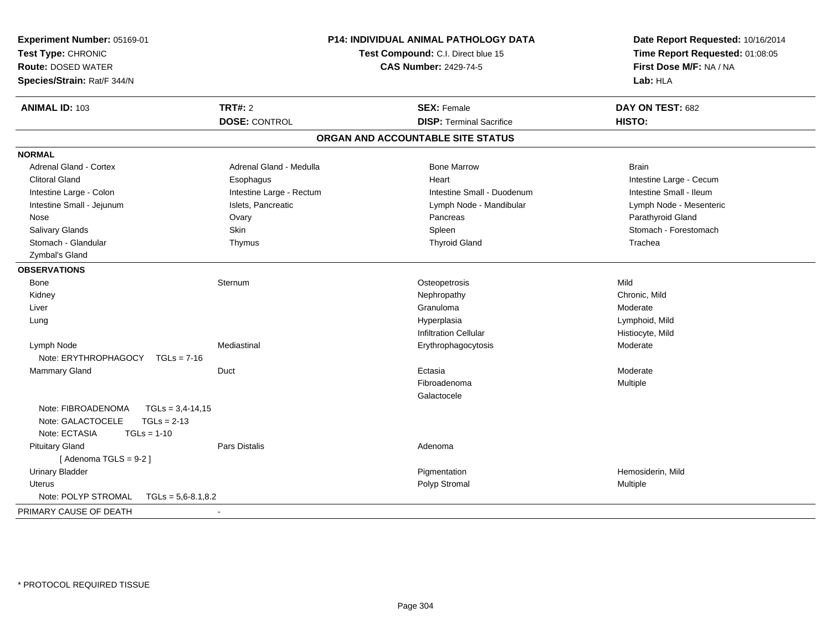| Experiment Number: 05169-01<br>Test Type: CHRONIC<br><b>Route: DOSED WATER</b><br>Species/Strain: Rat/F 344/N    |                          | P14: INDIVIDUAL ANIMAL PATHOLOGY DATA<br>Test Compound: C.I. Direct blue 15<br><b>CAS Number: 2429-74-5</b> | Date Report Requested: 10/16/2014<br>Time Report Requested: 01:08:05<br>First Dose M/F: NA / NA<br>Lab: HLA |
|------------------------------------------------------------------------------------------------------------------|--------------------------|-------------------------------------------------------------------------------------------------------------|-------------------------------------------------------------------------------------------------------------|
| <b>ANIMAL ID: 103</b>                                                                                            | <b>TRT#: 2</b>           | <b>SEX: Female</b>                                                                                          | DAY ON TEST: 682                                                                                            |
|                                                                                                                  | <b>DOSE: CONTROL</b>     | <b>DISP: Terminal Sacrifice</b>                                                                             | HISTO:                                                                                                      |
|                                                                                                                  |                          | ORGAN AND ACCOUNTABLE SITE STATUS                                                                           |                                                                                                             |
| <b>NORMAL</b>                                                                                                    |                          |                                                                                                             |                                                                                                             |
| <b>Adrenal Gland - Cortex</b>                                                                                    | Adrenal Gland - Medulla  | <b>Bone Marrow</b>                                                                                          | <b>Brain</b>                                                                                                |
| <b>Clitoral Gland</b>                                                                                            | Esophagus                | Heart                                                                                                       | Intestine Large - Cecum                                                                                     |
| Intestine Large - Colon                                                                                          | Intestine Large - Rectum | Intestine Small - Duodenum                                                                                  | Intestine Small - Ileum                                                                                     |
| Intestine Small - Jejunum                                                                                        | Islets, Pancreatic       | Lymph Node - Mandibular                                                                                     | Lymph Node - Mesenteric                                                                                     |
| Nose                                                                                                             | Ovary                    | Pancreas                                                                                                    | Parathyroid Gland                                                                                           |
| Salivary Glands                                                                                                  | Skin                     | Spleen                                                                                                      | Stomach - Forestomach                                                                                       |
| Stomach - Glandular                                                                                              | Thymus                   | <b>Thyroid Gland</b>                                                                                        | Trachea                                                                                                     |
| Zymbal's Gland                                                                                                   |                          |                                                                                                             |                                                                                                             |
| <b>OBSERVATIONS</b>                                                                                              |                          |                                                                                                             |                                                                                                             |
| Bone                                                                                                             | Sternum                  | Osteopetrosis                                                                                               | Mild                                                                                                        |
| Kidney                                                                                                           |                          | Nephropathy                                                                                                 | Chronic, Mild                                                                                               |
| Liver                                                                                                            |                          | Granuloma                                                                                                   | Moderate                                                                                                    |
| Lung                                                                                                             |                          | Hyperplasia                                                                                                 | Lymphoid, Mild                                                                                              |
|                                                                                                                  |                          | <b>Infiltration Cellular</b>                                                                                | Histiocyte, Mild                                                                                            |
| Lymph Node<br>Note: ERYTHROPHAGOCY<br>$TGLs = 7-16$                                                              | Mediastinal              | Erythrophagocytosis                                                                                         | Moderate                                                                                                    |
| Mammary Gland                                                                                                    | Duct                     | Ectasia                                                                                                     | Moderate                                                                                                    |
|                                                                                                                  |                          | Fibroadenoma                                                                                                | Multiple                                                                                                    |
|                                                                                                                  |                          | Galactocele                                                                                                 |                                                                                                             |
| Note: FIBROADENOMA<br>$TGLs = 3,4-14,15$<br>Note: GALACTOCELE<br>$TGLs = 2-13$<br>Note: ECTASIA<br>$TGLs = 1-10$ |                          |                                                                                                             |                                                                                                             |
| <b>Pituitary Gland</b><br>[Adenoma TGLS = $9-2$ ]                                                                | <b>Pars Distalis</b>     | Adenoma                                                                                                     |                                                                                                             |
| <b>Urinary Bladder</b>                                                                                           |                          | Pigmentation                                                                                                | Hemosiderin, Mild                                                                                           |
| <b>Uterus</b>                                                                                                    |                          | Polyp Stromal                                                                                               | Multiple                                                                                                    |
| Note: POLYP STROMAL<br>$TGLs = 5,6-8.1,8.2$                                                                      |                          |                                                                                                             |                                                                                                             |
| PRIMARY CAUSE OF DEATH                                                                                           | $\sim$                   |                                                                                                             |                                                                                                             |
|                                                                                                                  |                          |                                                                                                             |                                                                                                             |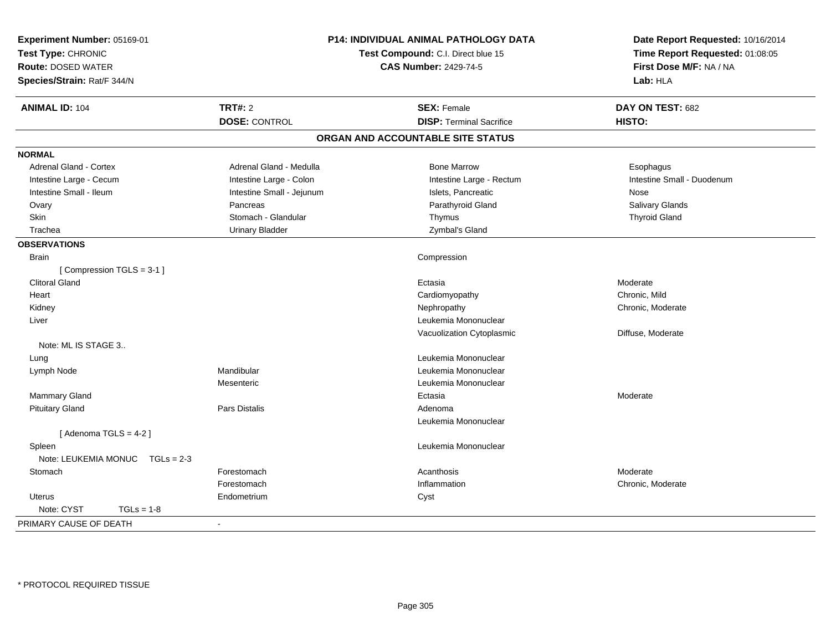| Experiment Number: 05169-01<br>Test Type: CHRONIC<br><b>Route: DOSED WATER</b><br>Species/Strain: Rat/F 344/N | P14: INDIVIDUAL ANIMAL PATHOLOGY DATA<br>Test Compound: C.I. Direct blue 15<br><b>CAS Number: 2429-74-5</b> |                                   | Date Report Requested: 10/16/2014<br>Time Report Requested: 01:08:05<br>First Dose M/F: NA / NA<br>Lab: HLA |  |
|---------------------------------------------------------------------------------------------------------------|-------------------------------------------------------------------------------------------------------------|-----------------------------------|-------------------------------------------------------------------------------------------------------------|--|
| <b>ANIMAL ID: 104</b>                                                                                         | <b>TRT#: 2</b>                                                                                              | <b>SEX: Female</b>                | DAY ON TEST: 682                                                                                            |  |
|                                                                                                               | <b>DOSE: CONTROL</b>                                                                                        | <b>DISP: Terminal Sacrifice</b>   | HISTO:                                                                                                      |  |
|                                                                                                               |                                                                                                             | ORGAN AND ACCOUNTABLE SITE STATUS |                                                                                                             |  |
| <b>NORMAL</b>                                                                                                 |                                                                                                             |                                   |                                                                                                             |  |
| <b>Adrenal Gland - Cortex</b>                                                                                 | Adrenal Gland - Medulla                                                                                     | <b>Bone Marrow</b>                | Esophagus                                                                                                   |  |
| Intestine Large - Cecum                                                                                       | Intestine Large - Colon                                                                                     | Intestine Large - Rectum          | Intestine Small - Duodenum                                                                                  |  |
| Intestine Small - Ileum                                                                                       | Intestine Small - Jejunum                                                                                   | Islets, Pancreatic                | Nose                                                                                                        |  |
| Ovary                                                                                                         | Pancreas                                                                                                    | Parathyroid Gland                 | Salivary Glands                                                                                             |  |
| Skin                                                                                                          | Stomach - Glandular                                                                                         | Thymus                            | <b>Thyroid Gland</b>                                                                                        |  |
| Trachea                                                                                                       | <b>Urinary Bladder</b>                                                                                      | Zymbal's Gland                    |                                                                                                             |  |
| <b>OBSERVATIONS</b>                                                                                           |                                                                                                             |                                   |                                                                                                             |  |
| Brain                                                                                                         |                                                                                                             | Compression                       |                                                                                                             |  |
| [Compression TGLS = 3-1]                                                                                      |                                                                                                             |                                   |                                                                                                             |  |
| <b>Clitoral Gland</b>                                                                                         |                                                                                                             | Ectasia                           | Moderate                                                                                                    |  |
| Heart                                                                                                         |                                                                                                             | Cardiomyopathy                    | Chronic, Mild                                                                                               |  |
| Kidney                                                                                                        |                                                                                                             | Nephropathy                       | Chronic, Moderate                                                                                           |  |
| Liver                                                                                                         |                                                                                                             | Leukemia Mononuclear              |                                                                                                             |  |
|                                                                                                               |                                                                                                             | Vacuolization Cytoplasmic         | Diffuse, Moderate                                                                                           |  |
| Note: ML IS STAGE 3                                                                                           |                                                                                                             |                                   |                                                                                                             |  |
| Lung                                                                                                          |                                                                                                             | Leukemia Mononuclear              |                                                                                                             |  |
| Lymph Node                                                                                                    | Mandibular                                                                                                  | Leukemia Mononuclear              |                                                                                                             |  |
|                                                                                                               | Mesenteric                                                                                                  | Leukemia Mononuclear              |                                                                                                             |  |
| Mammary Gland                                                                                                 |                                                                                                             | Ectasia                           | Moderate                                                                                                    |  |
| <b>Pituitary Gland</b>                                                                                        | Pars Distalis                                                                                               | Adenoma                           |                                                                                                             |  |
|                                                                                                               |                                                                                                             | Leukemia Mononuclear              |                                                                                                             |  |
| [Adenoma TGLS = $4-2$ ]                                                                                       |                                                                                                             |                                   |                                                                                                             |  |
| Spleen                                                                                                        |                                                                                                             | Leukemia Mononuclear              |                                                                                                             |  |
| Note: LEUKEMIA MONUC<br>$TGLs = 2-3$                                                                          |                                                                                                             |                                   |                                                                                                             |  |
| Stomach                                                                                                       | Forestomach                                                                                                 | Acanthosis                        | Moderate                                                                                                    |  |
|                                                                                                               | Forestomach                                                                                                 | Inflammation                      | Chronic, Moderate                                                                                           |  |
| <b>Uterus</b>                                                                                                 | Endometrium                                                                                                 | Cyst                              |                                                                                                             |  |
| Note: CYST<br>$TGLs = 1-8$                                                                                    |                                                                                                             |                                   |                                                                                                             |  |
| PRIMARY CAUSE OF DEATH                                                                                        | $\blacksquare$                                                                                              |                                   |                                                                                                             |  |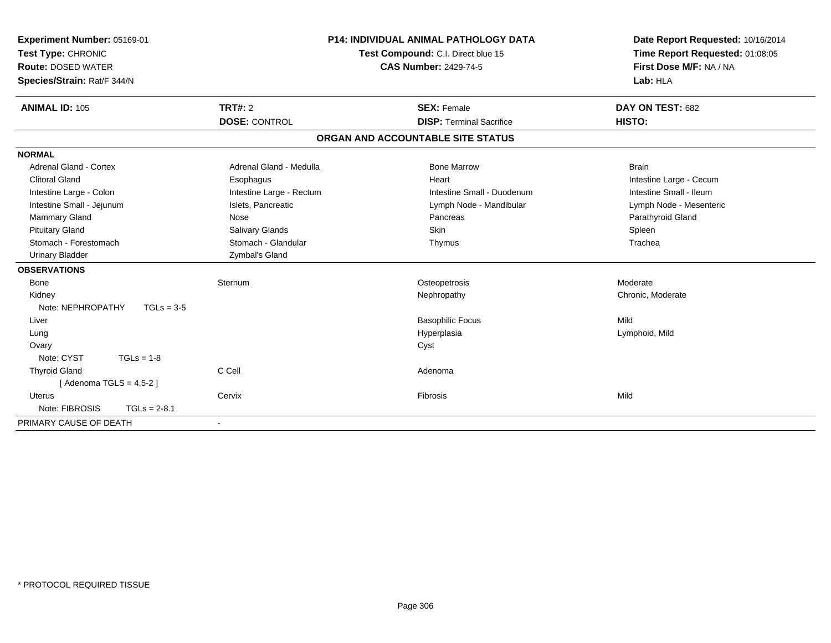| Experiment Number: 05169-01<br>Test Type: CHRONIC<br><b>Route: DOSED WATER</b><br>Species/Strain: Rat/F 344/N<br><b>ANIMAL ID: 105</b> | TRT#: 2                  | <b>P14: INDIVIDUAL ANIMAL PATHOLOGY DATA</b><br>Test Compound: C.I. Direct blue 15<br><b>CAS Number: 2429-74-5</b><br><b>SEX: Female</b> | Date Report Requested: 10/16/2014<br>Time Report Requested: 01:08:05<br>First Dose M/F: NA / NA<br>Lab: HLA<br>DAY ON TEST: 682 |
|----------------------------------------------------------------------------------------------------------------------------------------|--------------------------|------------------------------------------------------------------------------------------------------------------------------------------|---------------------------------------------------------------------------------------------------------------------------------|
|                                                                                                                                        | <b>DOSE: CONTROL</b>     | <b>DISP: Terminal Sacrifice</b>                                                                                                          | HISTO:                                                                                                                          |
|                                                                                                                                        |                          | ORGAN AND ACCOUNTABLE SITE STATUS                                                                                                        |                                                                                                                                 |
| <b>NORMAL</b>                                                                                                                          |                          |                                                                                                                                          |                                                                                                                                 |
| <b>Adrenal Gland - Cortex</b>                                                                                                          | Adrenal Gland - Medulla  | <b>Bone Marrow</b>                                                                                                                       | <b>Brain</b>                                                                                                                    |
| <b>Clitoral Gland</b>                                                                                                                  | Esophagus                | Heart                                                                                                                                    | Intestine Large - Cecum                                                                                                         |
| Intestine Large - Colon                                                                                                                | Intestine Large - Rectum | Intestine Small - Duodenum                                                                                                               | Intestine Small - Ileum                                                                                                         |
| Intestine Small - Jejunum                                                                                                              | Islets, Pancreatic       | Lymph Node - Mandibular                                                                                                                  | Lymph Node - Mesenteric                                                                                                         |
| Mammary Gland                                                                                                                          | Nose                     | Pancreas                                                                                                                                 | Parathyroid Gland                                                                                                               |
| <b>Pituitary Gland</b>                                                                                                                 | Salivary Glands          | <b>Skin</b>                                                                                                                              | Spleen                                                                                                                          |
| Stomach - Forestomach                                                                                                                  | Stomach - Glandular      | Thymus                                                                                                                                   | Trachea                                                                                                                         |
| <b>Urinary Bladder</b>                                                                                                                 | Zymbal's Gland           |                                                                                                                                          |                                                                                                                                 |
| <b>OBSERVATIONS</b>                                                                                                                    |                          |                                                                                                                                          |                                                                                                                                 |
| Bone                                                                                                                                   | Sternum                  | Osteopetrosis                                                                                                                            | Moderate                                                                                                                        |
| Kidney                                                                                                                                 |                          | Nephropathy                                                                                                                              | Chronic, Moderate                                                                                                               |
| Note: NEPHROPATHY                                                                                                                      | $TGLs = 3-5$             |                                                                                                                                          |                                                                                                                                 |
| Liver                                                                                                                                  |                          | <b>Basophilic Focus</b>                                                                                                                  | Mild                                                                                                                            |
| Lung                                                                                                                                   |                          | Hyperplasia                                                                                                                              | Lymphoid, Mild                                                                                                                  |
| Ovary                                                                                                                                  |                          | Cyst                                                                                                                                     |                                                                                                                                 |
| Note: CYST<br>$TGLs = 1-8$                                                                                                             |                          |                                                                                                                                          |                                                                                                                                 |
| <b>Thyroid Gland</b>                                                                                                                   | C Cell                   | Adenoma                                                                                                                                  |                                                                                                                                 |
| [Adenoma TGLS = $4,5-2$ ]                                                                                                              |                          |                                                                                                                                          |                                                                                                                                 |
| <b>Uterus</b>                                                                                                                          | Cervix                   | Fibrosis                                                                                                                                 | Mild                                                                                                                            |
| Note: FIBROSIS<br>$TGLs = 2-8.1$                                                                                                       |                          |                                                                                                                                          |                                                                                                                                 |
| PRIMARY CAUSE OF DEATH                                                                                                                 | $\blacksquare$           |                                                                                                                                          |                                                                                                                                 |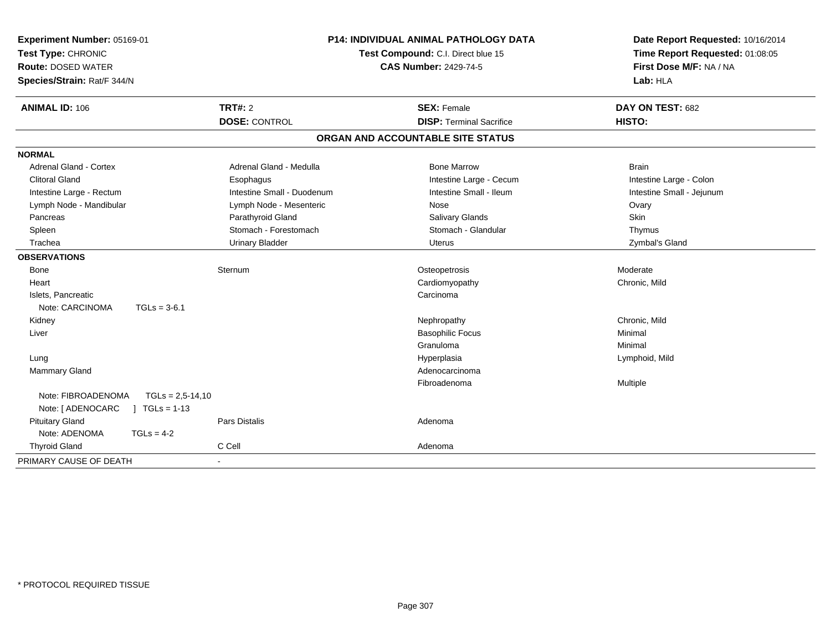| Experiment Number: 05169-01<br>Test Type: CHRONIC<br><b>Route: DOSED WATER</b><br>Species/Strain: Rat/F 344/N |                      | <b>P14: INDIVIDUAL ANIMAL PATHOLOGY DATA</b><br>Test Compound: C.I. Direct blue 15<br><b>CAS Number: 2429-74-5</b> |  | Date Report Requested: 10/16/2014<br>Time Report Requested: 01:08:05<br>First Dose M/F: NA / NA<br>Lab: HLA |                            |
|---------------------------------------------------------------------------------------------------------------|----------------------|--------------------------------------------------------------------------------------------------------------------|--|-------------------------------------------------------------------------------------------------------------|----------------------------|
| <b>ANIMAL ID: 106</b>                                                                                         |                      | <b>TRT#: 2</b><br><b>DOSE: CONTROL</b>                                                                             |  | <b>SEX: Female</b><br><b>DISP: Terminal Sacrifice</b>                                                       | DAY ON TEST: 682<br>HISTO: |
|                                                                                                               |                      |                                                                                                                    |  | ORGAN AND ACCOUNTABLE SITE STATUS                                                                           |                            |
| <b>NORMAL</b>                                                                                                 |                      |                                                                                                                    |  |                                                                                                             |                            |
| Adrenal Gland - Cortex                                                                                        |                      | Adrenal Gland - Medulla                                                                                            |  | <b>Bone Marrow</b>                                                                                          | <b>Brain</b>               |
| <b>Clitoral Gland</b>                                                                                         |                      | Esophagus                                                                                                          |  | Intestine Large - Cecum                                                                                     | Intestine Large - Colon    |
| Intestine Large - Rectum                                                                                      |                      | Intestine Small - Duodenum                                                                                         |  | Intestine Small - Ileum                                                                                     | Intestine Small - Jejunum  |
| Lymph Node - Mandibular                                                                                       |                      | Lymph Node - Mesenteric                                                                                            |  | Nose                                                                                                        | Ovary                      |
| Pancreas                                                                                                      |                      | Parathyroid Gland                                                                                                  |  | Salivary Glands                                                                                             | <b>Skin</b>                |
| Spleen                                                                                                        |                      | Stomach - Forestomach                                                                                              |  | Stomach - Glandular                                                                                         | Thymus                     |
| Trachea                                                                                                       |                      | <b>Urinary Bladder</b>                                                                                             |  | <b>Uterus</b>                                                                                               | Zymbal's Gland             |
| <b>OBSERVATIONS</b>                                                                                           |                      |                                                                                                                    |  |                                                                                                             |                            |
| Bone                                                                                                          |                      | Sternum                                                                                                            |  | Osteopetrosis                                                                                               | Moderate                   |
| Heart                                                                                                         |                      |                                                                                                                    |  | Cardiomyopathy                                                                                              | Chronic, Mild              |
| Islets, Pancreatic                                                                                            |                      |                                                                                                                    |  | Carcinoma                                                                                                   |                            |
| Note: CARCINOMA                                                                                               | $TGLs = 3-6.1$       |                                                                                                                    |  |                                                                                                             |                            |
| Kidney                                                                                                        |                      |                                                                                                                    |  | Nephropathy                                                                                                 | Chronic, Mild              |
| Liver                                                                                                         |                      |                                                                                                                    |  | <b>Basophilic Focus</b>                                                                                     | Minimal                    |
|                                                                                                               |                      |                                                                                                                    |  | Granuloma                                                                                                   | Minimal                    |
| Lung                                                                                                          |                      |                                                                                                                    |  | Hyperplasia                                                                                                 | Lymphoid, Mild             |
| Mammary Gland                                                                                                 |                      |                                                                                                                    |  | Adenocarcinoma                                                                                              |                            |
|                                                                                                               |                      |                                                                                                                    |  | Fibroadenoma                                                                                                | Multiple                   |
| Note: FIBROADENOMA                                                                                            | $TGLs = 2.5 - 14.10$ |                                                                                                                    |  |                                                                                                             |                            |
| Note: [ ADENOCARC                                                                                             | $TGLs = 1-13$        |                                                                                                                    |  |                                                                                                             |                            |
| <b>Pituitary Gland</b>                                                                                        |                      | <b>Pars Distalis</b>                                                                                               |  | Adenoma                                                                                                     |                            |
| Note: ADENOMA                                                                                                 | $TGLs = 4-2$         |                                                                                                                    |  |                                                                                                             |                            |
| <b>Thyroid Gland</b>                                                                                          |                      | C Cell                                                                                                             |  | Adenoma                                                                                                     |                            |
| PRIMARY CAUSE OF DEATH                                                                                        | $\sim$               |                                                                                                                    |  |                                                                                                             |                            |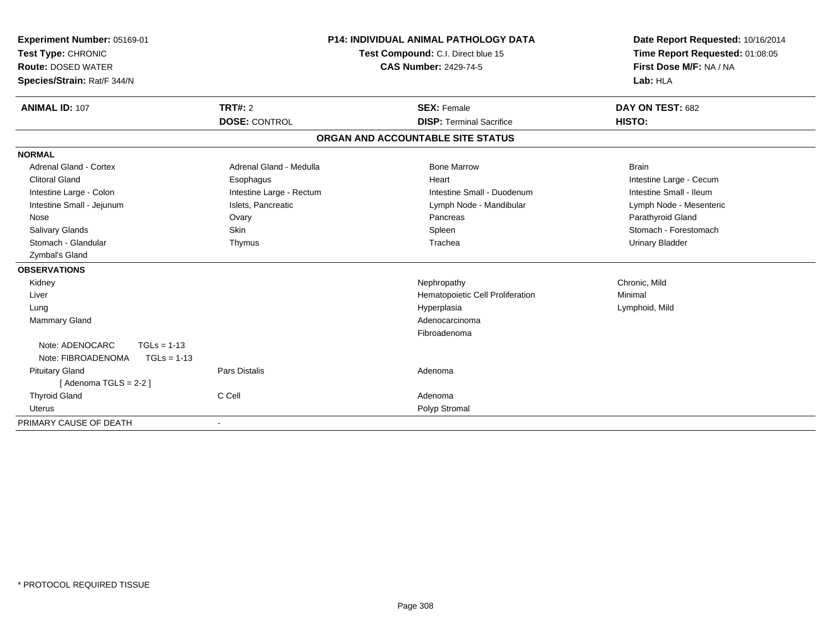| Experiment Number: 05169-01<br>Test Type: CHRONIC<br><b>Route: DOSED WATER</b><br>Species/Strain: Rat/F 344/N<br><b>ANIMAL ID: 107</b> | <b>TRT#: 2</b>           | <b>P14: INDIVIDUAL ANIMAL PATHOLOGY DATA</b><br>Test Compound: C.I. Direct blue 15<br><b>CAS Number: 2429-74-5</b><br><b>SEX: Female</b> | Date Report Requested: 10/16/2014<br>Time Report Requested: 01:08:05<br>First Dose M/F: NA / NA<br>Lab: HLA<br>DAY ON TEST: 682 |
|----------------------------------------------------------------------------------------------------------------------------------------|--------------------------|------------------------------------------------------------------------------------------------------------------------------------------|---------------------------------------------------------------------------------------------------------------------------------|
|                                                                                                                                        | <b>DOSE: CONTROL</b>     | <b>DISP: Terminal Sacrifice</b>                                                                                                          | HISTO:                                                                                                                          |
|                                                                                                                                        |                          | ORGAN AND ACCOUNTABLE SITE STATUS                                                                                                        |                                                                                                                                 |
| <b>NORMAL</b>                                                                                                                          |                          |                                                                                                                                          |                                                                                                                                 |
| <b>Adrenal Gland - Cortex</b>                                                                                                          | Adrenal Gland - Medulla  | <b>Bone Marrow</b>                                                                                                                       | <b>Brain</b>                                                                                                                    |
| <b>Clitoral Gland</b>                                                                                                                  | Esophagus                | Heart                                                                                                                                    | Intestine Large - Cecum                                                                                                         |
| Intestine Large - Colon                                                                                                                | Intestine Large - Rectum | Intestine Small - Duodenum                                                                                                               | Intestine Small - Ileum                                                                                                         |
| Intestine Small - Jejunum                                                                                                              | Islets, Pancreatic       | Lymph Node - Mandibular                                                                                                                  | Lymph Node - Mesenteric                                                                                                         |
| Nose                                                                                                                                   | Ovary                    | Pancreas                                                                                                                                 | Parathyroid Gland                                                                                                               |
| <b>Salivary Glands</b>                                                                                                                 | Skin                     | Spleen                                                                                                                                   | Stomach - Forestomach                                                                                                           |
| Stomach - Glandular                                                                                                                    | Thymus                   | Trachea                                                                                                                                  | <b>Urinary Bladder</b>                                                                                                          |
| Zymbal's Gland                                                                                                                         |                          |                                                                                                                                          |                                                                                                                                 |
| <b>OBSERVATIONS</b>                                                                                                                    |                          |                                                                                                                                          |                                                                                                                                 |
| Kidney                                                                                                                                 |                          | Nephropathy                                                                                                                              | Chronic, Mild                                                                                                                   |
| Liver                                                                                                                                  |                          | Hematopoietic Cell Proliferation                                                                                                         | Minimal                                                                                                                         |
| Lung                                                                                                                                   |                          | Hyperplasia                                                                                                                              | Lymphoid, Mild                                                                                                                  |
| <b>Mammary Gland</b>                                                                                                                   |                          | Adenocarcinoma                                                                                                                           |                                                                                                                                 |
|                                                                                                                                        |                          | Fibroadenoma                                                                                                                             |                                                                                                                                 |
| Note: ADENOCARC<br>$TGLs = 1-13$                                                                                                       |                          |                                                                                                                                          |                                                                                                                                 |
| Note: FIBROADENOMA<br>$TGLs = 1-13$                                                                                                    |                          |                                                                                                                                          |                                                                                                                                 |
| <b>Pituitary Gland</b>                                                                                                                 | <b>Pars Distalis</b>     | Adenoma                                                                                                                                  |                                                                                                                                 |
| [Adenoma TGLS = $2-2$ ]                                                                                                                |                          |                                                                                                                                          |                                                                                                                                 |
| <b>Thyroid Gland</b>                                                                                                                   | C Cell                   | Adenoma                                                                                                                                  |                                                                                                                                 |
| Uterus                                                                                                                                 |                          | Polyp Stromal                                                                                                                            |                                                                                                                                 |
| PRIMARY CAUSE OF DEATH                                                                                                                 | $\overline{\phantom{a}}$ |                                                                                                                                          |                                                                                                                                 |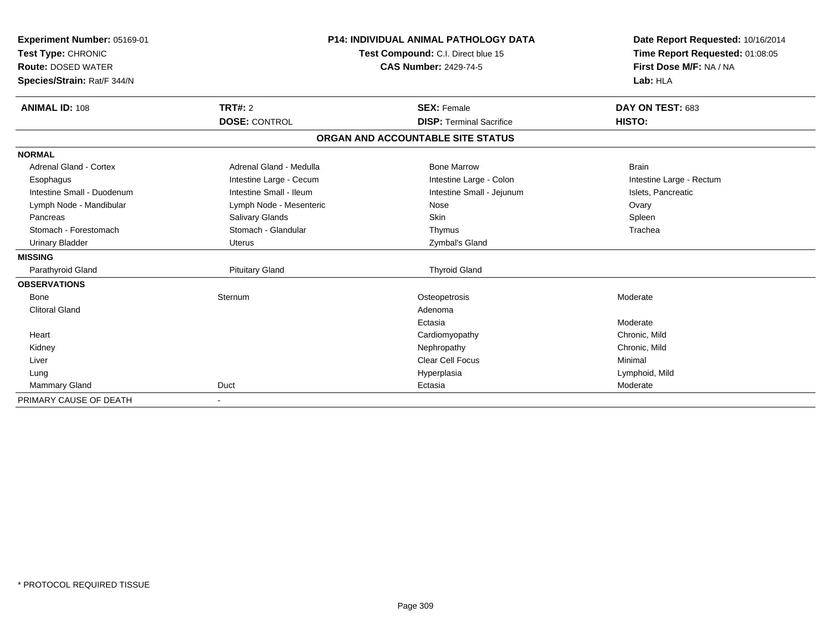| Experiment Number: 05169-01<br>Test Type: CHRONIC<br><b>Route: DOSED WATER</b><br>Species/Strain: Rat/F 344/N |                                        | <b>P14: INDIVIDUAL ANIMAL PATHOLOGY DATA</b><br>Test Compound: C.I. Direct blue 15<br><b>CAS Number: 2429-74-5</b> | Date Report Requested: 10/16/2014<br>Time Report Requested: 01:08:05<br>First Dose M/F: NA / NA<br>Lab: HLA |
|---------------------------------------------------------------------------------------------------------------|----------------------------------------|--------------------------------------------------------------------------------------------------------------------|-------------------------------------------------------------------------------------------------------------|
| <b>ANIMAL ID: 108</b>                                                                                         | <b>TRT#: 2</b><br><b>DOSE: CONTROL</b> | <b>SEX: Female</b><br><b>DISP: Terminal Sacrifice</b>                                                              | DAY ON TEST: 683<br>HISTO:                                                                                  |
|                                                                                                               |                                        | ORGAN AND ACCOUNTABLE SITE STATUS                                                                                  |                                                                                                             |
| <b>NORMAL</b>                                                                                                 |                                        |                                                                                                                    |                                                                                                             |
| Adrenal Gland - Cortex                                                                                        | Adrenal Gland - Medulla                | <b>Bone Marrow</b>                                                                                                 | <b>Brain</b>                                                                                                |
| Esophagus                                                                                                     | Intestine Large - Cecum                | Intestine Large - Colon                                                                                            | Intestine Large - Rectum                                                                                    |
| Intestine Small - Duodenum                                                                                    | Intestine Small - Ileum                | Intestine Small - Jejunum                                                                                          | Islets, Pancreatic                                                                                          |
| Lymph Node - Mandibular                                                                                       | Lymph Node - Mesenteric                | Nose                                                                                                               | Ovary                                                                                                       |
| Pancreas                                                                                                      | Salivary Glands                        | Skin                                                                                                               | Spleen                                                                                                      |
| Stomach - Forestomach                                                                                         | Stomach - Glandular                    | Thymus                                                                                                             | Trachea                                                                                                     |
| <b>Urinary Bladder</b>                                                                                        | Uterus                                 | Zymbal's Gland                                                                                                     |                                                                                                             |
| <b>MISSING</b>                                                                                                |                                        |                                                                                                                    |                                                                                                             |
| Parathyroid Gland                                                                                             | <b>Pituitary Gland</b>                 | <b>Thyroid Gland</b>                                                                                               |                                                                                                             |
| <b>OBSERVATIONS</b>                                                                                           |                                        |                                                                                                                    |                                                                                                             |
| Bone                                                                                                          | Sternum                                | Osteopetrosis                                                                                                      | Moderate                                                                                                    |
| <b>Clitoral Gland</b>                                                                                         |                                        | Adenoma                                                                                                            |                                                                                                             |
|                                                                                                               |                                        | Ectasia                                                                                                            | Moderate                                                                                                    |
| Heart                                                                                                         |                                        | Cardiomyopathy                                                                                                     | Chronic, Mild                                                                                               |
| Kidney                                                                                                        |                                        | Nephropathy                                                                                                        | Chronic, Mild                                                                                               |
| Liver                                                                                                         |                                        | <b>Clear Cell Focus</b>                                                                                            | Minimal                                                                                                     |
| Lung                                                                                                          |                                        | Hyperplasia                                                                                                        | Lymphoid, Mild                                                                                              |
| Mammary Gland                                                                                                 | Duct                                   | Ectasia                                                                                                            | Moderate                                                                                                    |
| PRIMARY CAUSE OF DEATH                                                                                        | $\overline{\phantom{a}}$               |                                                                                                                    |                                                                                                             |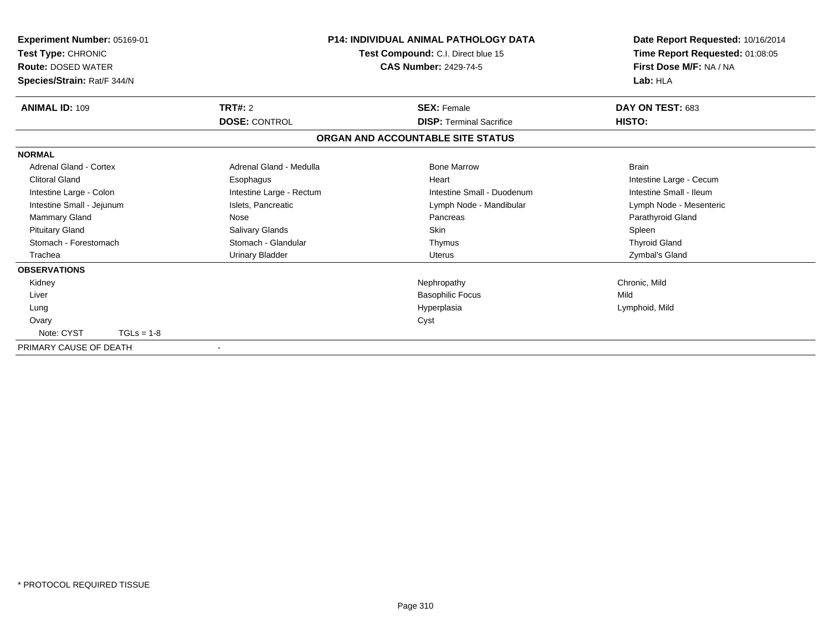| Experiment Number: 05169-01<br>Test Type: CHRONIC<br><b>Route: DOSED WATER</b><br>Species/Strain: Rat/F 344/N |                          | <b>P14: INDIVIDUAL ANIMAL PATHOLOGY DATA</b><br>Test Compound: C.I. Direct blue 15<br><b>CAS Number: 2429-74-5</b> | Date Report Requested: 10/16/2014<br>Time Report Requested: 01:08:05<br>First Dose M/F: NA / NA<br>Lab: HLA |
|---------------------------------------------------------------------------------------------------------------|--------------------------|--------------------------------------------------------------------------------------------------------------------|-------------------------------------------------------------------------------------------------------------|
| <b>ANIMAL ID: 109</b>                                                                                         | TRT#: 2                  | <b>SEX: Female</b>                                                                                                 | DAY ON TEST: 683                                                                                            |
|                                                                                                               | <b>DOSE: CONTROL</b>     | <b>DISP: Terminal Sacrifice</b>                                                                                    | <b>HISTO:</b>                                                                                               |
|                                                                                                               |                          | ORGAN AND ACCOUNTABLE SITE STATUS                                                                                  |                                                                                                             |
| <b>NORMAL</b>                                                                                                 |                          |                                                                                                                    |                                                                                                             |
| Adrenal Gland - Cortex                                                                                        | Adrenal Gland - Medulla  | <b>Bone Marrow</b>                                                                                                 | <b>Brain</b>                                                                                                |
| <b>Clitoral Gland</b>                                                                                         | Esophagus                | Heart                                                                                                              | Intestine Large - Cecum                                                                                     |
| Intestine Large - Colon                                                                                       | Intestine Large - Rectum | Intestine Small - Duodenum                                                                                         | Intestine Small - Ileum                                                                                     |
| Intestine Small - Jejunum                                                                                     | Islets, Pancreatic       | Lymph Node - Mandibular                                                                                            | Lymph Node - Mesenteric                                                                                     |
| Mammary Gland                                                                                                 | Nose                     | Pancreas                                                                                                           | Parathyroid Gland                                                                                           |
| <b>Pituitary Gland</b>                                                                                        | Salivary Glands          | Skin                                                                                                               | Spleen                                                                                                      |
| Stomach - Forestomach                                                                                         | Stomach - Glandular      | Thymus                                                                                                             | <b>Thyroid Gland</b>                                                                                        |
| Trachea                                                                                                       | <b>Urinary Bladder</b>   | <b>Uterus</b>                                                                                                      | Zymbal's Gland                                                                                              |
| <b>OBSERVATIONS</b>                                                                                           |                          |                                                                                                                    |                                                                                                             |
| Kidney                                                                                                        |                          | Nephropathy                                                                                                        | Chronic, Mild                                                                                               |
| Liver                                                                                                         |                          | <b>Basophilic Focus</b>                                                                                            | Mild                                                                                                        |
| Lung                                                                                                          |                          | Hyperplasia                                                                                                        | Lymphoid, Mild                                                                                              |
| Ovary                                                                                                         |                          | Cyst                                                                                                               |                                                                                                             |
| Note: CYST<br>$TGLs = 1-8$                                                                                    |                          |                                                                                                                    |                                                                                                             |
| PRIMARY CAUSE OF DEATH                                                                                        | $\overline{\phantom{a}}$ |                                                                                                                    |                                                                                                             |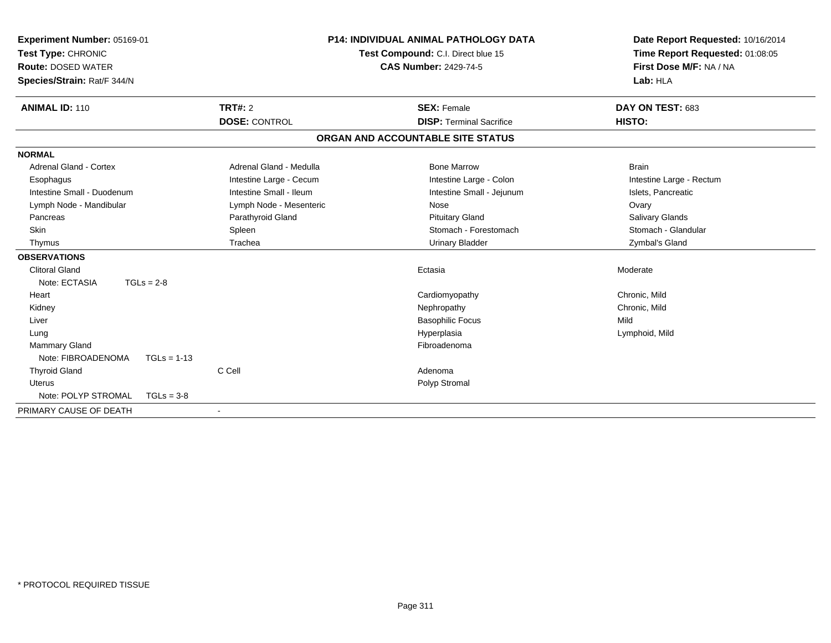| Experiment Number: 05169-01<br>Test Type: CHRONIC<br><b>Route: DOSED WATER</b><br>Species/Strain: Rat/F 344/N |                         | P14: INDIVIDUAL ANIMAL PATHOLOGY DATA<br>Test Compound: C.I. Direct blue 15<br><b>CAS Number: 2429-74-5</b> | Date Report Requested: 10/16/2014<br>Time Report Requested: 01:08:05<br>First Dose M/F: NA / NA<br>Lab: HLA |
|---------------------------------------------------------------------------------------------------------------|-------------------------|-------------------------------------------------------------------------------------------------------------|-------------------------------------------------------------------------------------------------------------|
| <b>ANIMAL ID: 110</b>                                                                                         | <b>TRT#: 2</b>          | <b>SEX: Female</b>                                                                                          | DAY ON TEST: 683                                                                                            |
|                                                                                                               | <b>DOSE: CONTROL</b>    | <b>DISP: Terminal Sacrifice</b>                                                                             | <b>HISTO:</b>                                                                                               |
|                                                                                                               |                         | ORGAN AND ACCOUNTABLE SITE STATUS                                                                           |                                                                                                             |
| <b>NORMAL</b>                                                                                                 |                         |                                                                                                             |                                                                                                             |
| <b>Adrenal Gland - Cortex</b>                                                                                 | Adrenal Gland - Medulla | <b>Bone Marrow</b>                                                                                          | <b>Brain</b>                                                                                                |
| Esophagus                                                                                                     | Intestine Large - Cecum | Intestine Large - Colon                                                                                     | Intestine Large - Rectum                                                                                    |
| Intestine Small - Duodenum                                                                                    | Intestine Small - Ileum | Intestine Small - Jejunum                                                                                   | Islets, Pancreatic                                                                                          |
| Lymph Node - Mandibular                                                                                       | Lymph Node - Mesenteric | Nose                                                                                                        | Ovary                                                                                                       |
| Pancreas                                                                                                      | Parathyroid Gland       | <b>Pituitary Gland</b>                                                                                      | Salivary Glands                                                                                             |
| Skin                                                                                                          | Spleen                  | Stomach - Forestomach                                                                                       | Stomach - Glandular                                                                                         |
| Thymus                                                                                                        | Trachea                 | <b>Urinary Bladder</b>                                                                                      | Zymbal's Gland                                                                                              |
| <b>OBSERVATIONS</b>                                                                                           |                         |                                                                                                             |                                                                                                             |
| <b>Clitoral Gland</b>                                                                                         |                         | Ectasia                                                                                                     | Moderate                                                                                                    |
| Note: ECTASIA<br>$TGLs = 2-8$                                                                                 |                         |                                                                                                             |                                                                                                             |
| Heart                                                                                                         |                         | Cardiomyopathy                                                                                              | Chronic, Mild                                                                                               |
| Kidney                                                                                                        |                         | Nephropathy                                                                                                 | Chronic, Mild                                                                                               |
| Liver                                                                                                         |                         | <b>Basophilic Focus</b>                                                                                     | Mild                                                                                                        |
| Lung                                                                                                          |                         | Hyperplasia                                                                                                 | Lymphoid, Mild                                                                                              |
| Mammary Gland                                                                                                 |                         | Fibroadenoma                                                                                                |                                                                                                             |
| Note: FIBROADENOMA                                                                                            | $TGLs = 1-13$           |                                                                                                             |                                                                                                             |
| <b>Thyroid Gland</b>                                                                                          | C Cell                  | Adenoma                                                                                                     |                                                                                                             |
| <b>Uterus</b>                                                                                                 |                         | Polyp Stromal                                                                                               |                                                                                                             |
| Note: POLYP STROMAL                                                                                           | $TGLs = 3-8$            |                                                                                                             |                                                                                                             |
| PRIMARY CAUSE OF DEATH                                                                                        | $\blacksquare$          |                                                                                                             |                                                                                                             |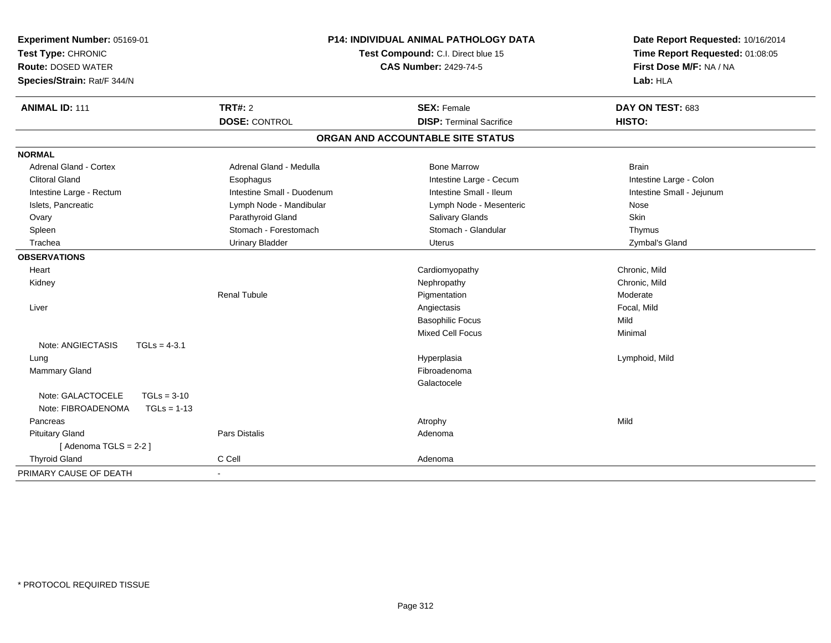| Experiment Number: 05169-01<br>Test Type: CHRONIC<br><b>Route: DOSED WATER</b><br>Species/Strain: Rat/F 344/N | <b>P14: INDIVIDUAL ANIMAL PATHOLOGY DATA</b><br>Test Compound: C.I. Direct blue 15<br><b>CAS Number: 2429-74-5</b> |                                   | Date Report Requested: 10/16/2014<br>Time Report Requested: 01:08:05<br>First Dose M/F: NA / NA<br>Lab: HLA |  |
|---------------------------------------------------------------------------------------------------------------|--------------------------------------------------------------------------------------------------------------------|-----------------------------------|-------------------------------------------------------------------------------------------------------------|--|
| <b>ANIMAL ID: 111</b>                                                                                         | <b>TRT#: 2</b>                                                                                                     | <b>SEX: Female</b>                | DAY ON TEST: 683                                                                                            |  |
|                                                                                                               | <b>DOSE: CONTROL</b>                                                                                               | <b>DISP: Terminal Sacrifice</b>   | HISTO:                                                                                                      |  |
|                                                                                                               |                                                                                                                    | ORGAN AND ACCOUNTABLE SITE STATUS |                                                                                                             |  |
| <b>NORMAL</b>                                                                                                 |                                                                                                                    |                                   |                                                                                                             |  |
| Adrenal Gland - Cortex                                                                                        | Adrenal Gland - Medulla                                                                                            | <b>Bone Marrow</b>                | <b>Brain</b>                                                                                                |  |
| <b>Clitoral Gland</b>                                                                                         | Esophagus                                                                                                          | Intestine Large - Cecum           | Intestine Large - Colon                                                                                     |  |
| Intestine Large - Rectum                                                                                      | Intestine Small - Duodenum                                                                                         | Intestine Small - Ileum           | Intestine Small - Jejunum                                                                                   |  |
| Islets, Pancreatic                                                                                            | Lymph Node - Mandibular                                                                                            | Lymph Node - Mesenteric           | Nose                                                                                                        |  |
| Ovary                                                                                                         | Parathyroid Gland                                                                                                  | Salivary Glands                   | Skin                                                                                                        |  |
| Spleen                                                                                                        | Stomach - Forestomach                                                                                              | Stomach - Glandular               | Thymus                                                                                                      |  |
| Trachea                                                                                                       | <b>Urinary Bladder</b>                                                                                             | Uterus                            | Zymbal's Gland                                                                                              |  |
| <b>OBSERVATIONS</b>                                                                                           |                                                                                                                    |                                   |                                                                                                             |  |
| Heart                                                                                                         |                                                                                                                    | Cardiomyopathy                    | Chronic, Mild                                                                                               |  |
| Kidney                                                                                                        |                                                                                                                    | Nephropathy                       | Chronic, Mild                                                                                               |  |
|                                                                                                               | <b>Renal Tubule</b>                                                                                                | Pigmentation                      | Moderate                                                                                                    |  |
| Liver                                                                                                         |                                                                                                                    | Angiectasis                       | Focal, Mild                                                                                                 |  |
|                                                                                                               |                                                                                                                    | <b>Basophilic Focus</b>           | Mild                                                                                                        |  |
|                                                                                                               |                                                                                                                    | Mixed Cell Focus                  | Minimal                                                                                                     |  |
| Note: ANGIECTASIS<br>$TGLs = 4-3.1$                                                                           |                                                                                                                    |                                   |                                                                                                             |  |
| Lung                                                                                                          |                                                                                                                    | Hyperplasia                       | Lymphoid, Mild                                                                                              |  |
| <b>Mammary Gland</b>                                                                                          |                                                                                                                    | Fibroadenoma                      |                                                                                                             |  |
|                                                                                                               |                                                                                                                    | Galactocele                       |                                                                                                             |  |
| Note: GALACTOCELE<br>$TGLs = 3-10$<br>Note: FIBROADENOMA<br>$TGLs = 1-13$                                     |                                                                                                                    |                                   |                                                                                                             |  |
| Pancreas                                                                                                      |                                                                                                                    | Atrophy                           | Mild                                                                                                        |  |
| <b>Pituitary Gland</b>                                                                                        | <b>Pars Distalis</b>                                                                                               | Adenoma                           |                                                                                                             |  |
| [Adenoma TGLS = $2-2$ ]                                                                                       |                                                                                                                    |                                   |                                                                                                             |  |
| <b>Thyroid Gland</b>                                                                                          | C Cell                                                                                                             | Adenoma                           |                                                                                                             |  |
| PRIMARY CAUSE OF DEATH                                                                                        |                                                                                                                    |                                   |                                                                                                             |  |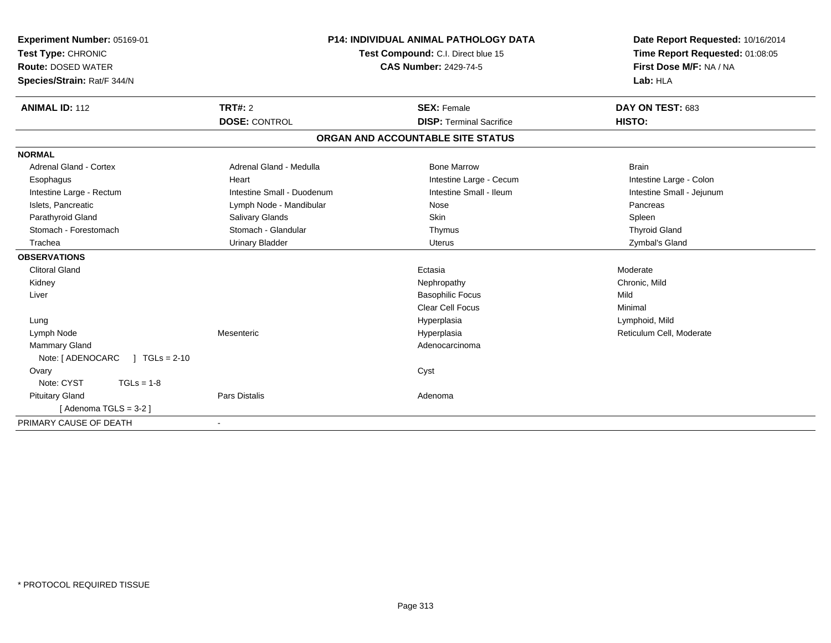| Experiment Number: 05169-01<br>Test Type: CHRONIC<br><b>Route: DOSED WATER</b><br>Species/Strain: Rat/F 344/N | <b>P14: INDIVIDUAL ANIMAL PATHOLOGY DATA</b><br>Test Compound: C.I. Direct blue 15<br><b>CAS Number: 2429-74-5</b> |                                                       | Date Report Requested: 10/16/2014<br>Time Report Requested: 01:08:05<br>First Dose M/F: NA / NA<br>Lab: HLA |  |
|---------------------------------------------------------------------------------------------------------------|--------------------------------------------------------------------------------------------------------------------|-------------------------------------------------------|-------------------------------------------------------------------------------------------------------------|--|
| <b>ANIMAL ID: 112</b>                                                                                         | TRT#: 2<br><b>DOSE: CONTROL</b>                                                                                    | <b>SEX: Female</b><br><b>DISP: Terminal Sacrifice</b> | DAY ON TEST: 683<br>HISTO:                                                                                  |  |
|                                                                                                               |                                                                                                                    |                                                       |                                                                                                             |  |
|                                                                                                               |                                                                                                                    | ORGAN AND ACCOUNTABLE SITE STATUS                     |                                                                                                             |  |
| <b>NORMAL</b>                                                                                                 |                                                                                                                    |                                                       |                                                                                                             |  |
| Adrenal Gland - Cortex                                                                                        | Adrenal Gland - Medulla                                                                                            | <b>Bone Marrow</b>                                    | <b>Brain</b>                                                                                                |  |
| Esophagus                                                                                                     | Heart                                                                                                              | Intestine Large - Cecum                               | Intestine Large - Colon                                                                                     |  |
| Intestine Large - Rectum                                                                                      | Intestine Small - Duodenum                                                                                         | Intestine Small - Ileum                               | Intestine Small - Jejunum                                                                                   |  |
| Islets, Pancreatic                                                                                            | Lymph Node - Mandibular                                                                                            | Nose                                                  | Pancreas                                                                                                    |  |
| Parathyroid Gland                                                                                             | Salivary Glands                                                                                                    | Skin                                                  | Spleen                                                                                                      |  |
| Stomach - Forestomach                                                                                         | Stomach - Glandular                                                                                                | Thymus                                                | <b>Thyroid Gland</b>                                                                                        |  |
| Trachea                                                                                                       | <b>Urinary Bladder</b>                                                                                             | Uterus                                                | Zymbal's Gland                                                                                              |  |
| <b>OBSERVATIONS</b>                                                                                           |                                                                                                                    |                                                       |                                                                                                             |  |
| <b>Clitoral Gland</b>                                                                                         |                                                                                                                    | Ectasia                                               | Moderate                                                                                                    |  |
| Kidney                                                                                                        |                                                                                                                    | Nephropathy                                           | Chronic, Mild                                                                                               |  |
| Liver                                                                                                         |                                                                                                                    | <b>Basophilic Focus</b>                               | Mild                                                                                                        |  |
|                                                                                                               |                                                                                                                    | Clear Cell Focus                                      | Minimal                                                                                                     |  |
| Lung                                                                                                          |                                                                                                                    | Hyperplasia                                           | Lymphoid, Mild                                                                                              |  |
| Lymph Node                                                                                                    | Mesenteric                                                                                                         | Hyperplasia                                           | Reticulum Cell, Moderate                                                                                    |  |
| <b>Mammary Gland</b>                                                                                          |                                                                                                                    | Adenocarcinoma                                        |                                                                                                             |  |
| Note: [ ADENOCARC<br>$1 TGLs = 2-10$                                                                          |                                                                                                                    |                                                       |                                                                                                             |  |
| Ovary                                                                                                         |                                                                                                                    | Cyst                                                  |                                                                                                             |  |
| Note: CYST<br>$TGLs = 1-8$                                                                                    |                                                                                                                    |                                                       |                                                                                                             |  |
| <b>Pituitary Gland</b>                                                                                        | <b>Pars Distalis</b>                                                                                               | Adenoma                                               |                                                                                                             |  |
| [Adenoma TGLS = $3-2$ ]                                                                                       |                                                                                                                    |                                                       |                                                                                                             |  |
| PRIMARY CAUSE OF DEATH                                                                                        | $\blacksquare$                                                                                                     |                                                       |                                                                                                             |  |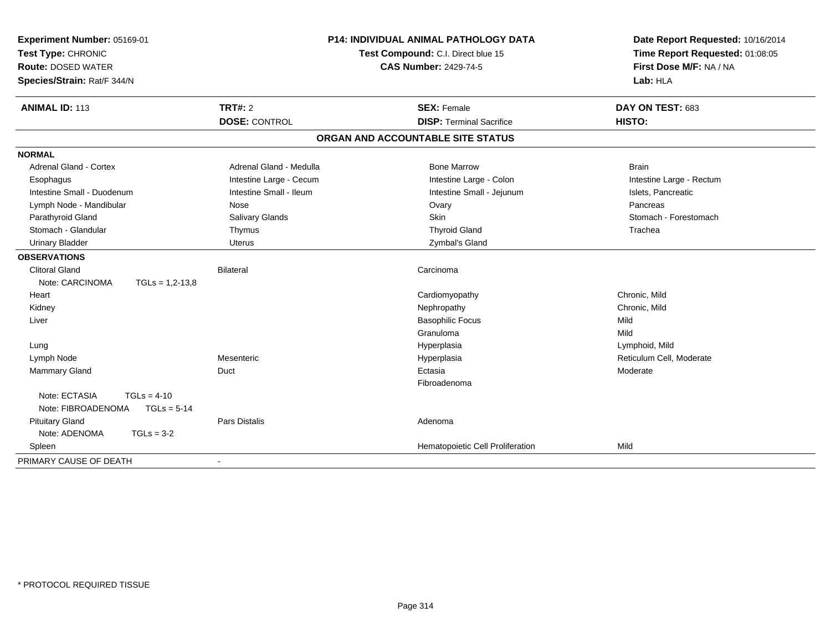| Experiment Number: 05169-01          | <b>P14: INDIVIDUAL ANIMAL PATHOLOGY DATA</b><br>Test Compound: C.I. Direct blue 15 |                                   | Date Report Requested: 10/16/2014<br>Time Report Requested: 01:08:05 |
|--------------------------------------|------------------------------------------------------------------------------------|-----------------------------------|----------------------------------------------------------------------|
| Test Type: CHRONIC                   |                                                                                    |                                   |                                                                      |
| <b>Route: DOSED WATER</b>            |                                                                                    | <b>CAS Number: 2429-74-5</b>      | First Dose M/F: NA / NA                                              |
| Species/Strain: Rat/F 344/N          |                                                                                    |                                   | Lab: HLA                                                             |
| <b>ANIMAL ID: 113</b>                | <b>TRT#: 2</b>                                                                     | <b>SEX: Female</b>                | DAY ON TEST: 683                                                     |
|                                      | <b>DOSE: CONTROL</b>                                                               | <b>DISP: Terminal Sacrifice</b>   | HISTO:                                                               |
|                                      |                                                                                    | ORGAN AND ACCOUNTABLE SITE STATUS |                                                                      |
| <b>NORMAL</b>                        |                                                                                    |                                   |                                                                      |
| <b>Adrenal Gland - Cortex</b>        | Adrenal Gland - Medulla                                                            | <b>Bone Marrow</b>                | <b>Brain</b>                                                         |
| Esophagus                            | Intestine Large - Cecum                                                            | Intestine Large - Colon           | Intestine Large - Rectum                                             |
| Intestine Small - Duodenum           | Intestine Small - Ileum                                                            | Intestine Small - Jejunum         | Islets, Pancreatic                                                   |
| Lymph Node - Mandibular              | Nose                                                                               | Ovary                             | Pancreas                                                             |
| Parathyroid Gland                    | Salivary Glands                                                                    | Skin                              | Stomach - Forestomach                                                |
| Stomach - Glandular                  | Thymus                                                                             | <b>Thyroid Gland</b>              | Trachea                                                              |
| <b>Urinary Bladder</b>               | <b>Uterus</b>                                                                      | Zymbal's Gland                    |                                                                      |
| <b>OBSERVATIONS</b>                  |                                                                                    |                                   |                                                                      |
| <b>Clitoral Gland</b>                | <b>Bilateral</b>                                                                   | Carcinoma                         |                                                                      |
| Note: CARCINOMA<br>$TGLs = 1,2-13,8$ |                                                                                    |                                   |                                                                      |
| Heart                                |                                                                                    | Cardiomyopathy                    | Chronic. Mild                                                        |
| Kidney                               |                                                                                    | Nephropathy                       | Chronic, Mild                                                        |
| Liver                                |                                                                                    | <b>Basophilic Focus</b>           | Mild                                                                 |
|                                      |                                                                                    | Granuloma                         | Mild                                                                 |
| Lung                                 |                                                                                    | Hyperplasia                       | Lymphoid, Mild                                                       |
| Lymph Node                           | Mesenteric                                                                         | Hyperplasia                       | Reticulum Cell, Moderate                                             |
| Mammary Gland                        | Duct                                                                               | Ectasia                           | Moderate                                                             |
|                                      |                                                                                    | Fibroadenoma                      |                                                                      |
| Note: ECTASIA<br>$TGLs = 4-10$       |                                                                                    |                                   |                                                                      |
| $TGLs = 5-14$<br>Note: FIBROADENOMA  |                                                                                    |                                   |                                                                      |
| <b>Pituitary Gland</b>               | <b>Pars Distalis</b>                                                               | Adenoma                           |                                                                      |
| Note: ADENOMA<br>$TGLs = 3-2$        |                                                                                    |                                   |                                                                      |
| Spleen                               |                                                                                    | Hematopoietic Cell Proliferation  | Mild                                                                 |
| PRIMARY CAUSE OF DEATH               |                                                                                    |                                   |                                                                      |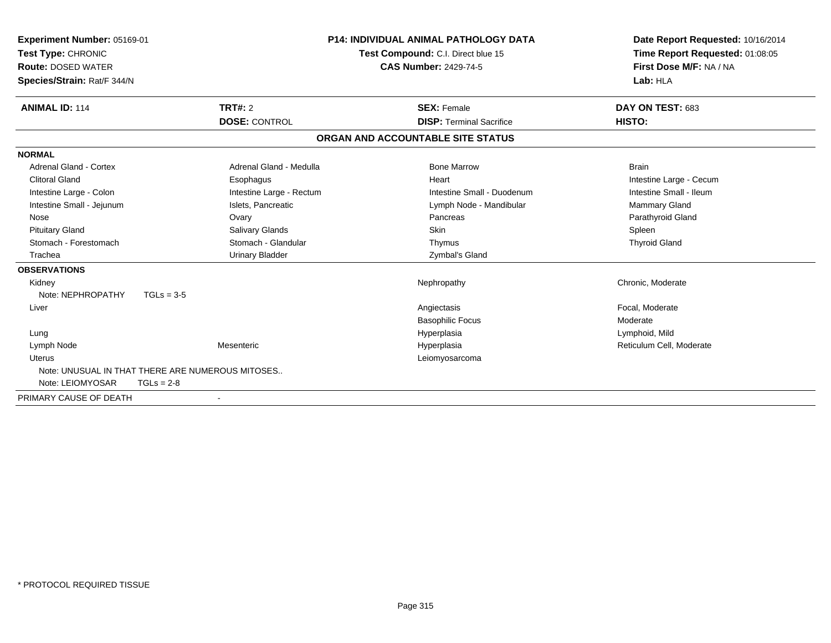| Experiment Number: 05169-01<br>Test Type: CHRONIC<br><b>Route: DOSED WATER</b><br>Species/Strain: Rat/F 344/N |                                                  | <b>P14: INDIVIDUAL ANIMAL PATHOLOGY DATA</b><br>Test Compound: C.I. Direct blue 15<br><b>CAS Number: 2429-74-5</b> | Date Report Requested: 10/16/2014<br>Time Report Requested: 01:08:05<br>First Dose M/F: NA / NA<br>Lab: HLA |
|---------------------------------------------------------------------------------------------------------------|--------------------------------------------------|--------------------------------------------------------------------------------------------------------------------|-------------------------------------------------------------------------------------------------------------|
| <b>ANIMAL ID: 114</b>                                                                                         | TRT#: 2                                          | <b>SEX: Female</b><br><b>DISP: Terminal Sacrifice</b>                                                              | DAY ON TEST: 683<br>HISTO:                                                                                  |
|                                                                                                               | <b>DOSE: CONTROL</b>                             |                                                                                                                    |                                                                                                             |
|                                                                                                               |                                                  | ORGAN AND ACCOUNTABLE SITE STATUS                                                                                  |                                                                                                             |
| <b>NORMAL</b>                                                                                                 |                                                  |                                                                                                                    |                                                                                                             |
| <b>Adrenal Gland - Cortex</b>                                                                                 | Adrenal Gland - Medulla                          | <b>Bone Marrow</b>                                                                                                 | <b>Brain</b>                                                                                                |
| <b>Clitoral Gland</b>                                                                                         | Esophagus                                        | Heart                                                                                                              | Intestine Large - Cecum                                                                                     |
| Intestine Large - Colon                                                                                       | Intestine Large - Rectum                         | Intestine Small - Duodenum                                                                                         | Intestine Small - Ileum                                                                                     |
| Intestine Small - Jejunum                                                                                     | Islets, Pancreatic                               | Lymph Node - Mandibular                                                                                            | Mammary Gland                                                                                               |
| Nose                                                                                                          | Ovary                                            | Pancreas                                                                                                           | Parathyroid Gland                                                                                           |
| <b>Pituitary Gland</b>                                                                                        | Salivary Glands                                  | Skin                                                                                                               | Spleen                                                                                                      |
| Stomach - Forestomach                                                                                         | Stomach - Glandular                              | Thymus                                                                                                             | <b>Thyroid Gland</b>                                                                                        |
| Trachea                                                                                                       | <b>Urinary Bladder</b>                           | Zymbal's Gland                                                                                                     |                                                                                                             |
| <b>OBSERVATIONS</b>                                                                                           |                                                  |                                                                                                                    |                                                                                                             |
| Kidney                                                                                                        |                                                  | Nephropathy                                                                                                        | Chronic, Moderate                                                                                           |
| Note: NEPHROPATHY                                                                                             | $TGLs = 3-5$                                     |                                                                                                                    |                                                                                                             |
| Liver                                                                                                         |                                                  | Angiectasis                                                                                                        | Focal, Moderate                                                                                             |
|                                                                                                               |                                                  | <b>Basophilic Focus</b>                                                                                            | Moderate                                                                                                    |
| Lung                                                                                                          |                                                  | Hyperplasia                                                                                                        | Lymphoid, Mild                                                                                              |
| Lymph Node                                                                                                    | Mesenteric                                       | Hyperplasia                                                                                                        | Reticulum Cell, Moderate                                                                                    |
| <b>Uterus</b>                                                                                                 |                                                  | Leiomyosarcoma                                                                                                     |                                                                                                             |
|                                                                                                               | Note: UNUSUAL IN THAT THERE ARE NUMEROUS MITOSES |                                                                                                                    |                                                                                                             |
| Note: LEIOMYOSAR                                                                                              | $TGLs = 2-8$                                     |                                                                                                                    |                                                                                                             |
| PRIMARY CAUSE OF DEATH                                                                                        |                                                  |                                                                                                                    |                                                                                                             |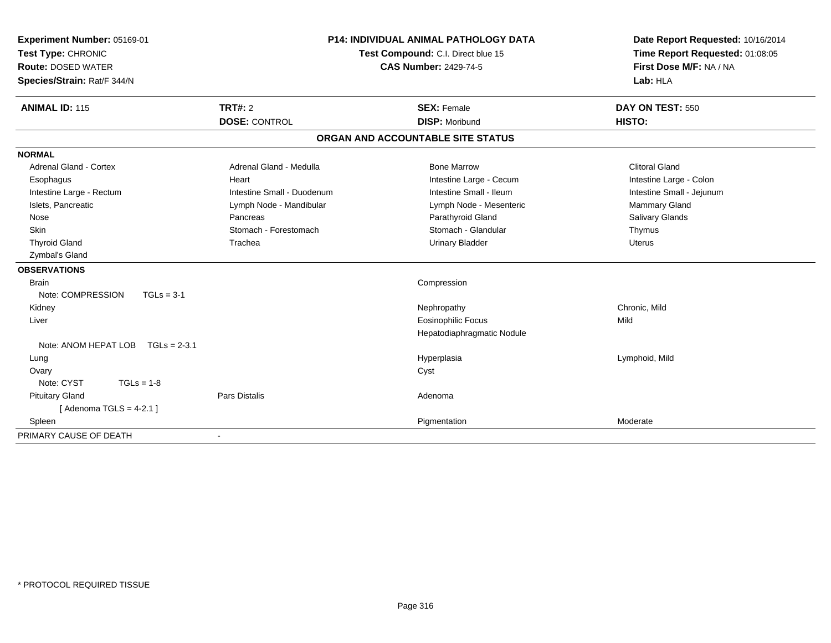| Experiment Number: 05169-01<br>Test Type: CHRONIC |                            | P14: INDIVIDUAL ANIMAL PATHOLOGY DATA<br>Test Compound: C.I. Direct blue 15 | Date Report Requested: 10/16/2014<br>Time Report Requested: 01:08:05 |
|---------------------------------------------------|----------------------------|-----------------------------------------------------------------------------|----------------------------------------------------------------------|
| <b>Route: DOSED WATER</b>                         |                            | <b>CAS Number: 2429-74-5</b>                                                | First Dose M/F: NA / NA                                              |
| Species/Strain: Rat/F 344/N                       |                            |                                                                             | Lab: HLA                                                             |
| <b>ANIMAL ID: 115</b>                             | TRT#: 2                    | <b>SEX: Female</b>                                                          | DAY ON TEST: 550                                                     |
|                                                   | <b>DOSE: CONTROL</b>       | <b>DISP: Moribund</b>                                                       | HISTO:                                                               |
|                                                   |                            | ORGAN AND ACCOUNTABLE SITE STATUS                                           |                                                                      |
| <b>NORMAL</b>                                     |                            |                                                                             |                                                                      |
| <b>Adrenal Gland - Cortex</b>                     | Adrenal Gland - Medulla    | <b>Bone Marrow</b>                                                          | <b>Clitoral Gland</b>                                                |
| Esophagus                                         | Heart                      | Intestine Large - Cecum                                                     | Intestine Large - Colon                                              |
| Intestine Large - Rectum                          | Intestine Small - Duodenum | Intestine Small - Ileum                                                     | Intestine Small - Jejunum                                            |
| Islets, Pancreatic                                | Lymph Node - Mandibular    | Lymph Node - Mesenteric                                                     | <b>Mammary Gland</b>                                                 |
| Nose                                              | Pancreas                   | Parathyroid Gland                                                           | Salivary Glands                                                      |
| Skin                                              | Stomach - Forestomach      | Stomach - Glandular                                                         | Thymus                                                               |
| <b>Thyroid Gland</b>                              | Trachea                    | <b>Urinary Bladder</b>                                                      | Uterus                                                               |
| Zymbal's Gland                                    |                            |                                                                             |                                                                      |
| <b>OBSERVATIONS</b>                               |                            |                                                                             |                                                                      |
| <b>Brain</b>                                      |                            | Compression                                                                 |                                                                      |
| Note: COMPRESSION<br>$TGLs = 3-1$                 |                            |                                                                             |                                                                      |
| Kidney                                            |                            | Nephropathy                                                                 | Chronic, Mild                                                        |
| Liver                                             |                            | <b>Eosinophilic Focus</b>                                                   | Mild                                                                 |
|                                                   |                            | Hepatodiaphragmatic Nodule                                                  |                                                                      |
| Note: ANOM HEPAT LOB TGLs = 2-3.1                 |                            |                                                                             |                                                                      |
| Lung                                              |                            | Hyperplasia                                                                 | Lymphoid, Mild                                                       |
| Ovary                                             |                            | Cyst                                                                        |                                                                      |
| Note: CYST<br>$TGLs = 1-8$                        |                            |                                                                             |                                                                      |
| <b>Pituitary Gland</b>                            | Pars Distalis              | Adenoma                                                                     |                                                                      |
| [Adenoma TGLS = $4-2.1$ ]                         |                            |                                                                             |                                                                      |
| Spleen                                            |                            | Pigmentation                                                                | Moderate                                                             |
| PRIMARY CAUSE OF DEATH                            | $\blacksquare$             |                                                                             |                                                                      |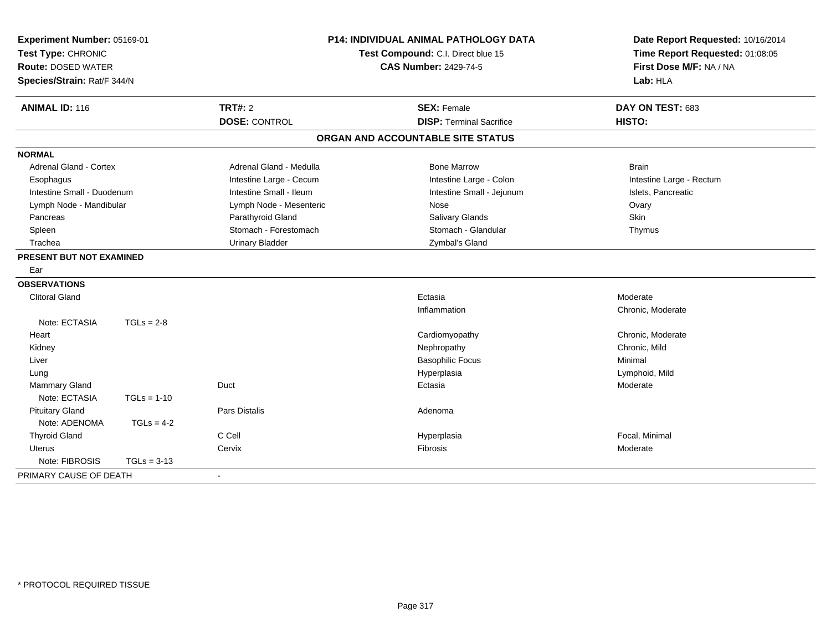| Experiment Number: 05169-01<br>Test Type: CHRONIC<br><b>Route: DOSED WATER</b><br>Species/Strain: Rat/F 344/N |               | <b>P14: INDIVIDUAL ANIMAL PATHOLOGY DATA</b><br>Test Compound: C.I. Direct blue 15<br><b>CAS Number: 2429-74-5</b> |                                   | Date Report Requested: 10/16/2014<br>Time Report Requested: 01:08:05<br>First Dose M/F: NA / NA<br>Lab: HLA |
|---------------------------------------------------------------------------------------------------------------|---------------|--------------------------------------------------------------------------------------------------------------------|-----------------------------------|-------------------------------------------------------------------------------------------------------------|
| <b>ANIMAL ID: 116</b>                                                                                         |               | TRT#: 2                                                                                                            | <b>SEX: Female</b>                | DAY ON TEST: 683                                                                                            |
|                                                                                                               |               | <b>DOSE: CONTROL</b>                                                                                               | <b>DISP: Terminal Sacrifice</b>   | HISTO:                                                                                                      |
|                                                                                                               |               |                                                                                                                    | ORGAN AND ACCOUNTABLE SITE STATUS |                                                                                                             |
| <b>NORMAL</b>                                                                                                 |               |                                                                                                                    |                                   |                                                                                                             |
| <b>Adrenal Gland - Cortex</b>                                                                                 |               | Adrenal Gland - Medulla                                                                                            | <b>Bone Marrow</b>                | <b>Brain</b>                                                                                                |
| Esophagus                                                                                                     |               | Intestine Large - Cecum                                                                                            | Intestine Large - Colon           | Intestine Large - Rectum                                                                                    |
| Intestine Small - Duodenum                                                                                    |               | Intestine Small - Ileum                                                                                            | Intestine Small - Jejunum         | Islets, Pancreatic                                                                                          |
| Lymph Node - Mandibular                                                                                       |               | Lymph Node - Mesenteric                                                                                            | Nose                              | Ovary                                                                                                       |
| Pancreas                                                                                                      |               | Parathyroid Gland                                                                                                  | <b>Salivary Glands</b>            | <b>Skin</b>                                                                                                 |
| Spleen                                                                                                        |               | Stomach - Forestomach                                                                                              | Stomach - Glandular               | Thymus                                                                                                      |
| Trachea                                                                                                       |               | <b>Urinary Bladder</b>                                                                                             | Zymbal's Gland                    |                                                                                                             |
| PRESENT BUT NOT EXAMINED                                                                                      |               |                                                                                                                    |                                   |                                                                                                             |
| Ear                                                                                                           |               |                                                                                                                    |                                   |                                                                                                             |
| <b>OBSERVATIONS</b>                                                                                           |               |                                                                                                                    |                                   |                                                                                                             |
| <b>Clitoral Gland</b>                                                                                         |               |                                                                                                                    | Ectasia                           | Moderate                                                                                                    |
|                                                                                                               |               |                                                                                                                    | Inflammation                      | Chronic, Moderate                                                                                           |
| Note: ECTASIA                                                                                                 | $TGLs = 2-8$  |                                                                                                                    |                                   |                                                                                                             |
| Heart                                                                                                         |               |                                                                                                                    | Cardiomyopathy                    | Chronic, Moderate                                                                                           |
| Kidney                                                                                                        |               |                                                                                                                    | Nephropathy                       | Chronic, Mild                                                                                               |
| Liver                                                                                                         |               |                                                                                                                    | <b>Basophilic Focus</b>           | Minimal                                                                                                     |
| Lung                                                                                                          |               |                                                                                                                    | Hyperplasia                       | Lymphoid, Mild                                                                                              |
| Mammary Gland                                                                                                 |               | Duct                                                                                                               | Ectasia                           | Moderate                                                                                                    |
| Note: ECTASIA                                                                                                 | $TGLs = 1-10$ |                                                                                                                    |                                   |                                                                                                             |
| <b>Pituitary Gland</b>                                                                                        |               | Pars Distalis                                                                                                      | Adenoma                           |                                                                                                             |
| Note: ADENOMA                                                                                                 | $TGLs = 4-2$  |                                                                                                                    |                                   |                                                                                                             |
| <b>Thyroid Gland</b>                                                                                          |               | C Cell                                                                                                             | Hyperplasia                       | Focal, Minimal                                                                                              |
| Uterus                                                                                                        |               | Cervix                                                                                                             | Fibrosis                          | Moderate                                                                                                    |
| Note: FIBROSIS                                                                                                | $TGLs = 3-13$ |                                                                                                                    |                                   |                                                                                                             |
| PRIMARY CAUSE OF DEATH                                                                                        |               | $\blacksquare$                                                                                                     |                                   |                                                                                                             |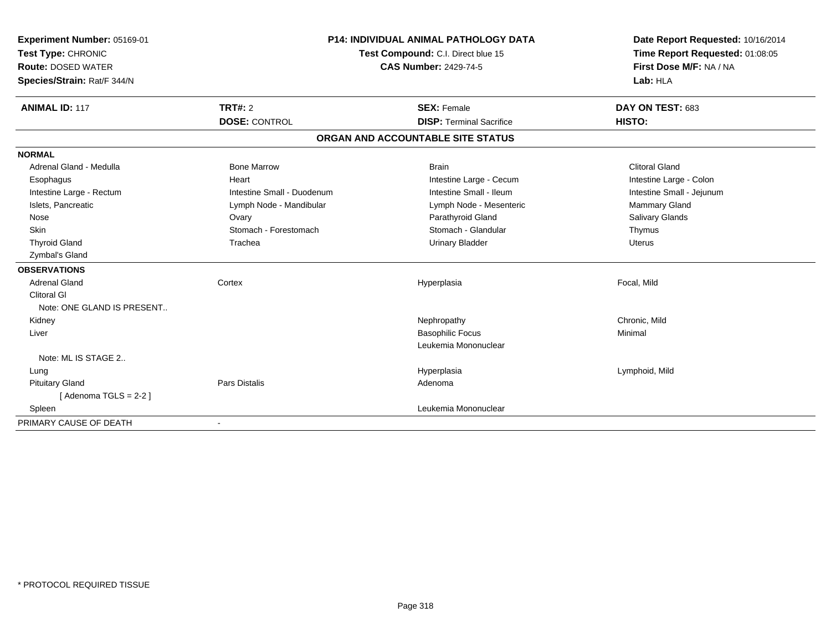| Experiment Number: 05169-01<br>Test Type: CHRONIC<br><b>Route: DOSED WATER</b><br>Species/Strain: Rat/F 344/N |                            | <b>P14: INDIVIDUAL ANIMAL PATHOLOGY DATA</b><br>Test Compound: C.I. Direct blue 15<br><b>CAS Number: 2429-74-5</b> | Date Report Requested: 10/16/2014<br>Time Report Requested: 01:08:05<br>First Dose M/F: NA / NA<br>Lab: HLA |
|---------------------------------------------------------------------------------------------------------------|----------------------------|--------------------------------------------------------------------------------------------------------------------|-------------------------------------------------------------------------------------------------------------|
| <b>ANIMAL ID: 117</b>                                                                                         | TRT#: 2                    | <b>SEX: Female</b>                                                                                                 | DAY ON TEST: 683                                                                                            |
|                                                                                                               | <b>DOSE: CONTROL</b>       | <b>DISP: Terminal Sacrifice</b>                                                                                    | HISTO:                                                                                                      |
|                                                                                                               |                            | ORGAN AND ACCOUNTABLE SITE STATUS                                                                                  |                                                                                                             |
| <b>NORMAL</b>                                                                                                 |                            |                                                                                                                    |                                                                                                             |
| Adrenal Gland - Medulla                                                                                       | <b>Bone Marrow</b>         | <b>Brain</b>                                                                                                       | <b>Clitoral Gland</b>                                                                                       |
| Esophagus                                                                                                     | Heart                      | Intestine Large - Cecum                                                                                            | Intestine Large - Colon                                                                                     |
| Intestine Large - Rectum                                                                                      | Intestine Small - Duodenum | Intestine Small - Ileum                                                                                            | Intestine Small - Jejunum                                                                                   |
| Islets, Pancreatic                                                                                            | Lymph Node - Mandibular    | Lymph Node - Mesenteric                                                                                            | <b>Mammary Gland</b>                                                                                        |
| Nose                                                                                                          | Ovary                      | Parathyroid Gland                                                                                                  | Salivary Glands                                                                                             |
| <b>Skin</b>                                                                                                   | Stomach - Forestomach      | Stomach - Glandular                                                                                                | Thymus                                                                                                      |
| <b>Thyroid Gland</b>                                                                                          | Trachea                    | <b>Urinary Bladder</b>                                                                                             | <b>Uterus</b>                                                                                               |
| Zymbal's Gland                                                                                                |                            |                                                                                                                    |                                                                                                             |
| <b>OBSERVATIONS</b>                                                                                           |                            |                                                                                                                    |                                                                                                             |
| <b>Adrenal Gland</b>                                                                                          | Cortex                     | Hyperplasia                                                                                                        | Focal, Mild                                                                                                 |
| <b>Clitoral GI</b>                                                                                            |                            |                                                                                                                    |                                                                                                             |
| Note: ONE GLAND IS PRESENT                                                                                    |                            |                                                                                                                    |                                                                                                             |
| Kidney                                                                                                        |                            | Nephropathy                                                                                                        | Chronic, Mild                                                                                               |
| Liver                                                                                                         |                            | <b>Basophilic Focus</b>                                                                                            | Minimal                                                                                                     |
|                                                                                                               |                            | Leukemia Mononuclear                                                                                               |                                                                                                             |
| Note: ML IS STAGE 2                                                                                           |                            |                                                                                                                    |                                                                                                             |
| Lung                                                                                                          |                            | Hyperplasia                                                                                                        | Lymphoid, Mild                                                                                              |
| <b>Pituitary Gland</b>                                                                                        | Pars Distalis              | Adenoma                                                                                                            |                                                                                                             |
| [Adenoma TGLS = $2-2$ ]                                                                                       |                            |                                                                                                                    |                                                                                                             |
| Spleen                                                                                                        |                            | Leukemia Mononuclear                                                                                               |                                                                                                             |
| PRIMARY CAUSE OF DEATH                                                                                        |                            |                                                                                                                    |                                                                                                             |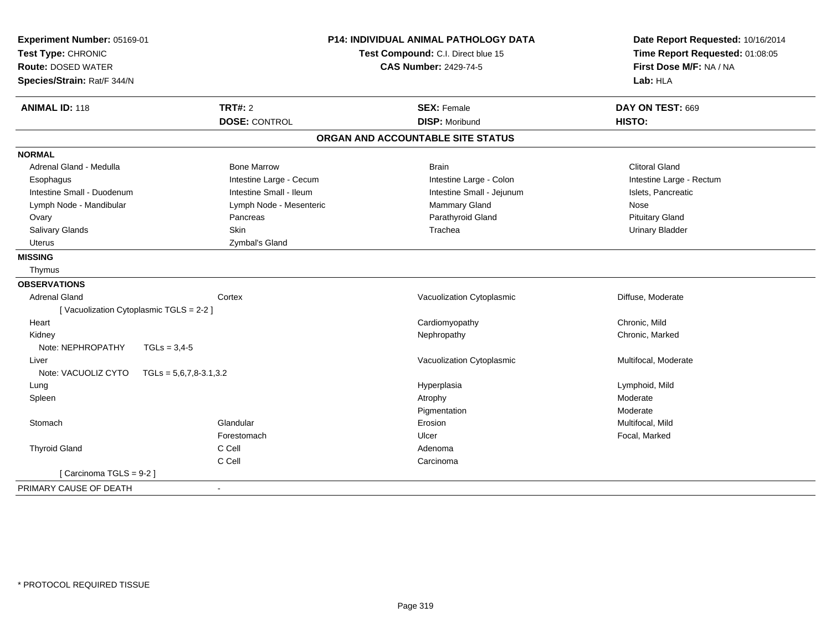| Experiment Number: 05169-01<br>Test Type: CHRONIC<br><b>Route: DOSED WATER</b><br>Species/Strain: Rat/F 344/N |                          | <b>P14: INDIVIDUAL ANIMAL PATHOLOGY DATA</b><br>Test Compound: C.I. Direct blue 15<br><b>CAS Number: 2429-74-5</b> | Date Report Requested: 10/16/2014<br>Time Report Requested: 01:08:05<br>First Dose M/F: NA / NA<br>Lab: HLA |  |
|---------------------------------------------------------------------------------------------------------------|--------------------------|--------------------------------------------------------------------------------------------------------------------|-------------------------------------------------------------------------------------------------------------|--|
| <b>ANIMAL ID: 118</b>                                                                                         | <b>TRT#: 2</b>           | <b>SEX: Female</b>                                                                                                 | DAY ON TEST: 669                                                                                            |  |
|                                                                                                               | <b>DOSE: CONTROL</b>     | <b>DISP: Moribund</b>                                                                                              | HISTO:                                                                                                      |  |
|                                                                                                               |                          | ORGAN AND ACCOUNTABLE SITE STATUS                                                                                  |                                                                                                             |  |
| <b>NORMAL</b>                                                                                                 |                          |                                                                                                                    |                                                                                                             |  |
| Adrenal Gland - Medulla                                                                                       | <b>Bone Marrow</b>       | <b>Brain</b>                                                                                                       | <b>Clitoral Gland</b>                                                                                       |  |
| Esophagus                                                                                                     | Intestine Large - Cecum  | Intestine Large - Colon                                                                                            | Intestine Large - Rectum                                                                                    |  |
| Intestine Small - Duodenum                                                                                    | Intestine Small - Ileum  | Intestine Small - Jejunum                                                                                          | Islets, Pancreatic                                                                                          |  |
| Lymph Node - Mandibular                                                                                       | Lymph Node - Mesenteric  | Mammary Gland                                                                                                      | Nose                                                                                                        |  |
| Ovary                                                                                                         | Pancreas                 | Parathyroid Gland                                                                                                  | <b>Pituitary Gland</b>                                                                                      |  |
| Salivary Glands                                                                                               | Skin                     | Trachea                                                                                                            | <b>Urinary Bladder</b>                                                                                      |  |
| Uterus                                                                                                        | Zymbal's Gland           |                                                                                                                    |                                                                                                             |  |
| <b>MISSING</b>                                                                                                |                          |                                                                                                                    |                                                                                                             |  |
| Thymus                                                                                                        |                          |                                                                                                                    |                                                                                                             |  |
| <b>OBSERVATIONS</b>                                                                                           |                          |                                                                                                                    |                                                                                                             |  |
| <b>Adrenal Gland</b>                                                                                          | Cortex                   | Vacuolization Cytoplasmic                                                                                          | Diffuse, Moderate                                                                                           |  |
| [Vacuolization Cytoplasmic TGLS = 2-2]                                                                        |                          |                                                                                                                    |                                                                                                             |  |
| Heart                                                                                                         |                          | Cardiomyopathy                                                                                                     | Chronic, Mild                                                                                               |  |
| Kidney                                                                                                        |                          | Nephropathy                                                                                                        | Chronic, Marked                                                                                             |  |
| Note: NEPHROPATHY<br>$TGLs = 3,4-5$                                                                           |                          |                                                                                                                    |                                                                                                             |  |
| Liver                                                                                                         |                          | Vacuolization Cytoplasmic                                                                                          | Multifocal, Moderate                                                                                        |  |
| Note: VACUOLIZ CYTO                                                                                           | $TGLs = 5,6,7,8-3.1,3.2$ |                                                                                                                    |                                                                                                             |  |
| Lung                                                                                                          |                          | Hyperplasia                                                                                                        | Lymphoid, Mild                                                                                              |  |
| Spleen                                                                                                        |                          | Atrophy                                                                                                            | Moderate                                                                                                    |  |
|                                                                                                               |                          | Pigmentation                                                                                                       | Moderate                                                                                                    |  |
| Stomach                                                                                                       | Glandular                | Erosion                                                                                                            | Multifocal, Mild                                                                                            |  |
|                                                                                                               | Forestomach              | Ulcer                                                                                                              | Focal, Marked                                                                                               |  |
| <b>Thyroid Gland</b>                                                                                          | C Cell                   | Adenoma                                                                                                            |                                                                                                             |  |
|                                                                                                               | C Cell                   | Carcinoma                                                                                                          |                                                                                                             |  |
| [Carcinoma TGLS = 9-2]                                                                                        |                          |                                                                                                                    |                                                                                                             |  |
| PRIMARY CAUSE OF DEATH                                                                                        |                          |                                                                                                                    |                                                                                                             |  |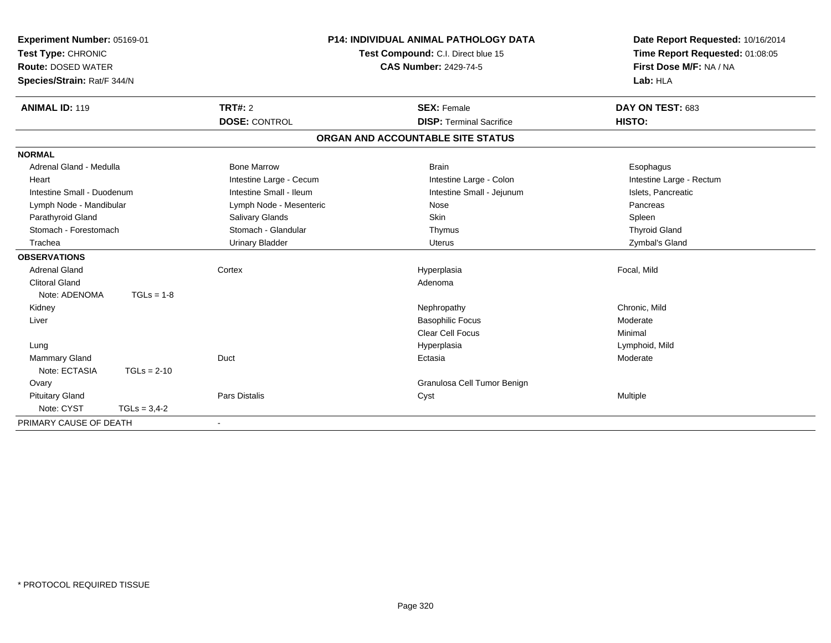| Experiment Number: 05169-01<br>Test Type: CHRONIC<br><b>Route: DOSED WATER</b><br>Species/Strain: Rat/F 344/N |                | <b>P14: INDIVIDUAL ANIMAL PATHOLOGY DATA</b><br>Test Compound: C.I. Direct blue 15<br><b>CAS Number: 2429-74-5</b> |                                   | Date Report Requested: 10/16/2014<br>Time Report Requested: 01:08:05<br>First Dose M/F: NA / NA<br>Lab: HLA |  |
|---------------------------------------------------------------------------------------------------------------|----------------|--------------------------------------------------------------------------------------------------------------------|-----------------------------------|-------------------------------------------------------------------------------------------------------------|--|
| <b>ANIMAL ID: 119</b>                                                                                         |                | <b>TRT#: 2</b>                                                                                                     | <b>SEX: Female</b>                | DAY ON TEST: 683                                                                                            |  |
|                                                                                                               |                | <b>DOSE: CONTROL</b>                                                                                               | <b>DISP: Terminal Sacrifice</b>   | HISTO:                                                                                                      |  |
|                                                                                                               |                |                                                                                                                    | ORGAN AND ACCOUNTABLE SITE STATUS |                                                                                                             |  |
| <b>NORMAL</b>                                                                                                 |                |                                                                                                                    |                                   |                                                                                                             |  |
| Adrenal Gland - Medulla                                                                                       |                | <b>Bone Marrow</b>                                                                                                 | <b>Brain</b>                      | Esophagus                                                                                                   |  |
| Heart                                                                                                         |                | Intestine Large - Cecum                                                                                            | Intestine Large - Colon           | Intestine Large - Rectum                                                                                    |  |
| Intestine Small - Duodenum                                                                                    |                | Intestine Small - Ileum                                                                                            | Intestine Small - Jejunum         | Islets, Pancreatic                                                                                          |  |
| Lymph Node - Mandibular                                                                                       |                | Lymph Node - Mesenteric                                                                                            | Nose                              | Pancreas                                                                                                    |  |
| Parathyroid Gland                                                                                             |                | Salivary Glands                                                                                                    | <b>Skin</b>                       | Spleen                                                                                                      |  |
| Stomach - Forestomach                                                                                         |                | Stomach - Glandular                                                                                                | Thymus                            | <b>Thyroid Gland</b>                                                                                        |  |
| Trachea                                                                                                       |                | <b>Urinary Bladder</b>                                                                                             | <b>Uterus</b>                     | Zymbal's Gland                                                                                              |  |
| <b>OBSERVATIONS</b>                                                                                           |                |                                                                                                                    |                                   |                                                                                                             |  |
| <b>Adrenal Gland</b>                                                                                          |                | Cortex                                                                                                             | Hyperplasia                       | Focal, Mild                                                                                                 |  |
| <b>Clitoral Gland</b>                                                                                         |                |                                                                                                                    | Adenoma                           |                                                                                                             |  |
| Note: ADENOMA                                                                                                 | $TGLs = 1-8$   |                                                                                                                    |                                   |                                                                                                             |  |
| Kidney                                                                                                        |                |                                                                                                                    | Nephropathy                       | Chronic, Mild                                                                                               |  |
| Liver                                                                                                         |                |                                                                                                                    | <b>Basophilic Focus</b>           | Moderate                                                                                                    |  |
|                                                                                                               |                |                                                                                                                    | <b>Clear Cell Focus</b>           | Minimal                                                                                                     |  |
| Lung                                                                                                          |                |                                                                                                                    | Hyperplasia                       | Lymphoid, Mild                                                                                              |  |
| <b>Mammary Gland</b>                                                                                          |                | Duct                                                                                                               | Ectasia                           | Moderate                                                                                                    |  |
| Note: ECTASIA                                                                                                 | $TGLs = 2-10$  |                                                                                                                    |                                   |                                                                                                             |  |
| Ovary                                                                                                         |                |                                                                                                                    | Granulosa Cell Tumor Benign       |                                                                                                             |  |
| <b>Pituitary Gland</b>                                                                                        |                | Pars Distalis                                                                                                      | Cyst                              | <b>Multiple</b>                                                                                             |  |
| Note: CYST                                                                                                    | $TGLs = 3,4-2$ |                                                                                                                    |                                   |                                                                                                             |  |
| PRIMARY CAUSE OF DEATH                                                                                        |                |                                                                                                                    |                                   |                                                                                                             |  |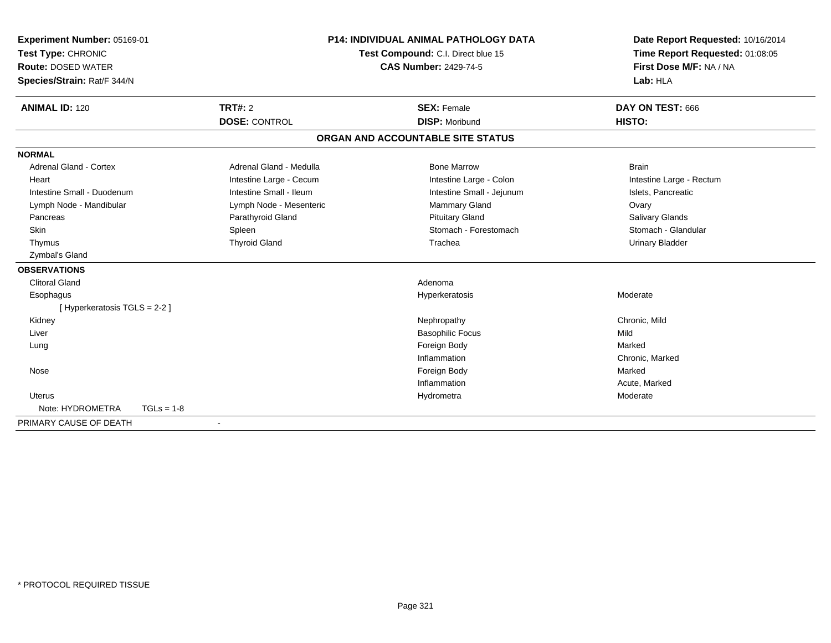| Experiment Number: 05169-01      | <b>P14: INDIVIDUAL ANIMAL PATHOLOGY DATA</b><br>Test Compound: C.I. Direct blue 15 |                                   | Date Report Requested: 10/16/2014 |
|----------------------------------|------------------------------------------------------------------------------------|-----------------------------------|-----------------------------------|
| Test Type: CHRONIC               |                                                                                    |                                   | Time Report Requested: 01:08:05   |
| <b>Route: DOSED WATER</b>        |                                                                                    | <b>CAS Number: 2429-74-5</b>      | First Dose M/F: NA / NA           |
| Species/Strain: Rat/F 344/N      |                                                                                    |                                   | Lab: HLA                          |
| <b>ANIMAL ID: 120</b>            | <b>TRT#: 2</b>                                                                     | <b>SEX: Female</b>                | DAY ON TEST: 666                  |
|                                  | <b>DOSE: CONTROL</b>                                                               | <b>DISP: Moribund</b>             | HISTO:                            |
|                                  |                                                                                    | ORGAN AND ACCOUNTABLE SITE STATUS |                                   |
| <b>NORMAL</b>                    |                                                                                    |                                   |                                   |
| <b>Adrenal Gland - Cortex</b>    | Adrenal Gland - Medulla                                                            | <b>Bone Marrow</b>                | <b>Brain</b>                      |
| Heart                            | Intestine Large - Cecum                                                            | Intestine Large - Colon           | Intestine Large - Rectum          |
| Intestine Small - Duodenum       | Intestine Small - Ileum                                                            | Intestine Small - Jejunum         | Islets, Pancreatic                |
| Lymph Node - Mandibular          | Lymph Node - Mesenteric                                                            | <b>Mammary Gland</b>              | Ovary                             |
| Pancreas                         | Parathyroid Gland                                                                  | <b>Pituitary Gland</b>            | Salivary Glands                   |
| Skin                             | Spleen                                                                             | Stomach - Forestomach             | Stomach - Glandular               |
| Thymus                           | <b>Thyroid Gland</b>                                                               | Trachea                           | <b>Urinary Bladder</b>            |
| Zymbal's Gland                   |                                                                                    |                                   |                                   |
| <b>OBSERVATIONS</b>              |                                                                                    |                                   |                                   |
| <b>Clitoral Gland</b>            |                                                                                    | Adenoma                           |                                   |
| Esophagus                        |                                                                                    | Hyperkeratosis                    | Moderate                          |
| [Hyperkeratosis TGLS = 2-2]      |                                                                                    |                                   |                                   |
| Kidney                           |                                                                                    | Nephropathy                       | Chronic, Mild                     |
| Liver                            |                                                                                    | <b>Basophilic Focus</b>           | Mild                              |
| Lung                             |                                                                                    | Foreign Body                      | Marked                            |
|                                  |                                                                                    | Inflammation                      | Chronic, Marked                   |
| Nose                             |                                                                                    | Foreign Body                      | Marked                            |
|                                  |                                                                                    | Inflammation                      | Acute, Marked                     |
| Uterus                           |                                                                                    | Hydrometra                        | Moderate                          |
| Note: HYDROMETRA<br>$TGLs = 1-8$ |                                                                                    |                                   |                                   |
| PRIMARY CAUSE OF DEATH           |                                                                                    |                                   |                                   |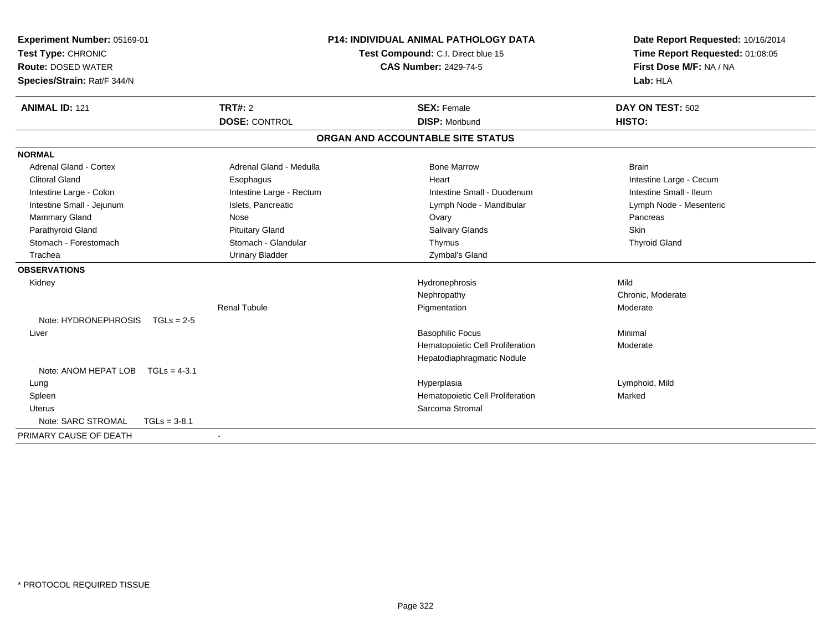| Experiment Number: 05169-01<br>Test Type: CHRONIC<br><b>Route: DOSED WATER</b> |                          | <b>P14: INDIVIDUAL ANIMAL PATHOLOGY DATA</b><br>Test Compound: C.I. Direct blue 15<br><b>CAS Number: 2429-74-5</b> | Date Report Requested: 10/16/2014<br>Time Report Requested: 01:08:05<br>First Dose M/F: NA / NA |  |
|--------------------------------------------------------------------------------|--------------------------|--------------------------------------------------------------------------------------------------------------------|-------------------------------------------------------------------------------------------------|--|
| Species/Strain: Rat/F 344/N                                                    |                          |                                                                                                                    | Lab: HLA                                                                                        |  |
| <b>ANIMAL ID: 121</b>                                                          | TRT#: 2                  | <b>SEX: Female</b>                                                                                                 | DAY ON TEST: 502                                                                                |  |
|                                                                                | <b>DOSE: CONTROL</b>     | <b>DISP: Moribund</b>                                                                                              | HISTO:                                                                                          |  |
|                                                                                |                          | ORGAN AND ACCOUNTABLE SITE STATUS                                                                                  |                                                                                                 |  |
| <b>NORMAL</b>                                                                  |                          |                                                                                                                    |                                                                                                 |  |
| <b>Adrenal Gland - Cortex</b>                                                  | Adrenal Gland - Medulla  | <b>Bone Marrow</b>                                                                                                 | <b>Brain</b>                                                                                    |  |
| <b>Clitoral Gland</b>                                                          | Esophagus                | Heart                                                                                                              | Intestine Large - Cecum                                                                         |  |
| Intestine Large - Colon                                                        | Intestine Large - Rectum | Intestine Small - Duodenum                                                                                         | Intestine Small - Ileum                                                                         |  |
| Intestine Small - Jejunum                                                      | Islets, Pancreatic       | Lymph Node - Mandibular                                                                                            | Lymph Node - Mesenteric                                                                         |  |
| Mammary Gland                                                                  | Nose                     | Ovary                                                                                                              | Pancreas                                                                                        |  |
| Parathyroid Gland                                                              | <b>Pituitary Gland</b>   | <b>Salivary Glands</b>                                                                                             | Skin                                                                                            |  |
| Stomach - Forestomach                                                          | Stomach - Glandular      | Thymus                                                                                                             | <b>Thyroid Gland</b>                                                                            |  |
| Trachea                                                                        | <b>Urinary Bladder</b>   | Zymbal's Gland                                                                                                     |                                                                                                 |  |
| <b>OBSERVATIONS</b>                                                            |                          |                                                                                                                    |                                                                                                 |  |
| Kidney                                                                         |                          | Hydronephrosis                                                                                                     | Mild                                                                                            |  |
|                                                                                |                          | Nephropathy                                                                                                        | Chronic, Moderate                                                                               |  |
|                                                                                | <b>Renal Tubule</b>      | Pigmentation                                                                                                       | Moderate                                                                                        |  |
| Note: HYDRONEPHROSIS TGLs = 2-5                                                |                          |                                                                                                                    |                                                                                                 |  |
| Liver                                                                          |                          | <b>Basophilic Focus</b>                                                                                            | Minimal                                                                                         |  |
|                                                                                |                          | Hematopoietic Cell Proliferation                                                                                   | Moderate                                                                                        |  |
|                                                                                |                          | Hepatodiaphragmatic Nodule                                                                                         |                                                                                                 |  |
| Note: ANOM HEPAT LOB $TGLs = 4-3.1$                                            |                          |                                                                                                                    |                                                                                                 |  |
| Lung                                                                           |                          | Hyperplasia                                                                                                        | Lymphoid, Mild                                                                                  |  |
| Spleen                                                                         |                          | Hematopoietic Cell Proliferation                                                                                   | Marked                                                                                          |  |
| <b>Uterus</b>                                                                  |                          | Sarcoma Stromal                                                                                                    |                                                                                                 |  |
| Note: SARC STROMAL<br>$TGLs = 3-8.1$                                           |                          |                                                                                                                    |                                                                                                 |  |
| PRIMARY CAUSE OF DEATH                                                         |                          |                                                                                                                    |                                                                                                 |  |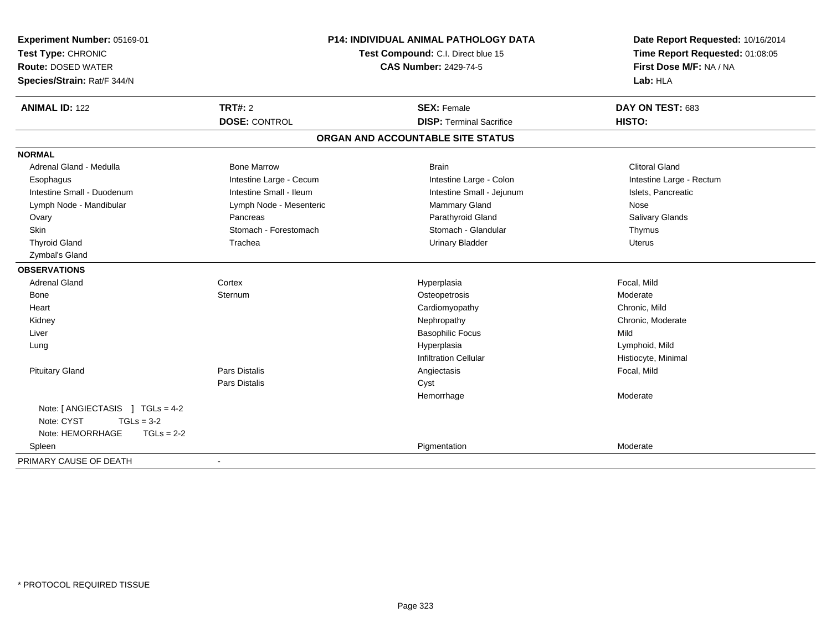| Experiment Number: 05169-01<br>Test Type: CHRONIC<br><b>Route: DOSED WATER</b><br>Species/Strain: Rat/F 344/N | P14: INDIVIDUAL ANIMAL PATHOLOGY DATA<br>Test Compound: C.I. Direct blue 15<br><b>CAS Number: 2429-74-5</b> |                                                       | Date Report Requested: 10/16/2014<br>Time Report Requested: 01:08:05<br>First Dose M/F: NA / NA<br>Lab: HLA |  |
|---------------------------------------------------------------------------------------------------------------|-------------------------------------------------------------------------------------------------------------|-------------------------------------------------------|-------------------------------------------------------------------------------------------------------------|--|
| <b>ANIMAL ID: 122</b>                                                                                         | <b>TRT#: 2</b><br><b>DOSE: CONTROL</b>                                                                      | <b>SEX: Female</b><br><b>DISP: Terminal Sacrifice</b> | DAY ON TEST: 683<br>HISTO:                                                                                  |  |
|                                                                                                               |                                                                                                             | ORGAN AND ACCOUNTABLE SITE STATUS                     |                                                                                                             |  |
|                                                                                                               |                                                                                                             |                                                       |                                                                                                             |  |
| <b>NORMAL</b>                                                                                                 |                                                                                                             |                                                       |                                                                                                             |  |
| Adrenal Gland - Medulla                                                                                       | <b>Bone Marrow</b>                                                                                          | <b>Brain</b>                                          | <b>Clitoral Gland</b>                                                                                       |  |
| Esophagus                                                                                                     | Intestine Large - Cecum                                                                                     | Intestine Large - Colon                               | Intestine Large - Rectum                                                                                    |  |
| Intestine Small - Duodenum                                                                                    | Intestine Small - Ileum                                                                                     | Intestine Small - Jejunum                             | Islets, Pancreatic                                                                                          |  |
| Lymph Node - Mandibular                                                                                       | Lymph Node - Mesenteric                                                                                     | Mammary Gland                                         | Nose                                                                                                        |  |
| Ovary                                                                                                         | Pancreas                                                                                                    | Parathyroid Gland                                     | Salivary Glands                                                                                             |  |
| <b>Skin</b>                                                                                                   | Stomach - Forestomach                                                                                       | Stomach - Glandular                                   | Thymus                                                                                                      |  |
| <b>Thyroid Gland</b>                                                                                          | Trachea                                                                                                     | <b>Urinary Bladder</b>                                | <b>Uterus</b>                                                                                               |  |
| Zymbal's Gland                                                                                                |                                                                                                             |                                                       |                                                                                                             |  |
| <b>OBSERVATIONS</b>                                                                                           |                                                                                                             |                                                       |                                                                                                             |  |
| <b>Adrenal Gland</b>                                                                                          | Cortex                                                                                                      | Hyperplasia                                           | Focal, Mild                                                                                                 |  |
| Bone                                                                                                          | Sternum                                                                                                     | Osteopetrosis                                         | Moderate                                                                                                    |  |
| Heart                                                                                                         |                                                                                                             | Cardiomyopathy                                        | Chronic, Mild                                                                                               |  |
| Kidney                                                                                                        |                                                                                                             | Nephropathy                                           | Chronic, Moderate                                                                                           |  |
| Liver                                                                                                         |                                                                                                             | <b>Basophilic Focus</b>                               | Mild                                                                                                        |  |
| Lung                                                                                                          |                                                                                                             | Hyperplasia                                           | Lymphoid, Mild                                                                                              |  |
|                                                                                                               |                                                                                                             | <b>Infiltration Cellular</b>                          | Histiocyte, Minimal                                                                                         |  |
| <b>Pituitary Gland</b>                                                                                        | <b>Pars Distalis</b>                                                                                        | Angiectasis                                           | Focal, Mild                                                                                                 |  |
|                                                                                                               | Pars Distalis                                                                                               | Cyst                                                  |                                                                                                             |  |
|                                                                                                               |                                                                                                             | Hemorrhage                                            | Moderate                                                                                                    |  |
| Note: [ ANGIECTASIS ] TGLs = 4-2                                                                              |                                                                                                             |                                                       |                                                                                                             |  |
| Note: CYST<br>$TGLs = 3-2$                                                                                    |                                                                                                             |                                                       |                                                                                                             |  |
| Note: HEMORRHAGE<br>$TGLs = 2-2$                                                                              |                                                                                                             |                                                       |                                                                                                             |  |
| Spleen                                                                                                        |                                                                                                             | Pigmentation                                          | Moderate                                                                                                    |  |
| PRIMARY CAUSE OF DEATH                                                                                        |                                                                                                             |                                                       |                                                                                                             |  |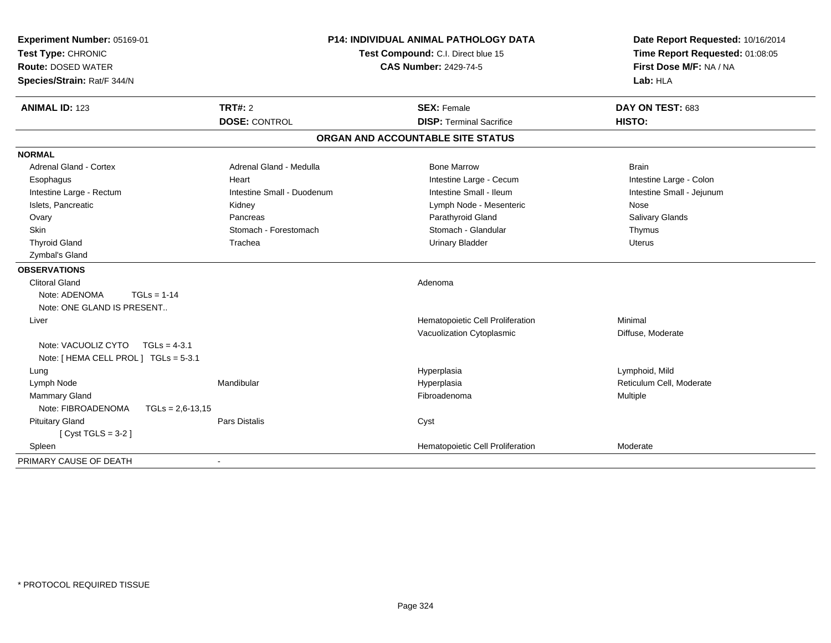| Experiment Number: 05169-01<br>Test Type: CHRONIC<br><b>Route: DOSED WATER</b><br>Species/Strain: Rat/F 344/N                                                                                                                                                           | <b>P14: INDIVIDUAL ANIMAL PATHOLOGY DATA</b><br>Test Compound: C.I. Direct blue 15<br><b>CAS Number: 2429-74-5</b>       |                                                                                                                                                                                      | Date Report Requested: 10/16/2014<br>Time Report Requested: 01:08:05<br>First Dose M/F: NA / NA<br>Lab: HLA         |  |
|-------------------------------------------------------------------------------------------------------------------------------------------------------------------------------------------------------------------------------------------------------------------------|--------------------------------------------------------------------------------------------------------------------------|--------------------------------------------------------------------------------------------------------------------------------------------------------------------------------------|---------------------------------------------------------------------------------------------------------------------|--|
| <b>ANIMAL ID: 123</b>                                                                                                                                                                                                                                                   | <b>TRT#: 2</b><br><b>DOSE: CONTROL</b>                                                                                   | <b>SEX: Female</b><br><b>DISP: Terminal Sacrifice</b>                                                                                                                                | DAY ON TEST: 683<br><b>HISTO:</b>                                                                                   |  |
|                                                                                                                                                                                                                                                                         |                                                                                                                          | ORGAN AND ACCOUNTABLE SITE STATUS                                                                                                                                                    |                                                                                                                     |  |
| <b>NORMAL</b>                                                                                                                                                                                                                                                           |                                                                                                                          |                                                                                                                                                                                      |                                                                                                                     |  |
| <b>Adrenal Gland - Cortex</b><br>Esophagus<br>Intestine Large - Rectum<br>Islets, Pancreatic<br>Ovary<br>Skin<br><b>Thyroid Gland</b><br>Zymbal's Gland<br><b>OBSERVATIONS</b><br><b>Clitoral Gland</b><br>Note: ADENOMA<br>$TGLs = 1-14$<br>Note: ONE GLAND IS PRESENT | Adrenal Gland - Medulla<br>Heart<br>Intestine Small - Duodenum<br>Kidney<br>Pancreas<br>Stomach - Forestomach<br>Trachea | <b>Bone Marrow</b><br>Intestine Large - Cecum<br>Intestine Small - Ileum<br>Lymph Node - Mesenteric<br>Parathyroid Gland<br>Stomach - Glandular<br><b>Urinary Bladder</b><br>Adenoma | <b>Brain</b><br>Intestine Large - Colon<br>Intestine Small - Jejunum<br>Nose<br>Salivary Glands<br>Thymus<br>Uterus |  |
| Liver<br>Note: VACUOLIZ CYTO<br>$TGLs = 4-3.1$<br>Note: [ HEMA CELL PROL ] TGLs = 5-3.1<br>Lung                                                                                                                                                                         |                                                                                                                          | Hematopoietic Cell Proliferation<br>Vacuolization Cytoplasmic<br>Hyperplasia                                                                                                         | Minimal<br>Diffuse, Moderate<br>Lymphoid, Mild                                                                      |  |
| Lymph Node<br><b>Mammary Gland</b><br>Note: FIBROADENOMA<br>$TGLs = 2.6 - 13.15$<br><b>Pituitary Gland</b>                                                                                                                                                              | Mandibular<br><b>Pars Distalis</b>                                                                                       | Hyperplasia<br>Fibroadenoma<br>Cyst                                                                                                                                                  | Reticulum Cell, Moderate<br>Multiple                                                                                |  |
| [Cyst TGLS = $3-2$ ]<br>Spleen<br>PRIMARY CAUSE OF DEATH                                                                                                                                                                                                                |                                                                                                                          | Hematopoietic Cell Proliferation                                                                                                                                                     | Moderate                                                                                                            |  |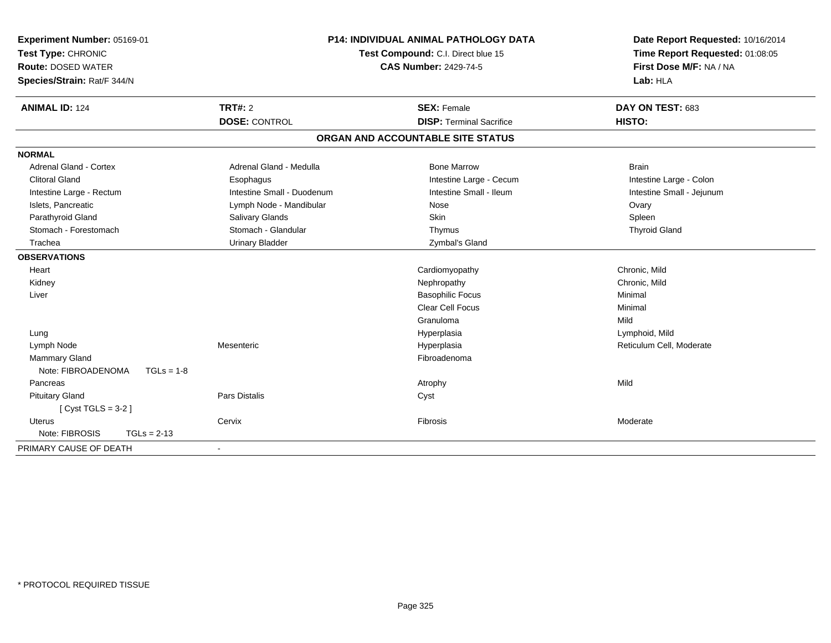| Experiment Number: 05169-01<br>Test Type: CHRONIC |                            | <b>P14: INDIVIDUAL ANIMAL PATHOLOGY DATA</b><br>Test Compound: C.I. Direct blue 15 | Date Report Requested: 10/16/2014<br>Time Report Requested: 01:08:05<br>First Dose M/F: NA / NA |
|---------------------------------------------------|----------------------------|------------------------------------------------------------------------------------|-------------------------------------------------------------------------------------------------|
| <b>Route: DOSED WATER</b>                         |                            | <b>CAS Number: 2429-74-5</b>                                                       |                                                                                                 |
| Species/Strain: Rat/F 344/N                       |                            |                                                                                    | Lab: HLA                                                                                        |
| <b>ANIMAL ID: 124</b>                             | TRT#: 2                    | <b>SEX: Female</b>                                                                 | DAY ON TEST: 683                                                                                |
|                                                   | <b>DOSE: CONTROL</b>       | <b>DISP: Terminal Sacrifice</b>                                                    | HISTO:                                                                                          |
|                                                   |                            | ORGAN AND ACCOUNTABLE SITE STATUS                                                  |                                                                                                 |
| <b>NORMAL</b>                                     |                            |                                                                                    |                                                                                                 |
| <b>Adrenal Gland - Cortex</b>                     | Adrenal Gland - Medulla    | <b>Bone Marrow</b>                                                                 | <b>Brain</b>                                                                                    |
| <b>Clitoral Gland</b>                             | Esophagus                  | Intestine Large - Cecum                                                            | Intestine Large - Colon                                                                         |
| Intestine Large - Rectum                          | Intestine Small - Duodenum | Intestine Small - Ileum                                                            | Intestine Small - Jejunum                                                                       |
| Islets, Pancreatic                                | Lymph Node - Mandibular    | Nose                                                                               | Ovary                                                                                           |
| Parathyroid Gland                                 | Salivary Glands            | Skin                                                                               | Spleen                                                                                          |
| Stomach - Forestomach                             | Stomach - Glandular        | Thymus                                                                             | <b>Thyroid Gland</b>                                                                            |
| Trachea                                           | <b>Urinary Bladder</b>     | Zymbal's Gland                                                                     |                                                                                                 |
| <b>OBSERVATIONS</b>                               |                            |                                                                                    |                                                                                                 |
| Heart                                             |                            | Cardiomyopathy                                                                     | Chronic, Mild                                                                                   |
| Kidney                                            |                            | Nephropathy                                                                        | Chronic, Mild                                                                                   |
| Liver                                             |                            | <b>Basophilic Focus</b>                                                            | Minimal                                                                                         |
|                                                   |                            | <b>Clear Cell Focus</b>                                                            | Minimal                                                                                         |
|                                                   |                            | Granuloma                                                                          | Mild                                                                                            |
| Lung                                              |                            | Hyperplasia                                                                        | Lymphoid, Mild                                                                                  |
| Lymph Node                                        | Mesenteric                 | Hyperplasia                                                                        | Reticulum Cell, Moderate                                                                        |
| Mammary Gland                                     |                            | Fibroadenoma                                                                       |                                                                                                 |
| Note: FIBROADENOMA<br>$TGLs = 1-8$                |                            |                                                                                    |                                                                                                 |
| Pancreas                                          |                            | Atrophy                                                                            | Mild                                                                                            |
| <b>Pituitary Gland</b>                            | <b>Pars Distalis</b>       | Cyst                                                                               |                                                                                                 |
| [Cyst TGLS = $3-2$ ]                              |                            |                                                                                    |                                                                                                 |
| <b>Uterus</b>                                     | Cervix                     | Fibrosis                                                                           | Moderate                                                                                        |
| Note: FIBROSIS<br>$TGLs = 2-13$                   |                            |                                                                                    |                                                                                                 |
| PRIMARY CAUSE OF DEATH                            |                            |                                                                                    |                                                                                                 |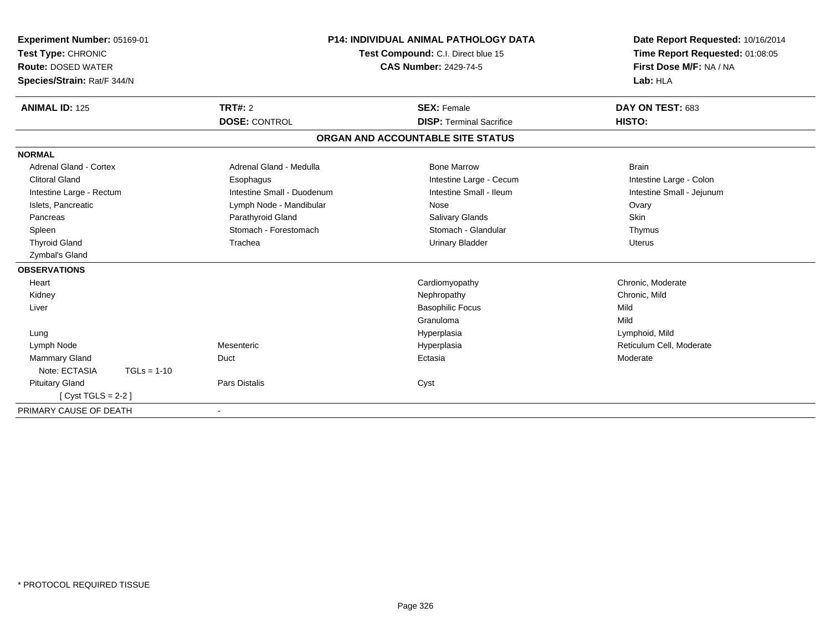| Experiment Number: 05169-01<br>Test Type: CHRONIC<br><b>Route: DOSED WATER</b><br>Species/Strain: Rat/F 344/N |                            | <b>P14: INDIVIDUAL ANIMAL PATHOLOGY DATA</b><br>Test Compound: C.I. Direct blue 15<br><b>CAS Number: 2429-74-5</b> | Date Report Requested: 10/16/2014<br>Time Report Requested: 01:08:05<br>First Dose M/F: NA / NA<br>Lab: HLA |
|---------------------------------------------------------------------------------------------------------------|----------------------------|--------------------------------------------------------------------------------------------------------------------|-------------------------------------------------------------------------------------------------------------|
| <b>ANIMAL ID: 125</b>                                                                                         | TRT#: 2                    | <b>SEX: Female</b>                                                                                                 | DAY ON TEST: 683                                                                                            |
|                                                                                                               | <b>DOSE: CONTROL</b>       | <b>DISP: Terminal Sacrifice</b>                                                                                    | HISTO:                                                                                                      |
|                                                                                                               |                            | ORGAN AND ACCOUNTABLE SITE STATUS                                                                                  |                                                                                                             |
| <b>NORMAL</b>                                                                                                 |                            |                                                                                                                    |                                                                                                             |
| <b>Adrenal Gland - Cortex</b>                                                                                 | Adrenal Gland - Medulla    | <b>Bone Marrow</b>                                                                                                 | <b>Brain</b>                                                                                                |
| <b>Clitoral Gland</b>                                                                                         | Esophagus                  | Intestine Large - Cecum                                                                                            | Intestine Large - Colon                                                                                     |
| Intestine Large - Rectum                                                                                      | Intestine Small - Duodenum | Intestine Small - Ileum                                                                                            | Intestine Small - Jejunum                                                                                   |
| Islets, Pancreatic                                                                                            | Lymph Node - Mandibular    | Nose                                                                                                               | Ovary                                                                                                       |
| Pancreas                                                                                                      | Parathyroid Gland          | <b>Salivary Glands</b>                                                                                             | <b>Skin</b>                                                                                                 |
| Spleen                                                                                                        | Stomach - Forestomach      | Stomach - Glandular                                                                                                | Thymus                                                                                                      |
| <b>Thyroid Gland</b>                                                                                          | Trachea                    | <b>Urinary Bladder</b>                                                                                             | <b>Uterus</b>                                                                                               |
| Zymbal's Gland                                                                                                |                            |                                                                                                                    |                                                                                                             |
| <b>OBSERVATIONS</b>                                                                                           |                            |                                                                                                                    |                                                                                                             |
| Heart                                                                                                         |                            | Cardiomyopathy                                                                                                     | Chronic, Moderate                                                                                           |
| Kidney                                                                                                        |                            | Nephropathy                                                                                                        | Chronic, Mild                                                                                               |
| Liver                                                                                                         |                            | <b>Basophilic Focus</b>                                                                                            | Mild                                                                                                        |
|                                                                                                               |                            | Granuloma                                                                                                          | Mild                                                                                                        |
| Lung                                                                                                          |                            | Hyperplasia                                                                                                        | Lymphoid, Mild                                                                                              |
| Lymph Node                                                                                                    | Mesenteric                 | Hyperplasia                                                                                                        | Reticulum Cell, Moderate                                                                                    |
| Mammary Gland                                                                                                 | Duct                       | Ectasia                                                                                                            | Moderate                                                                                                    |
| Note: ECTASIA<br>$TGLs = 1-10$                                                                                |                            |                                                                                                                    |                                                                                                             |
| <b>Pituitary Gland</b>                                                                                        | <b>Pars Distalis</b>       | Cyst                                                                                                               |                                                                                                             |
| [Cyst TGLS = $2-2$ ]                                                                                          |                            |                                                                                                                    |                                                                                                             |
| PRIMARY CAUSE OF DEATH                                                                                        |                            |                                                                                                                    |                                                                                                             |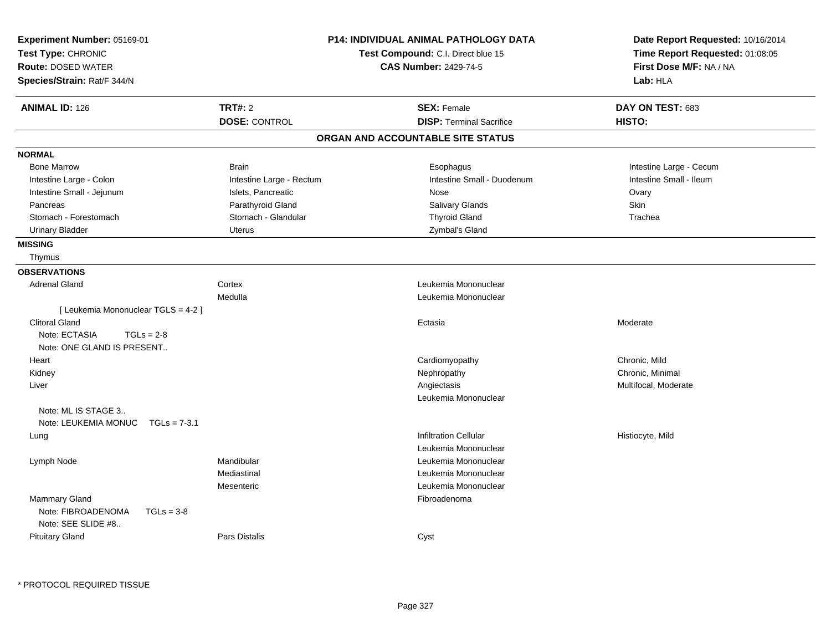| Experiment Number: 05169-01<br>Test Type: CHRONIC |                          | <b>P14: INDIVIDUAL ANIMAL PATHOLOGY DATA</b><br>Test Compound: C.I. Direct blue 15 | Date Report Requested: 10/16/2014<br>Time Report Requested: 01:08:05 |
|---------------------------------------------------|--------------------------|------------------------------------------------------------------------------------|----------------------------------------------------------------------|
| <b>Route: DOSED WATER</b>                         |                          | <b>CAS Number: 2429-74-5</b>                                                       | First Dose M/F: NA / NA                                              |
| Species/Strain: Rat/F 344/N                       |                          |                                                                                    | Lab: HLA                                                             |
| <b>ANIMAL ID: 126</b>                             | <b>TRT#: 2</b>           | <b>SEX: Female</b>                                                                 | DAY ON TEST: 683                                                     |
|                                                   | <b>DOSE: CONTROL</b>     | <b>DISP: Terminal Sacrifice</b>                                                    | HISTO:                                                               |
|                                                   |                          | ORGAN AND ACCOUNTABLE SITE STATUS                                                  |                                                                      |
| <b>NORMAL</b>                                     |                          |                                                                                    |                                                                      |
| <b>Bone Marrow</b>                                | <b>Brain</b>             | Esophagus                                                                          | Intestine Large - Cecum                                              |
| Intestine Large - Colon                           | Intestine Large - Rectum | Intestine Small - Duodenum                                                         | Intestine Small - Ileum                                              |
| Intestine Small - Jejunum                         | Islets, Pancreatic       | Nose                                                                               | Ovary                                                                |
| Pancreas                                          | Parathyroid Gland        | Salivary Glands                                                                    | Skin                                                                 |
| Stomach - Forestomach                             | Stomach - Glandular      | <b>Thyroid Gland</b>                                                               | Trachea                                                              |
| <b>Urinary Bladder</b>                            | <b>Uterus</b>            | Zymbal's Gland                                                                     |                                                                      |
| <b>MISSING</b>                                    |                          |                                                                                    |                                                                      |
| Thymus                                            |                          |                                                                                    |                                                                      |
| <b>OBSERVATIONS</b>                               |                          |                                                                                    |                                                                      |
| <b>Adrenal Gland</b>                              | Cortex                   | Leukemia Mononuclear                                                               |                                                                      |
|                                                   | Medulla                  | Leukemia Mononuclear                                                               |                                                                      |
| [ Leukemia Mononuclear TGLS = 4-2 ]               |                          |                                                                                    |                                                                      |
| <b>Clitoral Gland</b>                             |                          | Ectasia                                                                            | Moderate                                                             |
| Note: ECTASIA<br>$TGLs = 2-8$                     |                          |                                                                                    |                                                                      |
| Note: ONE GLAND IS PRESENT                        |                          |                                                                                    |                                                                      |
| Heart                                             |                          | Cardiomyopathy                                                                     | Chronic, Mild                                                        |
| Kidney                                            |                          | Nephropathy                                                                        | Chronic, Minimal                                                     |
| Liver                                             |                          | Angiectasis                                                                        | Multifocal, Moderate                                                 |
|                                                   |                          | Leukemia Mononuclear                                                               |                                                                      |
| Note: ML IS STAGE 3                               |                          |                                                                                    |                                                                      |
| Note: LEUKEMIA MONUC TGLs = 7-3.1                 |                          |                                                                                    |                                                                      |
| Lung                                              |                          | <b>Infiltration Cellular</b>                                                       | Histiocyte, Mild                                                     |
|                                                   |                          | Leukemia Mononuclear                                                               |                                                                      |
| Lymph Node                                        | Mandibular               | Leukemia Mononuclear                                                               |                                                                      |
|                                                   | Mediastinal              | Leukemia Mononuclear                                                               |                                                                      |
|                                                   | Mesenteric               | Leukemia Mononuclear                                                               |                                                                      |
|                                                   |                          |                                                                                    |                                                                      |
| <b>Mammary Gland</b>                              |                          | Fibroadenoma                                                                       |                                                                      |
| Note: FIBROADENOMA<br>$TGLs = 3-8$                |                          |                                                                                    |                                                                      |
|                                                   |                          |                                                                                    |                                                                      |
|                                                   |                          |                                                                                    |                                                                      |
| Note: SEE SLIDE #8<br><b>Pituitary Gland</b>      | <b>Pars Distalis</b>     | Cyst                                                                               |                                                                      |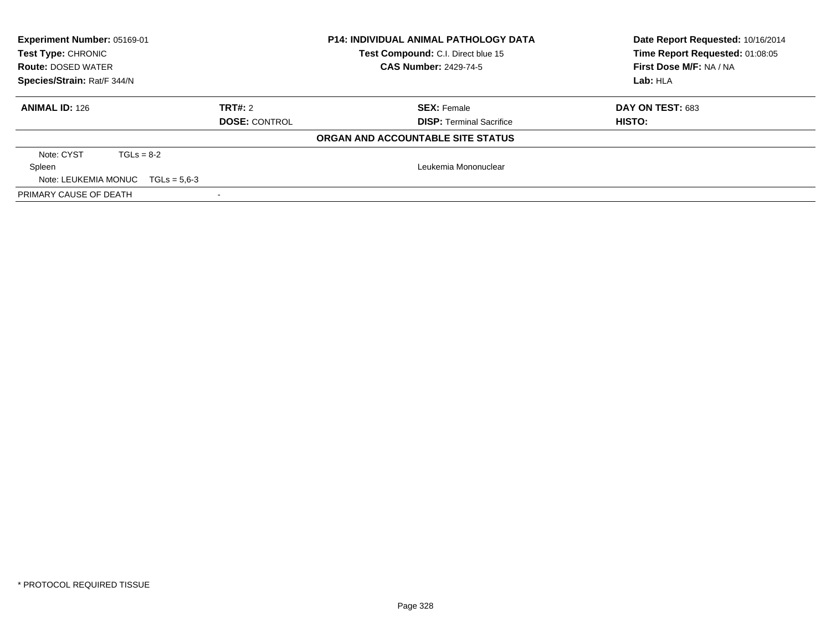| Experiment Number: 05169-01<br><b>Test Type: CHRONIC</b><br><b>Route: DOSED WATER</b><br>Species/Strain: Rat/F 344/N |                                 | <b>P14: INDIVIDUAL ANIMAL PATHOLOGY DATA</b><br>Test Compound: C.I. Direct blue 15<br><b>CAS Number: 2429-74-5</b> |                                 | Date Report Requested: 10/16/2014<br>Time Report Requested: 01:08:05<br>First Dose M/F: NA / NA<br>Lab: HLA |
|----------------------------------------------------------------------------------------------------------------------|---------------------------------|--------------------------------------------------------------------------------------------------------------------|---------------------------------|-------------------------------------------------------------------------------------------------------------|
| <b>ANIMAL ID: 126</b>                                                                                                | TRT#: 2<br><b>DOSE: CONTROL</b> | <b>SEX: Female</b>                                                                                                 | <b>DISP: Terminal Sacrifice</b> | DAY ON TEST: 683<br>HISTO:                                                                                  |
|                                                                                                                      |                                 | ORGAN AND ACCOUNTABLE SITE STATUS                                                                                  |                                 |                                                                                                             |
| Note: CYST<br>$TGLs = 8-2$<br>Spleen<br>Note: LEUKEMIA MONUC $TGLs = 5.6-3$                                          |                                 |                                                                                                                    | Leukemia Mononuclear            |                                                                                                             |
| PRIMARY CAUSE OF DEATH                                                                                               |                                 |                                                                                                                    |                                 |                                                                                                             |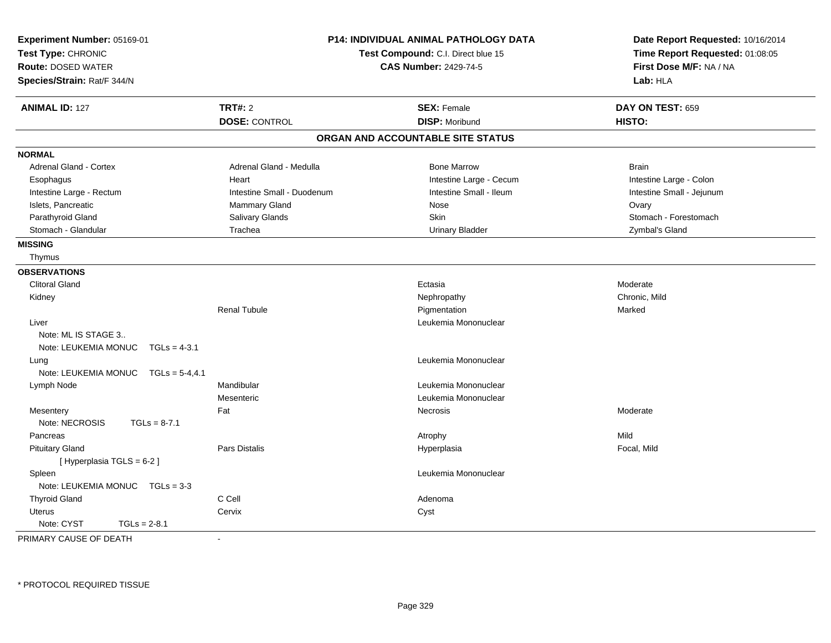| P14: INDIVIDUAL ANIMAL PATHOLOGY DATA<br>Experiment Number: 05169-01<br>Test Type: CHRONIC<br>Test Compound: C.I. Direct blue 15<br><b>Route: DOSED WATER</b><br><b>CAS Number: 2429-74-5</b><br>Species/Strain: Rat/F 344/N |                            |                                   | Date Report Requested: 10/16/2014<br>Time Report Requested: 01:08:05<br>First Dose M/F: NA / NA<br>Lab: HLA |  |
|------------------------------------------------------------------------------------------------------------------------------------------------------------------------------------------------------------------------------|----------------------------|-----------------------------------|-------------------------------------------------------------------------------------------------------------|--|
| <b>ANIMAL ID: 127</b>                                                                                                                                                                                                        | <b>TRT#: 2</b>             | <b>SEX: Female</b>                | DAY ON TEST: 659                                                                                            |  |
|                                                                                                                                                                                                                              | <b>DOSE: CONTROL</b>       | <b>DISP: Moribund</b>             | HISTO:                                                                                                      |  |
|                                                                                                                                                                                                                              |                            | ORGAN AND ACCOUNTABLE SITE STATUS |                                                                                                             |  |
| <b>NORMAL</b>                                                                                                                                                                                                                |                            |                                   |                                                                                                             |  |
| Adrenal Gland - Cortex                                                                                                                                                                                                       | Adrenal Gland - Medulla    | <b>Bone Marrow</b>                | <b>Brain</b>                                                                                                |  |
| Esophagus                                                                                                                                                                                                                    | Heart                      | Intestine Large - Cecum           | Intestine Large - Colon                                                                                     |  |
| Intestine Large - Rectum                                                                                                                                                                                                     | Intestine Small - Duodenum | Intestine Small - Ileum           | Intestine Small - Jejunum                                                                                   |  |
| Islets, Pancreatic                                                                                                                                                                                                           | Mammary Gland              | Nose                              | Ovary                                                                                                       |  |
| Parathyroid Gland                                                                                                                                                                                                            | Salivary Glands            | <b>Skin</b>                       | Stomach - Forestomach                                                                                       |  |
| Stomach - Glandular                                                                                                                                                                                                          | Trachea                    | <b>Urinary Bladder</b>            | Zymbal's Gland                                                                                              |  |
| <b>MISSING</b>                                                                                                                                                                                                               |                            |                                   |                                                                                                             |  |
| Thymus                                                                                                                                                                                                                       |                            |                                   |                                                                                                             |  |
| <b>OBSERVATIONS</b>                                                                                                                                                                                                          |                            |                                   |                                                                                                             |  |
| <b>Clitoral Gland</b>                                                                                                                                                                                                        |                            | Ectasia                           | Moderate                                                                                                    |  |
| Kidney                                                                                                                                                                                                                       |                            | Nephropathy                       | Chronic, Mild                                                                                               |  |
|                                                                                                                                                                                                                              | <b>Renal Tubule</b>        | Pigmentation                      | Marked                                                                                                      |  |
| Liver                                                                                                                                                                                                                        |                            | Leukemia Mononuclear              |                                                                                                             |  |
| Note: ML IS STAGE 3                                                                                                                                                                                                          |                            |                                   |                                                                                                             |  |
| Note: LEUKEMIA MONUC<br>$TGLs = 4-3.1$                                                                                                                                                                                       |                            |                                   |                                                                                                             |  |
| Lung                                                                                                                                                                                                                         |                            | Leukemia Mononuclear              |                                                                                                             |  |
| Note: LEUKEMIA MONUC<br>$TGLs = 5-4.4.1$                                                                                                                                                                                     |                            |                                   |                                                                                                             |  |
| Lymph Node                                                                                                                                                                                                                   | Mandibular                 | Leukemia Mononuclear              |                                                                                                             |  |
|                                                                                                                                                                                                                              | Mesenteric                 | Leukemia Mononuclear              |                                                                                                             |  |
| Mesentery                                                                                                                                                                                                                    | Fat                        | Necrosis                          | Moderate                                                                                                    |  |
| Note: NECROSIS<br>$TGLs = 8-7.1$                                                                                                                                                                                             |                            |                                   |                                                                                                             |  |
| Pancreas                                                                                                                                                                                                                     |                            | Atrophy                           | Mild                                                                                                        |  |
| <b>Pituitary Gland</b>                                                                                                                                                                                                       | Pars Distalis              | Hyperplasia                       | Focal, Mild                                                                                                 |  |
| [ Hyperplasia TGLS = 6-2 ]                                                                                                                                                                                                   |                            |                                   |                                                                                                             |  |
| Spleen                                                                                                                                                                                                                       |                            | Leukemia Mononuclear              |                                                                                                             |  |
| Note: LEUKEMIA MONUC $TGLs = 3-3$                                                                                                                                                                                            |                            |                                   |                                                                                                             |  |
| <b>Thyroid Gland</b>                                                                                                                                                                                                         | C Cell                     | Adenoma                           |                                                                                                             |  |
| <b>Uterus</b>                                                                                                                                                                                                                | Cervix                     | Cyst                              |                                                                                                             |  |
| Note: CYST<br>$TGLs = 2-8.1$                                                                                                                                                                                                 |                            |                                   |                                                                                                             |  |

PRIMARY CAUSE OF DEATH-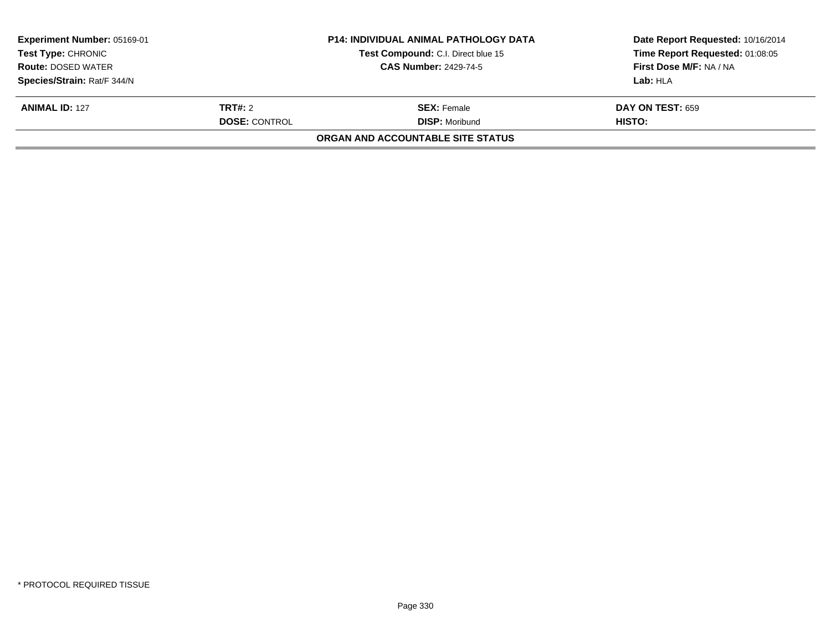| Experiment Number: 05169-01 |                                    | <b>P14: INDIVIDUAL ANIMAL PATHOLOGY DATA</b> | Date Report Requested: 10/16/2014 |
|-----------------------------|------------------------------------|----------------------------------------------|-----------------------------------|
| <b>Test Type: CHRONIC</b>   | Test Compound: C.I. Direct blue 15 |                                              | Time Report Requested: 01:08:05   |
| <b>Route: DOSED WATER</b>   | <b>CAS Number: 2429-74-5</b>       |                                              | First Dose M/F: NA / NA           |
| Species/Strain: Rat/F 344/N |                                    |                                              | Lab: HLA                          |
| <b>ANIMAL ID: 127</b>       | TRT#: 2                            | <b>SEX:</b> Female                           | <b>DAY ON TEST: 659</b>           |
|                             | <b>DOSE: CONTROL</b>               | <b>DISP: Moribund</b>                        | HISTO:                            |
|                             |                                    | ORGAN AND ACCOUNTABLE SITE STATUS            |                                   |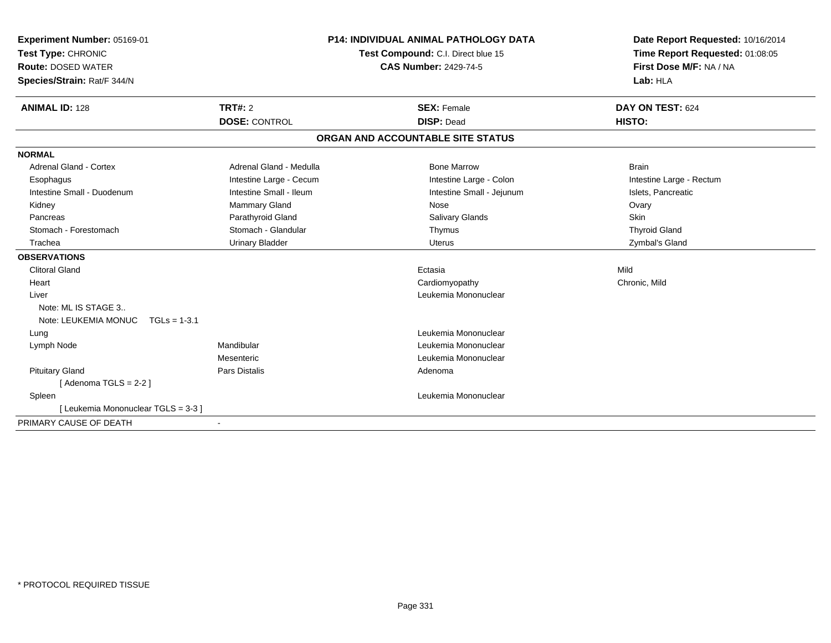| Experiment Number: 05169-01<br>Test Type: CHRONIC<br><b>Route: DOSED WATER</b><br>Species/Strain: Rat/F 344/N |                         | <b>P14: INDIVIDUAL ANIMAL PATHOLOGY DATA</b><br>Test Compound: C.I. Direct blue 15<br><b>CAS Number: 2429-74-5</b> | Date Report Requested: 10/16/2014<br>Time Report Requested: 01:08:05<br>First Dose M/F: NA / NA<br>Lab: HLA |
|---------------------------------------------------------------------------------------------------------------|-------------------------|--------------------------------------------------------------------------------------------------------------------|-------------------------------------------------------------------------------------------------------------|
| <b>ANIMAL ID: 128</b>                                                                                         | <b>TRT#: 2</b>          | <b>SEX: Female</b>                                                                                                 | DAY ON TEST: 624                                                                                            |
|                                                                                                               | <b>DOSE: CONTROL</b>    | <b>DISP: Dead</b>                                                                                                  | HISTO:                                                                                                      |
|                                                                                                               |                         | ORGAN AND ACCOUNTABLE SITE STATUS                                                                                  |                                                                                                             |
| <b>NORMAL</b>                                                                                                 |                         |                                                                                                                    |                                                                                                             |
| <b>Adrenal Gland - Cortex</b>                                                                                 | Adrenal Gland - Medulla | <b>Bone Marrow</b>                                                                                                 | <b>Brain</b>                                                                                                |
| Esophagus                                                                                                     | Intestine Large - Cecum | Intestine Large - Colon                                                                                            | Intestine Large - Rectum                                                                                    |
| Intestine Small - Duodenum                                                                                    | Intestine Small - Ileum | Intestine Small - Jejunum                                                                                          | Islets, Pancreatic                                                                                          |
| Kidney                                                                                                        | Mammary Gland           | Nose                                                                                                               | Ovary                                                                                                       |
| Pancreas                                                                                                      | Parathyroid Gland       | Salivary Glands                                                                                                    | Skin                                                                                                        |
| Stomach - Forestomach                                                                                         | Stomach - Glandular     | Thymus                                                                                                             | <b>Thyroid Gland</b>                                                                                        |
| Trachea                                                                                                       | <b>Urinary Bladder</b>  | <b>Uterus</b>                                                                                                      | Zymbal's Gland                                                                                              |
| <b>OBSERVATIONS</b>                                                                                           |                         |                                                                                                                    |                                                                                                             |
| <b>Clitoral Gland</b>                                                                                         |                         | Ectasia                                                                                                            | Mild                                                                                                        |
| Heart                                                                                                         |                         | Cardiomyopathy                                                                                                     | Chronic, Mild                                                                                               |
| Liver                                                                                                         |                         | Leukemia Mononuclear                                                                                               |                                                                                                             |
| Note: ML IS STAGE 3                                                                                           |                         |                                                                                                                    |                                                                                                             |
| Note: LEUKEMIA MONUC<br>$TGLs = 1-3.1$                                                                        |                         |                                                                                                                    |                                                                                                             |
| Lung                                                                                                          |                         | Leukemia Mononuclear                                                                                               |                                                                                                             |
| Lymph Node                                                                                                    | Mandibular              | Leukemia Mononuclear                                                                                               |                                                                                                             |
|                                                                                                               | Mesenteric              | Leukemia Mononuclear                                                                                               |                                                                                                             |
| <b>Pituitary Gland</b>                                                                                        | <b>Pars Distalis</b>    | Adenoma                                                                                                            |                                                                                                             |
| [Adenoma TGLS = $2-2$ ]                                                                                       |                         |                                                                                                                    |                                                                                                             |
| Spleen                                                                                                        |                         | Leukemia Mononuclear                                                                                               |                                                                                                             |
| [ Leukemia Mononuclear TGLS = 3-3 ]                                                                           |                         |                                                                                                                    |                                                                                                             |
| PRIMARY CAUSE OF DEATH                                                                                        |                         |                                                                                                                    |                                                                                                             |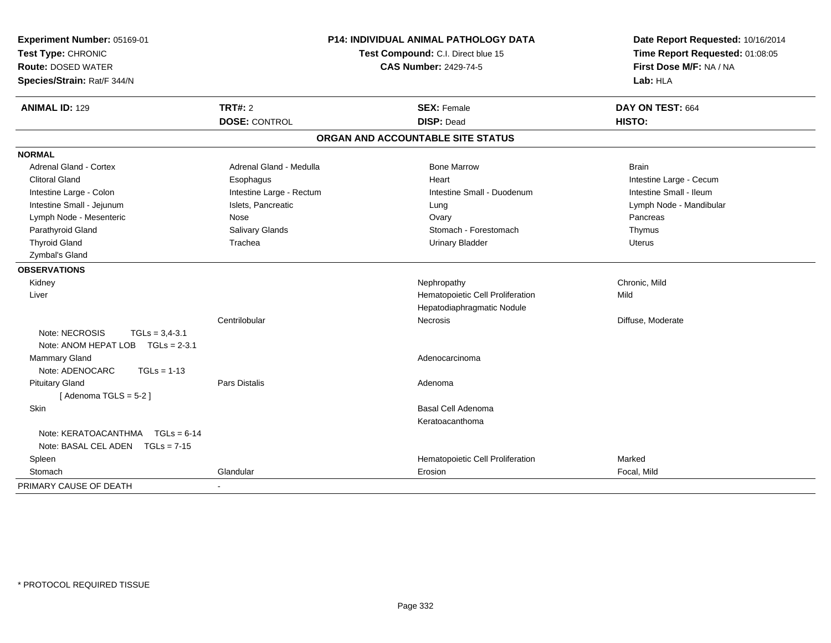| Experiment Number: 05169-01<br>Test Type: CHRONIC<br><b>Route: DOSED WATER</b><br>Species/Strain: Rat/F 344/N | P14: INDIVIDUAL ANIMAL PATHOLOGY DATA<br>Test Compound: C.I. Direct blue 15<br><b>CAS Number: 2429-74-5</b> |                                         | Date Report Requested: 10/16/2014<br>Time Report Requested: 01:08:05<br>First Dose M/F: NA / NA<br>Lab: HLA |  |
|---------------------------------------------------------------------------------------------------------------|-------------------------------------------------------------------------------------------------------------|-----------------------------------------|-------------------------------------------------------------------------------------------------------------|--|
| <b>ANIMAL ID: 129</b>                                                                                         | <b>TRT#: 2</b><br><b>DOSE: CONTROL</b>                                                                      | <b>SEX: Female</b><br><b>DISP: Dead</b> | DAY ON TEST: 664<br>HISTO:                                                                                  |  |
|                                                                                                               |                                                                                                             | ORGAN AND ACCOUNTABLE SITE STATUS       |                                                                                                             |  |
| <b>NORMAL</b>                                                                                                 |                                                                                                             |                                         |                                                                                                             |  |
| Adrenal Gland - Cortex                                                                                        | Adrenal Gland - Medulla                                                                                     | <b>Bone Marrow</b>                      | <b>Brain</b>                                                                                                |  |
| <b>Clitoral Gland</b>                                                                                         | Esophagus                                                                                                   | Heart                                   | Intestine Large - Cecum                                                                                     |  |
| Intestine Large - Colon                                                                                       | Intestine Large - Rectum                                                                                    | Intestine Small - Duodenum              | Intestine Small - Ileum                                                                                     |  |
| Intestine Small - Jejunum                                                                                     | Islets, Pancreatic                                                                                          | Lung                                    | Lymph Node - Mandibular                                                                                     |  |
| Lymph Node - Mesenteric                                                                                       | Nose                                                                                                        | Ovary                                   | Pancreas                                                                                                    |  |
| Parathyroid Gland                                                                                             | Salivary Glands                                                                                             | Stomach - Forestomach                   | Thymus                                                                                                      |  |
| <b>Thyroid Gland</b>                                                                                          | Trachea                                                                                                     | <b>Urinary Bladder</b>                  | <b>Uterus</b>                                                                                               |  |
| Zymbal's Gland                                                                                                |                                                                                                             |                                         |                                                                                                             |  |
| <b>OBSERVATIONS</b>                                                                                           |                                                                                                             |                                         |                                                                                                             |  |
| Kidney                                                                                                        |                                                                                                             | Nephropathy                             | Chronic, Mild                                                                                               |  |
| Liver                                                                                                         |                                                                                                             | Hematopoietic Cell Proliferation        | Mild                                                                                                        |  |
|                                                                                                               |                                                                                                             | Hepatodiaphragmatic Nodule              |                                                                                                             |  |
|                                                                                                               | Centrilobular                                                                                               | Necrosis                                | Diffuse, Moderate                                                                                           |  |
| Note: NECROSIS<br>$TGLs = 3,4-3.1$                                                                            |                                                                                                             |                                         |                                                                                                             |  |
| Note: ANOM HEPAT LOB TGLs = 2-3.1                                                                             |                                                                                                             |                                         |                                                                                                             |  |
| Mammary Gland<br>Note: ADENOCARC<br>$TGLs = 1-13$                                                             |                                                                                                             | Adenocarcinoma                          |                                                                                                             |  |
| <b>Pituitary Gland</b>                                                                                        | <b>Pars Distalis</b>                                                                                        | Adenoma                                 |                                                                                                             |  |
| [Adenoma TGLS = 5-2]                                                                                          |                                                                                                             |                                         |                                                                                                             |  |
| Skin                                                                                                          |                                                                                                             | Basal Cell Adenoma                      |                                                                                                             |  |
|                                                                                                               |                                                                                                             | Keratoacanthoma                         |                                                                                                             |  |
| Note: KERATOACANTHMA TGLs = 6-14                                                                              |                                                                                                             |                                         |                                                                                                             |  |
| Note: BASAL CEL ADEN TGLs = 7-15                                                                              |                                                                                                             |                                         |                                                                                                             |  |
| Spleen                                                                                                        |                                                                                                             | Hematopoietic Cell Proliferation        | Marked                                                                                                      |  |
| Stomach                                                                                                       | Glandular                                                                                                   | Erosion                                 | Focal, Mild                                                                                                 |  |
| PRIMARY CAUSE OF DEATH                                                                                        | $\blacksquare$                                                                                              |                                         |                                                                                                             |  |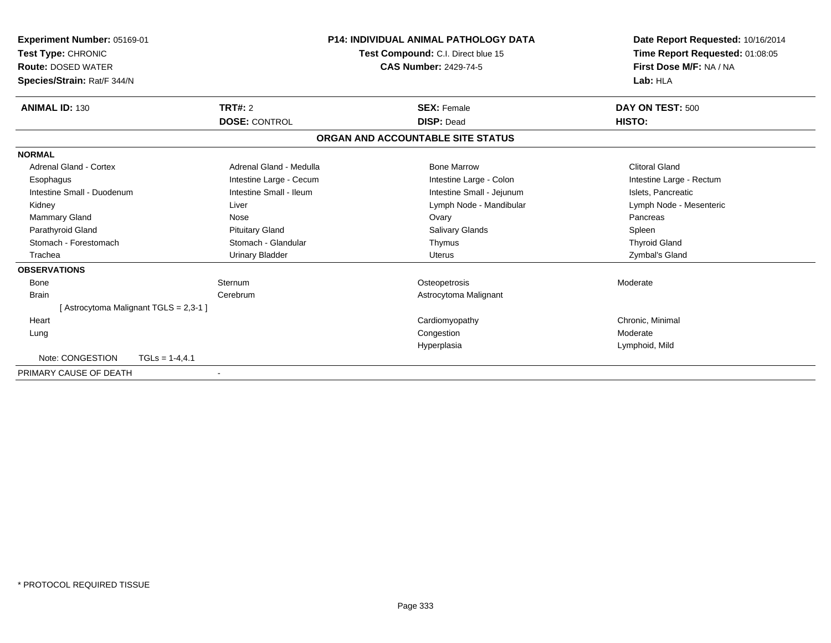| Experiment Number: 05169-01<br>Test Type: CHRONIC<br><b>Route: DOSED WATER</b><br>Species/Strain: Rat/F 344/N |                         | <b>P14: INDIVIDUAL ANIMAL PATHOLOGY DATA</b><br>Test Compound: C.I. Direct blue 15<br><b>CAS Number: 2429-74-5</b> | Date Report Requested: 10/16/2014<br>Time Report Requested: 01:08:05<br>First Dose M/F: NA / NA<br>Lab: HLA |
|---------------------------------------------------------------------------------------------------------------|-------------------------|--------------------------------------------------------------------------------------------------------------------|-------------------------------------------------------------------------------------------------------------|
| <b>ANIMAL ID: 130</b>                                                                                         | TRT#: 2                 | <b>SEX: Female</b>                                                                                                 | DAY ON TEST: 500                                                                                            |
|                                                                                                               | <b>DOSE: CONTROL</b>    | <b>DISP: Dead</b>                                                                                                  | HISTO:                                                                                                      |
|                                                                                                               |                         | ORGAN AND ACCOUNTABLE SITE STATUS                                                                                  |                                                                                                             |
| <b>NORMAL</b>                                                                                                 |                         |                                                                                                                    |                                                                                                             |
| Adrenal Gland - Cortex                                                                                        | Adrenal Gland - Medulla | <b>Bone Marrow</b>                                                                                                 | <b>Clitoral Gland</b>                                                                                       |
| Esophagus                                                                                                     | Intestine Large - Cecum | Intestine Large - Colon                                                                                            | Intestine Large - Rectum                                                                                    |
| Intestine Small - Duodenum                                                                                    | Intestine Small - Ileum | Intestine Small - Jejunum                                                                                          | Islets, Pancreatic                                                                                          |
| Kidney                                                                                                        | Liver                   | Lymph Node - Mandibular                                                                                            | Lymph Node - Mesenteric                                                                                     |
| Mammary Gland                                                                                                 | Nose                    | Ovary                                                                                                              | Pancreas                                                                                                    |
| Parathyroid Gland                                                                                             | <b>Pituitary Gland</b>  | <b>Salivary Glands</b>                                                                                             | Spleen                                                                                                      |
| Stomach - Forestomach                                                                                         | Stomach - Glandular     | Thymus                                                                                                             | <b>Thyroid Gland</b>                                                                                        |
| Trachea                                                                                                       | <b>Urinary Bladder</b>  | <b>Uterus</b>                                                                                                      | Zymbal's Gland                                                                                              |
| <b>OBSERVATIONS</b>                                                                                           |                         |                                                                                                                    |                                                                                                             |
| Bone                                                                                                          | Sternum                 | Osteopetrosis                                                                                                      | Moderate                                                                                                    |
| <b>Brain</b>                                                                                                  | Cerebrum                | Astrocytoma Malignant                                                                                              |                                                                                                             |
| [Astrocytoma Malignant TGLS = 2,3-1 ]                                                                         |                         |                                                                                                                    |                                                                                                             |
| Heart                                                                                                         |                         | Cardiomyopathy                                                                                                     | Chronic, Minimal                                                                                            |
| Lung                                                                                                          |                         | Congestion                                                                                                         | Moderate                                                                                                    |
|                                                                                                               |                         | Hyperplasia                                                                                                        | Lymphoid, Mild                                                                                              |
| Note: CONGESTION                                                                                              | $TGLs = 1-4,4.1$        |                                                                                                                    |                                                                                                             |
| PRIMARY CAUSE OF DEATH                                                                                        |                         |                                                                                                                    |                                                                                                             |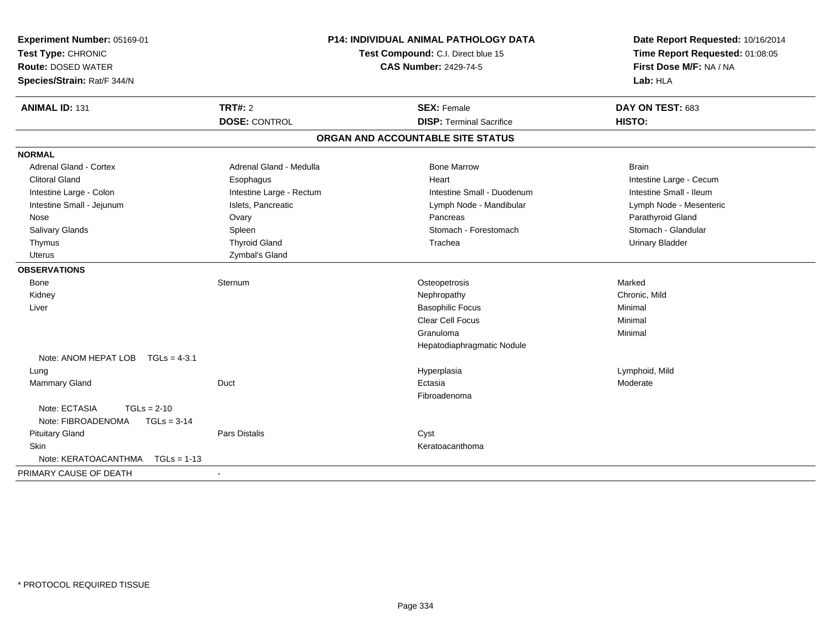| <b>Route: DOSED WATER</b><br>Species/Strain: Rat/F 344/N | <b>P14: INDIVIDUAL ANIMAL PATHOLOGY DATA</b><br>Test Compound: C.I. Direct blue 15<br><b>CAS Number: 2429-74-5</b> |                                   | Date Report Requested: 10/16/2014<br>Time Report Requested: 01:08:05<br>First Dose M/F: NA / NA<br>Lab: HLA |  |
|----------------------------------------------------------|--------------------------------------------------------------------------------------------------------------------|-----------------------------------|-------------------------------------------------------------------------------------------------------------|--|
| <b>ANIMAL ID: 131</b><br><b>TRT#: 2</b>                  |                                                                                                                    | <b>SEX: Female</b>                | DAY ON TEST: 683                                                                                            |  |
|                                                          | <b>DOSE: CONTROL</b>                                                                                               | <b>DISP: Terminal Sacrifice</b>   | HISTO:                                                                                                      |  |
|                                                          |                                                                                                                    | ORGAN AND ACCOUNTABLE SITE STATUS |                                                                                                             |  |
| <b>NORMAL</b>                                            |                                                                                                                    |                                   |                                                                                                             |  |
| Adrenal Gland - Cortex                                   | Adrenal Gland - Medulla                                                                                            | <b>Bone Marrow</b>                | <b>Brain</b>                                                                                                |  |
| <b>Clitoral Gland</b>                                    | Esophagus                                                                                                          | Heart                             | Intestine Large - Cecum                                                                                     |  |
| Intestine Large - Colon                                  | Intestine Large - Rectum                                                                                           | Intestine Small - Duodenum        | Intestine Small - Ileum                                                                                     |  |
| Intestine Small - Jejunum                                | Islets, Pancreatic                                                                                                 | Lymph Node - Mandibular           | Lymph Node - Mesenteric                                                                                     |  |
| Nose<br>Ovary                                            |                                                                                                                    | Pancreas                          | Parathyroid Gland                                                                                           |  |
| Salivary Glands<br>Spleen                                |                                                                                                                    | Stomach - Forestomach             | Stomach - Glandular                                                                                         |  |
| Thymus                                                   | <b>Thyroid Gland</b>                                                                                               | Trachea                           | <b>Urinary Bladder</b>                                                                                      |  |
| Uterus                                                   | Zymbal's Gland                                                                                                     |                                   |                                                                                                             |  |
| <b>OBSERVATIONS</b>                                      |                                                                                                                    |                                   |                                                                                                             |  |
| Bone<br>Sternum                                          |                                                                                                                    | Osteopetrosis                     | Marked                                                                                                      |  |
| Kidney                                                   |                                                                                                                    | Nephropathy                       | Chronic, Mild                                                                                               |  |
| Liver                                                    |                                                                                                                    | <b>Basophilic Focus</b>           | Minimal                                                                                                     |  |
|                                                          |                                                                                                                    | Clear Cell Focus                  | Minimal                                                                                                     |  |
|                                                          |                                                                                                                    | Granuloma                         | Minimal                                                                                                     |  |
|                                                          |                                                                                                                    | Hepatodiaphragmatic Nodule        |                                                                                                             |  |
| Note: ANOM HEPAT LOB TGLs = 4-3.1                        |                                                                                                                    |                                   |                                                                                                             |  |
| Lung                                                     |                                                                                                                    | Hyperplasia                       | Lymphoid, Mild                                                                                              |  |
| <b>Mammary Gland</b><br>Duct                             |                                                                                                                    | Ectasia                           | Moderate                                                                                                    |  |
|                                                          |                                                                                                                    | Fibroadenoma                      |                                                                                                             |  |
| Note: ECTASIA<br>$TGLs = 2-10$                           |                                                                                                                    |                                   |                                                                                                             |  |
| Note: FIBROADENOMA<br>$TGLs = 3-14$                      |                                                                                                                    |                                   |                                                                                                             |  |
| <b>Pituitary Gland</b><br><b>Pars Distalis</b>           |                                                                                                                    | Cyst                              |                                                                                                             |  |
| <b>Skin</b>                                              |                                                                                                                    | Keratoacanthoma                   |                                                                                                             |  |
| Note: KERATOACANTHMA<br>$TGLs = 1-13$                    |                                                                                                                    |                                   |                                                                                                             |  |
| PRIMARY CAUSE OF DEATH                                   |                                                                                                                    |                                   |                                                                                                             |  |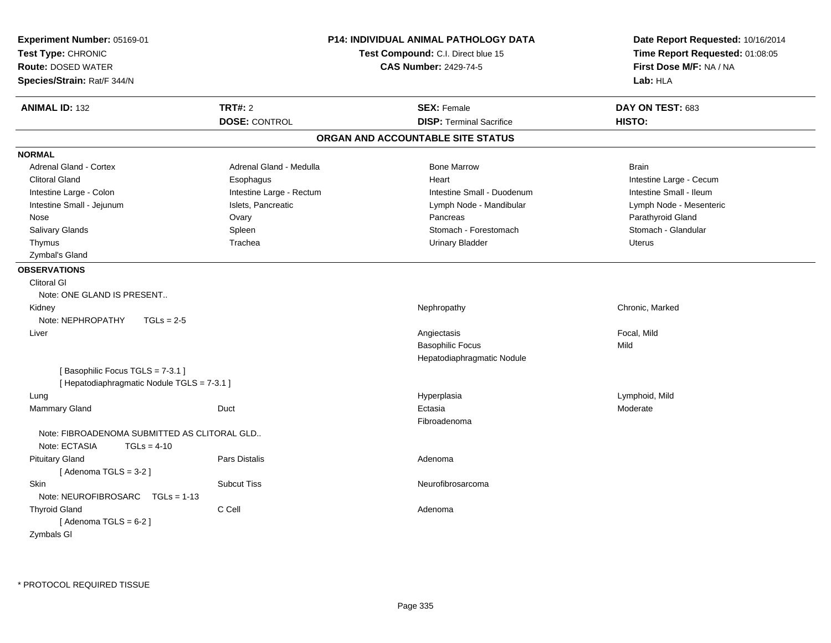| <b>P14: INDIVIDUAL ANIMAL PATHOLOGY DATA</b><br>Experiment Number: 05169-01<br>Test Type: CHRONIC<br>Test Compound: C.I. Direct blue 15<br><b>Route: DOSED WATER</b><br><b>CAS Number: 2429-74-5</b><br>Species/Strain: Rat/F 344/N |                          | Date Report Requested: 10/16/2014<br>Time Report Requested: 01:08:05<br>First Dose M/F: NA / NA<br>Lab: HLA |                         |
|-------------------------------------------------------------------------------------------------------------------------------------------------------------------------------------------------------------------------------------|--------------------------|-------------------------------------------------------------------------------------------------------------|-------------------------|
| <b>ANIMAL ID: 132</b>                                                                                                                                                                                                               | TRT#: 2                  | <b>SEX: Female</b>                                                                                          | DAY ON TEST: 683        |
|                                                                                                                                                                                                                                     | <b>DOSE: CONTROL</b>     | <b>DISP: Terminal Sacrifice</b>                                                                             | HISTO:                  |
|                                                                                                                                                                                                                                     |                          | ORGAN AND ACCOUNTABLE SITE STATUS                                                                           |                         |
| <b>NORMAL</b>                                                                                                                                                                                                                       |                          |                                                                                                             |                         |
| <b>Adrenal Gland - Cortex</b>                                                                                                                                                                                                       | Adrenal Gland - Medulla  | <b>Bone Marrow</b>                                                                                          | <b>Brain</b>            |
| <b>Clitoral Gland</b>                                                                                                                                                                                                               | Esophagus                | Heart                                                                                                       | Intestine Large - Cecum |
| Intestine Large - Colon                                                                                                                                                                                                             | Intestine Large - Rectum | Intestine Small - Duodenum                                                                                  | Intestine Small - Ileum |
| Intestine Small - Jejunum                                                                                                                                                                                                           | Islets, Pancreatic       | Lymph Node - Mandibular                                                                                     | Lymph Node - Mesenteric |
| Nose                                                                                                                                                                                                                                | Ovary                    | Pancreas                                                                                                    | Parathyroid Gland       |
| Salivary Glands                                                                                                                                                                                                                     | Spleen                   | Stomach - Forestomach                                                                                       | Stomach - Glandular     |
| Thymus                                                                                                                                                                                                                              | Trachea                  | <b>Urinary Bladder</b>                                                                                      | <b>Uterus</b>           |
| Zymbal's Gland                                                                                                                                                                                                                      |                          |                                                                                                             |                         |
| <b>OBSERVATIONS</b>                                                                                                                                                                                                                 |                          |                                                                                                             |                         |
| <b>Clitoral GI</b>                                                                                                                                                                                                                  |                          |                                                                                                             |                         |
| Note: ONE GLAND IS PRESENT                                                                                                                                                                                                          |                          |                                                                                                             |                         |
| Kidney                                                                                                                                                                                                                              |                          | Nephropathy                                                                                                 | Chronic, Marked         |
| Note: NEPHROPATHY<br>$TGLs = 2-5$                                                                                                                                                                                                   |                          |                                                                                                             |                         |
| Liver                                                                                                                                                                                                                               |                          | Angiectasis                                                                                                 | Focal, Mild             |
|                                                                                                                                                                                                                                     |                          | <b>Basophilic Focus</b>                                                                                     | Mild                    |
|                                                                                                                                                                                                                                     |                          | Hepatodiaphragmatic Nodule                                                                                  |                         |
| [Basophilic Focus TGLS = 7-3.1]<br>[ Hepatodiaphragmatic Nodule TGLS = 7-3.1 ]                                                                                                                                                      |                          |                                                                                                             |                         |
| Lung                                                                                                                                                                                                                                |                          | Hyperplasia                                                                                                 | Lymphoid, Mild          |
| Mammary Gland                                                                                                                                                                                                                       | Duct                     | Ectasia                                                                                                     | Moderate                |
|                                                                                                                                                                                                                                     |                          | Fibroadenoma                                                                                                |                         |
| Note: FIBROADENOMA SUBMITTED AS CLITORAL GLD<br>Note: ECTASIA<br>$TGLs = 4-10$                                                                                                                                                      |                          |                                                                                                             |                         |
| <b>Pituitary Gland</b><br>[Adenoma TGLS = $3-2$ ]                                                                                                                                                                                   | Pars Distalis            | Adenoma                                                                                                     |                         |
| <b>Skin</b><br>Note: $NEUROFIBROSARC$ TGLs = 1-13                                                                                                                                                                                   | <b>Subcut Tiss</b>       | Neurofibrosarcoma                                                                                           |                         |
| <b>Thyroid Gland</b><br>[Adenoma TGLS = $6-2$ ]<br>Zymbals GI                                                                                                                                                                       | C Cell                   | Adenoma                                                                                                     |                         |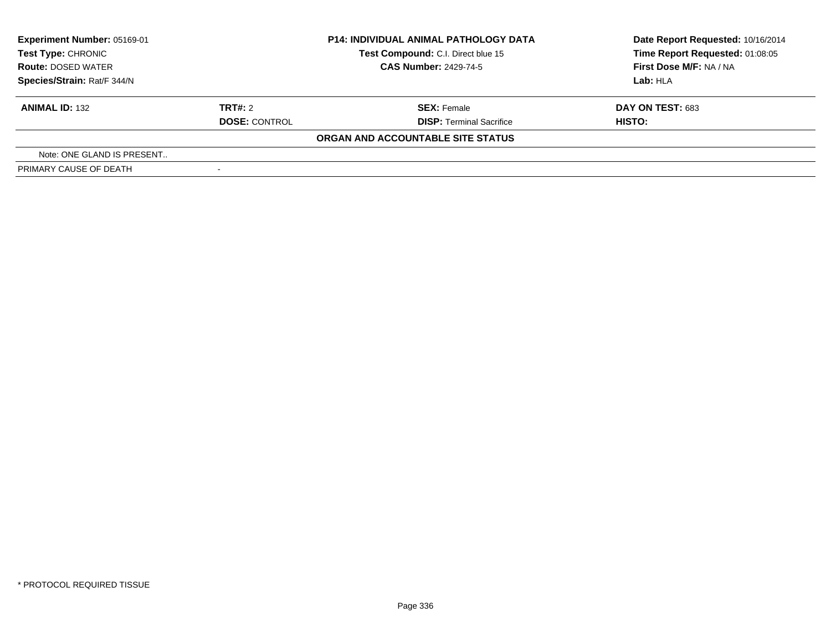| Experiment Number: 05169-01<br><b>Test Type: CHRONIC</b> | <b>P14: INDIVIDUAL ANIMAL PATHOLOGY DATA</b><br>Test Compound: C.I. Direct blue 15 |                                   | Date Report Requested: 10/16/2014<br>Time Report Requested: 01:08:05 |  |
|----------------------------------------------------------|------------------------------------------------------------------------------------|-----------------------------------|----------------------------------------------------------------------|--|
| <b>Route: DOSED WATER</b>                                |                                                                                    | <b>CAS Number: 2429-74-5</b>      | First Dose M/F: NA / NA                                              |  |
| Species/Strain: Rat/F 344/N                              |                                                                                    |                                   | Lab:HLA                                                              |  |
| <b>ANIMAL ID: 132</b>                                    | TRT#: 2                                                                            | <b>SEX: Female</b>                | <b>DAY ON TEST: 683</b>                                              |  |
|                                                          | <b>DOSE: CONTROL</b>                                                               | <b>DISP: Terminal Sacrifice</b>   | HISTO:                                                               |  |
|                                                          |                                                                                    | ORGAN AND ACCOUNTABLE SITE STATUS |                                                                      |  |
| Note: ONE GLAND IS PRESENT                               |                                                                                    |                                   |                                                                      |  |
| PRIMARY CAUSE OF DEATH                                   |                                                                                    |                                   |                                                                      |  |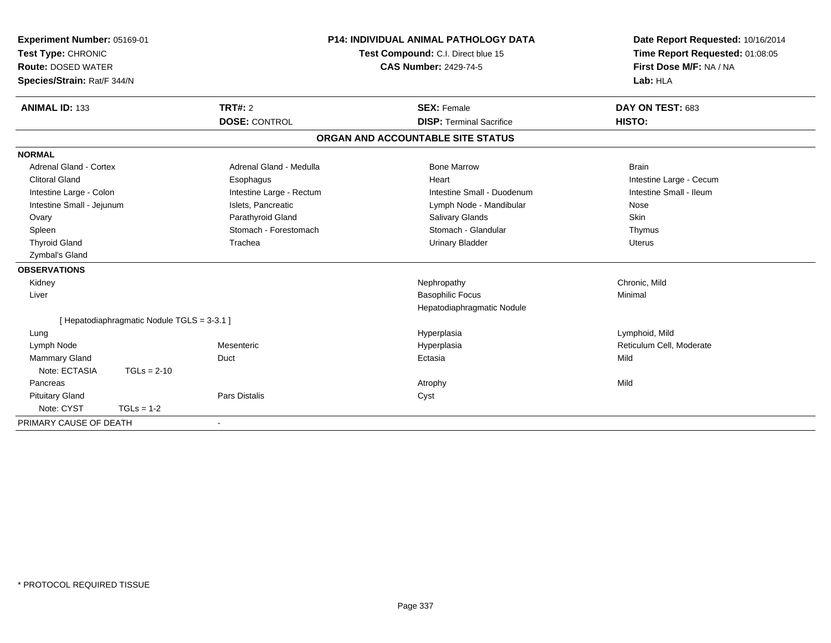| Experiment Number: 05169-01<br>Test Type: CHRONIC<br><b>Route: DOSED WATER</b> |                                           |                          | <b>P14: INDIVIDUAL ANIMAL PATHOLOGY DATA</b><br>Test Compound: C.I. Direct blue 15<br><b>CAS Number: 2429-74-5</b> | Date Report Requested: 10/16/2014<br>Time Report Requested: 01:08:05<br>First Dose M/F: NA / NA |
|--------------------------------------------------------------------------------|-------------------------------------------|--------------------------|--------------------------------------------------------------------------------------------------------------------|-------------------------------------------------------------------------------------------------|
| Species/Strain: Rat/F 344/N                                                    |                                           |                          |                                                                                                                    | Lab: HLA                                                                                        |
| <b>ANIMAL ID: 133</b>                                                          |                                           | <b>TRT#: 2</b>           | <b>SEX: Female</b>                                                                                                 | DAY ON TEST: 683                                                                                |
|                                                                                |                                           | <b>DOSE: CONTROL</b>     | <b>DISP: Terminal Sacrifice</b>                                                                                    | HISTO:                                                                                          |
|                                                                                |                                           |                          | ORGAN AND ACCOUNTABLE SITE STATUS                                                                                  |                                                                                                 |
| <b>NORMAL</b>                                                                  |                                           |                          |                                                                                                                    |                                                                                                 |
| Adrenal Gland - Cortex                                                         |                                           | Adrenal Gland - Medulla  | <b>Bone Marrow</b>                                                                                                 | <b>Brain</b>                                                                                    |
| <b>Clitoral Gland</b>                                                          |                                           | Esophagus                | Heart                                                                                                              | Intestine Large - Cecum                                                                         |
| Intestine Large - Colon                                                        |                                           | Intestine Large - Rectum | Intestine Small - Duodenum                                                                                         | Intestine Small - Ileum                                                                         |
| Intestine Small - Jejunum                                                      |                                           | Islets, Pancreatic       | Lymph Node - Mandibular                                                                                            | Nose                                                                                            |
| Ovary                                                                          |                                           | Parathyroid Gland        | <b>Salivary Glands</b>                                                                                             | Skin                                                                                            |
| Spleen                                                                         |                                           | Stomach - Forestomach    | Stomach - Glandular                                                                                                | Thymus                                                                                          |
| <b>Thyroid Gland</b>                                                           |                                           | Trachea                  | <b>Urinary Bladder</b>                                                                                             | <b>Uterus</b>                                                                                   |
| Zymbal's Gland                                                                 |                                           |                          |                                                                                                                    |                                                                                                 |
| <b>OBSERVATIONS</b>                                                            |                                           |                          |                                                                                                                    |                                                                                                 |
| Kidney                                                                         |                                           |                          | Nephropathy                                                                                                        | Chronic, Mild                                                                                   |
| Liver                                                                          |                                           |                          | <b>Basophilic Focus</b>                                                                                            | Minimal                                                                                         |
|                                                                                |                                           |                          | Hepatodiaphragmatic Nodule                                                                                         |                                                                                                 |
|                                                                                | [Hepatodiaphragmatic Nodule TGLS = 3-3.1] |                          |                                                                                                                    |                                                                                                 |
| Lung                                                                           |                                           |                          | Hyperplasia                                                                                                        | Lymphoid, Mild                                                                                  |
| Lymph Node                                                                     |                                           | Mesenteric               | Hyperplasia                                                                                                        | Reticulum Cell, Moderate                                                                        |
| Mammary Gland                                                                  |                                           | Duct                     | Ectasia                                                                                                            | Mild                                                                                            |
| Note: ECTASIA                                                                  | $TGLs = 2-10$                             |                          |                                                                                                                    |                                                                                                 |
| Pancreas                                                                       |                                           |                          | Atrophy                                                                                                            | Mild                                                                                            |
| <b>Pituitary Gland</b>                                                         |                                           | Pars Distalis            | Cyst                                                                                                               |                                                                                                 |
| Note: CYST                                                                     | $TGLs = 1-2$                              |                          |                                                                                                                    |                                                                                                 |
| PRIMARY CAUSE OF DEATH                                                         |                                           |                          |                                                                                                                    |                                                                                                 |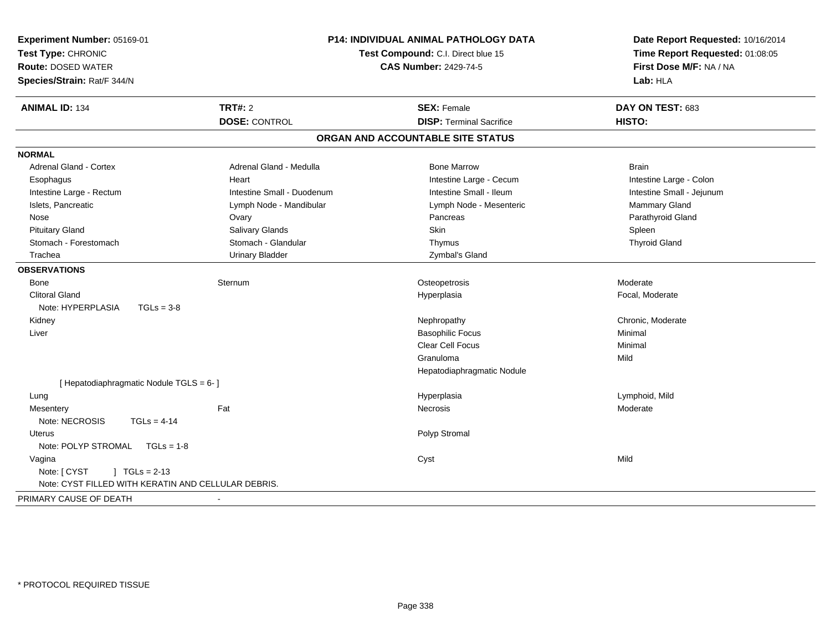| Experiment Number: 05169-01<br>Test Type: CHRONIC<br><b>Route: DOSED WATER</b><br>Species/Strain: Rat/F 344/N | <b>P14: INDIVIDUAL ANIMAL PATHOLOGY DATA</b><br>Test Compound: C.I. Direct blue 15 | Date Report Requested: 10/16/2014<br>Time Report Requested: 01:08:05<br>First Dose M/F: NA / NA<br>Lab: HLA |                           |
|---------------------------------------------------------------------------------------------------------------|------------------------------------------------------------------------------------|-------------------------------------------------------------------------------------------------------------|---------------------------|
| <b>ANIMAL ID: 134</b>                                                                                         | <b>TRT#: 2</b>                                                                     | <b>SEX: Female</b>                                                                                          | DAY ON TEST: 683          |
|                                                                                                               | <b>DOSE: CONTROL</b>                                                               | <b>DISP: Terminal Sacrifice</b>                                                                             | HISTO:                    |
|                                                                                                               |                                                                                    | ORGAN AND ACCOUNTABLE SITE STATUS                                                                           |                           |
| <b>NORMAL</b>                                                                                                 |                                                                                    |                                                                                                             |                           |
| <b>Adrenal Gland - Cortex</b>                                                                                 | Adrenal Gland - Medulla                                                            | <b>Bone Marrow</b>                                                                                          | <b>Brain</b>              |
| Esophagus                                                                                                     | Heart                                                                              | Intestine Large - Cecum                                                                                     | Intestine Large - Colon   |
| Intestine Large - Rectum                                                                                      | Intestine Small - Duodenum                                                         | Intestine Small - Ileum                                                                                     | Intestine Small - Jejunum |
| Islets, Pancreatic                                                                                            | Lymph Node - Mandibular                                                            | Lymph Node - Mesenteric                                                                                     | <b>Mammary Gland</b>      |
| Nose                                                                                                          | Ovary                                                                              | Pancreas                                                                                                    | Parathyroid Gland         |
| <b>Pituitary Gland</b>                                                                                        | Salivary Glands                                                                    | <b>Skin</b>                                                                                                 | Spleen                    |
| Stomach - Forestomach                                                                                         | Stomach - Glandular                                                                | Thymus                                                                                                      | <b>Thyroid Gland</b>      |
| Trachea                                                                                                       | <b>Urinary Bladder</b>                                                             | Zymbal's Gland                                                                                              |                           |
| <b>OBSERVATIONS</b>                                                                                           |                                                                                    |                                                                                                             |                           |
| <b>Bone</b>                                                                                                   | Sternum                                                                            | Osteopetrosis                                                                                               | Moderate                  |
| <b>Clitoral Gland</b>                                                                                         |                                                                                    | Hyperplasia                                                                                                 | Focal, Moderate           |
| Note: HYPERPLASIA<br>$TGLs = 3-8$                                                                             |                                                                                    |                                                                                                             |                           |
| Kidney                                                                                                        |                                                                                    | Nephropathy                                                                                                 | Chronic, Moderate         |
| Liver                                                                                                         |                                                                                    | <b>Basophilic Focus</b>                                                                                     | Minimal                   |
|                                                                                                               |                                                                                    | Clear Cell Focus                                                                                            | Minimal                   |
|                                                                                                               |                                                                                    | Granuloma                                                                                                   | Mild                      |
|                                                                                                               |                                                                                    | Hepatodiaphragmatic Nodule                                                                                  |                           |
| [ Hepatodiaphragmatic Nodule TGLS = 6-]                                                                       |                                                                                    |                                                                                                             |                           |
| Lung                                                                                                          |                                                                                    | Hyperplasia                                                                                                 | Lymphoid, Mild            |
| Mesentery                                                                                                     | Fat                                                                                | <b>Necrosis</b>                                                                                             | Moderate                  |
| Note: NECROSIS<br>$TGLs = 4-14$                                                                               |                                                                                    |                                                                                                             |                           |
| Uterus                                                                                                        |                                                                                    | Polyp Stromal                                                                                               |                           |
| Note: POLYP STROMAL $TGLs = 1-8$                                                                              |                                                                                    |                                                                                                             |                           |
| Vagina                                                                                                        |                                                                                    | Cyst                                                                                                        | Mild                      |
| Note: [ CYST<br>$\int$ TGLs = 2-13                                                                            |                                                                                    |                                                                                                             |                           |
| Note: CYST FILLED WITH KERATIN AND CELLULAR DEBRIS.                                                           |                                                                                    |                                                                                                             |                           |
| PRIMARY CAUSE OF DEATH                                                                                        |                                                                                    |                                                                                                             |                           |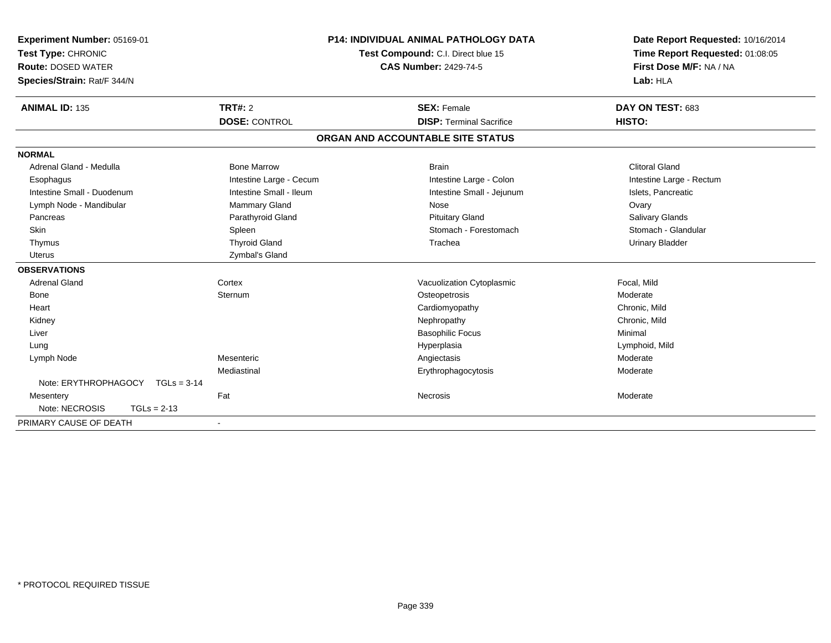| <b>Experiment Number: 05169-01</b>    |                         | <b>P14: INDIVIDUAL ANIMAL PATHOLOGY DATA</b> | Date Report Requested: 10/16/2014 |
|---------------------------------------|-------------------------|----------------------------------------------|-----------------------------------|
| Test Type: CHRONIC                    |                         | Test Compound: C.I. Direct blue 15           | Time Report Requested: 01:08:05   |
| <b>Route: DOSED WATER</b>             |                         | <b>CAS Number: 2429-74-5</b>                 | First Dose M/F: NA / NA           |
| Species/Strain: Rat/F 344/N           |                         |                                              | Lab: HLA                          |
| <b>ANIMAL ID: 135</b>                 | <b>TRT#: 2</b>          | <b>SEX: Female</b>                           | DAY ON TEST: 683                  |
|                                       | <b>DOSE: CONTROL</b>    | <b>DISP: Terminal Sacrifice</b>              | HISTO:                            |
|                                       |                         | ORGAN AND ACCOUNTABLE SITE STATUS            |                                   |
| <b>NORMAL</b>                         |                         |                                              |                                   |
| Adrenal Gland - Medulla               | <b>Bone Marrow</b>      | <b>Brain</b>                                 | <b>Clitoral Gland</b>             |
| Esophagus                             | Intestine Large - Cecum | Intestine Large - Colon                      | Intestine Large - Rectum          |
| Intestine Small - Duodenum            | Intestine Small - Ileum | Intestine Small - Jejunum                    | Islets, Pancreatic                |
| Lymph Node - Mandibular               | Mammary Gland           | Nose                                         | Ovary                             |
| Pancreas                              | Parathyroid Gland       | <b>Pituitary Gland</b>                       | <b>Salivary Glands</b>            |
| Skin                                  | Spleen                  | Stomach - Forestomach                        | Stomach - Glandular               |
| Thymus                                | <b>Thyroid Gland</b>    | Trachea                                      | <b>Urinary Bladder</b>            |
| <b>Uterus</b>                         | Zymbal's Gland          |                                              |                                   |
| <b>OBSERVATIONS</b>                   |                         |                                              |                                   |
| <b>Adrenal Gland</b>                  | Cortex                  | Vacuolization Cytoplasmic                    | Focal, Mild                       |
| <b>Bone</b>                           | Sternum                 | Osteopetrosis                                | Moderate                          |
| Heart                                 |                         | Cardiomyopathy                               | Chronic, Mild                     |
| Kidney                                |                         | Nephropathy                                  | Chronic, Mild                     |
| Liver                                 |                         | <b>Basophilic Focus</b>                      | Minimal                           |
| Lung                                  |                         | Hyperplasia                                  | Lymphoid, Mild                    |
| Lymph Node                            | Mesenteric              | Angiectasis                                  | Moderate                          |
|                                       | Mediastinal             | Erythrophagocytosis                          | Moderate                          |
| Note: ERYTHROPHAGOCY<br>$TGLs = 3-14$ |                         |                                              |                                   |
| Mesentery                             | Fat                     | Necrosis                                     | Moderate                          |
| Note: NECROSIS<br>$TGLs = 2-13$       |                         |                                              |                                   |
| PRIMARY CAUSE OF DEATH                |                         |                                              |                                   |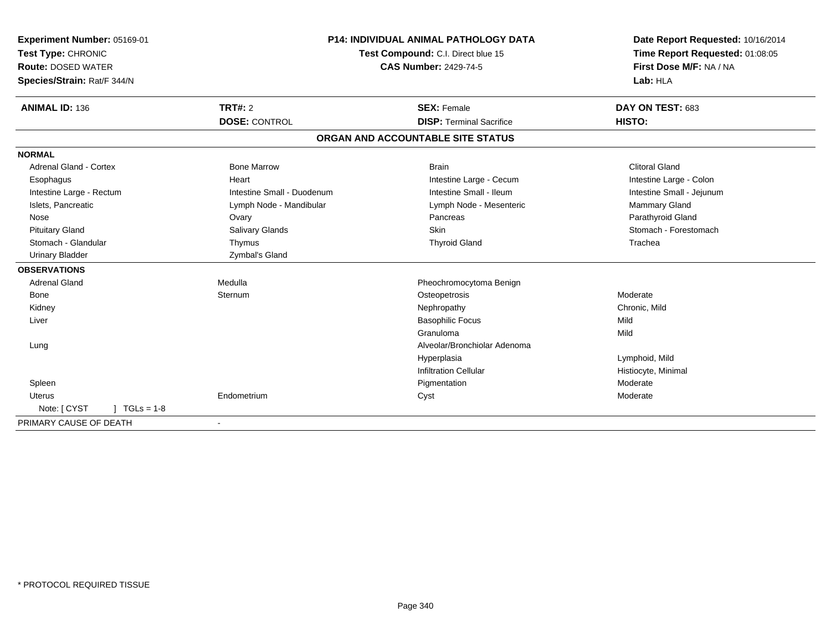| Experiment Number: 05169-01<br>Test Type: CHRONIC |                            | <b>P14: INDIVIDUAL ANIMAL PATHOLOGY DATA</b><br>Test Compound: C.I. Direct blue 15 | Date Report Requested: 10/16/2014<br>Time Report Requested: 01:08:05 |
|---------------------------------------------------|----------------------------|------------------------------------------------------------------------------------|----------------------------------------------------------------------|
| <b>Route: DOSED WATER</b>                         |                            | <b>CAS Number: 2429-74-5</b>                                                       | First Dose M/F: NA / NA                                              |
| Species/Strain: Rat/F 344/N                       |                            |                                                                                    | Lab: HLA                                                             |
| <b>ANIMAL ID: 136</b>                             | <b>TRT#: 2</b>             | <b>SEX: Female</b>                                                                 | DAY ON TEST: 683                                                     |
|                                                   | <b>DOSE: CONTROL</b>       | <b>DISP: Terminal Sacrifice</b>                                                    | HISTO:                                                               |
|                                                   |                            | ORGAN AND ACCOUNTABLE SITE STATUS                                                  |                                                                      |
| <b>NORMAL</b>                                     |                            |                                                                                    |                                                                      |
| <b>Adrenal Gland - Cortex</b>                     | <b>Bone Marrow</b>         | <b>Brain</b>                                                                       | <b>Clitoral Gland</b>                                                |
| Esophagus                                         | Heart                      | Intestine Large - Cecum                                                            | Intestine Large - Colon                                              |
| Intestine Large - Rectum                          | Intestine Small - Duodenum | Intestine Small - Ileum                                                            | Intestine Small - Jejunum                                            |
| Islets, Pancreatic                                | Lymph Node - Mandibular    | Lymph Node - Mesenteric                                                            | <b>Mammary Gland</b>                                                 |
| Nose                                              | Ovary                      | Pancreas                                                                           | Parathyroid Gland                                                    |
| <b>Pituitary Gland</b>                            | Salivary Glands            | <b>Skin</b>                                                                        | Stomach - Forestomach                                                |
| Stomach - Glandular                               | Thymus                     | <b>Thyroid Gland</b>                                                               | Trachea                                                              |
| <b>Urinary Bladder</b>                            | Zymbal's Gland             |                                                                                    |                                                                      |
| <b>OBSERVATIONS</b>                               |                            |                                                                                    |                                                                      |
| <b>Adrenal Gland</b>                              | Medulla                    | Pheochromocytoma Benign                                                            |                                                                      |
| <b>Bone</b>                                       | Sternum                    | Osteopetrosis                                                                      | Moderate                                                             |
| Kidney                                            |                            | Nephropathy                                                                        | Chronic. Mild                                                        |
| Liver                                             |                            | <b>Basophilic Focus</b>                                                            | Mild                                                                 |
|                                                   |                            | Granuloma                                                                          | Mild                                                                 |
| Lung                                              |                            | Alveolar/Bronchiolar Adenoma                                                       |                                                                      |
|                                                   |                            | Hyperplasia                                                                        | Lymphoid, Mild                                                       |
|                                                   |                            | <b>Infiltration Cellular</b>                                                       | Histiocyte, Minimal                                                  |
| Spleen                                            |                            | Pigmentation                                                                       | Moderate                                                             |
| Uterus                                            | Endometrium                | Cyst                                                                               | Moderate                                                             |
| Note: [ CYST<br>$1 TGLs = 1-8$                    |                            |                                                                                    |                                                                      |
| PRIMARY CAUSE OF DEATH                            |                            |                                                                                    |                                                                      |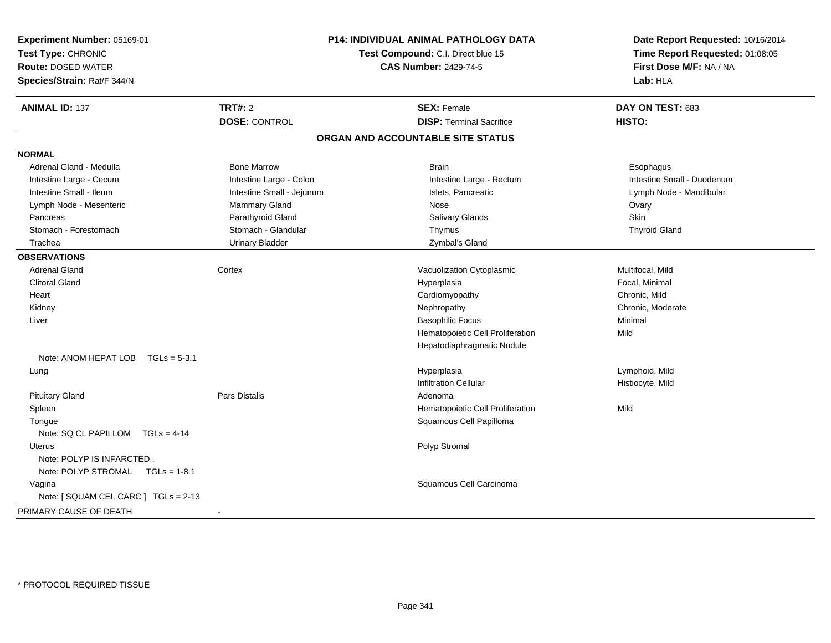| Experiment Number: 05169-01<br>Test Type: CHRONIC<br><b>Route: DOSED WATER</b><br>Species/Strain: Rat/F 344/N |                           | P14: INDIVIDUAL ANIMAL PATHOLOGY DATA<br>Test Compound: C.I. Direct blue 15<br><b>CAS Number: 2429-74-5</b> | Date Report Requested: 10/16/2014<br>Time Report Requested: 01:08:05<br>First Dose M/F: NA / NA<br>Lab: HLA |
|---------------------------------------------------------------------------------------------------------------|---------------------------|-------------------------------------------------------------------------------------------------------------|-------------------------------------------------------------------------------------------------------------|
| <b>ANIMAL ID: 137</b>                                                                                         | <b>TRT#: 2</b>            | <b>SEX: Female</b>                                                                                          | DAY ON TEST: 683                                                                                            |
|                                                                                                               | <b>DOSE: CONTROL</b>      | <b>DISP: Terminal Sacrifice</b>                                                                             | HISTO:                                                                                                      |
|                                                                                                               |                           | ORGAN AND ACCOUNTABLE SITE STATUS                                                                           |                                                                                                             |
| <b>NORMAL</b>                                                                                                 |                           |                                                                                                             |                                                                                                             |
| Adrenal Gland - Medulla                                                                                       | <b>Bone Marrow</b>        | <b>Brain</b>                                                                                                | Esophagus                                                                                                   |
| Intestine Large - Cecum                                                                                       | Intestine Large - Colon   | Intestine Large - Rectum                                                                                    | Intestine Small - Duodenum                                                                                  |
| Intestine Small - Ileum                                                                                       | Intestine Small - Jejunum | Islets, Pancreatic                                                                                          | Lymph Node - Mandibular                                                                                     |
| Lymph Node - Mesenteric                                                                                       | Mammary Gland             | <b>Nose</b>                                                                                                 | Ovary                                                                                                       |
| Pancreas                                                                                                      | Parathyroid Gland         | Salivary Glands                                                                                             | Skin                                                                                                        |
| Stomach - Forestomach                                                                                         | Stomach - Glandular       | Thymus                                                                                                      | <b>Thyroid Gland</b>                                                                                        |
| Trachea                                                                                                       | <b>Urinary Bladder</b>    | Zymbal's Gland                                                                                              |                                                                                                             |
| <b>OBSERVATIONS</b>                                                                                           |                           |                                                                                                             |                                                                                                             |
| <b>Adrenal Gland</b>                                                                                          | Cortex                    | Vacuolization Cytoplasmic                                                                                   | Multifocal, Mild                                                                                            |
| <b>Clitoral Gland</b>                                                                                         |                           | Hyperplasia                                                                                                 | Focal, Minimal                                                                                              |
| Heart                                                                                                         |                           | Cardiomyopathy                                                                                              | Chronic, Mild                                                                                               |
| Kidney                                                                                                        |                           | Nephropathy                                                                                                 | Chronic, Moderate                                                                                           |
| Liver                                                                                                         |                           | <b>Basophilic Focus</b>                                                                                     | Minimal                                                                                                     |
|                                                                                                               |                           | Hematopoietic Cell Proliferation                                                                            | Mild                                                                                                        |
|                                                                                                               |                           | Hepatodiaphragmatic Nodule                                                                                  |                                                                                                             |
| Note: ANOM HEPAT LOB $TGLs = 5-3.1$                                                                           |                           |                                                                                                             |                                                                                                             |
| Lung                                                                                                          |                           | Hyperplasia                                                                                                 | Lymphoid, Mild                                                                                              |
|                                                                                                               |                           | <b>Infiltration Cellular</b>                                                                                | Histiocyte, Mild                                                                                            |
| <b>Pituitary Gland</b>                                                                                        | Pars Distalis             | Adenoma                                                                                                     |                                                                                                             |
| Spleen                                                                                                        |                           | Hematopoietic Cell Proliferation                                                                            | Mild                                                                                                        |
| Tongue                                                                                                        |                           | Squamous Cell Papilloma                                                                                     |                                                                                                             |
| Note: SQ CL PAPILLOM TGLs = 4-14                                                                              |                           |                                                                                                             |                                                                                                             |
| <b>Uterus</b>                                                                                                 |                           | Polyp Stromal                                                                                               |                                                                                                             |
| Note: POLYP IS INFARCTED                                                                                      |                           |                                                                                                             |                                                                                                             |
| Note: POLYP STROMAL TGLs = 1-8.1                                                                              |                           |                                                                                                             |                                                                                                             |
| Vagina                                                                                                        |                           | Squamous Cell Carcinoma                                                                                     |                                                                                                             |
| Note: [ SQUAM CEL CARC ] TGLs = 2-13                                                                          |                           |                                                                                                             |                                                                                                             |
| PRIMARY CAUSE OF DEATH                                                                                        | $\blacksquare$            |                                                                                                             |                                                                                                             |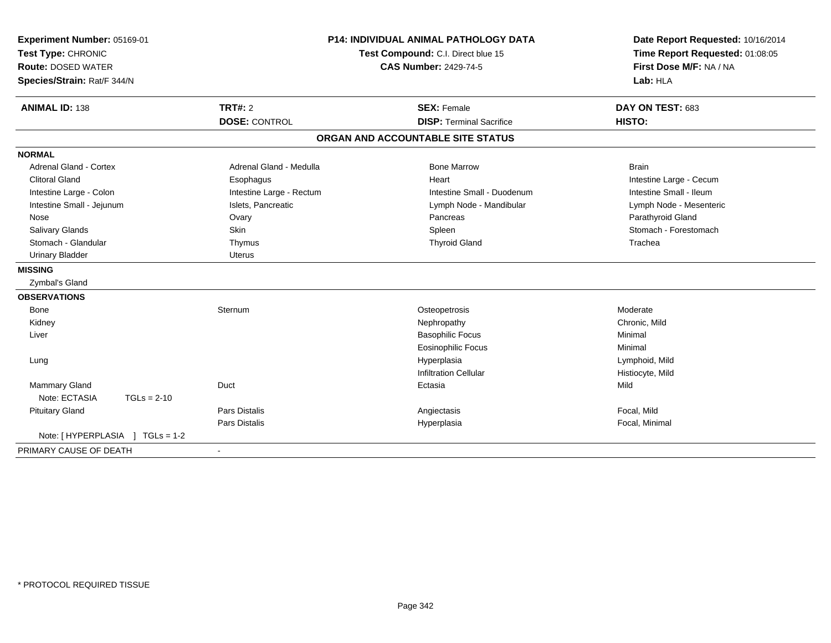| Experiment Number: 05169-01<br>Test Type: CHRONIC<br><b>Route: DOSED WATER</b><br>Species/Strain: Rat/F 344/N |                          | <b>P14: INDIVIDUAL ANIMAL PATHOLOGY DATA</b><br>Test Compound: C.I. Direct blue 15<br><b>CAS Number: 2429-74-5</b> | Date Report Requested: 10/16/2014<br>Time Report Requested: 01:08:05<br>First Dose M/F: NA / NA<br>Lab: HLA |  |
|---------------------------------------------------------------------------------------------------------------|--------------------------|--------------------------------------------------------------------------------------------------------------------|-------------------------------------------------------------------------------------------------------------|--|
| <b>ANIMAL ID: 138</b>                                                                                         | <b>TRT#: 2</b>           | <b>SEX: Female</b>                                                                                                 | DAY ON TEST: 683                                                                                            |  |
|                                                                                                               | <b>DOSE: CONTROL</b>     | <b>DISP: Terminal Sacrifice</b>                                                                                    | HISTO:                                                                                                      |  |
|                                                                                                               |                          | ORGAN AND ACCOUNTABLE SITE STATUS                                                                                  |                                                                                                             |  |
| <b>NORMAL</b>                                                                                                 |                          |                                                                                                                    |                                                                                                             |  |
| Adrenal Gland - Cortex                                                                                        | Adrenal Gland - Medulla  | <b>Bone Marrow</b>                                                                                                 | <b>Brain</b>                                                                                                |  |
| <b>Clitoral Gland</b>                                                                                         | Esophagus                | Heart                                                                                                              | Intestine Large - Cecum                                                                                     |  |
| Intestine Large - Colon                                                                                       | Intestine Large - Rectum | Intestine Small - Duodenum                                                                                         | Intestine Small - Ileum                                                                                     |  |
| Intestine Small - Jejunum                                                                                     | Islets, Pancreatic       | Lymph Node - Mandibular                                                                                            | Lymph Node - Mesenteric                                                                                     |  |
| Nose                                                                                                          | Ovary                    | Pancreas                                                                                                           | Parathyroid Gland                                                                                           |  |
| Salivary Glands                                                                                               | Skin                     | Spleen                                                                                                             | Stomach - Forestomach                                                                                       |  |
| Stomach - Glandular                                                                                           | Thymus                   | <b>Thyroid Gland</b>                                                                                               | Trachea                                                                                                     |  |
| <b>Urinary Bladder</b>                                                                                        | <b>Uterus</b>            |                                                                                                                    |                                                                                                             |  |
| <b>MISSING</b>                                                                                                |                          |                                                                                                                    |                                                                                                             |  |
| Zymbal's Gland                                                                                                |                          |                                                                                                                    |                                                                                                             |  |
| <b>OBSERVATIONS</b>                                                                                           |                          |                                                                                                                    |                                                                                                             |  |
| <b>Bone</b>                                                                                                   | Sternum                  | Osteopetrosis                                                                                                      | Moderate                                                                                                    |  |
| Kidney                                                                                                        |                          | Nephropathy                                                                                                        | Chronic, Mild                                                                                               |  |
| Liver                                                                                                         |                          | <b>Basophilic Focus</b>                                                                                            | Minimal                                                                                                     |  |
|                                                                                                               |                          | <b>Eosinophilic Focus</b>                                                                                          | Minimal                                                                                                     |  |
| Lung                                                                                                          |                          | Hyperplasia                                                                                                        | Lymphoid, Mild                                                                                              |  |
|                                                                                                               |                          | <b>Infiltration Cellular</b>                                                                                       | Histiocyte, Mild                                                                                            |  |
| Mammary Gland                                                                                                 | Duct                     | Ectasia                                                                                                            | Mild                                                                                                        |  |
| Note: ECTASIA<br>$TGLs = 2-10$                                                                                |                          |                                                                                                                    |                                                                                                             |  |
| <b>Pituitary Gland</b>                                                                                        | <b>Pars Distalis</b>     | Angiectasis                                                                                                        | Focal, Mild                                                                                                 |  |
|                                                                                                               | <b>Pars Distalis</b>     | Hyperplasia                                                                                                        | Focal, Minimal                                                                                              |  |
| Note: [HYPERPLASIA ] TGLs = 1-2                                                                               |                          |                                                                                                                    |                                                                                                             |  |
| PRIMARY CAUSE OF DEATH                                                                                        | $\blacksquare$           |                                                                                                                    |                                                                                                             |  |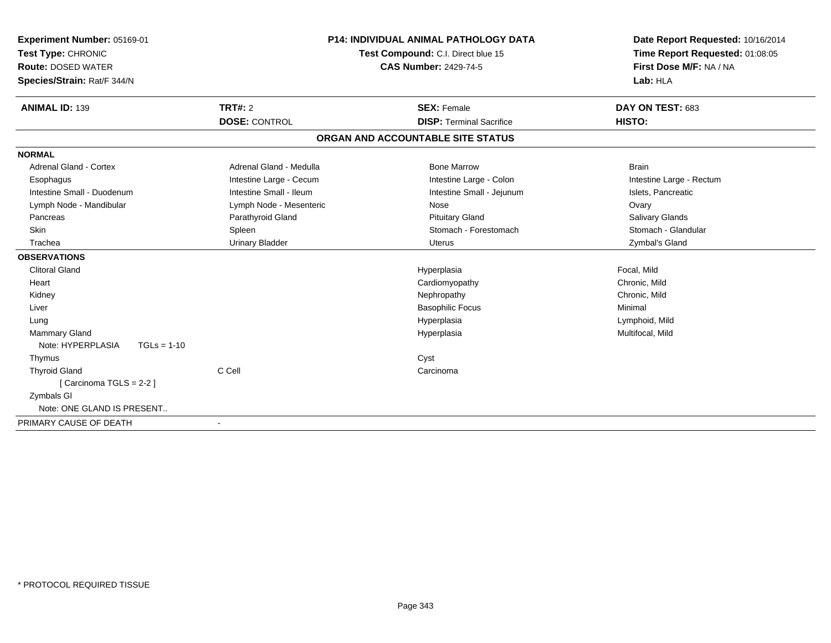| Experiment Number: 05169-01<br>Test Type: CHRONIC<br><b>Route: DOSED WATER</b><br>Species/Strain: Rat/F 344/N |                         | <b>P14: INDIVIDUAL ANIMAL PATHOLOGY DATA</b><br>Test Compound: C.I. Direct blue 15<br><b>CAS Number: 2429-74-5</b> | Date Report Requested: 10/16/2014<br>Time Report Requested: 01:08:05<br>First Dose M/F: NA / NA<br>Lab: HLA |
|---------------------------------------------------------------------------------------------------------------|-------------------------|--------------------------------------------------------------------------------------------------------------------|-------------------------------------------------------------------------------------------------------------|
| <b>ANIMAL ID: 139</b>                                                                                         | <b>TRT#: 2</b>          | <b>SEX: Female</b>                                                                                                 | DAY ON TEST: 683                                                                                            |
|                                                                                                               | <b>DOSE: CONTROL</b>    | <b>DISP: Terminal Sacrifice</b>                                                                                    | HISTO:                                                                                                      |
|                                                                                                               |                         | ORGAN AND ACCOUNTABLE SITE STATUS                                                                                  |                                                                                                             |
| <b>NORMAL</b>                                                                                                 |                         |                                                                                                                    |                                                                                                             |
| <b>Adrenal Gland - Cortex</b>                                                                                 | Adrenal Gland - Medulla | <b>Bone Marrow</b>                                                                                                 | <b>Brain</b>                                                                                                |
| Esophagus                                                                                                     | Intestine Large - Cecum | Intestine Large - Colon                                                                                            | Intestine Large - Rectum                                                                                    |
| Intestine Small - Duodenum                                                                                    | Intestine Small - Ileum | Intestine Small - Jejunum                                                                                          | Islets, Pancreatic                                                                                          |
| Lymph Node - Mandibular                                                                                       | Lymph Node - Mesenteric | Nose                                                                                                               | Ovary                                                                                                       |
| Pancreas                                                                                                      | Parathyroid Gland       | <b>Pituitary Gland</b>                                                                                             | Salivary Glands                                                                                             |
| <b>Skin</b>                                                                                                   | Spleen                  | Stomach - Forestomach                                                                                              | Stomach - Glandular                                                                                         |
| Trachea                                                                                                       | <b>Urinary Bladder</b>  | <b>Uterus</b>                                                                                                      | Zymbal's Gland                                                                                              |
| <b>OBSERVATIONS</b>                                                                                           |                         |                                                                                                                    |                                                                                                             |
| <b>Clitoral Gland</b>                                                                                         |                         | Hyperplasia                                                                                                        | Focal, Mild                                                                                                 |
| Heart                                                                                                         |                         | Cardiomyopathy                                                                                                     | Chronic, Mild                                                                                               |
| Kidney                                                                                                        |                         | Nephropathy                                                                                                        | Chronic, Mild                                                                                               |
| Liver                                                                                                         |                         | <b>Basophilic Focus</b>                                                                                            | Minimal                                                                                                     |
| Lung                                                                                                          |                         | Hyperplasia                                                                                                        | Lymphoid, Mild                                                                                              |
| <b>Mammary Gland</b>                                                                                          |                         | Hyperplasia                                                                                                        | Multifocal, Mild                                                                                            |
| Note: HYPERPLASIA<br>$TGLs = 1-10$                                                                            |                         |                                                                                                                    |                                                                                                             |
| Thymus                                                                                                        |                         | Cyst                                                                                                               |                                                                                                             |
| <b>Thyroid Gland</b>                                                                                          | C Cell                  | Carcinoma                                                                                                          |                                                                                                             |
| [ Carcinoma TGLS = 2-2 ]                                                                                      |                         |                                                                                                                    |                                                                                                             |
| Zymbals GI                                                                                                    |                         |                                                                                                                    |                                                                                                             |
| Note: ONE GLAND IS PRESENT                                                                                    |                         |                                                                                                                    |                                                                                                             |
| PRIMARY CAUSE OF DEATH                                                                                        | $\blacksquare$          |                                                                                                                    |                                                                                                             |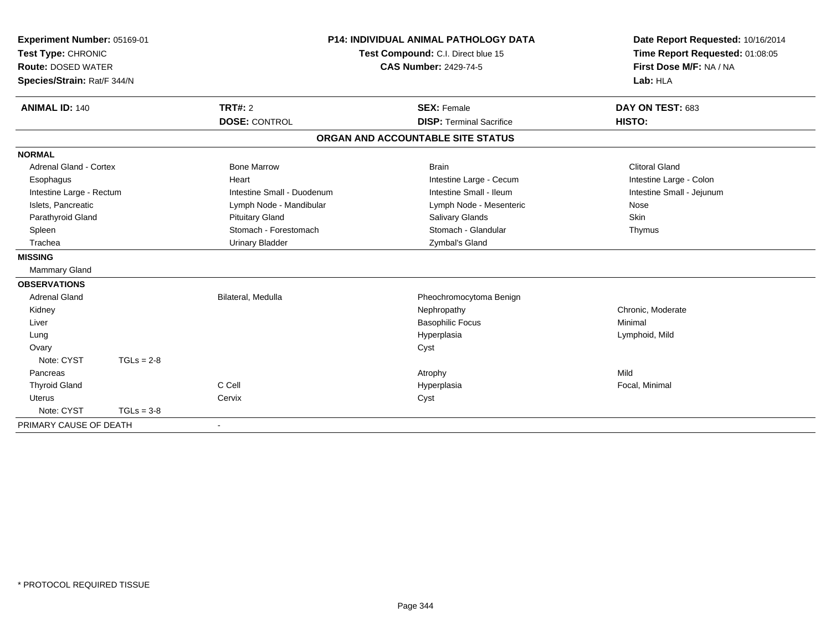| Experiment Number: 05169-01<br>Test Type: CHRONIC |              |                            | <b>P14: INDIVIDUAL ANIMAL PATHOLOGY DATA</b> | Date Report Requested: 10/16/2014 |
|---------------------------------------------------|--------------|----------------------------|----------------------------------------------|-----------------------------------|
|                                                   |              |                            | Test Compound: C.I. Direct blue 15           | Time Report Requested: 01:08:05   |
| <b>Route: DOSED WATER</b>                         |              |                            | <b>CAS Number: 2429-74-5</b>                 | First Dose M/F: NA / NA           |
| Species/Strain: Rat/F 344/N                       |              |                            |                                              | Lab: HLA                          |
| <b>ANIMAL ID: 140</b>                             |              | TRT#: 2                    | <b>SEX: Female</b>                           | DAY ON TEST: 683                  |
|                                                   |              |                            |                                              |                                   |
|                                                   |              | <b>DOSE: CONTROL</b>       | <b>DISP: Terminal Sacrifice</b>              | HISTO:                            |
|                                                   |              |                            | ORGAN AND ACCOUNTABLE SITE STATUS            |                                   |
| <b>NORMAL</b>                                     |              |                            |                                              |                                   |
| Adrenal Gland - Cortex                            |              | <b>Bone Marrow</b>         | <b>Brain</b>                                 | <b>Clitoral Gland</b>             |
| Esophagus                                         |              | Heart                      | Intestine Large - Cecum                      | Intestine Large - Colon           |
| Intestine Large - Rectum                          |              | Intestine Small - Duodenum | Intestine Small - Ileum                      | Intestine Small - Jejunum         |
| Islets, Pancreatic                                |              | Lymph Node - Mandibular    | Lymph Node - Mesenteric                      | Nose                              |
| Parathyroid Gland                                 |              | <b>Pituitary Gland</b>     | Salivary Glands                              | Skin                              |
| Spleen                                            |              | Stomach - Forestomach      | Stomach - Glandular                          | Thymus                            |
| Trachea                                           |              | <b>Urinary Bladder</b>     | Zymbal's Gland                               |                                   |
| <b>MISSING</b>                                    |              |                            |                                              |                                   |
| <b>Mammary Gland</b>                              |              |                            |                                              |                                   |
| <b>OBSERVATIONS</b>                               |              |                            |                                              |                                   |
| <b>Adrenal Gland</b>                              |              | Bilateral, Medulla         | Pheochromocytoma Benign                      |                                   |
| Kidney                                            |              |                            | Nephropathy                                  | Chronic, Moderate                 |
| Liver                                             |              |                            | <b>Basophilic Focus</b>                      | Minimal                           |
| Lung                                              |              |                            | Hyperplasia                                  | Lymphoid, Mild                    |
| Ovary                                             |              |                            | Cyst                                         |                                   |
| Note: CYST                                        | $TGLs = 2-8$ |                            |                                              |                                   |
| Pancreas                                          |              |                            | Atrophy                                      | Mild                              |
| <b>Thyroid Gland</b>                              |              | C Cell                     | Hyperplasia                                  | Focal, Minimal                    |
| <b>Uterus</b>                                     |              | Cervix                     | Cyst                                         |                                   |
| Note: CYST                                        | $TGLs = 3-8$ |                            |                                              |                                   |
| PRIMARY CAUSE OF DEATH                            |              | $\blacksquare$             |                                              |                                   |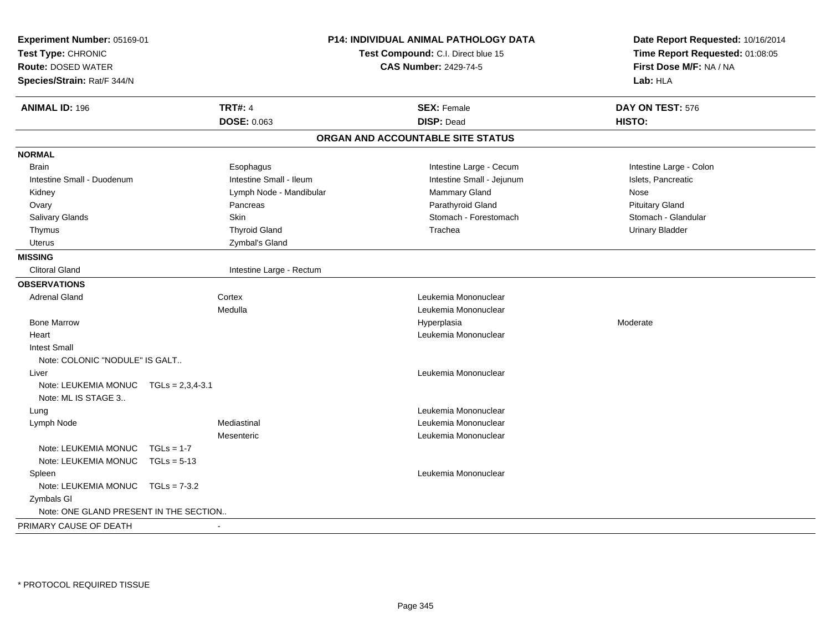| Experiment Number: 05169-01<br>Test Type: CHRONIC<br><b>Route: DOSED WATER</b><br>Species/Strain: Rat/F 344/N |                    |                          | P14: INDIVIDUAL ANIMAL PATHOLOGY DATA<br>Test Compound: C.I. Direct blue 15<br><b>CAS Number: 2429-74-5</b> | Date Report Requested: 10/16/2014<br>Time Report Requested: 01:08:05<br>First Dose M/F: NA / NA<br>Lab: HLA |
|---------------------------------------------------------------------------------------------------------------|--------------------|--------------------------|-------------------------------------------------------------------------------------------------------------|-------------------------------------------------------------------------------------------------------------|
| <b>ANIMAL ID: 196</b>                                                                                         |                    | <b>TRT#: 4</b>           | <b>SEX: Female</b>                                                                                          | DAY ON TEST: 576                                                                                            |
|                                                                                                               |                    | DOSE: 0.063              | <b>DISP: Dead</b>                                                                                           | HISTO:                                                                                                      |
|                                                                                                               |                    |                          | ORGAN AND ACCOUNTABLE SITE STATUS                                                                           |                                                                                                             |
| <b>NORMAL</b>                                                                                                 |                    |                          |                                                                                                             |                                                                                                             |
| <b>Brain</b>                                                                                                  |                    | Esophagus                | Intestine Large - Cecum                                                                                     | Intestine Large - Colon                                                                                     |
| Intestine Small - Duodenum                                                                                    |                    | Intestine Small - Ileum  | Intestine Small - Jejunum                                                                                   | Islets, Pancreatic                                                                                          |
| Kidney                                                                                                        |                    | Lymph Node - Mandibular  | Mammary Gland                                                                                               | Nose                                                                                                        |
| Ovary                                                                                                         |                    | Pancreas                 | Parathyroid Gland                                                                                           | <b>Pituitary Gland</b>                                                                                      |
| Salivary Glands                                                                                               |                    | <b>Skin</b>              | Stomach - Forestomach                                                                                       | Stomach - Glandular                                                                                         |
| Thymus                                                                                                        |                    | <b>Thyroid Gland</b>     | Trachea                                                                                                     | <b>Urinary Bladder</b>                                                                                      |
| Uterus                                                                                                        |                    | Zymbal's Gland           |                                                                                                             |                                                                                                             |
| <b>MISSING</b>                                                                                                |                    |                          |                                                                                                             |                                                                                                             |
| <b>Clitoral Gland</b>                                                                                         |                    | Intestine Large - Rectum |                                                                                                             |                                                                                                             |
| <b>OBSERVATIONS</b>                                                                                           |                    |                          |                                                                                                             |                                                                                                             |
| <b>Adrenal Gland</b>                                                                                          |                    | Cortex                   | Leukemia Mononuclear                                                                                        |                                                                                                             |
|                                                                                                               |                    | Medulla                  | Leukemia Mononuclear                                                                                        |                                                                                                             |
| <b>Bone Marrow</b>                                                                                            |                    |                          | Hyperplasia                                                                                                 | Moderate                                                                                                    |
| Heart                                                                                                         |                    |                          | Leukemia Mononuclear                                                                                        |                                                                                                             |
| <b>Intest Small</b>                                                                                           |                    |                          |                                                                                                             |                                                                                                             |
| Note: COLONIC "NODULE" IS GALT                                                                                |                    |                          |                                                                                                             |                                                                                                             |
| Liver                                                                                                         |                    |                          | Leukemia Mononuclear                                                                                        |                                                                                                             |
| Note: LEUKEMIA MONUC<br>Note: ML IS STAGE 3                                                                   | $TGLs = 2,3,4-3.1$ |                          |                                                                                                             |                                                                                                             |
| Lung                                                                                                          |                    |                          | Leukemia Mononuclear                                                                                        |                                                                                                             |
| Lymph Node                                                                                                    |                    | Mediastinal              | Leukemia Mononuclear                                                                                        |                                                                                                             |
|                                                                                                               |                    | Mesenteric               | Leukemia Mononuclear                                                                                        |                                                                                                             |
| Note: LEUKEMIA MONUC                                                                                          | $TGLs = 1-7$       |                          |                                                                                                             |                                                                                                             |
| Note: LEUKEMIA MONUC                                                                                          | $TGLs = 5-13$      |                          |                                                                                                             |                                                                                                             |
| Spleen                                                                                                        |                    |                          | Leukemia Mononuclear                                                                                        |                                                                                                             |
| Note: LEUKEMIA MONUC TGLs = 7-3.2                                                                             |                    |                          |                                                                                                             |                                                                                                             |
| Zymbals GI<br>Note: ONE GLAND PRESENT IN THE SECTION                                                          |                    |                          |                                                                                                             |                                                                                                             |
| PRIMARY CAUSE OF DEATH                                                                                        |                    |                          |                                                                                                             |                                                                                                             |
|                                                                                                               |                    |                          |                                                                                                             |                                                                                                             |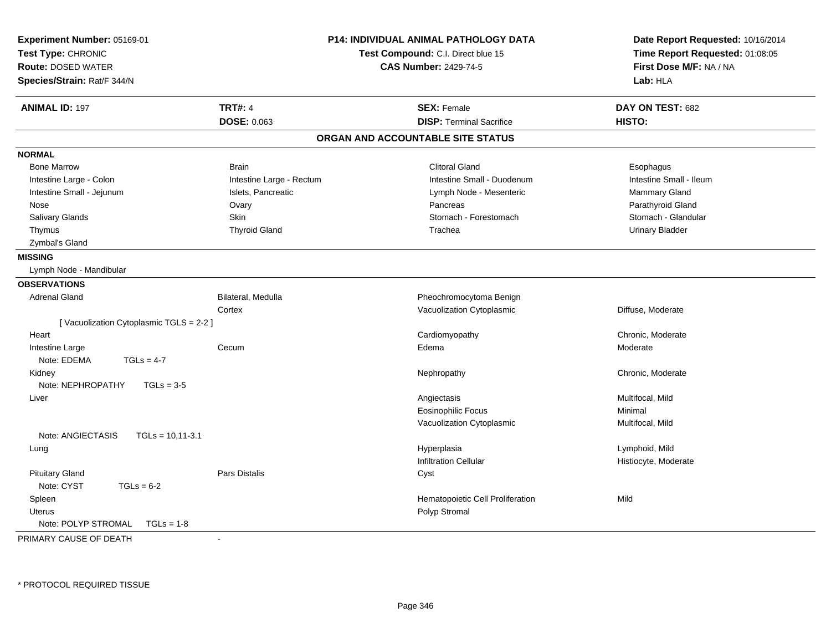| <b>TRT#: 4</b><br><b>ANIMAL ID: 197</b><br><b>SEX: Female</b><br>DAY ON TEST: 682<br>DOSE: 0.063<br><b>DISP: Terminal Sacrifice</b><br>HISTO:<br>ORGAN AND ACCOUNTABLE SITE STATUS<br><b>NORMAL</b><br><b>Bone Marrow</b><br><b>Brain</b><br><b>Clitoral Gland</b><br>Esophagus<br>Intestine Large - Rectum<br>Intestine Small - Duodenum<br>Intestine Small - Ileum<br>Intestine Large - Colon<br>Intestine Small - Jejunum<br>Islets, Pancreatic<br>Mammary Gland<br>Lymph Node - Mesenteric<br>Ovary<br>Pancreas<br>Parathyroid Gland<br>Nose<br>Salivary Glands<br><b>Skin</b><br>Stomach - Forestomach<br>Stomach - Glandular<br><b>Thyroid Gland</b><br><b>Urinary Bladder</b><br>Thymus<br>Trachea<br>Zymbal's Gland<br><b>MISSING</b><br>Lymph Node - Mandibular<br><b>OBSERVATIONS</b><br><b>Adrenal Gland</b><br>Bilateral, Medulla<br>Pheochromocytoma Benign<br>Cortex<br>Vacuolization Cytoplasmic<br>Diffuse, Moderate<br>[Vacuolization Cytoplasmic TGLS = 2-2]<br>Cardiomyopathy<br>Chronic, Moderate<br>Heart<br>Intestine Large<br>Cecum<br>Edema<br>Moderate<br>Note: EDEMA<br>$TGLs = 4-7$<br>Kidney<br>Nephropathy<br>Chronic, Moderate<br>Note: NEPHROPATHY<br>$TGLs = 3-5$<br>Multifocal, Mild<br>Angiectasis<br>Liver<br><b>Eosinophilic Focus</b><br>Minimal<br>Vacuolization Cytoplasmic<br>Multifocal, Mild<br>Note: ANGIECTASIS<br>$TGLs = 10,11-3.1$<br>Lymphoid, Mild<br>Hyperplasia<br>Lung<br><b>Infiltration Cellular</b><br>Histiocyte, Moderate<br><b>Pituitary Gland</b><br>Pars Distalis<br>Cyst<br>Note: CYST<br>$TGLs = 6-2$<br>Spleen<br>Hematopoietic Cell Proliferation<br>Mild<br>Polyp Stromal<br><b>Uterus</b><br>Note: POLYP STROMAL<br>$TGLs = 1-8$ | Experiment Number: 05169-01<br>Test Type: CHRONIC<br><b>Route: DOSED WATER</b><br>Species/Strain: Rat/F 344/N |    | <b>P14: INDIVIDUAL ANIMAL PATHOLOGY DATA</b><br>Test Compound: C.I. Direct blue 15<br><b>CAS Number: 2429-74-5</b> | Date Report Requested: 10/16/2014<br>Time Report Requested: 01:08:05<br>First Dose M/F: NA / NA<br>Lab: HLA |
|----------------------------------------------------------------------------------------------------------------------------------------------------------------------------------------------------------------------------------------------------------------------------------------------------------------------------------------------------------------------------------------------------------------------------------------------------------------------------------------------------------------------------------------------------------------------------------------------------------------------------------------------------------------------------------------------------------------------------------------------------------------------------------------------------------------------------------------------------------------------------------------------------------------------------------------------------------------------------------------------------------------------------------------------------------------------------------------------------------------------------------------------------------------------------------------------------------------------------------------------------------------------------------------------------------------------------------------------------------------------------------------------------------------------------------------------------------------------------------------------------------------------------------------------------------------------------------------------------------------------------------------------------------------------------------------------------|---------------------------------------------------------------------------------------------------------------|----|--------------------------------------------------------------------------------------------------------------------|-------------------------------------------------------------------------------------------------------------|
|                                                                                                                                                                                                                                                                                                                                                                                                                                                                                                                                                                                                                                                                                                                                                                                                                                                                                                                                                                                                                                                                                                                                                                                                                                                                                                                                                                                                                                                                                                                                                                                                                                                                                                    |                                                                                                               |    |                                                                                                                    |                                                                                                             |
|                                                                                                                                                                                                                                                                                                                                                                                                                                                                                                                                                                                                                                                                                                                                                                                                                                                                                                                                                                                                                                                                                                                                                                                                                                                                                                                                                                                                                                                                                                                                                                                                                                                                                                    |                                                                                                               |    |                                                                                                                    |                                                                                                             |
|                                                                                                                                                                                                                                                                                                                                                                                                                                                                                                                                                                                                                                                                                                                                                                                                                                                                                                                                                                                                                                                                                                                                                                                                                                                                                                                                                                                                                                                                                                                                                                                                                                                                                                    |                                                                                                               |    |                                                                                                                    |                                                                                                             |
|                                                                                                                                                                                                                                                                                                                                                                                                                                                                                                                                                                                                                                                                                                                                                                                                                                                                                                                                                                                                                                                                                                                                                                                                                                                                                                                                                                                                                                                                                                                                                                                                                                                                                                    |                                                                                                               |    |                                                                                                                    |                                                                                                             |
|                                                                                                                                                                                                                                                                                                                                                                                                                                                                                                                                                                                                                                                                                                                                                                                                                                                                                                                                                                                                                                                                                                                                                                                                                                                                                                                                                                                                                                                                                                                                                                                                                                                                                                    |                                                                                                               |    |                                                                                                                    |                                                                                                             |
|                                                                                                                                                                                                                                                                                                                                                                                                                                                                                                                                                                                                                                                                                                                                                                                                                                                                                                                                                                                                                                                                                                                                                                                                                                                                                                                                                                                                                                                                                                                                                                                                                                                                                                    |                                                                                                               |    |                                                                                                                    |                                                                                                             |
|                                                                                                                                                                                                                                                                                                                                                                                                                                                                                                                                                                                                                                                                                                                                                                                                                                                                                                                                                                                                                                                                                                                                                                                                                                                                                                                                                                                                                                                                                                                                                                                                                                                                                                    |                                                                                                               |    |                                                                                                                    |                                                                                                             |
|                                                                                                                                                                                                                                                                                                                                                                                                                                                                                                                                                                                                                                                                                                                                                                                                                                                                                                                                                                                                                                                                                                                                                                                                                                                                                                                                                                                                                                                                                                                                                                                                                                                                                                    |                                                                                                               |    |                                                                                                                    |                                                                                                             |
|                                                                                                                                                                                                                                                                                                                                                                                                                                                                                                                                                                                                                                                                                                                                                                                                                                                                                                                                                                                                                                                                                                                                                                                                                                                                                                                                                                                                                                                                                                                                                                                                                                                                                                    |                                                                                                               |    |                                                                                                                    |                                                                                                             |
|                                                                                                                                                                                                                                                                                                                                                                                                                                                                                                                                                                                                                                                                                                                                                                                                                                                                                                                                                                                                                                                                                                                                                                                                                                                                                                                                                                                                                                                                                                                                                                                                                                                                                                    |                                                                                                               |    |                                                                                                                    |                                                                                                             |
|                                                                                                                                                                                                                                                                                                                                                                                                                                                                                                                                                                                                                                                                                                                                                                                                                                                                                                                                                                                                                                                                                                                                                                                                                                                                                                                                                                                                                                                                                                                                                                                                                                                                                                    |                                                                                                               |    |                                                                                                                    |                                                                                                             |
|                                                                                                                                                                                                                                                                                                                                                                                                                                                                                                                                                                                                                                                                                                                                                                                                                                                                                                                                                                                                                                                                                                                                                                                                                                                                                                                                                                                                                                                                                                                                                                                                                                                                                                    |                                                                                                               |    |                                                                                                                    |                                                                                                             |
|                                                                                                                                                                                                                                                                                                                                                                                                                                                                                                                                                                                                                                                                                                                                                                                                                                                                                                                                                                                                                                                                                                                                                                                                                                                                                                                                                                                                                                                                                                                                                                                                                                                                                                    |                                                                                                               |    |                                                                                                                    |                                                                                                             |
|                                                                                                                                                                                                                                                                                                                                                                                                                                                                                                                                                                                                                                                                                                                                                                                                                                                                                                                                                                                                                                                                                                                                                                                                                                                                                                                                                                                                                                                                                                                                                                                                                                                                                                    |                                                                                                               |    |                                                                                                                    |                                                                                                             |
|                                                                                                                                                                                                                                                                                                                                                                                                                                                                                                                                                                                                                                                                                                                                                                                                                                                                                                                                                                                                                                                                                                                                                                                                                                                                                                                                                                                                                                                                                                                                                                                                                                                                                                    |                                                                                                               |    |                                                                                                                    |                                                                                                             |
|                                                                                                                                                                                                                                                                                                                                                                                                                                                                                                                                                                                                                                                                                                                                                                                                                                                                                                                                                                                                                                                                                                                                                                                                                                                                                                                                                                                                                                                                                                                                                                                                                                                                                                    |                                                                                                               |    |                                                                                                                    |                                                                                                             |
|                                                                                                                                                                                                                                                                                                                                                                                                                                                                                                                                                                                                                                                                                                                                                                                                                                                                                                                                                                                                                                                                                                                                                                                                                                                                                                                                                                                                                                                                                                                                                                                                                                                                                                    |                                                                                                               |    |                                                                                                                    |                                                                                                             |
|                                                                                                                                                                                                                                                                                                                                                                                                                                                                                                                                                                                                                                                                                                                                                                                                                                                                                                                                                                                                                                                                                                                                                                                                                                                                                                                                                                                                                                                                                                                                                                                                                                                                                                    |                                                                                                               |    |                                                                                                                    |                                                                                                             |
|                                                                                                                                                                                                                                                                                                                                                                                                                                                                                                                                                                                                                                                                                                                                                                                                                                                                                                                                                                                                                                                                                                                                                                                                                                                                                                                                                                                                                                                                                                                                                                                                                                                                                                    |                                                                                                               |    |                                                                                                                    |                                                                                                             |
|                                                                                                                                                                                                                                                                                                                                                                                                                                                                                                                                                                                                                                                                                                                                                                                                                                                                                                                                                                                                                                                                                                                                                                                                                                                                                                                                                                                                                                                                                                                                                                                                                                                                                                    |                                                                                                               |    |                                                                                                                    |                                                                                                             |
|                                                                                                                                                                                                                                                                                                                                                                                                                                                                                                                                                                                                                                                                                                                                                                                                                                                                                                                                                                                                                                                                                                                                                                                                                                                                                                                                                                                                                                                                                                                                                                                                                                                                                                    |                                                                                                               |    |                                                                                                                    |                                                                                                             |
|                                                                                                                                                                                                                                                                                                                                                                                                                                                                                                                                                                                                                                                                                                                                                                                                                                                                                                                                                                                                                                                                                                                                                                                                                                                                                                                                                                                                                                                                                                                                                                                                                                                                                                    |                                                                                                               |    |                                                                                                                    |                                                                                                             |
|                                                                                                                                                                                                                                                                                                                                                                                                                                                                                                                                                                                                                                                                                                                                                                                                                                                                                                                                                                                                                                                                                                                                                                                                                                                                                                                                                                                                                                                                                                                                                                                                                                                                                                    |                                                                                                               |    |                                                                                                                    |                                                                                                             |
|                                                                                                                                                                                                                                                                                                                                                                                                                                                                                                                                                                                                                                                                                                                                                                                                                                                                                                                                                                                                                                                                                                                                                                                                                                                                                                                                                                                                                                                                                                                                                                                                                                                                                                    |                                                                                                               |    |                                                                                                                    |                                                                                                             |
|                                                                                                                                                                                                                                                                                                                                                                                                                                                                                                                                                                                                                                                                                                                                                                                                                                                                                                                                                                                                                                                                                                                                                                                                                                                                                                                                                                                                                                                                                                                                                                                                                                                                                                    |                                                                                                               |    |                                                                                                                    |                                                                                                             |
|                                                                                                                                                                                                                                                                                                                                                                                                                                                                                                                                                                                                                                                                                                                                                                                                                                                                                                                                                                                                                                                                                                                                                                                                                                                                                                                                                                                                                                                                                                                                                                                                                                                                                                    |                                                                                                               |    |                                                                                                                    |                                                                                                             |
|                                                                                                                                                                                                                                                                                                                                                                                                                                                                                                                                                                                                                                                                                                                                                                                                                                                                                                                                                                                                                                                                                                                                                                                                                                                                                                                                                                                                                                                                                                                                                                                                                                                                                                    |                                                                                                               |    |                                                                                                                    |                                                                                                             |
|                                                                                                                                                                                                                                                                                                                                                                                                                                                                                                                                                                                                                                                                                                                                                                                                                                                                                                                                                                                                                                                                                                                                                                                                                                                                                                                                                                                                                                                                                                                                                                                                                                                                                                    |                                                                                                               |    |                                                                                                                    |                                                                                                             |
|                                                                                                                                                                                                                                                                                                                                                                                                                                                                                                                                                                                                                                                                                                                                                                                                                                                                                                                                                                                                                                                                                                                                                                                                                                                                                                                                                                                                                                                                                                                                                                                                                                                                                                    |                                                                                                               |    |                                                                                                                    |                                                                                                             |
|                                                                                                                                                                                                                                                                                                                                                                                                                                                                                                                                                                                                                                                                                                                                                                                                                                                                                                                                                                                                                                                                                                                                                                                                                                                                                                                                                                                                                                                                                                                                                                                                                                                                                                    |                                                                                                               |    |                                                                                                                    |                                                                                                             |
|                                                                                                                                                                                                                                                                                                                                                                                                                                                                                                                                                                                                                                                                                                                                                                                                                                                                                                                                                                                                                                                                                                                                                                                                                                                                                                                                                                                                                                                                                                                                                                                                                                                                                                    |                                                                                                               |    |                                                                                                                    |                                                                                                             |
|                                                                                                                                                                                                                                                                                                                                                                                                                                                                                                                                                                                                                                                                                                                                                                                                                                                                                                                                                                                                                                                                                                                                                                                                                                                                                                                                                                                                                                                                                                                                                                                                                                                                                                    |                                                                                                               |    |                                                                                                                    |                                                                                                             |
|                                                                                                                                                                                                                                                                                                                                                                                                                                                                                                                                                                                                                                                                                                                                                                                                                                                                                                                                                                                                                                                                                                                                                                                                                                                                                                                                                                                                                                                                                                                                                                                                                                                                                                    | PRIMARY CAUSE OF DEATH                                                                                        | ÷, |                                                                                                                    |                                                                                                             |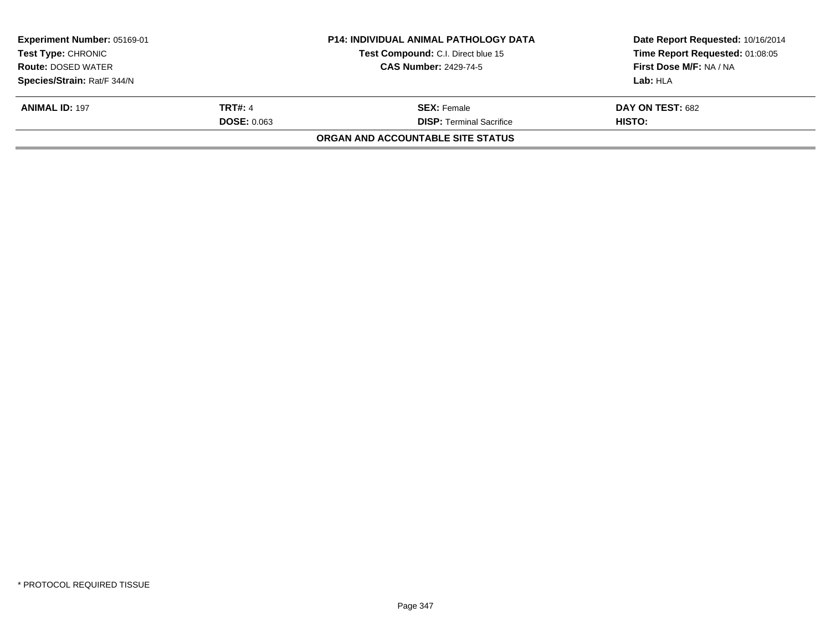| Experiment Number: 05169-01<br><b>Test Type: CHRONIC</b><br><b>Route: DOSED WATER</b> |                    | <b>P14: INDIVIDUAL ANIMAL PATHOLOGY DATA</b><br>Test Compound: C.I. Direct blue 15<br><b>CAS Number: 2429-74-5</b> | Date Report Requested: 10/16/2014<br>Time Report Requested: 01:08:05<br>First Dose M/F: NA / NA |
|---------------------------------------------------------------------------------------|--------------------|--------------------------------------------------------------------------------------------------------------------|-------------------------------------------------------------------------------------------------|
| Species/Strain: Rat/F 344/N                                                           |                    |                                                                                                                    | Lab: HLA                                                                                        |
| <b>ANIMAL ID: 197</b>                                                                 | <b>TRT#: 4</b>     | <b>SEX:</b> Female                                                                                                 | DAY ON TEST: 682                                                                                |
|                                                                                       | <b>DOSE: 0.063</b> | <b>DISP: Terminal Sacrifice</b>                                                                                    | <b>HISTO:</b>                                                                                   |
|                                                                                       |                    | ORGAN AND ACCOUNTABLE SITE STATUS                                                                                  |                                                                                                 |
|                                                                                       |                    |                                                                                                                    |                                                                                                 |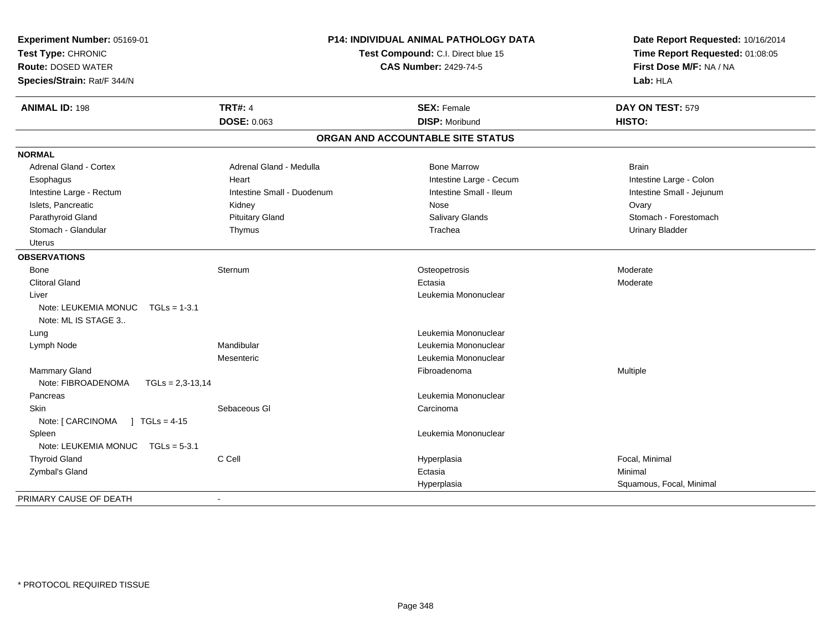| Experiment Number: 05169-01<br>Test Type: CHRONIC<br><b>Route: DOSED WATER</b><br>Species/Strain: Rat/F 344/N | <b>P14: INDIVIDUAL ANIMAL PATHOLOGY DATA</b><br>Test Compound: C.I. Direct blue 15<br><b>CAS Number: 2429-74-5</b> |                                   | Date Report Requested: 10/16/2014<br>Time Report Requested: 01:08:05<br>First Dose M/F: NA / NA<br>Lab: HLA |  |
|---------------------------------------------------------------------------------------------------------------|--------------------------------------------------------------------------------------------------------------------|-----------------------------------|-------------------------------------------------------------------------------------------------------------|--|
| <b>ANIMAL ID: 198</b>                                                                                         | <b>TRT#: 4</b>                                                                                                     | <b>SEX: Female</b>                | DAY ON TEST: 579                                                                                            |  |
|                                                                                                               | <b>DOSE: 0.063</b>                                                                                                 | <b>DISP: Moribund</b>             | <b>HISTO:</b>                                                                                               |  |
|                                                                                                               |                                                                                                                    | ORGAN AND ACCOUNTABLE SITE STATUS |                                                                                                             |  |
| <b>NORMAL</b>                                                                                                 |                                                                                                                    |                                   |                                                                                                             |  |
| <b>Adrenal Gland - Cortex</b>                                                                                 | Adrenal Gland - Medulla                                                                                            | <b>Bone Marrow</b>                | <b>Brain</b>                                                                                                |  |
| Esophagus                                                                                                     | Heart                                                                                                              | Intestine Large - Cecum           | Intestine Large - Colon                                                                                     |  |
| Intestine Large - Rectum                                                                                      | Intestine Small - Duodenum                                                                                         | Intestine Small - Ileum           | Intestine Small - Jejunum                                                                                   |  |
| Islets, Pancreatic                                                                                            | Kidney                                                                                                             | Nose                              | Ovary                                                                                                       |  |
| Parathyroid Gland                                                                                             | <b>Pituitary Gland</b>                                                                                             | Salivary Glands                   | Stomach - Forestomach                                                                                       |  |
| Stomach - Glandular                                                                                           | Thymus                                                                                                             | Trachea                           | <b>Urinary Bladder</b>                                                                                      |  |
| <b>Uterus</b>                                                                                                 |                                                                                                                    |                                   |                                                                                                             |  |
| <b>OBSERVATIONS</b>                                                                                           |                                                                                                                    |                                   |                                                                                                             |  |
| Bone                                                                                                          | Sternum                                                                                                            | Osteopetrosis                     | Moderate                                                                                                    |  |
| <b>Clitoral Gland</b>                                                                                         |                                                                                                                    | Ectasia                           | Moderate                                                                                                    |  |
| Liver                                                                                                         |                                                                                                                    | Leukemia Mononuclear              |                                                                                                             |  |
| Note: LEUKEMIA MONUC<br>$TGLs = 1-3.1$<br>Note: ML IS STAGE 3                                                 |                                                                                                                    |                                   |                                                                                                             |  |
| Lung                                                                                                          |                                                                                                                    | Leukemia Mononuclear              |                                                                                                             |  |
| Lymph Node                                                                                                    | Mandibular                                                                                                         | Leukemia Mononuclear              |                                                                                                             |  |
|                                                                                                               | Mesenteric                                                                                                         | Leukemia Mononuclear              |                                                                                                             |  |
| Mammary Gland                                                                                                 |                                                                                                                    | Fibroadenoma                      | Multiple                                                                                                    |  |
| Note: FIBROADENOMA<br>$TGLs = 2,3-13,14$                                                                      |                                                                                                                    |                                   |                                                                                                             |  |
| Pancreas                                                                                                      |                                                                                                                    | Leukemia Mononuclear              |                                                                                                             |  |
| <b>Skin</b>                                                                                                   | Sebaceous GI                                                                                                       | Carcinoma                         |                                                                                                             |  |
| Note: [ CARCINOMA<br>$1 TGLs = 4-15$                                                                          |                                                                                                                    |                                   |                                                                                                             |  |
| Spleen                                                                                                        |                                                                                                                    | Leukemia Mononuclear              |                                                                                                             |  |
| Note: LEUKEMIA MONUC<br>$TGLs = 5-3.1$                                                                        |                                                                                                                    |                                   |                                                                                                             |  |
| <b>Thyroid Gland</b>                                                                                          | C Cell                                                                                                             | Hyperplasia                       | Focal, Minimal                                                                                              |  |
| Zymbal's Gland                                                                                                |                                                                                                                    | Ectasia                           | Minimal                                                                                                     |  |
|                                                                                                               |                                                                                                                    | Hyperplasia                       | Squamous, Focal, Minimal                                                                                    |  |
| PRIMARY CAUSE OF DEATH                                                                                        |                                                                                                                    |                                   |                                                                                                             |  |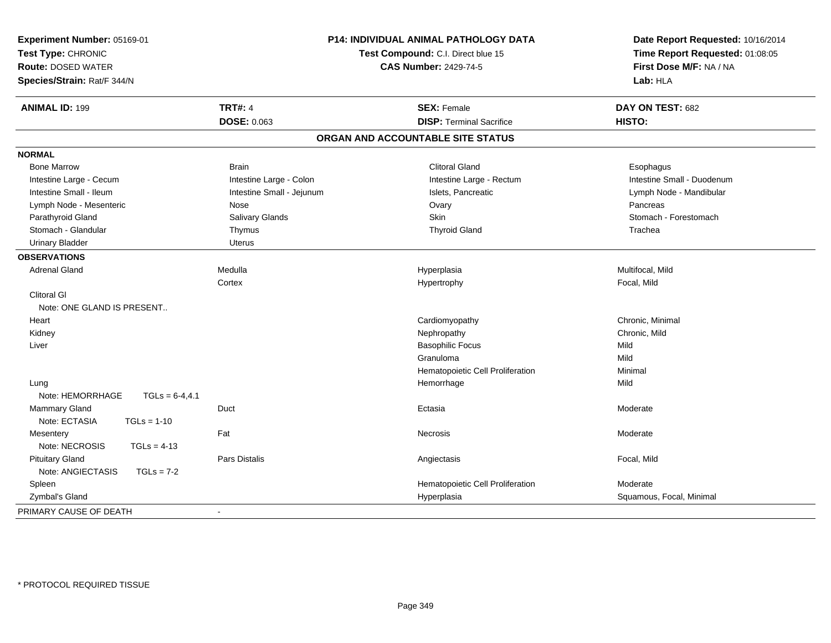| Experiment Number: 05169-01<br>Test Type: CHRONIC<br><b>Route: DOSED WATER</b><br>Species/Strain: Rat/F 344/N | P14: INDIVIDUAL ANIMAL PATHOLOGY DATA<br>Test Compound: C.I. Direct blue 15<br><b>CAS Number: 2429-74-5</b> |                                   | Date Report Requested: 10/16/2014<br>Time Report Requested: 01:08:05<br>First Dose M/F: NA / NA<br>Lab: HLA |
|---------------------------------------------------------------------------------------------------------------|-------------------------------------------------------------------------------------------------------------|-----------------------------------|-------------------------------------------------------------------------------------------------------------|
| <b>ANIMAL ID: 199</b>                                                                                         | <b>TRT#: 4</b>                                                                                              | <b>SEX: Female</b>                | DAY ON TEST: 682                                                                                            |
|                                                                                                               | <b>DOSE: 0.063</b>                                                                                          | <b>DISP: Terminal Sacrifice</b>   | HISTO:                                                                                                      |
|                                                                                                               |                                                                                                             | ORGAN AND ACCOUNTABLE SITE STATUS |                                                                                                             |
| <b>NORMAL</b>                                                                                                 |                                                                                                             |                                   |                                                                                                             |
| <b>Bone Marrow</b>                                                                                            | <b>Brain</b>                                                                                                | <b>Clitoral Gland</b>             | Esophagus                                                                                                   |
| Intestine Large - Cecum                                                                                       | Intestine Large - Colon                                                                                     | Intestine Large - Rectum          | Intestine Small - Duodenum                                                                                  |
| Intestine Small - Ileum                                                                                       | Intestine Small - Jejunum                                                                                   | Islets, Pancreatic                | Lymph Node - Mandibular                                                                                     |
| Lymph Node - Mesenteric                                                                                       | Nose                                                                                                        | Ovary                             | Pancreas                                                                                                    |
| Parathyroid Gland                                                                                             | Salivary Glands                                                                                             | Skin                              | Stomach - Forestomach                                                                                       |
| Stomach - Glandular                                                                                           | Thymus                                                                                                      | <b>Thyroid Gland</b>              | Trachea                                                                                                     |
| <b>Urinary Bladder</b>                                                                                        | <b>Uterus</b>                                                                                               |                                   |                                                                                                             |
| <b>OBSERVATIONS</b>                                                                                           |                                                                                                             |                                   |                                                                                                             |
| <b>Adrenal Gland</b>                                                                                          | Medulla                                                                                                     | Hyperplasia                       | Multifocal, Mild                                                                                            |
|                                                                                                               | Cortex                                                                                                      | Hypertrophy                       | Focal, Mild                                                                                                 |
| <b>Clitoral GI</b>                                                                                            |                                                                                                             |                                   |                                                                                                             |
| Note: ONE GLAND IS PRESENT                                                                                    |                                                                                                             |                                   |                                                                                                             |
| Heart                                                                                                         |                                                                                                             | Cardiomyopathy                    | Chronic, Minimal                                                                                            |
| Kidney                                                                                                        |                                                                                                             | Nephropathy                       | Chronic, Mild                                                                                               |
| Liver                                                                                                         |                                                                                                             | <b>Basophilic Focus</b>           | Mild                                                                                                        |
|                                                                                                               |                                                                                                             | Granuloma                         | Mild                                                                                                        |
|                                                                                                               |                                                                                                             | Hematopoietic Cell Proliferation  | Minimal                                                                                                     |
| Lung                                                                                                          |                                                                                                             | Hemorrhage                        | Mild                                                                                                        |
| Note: HEMORRHAGE<br>$TGLs = 6-4, 4.1$                                                                         |                                                                                                             |                                   |                                                                                                             |
| <b>Mammary Gland</b>                                                                                          | Duct                                                                                                        | Ectasia                           | Moderate                                                                                                    |
| Note: ECTASIA<br>$TGLs = 1-10$                                                                                |                                                                                                             |                                   |                                                                                                             |
| Mesentery                                                                                                     | Fat                                                                                                         | <b>Necrosis</b>                   | Moderate                                                                                                    |
| Note: NECROSIS<br>$TGLs = 4-13$                                                                               |                                                                                                             |                                   |                                                                                                             |
| <b>Pituitary Gland</b>                                                                                        | <b>Pars Distalis</b>                                                                                        | Angiectasis                       | Focal, Mild                                                                                                 |
| Note: ANGIECTASIS<br>$TGLs = 7-2$                                                                             |                                                                                                             |                                   |                                                                                                             |
| Spleen                                                                                                        |                                                                                                             | Hematopoietic Cell Proliferation  | Moderate                                                                                                    |
| Zymbal's Gland                                                                                                |                                                                                                             | Hyperplasia                       | Squamous, Focal, Minimal                                                                                    |
| PRIMARY CAUSE OF DEATH                                                                                        | $\sim$                                                                                                      |                                   |                                                                                                             |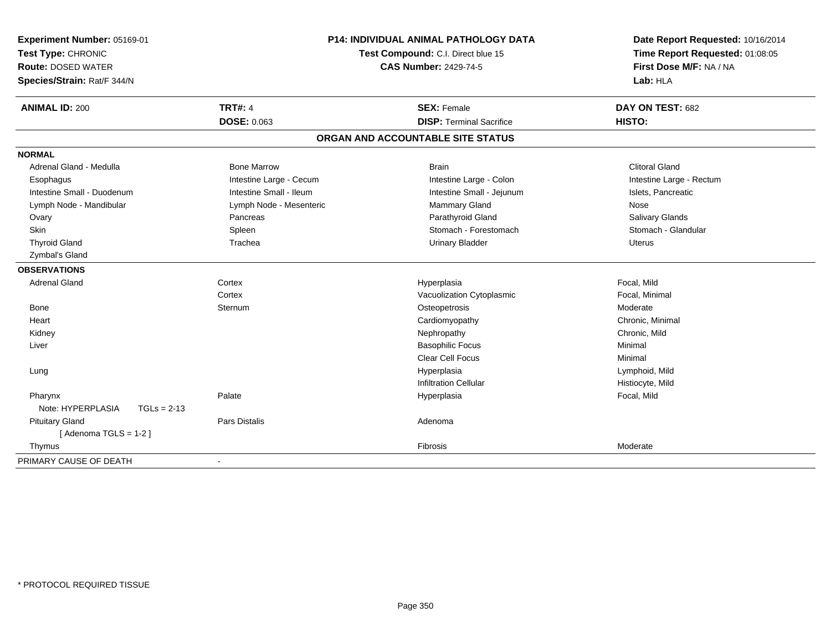| Experiment Number: 05169-01<br>Test Type: CHRONIC<br><b>Route: DOSED WATER</b><br>Species/Strain: Rat/F 344/N | P14: INDIVIDUAL ANIMAL PATHOLOGY DATA<br>Test Compound: C.I. Direct blue 15<br><b>CAS Number: 2429-74-5</b> |                                   | Date Report Requested: 10/16/2014<br>Time Report Requested: 01:08:05<br>First Dose M/F: NA / NA<br>Lab: HLA |
|---------------------------------------------------------------------------------------------------------------|-------------------------------------------------------------------------------------------------------------|-----------------------------------|-------------------------------------------------------------------------------------------------------------|
| <b>ANIMAL ID: 200</b>                                                                                         | <b>TRT#: 4</b>                                                                                              | <b>SEX: Female</b>                | DAY ON TEST: 682                                                                                            |
|                                                                                                               | <b>DOSE: 0.063</b>                                                                                          | <b>DISP: Terminal Sacrifice</b>   | <b>HISTO:</b>                                                                                               |
|                                                                                                               |                                                                                                             | ORGAN AND ACCOUNTABLE SITE STATUS |                                                                                                             |
| <b>NORMAL</b>                                                                                                 |                                                                                                             |                                   |                                                                                                             |
| Adrenal Gland - Medulla                                                                                       | <b>Bone Marrow</b>                                                                                          | <b>Brain</b>                      | <b>Clitoral Gland</b>                                                                                       |
| Esophagus                                                                                                     | Intestine Large - Cecum                                                                                     | Intestine Large - Colon           | Intestine Large - Rectum                                                                                    |
| Intestine Small - Duodenum                                                                                    | Intestine Small - Ileum                                                                                     | Intestine Small - Jejunum         | Islets, Pancreatic                                                                                          |
| Lymph Node - Mandibular                                                                                       | Lymph Node - Mesenteric                                                                                     | <b>Mammary Gland</b>              | Nose                                                                                                        |
| Ovary                                                                                                         | Pancreas                                                                                                    | Parathyroid Gland                 | Salivary Glands                                                                                             |
| Skin                                                                                                          | Spleen                                                                                                      | Stomach - Forestomach             | Stomach - Glandular                                                                                         |
| <b>Thyroid Gland</b>                                                                                          | Trachea                                                                                                     | <b>Urinary Bladder</b>            | <b>Uterus</b>                                                                                               |
| Zymbal's Gland                                                                                                |                                                                                                             |                                   |                                                                                                             |
| <b>OBSERVATIONS</b>                                                                                           |                                                                                                             |                                   |                                                                                                             |
| <b>Adrenal Gland</b>                                                                                          | Cortex                                                                                                      | Hyperplasia                       | Focal, Mild                                                                                                 |
|                                                                                                               | Cortex                                                                                                      | Vacuolization Cytoplasmic         | Focal, Minimal                                                                                              |
| <b>Bone</b>                                                                                                   | Sternum                                                                                                     | Osteopetrosis                     | Moderate                                                                                                    |
| Heart                                                                                                         |                                                                                                             | Cardiomyopathy                    | Chronic, Minimal                                                                                            |
| Kidney                                                                                                        |                                                                                                             | Nephropathy                       | Chronic, Mild                                                                                               |
| Liver                                                                                                         |                                                                                                             | <b>Basophilic Focus</b>           | Minimal                                                                                                     |
|                                                                                                               |                                                                                                             | <b>Clear Cell Focus</b>           | Minimal                                                                                                     |
| Lung                                                                                                          |                                                                                                             | Hyperplasia                       | Lymphoid, Mild                                                                                              |
|                                                                                                               |                                                                                                             | <b>Infiltration Cellular</b>      | Histiocyte, Mild                                                                                            |
| Pharynx                                                                                                       | Palate                                                                                                      | Hyperplasia                       | Focal, Mild                                                                                                 |
| Note: HYPERPLASIA<br>$TGLs = 2-13$                                                                            |                                                                                                             |                                   |                                                                                                             |
| <b>Pituitary Gland</b>                                                                                        | <b>Pars Distalis</b>                                                                                        | Adenoma                           |                                                                                                             |
| [Adenoma TGLS = $1-2$ ]                                                                                       |                                                                                                             |                                   |                                                                                                             |
| Thymus                                                                                                        |                                                                                                             | Fibrosis                          | Moderate                                                                                                    |
| PRIMARY CAUSE OF DEATH                                                                                        | $\sim$                                                                                                      |                                   |                                                                                                             |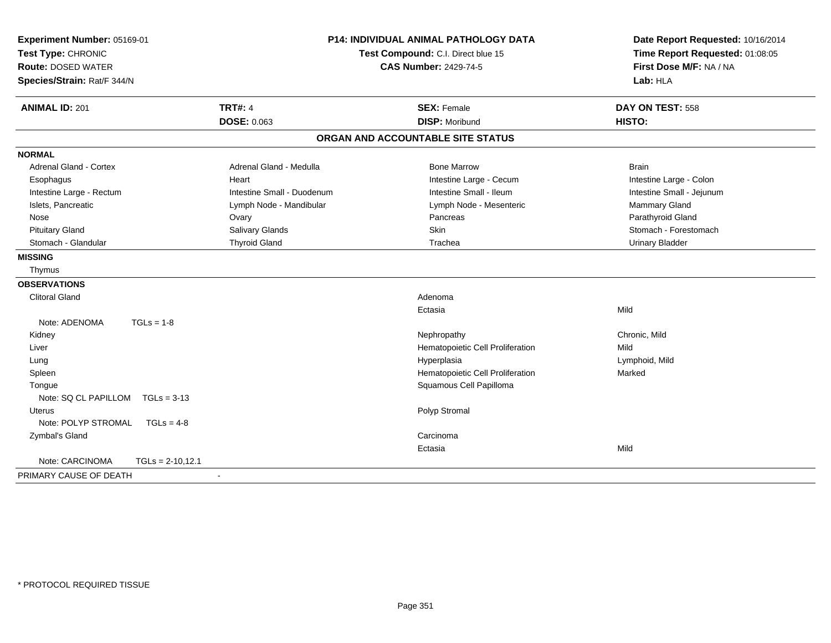| Experiment Number: 05169-01<br>Test Type: CHRONIC<br><b>Route: DOSED WATER</b><br>Species/Strain: Rat/F 344/N | <b>P14: INDIVIDUAL ANIMAL PATHOLOGY DATA</b><br>Test Compound: C.I. Direct blue 15<br><b>CAS Number: 2429-74-5</b> |                                   | Date Report Requested: 10/16/2014<br>Time Report Requested: 01:08:05<br>First Dose M/F: NA / NA<br>Lab: HLA |  |
|---------------------------------------------------------------------------------------------------------------|--------------------------------------------------------------------------------------------------------------------|-----------------------------------|-------------------------------------------------------------------------------------------------------------|--|
| <b>ANIMAL ID: 201</b>                                                                                         | <b>TRT#: 4</b>                                                                                                     | <b>SEX: Female</b>                | DAY ON TEST: 558                                                                                            |  |
|                                                                                                               | <b>DOSE: 0.063</b>                                                                                                 | <b>DISP: Moribund</b>             | HISTO:                                                                                                      |  |
|                                                                                                               |                                                                                                                    | ORGAN AND ACCOUNTABLE SITE STATUS |                                                                                                             |  |
| <b>NORMAL</b>                                                                                                 |                                                                                                                    |                                   |                                                                                                             |  |
| <b>Adrenal Gland - Cortex</b>                                                                                 | Adrenal Gland - Medulla                                                                                            | <b>Bone Marrow</b>                | <b>Brain</b>                                                                                                |  |
| Esophagus                                                                                                     | Heart                                                                                                              | Intestine Large - Cecum           | Intestine Large - Colon                                                                                     |  |
| Intestine Large - Rectum                                                                                      | Intestine Small - Duodenum                                                                                         | Intestine Small - Ileum           | Intestine Small - Jejunum                                                                                   |  |
| Islets, Pancreatic                                                                                            | Lymph Node - Mandibular                                                                                            | Lymph Node - Mesenteric           | Mammary Gland                                                                                               |  |
| Nose                                                                                                          | Ovary                                                                                                              | Pancreas                          | Parathyroid Gland                                                                                           |  |
| <b>Pituitary Gland</b>                                                                                        | Salivary Glands                                                                                                    | Skin                              | Stomach - Forestomach                                                                                       |  |
| Stomach - Glandular                                                                                           | <b>Thyroid Gland</b>                                                                                               | Trachea                           | <b>Urinary Bladder</b>                                                                                      |  |
| <b>MISSING</b>                                                                                                |                                                                                                                    |                                   |                                                                                                             |  |
| Thymus                                                                                                        |                                                                                                                    |                                   |                                                                                                             |  |
| <b>OBSERVATIONS</b>                                                                                           |                                                                                                                    |                                   |                                                                                                             |  |
| <b>Clitoral Gland</b>                                                                                         |                                                                                                                    | Adenoma                           |                                                                                                             |  |
|                                                                                                               |                                                                                                                    | Ectasia                           | Mild                                                                                                        |  |
| Note: ADENOMA<br>$TGLs = 1-8$                                                                                 |                                                                                                                    |                                   |                                                                                                             |  |
| Kidney                                                                                                        |                                                                                                                    | Nephropathy                       | Chronic, Mild                                                                                               |  |
| Liver                                                                                                         |                                                                                                                    | Hematopoietic Cell Proliferation  | Mild                                                                                                        |  |
| Lung                                                                                                          |                                                                                                                    | Hyperplasia                       | Lymphoid, Mild                                                                                              |  |
| Spleen                                                                                                        |                                                                                                                    | Hematopoietic Cell Proliferation  | Marked                                                                                                      |  |
| Tongue                                                                                                        |                                                                                                                    | Squamous Cell Papilloma           |                                                                                                             |  |
| Note: SQ CL PAPILLOM TGLs = 3-13                                                                              |                                                                                                                    |                                   |                                                                                                             |  |
| <b>Uterus</b>                                                                                                 |                                                                                                                    | Polyp Stromal                     |                                                                                                             |  |
| Note: POLYP STROMAL<br>$TGLs = 4-8$                                                                           |                                                                                                                    |                                   |                                                                                                             |  |
| Zymbal's Gland                                                                                                |                                                                                                                    | Carcinoma                         |                                                                                                             |  |
|                                                                                                               |                                                                                                                    | Ectasia                           | Mild                                                                                                        |  |
| Note: CARCINOMA<br>$TGLs = 2-10.12.1$                                                                         |                                                                                                                    |                                   |                                                                                                             |  |
| PRIMARY CAUSE OF DEATH                                                                                        |                                                                                                                    |                                   |                                                                                                             |  |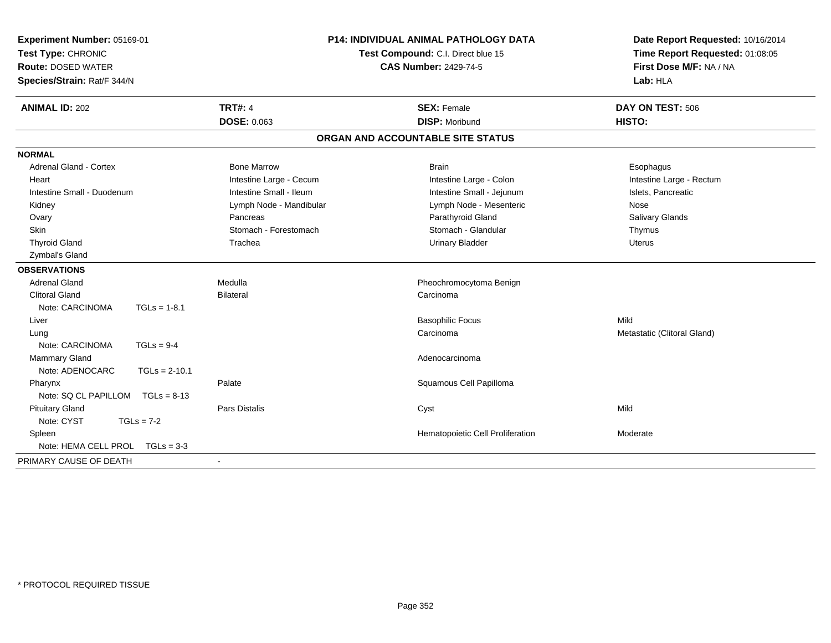| Experiment Number: 05169-01<br>Test Type: CHRONIC<br><b>Route: DOSED WATER</b><br>Species/Strain: Rat/F 344/N | P14: INDIVIDUAL ANIMAL PATHOLOGY DATA<br>Test Compound: C.I. Direct blue 15<br><b>CAS Number: 2429-74-5</b> |                                         | Date Report Requested: 10/16/2014<br>Time Report Requested: 01:08:05<br>First Dose M/F: NA / NA<br>Lab: HLA |  |
|---------------------------------------------------------------------------------------------------------------|-------------------------------------------------------------------------------------------------------------|-----------------------------------------|-------------------------------------------------------------------------------------------------------------|--|
| <b>ANIMAL ID: 202</b>                                                                                         | <b>TRT#: 4</b>                                                                                              | <b>SEX: Female</b>                      | DAY ON TEST: 506                                                                                            |  |
|                                                                                                               | <b>DOSE: 0.063</b>                                                                                          | <b>DISP: Moribund</b>                   | HISTO:                                                                                                      |  |
|                                                                                                               |                                                                                                             | ORGAN AND ACCOUNTABLE SITE STATUS       |                                                                                                             |  |
| <b>NORMAL</b>                                                                                                 |                                                                                                             |                                         |                                                                                                             |  |
| <b>Adrenal Gland - Cortex</b>                                                                                 | <b>Bone Marrow</b>                                                                                          | <b>Brain</b>                            | Esophagus                                                                                                   |  |
| Heart                                                                                                         | Intestine Large - Cecum                                                                                     | Intestine Large - Colon                 | Intestine Large - Rectum                                                                                    |  |
| Intestine Small - Duodenum                                                                                    | Intestine Small - Ileum                                                                                     | Intestine Small - Jejunum               | Islets, Pancreatic                                                                                          |  |
| Kidney                                                                                                        | Lymph Node - Mandibular                                                                                     | Lymph Node - Mesenteric                 | Nose                                                                                                        |  |
| Ovary                                                                                                         | Pancreas                                                                                                    | Parathyroid Gland                       | Salivary Glands                                                                                             |  |
| Skin                                                                                                          | Stomach - Forestomach                                                                                       | Stomach - Glandular                     | Thymus                                                                                                      |  |
| <b>Thyroid Gland</b>                                                                                          | Trachea                                                                                                     | <b>Urinary Bladder</b>                  | <b>Uterus</b>                                                                                               |  |
| Zymbal's Gland                                                                                                |                                                                                                             |                                         |                                                                                                             |  |
| <b>OBSERVATIONS</b>                                                                                           |                                                                                                             |                                         |                                                                                                             |  |
| <b>Adrenal Gland</b>                                                                                          | Medulla                                                                                                     | Pheochromocytoma Benign                 |                                                                                                             |  |
| <b>Clitoral Gland</b>                                                                                         | <b>Bilateral</b>                                                                                            | Carcinoma                               |                                                                                                             |  |
| Note: CARCINOMA<br>$TGLs = 1-8.1$                                                                             |                                                                                                             |                                         |                                                                                                             |  |
| Liver                                                                                                         |                                                                                                             | <b>Basophilic Focus</b>                 | Mild                                                                                                        |  |
| Lung                                                                                                          |                                                                                                             | Carcinoma                               | Metastatic (Clitoral Gland)                                                                                 |  |
| Note: CARCINOMA<br>$TGLs = 9-4$                                                                               |                                                                                                             |                                         |                                                                                                             |  |
| Mammary Gland                                                                                                 |                                                                                                             | Adenocarcinoma                          |                                                                                                             |  |
| Note: ADENOCARC<br>$TGLs = 2-10.1$                                                                            |                                                                                                             |                                         |                                                                                                             |  |
| Pharynx                                                                                                       | Palate                                                                                                      | Squamous Cell Papilloma                 |                                                                                                             |  |
| Note: SQ CL PAPILLOM<br>$TGLs = 8-13$                                                                         |                                                                                                             |                                         |                                                                                                             |  |
| <b>Pituitary Gland</b>                                                                                        | <b>Pars Distalis</b>                                                                                        | Cyst                                    | Mild                                                                                                        |  |
| Note: CYST<br>$TGLs = 7-2$                                                                                    |                                                                                                             |                                         |                                                                                                             |  |
| Spleen                                                                                                        |                                                                                                             | <b>Hematopoietic Cell Proliferation</b> | Moderate                                                                                                    |  |
| Note: HEMA CELL PROL TGLs = 3-3                                                                               |                                                                                                             |                                         |                                                                                                             |  |
| PRIMARY CAUSE OF DEATH                                                                                        | $\blacksquare$                                                                                              |                                         |                                                                                                             |  |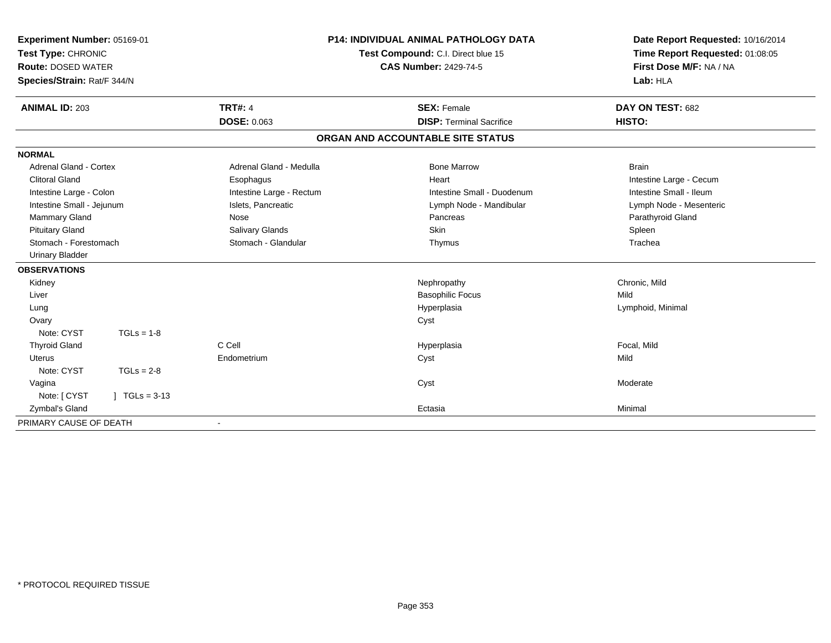| Experiment Number: 05169-01<br>Test Type: CHRONIC<br><b>Route: DOSED WATER</b><br>Species/Strain: Rat/F 344/N |                 | <b>P14: INDIVIDUAL ANIMAL PATHOLOGY DATA</b><br>Test Compound: C.I. Direct blue 15<br><b>CAS Number: 2429-74-5</b> |                                   | Date Report Requested: 10/16/2014<br>Time Report Requested: 01:08:05<br>First Dose M/F: NA / NA<br>Lab: HLA |  |
|---------------------------------------------------------------------------------------------------------------|-----------------|--------------------------------------------------------------------------------------------------------------------|-----------------------------------|-------------------------------------------------------------------------------------------------------------|--|
| <b>ANIMAL ID: 203</b>                                                                                         |                 | <b>TRT#: 4</b>                                                                                                     | <b>SEX: Female</b>                | DAY ON TEST: 682                                                                                            |  |
|                                                                                                               |                 | <b>DOSE: 0.063</b>                                                                                                 | <b>DISP: Terminal Sacrifice</b>   | HISTO:                                                                                                      |  |
|                                                                                                               |                 |                                                                                                                    | ORGAN AND ACCOUNTABLE SITE STATUS |                                                                                                             |  |
| <b>NORMAL</b>                                                                                                 |                 |                                                                                                                    |                                   |                                                                                                             |  |
| <b>Adrenal Gland - Cortex</b>                                                                                 |                 | Adrenal Gland - Medulla                                                                                            | <b>Bone Marrow</b>                | <b>Brain</b>                                                                                                |  |
| <b>Clitoral Gland</b>                                                                                         |                 | Esophagus                                                                                                          | Heart                             | Intestine Large - Cecum                                                                                     |  |
| Intestine Large - Colon                                                                                       |                 | Intestine Large - Rectum                                                                                           | Intestine Small - Duodenum        | Intestine Small - Ileum                                                                                     |  |
| Intestine Small - Jejunum                                                                                     |                 | Islets, Pancreatic                                                                                                 | Lymph Node - Mandibular           | Lymph Node - Mesenteric                                                                                     |  |
| Mammary Gland                                                                                                 |                 | Nose                                                                                                               | Pancreas                          | Parathyroid Gland                                                                                           |  |
| <b>Pituitary Gland</b>                                                                                        |                 | Salivary Glands                                                                                                    | <b>Skin</b>                       | Spleen                                                                                                      |  |
| Stomach - Forestomach                                                                                         |                 | Stomach - Glandular                                                                                                | Thymus                            | Trachea                                                                                                     |  |
| <b>Urinary Bladder</b>                                                                                        |                 |                                                                                                                    |                                   |                                                                                                             |  |
| <b>OBSERVATIONS</b>                                                                                           |                 |                                                                                                                    |                                   |                                                                                                             |  |
| Kidney                                                                                                        |                 |                                                                                                                    | Nephropathy                       | Chronic, Mild                                                                                               |  |
| Liver                                                                                                         |                 |                                                                                                                    | <b>Basophilic Focus</b>           | Mild                                                                                                        |  |
| Lung                                                                                                          |                 |                                                                                                                    | Hyperplasia                       | Lymphoid, Minimal                                                                                           |  |
| Ovary                                                                                                         |                 |                                                                                                                    | Cyst                              |                                                                                                             |  |
| Note: CYST                                                                                                    | $TGLs = 1-8$    |                                                                                                                    |                                   |                                                                                                             |  |
| <b>Thyroid Gland</b>                                                                                          |                 | C Cell                                                                                                             | Hyperplasia                       | Focal, Mild                                                                                                 |  |
| <b>Uterus</b>                                                                                                 |                 | Endometrium                                                                                                        | Cyst                              | Mild                                                                                                        |  |
| Note: CYST                                                                                                    | $TGLs = 2-8$    |                                                                                                                    |                                   |                                                                                                             |  |
| Vagina                                                                                                        |                 |                                                                                                                    | Cyst                              | Moderate                                                                                                    |  |
| Note: [ CYST                                                                                                  | $1 TGLs = 3-13$ |                                                                                                                    |                                   |                                                                                                             |  |
| Zymbal's Gland                                                                                                |                 |                                                                                                                    | Ectasia                           | Minimal                                                                                                     |  |
| PRIMARY CAUSE OF DEATH                                                                                        |                 | $\overline{\phantom{a}}$                                                                                           |                                   |                                                                                                             |  |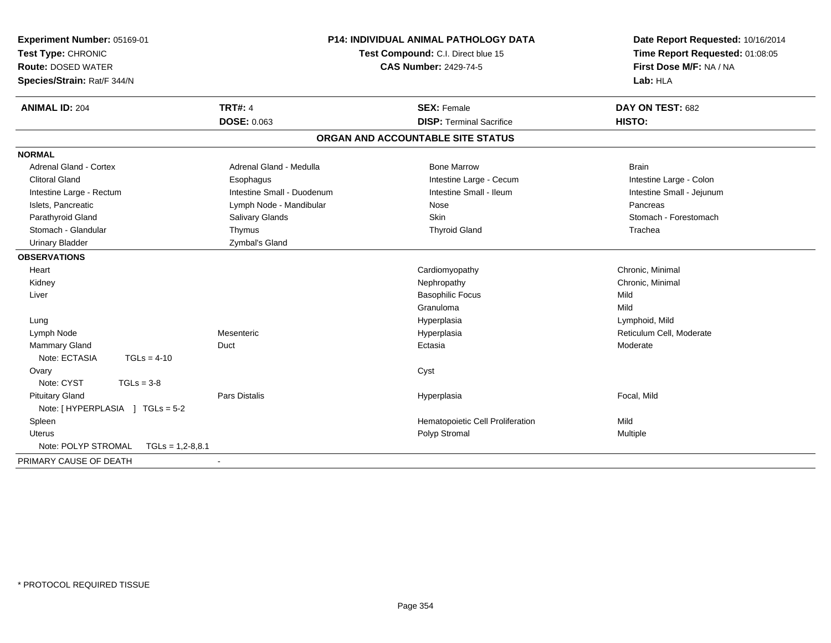| Experiment Number: 05169-01<br>Test Type: CHRONIC<br><b>Route: DOSED WATER</b><br>Species/Strain: Rat/F 344/N |                            | <b>P14: INDIVIDUAL ANIMAL PATHOLOGY DATA</b><br>Test Compound: C.I. Direct blue 15<br><b>CAS Number: 2429-74-5</b> | Date Report Requested: 10/16/2014<br>Time Report Requested: 01:08:05<br>First Dose M/F: NA / NA<br>Lab: HLA |
|---------------------------------------------------------------------------------------------------------------|----------------------------|--------------------------------------------------------------------------------------------------------------------|-------------------------------------------------------------------------------------------------------------|
| <b>ANIMAL ID: 204</b>                                                                                         | <b>TRT#: 4</b>             | <b>SEX: Female</b>                                                                                                 | DAY ON TEST: 682                                                                                            |
|                                                                                                               | DOSE: 0.063                | <b>DISP: Terminal Sacrifice</b>                                                                                    | HISTO:                                                                                                      |
|                                                                                                               |                            | ORGAN AND ACCOUNTABLE SITE STATUS                                                                                  |                                                                                                             |
| <b>NORMAL</b>                                                                                                 |                            |                                                                                                                    |                                                                                                             |
| <b>Adrenal Gland - Cortex</b>                                                                                 | Adrenal Gland - Medulla    | <b>Bone Marrow</b>                                                                                                 | <b>Brain</b>                                                                                                |
| <b>Clitoral Gland</b>                                                                                         | Esophagus                  | Intestine Large - Cecum                                                                                            | Intestine Large - Colon                                                                                     |
| Intestine Large - Rectum                                                                                      | Intestine Small - Duodenum | Intestine Small - Ileum                                                                                            | Intestine Small - Jejunum                                                                                   |
| Islets, Pancreatic                                                                                            | Lymph Node - Mandibular    | Nose                                                                                                               | Pancreas                                                                                                    |
| Parathyroid Gland                                                                                             | Salivary Glands            | <b>Skin</b>                                                                                                        | Stomach - Forestomach                                                                                       |
| Stomach - Glandular                                                                                           | Thymus                     | <b>Thyroid Gland</b>                                                                                               | Trachea                                                                                                     |
| <b>Urinary Bladder</b>                                                                                        | Zymbal's Gland             |                                                                                                                    |                                                                                                             |
| <b>OBSERVATIONS</b>                                                                                           |                            |                                                                                                                    |                                                                                                             |
| Heart                                                                                                         |                            | Cardiomyopathy                                                                                                     | Chronic, Minimal                                                                                            |
| Kidney                                                                                                        |                            | Nephropathy                                                                                                        | Chronic, Minimal                                                                                            |
| Liver                                                                                                         |                            | <b>Basophilic Focus</b>                                                                                            | Mild                                                                                                        |
|                                                                                                               |                            | Granuloma                                                                                                          | Mild                                                                                                        |
| Lung                                                                                                          |                            | Hyperplasia                                                                                                        | Lymphoid, Mild                                                                                              |
| Lymph Node                                                                                                    | Mesenteric                 | Hyperplasia                                                                                                        | Reticulum Cell, Moderate                                                                                    |
| <b>Mammary Gland</b>                                                                                          | Duct                       | Ectasia                                                                                                            | Moderate                                                                                                    |
| Note: ECTASIA<br>$TGLs = 4-10$                                                                                |                            |                                                                                                                    |                                                                                                             |
| Ovary                                                                                                         |                            | Cyst                                                                                                               |                                                                                                             |
| Note: CYST<br>$TGLs = 3-8$                                                                                    |                            |                                                                                                                    |                                                                                                             |
| <b>Pituitary Gland</b>                                                                                        | <b>Pars Distalis</b>       | Hyperplasia                                                                                                        | Focal, Mild                                                                                                 |
| Note: [HYPERPLASIA ] TGLs = 5-2                                                                               |                            |                                                                                                                    |                                                                                                             |
| Spleen                                                                                                        |                            | Hematopoietic Cell Proliferation                                                                                   | Mild                                                                                                        |
| <b>Uterus</b>                                                                                                 |                            | Polyp Stromal                                                                                                      | Multiple                                                                                                    |
| Note: POLYP STROMAL<br>$TGLs = 1,2-8,8.1$                                                                     |                            |                                                                                                                    |                                                                                                             |
| PRIMARY CAUSE OF DEATH                                                                                        | $\sim$                     |                                                                                                                    |                                                                                                             |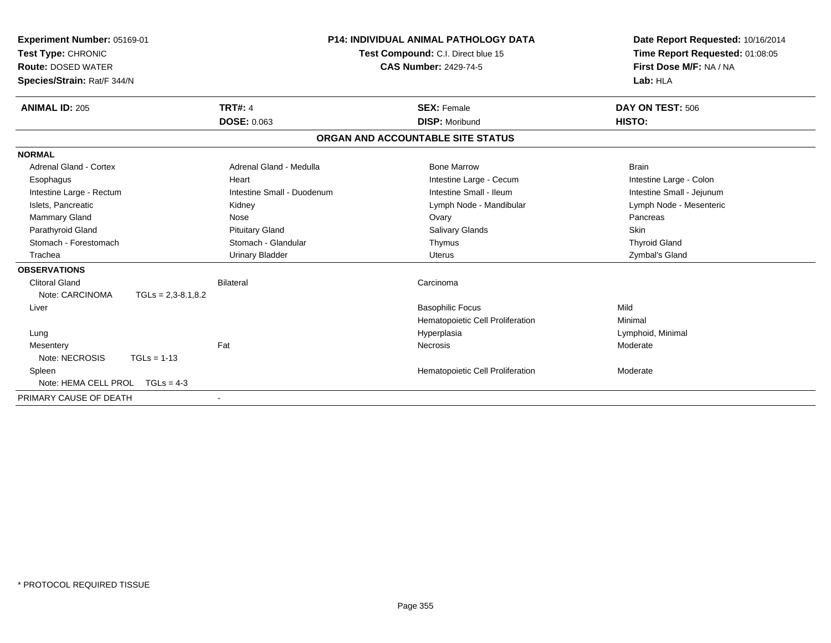| Experiment Number: 05169-01<br>Test Type: CHRONIC<br><b>Route: DOSED WATER</b><br>Species/Strain: Rat/F 344/N |                            | <b>P14: INDIVIDUAL ANIMAL PATHOLOGY DATA</b><br>Test Compound: C.I. Direct blue 15<br><b>CAS Number: 2429-74-5</b> | Date Report Requested: 10/16/2014<br>Time Report Requested: 01:08:05<br>First Dose M/F: NA / NA<br>Lab: HLA |
|---------------------------------------------------------------------------------------------------------------|----------------------------|--------------------------------------------------------------------------------------------------------------------|-------------------------------------------------------------------------------------------------------------|
| <b>ANIMAL ID: 205</b>                                                                                         | <b>TRT#: 4</b>             | <b>SEX: Female</b>                                                                                                 | DAY ON TEST: 506                                                                                            |
|                                                                                                               | <b>DOSE: 0.063</b>         | <b>DISP: Moribund</b>                                                                                              | HISTO:                                                                                                      |
|                                                                                                               |                            | ORGAN AND ACCOUNTABLE SITE STATUS                                                                                  |                                                                                                             |
| <b>NORMAL</b>                                                                                                 |                            |                                                                                                                    |                                                                                                             |
| Adrenal Gland - Cortex                                                                                        | Adrenal Gland - Medulla    | <b>Bone Marrow</b>                                                                                                 | <b>Brain</b>                                                                                                |
| Esophagus                                                                                                     | Heart                      | Intestine Large - Cecum                                                                                            | Intestine Large - Colon                                                                                     |
| Intestine Large - Rectum                                                                                      | Intestine Small - Duodenum | Intestine Small - Ileum                                                                                            | Intestine Small - Jejunum                                                                                   |
| Islets, Pancreatic                                                                                            | Kidney                     | Lymph Node - Mandibular                                                                                            | Lymph Node - Mesenteric                                                                                     |
| Mammary Gland                                                                                                 | Nose                       | Ovary                                                                                                              | Pancreas                                                                                                    |
| Parathyroid Gland                                                                                             | <b>Pituitary Gland</b>     | <b>Salivary Glands</b>                                                                                             | <b>Skin</b>                                                                                                 |
| Stomach - Forestomach                                                                                         | Stomach - Glandular        | Thymus                                                                                                             | <b>Thyroid Gland</b>                                                                                        |
| Trachea                                                                                                       | <b>Urinary Bladder</b>     | Uterus                                                                                                             | Zymbal's Gland                                                                                              |
| <b>OBSERVATIONS</b>                                                                                           |                            |                                                                                                                    |                                                                                                             |
| Clitoral Gland                                                                                                | <b>Bilateral</b>           | Carcinoma                                                                                                          |                                                                                                             |
| Note: CARCINOMA<br>$TGLs = 2,3-8.1,8.2$                                                                       |                            |                                                                                                                    |                                                                                                             |
| Liver                                                                                                         |                            | <b>Basophilic Focus</b>                                                                                            | Mild                                                                                                        |
|                                                                                                               |                            | Hematopoietic Cell Proliferation                                                                                   | Minimal                                                                                                     |
| Lung                                                                                                          |                            | Hyperplasia                                                                                                        | Lymphoid, Minimal                                                                                           |
| Mesentery                                                                                                     | Fat                        | <b>Necrosis</b>                                                                                                    | Moderate                                                                                                    |
| Note: NECROSIS<br>$TGLs = 1-13$                                                                               |                            |                                                                                                                    |                                                                                                             |
| Spleen                                                                                                        |                            | Hematopoietic Cell Proliferation                                                                                   | Moderate                                                                                                    |
| Note: HEMA CELL PROL<br>$TGLs = 4-3$                                                                          |                            |                                                                                                                    |                                                                                                             |
| PRIMARY CAUSE OF DEATH                                                                                        | $\blacksquare$             |                                                                                                                    |                                                                                                             |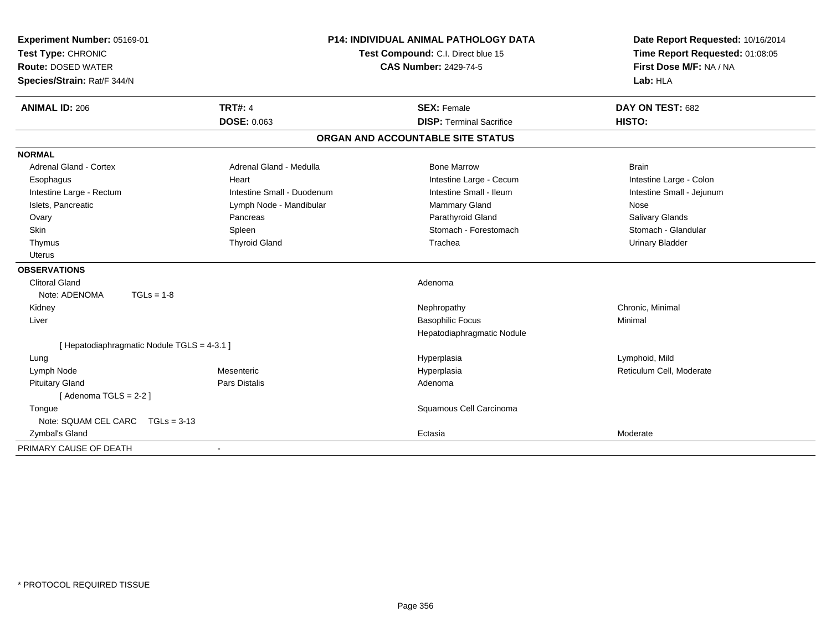| Experiment Number: 05169-01<br>Test Type: CHRONIC<br><b>Route: DOSED WATER</b><br>Species/Strain: Rat/F 344/N | <b>P14: INDIVIDUAL ANIMAL PATHOLOGY DATA</b><br>Test Compound: C.I. Direct blue 15<br><b>CAS Number: 2429-74-5</b> |                                   | Date Report Requested: 10/16/2014<br>Time Report Requested: 01:08:05<br>First Dose M/F: NA / NA<br>Lab: HLA |
|---------------------------------------------------------------------------------------------------------------|--------------------------------------------------------------------------------------------------------------------|-----------------------------------|-------------------------------------------------------------------------------------------------------------|
| <b>ANIMAL ID: 206</b>                                                                                         | <b>TRT#: 4</b>                                                                                                     | <b>SEX: Female</b>                | DAY ON TEST: 682                                                                                            |
|                                                                                                               | <b>DOSE: 0.063</b>                                                                                                 | <b>DISP: Terminal Sacrifice</b>   | HISTO:                                                                                                      |
|                                                                                                               |                                                                                                                    | ORGAN AND ACCOUNTABLE SITE STATUS |                                                                                                             |
| <b>NORMAL</b>                                                                                                 |                                                                                                                    |                                   |                                                                                                             |
| <b>Adrenal Gland - Cortex</b>                                                                                 | Adrenal Gland - Medulla                                                                                            | <b>Bone Marrow</b>                | <b>Brain</b>                                                                                                |
| Esophagus                                                                                                     | Heart                                                                                                              | Intestine Large - Cecum           | Intestine Large - Colon                                                                                     |
| Intestine Large - Rectum                                                                                      | Intestine Small - Duodenum                                                                                         | Intestine Small - Ileum           | Intestine Small - Jejunum                                                                                   |
| Islets, Pancreatic                                                                                            | Lymph Node - Mandibular                                                                                            | Mammary Gland                     | Nose                                                                                                        |
| Ovary                                                                                                         | Pancreas                                                                                                           | Parathyroid Gland                 | Salivary Glands                                                                                             |
| Skin                                                                                                          | Spleen                                                                                                             | Stomach - Forestomach             | Stomach - Glandular                                                                                         |
| Thymus                                                                                                        | <b>Thyroid Gland</b>                                                                                               | Trachea                           | <b>Urinary Bladder</b>                                                                                      |
| Uterus                                                                                                        |                                                                                                                    |                                   |                                                                                                             |
| <b>OBSERVATIONS</b>                                                                                           |                                                                                                                    |                                   |                                                                                                             |
| <b>Clitoral Gland</b>                                                                                         |                                                                                                                    | Adenoma                           |                                                                                                             |
| Note: ADENOMA<br>$TGLs = 1-8$                                                                                 |                                                                                                                    |                                   |                                                                                                             |
| Kidney                                                                                                        |                                                                                                                    | Nephropathy                       | Chronic, Minimal                                                                                            |
| Liver                                                                                                         |                                                                                                                    | <b>Basophilic Focus</b>           | Minimal                                                                                                     |
|                                                                                                               |                                                                                                                    | Hepatodiaphragmatic Nodule        |                                                                                                             |
| [ Hepatodiaphragmatic Nodule TGLS = 4-3.1 ]                                                                   |                                                                                                                    |                                   |                                                                                                             |
| Lung                                                                                                          |                                                                                                                    | Hyperplasia                       | Lymphoid, Mild                                                                                              |
| Lymph Node                                                                                                    | Mesenteric                                                                                                         | Hyperplasia                       | Reticulum Cell, Moderate                                                                                    |
| <b>Pituitary Gland</b>                                                                                        | <b>Pars Distalis</b>                                                                                               | Adenoma                           |                                                                                                             |
| [Adenoma TGLS = 2-2]                                                                                          |                                                                                                                    |                                   |                                                                                                             |
| Tongue                                                                                                        |                                                                                                                    | Squamous Cell Carcinoma           |                                                                                                             |
| Note: SQUAM CEL CARC TGLs = 3-13                                                                              |                                                                                                                    |                                   |                                                                                                             |
| Zymbal's Gland                                                                                                |                                                                                                                    | Ectasia                           | Moderate                                                                                                    |
| PRIMARY CAUSE OF DEATH                                                                                        |                                                                                                                    |                                   |                                                                                                             |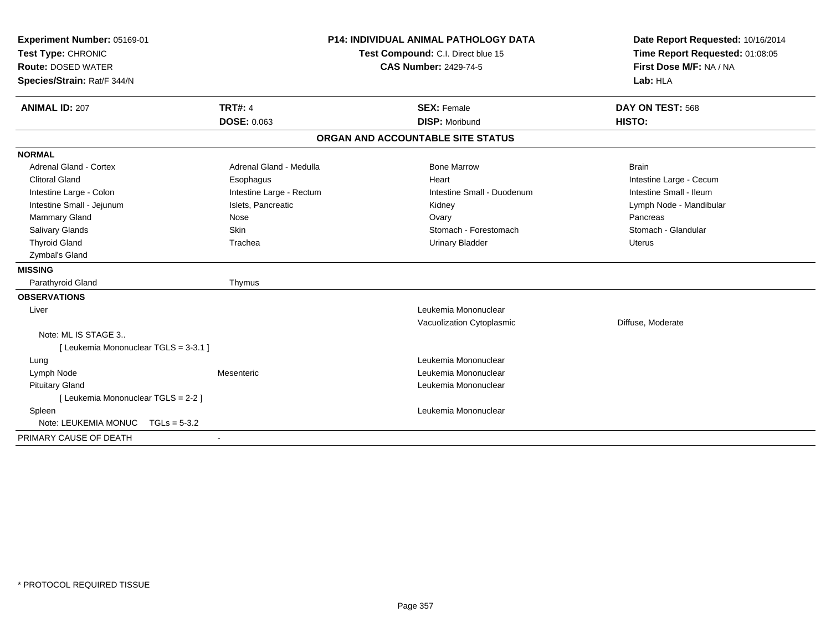| Experiment Number: 05169-01<br>Test Type: CHRONIC<br><b>Route: DOSED WATER</b><br>Species/Strain: Rat/F 344/N | <b>P14: INDIVIDUAL ANIMAL PATHOLOGY DATA</b><br>Test Compound: C.I. Direct blue 15<br><b>CAS Number: 2429-74-5</b> |                                             | Date Report Requested: 10/16/2014<br>Time Report Requested: 01:08:05<br>First Dose M/F: NA / NA<br>Lab: HLA |
|---------------------------------------------------------------------------------------------------------------|--------------------------------------------------------------------------------------------------------------------|---------------------------------------------|-------------------------------------------------------------------------------------------------------------|
| <b>ANIMAL ID: 207</b>                                                                                         | <b>TRT#: 4</b><br><b>DOSE: 0.063</b>                                                                               | <b>SEX: Female</b><br><b>DISP: Moribund</b> | DAY ON TEST: 568<br>HISTO:                                                                                  |
|                                                                                                               |                                                                                                                    | ORGAN AND ACCOUNTABLE SITE STATUS           |                                                                                                             |
| <b>NORMAL</b>                                                                                                 |                                                                                                                    |                                             |                                                                                                             |
| <b>Adrenal Gland - Cortex</b>                                                                                 | Adrenal Gland - Medulla                                                                                            | <b>Bone Marrow</b>                          | <b>Brain</b>                                                                                                |
| <b>Clitoral Gland</b>                                                                                         | Esophagus                                                                                                          | Heart                                       | Intestine Large - Cecum                                                                                     |
| Intestine Large - Colon                                                                                       | Intestine Large - Rectum                                                                                           | Intestine Small - Duodenum                  | Intestine Small - Ileum                                                                                     |
| Intestine Small - Jejunum                                                                                     | Islets, Pancreatic                                                                                                 | Kidney                                      | Lymph Node - Mandibular                                                                                     |
| Mammary Gland                                                                                                 | Nose                                                                                                               | Ovary                                       | Pancreas                                                                                                    |
| Salivary Glands                                                                                               | Skin                                                                                                               | Stomach - Forestomach                       | Stomach - Glandular                                                                                         |
| <b>Thyroid Gland</b>                                                                                          | Trachea                                                                                                            | <b>Urinary Bladder</b>                      | <b>Uterus</b>                                                                                               |
| Zymbal's Gland                                                                                                |                                                                                                                    |                                             |                                                                                                             |
| <b>MISSING</b>                                                                                                |                                                                                                                    |                                             |                                                                                                             |
| Parathyroid Gland                                                                                             | Thymus                                                                                                             |                                             |                                                                                                             |
| <b>OBSERVATIONS</b>                                                                                           |                                                                                                                    |                                             |                                                                                                             |
| Liver                                                                                                         |                                                                                                                    | Leukemia Mononuclear                        |                                                                                                             |
|                                                                                                               |                                                                                                                    | Vacuolization Cytoplasmic                   | Diffuse, Moderate                                                                                           |
| Note: ML IS STAGE 3                                                                                           |                                                                                                                    |                                             |                                                                                                             |
| [ Leukemia Mononuclear TGLS = 3-3.1 ]                                                                         |                                                                                                                    |                                             |                                                                                                             |
| Lung                                                                                                          |                                                                                                                    | Leukemia Mononuclear                        |                                                                                                             |
| Lymph Node                                                                                                    | Mesenteric                                                                                                         | Leukemia Mononuclear                        |                                                                                                             |
| <b>Pituitary Gland</b>                                                                                        |                                                                                                                    | Leukemia Mononuclear                        |                                                                                                             |
| [ Leukemia Mononuclear TGLS = 2-2 ]                                                                           |                                                                                                                    |                                             |                                                                                                             |
| Spleen                                                                                                        |                                                                                                                    | Leukemia Mononuclear                        |                                                                                                             |
| Note: LEUKEMIA MONUC<br>$TGLs = 5-3.2$                                                                        |                                                                                                                    |                                             |                                                                                                             |
| PRIMARY CAUSE OF DEATH                                                                                        | $\blacksquare$                                                                                                     |                                             |                                                                                                             |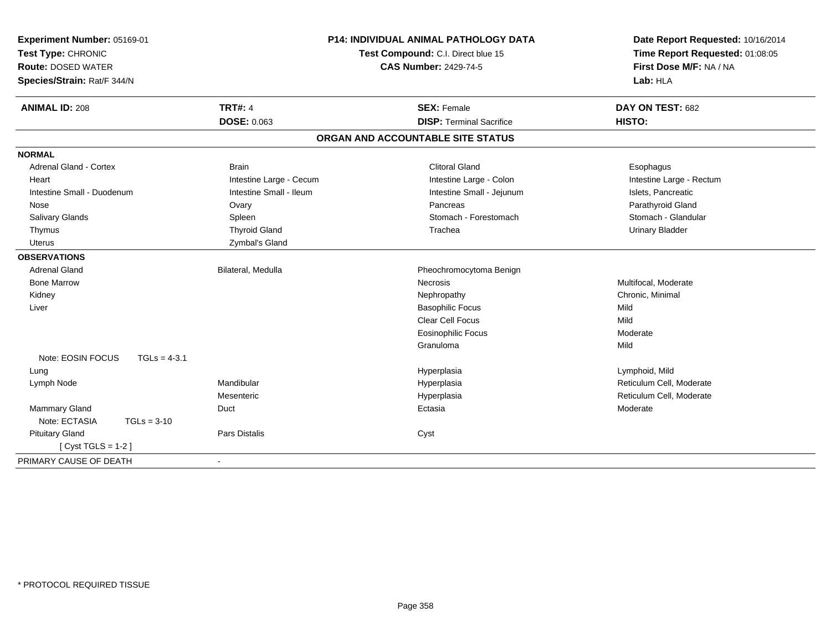| Experiment Number: 05169-01<br>Test Type: CHRONIC<br><b>Route: DOSED WATER</b><br>Species/Strain: Rat/F 344/N | <b>P14: INDIVIDUAL ANIMAL PATHOLOGY DATA</b><br>Test Compound: C.I. Direct blue 15<br><b>CAS Number: 2429-74-5</b> |                                   | Date Report Requested: 10/16/2014<br>Time Report Requested: 01:08:05<br>First Dose M/F: NA / NA<br>Lab: HLA |
|---------------------------------------------------------------------------------------------------------------|--------------------------------------------------------------------------------------------------------------------|-----------------------------------|-------------------------------------------------------------------------------------------------------------|
| <b>ANIMAL ID: 208</b>                                                                                         | <b>TRT#: 4</b>                                                                                                     | <b>SEX: Female</b>                | DAY ON TEST: 682                                                                                            |
|                                                                                                               | <b>DOSE: 0.063</b>                                                                                                 | <b>DISP: Terminal Sacrifice</b>   | <b>HISTO:</b>                                                                                               |
|                                                                                                               |                                                                                                                    | ORGAN AND ACCOUNTABLE SITE STATUS |                                                                                                             |
| <b>NORMAL</b>                                                                                                 |                                                                                                                    |                                   |                                                                                                             |
| <b>Adrenal Gland - Cortex</b>                                                                                 | <b>Brain</b>                                                                                                       | <b>Clitoral Gland</b>             | Esophagus                                                                                                   |
| Heart                                                                                                         | Intestine Large - Cecum                                                                                            | Intestine Large - Colon           | Intestine Large - Rectum                                                                                    |
| Intestine Small - Duodenum                                                                                    | Intestine Small - Ileum                                                                                            | Intestine Small - Jejunum         | Islets, Pancreatic                                                                                          |
| Nose                                                                                                          | Ovary                                                                                                              | Pancreas                          | Parathyroid Gland                                                                                           |
| Salivary Glands                                                                                               | Spleen                                                                                                             | Stomach - Forestomach             | Stomach - Glandular                                                                                         |
| Thymus                                                                                                        | <b>Thyroid Gland</b>                                                                                               | Trachea                           | <b>Urinary Bladder</b>                                                                                      |
| <b>Uterus</b>                                                                                                 | Zymbal's Gland                                                                                                     |                                   |                                                                                                             |
| <b>OBSERVATIONS</b>                                                                                           |                                                                                                                    |                                   |                                                                                                             |
| <b>Adrenal Gland</b>                                                                                          | Bilateral, Medulla                                                                                                 | Pheochromocytoma Benign           |                                                                                                             |
| <b>Bone Marrow</b>                                                                                            |                                                                                                                    | <b>Necrosis</b>                   | Multifocal, Moderate                                                                                        |
| Kidney                                                                                                        |                                                                                                                    | Nephropathy                       | Chronic, Minimal                                                                                            |
| Liver                                                                                                         |                                                                                                                    | <b>Basophilic Focus</b>           | Mild                                                                                                        |
|                                                                                                               |                                                                                                                    | Clear Cell Focus                  | Mild                                                                                                        |
|                                                                                                               |                                                                                                                    | <b>Eosinophilic Focus</b>         | Moderate                                                                                                    |
|                                                                                                               |                                                                                                                    | Granuloma                         | Mild                                                                                                        |
| Note: EOSIN FOCUS<br>$TGLs = 4-3.1$                                                                           |                                                                                                                    |                                   |                                                                                                             |
| Lung                                                                                                          |                                                                                                                    | Hyperplasia                       | Lymphoid, Mild                                                                                              |
| Lymph Node                                                                                                    | Mandibular                                                                                                         | Hyperplasia                       | Reticulum Cell, Moderate                                                                                    |
|                                                                                                               | Mesenteric                                                                                                         | Hyperplasia                       | Reticulum Cell, Moderate                                                                                    |
| <b>Mammary Gland</b>                                                                                          | Duct                                                                                                               | Ectasia                           | Moderate                                                                                                    |
| Note: ECTASIA<br>$TGLs = 3-10$                                                                                |                                                                                                                    |                                   |                                                                                                             |
| <b>Pituitary Gland</b>                                                                                        | <b>Pars Distalis</b>                                                                                               | Cyst                              |                                                                                                             |
| [ $Cyst TGLS = 1-2$ ]                                                                                         |                                                                                                                    |                                   |                                                                                                             |
| PRIMARY CAUSE OF DEATH                                                                                        |                                                                                                                    |                                   |                                                                                                             |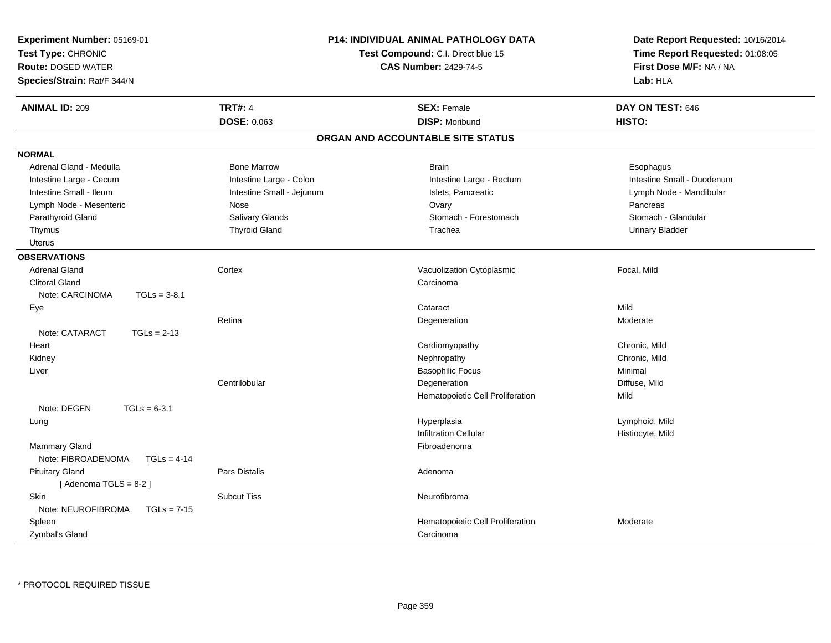| Experiment Number: 05169-01<br>Test Type: CHRONIC<br><b>Route: DOSED WATER</b><br>Species/Strain: Rat/F 344/N |                           | P14: INDIVIDUAL ANIMAL PATHOLOGY DATA<br>Test Compound: C.I. Direct blue 15<br><b>CAS Number: 2429-74-5</b> | Date Report Requested: 10/16/2014<br>Time Report Requested: 01:08:05<br>First Dose M/F: NA / NA<br>Lab: HLA |
|---------------------------------------------------------------------------------------------------------------|---------------------------|-------------------------------------------------------------------------------------------------------------|-------------------------------------------------------------------------------------------------------------|
| <b>ANIMAL ID: 209</b>                                                                                         | <b>TRT#: 4</b>            | <b>SEX: Female</b>                                                                                          | DAY ON TEST: 646                                                                                            |
|                                                                                                               | DOSE: 0.063               | <b>DISP: Moribund</b>                                                                                       | HISTO:                                                                                                      |
|                                                                                                               |                           | ORGAN AND ACCOUNTABLE SITE STATUS                                                                           |                                                                                                             |
| <b>NORMAL</b>                                                                                                 |                           |                                                                                                             |                                                                                                             |
| Adrenal Gland - Medulla                                                                                       | <b>Bone Marrow</b>        | <b>Brain</b>                                                                                                | Esophagus                                                                                                   |
| Intestine Large - Cecum                                                                                       | Intestine Large - Colon   | Intestine Large - Rectum                                                                                    | Intestine Small - Duodenum                                                                                  |
| Intestine Small - Ileum                                                                                       | Intestine Small - Jejunum | Islets, Pancreatic                                                                                          | Lymph Node - Mandibular                                                                                     |
| Lymph Node - Mesenteric                                                                                       | Nose                      | Ovary                                                                                                       | Pancreas                                                                                                    |
| Parathyroid Gland                                                                                             | Salivary Glands           | Stomach - Forestomach                                                                                       | Stomach - Glandular                                                                                         |
| Thymus                                                                                                        | <b>Thyroid Gland</b>      | Trachea                                                                                                     | <b>Urinary Bladder</b>                                                                                      |
| Uterus                                                                                                        |                           |                                                                                                             |                                                                                                             |
| <b>OBSERVATIONS</b>                                                                                           |                           |                                                                                                             |                                                                                                             |
| <b>Adrenal Gland</b>                                                                                          | Cortex                    | Vacuolization Cytoplasmic                                                                                   | Focal, Mild                                                                                                 |
| <b>Clitoral Gland</b>                                                                                         |                           | Carcinoma                                                                                                   |                                                                                                             |
| Note: CARCINOMA<br>$TGLs = 3-8.1$                                                                             |                           |                                                                                                             |                                                                                                             |
| Eye                                                                                                           |                           | Cataract                                                                                                    | Mild                                                                                                        |
|                                                                                                               | Retina                    | Degeneration                                                                                                | Moderate                                                                                                    |
| Note: CATARACT<br>$TGLs = 2-13$                                                                               |                           |                                                                                                             |                                                                                                             |
| Heart                                                                                                         |                           | Cardiomyopathy                                                                                              | Chronic, Mild                                                                                               |
| Kidney                                                                                                        |                           | Nephropathy                                                                                                 | Chronic, Mild                                                                                               |
| Liver                                                                                                         |                           | <b>Basophilic Focus</b>                                                                                     | Minimal                                                                                                     |
|                                                                                                               | Centrilobular             | Degeneration                                                                                                | Diffuse, Mild                                                                                               |
|                                                                                                               |                           | Hematopoietic Cell Proliferation                                                                            | Mild                                                                                                        |
| Note: DEGEN<br>$TGLs = 6-3.1$                                                                                 |                           |                                                                                                             |                                                                                                             |
| Lung                                                                                                          |                           | Hyperplasia                                                                                                 | Lymphoid, Mild                                                                                              |
|                                                                                                               |                           | <b>Infiltration Cellular</b>                                                                                | Histiocyte, Mild                                                                                            |
| <b>Mammary Gland</b>                                                                                          |                           | Fibroadenoma                                                                                                |                                                                                                             |
| Note: FIBROADENOMA<br>$TGLs = 4-14$                                                                           |                           |                                                                                                             |                                                                                                             |
| <b>Pituitary Gland</b>                                                                                        | <b>Pars Distalis</b>      | Adenoma                                                                                                     |                                                                                                             |
| [Adenoma TGLS = $8-2$ ]                                                                                       |                           |                                                                                                             |                                                                                                             |
| Skin                                                                                                          | <b>Subcut Tiss</b>        | Neurofibroma                                                                                                |                                                                                                             |
| Note: NEUROFIBROMA<br>$TGLs = 7-15$                                                                           |                           |                                                                                                             |                                                                                                             |
| Spleen                                                                                                        |                           | Hematopoietic Cell Proliferation                                                                            | Moderate                                                                                                    |
| Zymbal's Gland                                                                                                |                           | Carcinoma                                                                                                   |                                                                                                             |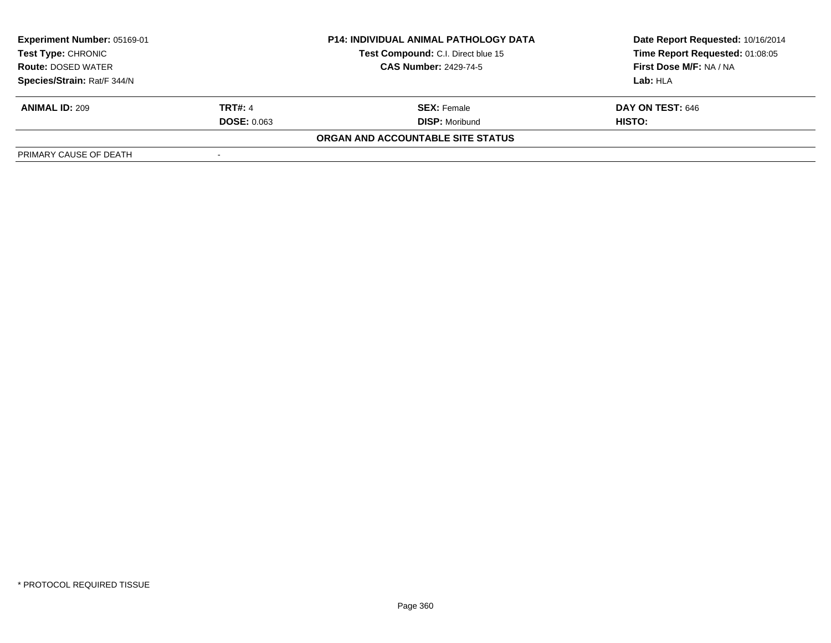| Experiment Number: 05169-01<br><b>P14: INDIVIDUAL ANIMAL PATHOLOGY DATA</b><br>Test Compound: C.I. Direct blue 15<br>Test Type: CHRONIC<br><b>CAS Number: 2429-74-5</b><br><b>Route: DOSED WATER</b> |                    |                                   | Date Report Requested: 10/16/2014 |
|------------------------------------------------------------------------------------------------------------------------------------------------------------------------------------------------------|--------------------|-----------------------------------|-----------------------------------|
|                                                                                                                                                                                                      |                    |                                   | Time Report Requested: 01:08:05   |
|                                                                                                                                                                                                      |                    |                                   | First Dose M/F: NA / NA           |
| Species/Strain: Rat/F 344/N                                                                                                                                                                          |                    |                                   | Lab: HLA                          |
| <b>ANIMAL ID: 209</b>                                                                                                                                                                                | <b>TRT#: 4</b>     | <b>SEX:</b> Female                | <b>DAY ON TEST: 646</b>           |
|                                                                                                                                                                                                      | <b>DOSE: 0.063</b> | <b>DISP: Moribund</b>             | HISTO:                            |
|                                                                                                                                                                                                      |                    | ORGAN AND ACCOUNTABLE SITE STATUS |                                   |
| PRIMARY CAUSE OF DEATH                                                                                                                                                                               |                    |                                   |                                   |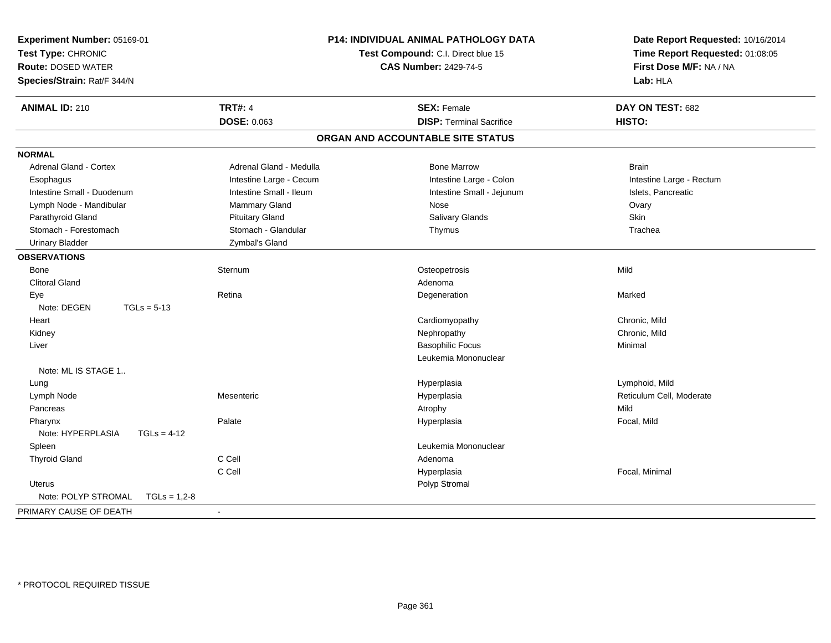| Experiment Number: 05169-01<br>Test Type: CHRONIC<br>Route: DOSED WATER<br>Species/Strain: Rat/F 344/N | <b>P14: INDIVIDUAL ANIMAL PATHOLOGY DATA</b><br>Test Compound: C.I. Direct blue 15<br><b>CAS Number: 2429-74-5</b> |                                   | Date Report Requested: 10/16/2014<br>Time Report Requested: 01:08:05<br>First Dose M/F: NA / NA<br>Lab: HLA |
|--------------------------------------------------------------------------------------------------------|--------------------------------------------------------------------------------------------------------------------|-----------------------------------|-------------------------------------------------------------------------------------------------------------|
| <b>ANIMAL ID: 210</b>                                                                                  | <b>TRT#: 4</b>                                                                                                     | <b>SEX: Female</b>                | DAY ON TEST: 682                                                                                            |
|                                                                                                        | DOSE: 0.063                                                                                                        | <b>DISP: Terminal Sacrifice</b>   | HISTO:                                                                                                      |
|                                                                                                        |                                                                                                                    | ORGAN AND ACCOUNTABLE SITE STATUS |                                                                                                             |
| <b>NORMAL</b>                                                                                          |                                                                                                                    |                                   |                                                                                                             |
| <b>Adrenal Gland - Cortex</b>                                                                          | Adrenal Gland - Medulla                                                                                            | <b>Bone Marrow</b>                | <b>Brain</b>                                                                                                |
| Esophagus                                                                                              | Intestine Large - Cecum                                                                                            | Intestine Large - Colon           | Intestine Large - Rectum                                                                                    |
| Intestine Small - Duodenum                                                                             | Intestine Small - Ileum                                                                                            | Intestine Small - Jejunum         | Islets, Pancreatic                                                                                          |
| Lymph Node - Mandibular                                                                                | <b>Mammary Gland</b>                                                                                               | Nose                              | Ovary                                                                                                       |
| Parathyroid Gland                                                                                      | <b>Pituitary Gland</b>                                                                                             | Salivary Glands                   | Skin                                                                                                        |
| Stomach - Forestomach                                                                                  | Stomach - Glandular                                                                                                | Thymus                            | Trachea                                                                                                     |
| <b>Urinary Bladder</b>                                                                                 | Zymbal's Gland                                                                                                     |                                   |                                                                                                             |
| <b>OBSERVATIONS</b>                                                                                    |                                                                                                                    |                                   |                                                                                                             |
| Bone                                                                                                   | Sternum                                                                                                            | Osteopetrosis                     | Mild                                                                                                        |
| <b>Clitoral Gland</b>                                                                                  |                                                                                                                    | Adenoma                           |                                                                                                             |
| Eye                                                                                                    | Retina                                                                                                             | Degeneration                      | Marked                                                                                                      |
| Note: DEGEN<br>$TGLs = 5-13$                                                                           |                                                                                                                    |                                   |                                                                                                             |
| Heart                                                                                                  |                                                                                                                    | Cardiomyopathy                    | Chronic, Mild                                                                                               |
| Kidney                                                                                                 |                                                                                                                    | Nephropathy                       | Chronic, Mild                                                                                               |
| Liver                                                                                                  |                                                                                                                    | <b>Basophilic Focus</b>           | Minimal                                                                                                     |
|                                                                                                        |                                                                                                                    | Leukemia Mononuclear              |                                                                                                             |
| Note: ML IS STAGE 1                                                                                    |                                                                                                                    |                                   |                                                                                                             |
| Lung                                                                                                   |                                                                                                                    | Hyperplasia                       | Lymphoid, Mild                                                                                              |
| Lymph Node                                                                                             | Mesenteric                                                                                                         | Hyperplasia                       | Reticulum Cell, Moderate                                                                                    |
| Pancreas                                                                                               |                                                                                                                    | Atrophy                           | Mild                                                                                                        |
| Pharynx                                                                                                | Palate                                                                                                             | Hyperplasia                       | Focal, Mild                                                                                                 |
| Note: HYPERPLASIA<br>$TGLs = 4-12$                                                                     |                                                                                                                    |                                   |                                                                                                             |
| Spleen                                                                                                 |                                                                                                                    | Leukemia Mononuclear              |                                                                                                             |
| <b>Thyroid Gland</b>                                                                                   | C Cell                                                                                                             | Adenoma                           |                                                                                                             |
|                                                                                                        | C Cell                                                                                                             | Hyperplasia                       | Focal, Minimal                                                                                              |
| Uterus                                                                                                 |                                                                                                                    | Polyp Stromal                     |                                                                                                             |
| Note: POLYP STROMAL<br>$TGLs = 1,2-8$                                                                  |                                                                                                                    |                                   |                                                                                                             |
| PRIMARY CAUSE OF DEATH                                                                                 | $\sim$                                                                                                             |                                   |                                                                                                             |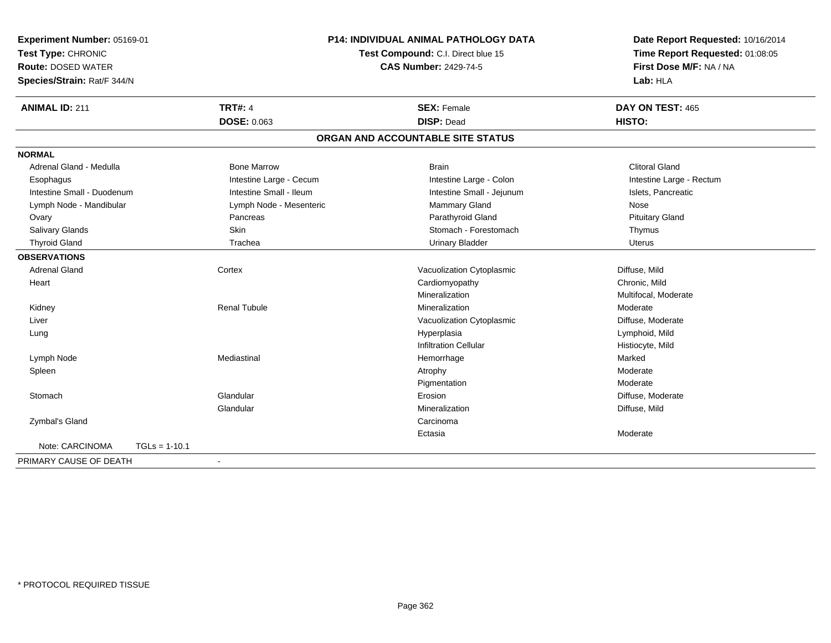| Experiment Number: 05169-01 |                 |                                    | <b>P14: INDIVIDUAL ANIMAL PATHOLOGY DATA</b> | Date Report Requested: 10/16/2014 |
|-----------------------------|-----------------|------------------------------------|----------------------------------------------|-----------------------------------|
| Test Type: CHRONIC          |                 | Test Compound: C.I. Direct blue 15 |                                              | Time Report Requested: 01:08:05   |
| <b>Route: DOSED WATER</b>   |                 |                                    | <b>CAS Number: 2429-74-5</b>                 | First Dose M/F: NA / NA           |
| Species/Strain: Rat/F 344/N |                 |                                    |                                              | Lab: HLA                          |
| <b>ANIMAL ID: 211</b>       |                 | <b>TRT#: 4</b>                     | <b>SEX: Female</b>                           | DAY ON TEST: 465                  |
|                             |                 | <b>DOSE: 0.063</b>                 | <b>DISP: Dead</b>                            | HISTO:                            |
|                             |                 |                                    | ORGAN AND ACCOUNTABLE SITE STATUS            |                                   |
| <b>NORMAL</b>               |                 |                                    |                                              |                                   |
| Adrenal Gland - Medulla     |                 | <b>Bone Marrow</b>                 | <b>Brain</b>                                 | <b>Clitoral Gland</b>             |
| Esophagus                   |                 | Intestine Large - Cecum            | Intestine Large - Colon                      | Intestine Large - Rectum          |
| Intestine Small - Duodenum  |                 | Intestine Small - Ileum            | Intestine Small - Jejunum                    | Islets, Pancreatic                |
| Lymph Node - Mandibular     |                 | Lymph Node - Mesenteric            | Mammary Gland                                | Nose                              |
| Ovary                       |                 | Pancreas                           | Parathyroid Gland                            | <b>Pituitary Gland</b>            |
| Salivary Glands             |                 | <b>Skin</b>                        | Stomach - Forestomach                        | Thymus                            |
| <b>Thyroid Gland</b>        |                 | Trachea                            | <b>Urinary Bladder</b>                       | <b>Uterus</b>                     |
| <b>OBSERVATIONS</b>         |                 |                                    |                                              |                                   |
| <b>Adrenal Gland</b>        |                 | Cortex                             | Vacuolization Cytoplasmic                    | Diffuse, Mild                     |
| Heart                       |                 |                                    | Cardiomyopathy                               | Chronic, Mild                     |
|                             |                 |                                    | Mineralization                               | Multifocal, Moderate              |
| Kidney                      |                 | <b>Renal Tubule</b>                | Mineralization                               | Moderate                          |
| Liver                       |                 |                                    | Vacuolization Cytoplasmic                    | Diffuse, Moderate                 |
| Lung                        |                 |                                    | Hyperplasia                                  | Lymphoid, Mild                    |
|                             |                 |                                    | <b>Infiltration Cellular</b>                 | Histiocyte, Mild                  |
| Lymph Node                  |                 | Mediastinal                        | Hemorrhage                                   | Marked                            |
| Spleen                      |                 |                                    | Atrophy                                      | Moderate                          |
|                             |                 |                                    | Pigmentation                                 | Moderate                          |
| Stomach                     |                 | Glandular                          | Erosion                                      | Diffuse, Moderate                 |
|                             |                 | Glandular                          | Mineralization                               | Diffuse, Mild                     |
| Zymbal's Gland              |                 |                                    | Carcinoma                                    |                                   |
|                             |                 |                                    | Ectasia                                      | Moderate                          |
| Note: CARCINOMA             | $TGLs = 1-10.1$ |                                    |                                              |                                   |
| PRIMARY CAUSE OF DEATH      |                 |                                    |                                              |                                   |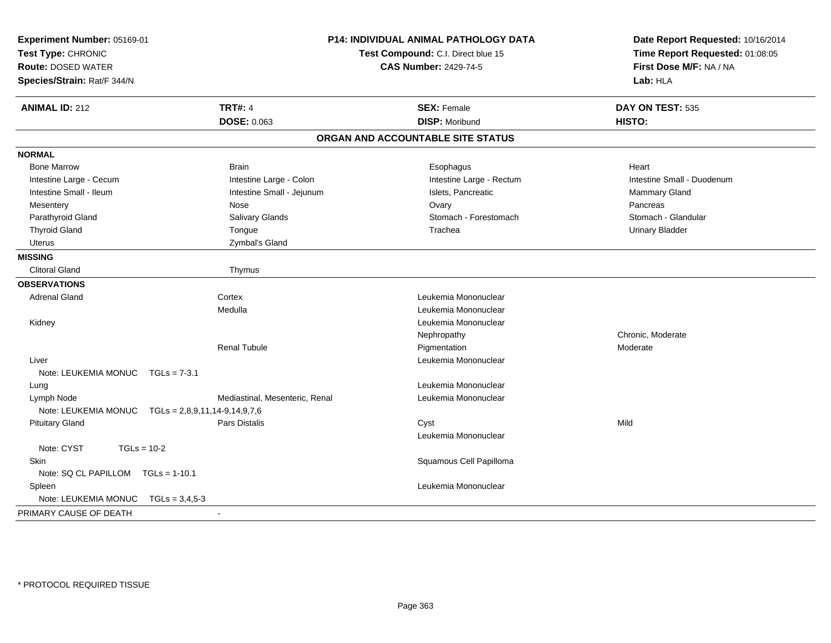| Experiment Number: 05169-01<br>Test Type: CHRONIC<br><b>Route: DOSED WATER</b><br>Species/Strain: Rat/F 344/N |                                 | P14: INDIVIDUAL ANIMAL PATHOLOGY DATA<br>Test Compound: C.I. Direct blue 15<br><b>CAS Number: 2429-74-5</b> | Date Report Requested: 10/16/2014<br>Time Report Requested: 01:08:05<br>First Dose M/F: NA / NA<br>Lab: HLA |
|---------------------------------------------------------------------------------------------------------------|---------------------------------|-------------------------------------------------------------------------------------------------------------|-------------------------------------------------------------------------------------------------------------|
| <b>ANIMAL ID: 212</b>                                                                                         | <b>TRT#: 4</b>                  | <b>SEX: Female</b>                                                                                          | DAY ON TEST: 535                                                                                            |
|                                                                                                               | <b>DOSE: 0.063</b>              | <b>DISP: Moribund</b>                                                                                       | HISTO:                                                                                                      |
|                                                                                                               |                                 | ORGAN AND ACCOUNTABLE SITE STATUS                                                                           |                                                                                                             |
| <b>NORMAL</b>                                                                                                 |                                 |                                                                                                             |                                                                                                             |
| <b>Bone Marrow</b>                                                                                            | <b>Brain</b>                    | Esophagus                                                                                                   | Heart                                                                                                       |
| Intestine Large - Cecum                                                                                       | Intestine Large - Colon         | Intestine Large - Rectum                                                                                    | Intestine Small - Duodenum                                                                                  |
| Intestine Small - Ileum                                                                                       | Intestine Small - Jejunum       | Islets, Pancreatic                                                                                          | <b>Mammary Gland</b>                                                                                        |
| Mesentery                                                                                                     | Nose                            | Ovary                                                                                                       | Pancreas                                                                                                    |
| Parathyroid Gland                                                                                             | Salivary Glands                 | Stomach - Forestomach                                                                                       | Stomach - Glandular                                                                                         |
| <b>Thyroid Gland</b>                                                                                          | Tongue                          | Trachea                                                                                                     | <b>Urinary Bladder</b>                                                                                      |
| <b>Uterus</b>                                                                                                 | Zymbal's Gland                  |                                                                                                             |                                                                                                             |
| <b>MISSING</b>                                                                                                |                                 |                                                                                                             |                                                                                                             |
| <b>Clitoral Gland</b>                                                                                         | Thymus                          |                                                                                                             |                                                                                                             |
| <b>OBSERVATIONS</b>                                                                                           |                                 |                                                                                                             |                                                                                                             |
| <b>Adrenal Gland</b>                                                                                          | Cortex                          | Leukemia Mononuclear                                                                                        |                                                                                                             |
|                                                                                                               | Medulla                         | Leukemia Mononuclear                                                                                        |                                                                                                             |
| Kidney                                                                                                        |                                 | Leukemia Mononuclear                                                                                        |                                                                                                             |
|                                                                                                               |                                 | Nephropathy                                                                                                 | Chronic, Moderate                                                                                           |
|                                                                                                               | <b>Renal Tubule</b>             | Pigmentation                                                                                                | Moderate                                                                                                    |
| Liver                                                                                                         |                                 | Leukemia Mononuclear                                                                                        |                                                                                                             |
| Note: LEUKEMIA MONUC TGLs = 7-3.1                                                                             |                                 |                                                                                                             |                                                                                                             |
| Lung                                                                                                          |                                 | Leukemia Mononuclear                                                                                        |                                                                                                             |
| Lymph Node                                                                                                    | Mediastinal, Mesenteric, Renal  | Leukemia Mononuclear                                                                                        |                                                                                                             |
| Note: LEUKEMIA MONUC                                                                                          | $TGLs = 2,8,9,11,14-9,14,9,7,6$ |                                                                                                             |                                                                                                             |
| <b>Pituitary Gland</b>                                                                                        | Pars Distalis                   | Cyst                                                                                                        | Mild                                                                                                        |
|                                                                                                               |                                 | Leukemia Mononuclear                                                                                        |                                                                                                             |
| Note: CYST<br>$TGLs = 10-2$<br>Skin                                                                           |                                 | Squamous Cell Papilloma                                                                                     |                                                                                                             |
| Note: SQ CL PAPILLOM TGLs = 1-10.1                                                                            |                                 |                                                                                                             |                                                                                                             |
| Spleen                                                                                                        |                                 | Leukemia Mononuclear                                                                                        |                                                                                                             |
| Note: LEUKEMIA MONUC<br>$TGLs = 3,4,5-3$                                                                      |                                 |                                                                                                             |                                                                                                             |
| PRIMARY CAUSE OF DEATH                                                                                        |                                 |                                                                                                             |                                                                                                             |
|                                                                                                               |                                 |                                                                                                             |                                                                                                             |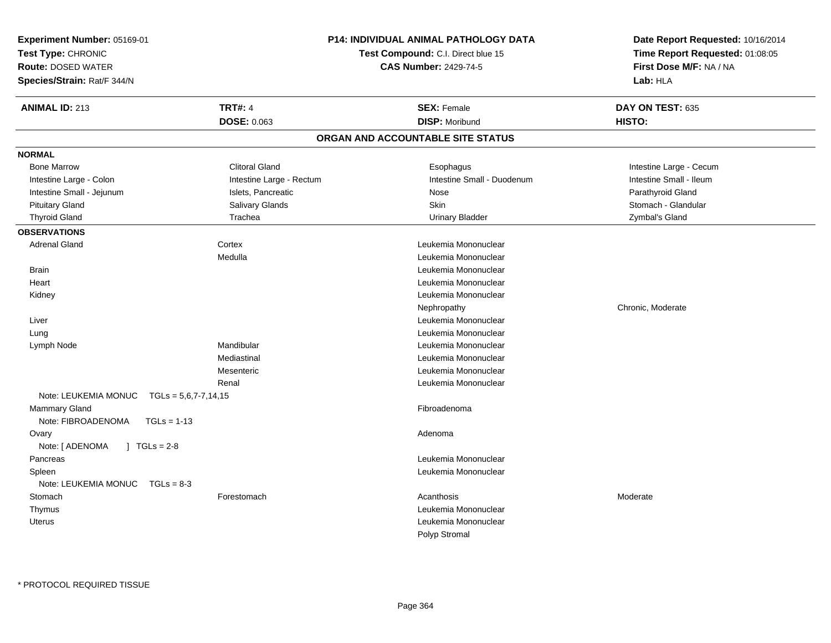| Experiment Number: 05169-01                    |                                    | <b>P14: INDIVIDUAL ANIMAL PATHOLOGY DATA</b> | Date Report Requested: 10/16/2014 |
|------------------------------------------------|------------------------------------|----------------------------------------------|-----------------------------------|
| Test Type: CHRONIC                             | Test Compound: C.I. Direct blue 15 |                                              | Time Report Requested: 01:08:05   |
| <b>Route: DOSED WATER</b>                      |                                    | <b>CAS Number: 2429-74-5</b>                 | First Dose M/F: NA / NA           |
| Species/Strain: Rat/F 344/N                    |                                    |                                              | Lab: HLA                          |
| <b>ANIMAL ID: 213</b>                          | <b>TRT#: 4</b>                     | <b>SEX: Female</b>                           | DAY ON TEST: 635                  |
|                                                | DOSE: 0.063                        | <b>DISP: Moribund</b>                        | HISTO:                            |
|                                                |                                    | ORGAN AND ACCOUNTABLE SITE STATUS            |                                   |
| <b>NORMAL</b>                                  |                                    |                                              |                                   |
| <b>Bone Marrow</b>                             | <b>Clitoral Gland</b>              | Esophagus                                    | Intestine Large - Cecum           |
| Intestine Large - Colon                        | Intestine Large - Rectum           | Intestine Small - Duodenum                   | Intestine Small - Ileum           |
| Intestine Small - Jejunum                      | Islets, Pancreatic                 | Nose                                         | Parathyroid Gland                 |
| <b>Pituitary Gland</b>                         | Salivary Glands                    | <b>Skin</b>                                  | Stomach - Glandular               |
| <b>Thyroid Gland</b>                           | Trachea                            | <b>Urinary Bladder</b>                       | Zymbal's Gland                    |
| <b>OBSERVATIONS</b>                            |                                    |                                              |                                   |
| <b>Adrenal Gland</b>                           | Cortex                             | Leukemia Mononuclear                         |                                   |
|                                                | Medulla                            | Leukemia Mononuclear                         |                                   |
| <b>Brain</b>                                   |                                    | Leukemia Mononuclear                         |                                   |
| Heart                                          |                                    | Leukemia Mononuclear                         |                                   |
| Kidney                                         |                                    | Leukemia Mononuclear                         |                                   |
|                                                |                                    | Nephropathy                                  | Chronic, Moderate                 |
| Liver                                          |                                    | Leukemia Mononuclear                         |                                   |
| Lung                                           |                                    | Leukemia Mononuclear                         |                                   |
| Lymph Node                                     | Mandibular                         | Leukemia Mononuclear                         |                                   |
|                                                | Mediastinal                        | Leukemia Mononuclear                         |                                   |
|                                                | Mesenteric                         | Leukemia Mononuclear                         |                                   |
|                                                | Renal                              | Leukemia Mononuclear                         |                                   |
| Note: LEUKEMIA MONUC<br>$TGLs = 5,6,7-7,14,15$ |                                    |                                              |                                   |
| Mammary Gland                                  |                                    | Fibroadenoma                                 |                                   |
| Note: FIBROADENOMA<br>$TGLs = 1-13$            |                                    |                                              |                                   |
| Ovary                                          |                                    | Adenoma                                      |                                   |
| $1 TGLs = 2-8$<br>Note: [ ADENOMA              |                                    |                                              |                                   |
| Pancreas                                       |                                    | Leukemia Mononuclear                         |                                   |
| Spleen                                         |                                    | Leukemia Mononuclear                         |                                   |
| Note: LEUKEMIA MONUC<br>$TGLs = 8-3$           |                                    |                                              |                                   |
| Stomach                                        | Forestomach                        | Acanthosis                                   | Moderate                          |
| Thymus                                         |                                    | Leukemia Mononuclear                         |                                   |
| <b>Uterus</b>                                  |                                    | Leukemia Mononuclear<br>Polyp Stromal        |                                   |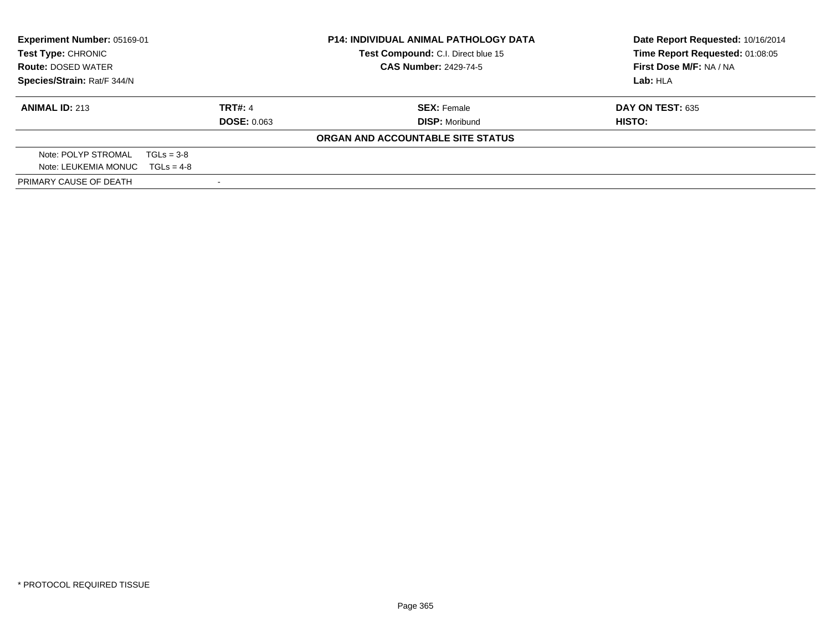| Experiment Number: 05169-01<br>Test Compound: C.I. Direct blue 15<br>Test Type: CHRONIC<br><b>CAS Number: 2429-74-5</b><br><b>Route: DOSED WATER</b> |                    | <b>P14: INDIVIDUAL ANIMAL PATHOLOGY DATA</b> | Date Report Requested: 10/16/2014<br>Time Report Requested: 01:08:05 |
|------------------------------------------------------------------------------------------------------------------------------------------------------|--------------------|----------------------------------------------|----------------------------------------------------------------------|
|                                                                                                                                                      |                    |                                              | First Dose M/F: NA / NA                                              |
| Species/Strain: Rat/F 344/N                                                                                                                          |                    | Lab: HLA                                     |                                                                      |
| <b>ANIMAL ID: 213</b>                                                                                                                                | <b>TRT#: 4</b>     | <b>SEX: Female</b>                           | <b>DAY ON TEST: 635</b>                                              |
|                                                                                                                                                      | <b>DOSE: 0.063</b> | <b>DISP: Moribund</b>                        | HISTO:                                                               |
|                                                                                                                                                      |                    | ORGAN AND ACCOUNTABLE SITE STATUS            |                                                                      |
| Note: POLYP STROMAL                                                                                                                                  | $TGLs = 3-8$       |                                              |                                                                      |
| Note: LEUKEMIA MONUC $TGLs = 4-8$                                                                                                                    |                    |                                              |                                                                      |
| PRIMARY CAUSE OF DEATH                                                                                                                               |                    |                                              |                                                                      |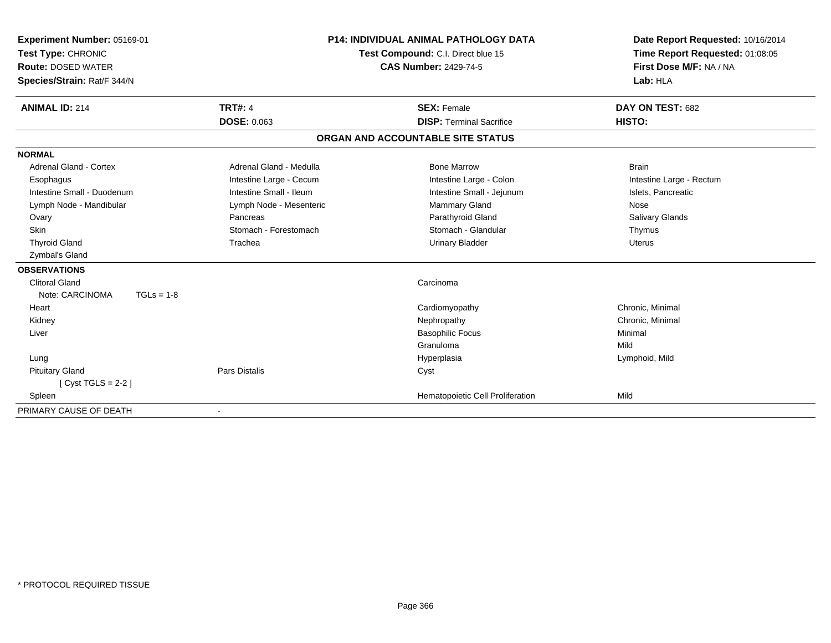| <b>Experiment Number: 05169-01</b><br>Test Type: CHRONIC<br><b>Route: DOSED WATER</b><br>Species/Strain: Rat/F 344/N |                         | <b>P14: INDIVIDUAL ANIMAL PATHOLOGY DATA</b><br>Test Compound: C.I. Direct blue 15<br><b>CAS Number: 2429-74-5</b> | Date Report Requested: 10/16/2014<br>Time Report Requested: 01:08:05<br>First Dose M/F: NA / NA<br>Lab: HLA |
|----------------------------------------------------------------------------------------------------------------------|-------------------------|--------------------------------------------------------------------------------------------------------------------|-------------------------------------------------------------------------------------------------------------|
| <b>ANIMAL ID: 214</b>                                                                                                | <b>TRT#: 4</b>          | <b>SEX: Female</b>                                                                                                 | DAY ON TEST: 682                                                                                            |
|                                                                                                                      | DOSE: 0.063             | <b>DISP: Terminal Sacrifice</b>                                                                                    | HISTO:                                                                                                      |
|                                                                                                                      |                         | ORGAN AND ACCOUNTABLE SITE STATUS                                                                                  |                                                                                                             |
| <b>NORMAL</b>                                                                                                        |                         |                                                                                                                    |                                                                                                             |
| <b>Adrenal Gland - Cortex</b>                                                                                        | Adrenal Gland - Medulla | <b>Bone Marrow</b>                                                                                                 | <b>Brain</b>                                                                                                |
| Esophagus                                                                                                            | Intestine Large - Cecum | Intestine Large - Colon                                                                                            | Intestine Large - Rectum                                                                                    |
| Intestine Small - Duodenum                                                                                           | Intestine Small - Ileum | Intestine Small - Jejunum                                                                                          | Islets, Pancreatic                                                                                          |
| Lymph Node - Mandibular                                                                                              | Lymph Node - Mesenteric | Mammary Gland                                                                                                      | Nose                                                                                                        |
| Ovary                                                                                                                | Pancreas                | Parathyroid Gland                                                                                                  | <b>Salivary Glands</b>                                                                                      |
| <b>Skin</b>                                                                                                          | Stomach - Forestomach   | Stomach - Glandular                                                                                                | Thymus                                                                                                      |
| <b>Thyroid Gland</b>                                                                                                 | Trachea                 | <b>Urinary Bladder</b>                                                                                             | <b>Uterus</b>                                                                                               |
| Zymbal's Gland                                                                                                       |                         |                                                                                                                    |                                                                                                             |
| <b>OBSERVATIONS</b>                                                                                                  |                         |                                                                                                                    |                                                                                                             |
| <b>Clitoral Gland</b>                                                                                                |                         | Carcinoma                                                                                                          |                                                                                                             |
| Note: CARCINOMA<br>$TGLs = 1-8$                                                                                      |                         |                                                                                                                    |                                                                                                             |
| Heart                                                                                                                |                         | Cardiomyopathy                                                                                                     | Chronic, Minimal                                                                                            |
| Kidney                                                                                                               |                         | Nephropathy                                                                                                        | Chronic, Minimal                                                                                            |
| Liver                                                                                                                |                         | <b>Basophilic Focus</b>                                                                                            | Minimal                                                                                                     |
|                                                                                                                      |                         | Granuloma                                                                                                          | Mild                                                                                                        |
| Lung                                                                                                                 |                         | Hyperplasia                                                                                                        | Lymphoid, Mild                                                                                              |
| <b>Pituitary Gland</b>                                                                                               | <b>Pars Distalis</b>    | Cyst                                                                                                               |                                                                                                             |
| $[Cyst TGLS = 2-2]$                                                                                                  |                         |                                                                                                                    |                                                                                                             |
| Spleen                                                                                                               |                         | Hematopoietic Cell Proliferation                                                                                   | Mild                                                                                                        |
| PRIMARY CAUSE OF DEATH                                                                                               |                         |                                                                                                                    |                                                                                                             |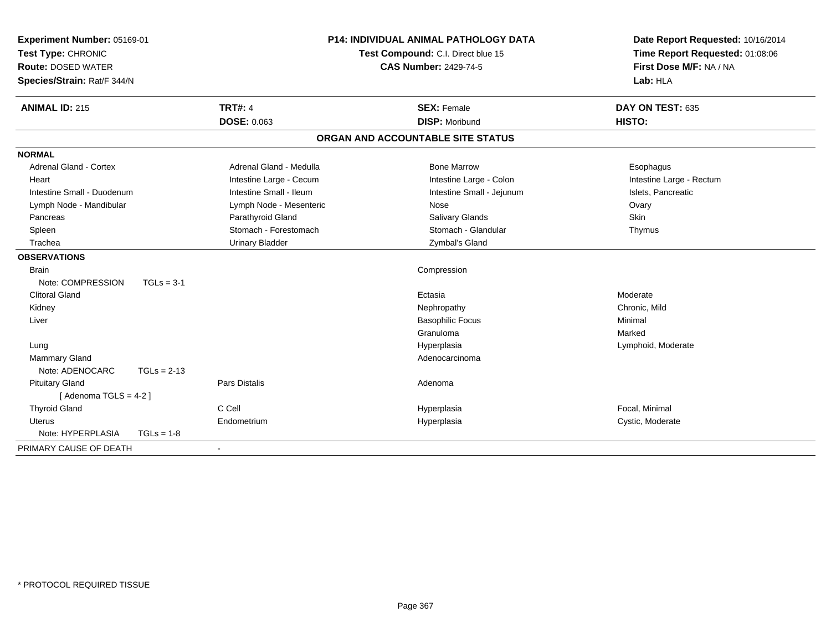| Experiment Number: 05169-01<br>Test Type: CHRONIC<br><b>Route: DOSED WATER</b><br>Species/Strain: Rat/F 344/N |               |                         | <b>P14: INDIVIDUAL ANIMAL PATHOLOGY DATA</b><br>Test Compound: C.I. Direct blue 15<br><b>CAS Number: 2429-74-5</b> | Date Report Requested: 10/16/2014<br>Time Report Requested: 01:08:06<br>First Dose M/F: NA / NA<br>Lab: HLA |
|---------------------------------------------------------------------------------------------------------------|---------------|-------------------------|--------------------------------------------------------------------------------------------------------------------|-------------------------------------------------------------------------------------------------------------|
| <b>ANIMAL ID: 215</b>                                                                                         |               | <b>TRT#: 4</b>          | <b>SEX: Female</b>                                                                                                 | DAY ON TEST: 635                                                                                            |
|                                                                                                               |               | <b>DOSE: 0.063</b>      | <b>DISP: Moribund</b>                                                                                              | HISTO:                                                                                                      |
|                                                                                                               |               |                         | ORGAN AND ACCOUNTABLE SITE STATUS                                                                                  |                                                                                                             |
| <b>NORMAL</b>                                                                                                 |               |                         |                                                                                                                    |                                                                                                             |
| <b>Adrenal Gland - Cortex</b>                                                                                 |               | Adrenal Gland - Medulla | <b>Bone Marrow</b>                                                                                                 | Esophagus                                                                                                   |
| Heart                                                                                                         |               | Intestine Large - Cecum | Intestine Large - Colon                                                                                            | Intestine Large - Rectum                                                                                    |
| Intestine Small - Duodenum                                                                                    |               | Intestine Small - Ileum | Intestine Small - Jejunum                                                                                          | Islets, Pancreatic                                                                                          |
| Lymph Node - Mandibular                                                                                       |               | Lymph Node - Mesenteric | Nose                                                                                                               | Ovary                                                                                                       |
| Pancreas                                                                                                      |               | Parathyroid Gland       | <b>Salivary Glands</b>                                                                                             | <b>Skin</b>                                                                                                 |
| Spleen                                                                                                        |               | Stomach - Forestomach   | Stomach - Glandular                                                                                                | Thymus                                                                                                      |
| Trachea                                                                                                       |               | <b>Urinary Bladder</b>  | Zymbal's Gland                                                                                                     |                                                                                                             |
| <b>OBSERVATIONS</b>                                                                                           |               |                         |                                                                                                                    |                                                                                                             |
| <b>Brain</b>                                                                                                  |               |                         | Compression                                                                                                        |                                                                                                             |
| Note: COMPRESSION                                                                                             | $TGLs = 3-1$  |                         |                                                                                                                    |                                                                                                             |
| <b>Clitoral Gland</b>                                                                                         |               |                         | Ectasia                                                                                                            | Moderate                                                                                                    |
| Kidney                                                                                                        |               |                         | Nephropathy                                                                                                        | Chronic, Mild                                                                                               |
| Liver                                                                                                         |               |                         | <b>Basophilic Focus</b>                                                                                            | Minimal                                                                                                     |
|                                                                                                               |               |                         | Granuloma                                                                                                          | Marked                                                                                                      |
| Lung                                                                                                          |               |                         | Hyperplasia                                                                                                        | Lymphoid, Moderate                                                                                          |
| <b>Mammary Gland</b>                                                                                          |               |                         | Adenocarcinoma                                                                                                     |                                                                                                             |
| Note: ADENOCARC                                                                                               | $TGLs = 2-13$ |                         |                                                                                                                    |                                                                                                             |
| <b>Pituitary Gland</b>                                                                                        |               | <b>Pars Distalis</b>    | Adenoma                                                                                                            |                                                                                                             |
| [Adenoma TGLS = $4-2$ ]                                                                                       |               |                         |                                                                                                                    |                                                                                                             |
| <b>Thyroid Gland</b>                                                                                          |               | C Cell                  | Hyperplasia                                                                                                        | Focal, Minimal                                                                                              |
| Uterus                                                                                                        |               | Endometrium             | Hyperplasia                                                                                                        | Cystic, Moderate                                                                                            |
| Note: HYPERPLASIA                                                                                             | $TGLs = 1-8$  |                         |                                                                                                                    |                                                                                                             |
| PRIMARY CAUSE OF DEATH                                                                                        |               |                         |                                                                                                                    |                                                                                                             |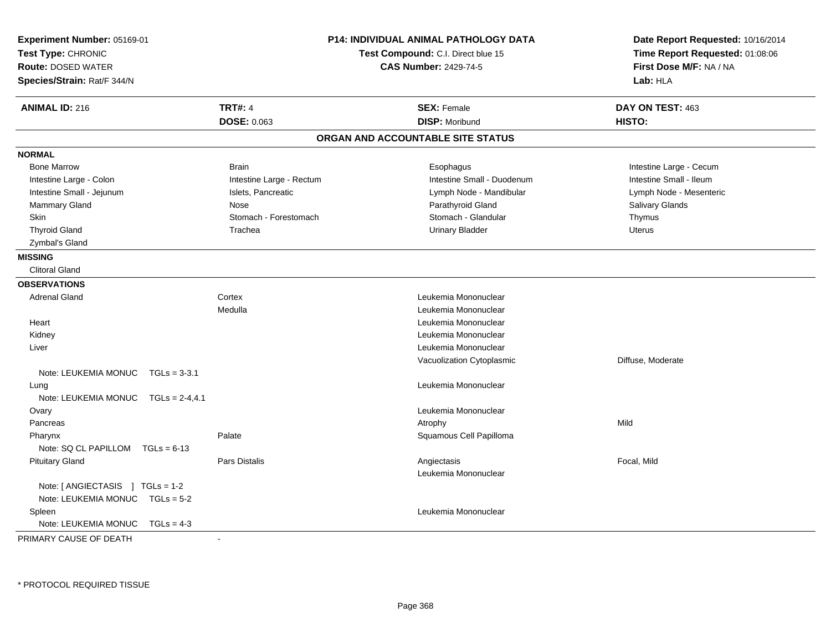| Experiment Number: 05169-01<br>Test Type: CHRONIC<br><b>Route: DOSED WATER</b><br>Species/Strain: Rat/F 344/N |                          | <b>P14: INDIVIDUAL ANIMAL PATHOLOGY DATA</b><br>Test Compound: C.I. Direct blue 15<br><b>CAS Number: 2429-74-5</b> | Date Report Requested: 10/16/2014<br>Time Report Requested: 01:08:06<br>First Dose M/F: NA / NA<br>Lab: HLA |
|---------------------------------------------------------------------------------------------------------------|--------------------------|--------------------------------------------------------------------------------------------------------------------|-------------------------------------------------------------------------------------------------------------|
| <b>ANIMAL ID: 216</b>                                                                                         | <b>TRT#: 4</b>           | <b>SEX: Female</b>                                                                                                 | DAY ON TEST: 463                                                                                            |
|                                                                                                               | <b>DOSE: 0.063</b>       | <b>DISP: Moribund</b>                                                                                              | HISTO:                                                                                                      |
|                                                                                                               |                          | ORGAN AND ACCOUNTABLE SITE STATUS                                                                                  |                                                                                                             |
| <b>NORMAL</b>                                                                                                 |                          |                                                                                                                    |                                                                                                             |
| <b>Bone Marrow</b>                                                                                            | <b>Brain</b>             | Esophagus                                                                                                          | Intestine Large - Cecum                                                                                     |
| Intestine Large - Colon                                                                                       | Intestine Large - Rectum | Intestine Small - Duodenum                                                                                         | Intestine Small - Ileum                                                                                     |
| Intestine Small - Jejunum                                                                                     | Islets, Pancreatic       | Lymph Node - Mandibular                                                                                            | Lymph Node - Mesenteric                                                                                     |
| Mammary Gland                                                                                                 | Nose                     | Parathyroid Gland                                                                                                  | Salivary Glands                                                                                             |
| <b>Skin</b>                                                                                                   | Stomach - Forestomach    | Stomach - Glandular                                                                                                | Thymus                                                                                                      |
| <b>Thyroid Gland</b>                                                                                          | Trachea                  | <b>Urinary Bladder</b>                                                                                             | Uterus                                                                                                      |
| Zymbal's Gland                                                                                                |                          |                                                                                                                    |                                                                                                             |
| <b>MISSING</b>                                                                                                |                          |                                                                                                                    |                                                                                                             |
| <b>Clitoral Gland</b>                                                                                         |                          |                                                                                                                    |                                                                                                             |
| <b>OBSERVATIONS</b>                                                                                           |                          |                                                                                                                    |                                                                                                             |
| <b>Adrenal Gland</b>                                                                                          | Cortex                   | Leukemia Mononuclear                                                                                               |                                                                                                             |
|                                                                                                               | Medulla                  | Leukemia Mononuclear                                                                                               |                                                                                                             |
| Heart                                                                                                         |                          | Leukemia Mononuclear                                                                                               |                                                                                                             |
| Kidney                                                                                                        |                          | Leukemia Mononuclear                                                                                               |                                                                                                             |
| Liver                                                                                                         |                          | Leukemia Mononuclear                                                                                               |                                                                                                             |
|                                                                                                               |                          | Vacuolization Cytoplasmic                                                                                          | Diffuse, Moderate                                                                                           |
| Note: LEUKEMIA MONUC TGLs = 3-3.1                                                                             |                          |                                                                                                                    |                                                                                                             |
| Lung                                                                                                          |                          | Leukemia Mononuclear                                                                                               |                                                                                                             |
| Note: LEUKEMIA MONUC $TGLs = 2-4, 4.1$                                                                        |                          |                                                                                                                    |                                                                                                             |
| Ovary                                                                                                         |                          | Leukemia Mononuclear                                                                                               |                                                                                                             |
| Pancreas                                                                                                      |                          | Atrophy                                                                                                            | Mild                                                                                                        |
| Pharynx                                                                                                       | Palate                   | Squamous Cell Papilloma                                                                                            |                                                                                                             |
| Note: SQ CL PAPILLOM TGLs = 6-13                                                                              |                          |                                                                                                                    |                                                                                                             |
| <b>Pituitary Gland</b>                                                                                        | <b>Pars Distalis</b>     | Angiectasis                                                                                                        | Focal, Mild                                                                                                 |
|                                                                                                               |                          | Leukemia Mononuclear                                                                                               |                                                                                                             |
| Note: $[$ ANGIECTASIS $]$ TGLs = 1-2                                                                          |                          |                                                                                                                    |                                                                                                             |
| Note: LEUKEMIA MONUC TGLs = 5-2                                                                               |                          |                                                                                                                    |                                                                                                             |
| Spleen                                                                                                        |                          | Leukemia Mononuclear                                                                                               |                                                                                                             |
| Note: LEUKEMIA MONUC<br>$TGLs = 4-3$                                                                          |                          |                                                                                                                    |                                                                                                             |
| PRIMARY CAUSE OF DEATH                                                                                        | $\sim$                   |                                                                                                                    |                                                                                                             |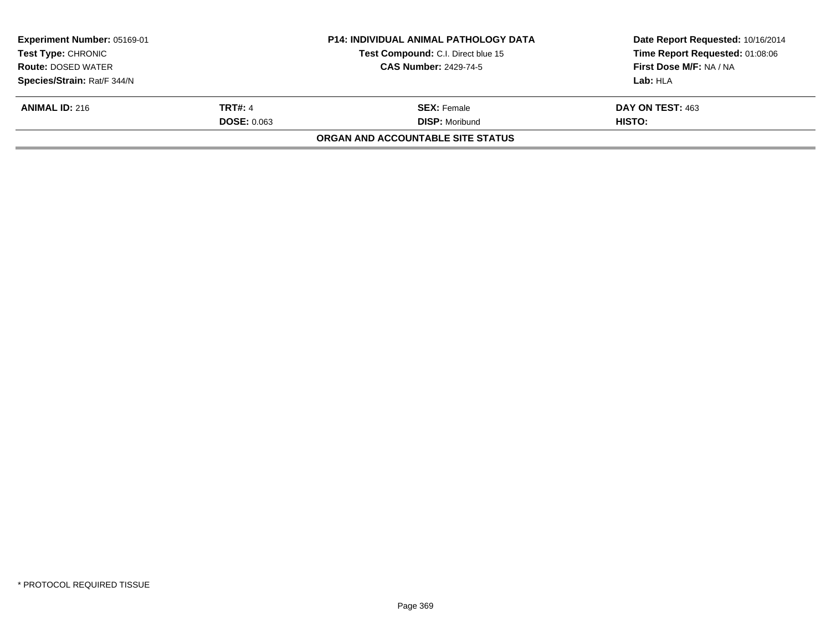| <b>Experiment Number: 05169-01</b> |                    | <b>P14: INDIVIDUAL ANIMAL PATHOLOGY DATA</b> | Date Report Requested: 10/16/2014 |  |
|------------------------------------|--------------------|----------------------------------------------|-----------------------------------|--|
| Test Type: CHRONIC                 |                    | Test Compound: C.I. Direct blue 15           | Time Report Requested: 01:08:06   |  |
| <b>Route: DOSED WATER</b>          |                    | <b>CAS Number: 2429-74-5</b>                 | First Dose M/F: NA / NA           |  |
| Species/Strain: Rat/F 344/N        |                    |                                              | Lab: HLA                          |  |
| <b>ANIMAL ID: 216</b>              | <b>TRT#: 4</b>     | <b>SEX: Female</b>                           | DAY ON TEST: 463                  |  |
|                                    | <b>DOSE: 0.063</b> | <b>DISP: Moribund</b>                        | HISTO:                            |  |
|                                    |                    | <b>ORGAN AND ACCOUNTABLE SITE STATUS</b>     |                                   |  |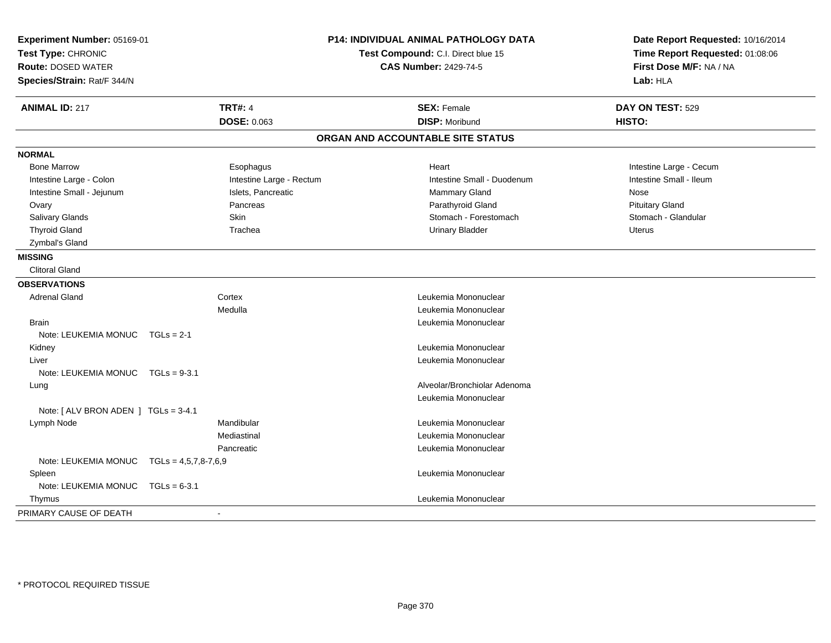| Experiment Number: 05169-01<br>Test Type: CHRONIC<br><b>Route: DOSED WATER</b><br>Species/Strain: Rat/F 344/N |                          | P14: INDIVIDUAL ANIMAL PATHOLOGY DATA<br>Test Compound: C.I. Direct blue 15<br><b>CAS Number: 2429-74-5</b> | Date Report Requested: 10/16/2014<br>Time Report Requested: 01:08:06<br>First Dose M/F: NA / NA<br>Lab: HLA |
|---------------------------------------------------------------------------------------------------------------|--------------------------|-------------------------------------------------------------------------------------------------------------|-------------------------------------------------------------------------------------------------------------|
| <b>ANIMAL ID: 217</b>                                                                                         | <b>TRT#: 4</b>           | <b>SEX: Female</b>                                                                                          | DAY ON TEST: 529                                                                                            |
|                                                                                                               | DOSE: 0.063              | <b>DISP: Moribund</b>                                                                                       | HISTO:                                                                                                      |
|                                                                                                               |                          | ORGAN AND ACCOUNTABLE SITE STATUS                                                                           |                                                                                                             |
| <b>NORMAL</b>                                                                                                 |                          |                                                                                                             |                                                                                                             |
| <b>Bone Marrow</b>                                                                                            | Esophagus                | Heart                                                                                                       | Intestine Large - Cecum                                                                                     |
| Intestine Large - Colon                                                                                       | Intestine Large - Rectum | Intestine Small - Duodenum                                                                                  | Intestine Small - Ileum                                                                                     |
| Intestine Small - Jejunum                                                                                     | Islets, Pancreatic       | Mammary Gland                                                                                               | Nose                                                                                                        |
| Ovary                                                                                                         | Pancreas                 | Parathyroid Gland                                                                                           | <b>Pituitary Gland</b>                                                                                      |
| Salivary Glands                                                                                               | <b>Skin</b>              | Stomach - Forestomach                                                                                       | Stomach - Glandular                                                                                         |
| <b>Thyroid Gland</b>                                                                                          | Trachea                  | <b>Urinary Bladder</b>                                                                                      | <b>Uterus</b>                                                                                               |
| Zymbal's Gland                                                                                                |                          |                                                                                                             |                                                                                                             |
| <b>MISSING</b>                                                                                                |                          |                                                                                                             |                                                                                                             |
| <b>Clitoral Gland</b>                                                                                         |                          |                                                                                                             |                                                                                                             |
| <b>OBSERVATIONS</b>                                                                                           |                          |                                                                                                             |                                                                                                             |
| <b>Adrenal Gland</b>                                                                                          | Cortex                   | Leukemia Mononuclear                                                                                        |                                                                                                             |
|                                                                                                               | Medulla                  | Leukemia Mononuclear                                                                                        |                                                                                                             |
| <b>Brain</b>                                                                                                  |                          | Leukemia Mononuclear                                                                                        |                                                                                                             |
| Note: LEUKEMIA MONUC                                                                                          | $TGLs = 2-1$             |                                                                                                             |                                                                                                             |
| Kidney                                                                                                        |                          | Leukemia Mononuclear                                                                                        |                                                                                                             |
| Liver                                                                                                         |                          | Leukemia Mononuclear                                                                                        |                                                                                                             |
| Note: LEUKEMIA MONUC                                                                                          | $TGLs = 9-3.1$           |                                                                                                             |                                                                                                             |
| Lung                                                                                                          |                          | Alveolar/Bronchiolar Adenoma                                                                                |                                                                                                             |
|                                                                                                               |                          | Leukemia Mononuclear                                                                                        |                                                                                                             |
| Note: [ ALV BRON ADEN ] TGLs = 3-4.1                                                                          |                          |                                                                                                             |                                                                                                             |
| Lymph Node                                                                                                    | Mandibular               | Leukemia Mononuclear                                                                                        |                                                                                                             |
|                                                                                                               | Mediastinal              | Leukemia Mononuclear                                                                                        |                                                                                                             |
|                                                                                                               | Pancreatic               | Leukemia Mononuclear                                                                                        |                                                                                                             |
| Note: LEUKEMIA MONUC TGLs = 4,5,7,8-7,6,9                                                                     |                          |                                                                                                             |                                                                                                             |
| Spleen                                                                                                        |                          | Leukemia Mononuclear                                                                                        |                                                                                                             |
| Note: LEUKEMIA MONUC                                                                                          | $TGLs = 6-3.1$           |                                                                                                             |                                                                                                             |
| Thymus                                                                                                        |                          | Leukemia Mononuclear                                                                                        |                                                                                                             |
| PRIMARY CAUSE OF DEATH                                                                                        |                          |                                                                                                             |                                                                                                             |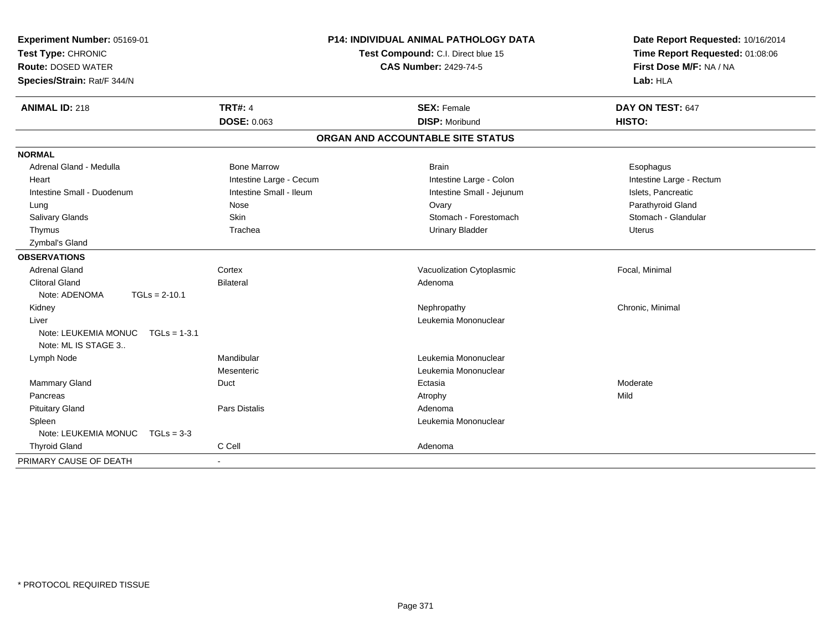| Experiment Number: 05169-01<br>Test Type: CHRONIC<br><b>Route: DOSED WATER</b><br>Species/Strain: Rat/F 344/N                                                               |                                                                                                               | P14: INDIVIDUAL ANIMAL PATHOLOGY DATA<br>Test Compound: C.I. Direct blue 15<br><b>CAS Number: 2429-74-5</b>                                                   | Date Report Requested: 10/16/2014<br>Time Report Requested: 01:08:06<br>First Dose M/F: NA / NA<br>Lab: HLA                                |
|-----------------------------------------------------------------------------------------------------------------------------------------------------------------------------|---------------------------------------------------------------------------------------------------------------|---------------------------------------------------------------------------------------------------------------------------------------------------------------|--------------------------------------------------------------------------------------------------------------------------------------------|
| <b>ANIMAL ID: 218</b>                                                                                                                                                       | <b>TRT#: 4</b><br><b>DOSE: 0.063</b>                                                                          | <b>SEX: Female</b><br><b>DISP: Moribund</b>                                                                                                                   | DAY ON TEST: 647<br>HISTO:                                                                                                                 |
|                                                                                                                                                                             |                                                                                                               | ORGAN AND ACCOUNTABLE SITE STATUS                                                                                                                             |                                                                                                                                            |
| <b>NORMAL</b>                                                                                                                                                               |                                                                                                               |                                                                                                                                                               |                                                                                                                                            |
| Adrenal Gland - Medulla<br>Heart<br>Intestine Small - Duodenum<br>Lung<br><b>Salivary Glands</b><br>Thymus<br>Zymbal's Gland<br><b>OBSERVATIONS</b><br><b>Adrenal Gland</b> | <b>Bone Marrow</b><br>Intestine Large - Cecum<br>Intestine Small - Ileum<br>Nose<br>Skin<br>Trachea<br>Cortex | <b>Brain</b><br>Intestine Large - Colon<br>Intestine Small - Jejunum<br>Ovary<br>Stomach - Forestomach<br><b>Urinary Bladder</b><br>Vacuolization Cytoplasmic | Esophagus<br>Intestine Large - Rectum<br>Islets, Pancreatic<br>Parathyroid Gland<br>Stomach - Glandular<br><b>Uterus</b><br>Focal, Minimal |
| <b>Clitoral Gland</b><br>Note: ADENOMA<br>$TGLs = 2-10.1$                                                                                                                   | <b>Bilateral</b>                                                                                              | Adenoma                                                                                                                                                       |                                                                                                                                            |
| Kidney<br>Liver<br>Note: LEUKEMIA MONUC<br>$TGLs = 1-3.1$<br>Note: ML IS STAGE 3                                                                                            |                                                                                                               | Nephropathy<br>Leukemia Mononuclear                                                                                                                           | Chronic, Minimal                                                                                                                           |
| Lymph Node                                                                                                                                                                  | Mandibular<br>Mesenteric                                                                                      | Leukemia Mononuclear<br>Leukemia Mononuclear                                                                                                                  |                                                                                                                                            |
| Mammary Gland<br>Pancreas                                                                                                                                                   | Duct                                                                                                          | Ectasia<br>Atrophy                                                                                                                                            | Moderate<br>Mild                                                                                                                           |
| <b>Pituitary Gland</b><br>Spleen<br>Note: LEUKEMIA MONUC<br>$TGLs = 3-3$                                                                                                    | <b>Pars Distalis</b>                                                                                          | Adenoma<br>Leukemia Mononuclear                                                                                                                               |                                                                                                                                            |
| <b>Thyroid Gland</b>                                                                                                                                                        | C Cell                                                                                                        | Adenoma                                                                                                                                                       |                                                                                                                                            |
| PRIMARY CAUSE OF DEATH                                                                                                                                                      | $\blacksquare$                                                                                                |                                                                                                                                                               |                                                                                                                                            |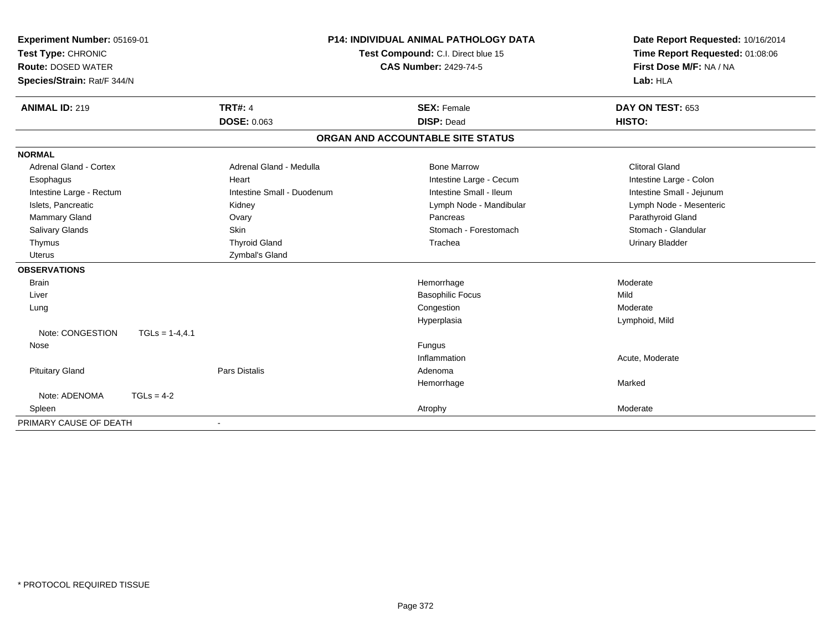| <b>Experiment Number: 05169-01</b><br>Test Type: CHRONIC<br><b>Route: DOSED WATER</b> |                  |                            | <b>P14: INDIVIDUAL ANIMAL PATHOLOGY DATA</b> | Date Report Requested: 10/16/2014 |
|---------------------------------------------------------------------------------------|------------------|----------------------------|----------------------------------------------|-----------------------------------|
|                                                                                       |                  |                            | Test Compound: C.I. Direct blue 15           | Time Report Requested: 01:08:06   |
|                                                                                       |                  |                            | <b>CAS Number: 2429-74-5</b>                 | First Dose M/F: NA / NA           |
| Species/Strain: Rat/F 344/N                                                           |                  |                            |                                              | Lab: HLA                          |
| <b>ANIMAL ID: 219</b>                                                                 |                  | <b>TRT#: 4</b>             | <b>SEX: Female</b>                           | DAY ON TEST: 653                  |
|                                                                                       |                  | <b>DOSE: 0.063</b>         | <b>DISP: Dead</b>                            | HISTO:                            |
|                                                                                       |                  |                            | ORGAN AND ACCOUNTABLE SITE STATUS            |                                   |
| <b>NORMAL</b>                                                                         |                  |                            |                                              |                                   |
| <b>Adrenal Gland - Cortex</b>                                                         |                  | Adrenal Gland - Medulla    | <b>Bone Marrow</b>                           | <b>Clitoral Gland</b>             |
| Esophagus                                                                             |                  | Heart                      | Intestine Large - Cecum                      | Intestine Large - Colon           |
| Intestine Large - Rectum                                                              |                  | Intestine Small - Duodenum | Intestine Small - Ileum                      | Intestine Small - Jejunum         |
| Islets, Pancreatic                                                                    |                  | Kidney                     | Lymph Node - Mandibular                      | Lymph Node - Mesenteric           |
| Mammary Gland                                                                         |                  | Ovary                      | Pancreas                                     | Parathyroid Gland                 |
| Salivary Glands                                                                       |                  | <b>Skin</b>                | Stomach - Forestomach                        | Stomach - Glandular               |
| Thymus                                                                                |                  | <b>Thyroid Gland</b>       | Trachea                                      | <b>Urinary Bladder</b>            |
| <b>Uterus</b>                                                                         |                  | Zymbal's Gland             |                                              |                                   |
| <b>OBSERVATIONS</b>                                                                   |                  |                            |                                              |                                   |
| <b>Brain</b>                                                                          |                  |                            | Hemorrhage                                   | Moderate                          |
| Liver                                                                                 |                  |                            | <b>Basophilic Focus</b>                      | Mild                              |
| Lung                                                                                  |                  |                            | Congestion                                   | Moderate                          |
|                                                                                       |                  |                            | Hyperplasia                                  | Lymphoid, Mild                    |
| Note: CONGESTION                                                                      | $TGLs = 1-4,4.1$ |                            |                                              |                                   |
| Nose                                                                                  |                  |                            | Fungus                                       |                                   |
|                                                                                       |                  |                            | Inflammation                                 | Acute, Moderate                   |
| <b>Pituitary Gland</b>                                                                |                  | <b>Pars Distalis</b>       | Adenoma                                      |                                   |
|                                                                                       |                  |                            | Hemorrhage                                   | Marked                            |
| Note: ADENOMA                                                                         | $TGLs = 4-2$     |                            |                                              |                                   |
| Spleen                                                                                |                  |                            | Atrophy                                      | Moderate                          |
| PRIMARY CAUSE OF DEATH                                                                |                  |                            |                                              |                                   |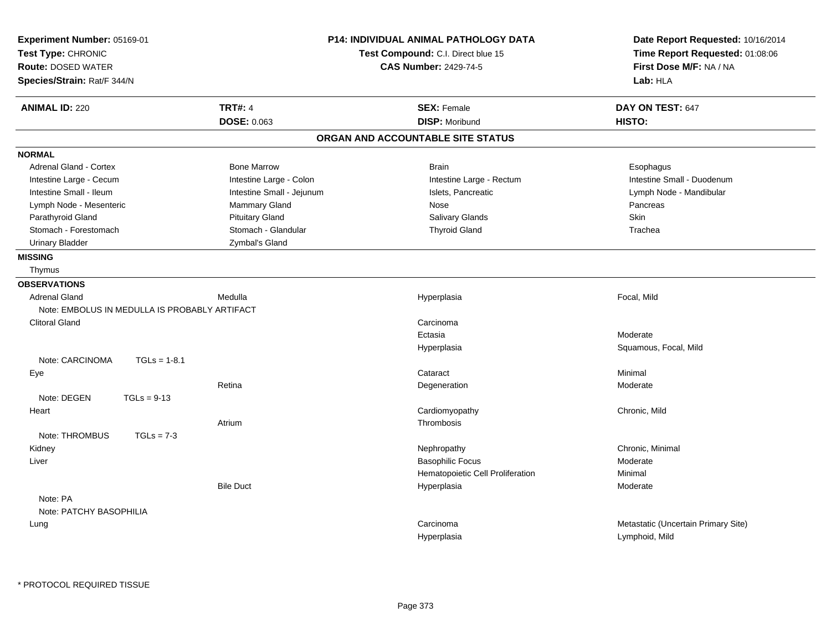| Experiment Number: 05169-01<br>Test Type: CHRONIC<br><b>Route: DOSED WATER</b><br>Species/Strain: Rat/F 344/N | <b>P14: INDIVIDUAL ANIMAL PATHOLOGY DATA</b><br>Test Compound: C.I. Direct blue 15<br><b>CAS Number: 2429-74-5</b> | Date Report Requested: 10/16/2014<br>Time Report Requested: 01:08:06<br>First Dose M/F: NA / NA<br>Lab: HLA |
|---------------------------------------------------------------------------------------------------------------|--------------------------------------------------------------------------------------------------------------------|-------------------------------------------------------------------------------------------------------------|
| <b>TRT#: 4</b><br><b>ANIMAL ID: 220</b>                                                                       | <b>SEX: Female</b>                                                                                                 | DAY ON TEST: 647                                                                                            |
| DOSE: 0.063                                                                                                   | <b>DISP: Moribund</b>                                                                                              | HISTO:                                                                                                      |
|                                                                                                               | ORGAN AND ACCOUNTABLE SITE STATUS                                                                                  |                                                                                                             |
| <b>NORMAL</b>                                                                                                 |                                                                                                                    |                                                                                                             |
| <b>Bone Marrow</b><br><b>Adrenal Gland - Cortex</b>                                                           | <b>Brain</b>                                                                                                       | Esophagus                                                                                                   |
| Intestine Large - Cecum<br>Intestine Large - Colon                                                            | Intestine Large - Rectum                                                                                           | Intestine Small - Duodenum                                                                                  |
| Intestine Small - Ileum<br>Intestine Small - Jejunum                                                          | Islets, Pancreatic                                                                                                 | Lymph Node - Mandibular                                                                                     |
| Lymph Node - Mesenteric<br>Mammary Gland                                                                      | <b>Nose</b>                                                                                                        | Pancreas                                                                                                    |
| Parathyroid Gland<br><b>Pituitary Gland</b>                                                                   | Salivary Glands                                                                                                    | Skin                                                                                                        |
| Stomach - Forestomach<br>Stomach - Glandular                                                                  | <b>Thyroid Gland</b>                                                                                               | Trachea                                                                                                     |
| <b>Urinary Bladder</b><br>Zymbal's Gland                                                                      |                                                                                                                    |                                                                                                             |
| <b>MISSING</b>                                                                                                |                                                                                                                    |                                                                                                             |
| Thymus                                                                                                        |                                                                                                                    |                                                                                                             |
| <b>OBSERVATIONS</b>                                                                                           |                                                                                                                    |                                                                                                             |
| Medulla<br><b>Adrenal Gland</b>                                                                               | Hyperplasia                                                                                                        | Focal, Mild                                                                                                 |
| Note: EMBOLUS IN MEDULLA IS PROBABLY ARTIFACT                                                                 |                                                                                                                    |                                                                                                             |
| <b>Clitoral Gland</b>                                                                                         | Carcinoma                                                                                                          |                                                                                                             |
|                                                                                                               | Ectasia                                                                                                            | Moderate                                                                                                    |
|                                                                                                               | Hyperplasia                                                                                                        | Squamous, Focal, Mild                                                                                       |
| Note: CARCINOMA<br>$TGLs = 1-8.1$                                                                             |                                                                                                                    |                                                                                                             |
| Eye                                                                                                           | Cataract                                                                                                           | Minimal                                                                                                     |
| Retina                                                                                                        | Degeneration                                                                                                       | Moderate                                                                                                    |
| Note: DEGEN<br>$TGLs = 9-13$                                                                                  |                                                                                                                    |                                                                                                             |
| Heart                                                                                                         | Cardiomyopathy                                                                                                     | Chronic, Mild                                                                                               |
| Atrium                                                                                                        | Thrombosis                                                                                                         |                                                                                                             |
| Note: THROMBUS<br>$TGLs = 7-3$                                                                                |                                                                                                                    |                                                                                                             |
| Kidney                                                                                                        | Nephropathy                                                                                                        | Chronic, Minimal                                                                                            |
| Liver                                                                                                         | <b>Basophilic Focus</b>                                                                                            | Moderate                                                                                                    |
|                                                                                                               | Hematopoietic Cell Proliferation                                                                                   | Minimal                                                                                                     |
| <b>Bile Duct</b>                                                                                              | Hyperplasia                                                                                                        | Moderate                                                                                                    |
| Note: PA                                                                                                      |                                                                                                                    |                                                                                                             |
| Note: PATCHY BASOPHILIA                                                                                       |                                                                                                                    |                                                                                                             |
| Lung                                                                                                          | Carcinoma                                                                                                          | Metastatic (Uncertain Primary Site)                                                                         |
|                                                                                                               | Hyperplasia                                                                                                        | Lymphoid, Mild                                                                                              |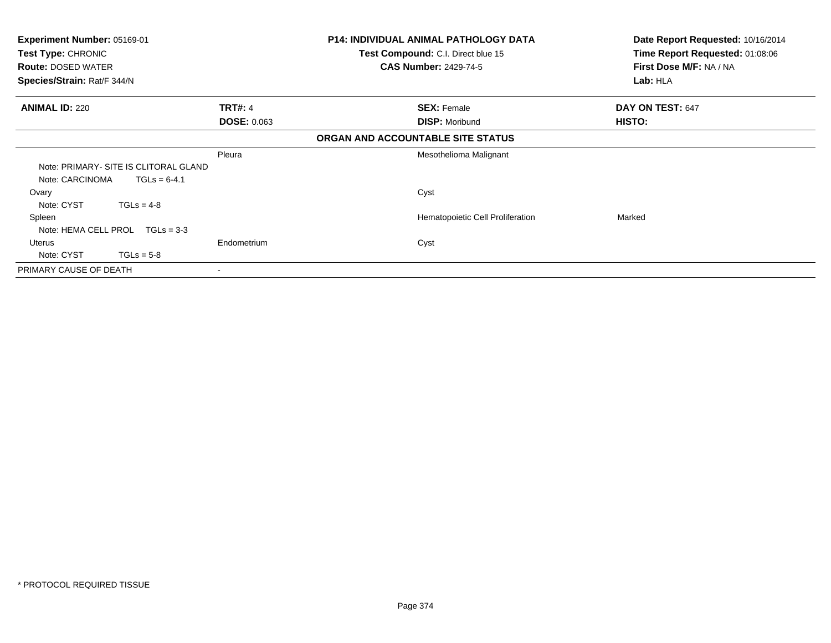| Experiment Number: 05169-01<br>Test Type: CHRONIC<br><b>Route: DOSED WATER</b><br>Species/Strain: Rat/F 344/N |                                      | P14: INDIVIDUAL ANIMAL PATHOLOGY DATA<br>Test Compound: C.I. Direct blue 15<br><b>CAS Number: 2429-74-5</b> | Date Report Requested: 10/16/2014<br>Time Report Requested: 01:08:06<br>First Dose M/F: NA / NA<br>Lab: HLA |
|---------------------------------------------------------------------------------------------------------------|--------------------------------------|-------------------------------------------------------------------------------------------------------------|-------------------------------------------------------------------------------------------------------------|
| <b>ANIMAL ID: 220</b>                                                                                         | <b>TRT#: 4</b><br><b>DOSE: 0.063</b> | <b>SEX: Female</b><br><b>DISP: Moribund</b>                                                                 | DAY ON TEST: 647<br>HISTO:                                                                                  |
|                                                                                                               |                                      | ORGAN AND ACCOUNTABLE SITE STATUS                                                                           |                                                                                                             |
| Note: PRIMARY- SITE IS CLITORAL GLAND<br>Note: CARCINOMA<br>$TGLs = 6-4.1$                                    | Pleura                               | Mesothelioma Malignant                                                                                      |                                                                                                             |
| Ovary<br>Note: CYST<br>$TGLs = 4-8$                                                                           |                                      | Cyst                                                                                                        |                                                                                                             |
| Spleen<br>Note: HEMA CELL PROL<br>$TGLs = 3-3$                                                                |                                      | Hematopoietic Cell Proliferation                                                                            | Marked                                                                                                      |
| Uterus<br>Note: CYST<br>$TGLs = 5-8$                                                                          | Endometrium                          | Cyst                                                                                                        |                                                                                                             |
| PRIMARY CAUSE OF DEATH                                                                                        |                                      |                                                                                                             |                                                                                                             |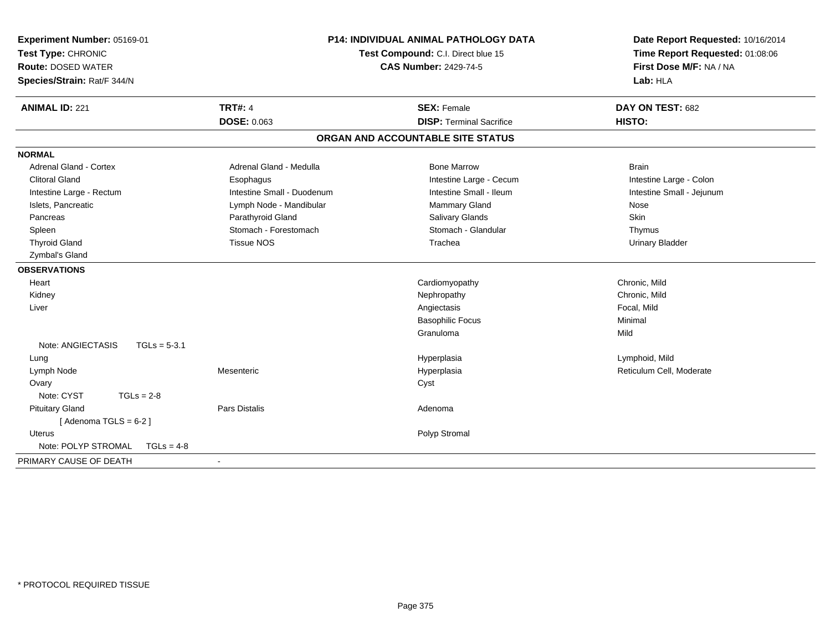| Experiment Number: 05169-01<br>Test Type: CHRONIC<br><b>Route: DOSED WATER</b><br>Species/Strain: Rat/F 344/N | P14: INDIVIDUAL ANIMAL PATHOLOGY DATA<br>Test Compound: C.I. Direct blue 15<br><b>CAS Number: 2429-74-5</b> |                                   | Date Report Requested: 10/16/2014<br>Time Report Requested: 01:08:06<br>First Dose M/F: NA / NA<br>Lab: HLA |
|---------------------------------------------------------------------------------------------------------------|-------------------------------------------------------------------------------------------------------------|-----------------------------------|-------------------------------------------------------------------------------------------------------------|
| <b>ANIMAL ID: 221</b>                                                                                         | <b>TRT#: 4</b>                                                                                              | <b>SEX: Female</b>                | DAY ON TEST: 682                                                                                            |
|                                                                                                               | <b>DOSE: 0.063</b>                                                                                          | <b>DISP: Terminal Sacrifice</b>   | HISTO:                                                                                                      |
|                                                                                                               |                                                                                                             | ORGAN AND ACCOUNTABLE SITE STATUS |                                                                                                             |
| <b>NORMAL</b>                                                                                                 |                                                                                                             |                                   |                                                                                                             |
| <b>Adrenal Gland - Cortex</b>                                                                                 | Adrenal Gland - Medulla                                                                                     | <b>Bone Marrow</b>                | <b>Brain</b>                                                                                                |
| <b>Clitoral Gland</b>                                                                                         | Esophagus                                                                                                   | Intestine Large - Cecum           | Intestine Large - Colon                                                                                     |
| Intestine Large - Rectum                                                                                      | Intestine Small - Duodenum                                                                                  | Intestine Small - Ileum           | Intestine Small - Jejunum                                                                                   |
| Islets, Pancreatic                                                                                            | Lymph Node - Mandibular                                                                                     | Mammary Gland                     | Nose                                                                                                        |
| Pancreas                                                                                                      | Parathyroid Gland                                                                                           | <b>Salivary Glands</b>            | Skin                                                                                                        |
| Spleen                                                                                                        | Stomach - Forestomach                                                                                       | Stomach - Glandular               | Thymus                                                                                                      |
| <b>Thyroid Gland</b>                                                                                          | <b>Tissue NOS</b>                                                                                           | Trachea                           | <b>Urinary Bladder</b>                                                                                      |
| Zymbal's Gland                                                                                                |                                                                                                             |                                   |                                                                                                             |
| <b>OBSERVATIONS</b>                                                                                           |                                                                                                             |                                   |                                                                                                             |
| Heart                                                                                                         |                                                                                                             | Cardiomyopathy                    | Chronic, Mild                                                                                               |
| Kidney                                                                                                        |                                                                                                             | Nephropathy                       | Chronic, Mild                                                                                               |
| Liver                                                                                                         |                                                                                                             | Angiectasis                       | Focal, Mild                                                                                                 |
|                                                                                                               |                                                                                                             | <b>Basophilic Focus</b>           | Minimal                                                                                                     |
|                                                                                                               |                                                                                                             | Granuloma                         | Mild                                                                                                        |
| Note: ANGIECTASIS<br>$TGLs = 5-3.1$                                                                           |                                                                                                             |                                   |                                                                                                             |
| Lung                                                                                                          |                                                                                                             | Hyperplasia                       | Lymphoid, Mild                                                                                              |
| Lymph Node                                                                                                    | Mesenteric                                                                                                  | Hyperplasia                       | Reticulum Cell, Moderate                                                                                    |
| Ovary                                                                                                         |                                                                                                             | Cyst                              |                                                                                                             |
| Note: CYST<br>$TGLs = 2-8$                                                                                    |                                                                                                             |                                   |                                                                                                             |
| <b>Pituitary Gland</b><br>[Adenoma TGLS = $6-2$ ]                                                             | <b>Pars Distalis</b>                                                                                        | Adenoma                           |                                                                                                             |
| <b>Uterus</b>                                                                                                 |                                                                                                             | Polyp Stromal                     |                                                                                                             |
| Note: POLYP STROMAL<br>$TGLs = 4-8$                                                                           |                                                                                                             |                                   |                                                                                                             |
| PRIMARY CAUSE OF DEATH                                                                                        |                                                                                                             |                                   |                                                                                                             |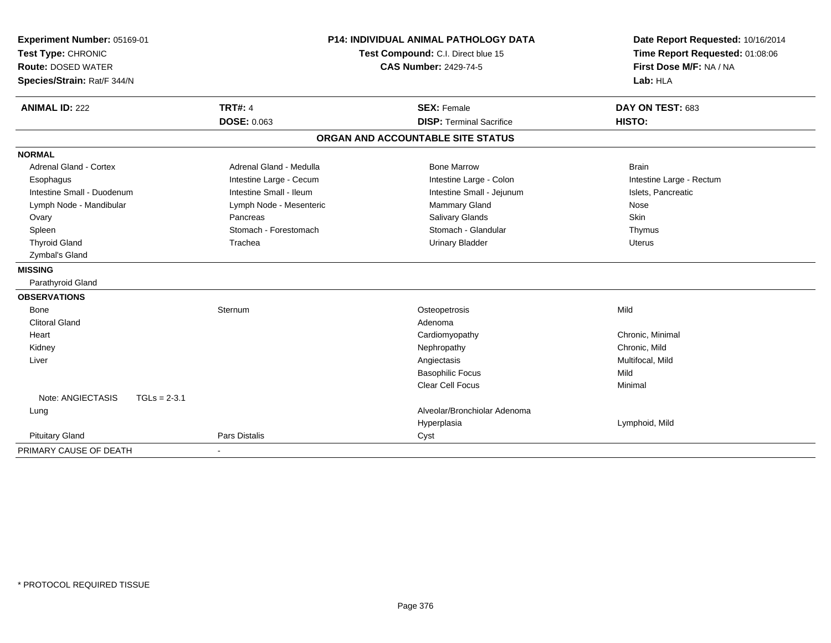| Experiment Number: 05169-01<br>Test Type: CHRONIC |                | <b>P14: INDIVIDUAL ANIMAL PATHOLOGY DATA</b><br>Test Compound: C.I. Direct blue 15 | Date Report Requested: 10/16/2014<br>Time Report Requested: 01:08:06 |                          |
|---------------------------------------------------|----------------|------------------------------------------------------------------------------------|----------------------------------------------------------------------|--------------------------|
| <b>Route: DOSED WATER</b>                         |                |                                                                                    | <b>CAS Number: 2429-74-5</b>                                         | First Dose M/F: NA / NA  |
| Species/Strain: Rat/F 344/N                       |                |                                                                                    |                                                                      | Lab: HLA                 |
| <b>ANIMAL ID: 222</b>                             |                | <b>TRT#: 4</b>                                                                     | <b>SEX: Female</b>                                                   | DAY ON TEST: 683         |
|                                                   |                | DOSE: 0.063                                                                        | <b>DISP: Terminal Sacrifice</b>                                      | HISTO:                   |
|                                                   |                |                                                                                    | ORGAN AND ACCOUNTABLE SITE STATUS                                    |                          |
| <b>NORMAL</b>                                     |                |                                                                                    |                                                                      |                          |
| Adrenal Gland - Cortex                            |                | Adrenal Gland - Medulla                                                            | <b>Bone Marrow</b>                                                   | <b>Brain</b>             |
| Esophagus                                         |                | Intestine Large - Cecum                                                            | Intestine Large - Colon                                              | Intestine Large - Rectum |
| Intestine Small - Duodenum                        |                | Intestine Small - Ileum                                                            | Intestine Small - Jejunum                                            | Islets, Pancreatic       |
| Lymph Node - Mandibular                           |                | Lymph Node - Mesenteric                                                            | Mammary Gland                                                        | Nose                     |
| Ovary                                             |                | Pancreas                                                                           | <b>Salivary Glands</b>                                               | Skin                     |
| Spleen                                            |                | Stomach - Forestomach                                                              | Stomach - Glandular                                                  | Thymus                   |
| <b>Thyroid Gland</b>                              |                | Trachea                                                                            | <b>Urinary Bladder</b>                                               | <b>Uterus</b>            |
| Zymbal's Gland                                    |                |                                                                                    |                                                                      |                          |
| <b>MISSING</b>                                    |                |                                                                                    |                                                                      |                          |
| Parathyroid Gland                                 |                |                                                                                    |                                                                      |                          |
| <b>OBSERVATIONS</b>                               |                |                                                                                    |                                                                      |                          |
| Bone                                              |                | Sternum                                                                            | Osteopetrosis                                                        | Mild                     |
| <b>Clitoral Gland</b>                             |                |                                                                                    | Adenoma                                                              |                          |
| Heart                                             |                |                                                                                    | Cardiomyopathy                                                       | Chronic, Minimal         |
| Kidney                                            |                |                                                                                    | Nephropathy                                                          | Chronic, Mild            |
| Liver                                             |                |                                                                                    | Angiectasis                                                          | Multifocal, Mild         |
|                                                   |                |                                                                                    | <b>Basophilic Focus</b>                                              | Mild                     |
|                                                   |                |                                                                                    | Clear Cell Focus                                                     | Minimal                  |
| Note: ANGIECTASIS                                 | $TGLs = 2-3.1$ |                                                                                    |                                                                      |                          |
| Lung                                              |                |                                                                                    | Alveolar/Bronchiolar Adenoma                                         |                          |
|                                                   |                |                                                                                    | Hyperplasia                                                          | Lymphoid, Mild           |
| <b>Pituitary Gland</b>                            |                | <b>Pars Distalis</b>                                                               | Cyst                                                                 |                          |
| PRIMARY CAUSE OF DEATH                            |                |                                                                                    |                                                                      |                          |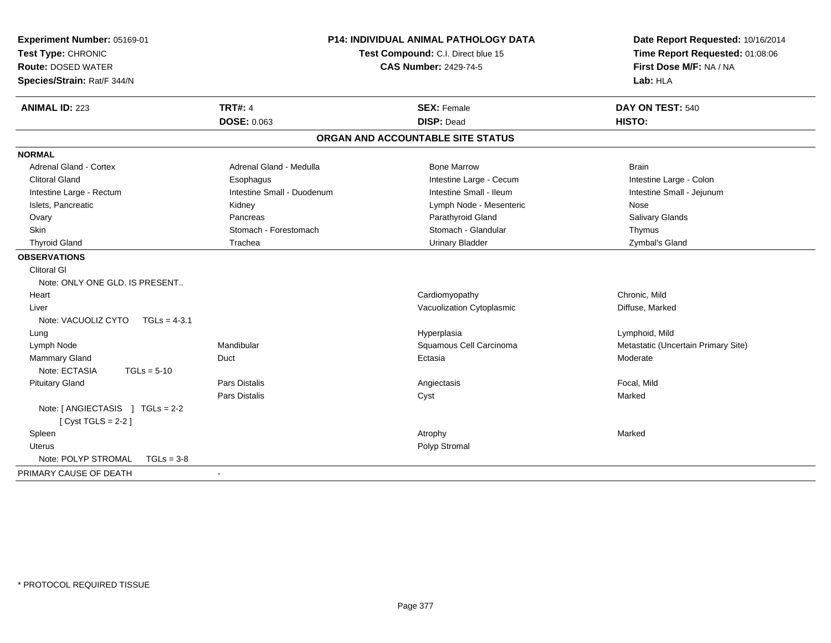| Test Type: CHRONIC<br><b>Route: DOSED WATER</b><br>Species/Strain: Rat/F 344/N | Test Compound: C.I. Direct blue 15<br><b>CAS Number: 2429-74-5</b> | Date Report Requested: 10/16/2014<br>Time Report Requested: 01:08:06<br>First Dose M/F: NA / NA<br>Lab: HLA |  |
|--------------------------------------------------------------------------------|--------------------------------------------------------------------|-------------------------------------------------------------------------------------------------------------|--|
| <b>TRT#: 4</b><br><b>ANIMAL ID: 223</b>                                        | <b>SEX: Female</b>                                                 | DAY ON TEST: 540                                                                                            |  |
| <b>DOSE: 0.063</b>                                                             | <b>DISP: Dead</b>                                                  | HISTO:                                                                                                      |  |
|                                                                                | ORGAN AND ACCOUNTABLE SITE STATUS                                  |                                                                                                             |  |
| <b>NORMAL</b>                                                                  |                                                                    |                                                                                                             |  |
| Adrenal Gland - Cortex<br>Adrenal Gland - Medulla                              | <b>Bone Marrow</b>                                                 | <b>Brain</b>                                                                                                |  |
| <b>Clitoral Gland</b><br>Esophagus                                             | Intestine Large - Cecum                                            | Intestine Large - Colon                                                                                     |  |
| Intestine Small - Duodenum<br>Intestine Large - Rectum                         | Intestine Small - Ileum                                            | Intestine Small - Jejunum                                                                                   |  |
| Islets, Pancreatic<br>Kidney                                                   | Lymph Node - Mesenteric                                            | Nose                                                                                                        |  |
| Pancreas<br>Ovary                                                              | Parathyroid Gland                                                  | Salivary Glands                                                                                             |  |
| Skin<br>Stomach - Forestomach                                                  | Stomach - Glandular                                                | Thymus                                                                                                      |  |
| <b>Thyroid Gland</b><br>Trachea                                                | <b>Urinary Bladder</b>                                             | Zymbal's Gland                                                                                              |  |
| <b>OBSERVATIONS</b>                                                            |                                                                    |                                                                                                             |  |
| <b>Clitoral GI</b>                                                             |                                                                    |                                                                                                             |  |
| Note: ONLY ONE GLD. IS PRESENT                                                 |                                                                    |                                                                                                             |  |
| Heart                                                                          | Cardiomyopathy                                                     | Chronic. Mild                                                                                               |  |
| Liver                                                                          | Vacuolization Cytoplasmic                                          | Diffuse, Marked                                                                                             |  |
| Note: VACUOLIZ CYTO<br>$TGLs = 4-3.1$                                          |                                                                    |                                                                                                             |  |
| Lung                                                                           | Hyperplasia                                                        | Lymphoid, Mild                                                                                              |  |
| Mandibular<br>Lymph Node                                                       | Squamous Cell Carcinoma                                            | Metastatic (Uncertain Primary Site)                                                                         |  |
| Mammary Gland<br>Duct                                                          | Ectasia                                                            | Moderate                                                                                                    |  |
| Note: ECTASIA<br>$TGLs = 5-10$                                                 |                                                                    |                                                                                                             |  |
| <b>Pars Distalis</b><br><b>Pituitary Gland</b>                                 | Angiectasis                                                        | Focal, Mild                                                                                                 |  |
| Pars Distalis                                                                  | Cyst                                                               | Marked                                                                                                      |  |
| Note: [ ANGIECTASIS ] TGLs = 2-2<br>[Cyst TGLS = $2-2$ ]                       |                                                                    |                                                                                                             |  |
| Spleen                                                                         | Atrophy                                                            | Marked                                                                                                      |  |
| <b>Uterus</b>                                                                  | Polyp Stromal                                                      |                                                                                                             |  |
| Note: POLYP STROMAL<br>$TGLs = 3-8$                                            |                                                                    |                                                                                                             |  |
| PRIMARY CAUSE OF DEATH<br>$\mathbf{r}$                                         |                                                                    |                                                                                                             |  |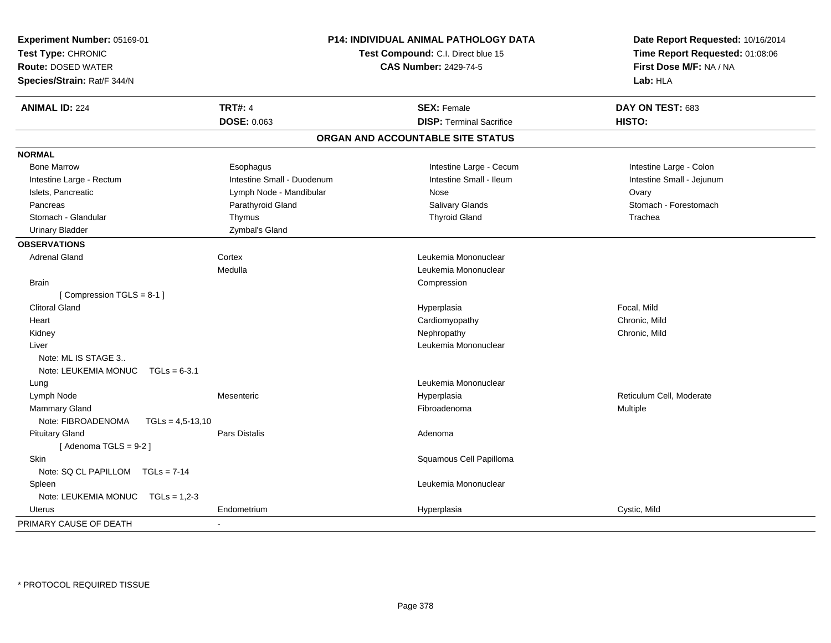| Experiment Number: 05169-01<br>Test Type: CHRONIC<br><b>Route: DOSED WATER</b><br>Species/Strain: Rat/F 344/N |                            | P14: INDIVIDUAL ANIMAL PATHOLOGY DATA<br>Test Compound: C.I. Direct blue 15<br><b>CAS Number: 2429-74-5</b> | Date Report Requested: 10/16/2014<br>Time Report Requested: 01:08:06<br>First Dose M/F: NA / NA<br>Lab: HLA |
|---------------------------------------------------------------------------------------------------------------|----------------------------|-------------------------------------------------------------------------------------------------------------|-------------------------------------------------------------------------------------------------------------|
| <b>ANIMAL ID: 224</b>                                                                                         | <b>TRT#: 4</b>             | <b>SEX: Female</b>                                                                                          | DAY ON TEST: 683                                                                                            |
|                                                                                                               | <b>DOSE: 0.063</b>         | <b>DISP: Terminal Sacrifice</b>                                                                             | HISTO:                                                                                                      |
|                                                                                                               |                            | ORGAN AND ACCOUNTABLE SITE STATUS                                                                           |                                                                                                             |
| <b>NORMAL</b>                                                                                                 |                            |                                                                                                             |                                                                                                             |
| <b>Bone Marrow</b>                                                                                            | Esophagus                  | Intestine Large - Cecum                                                                                     | Intestine Large - Colon                                                                                     |
| Intestine Large - Rectum                                                                                      | Intestine Small - Duodenum | Intestine Small - Ileum                                                                                     | Intestine Small - Jejunum                                                                                   |
| Islets, Pancreatic                                                                                            | Lymph Node - Mandibular    | Nose                                                                                                        | Ovary                                                                                                       |
| Pancreas                                                                                                      | Parathyroid Gland          | Salivary Glands                                                                                             | Stomach - Forestomach                                                                                       |
| Stomach - Glandular                                                                                           | Thymus                     | <b>Thyroid Gland</b>                                                                                        | Trachea                                                                                                     |
| <b>Urinary Bladder</b>                                                                                        | Zymbal's Gland             |                                                                                                             |                                                                                                             |
| <b>OBSERVATIONS</b>                                                                                           |                            |                                                                                                             |                                                                                                             |
| <b>Adrenal Gland</b>                                                                                          | Cortex                     | Leukemia Mononuclear                                                                                        |                                                                                                             |
|                                                                                                               | Medulla                    | Leukemia Mononuclear                                                                                        |                                                                                                             |
| <b>Brain</b>                                                                                                  |                            | Compression                                                                                                 |                                                                                                             |
| [Compression TGLS = 8-1]                                                                                      |                            |                                                                                                             |                                                                                                             |
| <b>Clitoral Gland</b>                                                                                         |                            | Hyperplasia                                                                                                 | Focal, Mild                                                                                                 |
| Heart                                                                                                         |                            | Cardiomyopathy                                                                                              | Chronic, Mild                                                                                               |
| Kidney                                                                                                        |                            | Nephropathy                                                                                                 | Chronic, Mild                                                                                               |
| Liver                                                                                                         |                            | Leukemia Mononuclear                                                                                        |                                                                                                             |
| Note: ML IS STAGE 3                                                                                           |                            |                                                                                                             |                                                                                                             |
| Note: LEUKEMIA MONUC<br>$TGLs = 6-3.1$                                                                        |                            |                                                                                                             |                                                                                                             |
| Lung                                                                                                          |                            | Leukemia Mononuclear                                                                                        |                                                                                                             |
| Lymph Node                                                                                                    | Mesenteric                 | Hyperplasia                                                                                                 | Reticulum Cell, Moderate                                                                                    |
| Mammary Gland                                                                                                 |                            | Fibroadenoma                                                                                                | Multiple                                                                                                    |
| Note: FIBROADENOMA<br>$TGLs = 4,5-13,10$                                                                      |                            |                                                                                                             |                                                                                                             |
| <b>Pituitary Gland</b>                                                                                        | <b>Pars Distalis</b>       | Adenoma                                                                                                     |                                                                                                             |
| [Adenoma TGLS = $9-2$ ]                                                                                       |                            |                                                                                                             |                                                                                                             |
| <b>Skin</b>                                                                                                   |                            | Squamous Cell Papilloma                                                                                     |                                                                                                             |
| Note: SQ CL PAPILLOM<br>$TGLs = 7-14$                                                                         |                            |                                                                                                             |                                                                                                             |
| Spleen                                                                                                        |                            | Leukemia Mononuclear                                                                                        |                                                                                                             |
| Note: LEUKEMIA MONUC TGLs = 1,2-3                                                                             |                            |                                                                                                             |                                                                                                             |
| Uterus                                                                                                        | Endometrium                | Hyperplasia                                                                                                 | Cystic, Mild                                                                                                |
| PRIMARY CAUSE OF DEATH                                                                                        | ä,                         |                                                                                                             |                                                                                                             |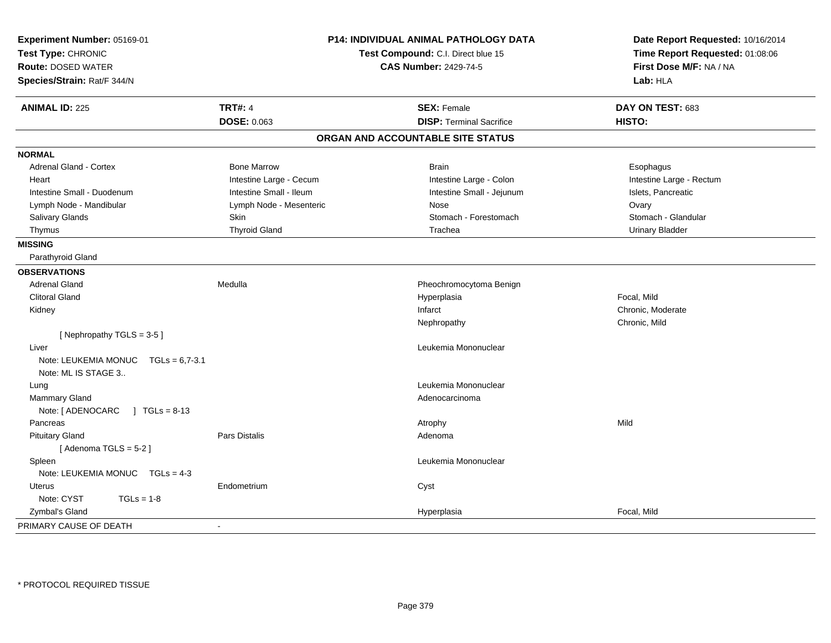| <b>TRT#: 4</b><br><b>ANIMAL ID: 225</b><br><b>SEX: Female</b><br>DAY ON TEST: 683<br>DOSE: 0.063<br><b>DISP: Terminal Sacrifice</b><br>HISTO:<br>ORGAN AND ACCOUNTABLE SITE STATUS<br><b>NORMAL</b><br><b>Adrenal Gland - Cortex</b><br><b>Bone Marrow</b><br><b>Brain</b><br>Esophagus<br>Intestine Large - Cecum<br>Intestine Large - Colon<br>Intestine Large - Rectum<br>Heart<br>Intestine Small - Ileum<br>Intestine Small - Duodenum<br>Intestine Small - Jejunum<br>Islets, Pancreatic<br>Lymph Node - Mandibular<br>Lymph Node - Mesenteric<br>Ovary<br>Nose<br>Salivary Glands<br>Skin<br>Stomach - Forestomach<br>Stomach - Glandular<br><b>Thyroid Gland</b><br>Trachea<br><b>Urinary Bladder</b><br>Thymus<br><b>MISSING</b><br>Parathyroid Gland<br><b>OBSERVATIONS</b><br><b>Adrenal Gland</b><br>Medulla<br>Pheochromocytoma Benign<br><b>Clitoral Gland</b><br>Focal, Mild<br>Hyperplasia<br>Chronic, Moderate<br>Infarct<br>Kidney<br>Chronic, Mild<br>Nephropathy<br>[Nephropathy TGLS = 3-5]<br>Leukemia Mononuclear<br>Liver<br>Note: LEUKEMIA MONUC TGLs = 6,7-3.1<br>Note: ML IS STAGE 3<br>Leukemia Mononuclear<br>Lung<br><b>Mammary Gland</b><br>Adenocarcinoma<br>Note: [ ADENOCARC<br>$\sqrt{1}$ TGLs = 8-13<br>Pancreas<br>Mild<br>Atrophy<br><b>Pars Distalis</b><br><b>Pituitary Gland</b><br>Adenoma<br>[Adenoma TGLS = $5-2$ ]<br>Spleen<br>Leukemia Mononuclear<br>Note: LEUKEMIA MONUC TGLs = 4-3<br>Endometrium<br>Cyst<br><b>Uterus</b><br>Note: CYST<br>$TGLs = 1-8$<br>Zymbal's Gland<br>Focal, Mild<br>Hyperplasia<br>PRIMARY CAUSE OF DEATH<br>$\sim$ | Experiment Number: 05169-01<br>Test Type: CHRONIC<br><b>Route: DOSED WATER</b><br>Species/Strain: Rat/F 344/N | <b>P14: INDIVIDUAL ANIMAL PATHOLOGY DATA</b><br>Test Compound: C.I. Direct blue 15<br><b>CAS Number: 2429-74-5</b> |  | Date Report Requested: 10/16/2014<br>Time Report Requested: 01:08:06<br>First Dose M/F: NA / NA<br>Lab: HLA |
|------------------------------------------------------------------------------------------------------------------------------------------------------------------------------------------------------------------------------------------------------------------------------------------------------------------------------------------------------------------------------------------------------------------------------------------------------------------------------------------------------------------------------------------------------------------------------------------------------------------------------------------------------------------------------------------------------------------------------------------------------------------------------------------------------------------------------------------------------------------------------------------------------------------------------------------------------------------------------------------------------------------------------------------------------------------------------------------------------------------------------------------------------------------------------------------------------------------------------------------------------------------------------------------------------------------------------------------------------------------------------------------------------------------------------------------------------------------------------------------------------------------------------------------------------------------------------------------------|---------------------------------------------------------------------------------------------------------------|--------------------------------------------------------------------------------------------------------------------|--|-------------------------------------------------------------------------------------------------------------|
|                                                                                                                                                                                                                                                                                                                                                                                                                                                                                                                                                                                                                                                                                                                                                                                                                                                                                                                                                                                                                                                                                                                                                                                                                                                                                                                                                                                                                                                                                                                                                                                                |                                                                                                               |                                                                                                                    |  |                                                                                                             |
|                                                                                                                                                                                                                                                                                                                                                                                                                                                                                                                                                                                                                                                                                                                                                                                                                                                                                                                                                                                                                                                                                                                                                                                                                                                                                                                                                                                                                                                                                                                                                                                                |                                                                                                               |                                                                                                                    |  |                                                                                                             |
|                                                                                                                                                                                                                                                                                                                                                                                                                                                                                                                                                                                                                                                                                                                                                                                                                                                                                                                                                                                                                                                                                                                                                                                                                                                                                                                                                                                                                                                                                                                                                                                                |                                                                                                               |                                                                                                                    |  |                                                                                                             |
|                                                                                                                                                                                                                                                                                                                                                                                                                                                                                                                                                                                                                                                                                                                                                                                                                                                                                                                                                                                                                                                                                                                                                                                                                                                                                                                                                                                                                                                                                                                                                                                                |                                                                                                               |                                                                                                                    |  |                                                                                                             |
|                                                                                                                                                                                                                                                                                                                                                                                                                                                                                                                                                                                                                                                                                                                                                                                                                                                                                                                                                                                                                                                                                                                                                                                                                                                                                                                                                                                                                                                                                                                                                                                                |                                                                                                               |                                                                                                                    |  |                                                                                                             |
|                                                                                                                                                                                                                                                                                                                                                                                                                                                                                                                                                                                                                                                                                                                                                                                                                                                                                                                                                                                                                                                                                                                                                                                                                                                                                                                                                                                                                                                                                                                                                                                                |                                                                                                               |                                                                                                                    |  |                                                                                                             |
|                                                                                                                                                                                                                                                                                                                                                                                                                                                                                                                                                                                                                                                                                                                                                                                                                                                                                                                                                                                                                                                                                                                                                                                                                                                                                                                                                                                                                                                                                                                                                                                                |                                                                                                               |                                                                                                                    |  |                                                                                                             |
|                                                                                                                                                                                                                                                                                                                                                                                                                                                                                                                                                                                                                                                                                                                                                                                                                                                                                                                                                                                                                                                                                                                                                                                                                                                                                                                                                                                                                                                                                                                                                                                                |                                                                                                               |                                                                                                                    |  |                                                                                                             |
|                                                                                                                                                                                                                                                                                                                                                                                                                                                                                                                                                                                                                                                                                                                                                                                                                                                                                                                                                                                                                                                                                                                                                                                                                                                                                                                                                                                                                                                                                                                                                                                                |                                                                                                               |                                                                                                                    |  |                                                                                                             |
|                                                                                                                                                                                                                                                                                                                                                                                                                                                                                                                                                                                                                                                                                                                                                                                                                                                                                                                                                                                                                                                                                                                                                                                                                                                                                                                                                                                                                                                                                                                                                                                                |                                                                                                               |                                                                                                                    |  |                                                                                                             |
|                                                                                                                                                                                                                                                                                                                                                                                                                                                                                                                                                                                                                                                                                                                                                                                                                                                                                                                                                                                                                                                                                                                                                                                                                                                                                                                                                                                                                                                                                                                                                                                                |                                                                                                               |                                                                                                                    |  |                                                                                                             |
|                                                                                                                                                                                                                                                                                                                                                                                                                                                                                                                                                                                                                                                                                                                                                                                                                                                                                                                                                                                                                                                                                                                                                                                                                                                                                                                                                                                                                                                                                                                                                                                                |                                                                                                               |                                                                                                                    |  |                                                                                                             |
|                                                                                                                                                                                                                                                                                                                                                                                                                                                                                                                                                                                                                                                                                                                                                                                                                                                                                                                                                                                                                                                                                                                                                                                                                                                                                                                                                                                                                                                                                                                                                                                                |                                                                                                               |                                                                                                                    |  |                                                                                                             |
|                                                                                                                                                                                                                                                                                                                                                                                                                                                                                                                                                                                                                                                                                                                                                                                                                                                                                                                                                                                                                                                                                                                                                                                                                                                                                                                                                                                                                                                                                                                                                                                                |                                                                                                               |                                                                                                                    |  |                                                                                                             |
|                                                                                                                                                                                                                                                                                                                                                                                                                                                                                                                                                                                                                                                                                                                                                                                                                                                                                                                                                                                                                                                                                                                                                                                                                                                                                                                                                                                                                                                                                                                                                                                                |                                                                                                               |                                                                                                                    |  |                                                                                                             |
|                                                                                                                                                                                                                                                                                                                                                                                                                                                                                                                                                                                                                                                                                                                                                                                                                                                                                                                                                                                                                                                                                                                                                                                                                                                                                                                                                                                                                                                                                                                                                                                                |                                                                                                               |                                                                                                                    |  |                                                                                                             |
|                                                                                                                                                                                                                                                                                                                                                                                                                                                                                                                                                                                                                                                                                                                                                                                                                                                                                                                                                                                                                                                                                                                                                                                                                                                                                                                                                                                                                                                                                                                                                                                                |                                                                                                               |                                                                                                                    |  |                                                                                                             |
|                                                                                                                                                                                                                                                                                                                                                                                                                                                                                                                                                                                                                                                                                                                                                                                                                                                                                                                                                                                                                                                                                                                                                                                                                                                                                                                                                                                                                                                                                                                                                                                                |                                                                                                               |                                                                                                                    |  |                                                                                                             |
|                                                                                                                                                                                                                                                                                                                                                                                                                                                                                                                                                                                                                                                                                                                                                                                                                                                                                                                                                                                                                                                                                                                                                                                                                                                                                                                                                                                                                                                                                                                                                                                                |                                                                                                               |                                                                                                                    |  |                                                                                                             |
|                                                                                                                                                                                                                                                                                                                                                                                                                                                                                                                                                                                                                                                                                                                                                                                                                                                                                                                                                                                                                                                                                                                                                                                                                                                                                                                                                                                                                                                                                                                                                                                                |                                                                                                               |                                                                                                                    |  |                                                                                                             |
|                                                                                                                                                                                                                                                                                                                                                                                                                                                                                                                                                                                                                                                                                                                                                                                                                                                                                                                                                                                                                                                                                                                                                                                                                                                                                                                                                                                                                                                                                                                                                                                                |                                                                                                               |                                                                                                                    |  |                                                                                                             |
|                                                                                                                                                                                                                                                                                                                                                                                                                                                                                                                                                                                                                                                                                                                                                                                                                                                                                                                                                                                                                                                                                                                                                                                                                                                                                                                                                                                                                                                                                                                                                                                                |                                                                                                               |                                                                                                                    |  |                                                                                                             |
|                                                                                                                                                                                                                                                                                                                                                                                                                                                                                                                                                                                                                                                                                                                                                                                                                                                                                                                                                                                                                                                                                                                                                                                                                                                                                                                                                                                                                                                                                                                                                                                                |                                                                                                               |                                                                                                                    |  |                                                                                                             |
|                                                                                                                                                                                                                                                                                                                                                                                                                                                                                                                                                                                                                                                                                                                                                                                                                                                                                                                                                                                                                                                                                                                                                                                                                                                                                                                                                                                                                                                                                                                                                                                                |                                                                                                               |                                                                                                                    |  |                                                                                                             |
|                                                                                                                                                                                                                                                                                                                                                                                                                                                                                                                                                                                                                                                                                                                                                                                                                                                                                                                                                                                                                                                                                                                                                                                                                                                                                                                                                                                                                                                                                                                                                                                                |                                                                                                               |                                                                                                                    |  |                                                                                                             |
|                                                                                                                                                                                                                                                                                                                                                                                                                                                                                                                                                                                                                                                                                                                                                                                                                                                                                                                                                                                                                                                                                                                                                                                                                                                                                                                                                                                                                                                                                                                                                                                                |                                                                                                               |                                                                                                                    |  |                                                                                                             |
|                                                                                                                                                                                                                                                                                                                                                                                                                                                                                                                                                                                                                                                                                                                                                                                                                                                                                                                                                                                                                                                                                                                                                                                                                                                                                                                                                                                                                                                                                                                                                                                                |                                                                                                               |                                                                                                                    |  |                                                                                                             |
|                                                                                                                                                                                                                                                                                                                                                                                                                                                                                                                                                                                                                                                                                                                                                                                                                                                                                                                                                                                                                                                                                                                                                                                                                                                                                                                                                                                                                                                                                                                                                                                                |                                                                                                               |                                                                                                                    |  |                                                                                                             |
|                                                                                                                                                                                                                                                                                                                                                                                                                                                                                                                                                                                                                                                                                                                                                                                                                                                                                                                                                                                                                                                                                                                                                                                                                                                                                                                                                                                                                                                                                                                                                                                                |                                                                                                               |                                                                                                                    |  |                                                                                                             |
|                                                                                                                                                                                                                                                                                                                                                                                                                                                                                                                                                                                                                                                                                                                                                                                                                                                                                                                                                                                                                                                                                                                                                                                                                                                                                                                                                                                                                                                                                                                                                                                                |                                                                                                               |                                                                                                                    |  |                                                                                                             |
|                                                                                                                                                                                                                                                                                                                                                                                                                                                                                                                                                                                                                                                                                                                                                                                                                                                                                                                                                                                                                                                                                                                                                                                                                                                                                                                                                                                                                                                                                                                                                                                                |                                                                                                               |                                                                                                                    |  |                                                                                                             |
|                                                                                                                                                                                                                                                                                                                                                                                                                                                                                                                                                                                                                                                                                                                                                                                                                                                                                                                                                                                                                                                                                                                                                                                                                                                                                                                                                                                                                                                                                                                                                                                                |                                                                                                               |                                                                                                                    |  |                                                                                                             |
|                                                                                                                                                                                                                                                                                                                                                                                                                                                                                                                                                                                                                                                                                                                                                                                                                                                                                                                                                                                                                                                                                                                                                                                                                                                                                                                                                                                                                                                                                                                                                                                                |                                                                                                               |                                                                                                                    |  |                                                                                                             |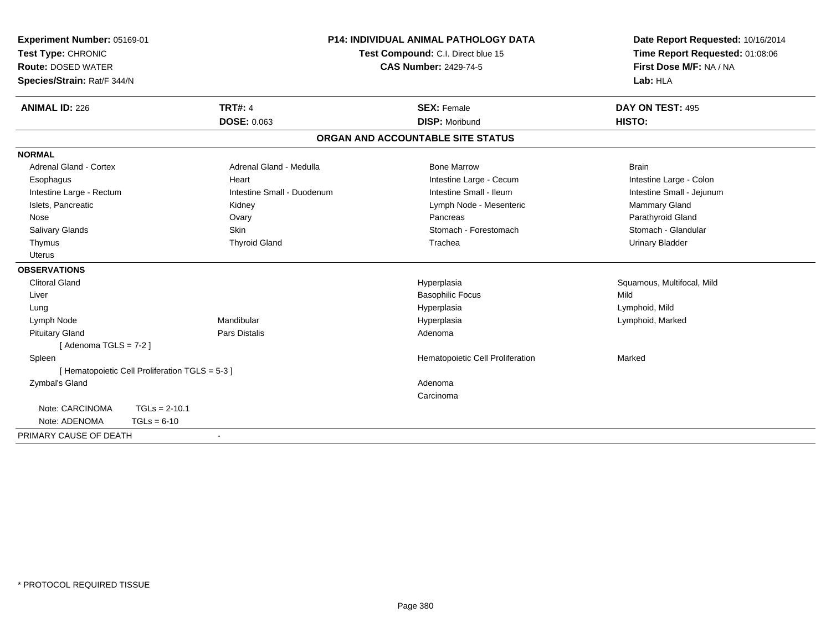| Experiment Number: 05169-01<br>Test Type: CHRONIC<br><b>Route: DOSED WATER</b> |                                                 | <b>P14: INDIVIDUAL ANIMAL PATHOLOGY DATA</b><br>Test Compound: C.I. Direct blue 15<br><b>CAS Number: 2429-74-5</b> |                                   | Date Report Requested: 10/16/2014<br>Time Report Requested: 01:08:06<br>First Dose M/F: NA / NA |
|--------------------------------------------------------------------------------|-------------------------------------------------|--------------------------------------------------------------------------------------------------------------------|-----------------------------------|-------------------------------------------------------------------------------------------------|
| Species/Strain: Rat/F 344/N                                                    |                                                 |                                                                                                                    |                                   | Lab: HLA                                                                                        |
| <b>ANIMAL ID: 226</b>                                                          | <b>TRT#: 4</b>                                  |                                                                                                                    | <b>SEX: Female</b>                | DAY ON TEST: 495                                                                                |
|                                                                                | <b>DOSE: 0.063</b>                              |                                                                                                                    | <b>DISP: Moribund</b>             | HISTO:                                                                                          |
|                                                                                |                                                 |                                                                                                                    | ORGAN AND ACCOUNTABLE SITE STATUS |                                                                                                 |
| <b>NORMAL</b>                                                                  |                                                 |                                                                                                                    |                                   |                                                                                                 |
| Adrenal Gland - Cortex                                                         |                                                 | Adrenal Gland - Medulla                                                                                            | <b>Bone Marrow</b>                | <b>Brain</b>                                                                                    |
| Esophagus                                                                      | Heart                                           |                                                                                                                    | Intestine Large - Cecum           | Intestine Large - Colon                                                                         |
| Intestine Large - Rectum                                                       |                                                 | Intestine Small - Duodenum                                                                                         | Intestine Small - Ileum           | Intestine Small - Jejunum                                                                       |
| Islets, Pancreatic                                                             | Kidney                                          |                                                                                                                    | Lymph Node - Mesenteric           | Mammary Gland                                                                                   |
| Nose                                                                           | Ovary                                           |                                                                                                                    | Pancreas                          | Parathyroid Gland                                                                               |
| Salivary Glands                                                                | <b>Skin</b>                                     |                                                                                                                    | Stomach - Forestomach             | Stomach - Glandular                                                                             |
| Thymus                                                                         |                                                 | <b>Thyroid Gland</b>                                                                                               | Trachea                           | <b>Urinary Bladder</b>                                                                          |
| <b>Uterus</b>                                                                  |                                                 |                                                                                                                    |                                   |                                                                                                 |
| <b>OBSERVATIONS</b>                                                            |                                                 |                                                                                                                    |                                   |                                                                                                 |
| <b>Clitoral Gland</b>                                                          |                                                 |                                                                                                                    | Hyperplasia                       | Squamous, Multifocal, Mild                                                                      |
| Liver                                                                          |                                                 |                                                                                                                    | <b>Basophilic Focus</b>           | Mild                                                                                            |
| Lung                                                                           |                                                 |                                                                                                                    | Hyperplasia                       | Lymphoid, Mild                                                                                  |
| Lymph Node                                                                     | Mandibular                                      |                                                                                                                    | Hyperplasia                       | Lymphoid, Marked                                                                                |
| <b>Pituitary Gland</b>                                                         | <b>Pars Distalis</b>                            |                                                                                                                    | Adenoma                           |                                                                                                 |
| [Adenoma TGLS = $7-2$ ]                                                        |                                                 |                                                                                                                    |                                   |                                                                                                 |
| Spleen                                                                         |                                                 |                                                                                                                    | Hematopoietic Cell Proliferation  | Marked                                                                                          |
|                                                                                | [ Hematopoietic Cell Proliferation TGLS = 5-3 ] |                                                                                                                    |                                   |                                                                                                 |
| Zymbal's Gland                                                                 |                                                 |                                                                                                                    | Adenoma                           |                                                                                                 |
|                                                                                |                                                 |                                                                                                                    | Carcinoma                         |                                                                                                 |
| Note: CARCINOMA                                                                | $TGLs = 2-10.1$                                 |                                                                                                                    |                                   |                                                                                                 |
| Note: ADENOMA                                                                  | $TGLs = 6-10$                                   |                                                                                                                    |                                   |                                                                                                 |
| PRIMARY CAUSE OF DEATH                                                         | $\blacksquare$                                  |                                                                                                                    |                                   |                                                                                                 |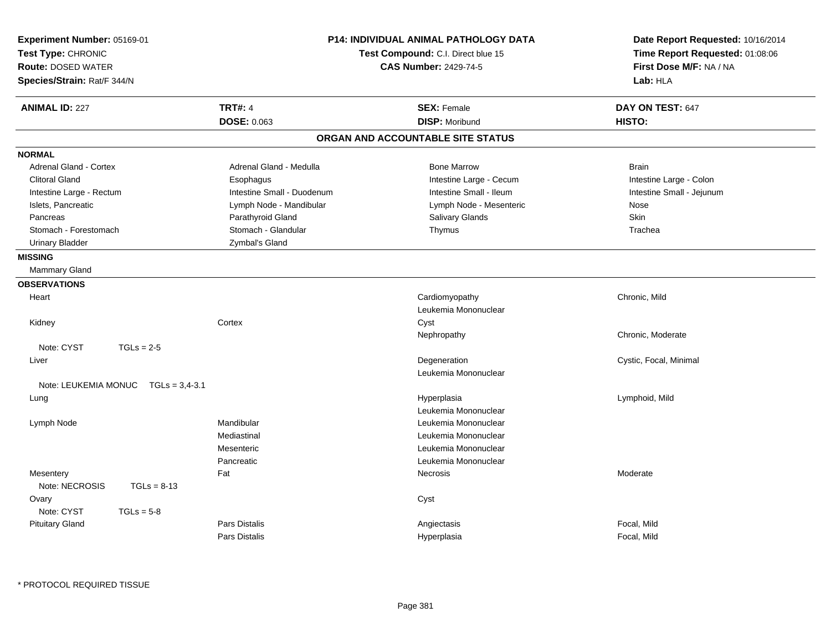| <b>TRT#: 4</b><br><b>ANIMAL ID: 227</b><br><b>SEX: Female</b><br>DAY ON TEST: 647<br><b>DOSE: 0.063</b><br><b>DISP: Moribund</b><br>HISTO:<br>ORGAN AND ACCOUNTABLE SITE STATUS<br><b>NORMAL</b><br><b>Adrenal Gland - Cortex</b><br>Adrenal Gland - Medulla<br><b>Bone Marrow</b><br><b>Brain</b><br><b>Clitoral Gland</b><br>Intestine Large - Cecum<br>Esophagus<br>Intestine Large - Colon<br>Intestine Small - Duodenum<br>Intestine Small - Ileum<br>Intestine Small - Jejunum<br>Intestine Large - Rectum<br>Islets, Pancreatic<br>Lymph Node - Mesenteric<br>Lymph Node - Mandibular<br>Nose<br><b>Skin</b><br>Parathyroid Gland<br>Salivary Glands<br>Pancreas<br>Stomach - Glandular<br>Stomach - Forestomach<br>Thymus<br>Trachea<br><b>Urinary Bladder</b><br>Zymbal's Gland<br><b>MISSING</b><br>Mammary Gland<br><b>OBSERVATIONS</b><br>Cardiomyopathy<br>Heart<br>Chronic, Mild<br>Leukemia Mononuclear<br>Kidney<br>Cortex<br>Cyst<br>Chronic, Moderate<br>Nephropathy<br>Note: CYST<br>$TGLs = 2-5$<br>Degeneration<br>Cystic, Focal, Minimal<br>Liver<br>Leukemia Mononuclear<br>Note: LEUKEMIA MONUC TGLs = 3.4-3.1<br>Lymphoid, Mild<br>Lung<br>Hyperplasia<br>Leukemia Mononuclear<br>Mandibular<br>Lymph Node<br>Leukemia Mononuclear<br>Mediastinal<br>Leukemia Mononuclear<br>Mesenteric<br>Leukemia Mononuclear<br>Pancreatic<br>Leukemia Mononuclear<br>Fat<br>Mesentery<br>Necrosis<br>Moderate<br>Note: NECROSIS<br>$TGLs = 8-13$<br>Ovary<br>Cyst<br>Note: CYST<br>$TGLs = 5-8$<br><b>Pars Distalis</b><br>Focal, Mild<br><b>Pituitary Gland</b><br>Angiectasis | Experiment Number: 05169-01<br>Test Type: CHRONIC<br><b>Route: DOSED WATER</b><br>Species/Strain: Rat/F 344/N |  | <b>P14: INDIVIDUAL ANIMAL PATHOLOGY DATA</b><br>Test Compound: C.I. Direct blue 15<br><b>CAS Number: 2429-74-5</b> | Date Report Requested: 10/16/2014<br>Time Report Requested: 01:08:06<br>First Dose M/F: NA / NA<br>Lab: HLA |
|----------------------------------------------------------------------------------------------------------------------------------------------------------------------------------------------------------------------------------------------------------------------------------------------------------------------------------------------------------------------------------------------------------------------------------------------------------------------------------------------------------------------------------------------------------------------------------------------------------------------------------------------------------------------------------------------------------------------------------------------------------------------------------------------------------------------------------------------------------------------------------------------------------------------------------------------------------------------------------------------------------------------------------------------------------------------------------------------------------------------------------------------------------------------------------------------------------------------------------------------------------------------------------------------------------------------------------------------------------------------------------------------------------------------------------------------------------------------------------------------------------------------------------------------------------------------------------------------|---------------------------------------------------------------------------------------------------------------|--|--------------------------------------------------------------------------------------------------------------------|-------------------------------------------------------------------------------------------------------------|
|                                                                                                                                                                                                                                                                                                                                                                                                                                                                                                                                                                                                                                                                                                                                                                                                                                                                                                                                                                                                                                                                                                                                                                                                                                                                                                                                                                                                                                                                                                                                                                                              |                                                                                                               |  |                                                                                                                    |                                                                                                             |
|                                                                                                                                                                                                                                                                                                                                                                                                                                                                                                                                                                                                                                                                                                                                                                                                                                                                                                                                                                                                                                                                                                                                                                                                                                                                                                                                                                                                                                                                                                                                                                                              |                                                                                                               |  |                                                                                                                    |                                                                                                             |
|                                                                                                                                                                                                                                                                                                                                                                                                                                                                                                                                                                                                                                                                                                                                                                                                                                                                                                                                                                                                                                                                                                                                                                                                                                                                                                                                                                                                                                                                                                                                                                                              |                                                                                                               |  |                                                                                                                    |                                                                                                             |
|                                                                                                                                                                                                                                                                                                                                                                                                                                                                                                                                                                                                                                                                                                                                                                                                                                                                                                                                                                                                                                                                                                                                                                                                                                                                                                                                                                                                                                                                                                                                                                                              |                                                                                                               |  |                                                                                                                    |                                                                                                             |
|                                                                                                                                                                                                                                                                                                                                                                                                                                                                                                                                                                                                                                                                                                                                                                                                                                                                                                                                                                                                                                                                                                                                                                                                                                                                                                                                                                                                                                                                                                                                                                                              |                                                                                                               |  |                                                                                                                    |                                                                                                             |
|                                                                                                                                                                                                                                                                                                                                                                                                                                                                                                                                                                                                                                                                                                                                                                                                                                                                                                                                                                                                                                                                                                                                                                                                                                                                                                                                                                                                                                                                                                                                                                                              |                                                                                                               |  |                                                                                                                    |                                                                                                             |
|                                                                                                                                                                                                                                                                                                                                                                                                                                                                                                                                                                                                                                                                                                                                                                                                                                                                                                                                                                                                                                                                                                                                                                                                                                                                                                                                                                                                                                                                                                                                                                                              |                                                                                                               |  |                                                                                                                    |                                                                                                             |
|                                                                                                                                                                                                                                                                                                                                                                                                                                                                                                                                                                                                                                                                                                                                                                                                                                                                                                                                                                                                                                                                                                                                                                                                                                                                                                                                                                                                                                                                                                                                                                                              |                                                                                                               |  |                                                                                                                    |                                                                                                             |
|                                                                                                                                                                                                                                                                                                                                                                                                                                                                                                                                                                                                                                                                                                                                                                                                                                                                                                                                                                                                                                                                                                                                                                                                                                                                                                                                                                                                                                                                                                                                                                                              |                                                                                                               |  |                                                                                                                    |                                                                                                             |
|                                                                                                                                                                                                                                                                                                                                                                                                                                                                                                                                                                                                                                                                                                                                                                                                                                                                                                                                                                                                                                                                                                                                                                                                                                                                                                                                                                                                                                                                                                                                                                                              |                                                                                                               |  |                                                                                                                    |                                                                                                             |
|                                                                                                                                                                                                                                                                                                                                                                                                                                                                                                                                                                                                                                                                                                                                                                                                                                                                                                                                                                                                                                                                                                                                                                                                                                                                                                                                                                                                                                                                                                                                                                                              |                                                                                                               |  |                                                                                                                    |                                                                                                             |
|                                                                                                                                                                                                                                                                                                                                                                                                                                                                                                                                                                                                                                                                                                                                                                                                                                                                                                                                                                                                                                                                                                                                                                                                                                                                                                                                                                                                                                                                                                                                                                                              |                                                                                                               |  |                                                                                                                    |                                                                                                             |
|                                                                                                                                                                                                                                                                                                                                                                                                                                                                                                                                                                                                                                                                                                                                                                                                                                                                                                                                                                                                                                                                                                                                                                                                                                                                                                                                                                                                                                                                                                                                                                                              |                                                                                                               |  |                                                                                                                    |                                                                                                             |
|                                                                                                                                                                                                                                                                                                                                                                                                                                                                                                                                                                                                                                                                                                                                                                                                                                                                                                                                                                                                                                                                                                                                                                                                                                                                                                                                                                                                                                                                                                                                                                                              |                                                                                                               |  |                                                                                                                    |                                                                                                             |
|                                                                                                                                                                                                                                                                                                                                                                                                                                                                                                                                                                                                                                                                                                                                                                                                                                                                                                                                                                                                                                                                                                                                                                                                                                                                                                                                                                                                                                                                                                                                                                                              |                                                                                                               |  |                                                                                                                    |                                                                                                             |
|                                                                                                                                                                                                                                                                                                                                                                                                                                                                                                                                                                                                                                                                                                                                                                                                                                                                                                                                                                                                                                                                                                                                                                                                                                                                                                                                                                                                                                                                                                                                                                                              |                                                                                                               |  |                                                                                                                    |                                                                                                             |
|                                                                                                                                                                                                                                                                                                                                                                                                                                                                                                                                                                                                                                                                                                                                                                                                                                                                                                                                                                                                                                                                                                                                                                                                                                                                                                                                                                                                                                                                                                                                                                                              |                                                                                                               |  |                                                                                                                    |                                                                                                             |
|                                                                                                                                                                                                                                                                                                                                                                                                                                                                                                                                                                                                                                                                                                                                                                                                                                                                                                                                                                                                                                                                                                                                                                                                                                                                                                                                                                                                                                                                                                                                                                                              |                                                                                                               |  |                                                                                                                    |                                                                                                             |
|                                                                                                                                                                                                                                                                                                                                                                                                                                                                                                                                                                                                                                                                                                                                                                                                                                                                                                                                                                                                                                                                                                                                                                                                                                                                                                                                                                                                                                                                                                                                                                                              |                                                                                                               |  |                                                                                                                    |                                                                                                             |
|                                                                                                                                                                                                                                                                                                                                                                                                                                                                                                                                                                                                                                                                                                                                                                                                                                                                                                                                                                                                                                                                                                                                                                                                                                                                                                                                                                                                                                                                                                                                                                                              |                                                                                                               |  |                                                                                                                    |                                                                                                             |
|                                                                                                                                                                                                                                                                                                                                                                                                                                                                                                                                                                                                                                                                                                                                                                                                                                                                                                                                                                                                                                                                                                                                                                                                                                                                                                                                                                                                                                                                                                                                                                                              |                                                                                                               |  |                                                                                                                    |                                                                                                             |
|                                                                                                                                                                                                                                                                                                                                                                                                                                                                                                                                                                                                                                                                                                                                                                                                                                                                                                                                                                                                                                                                                                                                                                                                                                                                                                                                                                                                                                                                                                                                                                                              |                                                                                                               |  |                                                                                                                    |                                                                                                             |
|                                                                                                                                                                                                                                                                                                                                                                                                                                                                                                                                                                                                                                                                                                                                                                                                                                                                                                                                                                                                                                                                                                                                                                                                                                                                                                                                                                                                                                                                                                                                                                                              |                                                                                                               |  |                                                                                                                    |                                                                                                             |
|                                                                                                                                                                                                                                                                                                                                                                                                                                                                                                                                                                                                                                                                                                                                                                                                                                                                                                                                                                                                                                                                                                                                                                                                                                                                                                                                                                                                                                                                                                                                                                                              |                                                                                                               |  |                                                                                                                    |                                                                                                             |
|                                                                                                                                                                                                                                                                                                                                                                                                                                                                                                                                                                                                                                                                                                                                                                                                                                                                                                                                                                                                                                                                                                                                                                                                                                                                                                                                                                                                                                                                                                                                                                                              |                                                                                                               |  |                                                                                                                    |                                                                                                             |
|                                                                                                                                                                                                                                                                                                                                                                                                                                                                                                                                                                                                                                                                                                                                                                                                                                                                                                                                                                                                                                                                                                                                                                                                                                                                                                                                                                                                                                                                                                                                                                                              |                                                                                                               |  |                                                                                                                    |                                                                                                             |
|                                                                                                                                                                                                                                                                                                                                                                                                                                                                                                                                                                                                                                                                                                                                                                                                                                                                                                                                                                                                                                                                                                                                                                                                                                                                                                                                                                                                                                                                                                                                                                                              |                                                                                                               |  |                                                                                                                    |                                                                                                             |
|                                                                                                                                                                                                                                                                                                                                                                                                                                                                                                                                                                                                                                                                                                                                                                                                                                                                                                                                                                                                                                                                                                                                                                                                                                                                                                                                                                                                                                                                                                                                                                                              |                                                                                                               |  |                                                                                                                    |                                                                                                             |
|                                                                                                                                                                                                                                                                                                                                                                                                                                                                                                                                                                                                                                                                                                                                                                                                                                                                                                                                                                                                                                                                                                                                                                                                                                                                                                                                                                                                                                                                                                                                                                                              |                                                                                                               |  |                                                                                                                    |                                                                                                             |
|                                                                                                                                                                                                                                                                                                                                                                                                                                                                                                                                                                                                                                                                                                                                                                                                                                                                                                                                                                                                                                                                                                                                                                                                                                                                                                                                                                                                                                                                                                                                                                                              |                                                                                                               |  |                                                                                                                    |                                                                                                             |
|                                                                                                                                                                                                                                                                                                                                                                                                                                                                                                                                                                                                                                                                                                                                                                                                                                                                                                                                                                                                                                                                                                                                                                                                                                                                                                                                                                                                                                                                                                                                                                                              |                                                                                                               |  |                                                                                                                    |                                                                                                             |
|                                                                                                                                                                                                                                                                                                                                                                                                                                                                                                                                                                                                                                                                                                                                                                                                                                                                                                                                                                                                                                                                                                                                                                                                                                                                                                                                                                                                                                                                                                                                                                                              |                                                                                                               |  |                                                                                                                    |                                                                                                             |
|                                                                                                                                                                                                                                                                                                                                                                                                                                                                                                                                                                                                                                                                                                                                                                                                                                                                                                                                                                                                                                                                                                                                                                                                                                                                                                                                                                                                                                                                                                                                                                                              |                                                                                                               |  |                                                                                                                    |                                                                                                             |
| Pars Distalis<br>Hyperplasia<br>Focal, Mild                                                                                                                                                                                                                                                                                                                                                                                                                                                                                                                                                                                                                                                                                                                                                                                                                                                                                                                                                                                                                                                                                                                                                                                                                                                                                                                                                                                                                                                                                                                                                  |                                                                                                               |  |                                                                                                                    |                                                                                                             |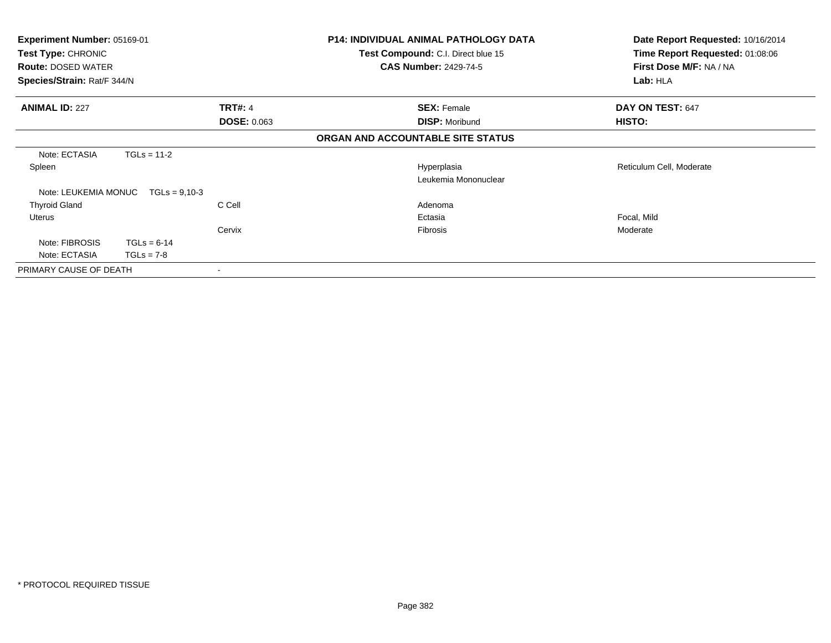| Experiment Number: 05169-01<br>Test Type: CHRONIC<br><b>Route: DOSED WATER</b><br>Species/Strain: Rat/F 344/N |                 |                    | <b>P14: INDIVIDUAL ANIMAL PATHOLOGY DATA</b><br>Test Compound: C.I. Direct blue 15<br><b>CAS Number: 2429-74-5</b> | Date Report Requested: 10/16/2014<br>Time Report Requested: 01:08:06<br>First Dose M/F: NA / NA<br>Lab: HLA |
|---------------------------------------------------------------------------------------------------------------|-----------------|--------------------|--------------------------------------------------------------------------------------------------------------------|-------------------------------------------------------------------------------------------------------------|
| <b>ANIMAL ID: 227</b>                                                                                         |                 | <b>TRT#: 4</b>     | <b>SEX: Female</b>                                                                                                 | DAY ON TEST: 647                                                                                            |
|                                                                                                               |                 | <b>DOSE: 0.063</b> | <b>DISP: Moribund</b>                                                                                              | HISTO:                                                                                                      |
|                                                                                                               |                 |                    | ORGAN AND ACCOUNTABLE SITE STATUS                                                                                  |                                                                                                             |
| Note: ECTASIA                                                                                                 | $TGLs = 11-2$   |                    |                                                                                                                    |                                                                                                             |
| Spleen                                                                                                        |                 |                    | Hyperplasia                                                                                                        | Reticulum Cell, Moderate                                                                                    |
|                                                                                                               |                 |                    | Leukemia Mononuclear                                                                                               |                                                                                                             |
| Note: LEUKEMIA MONUC                                                                                          | $TGLs = 9.10-3$ |                    |                                                                                                                    |                                                                                                             |
| <b>Thyroid Gland</b>                                                                                          |                 | C Cell             | Adenoma                                                                                                            |                                                                                                             |
| <b>Uterus</b>                                                                                                 |                 |                    | Ectasia                                                                                                            | Focal, Mild                                                                                                 |
|                                                                                                               |                 | Cervix             | <b>Fibrosis</b>                                                                                                    | Moderate                                                                                                    |
| Note: FIBROSIS                                                                                                | $TGLs = 6-14$   |                    |                                                                                                                    |                                                                                                             |
| Note: ECTASIA                                                                                                 | $TGLs = 7-8$    |                    |                                                                                                                    |                                                                                                             |
| PRIMARY CAUSE OF DEATH                                                                                        |                 |                    |                                                                                                                    |                                                                                                             |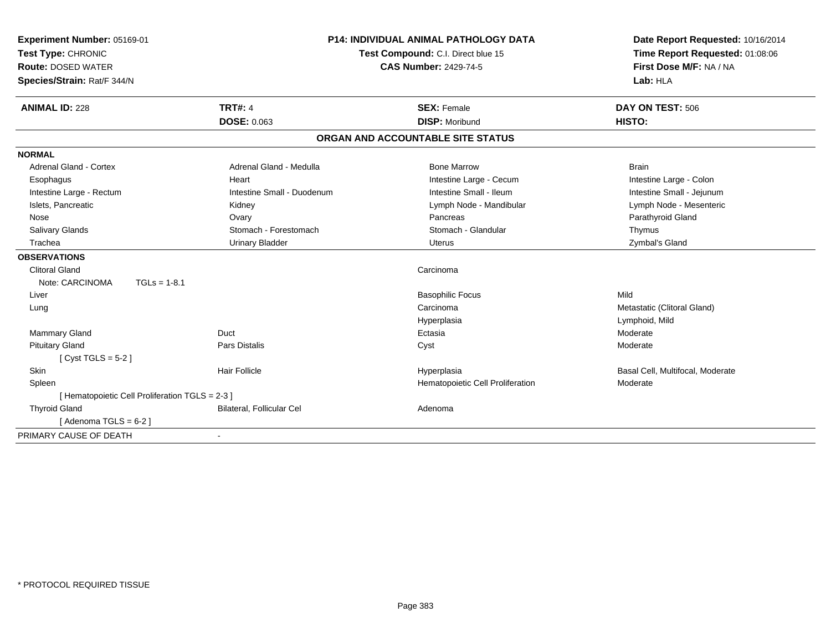| Experiment Number: 05169-01                     |                            | <b>P14: INDIVIDUAL ANIMAL PATHOLOGY DATA</b> | Date Report Requested: 10/16/2014 |
|-------------------------------------------------|----------------------------|----------------------------------------------|-----------------------------------|
| Test Type: CHRONIC                              |                            | Test Compound: C.I. Direct blue 15           | Time Report Requested: 01:08:06   |
| <b>Route: DOSED WATER</b>                       |                            | <b>CAS Number: 2429-74-5</b>                 | First Dose M/F: NA / NA           |
| Species/Strain: Rat/F 344/N                     |                            |                                              | Lab: HLA                          |
| <b>ANIMAL ID: 228</b>                           | <b>TRT#: 4</b>             | <b>SEX: Female</b>                           | DAY ON TEST: 506                  |
|                                                 | <b>DOSE: 0.063</b>         | <b>DISP: Moribund</b>                        | HISTO:                            |
|                                                 |                            | ORGAN AND ACCOUNTABLE SITE STATUS            |                                   |
| <b>NORMAL</b>                                   |                            |                                              |                                   |
| <b>Adrenal Gland - Cortex</b>                   | Adrenal Gland - Medulla    | <b>Bone Marrow</b>                           | <b>Brain</b>                      |
| Esophagus                                       | Heart                      | Intestine Large - Cecum                      | Intestine Large - Colon           |
| Intestine Large - Rectum                        | Intestine Small - Duodenum | Intestine Small - Ileum                      | Intestine Small - Jejunum         |
| Islets, Pancreatic                              | Kidney                     | Lymph Node - Mandibular                      | Lymph Node - Mesenteric           |
| Nose                                            | Ovary                      | Pancreas                                     | Parathyroid Gland                 |
| <b>Salivary Glands</b>                          | Stomach - Forestomach      | Stomach - Glandular                          | Thymus                            |
| Trachea                                         | <b>Urinary Bladder</b>     | Uterus                                       | Zymbal's Gland                    |
| <b>OBSERVATIONS</b>                             |                            |                                              |                                   |
| <b>Clitoral Gland</b>                           |                            | Carcinoma                                    |                                   |
| Note: CARCINOMA<br>$TGLs = 1-8.1$               |                            |                                              |                                   |
| Liver                                           |                            | <b>Basophilic Focus</b>                      | Mild                              |
| Lung                                            |                            | Carcinoma                                    | Metastatic (Clitoral Gland)       |
|                                                 |                            | Hyperplasia                                  | Lymphoid, Mild                    |
| Mammary Gland                                   | Duct                       | Ectasia                                      | Moderate                          |
| <b>Pituitary Gland</b>                          | <b>Pars Distalis</b>       | Cyst                                         | Moderate                          |
| [ $Cyst TGLS = 5-2$ ]                           |                            |                                              |                                   |
| Skin                                            | <b>Hair Follicle</b>       | Hyperplasia                                  | Basal Cell, Multifocal, Moderate  |
| Spleen                                          |                            | Hematopoietic Cell Proliferation             | Moderate                          |
| [ Hematopoietic Cell Proliferation TGLS = 2-3 ] |                            |                                              |                                   |
| <b>Thyroid Gland</b>                            | Bilateral, Follicular Cel  | Adenoma                                      |                                   |
| [Adenoma TGLS = $6-2$ ]                         |                            |                                              |                                   |
| PRIMARY CAUSE OF DEATH                          |                            |                                              |                                   |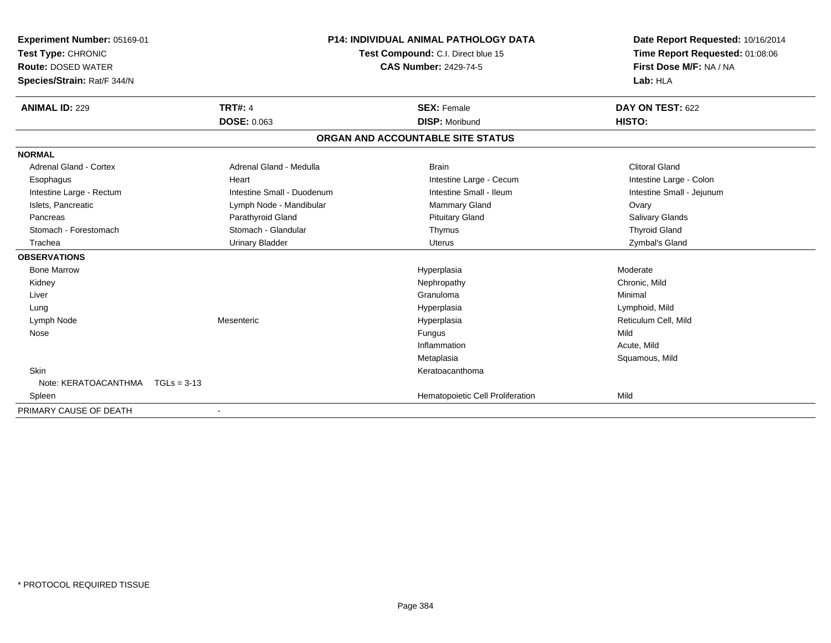| <b>Experiment Number: 05169-01</b><br>Test Type: CHRONIC | <b>P14: INDIVIDUAL ANIMAL PATHOLOGY DATA</b><br>Test Compound: C.I. Direct blue 15<br><b>CAS Number: 2429-74-5</b> |                                   | Date Report Requested: 10/16/2014<br>Time Report Requested: 01:08:06 |
|----------------------------------------------------------|--------------------------------------------------------------------------------------------------------------------|-----------------------------------|----------------------------------------------------------------------|
| <b>Route: DOSED WATER</b>                                |                                                                                                                    |                                   | First Dose M/F: NA / NA                                              |
| Species/Strain: Rat/F 344/N                              |                                                                                                                    |                                   | Lab: HLA                                                             |
| <b>ANIMAL ID: 229</b>                                    | <b>TRT#: 4</b>                                                                                                     | <b>SEX: Female</b>                | DAY ON TEST: 622                                                     |
|                                                          | <b>DOSE: 0.063</b>                                                                                                 | <b>DISP: Moribund</b>             | HISTO:                                                               |
|                                                          |                                                                                                                    | ORGAN AND ACCOUNTABLE SITE STATUS |                                                                      |
| <b>NORMAL</b>                                            |                                                                                                                    |                                   |                                                                      |
| <b>Adrenal Gland - Cortex</b>                            | Adrenal Gland - Medulla                                                                                            | <b>Brain</b>                      | <b>Clitoral Gland</b>                                                |
| Esophagus                                                | Heart                                                                                                              | Intestine Large - Cecum           | Intestine Large - Colon                                              |
| Intestine Large - Rectum                                 | Intestine Small - Duodenum                                                                                         | Intestine Small - Ileum           | Intestine Small - Jejunum                                            |
| Islets, Pancreatic                                       | Lymph Node - Mandibular                                                                                            | Mammary Gland                     | Ovary                                                                |
| Pancreas                                                 | Parathyroid Gland                                                                                                  | <b>Pituitary Gland</b>            | <b>Salivary Glands</b>                                               |
| Stomach - Forestomach                                    | Stomach - Glandular                                                                                                | Thymus                            | <b>Thyroid Gland</b>                                                 |
| Trachea                                                  | <b>Urinary Bladder</b>                                                                                             | Uterus                            | Zymbal's Gland                                                       |
| <b>OBSERVATIONS</b>                                      |                                                                                                                    |                                   |                                                                      |
| <b>Bone Marrow</b>                                       |                                                                                                                    | Hyperplasia                       | Moderate                                                             |
| Kidney                                                   |                                                                                                                    | Nephropathy                       | Chronic, Mild                                                        |
| Liver                                                    |                                                                                                                    | Granuloma                         | Minimal                                                              |
| Lung                                                     |                                                                                                                    | Hyperplasia                       | Lymphoid, Mild                                                       |
| Lymph Node                                               | Mesenteric                                                                                                         | Hyperplasia                       | Reticulum Cell, Mild                                                 |
| Nose                                                     |                                                                                                                    | <b>Fungus</b>                     | Mild                                                                 |
|                                                          |                                                                                                                    | Inflammation                      | Acute, Mild                                                          |
|                                                          |                                                                                                                    | Metaplasia                        | Squamous, Mild                                                       |
| <b>Skin</b>                                              |                                                                                                                    | Keratoacanthoma                   |                                                                      |
| Note: KERATOACANTHMA   TGLs = 3-13                       |                                                                                                                    |                                   |                                                                      |
| Spleen                                                   |                                                                                                                    | Hematopoietic Cell Proliferation  | Mild                                                                 |
| PRIMARY CAUSE OF DEATH                                   |                                                                                                                    |                                   |                                                                      |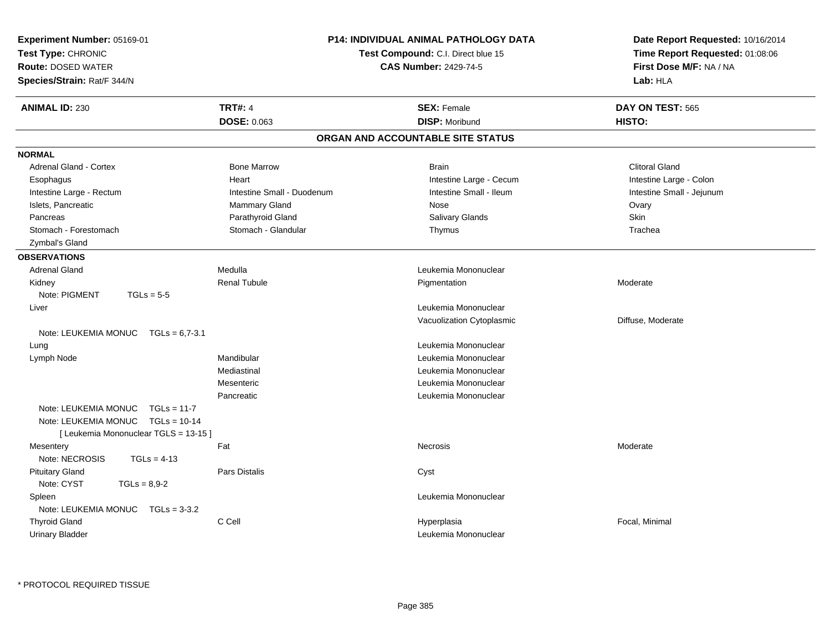| Experiment Number: 05169-01<br>Test Type: CHRONIC<br>Route: DOSED WATER<br>Species/Strain: Rat/F 344/N | P14: INDIVIDUAL ANIMAL PATHOLOGY DATA<br>Test Compound: C.I. Direct blue 15<br><b>CAS Number: 2429-74-5</b> |                                   | Date Report Requested: 10/16/2014<br>Time Report Requested: 01:08:06<br>First Dose M/F: NA / NA<br>Lab: HLA |  |
|--------------------------------------------------------------------------------------------------------|-------------------------------------------------------------------------------------------------------------|-----------------------------------|-------------------------------------------------------------------------------------------------------------|--|
| <b>ANIMAL ID: 230</b>                                                                                  | <b>TRT#: 4</b>                                                                                              | <b>SEX: Female</b>                | DAY ON TEST: 565                                                                                            |  |
|                                                                                                        | <b>DOSE: 0.063</b>                                                                                          | <b>DISP: Moribund</b>             | HISTO:                                                                                                      |  |
|                                                                                                        |                                                                                                             | ORGAN AND ACCOUNTABLE SITE STATUS |                                                                                                             |  |
| <b>NORMAL</b>                                                                                          |                                                                                                             |                                   |                                                                                                             |  |
| Adrenal Gland - Cortex                                                                                 | <b>Bone Marrow</b>                                                                                          | <b>Brain</b>                      | <b>Clitoral Gland</b>                                                                                       |  |
| Esophagus                                                                                              | Heart                                                                                                       | Intestine Large - Cecum           | Intestine Large - Colon                                                                                     |  |
| Intestine Large - Rectum                                                                               | Intestine Small - Duodenum                                                                                  | Intestine Small - Ileum           | Intestine Small - Jejunum                                                                                   |  |
| Islets, Pancreatic                                                                                     | Mammary Gland                                                                                               | Nose                              | Ovary                                                                                                       |  |
| Pancreas                                                                                               | Parathyroid Gland                                                                                           | Salivary Glands                   | Skin                                                                                                        |  |
| Stomach - Forestomach                                                                                  | Stomach - Glandular                                                                                         | Thymus                            | Trachea                                                                                                     |  |
| Zymbal's Gland                                                                                         |                                                                                                             |                                   |                                                                                                             |  |
| <b>OBSERVATIONS</b>                                                                                    |                                                                                                             |                                   |                                                                                                             |  |
| <b>Adrenal Gland</b>                                                                                   | Medulla                                                                                                     | Leukemia Mononuclear              |                                                                                                             |  |
| Kidney                                                                                                 | <b>Renal Tubule</b>                                                                                         | Pigmentation                      | Moderate                                                                                                    |  |
| Note: PIGMENT<br>$TGLs = 5-5$                                                                          |                                                                                                             |                                   |                                                                                                             |  |
| Liver                                                                                                  |                                                                                                             | Leukemia Mononuclear              |                                                                                                             |  |
|                                                                                                        |                                                                                                             | Vacuolization Cytoplasmic         | Diffuse, Moderate                                                                                           |  |
| Note: LEUKEMIA MONUC $TGLs = 6.7-3.1$                                                                  |                                                                                                             |                                   |                                                                                                             |  |
| Lung                                                                                                   |                                                                                                             | Leukemia Mononuclear              |                                                                                                             |  |
| Lymph Node                                                                                             | Mandibular                                                                                                  | Leukemia Mononuclear              |                                                                                                             |  |
|                                                                                                        | Mediastinal                                                                                                 | Leukemia Mononuclear              |                                                                                                             |  |
|                                                                                                        | Mesenteric                                                                                                  | Leukemia Mononuclear              |                                                                                                             |  |
|                                                                                                        | Pancreatic                                                                                                  | Leukemia Mononuclear              |                                                                                                             |  |
| Note: LEUKEMIA MONUC<br>$TGLs = 11-7$                                                                  |                                                                                                             |                                   |                                                                                                             |  |
| Note: LEUKEMIA MONUC<br>$TGLs = 10-14$                                                                 |                                                                                                             |                                   |                                                                                                             |  |
| [ Leukemia Mononuclear TGLS = 13-15 ]                                                                  |                                                                                                             |                                   |                                                                                                             |  |
| Mesentery                                                                                              | Fat                                                                                                         | Necrosis                          | Moderate                                                                                                    |  |
| Note: NECROSIS<br>$TGLs = 4-13$                                                                        |                                                                                                             |                                   |                                                                                                             |  |
| <b>Pituitary Gland</b>                                                                                 | <b>Pars Distalis</b>                                                                                        | Cyst                              |                                                                                                             |  |
| Note: CYST<br>$TGLs = 8,9-2$                                                                           |                                                                                                             |                                   |                                                                                                             |  |
| Spleen                                                                                                 |                                                                                                             | Leukemia Mononuclear              |                                                                                                             |  |
| Note: LEUKEMIA MONUC<br>$TGLs = 3-3.2$                                                                 |                                                                                                             |                                   |                                                                                                             |  |
| <b>Thyroid Gland</b>                                                                                   | C Cell                                                                                                      | Hyperplasia                       | Focal, Minimal                                                                                              |  |
| Urinary Bladder                                                                                        |                                                                                                             | Leukemia Mononuclear              |                                                                                                             |  |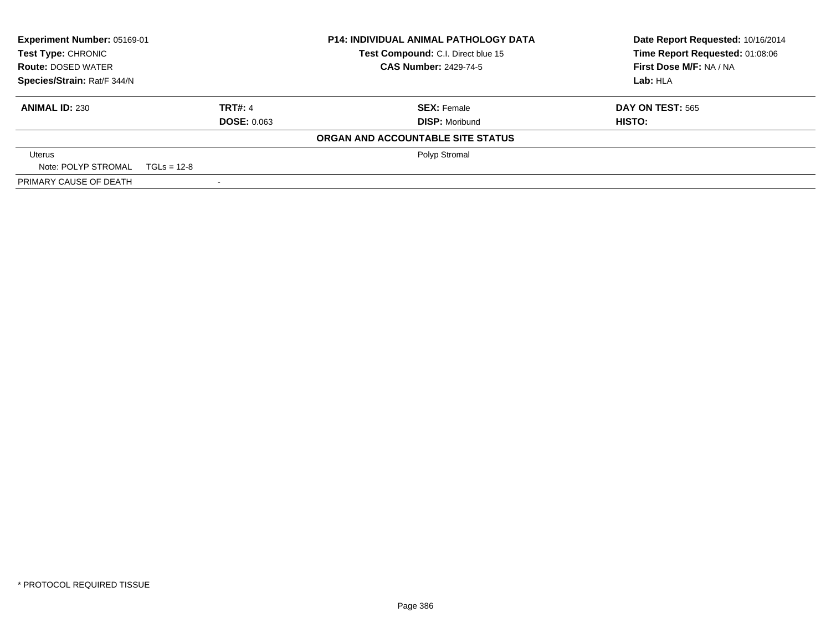| Experiment Number: 05169-01<br><b>Test Type: CHRONIC</b> |                    | <b>P14: INDIVIDUAL ANIMAL PATHOLOGY DATA</b> | Date Report Requested: 10/16/2014 |
|----------------------------------------------------------|--------------------|----------------------------------------------|-----------------------------------|
|                                                          |                    | Test Compound: C.I. Direct blue 15           | Time Report Requested: 01:08:06   |
| <b>Route: DOSED WATER</b>                                |                    | <b>CAS Number: 2429-74-5</b>                 | First Dose M/F: NA / NA           |
| Species/Strain: Rat/F 344/N                              |                    |                                              | Lab: HLA                          |
| <b>ANIMAL ID: 230</b>                                    | <b>TRT#: 4</b>     | <b>SEX: Female</b>                           | <b>DAY ON TEST: 565</b>           |
|                                                          | <b>DOSE: 0.063</b> | <b>DISP: Moribund</b>                        | HISTO:                            |
|                                                          |                    | ORGAN AND ACCOUNTABLE SITE STATUS            |                                   |
| Uterus                                                   |                    | Polyp Stromal                                |                                   |
| Note: POLYP STROMAL TGLs = 12-8                          |                    |                                              |                                   |
| PRIMARY CAUSE OF DEATH                                   |                    |                                              |                                   |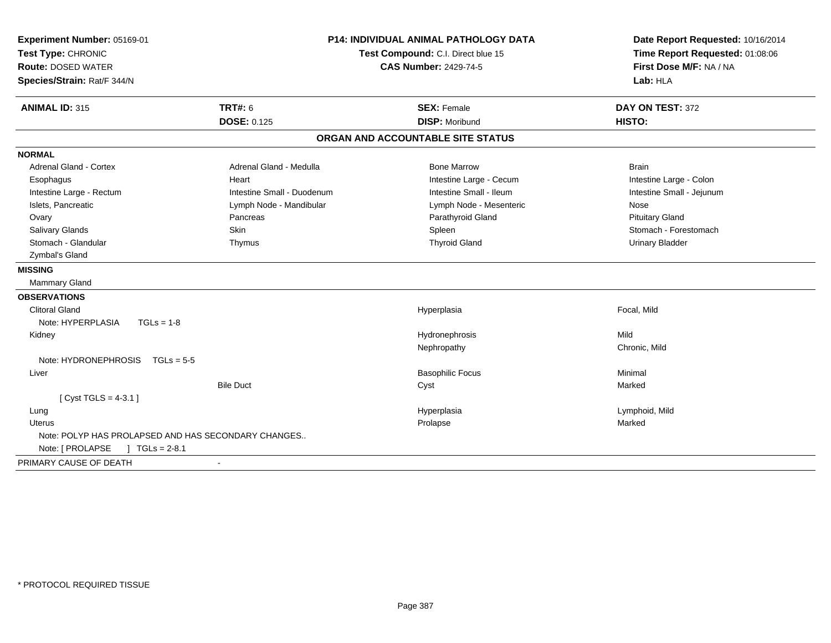| Experiment Number: 05169-01<br>Test Type: CHRONIC<br><b>Route: DOSED WATER</b><br>Species/Strain: Rat/F 344/N | <b>P14: INDIVIDUAL ANIMAL PATHOLOGY DATA</b><br>Test Compound: C.I. Direct blue 15<br><b>CAS Number: 2429-74-5</b> |                                             | Date Report Requested: 10/16/2014<br>Time Report Requested: 01:08:06<br>First Dose M/F: NA / NA<br>Lab: HLA |  |
|---------------------------------------------------------------------------------------------------------------|--------------------------------------------------------------------------------------------------------------------|---------------------------------------------|-------------------------------------------------------------------------------------------------------------|--|
| <b>ANIMAL ID: 315</b>                                                                                         | <b>TRT#: 6</b><br><b>DOSE: 0.125</b>                                                                               | <b>SEX: Female</b><br><b>DISP: Moribund</b> | DAY ON TEST: 372<br>HISTO:                                                                                  |  |
|                                                                                                               |                                                                                                                    | ORGAN AND ACCOUNTABLE SITE STATUS           |                                                                                                             |  |
| <b>NORMAL</b>                                                                                                 |                                                                                                                    |                                             |                                                                                                             |  |
| <b>Adrenal Gland - Cortex</b>                                                                                 | Adrenal Gland - Medulla                                                                                            | <b>Bone Marrow</b>                          | <b>Brain</b>                                                                                                |  |
| Esophagus                                                                                                     | Heart                                                                                                              | Intestine Large - Cecum                     | Intestine Large - Colon                                                                                     |  |
| Intestine Large - Rectum                                                                                      | Intestine Small - Duodenum                                                                                         | Intestine Small - Ileum                     | Intestine Small - Jejunum                                                                                   |  |
| Islets, Pancreatic                                                                                            | Lymph Node - Mandibular                                                                                            | Lymph Node - Mesenteric                     | Nose                                                                                                        |  |
| Ovary                                                                                                         | Pancreas                                                                                                           | Parathyroid Gland                           | <b>Pituitary Gland</b>                                                                                      |  |
| Salivary Glands                                                                                               | Skin                                                                                                               | Spleen                                      | Stomach - Forestomach                                                                                       |  |
| Stomach - Glandular                                                                                           | Thymus                                                                                                             | <b>Thyroid Gland</b>                        | <b>Urinary Bladder</b>                                                                                      |  |
| Zymbal's Gland                                                                                                |                                                                                                                    |                                             |                                                                                                             |  |
| <b>MISSING</b>                                                                                                |                                                                                                                    |                                             |                                                                                                             |  |
| Mammary Gland                                                                                                 |                                                                                                                    |                                             |                                                                                                             |  |
| <b>OBSERVATIONS</b>                                                                                           |                                                                                                                    |                                             |                                                                                                             |  |
| <b>Clitoral Gland</b>                                                                                         |                                                                                                                    | Hyperplasia                                 | Focal, Mild                                                                                                 |  |
| Note: HYPERPLASIA<br>$TGLs = 1-8$                                                                             |                                                                                                                    |                                             |                                                                                                             |  |
| Kidney                                                                                                        |                                                                                                                    | Hydronephrosis                              | Mild                                                                                                        |  |
|                                                                                                               |                                                                                                                    | Nephropathy                                 | Chronic, Mild                                                                                               |  |
| Note: $HYDRONEPHROSIS$ TGLs = 5-5                                                                             |                                                                                                                    |                                             |                                                                                                             |  |
| Liver                                                                                                         |                                                                                                                    | <b>Basophilic Focus</b>                     | Minimal                                                                                                     |  |
|                                                                                                               | <b>Bile Duct</b>                                                                                                   | Cyst                                        | Marked                                                                                                      |  |
| [Cyst TGLS = $4-3.1$ ]                                                                                        |                                                                                                                    |                                             |                                                                                                             |  |
| Lung                                                                                                          |                                                                                                                    | Hyperplasia                                 | Lymphoid, Mild                                                                                              |  |
| Uterus                                                                                                        |                                                                                                                    | Prolapse                                    | Marked                                                                                                      |  |
| Note: POLYP HAS PROLAPSED AND HAS SECONDARY CHANGES                                                           |                                                                                                                    |                                             |                                                                                                             |  |
| Note: [ PROLAPSE<br>$\sqrt{1}$ TGLs = 2-8.1                                                                   |                                                                                                                    |                                             |                                                                                                             |  |
| PRIMARY CAUSE OF DEATH                                                                                        |                                                                                                                    |                                             |                                                                                                             |  |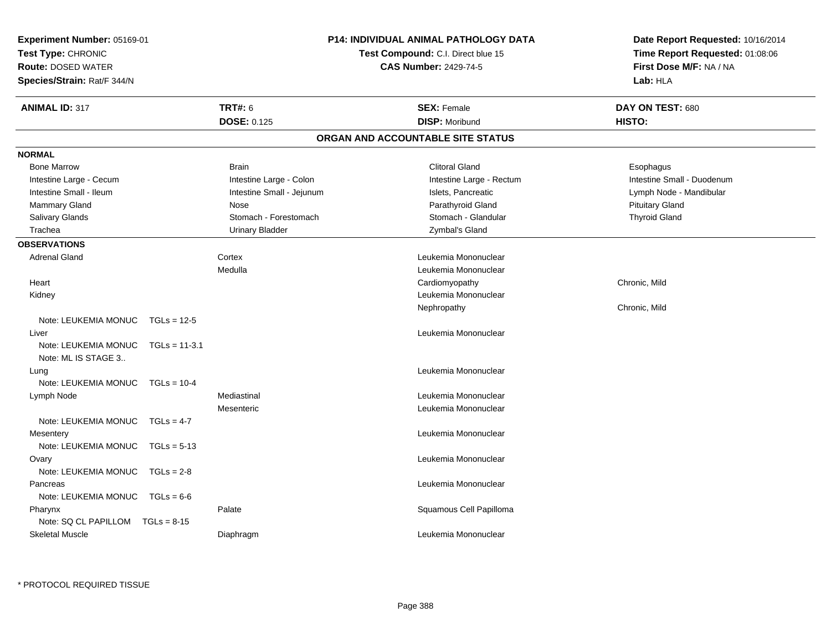| Experiment Number: 05169-01<br>Test Type: CHRONIC<br><b>Route: DOSED WATER</b><br>Species/Strain: Rat/F 344/N | <b>P14: INDIVIDUAL ANIMAL PATHOLOGY DATA</b><br>Test Compound: C.I. Direct blue 15<br><b>CAS Number: 2429-74-5</b> |                                   | Date Report Requested: 10/16/2014<br>Time Report Requested: 01:08:06<br>First Dose M/F: NA / NA<br>Lab: HLA |  |
|---------------------------------------------------------------------------------------------------------------|--------------------------------------------------------------------------------------------------------------------|-----------------------------------|-------------------------------------------------------------------------------------------------------------|--|
| <b>ANIMAL ID: 317</b>                                                                                         | <b>TRT#: 6</b>                                                                                                     | <b>SEX: Female</b>                | DAY ON TEST: 680                                                                                            |  |
|                                                                                                               | DOSE: 0.125                                                                                                        | <b>DISP: Moribund</b>             | HISTO:                                                                                                      |  |
|                                                                                                               |                                                                                                                    | ORGAN AND ACCOUNTABLE SITE STATUS |                                                                                                             |  |
| <b>NORMAL</b>                                                                                                 |                                                                                                                    |                                   |                                                                                                             |  |
| <b>Bone Marrow</b>                                                                                            | <b>Brain</b>                                                                                                       | <b>Clitoral Gland</b>             | Esophagus                                                                                                   |  |
| Intestine Large - Cecum                                                                                       | Intestine Large - Colon                                                                                            | Intestine Large - Rectum          | Intestine Small - Duodenum                                                                                  |  |
| Intestine Small - Ileum                                                                                       | Intestine Small - Jejunum                                                                                          | Islets, Pancreatic                | Lymph Node - Mandibular                                                                                     |  |
| <b>Mammary Gland</b>                                                                                          | Nose                                                                                                               | Parathyroid Gland                 | <b>Pituitary Gland</b>                                                                                      |  |
| Salivary Glands                                                                                               | Stomach - Forestomach                                                                                              | Stomach - Glandular               | <b>Thyroid Gland</b>                                                                                        |  |
| Trachea                                                                                                       | <b>Urinary Bladder</b>                                                                                             | Zymbal's Gland                    |                                                                                                             |  |
| <b>OBSERVATIONS</b>                                                                                           |                                                                                                                    |                                   |                                                                                                             |  |
| <b>Adrenal Gland</b>                                                                                          | Cortex                                                                                                             | Leukemia Mononuclear              |                                                                                                             |  |
|                                                                                                               | Medulla                                                                                                            | Leukemia Mononuclear              |                                                                                                             |  |
| Heart                                                                                                         |                                                                                                                    | Cardiomyopathy                    | Chronic, Mild                                                                                               |  |
| Kidney                                                                                                        |                                                                                                                    | Leukemia Mononuclear              |                                                                                                             |  |
|                                                                                                               |                                                                                                                    | Nephropathy                       | Chronic, Mild                                                                                               |  |
| Note: LEUKEMIA MONUC<br>$TGLs = 12-5$                                                                         |                                                                                                                    |                                   |                                                                                                             |  |
| Liver                                                                                                         |                                                                                                                    | Leukemia Mononuclear              |                                                                                                             |  |
| Note: LEUKEMIA MONUC<br>$TGLs = 11-3.1$<br>Note: ML IS STAGE 3                                                |                                                                                                                    |                                   |                                                                                                             |  |
| Lung                                                                                                          |                                                                                                                    | Leukemia Mononuclear              |                                                                                                             |  |
| Note: LEUKEMIA MONUC<br>$TGLs = 10-4$                                                                         |                                                                                                                    |                                   |                                                                                                             |  |
| Lymph Node                                                                                                    | Mediastinal                                                                                                        | Leukemia Mononuclear              |                                                                                                             |  |
|                                                                                                               | Mesenteric                                                                                                         | Leukemia Mononuclear              |                                                                                                             |  |
| Note: LEUKEMIA MONUC<br>$TGLs = 4-7$                                                                          |                                                                                                                    |                                   |                                                                                                             |  |
| Mesentery                                                                                                     |                                                                                                                    | Leukemia Mononuclear              |                                                                                                             |  |
| Note: LEUKEMIA MONUC<br>$TGLs = 5-13$                                                                         |                                                                                                                    |                                   |                                                                                                             |  |
| Ovary                                                                                                         |                                                                                                                    | Leukemia Mononuclear              |                                                                                                             |  |
| Note: LEUKEMIA MONUC<br>$TGLs = 2-8$                                                                          |                                                                                                                    |                                   |                                                                                                             |  |
| Pancreas                                                                                                      |                                                                                                                    | Leukemia Mononuclear              |                                                                                                             |  |
| Note: LEUKEMIA MONUC<br>$TGLs = 6-6$                                                                          |                                                                                                                    |                                   |                                                                                                             |  |
| Pharynx                                                                                                       | Palate                                                                                                             | Squamous Cell Papilloma           |                                                                                                             |  |
| Note: SQ CL PAPILLOM<br>$TGLs = 8-15$                                                                         |                                                                                                                    |                                   |                                                                                                             |  |
| <b>Skeletal Muscle</b>                                                                                        | Diaphragm                                                                                                          | Leukemia Mononuclear              |                                                                                                             |  |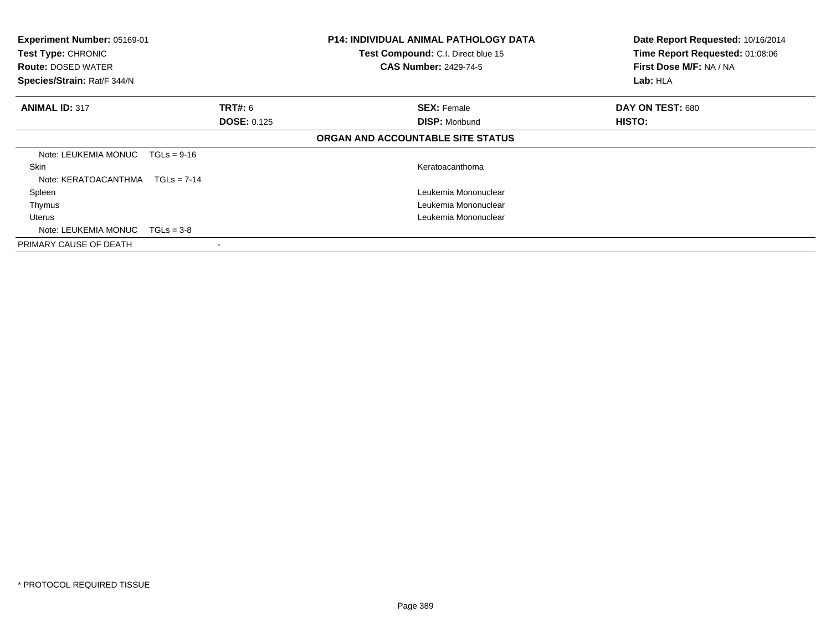| Experiment Number: 05169-01<br>Test Type: CHRONIC<br><b>Route: DOSED WATER</b><br>Species/Strain: Rat/F 344/N |                    | <b>P14: INDIVIDUAL ANIMAL PATHOLOGY DATA</b><br>Test Compound: C.I. Direct blue 15<br><b>CAS Number: 2429-74-5</b> | Date Report Requested: 10/16/2014<br>Time Report Requested: 01:08:06<br>First Dose M/F: NA / NA<br>Lab: HLA |
|---------------------------------------------------------------------------------------------------------------|--------------------|--------------------------------------------------------------------------------------------------------------------|-------------------------------------------------------------------------------------------------------------|
| <b>ANIMAL ID: 317</b>                                                                                         | <b>TRT#: 6</b>     | <b>SEX: Female</b>                                                                                                 | DAY ON TEST: 680                                                                                            |
|                                                                                                               | <b>DOSE: 0.125</b> | <b>DISP: Moribund</b>                                                                                              | <b>HISTO:</b>                                                                                               |
|                                                                                                               |                    | ORGAN AND ACCOUNTABLE SITE STATUS                                                                                  |                                                                                                             |
| Note: LEUKEMIA MONUC                                                                                          | $TGLs = 9-16$      |                                                                                                                    |                                                                                                             |
| Skin                                                                                                          |                    | Keratoacanthoma                                                                                                    |                                                                                                             |
| Note: KERATOACANTHMA                                                                                          | $TGLs = 7-14$      |                                                                                                                    |                                                                                                             |
| Spleen                                                                                                        |                    | Leukemia Mononuclear                                                                                               |                                                                                                             |
| Thymus                                                                                                        |                    | Leukemia Mononuclear                                                                                               |                                                                                                             |
| Uterus                                                                                                        |                    | Leukemia Mononuclear                                                                                               |                                                                                                             |
| Note: LEUKEMIA MONUC                                                                                          | $TGLs = 3-8$       |                                                                                                                    |                                                                                                             |
| PRIMARY CAUSE OF DEATH                                                                                        |                    |                                                                                                                    |                                                                                                             |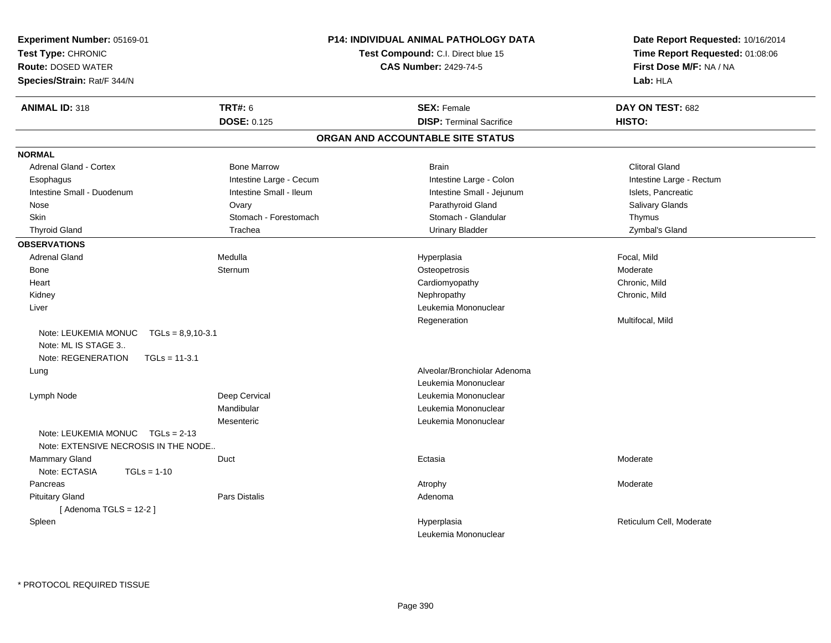| Experiment Number: 05169-01<br>Test Type: CHRONIC<br><b>Route: DOSED WATER</b><br>Species/Strain: Rat/F 344/N |                         | P14: INDIVIDUAL ANIMAL PATHOLOGY DATA<br>Test Compound: C.I. Direct blue 15<br><b>CAS Number: 2429-74-5</b> | Date Report Requested: 10/16/2014<br>Time Report Requested: 01:08:06<br>First Dose M/F: NA / NA<br>Lab: HLA |
|---------------------------------------------------------------------------------------------------------------|-------------------------|-------------------------------------------------------------------------------------------------------------|-------------------------------------------------------------------------------------------------------------|
| <b>ANIMAL ID: 318</b>                                                                                         | <b>TRT#: 6</b>          | <b>SEX: Female</b>                                                                                          | DAY ON TEST: 682                                                                                            |
|                                                                                                               | <b>DOSE: 0.125</b>      | <b>DISP: Terminal Sacrifice</b>                                                                             | HISTO:                                                                                                      |
|                                                                                                               |                         | ORGAN AND ACCOUNTABLE SITE STATUS                                                                           |                                                                                                             |
| <b>NORMAL</b>                                                                                                 |                         |                                                                                                             |                                                                                                             |
| Adrenal Gland - Cortex                                                                                        | <b>Bone Marrow</b>      | <b>Brain</b>                                                                                                | <b>Clitoral Gland</b>                                                                                       |
| Esophagus                                                                                                     | Intestine Large - Cecum | Intestine Large - Colon                                                                                     | Intestine Large - Rectum                                                                                    |
| Intestine Small - Duodenum                                                                                    | Intestine Small - Ileum | Intestine Small - Jejunum                                                                                   | Islets, Pancreatic                                                                                          |
| Nose                                                                                                          | Ovary                   | Parathyroid Gland                                                                                           | Salivary Glands                                                                                             |
| Skin                                                                                                          | Stomach - Forestomach   | Stomach - Glandular                                                                                         | Thymus                                                                                                      |
| <b>Thyroid Gland</b>                                                                                          | Trachea                 | <b>Urinary Bladder</b>                                                                                      | Zymbal's Gland                                                                                              |
| <b>OBSERVATIONS</b>                                                                                           |                         |                                                                                                             |                                                                                                             |
| <b>Adrenal Gland</b>                                                                                          | Medulla                 | Hyperplasia                                                                                                 | Focal, Mild                                                                                                 |
| Bone                                                                                                          | Sternum                 | Osteopetrosis                                                                                               | Moderate                                                                                                    |
| Heart                                                                                                         |                         | Cardiomyopathy                                                                                              | Chronic, Mild                                                                                               |
| Kidney                                                                                                        |                         | Nephropathy                                                                                                 | Chronic, Mild                                                                                               |
| Liver                                                                                                         |                         | Leukemia Mononuclear                                                                                        |                                                                                                             |
|                                                                                                               |                         | Regeneration                                                                                                | Multifocal, Mild                                                                                            |
| Note: LEUKEMIA MONUC<br>$TGLs = 8,9,10-3.1$<br>Note: ML IS STAGE 3<br>Note: REGENERATION<br>$TGLs = 11-3.1$   |                         |                                                                                                             |                                                                                                             |
| Lung                                                                                                          |                         | Alveolar/Bronchiolar Adenoma                                                                                |                                                                                                             |
|                                                                                                               |                         | Leukemia Mononuclear                                                                                        |                                                                                                             |
| Lymph Node                                                                                                    | Deep Cervical           | Leukemia Mononuclear                                                                                        |                                                                                                             |
|                                                                                                               | Mandibular              | Leukemia Mononuclear                                                                                        |                                                                                                             |
| Note: LEUKEMIA MONUC<br>$TGLs = 2-13$<br>Note: EXTENSIVE NECROSIS IN THE NODE                                 | Mesenteric              | Leukemia Mononuclear                                                                                        |                                                                                                             |
| Mammary Gland                                                                                                 | Duct                    | Ectasia                                                                                                     | Moderate                                                                                                    |
| Note: ECTASIA<br>$TGLs = 1-10$                                                                                |                         |                                                                                                             |                                                                                                             |
| Pancreas                                                                                                      |                         | Atrophy                                                                                                     | Moderate                                                                                                    |
| <b>Pituitary Gland</b><br>[Adenoma TGLS = $12-2$ ]                                                            | Pars Distalis           | Adenoma                                                                                                     |                                                                                                             |
| Spleen                                                                                                        |                         | Hyperplasia                                                                                                 | Reticulum Cell, Moderate                                                                                    |
|                                                                                                               |                         | Leukemia Mononuclear                                                                                        |                                                                                                             |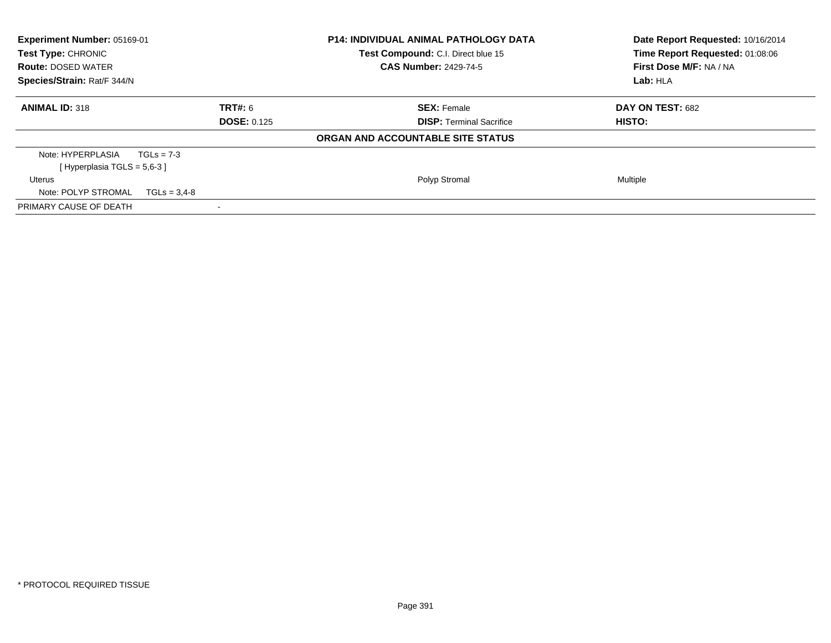| Experiment Number: 05169-01<br>Test Type: CHRONIC<br><b>Route: DOSED WATER</b><br>Species/Strain: Rat/F 344/N |                    | <b>P14: INDIVIDUAL ANIMAL PATHOLOGY DATA</b><br>Test Compound: C.I. Direct blue 15<br><b>CAS Number: 2429-74-5</b> | Date Report Requested: 10/16/2014<br>Time Report Requested: 01:08:06<br>First Dose M/F: NA / NA<br>Lab: HLA |  |
|---------------------------------------------------------------------------------------------------------------|--------------------|--------------------------------------------------------------------------------------------------------------------|-------------------------------------------------------------------------------------------------------------|--|
|                                                                                                               |                    |                                                                                                                    |                                                                                                             |  |
| <b>ANIMAL ID: 318</b>                                                                                         | TRT#: 6            | <b>SEX: Female</b>                                                                                                 | DAY ON TEST: 682                                                                                            |  |
|                                                                                                               | <b>DOSE: 0.125</b> | <b>DISP:</b> Terminal Sacrifice                                                                                    | HISTO:                                                                                                      |  |
|                                                                                                               |                    | ORGAN AND ACCOUNTABLE SITE STATUS                                                                                  |                                                                                                             |  |
| Note: HYPERPLASIA                                                                                             | $TGLs = 7-3$       |                                                                                                                    |                                                                                                             |  |
| [Hyperplasia TGLS = $5.6 - 3$ ]                                                                               |                    |                                                                                                                    |                                                                                                             |  |
| Uterus                                                                                                        |                    | Polyp Stromal                                                                                                      | Multiple                                                                                                    |  |
| Note: POLYP STROMAL                                                                                           | $TGLs = 3.4-8$     |                                                                                                                    |                                                                                                             |  |
| PRIMARY CAUSE OF DEATH                                                                                        |                    |                                                                                                                    |                                                                                                             |  |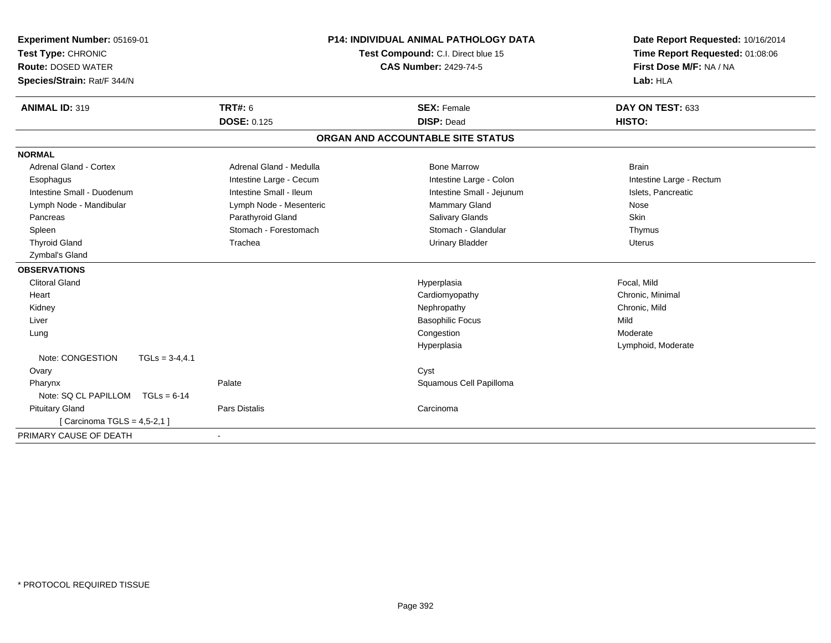| Experiment Number: 05169-01<br>Test Type: CHRONIC |                          | <b>P14: INDIVIDUAL ANIMAL PATHOLOGY DATA</b><br>Test Compound: C.I. Direct blue 15 | Date Report Requested: 10/16/2014<br>Time Report Requested: 01:08:06 |  |
|---------------------------------------------------|--------------------------|------------------------------------------------------------------------------------|----------------------------------------------------------------------|--|
| <b>Route: DOSED WATER</b>                         |                          | <b>CAS Number: 2429-74-5</b>                                                       | First Dose M/F: NA / NA                                              |  |
| Species/Strain: Rat/F 344/N                       |                          |                                                                                    | Lab: HLA                                                             |  |
| <b>ANIMAL ID: 319</b>                             | <b>TRT#: 6</b>           | <b>SEX: Female</b>                                                                 | DAY ON TEST: 633                                                     |  |
|                                                   | <b>DOSE: 0.125</b>       | <b>DISP: Dead</b>                                                                  | HISTO:                                                               |  |
|                                                   |                          | ORGAN AND ACCOUNTABLE SITE STATUS                                                  |                                                                      |  |
| <b>NORMAL</b>                                     |                          |                                                                                    |                                                                      |  |
| Adrenal Gland - Cortex                            | Adrenal Gland - Medulla  | <b>Bone Marrow</b>                                                                 | <b>Brain</b>                                                         |  |
| Esophagus                                         | Intestine Large - Cecum  | Intestine Large - Colon                                                            | Intestine Large - Rectum                                             |  |
| Intestine Small - Duodenum                        | Intestine Small - Ileum  | Intestine Small - Jejunum                                                          | Islets, Pancreatic                                                   |  |
| Lymph Node - Mandibular                           | Lymph Node - Mesenteric  | <b>Mammary Gland</b>                                                               | Nose                                                                 |  |
| Pancreas                                          | Parathyroid Gland        | Salivary Glands                                                                    | <b>Skin</b>                                                          |  |
| Spleen                                            | Stomach - Forestomach    | Stomach - Glandular                                                                | Thymus                                                               |  |
| <b>Thyroid Gland</b>                              | Trachea                  | <b>Urinary Bladder</b>                                                             | <b>Uterus</b>                                                        |  |
| Zymbal's Gland                                    |                          |                                                                                    |                                                                      |  |
| <b>OBSERVATIONS</b>                               |                          |                                                                                    |                                                                      |  |
| <b>Clitoral Gland</b>                             |                          | Hyperplasia                                                                        | Focal, Mild                                                          |  |
| Heart                                             |                          | Cardiomyopathy                                                                     | Chronic, Minimal                                                     |  |
| Kidney                                            |                          | Nephropathy                                                                        | Chronic, Mild                                                        |  |
| Liver                                             |                          | <b>Basophilic Focus</b>                                                            | Mild                                                                 |  |
| Lung                                              |                          | Congestion                                                                         | Moderate                                                             |  |
|                                                   |                          | Hyperplasia                                                                        | Lymphoid, Moderate                                                   |  |
| Note: CONGESTION<br>$TGLs = 3-4,4.1$              |                          |                                                                                    |                                                                      |  |
| Ovary                                             |                          | Cyst                                                                               |                                                                      |  |
| Pharynx                                           | Palate                   | Squamous Cell Papilloma                                                            |                                                                      |  |
| Note: SQ CL PAPILLOM<br>$TGLs = 6-14$             |                          |                                                                                    |                                                                      |  |
| <b>Pituitary Gland</b>                            | Pars Distalis            | Carcinoma                                                                          |                                                                      |  |
| [ Carcinoma TGLS = 4,5-2,1 ]                      |                          |                                                                                    |                                                                      |  |
| PRIMARY CAUSE OF DEATH                            | $\overline{\phantom{a}}$ |                                                                                    |                                                                      |  |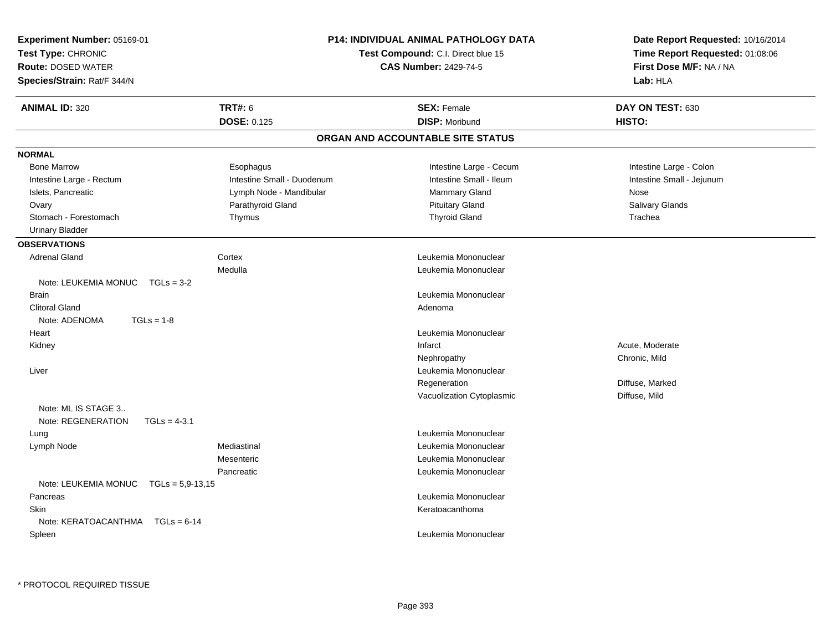| <b>Experiment Number: 05169-01</b><br>Test Type: CHRONIC<br><b>Route: DOSED WATER</b><br>Species/Strain: Rat/F 344/N |                                      | <b>P14: INDIVIDUAL ANIMAL PATHOLOGY DATA</b><br>Test Compound: C.I. Direct blue 15<br><b>CAS Number: 2429-74-5</b> |                            |
|----------------------------------------------------------------------------------------------------------------------|--------------------------------------|--------------------------------------------------------------------------------------------------------------------|----------------------------|
| <b>ANIMAL ID: 320</b>                                                                                                | <b>TRT#: 6</b><br><b>DOSE: 0.125</b> | <b>SEX: Female</b><br><b>DISP: Moribund</b>                                                                        | DAY ON TEST: 630<br>HISTO: |
|                                                                                                                      |                                      | ORGAN AND ACCOUNTABLE SITE STATUS                                                                                  |                            |
| <b>NORMAL</b>                                                                                                        |                                      |                                                                                                                    |                            |
| <b>Bone Marrow</b>                                                                                                   | Esophagus                            | Intestine Large - Cecum                                                                                            | Intestine Large - Colon    |
| Intestine Large - Rectum                                                                                             | Intestine Small - Duodenum           | Intestine Small - Ileum                                                                                            | Intestine Small - Jejunum  |
| Islets, Pancreatic                                                                                                   | Lymph Node - Mandibular              | <b>Mammary Gland</b>                                                                                               | Nose                       |
| Ovary                                                                                                                | Parathyroid Gland                    | <b>Pituitary Gland</b>                                                                                             | Salivary Glands            |
| Stomach - Forestomach                                                                                                | Thymus                               | <b>Thyroid Gland</b>                                                                                               | Trachea                    |
| <b>Urinary Bladder</b>                                                                                               |                                      |                                                                                                                    |                            |
| <b>OBSERVATIONS</b>                                                                                                  |                                      |                                                                                                                    |                            |
| <b>Adrenal Gland</b>                                                                                                 | Cortex                               | Leukemia Mononuclear                                                                                               |                            |
|                                                                                                                      | Medulla                              | Leukemia Mononuclear                                                                                               |                            |
| Note: LEUKEMIA MONUC<br>$TGLs = 3-2$                                                                                 |                                      |                                                                                                                    |                            |
| <b>Brain</b>                                                                                                         |                                      | Leukemia Mononuclear                                                                                               |                            |
| <b>Clitoral Gland</b>                                                                                                |                                      | Adenoma                                                                                                            |                            |
| $TGLs = 1-8$<br>Note: ADENOMA                                                                                        |                                      |                                                                                                                    |                            |
| Heart                                                                                                                |                                      | Leukemia Mononuclear                                                                                               |                            |
| Kidney                                                                                                               |                                      | Infarct                                                                                                            | Acute, Moderate            |
|                                                                                                                      |                                      | Nephropathy                                                                                                        | Chronic, Mild              |
| Liver                                                                                                                |                                      | Leukemia Mononuclear                                                                                               |                            |
|                                                                                                                      |                                      | Regeneration                                                                                                       | Diffuse, Marked            |
|                                                                                                                      |                                      | Vacuolization Cytoplasmic                                                                                          | Diffuse, Mild              |
| Note: ML IS STAGE 3                                                                                                  |                                      |                                                                                                                    |                            |
| Note: REGENERATION<br>$TGLs = 4-3.1$                                                                                 |                                      |                                                                                                                    |                            |
| Lung                                                                                                                 |                                      | Leukemia Mononuclear                                                                                               |                            |
| Lymph Node                                                                                                           | Mediastinal                          | Leukemia Mononuclear                                                                                               |                            |
|                                                                                                                      | Mesenteric                           | Leukemia Mononuclear                                                                                               |                            |
|                                                                                                                      | Pancreatic                           | Leukemia Mononuclear                                                                                               |                            |
| Note: LEUKEMIA MONUC<br>$TGLs = 5.9 - 13.15$                                                                         |                                      |                                                                                                                    |                            |
| Pancreas                                                                                                             |                                      | Leukemia Mononuclear                                                                                               |                            |
| <b>Skin</b>                                                                                                          |                                      | Keratoacanthoma                                                                                                    |                            |
| Note: KERATOACANTHMA<br>$TGLs = 6-14$                                                                                |                                      |                                                                                                                    |                            |
| Spleen                                                                                                               |                                      | Leukemia Mononuclear                                                                                               |                            |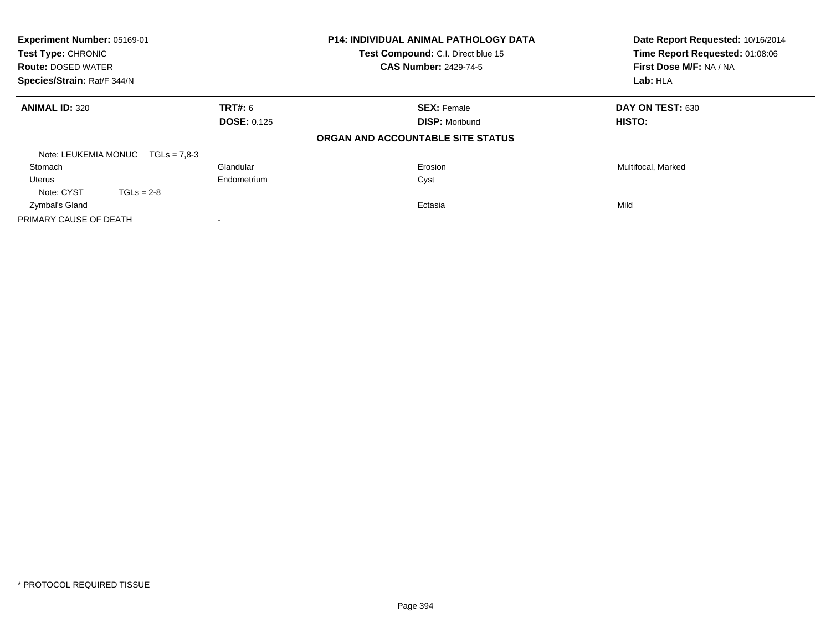| Experiment Number: 05169-01<br><b>Test Type: CHRONIC</b><br><b>Route: DOSED WATER</b> |                |                    | <b>P14: INDIVIDUAL ANIMAL PATHOLOGY DATA</b><br>Test Compound: C.I. Direct blue 15<br><b>CAS Number: 2429-74-5</b> | Date Report Requested: 10/16/2014<br>Time Report Requested: 01:08:06<br>First Dose M/F: NA / NA |  |
|---------------------------------------------------------------------------------------|----------------|--------------------|--------------------------------------------------------------------------------------------------------------------|-------------------------------------------------------------------------------------------------|--|
| Species/Strain: Rat/F 344/N                                                           |                |                    |                                                                                                                    | Lab: HLA                                                                                        |  |
| <b>ANIMAL ID: 320</b>                                                                 |                | <b>TRT#: 6</b>     | <b>SEX: Female</b>                                                                                                 | DAY ON TEST: 630                                                                                |  |
|                                                                                       |                | <b>DOSE: 0.125</b> | <b>DISP: Moribund</b>                                                                                              | <b>HISTO:</b>                                                                                   |  |
|                                                                                       |                |                    | ORGAN AND ACCOUNTABLE SITE STATUS                                                                                  |                                                                                                 |  |
| Note: LEUKEMIA MONUC                                                                  | $TGLs = 7.8-3$ |                    |                                                                                                                    |                                                                                                 |  |
| Stomach                                                                               |                | Glandular          | Erosion                                                                                                            | Multifocal, Marked                                                                              |  |
| Uterus                                                                                |                | Endometrium        | Cyst                                                                                                               |                                                                                                 |  |
| Note: CYST                                                                            | $TGLs = 2-8$   |                    |                                                                                                                    |                                                                                                 |  |
| Zymbal's Gland                                                                        |                |                    | Ectasia                                                                                                            | Mild                                                                                            |  |
| PRIMARY CAUSE OF DEATH                                                                |                |                    |                                                                                                                    |                                                                                                 |  |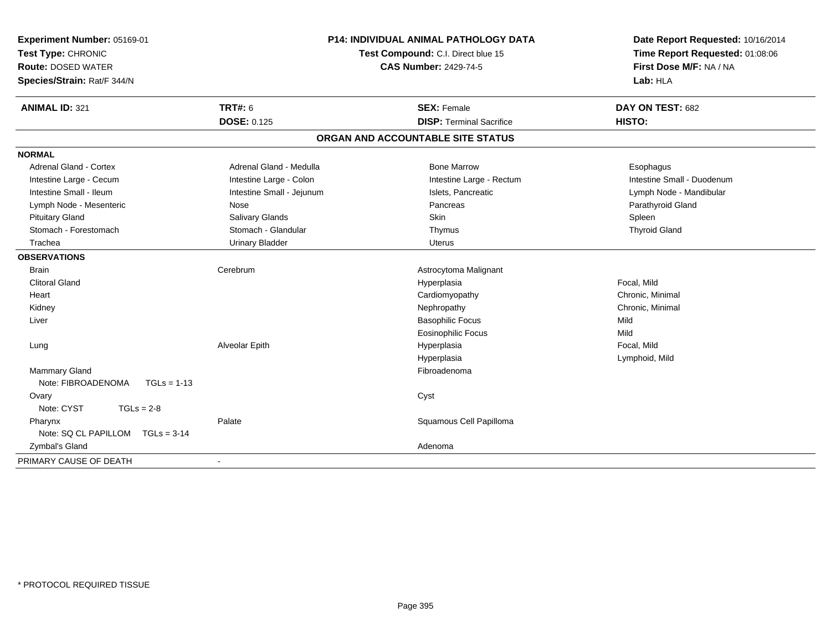| Experiment Number: 05169-01<br>Test Type: CHRONIC<br><b>Route: DOSED WATER</b><br>Species/Strain: Rat/F 344/N  |                                                                                         | <b>P14: INDIVIDUAL ANIMAL PATHOLOGY DATA</b><br>Test Compound: C.I. Direct blue 15<br><b>CAS Number: 2429-74-5</b> | Date Report Requested: 10/16/2014<br>Time Report Requested: 01:08:06<br>First Dose M/F: NA / NA<br>Lab: HLA |
|----------------------------------------------------------------------------------------------------------------|-----------------------------------------------------------------------------------------|--------------------------------------------------------------------------------------------------------------------|-------------------------------------------------------------------------------------------------------------|
| <b>ANIMAL ID: 321</b>                                                                                          | <b>TRT#: 6</b><br><b>DOSE: 0.125</b>                                                    | <b>SEX: Female</b><br><b>DISP: Terminal Sacrifice</b>                                                              | DAY ON TEST: 682<br>HISTO:                                                                                  |
|                                                                                                                |                                                                                         | ORGAN AND ACCOUNTABLE SITE STATUS                                                                                  |                                                                                                             |
| <b>NORMAL</b>                                                                                                  |                                                                                         |                                                                                                                    |                                                                                                             |
| <b>Adrenal Gland - Cortex</b><br>Intestine Large - Cecum<br>Intestine Small - Ileum<br>Lymph Node - Mesenteric | Adrenal Gland - Medulla<br>Intestine Large - Colon<br>Intestine Small - Jejunum<br>Nose | <b>Bone Marrow</b><br>Intestine Large - Rectum<br>Islets, Pancreatic<br>Pancreas                                   | Esophagus<br>Intestine Small - Duodenum<br>Lymph Node - Mandibular<br>Parathyroid Gland                     |
| <b>Pituitary Gland</b><br>Stomach - Forestomach<br>Trachea                                                     | Salivary Glands<br>Stomach - Glandular<br><b>Urinary Bladder</b>                        | Skin<br>Thymus<br><b>Uterus</b>                                                                                    | Spleen<br><b>Thyroid Gland</b>                                                                              |
| <b>OBSERVATIONS</b>                                                                                            |                                                                                         |                                                                                                                    |                                                                                                             |
| <b>Brain</b><br><b>Clitoral Gland</b><br>Heart<br>Kidney<br>Liver                                              | Cerebrum                                                                                | Astrocytoma Malignant<br>Hyperplasia<br>Cardiomyopathy<br>Nephropathy<br><b>Basophilic Focus</b>                   | Focal, Mild<br>Chronic, Minimal<br>Chronic, Minimal<br>Mild                                                 |
| Lung<br>Mammary Gland<br>Note: FIBROADENOMA<br>$TGLs = 1-13$                                                   | Alveolar Epith                                                                          | <b>Eosinophilic Focus</b><br>Hyperplasia<br>Hyperplasia<br>Fibroadenoma                                            | Mild<br>Focal, Mild<br>Lymphoid, Mild                                                                       |
| Ovary<br>Note: CYST<br>$TGLs = 2-8$                                                                            |                                                                                         | Cyst                                                                                                               |                                                                                                             |
| Pharynx<br>Note: SQ CL PAPILLOM<br>$TGLs = 3-14$                                                               | Palate                                                                                  | Squamous Cell Papilloma                                                                                            |                                                                                                             |
| Zymbal's Gland<br>PRIMARY CAUSE OF DEATH                                                                       | $\sim$                                                                                  | Adenoma                                                                                                            |                                                                                                             |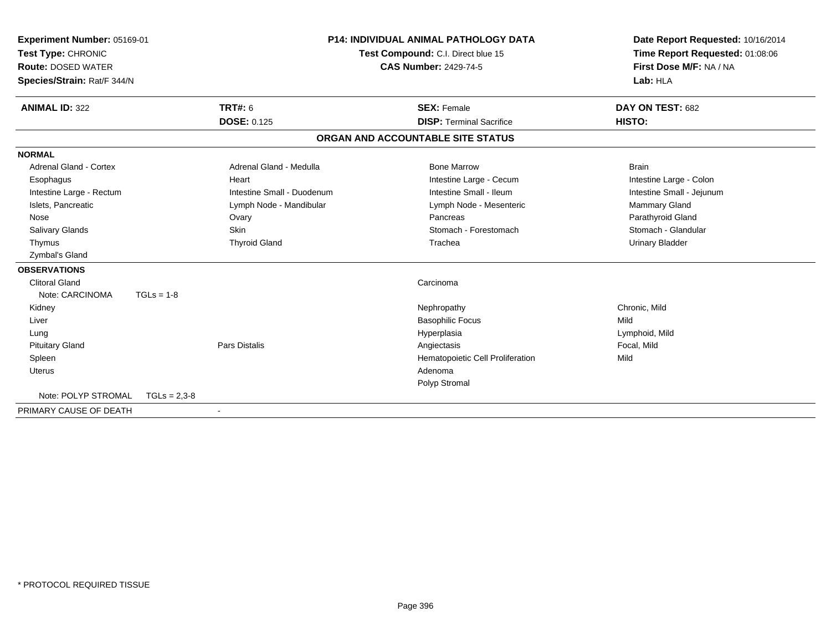| <b>Experiment Number: 05169-01</b><br>Test Type: CHRONIC<br><b>Route: DOSED WATER</b><br>Species/Strain: Rat/F 344/N |                | <b>P14: INDIVIDUAL ANIMAL PATHOLOGY DATA</b><br>Test Compound: C.I. Direct blue 15<br><b>CAS Number: 2429-74-5</b> |  | Date Report Requested: 10/16/2014<br>Time Report Requested: 01:08:06<br>First Dose M/F: NA / NA<br>Lab: HLA |                           |  |
|----------------------------------------------------------------------------------------------------------------------|----------------|--------------------------------------------------------------------------------------------------------------------|--|-------------------------------------------------------------------------------------------------------------|---------------------------|--|
| <b>ANIMAL ID: 322</b>                                                                                                |                | TRT#: 6                                                                                                            |  | <b>SEX: Female</b>                                                                                          | DAY ON TEST: 682          |  |
|                                                                                                                      |                | <b>DOSE: 0.125</b>                                                                                                 |  | <b>DISP: Terminal Sacrifice</b>                                                                             | HISTO:                    |  |
|                                                                                                                      |                |                                                                                                                    |  | ORGAN AND ACCOUNTABLE SITE STATUS                                                                           |                           |  |
| <b>NORMAL</b>                                                                                                        |                |                                                                                                                    |  |                                                                                                             |                           |  |
| <b>Adrenal Gland - Cortex</b>                                                                                        |                | Adrenal Gland - Medulla                                                                                            |  | <b>Bone Marrow</b>                                                                                          | <b>Brain</b>              |  |
| Esophagus                                                                                                            |                | Heart                                                                                                              |  | Intestine Large - Cecum                                                                                     | Intestine Large - Colon   |  |
| Intestine Large - Rectum                                                                                             |                | Intestine Small - Duodenum                                                                                         |  | Intestine Small - Ileum                                                                                     | Intestine Small - Jejunum |  |
| Islets, Pancreatic                                                                                                   |                | Lymph Node - Mandibular                                                                                            |  | Lymph Node - Mesenteric                                                                                     | <b>Mammary Gland</b>      |  |
| Nose                                                                                                                 |                | Ovary                                                                                                              |  | Pancreas                                                                                                    | Parathyroid Gland         |  |
| <b>Salivary Glands</b>                                                                                               |                | <b>Skin</b>                                                                                                        |  | Stomach - Forestomach                                                                                       | Stomach - Glandular       |  |
| Thymus                                                                                                               |                | <b>Thyroid Gland</b>                                                                                               |  | Trachea                                                                                                     | <b>Urinary Bladder</b>    |  |
| Zymbal's Gland                                                                                                       |                |                                                                                                                    |  |                                                                                                             |                           |  |
| <b>OBSERVATIONS</b>                                                                                                  |                |                                                                                                                    |  |                                                                                                             |                           |  |
| <b>Clitoral Gland</b>                                                                                                |                |                                                                                                                    |  | Carcinoma                                                                                                   |                           |  |
| Note: CARCINOMA                                                                                                      | $TGLs = 1-8$   |                                                                                                                    |  |                                                                                                             |                           |  |
| Kidney                                                                                                               |                |                                                                                                                    |  | Nephropathy                                                                                                 | Chronic, Mild             |  |
| Liver                                                                                                                |                |                                                                                                                    |  | <b>Basophilic Focus</b>                                                                                     | Mild                      |  |
| Lung                                                                                                                 |                |                                                                                                                    |  | Hyperplasia                                                                                                 | Lymphoid, Mild            |  |
| <b>Pituitary Gland</b>                                                                                               |                | Pars Distalis                                                                                                      |  | Angiectasis                                                                                                 | Focal, Mild               |  |
| Spleen                                                                                                               |                |                                                                                                                    |  | Hematopoietic Cell Proliferation                                                                            | Mild                      |  |
| <b>Uterus</b>                                                                                                        |                |                                                                                                                    |  | Adenoma                                                                                                     |                           |  |
|                                                                                                                      |                |                                                                                                                    |  | Polyp Stromal                                                                                               |                           |  |
| Note: POLYP STROMAL                                                                                                  | $TGLs = 2,3-8$ |                                                                                                                    |  |                                                                                                             |                           |  |
| PRIMARY CAUSE OF DEATH                                                                                               |                |                                                                                                                    |  |                                                                                                             |                           |  |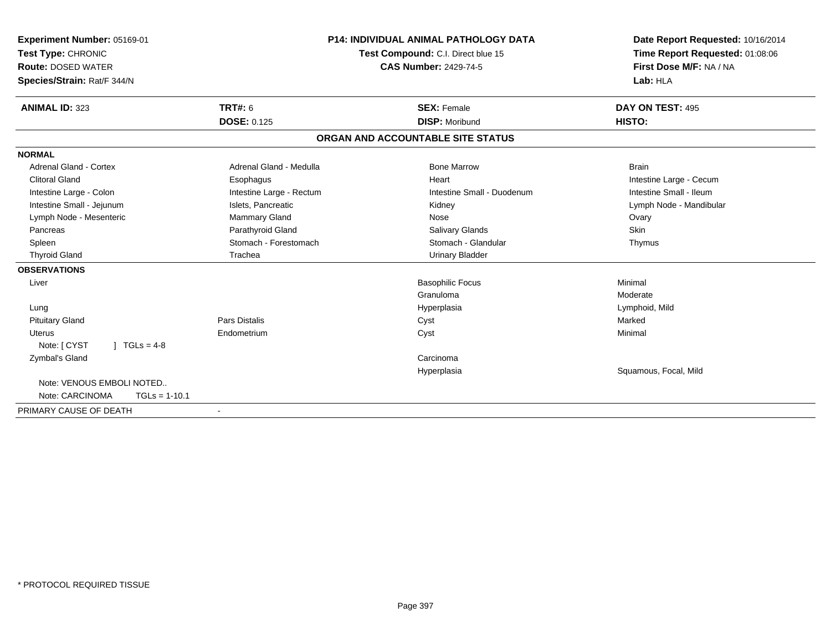| <b>Experiment Number: 05169-01</b><br>Test Type: CHRONIC<br><b>Route: DOSED WATER</b> |                          | <b>P14: INDIVIDUAL ANIMAL PATHOLOGY DATA</b><br>Test Compound: C.I. Direct blue 15<br><b>CAS Number: 2429-74-5</b> | Date Report Requested: 10/16/2014<br>Time Report Requested: 01:08:06<br>First Dose M/F: NA / NA |
|---------------------------------------------------------------------------------------|--------------------------|--------------------------------------------------------------------------------------------------------------------|-------------------------------------------------------------------------------------------------|
| Species/Strain: Rat/F 344/N                                                           |                          |                                                                                                                    | Lab: HLA                                                                                        |
| <b>ANIMAL ID: 323</b>                                                                 | <b>TRT#: 6</b>           | <b>SEX: Female</b>                                                                                                 | DAY ON TEST: 495                                                                                |
|                                                                                       | <b>DOSE: 0.125</b>       | <b>DISP: Moribund</b>                                                                                              | HISTO:                                                                                          |
|                                                                                       |                          | ORGAN AND ACCOUNTABLE SITE STATUS                                                                                  |                                                                                                 |
| <b>NORMAL</b>                                                                         |                          |                                                                                                                    |                                                                                                 |
| <b>Adrenal Gland - Cortex</b>                                                         | Adrenal Gland - Medulla  | <b>Bone Marrow</b>                                                                                                 | <b>Brain</b>                                                                                    |
| <b>Clitoral Gland</b>                                                                 | Esophagus                | Heart                                                                                                              | Intestine Large - Cecum                                                                         |
| Intestine Large - Colon                                                               | Intestine Large - Rectum | Intestine Small - Duodenum                                                                                         | Intestine Small - Ileum                                                                         |
| Intestine Small - Jejunum                                                             | Islets, Pancreatic       | Kidney                                                                                                             | Lymph Node - Mandibular                                                                         |
| Lymph Node - Mesenteric                                                               | Mammary Gland            | Nose                                                                                                               | Ovary                                                                                           |
| Pancreas                                                                              | Parathyroid Gland        | Salivary Glands                                                                                                    | <b>Skin</b>                                                                                     |
| Spleen                                                                                | Stomach - Forestomach    | Stomach - Glandular                                                                                                | Thymus                                                                                          |
| <b>Thyroid Gland</b>                                                                  | Trachea                  | <b>Urinary Bladder</b>                                                                                             |                                                                                                 |
| <b>OBSERVATIONS</b>                                                                   |                          |                                                                                                                    |                                                                                                 |
| Liver                                                                                 |                          | <b>Basophilic Focus</b>                                                                                            | Minimal                                                                                         |
|                                                                                       |                          | Granuloma                                                                                                          | Moderate                                                                                        |
| Lung                                                                                  |                          | Hyperplasia                                                                                                        | Lymphoid, Mild                                                                                  |
| <b>Pituitary Gland</b>                                                                | <b>Pars Distalis</b>     | Cyst                                                                                                               | Marked                                                                                          |
| Uterus                                                                                | Endometrium              | Cyst                                                                                                               | Minimal                                                                                         |
| $1 TGLs = 4-8$<br>Note: [ CYST                                                        |                          |                                                                                                                    |                                                                                                 |
| Zymbal's Gland                                                                        |                          | Carcinoma                                                                                                          |                                                                                                 |
|                                                                                       |                          | Hyperplasia                                                                                                        | Squamous, Focal, Mild                                                                           |
| Note: VENOUS EMBOLI NOTED                                                             |                          |                                                                                                                    |                                                                                                 |
| Note: CARCINOMA<br>$TGLs = 1-10.1$                                                    |                          |                                                                                                                    |                                                                                                 |
| PRIMARY CAUSE OF DEATH                                                                |                          |                                                                                                                    |                                                                                                 |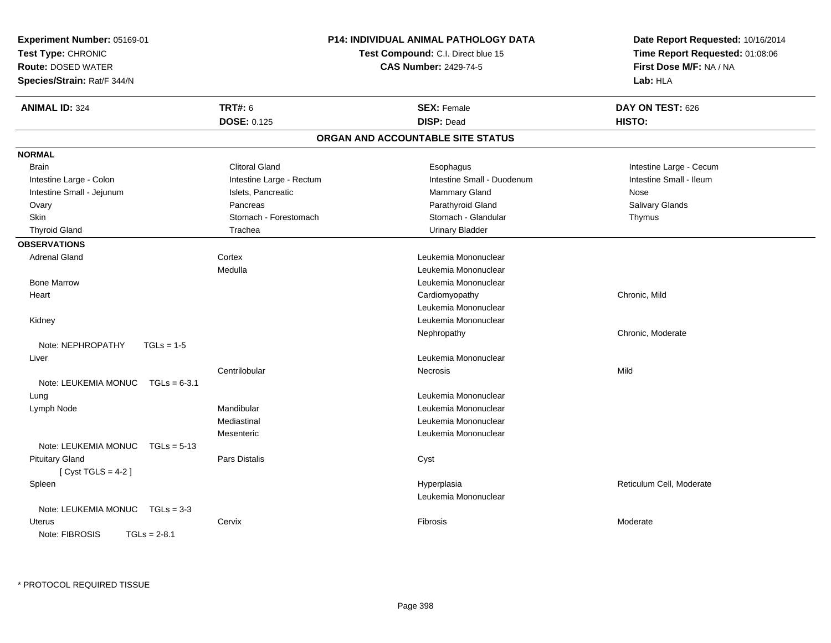| <b>Experiment Number: 05169-01</b>     |                          | <b>P14: INDIVIDUAL ANIMAL PATHOLOGY DATA</b> | Date Report Requested: 10/16/2014 |
|----------------------------------------|--------------------------|----------------------------------------------|-----------------------------------|
| Test Type: CHRONIC                     |                          | Test Compound: C.I. Direct blue 15           | Time Report Requested: 01:08:06   |
| <b>Route: DOSED WATER</b>              |                          | <b>CAS Number: 2429-74-5</b>                 | First Dose M/F: NA / NA           |
| Species/Strain: Rat/F 344/N            |                          |                                              | Lab: HLA                          |
| <b>ANIMAL ID: 324</b>                  | <b>TRT#: 6</b>           | <b>SEX: Female</b>                           | DAY ON TEST: 626                  |
|                                        | <b>DOSE: 0.125</b>       | <b>DISP: Dead</b>                            | HISTO:                            |
|                                        |                          | ORGAN AND ACCOUNTABLE SITE STATUS            |                                   |
| <b>NORMAL</b>                          |                          |                                              |                                   |
| <b>Brain</b>                           | <b>Clitoral Gland</b>    | Esophagus                                    | Intestine Large - Cecum           |
| Intestine Large - Colon                | Intestine Large - Rectum | Intestine Small - Duodenum                   | Intestine Small - Ileum           |
| Intestine Small - Jejunum              | Islets, Pancreatic       | Mammary Gland                                | Nose                              |
| Ovary                                  | Pancreas                 | Parathyroid Gland                            | Salivary Glands                   |
| Skin                                   | Stomach - Forestomach    | Stomach - Glandular                          | Thymus                            |
| <b>Thyroid Gland</b>                   | Trachea                  | <b>Urinary Bladder</b>                       |                                   |
| <b>OBSERVATIONS</b>                    |                          |                                              |                                   |
| <b>Adrenal Gland</b>                   | Cortex                   | Leukemia Mononuclear                         |                                   |
|                                        | Medulla                  | Leukemia Mononuclear                         |                                   |
| <b>Bone Marrow</b>                     |                          | Leukemia Mononuclear                         |                                   |
| Heart                                  |                          | Cardiomyopathy                               | Chronic, Mild                     |
|                                        |                          | Leukemia Mononuclear                         |                                   |
| Kidney                                 |                          | Leukemia Mononuclear                         |                                   |
|                                        |                          | Nephropathy                                  | Chronic, Moderate                 |
| Note: NEPHROPATHY<br>$TGLs = 1-5$      |                          |                                              |                                   |
| Liver                                  |                          | Leukemia Mononuclear                         |                                   |
|                                        | Centrilobular            | <b>Necrosis</b>                              | Mild                              |
| Note: LEUKEMIA MONUC<br>$TGLs = 6-3.1$ |                          |                                              |                                   |
| Lung                                   |                          | Leukemia Mononuclear                         |                                   |
| Lymph Node                             | Mandibular               | Leukemia Mononuclear                         |                                   |
|                                        | Mediastinal              | Leukemia Mononuclear                         |                                   |
|                                        | Mesenteric               | Leukemia Mononuclear                         |                                   |
| Note: LEUKEMIA MONUC<br>$TGLs = 5-13$  |                          |                                              |                                   |
| <b>Pituitary Gland</b>                 | Pars Distalis            | Cyst                                         |                                   |
| [Cyst TGLS = $4-2$ ]                   |                          |                                              |                                   |
| Spleen                                 |                          | Hyperplasia                                  | Reticulum Cell, Moderate          |
|                                        |                          | Leukemia Mononuclear                         |                                   |
| Note: LEUKEMIA MONUC<br>$TGLs = 3-3$   |                          |                                              |                                   |
| Uterus                                 | Cervix                   | Fibrosis                                     | Moderate                          |
| Note: FIBROSIS<br>$TGLs = 2-8.1$       |                          |                                              |                                   |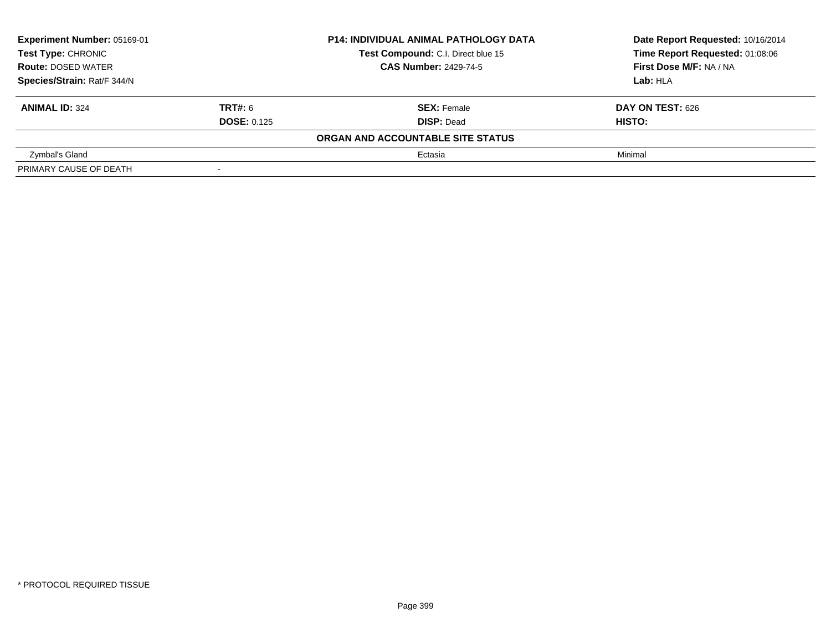| Experiment Number: 05169-01<br>Test Type: CHRONIC |                          | <b>P14: INDIVIDUAL ANIMAL PATHOLOGY DATA</b> | Date Report Requested: 10/16/2014 |  |
|---------------------------------------------------|--------------------------|----------------------------------------------|-----------------------------------|--|
|                                                   |                          | Test Compound: C.I. Direct blue 15           | Time Report Requested: 01:08:06   |  |
| <b>Route: DOSED WATER</b>                         |                          | <b>CAS Number: 2429-74-5</b>                 | First Dose M/F: NA / NA           |  |
| Species/Strain: Rat/F 344/N                       |                          | Lab: HLA                                     |                                   |  |
| <b>ANIMAL ID: 324</b>                             | <b>TRT#: 6</b>           | <b>SEX: Female</b>                           | DAY ON TEST: 626                  |  |
|                                                   | <b>DOSE: 0.125</b>       | <b>DISP: Dead</b>                            | HISTO:                            |  |
|                                                   |                          | ORGAN AND ACCOUNTABLE SITE STATUS            |                                   |  |
| Zymbal's Gland                                    |                          | Ectasia                                      | Minimal                           |  |
| PRIMARY CAUSE OF DEATH                            | $\overline{\phantom{a}}$ |                                              |                                   |  |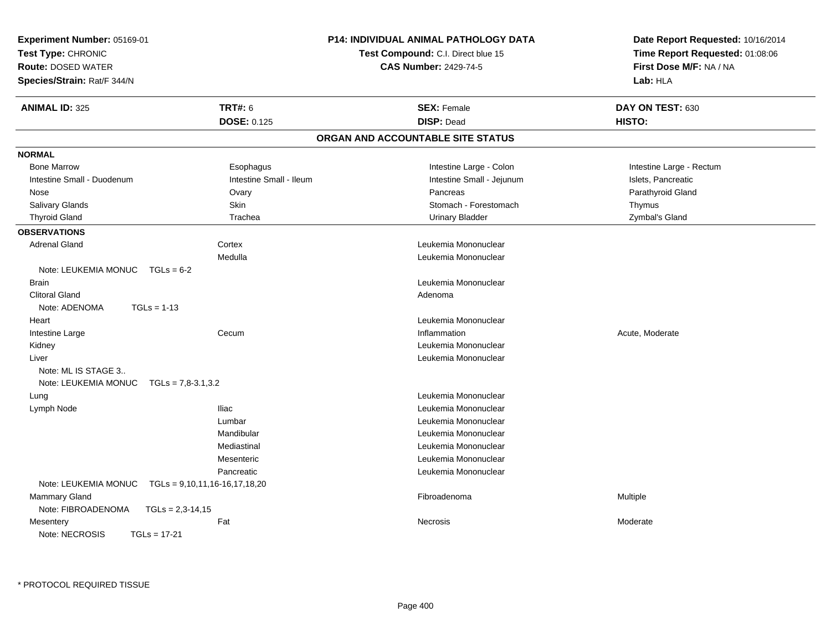| Experiment Number: 05169-01              |                                 | <b>P14: INDIVIDUAL ANIMAL PATHOLOGY DATA</b> | Date Report Requested: 10/16/2014 |  |
|------------------------------------------|---------------------------------|----------------------------------------------|-----------------------------------|--|
| Test Type: CHRONIC                       |                                 | Test Compound: C.I. Direct blue 15           | Time Report Requested: 01:08:06   |  |
| <b>Route: DOSED WATER</b>                |                                 | <b>CAS Number: 2429-74-5</b>                 | First Dose M/F: NA / NA           |  |
| Species/Strain: Rat/F 344/N              |                                 |                                              | Lab: HLA                          |  |
| <b>ANIMAL ID: 325</b>                    | <b>TRT#: 6</b>                  | <b>SEX: Female</b>                           | DAY ON TEST: 630                  |  |
|                                          | <b>DOSE: 0.125</b>              | <b>DISP: Dead</b>                            | HISTO:                            |  |
|                                          |                                 | ORGAN AND ACCOUNTABLE SITE STATUS            |                                   |  |
| <b>NORMAL</b>                            |                                 |                                              |                                   |  |
| <b>Bone Marrow</b>                       | Esophagus                       | Intestine Large - Colon                      | Intestine Large - Rectum          |  |
| Intestine Small - Duodenum               | Intestine Small - Ileum         | Intestine Small - Jejunum                    | Islets, Pancreatic                |  |
| Nose                                     | Ovary                           | Pancreas                                     | Parathyroid Gland                 |  |
| <b>Salivary Glands</b>                   | Skin                            | Stomach - Forestomach                        | Thymus                            |  |
| <b>Thyroid Gland</b>                     | Trachea                         | <b>Urinary Bladder</b>                       | Zymbal's Gland                    |  |
| <b>OBSERVATIONS</b>                      |                                 |                                              |                                   |  |
| <b>Adrenal Gland</b>                     | Cortex                          | Leukemia Mononuclear                         |                                   |  |
|                                          | Medulla                         | Leukemia Mononuclear                         |                                   |  |
| Note: LEUKEMIA MONUC<br>$TGLs = 6-2$     |                                 |                                              |                                   |  |
| <b>Brain</b>                             |                                 | Leukemia Mononuclear                         |                                   |  |
| <b>Clitoral Gland</b>                    |                                 | Adenoma                                      |                                   |  |
| $TGLs = 1-13$<br>Note: ADENOMA           |                                 |                                              |                                   |  |
| Heart                                    |                                 | Leukemia Mononuclear                         |                                   |  |
| Intestine Large                          | Cecum                           | Inflammation                                 | Acute, Moderate                   |  |
| Kidney                                   |                                 | Leukemia Mononuclear                         |                                   |  |
| Liver                                    |                                 | Leukemia Mononuclear                         |                                   |  |
| Note: ML IS STAGE 3                      |                                 |                                              |                                   |  |
| Note: LEUKEMIA MONUC TGLs = 7,8-3.1,3.2  |                                 |                                              |                                   |  |
| Lung                                     |                                 | Leukemia Mononuclear                         |                                   |  |
| Lymph Node                               | <b>Iliac</b>                    | Leukemia Mononuclear                         |                                   |  |
|                                          | Lumbar                          | Leukemia Mononuclear                         |                                   |  |
|                                          | Mandibular                      | Leukemia Mononuclear                         |                                   |  |
|                                          | Mediastinal                     | Leukemia Mononuclear                         |                                   |  |
|                                          | Mesenteric                      | Leukemia Mononuclear                         |                                   |  |
|                                          | Pancreatic                      | Leukemia Mononuclear                         |                                   |  |
| Note: LEUKEMIA MONUC                     | $TGLs = 9,10,11,16-16,17,18,20$ |                                              |                                   |  |
| <b>Mammary Gland</b>                     |                                 | Fibroadenoma                                 | Multiple                          |  |
| Note: FIBROADENOMA<br>$TGLs = 2,3-14,15$ |                                 |                                              |                                   |  |
| Mesentery                                | Fat                             | Necrosis                                     | Moderate                          |  |
| $TGLs = 17-21$<br>Note: NECROSIS         |                                 |                                              |                                   |  |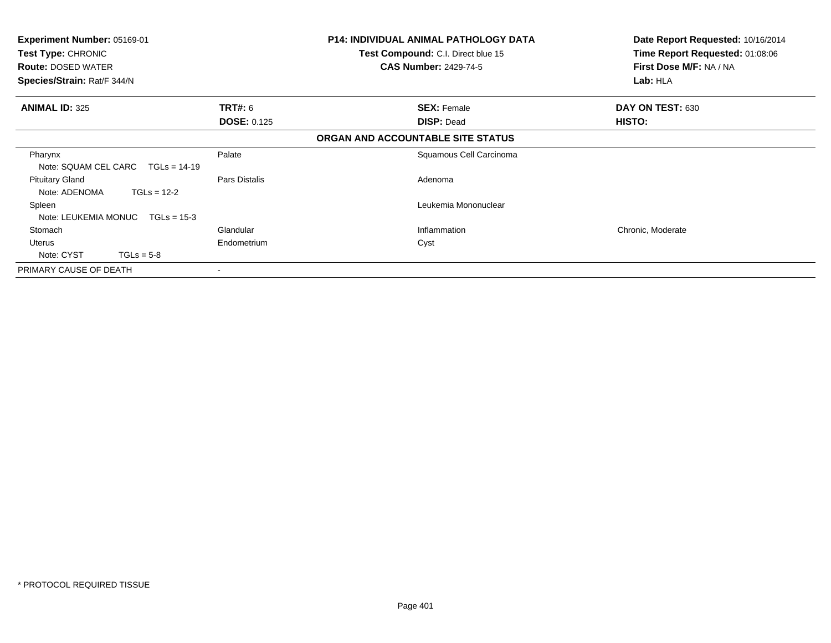| <b>Experiment Number: 05169-01</b><br>Test Type: CHRONIC<br><b>Route: DOSED WATER</b><br>Species/Strain: Rat/F 344/N |                    | <b>P14: INDIVIDUAL ANIMAL PATHOLOGY DATA</b><br>Test Compound: C.I. Direct blue 15<br><b>CAS Number: 2429-74-5</b> | Date Report Requested: 10/16/2014<br>Time Report Requested: 01:08:06<br>First Dose M/F: NA / NA<br>Lab: HLA |
|----------------------------------------------------------------------------------------------------------------------|--------------------|--------------------------------------------------------------------------------------------------------------------|-------------------------------------------------------------------------------------------------------------|
| <b>ANIMAL ID: 325</b>                                                                                                | TRT#: 6            | <b>SEX: Female</b>                                                                                                 | DAY ON TEST: 630                                                                                            |
|                                                                                                                      | <b>DOSE: 0.125</b> | <b>DISP: Dead</b>                                                                                                  | <b>HISTO:</b>                                                                                               |
|                                                                                                                      |                    | ORGAN AND ACCOUNTABLE SITE STATUS                                                                                  |                                                                                                             |
| Pharynx<br>Note: SQUAM CEL CARC TGLs = 14-19                                                                         | Palate             | Squamous Cell Carcinoma                                                                                            |                                                                                                             |
| <b>Pituitary Gland</b><br>$TGLs = 12-2$<br>Note: ADENOMA                                                             | Pars Distalis      | Adenoma                                                                                                            |                                                                                                             |
| Spleen                                                                                                               |                    | Leukemia Mononuclear                                                                                               |                                                                                                             |
| Note: LEUKEMIA MONUC<br>$TGLs = 15-3$                                                                                |                    |                                                                                                                    |                                                                                                             |
| Stomach                                                                                                              | Glandular          | Inflammation                                                                                                       | Chronic, Moderate                                                                                           |
| Uterus                                                                                                               | Endometrium        | Cyst                                                                                                               |                                                                                                             |
| Note: CYST<br>$TGLs = 5-8$                                                                                           |                    |                                                                                                                    |                                                                                                             |
| PRIMARY CAUSE OF DEATH                                                                                               | ۰                  |                                                                                                                    |                                                                                                             |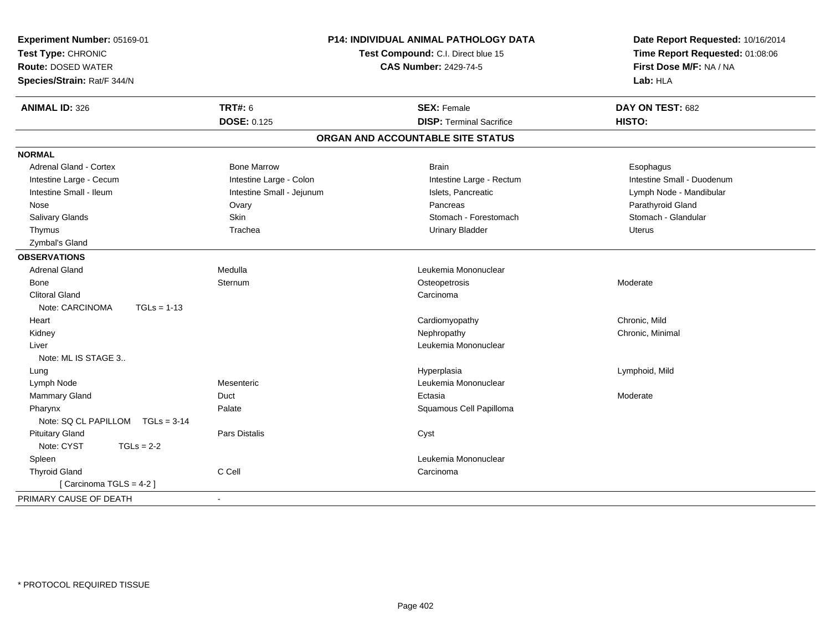| <b>TRT#: 6</b><br><b>ANIMAL ID: 326</b><br><b>SEX: Female</b><br>DAY ON TEST: 682<br><b>DOSE: 0.125</b><br><b>DISP: Terminal Sacrifice</b><br>HISTO:<br>ORGAN AND ACCOUNTABLE SITE STATUS<br><b>NORMAL</b><br><b>Bone Marrow</b><br>Adrenal Gland - Cortex<br><b>Brain</b><br>Esophagus<br>Intestine Large - Colon<br>Intestine Large - Cecum<br>Intestine Large - Rectum<br>Intestine Small - Duodenum<br>Intestine Small - Ileum<br>Intestine Small - Jejunum<br>Islets, Pancreatic<br>Lymph Node - Mandibular<br>Parathyroid Gland<br>Ovary<br>Pancreas<br>Nose<br>Salivary Glands<br>Skin<br>Stomach - Forestomach<br>Stomach - Glandular<br>Trachea<br><b>Urinary Bladder</b><br>Thymus<br>Uterus<br>Zymbal's Gland<br><b>OBSERVATIONS</b><br><b>Adrenal Gland</b><br>Medulla<br>Leukemia Mononuclear<br>Osteopetrosis<br>Bone<br>Sternum<br>Moderate<br><b>Clitoral Gland</b><br>Carcinoma<br>Note: CARCINOMA<br>$TGLs = 1-13$<br>Chronic, Mild<br>Cardiomyopathy<br>Heart<br>Chronic, Minimal<br>Nephropathy<br>Kidney<br>Leukemia Mononuclear<br>Liver<br>Note: ML IS STAGE 3<br>Hyperplasia<br>Lymphoid, Mild<br>Lung<br>Leukemia Mononuclear<br>Lymph Node<br>Mesenteric<br>Mammary Gland<br>Duct<br>Ectasia<br>Moderate<br>Palate<br>Squamous Cell Papilloma<br>Pharynx<br>Note: SQ CL PAPILLOM TGLs = 3-14<br><b>Pituitary Gland</b><br><b>Pars Distalis</b><br>Cyst<br>Note: CYST<br>$TGLs = 2-2$<br>Spleen<br>Leukemia Mononuclear<br>C Cell<br><b>Thyroid Gland</b><br>Carcinoma<br>[Carcinoma TGLS = 4-2]<br>PRIMARY CAUSE OF DEATH | Experiment Number: 05169-01<br>Test Type: CHRONIC<br><b>Route: DOSED WATER</b><br>Species/Strain: Rat/F 344/N | P14: INDIVIDUAL ANIMAL PATHOLOGY DATA<br>Test Compound: C.I. Direct blue 15<br><b>CAS Number: 2429-74-5</b> |  | Date Report Requested: 10/16/2014<br>Time Report Requested: 01:08:06<br>First Dose M/F: NA / NA<br>Lab: HLA |
|-----------------------------------------------------------------------------------------------------------------------------------------------------------------------------------------------------------------------------------------------------------------------------------------------------------------------------------------------------------------------------------------------------------------------------------------------------------------------------------------------------------------------------------------------------------------------------------------------------------------------------------------------------------------------------------------------------------------------------------------------------------------------------------------------------------------------------------------------------------------------------------------------------------------------------------------------------------------------------------------------------------------------------------------------------------------------------------------------------------------------------------------------------------------------------------------------------------------------------------------------------------------------------------------------------------------------------------------------------------------------------------------------------------------------------------------------------------------------------------------------------------------------------------------------------|---------------------------------------------------------------------------------------------------------------|-------------------------------------------------------------------------------------------------------------|--|-------------------------------------------------------------------------------------------------------------|
|                                                                                                                                                                                                                                                                                                                                                                                                                                                                                                                                                                                                                                                                                                                                                                                                                                                                                                                                                                                                                                                                                                                                                                                                                                                                                                                                                                                                                                                                                                                                                     |                                                                                                               |                                                                                                             |  |                                                                                                             |
|                                                                                                                                                                                                                                                                                                                                                                                                                                                                                                                                                                                                                                                                                                                                                                                                                                                                                                                                                                                                                                                                                                                                                                                                                                                                                                                                                                                                                                                                                                                                                     |                                                                                                               |                                                                                                             |  |                                                                                                             |
|                                                                                                                                                                                                                                                                                                                                                                                                                                                                                                                                                                                                                                                                                                                                                                                                                                                                                                                                                                                                                                                                                                                                                                                                                                                                                                                                                                                                                                                                                                                                                     |                                                                                                               |                                                                                                             |  |                                                                                                             |
|                                                                                                                                                                                                                                                                                                                                                                                                                                                                                                                                                                                                                                                                                                                                                                                                                                                                                                                                                                                                                                                                                                                                                                                                                                                                                                                                                                                                                                                                                                                                                     |                                                                                                               |                                                                                                             |  |                                                                                                             |
|                                                                                                                                                                                                                                                                                                                                                                                                                                                                                                                                                                                                                                                                                                                                                                                                                                                                                                                                                                                                                                                                                                                                                                                                                                                                                                                                                                                                                                                                                                                                                     |                                                                                                               |                                                                                                             |  |                                                                                                             |
|                                                                                                                                                                                                                                                                                                                                                                                                                                                                                                                                                                                                                                                                                                                                                                                                                                                                                                                                                                                                                                                                                                                                                                                                                                                                                                                                                                                                                                                                                                                                                     |                                                                                                               |                                                                                                             |  |                                                                                                             |
|                                                                                                                                                                                                                                                                                                                                                                                                                                                                                                                                                                                                                                                                                                                                                                                                                                                                                                                                                                                                                                                                                                                                                                                                                                                                                                                                                                                                                                                                                                                                                     |                                                                                                               |                                                                                                             |  |                                                                                                             |
|                                                                                                                                                                                                                                                                                                                                                                                                                                                                                                                                                                                                                                                                                                                                                                                                                                                                                                                                                                                                                                                                                                                                                                                                                                                                                                                                                                                                                                                                                                                                                     |                                                                                                               |                                                                                                             |  |                                                                                                             |
|                                                                                                                                                                                                                                                                                                                                                                                                                                                                                                                                                                                                                                                                                                                                                                                                                                                                                                                                                                                                                                                                                                                                                                                                                                                                                                                                                                                                                                                                                                                                                     |                                                                                                               |                                                                                                             |  |                                                                                                             |
|                                                                                                                                                                                                                                                                                                                                                                                                                                                                                                                                                                                                                                                                                                                                                                                                                                                                                                                                                                                                                                                                                                                                                                                                                                                                                                                                                                                                                                                                                                                                                     |                                                                                                               |                                                                                                             |  |                                                                                                             |
|                                                                                                                                                                                                                                                                                                                                                                                                                                                                                                                                                                                                                                                                                                                                                                                                                                                                                                                                                                                                                                                                                                                                                                                                                                                                                                                                                                                                                                                                                                                                                     |                                                                                                               |                                                                                                             |  |                                                                                                             |
|                                                                                                                                                                                                                                                                                                                                                                                                                                                                                                                                                                                                                                                                                                                                                                                                                                                                                                                                                                                                                                                                                                                                                                                                                                                                                                                                                                                                                                                                                                                                                     |                                                                                                               |                                                                                                             |  |                                                                                                             |
|                                                                                                                                                                                                                                                                                                                                                                                                                                                                                                                                                                                                                                                                                                                                                                                                                                                                                                                                                                                                                                                                                                                                                                                                                                                                                                                                                                                                                                                                                                                                                     |                                                                                                               |                                                                                                             |  |                                                                                                             |
|                                                                                                                                                                                                                                                                                                                                                                                                                                                                                                                                                                                                                                                                                                                                                                                                                                                                                                                                                                                                                                                                                                                                                                                                                                                                                                                                                                                                                                                                                                                                                     |                                                                                                               |                                                                                                             |  |                                                                                                             |
|                                                                                                                                                                                                                                                                                                                                                                                                                                                                                                                                                                                                                                                                                                                                                                                                                                                                                                                                                                                                                                                                                                                                                                                                                                                                                                                                                                                                                                                                                                                                                     |                                                                                                               |                                                                                                             |  |                                                                                                             |
|                                                                                                                                                                                                                                                                                                                                                                                                                                                                                                                                                                                                                                                                                                                                                                                                                                                                                                                                                                                                                                                                                                                                                                                                                                                                                                                                                                                                                                                                                                                                                     |                                                                                                               |                                                                                                             |  |                                                                                                             |
|                                                                                                                                                                                                                                                                                                                                                                                                                                                                                                                                                                                                                                                                                                                                                                                                                                                                                                                                                                                                                                                                                                                                                                                                                                                                                                                                                                                                                                                                                                                                                     |                                                                                                               |                                                                                                             |  |                                                                                                             |
|                                                                                                                                                                                                                                                                                                                                                                                                                                                                                                                                                                                                                                                                                                                                                                                                                                                                                                                                                                                                                                                                                                                                                                                                                                                                                                                                                                                                                                                                                                                                                     |                                                                                                               |                                                                                                             |  |                                                                                                             |
|                                                                                                                                                                                                                                                                                                                                                                                                                                                                                                                                                                                                                                                                                                                                                                                                                                                                                                                                                                                                                                                                                                                                                                                                                                                                                                                                                                                                                                                                                                                                                     |                                                                                                               |                                                                                                             |  |                                                                                                             |
|                                                                                                                                                                                                                                                                                                                                                                                                                                                                                                                                                                                                                                                                                                                                                                                                                                                                                                                                                                                                                                                                                                                                                                                                                                                                                                                                                                                                                                                                                                                                                     |                                                                                                               |                                                                                                             |  |                                                                                                             |
|                                                                                                                                                                                                                                                                                                                                                                                                                                                                                                                                                                                                                                                                                                                                                                                                                                                                                                                                                                                                                                                                                                                                                                                                                                                                                                                                                                                                                                                                                                                                                     |                                                                                                               |                                                                                                             |  |                                                                                                             |
|                                                                                                                                                                                                                                                                                                                                                                                                                                                                                                                                                                                                                                                                                                                                                                                                                                                                                                                                                                                                                                                                                                                                                                                                                                                                                                                                                                                                                                                                                                                                                     |                                                                                                               |                                                                                                             |  |                                                                                                             |
|                                                                                                                                                                                                                                                                                                                                                                                                                                                                                                                                                                                                                                                                                                                                                                                                                                                                                                                                                                                                                                                                                                                                                                                                                                                                                                                                                                                                                                                                                                                                                     |                                                                                                               |                                                                                                             |  |                                                                                                             |
|                                                                                                                                                                                                                                                                                                                                                                                                                                                                                                                                                                                                                                                                                                                                                                                                                                                                                                                                                                                                                                                                                                                                                                                                                                                                                                                                                                                                                                                                                                                                                     |                                                                                                               |                                                                                                             |  |                                                                                                             |
|                                                                                                                                                                                                                                                                                                                                                                                                                                                                                                                                                                                                                                                                                                                                                                                                                                                                                                                                                                                                                                                                                                                                                                                                                                                                                                                                                                                                                                                                                                                                                     |                                                                                                               |                                                                                                             |  |                                                                                                             |
|                                                                                                                                                                                                                                                                                                                                                                                                                                                                                                                                                                                                                                                                                                                                                                                                                                                                                                                                                                                                                                                                                                                                                                                                                                                                                                                                                                                                                                                                                                                                                     |                                                                                                               |                                                                                                             |  |                                                                                                             |
|                                                                                                                                                                                                                                                                                                                                                                                                                                                                                                                                                                                                                                                                                                                                                                                                                                                                                                                                                                                                                                                                                                                                                                                                                                                                                                                                                                                                                                                                                                                                                     |                                                                                                               |                                                                                                             |  |                                                                                                             |
|                                                                                                                                                                                                                                                                                                                                                                                                                                                                                                                                                                                                                                                                                                                                                                                                                                                                                                                                                                                                                                                                                                                                                                                                                                                                                                                                                                                                                                                                                                                                                     |                                                                                                               |                                                                                                             |  |                                                                                                             |
|                                                                                                                                                                                                                                                                                                                                                                                                                                                                                                                                                                                                                                                                                                                                                                                                                                                                                                                                                                                                                                                                                                                                                                                                                                                                                                                                                                                                                                                                                                                                                     |                                                                                                               |                                                                                                             |  |                                                                                                             |
|                                                                                                                                                                                                                                                                                                                                                                                                                                                                                                                                                                                                                                                                                                                                                                                                                                                                                                                                                                                                                                                                                                                                                                                                                                                                                                                                                                                                                                                                                                                                                     |                                                                                                               |                                                                                                             |  |                                                                                                             |
|                                                                                                                                                                                                                                                                                                                                                                                                                                                                                                                                                                                                                                                                                                                                                                                                                                                                                                                                                                                                                                                                                                                                                                                                                                                                                                                                                                                                                                                                                                                                                     |                                                                                                               |                                                                                                             |  |                                                                                                             |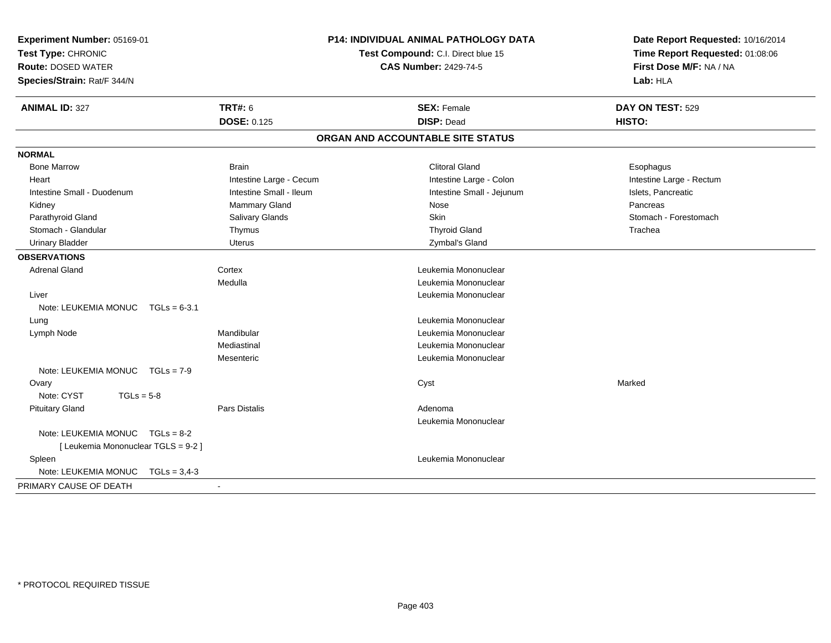| Experiment Number: 05169-01<br>Test Type: CHRONIC<br><b>Route: DOSED WATER</b><br>Species/Strain: Rat/F 344/N | P14: INDIVIDUAL ANIMAL PATHOLOGY DATA<br>Test Compound: C.I. Direct blue 15<br><b>CAS Number: 2429-74-5</b> |                                   | Date Report Requested: 10/16/2014<br>Time Report Requested: 01:08:06<br>First Dose M/F: NA / NA<br>Lab: HLA |  |
|---------------------------------------------------------------------------------------------------------------|-------------------------------------------------------------------------------------------------------------|-----------------------------------|-------------------------------------------------------------------------------------------------------------|--|
| <b>ANIMAL ID: 327</b>                                                                                         | <b>TRT#: 6</b>                                                                                              | <b>SEX: Female</b>                | DAY ON TEST: 529                                                                                            |  |
|                                                                                                               | <b>DOSE: 0.125</b>                                                                                          | <b>DISP: Dead</b>                 | HISTO:                                                                                                      |  |
|                                                                                                               |                                                                                                             | ORGAN AND ACCOUNTABLE SITE STATUS |                                                                                                             |  |
| <b>NORMAL</b>                                                                                                 |                                                                                                             |                                   |                                                                                                             |  |
| <b>Bone Marrow</b>                                                                                            | <b>Brain</b>                                                                                                | <b>Clitoral Gland</b>             | Esophagus                                                                                                   |  |
| Heart                                                                                                         | Intestine Large - Cecum                                                                                     | Intestine Large - Colon           | Intestine Large - Rectum                                                                                    |  |
| Intestine Small - Duodenum                                                                                    | Intestine Small - Ileum                                                                                     | Intestine Small - Jejunum         | Islets, Pancreatic                                                                                          |  |
| Kidney                                                                                                        | Mammary Gland                                                                                               | Nose                              | Pancreas                                                                                                    |  |
| Parathyroid Gland                                                                                             | Salivary Glands                                                                                             | <b>Skin</b>                       | Stomach - Forestomach                                                                                       |  |
| Stomach - Glandular                                                                                           | Thymus                                                                                                      | <b>Thyroid Gland</b>              | Trachea                                                                                                     |  |
| <b>Urinary Bladder</b>                                                                                        | Uterus                                                                                                      | Zymbal's Gland                    |                                                                                                             |  |
| <b>OBSERVATIONS</b>                                                                                           |                                                                                                             |                                   |                                                                                                             |  |
| <b>Adrenal Gland</b>                                                                                          | Cortex                                                                                                      | Leukemia Mononuclear              |                                                                                                             |  |
|                                                                                                               | Medulla                                                                                                     | Leukemia Mononuclear              |                                                                                                             |  |
| Liver                                                                                                         |                                                                                                             | Leukemia Mononuclear              |                                                                                                             |  |
| Note: LEUKEMIA MONUC<br>$TGLs = 6-3.1$                                                                        |                                                                                                             |                                   |                                                                                                             |  |
| Lung                                                                                                          |                                                                                                             | Leukemia Mononuclear              |                                                                                                             |  |
| Lymph Node                                                                                                    | Mandibular                                                                                                  | Leukemia Mononuclear              |                                                                                                             |  |
|                                                                                                               | Mediastinal                                                                                                 | Leukemia Mononuclear              |                                                                                                             |  |
|                                                                                                               | Mesenteric                                                                                                  | Leukemia Mononuclear              |                                                                                                             |  |
| Note: LEUKEMIA MONUC TGLs = 7-9                                                                               |                                                                                                             |                                   |                                                                                                             |  |
| Ovary                                                                                                         |                                                                                                             | Cyst                              | Marked                                                                                                      |  |
| Note: CYST<br>$TGLs = 5-8$                                                                                    |                                                                                                             |                                   |                                                                                                             |  |
| <b>Pituitary Gland</b>                                                                                        | Pars Distalis                                                                                               | Adenoma                           |                                                                                                             |  |
|                                                                                                               |                                                                                                             | Leukemia Mononuclear              |                                                                                                             |  |
| Note: LEUKEMIA MONUC TGLs = 8-2                                                                               |                                                                                                             |                                   |                                                                                                             |  |
| [ Leukemia Mononuclear TGLS = 9-2 ]                                                                           |                                                                                                             |                                   |                                                                                                             |  |
| Spleen                                                                                                        |                                                                                                             | Leukemia Mononuclear              |                                                                                                             |  |
| Note: LEUKEMIA MONUC<br>$TGLs = 3,4-3$                                                                        |                                                                                                             |                                   |                                                                                                             |  |
| PRIMARY CAUSE OF DEATH                                                                                        |                                                                                                             |                                   |                                                                                                             |  |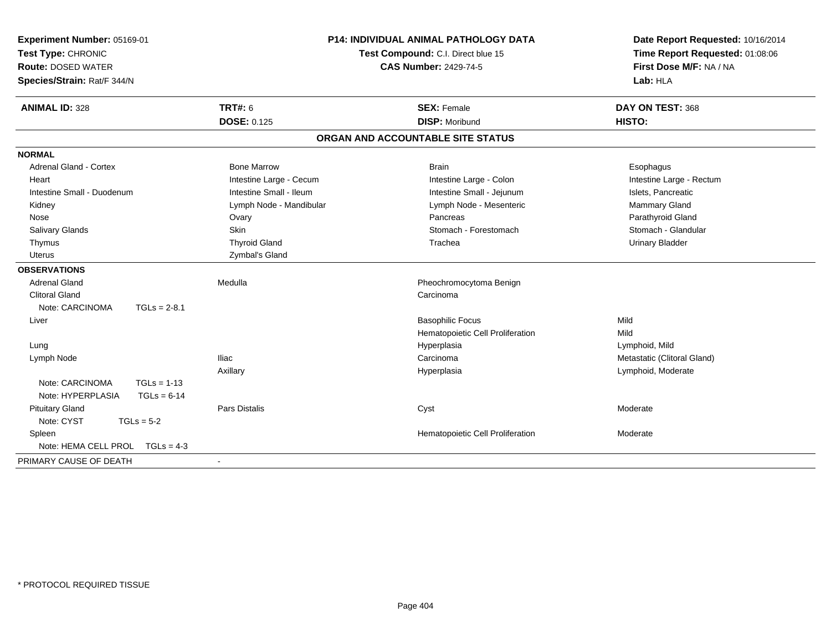| Experiment Number: 05169-01<br>Test Type: CHRONIC<br><b>Route: DOSED WATER</b><br>Species/Strain: Rat/F 344/N | P14: INDIVIDUAL ANIMAL PATHOLOGY DATA<br>Test Compound: C.I. Direct blue 15<br><b>CAS Number: 2429-74-5</b> |                                             | Date Report Requested: 10/16/2014<br>Time Report Requested: 01:08:06<br>First Dose M/F: NA / NA<br>Lab: HLA |  |
|---------------------------------------------------------------------------------------------------------------|-------------------------------------------------------------------------------------------------------------|---------------------------------------------|-------------------------------------------------------------------------------------------------------------|--|
| <b>ANIMAL ID: 328</b>                                                                                         | <b>TRT#: 6</b><br><b>DOSE: 0.125</b>                                                                        | <b>SEX: Female</b><br><b>DISP: Moribund</b> | DAY ON TEST: 368<br>HISTO:                                                                                  |  |
|                                                                                                               |                                                                                                             | ORGAN AND ACCOUNTABLE SITE STATUS           |                                                                                                             |  |
| <b>NORMAL</b>                                                                                                 |                                                                                                             |                                             |                                                                                                             |  |
| <b>Adrenal Gland - Cortex</b>                                                                                 | <b>Bone Marrow</b>                                                                                          | <b>Brain</b>                                | Esophagus                                                                                                   |  |
| Heart                                                                                                         | Intestine Large - Cecum                                                                                     | Intestine Large - Colon                     | Intestine Large - Rectum                                                                                    |  |
| Intestine Small - Duodenum                                                                                    | Intestine Small - Ileum                                                                                     | Intestine Small - Jejunum                   | Islets, Pancreatic                                                                                          |  |
| Kidney                                                                                                        | Lymph Node - Mandibular                                                                                     | Lymph Node - Mesenteric                     | Mammary Gland                                                                                               |  |
| Nose                                                                                                          | Ovary                                                                                                       | Pancreas                                    | Parathyroid Gland                                                                                           |  |
| Salivary Glands                                                                                               | Skin                                                                                                        | Stomach - Forestomach                       | Stomach - Glandular                                                                                         |  |
| Thymus                                                                                                        | <b>Thyroid Gland</b>                                                                                        | Trachea                                     | <b>Urinary Bladder</b>                                                                                      |  |
| <b>Uterus</b>                                                                                                 | Zymbal's Gland                                                                                              |                                             |                                                                                                             |  |
| <b>OBSERVATIONS</b>                                                                                           |                                                                                                             |                                             |                                                                                                             |  |
| <b>Adrenal Gland</b>                                                                                          | Medulla                                                                                                     | Pheochromocytoma Benign                     |                                                                                                             |  |
| <b>Clitoral Gland</b>                                                                                         |                                                                                                             | Carcinoma                                   |                                                                                                             |  |
| Note: CARCINOMA<br>$TGLs = 2-8.1$                                                                             |                                                                                                             |                                             |                                                                                                             |  |
| Liver                                                                                                         |                                                                                                             | <b>Basophilic Focus</b>                     | Mild                                                                                                        |  |
|                                                                                                               |                                                                                                             | Hematopoietic Cell Proliferation            | Mild                                                                                                        |  |
| Lung                                                                                                          |                                                                                                             | Hyperplasia                                 | Lymphoid, Mild                                                                                              |  |
| Lymph Node                                                                                                    | <b>Iliac</b>                                                                                                | Carcinoma                                   | Metastatic (Clitoral Gland)                                                                                 |  |
|                                                                                                               | Axillary                                                                                                    | Hyperplasia                                 | Lymphoid, Moderate                                                                                          |  |
| Note: CARCINOMA<br>$TGLs = 1-13$                                                                              |                                                                                                             |                                             |                                                                                                             |  |
| Note: HYPERPLASIA<br>$TGLs = 6-14$                                                                            |                                                                                                             |                                             |                                                                                                             |  |
| <b>Pituitary Gland</b>                                                                                        | <b>Pars Distalis</b>                                                                                        | Cyst                                        | Moderate                                                                                                    |  |
| Note: CYST<br>$TGLs = 5-2$                                                                                    |                                                                                                             |                                             |                                                                                                             |  |
| Spleen                                                                                                        |                                                                                                             | Hematopoietic Cell Proliferation            | Moderate                                                                                                    |  |
| Note: HEMA CELL PROL $TGLs = 4-3$                                                                             |                                                                                                             |                                             |                                                                                                             |  |
| PRIMARY CAUSE OF DEATH                                                                                        |                                                                                                             |                                             |                                                                                                             |  |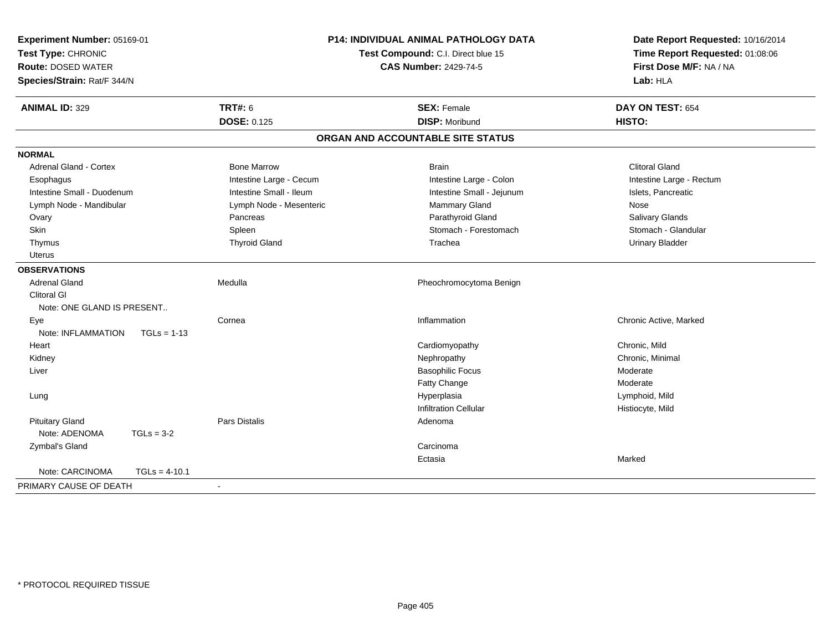| Experiment Number: 05169-01<br>Test Type: CHRONIC<br><b>Route: DOSED WATER</b><br>Species/Strain: Rat/F 344/N |                 | P14: INDIVIDUAL ANIMAL PATHOLOGY DATA<br>Test Compound: C.I. Direct blue 15<br><b>CAS Number: 2429-74-5</b> |                                   | Date Report Requested: 10/16/2014<br>Time Report Requested: 01:08:06<br>First Dose M/F: NA / NA<br>Lab: HLA |  |
|---------------------------------------------------------------------------------------------------------------|-----------------|-------------------------------------------------------------------------------------------------------------|-----------------------------------|-------------------------------------------------------------------------------------------------------------|--|
| <b>ANIMAL ID: 329</b>                                                                                         |                 | <b>TRT#: 6</b>                                                                                              | <b>SEX: Female</b>                | DAY ON TEST: 654                                                                                            |  |
|                                                                                                               |                 | <b>DOSE: 0.125</b>                                                                                          | <b>DISP: Moribund</b>             | HISTO:                                                                                                      |  |
|                                                                                                               |                 |                                                                                                             | ORGAN AND ACCOUNTABLE SITE STATUS |                                                                                                             |  |
| <b>NORMAL</b>                                                                                                 |                 |                                                                                                             |                                   |                                                                                                             |  |
| <b>Adrenal Gland - Cortex</b>                                                                                 |                 | <b>Bone Marrow</b>                                                                                          | <b>Brain</b>                      | <b>Clitoral Gland</b>                                                                                       |  |
| Esophagus                                                                                                     |                 | Intestine Large - Cecum                                                                                     | Intestine Large - Colon           | Intestine Large - Rectum                                                                                    |  |
| Intestine Small - Duodenum                                                                                    |                 | Intestine Small - Ileum                                                                                     | Intestine Small - Jejunum         | Islets, Pancreatic                                                                                          |  |
| Lymph Node - Mandibular                                                                                       |                 | Lymph Node - Mesenteric                                                                                     | Mammary Gland                     | Nose                                                                                                        |  |
| Ovary                                                                                                         |                 | Pancreas                                                                                                    | Parathyroid Gland                 | Salivary Glands                                                                                             |  |
| Skin                                                                                                          |                 | Spleen                                                                                                      | Stomach - Forestomach             | Stomach - Glandular                                                                                         |  |
| Thymus                                                                                                        |                 | <b>Thyroid Gland</b>                                                                                        | Trachea                           | <b>Urinary Bladder</b>                                                                                      |  |
| <b>Uterus</b>                                                                                                 |                 |                                                                                                             |                                   |                                                                                                             |  |
| <b>OBSERVATIONS</b>                                                                                           |                 |                                                                                                             |                                   |                                                                                                             |  |
| <b>Adrenal Gland</b>                                                                                          |                 | Medulla                                                                                                     | Pheochromocytoma Benign           |                                                                                                             |  |
| <b>Clitoral GI</b>                                                                                            |                 |                                                                                                             |                                   |                                                                                                             |  |
| Note: ONE GLAND IS PRESENT                                                                                    |                 |                                                                                                             |                                   |                                                                                                             |  |
| Eye                                                                                                           |                 | Cornea                                                                                                      | Inflammation                      | Chronic Active, Marked                                                                                      |  |
| Note: INFLAMMATION                                                                                            | $TGLs = 1-13$   |                                                                                                             |                                   |                                                                                                             |  |
| Heart                                                                                                         |                 |                                                                                                             | Cardiomyopathy                    | Chronic, Mild                                                                                               |  |
| Kidney                                                                                                        |                 |                                                                                                             | Nephropathy                       | Chronic, Minimal                                                                                            |  |
| Liver                                                                                                         |                 |                                                                                                             | <b>Basophilic Focus</b>           | Moderate                                                                                                    |  |
|                                                                                                               |                 |                                                                                                             | <b>Fatty Change</b>               | Moderate                                                                                                    |  |
| Lung                                                                                                          |                 |                                                                                                             | Hyperplasia                       | Lymphoid, Mild                                                                                              |  |
|                                                                                                               |                 |                                                                                                             | <b>Infiltration Cellular</b>      | Histiocyte, Mild                                                                                            |  |
| <b>Pituitary Gland</b>                                                                                        |                 | <b>Pars Distalis</b>                                                                                        | Adenoma                           |                                                                                                             |  |
| Note: ADENOMA                                                                                                 | $TGLs = 3-2$    |                                                                                                             |                                   |                                                                                                             |  |
| Zymbal's Gland                                                                                                |                 |                                                                                                             | Carcinoma                         |                                                                                                             |  |
|                                                                                                               |                 |                                                                                                             | Ectasia                           | Marked                                                                                                      |  |
| Note: CARCINOMA                                                                                               | $TGLs = 4-10.1$ |                                                                                                             |                                   |                                                                                                             |  |
| PRIMARY CAUSE OF DEATH                                                                                        |                 |                                                                                                             |                                   |                                                                                                             |  |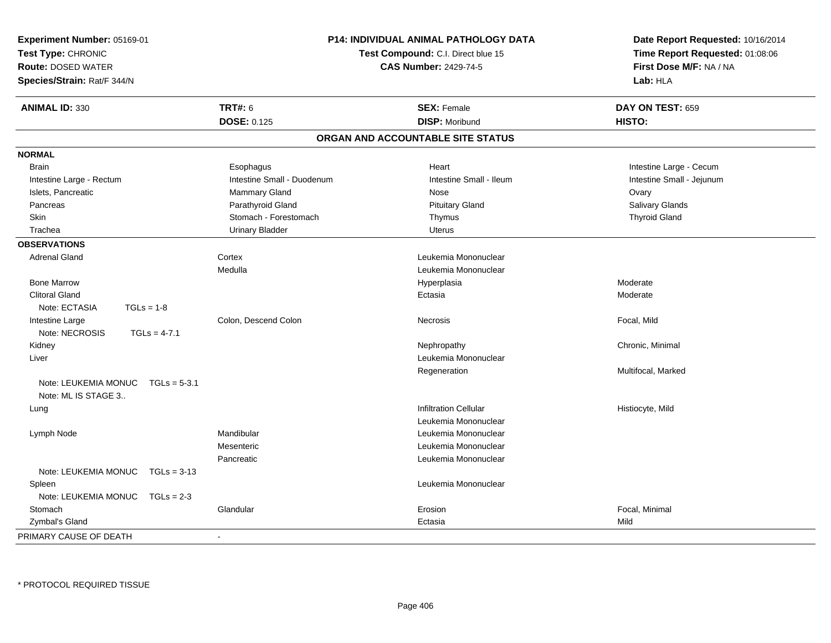| Experiment Number: 05169-01<br>Test Type: CHRONIC<br><b>Route: DOSED WATER</b><br>Species/Strain: Rat/F 344/N |                            | <b>P14: INDIVIDUAL ANIMAL PATHOLOGY DATA</b><br>Test Compound: C.I. Direct blue 15<br><b>CAS Number: 2429-74-5</b> | Date Report Requested: 10/16/2014<br>Time Report Requested: 01:08:06<br>First Dose M/F: NA / NA<br>Lab: HLA |
|---------------------------------------------------------------------------------------------------------------|----------------------------|--------------------------------------------------------------------------------------------------------------------|-------------------------------------------------------------------------------------------------------------|
| <b>ANIMAL ID: 330</b>                                                                                         | <b>TRT#: 6</b>             | <b>SEX: Female</b>                                                                                                 | DAY ON TEST: 659                                                                                            |
|                                                                                                               | <b>DOSE: 0.125</b>         | <b>DISP: Moribund</b>                                                                                              | HISTO:                                                                                                      |
|                                                                                                               |                            | ORGAN AND ACCOUNTABLE SITE STATUS                                                                                  |                                                                                                             |
| <b>NORMAL</b>                                                                                                 |                            |                                                                                                                    |                                                                                                             |
| <b>Brain</b>                                                                                                  | Esophagus                  | Heart                                                                                                              | Intestine Large - Cecum                                                                                     |
| Intestine Large - Rectum                                                                                      | Intestine Small - Duodenum | Intestine Small - Ileum                                                                                            | Intestine Small - Jejunum                                                                                   |
| Islets, Pancreatic                                                                                            | Mammary Gland              | Nose                                                                                                               | Ovary                                                                                                       |
| Pancreas                                                                                                      | Parathyroid Gland          | <b>Pituitary Gland</b>                                                                                             | Salivary Glands                                                                                             |
| Skin                                                                                                          | Stomach - Forestomach      | Thymus                                                                                                             | <b>Thyroid Gland</b>                                                                                        |
| Trachea                                                                                                       | <b>Urinary Bladder</b>     | <b>Uterus</b>                                                                                                      |                                                                                                             |
| <b>OBSERVATIONS</b>                                                                                           |                            |                                                                                                                    |                                                                                                             |
| <b>Adrenal Gland</b>                                                                                          | Cortex                     | Leukemia Mononuclear                                                                                               |                                                                                                             |
|                                                                                                               | Medulla                    | Leukemia Mononuclear                                                                                               |                                                                                                             |
| <b>Bone Marrow</b>                                                                                            |                            | Hyperplasia                                                                                                        | Moderate                                                                                                    |
| <b>Clitoral Gland</b>                                                                                         |                            | Ectasia                                                                                                            | Moderate                                                                                                    |
| Note: ECTASIA<br>$TGLs = 1-8$                                                                                 |                            |                                                                                                                    |                                                                                                             |
| Intestine Large                                                                                               | Colon, Descend Colon       | Necrosis                                                                                                           | Focal, Mild                                                                                                 |
| Note: NECROSIS<br>$TGLs = 4-7.1$                                                                              |                            |                                                                                                                    |                                                                                                             |
| Kidney                                                                                                        |                            | Nephropathy                                                                                                        | Chronic, Minimal                                                                                            |
| Liver                                                                                                         |                            | Leukemia Mononuclear                                                                                               |                                                                                                             |
|                                                                                                               |                            | Regeneration                                                                                                       | Multifocal, Marked                                                                                          |
| Note: LEUKEMIA MONUC<br>$TGLs = 5-3.1$                                                                        |                            |                                                                                                                    |                                                                                                             |
| Note: ML IS STAGE 3                                                                                           |                            |                                                                                                                    |                                                                                                             |
| Lung                                                                                                          |                            | <b>Infiltration Cellular</b>                                                                                       | Histiocyte, Mild                                                                                            |
|                                                                                                               |                            | Leukemia Mononuclear                                                                                               |                                                                                                             |
| Lymph Node                                                                                                    | Mandibular                 | Leukemia Mononuclear                                                                                               |                                                                                                             |
|                                                                                                               | Mesenteric                 | Leukemia Mononuclear                                                                                               |                                                                                                             |
|                                                                                                               | Pancreatic                 | Leukemia Mononuclear                                                                                               |                                                                                                             |
| Note: LEUKEMIA MONUC<br>$TGLs = 3-13$                                                                         |                            |                                                                                                                    |                                                                                                             |
| Spleen                                                                                                        |                            | Leukemia Mononuclear                                                                                               |                                                                                                             |
| Note: LEUKEMIA MONUC<br>$TGLs = 2-3$                                                                          |                            |                                                                                                                    |                                                                                                             |
| Stomach                                                                                                       | Glandular                  | Erosion                                                                                                            | Focal, Minimal                                                                                              |
| Zymbal's Gland                                                                                                |                            | Ectasia                                                                                                            | Mild                                                                                                        |
| PRIMARY CAUSE OF DEATH                                                                                        |                            |                                                                                                                    |                                                                                                             |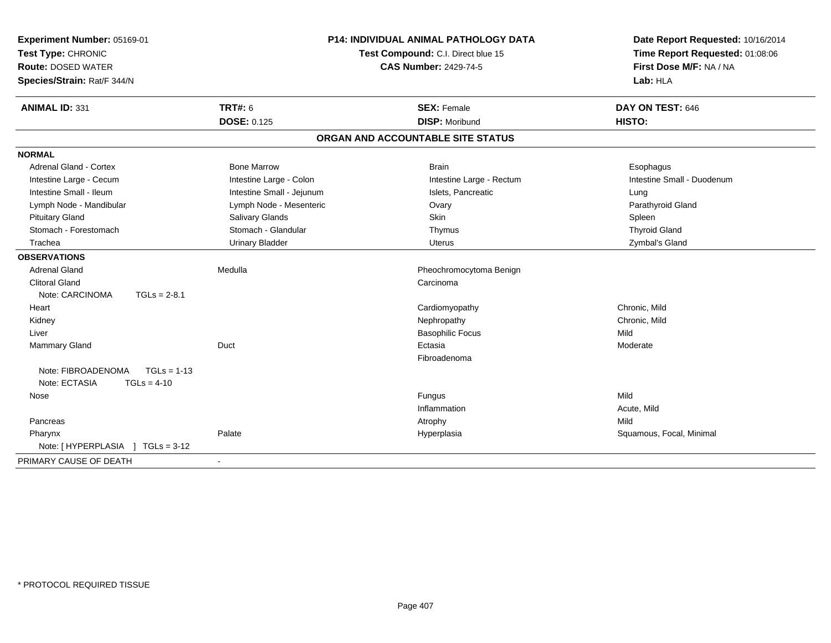| Experiment Number: 05169-01<br>Test Type: CHRONIC<br><b>Route: DOSED WATER</b> |                           | <b>P14: INDIVIDUAL ANIMAL PATHOLOGY DATA</b><br>Test Compound: C.I. Direct blue 15<br><b>CAS Number: 2429-74-5</b> | Date Report Requested: 10/16/2014<br>Time Report Requested: 01:08:06<br>First Dose M/F: NA / NA |
|--------------------------------------------------------------------------------|---------------------------|--------------------------------------------------------------------------------------------------------------------|-------------------------------------------------------------------------------------------------|
| Species/Strain: Rat/F 344/N                                                    |                           |                                                                                                                    | Lab: HLA                                                                                        |
| <b>ANIMAL ID: 331</b>                                                          | <b>TRT#: 6</b>            | <b>SEX: Female</b>                                                                                                 | DAY ON TEST: 646                                                                                |
|                                                                                | <b>DOSE: 0.125</b>        | <b>DISP: Moribund</b>                                                                                              | HISTO:                                                                                          |
|                                                                                |                           | ORGAN AND ACCOUNTABLE SITE STATUS                                                                                  |                                                                                                 |
| <b>NORMAL</b>                                                                  |                           |                                                                                                                    |                                                                                                 |
| Adrenal Gland - Cortex                                                         | <b>Bone Marrow</b>        | <b>Brain</b>                                                                                                       | Esophagus                                                                                       |
| Intestine Large - Cecum                                                        | Intestine Large - Colon   | Intestine Large - Rectum                                                                                           | Intestine Small - Duodenum                                                                      |
| Intestine Small - Ileum                                                        | Intestine Small - Jejunum | Islets, Pancreatic                                                                                                 | Lung                                                                                            |
| Lymph Node - Mandibular                                                        | Lymph Node - Mesenteric   | Ovary                                                                                                              | Parathyroid Gland                                                                               |
| <b>Pituitary Gland</b>                                                         | Salivary Glands           | Skin                                                                                                               | Spleen                                                                                          |
| Stomach - Forestomach                                                          | Stomach - Glandular       | Thymus                                                                                                             | <b>Thyroid Gland</b>                                                                            |
| Trachea                                                                        | <b>Urinary Bladder</b>    | <b>Uterus</b>                                                                                                      | Zymbal's Gland                                                                                  |
| <b>OBSERVATIONS</b>                                                            |                           |                                                                                                                    |                                                                                                 |
| <b>Adrenal Gland</b>                                                           | Medulla                   | Pheochromocytoma Benign                                                                                            |                                                                                                 |
| <b>Clitoral Gland</b>                                                          |                           | Carcinoma                                                                                                          |                                                                                                 |
| Note: CARCINOMA<br>$TGLs = 2-8.1$                                              |                           |                                                                                                                    |                                                                                                 |
| Heart                                                                          |                           | Cardiomyopathy                                                                                                     | Chronic, Mild                                                                                   |
| Kidney                                                                         |                           | Nephropathy                                                                                                        | Chronic, Mild                                                                                   |
| Liver                                                                          |                           | <b>Basophilic Focus</b>                                                                                            | Mild                                                                                            |
| Mammary Gland                                                                  | Duct                      | Ectasia                                                                                                            | Moderate                                                                                        |
|                                                                                |                           | Fibroadenoma                                                                                                       |                                                                                                 |
| Note: FIBROADENOMA<br>$TGLs = 1-13$                                            |                           |                                                                                                                    |                                                                                                 |
| Note: ECTASIA<br>$TGLs = 4-10$                                                 |                           |                                                                                                                    |                                                                                                 |
| Nose                                                                           |                           | Fungus                                                                                                             | Mild                                                                                            |
|                                                                                |                           | Inflammation                                                                                                       | Acute, Mild                                                                                     |
| Pancreas                                                                       |                           | Atrophy                                                                                                            | Mild                                                                                            |
| Pharynx                                                                        | Palate                    | Hyperplasia                                                                                                        | Squamous, Focal, Minimal                                                                        |
| Note: [HYPERPLASIA ] TGLs = 3-12                                               |                           |                                                                                                                    |                                                                                                 |
| PRIMARY CAUSE OF DEATH                                                         |                           |                                                                                                                    |                                                                                                 |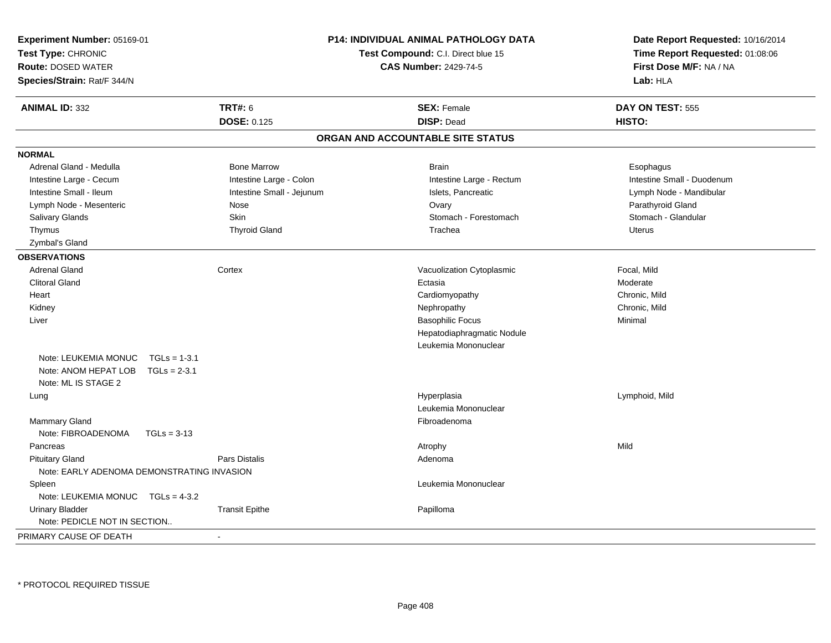| Experiment Number: 05169-01<br>Test Type: CHRONIC<br><b>Route: DOSED WATER</b><br>Species/Strain: Rat/F 344/N |                                            | <b>P14: INDIVIDUAL ANIMAL PATHOLOGY DATA</b><br>Test Compound: C.I. Direct blue 15<br><b>CAS Number: 2429-74-5</b> |                                   | Date Report Requested: 10/16/2014<br>Time Report Requested: 01:08:06<br>First Dose M/F: NA / NA<br>Lab: HLA |
|---------------------------------------------------------------------------------------------------------------|--------------------------------------------|--------------------------------------------------------------------------------------------------------------------|-----------------------------------|-------------------------------------------------------------------------------------------------------------|
| <b>ANIMAL ID: 332</b>                                                                                         | <b>TRT#: 6</b>                             |                                                                                                                    | <b>SEX: Female</b>                | DAY ON TEST: 555                                                                                            |
|                                                                                                               | <b>DOSE: 0.125</b>                         |                                                                                                                    | <b>DISP: Dead</b>                 | HISTO:                                                                                                      |
|                                                                                                               |                                            |                                                                                                                    | ORGAN AND ACCOUNTABLE SITE STATUS |                                                                                                             |
| <b>NORMAL</b>                                                                                                 |                                            |                                                                                                                    |                                   |                                                                                                             |
| Adrenal Gland - Medulla                                                                                       | <b>Bone Marrow</b>                         |                                                                                                                    | <b>Brain</b>                      | Esophagus                                                                                                   |
| Intestine Large - Cecum                                                                                       |                                            | Intestine Large - Colon                                                                                            | Intestine Large - Rectum          | Intestine Small - Duodenum                                                                                  |
| Intestine Small - Ileum                                                                                       |                                            | Intestine Small - Jejunum                                                                                          | Islets, Pancreatic                | Lymph Node - Mandibular                                                                                     |
| Lymph Node - Mesenteric                                                                                       | Nose                                       |                                                                                                                    | Ovary                             | Parathyroid Gland                                                                                           |
| Salivary Glands                                                                                               | Skin                                       |                                                                                                                    | Stomach - Forestomach             | Stomach - Glandular                                                                                         |
| Thymus                                                                                                        | <b>Thyroid Gland</b>                       |                                                                                                                    | Trachea                           | <b>Uterus</b>                                                                                               |
| Zymbal's Gland                                                                                                |                                            |                                                                                                                    |                                   |                                                                                                             |
| <b>OBSERVATIONS</b>                                                                                           |                                            |                                                                                                                    |                                   |                                                                                                             |
| <b>Adrenal Gland</b>                                                                                          | Cortex                                     |                                                                                                                    | Vacuolization Cytoplasmic         | Focal, Mild                                                                                                 |
| <b>Clitoral Gland</b>                                                                                         |                                            |                                                                                                                    | Ectasia                           | Moderate                                                                                                    |
| Heart                                                                                                         |                                            |                                                                                                                    | Cardiomyopathy                    | Chronic, Mild                                                                                               |
| Kidney                                                                                                        |                                            |                                                                                                                    | Nephropathy                       | Chronic, Mild                                                                                               |
| Liver                                                                                                         |                                            |                                                                                                                    | <b>Basophilic Focus</b>           | Minimal                                                                                                     |
|                                                                                                               |                                            |                                                                                                                    | Hepatodiaphragmatic Nodule        |                                                                                                             |
|                                                                                                               |                                            |                                                                                                                    | Leukemia Mononuclear              |                                                                                                             |
| Note: LEUKEMIA MONUC                                                                                          | $TGLs = 1-3.1$                             |                                                                                                                    |                                   |                                                                                                             |
| Note: ANOM HEPAT LOB                                                                                          | $TGLs = 2-3.1$                             |                                                                                                                    |                                   |                                                                                                             |
| Note: ML IS STAGE 2                                                                                           |                                            |                                                                                                                    |                                   |                                                                                                             |
| Lung                                                                                                          |                                            |                                                                                                                    | Hyperplasia                       | Lymphoid, Mild                                                                                              |
|                                                                                                               |                                            |                                                                                                                    | Leukemia Mononuclear              |                                                                                                             |
| Mammary Gland                                                                                                 |                                            |                                                                                                                    | Fibroadenoma                      |                                                                                                             |
| Note: FIBROADENOMA                                                                                            | $TGLs = 3-13$                              |                                                                                                                    |                                   |                                                                                                             |
| Pancreas                                                                                                      |                                            |                                                                                                                    | Atrophy                           | Mild                                                                                                        |
| <b>Pituitary Gland</b>                                                                                        | <b>Pars Distalis</b>                       |                                                                                                                    | Adenoma                           |                                                                                                             |
|                                                                                                               | Note: EARLY ADENOMA DEMONSTRATING INVASION |                                                                                                                    |                                   |                                                                                                             |
| Spleen                                                                                                        |                                            |                                                                                                                    | Leukemia Mononuclear              |                                                                                                             |
| Note: LEUKEMIA MONUC                                                                                          | $TGLs = 4-3.2$                             |                                                                                                                    |                                   |                                                                                                             |
| <b>Urinary Bladder</b>                                                                                        | <b>Transit Epithe</b>                      |                                                                                                                    | Papilloma                         |                                                                                                             |
| Note: PEDICLE NOT IN SECTION                                                                                  |                                            |                                                                                                                    |                                   |                                                                                                             |
| PRIMARY CAUSE OF DEATH                                                                                        | $\blacksquare$                             |                                                                                                                    |                                   |                                                                                                             |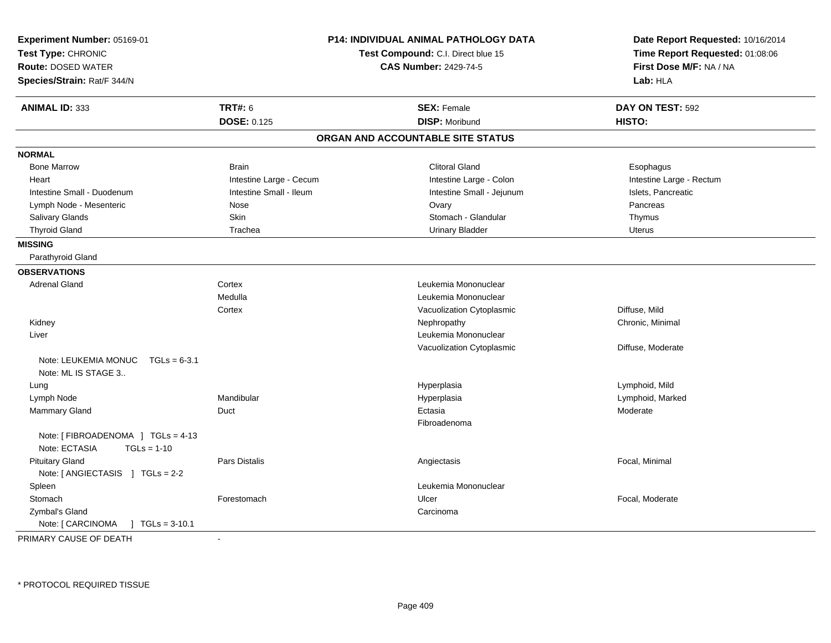| Experiment Number: 05169-01<br>Test Type: CHRONIC<br><b>Route: DOSED WATER</b><br>Species/Strain: Rat/F 344/N |                         | <b>P14: INDIVIDUAL ANIMAL PATHOLOGY DATA</b><br>Test Compound: C.I. Direct blue 15<br><b>CAS Number: 2429-74-5</b> | Date Report Requested: 10/16/2014<br>Time Report Requested: 01:08:06<br>First Dose M/F: NA / NA<br>Lab: HLA |
|---------------------------------------------------------------------------------------------------------------|-------------------------|--------------------------------------------------------------------------------------------------------------------|-------------------------------------------------------------------------------------------------------------|
| <b>ANIMAL ID: 333</b>                                                                                         | <b>TRT#: 6</b>          | <b>SEX: Female</b>                                                                                                 | DAY ON TEST: 592                                                                                            |
|                                                                                                               | <b>DOSE: 0.125</b>      | <b>DISP: Moribund</b>                                                                                              | HISTO:                                                                                                      |
|                                                                                                               |                         | ORGAN AND ACCOUNTABLE SITE STATUS                                                                                  |                                                                                                             |
| <b>NORMAL</b>                                                                                                 |                         |                                                                                                                    |                                                                                                             |
| <b>Bone Marrow</b>                                                                                            | <b>Brain</b>            | <b>Clitoral Gland</b>                                                                                              | Esophagus                                                                                                   |
| Heart                                                                                                         | Intestine Large - Cecum | Intestine Large - Colon                                                                                            | Intestine Large - Rectum                                                                                    |
| Intestine Small - Duodenum                                                                                    | Intestine Small - Ileum | Intestine Small - Jejunum                                                                                          | Islets, Pancreatic                                                                                          |
| Lymph Node - Mesenteric                                                                                       | Nose                    | Ovary                                                                                                              | Pancreas                                                                                                    |
| Salivary Glands                                                                                               | <b>Skin</b>             | Stomach - Glandular                                                                                                | Thymus                                                                                                      |
| <b>Thyroid Gland</b>                                                                                          | Trachea                 | <b>Urinary Bladder</b>                                                                                             | <b>Uterus</b>                                                                                               |
| <b>MISSING</b>                                                                                                |                         |                                                                                                                    |                                                                                                             |
| Parathyroid Gland                                                                                             |                         |                                                                                                                    |                                                                                                             |
| <b>OBSERVATIONS</b>                                                                                           |                         |                                                                                                                    |                                                                                                             |
| <b>Adrenal Gland</b>                                                                                          | Cortex                  | Leukemia Mononuclear                                                                                               |                                                                                                             |
|                                                                                                               | Medulla                 | Leukemia Mononuclear                                                                                               |                                                                                                             |
|                                                                                                               | Cortex                  | Vacuolization Cytoplasmic                                                                                          | Diffuse, Mild                                                                                               |
| Kidney                                                                                                        |                         | Nephropathy                                                                                                        | Chronic, Minimal                                                                                            |
| Liver                                                                                                         |                         | Leukemia Mononuclear                                                                                               |                                                                                                             |
|                                                                                                               |                         | Vacuolization Cytoplasmic                                                                                          | Diffuse, Moderate                                                                                           |
| Note: LEUKEMIA MONUC<br>$TGLs = 6-3.1$<br>Note: ML IS STAGE 3                                                 |                         |                                                                                                                    |                                                                                                             |
| Lung                                                                                                          |                         | Hyperplasia                                                                                                        | Lymphoid, Mild                                                                                              |
| Lymph Node                                                                                                    | Mandibular              | Hyperplasia                                                                                                        | Lymphoid, Marked                                                                                            |
| <b>Mammary Gland</b>                                                                                          | Duct                    | Ectasia                                                                                                            | Moderate                                                                                                    |
|                                                                                                               |                         | Fibroadenoma                                                                                                       |                                                                                                             |
| Note: [FIBROADENOMA ] TGLs = 4-13<br>Note: ECTASIA<br>$TGLs = 1-10$                                           |                         |                                                                                                                    |                                                                                                             |
| <b>Pituitary Gland</b><br>Note: $[$ ANGIECTASIS $]$ TGLs = 2-2                                                | Pars Distalis           | Angiectasis                                                                                                        | Focal, Minimal                                                                                              |
| Spleen                                                                                                        |                         | Leukemia Mononuclear                                                                                               |                                                                                                             |
| Stomach                                                                                                       | Forestomach             | Ulcer                                                                                                              | Focal, Moderate                                                                                             |
| Zymbal's Gland                                                                                                |                         | Carcinoma                                                                                                          |                                                                                                             |
| Note: [ CARCINOMA<br>$TGLs = 3-10.1$                                                                          |                         |                                                                                                                    |                                                                                                             |
| PRIMARY CAUSE OF DEATH                                                                                        |                         |                                                                                                                    |                                                                                                             |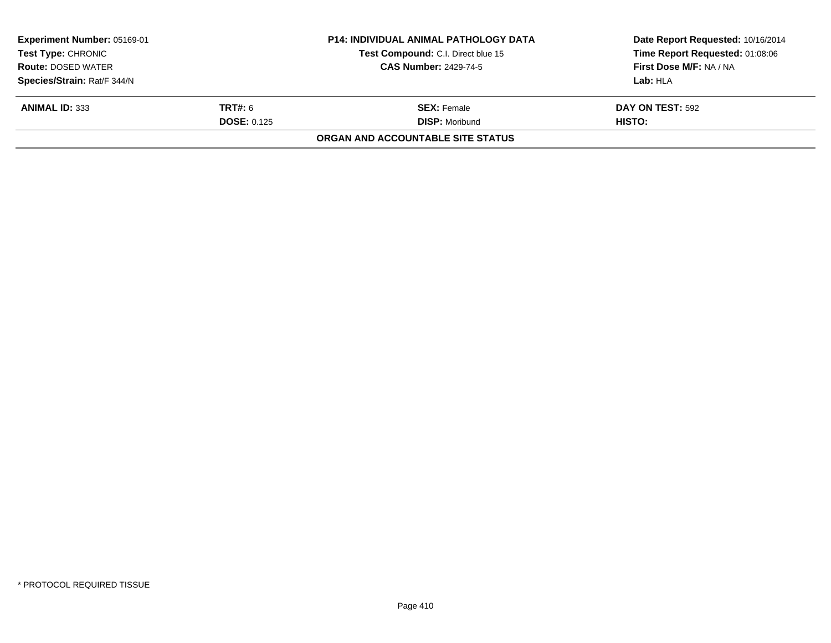| Experiment Number: 05169-01<br><b>Test Type: CHRONIC</b><br><b>Route: DOSED WATER</b><br>Species/Strain: Rat/F 344/N |                                      | <b>P14: INDIVIDUAL ANIMAL PATHOLOGY DATA</b><br>Test Compound: C.I. Direct blue 15<br><b>CAS Number: 2429-74-5</b> | Date Report Requested: 10/16/2014<br>Time Report Requested: 01:08:06<br>First Dose M/F: NA / NA<br>Lab: HLA |
|----------------------------------------------------------------------------------------------------------------------|--------------------------------------|--------------------------------------------------------------------------------------------------------------------|-------------------------------------------------------------------------------------------------------------|
| <b>ANIMAL ID: 333</b>                                                                                                | <b>TRT#:</b> 6<br><b>DOSE: 0.125</b> | <b>SEX: Female</b><br><b>DISP: Moribund</b>                                                                        | DAY ON TEST: 592<br>HISTO:                                                                                  |
|                                                                                                                      |                                      | ORGAN AND ACCOUNTABLE SITE STATUS                                                                                  |                                                                                                             |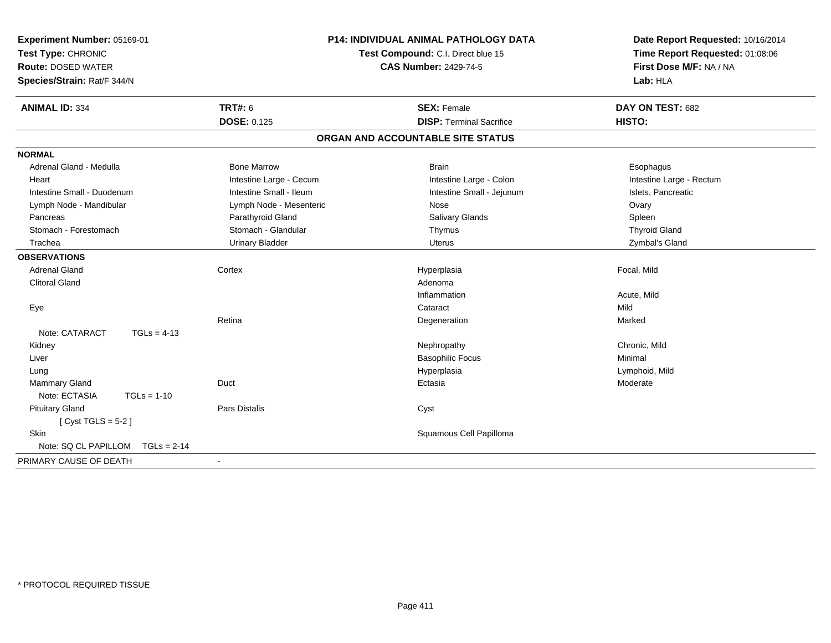| Experiment Number: 05169-01<br>Test Type: CHRONIC<br><b>Route: DOSED WATER</b><br>Species/Strain: Rat/F 344/N |                         | <b>P14: INDIVIDUAL ANIMAL PATHOLOGY DATA</b><br>Test Compound: C.I. Direct blue 15<br><b>CAS Number: 2429-74-5</b> | Date Report Requested: 10/16/2014<br>Time Report Requested: 01:08:06<br>First Dose M/F: NA / NA<br>Lab: HLA |  |
|---------------------------------------------------------------------------------------------------------------|-------------------------|--------------------------------------------------------------------------------------------------------------------|-------------------------------------------------------------------------------------------------------------|--|
| <b>ANIMAL ID: 334</b>                                                                                         | <b>TRT#: 6</b>          | <b>SEX: Female</b>                                                                                                 | DAY ON TEST: 682                                                                                            |  |
|                                                                                                               | <b>DOSE: 0.125</b>      | <b>DISP: Terminal Sacrifice</b>                                                                                    | HISTO:                                                                                                      |  |
|                                                                                                               |                         | ORGAN AND ACCOUNTABLE SITE STATUS                                                                                  |                                                                                                             |  |
| <b>NORMAL</b>                                                                                                 |                         |                                                                                                                    |                                                                                                             |  |
| Adrenal Gland - Medulla                                                                                       | <b>Bone Marrow</b>      | <b>Brain</b>                                                                                                       | Esophagus                                                                                                   |  |
| Heart                                                                                                         | Intestine Large - Cecum | Intestine Large - Colon                                                                                            | Intestine Large - Rectum                                                                                    |  |
| Intestine Small - Duodenum                                                                                    | Intestine Small - Ileum | Intestine Small - Jejunum                                                                                          | Islets, Pancreatic                                                                                          |  |
| Lymph Node - Mandibular                                                                                       | Lymph Node - Mesenteric | Nose                                                                                                               | Ovary                                                                                                       |  |
| Pancreas                                                                                                      | Parathyroid Gland       | Salivary Glands                                                                                                    | Spleen                                                                                                      |  |
| Stomach - Forestomach                                                                                         | Stomach - Glandular     | Thymus                                                                                                             | <b>Thyroid Gland</b>                                                                                        |  |
| Trachea                                                                                                       | <b>Urinary Bladder</b>  | <b>Uterus</b>                                                                                                      | Zymbal's Gland                                                                                              |  |
| <b>OBSERVATIONS</b>                                                                                           |                         |                                                                                                                    |                                                                                                             |  |
| <b>Adrenal Gland</b>                                                                                          | Cortex                  | Hyperplasia                                                                                                        | Focal, Mild                                                                                                 |  |
| <b>Clitoral Gland</b>                                                                                         |                         | Adenoma                                                                                                            |                                                                                                             |  |
|                                                                                                               |                         | Inflammation                                                                                                       | Acute, Mild                                                                                                 |  |
| Eye                                                                                                           |                         | Cataract                                                                                                           | Mild                                                                                                        |  |
|                                                                                                               | Retina                  | Degeneration                                                                                                       | Marked                                                                                                      |  |
| Note: CATARACT<br>$TGLs = 4-13$                                                                               |                         |                                                                                                                    |                                                                                                             |  |
| Kidney                                                                                                        |                         | Nephropathy                                                                                                        | Chronic, Mild                                                                                               |  |
| Liver                                                                                                         |                         | <b>Basophilic Focus</b>                                                                                            | Minimal                                                                                                     |  |
| Lung                                                                                                          |                         | Hyperplasia                                                                                                        | Lymphoid, Mild                                                                                              |  |
| Mammary Gland                                                                                                 | Duct                    | Ectasia                                                                                                            | Moderate                                                                                                    |  |
| Note: ECTASIA<br>$TGLs = 1-10$                                                                                |                         |                                                                                                                    |                                                                                                             |  |
| <b>Pituitary Gland</b>                                                                                        | Pars Distalis           | Cyst                                                                                                               |                                                                                                             |  |
| [Cyst TGLS = $5-2$ ]                                                                                          |                         |                                                                                                                    |                                                                                                             |  |
| <b>Skin</b>                                                                                                   |                         | Squamous Cell Papilloma                                                                                            |                                                                                                             |  |
| Note: SQ CL PAPILLOM<br>$TGLs = 2-14$                                                                         |                         |                                                                                                                    |                                                                                                             |  |
| PRIMARY CAUSE OF DEATH                                                                                        |                         |                                                                                                                    |                                                                                                             |  |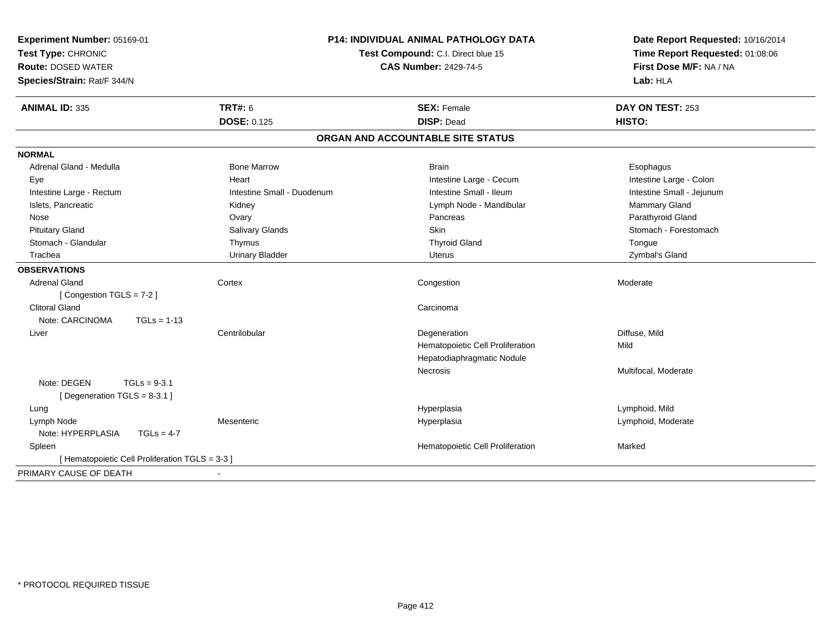| <b>TRT#: 6</b><br><b>ANIMAL ID: 335</b><br><b>SEX: Female</b><br>DAY ON TEST: 253<br><b>DOSE: 0.125</b><br><b>DISP: Dead</b><br>HISTO:<br>ORGAN AND ACCOUNTABLE SITE STATUS<br><b>NORMAL</b><br>Adrenal Gland - Medulla<br><b>Bone Marrow</b><br><b>Brain</b><br>Esophagus<br>Heart<br>Intestine Large - Cecum<br>Intestine Large - Colon<br>Eye<br>Intestine Small - Ileum<br>Intestine Large - Rectum<br>Intestine Small - Duodenum<br>Intestine Small - Jejunum<br>Islets, Pancreatic<br>Mammary Gland<br>Kidney<br>Lymph Node - Mandibular<br>Parathyroid Gland<br>Nose<br>Ovary<br>Pancreas<br>Stomach - Forestomach<br><b>Pituitary Gland</b><br>Salivary Glands<br><b>Skin</b><br>Stomach - Glandular<br><b>Thyroid Gland</b><br>Thymus<br>Tongue<br><b>Urinary Bladder</b><br>Trachea<br>Zymbal's Gland<br>Uterus<br><b>OBSERVATIONS</b><br><b>Adrenal Gland</b><br>Cortex<br>Congestion<br>Moderate<br>[Congestion TGLS = 7-2]<br><b>Clitoral Gland</b><br>Carcinoma<br>Note: CARCINOMA<br>$TGLs = 1-13$<br>Centrilobular<br>Degeneration<br>Diffuse, Mild<br>Liver<br>Hematopoietic Cell Proliferation<br>Mild<br>Hepatodiaphragmatic Nodule<br>Multifocal, Moderate<br>Necrosis<br>Note: DEGEN<br>$TGLs = 9-3.1$<br>[ Degeneration TGLS = 8-3.1 ]<br>Hyperplasia<br>Lymphoid, Mild<br>Lung<br>Lymph Node<br>Hyperplasia<br>Lymphoid, Moderate<br>Mesenteric<br>Note: HYPERPLASIA<br>$TGLs = 4-7$<br>Hematopoietic Cell Proliferation<br>Spleen<br>Marked<br>[ Hematopoietic Cell Proliferation TGLS = 3-3 ] | <b>P14: INDIVIDUAL ANIMAL PATHOLOGY DATA</b><br>Experiment Number: 05169-01<br>Test Type: CHRONIC<br>Test Compound: C.I. Direct blue 15<br><b>Route: DOSED WATER</b><br><b>CAS Number: 2429-74-5</b><br>Species/Strain: Rat/F 344/N |  | Date Report Requested: 10/16/2014<br>Time Report Requested: 01:08:06<br>First Dose M/F: NA / NA<br>Lab: HLA |
|------------------------------------------------------------------------------------------------------------------------------------------------------------------------------------------------------------------------------------------------------------------------------------------------------------------------------------------------------------------------------------------------------------------------------------------------------------------------------------------------------------------------------------------------------------------------------------------------------------------------------------------------------------------------------------------------------------------------------------------------------------------------------------------------------------------------------------------------------------------------------------------------------------------------------------------------------------------------------------------------------------------------------------------------------------------------------------------------------------------------------------------------------------------------------------------------------------------------------------------------------------------------------------------------------------------------------------------------------------------------------------------------------------------------------------------------------------------------------------------------------------------------|-------------------------------------------------------------------------------------------------------------------------------------------------------------------------------------------------------------------------------------|--|-------------------------------------------------------------------------------------------------------------|
|                                                                                                                                                                                                                                                                                                                                                                                                                                                                                                                                                                                                                                                                                                                                                                                                                                                                                                                                                                                                                                                                                                                                                                                                                                                                                                                                                                                                                                                                                                                        |                                                                                                                                                                                                                                     |  |                                                                                                             |
|                                                                                                                                                                                                                                                                                                                                                                                                                                                                                                                                                                                                                                                                                                                                                                                                                                                                                                                                                                                                                                                                                                                                                                                                                                                                                                                                                                                                                                                                                                                        |                                                                                                                                                                                                                                     |  |                                                                                                             |
|                                                                                                                                                                                                                                                                                                                                                                                                                                                                                                                                                                                                                                                                                                                                                                                                                                                                                                                                                                                                                                                                                                                                                                                                                                                                                                                                                                                                                                                                                                                        |                                                                                                                                                                                                                                     |  |                                                                                                             |
|                                                                                                                                                                                                                                                                                                                                                                                                                                                                                                                                                                                                                                                                                                                                                                                                                                                                                                                                                                                                                                                                                                                                                                                                                                                                                                                                                                                                                                                                                                                        |                                                                                                                                                                                                                                     |  |                                                                                                             |
|                                                                                                                                                                                                                                                                                                                                                                                                                                                                                                                                                                                                                                                                                                                                                                                                                                                                                                                                                                                                                                                                                                                                                                                                                                                                                                                                                                                                                                                                                                                        |                                                                                                                                                                                                                                     |  |                                                                                                             |
|                                                                                                                                                                                                                                                                                                                                                                                                                                                                                                                                                                                                                                                                                                                                                                                                                                                                                                                                                                                                                                                                                                                                                                                                                                                                                                                                                                                                                                                                                                                        |                                                                                                                                                                                                                                     |  |                                                                                                             |
|                                                                                                                                                                                                                                                                                                                                                                                                                                                                                                                                                                                                                                                                                                                                                                                                                                                                                                                                                                                                                                                                                                                                                                                                                                                                                                                                                                                                                                                                                                                        |                                                                                                                                                                                                                                     |  |                                                                                                             |
|                                                                                                                                                                                                                                                                                                                                                                                                                                                                                                                                                                                                                                                                                                                                                                                                                                                                                                                                                                                                                                                                                                                                                                                                                                                                                                                                                                                                                                                                                                                        |                                                                                                                                                                                                                                     |  |                                                                                                             |
|                                                                                                                                                                                                                                                                                                                                                                                                                                                                                                                                                                                                                                                                                                                                                                                                                                                                                                                                                                                                                                                                                                                                                                                                                                                                                                                                                                                                                                                                                                                        |                                                                                                                                                                                                                                     |  |                                                                                                             |
|                                                                                                                                                                                                                                                                                                                                                                                                                                                                                                                                                                                                                                                                                                                                                                                                                                                                                                                                                                                                                                                                                                                                                                                                                                                                                                                                                                                                                                                                                                                        |                                                                                                                                                                                                                                     |  |                                                                                                             |
|                                                                                                                                                                                                                                                                                                                                                                                                                                                                                                                                                                                                                                                                                                                                                                                                                                                                                                                                                                                                                                                                                                                                                                                                                                                                                                                                                                                                                                                                                                                        |                                                                                                                                                                                                                                     |  |                                                                                                             |
|                                                                                                                                                                                                                                                                                                                                                                                                                                                                                                                                                                                                                                                                                                                                                                                                                                                                                                                                                                                                                                                                                                                                                                                                                                                                                                                                                                                                                                                                                                                        |                                                                                                                                                                                                                                     |  |                                                                                                             |
|                                                                                                                                                                                                                                                                                                                                                                                                                                                                                                                                                                                                                                                                                                                                                                                                                                                                                                                                                                                                                                                                                                                                                                                                                                                                                                                                                                                                                                                                                                                        |                                                                                                                                                                                                                                     |  |                                                                                                             |
|                                                                                                                                                                                                                                                                                                                                                                                                                                                                                                                                                                                                                                                                                                                                                                                                                                                                                                                                                                                                                                                                                                                                                                                                                                                                                                                                                                                                                                                                                                                        |                                                                                                                                                                                                                                     |  |                                                                                                             |
|                                                                                                                                                                                                                                                                                                                                                                                                                                                                                                                                                                                                                                                                                                                                                                                                                                                                                                                                                                                                                                                                                                                                                                                                                                                                                                                                                                                                                                                                                                                        |                                                                                                                                                                                                                                     |  |                                                                                                             |
|                                                                                                                                                                                                                                                                                                                                                                                                                                                                                                                                                                                                                                                                                                                                                                                                                                                                                                                                                                                                                                                                                                                                                                                                                                                                                                                                                                                                                                                                                                                        |                                                                                                                                                                                                                                     |  |                                                                                                             |
|                                                                                                                                                                                                                                                                                                                                                                                                                                                                                                                                                                                                                                                                                                                                                                                                                                                                                                                                                                                                                                                                                                                                                                                                                                                                                                                                                                                                                                                                                                                        |                                                                                                                                                                                                                                     |  |                                                                                                             |
|                                                                                                                                                                                                                                                                                                                                                                                                                                                                                                                                                                                                                                                                                                                                                                                                                                                                                                                                                                                                                                                                                                                                                                                                                                                                                                                                                                                                                                                                                                                        |                                                                                                                                                                                                                                     |  |                                                                                                             |
|                                                                                                                                                                                                                                                                                                                                                                                                                                                                                                                                                                                                                                                                                                                                                                                                                                                                                                                                                                                                                                                                                                                                                                                                                                                                                                                                                                                                                                                                                                                        |                                                                                                                                                                                                                                     |  |                                                                                                             |
|                                                                                                                                                                                                                                                                                                                                                                                                                                                                                                                                                                                                                                                                                                                                                                                                                                                                                                                                                                                                                                                                                                                                                                                                                                                                                                                                                                                                                                                                                                                        |                                                                                                                                                                                                                                     |  |                                                                                                             |
|                                                                                                                                                                                                                                                                                                                                                                                                                                                                                                                                                                                                                                                                                                                                                                                                                                                                                                                                                                                                                                                                                                                                                                                                                                                                                                                                                                                                                                                                                                                        |                                                                                                                                                                                                                                     |  |                                                                                                             |
|                                                                                                                                                                                                                                                                                                                                                                                                                                                                                                                                                                                                                                                                                                                                                                                                                                                                                                                                                                                                                                                                                                                                                                                                                                                                                                                                                                                                                                                                                                                        |                                                                                                                                                                                                                                     |  |                                                                                                             |
|                                                                                                                                                                                                                                                                                                                                                                                                                                                                                                                                                                                                                                                                                                                                                                                                                                                                                                                                                                                                                                                                                                                                                                                                                                                                                                                                                                                                                                                                                                                        |                                                                                                                                                                                                                                     |  |                                                                                                             |
|                                                                                                                                                                                                                                                                                                                                                                                                                                                                                                                                                                                                                                                                                                                                                                                                                                                                                                                                                                                                                                                                                                                                                                                                                                                                                                                                                                                                                                                                                                                        |                                                                                                                                                                                                                                     |  |                                                                                                             |
|                                                                                                                                                                                                                                                                                                                                                                                                                                                                                                                                                                                                                                                                                                                                                                                                                                                                                                                                                                                                                                                                                                                                                                                                                                                                                                                                                                                                                                                                                                                        |                                                                                                                                                                                                                                     |  |                                                                                                             |
|                                                                                                                                                                                                                                                                                                                                                                                                                                                                                                                                                                                                                                                                                                                                                                                                                                                                                                                                                                                                                                                                                                                                                                                                                                                                                                                                                                                                                                                                                                                        |                                                                                                                                                                                                                                     |  |                                                                                                             |
|                                                                                                                                                                                                                                                                                                                                                                                                                                                                                                                                                                                                                                                                                                                                                                                                                                                                                                                                                                                                                                                                                                                                                                                                                                                                                                                                                                                                                                                                                                                        |                                                                                                                                                                                                                                     |  |                                                                                                             |
|                                                                                                                                                                                                                                                                                                                                                                                                                                                                                                                                                                                                                                                                                                                                                                                                                                                                                                                                                                                                                                                                                                                                                                                                                                                                                                                                                                                                                                                                                                                        | PRIMARY CAUSE OF DEATH                                                                                                                                                                                                              |  |                                                                                                             |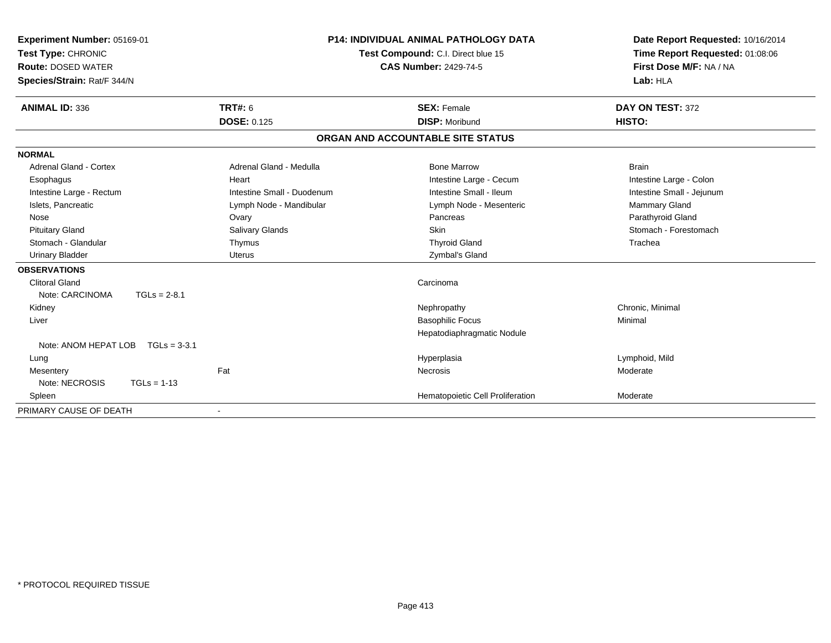| Experiment Number: 05169-01<br>Test Type: CHRONIC<br><b>Route: DOSED WATER</b><br>Species/Strain: Rat/F 344/N |                |                              | <b>P14: INDIVIDUAL ANIMAL PATHOLOGY DATA</b><br>Test Compound: C.I. Direct blue 15<br><b>CAS Number: 2429-74-5</b> |                                   | Date Report Requested: 10/16/2014<br>Time Report Requested: 01:08:06<br>First Dose M/F: NA / NA<br>Lab: HLA |  |
|---------------------------------------------------------------------------------------------------------------|----------------|------------------------------|--------------------------------------------------------------------------------------------------------------------|-----------------------------------|-------------------------------------------------------------------------------------------------------------|--|
| <b>ANIMAL ID: 336</b>                                                                                         |                | <b>TRT#: 6</b>               |                                                                                                                    | <b>SEX: Female</b>                | DAY ON TEST: 372                                                                                            |  |
|                                                                                                               |                | <b>DOSE: 0.125</b>           |                                                                                                                    | <b>DISP: Moribund</b>             | HISTO:                                                                                                      |  |
|                                                                                                               |                |                              |                                                                                                                    | ORGAN AND ACCOUNTABLE SITE STATUS |                                                                                                             |  |
| <b>NORMAL</b>                                                                                                 |                |                              |                                                                                                                    |                                   |                                                                                                             |  |
| Adrenal Gland - Cortex                                                                                        |                | Adrenal Gland - Medulla      |                                                                                                                    | <b>Bone Marrow</b>                | <b>Brain</b>                                                                                                |  |
| Esophagus                                                                                                     |                | Heart                        |                                                                                                                    | Intestine Large - Cecum           | Intestine Large - Colon                                                                                     |  |
| Intestine Large - Rectum                                                                                      |                | Intestine Small - Duodenum   |                                                                                                                    | Intestine Small - Ileum           | Intestine Small - Jejunum                                                                                   |  |
| Islets, Pancreatic                                                                                            |                | Lymph Node - Mandibular      |                                                                                                                    | Lymph Node - Mesenteric           | Mammary Gland                                                                                               |  |
| Nose                                                                                                          |                | Ovary                        |                                                                                                                    | Pancreas                          | Parathyroid Gland                                                                                           |  |
| <b>Pituitary Gland</b>                                                                                        |                | <b>Salivary Glands</b>       |                                                                                                                    | <b>Skin</b>                       | Stomach - Forestomach                                                                                       |  |
| Stomach - Glandular                                                                                           |                | Thymus                       |                                                                                                                    | <b>Thyroid Gland</b>              | Trachea                                                                                                     |  |
| <b>Urinary Bladder</b>                                                                                        |                | <b>Uterus</b>                |                                                                                                                    | Zymbal's Gland                    |                                                                                                             |  |
| <b>OBSERVATIONS</b>                                                                                           |                |                              |                                                                                                                    |                                   |                                                                                                             |  |
| <b>Clitoral Gland</b>                                                                                         |                |                              |                                                                                                                    | Carcinoma                         |                                                                                                             |  |
| Note: CARCINOMA                                                                                               | $TGLs = 2-8.1$ |                              |                                                                                                                    |                                   |                                                                                                             |  |
| Kidney                                                                                                        |                |                              |                                                                                                                    | Nephropathy                       | Chronic, Minimal                                                                                            |  |
| Liver                                                                                                         |                |                              |                                                                                                                    | <b>Basophilic Focus</b>           | Minimal                                                                                                     |  |
|                                                                                                               |                |                              |                                                                                                                    | Hepatodiaphragmatic Nodule        |                                                                                                             |  |
| Note: ANOM HEPAT LOB                                                                                          | $TGLs = 3-3.1$ |                              |                                                                                                                    |                                   |                                                                                                             |  |
| Lung                                                                                                          |                |                              |                                                                                                                    | Hyperplasia                       | Lymphoid, Mild                                                                                              |  |
| Mesentery                                                                                                     |                | Fat                          |                                                                                                                    | Necrosis                          | Moderate                                                                                                    |  |
| Note: NECROSIS                                                                                                | $TGLs = 1-13$  |                              |                                                                                                                    |                                   |                                                                                                             |  |
| Spleen                                                                                                        |                |                              |                                                                                                                    | Hematopoietic Cell Proliferation  | Moderate                                                                                                    |  |
| PRIMARY CAUSE OF DEATH                                                                                        |                | $\qquad \qquad \blacksquare$ |                                                                                                                    |                                   |                                                                                                             |  |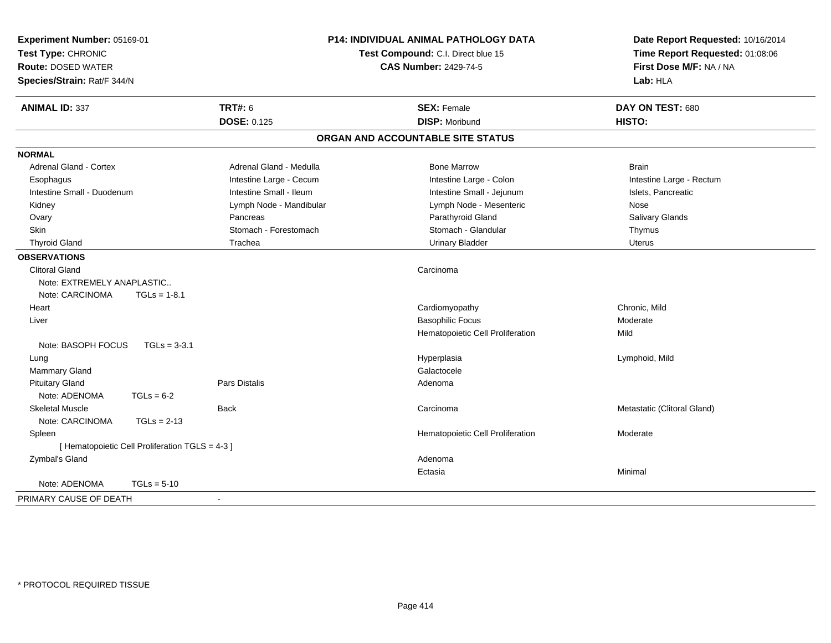| Experiment Number: 05169-01<br>Test Type: CHRONIC<br><b>Route: DOSED WATER</b> |                          | <b>P14: INDIVIDUAL ANIMAL PATHOLOGY DATA</b><br>Test Compound: C.I. Direct blue 15<br><b>CAS Number: 2429-74-5</b> | Date Report Requested: 10/16/2014<br>Time Report Requested: 01:08:06<br>First Dose M/F: NA / NA |  |
|--------------------------------------------------------------------------------|--------------------------|--------------------------------------------------------------------------------------------------------------------|-------------------------------------------------------------------------------------------------|--|
| Species/Strain: Rat/F 344/N                                                    |                          |                                                                                                                    | Lab: HLA                                                                                        |  |
| <b>ANIMAL ID: 337</b>                                                          | <b>TRT#: 6</b>           | <b>SEX: Female</b>                                                                                                 | DAY ON TEST: 680                                                                                |  |
|                                                                                | <b>DOSE: 0.125</b>       | <b>DISP: Moribund</b>                                                                                              | HISTO:                                                                                          |  |
|                                                                                |                          | ORGAN AND ACCOUNTABLE SITE STATUS                                                                                  |                                                                                                 |  |
| <b>NORMAL</b>                                                                  |                          |                                                                                                                    |                                                                                                 |  |
| Adrenal Gland - Cortex                                                         | Adrenal Gland - Medulla  | <b>Bone Marrow</b>                                                                                                 | <b>Brain</b>                                                                                    |  |
| Esophagus                                                                      | Intestine Large - Cecum  | Intestine Large - Colon                                                                                            | Intestine Large - Rectum                                                                        |  |
| Intestine Small - Duodenum                                                     | Intestine Small - Ileum  | Intestine Small - Jejunum                                                                                          | Islets, Pancreatic                                                                              |  |
| Kidney                                                                         | Lymph Node - Mandibular  | Lymph Node - Mesenteric                                                                                            | Nose                                                                                            |  |
| Ovary                                                                          | Pancreas                 | Parathyroid Gland                                                                                                  | Salivary Glands                                                                                 |  |
| Skin                                                                           | Stomach - Forestomach    | Stomach - Glandular                                                                                                | Thymus                                                                                          |  |
| <b>Thyroid Gland</b>                                                           | Trachea                  | <b>Urinary Bladder</b>                                                                                             | <b>Uterus</b>                                                                                   |  |
| <b>OBSERVATIONS</b>                                                            |                          |                                                                                                                    |                                                                                                 |  |
| <b>Clitoral Gland</b>                                                          |                          | Carcinoma                                                                                                          |                                                                                                 |  |
| Note: EXTREMELY ANAPLASTIC                                                     |                          |                                                                                                                    |                                                                                                 |  |
| Note: CARCINOMA<br>$TGLs = 1-8.1$                                              |                          |                                                                                                                    |                                                                                                 |  |
| Heart                                                                          |                          | Cardiomyopathy                                                                                                     | Chronic, Mild                                                                                   |  |
| Liver                                                                          |                          | <b>Basophilic Focus</b>                                                                                            | Moderate                                                                                        |  |
|                                                                                |                          | Hematopoietic Cell Proliferation                                                                                   | Mild                                                                                            |  |
| Note: BASOPH FOCUS<br>$TGLs = 3-3.1$                                           |                          |                                                                                                                    |                                                                                                 |  |
| Lung                                                                           |                          | Hyperplasia                                                                                                        | Lymphoid, Mild                                                                                  |  |
| Mammary Gland                                                                  |                          | Galactocele                                                                                                        |                                                                                                 |  |
| <b>Pituitary Gland</b>                                                         | Pars Distalis            | Adenoma                                                                                                            |                                                                                                 |  |
| Note: ADENOMA<br>$TGLs = 6-2$                                                  |                          |                                                                                                                    |                                                                                                 |  |
| <b>Skeletal Muscle</b>                                                         | <b>Back</b>              | Carcinoma                                                                                                          | Metastatic (Clitoral Gland)                                                                     |  |
| Note: CARCINOMA<br>$TGLs = 2-13$                                               |                          |                                                                                                                    |                                                                                                 |  |
| Spleen                                                                         |                          | Hematopoietic Cell Proliferation                                                                                   | Moderate                                                                                        |  |
| [ Hematopoietic Cell Proliferation TGLS = 4-3 ]                                |                          |                                                                                                                    |                                                                                                 |  |
| Zymbal's Gland                                                                 |                          | Adenoma                                                                                                            |                                                                                                 |  |
|                                                                                |                          | Ectasia                                                                                                            | Minimal                                                                                         |  |
| Note: ADENOMA<br>$TGLs = 5-10$                                                 |                          |                                                                                                                    |                                                                                                 |  |
| PRIMARY CAUSE OF DEATH                                                         | $\overline{\phantom{a}}$ |                                                                                                                    |                                                                                                 |  |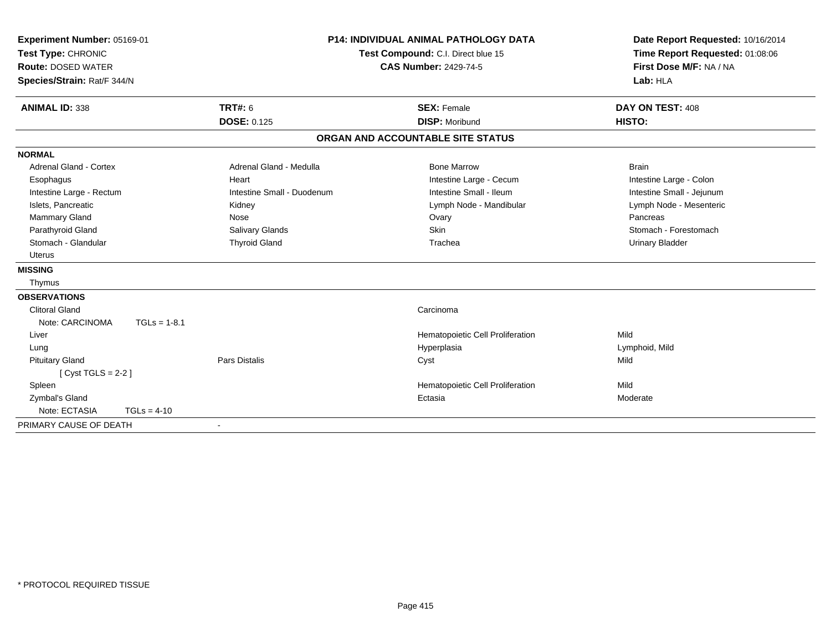| Experiment Number: 05169-01<br>Test Type: CHRONIC<br><b>Route: DOSED WATER</b><br>Species/Strain: Rat/F 344/N |                |                            | <b>P14: INDIVIDUAL ANIMAL PATHOLOGY DATA</b><br>Test Compound: C.I. Direct blue 15<br><b>CAS Number: 2429-74-5</b> |                                   | Date Report Requested: 10/16/2014<br>Time Report Requested: 01:08:06<br>First Dose M/F: NA / NA<br>Lab: HLA |
|---------------------------------------------------------------------------------------------------------------|----------------|----------------------------|--------------------------------------------------------------------------------------------------------------------|-----------------------------------|-------------------------------------------------------------------------------------------------------------|
| <b>ANIMAL ID: 338</b>                                                                                         |                | <b>TRT#: 6</b>             |                                                                                                                    | <b>SEX: Female</b>                | DAY ON TEST: 408                                                                                            |
|                                                                                                               |                | <b>DOSE: 0.125</b>         |                                                                                                                    | <b>DISP: Moribund</b>             | HISTO:                                                                                                      |
|                                                                                                               |                |                            |                                                                                                                    | ORGAN AND ACCOUNTABLE SITE STATUS |                                                                                                             |
| <b>NORMAL</b>                                                                                                 |                |                            |                                                                                                                    |                                   |                                                                                                             |
| <b>Adrenal Gland - Cortex</b>                                                                                 |                | Adrenal Gland - Medulla    |                                                                                                                    | <b>Bone Marrow</b>                | <b>Brain</b>                                                                                                |
| Esophagus                                                                                                     |                | Heart                      |                                                                                                                    | Intestine Large - Cecum           | Intestine Large - Colon                                                                                     |
| Intestine Large - Rectum                                                                                      |                | Intestine Small - Duodenum |                                                                                                                    | Intestine Small - Ileum           | Intestine Small - Jejunum                                                                                   |
| Islets, Pancreatic                                                                                            |                | Kidney                     |                                                                                                                    | Lymph Node - Mandibular           | Lymph Node - Mesenteric                                                                                     |
| Mammary Gland                                                                                                 |                | Nose                       |                                                                                                                    | Ovary                             | Pancreas                                                                                                    |
| Parathyroid Gland                                                                                             |                | Salivary Glands            |                                                                                                                    | Skin                              | Stomach - Forestomach                                                                                       |
| Stomach - Glandular                                                                                           |                | <b>Thyroid Gland</b>       |                                                                                                                    | Trachea                           | <b>Urinary Bladder</b>                                                                                      |
| <b>Uterus</b>                                                                                                 |                |                            |                                                                                                                    |                                   |                                                                                                             |
| <b>MISSING</b>                                                                                                |                |                            |                                                                                                                    |                                   |                                                                                                             |
| Thymus                                                                                                        |                |                            |                                                                                                                    |                                   |                                                                                                             |
| <b>OBSERVATIONS</b>                                                                                           |                |                            |                                                                                                                    |                                   |                                                                                                             |
| <b>Clitoral Gland</b>                                                                                         |                |                            |                                                                                                                    | Carcinoma                         |                                                                                                             |
| Note: CARCINOMA                                                                                               | $TGLs = 1-8.1$ |                            |                                                                                                                    |                                   |                                                                                                             |
| Liver                                                                                                         |                |                            |                                                                                                                    | Hematopoietic Cell Proliferation  | Mild                                                                                                        |
| Lung                                                                                                          |                |                            |                                                                                                                    | Hyperplasia                       | Lymphoid, Mild                                                                                              |
| <b>Pituitary Gland</b>                                                                                        |                | Pars Distalis              |                                                                                                                    | Cyst                              | Mild                                                                                                        |
| [Cyst TGLS = $2-2$ ]                                                                                          |                |                            |                                                                                                                    |                                   |                                                                                                             |
| Spleen                                                                                                        |                |                            |                                                                                                                    | Hematopoietic Cell Proliferation  | Mild                                                                                                        |
| Zymbal's Gland                                                                                                |                |                            |                                                                                                                    | Ectasia                           | Moderate                                                                                                    |
| Note: ECTASIA                                                                                                 | $TGLs = 4-10$  |                            |                                                                                                                    |                                   |                                                                                                             |
| PRIMARY CAUSE OF DEATH                                                                                        |                | $\overline{\phantom{a}}$   |                                                                                                                    |                                   |                                                                                                             |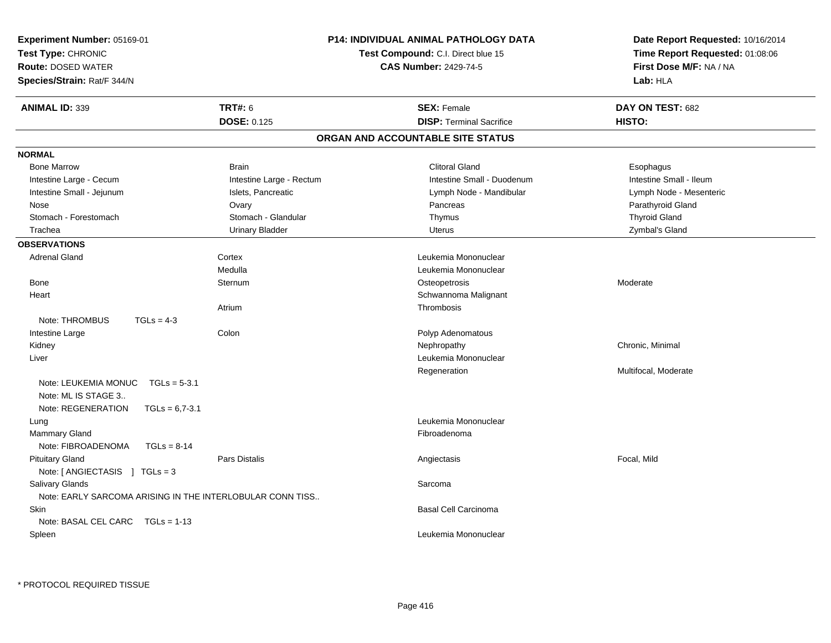| Experiment Number: 05169-01<br>Test Type: CHRONIC<br><b>Route: DOSED WATER</b><br>Species/Strain: Rat/F 344/N |                  |                                                           | <b>P14: INDIVIDUAL ANIMAL PATHOLOGY DATA</b><br>Test Compound: C.I. Direct blue 15<br><b>CAS Number: 2429-74-5</b> |                                   | Date Report Requested: 10/16/2014<br>Time Report Requested: 01:08:06<br>First Dose M/F: NA / NA<br>Lab: HLA |  |
|---------------------------------------------------------------------------------------------------------------|------------------|-----------------------------------------------------------|--------------------------------------------------------------------------------------------------------------------|-----------------------------------|-------------------------------------------------------------------------------------------------------------|--|
| <b>ANIMAL ID: 339</b>                                                                                         |                  | <b>TRT#: 6</b>                                            |                                                                                                                    | <b>SEX: Female</b>                | DAY ON TEST: 682                                                                                            |  |
|                                                                                                               |                  | <b>DOSE: 0.125</b>                                        |                                                                                                                    | <b>DISP: Terminal Sacrifice</b>   | HISTO:                                                                                                      |  |
|                                                                                                               |                  |                                                           |                                                                                                                    | ORGAN AND ACCOUNTABLE SITE STATUS |                                                                                                             |  |
| <b>NORMAL</b>                                                                                                 |                  |                                                           |                                                                                                                    |                                   |                                                                                                             |  |
| <b>Bone Marrow</b>                                                                                            |                  | <b>Brain</b>                                              |                                                                                                                    | <b>Clitoral Gland</b>             | Esophagus                                                                                                   |  |
| Intestine Large - Cecum                                                                                       |                  | Intestine Large - Rectum                                  |                                                                                                                    | Intestine Small - Duodenum        | Intestine Small - Ileum                                                                                     |  |
| Intestine Small - Jejunum                                                                                     |                  | Islets, Pancreatic                                        |                                                                                                                    | Lymph Node - Mandibular           | Lymph Node - Mesenteric                                                                                     |  |
| Nose                                                                                                          |                  | Ovary                                                     |                                                                                                                    | Pancreas                          | Parathyroid Gland                                                                                           |  |
| Stomach - Forestomach                                                                                         |                  | Stomach - Glandular                                       |                                                                                                                    | Thymus                            | <b>Thyroid Gland</b>                                                                                        |  |
| Trachea                                                                                                       |                  | <b>Urinary Bladder</b>                                    |                                                                                                                    | <b>Uterus</b>                     | Zymbal's Gland                                                                                              |  |
| <b>OBSERVATIONS</b>                                                                                           |                  |                                                           |                                                                                                                    |                                   |                                                                                                             |  |
| <b>Adrenal Gland</b>                                                                                          |                  | Cortex                                                    |                                                                                                                    | Leukemia Mononuclear              |                                                                                                             |  |
|                                                                                                               |                  | Medulla                                                   |                                                                                                                    | Leukemia Mononuclear              |                                                                                                             |  |
| <b>Bone</b>                                                                                                   |                  | Sternum                                                   |                                                                                                                    | Osteopetrosis                     | Moderate                                                                                                    |  |
| Heart                                                                                                         |                  |                                                           |                                                                                                                    | Schwannoma Malignant              |                                                                                                             |  |
|                                                                                                               |                  | Atrium                                                    |                                                                                                                    | Thrombosis                        |                                                                                                             |  |
| Note: THROMBUS                                                                                                | $TGLs = 4-3$     |                                                           |                                                                                                                    |                                   |                                                                                                             |  |
| Intestine Large                                                                                               |                  | Colon                                                     |                                                                                                                    | Polyp Adenomatous                 |                                                                                                             |  |
| Kidney                                                                                                        |                  |                                                           |                                                                                                                    | Nephropathy                       | Chronic, Minimal                                                                                            |  |
| Liver                                                                                                         |                  |                                                           |                                                                                                                    | Leukemia Mononuclear              |                                                                                                             |  |
|                                                                                                               |                  |                                                           |                                                                                                                    | Regeneration                      | Multifocal, Moderate                                                                                        |  |
| Note: LEUKEMIA MONUC<br>Note: ML IS STAGE 3                                                                   | $TGLs = 5-3.1$   |                                                           |                                                                                                                    |                                   |                                                                                                             |  |
| Note: REGENERATION                                                                                            | $TGLs = 6,7-3.1$ |                                                           |                                                                                                                    |                                   |                                                                                                             |  |
| Lung                                                                                                          |                  |                                                           |                                                                                                                    | Leukemia Mononuclear              |                                                                                                             |  |
| <b>Mammary Gland</b>                                                                                          |                  |                                                           |                                                                                                                    | Fibroadenoma                      |                                                                                                             |  |
| Note: FIBROADENOMA                                                                                            | $TGLs = 8-14$    |                                                           |                                                                                                                    |                                   |                                                                                                             |  |
| <b>Pituitary Gland</b>                                                                                        |                  | Pars Distalis                                             |                                                                                                                    | Angiectasis                       | Focal, Mild                                                                                                 |  |
| Note: [ ANGIECTASIS ] TGLs = 3                                                                                |                  |                                                           |                                                                                                                    |                                   |                                                                                                             |  |
| Salivary Glands                                                                                               |                  |                                                           |                                                                                                                    | Sarcoma                           |                                                                                                             |  |
|                                                                                                               |                  | Note: EARLY SARCOMA ARISING IN THE INTERLOBULAR CONN TISS |                                                                                                                    |                                   |                                                                                                             |  |
| Skin                                                                                                          |                  |                                                           |                                                                                                                    | Basal Cell Carcinoma              |                                                                                                             |  |
| Note: BASAL CEL CARC $TGLs = 1-13$<br>Spleen                                                                  |                  |                                                           |                                                                                                                    | Leukemia Mononuclear              |                                                                                                             |  |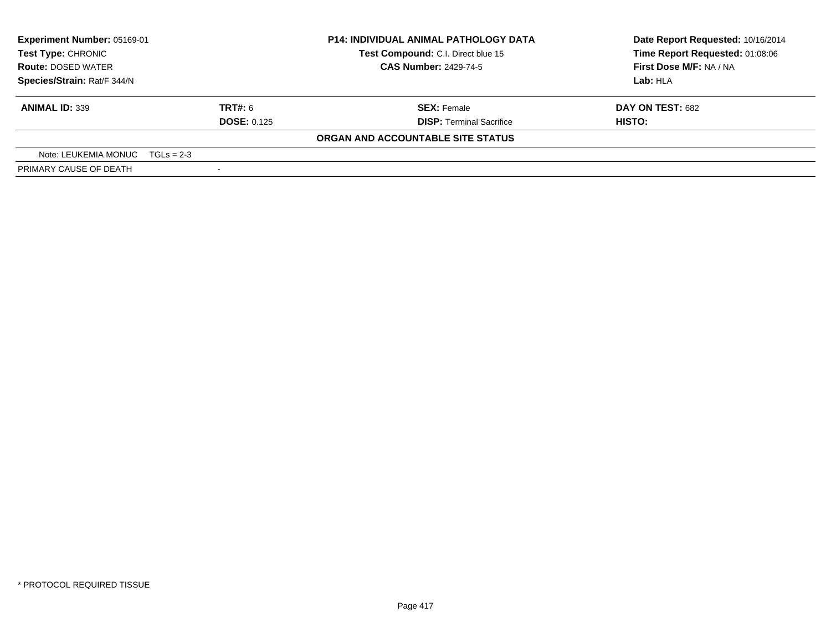| <b>Experiment Number: 05169-01</b> |                                    | <b>P14: INDIVIDUAL ANIMAL PATHOLOGY DATA</b> | Date Report Requested: 10/16/2014 |
|------------------------------------|------------------------------------|----------------------------------------------|-----------------------------------|
| Test Type: CHRONIC                 | Test Compound: C.I. Direct blue 15 |                                              | Time Report Requested: 01:08:06   |
| <b>Route: DOSED WATER</b>          |                                    | <b>CAS Number: 2429-74-5</b>                 | First Dose M/F: NA / NA           |
| Species/Strain: Rat/F 344/N        |                                    |                                              | Lab: HLA                          |
| <b>ANIMAL ID: 339</b>              | <b>TRT#: 6</b>                     | <b>SEX: Female</b>                           | DAY ON TEST: 682                  |
|                                    | <b>DOSE: 0.125</b>                 | <b>DISP: Terminal Sacrifice</b>              | HISTO:                            |
|                                    |                                    | ORGAN AND ACCOUNTABLE SITE STATUS            |                                   |
| Note: LEUKEMIA MONUC $TGLs = 2-3$  |                                    |                                              |                                   |
| PRIMARY CAUSE OF DEATH             |                                    |                                              |                                   |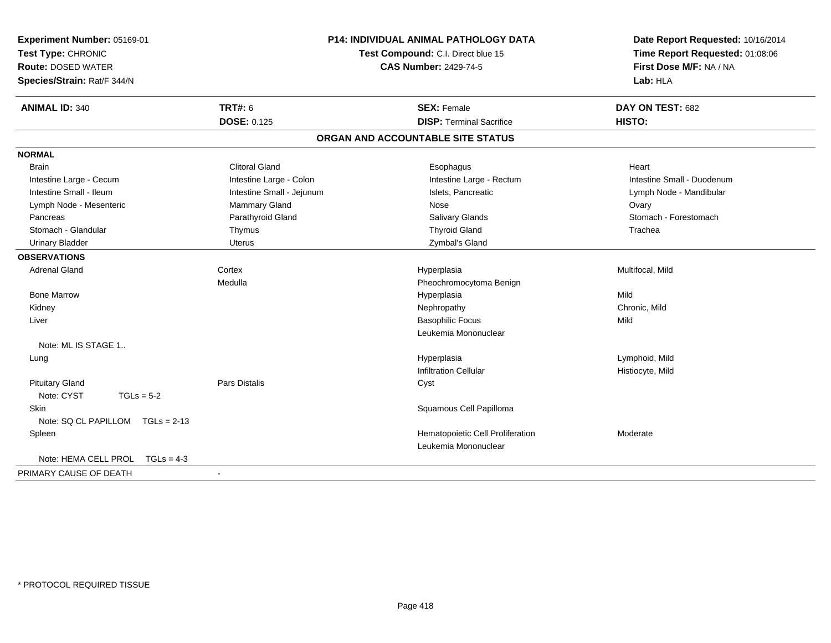| Experiment Number: 05169-01<br>Test Type: CHRONIC<br><b>Route: DOSED WATER</b><br>Species/Strain: Rat/F 344/N | <b>P14: INDIVIDUAL ANIMAL PATHOLOGY DATA</b><br>Test Compound: C.I. Direct blue 15<br><b>CAS Number: 2429-74-5</b> |                                   | Date Report Requested: 10/16/2014<br>Time Report Requested: 01:08:06<br>First Dose M/F: NA / NA<br>Lab: HLA |  |
|---------------------------------------------------------------------------------------------------------------|--------------------------------------------------------------------------------------------------------------------|-----------------------------------|-------------------------------------------------------------------------------------------------------------|--|
| <b>ANIMAL ID: 340</b>                                                                                         | <b>TRT#: 6</b>                                                                                                     | <b>SEX: Female</b>                | DAY ON TEST: 682                                                                                            |  |
|                                                                                                               | <b>DOSE: 0.125</b>                                                                                                 | <b>DISP: Terminal Sacrifice</b>   | HISTO:                                                                                                      |  |
|                                                                                                               |                                                                                                                    | ORGAN AND ACCOUNTABLE SITE STATUS |                                                                                                             |  |
| <b>NORMAL</b>                                                                                                 |                                                                                                                    |                                   |                                                                                                             |  |
| <b>Brain</b>                                                                                                  | <b>Clitoral Gland</b>                                                                                              | Esophagus                         | Heart                                                                                                       |  |
| Intestine Large - Cecum                                                                                       | Intestine Large - Colon                                                                                            | Intestine Large - Rectum          | Intestine Small - Duodenum                                                                                  |  |
| Intestine Small - Ileum                                                                                       | Intestine Small - Jejunum                                                                                          | Islets, Pancreatic                | Lymph Node - Mandibular                                                                                     |  |
| Lymph Node - Mesenteric                                                                                       | <b>Mammary Gland</b>                                                                                               | Nose                              | Ovary                                                                                                       |  |
| Pancreas                                                                                                      | Parathyroid Gland                                                                                                  | Salivary Glands                   | Stomach - Forestomach                                                                                       |  |
| Stomach - Glandular                                                                                           | Thymus                                                                                                             | <b>Thyroid Gland</b>              | Trachea                                                                                                     |  |
| <b>Urinary Bladder</b>                                                                                        | Uterus                                                                                                             | Zymbal's Gland                    |                                                                                                             |  |
| <b>OBSERVATIONS</b>                                                                                           |                                                                                                                    |                                   |                                                                                                             |  |
| <b>Adrenal Gland</b>                                                                                          | Cortex                                                                                                             | Hyperplasia                       | Multifocal, Mild                                                                                            |  |
|                                                                                                               | Medulla                                                                                                            | Pheochromocytoma Benign           |                                                                                                             |  |
| <b>Bone Marrow</b>                                                                                            |                                                                                                                    | Hyperplasia                       | Mild                                                                                                        |  |
| Kidney                                                                                                        |                                                                                                                    | Nephropathy                       | Chronic, Mild                                                                                               |  |
| Liver                                                                                                         |                                                                                                                    | <b>Basophilic Focus</b>           | Mild                                                                                                        |  |
|                                                                                                               |                                                                                                                    | Leukemia Mononuclear              |                                                                                                             |  |
| Note: ML IS STAGE 1                                                                                           |                                                                                                                    |                                   |                                                                                                             |  |
| Lung                                                                                                          |                                                                                                                    | Hyperplasia                       | Lymphoid, Mild                                                                                              |  |
|                                                                                                               |                                                                                                                    | <b>Infiltration Cellular</b>      | Histiocyte, Mild                                                                                            |  |
| <b>Pituitary Gland</b>                                                                                        | Pars Distalis                                                                                                      | Cyst                              |                                                                                                             |  |
| Note: CYST<br>$TGLs = 5-2$                                                                                    |                                                                                                                    |                                   |                                                                                                             |  |
| <b>Skin</b>                                                                                                   |                                                                                                                    | Squamous Cell Papilloma           |                                                                                                             |  |
| Note: SQ CL PAPILLOM TGLs = 2-13                                                                              |                                                                                                                    |                                   |                                                                                                             |  |
| Spleen                                                                                                        |                                                                                                                    | Hematopoietic Cell Proliferation  | Moderate                                                                                                    |  |
|                                                                                                               |                                                                                                                    | Leukemia Mononuclear              |                                                                                                             |  |
| Note: HEMA CELL PROL<br>$TGLs = 4-3$                                                                          |                                                                                                                    |                                   |                                                                                                             |  |
| PRIMARY CAUSE OF DEATH                                                                                        |                                                                                                                    |                                   |                                                                                                             |  |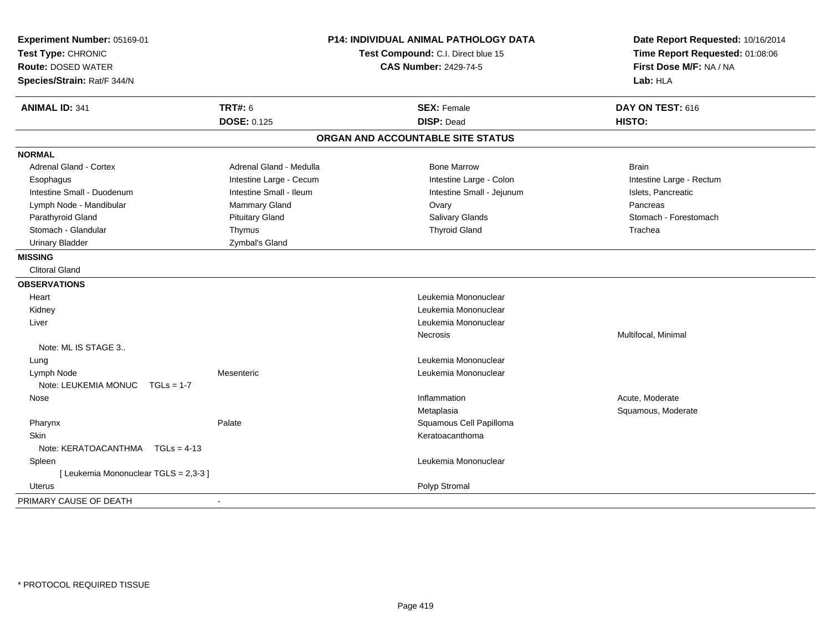| Experiment Number: 05169-01<br>Test Type: CHRONIC<br><b>Route: DOSED WATER</b><br>Species/Strain: Rat/F 344/N |                         | <b>P14: INDIVIDUAL ANIMAL PATHOLOGY DATA</b><br>Test Compound: C.I. Direct blue 15<br><b>CAS Number: 2429-74-5</b> | Date Report Requested: 10/16/2014<br>Time Report Requested: 01:08:06<br>First Dose M/F: NA / NA<br>Lab: HLA |  |
|---------------------------------------------------------------------------------------------------------------|-------------------------|--------------------------------------------------------------------------------------------------------------------|-------------------------------------------------------------------------------------------------------------|--|
| <b>ANIMAL ID: 341</b>                                                                                         | <b>TRT#: 6</b>          | <b>SEX: Female</b>                                                                                                 | DAY ON TEST: 616                                                                                            |  |
|                                                                                                               | <b>DOSE: 0.125</b>      | <b>DISP: Dead</b>                                                                                                  | HISTO:                                                                                                      |  |
|                                                                                                               |                         | ORGAN AND ACCOUNTABLE SITE STATUS                                                                                  |                                                                                                             |  |
| <b>NORMAL</b>                                                                                                 |                         |                                                                                                                    |                                                                                                             |  |
| <b>Adrenal Gland - Cortex</b>                                                                                 | Adrenal Gland - Medulla | <b>Bone Marrow</b>                                                                                                 | <b>Brain</b>                                                                                                |  |
| Esophagus                                                                                                     | Intestine Large - Cecum | Intestine Large - Colon                                                                                            | Intestine Large - Rectum                                                                                    |  |
| Intestine Small - Duodenum                                                                                    | Intestine Small - Ileum | Intestine Small - Jejunum                                                                                          | Islets, Pancreatic                                                                                          |  |
| Lymph Node - Mandibular                                                                                       | Mammary Gland           | Ovary                                                                                                              | Pancreas                                                                                                    |  |
| Parathyroid Gland                                                                                             | <b>Pituitary Gland</b>  | <b>Salivary Glands</b>                                                                                             | Stomach - Forestomach                                                                                       |  |
| Stomach - Glandular                                                                                           | Thymus                  | <b>Thyroid Gland</b>                                                                                               | Trachea                                                                                                     |  |
| <b>Urinary Bladder</b>                                                                                        | Zymbal's Gland          |                                                                                                                    |                                                                                                             |  |
| <b>MISSING</b>                                                                                                |                         |                                                                                                                    |                                                                                                             |  |
| Clitoral Gland                                                                                                |                         |                                                                                                                    |                                                                                                             |  |
| <b>OBSERVATIONS</b>                                                                                           |                         |                                                                                                                    |                                                                                                             |  |
| Heart                                                                                                         |                         | Leukemia Mononuclear                                                                                               |                                                                                                             |  |
| Kidney                                                                                                        |                         | Leukemia Mononuclear                                                                                               |                                                                                                             |  |
| Liver                                                                                                         |                         | Leukemia Mononuclear                                                                                               |                                                                                                             |  |
|                                                                                                               |                         | Necrosis                                                                                                           | Multifocal, Minimal                                                                                         |  |
| Note: ML IS STAGE 3                                                                                           |                         |                                                                                                                    |                                                                                                             |  |
| Lung                                                                                                          |                         | Leukemia Mononuclear                                                                                               |                                                                                                             |  |
| Lymph Node                                                                                                    | Mesenteric              | Leukemia Mononuclear                                                                                               |                                                                                                             |  |
| Note: LEUKEMIA MONUC $TGLs = 1-7$                                                                             |                         |                                                                                                                    |                                                                                                             |  |
| Nose                                                                                                          |                         | Inflammation                                                                                                       | Acute, Moderate                                                                                             |  |
|                                                                                                               |                         | Metaplasia                                                                                                         | Squamous, Moderate                                                                                          |  |
| Pharynx                                                                                                       | Palate                  | Squamous Cell Papilloma                                                                                            |                                                                                                             |  |
| <b>Skin</b>                                                                                                   |                         | Keratoacanthoma                                                                                                    |                                                                                                             |  |
| Note: $KERATOACANTHMA \tTGLs = 4-13$                                                                          |                         |                                                                                                                    |                                                                                                             |  |
| Spleen                                                                                                        |                         | Leukemia Mononuclear                                                                                               |                                                                                                             |  |
| [ Leukemia Mononuclear TGLS = 2,3-3 ]                                                                         |                         |                                                                                                                    |                                                                                                             |  |
| Uterus                                                                                                        |                         | Polyp Stromal                                                                                                      |                                                                                                             |  |
| PRIMARY CAUSE OF DEATH                                                                                        |                         |                                                                                                                    |                                                                                                             |  |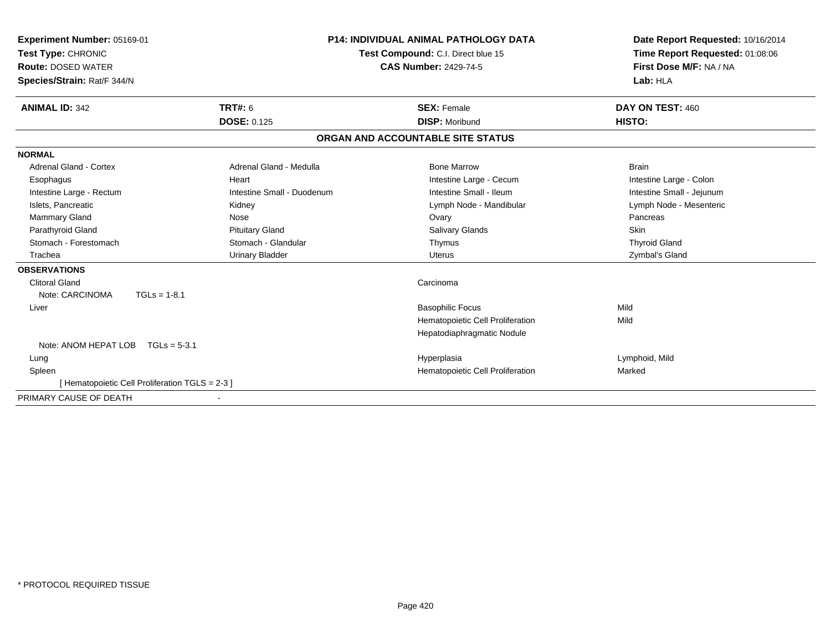| Experiment Number: 05169-01<br>Test Type: CHRONIC<br><b>Route: DOSED WATER</b><br>Species/Strain: Rat/F 344/N |                            | <b>P14: INDIVIDUAL ANIMAL PATHOLOGY DATA</b><br>Test Compound: C.I. Direct blue 15<br><b>CAS Number: 2429-74-5</b> | Date Report Requested: 10/16/2014<br>Time Report Requested: 01:08:06<br>First Dose M/F: NA / NA<br>Lab: HLA |
|---------------------------------------------------------------------------------------------------------------|----------------------------|--------------------------------------------------------------------------------------------------------------------|-------------------------------------------------------------------------------------------------------------|
|                                                                                                               |                            |                                                                                                                    |                                                                                                             |
| TRT#: 6<br><b>ANIMAL ID: 342</b>                                                                              |                            | <b>SEX: Female</b>                                                                                                 | DAY ON TEST: 460                                                                                            |
| <b>DOSE: 0.125</b>                                                                                            |                            | <b>DISP: Moribund</b>                                                                                              | HISTO:                                                                                                      |
|                                                                                                               |                            | ORGAN AND ACCOUNTABLE SITE STATUS                                                                                  |                                                                                                             |
| <b>NORMAL</b>                                                                                                 |                            |                                                                                                                    |                                                                                                             |
| <b>Adrenal Gland - Cortex</b>                                                                                 | Adrenal Gland - Medulla    | <b>Bone Marrow</b>                                                                                                 | <b>Brain</b>                                                                                                |
| Heart<br>Esophagus                                                                                            |                            | Intestine Large - Cecum                                                                                            | Intestine Large - Colon                                                                                     |
| Intestine Large - Rectum                                                                                      | Intestine Small - Duodenum | Intestine Small - Ileum                                                                                            | Intestine Small - Jejunum                                                                                   |
| Islets, Pancreatic<br>Kidney                                                                                  |                            | Lymph Node - Mandibular                                                                                            | Lymph Node - Mesenteric                                                                                     |
| Mammary Gland<br>Nose                                                                                         |                            | Ovary                                                                                                              | Pancreas                                                                                                    |
| Parathyroid Gland<br><b>Pituitary Gland</b>                                                                   |                            | Salivary Glands                                                                                                    | Skin                                                                                                        |
| Stomach - Forestomach                                                                                         | Stomach - Glandular        | Thymus                                                                                                             | <b>Thyroid Gland</b>                                                                                        |
| <b>Urinary Bladder</b><br>Trachea                                                                             |                            | <b>Uterus</b>                                                                                                      | Zymbal's Gland                                                                                              |
| <b>OBSERVATIONS</b>                                                                                           |                            |                                                                                                                    |                                                                                                             |
| <b>Clitoral Gland</b>                                                                                         |                            | Carcinoma                                                                                                          |                                                                                                             |
| Note: CARCINOMA<br>$TGLs = 1-8.1$                                                                             |                            |                                                                                                                    |                                                                                                             |
| Liver                                                                                                         |                            | <b>Basophilic Focus</b>                                                                                            | Mild                                                                                                        |
|                                                                                                               |                            | Hematopoietic Cell Proliferation                                                                                   | Mild                                                                                                        |
|                                                                                                               |                            | Hepatodiaphragmatic Nodule                                                                                         |                                                                                                             |
| Note: ANOM HEPAT LOB<br>$TGLs = 5-3.1$                                                                        |                            |                                                                                                                    |                                                                                                             |
| Lung                                                                                                          |                            | Hyperplasia                                                                                                        | Lymphoid, Mild                                                                                              |
| Spleen                                                                                                        |                            | Hematopoietic Cell Proliferation                                                                                   | Marked                                                                                                      |
| [Hematopoietic Cell Proliferation TGLS = 2-3 ]                                                                |                            |                                                                                                                    |                                                                                                             |
| PRIMARY CAUSE OF DEATH                                                                                        |                            |                                                                                                                    |                                                                                                             |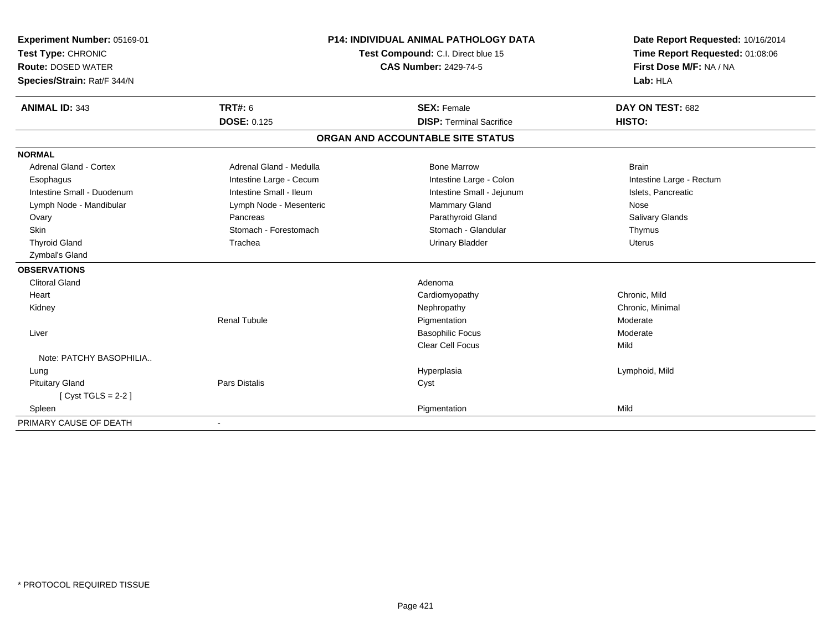| Experiment Number: 05169-01<br>Test Type: CHRONIC<br><b>Route: DOSED WATER</b><br>Species/Strain: Rat/F 344/N<br><b>ANIMAL ID: 343</b> | <b>TRT#: 6</b>          | <b>P14: INDIVIDUAL ANIMAL PATHOLOGY DATA</b><br>Test Compound: C.I. Direct blue 15<br><b>CAS Number: 2429-74-5</b><br><b>SEX: Female</b> | Date Report Requested: 10/16/2014<br>Time Report Requested: 01:08:06<br>First Dose M/F: NA / NA<br>Lab: HLA<br>DAY ON TEST: 682 |
|----------------------------------------------------------------------------------------------------------------------------------------|-------------------------|------------------------------------------------------------------------------------------------------------------------------------------|---------------------------------------------------------------------------------------------------------------------------------|
|                                                                                                                                        | <b>DOSE: 0.125</b>      | <b>DISP: Terminal Sacrifice</b>                                                                                                          | HISTO:                                                                                                                          |
|                                                                                                                                        |                         | ORGAN AND ACCOUNTABLE SITE STATUS                                                                                                        |                                                                                                                                 |
| <b>NORMAL</b>                                                                                                                          |                         |                                                                                                                                          |                                                                                                                                 |
| Adrenal Gland - Cortex                                                                                                                 | Adrenal Gland - Medulla | <b>Bone Marrow</b>                                                                                                                       | <b>Brain</b>                                                                                                                    |
| Esophagus                                                                                                                              | Intestine Large - Cecum | Intestine Large - Colon                                                                                                                  | Intestine Large - Rectum                                                                                                        |
| Intestine Small - Duodenum                                                                                                             | Intestine Small - Ileum | Intestine Small - Jejunum                                                                                                                | Islets, Pancreatic                                                                                                              |
| Lymph Node - Mandibular                                                                                                                | Lymph Node - Mesenteric | Mammary Gland                                                                                                                            | Nose                                                                                                                            |
| Ovary                                                                                                                                  | Pancreas                | Parathyroid Gland                                                                                                                        | Salivary Glands                                                                                                                 |
| Skin                                                                                                                                   | Stomach - Forestomach   | Stomach - Glandular                                                                                                                      | Thymus                                                                                                                          |
| <b>Thyroid Gland</b>                                                                                                                   | Trachea                 | <b>Urinary Bladder</b>                                                                                                                   | <b>Uterus</b>                                                                                                                   |
| Zymbal's Gland                                                                                                                         |                         |                                                                                                                                          |                                                                                                                                 |
| <b>OBSERVATIONS</b>                                                                                                                    |                         |                                                                                                                                          |                                                                                                                                 |
| <b>Clitoral Gland</b>                                                                                                                  |                         | Adenoma                                                                                                                                  |                                                                                                                                 |
| Heart                                                                                                                                  |                         | Cardiomyopathy                                                                                                                           | Chronic, Mild                                                                                                                   |
| Kidney                                                                                                                                 |                         | Nephropathy                                                                                                                              | Chronic, Minimal                                                                                                                |
|                                                                                                                                        | <b>Renal Tubule</b>     | Pigmentation                                                                                                                             | Moderate                                                                                                                        |
| Liver                                                                                                                                  |                         | <b>Basophilic Focus</b>                                                                                                                  | Moderate                                                                                                                        |
|                                                                                                                                        |                         | <b>Clear Cell Focus</b>                                                                                                                  | Mild                                                                                                                            |
| Note: PATCHY BASOPHILIA                                                                                                                |                         |                                                                                                                                          |                                                                                                                                 |
| Lung                                                                                                                                   |                         | Hyperplasia                                                                                                                              | Lymphoid, Mild                                                                                                                  |
| <b>Pituitary Gland</b>                                                                                                                 | Pars Distalis           | Cyst                                                                                                                                     |                                                                                                                                 |
| $[Cyst TGLS = 2-2]$                                                                                                                    |                         |                                                                                                                                          |                                                                                                                                 |
| Spleen                                                                                                                                 |                         | Pigmentation                                                                                                                             | Mild                                                                                                                            |
| PRIMARY CAUSE OF DEATH                                                                                                                 |                         |                                                                                                                                          |                                                                                                                                 |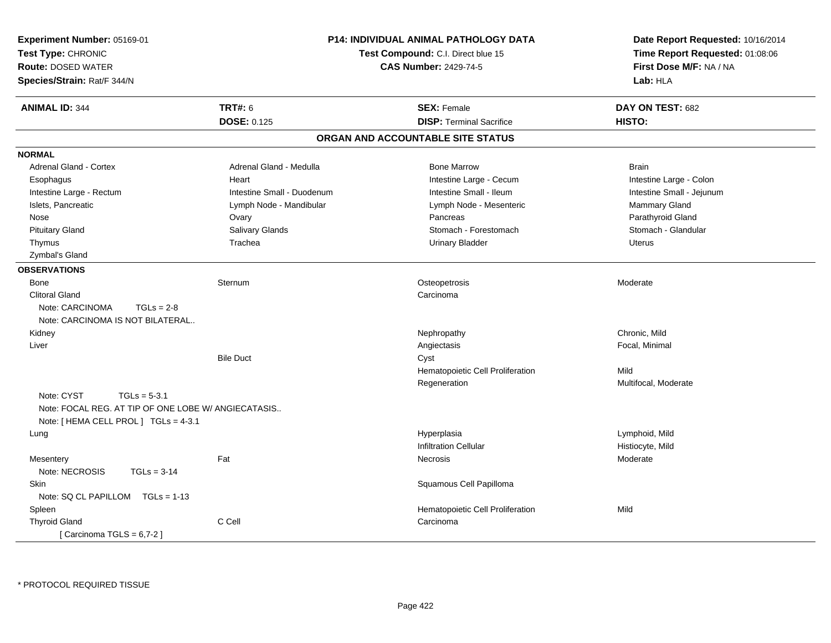| Experiment Number: 05169-01<br>Test Type: CHRONIC<br><b>Route: DOSED WATER</b><br>Species/Strain: Rat/F 344/N | P14: INDIVIDUAL ANIMAL PATHOLOGY DATA<br>Test Compound: C.I. Direct blue 15<br><b>CAS Number: 2429-74-5</b> |                                   | Date Report Requested: 10/16/2014<br>Time Report Requested: 01:08:06<br>First Dose M/F: NA / NA<br>Lab: HLA |  |
|---------------------------------------------------------------------------------------------------------------|-------------------------------------------------------------------------------------------------------------|-----------------------------------|-------------------------------------------------------------------------------------------------------------|--|
| <b>ANIMAL ID: 344</b>                                                                                         | <b>TRT#: 6</b>                                                                                              | <b>SEX: Female</b>                | DAY ON TEST: 682                                                                                            |  |
|                                                                                                               | <b>DOSE: 0.125</b>                                                                                          | <b>DISP: Terminal Sacrifice</b>   | HISTO:                                                                                                      |  |
|                                                                                                               |                                                                                                             | ORGAN AND ACCOUNTABLE SITE STATUS |                                                                                                             |  |
| <b>NORMAL</b>                                                                                                 |                                                                                                             |                                   |                                                                                                             |  |
| Adrenal Gland - Cortex                                                                                        | Adrenal Gland - Medulla                                                                                     | <b>Bone Marrow</b>                | <b>Brain</b>                                                                                                |  |
| Esophagus                                                                                                     | Heart                                                                                                       | Intestine Large - Cecum           | Intestine Large - Colon                                                                                     |  |
| Intestine Large - Rectum                                                                                      | Intestine Small - Duodenum                                                                                  | Intestine Small - Ileum           | Intestine Small - Jejunum                                                                                   |  |
| Islets, Pancreatic                                                                                            | Lymph Node - Mandibular                                                                                     | Lymph Node - Mesenteric           | Mammary Gland                                                                                               |  |
| Nose                                                                                                          | Ovary                                                                                                       | Pancreas                          | Parathyroid Gland                                                                                           |  |
| <b>Pituitary Gland</b>                                                                                        | Salivary Glands                                                                                             | Stomach - Forestomach             | Stomach - Glandular                                                                                         |  |
| Thymus                                                                                                        | Trachea                                                                                                     | <b>Urinary Bladder</b>            | Uterus                                                                                                      |  |
| Zymbal's Gland                                                                                                |                                                                                                             |                                   |                                                                                                             |  |
| <b>OBSERVATIONS</b>                                                                                           |                                                                                                             |                                   |                                                                                                             |  |
| Bone                                                                                                          | Sternum                                                                                                     | Osteopetrosis                     | Moderate                                                                                                    |  |
| <b>Clitoral Gland</b>                                                                                         |                                                                                                             | Carcinoma                         |                                                                                                             |  |
| Note: CARCINOMA<br>$TGLs = 2-8$                                                                               |                                                                                                             |                                   |                                                                                                             |  |
| Note: CARCINOMA IS NOT BILATERAL                                                                              |                                                                                                             |                                   |                                                                                                             |  |
| Kidney                                                                                                        |                                                                                                             | Nephropathy                       | Chronic, Mild                                                                                               |  |
| Liver                                                                                                         |                                                                                                             | Angiectasis                       | Focal, Minimal                                                                                              |  |
|                                                                                                               | <b>Bile Duct</b>                                                                                            | Cyst                              |                                                                                                             |  |
|                                                                                                               |                                                                                                             | Hematopoietic Cell Proliferation  | Mild                                                                                                        |  |
|                                                                                                               |                                                                                                             | Regeneration                      | Multifocal, Moderate                                                                                        |  |
| Note: CYST<br>$TGLs = 5-3.1$                                                                                  |                                                                                                             |                                   |                                                                                                             |  |
| Note: FOCAL REG. AT TIP OF ONE LOBE W/ ANGIECATASIS                                                           |                                                                                                             |                                   |                                                                                                             |  |
| Note: [ HEMA CELL PROL ] TGLs = 4-3.1                                                                         |                                                                                                             |                                   |                                                                                                             |  |
| Lung                                                                                                          |                                                                                                             | Hyperplasia                       | Lymphoid, Mild                                                                                              |  |
|                                                                                                               |                                                                                                             | <b>Infiltration Cellular</b>      | Histiocyte, Mild                                                                                            |  |
| Mesentery                                                                                                     | Fat                                                                                                         | <b>Necrosis</b>                   | Moderate                                                                                                    |  |
| Note: NECROSIS<br>$TGLs = 3-14$                                                                               |                                                                                                             |                                   |                                                                                                             |  |
| Skin                                                                                                          |                                                                                                             | Squamous Cell Papilloma           |                                                                                                             |  |
| Note: SQ CL PAPILLOM TGLs = 1-13                                                                              |                                                                                                             |                                   |                                                                                                             |  |
| Spleen                                                                                                        |                                                                                                             | Hematopoietic Cell Proliferation  | Mild                                                                                                        |  |
| <b>Thyroid Gland</b>                                                                                          | C Cell                                                                                                      | Carcinoma                         |                                                                                                             |  |
| [Carcinoma TGLS = $6,7-2$ ]                                                                                   |                                                                                                             |                                   |                                                                                                             |  |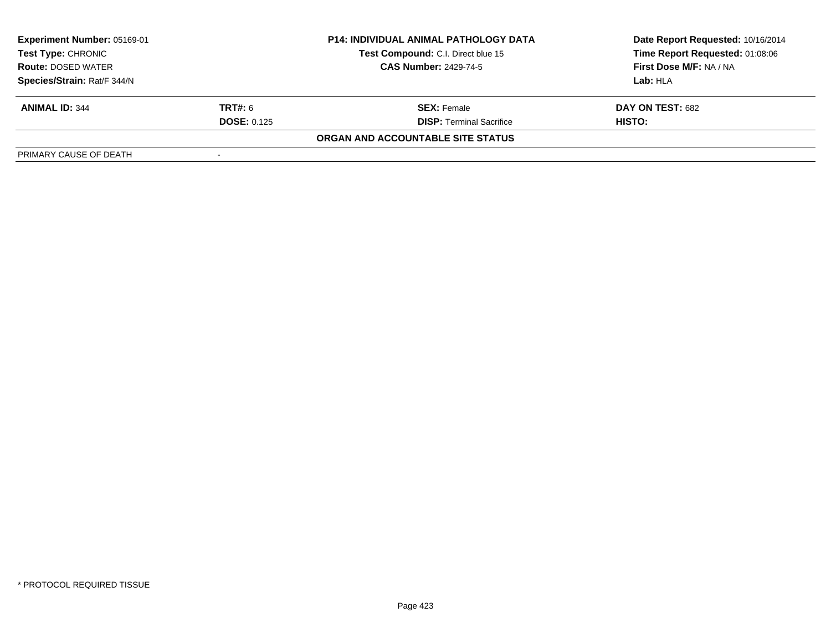| <b>Experiment Number: 05169-01</b><br><b>P14: INDIVIDUAL ANIMAL PATHOLOGY DATA</b><br>Test Compound: C.I. Direct blue 15<br>Test Type: CHRONIC |                    |                                   | Date Report Requested: 10/16/2014 |  |
|------------------------------------------------------------------------------------------------------------------------------------------------|--------------------|-----------------------------------|-----------------------------------|--|
|                                                                                                                                                |                    | Time Report Requested: 01:08:06   |                                   |  |
| <b>Route: DOSED WATER</b>                                                                                                                      |                    | <b>CAS Number: 2429-74-5</b>      | First Dose M/F: NA / NA           |  |
| Species/Strain: Rat/F 344/N                                                                                                                    |                    |                                   | Lab: HLA                          |  |
| <b>ANIMAL ID: 344</b>                                                                                                                          | <b>TRT#:</b> 6     | <b>SEX:</b> Female                | DAY ON TEST: 682                  |  |
|                                                                                                                                                | <b>DOSE: 0.125</b> | <b>DISP:</b> Terminal Sacrifice   | HISTO:                            |  |
|                                                                                                                                                |                    | ORGAN AND ACCOUNTABLE SITE STATUS |                                   |  |
| PRIMARY CAUSE OF DEATH                                                                                                                         |                    |                                   |                                   |  |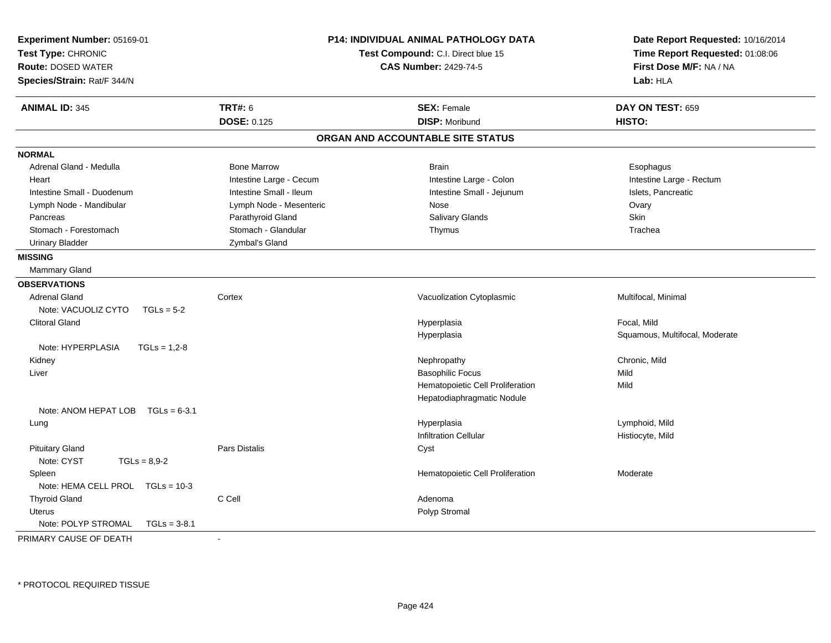| Experiment Number: 05169-01<br><b>P14: INDIVIDUAL ANIMAL PATHOLOGY DATA</b><br>Test Type: CHRONIC<br>Test Compound: C.I. Direct blue 15<br><b>CAS Number: 2429-74-5</b><br><b>Route: DOSED WATER</b><br>Species/Strain: Rat/F 344/N |                                   | Date Report Requested: 10/16/2014<br>Time Report Requested: 01:08:06<br>First Dose M/F: NA / NA<br>Lab: HLA |  |
|-------------------------------------------------------------------------------------------------------------------------------------------------------------------------------------------------------------------------------------|-----------------------------------|-------------------------------------------------------------------------------------------------------------|--|
| <b>TRT#: 6</b><br><b>ANIMAL ID: 345</b>                                                                                                                                                                                             | <b>SEX: Female</b>                | DAY ON TEST: 659                                                                                            |  |
| <b>DOSE: 0.125</b>                                                                                                                                                                                                                  | <b>DISP: Moribund</b>             | HISTO:                                                                                                      |  |
|                                                                                                                                                                                                                                     | ORGAN AND ACCOUNTABLE SITE STATUS |                                                                                                             |  |
| <b>NORMAL</b>                                                                                                                                                                                                                       |                                   |                                                                                                             |  |
| Adrenal Gland - Medulla<br><b>Bone Marrow</b>                                                                                                                                                                                       | <b>Brain</b>                      | Esophagus                                                                                                   |  |
| Intestine Large - Cecum<br>Heart                                                                                                                                                                                                    | Intestine Large - Colon           | Intestine Large - Rectum                                                                                    |  |
| Intestine Small - Duodenum<br>Intestine Small - Ileum                                                                                                                                                                               | Intestine Small - Jejunum         | Islets, Pancreatic                                                                                          |  |
| Lymph Node - Mandibular<br>Lymph Node - Mesenteric                                                                                                                                                                                  | Nose                              | Ovary                                                                                                       |  |
| Parathyroid Gland<br>Pancreas                                                                                                                                                                                                       | Salivary Glands                   | Skin                                                                                                        |  |
| Stomach - Glandular<br>Stomach - Forestomach                                                                                                                                                                                        | Thymus                            | Trachea                                                                                                     |  |
| <b>Urinary Bladder</b><br>Zymbal's Gland                                                                                                                                                                                            |                                   |                                                                                                             |  |
| <b>MISSING</b>                                                                                                                                                                                                                      |                                   |                                                                                                             |  |
| <b>Mammary Gland</b>                                                                                                                                                                                                                |                                   |                                                                                                             |  |
| <b>OBSERVATIONS</b>                                                                                                                                                                                                                 |                                   |                                                                                                             |  |
| <b>Adrenal Gland</b><br>Cortex                                                                                                                                                                                                      | Vacuolization Cytoplasmic         | Multifocal, Minimal                                                                                         |  |
| Note: VACUOLIZ CYTO<br>$TGLs = 5-2$                                                                                                                                                                                                 |                                   |                                                                                                             |  |
| <b>Clitoral Gland</b>                                                                                                                                                                                                               | Hyperplasia                       | Focal, Mild                                                                                                 |  |
|                                                                                                                                                                                                                                     | Hyperplasia                       | Squamous, Multifocal, Moderate                                                                              |  |
| Note: HYPERPLASIA<br>$TGLs = 1.2-8$                                                                                                                                                                                                 |                                   |                                                                                                             |  |
| Kidney                                                                                                                                                                                                                              | Nephropathy                       | Chronic, Mild                                                                                               |  |
| Liver                                                                                                                                                                                                                               | <b>Basophilic Focus</b>           | Mild                                                                                                        |  |
|                                                                                                                                                                                                                                     | Hematopoietic Cell Proliferation  | Mild                                                                                                        |  |
|                                                                                                                                                                                                                                     | Hepatodiaphragmatic Nodule        |                                                                                                             |  |
| Note: ANOM HEPAT LOB TGLs = 6-3.1                                                                                                                                                                                                   |                                   |                                                                                                             |  |
| Lung                                                                                                                                                                                                                                | Hyperplasia                       | Lymphoid, Mild                                                                                              |  |
|                                                                                                                                                                                                                                     | <b>Infiltration Cellular</b>      | Histiocyte, Mild                                                                                            |  |
| <b>Pars Distalis</b><br><b>Pituitary Gland</b>                                                                                                                                                                                      | Cyst                              |                                                                                                             |  |
| Note: CYST<br>$TGLs = 8.9 - 2$                                                                                                                                                                                                      |                                   |                                                                                                             |  |
| Spleen                                                                                                                                                                                                                              | Hematopoietic Cell Proliferation  | Moderate                                                                                                    |  |
| Note: HEMA CELL PROL TGLs = 10-3                                                                                                                                                                                                    |                                   |                                                                                                             |  |
| <b>Thyroid Gland</b><br>C Cell                                                                                                                                                                                                      | Adenoma                           |                                                                                                             |  |
| <b>Uterus</b>                                                                                                                                                                                                                       | Polyp Stromal                     |                                                                                                             |  |
| Note: POLYP STROMAL<br>$TGLs = 3-8.1$                                                                                                                                                                                               |                                   |                                                                                                             |  |
| PRIMARY CAUSE OF DEATH<br>÷,                                                                                                                                                                                                        |                                   |                                                                                                             |  |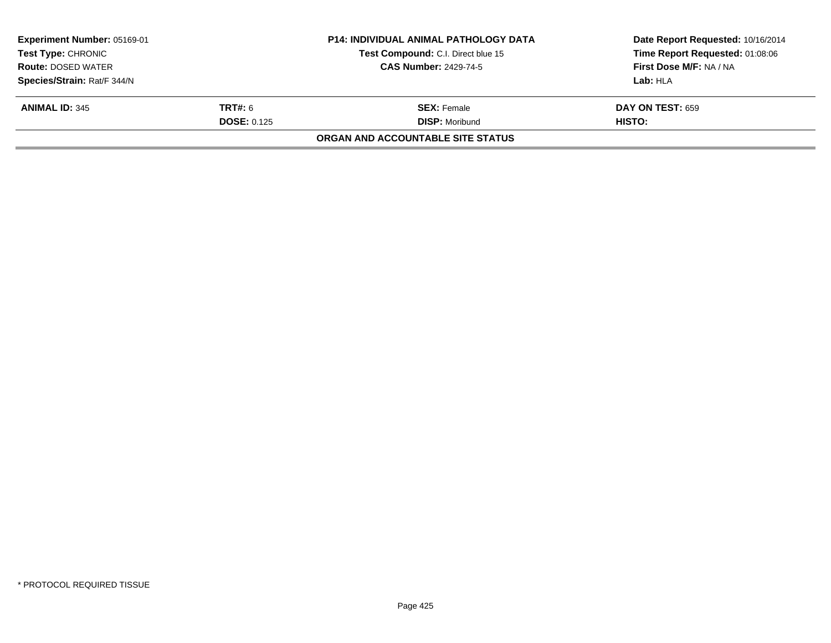| <b>Experiment Number: 05169-01</b> |                    | <b>P14: INDIVIDUAL ANIMAL PATHOLOGY DATA</b> | Date Report Requested: 10/16/2014 |
|------------------------------------|--------------------|----------------------------------------------|-----------------------------------|
| <b>Test Type: CHRONIC</b>          |                    | Test Compound: C.I. Direct blue 15           | Time Report Requested: 01:08:06   |
| <b>Route: DOSED WATER</b>          |                    | <b>CAS Number: 2429-74-5</b>                 | First Dose M/F: NA / NA           |
| Species/Strain: Rat/F 344/N        |                    |                                              | Lab: HLA                          |
| <b>ANIMAL ID: 345</b>              | <b>TRT#:</b> 6     | <b>SEX: Female</b>                           | <b>DAY ON TEST: 659</b>           |
|                                    | <b>DOSE: 0.125</b> | <b>DISP: Moribund</b>                        | HISTO:                            |
|                                    |                    | ORGAN AND ACCOUNTABLE SITE STATUS            |                                   |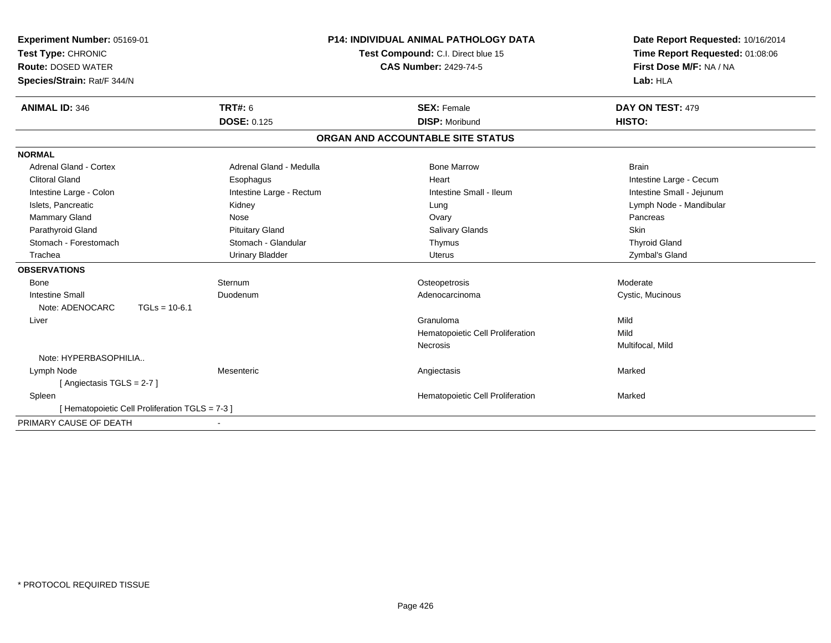| Experiment Number: 05169-01<br>Test Type: CHRONIC | <b>P14: INDIVIDUAL ANIMAL PATHOLOGY DATA</b><br>Test Compound: C.I. Direct blue 15 |  | Date Report Requested: 10/16/2014<br>Time Report Requested: 01:08:06 |                           |
|---------------------------------------------------|------------------------------------------------------------------------------------|--|----------------------------------------------------------------------|---------------------------|
| <b>Route: DOSED WATER</b>                         |                                                                                    |  | <b>CAS Number: 2429-74-5</b>                                         | First Dose M/F: NA / NA   |
| Species/Strain: Rat/F 344/N                       |                                                                                    |  |                                                                      | Lab: HLA                  |
| <b>ANIMAL ID: 346</b>                             | <b>TRT#: 6</b>                                                                     |  | <b>SEX: Female</b>                                                   | DAY ON TEST: 479          |
|                                                   | <b>DOSE: 0.125</b>                                                                 |  | <b>DISP: Moribund</b>                                                | HISTO:                    |
|                                                   |                                                                                    |  | ORGAN AND ACCOUNTABLE SITE STATUS                                    |                           |
| <b>NORMAL</b>                                     |                                                                                    |  |                                                                      |                           |
| Adrenal Gland - Cortex                            | Adrenal Gland - Medulla                                                            |  | <b>Bone Marrow</b>                                                   | <b>Brain</b>              |
| <b>Clitoral Gland</b>                             | Esophagus                                                                          |  | Heart                                                                | Intestine Large - Cecum   |
| Intestine Large - Colon                           | Intestine Large - Rectum                                                           |  | Intestine Small - Ileum                                              | Intestine Small - Jejunum |
| Islets, Pancreatic                                | Kidney                                                                             |  | Lung                                                                 | Lymph Node - Mandibular   |
| <b>Mammary Gland</b>                              | Nose                                                                               |  | Ovary                                                                | Pancreas                  |
| Parathyroid Gland                                 | <b>Pituitary Gland</b>                                                             |  | <b>Salivary Glands</b>                                               | Skin                      |
| Stomach - Forestomach                             | Stomach - Glandular                                                                |  | Thymus                                                               | <b>Thyroid Gland</b>      |
| Trachea                                           | <b>Urinary Bladder</b>                                                             |  | <b>Uterus</b>                                                        | Zymbal's Gland            |
| <b>OBSERVATIONS</b>                               |                                                                                    |  |                                                                      |                           |
| Bone                                              | Sternum                                                                            |  | Osteopetrosis                                                        | Moderate                  |
| <b>Intestine Small</b>                            | Duodenum                                                                           |  | Adenocarcinoma                                                       | Cystic, Mucinous          |
| Note: ADENOCARC<br>$TGLs = 10-6.1$                |                                                                                    |  |                                                                      |                           |
| Liver                                             |                                                                                    |  | Granuloma                                                            | Mild                      |
|                                                   |                                                                                    |  | Hematopoietic Cell Proliferation                                     | Mild                      |
|                                                   |                                                                                    |  | Necrosis                                                             | Multifocal, Mild          |
| Note: HYPERBASOPHILIA                             |                                                                                    |  |                                                                      |                           |
| Lymph Node                                        | Mesenteric                                                                         |  | Angiectasis                                                          | Marked                    |
| [Angiectasis TGLS = 2-7]                          |                                                                                    |  |                                                                      |                           |
| Spleen                                            |                                                                                    |  | Hematopoietic Cell Proliferation                                     | Marked                    |
| [ Hematopoietic Cell Proliferation TGLS = 7-3 ]   |                                                                                    |  |                                                                      |                           |
| PRIMARY CAUSE OF DEATH                            |                                                                                    |  |                                                                      |                           |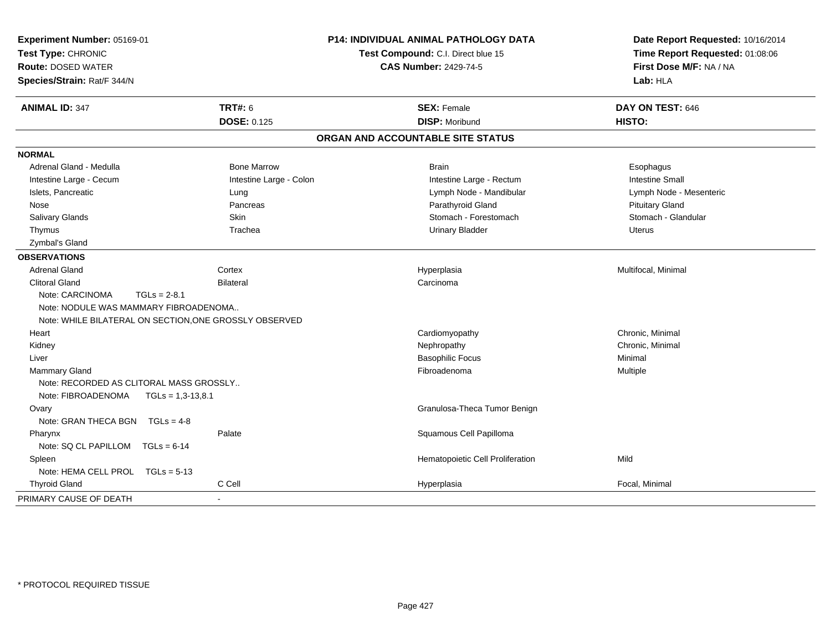| Experiment Number: 05169-01<br>Test Type: CHRONIC<br><b>Route: DOSED WATER</b><br>Species/Strain: Rat/F 344/N |                         | <b>P14: INDIVIDUAL ANIMAL PATHOLOGY DATA</b><br>Test Compound: C.I. Direct blue 15<br><b>CAS Number: 2429-74-5</b> | Date Report Requested: 10/16/2014<br>Time Report Requested: 01:08:06<br>First Dose M/F: NA / NA<br>Lab: HLA |
|---------------------------------------------------------------------------------------------------------------|-------------------------|--------------------------------------------------------------------------------------------------------------------|-------------------------------------------------------------------------------------------------------------|
| <b>ANIMAL ID: 347</b>                                                                                         | <b>TRT#: 6</b>          | <b>SEX: Female</b>                                                                                                 | DAY ON TEST: 646                                                                                            |
|                                                                                                               | <b>DOSE: 0.125</b>      | <b>DISP: Moribund</b>                                                                                              | HISTO:                                                                                                      |
|                                                                                                               |                         | ORGAN AND ACCOUNTABLE SITE STATUS                                                                                  |                                                                                                             |
| <b>NORMAL</b>                                                                                                 |                         |                                                                                                                    |                                                                                                             |
| Adrenal Gland - Medulla                                                                                       | <b>Bone Marrow</b>      | <b>Brain</b>                                                                                                       | Esophagus                                                                                                   |
| Intestine Large - Cecum                                                                                       | Intestine Large - Colon | Intestine Large - Rectum                                                                                           | <b>Intestine Small</b>                                                                                      |
| Islets, Pancreatic                                                                                            | Lung                    | Lymph Node - Mandibular                                                                                            | Lymph Node - Mesenteric                                                                                     |
| Nose                                                                                                          | Pancreas                | Parathyroid Gland                                                                                                  | <b>Pituitary Gland</b>                                                                                      |
| Salivary Glands                                                                                               | Skin                    | Stomach - Forestomach                                                                                              | Stomach - Glandular                                                                                         |
| Thymus                                                                                                        | Trachea                 | <b>Urinary Bladder</b>                                                                                             | <b>Uterus</b>                                                                                               |
| Zymbal's Gland                                                                                                |                         |                                                                                                                    |                                                                                                             |
| <b>OBSERVATIONS</b>                                                                                           |                         |                                                                                                                    |                                                                                                             |
| <b>Adrenal Gland</b>                                                                                          | Cortex                  | Hyperplasia                                                                                                        | Multifocal, Minimal                                                                                         |
| <b>Clitoral Gland</b>                                                                                         | <b>Bilateral</b>        | Carcinoma                                                                                                          |                                                                                                             |
| Note: CARCINOMA<br>$TGLs = 2-8.1$                                                                             |                         |                                                                                                                    |                                                                                                             |
| Note: NODULE WAS MAMMARY FIBROADENOMA                                                                         |                         |                                                                                                                    |                                                                                                             |
| Note: WHILE BILATERAL ON SECTION, ONE GROSSLY OBSERVED                                                        |                         |                                                                                                                    |                                                                                                             |
| Heart                                                                                                         |                         | Cardiomyopathy                                                                                                     | Chronic, Minimal                                                                                            |
| Kidney                                                                                                        |                         | Nephropathy                                                                                                        | Chronic, Minimal                                                                                            |
| Liver                                                                                                         |                         | <b>Basophilic Focus</b>                                                                                            | Minimal                                                                                                     |
| Mammary Gland                                                                                                 |                         | Fibroadenoma                                                                                                       | Multiple                                                                                                    |
| Note: RECORDED AS CLITORAL MASS GROSSLY                                                                       |                         |                                                                                                                    |                                                                                                             |
| Note: FIBROADENOMA<br>$TGLs = 1,3-13,8.1$                                                                     |                         |                                                                                                                    |                                                                                                             |
| Ovary                                                                                                         |                         | Granulosa-Theca Tumor Benign                                                                                       |                                                                                                             |
| Note: GRAN THECA BGN $TGLs = 4-8$                                                                             |                         |                                                                                                                    |                                                                                                             |
| Pharynx                                                                                                       | Palate                  | Squamous Cell Papilloma                                                                                            |                                                                                                             |
| Note: SQ CL PAPILLOM TGLs = 6-14                                                                              |                         |                                                                                                                    |                                                                                                             |
| Spleen                                                                                                        |                         | Hematopoietic Cell Proliferation                                                                                   | Mild                                                                                                        |
| Note: HEMA CELL PROL TGLs = 5-13                                                                              |                         |                                                                                                                    |                                                                                                             |
| <b>Thyroid Gland</b>                                                                                          | C Cell                  | Hyperplasia                                                                                                        | Focal, Minimal                                                                                              |
| PRIMARY CAUSE OF DEATH                                                                                        |                         |                                                                                                                    |                                                                                                             |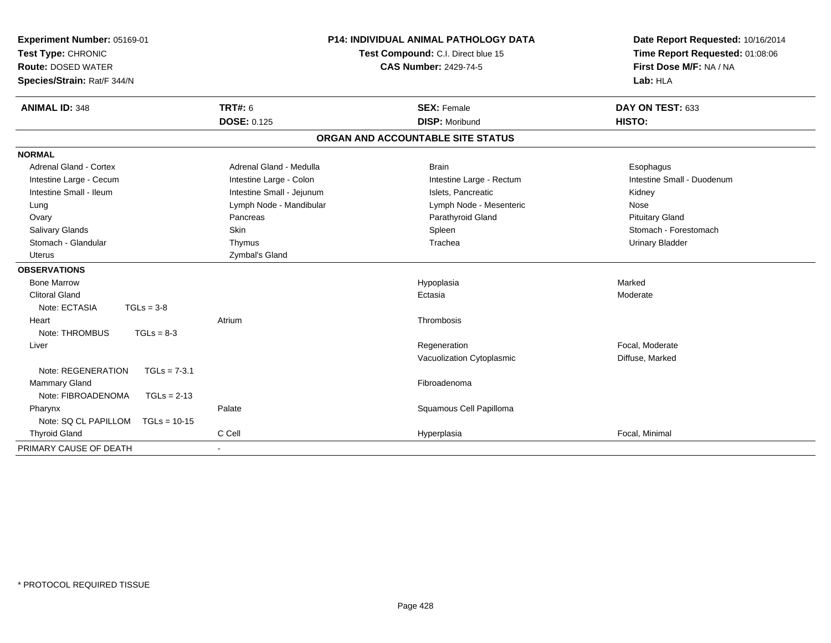| Experiment Number: 05169-01<br>Test Type: CHRONIC<br><b>Route: DOSED WATER</b><br>Species/Strain: Rat/F 344/N |                           | <b>P14: INDIVIDUAL ANIMAL PATHOLOGY DATA</b><br>Test Compound: C.I. Direct blue 15<br><b>CAS Number: 2429-74-5</b> | Date Report Requested: 10/16/2014<br>Time Report Requested: 01:08:06<br>First Dose M/F: NA / NA<br>Lab: HLA |
|---------------------------------------------------------------------------------------------------------------|---------------------------|--------------------------------------------------------------------------------------------------------------------|-------------------------------------------------------------------------------------------------------------|
| <b>ANIMAL ID: 348</b>                                                                                         | <b>TRT#: 6</b>            | <b>SEX: Female</b>                                                                                                 | DAY ON TEST: 633                                                                                            |
|                                                                                                               | <b>DOSE: 0.125</b>        | <b>DISP: Moribund</b>                                                                                              | HISTO:                                                                                                      |
|                                                                                                               |                           | ORGAN AND ACCOUNTABLE SITE STATUS                                                                                  |                                                                                                             |
| <b>NORMAL</b>                                                                                                 |                           |                                                                                                                    |                                                                                                             |
| <b>Adrenal Gland - Cortex</b>                                                                                 | Adrenal Gland - Medulla   | <b>Brain</b>                                                                                                       | Esophagus                                                                                                   |
| Intestine Large - Cecum                                                                                       | Intestine Large - Colon   | Intestine Large - Rectum                                                                                           | Intestine Small - Duodenum                                                                                  |
| Intestine Small - Ileum                                                                                       | Intestine Small - Jejunum | Islets, Pancreatic                                                                                                 | Kidney                                                                                                      |
| Lung                                                                                                          | Lymph Node - Mandibular   | Lymph Node - Mesenteric                                                                                            | Nose                                                                                                        |
| Ovary                                                                                                         | Pancreas                  | Parathyroid Gland                                                                                                  | <b>Pituitary Gland</b>                                                                                      |
| <b>Salivary Glands</b>                                                                                        | Skin                      | Spleen                                                                                                             | Stomach - Forestomach                                                                                       |
| Stomach - Glandular                                                                                           | Thymus                    | Trachea                                                                                                            | <b>Urinary Bladder</b>                                                                                      |
| Uterus                                                                                                        | Zymbal's Gland            |                                                                                                                    |                                                                                                             |
| <b>OBSERVATIONS</b>                                                                                           |                           |                                                                                                                    |                                                                                                             |
| <b>Bone Marrow</b>                                                                                            |                           | Hypoplasia                                                                                                         | Marked                                                                                                      |
| <b>Clitoral Gland</b>                                                                                         |                           | Ectasia                                                                                                            | Moderate                                                                                                    |
| Note: ECTASIA<br>$TGLs = 3-8$                                                                                 |                           |                                                                                                                    |                                                                                                             |
| Heart                                                                                                         | Atrium                    | Thrombosis                                                                                                         |                                                                                                             |
| Note: THROMBUS<br>$TGLs = 8-3$                                                                                |                           |                                                                                                                    |                                                                                                             |
| Liver                                                                                                         |                           | Regeneration                                                                                                       | Focal, Moderate                                                                                             |
|                                                                                                               |                           | Vacuolization Cytoplasmic                                                                                          | Diffuse, Marked                                                                                             |
| Note: REGENERATION<br>$TGLs = 7-3.1$                                                                          |                           |                                                                                                                    |                                                                                                             |
| <b>Mammary Gland</b>                                                                                          |                           | Fibroadenoma                                                                                                       |                                                                                                             |
| Note: FIBROADENOMA<br>$TGLs = 2-13$                                                                           |                           |                                                                                                                    |                                                                                                             |
| Pharynx                                                                                                       | Palate                    | Squamous Cell Papilloma                                                                                            |                                                                                                             |
| Note: SQ CL PAPILLOM<br>$TGLs = 10-15$                                                                        |                           |                                                                                                                    |                                                                                                             |
| <b>Thyroid Gland</b>                                                                                          | C Cell                    | Hyperplasia                                                                                                        | Focal, Minimal                                                                                              |
| PRIMARY CAUSE OF DEATH                                                                                        |                           |                                                                                                                    |                                                                                                             |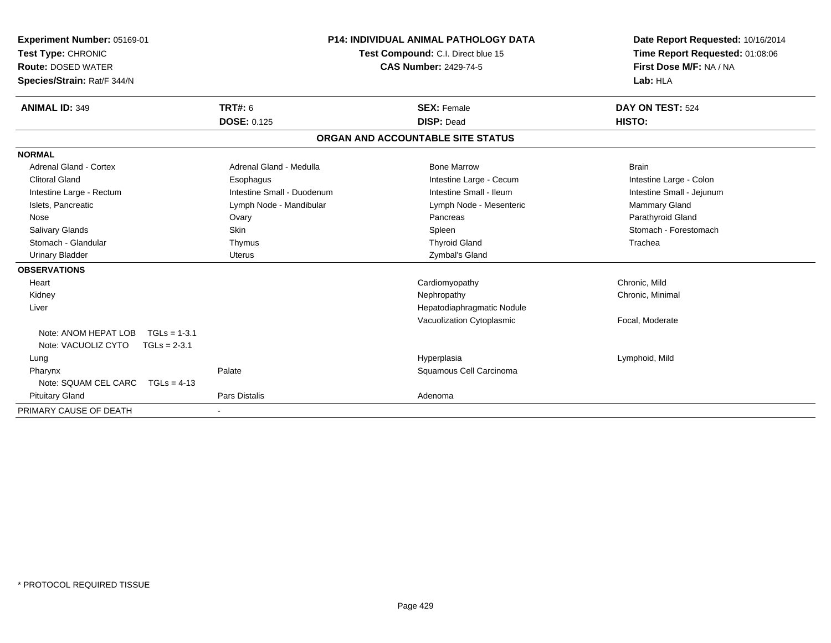| Experiment Number: 05169-01<br>Test Type: CHRONIC<br><b>Route: DOSED WATER</b><br>Species/Strain: Rat/F 344/N | <b>P14: INDIVIDUAL ANIMAL PATHOLOGY DATA</b><br>Test Compound: C.I. Direct blue 15<br><b>CAS Number: 2429-74-5</b> |                                   | Date Report Requested: 10/16/2014<br>Time Report Requested: 01:08:06<br>First Dose M/F: NA / NA<br>Lab: HLA |
|---------------------------------------------------------------------------------------------------------------|--------------------------------------------------------------------------------------------------------------------|-----------------------------------|-------------------------------------------------------------------------------------------------------------|
| <b>ANIMAL ID: 349</b>                                                                                         | <b>TRT#: 6</b>                                                                                                     | <b>SEX: Female</b>                | DAY ON TEST: 524                                                                                            |
|                                                                                                               | <b>DOSE: 0.125</b>                                                                                                 | <b>DISP: Dead</b>                 | HISTO:                                                                                                      |
|                                                                                                               |                                                                                                                    | ORGAN AND ACCOUNTABLE SITE STATUS |                                                                                                             |
| <b>NORMAL</b>                                                                                                 |                                                                                                                    |                                   |                                                                                                             |
| Adrenal Gland - Cortex                                                                                        | Adrenal Gland - Medulla                                                                                            | <b>Bone Marrow</b>                | <b>Brain</b>                                                                                                |
| <b>Clitoral Gland</b>                                                                                         | Esophagus                                                                                                          | Intestine Large - Cecum           | Intestine Large - Colon                                                                                     |
| Intestine Large - Rectum                                                                                      | Intestine Small - Duodenum                                                                                         | Intestine Small - Ileum           | Intestine Small - Jejunum                                                                                   |
| Islets, Pancreatic                                                                                            | Lymph Node - Mandibular                                                                                            | Lymph Node - Mesenteric           | Mammary Gland                                                                                               |
| Nose                                                                                                          | Ovary                                                                                                              | Pancreas                          | Parathyroid Gland                                                                                           |
| <b>Salivary Glands</b>                                                                                        | Skin                                                                                                               | Spleen                            | Stomach - Forestomach                                                                                       |
| Stomach - Glandular                                                                                           | Thymus                                                                                                             | <b>Thyroid Gland</b>              | Trachea                                                                                                     |
| <b>Urinary Bladder</b>                                                                                        | Uterus                                                                                                             | Zymbal's Gland                    |                                                                                                             |
| <b>OBSERVATIONS</b>                                                                                           |                                                                                                                    |                                   |                                                                                                             |
| Heart                                                                                                         |                                                                                                                    | Cardiomyopathy                    | Chronic. Mild                                                                                               |
| Kidney                                                                                                        |                                                                                                                    | Nephropathy                       | Chronic, Minimal                                                                                            |
| Liver                                                                                                         |                                                                                                                    | Hepatodiaphragmatic Nodule        |                                                                                                             |
|                                                                                                               |                                                                                                                    | Vacuolization Cytoplasmic         | Focal, Moderate                                                                                             |
| Note: ANOM HEPAT LOB<br>$TGLs = 1-3.1$                                                                        |                                                                                                                    |                                   |                                                                                                             |
| Note: VACUOLIZ CYTO<br>$TGLs = 2-3.1$                                                                         |                                                                                                                    |                                   |                                                                                                             |
| Lung                                                                                                          |                                                                                                                    | Hyperplasia                       | Lymphoid, Mild                                                                                              |
| Pharynx                                                                                                       | Palate                                                                                                             | Squamous Cell Carcinoma           |                                                                                                             |
| Note: SQUAM CEL CARC<br>$TGLs = 4-13$                                                                         |                                                                                                                    |                                   |                                                                                                             |
| <b>Pituitary Gland</b>                                                                                        | Pars Distalis                                                                                                      | Adenoma                           |                                                                                                             |
| PRIMARY CAUSE OF DEATH                                                                                        |                                                                                                                    |                                   |                                                                                                             |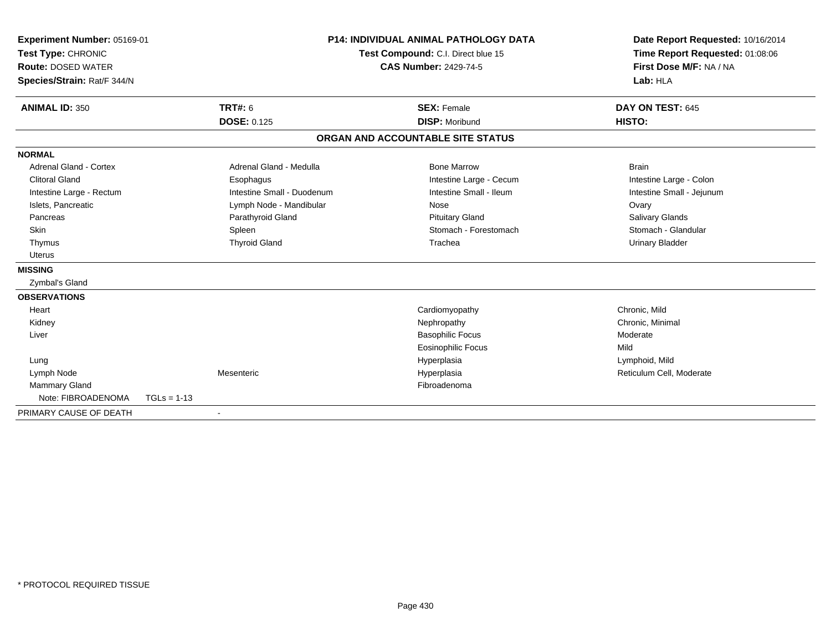| Experiment Number: 05169-01<br>Test Type: CHRONIC<br><b>Route: DOSED WATER</b><br>Species/Strain: Rat/F 344/N |               | <b>P14: INDIVIDUAL ANIMAL PATHOLOGY DATA</b><br>Test Compound: C.I. Direct blue 15<br><b>CAS Number: 2429-74-5</b> |  | Date Report Requested: 10/16/2014<br>Time Report Requested: 01:08:06<br>First Dose M/F: NA / NA<br>Lab: HLA |                           |  |
|---------------------------------------------------------------------------------------------------------------|---------------|--------------------------------------------------------------------------------------------------------------------|--|-------------------------------------------------------------------------------------------------------------|---------------------------|--|
| <b>ANIMAL ID: 350</b>                                                                                         |               | <b>TRT#: 6</b>                                                                                                     |  | <b>SEX: Female</b>                                                                                          | DAY ON TEST: 645          |  |
|                                                                                                               |               | <b>DOSE: 0.125</b>                                                                                                 |  | <b>DISP: Moribund</b>                                                                                       | HISTO:                    |  |
|                                                                                                               |               |                                                                                                                    |  | ORGAN AND ACCOUNTABLE SITE STATUS                                                                           |                           |  |
| <b>NORMAL</b>                                                                                                 |               |                                                                                                                    |  |                                                                                                             |                           |  |
| Adrenal Gland - Cortex                                                                                        |               | Adrenal Gland - Medulla                                                                                            |  | <b>Bone Marrow</b>                                                                                          | <b>Brain</b>              |  |
| <b>Clitoral Gland</b>                                                                                         |               | Esophagus                                                                                                          |  | Intestine Large - Cecum                                                                                     | Intestine Large - Colon   |  |
| Intestine Large - Rectum                                                                                      |               | Intestine Small - Duodenum                                                                                         |  | Intestine Small - Ileum                                                                                     | Intestine Small - Jejunum |  |
| Islets, Pancreatic                                                                                            |               | Lymph Node - Mandibular                                                                                            |  | Nose                                                                                                        | Ovary                     |  |
| Pancreas                                                                                                      |               | Parathyroid Gland                                                                                                  |  | <b>Pituitary Gland</b>                                                                                      | <b>Salivary Glands</b>    |  |
| Skin                                                                                                          |               | Spleen                                                                                                             |  | Stomach - Forestomach                                                                                       | Stomach - Glandular       |  |
| Thymus                                                                                                        |               | <b>Thyroid Gland</b>                                                                                               |  | Trachea                                                                                                     | <b>Urinary Bladder</b>    |  |
| <b>Uterus</b>                                                                                                 |               |                                                                                                                    |  |                                                                                                             |                           |  |
| <b>MISSING</b>                                                                                                |               |                                                                                                                    |  |                                                                                                             |                           |  |
| Zymbal's Gland                                                                                                |               |                                                                                                                    |  |                                                                                                             |                           |  |
| <b>OBSERVATIONS</b>                                                                                           |               |                                                                                                                    |  |                                                                                                             |                           |  |
| Heart                                                                                                         |               |                                                                                                                    |  | Cardiomyopathy                                                                                              | Chronic. Mild             |  |
| Kidney                                                                                                        |               |                                                                                                                    |  | Nephropathy                                                                                                 | Chronic, Minimal          |  |
| Liver                                                                                                         |               |                                                                                                                    |  | <b>Basophilic Focus</b>                                                                                     | Moderate                  |  |
|                                                                                                               |               |                                                                                                                    |  | <b>Eosinophilic Focus</b>                                                                                   | Mild                      |  |
| Lung                                                                                                          |               |                                                                                                                    |  | Hyperplasia                                                                                                 | Lymphoid, Mild            |  |
| Lymph Node                                                                                                    |               | Mesenteric                                                                                                         |  | Hyperplasia                                                                                                 | Reticulum Cell, Moderate  |  |
| Mammary Gland                                                                                                 |               |                                                                                                                    |  | Fibroadenoma                                                                                                |                           |  |
| Note: FIBROADENOMA                                                                                            | $TGLs = 1-13$ |                                                                                                                    |  |                                                                                                             |                           |  |
| PRIMARY CAUSE OF DEATH                                                                                        |               | $\blacksquare$                                                                                                     |  |                                                                                                             |                           |  |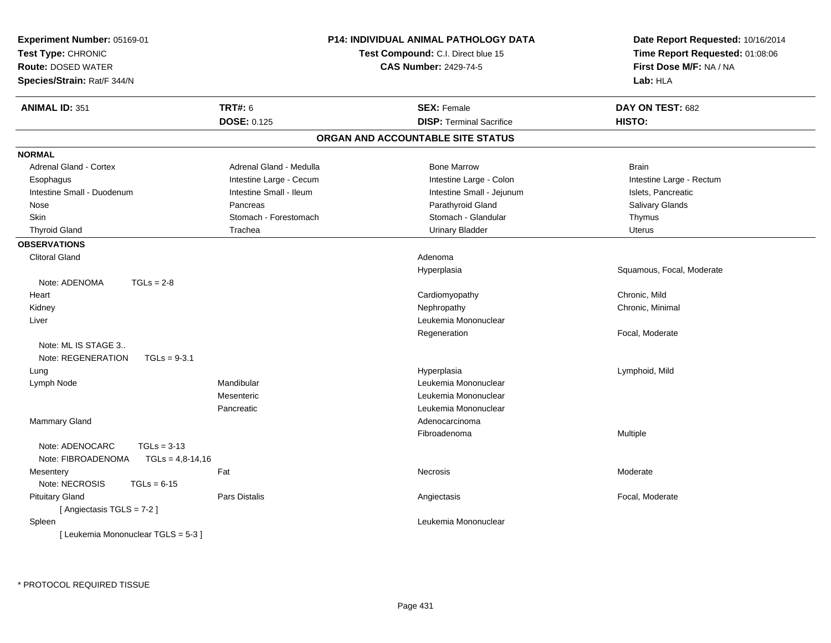| <b>P14: INDIVIDUAL ANIMAL PATHOLOGY DATA</b><br>Experiment Number: 05169-01<br>Test Type: CHRONIC<br>Test Compound: C.I. Direct blue 15<br><b>CAS Number: 2429-74-5</b><br><b>Route: DOSED WATER</b><br>Species/Strain: Rat/F 344/N |                                        | Date Report Requested: 10/16/2014<br>Time Report Requested: 01:08:06<br>First Dose M/F: NA / NA<br>Lab: HLA                                                                 |                                                                                                     |
|-------------------------------------------------------------------------------------------------------------------------------------------------------------------------------------------------------------------------------------|----------------------------------------|-----------------------------------------------------------------------------------------------------------------------------------------------------------------------------|-----------------------------------------------------------------------------------------------------|
| <b>ANIMAL ID: 351</b>                                                                                                                                                                                                               | <b>TRT#: 6</b>                         | <b>SEX: Female</b>                                                                                                                                                          | DAY ON TEST: 682                                                                                    |
|                                                                                                                                                                                                                                     | <b>DOSE: 0.125</b>                     | <b>DISP: Terminal Sacrifice</b>                                                                                                                                             | HISTO:                                                                                              |
|                                                                                                                                                                                                                                     |                                        | ORGAN AND ACCOUNTABLE SITE STATUS                                                                                                                                           |                                                                                                     |
| <b>NORMAL</b>                                                                                                                                                                                                                       |                                        |                                                                                                                                                                             |                                                                                                     |
| Adrenal Gland - Cortex                                                                                                                                                                                                              | Adrenal Gland - Medulla                | <b>Bone Marrow</b>                                                                                                                                                          | <b>Brain</b>                                                                                        |
| Esophagus                                                                                                                                                                                                                           | Intestine Large - Cecum                | Intestine Large - Colon                                                                                                                                                     | Intestine Large - Rectum                                                                            |
| Intestine Small - Duodenum                                                                                                                                                                                                          | Intestine Small - Ileum                | Intestine Small - Jejunum                                                                                                                                                   | Islets, Pancreatic                                                                                  |
| Nose                                                                                                                                                                                                                                | Pancreas                               | Parathyroid Gland                                                                                                                                                           | Salivary Glands                                                                                     |
| Skin                                                                                                                                                                                                                                | Stomach - Forestomach                  | Stomach - Glandular                                                                                                                                                         | Thymus                                                                                              |
| <b>Thyroid Gland</b>                                                                                                                                                                                                                | Trachea                                | <b>Urinary Bladder</b>                                                                                                                                                      | Uterus                                                                                              |
| <b>OBSERVATIONS</b>                                                                                                                                                                                                                 |                                        |                                                                                                                                                                             |                                                                                                     |
| <b>Clitoral Gland</b>                                                                                                                                                                                                               |                                        | Adenoma                                                                                                                                                                     |                                                                                                     |
| $TGLs = 2-8$<br>Note: ADENOMA<br>Heart<br>Kidney<br>Liver<br>Note: ML IS STAGE 3<br>Note: REGENERATION<br>$TGLs = 9-3.1$<br>Lung<br>Lymph Node                                                                                      | Mandibular<br>Mesenteric<br>Pancreatic | Hyperplasia<br>Cardiomyopathy<br>Nephropathy<br>Leukemia Mononuclear<br>Regeneration<br>Hyperplasia<br>Leukemia Mononuclear<br>Leukemia Mononuclear<br>Leukemia Mononuclear | Squamous, Focal, Moderate<br>Chronic, Mild<br>Chronic, Minimal<br>Focal, Moderate<br>Lymphoid, Mild |
| <b>Mammary Gland</b><br>Note: ADENOCARC<br>$TGLs = 3-13$<br>Note: FIBROADENOMA<br>$TGLs = 4,8-14,16$                                                                                                                                |                                        | Adenocarcinoma<br>Fibroadenoma                                                                                                                                              | Multiple                                                                                            |
| Mesentery<br>Note: NECROSIS<br>$TGLs = 6-15$                                                                                                                                                                                        | Fat                                    | Necrosis                                                                                                                                                                    | Moderate                                                                                            |
| <b>Pituitary Gland</b><br>[Angiectasis TGLS = 7-2]                                                                                                                                                                                  | Pars Distalis                          | Angiectasis                                                                                                                                                                 | Focal, Moderate                                                                                     |
| Spleen<br>[Leukemia Mononuclear TGLS = 5-3]                                                                                                                                                                                         |                                        | Leukemia Mononuclear                                                                                                                                                        |                                                                                                     |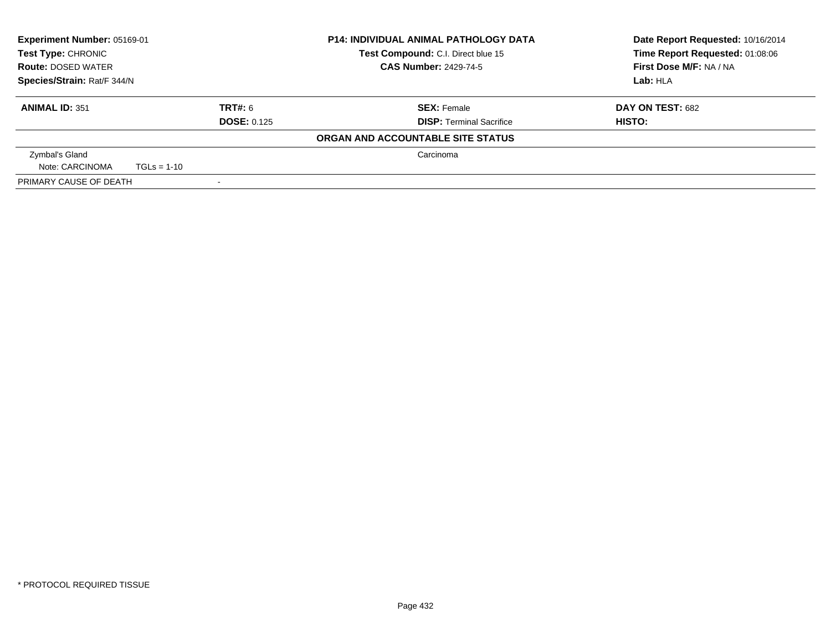| Experiment Number: 05169-01<br><b>P14: INDIVIDUAL ANIMAL PATHOLOGY DATA</b><br>Test Type: CHRONIC<br>Test Compound: C.I. Direct blue 15<br><b>CAS Number: 2429-74-5</b><br><b>Route: DOSED WATER</b> |               |                    | Date Report Requested: 10/16/2014<br>Time Report Requested: 01:08:06 |                  |
|------------------------------------------------------------------------------------------------------------------------------------------------------------------------------------------------------|---------------|--------------------|----------------------------------------------------------------------|------------------|
|                                                                                                                                                                                                      |               |                    | First Dose M/F: NA / NA                                              |                  |
| Species/Strain: Rat/F 344/N                                                                                                                                                                          |               |                    |                                                                      | Lab: HLA         |
| <b>ANIMAL ID: 351</b>                                                                                                                                                                                |               | TRT#: 6            | <b>SEX: Female</b>                                                   | DAY ON TEST: 682 |
|                                                                                                                                                                                                      |               | <b>DOSE: 0.125</b> | <b>DISP: Terminal Sacrifice</b>                                      | HISTO:           |
|                                                                                                                                                                                                      |               |                    | ORGAN AND ACCOUNTABLE SITE STATUS                                    |                  |
| Zymbal's Gland                                                                                                                                                                                       |               |                    | Carcinoma                                                            |                  |
| Note: CARCINOMA                                                                                                                                                                                      | $TGLs = 1-10$ |                    |                                                                      |                  |
| PRIMARY CAUSE OF DEATH                                                                                                                                                                               |               |                    |                                                                      |                  |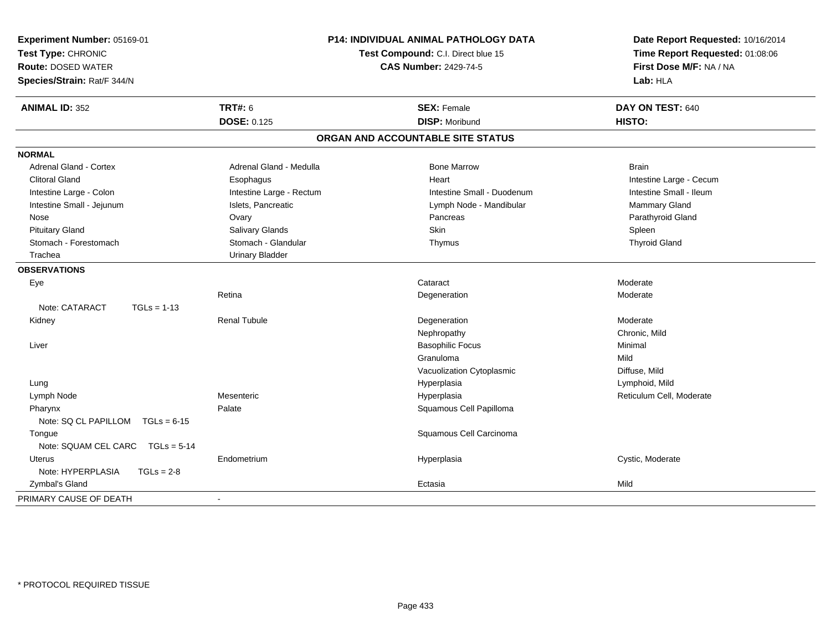| Experiment Number: 05169-01<br>Test Type: CHRONIC<br><b>Route: DOSED WATER</b><br>Species/Strain: Rat/F 344/N |                          | <b>P14: INDIVIDUAL ANIMAL PATHOLOGY DATA</b><br>Test Compound: C.I. Direct blue 15<br><b>CAS Number: 2429-74-5</b> | Date Report Requested: 10/16/2014<br>Time Report Requested: 01:08:06<br>First Dose M/F: NA / NA<br>Lab: HLA |
|---------------------------------------------------------------------------------------------------------------|--------------------------|--------------------------------------------------------------------------------------------------------------------|-------------------------------------------------------------------------------------------------------------|
| <b>ANIMAL ID: 352</b>                                                                                         | <b>TRT#: 6</b>           | <b>SEX: Female</b>                                                                                                 | DAY ON TEST: 640                                                                                            |
|                                                                                                               | <b>DOSE: 0.125</b>       | <b>DISP: Moribund</b>                                                                                              | HISTO:                                                                                                      |
|                                                                                                               |                          | ORGAN AND ACCOUNTABLE SITE STATUS                                                                                  |                                                                                                             |
| <b>NORMAL</b>                                                                                                 |                          |                                                                                                                    |                                                                                                             |
| <b>Adrenal Gland - Cortex</b>                                                                                 | Adrenal Gland - Medulla  | <b>Bone Marrow</b>                                                                                                 | <b>Brain</b>                                                                                                |
| <b>Clitoral Gland</b>                                                                                         | Esophagus                | Heart                                                                                                              | Intestine Large - Cecum                                                                                     |
| Intestine Large - Colon                                                                                       | Intestine Large - Rectum | Intestine Small - Duodenum                                                                                         | Intestine Small - Ileum                                                                                     |
| Intestine Small - Jejunum                                                                                     | Islets, Pancreatic       | Lymph Node - Mandibular                                                                                            | Mammary Gland                                                                                               |
| Nose                                                                                                          | Ovary                    | Pancreas                                                                                                           | Parathyroid Gland                                                                                           |
| <b>Pituitary Gland</b>                                                                                        | Salivary Glands          | <b>Skin</b>                                                                                                        | Spleen                                                                                                      |
| Stomach - Forestomach                                                                                         | Stomach - Glandular      | Thymus                                                                                                             | <b>Thyroid Gland</b>                                                                                        |
| Trachea                                                                                                       | <b>Urinary Bladder</b>   |                                                                                                                    |                                                                                                             |
| <b>OBSERVATIONS</b>                                                                                           |                          |                                                                                                                    |                                                                                                             |
| Eye                                                                                                           |                          | Cataract                                                                                                           | Moderate                                                                                                    |
|                                                                                                               | Retina                   | Degeneration                                                                                                       | Moderate                                                                                                    |
| Note: CATARACT<br>$TGLs = 1-13$                                                                               |                          |                                                                                                                    |                                                                                                             |
| Kidney                                                                                                        | <b>Renal Tubule</b>      | Degeneration                                                                                                       | Moderate                                                                                                    |
|                                                                                                               |                          | Nephropathy                                                                                                        | Chronic, Mild                                                                                               |
| Liver                                                                                                         |                          | <b>Basophilic Focus</b>                                                                                            | Minimal                                                                                                     |
|                                                                                                               |                          | Granuloma                                                                                                          | Mild                                                                                                        |
|                                                                                                               |                          | Vacuolization Cytoplasmic                                                                                          | Diffuse, Mild                                                                                               |
| Lung                                                                                                          |                          | Hyperplasia                                                                                                        | Lymphoid, Mild                                                                                              |
| Lymph Node                                                                                                    | Mesenteric               | Hyperplasia                                                                                                        | Reticulum Cell, Moderate                                                                                    |
| Pharynx                                                                                                       | Palate                   | Squamous Cell Papilloma                                                                                            |                                                                                                             |
| Note: SQ CL PAPILLOM<br>$TGLs = 6-15$                                                                         |                          |                                                                                                                    |                                                                                                             |
| Tongue                                                                                                        |                          | Squamous Cell Carcinoma                                                                                            |                                                                                                             |
| Note: SQUAM CEL CARC<br>$TGLs = 5-14$                                                                         |                          |                                                                                                                    |                                                                                                             |
| <b>Uterus</b>                                                                                                 | Endometrium              | Hyperplasia                                                                                                        | Cystic, Moderate                                                                                            |
| Note: HYPERPLASIA<br>$TGLs = 2-8$                                                                             |                          |                                                                                                                    |                                                                                                             |
| Zymbal's Gland                                                                                                |                          | Ectasia                                                                                                            | Mild                                                                                                        |
| PRIMARY CAUSE OF DEATH                                                                                        | $\sim$                   |                                                                                                                    |                                                                                                             |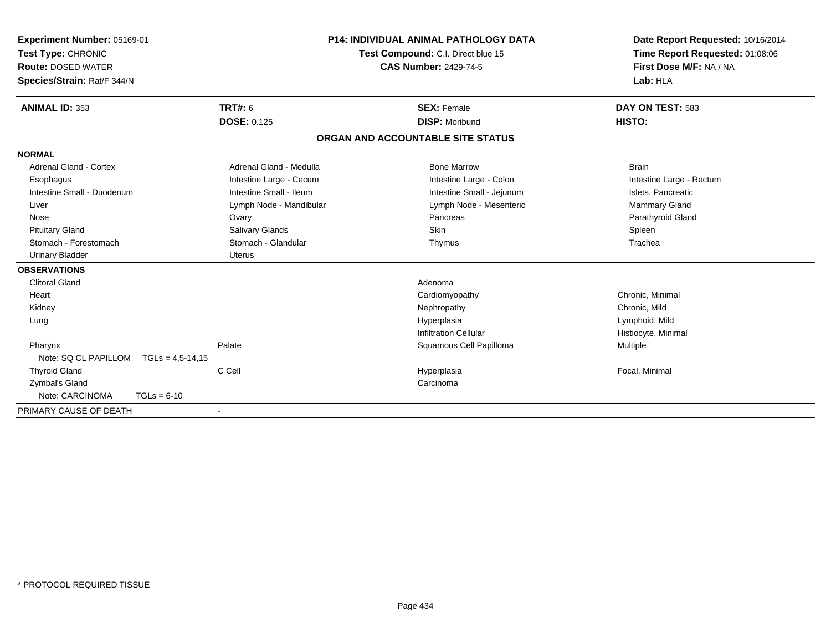| Experiment Number: 05169-01<br>Test Type: CHRONIC<br><b>Route: DOSED WATER</b><br>Species/Strain: Rat/F 344/N |                         | <b>P14: INDIVIDUAL ANIMAL PATHOLOGY DATA</b><br>Test Compound: C.I. Direct blue 15<br><b>CAS Number: 2429-74-5</b> | Date Report Requested: 10/16/2014<br>Time Report Requested: 01:08:06<br>First Dose M/F: NA / NA<br>Lab: HLA |
|---------------------------------------------------------------------------------------------------------------|-------------------------|--------------------------------------------------------------------------------------------------------------------|-------------------------------------------------------------------------------------------------------------|
| <b>ANIMAL ID: 353</b>                                                                                         | <b>TRT#: 6</b>          | <b>SEX: Female</b>                                                                                                 | DAY ON TEST: 583                                                                                            |
|                                                                                                               | <b>DOSE: 0.125</b>      | <b>DISP: Moribund</b>                                                                                              | HISTO:                                                                                                      |
|                                                                                                               |                         | ORGAN AND ACCOUNTABLE SITE STATUS                                                                                  |                                                                                                             |
| <b>NORMAL</b>                                                                                                 |                         |                                                                                                                    |                                                                                                             |
| <b>Adrenal Gland - Cortex</b>                                                                                 | Adrenal Gland - Medulla | <b>Bone Marrow</b>                                                                                                 | <b>Brain</b>                                                                                                |
| Esophagus                                                                                                     | Intestine Large - Cecum | Intestine Large - Colon                                                                                            | Intestine Large - Rectum                                                                                    |
| Intestine Small - Duodenum                                                                                    | Intestine Small - Ileum | Intestine Small - Jejunum                                                                                          | Islets, Pancreatic                                                                                          |
| Liver                                                                                                         | Lymph Node - Mandibular | Lymph Node - Mesenteric                                                                                            | <b>Mammary Gland</b>                                                                                        |
| Nose                                                                                                          | Ovary                   | Pancreas                                                                                                           | Parathyroid Gland                                                                                           |
| <b>Pituitary Gland</b>                                                                                        | Salivary Glands         | <b>Skin</b>                                                                                                        | Spleen                                                                                                      |
| Stomach - Forestomach                                                                                         | Stomach - Glandular     | Thymus                                                                                                             | Trachea                                                                                                     |
| <b>Urinary Bladder</b>                                                                                        | <b>Uterus</b>           |                                                                                                                    |                                                                                                             |
| <b>OBSERVATIONS</b>                                                                                           |                         |                                                                                                                    |                                                                                                             |
| <b>Clitoral Gland</b>                                                                                         |                         | Adenoma                                                                                                            |                                                                                                             |
| Heart                                                                                                         |                         | Cardiomyopathy                                                                                                     | Chronic, Minimal                                                                                            |
| Kidney                                                                                                        |                         | Nephropathy                                                                                                        | Chronic, Mild                                                                                               |
| Lung                                                                                                          |                         | Hyperplasia                                                                                                        | Lymphoid, Mild                                                                                              |
|                                                                                                               |                         | <b>Infiltration Cellular</b>                                                                                       | Histiocyte, Minimal                                                                                         |
| Pharynx                                                                                                       | Palate                  | Squamous Cell Papilloma                                                                                            | Multiple                                                                                                    |
| Note: SQ CL PAPILLOM<br>$TGLs = 4,5-14,15$                                                                    |                         |                                                                                                                    |                                                                                                             |
| <b>Thyroid Gland</b>                                                                                          | C Cell                  | Hyperplasia                                                                                                        | Focal, Minimal                                                                                              |
| Zymbal's Gland                                                                                                |                         | Carcinoma                                                                                                          |                                                                                                             |
| Note: CARCINOMA<br>$TGLs = 6-10$                                                                              |                         |                                                                                                                    |                                                                                                             |
| PRIMARY CAUSE OF DEATH                                                                                        |                         |                                                                                                                    |                                                                                                             |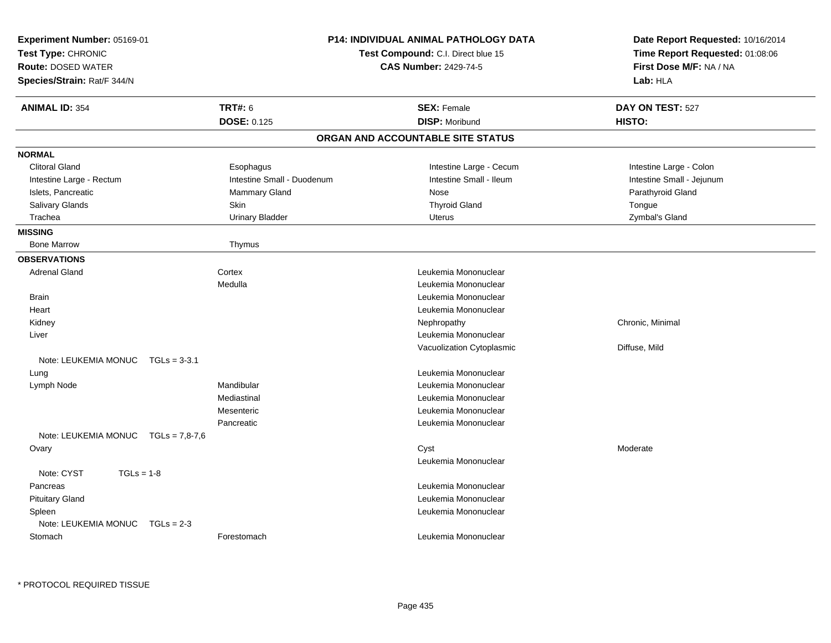| Experiment Number: 05169-01<br>Test Type: CHRONIC<br><b>Route: DOSED WATER</b> |                            | <b>P14: INDIVIDUAL ANIMAL PATHOLOGY DATA</b><br>Test Compound: C.I. Direct blue 15<br><b>CAS Number: 2429-74-5</b> | Date Report Requested: 10/16/2014<br>Time Report Requested: 01:08:06<br>First Dose M/F: NA / NA |
|--------------------------------------------------------------------------------|----------------------------|--------------------------------------------------------------------------------------------------------------------|-------------------------------------------------------------------------------------------------|
| Species/Strain: Rat/F 344/N                                                    |                            |                                                                                                                    | Lab: HLA                                                                                        |
| <b>ANIMAL ID: 354</b>                                                          | TRT#: 6                    | <b>SEX: Female</b>                                                                                                 | DAY ON TEST: 527                                                                                |
|                                                                                | <b>DOSE: 0.125</b>         | <b>DISP: Moribund</b>                                                                                              | HISTO:                                                                                          |
|                                                                                |                            | ORGAN AND ACCOUNTABLE SITE STATUS                                                                                  |                                                                                                 |
| <b>NORMAL</b>                                                                  |                            |                                                                                                                    |                                                                                                 |
| <b>Clitoral Gland</b>                                                          | Esophagus                  | Intestine Large - Cecum                                                                                            | Intestine Large - Colon                                                                         |
| Intestine Large - Rectum                                                       | Intestine Small - Duodenum | Intestine Small - Ileum                                                                                            | Intestine Small - Jejunum                                                                       |
| Islets, Pancreatic                                                             | Mammary Gland              | <b>Nose</b>                                                                                                        | Parathyroid Gland                                                                               |
| Salivary Glands                                                                | Skin                       | <b>Thyroid Gland</b>                                                                                               | Tongue                                                                                          |
| Trachea                                                                        | <b>Urinary Bladder</b>     | <b>Uterus</b>                                                                                                      | Zymbal's Gland                                                                                  |
| <b>MISSING</b>                                                                 |                            |                                                                                                                    |                                                                                                 |
| <b>Bone Marrow</b>                                                             | Thymus                     |                                                                                                                    |                                                                                                 |
| <b>OBSERVATIONS</b>                                                            |                            |                                                                                                                    |                                                                                                 |
| <b>Adrenal Gland</b>                                                           | Cortex                     | Leukemia Mononuclear                                                                                               |                                                                                                 |
|                                                                                | Medulla                    | Leukemia Mononuclear                                                                                               |                                                                                                 |
| <b>Brain</b>                                                                   |                            | Leukemia Mononuclear                                                                                               |                                                                                                 |
| Heart                                                                          |                            | Leukemia Mononuclear                                                                                               |                                                                                                 |
| Kidney                                                                         |                            | Nephropathy                                                                                                        | Chronic, Minimal                                                                                |
| Liver                                                                          |                            | Leukemia Mononuclear                                                                                               |                                                                                                 |
|                                                                                |                            | Vacuolization Cytoplasmic                                                                                          | Diffuse, Mild                                                                                   |
| Note: LEUKEMIA MONUC<br>$TGLs = 3-3.1$                                         |                            |                                                                                                                    |                                                                                                 |
| Lung                                                                           |                            | Leukemia Mononuclear                                                                                               |                                                                                                 |
| Lymph Node                                                                     | Mandibular                 | Leukemia Mononuclear                                                                                               |                                                                                                 |
|                                                                                | Mediastinal                | Leukemia Mononuclear                                                                                               |                                                                                                 |
|                                                                                | Mesenteric                 | Leukemia Mononuclear                                                                                               |                                                                                                 |
|                                                                                | Pancreatic                 | Leukemia Mononuclear                                                                                               |                                                                                                 |
| Note: LEUKEMIA MONUC<br>$TGLs = 7,8-7,6$                                       |                            |                                                                                                                    |                                                                                                 |
| Ovary                                                                          |                            | Cyst                                                                                                               | Moderate                                                                                        |
|                                                                                |                            | Leukemia Mononuclear                                                                                               |                                                                                                 |
| Note: CYST<br>$TGLs = 1-8$                                                     |                            |                                                                                                                    |                                                                                                 |
| Pancreas                                                                       |                            | Leukemia Mononuclear                                                                                               |                                                                                                 |
| <b>Pituitary Gland</b>                                                         |                            | Leukemia Mononuclear                                                                                               |                                                                                                 |
| Spleen                                                                         |                            | Leukemia Mononuclear                                                                                               |                                                                                                 |
| Note: LEUKEMIA MONUC<br>$TGLs = 2-3$                                           |                            |                                                                                                                    |                                                                                                 |
| Stomach                                                                        | Forestomach                | Leukemia Mononuclear                                                                                               |                                                                                                 |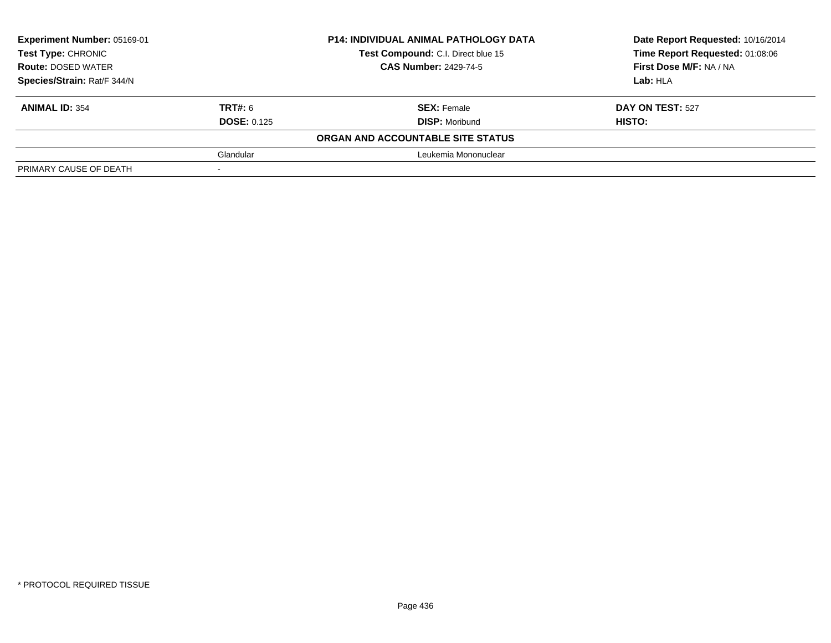| Experiment Number: 05169-01<br>Test Type: CHRONIC<br><b>Route: DOSED WATER</b><br>Species/Strain: Rat/F 344/N |                    | <b>P14: INDIVIDUAL ANIMAL PATHOLOGY DATA</b> | Date Report Requested: 10/16/2014<br>Time Report Requested: 01:08:06<br>First Dose M/F: NA / NA |
|---------------------------------------------------------------------------------------------------------------|--------------------|----------------------------------------------|-------------------------------------------------------------------------------------------------|
|                                                                                                               |                    | Test Compound: C.I. Direct blue 15           |                                                                                                 |
|                                                                                                               |                    | <b>CAS Number: 2429-74-5</b>                 |                                                                                                 |
|                                                                                                               |                    |                                              | Lab: HLA                                                                                        |
| <b>ANIMAL ID: 354</b>                                                                                         | <b>TRT#: 6</b>     | <b>SEX: Female</b>                           | DAY ON TEST: 527                                                                                |
|                                                                                                               | <b>DOSE: 0.125</b> | <b>DISP:</b> Moribund                        | HISTO:                                                                                          |
|                                                                                                               |                    | ORGAN AND ACCOUNTABLE SITE STATUS            |                                                                                                 |
|                                                                                                               | Glandular          | Leukemia Mononuclear                         |                                                                                                 |
| PRIMARY CAUSE OF DEATH                                                                                        |                    |                                              |                                                                                                 |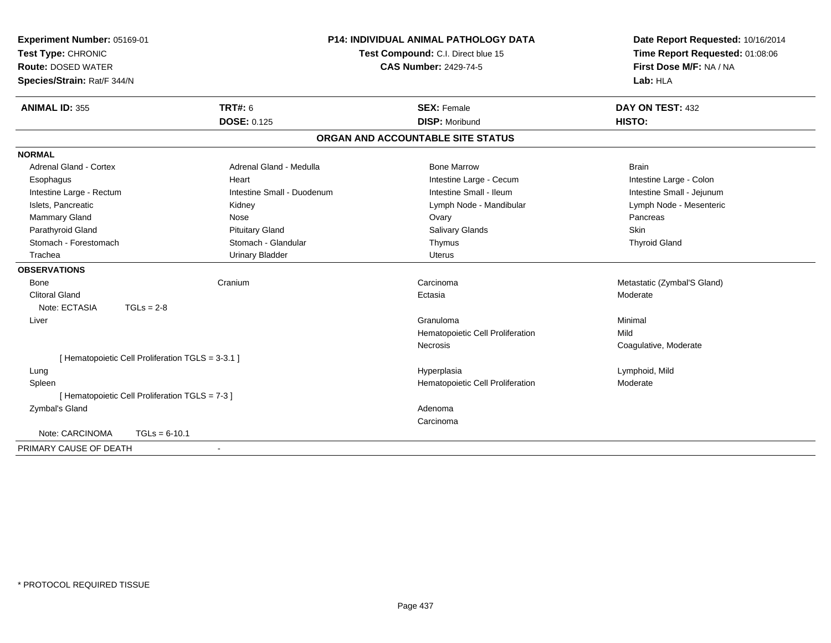| Experiment Number: 05169-01   |                                                   | <b>P14: INDIVIDUAL ANIMAL PATHOLOGY DATA</b> | Date Report Requested: 10/16/2014<br>Time Report Requested: 01:08:06 |
|-------------------------------|---------------------------------------------------|----------------------------------------------|----------------------------------------------------------------------|
| Test Type: CHRONIC            |                                                   | Test Compound: C.I. Direct blue 15           |                                                                      |
| <b>Route: DOSED WATER</b>     |                                                   | <b>CAS Number: 2429-74-5</b>                 | First Dose M/F: NA / NA                                              |
| Species/Strain: Rat/F 344/N   |                                                   |                                              | Lab: HLA                                                             |
| <b>ANIMAL ID: 355</b>         | <b>TRT#: 6</b>                                    | <b>SEX: Female</b>                           | DAY ON TEST: 432                                                     |
|                               | <b>DOSE: 0.125</b>                                | <b>DISP: Moribund</b>                        | HISTO:                                                               |
|                               |                                                   | ORGAN AND ACCOUNTABLE SITE STATUS            |                                                                      |
| <b>NORMAL</b>                 |                                                   |                                              |                                                                      |
| <b>Adrenal Gland - Cortex</b> | Adrenal Gland - Medulla                           | <b>Bone Marrow</b>                           | <b>Brain</b>                                                         |
| Esophagus                     | Heart                                             | Intestine Large - Cecum                      | Intestine Large - Colon                                              |
| Intestine Large - Rectum      | Intestine Small - Duodenum                        | Intestine Small - Ileum                      | Intestine Small - Jejunum                                            |
| Islets, Pancreatic            | Kidney                                            | Lymph Node - Mandibular                      | Lymph Node - Mesenteric                                              |
| Mammary Gland                 | Nose                                              | Ovary                                        | Pancreas                                                             |
| Parathyroid Gland             | <b>Pituitary Gland</b>                            | Salivary Glands                              | Skin                                                                 |
| Stomach - Forestomach         | Stomach - Glandular                               | Thymus                                       | <b>Thyroid Gland</b>                                                 |
| Trachea                       | <b>Urinary Bladder</b>                            | <b>Uterus</b>                                |                                                                      |
| <b>OBSERVATIONS</b>           |                                                   |                                              |                                                                      |
| <b>Bone</b>                   | Cranium                                           | Carcinoma                                    | Metastatic (Zymbal'S Gland)                                          |
| <b>Clitoral Gland</b>         |                                                   | Ectasia                                      | Moderate                                                             |
| Note: ECTASIA                 | $TGLs = 2-8$                                      |                                              |                                                                      |
| Liver                         |                                                   | Granuloma                                    | Minimal                                                              |
|                               |                                                   | Hematopoietic Cell Proliferation             | Mild                                                                 |
|                               |                                                   | Necrosis                                     | Coagulative, Moderate                                                |
|                               | [ Hematopoietic Cell Proliferation TGLS = 3-3.1 ] |                                              |                                                                      |
| Lung                          |                                                   | Hyperplasia                                  | Lymphoid, Mild                                                       |
| Spleen                        |                                                   | Hematopoietic Cell Proliferation             | Moderate                                                             |
|                               | [ Hematopoietic Cell Proliferation TGLS = 7-3 ]   |                                              |                                                                      |
| Zymbal's Gland                |                                                   | Adenoma                                      |                                                                      |
|                               |                                                   | Carcinoma                                    |                                                                      |
| Note: CARCINOMA               | $TGLs = 6-10.1$                                   |                                              |                                                                      |
| PRIMARY CAUSE OF DEATH        | $\sim$                                            |                                              |                                                                      |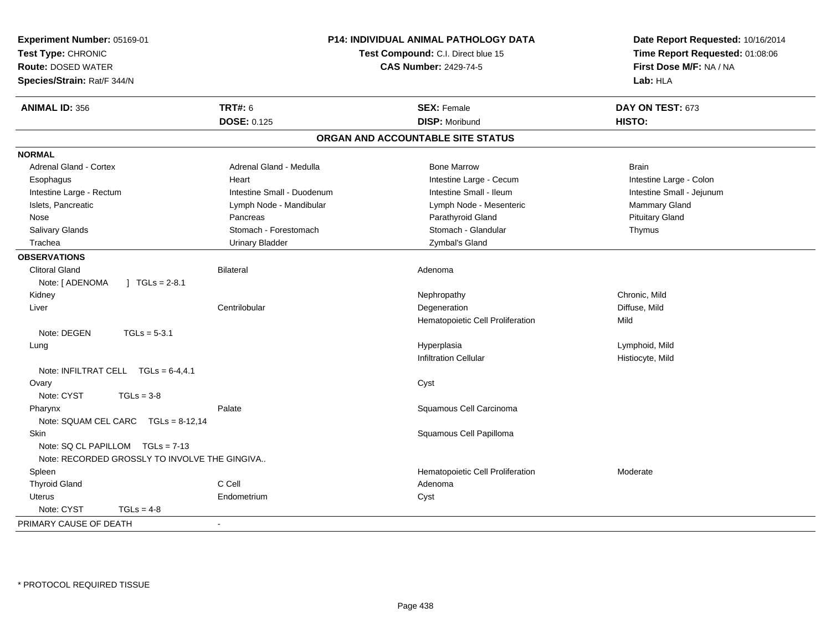| Experiment Number: 05169-01<br>Test Type: CHRONIC<br><b>Route: DOSED WATER</b><br>Species/Strain: Rat/F 344/N |                            | <b>P14: INDIVIDUAL ANIMAL PATHOLOGY DATA</b><br>Test Compound: C.I. Direct blue 15<br><b>CAS Number: 2429-74-5</b> | Date Report Requested: 10/16/2014<br>Time Report Requested: 01:08:06<br>First Dose M/F: NA / NA<br>Lab: HLA |
|---------------------------------------------------------------------------------------------------------------|----------------------------|--------------------------------------------------------------------------------------------------------------------|-------------------------------------------------------------------------------------------------------------|
| <b>ANIMAL ID: 356</b>                                                                                         | <b>TRT#: 6</b>             | <b>SEX: Female</b>                                                                                                 | DAY ON TEST: 673                                                                                            |
|                                                                                                               | <b>DOSE: 0.125</b>         | <b>DISP: Moribund</b>                                                                                              | HISTO:                                                                                                      |
|                                                                                                               |                            | ORGAN AND ACCOUNTABLE SITE STATUS                                                                                  |                                                                                                             |
| <b>NORMAL</b>                                                                                                 |                            |                                                                                                                    |                                                                                                             |
| <b>Adrenal Gland - Cortex</b>                                                                                 | Adrenal Gland - Medulla    | <b>Bone Marrow</b>                                                                                                 | <b>Brain</b>                                                                                                |
| Esophagus                                                                                                     | Heart                      | Intestine Large - Cecum                                                                                            | Intestine Large - Colon                                                                                     |
| Intestine Large - Rectum                                                                                      | Intestine Small - Duodenum | Intestine Small - Ileum                                                                                            | Intestine Small - Jejunum                                                                                   |
| Islets, Pancreatic                                                                                            | Lymph Node - Mandibular    | Lymph Node - Mesenteric                                                                                            | Mammary Gland                                                                                               |
| Nose                                                                                                          | Pancreas                   | Parathyroid Gland                                                                                                  | <b>Pituitary Gland</b>                                                                                      |
| Salivary Glands                                                                                               | Stomach - Forestomach      | Stomach - Glandular                                                                                                | Thymus                                                                                                      |
| Trachea                                                                                                       | <b>Urinary Bladder</b>     | Zymbal's Gland                                                                                                     |                                                                                                             |
| <b>OBSERVATIONS</b>                                                                                           |                            |                                                                                                                    |                                                                                                             |
| <b>Clitoral Gland</b>                                                                                         | Bilateral                  | Adenoma                                                                                                            |                                                                                                             |
| Note: [ ADENOMA<br>$1 \text{ TGLs} = 2-8.1$                                                                   |                            |                                                                                                                    |                                                                                                             |
| Kidney                                                                                                        |                            | Nephropathy                                                                                                        | Chronic, Mild                                                                                               |
| Liver                                                                                                         | Centrilobular              | Degeneration                                                                                                       | Diffuse, Mild                                                                                               |
|                                                                                                               |                            | Hematopoietic Cell Proliferation                                                                                   | Mild                                                                                                        |
| Note: DEGEN<br>$TGLs = 5-3.1$                                                                                 |                            |                                                                                                                    |                                                                                                             |
| Lung                                                                                                          |                            | Hyperplasia                                                                                                        | Lymphoid, Mild                                                                                              |
|                                                                                                               |                            | <b>Infiltration Cellular</b>                                                                                       | Histiocyte, Mild                                                                                            |
| Note: INFILTRAT CELL $TGLs = 6-4, 4.1$                                                                        |                            |                                                                                                                    |                                                                                                             |
| Ovary                                                                                                         |                            | Cyst                                                                                                               |                                                                                                             |
| Note: CYST<br>$TGLs = 3-8$                                                                                    |                            |                                                                                                                    |                                                                                                             |
| Pharynx                                                                                                       | Palate                     | Squamous Cell Carcinoma                                                                                            |                                                                                                             |
| Note: SQUAM CEL CARC TGLs = 8-12,14                                                                           |                            |                                                                                                                    |                                                                                                             |
| Skin                                                                                                          |                            | Squamous Cell Papilloma                                                                                            |                                                                                                             |
| Note: SQ CL PAPILLOM TGLs = 7-13                                                                              |                            |                                                                                                                    |                                                                                                             |
| Note: RECORDED GROSSLY TO INVOLVE THE GINGIVA                                                                 |                            |                                                                                                                    |                                                                                                             |
| Spleen                                                                                                        |                            | Hematopoietic Cell Proliferation                                                                                   | Moderate                                                                                                    |
| <b>Thyroid Gland</b>                                                                                          | C Cell                     | Adenoma                                                                                                            |                                                                                                             |
| Uterus                                                                                                        | Endometrium                | Cyst                                                                                                               |                                                                                                             |
| Note: CYST<br>$TGLs = 4-8$                                                                                    |                            |                                                                                                                    |                                                                                                             |
| PRIMARY CAUSE OF DEATH                                                                                        | $\sim$                     |                                                                                                                    |                                                                                                             |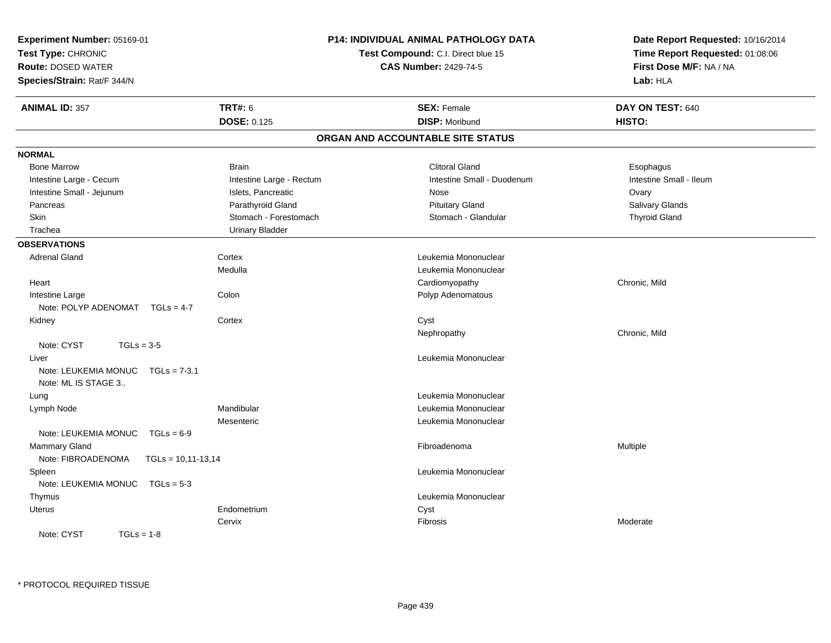| Experiment Number: 05169-01                                   |                          | <b>P14: INDIVIDUAL ANIMAL PATHOLOGY DATA</b>                       | Date Report Requested: 10/16/2014                          |  |
|---------------------------------------------------------------|--------------------------|--------------------------------------------------------------------|------------------------------------------------------------|--|
| Test Type: CHRONIC<br><b>Route: DOSED WATER</b>               |                          | Test Compound: C.I. Direct blue 15<br><b>CAS Number: 2429-74-5</b> | Time Report Requested: 01:08:06<br>First Dose M/F: NA / NA |  |
| Species/Strain: Rat/F 344/N                                   |                          |                                                                    | Lab: HLA                                                   |  |
| <b>ANIMAL ID: 357</b>                                         | <b>TRT#: 6</b>           | <b>SEX: Female</b>                                                 | DAY ON TEST: 640                                           |  |
|                                                               | <b>DOSE: 0.125</b>       | <b>DISP: Moribund</b>                                              | HISTO:                                                     |  |
|                                                               |                          | ORGAN AND ACCOUNTABLE SITE STATUS                                  |                                                            |  |
| <b>NORMAL</b>                                                 |                          |                                                                    |                                                            |  |
| <b>Bone Marrow</b>                                            | <b>Brain</b>             | <b>Clitoral Gland</b>                                              | Esophagus                                                  |  |
| Intestine Large - Cecum                                       | Intestine Large - Rectum | Intestine Small - Duodenum                                         | Intestine Small - Ileum                                    |  |
| Intestine Small - Jejunum                                     | Islets, Pancreatic       | Nose                                                               | Ovary                                                      |  |
| Pancreas                                                      | Parathyroid Gland        | <b>Pituitary Gland</b>                                             | <b>Salivary Glands</b>                                     |  |
| Skin                                                          | Stomach - Forestomach    | Stomach - Glandular                                                | <b>Thyroid Gland</b>                                       |  |
| Trachea                                                       | <b>Urinary Bladder</b>   |                                                                    |                                                            |  |
| <b>OBSERVATIONS</b>                                           |                          |                                                                    |                                                            |  |
| <b>Adrenal Gland</b>                                          | Cortex                   | Leukemia Mononuclear                                               |                                                            |  |
|                                                               | Medulla                  | Leukemia Mononuclear                                               |                                                            |  |
| Heart                                                         |                          | Cardiomyopathy                                                     | Chronic, Mild                                              |  |
| Intestine Large                                               | Colon                    | Polyp Adenomatous                                                  |                                                            |  |
| Note: POLYP ADENOMAT TGLs = 4-7                               |                          |                                                                    |                                                            |  |
| Kidney                                                        | Cortex                   | Cyst                                                               |                                                            |  |
|                                                               |                          | Nephropathy                                                        | Chronic, Mild                                              |  |
| Note: CYST<br>$TGLs = 3-5$                                    |                          |                                                                    |                                                            |  |
| Liver                                                         |                          | Leukemia Mononuclear                                               |                                                            |  |
| Note: LEUKEMIA MONUC<br>$TGLs = 7-3.1$<br>Note: ML IS STAGE 3 |                          |                                                                    |                                                            |  |
| Lung                                                          |                          | Leukemia Mononuclear                                               |                                                            |  |
| Lymph Node                                                    | Mandibular               | Leukemia Mononuclear                                               |                                                            |  |
|                                                               | Mesenteric               | Leukemia Mononuclear                                               |                                                            |  |
| Note: LEUKEMIA MONUC<br>$TGLs = 6-9$                          |                          |                                                                    |                                                            |  |
| <b>Mammary Gland</b>                                          |                          | Fibroadenoma                                                       | Multiple                                                   |  |
| Note: FIBROADENOMA<br>$TGLs = 10,11-13,14$                    |                          |                                                                    |                                                            |  |
| Spleen                                                        |                          | Leukemia Mononuclear                                               |                                                            |  |
| Note: LEUKEMIA MONUC<br>$TGLs = 5-3$                          |                          |                                                                    |                                                            |  |
| Thymus                                                        |                          | Leukemia Mononuclear                                               |                                                            |  |
| Uterus                                                        | Endometrium              | Cyst                                                               |                                                            |  |
|                                                               | Cervix                   | Fibrosis                                                           | Moderate                                                   |  |
| Note: CYST<br>$TGLs = 1-8$                                    |                          |                                                                    |                                                            |  |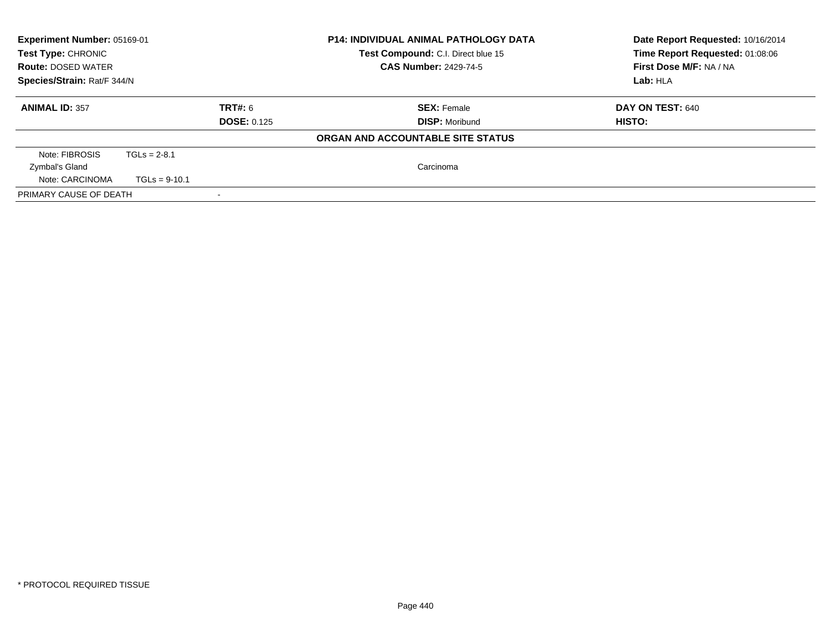| <b>Experiment Number: 05169-01</b><br>Test Type: CHRONIC<br><b>Route: DOSED WATER</b><br>Species/Strain: Rat/F 344/N |                 |                               | <b>P14: INDIVIDUAL ANIMAL PATHOLOGY DATA</b><br>Test Compound: C.I. Direct blue 15<br><b>CAS Number: 2429-74-5</b> | Date Report Requested: 10/16/2014<br>Time Report Requested: 01:08:06<br>First Dose M/F: NA / NA<br>Lab: HLA |
|----------------------------------------------------------------------------------------------------------------------|-----------------|-------------------------------|--------------------------------------------------------------------------------------------------------------------|-------------------------------------------------------------------------------------------------------------|
| <b>ANIMAL ID: 357</b>                                                                                                |                 | TRT#: 6<br><b>DOSE: 0.125</b> | <b>SEX:</b> Female<br><b>DISP:</b> Moribund                                                                        | <b>DAY ON TEST: 640</b><br>HISTO:                                                                           |
|                                                                                                                      |                 |                               | ORGAN AND ACCOUNTABLE SITE STATUS                                                                                  |                                                                                                             |
| Note: FIBROSIS                                                                                                       | $TGLs = 2-8.1$  |                               |                                                                                                                    |                                                                                                             |
| Zymbal's Gland                                                                                                       |                 |                               | Carcinoma                                                                                                          |                                                                                                             |
| Note: CARCINOMA                                                                                                      | $TGLs = 9-10.1$ |                               |                                                                                                                    |                                                                                                             |
| PRIMARY CAUSE OF DEATH                                                                                               |                 |                               |                                                                                                                    |                                                                                                             |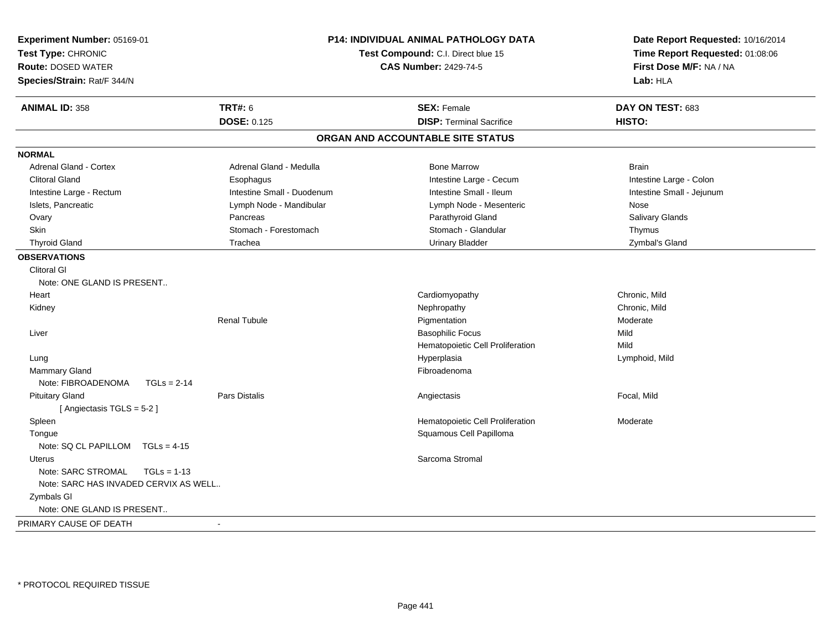| Test Type: CHRONIC<br><b>Route: DOSED WATER</b><br>Species/Strain: Rat/F 344/N | Test Compound: C.I. Direct blue 15<br><b>CAS Number: 2429-74-5</b> | Date Report Requested: 10/16/2014<br>Time Report Requested: 01:08:06<br>First Dose M/F: NA / NA<br>Lab: HLA |
|--------------------------------------------------------------------------------|--------------------------------------------------------------------|-------------------------------------------------------------------------------------------------------------|
| <b>TRT#: 6</b><br><b>ANIMAL ID: 358</b>                                        | <b>SEX: Female</b>                                                 | DAY ON TEST: 683                                                                                            |
| <b>DOSE: 0.125</b>                                                             | <b>DISP: Terminal Sacrifice</b>                                    | HISTO:                                                                                                      |
|                                                                                | ORGAN AND ACCOUNTABLE SITE STATUS                                  |                                                                                                             |
| <b>NORMAL</b>                                                                  |                                                                    |                                                                                                             |
| <b>Adrenal Gland - Cortex</b><br>Adrenal Gland - Medulla                       | <b>Bone Marrow</b>                                                 | <b>Brain</b>                                                                                                |
| <b>Clitoral Gland</b><br>Esophagus                                             | Intestine Large - Cecum                                            | Intestine Large - Colon                                                                                     |
| Intestine Large - Rectum<br>Intestine Small - Duodenum                         | Intestine Small - Ileum                                            | Intestine Small - Jejunum                                                                                   |
| Islets, Pancreatic<br>Lymph Node - Mandibular                                  | Lymph Node - Mesenteric                                            | Nose                                                                                                        |
| Ovary<br>Pancreas                                                              | Parathyroid Gland                                                  | Salivary Glands                                                                                             |
| <b>Skin</b><br>Stomach - Forestomach                                           | Stomach - Glandular                                                | Thymus                                                                                                      |
| <b>Thyroid Gland</b><br>Trachea                                                | <b>Urinary Bladder</b>                                             | Zymbal's Gland                                                                                              |
| <b>OBSERVATIONS</b>                                                            |                                                                    |                                                                                                             |
| <b>Clitoral GI</b>                                                             |                                                                    |                                                                                                             |
| Note: ONE GLAND IS PRESENT                                                     |                                                                    |                                                                                                             |
| Heart                                                                          | Cardiomyopathy                                                     | Chronic, Mild                                                                                               |
| Kidney                                                                         | Nephropathy                                                        | Chronic, Mild                                                                                               |
| Renal Tubule                                                                   | Pigmentation                                                       | Moderate                                                                                                    |
| Liver                                                                          | <b>Basophilic Focus</b>                                            | Mild                                                                                                        |
|                                                                                | Hematopoietic Cell Proliferation                                   | Mild                                                                                                        |
| Lung                                                                           | Hyperplasia                                                        | Lymphoid, Mild                                                                                              |
| Mammary Gland                                                                  | Fibroadenoma                                                       |                                                                                                             |
| Note: FIBROADENOMA<br>$TGLs = 2-14$                                            |                                                                    |                                                                                                             |
| <b>Pituitary Gland</b><br><b>Pars Distalis</b>                                 | Angiectasis                                                        | Focal, Mild                                                                                                 |
| [Angiectasis TGLS = 5-2]                                                       |                                                                    |                                                                                                             |
| Spleen                                                                         | Hematopoietic Cell Proliferation                                   | Moderate                                                                                                    |
| Tongue                                                                         | Squamous Cell Papilloma                                            |                                                                                                             |
| Note: $SQ CL PAPILLOM TGLS = 4-15$                                             |                                                                    |                                                                                                             |
| Uterus                                                                         | Sarcoma Stromal                                                    |                                                                                                             |
| Note: SARC STROMAL<br>$TGLs = 1-13$                                            |                                                                    |                                                                                                             |
| Note: SARC HAS INVADED CERVIX AS WELL                                          |                                                                    |                                                                                                             |
| Zymbals GI                                                                     |                                                                    |                                                                                                             |
| Note: ONE GLAND IS PRESENT                                                     |                                                                    |                                                                                                             |
| PRIMARY CAUSE OF DEATH<br>$\overline{\phantom{a}}$                             |                                                                    |                                                                                                             |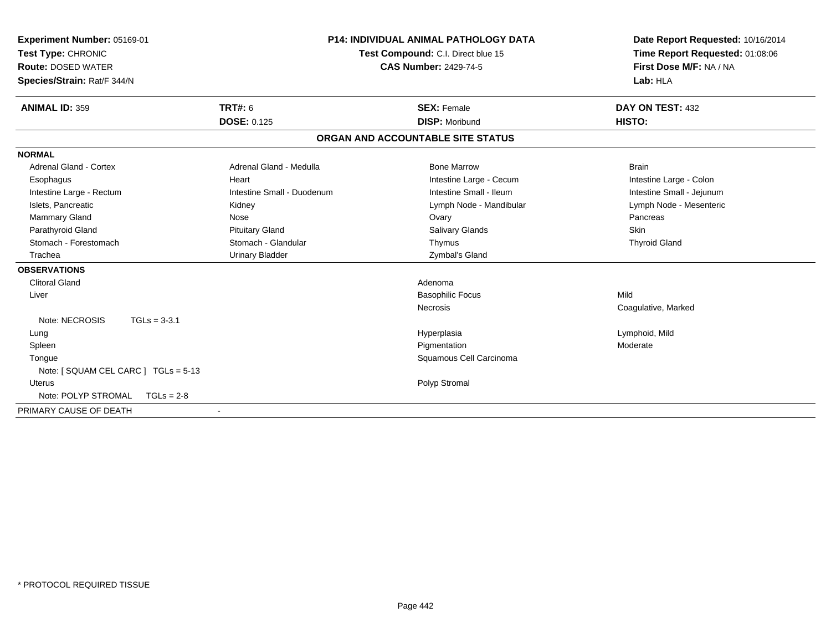| Experiment Number: 05169-01<br>Test Type: CHRONIC<br><b>Route: DOSED WATER</b><br>Species/Strain: Rat/F 344/N |                            | P14: INDIVIDUAL ANIMAL PATHOLOGY DATA<br>Test Compound: C.I. Direct blue 15<br><b>CAS Number: 2429-74-5</b> | Date Report Requested: 10/16/2014<br>Time Report Requested: 01:08:06<br>First Dose M/F: NA / NA<br>Lab: HLA |
|---------------------------------------------------------------------------------------------------------------|----------------------------|-------------------------------------------------------------------------------------------------------------|-------------------------------------------------------------------------------------------------------------|
| <b>ANIMAL ID: 359</b>                                                                                         | <b>TRT#: 6</b>             | <b>SEX: Female</b>                                                                                          | DAY ON TEST: 432                                                                                            |
|                                                                                                               | <b>DOSE: 0.125</b>         | <b>DISP: Moribund</b>                                                                                       | HISTO:                                                                                                      |
|                                                                                                               |                            | ORGAN AND ACCOUNTABLE SITE STATUS                                                                           |                                                                                                             |
| <b>NORMAL</b>                                                                                                 |                            |                                                                                                             |                                                                                                             |
| <b>Adrenal Gland - Cortex</b>                                                                                 | Adrenal Gland - Medulla    | <b>Bone Marrow</b>                                                                                          | <b>Brain</b>                                                                                                |
| Esophagus                                                                                                     | Heart                      | Intestine Large - Cecum                                                                                     | Intestine Large - Colon                                                                                     |
| Intestine Large - Rectum                                                                                      | Intestine Small - Duodenum | Intestine Small - Ileum                                                                                     | Intestine Small - Jejunum                                                                                   |
| Islets, Pancreatic                                                                                            | Kidney                     | Lymph Node - Mandibular                                                                                     | Lymph Node - Mesenteric                                                                                     |
| Mammary Gland                                                                                                 | Nose                       | Ovary                                                                                                       | Pancreas                                                                                                    |
| Parathyroid Gland                                                                                             | <b>Pituitary Gland</b>     | <b>Salivary Glands</b>                                                                                      | Skin                                                                                                        |
| Stomach - Forestomach                                                                                         | Stomach - Glandular        | Thymus                                                                                                      | <b>Thyroid Gland</b>                                                                                        |
| Trachea                                                                                                       | <b>Urinary Bladder</b>     | Zymbal's Gland                                                                                              |                                                                                                             |
| <b>OBSERVATIONS</b>                                                                                           |                            |                                                                                                             |                                                                                                             |
| <b>Clitoral Gland</b>                                                                                         |                            | Adenoma                                                                                                     |                                                                                                             |
| Liver                                                                                                         |                            | <b>Basophilic Focus</b>                                                                                     | Mild                                                                                                        |
|                                                                                                               |                            | <b>Necrosis</b>                                                                                             | Coagulative, Marked                                                                                         |
| Note: NECROSIS<br>$TGLs = 3-3.1$                                                                              |                            |                                                                                                             |                                                                                                             |
| Lung                                                                                                          |                            | Hyperplasia                                                                                                 | Lymphoid, Mild                                                                                              |
| Spleen                                                                                                        |                            | Pigmentation                                                                                                | Moderate                                                                                                    |
| Tongue                                                                                                        |                            | Squamous Cell Carcinoma                                                                                     |                                                                                                             |
| Note: [ SQUAM CEL CARC ] TGLs = 5-13                                                                          |                            |                                                                                                             |                                                                                                             |
| Uterus                                                                                                        |                            | Polyp Stromal                                                                                               |                                                                                                             |
| Note: POLYP STROMAL<br>$TGLs = 2-8$                                                                           |                            |                                                                                                             |                                                                                                             |
| PRIMARY CAUSE OF DEATH                                                                                        | $\blacksquare$             |                                                                                                             |                                                                                                             |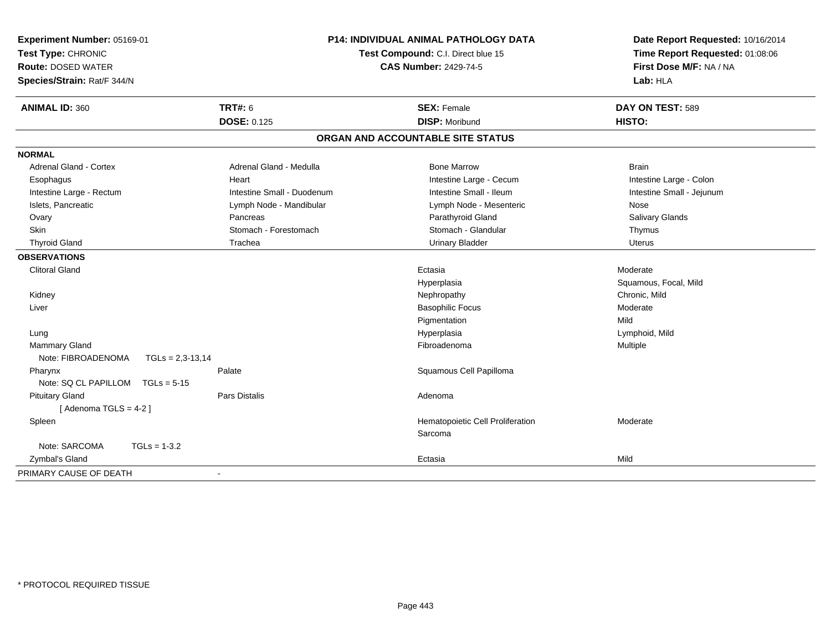| Experiment Number: 05169-01<br>Test Type: CHRONIC<br><b>Route: DOSED WATER</b><br>Species/Strain: Rat/F 344/N |                            | P14: INDIVIDUAL ANIMAL PATHOLOGY DATA<br>Test Compound: C.I. Direct blue 15<br><b>CAS Number: 2429-74-5</b> | Date Report Requested: 10/16/2014<br>Time Report Requested: 01:08:06<br>First Dose M/F: NA / NA<br>Lab: HLA |
|---------------------------------------------------------------------------------------------------------------|----------------------------|-------------------------------------------------------------------------------------------------------------|-------------------------------------------------------------------------------------------------------------|
| <b>ANIMAL ID: 360</b>                                                                                         | <b>TRT#: 6</b>             | <b>SEX: Female</b>                                                                                          | DAY ON TEST: 589                                                                                            |
|                                                                                                               | <b>DOSE: 0.125</b>         | <b>DISP: Moribund</b>                                                                                       | HISTO:                                                                                                      |
|                                                                                                               |                            | ORGAN AND ACCOUNTABLE SITE STATUS                                                                           |                                                                                                             |
| <b>NORMAL</b>                                                                                                 |                            |                                                                                                             |                                                                                                             |
| <b>Adrenal Gland - Cortex</b>                                                                                 | Adrenal Gland - Medulla    | <b>Bone Marrow</b>                                                                                          | <b>Brain</b>                                                                                                |
| Esophagus                                                                                                     | Heart                      | Intestine Large - Cecum                                                                                     | Intestine Large - Colon                                                                                     |
| Intestine Large - Rectum                                                                                      | Intestine Small - Duodenum | Intestine Small - Ileum                                                                                     | Intestine Small - Jejunum                                                                                   |
| Islets, Pancreatic                                                                                            | Lymph Node - Mandibular    | Lymph Node - Mesenteric                                                                                     | Nose                                                                                                        |
| Ovary                                                                                                         | Pancreas                   | Parathyroid Gland                                                                                           | Salivary Glands                                                                                             |
| Skin                                                                                                          | Stomach - Forestomach      | Stomach - Glandular                                                                                         | Thymus                                                                                                      |
| <b>Thyroid Gland</b>                                                                                          | Trachea                    | <b>Urinary Bladder</b>                                                                                      | Uterus                                                                                                      |
| <b>OBSERVATIONS</b>                                                                                           |                            |                                                                                                             |                                                                                                             |
| <b>Clitoral Gland</b>                                                                                         |                            | Ectasia                                                                                                     | Moderate                                                                                                    |
|                                                                                                               |                            | Hyperplasia                                                                                                 | Squamous, Focal, Mild                                                                                       |
| Kidney                                                                                                        |                            | Nephropathy                                                                                                 | Chronic, Mild                                                                                               |
| Liver                                                                                                         |                            | <b>Basophilic Focus</b>                                                                                     | Moderate                                                                                                    |
|                                                                                                               |                            | Pigmentation                                                                                                | Mild                                                                                                        |
| Lung                                                                                                          |                            | Hyperplasia                                                                                                 | Lymphoid, Mild                                                                                              |
| <b>Mammary Gland</b>                                                                                          |                            | Fibroadenoma                                                                                                | Multiple                                                                                                    |
| Note: FIBROADENOMA<br>$TGLs = 2,3-13,14$                                                                      |                            |                                                                                                             |                                                                                                             |
| Pharynx                                                                                                       | Palate                     | Squamous Cell Papilloma                                                                                     |                                                                                                             |
| Note: SQ CL PAPILLOM<br>$TGLs = 5-15$                                                                         |                            |                                                                                                             |                                                                                                             |
| <b>Pituitary Gland</b>                                                                                        | <b>Pars Distalis</b>       | Adenoma                                                                                                     |                                                                                                             |
| [Adenoma TGLS = $4-2$ ]                                                                                       |                            |                                                                                                             |                                                                                                             |
| Spleen                                                                                                        |                            | Hematopoietic Cell Proliferation                                                                            | Moderate                                                                                                    |
|                                                                                                               |                            | Sarcoma                                                                                                     |                                                                                                             |
| Note: SARCOMA<br>$TGLs = 1-3.2$                                                                               |                            |                                                                                                             |                                                                                                             |
| Zymbal's Gland                                                                                                |                            | Ectasia                                                                                                     | Mild                                                                                                        |
| PRIMARY CAUSE OF DEATH                                                                                        |                            |                                                                                                             |                                                                                                             |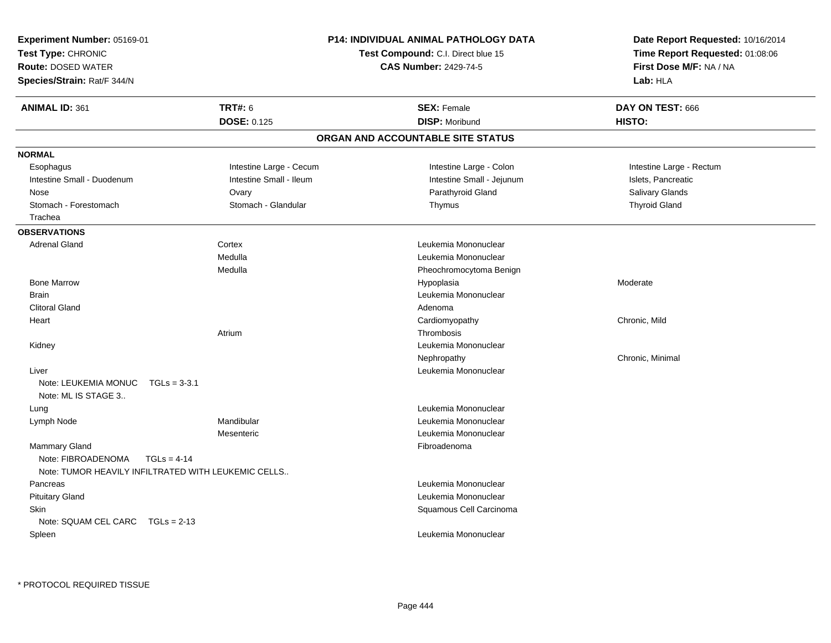| <b>Experiment Number: 05169-01</b><br>Test Type: CHRONIC<br><b>Route: DOSED WATER</b><br>Species/Strain: Rat/F 344/N |                                                                      | <b>P14: INDIVIDUAL ANIMAL PATHOLOGY DATA</b><br>Test Compound: C.I. Direct blue 15<br><b>CAS Number: 2429-74-5</b> | Date Report Requested: 10/16/2014<br>Time Report Requested: 01:08:06<br>First Dose M/F: NA / NA<br>Lab: HLA |
|----------------------------------------------------------------------------------------------------------------------|----------------------------------------------------------------------|--------------------------------------------------------------------------------------------------------------------|-------------------------------------------------------------------------------------------------------------|
| <b>ANIMAL ID: 361</b>                                                                                                | <b>TRT#: 6</b><br><b>DOSE: 0.125</b>                                 | <b>SEX: Female</b><br><b>DISP: Moribund</b>                                                                        | DAY ON TEST: 666<br>HISTO:                                                                                  |
|                                                                                                                      |                                                                      | ORGAN AND ACCOUNTABLE SITE STATUS                                                                                  |                                                                                                             |
| <b>NORMAL</b>                                                                                                        |                                                                      |                                                                                                                    |                                                                                                             |
| Esophagus                                                                                                            | Intestine Large - Cecum                                              | Intestine Large - Colon                                                                                            | Intestine Large - Rectum                                                                                    |
| Intestine Small - Duodenum                                                                                           | Intestine Small - Ileum                                              | Intestine Small - Jejunum                                                                                          | Islets, Pancreatic                                                                                          |
| Nose                                                                                                                 | Ovary                                                                | Parathyroid Gland                                                                                                  | Salivary Glands                                                                                             |
| Stomach - Forestomach                                                                                                | Stomach - Glandular                                                  | Thymus                                                                                                             | <b>Thyroid Gland</b>                                                                                        |
| Trachea                                                                                                              |                                                                      |                                                                                                                    |                                                                                                             |
| <b>OBSERVATIONS</b>                                                                                                  |                                                                      |                                                                                                                    |                                                                                                             |
| <b>Adrenal Gland</b>                                                                                                 | Cortex                                                               | Leukemia Mononuclear                                                                                               |                                                                                                             |
|                                                                                                                      | Medulla                                                              | Leukemia Mononuclear                                                                                               |                                                                                                             |
|                                                                                                                      | Medulla                                                              | Pheochromocytoma Benign                                                                                            |                                                                                                             |
| <b>Bone Marrow</b>                                                                                                   |                                                                      | Hypoplasia                                                                                                         | Moderate                                                                                                    |
| <b>Brain</b>                                                                                                         |                                                                      | Leukemia Mononuclear                                                                                               |                                                                                                             |
| <b>Clitoral Gland</b>                                                                                                |                                                                      | Adenoma                                                                                                            |                                                                                                             |
| Heart                                                                                                                |                                                                      | Cardiomyopathy                                                                                                     | Chronic, Mild                                                                                               |
|                                                                                                                      | Atrium                                                               | Thrombosis                                                                                                         |                                                                                                             |
| Kidney                                                                                                               |                                                                      | Leukemia Mononuclear                                                                                               |                                                                                                             |
|                                                                                                                      |                                                                      | Nephropathy                                                                                                        | Chronic, Minimal                                                                                            |
| Liver                                                                                                                |                                                                      | Leukemia Mononuclear                                                                                               |                                                                                                             |
| Note: LEUKEMIA MONUC                                                                                                 | $TGLs = 3-3.1$                                                       |                                                                                                                    |                                                                                                             |
| Note: ML IS STAGE 3                                                                                                  |                                                                      |                                                                                                                    |                                                                                                             |
| Lung                                                                                                                 |                                                                      | Leukemia Mononuclear                                                                                               |                                                                                                             |
| Lymph Node                                                                                                           | Mandibular                                                           | Leukemia Mononuclear                                                                                               |                                                                                                             |
|                                                                                                                      | Mesenteric                                                           | Leukemia Mononuclear                                                                                               |                                                                                                             |
| Mammary Gland                                                                                                        |                                                                      | Fibroadenoma                                                                                                       |                                                                                                             |
| Note: FIBROADENOMA                                                                                                   | $TGLs = 4-14$<br>Note: TUMOR HEAVILY INFILTRATED WITH LEUKEMIC CELLS |                                                                                                                    |                                                                                                             |
| Pancreas                                                                                                             |                                                                      | Leukemia Mononuclear                                                                                               |                                                                                                             |
| <b>Pituitary Gland</b>                                                                                               |                                                                      | Leukemia Mononuclear                                                                                               |                                                                                                             |
| Skin                                                                                                                 |                                                                      | Squamous Cell Carcinoma                                                                                            |                                                                                                             |
| Note: SQUAM CEL CARC                                                                                                 | $TGLs = 2-13$                                                        |                                                                                                                    |                                                                                                             |
| Spleen                                                                                                               |                                                                      | Leukemia Mononuclear                                                                                               |                                                                                                             |
|                                                                                                                      |                                                                      |                                                                                                                    |                                                                                                             |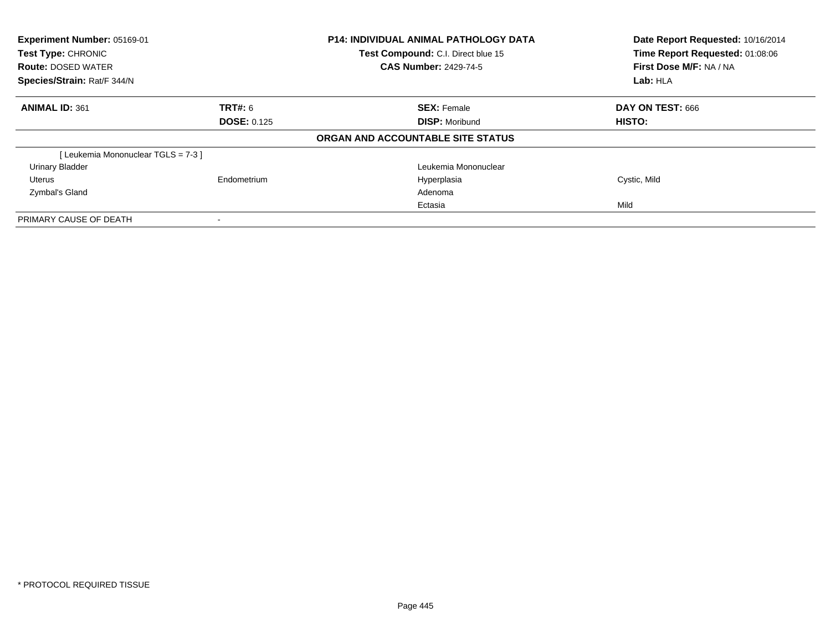| Experiment Number: 05169-01<br>Test Type: CHRONIC<br><b>Route: DOSED WATER</b><br>Species/Strain: Rat/F 344/N |                    | <b>P14: INDIVIDUAL ANIMAL PATHOLOGY DATA</b><br>Test Compound: C.I. Direct blue 15 | Date Report Requested: 10/16/2014<br>Time Report Requested: 01:08:06 |
|---------------------------------------------------------------------------------------------------------------|--------------------|------------------------------------------------------------------------------------|----------------------------------------------------------------------|
|                                                                                                               |                    | <b>CAS Number: 2429-74-5</b>                                                       | First Dose M/F: NA / NA                                              |
|                                                                                                               |                    |                                                                                    | Lab: HLA                                                             |
| <b>ANIMAL ID: 361</b>                                                                                         | <b>TRT#: 6</b>     | <b>SEX: Female</b>                                                                 | DAY ON TEST: 666                                                     |
|                                                                                                               | <b>DOSE: 0.125</b> | <b>DISP: Moribund</b>                                                              | HISTO:                                                               |
|                                                                                                               |                    | ORGAN AND ACCOUNTABLE SITE STATUS                                                  |                                                                      |
| [Leukemia Mononuclear TGLS = 7-3]                                                                             |                    |                                                                                    |                                                                      |
| <b>Urinary Bladder</b>                                                                                        |                    | Leukemia Mononuclear                                                               |                                                                      |
| Uterus                                                                                                        | Endometrium        | Hyperplasia                                                                        | Cystic, Mild                                                         |
| Zymbal's Gland                                                                                                |                    | Adenoma                                                                            |                                                                      |
|                                                                                                               |                    | Ectasia                                                                            | Mild                                                                 |
| PRIMARY CAUSE OF DEATH                                                                                        |                    |                                                                                    |                                                                      |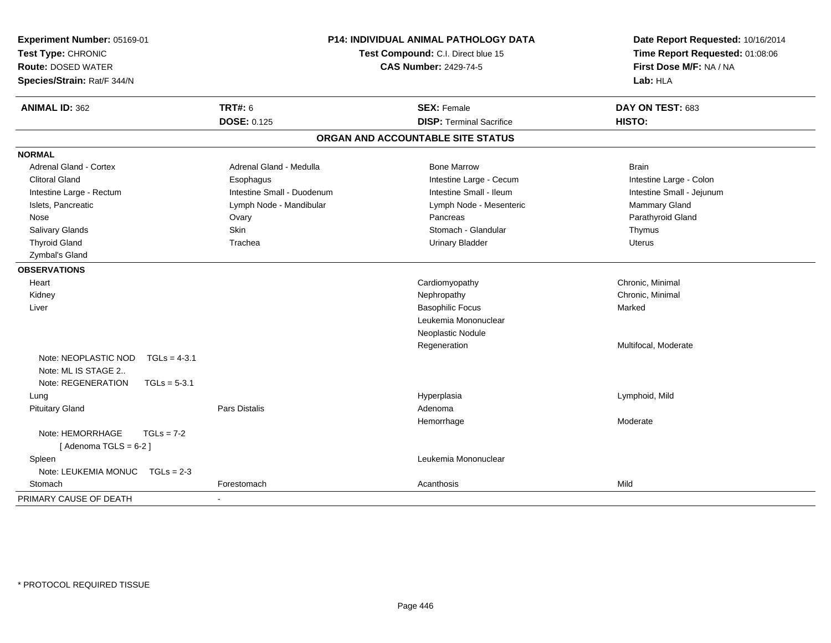| Experiment Number: 05169-01<br>Test Type: CHRONIC<br><b>Route: DOSED WATER</b><br>Species/Strain: Rat/F 344/N | <b>P14: INDIVIDUAL ANIMAL PATHOLOGY DATA</b><br>Test Compound: C.I. Direct blue 15<br><b>CAS Number: 2429-74-5</b> |                                   | Date Report Requested: 10/16/2014<br>Time Report Requested: 01:08:06<br>First Dose M/F: NA / NA<br>Lab: HLA |
|---------------------------------------------------------------------------------------------------------------|--------------------------------------------------------------------------------------------------------------------|-----------------------------------|-------------------------------------------------------------------------------------------------------------|
| <b>ANIMAL ID: 362</b>                                                                                         | <b>TRT#: 6</b>                                                                                                     | <b>SEX: Female</b>                | DAY ON TEST: 683                                                                                            |
|                                                                                                               | <b>DOSE: 0.125</b>                                                                                                 | <b>DISP: Terminal Sacrifice</b>   | HISTO:                                                                                                      |
|                                                                                                               |                                                                                                                    | ORGAN AND ACCOUNTABLE SITE STATUS |                                                                                                             |
| <b>NORMAL</b>                                                                                                 |                                                                                                                    |                                   |                                                                                                             |
| Adrenal Gland - Cortex                                                                                        | Adrenal Gland - Medulla                                                                                            | <b>Bone Marrow</b>                | <b>Brain</b>                                                                                                |
| <b>Clitoral Gland</b>                                                                                         | Esophagus                                                                                                          | Intestine Large - Cecum           | Intestine Large - Colon                                                                                     |
| Intestine Large - Rectum                                                                                      | Intestine Small - Duodenum                                                                                         | Intestine Small - Ileum           | Intestine Small - Jejunum                                                                                   |
| Islets, Pancreatic                                                                                            | Lymph Node - Mandibular                                                                                            | Lymph Node - Mesenteric           | Mammary Gland                                                                                               |
| Nose                                                                                                          | Ovary                                                                                                              | Pancreas                          | Parathyroid Gland                                                                                           |
| Salivary Glands                                                                                               | Skin                                                                                                               | Stomach - Glandular               | Thymus                                                                                                      |
| <b>Thyroid Gland</b>                                                                                          | Trachea                                                                                                            | <b>Urinary Bladder</b>            | <b>Uterus</b>                                                                                               |
| Zymbal's Gland                                                                                                |                                                                                                                    |                                   |                                                                                                             |
| <b>OBSERVATIONS</b>                                                                                           |                                                                                                                    |                                   |                                                                                                             |
| Heart                                                                                                         |                                                                                                                    | Cardiomyopathy                    | Chronic, Minimal                                                                                            |
| Kidney                                                                                                        |                                                                                                                    | Nephropathy                       | Chronic, Minimal                                                                                            |
| Liver                                                                                                         |                                                                                                                    | <b>Basophilic Focus</b>           | Marked                                                                                                      |
|                                                                                                               |                                                                                                                    | Leukemia Mononuclear              |                                                                                                             |
|                                                                                                               |                                                                                                                    | Neoplastic Nodule                 |                                                                                                             |
|                                                                                                               |                                                                                                                    | Regeneration                      | Multifocal, Moderate                                                                                        |
| Note: NEOPLASTIC NOD<br>$TGLs = 4-3.1$<br>Note: ML IS STAGE 2                                                 |                                                                                                                    |                                   |                                                                                                             |
| Note: REGENERATION                                                                                            |                                                                                                                    |                                   |                                                                                                             |
| $TGLs = 5-3.1$                                                                                                |                                                                                                                    |                                   |                                                                                                             |
| Lung<br><b>Pituitary Gland</b>                                                                                | <b>Pars Distalis</b>                                                                                               | Hyperplasia<br>Adenoma            | Lymphoid, Mild                                                                                              |
|                                                                                                               |                                                                                                                    | Hemorrhage                        | Moderate                                                                                                    |
| Note: HEMORRHAGE<br>$TGLs = 7-2$<br>[Adenoma TGLS = $6-2$ ]                                                   |                                                                                                                    |                                   |                                                                                                             |
| Spleen                                                                                                        |                                                                                                                    | Leukemia Mononuclear              |                                                                                                             |
| Note: LEUKEMIA MONUC<br>$TGLs = 2-3$                                                                          |                                                                                                                    |                                   |                                                                                                             |
| Stomach                                                                                                       | Forestomach                                                                                                        | Acanthosis                        | Mild                                                                                                        |
| PRIMARY CAUSE OF DEATH                                                                                        |                                                                                                                    |                                   |                                                                                                             |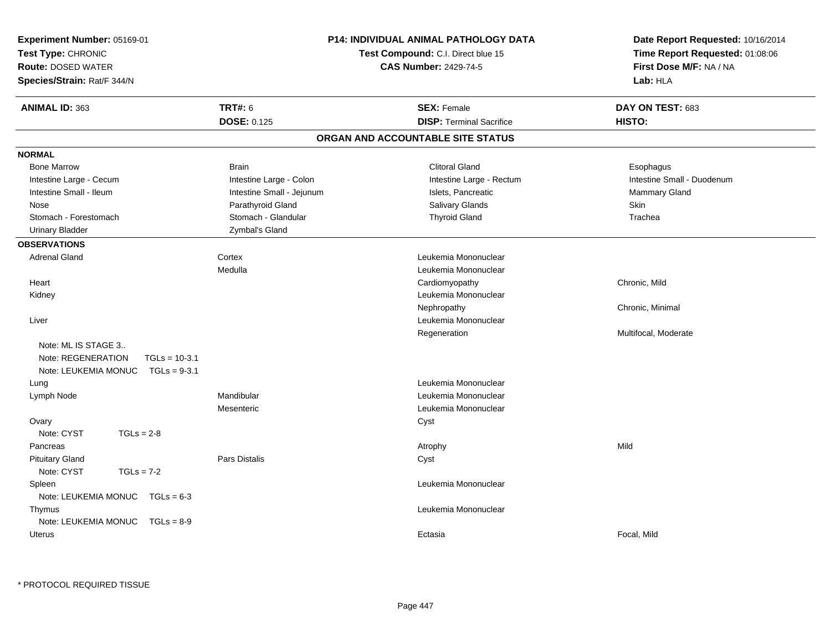| Experiment Number: 05169-01<br>Test Type: CHRONIC<br><b>Route: DOSED WATER</b><br>Species/Strain: Rat/F 344/N | P14: INDIVIDUAL ANIMAL PATHOLOGY DATA<br>Test Compound: C.I. Direct blue 15<br><b>CAS Number: 2429-74-5</b> | Date Report Requested: 10/16/2014<br>Time Report Requested: 01:08:06<br>First Dose M/F: NA / NA<br>Lab: HLA |
|---------------------------------------------------------------------------------------------------------------|-------------------------------------------------------------------------------------------------------------|-------------------------------------------------------------------------------------------------------------|
| <b>TRT#: 6</b><br><b>ANIMAL ID: 363</b>                                                                       | <b>SEX: Female</b>                                                                                          | DAY ON TEST: 683                                                                                            |
| <b>DOSE: 0.125</b>                                                                                            | <b>DISP: Terminal Sacrifice</b>                                                                             | HISTO:                                                                                                      |
|                                                                                                               | ORGAN AND ACCOUNTABLE SITE STATUS                                                                           |                                                                                                             |
| <b>NORMAL</b>                                                                                                 |                                                                                                             |                                                                                                             |
| <b>Bone Marrow</b><br><b>Brain</b>                                                                            | <b>Clitoral Gland</b>                                                                                       | Esophagus                                                                                                   |
| Intestine Large - Cecum                                                                                       | Intestine Large - Colon<br>Intestine Large - Rectum                                                         | Intestine Small - Duodenum                                                                                  |
| Intestine Small - Ileum                                                                                       | Intestine Small - Jejunum<br>Islets, Pancreatic                                                             | Mammary Gland                                                                                               |
| Nose                                                                                                          | Parathyroid Gland<br><b>Salivary Glands</b>                                                                 | <b>Skin</b>                                                                                                 |
| Stomach - Forestomach                                                                                         | Stomach - Glandular<br><b>Thyroid Gland</b>                                                                 | Trachea                                                                                                     |
| <b>Urinary Bladder</b>                                                                                        | Zymbal's Gland                                                                                              |                                                                                                             |
| <b>OBSERVATIONS</b>                                                                                           |                                                                                                             |                                                                                                             |
| Cortex<br><b>Adrenal Gland</b>                                                                                | Leukemia Mononuclear                                                                                        |                                                                                                             |
| Medulla                                                                                                       | Leukemia Mononuclear                                                                                        |                                                                                                             |
| Heart                                                                                                         | Cardiomyopathy                                                                                              | Chronic, Mild                                                                                               |
| Kidney                                                                                                        | Leukemia Mononuclear                                                                                        |                                                                                                             |
|                                                                                                               | Nephropathy                                                                                                 | Chronic, Minimal                                                                                            |
| Liver                                                                                                         | Leukemia Mononuclear                                                                                        |                                                                                                             |
| Note: ML IS STAGE 3<br>Note: REGENERATION<br>$TGLs = 10-3.1$<br>Note: LEUKEMIA MONUC<br>$TGLs = 9-3.1$        | Regeneration                                                                                                | Multifocal, Moderate                                                                                        |
| Lung                                                                                                          | Leukemia Mononuclear                                                                                        |                                                                                                             |
| Mandibular<br>Lymph Node                                                                                      | Leukemia Mononuclear                                                                                        |                                                                                                             |
| Mesenteric                                                                                                    | Leukemia Mononuclear                                                                                        |                                                                                                             |
| Ovary<br>Note: CYST<br>$TGLs = 2-8$                                                                           | Cyst                                                                                                        |                                                                                                             |
| Pancreas                                                                                                      | Atrophy                                                                                                     | Mild                                                                                                        |
| <b>Pituitary Gland</b><br>Pars Distalis                                                                       | Cyst                                                                                                        |                                                                                                             |
| Note: CYST<br>$TGLs = 7-2$                                                                                    |                                                                                                             |                                                                                                             |
| Spleen                                                                                                        | Leukemia Mononuclear                                                                                        |                                                                                                             |
| Note: LEUKEMIA MONUC TGLs = 6-3                                                                               |                                                                                                             |                                                                                                             |
| Thymus                                                                                                        | Leukemia Mononuclear                                                                                        |                                                                                                             |
| Note: LEUKEMIA MONUC TGLs = 8-9                                                                               |                                                                                                             |                                                                                                             |
| <b>Uterus</b>                                                                                                 | Ectasia                                                                                                     | Focal, Mild                                                                                                 |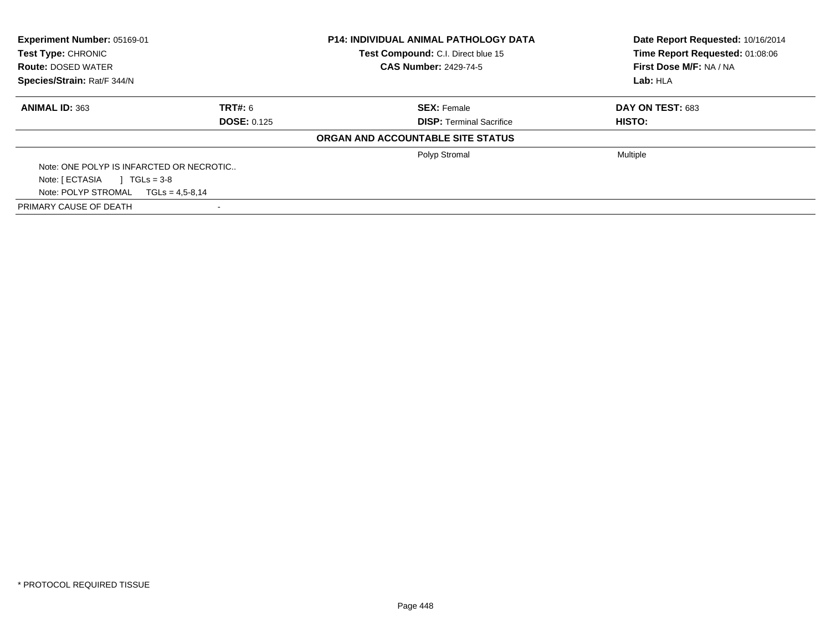| Experiment Number: 05169-01<br>Test Type: CHRONIC |                     | <b>P14: INDIVIDUAL ANIMAL PATHOLOGY DATA</b><br>Test Compound: C.I. Direct blue 15 | Date Report Requested: 10/16/2014<br>Time Report Requested: 01:08:06 |  |
|---------------------------------------------------|---------------------|------------------------------------------------------------------------------------|----------------------------------------------------------------------|--|
| <b>Route: DOSED WATER</b>                         |                     | <b>CAS Number: 2429-74-5</b>                                                       | First Dose M/F: NA / NA                                              |  |
| Species/Strain: Rat/F 344/N                       |                     |                                                                                    | Lab: HLA                                                             |  |
| <b>ANIMAL ID: 363</b>                             | TRT#: 6             | <b>SEX: Female</b>                                                                 | <b>DAY ON TEST: 683</b>                                              |  |
|                                                   | <b>DOSE: 0.125</b>  | <b>DISP:</b> Terminal Sacrifice                                                    | <b>HISTO:</b>                                                        |  |
|                                                   |                     | ORGAN AND ACCOUNTABLE SITE STATUS                                                  |                                                                      |  |
|                                                   |                     | Polyp Stromal                                                                      | <b>Multiple</b>                                                      |  |
| Note: ONE POLYP IS INFARCTED OR NECROTIC          |                     |                                                                                    |                                                                      |  |
| Note: [ ECTASIA<br>$1 \text{ TGLs} = 3-8$         |                     |                                                                                    |                                                                      |  |
| Note: POLYP STROMAL                               | $TGLs = 4.5 - 8.14$ |                                                                                    |                                                                      |  |
| PRIMARY CAUSE OF DEATH                            |                     |                                                                                    |                                                                      |  |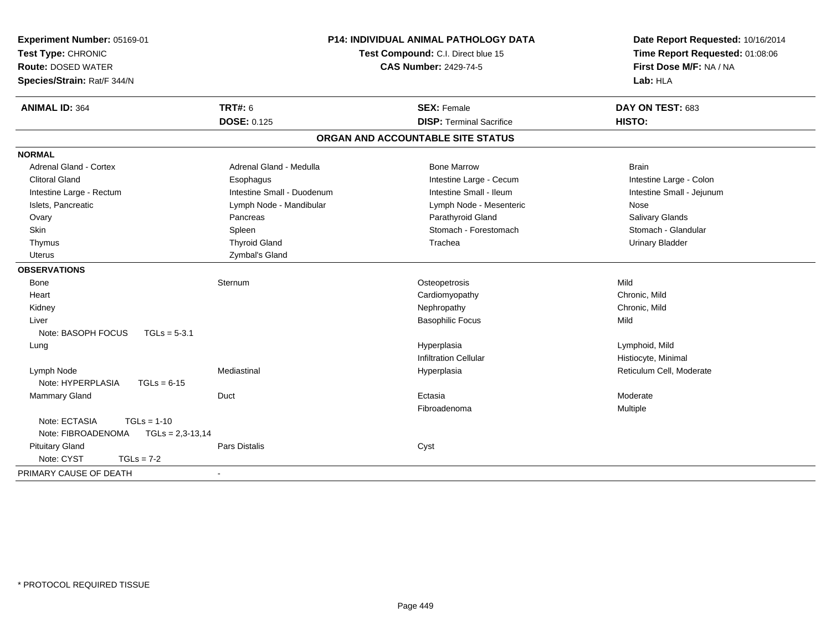| Experiment Number: 05169-01<br>Test Type: CHRONIC<br><b>Route: DOSED WATER</b><br>Species/Strain: Rat/F 344/N |                            | <b>P14: INDIVIDUAL ANIMAL PATHOLOGY DATA</b><br>Test Compound: C.I. Direct blue 15<br><b>CAS Number: 2429-74-5</b> | Date Report Requested: 10/16/2014<br>Time Report Requested: 01:08:06<br>First Dose M/F: NA / NA<br>Lab: HLA |
|---------------------------------------------------------------------------------------------------------------|----------------------------|--------------------------------------------------------------------------------------------------------------------|-------------------------------------------------------------------------------------------------------------|
| <b>ANIMAL ID: 364</b>                                                                                         | <b>TRT#: 6</b>             | <b>SEX: Female</b>                                                                                                 | DAY ON TEST: 683                                                                                            |
|                                                                                                               | <b>DOSE: 0.125</b>         | <b>DISP: Terminal Sacrifice</b>                                                                                    | HISTO:                                                                                                      |
|                                                                                                               |                            | ORGAN AND ACCOUNTABLE SITE STATUS                                                                                  |                                                                                                             |
| <b>NORMAL</b>                                                                                                 |                            |                                                                                                                    |                                                                                                             |
| Adrenal Gland - Cortex                                                                                        | Adrenal Gland - Medulla    | <b>Bone Marrow</b>                                                                                                 | <b>Brain</b>                                                                                                |
| <b>Clitoral Gland</b>                                                                                         | Esophagus                  | Intestine Large - Cecum                                                                                            | Intestine Large - Colon                                                                                     |
| Intestine Large - Rectum                                                                                      | Intestine Small - Duodenum | Intestine Small - Ileum                                                                                            | Intestine Small - Jejunum                                                                                   |
| Islets, Pancreatic                                                                                            | Lymph Node - Mandibular    | Lymph Node - Mesenteric                                                                                            | Nose                                                                                                        |
| Ovary                                                                                                         | Pancreas                   | Parathyroid Gland                                                                                                  | Salivary Glands                                                                                             |
| Skin                                                                                                          | Spleen                     | Stomach - Forestomach                                                                                              | Stomach - Glandular                                                                                         |
| Thymus                                                                                                        | <b>Thyroid Gland</b>       | Trachea                                                                                                            | <b>Urinary Bladder</b>                                                                                      |
| <b>Uterus</b>                                                                                                 | Zymbal's Gland             |                                                                                                                    |                                                                                                             |
| <b>OBSERVATIONS</b>                                                                                           |                            |                                                                                                                    |                                                                                                             |
| Bone                                                                                                          | Sternum                    | Osteopetrosis                                                                                                      | Mild                                                                                                        |
| Heart                                                                                                         |                            | Cardiomyopathy                                                                                                     | Chronic, Mild                                                                                               |
| Kidney                                                                                                        |                            | Nephropathy                                                                                                        | Chronic. Mild                                                                                               |
| Liver                                                                                                         |                            | <b>Basophilic Focus</b>                                                                                            | Mild                                                                                                        |
| Note: BASOPH FOCUS<br>$TGLs = 5-3.1$                                                                          |                            |                                                                                                                    |                                                                                                             |
| Lung                                                                                                          |                            | Hyperplasia                                                                                                        | Lymphoid, Mild                                                                                              |
|                                                                                                               |                            | <b>Infiltration Cellular</b>                                                                                       | Histiocyte, Minimal                                                                                         |
| Lymph Node                                                                                                    | Mediastinal                | Hyperplasia                                                                                                        | Reticulum Cell, Moderate                                                                                    |
| Note: HYPERPLASIA<br>$TGLs = 6-15$                                                                            |                            |                                                                                                                    |                                                                                                             |
| Mammary Gland                                                                                                 | Duct                       | Ectasia                                                                                                            | Moderate                                                                                                    |
|                                                                                                               |                            | Fibroadenoma                                                                                                       | Multiple                                                                                                    |
| Note: ECTASIA<br>$TGLs = 1-10$                                                                                |                            |                                                                                                                    |                                                                                                             |
| Note: FIBROADENOMA<br>$TGLs = 2,3-13,14$                                                                      |                            |                                                                                                                    |                                                                                                             |
| <b>Pituitary Gland</b>                                                                                        | Pars Distalis              | Cyst                                                                                                               |                                                                                                             |
| Note: CYST<br>$TGLs = 7-2$                                                                                    |                            |                                                                                                                    |                                                                                                             |
| PRIMARY CAUSE OF DEATH                                                                                        | $\blacksquare$             |                                                                                                                    |                                                                                                             |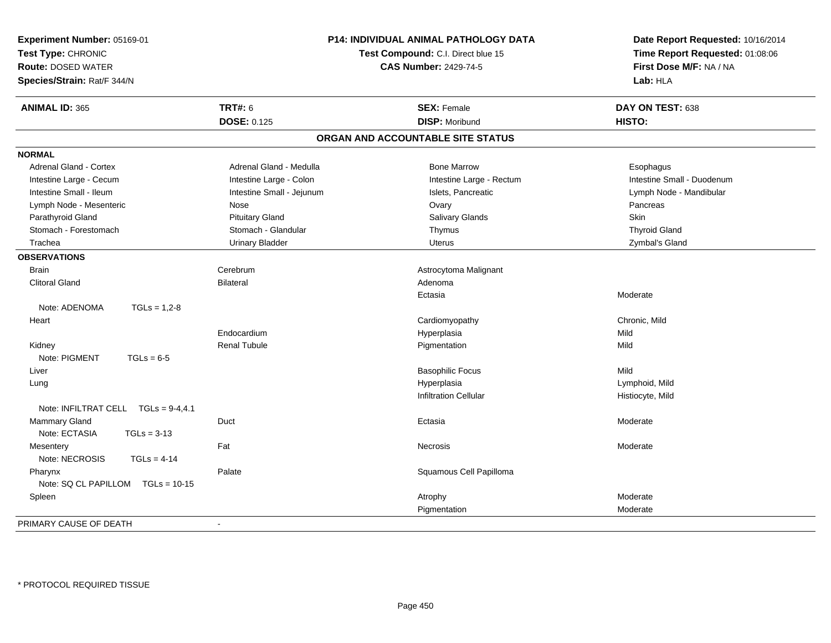| Experiment Number: 05169-01<br>Test Type: CHRONIC<br><b>Route: DOSED WATER</b><br>Species/Strain: Rat/F 344/N | P14: INDIVIDUAL ANIMAL PATHOLOGY DATA<br>Test Compound: C.I. Direct blue 15<br><b>CAS Number: 2429-74-5</b> |                                   | Date Report Requested: 10/16/2014<br>Time Report Requested: 01:08:06<br>First Dose M/F: NA / NA<br>Lab: HLA |
|---------------------------------------------------------------------------------------------------------------|-------------------------------------------------------------------------------------------------------------|-----------------------------------|-------------------------------------------------------------------------------------------------------------|
| <b>ANIMAL ID: 365</b>                                                                                         | <b>TRT#: 6</b>                                                                                              | <b>SEX: Female</b>                | DAY ON TEST: 638                                                                                            |
|                                                                                                               | <b>DOSE: 0.125</b>                                                                                          | <b>DISP: Moribund</b>             | HISTO:                                                                                                      |
|                                                                                                               |                                                                                                             | ORGAN AND ACCOUNTABLE SITE STATUS |                                                                                                             |
| <b>NORMAL</b>                                                                                                 |                                                                                                             |                                   |                                                                                                             |
| <b>Adrenal Gland - Cortex</b>                                                                                 | Adrenal Gland - Medulla                                                                                     | <b>Bone Marrow</b>                | Esophagus                                                                                                   |
| Intestine Large - Cecum                                                                                       | Intestine Large - Colon                                                                                     | Intestine Large - Rectum          | Intestine Small - Duodenum                                                                                  |
| Intestine Small - Ileum                                                                                       | Intestine Small - Jejunum                                                                                   | Islets, Pancreatic                | Lymph Node - Mandibular                                                                                     |
| Lymph Node - Mesenteric                                                                                       | Nose                                                                                                        | Ovary                             | Pancreas                                                                                                    |
| Parathyroid Gland                                                                                             | <b>Pituitary Gland</b>                                                                                      | <b>Salivary Glands</b>            | Skin                                                                                                        |
| Stomach - Forestomach                                                                                         | Stomach - Glandular                                                                                         | Thymus                            | <b>Thyroid Gland</b>                                                                                        |
| Trachea                                                                                                       | <b>Urinary Bladder</b>                                                                                      | Uterus                            | Zymbal's Gland                                                                                              |
| <b>OBSERVATIONS</b>                                                                                           |                                                                                                             |                                   |                                                                                                             |
| <b>Brain</b>                                                                                                  | Cerebrum                                                                                                    | Astrocytoma Malignant             |                                                                                                             |
| <b>Clitoral Gland</b>                                                                                         | <b>Bilateral</b>                                                                                            | Adenoma                           |                                                                                                             |
|                                                                                                               |                                                                                                             | Ectasia                           | Moderate                                                                                                    |
| Note: ADENOMA<br>$TGLs = 1.2 - 8$                                                                             |                                                                                                             |                                   |                                                                                                             |
| Heart                                                                                                         |                                                                                                             | Cardiomyopathy                    | Chronic, Mild                                                                                               |
|                                                                                                               | Endocardium                                                                                                 | Hyperplasia                       | Mild                                                                                                        |
| Kidney                                                                                                        | <b>Renal Tubule</b>                                                                                         | Pigmentation                      | Mild                                                                                                        |
| Note: PIGMENT<br>$TGLs = 6-5$                                                                                 |                                                                                                             |                                   |                                                                                                             |
| Liver                                                                                                         |                                                                                                             | <b>Basophilic Focus</b>           | Mild                                                                                                        |
| Lung                                                                                                          |                                                                                                             | Hyperplasia                       | Lymphoid, Mild                                                                                              |
|                                                                                                               |                                                                                                             | <b>Infiltration Cellular</b>      | Histiocyte, Mild                                                                                            |
| Note: INFILTRAT CELL TGLs = 9-4,4.1                                                                           |                                                                                                             |                                   |                                                                                                             |
| <b>Mammary Gland</b>                                                                                          | Duct                                                                                                        | Ectasia                           | Moderate                                                                                                    |
| Note: ECTASIA<br>$TGLs = 3-13$                                                                                |                                                                                                             |                                   |                                                                                                             |
| Mesentery                                                                                                     | Fat                                                                                                         | Necrosis                          | Moderate                                                                                                    |
| Note: NECROSIS<br>$TGLs = 4-14$                                                                               |                                                                                                             |                                   |                                                                                                             |
| Pharynx                                                                                                       | Palate                                                                                                      | Squamous Cell Papilloma           |                                                                                                             |
| Note: SQ CL PAPILLOM TGLs = 10-15                                                                             |                                                                                                             |                                   |                                                                                                             |
| Spleen                                                                                                        |                                                                                                             | Atrophy                           | Moderate                                                                                                    |
|                                                                                                               |                                                                                                             | Pigmentation                      | Moderate                                                                                                    |
| PRIMARY CAUSE OF DEATH                                                                                        | $\blacksquare$                                                                                              |                                   |                                                                                                             |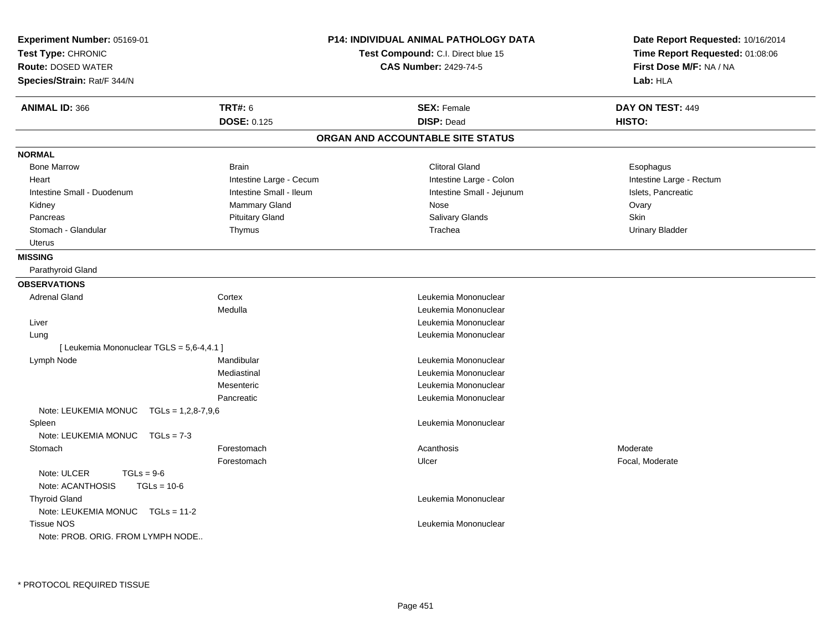| Experiment Number: 05169-01<br>Test Type: CHRONIC<br><b>Route: DOSED WATER</b><br>Species/Strain: Rat/F 344/N |                         | <b>P14: INDIVIDUAL ANIMAL PATHOLOGY DATA</b><br>Test Compound: C.I. Direct blue 15<br><b>CAS Number: 2429-74-5</b> | Date Report Requested: 10/16/2014<br>Time Report Requested: 01:08:06<br>First Dose M/F: NA / NA<br>Lab: HLA |
|---------------------------------------------------------------------------------------------------------------|-------------------------|--------------------------------------------------------------------------------------------------------------------|-------------------------------------------------------------------------------------------------------------|
| <b>ANIMAL ID: 366</b>                                                                                         | <b>TRT#: 6</b>          | <b>SEX: Female</b>                                                                                                 | DAY ON TEST: 449                                                                                            |
|                                                                                                               | <b>DOSE: 0.125</b>      | <b>DISP: Dead</b>                                                                                                  | HISTO:                                                                                                      |
|                                                                                                               |                         | ORGAN AND ACCOUNTABLE SITE STATUS                                                                                  |                                                                                                             |
| <b>NORMAL</b>                                                                                                 |                         |                                                                                                                    |                                                                                                             |
| <b>Bone Marrow</b>                                                                                            | <b>Brain</b>            | <b>Clitoral Gland</b>                                                                                              | Esophagus                                                                                                   |
| Heart                                                                                                         | Intestine Large - Cecum | Intestine Large - Colon                                                                                            | Intestine Large - Rectum                                                                                    |
| Intestine Small - Duodenum                                                                                    | Intestine Small - Ileum | Intestine Small - Jejunum                                                                                          | Islets, Pancreatic                                                                                          |
| Kidney                                                                                                        | <b>Mammary Gland</b>    | Nose                                                                                                               | Ovary                                                                                                       |
| Pancreas                                                                                                      | <b>Pituitary Gland</b>  | Salivary Glands                                                                                                    | Skin                                                                                                        |
| Stomach - Glandular                                                                                           | Thymus                  | Trachea                                                                                                            | <b>Urinary Bladder</b>                                                                                      |
| Uterus                                                                                                        |                         |                                                                                                                    |                                                                                                             |
| <b>MISSING</b>                                                                                                |                         |                                                                                                                    |                                                                                                             |
| Parathyroid Gland                                                                                             |                         |                                                                                                                    |                                                                                                             |
| <b>OBSERVATIONS</b>                                                                                           |                         |                                                                                                                    |                                                                                                             |
| <b>Adrenal Gland</b>                                                                                          | Cortex                  | Leukemia Mononuclear                                                                                               |                                                                                                             |
|                                                                                                               | Medulla                 | Leukemia Mononuclear                                                                                               |                                                                                                             |
| Liver                                                                                                         |                         | Leukemia Mononuclear                                                                                               |                                                                                                             |
| Lung                                                                                                          |                         | Leukemia Mononuclear                                                                                               |                                                                                                             |
| [ Leukemia Mononuclear TGLS = 5,6-4,4.1 ]                                                                     |                         |                                                                                                                    |                                                                                                             |
| Lymph Node                                                                                                    | Mandibular              | Leukemia Mononuclear                                                                                               |                                                                                                             |
|                                                                                                               | Mediastinal             | Leukemia Mononuclear                                                                                               |                                                                                                             |
|                                                                                                               | Mesenteric              | Leukemia Mononuclear                                                                                               |                                                                                                             |
|                                                                                                               | Pancreatic              | Leukemia Mononuclear                                                                                               |                                                                                                             |
| Note: LEUKEMIA MONUC<br>$TGLs = 1,2,8-7,9,6$                                                                  |                         |                                                                                                                    |                                                                                                             |
| Spleen                                                                                                        |                         | Leukemia Mononuclear                                                                                               |                                                                                                             |
| Note: LEUKEMIA MONUC<br>$TGLs = 7-3$                                                                          |                         |                                                                                                                    |                                                                                                             |
| Stomach                                                                                                       | Forestomach             | Acanthosis                                                                                                         | Moderate                                                                                                    |
|                                                                                                               | Forestomach             | Ulcer                                                                                                              | Focal, Moderate                                                                                             |
| Note: ULCER<br>$TGLs = 9-6$<br>Note: ACANTHOSIS<br>$TGLs = 10-6$                                              |                         |                                                                                                                    |                                                                                                             |
| <b>Thyroid Gland</b><br>Note: LEUKEMIA MONUC   TGLs = 11-2                                                    |                         | Leukemia Mononuclear                                                                                               |                                                                                                             |
| <b>Tissue NOS</b><br>Note: PROB. ORIG. FROM LYMPH NODE                                                        |                         | Leukemia Mononuclear                                                                                               |                                                                                                             |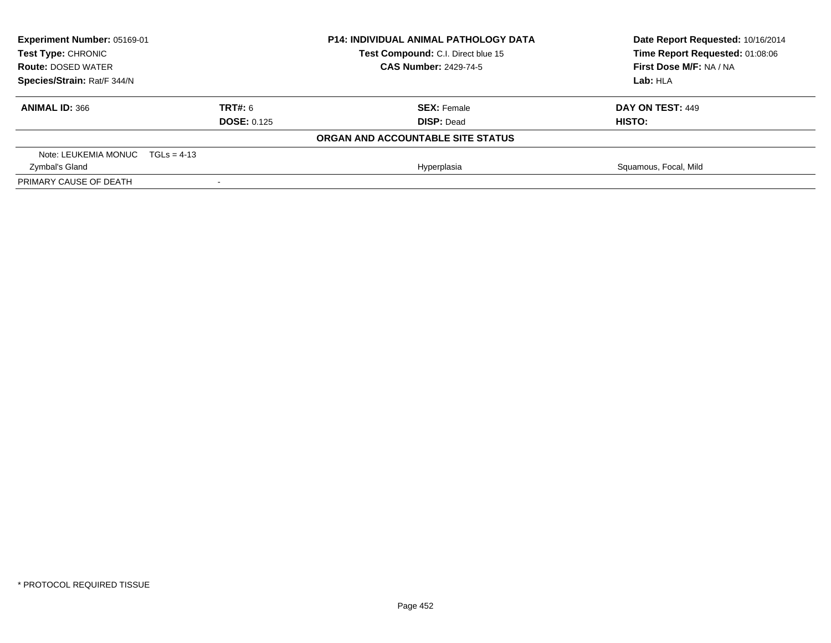| Experiment Number: 05169-01<br>Test Type: CHRONIC<br><b>CAS Number: 2429-74-5</b><br><b>Route: DOSED WATER</b><br>Species/Strain: Rat/F 344/N |         | <b>P14: INDIVIDUAL ANIMAL PATHOLOGY DATA</b> | Date Report Requested: 10/16/2014 |  |
|-----------------------------------------------------------------------------------------------------------------------------------------------|---------|----------------------------------------------|-----------------------------------|--|
|                                                                                                                                               |         | Test Compound: C.I. Direct blue 15           | Time Report Requested: 01:08:06   |  |
|                                                                                                                                               |         |                                              | First Dose M/F: NA / NA           |  |
|                                                                                                                                               |         |                                              | Lab: HLA                          |  |
| <b>ANIMAL ID: 366</b>                                                                                                                         | TRT#: 6 | <b>SEX: Female</b>                           | DAY ON TEST: 449                  |  |
| <b>DOSE: 0.125</b>                                                                                                                            |         | <b>DISP: Dead</b>                            | HISTO:                            |  |
|                                                                                                                                               |         | ORGAN AND ACCOUNTABLE SITE STATUS            |                                   |  |
| Note: LEUKEMIA MONUC $TGLs = 4-13$                                                                                                            |         |                                              |                                   |  |
| Zymbal's Gland                                                                                                                                |         | Hyperplasia                                  | Squamous, Focal, Mild             |  |
| PRIMARY CAUSE OF DEATH                                                                                                                        |         |                                              |                                   |  |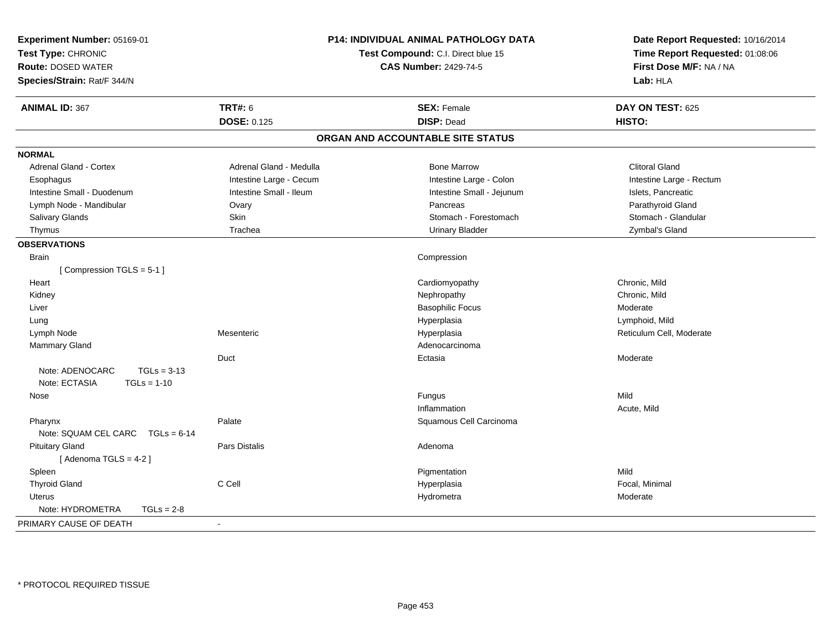| Experiment Number: 05169-01<br>Test Type: CHRONIC<br><b>Route: DOSED WATER</b><br>Species/Strain: Rat/F 344/N |                         | P14: INDIVIDUAL ANIMAL PATHOLOGY DATA<br>Test Compound: C.I. Direct blue 15<br><b>CAS Number: 2429-74-5</b> | Date Report Requested: 10/16/2014<br>Time Report Requested: 01:08:06<br>First Dose M/F: NA / NA<br>Lab: HLA |
|---------------------------------------------------------------------------------------------------------------|-------------------------|-------------------------------------------------------------------------------------------------------------|-------------------------------------------------------------------------------------------------------------|
| <b>ANIMAL ID: 367</b>                                                                                         | <b>TRT#: 6</b>          | <b>SEX: Female</b>                                                                                          | DAY ON TEST: 625                                                                                            |
|                                                                                                               | <b>DOSE: 0.125</b>      | <b>DISP: Dead</b>                                                                                           | HISTO:                                                                                                      |
|                                                                                                               |                         | ORGAN AND ACCOUNTABLE SITE STATUS                                                                           |                                                                                                             |
| <b>NORMAL</b>                                                                                                 |                         |                                                                                                             |                                                                                                             |
| <b>Adrenal Gland - Cortex</b>                                                                                 | Adrenal Gland - Medulla | <b>Bone Marrow</b>                                                                                          | <b>Clitoral Gland</b>                                                                                       |
| Esophagus                                                                                                     | Intestine Large - Cecum | Intestine Large - Colon                                                                                     | Intestine Large - Rectum                                                                                    |
| Intestine Small - Duodenum                                                                                    | Intestine Small - Ileum | Intestine Small - Jejunum                                                                                   | Islets, Pancreatic                                                                                          |
| Lymph Node - Mandibular                                                                                       | Ovary                   | Pancreas                                                                                                    | Parathyroid Gland                                                                                           |
| Salivary Glands                                                                                               | Skin                    | Stomach - Forestomach                                                                                       | Stomach - Glandular                                                                                         |
| Thymus                                                                                                        | Trachea                 | <b>Urinary Bladder</b>                                                                                      | Zymbal's Gland                                                                                              |
| <b>OBSERVATIONS</b>                                                                                           |                         |                                                                                                             |                                                                                                             |
| <b>Brain</b>                                                                                                  |                         | Compression                                                                                                 |                                                                                                             |
| [Compression TGLS = 5-1]                                                                                      |                         |                                                                                                             |                                                                                                             |
| Heart                                                                                                         |                         | Cardiomyopathy                                                                                              | Chronic, Mild                                                                                               |
| Kidney                                                                                                        |                         | Nephropathy                                                                                                 | Chronic, Mild                                                                                               |
| Liver                                                                                                         |                         | <b>Basophilic Focus</b>                                                                                     | Moderate                                                                                                    |
| Lung                                                                                                          |                         | Hyperplasia                                                                                                 | Lymphoid, Mild                                                                                              |
| Lymph Node                                                                                                    | Mesenteric              | Hyperplasia                                                                                                 | Reticulum Cell, Moderate                                                                                    |
| Mammary Gland                                                                                                 |                         | Adenocarcinoma                                                                                              |                                                                                                             |
| Duct                                                                                                          |                         | Ectasia                                                                                                     | Moderate                                                                                                    |
| $TGLs = 3-13$<br>Note: ADENOCARC<br>Note: ECTASIA<br>$TGLs = 1-10$                                            |                         |                                                                                                             |                                                                                                             |
| Nose                                                                                                          |                         | Fungus                                                                                                      | Mild                                                                                                        |
|                                                                                                               |                         | Inflammation                                                                                                | Acute, Mild                                                                                                 |
| Pharynx<br>Note: SQUAM CEL CARC<br>$TGLs = 6-14$                                                              | Palate                  | Squamous Cell Carcinoma                                                                                     |                                                                                                             |
|                                                                                                               | Pars Distalis           | Adenoma                                                                                                     |                                                                                                             |
| <b>Pituitary Gland</b><br>[Adenoma TGLS = 4-2]                                                                |                         |                                                                                                             |                                                                                                             |
| Spleen                                                                                                        |                         | Pigmentation                                                                                                | Mild                                                                                                        |
| <b>Thyroid Gland</b>                                                                                          | C Cell                  | Hyperplasia                                                                                                 | Focal, Minimal                                                                                              |
| <b>Uterus</b>                                                                                                 |                         | Hydrometra                                                                                                  | Moderate                                                                                                    |
| Note: HYDROMETRA<br>$TGLs = 2-8$                                                                              |                         |                                                                                                             |                                                                                                             |
| PRIMARY CAUSE OF DEATH<br>$\blacksquare$                                                                      |                         |                                                                                                             |                                                                                                             |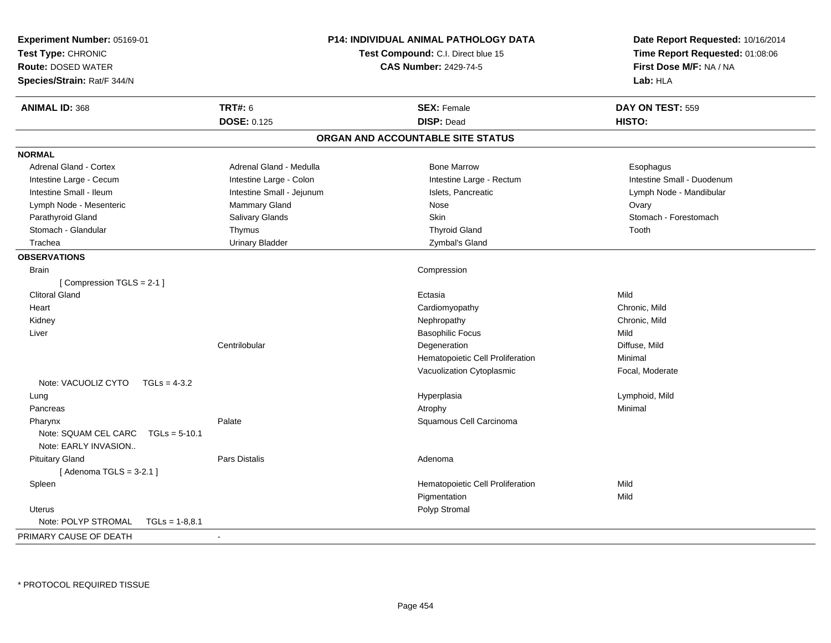| Experiment Number: 05169-01<br>Test Type: CHRONIC<br><b>Route: DOSED WATER</b><br>Species/Strain: Rat/F 344/N |                           | <b>P14: INDIVIDUAL ANIMAL PATHOLOGY DATA</b><br>Test Compound: C.I. Direct blue 15<br><b>CAS Number: 2429-74-5</b> | Date Report Requested: 10/16/2014<br>Time Report Requested: 01:08:06<br>First Dose M/F: NA / NA<br>Lab: HLA |
|---------------------------------------------------------------------------------------------------------------|---------------------------|--------------------------------------------------------------------------------------------------------------------|-------------------------------------------------------------------------------------------------------------|
| <b>ANIMAL ID: 368</b>                                                                                         | <b>TRT#: 6</b>            | <b>SEX: Female</b>                                                                                                 | DAY ON TEST: 559                                                                                            |
|                                                                                                               | <b>DOSE: 0.125</b>        | <b>DISP: Dead</b>                                                                                                  | HISTO:                                                                                                      |
|                                                                                                               |                           | ORGAN AND ACCOUNTABLE SITE STATUS                                                                                  |                                                                                                             |
| <b>NORMAL</b>                                                                                                 |                           |                                                                                                                    |                                                                                                             |
| <b>Adrenal Gland - Cortex</b>                                                                                 | Adrenal Gland - Medulla   | <b>Bone Marrow</b>                                                                                                 | Esophagus                                                                                                   |
| Intestine Large - Cecum                                                                                       | Intestine Large - Colon   | Intestine Large - Rectum                                                                                           | Intestine Small - Duodenum                                                                                  |
| Intestine Small - Ileum                                                                                       | Intestine Small - Jejunum | Islets, Pancreatic                                                                                                 | Lymph Node - Mandibular                                                                                     |
| Lymph Node - Mesenteric                                                                                       | Mammary Gland             | Nose                                                                                                               | Ovary                                                                                                       |
| Parathyroid Gland                                                                                             | Salivary Glands           | <b>Skin</b>                                                                                                        | Stomach - Forestomach                                                                                       |
| Stomach - Glandular                                                                                           | Thymus                    | <b>Thyroid Gland</b>                                                                                               | Tooth                                                                                                       |
| Trachea                                                                                                       | <b>Urinary Bladder</b>    | Zymbal's Gland                                                                                                     |                                                                                                             |
| <b>OBSERVATIONS</b>                                                                                           |                           |                                                                                                                    |                                                                                                             |
| <b>Brain</b>                                                                                                  |                           | Compression                                                                                                        |                                                                                                             |
| [Compression TGLS = 2-1]                                                                                      |                           |                                                                                                                    |                                                                                                             |
| <b>Clitoral Gland</b>                                                                                         |                           | Ectasia                                                                                                            | Mild                                                                                                        |
| Heart                                                                                                         |                           | Cardiomyopathy                                                                                                     | Chronic, Mild                                                                                               |
| Kidney                                                                                                        |                           | Nephropathy                                                                                                        | Chronic, Mild                                                                                               |
| Liver                                                                                                         |                           | <b>Basophilic Focus</b>                                                                                            | Mild                                                                                                        |
|                                                                                                               | Centrilobular             | Degeneration                                                                                                       | Diffuse, Mild                                                                                               |
|                                                                                                               |                           | Hematopoietic Cell Proliferation                                                                                   | Minimal                                                                                                     |
|                                                                                                               |                           | Vacuolization Cytoplasmic                                                                                          | Focal, Moderate                                                                                             |
| Note: VACUOLIZ CYTO<br>$TGLs = 4-3.2$                                                                         |                           |                                                                                                                    |                                                                                                             |
| Lung                                                                                                          |                           | Hyperplasia                                                                                                        | Lymphoid, Mild                                                                                              |
| Pancreas                                                                                                      |                           | Atrophy                                                                                                            | Minimal                                                                                                     |
| Pharynx                                                                                                       | Palate                    | Squamous Cell Carcinoma                                                                                            |                                                                                                             |
| Note: SQUAM CEL CARC<br>$TGLs = 5-10.1$                                                                       |                           |                                                                                                                    |                                                                                                             |
| Note: EARLY INVASION                                                                                          |                           |                                                                                                                    |                                                                                                             |
| <b>Pituitary Gland</b>                                                                                        | Pars Distalis             | Adenoma                                                                                                            |                                                                                                             |
| [Adenoma TGLS = $3-2.1$ ]                                                                                     |                           |                                                                                                                    |                                                                                                             |
| Spleen                                                                                                        |                           | Hematopoietic Cell Proliferation                                                                                   | Mild                                                                                                        |
|                                                                                                               |                           | Pigmentation                                                                                                       | Mild                                                                                                        |
| Uterus                                                                                                        |                           | Polyp Stromal                                                                                                      |                                                                                                             |
| Note: POLYP STROMAL<br>$TGLs = 1-8.8.1$                                                                       |                           |                                                                                                                    |                                                                                                             |
| PRIMARY CAUSE OF DEATH                                                                                        | $\blacksquare$            |                                                                                                                    |                                                                                                             |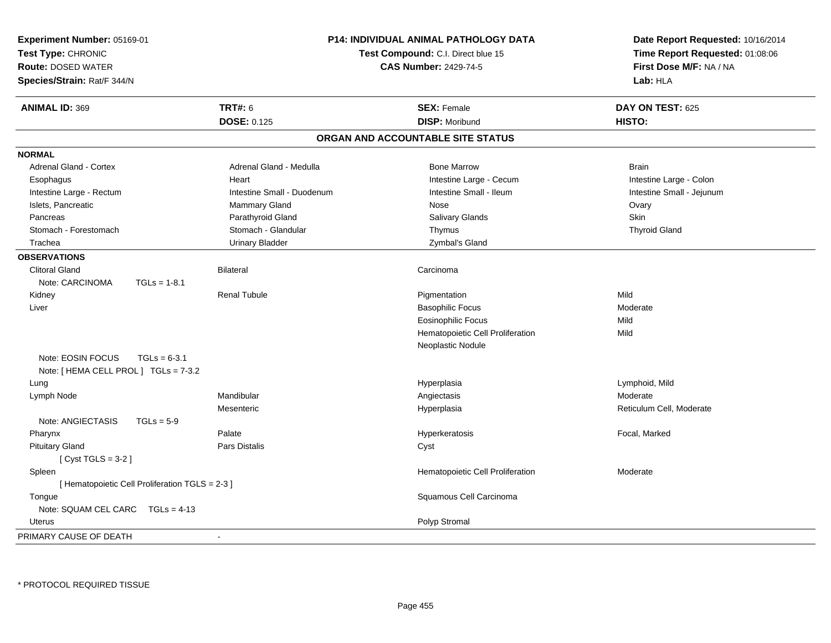| Experiment Number: 05169-01<br>Test Type: CHRONIC<br><b>Route: DOSED WATER</b><br>Species/Strain: Rat/F 344/N |                                                 | P14: INDIVIDUAL ANIMAL PATHOLOGY DATA<br>Test Compound: C.I. Direct blue 15<br><b>CAS Number: 2429-74-5</b> |                                   | Date Report Requested: 10/16/2014<br>Time Report Requested: 01:08:06<br>First Dose M/F: NA / NA<br>Lab: HLA |
|---------------------------------------------------------------------------------------------------------------|-------------------------------------------------|-------------------------------------------------------------------------------------------------------------|-----------------------------------|-------------------------------------------------------------------------------------------------------------|
| <b>ANIMAL ID: 369</b>                                                                                         |                                                 | <b>TRT#: 6</b>                                                                                              | <b>SEX: Female</b>                | DAY ON TEST: 625                                                                                            |
|                                                                                                               |                                                 | DOSE: 0.125                                                                                                 | <b>DISP: Moribund</b>             | HISTO:                                                                                                      |
|                                                                                                               |                                                 |                                                                                                             | ORGAN AND ACCOUNTABLE SITE STATUS |                                                                                                             |
| <b>NORMAL</b>                                                                                                 |                                                 |                                                                                                             |                                   |                                                                                                             |
| <b>Adrenal Gland - Cortex</b>                                                                                 |                                                 | Adrenal Gland - Medulla                                                                                     | <b>Bone Marrow</b>                | <b>Brain</b>                                                                                                |
| Esophagus                                                                                                     |                                                 | Heart                                                                                                       | Intestine Large - Cecum           | Intestine Large - Colon                                                                                     |
| Intestine Large - Rectum                                                                                      |                                                 | Intestine Small - Duodenum                                                                                  | Intestine Small - Ileum           | Intestine Small - Jejunum                                                                                   |
| Islets, Pancreatic                                                                                            |                                                 | Mammary Gland                                                                                               | Nose                              | Ovary                                                                                                       |
| Pancreas                                                                                                      |                                                 | Parathyroid Gland                                                                                           | Salivary Glands                   | <b>Skin</b>                                                                                                 |
| Stomach - Forestomach                                                                                         |                                                 | Stomach - Glandular                                                                                         | Thymus                            | <b>Thyroid Gland</b>                                                                                        |
| Trachea                                                                                                       |                                                 | <b>Urinary Bladder</b>                                                                                      | Zymbal's Gland                    |                                                                                                             |
| <b>OBSERVATIONS</b>                                                                                           |                                                 |                                                                                                             |                                   |                                                                                                             |
| <b>Clitoral Gland</b>                                                                                         |                                                 | <b>Bilateral</b>                                                                                            | Carcinoma                         |                                                                                                             |
| Note: CARCINOMA                                                                                               | $TGLs = 1-8.1$                                  |                                                                                                             |                                   |                                                                                                             |
| Kidney                                                                                                        |                                                 | <b>Renal Tubule</b>                                                                                         | Pigmentation                      | Mild                                                                                                        |
| Liver                                                                                                         |                                                 |                                                                                                             | <b>Basophilic Focus</b>           | Moderate                                                                                                    |
|                                                                                                               |                                                 |                                                                                                             | <b>Eosinophilic Focus</b>         | Mild                                                                                                        |
|                                                                                                               |                                                 |                                                                                                             | Hematopoietic Cell Proliferation  | Mild                                                                                                        |
|                                                                                                               |                                                 |                                                                                                             | Neoplastic Nodule                 |                                                                                                             |
| Note: EOSIN FOCUS                                                                                             | $TGLs = 6-3.1$                                  |                                                                                                             |                                   |                                                                                                             |
| Note: [ HEMA CELL PROL ] TGLs = 7-3.2                                                                         |                                                 |                                                                                                             |                                   |                                                                                                             |
| Lung                                                                                                          |                                                 |                                                                                                             | Hyperplasia                       | Lymphoid, Mild                                                                                              |
| Lymph Node                                                                                                    |                                                 | Mandibular                                                                                                  | Angiectasis                       | Moderate                                                                                                    |
|                                                                                                               |                                                 | Mesenteric                                                                                                  | Hyperplasia                       | Reticulum Cell, Moderate                                                                                    |
| Note: ANGIECTASIS                                                                                             | $TGLs = 5-9$                                    |                                                                                                             |                                   |                                                                                                             |
| Pharynx                                                                                                       |                                                 | Palate                                                                                                      | Hyperkeratosis                    | Focal, Marked                                                                                               |
| <b>Pituitary Gland</b>                                                                                        |                                                 | Pars Distalis                                                                                               | Cyst                              |                                                                                                             |
| [ $Cyst TGLS = 3-2$ ]                                                                                         |                                                 |                                                                                                             |                                   |                                                                                                             |
| Spleen                                                                                                        |                                                 |                                                                                                             | Hematopoietic Cell Proliferation  | Moderate                                                                                                    |
|                                                                                                               | [ Hematopoietic Cell Proliferation TGLS = 2-3 ] |                                                                                                             |                                   |                                                                                                             |
| Tongue                                                                                                        |                                                 |                                                                                                             | Squamous Cell Carcinoma           |                                                                                                             |
| Note: SQUAM CEL CARC TGLs = 4-13                                                                              |                                                 |                                                                                                             |                                   |                                                                                                             |
| Uterus                                                                                                        |                                                 |                                                                                                             | Polyp Stromal                     |                                                                                                             |
| PRIMARY CAUSE OF DEATH                                                                                        |                                                 | $\sim$                                                                                                      |                                   |                                                                                                             |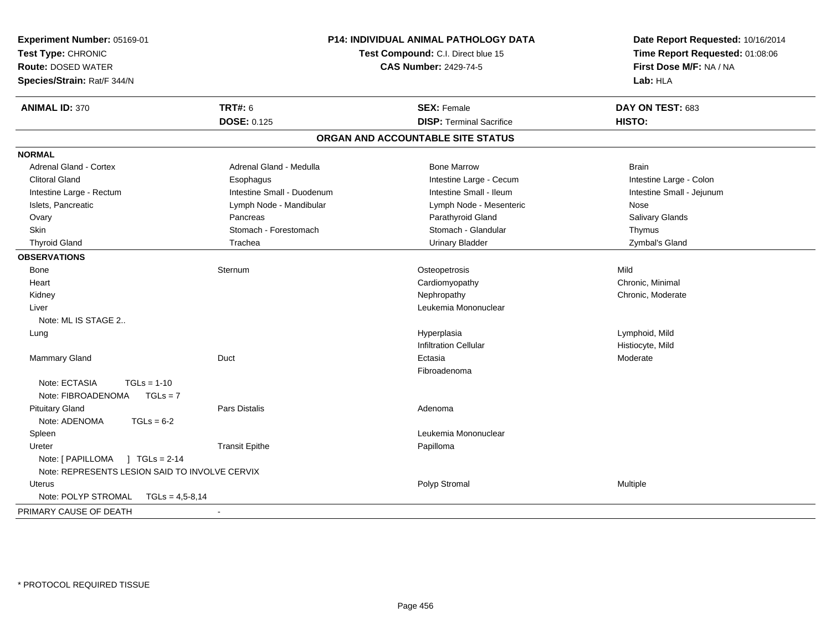| Experiment Number: 05169-01<br>Test Type: CHRONIC<br><b>Route: DOSED WATER</b><br>Species/Strain: Rat/F 344/N | P14: INDIVIDUAL ANIMAL PATHOLOGY DATA<br>Test Compound: C.I. Direct blue 15<br><b>CAS Number: 2429-74-5</b> |                                   | Date Report Requested: 10/16/2014<br>Time Report Requested: 01:08:06<br>First Dose M/F: NA / NA<br>Lab: HLA |
|---------------------------------------------------------------------------------------------------------------|-------------------------------------------------------------------------------------------------------------|-----------------------------------|-------------------------------------------------------------------------------------------------------------|
| <b>ANIMAL ID: 370</b>                                                                                         | <b>TRT#: 6</b>                                                                                              | <b>SEX: Female</b>                | DAY ON TEST: 683                                                                                            |
|                                                                                                               | <b>DOSE: 0.125</b>                                                                                          | <b>DISP: Terminal Sacrifice</b>   | HISTO:                                                                                                      |
|                                                                                                               |                                                                                                             | ORGAN AND ACCOUNTABLE SITE STATUS |                                                                                                             |
| <b>NORMAL</b>                                                                                                 |                                                                                                             |                                   |                                                                                                             |
| <b>Adrenal Gland - Cortex</b>                                                                                 | Adrenal Gland - Medulla                                                                                     | <b>Bone Marrow</b>                | <b>Brain</b>                                                                                                |
| <b>Clitoral Gland</b>                                                                                         | Esophagus                                                                                                   | Intestine Large - Cecum           | Intestine Large - Colon                                                                                     |
| Intestine Large - Rectum                                                                                      | Intestine Small - Duodenum                                                                                  | Intestine Small - Ileum           | Intestine Small - Jejunum                                                                                   |
| Islets, Pancreatic                                                                                            | Lymph Node - Mandibular                                                                                     | Lymph Node - Mesenteric           | Nose                                                                                                        |
| Ovary                                                                                                         | Pancreas                                                                                                    | Parathyroid Gland                 | Salivary Glands                                                                                             |
| <b>Skin</b>                                                                                                   | Stomach - Forestomach                                                                                       | Stomach - Glandular               | Thymus                                                                                                      |
| <b>Thyroid Gland</b>                                                                                          | Trachea                                                                                                     | <b>Urinary Bladder</b>            | Zymbal's Gland                                                                                              |
| <b>OBSERVATIONS</b>                                                                                           |                                                                                                             |                                   |                                                                                                             |
| Bone                                                                                                          | Sternum                                                                                                     | Osteopetrosis                     | Mild                                                                                                        |
| Heart                                                                                                         |                                                                                                             | Cardiomyopathy                    | Chronic, Minimal                                                                                            |
| Kidney                                                                                                        |                                                                                                             | Nephropathy                       | Chronic, Moderate                                                                                           |
| Liver                                                                                                         |                                                                                                             | Leukemia Mononuclear              |                                                                                                             |
| Note: ML IS STAGE 2                                                                                           |                                                                                                             |                                   |                                                                                                             |
| Lung                                                                                                          |                                                                                                             | Hyperplasia                       | Lymphoid, Mild                                                                                              |
|                                                                                                               |                                                                                                             | <b>Infiltration Cellular</b>      | Histiocyte, Mild                                                                                            |
| Mammary Gland                                                                                                 | Duct                                                                                                        | Ectasia                           | Moderate                                                                                                    |
|                                                                                                               |                                                                                                             | Fibroadenoma                      |                                                                                                             |
| Note: ECTASIA<br>$TGLs = 1-10$<br>$TGLs = 7$<br>Note: FIBROADENOMA                                            |                                                                                                             |                                   |                                                                                                             |
| <b>Pituitary Gland</b><br>Note: ADENOMA<br>$TGLs = 6-2$                                                       | Pars Distalis                                                                                               | Adenoma                           |                                                                                                             |
| Spleen                                                                                                        |                                                                                                             | Leukemia Mononuclear              |                                                                                                             |
| Ureter                                                                                                        | <b>Transit Epithe</b>                                                                                       | Papilloma                         |                                                                                                             |
|                                                                                                               |                                                                                                             |                                   |                                                                                                             |
| Note: REPRESENTS LESION SAID TO INVOLVE CERVIX                                                                |                                                                                                             |                                   |                                                                                                             |
| <b>Uterus</b>                                                                                                 |                                                                                                             | Polyp Stromal                     | Multiple                                                                                                    |
| Note: POLYP STROMAL<br>$TGLs = 4,5-8,14$                                                                      |                                                                                                             |                                   |                                                                                                             |
| PRIMARY CAUSE OF DEATH                                                                                        | $\sim$                                                                                                      |                                   |                                                                                                             |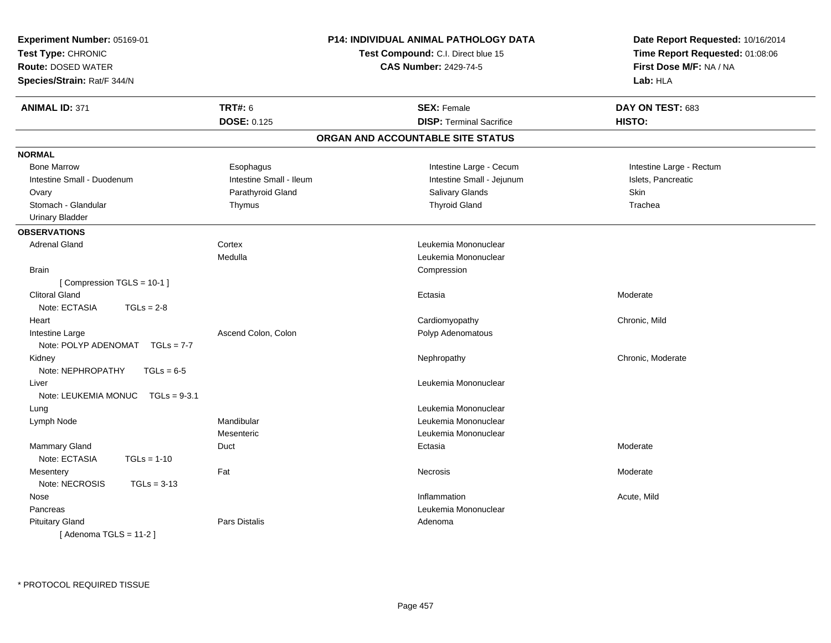| Experiment Number: 05169-01<br>Test Type: CHRONIC<br><b>Route: DOSED WATER</b><br>Species/Strain: Rat/F 344/N |                         | <b>P14: INDIVIDUAL ANIMAL PATHOLOGY DATA</b><br>Test Compound: C.I. Direct blue 15<br><b>CAS Number: 2429-74-5</b> | Date Report Requested: 10/16/2014<br>Time Report Requested: 01:08:06<br>First Dose M/F: NA / NA<br>Lab: HLA |
|---------------------------------------------------------------------------------------------------------------|-------------------------|--------------------------------------------------------------------------------------------------------------------|-------------------------------------------------------------------------------------------------------------|
| <b>ANIMAL ID: 371</b>                                                                                         | <b>TRT#: 6</b>          | <b>SEX: Female</b>                                                                                                 | DAY ON TEST: 683                                                                                            |
|                                                                                                               | <b>DOSE: 0.125</b>      | <b>DISP: Terminal Sacrifice</b>                                                                                    | <b>HISTO:</b>                                                                                               |
|                                                                                                               |                         | ORGAN AND ACCOUNTABLE SITE STATUS                                                                                  |                                                                                                             |
| <b>NORMAL</b>                                                                                                 |                         |                                                                                                                    |                                                                                                             |
| <b>Bone Marrow</b>                                                                                            | Esophagus               | Intestine Large - Cecum                                                                                            | Intestine Large - Rectum                                                                                    |
| Intestine Small - Duodenum                                                                                    | Intestine Small - Ileum | Intestine Small - Jejunum                                                                                          | Islets, Pancreatic                                                                                          |
| Ovary                                                                                                         | Parathyroid Gland       | Salivary Glands                                                                                                    | Skin                                                                                                        |
| Stomach - Glandular                                                                                           | Thymus                  | <b>Thyroid Gland</b>                                                                                               | Trachea                                                                                                     |
| <b>Urinary Bladder</b>                                                                                        |                         |                                                                                                                    |                                                                                                             |
| <b>OBSERVATIONS</b>                                                                                           |                         |                                                                                                                    |                                                                                                             |
| <b>Adrenal Gland</b>                                                                                          | Cortex                  | Leukemia Mononuclear                                                                                               |                                                                                                             |
|                                                                                                               | Medulla                 | Leukemia Mononuclear                                                                                               |                                                                                                             |
| <b>Brain</b>                                                                                                  |                         | Compression                                                                                                        |                                                                                                             |
| [Compression TGLS = 10-1]                                                                                     |                         |                                                                                                                    |                                                                                                             |
| <b>Clitoral Gland</b>                                                                                         |                         | Ectasia                                                                                                            | Moderate                                                                                                    |
| Note: ECTASIA<br>$TGLs = 2-8$                                                                                 |                         |                                                                                                                    |                                                                                                             |
| Heart                                                                                                         |                         | Cardiomyopathy                                                                                                     | Chronic, Mild                                                                                               |
| Intestine Large                                                                                               | Ascend Colon, Colon     | Polyp Adenomatous                                                                                                  |                                                                                                             |
| Note: POLYP ADENOMAT $TGLs = 7-7$                                                                             |                         |                                                                                                                    |                                                                                                             |
| Kidney                                                                                                        |                         | Nephropathy                                                                                                        | Chronic, Moderate                                                                                           |
| Note: NEPHROPATHY<br>$TGLs = 6-5$                                                                             |                         |                                                                                                                    |                                                                                                             |
| Liver                                                                                                         |                         | Leukemia Mononuclear                                                                                               |                                                                                                             |
| Note: LEUKEMIA MONUC<br>$TGLs = 9-3.1$                                                                        |                         |                                                                                                                    |                                                                                                             |
| Lung                                                                                                          |                         | Leukemia Mononuclear                                                                                               |                                                                                                             |
| Lymph Node                                                                                                    | Mandibular              | Leukemia Mononuclear                                                                                               |                                                                                                             |
|                                                                                                               | Mesenteric              | Leukemia Mononuclear                                                                                               |                                                                                                             |
| <b>Mammary Gland</b>                                                                                          | Duct                    | Ectasia                                                                                                            | Moderate                                                                                                    |
| Note: ECTASIA<br>$TGLs = 1-10$                                                                                |                         |                                                                                                                    |                                                                                                             |
| Mesentery                                                                                                     | Fat                     | Necrosis                                                                                                           | Moderate                                                                                                    |
| Note: NECROSIS<br>$TGLs = 3-13$                                                                               |                         |                                                                                                                    |                                                                                                             |
| Nose                                                                                                          |                         | Inflammation                                                                                                       | Acute, Mild                                                                                                 |
| Pancreas                                                                                                      |                         | Leukemia Mononuclear                                                                                               |                                                                                                             |
| <b>Pituitary Gland</b>                                                                                        | Pars Distalis           | Adenoma                                                                                                            |                                                                                                             |
| [Adenoma TGLS = $11-2$ ]                                                                                      |                         |                                                                                                                    |                                                                                                             |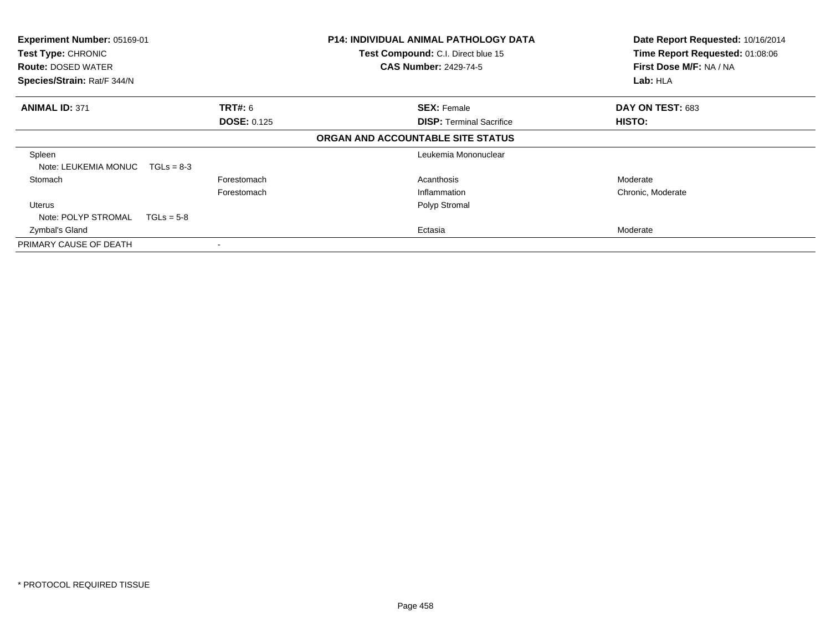| Experiment Number: 05169-01<br>Test Type: CHRONIC<br><b>Route: DOSED WATER</b> |                    | <b>P14: INDIVIDUAL ANIMAL PATHOLOGY DATA</b><br>Test Compound: C.I. Direct blue 15<br><b>CAS Number: 2429-74-5</b> | Date Report Requested: 10/16/2014<br>Time Report Requested: 01:08:06<br>First Dose M/F: NA / NA |
|--------------------------------------------------------------------------------|--------------------|--------------------------------------------------------------------------------------------------------------------|-------------------------------------------------------------------------------------------------|
| Species/Strain: Rat/F 344/N                                                    |                    |                                                                                                                    | Lab: HLA                                                                                        |
| <b>ANIMAL ID: 371</b>                                                          | <b>TRT#:</b> 6     | <b>SEX: Female</b>                                                                                                 | DAY ON TEST: 683                                                                                |
|                                                                                | <b>DOSE: 0.125</b> | <b>DISP: Terminal Sacrifice</b>                                                                                    | HISTO:                                                                                          |
|                                                                                |                    | ORGAN AND ACCOUNTABLE SITE STATUS                                                                                  |                                                                                                 |
| Spleen<br>Note: LEUKEMIA MONUC                                                 | $TGLs = 8-3$       | Leukemia Mononuclear                                                                                               |                                                                                                 |
| Stomach                                                                        | Forestomach        | Acanthosis                                                                                                         | Moderate                                                                                        |
|                                                                                | Forestomach        | Inflammation                                                                                                       | Chronic, Moderate                                                                               |
| Uterus                                                                         |                    | Polyp Stromal                                                                                                      |                                                                                                 |
| Note: POLYP STROMAL                                                            | $TGLs = 5-8$       |                                                                                                                    |                                                                                                 |
| Zymbal's Gland                                                                 |                    | Ectasia                                                                                                            | Moderate                                                                                        |
| PRIMARY CAUSE OF DEATH                                                         |                    |                                                                                                                    |                                                                                                 |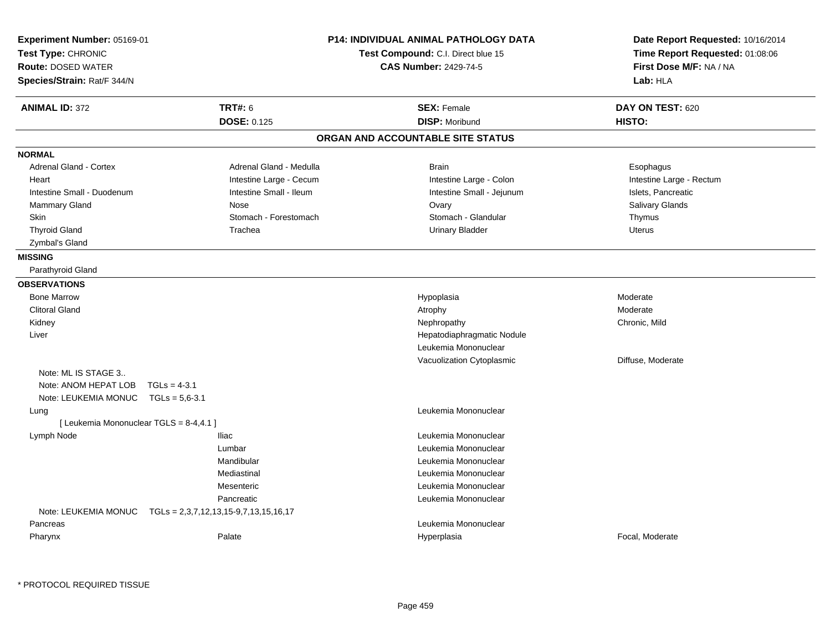| Experiment Number: 05169-01<br>Test Type: CHRONIC<br><b>Route: DOSED WATER</b><br>Species/Strain: Rat/F 344/N |                         | <b>P14: INDIVIDUAL ANIMAL PATHOLOGY DATA</b><br>Test Compound: C.I. Direct blue 15<br><b>CAS Number: 2429-74-5</b> | Date Report Requested: 10/16/2014<br>Time Report Requested: 01:08:06<br>First Dose M/F: NA / NA<br>Lab: HLA |
|---------------------------------------------------------------------------------------------------------------|-------------------------|--------------------------------------------------------------------------------------------------------------------|-------------------------------------------------------------------------------------------------------------|
| <b>ANIMAL ID: 372</b>                                                                                         | <b>TRT#: 6</b>          | <b>SEX: Female</b>                                                                                                 | DAY ON TEST: 620                                                                                            |
|                                                                                                               | <b>DOSE: 0.125</b>      | <b>DISP: Moribund</b>                                                                                              | HISTO:                                                                                                      |
|                                                                                                               |                         | ORGAN AND ACCOUNTABLE SITE STATUS                                                                                  |                                                                                                             |
| <b>NORMAL</b>                                                                                                 |                         |                                                                                                                    |                                                                                                             |
| Adrenal Gland - Cortex                                                                                        | Adrenal Gland - Medulla | <b>Brain</b>                                                                                                       | Esophagus                                                                                                   |
| Heart                                                                                                         | Intestine Large - Cecum | Intestine Large - Colon                                                                                            | Intestine Large - Rectum                                                                                    |
| Intestine Small - Duodenum                                                                                    | Intestine Small - Ileum | Intestine Small - Jejunum                                                                                          | Islets, Pancreatic                                                                                          |
| <b>Mammary Gland</b>                                                                                          | Nose                    | Ovary                                                                                                              | Salivary Glands                                                                                             |
| <b>Skin</b>                                                                                                   | Stomach - Forestomach   | Stomach - Glandular                                                                                                | Thymus                                                                                                      |
| <b>Thyroid Gland</b>                                                                                          | Trachea                 | <b>Urinary Bladder</b>                                                                                             | Uterus                                                                                                      |
| Zymbal's Gland                                                                                                |                         |                                                                                                                    |                                                                                                             |
| <b>MISSING</b>                                                                                                |                         |                                                                                                                    |                                                                                                             |
| Parathyroid Gland                                                                                             |                         |                                                                                                                    |                                                                                                             |
| <b>OBSERVATIONS</b>                                                                                           |                         |                                                                                                                    |                                                                                                             |
| <b>Bone Marrow</b>                                                                                            |                         | Hypoplasia                                                                                                         | Moderate                                                                                                    |
| <b>Clitoral Gland</b>                                                                                         |                         | Atrophy                                                                                                            | Moderate                                                                                                    |
| Kidney                                                                                                        |                         | Nephropathy                                                                                                        | Chronic, Mild                                                                                               |
| Liver                                                                                                         |                         | Hepatodiaphragmatic Nodule                                                                                         |                                                                                                             |
|                                                                                                               |                         | Leukemia Mononuclear                                                                                               |                                                                                                             |
|                                                                                                               |                         | Vacuolization Cytoplasmic                                                                                          | Diffuse, Moderate                                                                                           |
| Note: ML IS STAGE 3                                                                                           |                         |                                                                                                                    |                                                                                                             |
| Note: ANOM HEPAT LOB<br>$TGLs = 4-3.1$                                                                        |                         |                                                                                                                    |                                                                                                             |
| Note: LEUKEMIA MONUC TGLs = 5,6-3.1                                                                           |                         |                                                                                                                    |                                                                                                             |
| Lung                                                                                                          |                         | Leukemia Mononuclear                                                                                               |                                                                                                             |
| [ Leukemia Mononuclear TGLS = 8-4,4.1 ]                                                                       |                         |                                                                                                                    |                                                                                                             |
| Lymph Node                                                                                                    | <b>Iliac</b>            | Leukemia Mononuclear                                                                                               |                                                                                                             |
|                                                                                                               | Lumbar                  | Leukemia Mononuclear                                                                                               |                                                                                                             |
|                                                                                                               | Mandibular              | Leukemia Mononuclear                                                                                               |                                                                                                             |
|                                                                                                               | Mediastinal             | Leukemia Mononuclear                                                                                               |                                                                                                             |
|                                                                                                               | Mesenteric              | Leukemia Mononuclear                                                                                               |                                                                                                             |
|                                                                                                               | Pancreatic              | Leukemia Mononuclear                                                                                               |                                                                                                             |
| Note: LEUKEMIA MONUC TGLs = 2,3,7,12,13,15-9,7,13,15,16,17                                                    |                         |                                                                                                                    |                                                                                                             |
| Pancreas                                                                                                      |                         | Leukemia Mononuclear                                                                                               |                                                                                                             |
| Pharynx                                                                                                       | Palate                  | Hyperplasia                                                                                                        | Focal, Moderate                                                                                             |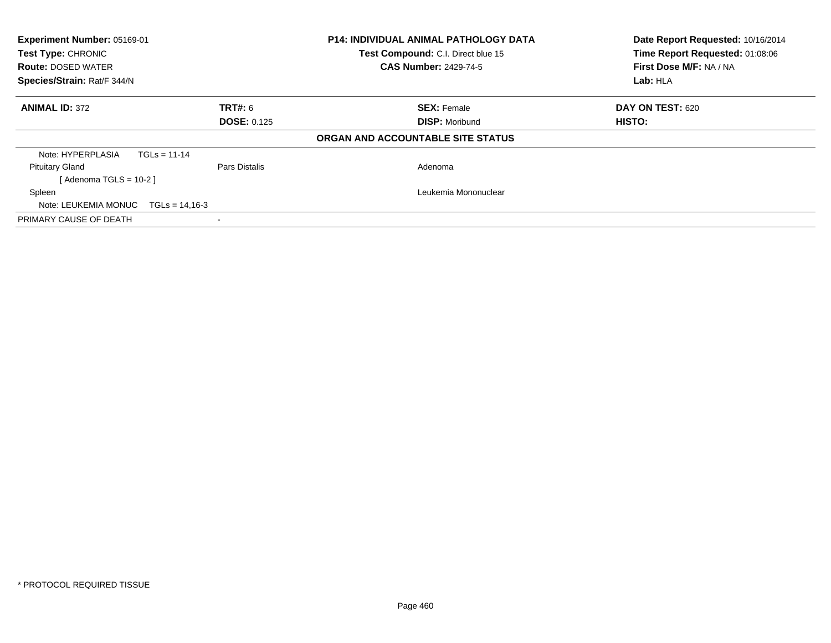| Experiment Number: 05169-01<br><b>Test Type: CHRONIC</b><br><b>Route: DOSED WATER</b><br>Species/Strain: Rat/F 344/N |                    | <b>P14: INDIVIDUAL ANIMAL PATHOLOGY DATA</b><br>Test Compound: C.I. Direct blue 15<br><b>CAS Number: 2429-74-5</b> | Date Report Requested: 10/16/2014<br>Time Report Requested: 01:08:06<br>First Dose M/F: NA / NA<br>Lab: HLA |
|----------------------------------------------------------------------------------------------------------------------|--------------------|--------------------------------------------------------------------------------------------------------------------|-------------------------------------------------------------------------------------------------------------|
| <b>ANIMAL ID: 372</b>                                                                                                | TRT#: 6            | <b>SEX: Female</b>                                                                                                 | DAY ON TEST: 620                                                                                            |
|                                                                                                                      | <b>DOSE: 0.125</b> | <b>DISP: Moribund</b>                                                                                              | HISTO:                                                                                                      |
|                                                                                                                      |                    | ORGAN AND ACCOUNTABLE SITE STATUS                                                                                  |                                                                                                             |
| Note: HYPERPLASIA<br>$TGLs = 11-14$                                                                                  |                    |                                                                                                                    |                                                                                                             |
| <b>Pituitary Gland</b>                                                                                               | Pars Distalis      | Adenoma                                                                                                            |                                                                                                             |
| [Adenoma TGLS = $10-2$ ]                                                                                             |                    |                                                                                                                    |                                                                                                             |
| Spleen                                                                                                               |                    | Leukemia Mononuclear                                                                                               |                                                                                                             |
| Note: LEUKEMIA MONUC<br>$TGLs = 14,16-3$                                                                             |                    |                                                                                                                    |                                                                                                             |
| PRIMARY CAUSE OF DEATH                                                                                               |                    |                                                                                                                    |                                                                                                             |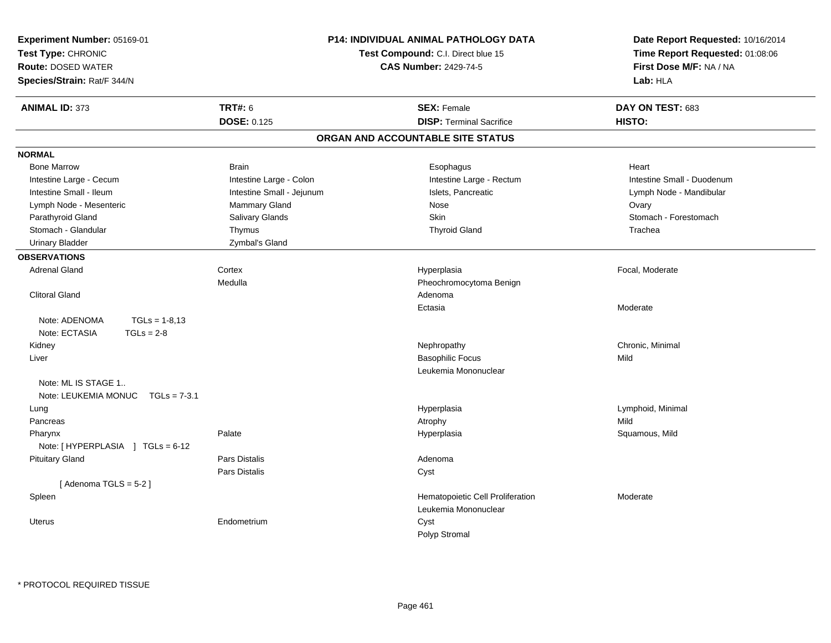| Experiment Number: 05169-01<br>Test Type: CHRONIC<br><b>Route: DOSED WATER</b><br>Species/Strain: Rat/F 344/N |                           | P14: INDIVIDUAL ANIMAL PATHOLOGY DATA<br>Test Compound: C.I. Direct blue 15<br><b>CAS Number: 2429-74-5</b> | Date Report Requested: 10/16/2014<br>Time Report Requested: 01:08:06<br>First Dose M/F: NA / NA<br>Lab: HLA |
|---------------------------------------------------------------------------------------------------------------|---------------------------|-------------------------------------------------------------------------------------------------------------|-------------------------------------------------------------------------------------------------------------|
| <b>ANIMAL ID: 373</b>                                                                                         | <b>TRT#: 6</b>            | <b>SEX: Female</b>                                                                                          | DAY ON TEST: 683                                                                                            |
|                                                                                                               | <b>DOSE: 0.125</b>        | <b>DISP: Terminal Sacrifice</b>                                                                             | HISTO:                                                                                                      |
|                                                                                                               |                           | ORGAN AND ACCOUNTABLE SITE STATUS                                                                           |                                                                                                             |
| <b>NORMAL</b>                                                                                                 |                           |                                                                                                             |                                                                                                             |
| <b>Bone Marrow</b>                                                                                            | <b>Brain</b>              | Esophagus                                                                                                   | Heart                                                                                                       |
| Intestine Large - Cecum                                                                                       | Intestine Large - Colon   | Intestine Large - Rectum                                                                                    | Intestine Small - Duodenum                                                                                  |
| Intestine Small - Ileum                                                                                       | Intestine Small - Jejunum | Islets, Pancreatic                                                                                          | Lymph Node - Mandibular                                                                                     |
| Lymph Node - Mesenteric                                                                                       | Mammary Gland             | <b>Nose</b>                                                                                                 | Ovary                                                                                                       |
| Parathyroid Gland                                                                                             | Salivary Glands           | Skin                                                                                                        | Stomach - Forestomach                                                                                       |
| Stomach - Glandular                                                                                           | Thymus                    | <b>Thyroid Gland</b>                                                                                        | Trachea                                                                                                     |
| <b>Urinary Bladder</b>                                                                                        | Zymbal's Gland            |                                                                                                             |                                                                                                             |
| <b>OBSERVATIONS</b>                                                                                           |                           |                                                                                                             |                                                                                                             |
| <b>Adrenal Gland</b>                                                                                          | Cortex                    | Hyperplasia                                                                                                 | Focal, Moderate                                                                                             |
|                                                                                                               | Medulla                   | Pheochromocytoma Benign                                                                                     |                                                                                                             |
| <b>Clitoral Gland</b>                                                                                         |                           | Adenoma                                                                                                     |                                                                                                             |
|                                                                                                               |                           | Ectasia                                                                                                     | Moderate                                                                                                    |
| Note: ADENOMA<br>$TGLs = 1-8.13$                                                                              |                           |                                                                                                             |                                                                                                             |
| Note: ECTASIA<br>$TGLs = 2-8$                                                                                 |                           |                                                                                                             |                                                                                                             |
| Kidney                                                                                                        |                           | Nephropathy                                                                                                 | Chronic, Minimal                                                                                            |
| Liver                                                                                                         |                           | <b>Basophilic Focus</b>                                                                                     | Mild                                                                                                        |
|                                                                                                               |                           | Leukemia Mononuclear                                                                                        |                                                                                                             |
| Note: ML IS STAGE 1<br>Note: LEUKEMIA MONUC<br>$TGLs = 7-3.1$                                                 |                           |                                                                                                             |                                                                                                             |
| Lung                                                                                                          |                           | Hyperplasia                                                                                                 | Lymphoid, Minimal                                                                                           |
| Pancreas                                                                                                      |                           | Atrophy                                                                                                     | Mild                                                                                                        |
| Pharynx                                                                                                       | Palate                    | Hyperplasia                                                                                                 | Squamous, Mild                                                                                              |
| Note: [HYPERPLASIA ] TGLs = 6-12                                                                              |                           |                                                                                                             |                                                                                                             |
| <b>Pituitary Gland</b>                                                                                        | Pars Distalis             | Adenoma                                                                                                     |                                                                                                             |
|                                                                                                               | Pars Distalis             | Cyst                                                                                                        |                                                                                                             |
| [Adenoma TGLS = $5-2$ ]                                                                                       |                           |                                                                                                             |                                                                                                             |
| Spleen                                                                                                        |                           | Hematopoietic Cell Proliferation                                                                            | Moderate                                                                                                    |
|                                                                                                               |                           | Leukemia Mononuclear                                                                                        |                                                                                                             |
| Uterus                                                                                                        | Endometrium               | Cyst                                                                                                        |                                                                                                             |
|                                                                                                               |                           | Polyp Stromal                                                                                               |                                                                                                             |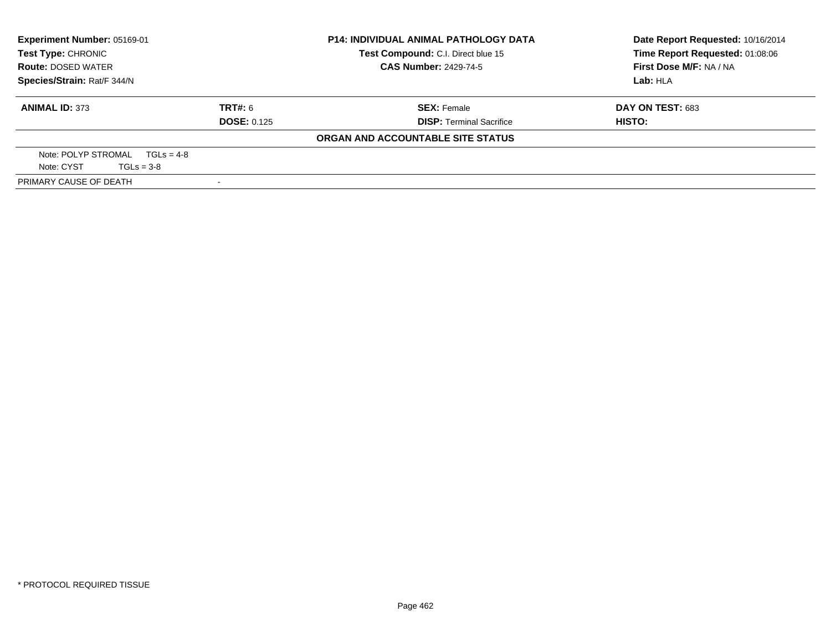| Experiment Number: 05169-01<br><b>Test Type: CHRONIC</b><br><b>Route: DOSED WATER</b> |                    | <b>P14: INDIVIDUAL ANIMAL PATHOLOGY DATA</b> | Date Report Requested: 10/16/2014 |
|---------------------------------------------------------------------------------------|--------------------|----------------------------------------------|-----------------------------------|
|                                                                                       |                    | Test Compound: C.I. Direct blue 15           | Time Report Requested: 01:08:06   |
|                                                                                       |                    | <b>CAS Number: 2429-74-5</b>                 | First Dose M/F: NA / NA           |
| Species/Strain: Rat/F 344/N                                                           |                    |                                              | Lab: HLA                          |
| <b>ANIMAL ID: 373</b>                                                                 | TRT#: 6            | <b>SEX: Female</b>                           | DAY ON TEST: 683                  |
|                                                                                       | <b>DOSE: 0.125</b> | <b>DISP: Terminal Sacrifice</b>              | HISTO:                            |
|                                                                                       |                    | ORGAN AND ACCOUNTABLE SITE STATUS            |                                   |
| Note: POLYP STROMAL $TGLS = 4-8$                                                      |                    |                                              |                                   |
| Note: CYST<br>$TGLs = 3-8$                                                            |                    |                                              |                                   |
| PRIMARY CAUSE OF DEATH                                                                |                    |                                              |                                   |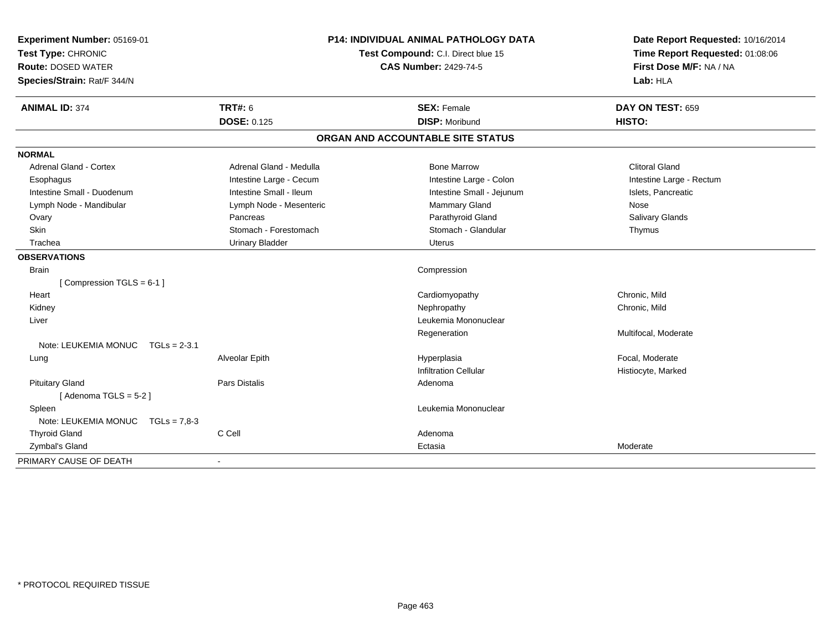| Experiment Number: 05169-01<br>Test Type: CHRONIC<br><b>Route: DOSED WATER</b><br>Species/Strain: Rat/F 344/N | <b>P14: INDIVIDUAL ANIMAL PATHOLOGY DATA</b><br>Test Compound: C.I. Direct blue 15<br><b>CAS Number: 2429-74-5</b> |                                   | Date Report Requested: 10/16/2014<br>Time Report Requested: 01:08:06<br>First Dose M/F: NA / NA<br>Lab: HLA |  |
|---------------------------------------------------------------------------------------------------------------|--------------------------------------------------------------------------------------------------------------------|-----------------------------------|-------------------------------------------------------------------------------------------------------------|--|
| <b>ANIMAL ID: 374</b>                                                                                         | <b>TRT#: 6</b>                                                                                                     | <b>SEX: Female</b>                | DAY ON TEST: 659                                                                                            |  |
|                                                                                                               | DOSE: 0.125                                                                                                        | <b>DISP: Moribund</b>             | HISTO:                                                                                                      |  |
|                                                                                                               |                                                                                                                    | ORGAN AND ACCOUNTABLE SITE STATUS |                                                                                                             |  |
| <b>NORMAL</b>                                                                                                 |                                                                                                                    |                                   |                                                                                                             |  |
| <b>Adrenal Gland - Cortex</b>                                                                                 | Adrenal Gland - Medulla                                                                                            | <b>Bone Marrow</b>                | <b>Clitoral Gland</b>                                                                                       |  |
| Esophagus                                                                                                     | Intestine Large - Cecum                                                                                            | Intestine Large - Colon           | Intestine Large - Rectum                                                                                    |  |
| Intestine Small - Duodenum                                                                                    | Intestine Small - Ileum                                                                                            | Intestine Small - Jejunum         | Islets, Pancreatic                                                                                          |  |
| Lymph Node - Mandibular                                                                                       | Lymph Node - Mesenteric                                                                                            | Mammary Gland                     | Nose                                                                                                        |  |
| Ovary                                                                                                         | Pancreas                                                                                                           | Parathyroid Gland                 | Salivary Glands                                                                                             |  |
| Skin                                                                                                          | Stomach - Forestomach                                                                                              | Stomach - Glandular               | Thymus                                                                                                      |  |
| Trachea                                                                                                       | <b>Urinary Bladder</b>                                                                                             | Uterus                            |                                                                                                             |  |
| <b>OBSERVATIONS</b>                                                                                           |                                                                                                                    |                                   |                                                                                                             |  |
| <b>Brain</b>                                                                                                  |                                                                                                                    | Compression                       |                                                                                                             |  |
| [Compression TGLS = $6-1$ ]                                                                                   |                                                                                                                    |                                   |                                                                                                             |  |
| Heart                                                                                                         |                                                                                                                    | Cardiomyopathy                    | Chronic, Mild                                                                                               |  |
| Kidney                                                                                                        |                                                                                                                    | Nephropathy                       | Chronic, Mild                                                                                               |  |
| Liver                                                                                                         |                                                                                                                    | Leukemia Mononuclear              |                                                                                                             |  |
|                                                                                                               |                                                                                                                    | Regeneration                      | Multifocal, Moderate                                                                                        |  |
| Note: LEUKEMIA MONUC<br>$TGLs = 2-3.1$                                                                        |                                                                                                                    |                                   |                                                                                                             |  |
| Lung                                                                                                          | Alveolar Epith                                                                                                     | Hyperplasia                       | Focal, Moderate                                                                                             |  |
|                                                                                                               |                                                                                                                    | <b>Infiltration Cellular</b>      | Histiocyte, Marked                                                                                          |  |
| <b>Pituitary Gland</b>                                                                                        | Pars Distalis                                                                                                      | Adenoma                           |                                                                                                             |  |
| [Adenoma TGLS = $5-2$ ]                                                                                       |                                                                                                                    |                                   |                                                                                                             |  |
| Spleen                                                                                                        |                                                                                                                    | Leukemia Mononuclear              |                                                                                                             |  |
| Note: LEUKEMIA MONUC TGLs = 7.8-3                                                                             |                                                                                                                    |                                   |                                                                                                             |  |
| <b>Thyroid Gland</b>                                                                                          | C Cell                                                                                                             | Adenoma                           |                                                                                                             |  |
| Zymbal's Gland                                                                                                |                                                                                                                    | Ectasia                           | Moderate                                                                                                    |  |
| PRIMARY CAUSE OF DEATH                                                                                        |                                                                                                                    |                                   |                                                                                                             |  |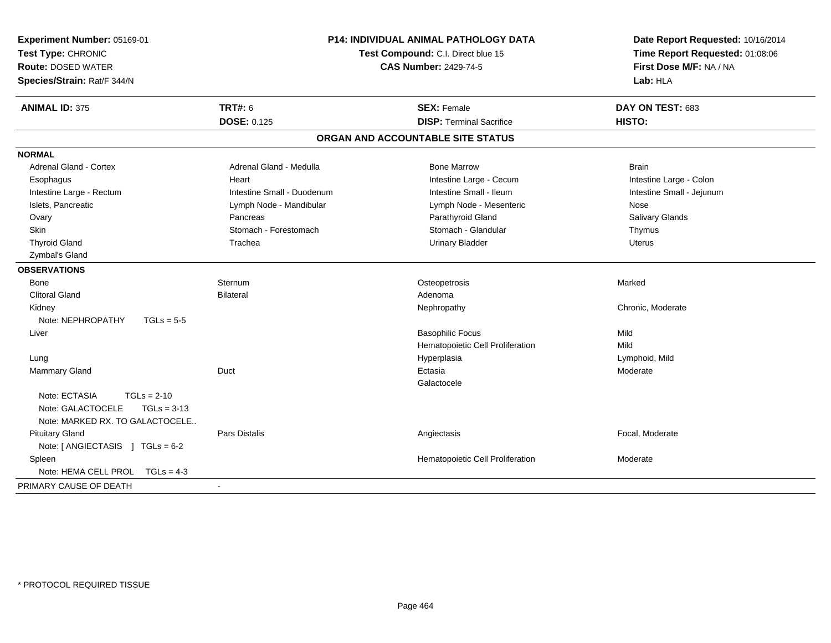| Experiment Number: 05169-01<br>Test Type: CHRONIC<br><b>Route: DOSED WATER</b><br>Species/Strain: Rat/F 344/N | P14: INDIVIDUAL ANIMAL PATHOLOGY DATA<br>Test Compound: C.I. Direct blue 15<br><b>CAS Number: 2429-74-5</b> |                                   | Date Report Requested: 10/16/2014<br>Time Report Requested: 01:08:06<br>First Dose M/F: NA / NA<br>Lab: HLA |  |
|---------------------------------------------------------------------------------------------------------------|-------------------------------------------------------------------------------------------------------------|-----------------------------------|-------------------------------------------------------------------------------------------------------------|--|
| <b>ANIMAL ID: 375</b>                                                                                         | <b>TRT#: 6</b>                                                                                              | <b>SEX: Female</b>                | DAY ON TEST: 683                                                                                            |  |
|                                                                                                               | <b>DOSE: 0.125</b>                                                                                          | <b>DISP: Terminal Sacrifice</b>   | <b>HISTO:</b>                                                                                               |  |
|                                                                                                               |                                                                                                             | ORGAN AND ACCOUNTABLE SITE STATUS |                                                                                                             |  |
| <b>NORMAL</b>                                                                                                 |                                                                                                             |                                   |                                                                                                             |  |
| Adrenal Gland - Cortex                                                                                        | Adrenal Gland - Medulla                                                                                     | <b>Bone Marrow</b>                | <b>Brain</b>                                                                                                |  |
| Esophagus                                                                                                     | Heart                                                                                                       | Intestine Large - Cecum           | Intestine Large - Colon                                                                                     |  |
| Intestine Large - Rectum                                                                                      | Intestine Small - Duodenum                                                                                  | Intestine Small - Ileum           | Intestine Small - Jejunum                                                                                   |  |
| Islets, Pancreatic                                                                                            | Lymph Node - Mandibular                                                                                     | Lymph Node - Mesenteric           | Nose                                                                                                        |  |
| Ovary                                                                                                         | Pancreas                                                                                                    | Parathyroid Gland                 | Salivary Glands                                                                                             |  |
| <b>Skin</b>                                                                                                   | Stomach - Forestomach                                                                                       | Stomach - Glandular               | Thymus                                                                                                      |  |
| <b>Thyroid Gland</b>                                                                                          | Trachea                                                                                                     | <b>Urinary Bladder</b>            | Uterus                                                                                                      |  |
| Zymbal's Gland                                                                                                |                                                                                                             |                                   |                                                                                                             |  |
| <b>OBSERVATIONS</b>                                                                                           |                                                                                                             |                                   |                                                                                                             |  |
| Bone                                                                                                          | Sternum                                                                                                     | Osteopetrosis                     | Marked                                                                                                      |  |
| <b>Clitoral Gland</b>                                                                                         | <b>Bilateral</b>                                                                                            | Adenoma                           |                                                                                                             |  |
| Kidney                                                                                                        |                                                                                                             | Nephropathy                       | Chronic, Moderate                                                                                           |  |
| Note: NEPHROPATHY<br>$TGLs = 5-5$                                                                             |                                                                                                             |                                   |                                                                                                             |  |
| Liver                                                                                                         |                                                                                                             | <b>Basophilic Focus</b>           | Mild                                                                                                        |  |
|                                                                                                               |                                                                                                             | Hematopoietic Cell Proliferation  | Mild                                                                                                        |  |
| Lung                                                                                                          |                                                                                                             | Hyperplasia                       | Lymphoid, Mild                                                                                              |  |
| Mammary Gland                                                                                                 | Duct                                                                                                        | Ectasia                           | Moderate                                                                                                    |  |
|                                                                                                               |                                                                                                             | Galactocele                       |                                                                                                             |  |
| Note: ECTASIA<br>$TGLs = 2-10$                                                                                |                                                                                                             |                                   |                                                                                                             |  |
| Note: GALACTOCELE<br>$TGLs = 3-13$                                                                            |                                                                                                             |                                   |                                                                                                             |  |
| Note: MARKED RX. TO GALACTOCELE                                                                               |                                                                                                             |                                   |                                                                                                             |  |
| <b>Pituitary Gland</b>                                                                                        | Pars Distalis                                                                                               | Angiectasis                       | Focal, Moderate                                                                                             |  |
| Note: $[$ ANGIECTASIS $]$ TGLs = 6-2                                                                          |                                                                                                             |                                   |                                                                                                             |  |
| Spleen                                                                                                        |                                                                                                             | Hematopoietic Cell Proliferation  | Moderate                                                                                                    |  |
| Note: HEMA CELL PROL<br>$TGLs = 4-3$                                                                          |                                                                                                             |                                   |                                                                                                             |  |
| PRIMARY CAUSE OF DEATH                                                                                        |                                                                                                             |                                   |                                                                                                             |  |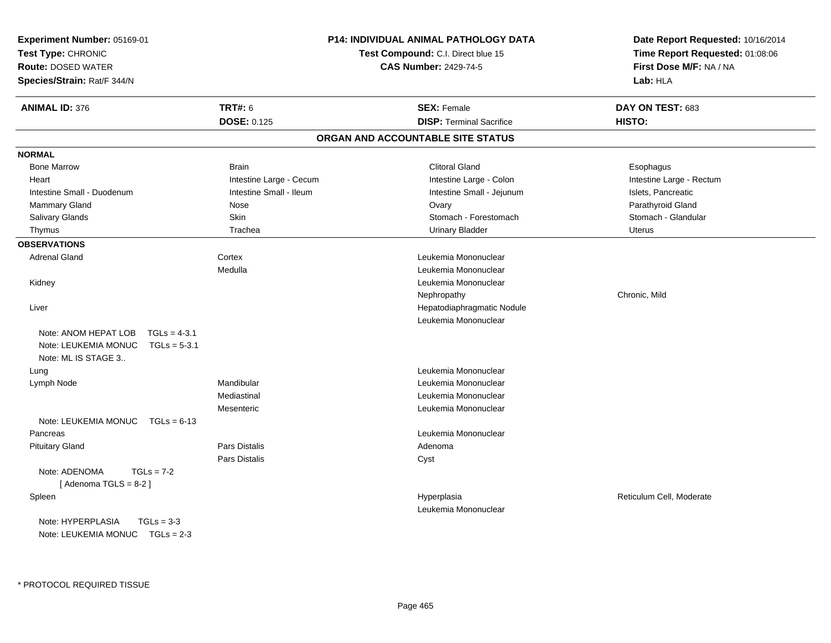| Experiment Number: 05169-01<br>Test Type: CHRONIC<br><b>Route: DOSED WATER</b><br>Species/Strain: Rat/F 344/N |                         | P14: INDIVIDUAL ANIMAL PATHOLOGY DATA<br>Test Compound: C.I. Direct blue 15<br><b>CAS Number: 2429-74-5</b> | Date Report Requested: 10/16/2014<br>Time Report Requested: 01:08:06<br>First Dose M/F: NA / NA<br>Lab: HLA |
|---------------------------------------------------------------------------------------------------------------|-------------------------|-------------------------------------------------------------------------------------------------------------|-------------------------------------------------------------------------------------------------------------|
| <b>ANIMAL ID: 376</b>                                                                                         | <b>TRT#: 6</b>          | <b>SEX: Female</b>                                                                                          | DAY ON TEST: 683                                                                                            |
|                                                                                                               | <b>DOSE: 0.125</b>      | <b>DISP: Terminal Sacrifice</b>                                                                             | HISTO:                                                                                                      |
|                                                                                                               |                         | ORGAN AND ACCOUNTABLE SITE STATUS                                                                           |                                                                                                             |
| <b>NORMAL</b>                                                                                                 |                         |                                                                                                             |                                                                                                             |
| <b>Bone Marrow</b>                                                                                            | <b>Brain</b>            | <b>Clitoral Gland</b>                                                                                       | Esophagus                                                                                                   |
| Heart                                                                                                         | Intestine Large - Cecum | Intestine Large - Colon                                                                                     | Intestine Large - Rectum                                                                                    |
| Intestine Small - Duodenum                                                                                    | Intestine Small - Ileum | Intestine Small - Jejunum                                                                                   | Islets, Pancreatic                                                                                          |
| <b>Mammary Gland</b>                                                                                          | Nose                    | Ovary                                                                                                       | Parathyroid Gland                                                                                           |
| Salivary Glands                                                                                               | Skin                    | Stomach - Forestomach                                                                                       | Stomach - Glandular                                                                                         |
| Thymus                                                                                                        | Trachea                 | <b>Urinary Bladder</b>                                                                                      | <b>Uterus</b>                                                                                               |
| <b>OBSERVATIONS</b>                                                                                           |                         |                                                                                                             |                                                                                                             |
| <b>Adrenal Gland</b>                                                                                          | Cortex                  | Leukemia Mononuclear                                                                                        |                                                                                                             |
|                                                                                                               | Medulla                 | Leukemia Mononuclear                                                                                        |                                                                                                             |
| Kidney                                                                                                        |                         | Leukemia Mononuclear                                                                                        |                                                                                                             |
|                                                                                                               |                         | Nephropathy                                                                                                 | Chronic, Mild                                                                                               |
| Liver                                                                                                         |                         | Hepatodiaphragmatic Nodule                                                                                  |                                                                                                             |
|                                                                                                               |                         | Leukemia Mononuclear                                                                                        |                                                                                                             |
| Note: ANOM HEPAT LOB<br>$TGLs = 4-3.1$<br>Note: LEUKEMIA MONUC<br>$TGLs = 5-3.1$<br>Note: ML IS STAGE 3       |                         |                                                                                                             |                                                                                                             |
| Lung                                                                                                          |                         | Leukemia Mononuclear                                                                                        |                                                                                                             |
| Lymph Node                                                                                                    | Mandibular              | Leukemia Mononuclear                                                                                        |                                                                                                             |
|                                                                                                               | Mediastinal             | Leukemia Mononuclear                                                                                        |                                                                                                             |
|                                                                                                               | Mesenteric              | Leukemia Mononuclear                                                                                        |                                                                                                             |
| Note: LEUKEMIA MONUC $TGLs = 6-13$                                                                            |                         |                                                                                                             |                                                                                                             |
| Pancreas                                                                                                      |                         | Leukemia Mononuclear                                                                                        |                                                                                                             |
| <b>Pituitary Gland</b>                                                                                        | Pars Distalis           | Adenoma                                                                                                     |                                                                                                             |
|                                                                                                               | Pars Distalis           | Cyst                                                                                                        |                                                                                                             |
| Note: ADENOMA<br>$TGLs = 7-2$<br>[Adenoma TGLS = $8-2$ ]                                                      |                         |                                                                                                             |                                                                                                             |
| Spleen                                                                                                        |                         | Hyperplasia                                                                                                 | Reticulum Cell, Moderate                                                                                    |
|                                                                                                               |                         | Leukemia Mononuclear                                                                                        |                                                                                                             |
| Note: HYPERPLASIA<br>$TGLs = 3-3$                                                                             |                         |                                                                                                             |                                                                                                             |
| Note: LEUKEMIA MONUC TGLs = 2-3                                                                               |                         |                                                                                                             |                                                                                                             |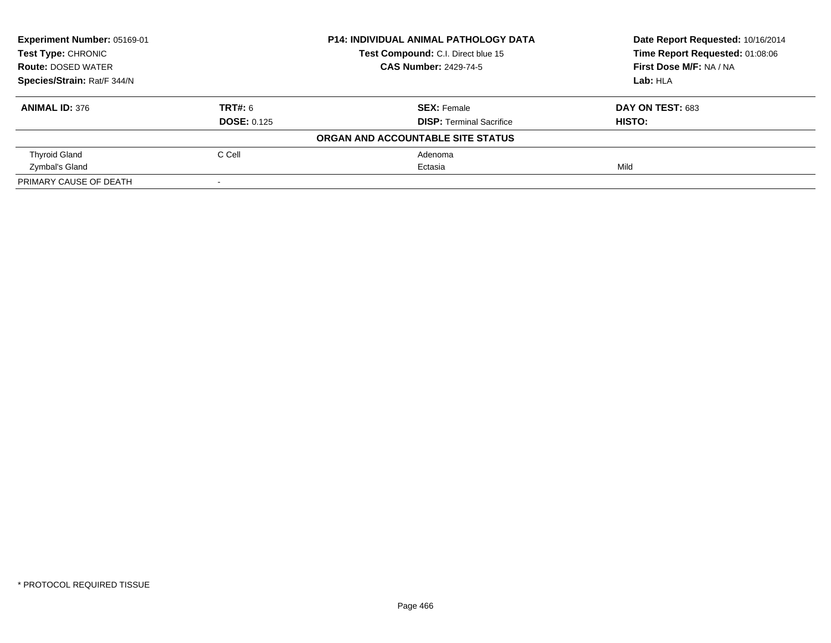| Experiment Number: 05169-01<br><b>Test Type: CHRONIC</b> |                    | <b>P14: INDIVIDUAL ANIMAL PATHOLOGY DATA</b> | Date Report Requested: 10/16/2014 |
|----------------------------------------------------------|--------------------|----------------------------------------------|-----------------------------------|
|                                                          |                    | Test Compound: C.I. Direct blue 15           | Time Report Requested: 01:08:06   |
| <b>Route: DOSED WATER</b>                                |                    | <b>CAS Number: 2429-74-5</b>                 | First Dose M/F: NA / NA           |
| Species/Strain: Rat/F 344/N                              |                    |                                              | Lab: HLA                          |
| <b>ANIMAL ID: 376</b>                                    | TRT#: 6            | <b>SEX:</b> Female                           | <b>DAY ON TEST: 683</b>           |
|                                                          | <b>DOSE: 0.125</b> | <b>DISP:</b> Terminal Sacrifice              | HISTO:                            |
|                                                          |                    | ORGAN AND ACCOUNTABLE SITE STATUS            |                                   |
| <b>Thyroid Gland</b>                                     | C Cell             | Adenoma                                      |                                   |
| Zymbal's Gland                                           |                    | Ectasia                                      | Mild                              |
| PRIMARY CAUSE OF DEATH                                   |                    |                                              |                                   |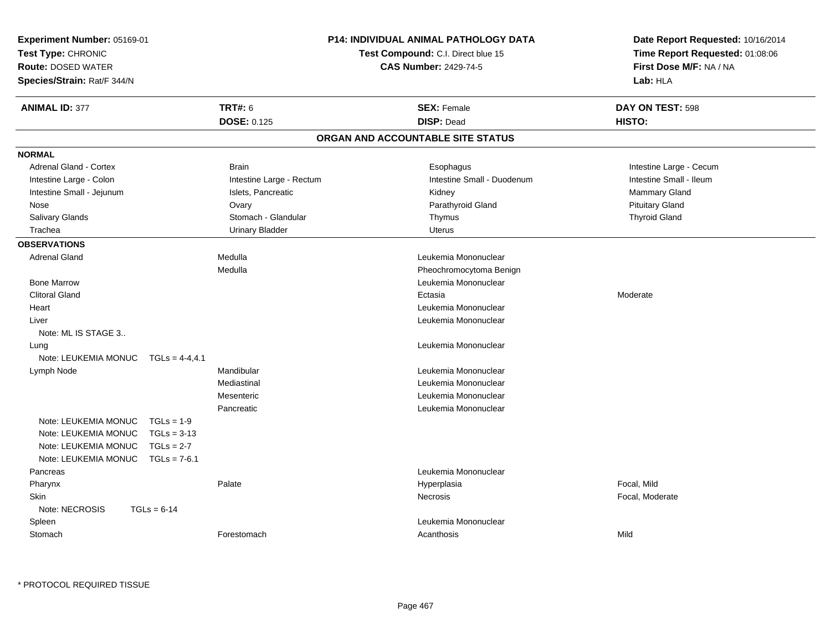| Experiment Number: 05169-01<br>Test Type: CHRONIC<br><b>Route: DOSED WATER</b><br>Species/Strain: Rat/F 344/N |                          | <b>P14: INDIVIDUAL ANIMAL PATHOLOGY DATA</b><br>Test Compound: C.I. Direct blue 15<br><b>CAS Number: 2429-74-5</b> | Date Report Requested: 10/16/2014<br>Time Report Requested: 01:08:06<br>First Dose M/F: NA / NA<br>Lab: HLA |
|---------------------------------------------------------------------------------------------------------------|--------------------------|--------------------------------------------------------------------------------------------------------------------|-------------------------------------------------------------------------------------------------------------|
| <b>ANIMAL ID: 377</b>                                                                                         | <b>TRT#: 6</b>           | <b>SEX: Female</b>                                                                                                 | DAY ON TEST: 598                                                                                            |
|                                                                                                               | <b>DOSE: 0.125</b>       | <b>DISP: Dead</b>                                                                                                  | HISTO:                                                                                                      |
|                                                                                                               |                          | ORGAN AND ACCOUNTABLE SITE STATUS                                                                                  |                                                                                                             |
| <b>NORMAL</b>                                                                                                 |                          |                                                                                                                    |                                                                                                             |
| Adrenal Gland - Cortex                                                                                        | <b>Brain</b>             | Esophagus                                                                                                          | Intestine Large - Cecum                                                                                     |
| Intestine Large - Colon                                                                                       | Intestine Large - Rectum | Intestine Small - Duodenum                                                                                         | Intestine Small - Ileum                                                                                     |
| Intestine Small - Jejunum                                                                                     | Islets, Pancreatic       | Kidney                                                                                                             | Mammary Gland                                                                                               |
| Nose                                                                                                          | Ovary                    | Parathyroid Gland                                                                                                  | <b>Pituitary Gland</b>                                                                                      |
| Salivary Glands                                                                                               | Stomach - Glandular      | Thymus                                                                                                             | <b>Thyroid Gland</b>                                                                                        |
| Trachea                                                                                                       | <b>Urinary Bladder</b>   | <b>Uterus</b>                                                                                                      |                                                                                                             |
| <b>OBSERVATIONS</b>                                                                                           |                          |                                                                                                                    |                                                                                                             |
| <b>Adrenal Gland</b>                                                                                          | Medulla                  | Leukemia Mononuclear                                                                                               |                                                                                                             |
|                                                                                                               | Medulla                  | Pheochromocytoma Benign                                                                                            |                                                                                                             |
| <b>Bone Marrow</b>                                                                                            |                          | Leukemia Mononuclear                                                                                               |                                                                                                             |
| <b>Clitoral Gland</b>                                                                                         |                          | Ectasia                                                                                                            | Moderate                                                                                                    |
| Heart                                                                                                         |                          | Leukemia Mononuclear                                                                                               |                                                                                                             |
| Liver                                                                                                         |                          | Leukemia Mononuclear                                                                                               |                                                                                                             |
| Note: ML IS STAGE 3                                                                                           |                          |                                                                                                                    |                                                                                                             |
| Lung                                                                                                          |                          | Leukemia Mononuclear                                                                                               |                                                                                                             |
| Note: LEUKEMIA MONUC TGLs = 4-4,4.1                                                                           |                          |                                                                                                                    |                                                                                                             |
| Lymph Node                                                                                                    | Mandibular               | Leukemia Mononuclear                                                                                               |                                                                                                             |
|                                                                                                               | Mediastinal              | Leukemia Mononuclear                                                                                               |                                                                                                             |
|                                                                                                               | Mesenteric               | Leukemia Mononuclear                                                                                               |                                                                                                             |
|                                                                                                               | Pancreatic               | Leukemia Mononuclear                                                                                               |                                                                                                             |
| Note: LEUKEMIA MONUC<br>$TGLs = 1-9$                                                                          |                          |                                                                                                                    |                                                                                                             |
| Note: LEUKEMIA MONUC<br>$TGLs = 3-13$                                                                         |                          |                                                                                                                    |                                                                                                             |
| Note: LEUKEMIA MONUC<br>$TGLs = 2-7$                                                                          |                          |                                                                                                                    |                                                                                                             |
| Note: LEUKEMIA MONUC<br>$TGLs = 7-6.1$                                                                        |                          |                                                                                                                    |                                                                                                             |
| Pancreas                                                                                                      |                          | Leukemia Mononuclear                                                                                               |                                                                                                             |
| Pharynx                                                                                                       | Palate                   | Hyperplasia                                                                                                        | Focal, Mild                                                                                                 |
| <b>Skin</b>                                                                                                   |                          | Necrosis                                                                                                           | Focal, Moderate                                                                                             |
| Note: NECROSIS<br>$TGLs = 6-14$                                                                               |                          |                                                                                                                    |                                                                                                             |
| Spleen                                                                                                        |                          | Leukemia Mononuclear                                                                                               |                                                                                                             |
| Stomach                                                                                                       | Forestomach              | Acanthosis                                                                                                         | Mild                                                                                                        |
|                                                                                                               |                          |                                                                                                                    |                                                                                                             |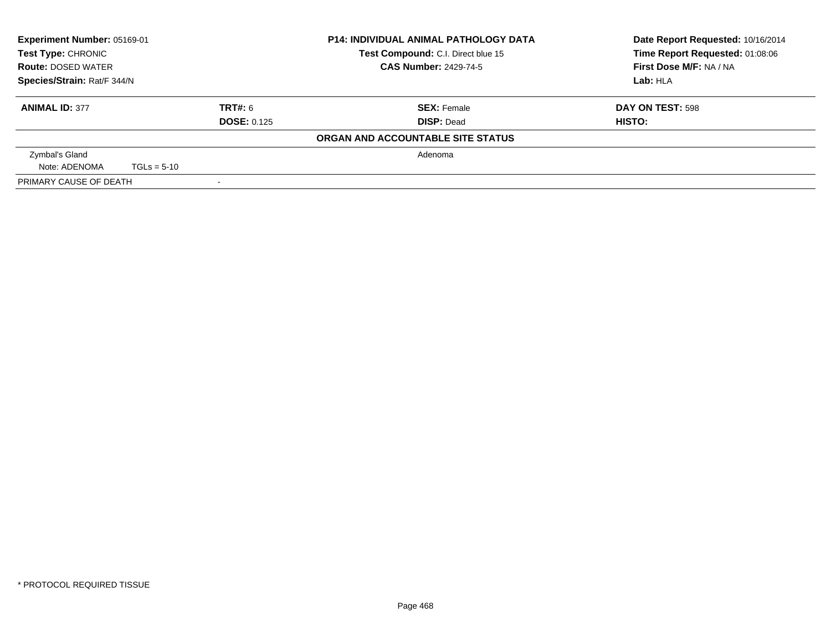| Experiment Number: 05169-01<br><b>Test Type: CHRONIC</b><br><b>Route: DOSED WATER</b> |               |                              | <b>P14: INDIVIDUAL ANIMAL PATHOLOGY DATA</b> | Date Report Requested: 10/16/2014 |
|---------------------------------------------------------------------------------------|---------------|------------------------------|----------------------------------------------|-----------------------------------|
|                                                                                       |               |                              | Test Compound: C.I. Direct blue 15           | Time Report Requested: 01:08:06   |
|                                                                                       |               | <b>CAS Number: 2429-74-5</b> | First Dose M/F: NA / NA                      |                                   |
| Species/Strain: Rat/F 344/N                                                           |               |                              | Lab: HLA                                     |                                   |
| <b>ANIMAL ID: 377</b>                                                                 |               | TRT#: 6                      | <b>SEX: Female</b>                           | DAY ON TEST: 598                  |
| <b>DOSE: 0.125</b>                                                                    |               |                              | <b>DISP: Dead</b>                            | HISTO:                            |
|                                                                                       |               |                              | ORGAN AND ACCOUNTABLE SITE STATUS            |                                   |
| Zymbal's Gland                                                                        |               |                              | Adenoma                                      |                                   |
| Note: ADENOMA                                                                         | $TGLs = 5-10$ |                              |                                              |                                   |
| PRIMARY CAUSE OF DEATH                                                                |               |                              |                                              |                                   |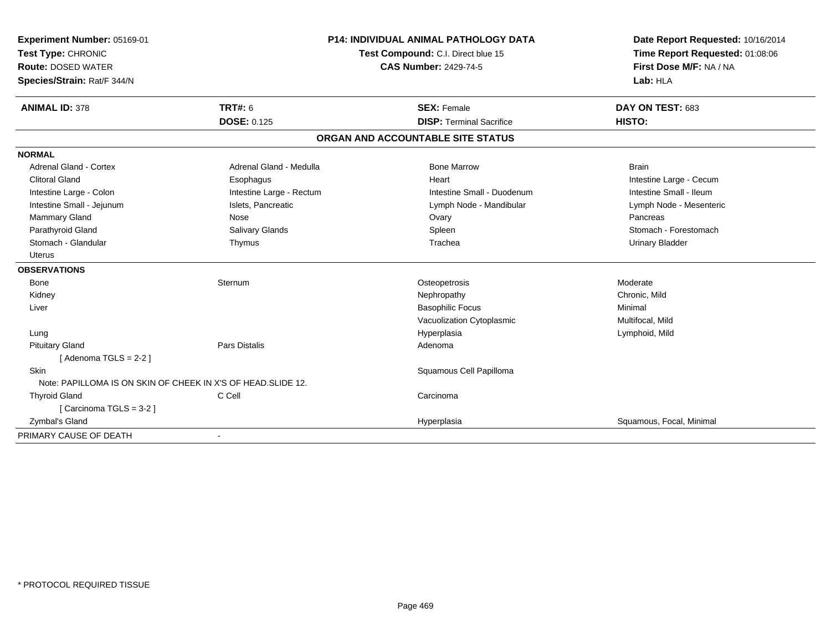| <b>Experiment Number: 05169-01</b><br>Test Type: CHRONIC<br><b>Route: DOSED WATER</b><br>Species/Strain: Rat/F 344/N |                          | <b>P14: INDIVIDUAL ANIMAL PATHOLOGY DATA</b><br>Test Compound: C.I. Direct blue 15<br><b>CAS Number: 2429-74-5</b> | Date Report Requested: 10/16/2014<br>Time Report Requested: 01:08:06<br>First Dose M/F: NA / NA<br>Lab: HLA |
|----------------------------------------------------------------------------------------------------------------------|--------------------------|--------------------------------------------------------------------------------------------------------------------|-------------------------------------------------------------------------------------------------------------|
| <b>ANIMAL ID: 378</b>                                                                                                | <b>TRT#: 6</b>           | <b>SEX: Female</b>                                                                                                 | DAY ON TEST: 683                                                                                            |
|                                                                                                                      | <b>DOSE: 0.125</b>       | <b>DISP: Terminal Sacrifice</b>                                                                                    | HISTO:                                                                                                      |
|                                                                                                                      |                          | ORGAN AND ACCOUNTABLE SITE STATUS                                                                                  |                                                                                                             |
| <b>NORMAL</b>                                                                                                        |                          |                                                                                                                    |                                                                                                             |
| <b>Adrenal Gland - Cortex</b>                                                                                        | Adrenal Gland - Medulla  | <b>Bone Marrow</b>                                                                                                 | <b>Brain</b>                                                                                                |
| <b>Clitoral Gland</b>                                                                                                | Esophagus                | Heart                                                                                                              | Intestine Large - Cecum                                                                                     |
| Intestine Large - Colon                                                                                              | Intestine Large - Rectum | Intestine Small - Duodenum                                                                                         | Intestine Small - Ileum                                                                                     |
| Intestine Small - Jejunum                                                                                            | Islets, Pancreatic       | Lymph Node - Mandibular                                                                                            | Lymph Node - Mesenteric                                                                                     |
| Mammary Gland                                                                                                        | Nose                     | Ovary                                                                                                              | Pancreas                                                                                                    |
| Parathyroid Gland                                                                                                    | Salivary Glands          | Spleen                                                                                                             | Stomach - Forestomach                                                                                       |
| Stomach - Glandular                                                                                                  | Thymus                   | Trachea                                                                                                            | <b>Urinary Bladder</b>                                                                                      |
| Uterus                                                                                                               |                          |                                                                                                                    |                                                                                                             |
| <b>OBSERVATIONS</b>                                                                                                  |                          |                                                                                                                    |                                                                                                             |
| <b>Bone</b>                                                                                                          | Sternum                  | Osteopetrosis                                                                                                      | Moderate                                                                                                    |
| Kidney                                                                                                               |                          | Nephropathy                                                                                                        | Chronic, Mild                                                                                               |
| Liver                                                                                                                |                          | <b>Basophilic Focus</b>                                                                                            | Minimal                                                                                                     |
|                                                                                                                      |                          | Vacuolization Cytoplasmic                                                                                          | Multifocal, Mild                                                                                            |
| Lung                                                                                                                 |                          | Hyperplasia                                                                                                        | Lymphoid, Mild                                                                                              |
| <b>Pituitary Gland</b>                                                                                               | <b>Pars Distalis</b>     | Adenoma                                                                                                            |                                                                                                             |
| [Adenoma TGLS = $2-2$ ]                                                                                              |                          |                                                                                                                    |                                                                                                             |
| <b>Skin</b>                                                                                                          |                          | Squamous Cell Papilloma                                                                                            |                                                                                                             |
| Note: PAPILLOMA IS ON SKIN OF CHEEK IN X'S OF HEAD. SLIDE 12.                                                        |                          |                                                                                                                    |                                                                                                             |
| <b>Thyroid Gland</b>                                                                                                 | C Cell                   | Carcinoma                                                                                                          |                                                                                                             |
| [Carcinoma TGLS = 3-2]                                                                                               |                          |                                                                                                                    |                                                                                                             |
| Zymbal's Gland                                                                                                       |                          | Hyperplasia                                                                                                        | Squamous, Focal, Minimal                                                                                    |
| PRIMARY CAUSE OF DEATH                                                                                               |                          |                                                                                                                    |                                                                                                             |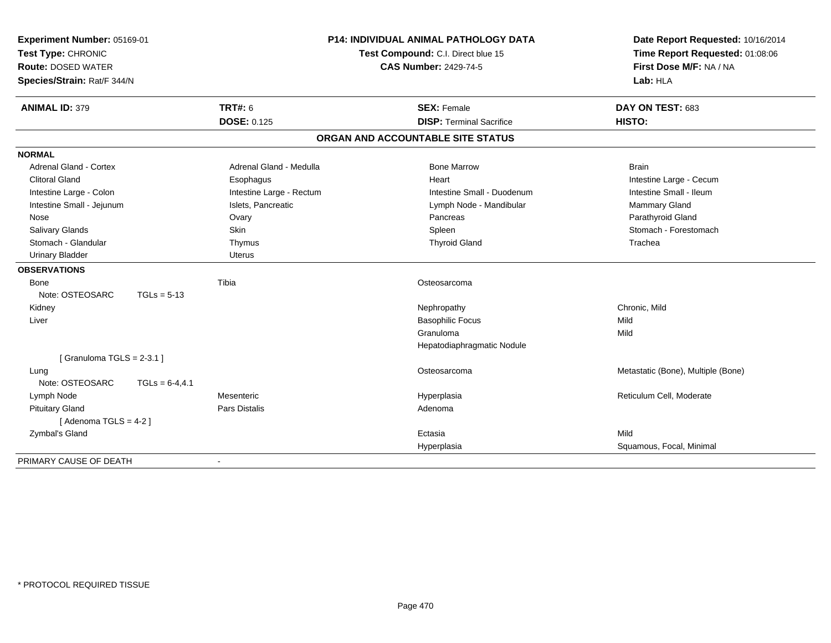| Experiment Number: 05169-01<br>Test Type: CHRONIC |                   |                          | <b>P14: INDIVIDUAL ANIMAL PATHOLOGY DATA</b> | Date Report Requested: 10/16/2014  |
|---------------------------------------------------|-------------------|--------------------------|----------------------------------------------|------------------------------------|
|                                                   |                   |                          | Test Compound: C.I. Direct blue 15           | Time Report Requested: 01:08:06    |
| <b>Route: DOSED WATER</b>                         |                   |                          | <b>CAS Number: 2429-74-5</b>                 | First Dose M/F: NA / NA            |
| Species/Strain: Rat/F 344/N                       |                   |                          |                                              | Lab: HLA                           |
| <b>ANIMAL ID: 379</b>                             |                   | <b>TRT#: 6</b>           | <b>SEX: Female</b>                           | DAY ON TEST: 683                   |
|                                                   |                   | <b>DOSE: 0.125</b>       | <b>DISP: Terminal Sacrifice</b>              | HISTO:                             |
|                                                   |                   |                          | ORGAN AND ACCOUNTABLE SITE STATUS            |                                    |
| <b>NORMAL</b>                                     |                   |                          |                                              |                                    |
| <b>Adrenal Gland - Cortex</b>                     |                   | Adrenal Gland - Medulla  | <b>Bone Marrow</b>                           | <b>Brain</b>                       |
| <b>Clitoral Gland</b>                             |                   | Esophagus                | Heart                                        | Intestine Large - Cecum            |
| Intestine Large - Colon                           |                   | Intestine Large - Rectum | Intestine Small - Duodenum                   | Intestine Small - Ileum            |
| Intestine Small - Jejunum                         |                   | Islets, Pancreatic       | Lymph Node - Mandibular                      | Mammary Gland                      |
| Nose                                              |                   | Ovary                    | Pancreas                                     | Parathyroid Gland                  |
| <b>Salivary Glands</b>                            |                   | Skin                     | Spleen                                       | Stomach - Forestomach              |
| Stomach - Glandular                               |                   | Thymus                   | <b>Thyroid Gland</b>                         | Trachea                            |
| <b>Urinary Bladder</b>                            |                   | <b>Uterus</b>            |                                              |                                    |
| <b>OBSERVATIONS</b>                               |                   |                          |                                              |                                    |
| Bone                                              |                   | Tibia                    | Osteosarcoma                                 |                                    |
| Note: OSTEOSARC                                   | $TGLs = 5-13$     |                          |                                              |                                    |
| Kidney                                            |                   |                          | Nephropathy                                  | Chronic, Mild                      |
| Liver                                             |                   |                          | <b>Basophilic Focus</b>                      | Mild                               |
|                                                   |                   |                          | Granuloma                                    | Mild                               |
|                                                   |                   |                          | Hepatodiaphragmatic Nodule                   |                                    |
| [ Granuloma TGLS = $2-3.1$ ]                      |                   |                          |                                              |                                    |
| Lung                                              |                   |                          | Osteosarcoma                                 | Metastatic (Bone), Multiple (Bone) |
| Note: OSTEOSARC                                   | $TGLs = 6-4, 4.1$ |                          |                                              |                                    |
| Lymph Node                                        |                   | Mesenteric               | Hyperplasia                                  | Reticulum Cell, Moderate           |
| <b>Pituitary Gland</b>                            |                   | <b>Pars Distalis</b>     | Adenoma                                      |                                    |
| [Adenoma TGLS = $4-2$ ]                           |                   |                          |                                              |                                    |
| Zymbal's Gland                                    |                   |                          | Ectasia                                      | Mild                               |
|                                                   |                   |                          | Hyperplasia                                  | Squamous, Focal, Minimal           |
| PRIMARY CAUSE OF DEATH                            |                   |                          |                                              |                                    |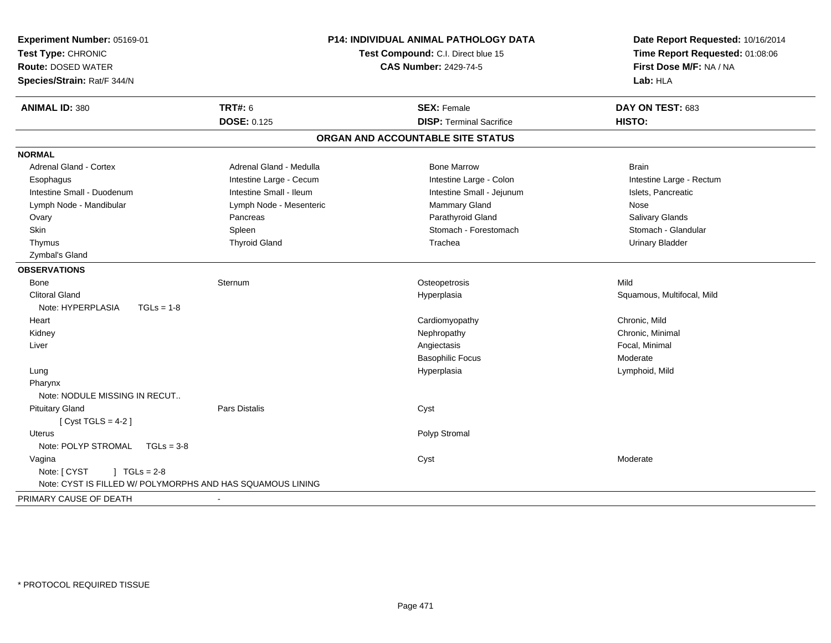| Experiment Number: 05169-01<br>Test Type: CHRONIC<br><b>Route: DOSED WATER</b><br>Species/Strain: Rat/F 344/N | <b>P14: INDIVIDUAL ANIMAL PATHOLOGY DATA</b><br>Test Compound: C.I. Direct blue 15<br><b>CAS Number: 2429-74-5</b> |                                   | Date Report Requested: 10/16/2014<br>Time Report Requested: 01:08:06<br>First Dose M/F: NA / NA<br>Lab: HLA |
|---------------------------------------------------------------------------------------------------------------|--------------------------------------------------------------------------------------------------------------------|-----------------------------------|-------------------------------------------------------------------------------------------------------------|
|                                                                                                               | <b>TRT#: 6</b>                                                                                                     | <b>SEX: Female</b>                | DAY ON TEST: 683                                                                                            |
| <b>ANIMAL ID: 380</b>                                                                                         | <b>DOSE: 0.125</b>                                                                                                 | <b>DISP: Terminal Sacrifice</b>   | HISTO:                                                                                                      |
|                                                                                                               |                                                                                                                    |                                   |                                                                                                             |
|                                                                                                               |                                                                                                                    | ORGAN AND ACCOUNTABLE SITE STATUS |                                                                                                             |
| <b>NORMAL</b>                                                                                                 |                                                                                                                    |                                   |                                                                                                             |
| Adrenal Gland - Cortex                                                                                        | Adrenal Gland - Medulla                                                                                            | <b>Bone Marrow</b>                | <b>Brain</b>                                                                                                |
| Esophagus                                                                                                     | Intestine Large - Cecum                                                                                            | Intestine Large - Colon           | Intestine Large - Rectum                                                                                    |
| Intestine Small - Duodenum                                                                                    | Intestine Small - Ileum                                                                                            | Intestine Small - Jejunum         | Islets, Pancreatic                                                                                          |
| Lymph Node - Mandibular                                                                                       | Lymph Node - Mesenteric                                                                                            | Mammary Gland                     | Nose                                                                                                        |
| Ovary                                                                                                         | Pancreas                                                                                                           | Parathyroid Gland                 | Salivary Glands                                                                                             |
| Skin                                                                                                          | Spleen                                                                                                             | Stomach - Forestomach             | Stomach - Glandular                                                                                         |
| Thymus                                                                                                        | <b>Thyroid Gland</b>                                                                                               | Trachea                           | <b>Urinary Bladder</b>                                                                                      |
| Zymbal's Gland                                                                                                |                                                                                                                    |                                   |                                                                                                             |
| <b>OBSERVATIONS</b>                                                                                           |                                                                                                                    |                                   |                                                                                                             |
| Bone                                                                                                          | Sternum                                                                                                            | Osteopetrosis                     | Mild                                                                                                        |
| <b>Clitoral Gland</b>                                                                                         |                                                                                                                    | Hyperplasia                       | Squamous, Multifocal, Mild                                                                                  |
| Note: HYPERPLASIA<br>$TGLs = 1-8$                                                                             |                                                                                                                    |                                   |                                                                                                             |
| Heart                                                                                                         |                                                                                                                    | Cardiomyopathy                    | Chronic, Mild                                                                                               |
| Kidney                                                                                                        |                                                                                                                    | Nephropathy                       | Chronic, Minimal                                                                                            |
| Liver                                                                                                         |                                                                                                                    | Angiectasis                       | Focal, Minimal                                                                                              |
|                                                                                                               |                                                                                                                    | <b>Basophilic Focus</b>           | Moderate                                                                                                    |
| Lung                                                                                                          |                                                                                                                    | Hyperplasia                       | Lymphoid, Mild                                                                                              |
| Pharynx                                                                                                       |                                                                                                                    |                                   |                                                                                                             |
| Note: NODULE MISSING IN RECUT                                                                                 |                                                                                                                    |                                   |                                                                                                             |
| <b>Pituitary Gland</b>                                                                                        | <b>Pars Distalis</b>                                                                                               | Cyst                              |                                                                                                             |
| [Cyst TGLS = $4-2$ ]                                                                                          |                                                                                                                    |                                   |                                                                                                             |
| Uterus                                                                                                        |                                                                                                                    | Polyp Stromal                     |                                                                                                             |
| Note: POLYP STROMAL<br>$TGLs = 3-8$                                                                           |                                                                                                                    |                                   |                                                                                                             |
| Vagina                                                                                                        |                                                                                                                    | Cyst                              | Moderate                                                                                                    |
| Note: [ CYST<br>$1 TGLs = 2-8$                                                                                |                                                                                                                    |                                   |                                                                                                             |
| Note: CYST IS FILLED W/ POLYMORPHS AND HAS SQUAMOUS LINING                                                    |                                                                                                                    |                                   |                                                                                                             |
| PRIMARY CAUSE OF DEATH                                                                                        |                                                                                                                    |                                   |                                                                                                             |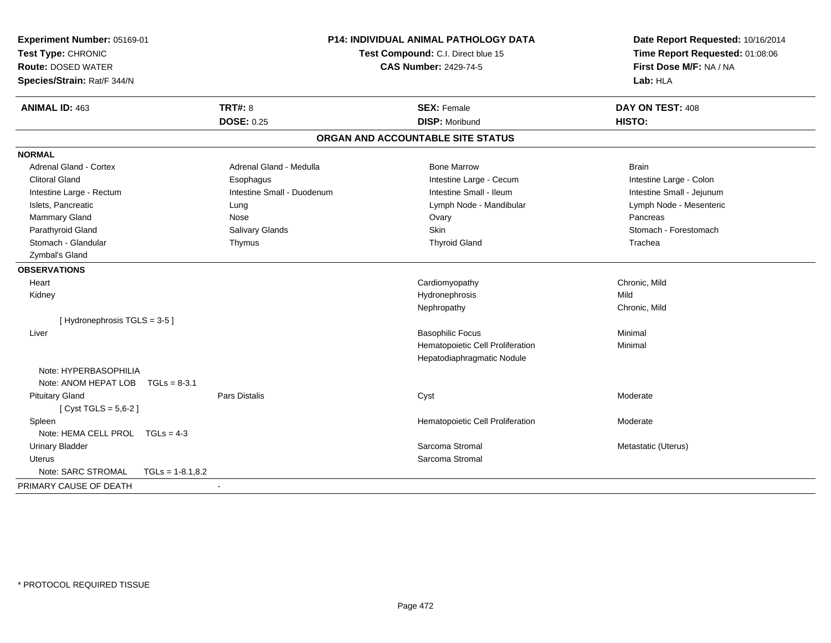| Experiment Number: 05169-01<br>Test Type: CHRONIC<br><b>Route: DOSED WATER</b><br>Species/Strain: Rat/F 344/N |                    |                            | <b>P14: INDIVIDUAL ANIMAL PATHOLOGY DATA</b><br>Test Compound: C.I. Direct blue 15<br><b>CAS Number: 2429-74-5</b> |                                   | Date Report Requested: 10/16/2014<br>Time Report Requested: 01:08:06<br>First Dose M/F: NA / NA<br>Lab: HLA |  |
|---------------------------------------------------------------------------------------------------------------|--------------------|----------------------------|--------------------------------------------------------------------------------------------------------------------|-----------------------------------|-------------------------------------------------------------------------------------------------------------|--|
| <b>ANIMAL ID: 463</b>                                                                                         |                    | <b>TRT#: 8</b>             |                                                                                                                    | <b>SEX: Female</b>                | DAY ON TEST: 408                                                                                            |  |
|                                                                                                               |                    | <b>DOSE: 0.25</b>          |                                                                                                                    | <b>DISP: Moribund</b>             | HISTO:                                                                                                      |  |
|                                                                                                               |                    |                            |                                                                                                                    | ORGAN AND ACCOUNTABLE SITE STATUS |                                                                                                             |  |
| <b>NORMAL</b>                                                                                                 |                    |                            |                                                                                                                    |                                   |                                                                                                             |  |
| <b>Adrenal Gland - Cortex</b>                                                                                 |                    | Adrenal Gland - Medulla    |                                                                                                                    | <b>Bone Marrow</b>                | <b>Brain</b>                                                                                                |  |
| <b>Clitoral Gland</b>                                                                                         |                    | Esophagus                  |                                                                                                                    | Intestine Large - Cecum           | Intestine Large - Colon                                                                                     |  |
| Intestine Large - Rectum                                                                                      |                    | Intestine Small - Duodenum |                                                                                                                    | Intestine Small - Ileum           | Intestine Small - Jejunum                                                                                   |  |
| Islets, Pancreatic                                                                                            |                    | Lung                       |                                                                                                                    | Lymph Node - Mandibular           | Lymph Node - Mesenteric                                                                                     |  |
| Mammary Gland                                                                                                 |                    | Nose                       |                                                                                                                    | Ovary                             | Pancreas                                                                                                    |  |
| Parathyroid Gland                                                                                             |                    | Salivary Glands            |                                                                                                                    | Skin                              | Stomach - Forestomach                                                                                       |  |
| Stomach - Glandular                                                                                           |                    | Thymus                     |                                                                                                                    | <b>Thyroid Gland</b>              | Trachea                                                                                                     |  |
| Zymbal's Gland                                                                                                |                    |                            |                                                                                                                    |                                   |                                                                                                             |  |
| <b>OBSERVATIONS</b>                                                                                           |                    |                            |                                                                                                                    |                                   |                                                                                                             |  |
| Heart                                                                                                         |                    |                            |                                                                                                                    | Cardiomyopathy                    | Chronic, Mild                                                                                               |  |
| Kidney                                                                                                        |                    |                            |                                                                                                                    | Hydronephrosis                    | Mild                                                                                                        |  |
|                                                                                                               |                    |                            |                                                                                                                    | Nephropathy                       | Chronic, Mild                                                                                               |  |
| [Hydronephrosis TGLS = 3-5]                                                                                   |                    |                            |                                                                                                                    |                                   |                                                                                                             |  |
| Liver                                                                                                         |                    |                            |                                                                                                                    | <b>Basophilic Focus</b>           | Minimal                                                                                                     |  |
|                                                                                                               |                    |                            |                                                                                                                    | Hematopoietic Cell Proliferation  | Minimal                                                                                                     |  |
|                                                                                                               |                    |                            |                                                                                                                    | Hepatodiaphragmatic Nodule        |                                                                                                             |  |
| Note: HYPERBASOPHILIA                                                                                         |                    |                            |                                                                                                                    |                                   |                                                                                                             |  |
| Note: ANOM HEPAT LOB TGLs = 8-3.1                                                                             |                    |                            |                                                                                                                    |                                   |                                                                                                             |  |
| <b>Pituitary Gland</b>                                                                                        |                    | <b>Pars Distalis</b>       |                                                                                                                    | Cyst                              | Moderate                                                                                                    |  |
| [ $Cyst TGLS = 5,6-2$ ]                                                                                       |                    |                            |                                                                                                                    |                                   |                                                                                                             |  |
| Spleen                                                                                                        |                    |                            |                                                                                                                    | Hematopoietic Cell Proliferation  | Moderate                                                                                                    |  |
| Note: HEMA CELL PROL TGLs = 4-3                                                                               |                    |                            |                                                                                                                    |                                   |                                                                                                             |  |
| <b>Urinary Bladder</b>                                                                                        |                    |                            |                                                                                                                    | Sarcoma Stromal                   | Metastatic (Uterus)                                                                                         |  |
| Uterus                                                                                                        |                    |                            |                                                                                                                    | Sarcoma Stromal                   |                                                                                                             |  |
| Note: SARC STROMAL                                                                                            | $TGLs = 1-8.1,8.2$ |                            |                                                                                                                    |                                   |                                                                                                             |  |
| PRIMARY CAUSE OF DEATH                                                                                        |                    | $\sim$                     |                                                                                                                    |                                   |                                                                                                             |  |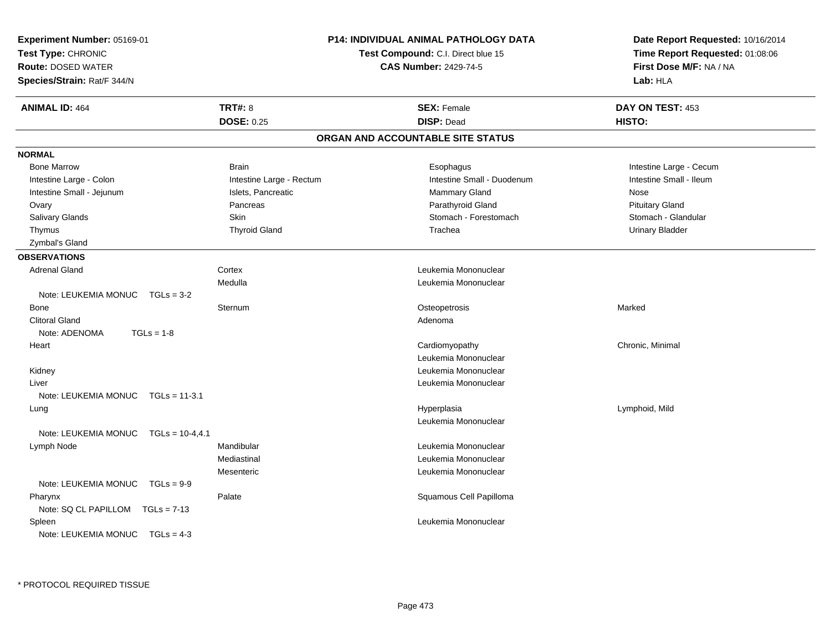| Experiment Number: 05169-01<br>Test Type: CHRONIC<br><b>Route: DOSED WATER</b><br>Species/Strain: Rat/F 344/N |                          | <b>P14: INDIVIDUAL ANIMAL PATHOLOGY DATA</b><br>Test Compound: C.I. Direct blue 15<br><b>CAS Number: 2429-74-5</b> |                            |        | Date Report Requested: 10/16/2014<br>Time Report Requested: 01:08:06<br>First Dose M/F: NA / NA<br>Lab: HLA |  |
|---------------------------------------------------------------------------------------------------------------|--------------------------|--------------------------------------------------------------------------------------------------------------------|----------------------------|--------|-------------------------------------------------------------------------------------------------------------|--|
| <b>ANIMAL ID: 464</b>                                                                                         | <b>TRT#: 8</b>           |                                                                                                                    | <b>SEX: Female</b>         |        | DAY ON TEST: 453                                                                                            |  |
|                                                                                                               | <b>DOSE: 0.25</b>        |                                                                                                                    | <b>DISP: Dead</b>          | HISTO: |                                                                                                             |  |
|                                                                                                               |                          | ORGAN AND ACCOUNTABLE SITE STATUS                                                                                  |                            |        |                                                                                                             |  |
| <b>NORMAL</b>                                                                                                 |                          |                                                                                                                    |                            |        |                                                                                                             |  |
| <b>Bone Marrow</b>                                                                                            | Brain                    |                                                                                                                    | Esophagus                  |        | Intestine Large - Cecum                                                                                     |  |
| Intestine Large - Colon                                                                                       | Intestine Large - Rectum |                                                                                                                    | Intestine Small - Duodenum |        | Intestine Small - Ileum                                                                                     |  |
| Intestine Small - Jejunum                                                                                     | Islets, Pancreatic       |                                                                                                                    | Mammary Gland              | Nose   |                                                                                                             |  |
| Ovary                                                                                                         | Pancreas                 |                                                                                                                    | Parathyroid Gland          |        | <b>Pituitary Gland</b>                                                                                      |  |
| Salivary Glands                                                                                               | <b>Skin</b>              |                                                                                                                    | Stomach - Forestomach      |        | Stomach - Glandular                                                                                         |  |
| Thymus                                                                                                        | <b>Thyroid Gland</b>     |                                                                                                                    | Trachea                    |        | <b>Urinary Bladder</b>                                                                                      |  |
| Zymbal's Gland                                                                                                |                          |                                                                                                                    |                            |        |                                                                                                             |  |
| <b>OBSERVATIONS</b>                                                                                           |                          |                                                                                                                    |                            |        |                                                                                                             |  |
| <b>Adrenal Gland</b>                                                                                          | Cortex                   |                                                                                                                    | Leukemia Mononuclear       |        |                                                                                                             |  |
|                                                                                                               | Medulla                  |                                                                                                                    | Leukemia Mononuclear       |        |                                                                                                             |  |
| Note: LEUKEMIA MONUC<br>$TGLs = 3-2$                                                                          |                          |                                                                                                                    |                            |        |                                                                                                             |  |
| <b>Bone</b>                                                                                                   | Sternum                  |                                                                                                                    | Osteopetrosis              | Marked |                                                                                                             |  |
| <b>Clitoral Gland</b>                                                                                         |                          |                                                                                                                    | Adenoma                    |        |                                                                                                             |  |
| Note: ADENOMA<br>$TGLs = 1-8$                                                                                 |                          |                                                                                                                    |                            |        |                                                                                                             |  |
| Heart                                                                                                         |                          |                                                                                                                    | Cardiomyopathy             |        | Chronic, Minimal                                                                                            |  |
|                                                                                                               |                          |                                                                                                                    | Leukemia Mononuclear       |        |                                                                                                             |  |
| Kidney                                                                                                        |                          |                                                                                                                    | Leukemia Mononuclear       |        |                                                                                                             |  |
| Liver                                                                                                         |                          |                                                                                                                    | Leukemia Mononuclear       |        |                                                                                                             |  |
| Note: LEUKEMIA MONUC<br>$TGLs = 11-3.1$                                                                       |                          |                                                                                                                    |                            |        |                                                                                                             |  |
| Lung                                                                                                          |                          |                                                                                                                    | Hyperplasia                |        | Lymphoid, Mild                                                                                              |  |
|                                                                                                               |                          |                                                                                                                    | Leukemia Mononuclear       |        |                                                                                                             |  |
| $TGLs = 10-4, 4.1$<br>Note: LEUKEMIA MONUC                                                                    |                          |                                                                                                                    |                            |        |                                                                                                             |  |
| Lymph Node                                                                                                    | Mandibular               |                                                                                                                    | Leukemia Mononuclear       |        |                                                                                                             |  |
|                                                                                                               | Mediastinal              |                                                                                                                    | Leukemia Mononuclear       |        |                                                                                                             |  |
|                                                                                                               | Mesenteric               |                                                                                                                    | Leukemia Mononuclear       |        |                                                                                                             |  |
| Note: LEUKEMIA MONUC<br>$TGLs = 9-9$                                                                          |                          |                                                                                                                    |                            |        |                                                                                                             |  |
| Pharynx                                                                                                       | Palate                   |                                                                                                                    | Squamous Cell Papilloma    |        |                                                                                                             |  |
| Note: SQ CL PAPILLOM TGLs = 7-13                                                                              |                          |                                                                                                                    |                            |        |                                                                                                             |  |
| Spleen                                                                                                        |                          |                                                                                                                    | Leukemia Mononuclear       |        |                                                                                                             |  |
| Note: LEUKEMIA MONUC<br>$TGLs = 4-3$                                                                          |                          |                                                                                                                    |                            |        |                                                                                                             |  |
|                                                                                                               |                          |                                                                                                                    |                            |        |                                                                                                             |  |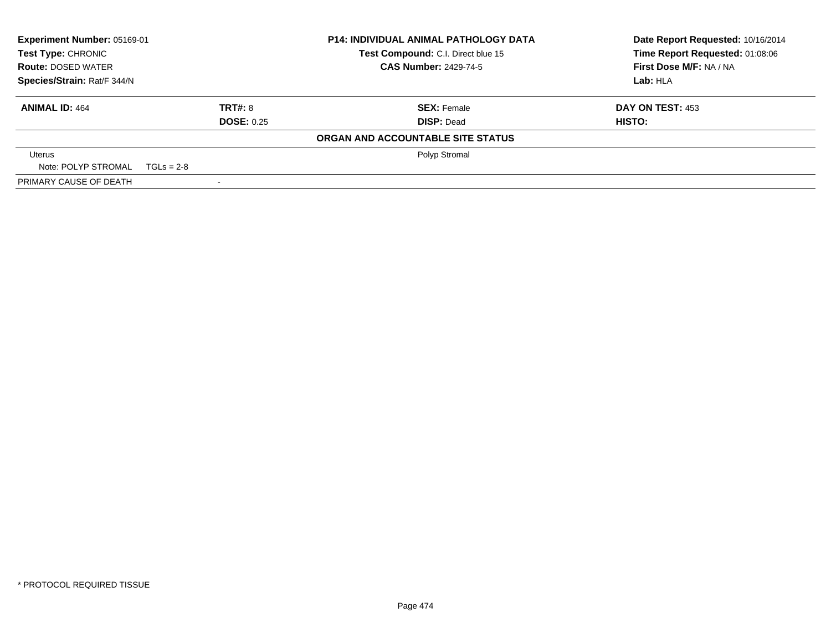| Experiment Number: 05169-01                                                                                                                                 |                   | <b>P14: INDIVIDUAL ANIMAL PATHOLOGY DATA</b> | Date Report Requested: 10/16/2014 |
|-------------------------------------------------------------------------------------------------------------------------------------------------------------|-------------------|----------------------------------------------|-----------------------------------|
| <b>Test Type: CHRONIC</b><br>Test Compound: C.I. Direct blue 15<br><b>CAS Number: 2429-74-5</b><br><b>Route: DOSED WATER</b><br>Species/Strain: Rat/F 344/N |                   |                                              | Time Report Requested: 01:08:06   |
|                                                                                                                                                             |                   |                                              | First Dose M/F: NA / NA           |
|                                                                                                                                                             |                   |                                              | Lab: HLA                          |
| <b>ANIMAL ID: 464</b>                                                                                                                                       | TRT#: 8           | <b>SEX: Female</b>                           | DAY ON TEST: 453                  |
|                                                                                                                                                             | <b>DOSE: 0.25</b> | <b>DISP: Dead</b>                            | HISTO:                            |
|                                                                                                                                                             |                   | ORGAN AND ACCOUNTABLE SITE STATUS            |                                   |
| Uterus                                                                                                                                                      |                   | Polyp Stromal                                |                                   |
| Note: POLYP STROMAL $TGLs = 2-8$                                                                                                                            |                   |                                              |                                   |
| PRIMARY CAUSE OF DEATH                                                                                                                                      |                   |                                              |                                   |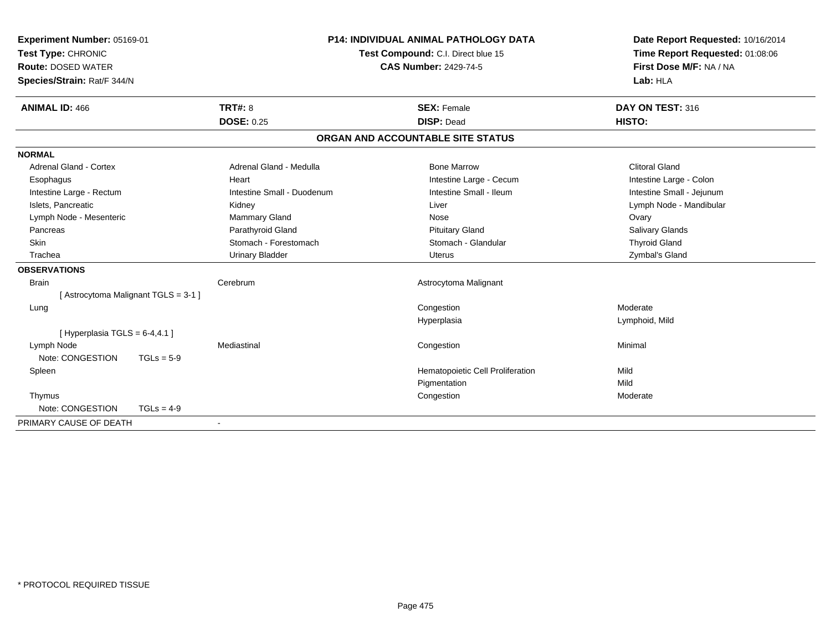| Experiment Number: 05169-01<br>Test Type: CHRONIC<br><b>Route: DOSED WATER</b><br>Species/Strain: Rat/F 344/N |                                     | <b>P14: INDIVIDUAL ANIMAL PATHOLOGY DATA</b><br>Test Compound: C.I. Direct blue 15<br><b>CAS Number: 2429-74-5</b> | Date Report Requested: 10/16/2014<br>Time Report Requested: 01:08:06<br>First Dose M/F: NA / NA<br>Lab: HLA |
|---------------------------------------------------------------------------------------------------------------|-------------------------------------|--------------------------------------------------------------------------------------------------------------------|-------------------------------------------------------------------------------------------------------------|
| <b>ANIMAL ID: 466</b>                                                                                         | <b>TRT#: 8</b><br><b>DOSE: 0.25</b> | <b>SEX: Female</b><br><b>DISP: Dead</b>                                                                            | DAY ON TEST: 316<br>HISTO:                                                                                  |
|                                                                                                               |                                     | ORGAN AND ACCOUNTABLE SITE STATUS                                                                                  |                                                                                                             |
| <b>NORMAL</b>                                                                                                 |                                     |                                                                                                                    |                                                                                                             |
| <b>Adrenal Gland - Cortex</b>                                                                                 | Adrenal Gland - Medulla             | <b>Bone Marrow</b>                                                                                                 | <b>Clitoral Gland</b>                                                                                       |
| Esophagus                                                                                                     | Heart                               | Intestine Large - Cecum                                                                                            | Intestine Large - Colon                                                                                     |
| Intestine Large - Rectum                                                                                      | Intestine Small - Duodenum          | Intestine Small - Ileum                                                                                            | Intestine Small - Jejunum                                                                                   |
| Islets, Pancreatic                                                                                            | Kidney                              | Liver                                                                                                              | Lymph Node - Mandibular                                                                                     |
| Lymph Node - Mesenteric                                                                                       | Mammary Gland                       | Nose                                                                                                               | Ovary                                                                                                       |
| Pancreas                                                                                                      | Parathyroid Gland                   | <b>Pituitary Gland</b>                                                                                             | Salivary Glands                                                                                             |
| Skin                                                                                                          | Stomach - Forestomach               | Stomach - Glandular                                                                                                | <b>Thyroid Gland</b>                                                                                        |
| Trachea                                                                                                       | <b>Urinary Bladder</b>              | Uterus                                                                                                             | Zymbal's Gland                                                                                              |
| <b>OBSERVATIONS</b>                                                                                           |                                     |                                                                                                                    |                                                                                                             |
| <b>Brain</b>                                                                                                  | Cerebrum                            | Astrocytoma Malignant                                                                                              |                                                                                                             |
| [Astrocytoma Malignant TGLS = 3-1 ]                                                                           |                                     |                                                                                                                    |                                                                                                             |
| Lung                                                                                                          |                                     | Congestion                                                                                                         | Moderate                                                                                                    |
|                                                                                                               |                                     | Hyperplasia                                                                                                        | Lymphoid, Mild                                                                                              |
| [Hyperplasia TGLS = $6-4,4.1$ ]                                                                               |                                     |                                                                                                                    |                                                                                                             |
| Lymph Node                                                                                                    | Mediastinal                         | Congestion                                                                                                         | Minimal                                                                                                     |
| Note: CONGESTION<br>$TGLs = 5-9$                                                                              |                                     |                                                                                                                    |                                                                                                             |
| Spleen                                                                                                        |                                     | Hematopoietic Cell Proliferation                                                                                   | Mild                                                                                                        |
|                                                                                                               |                                     | Pigmentation                                                                                                       | Mild                                                                                                        |
| Thymus                                                                                                        |                                     | Congestion                                                                                                         | Moderate                                                                                                    |
| Note: CONGESTION<br>$TGLs = 4-9$                                                                              |                                     |                                                                                                                    |                                                                                                             |
| PRIMARY CAUSE OF DEATH                                                                                        |                                     |                                                                                                                    |                                                                                                             |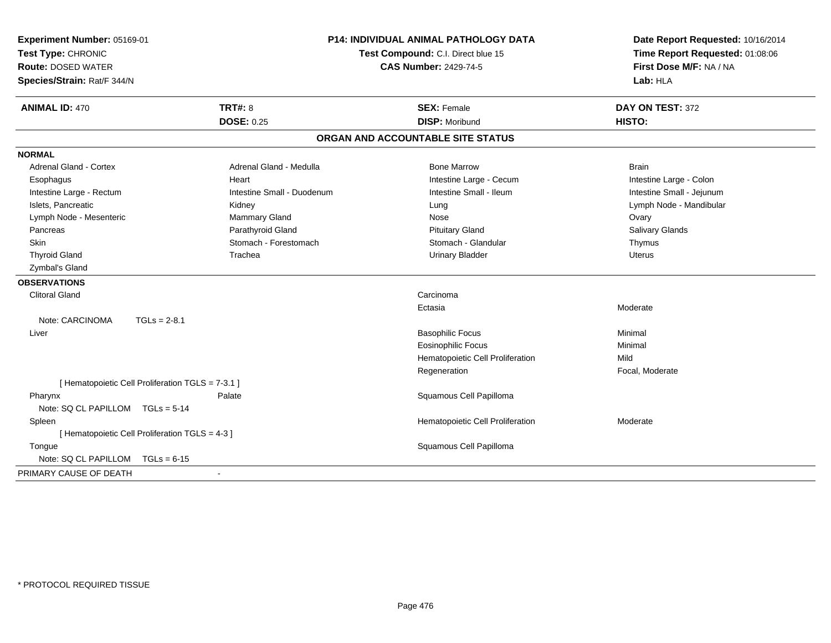| Experiment Number: 05169-01<br>Test Type: CHRONIC<br><b>Route: DOSED WATER</b><br>Species/Strain: Rat/F 344/N |                                                   | <b>P14: INDIVIDUAL ANIMAL PATHOLOGY DATA</b><br>Test Compound: C.I. Direct blue 15<br><b>CAS Number: 2429-74-5</b> | Date Report Requested: 10/16/2014<br>Time Report Requested: 01:08:06<br>First Dose M/F: NA / NA<br>Lab: HLA |
|---------------------------------------------------------------------------------------------------------------|---------------------------------------------------|--------------------------------------------------------------------------------------------------------------------|-------------------------------------------------------------------------------------------------------------|
| <b>ANIMAL ID: 470</b>                                                                                         | <b>TRT#: 8</b>                                    | <b>SEX: Female</b>                                                                                                 | DAY ON TEST: 372                                                                                            |
|                                                                                                               | <b>DOSE: 0.25</b>                                 | <b>DISP: Moribund</b>                                                                                              | HISTO:                                                                                                      |
|                                                                                                               |                                                   | ORGAN AND ACCOUNTABLE SITE STATUS                                                                                  |                                                                                                             |
| <b>NORMAL</b>                                                                                                 |                                                   |                                                                                                                    |                                                                                                             |
| <b>Adrenal Gland - Cortex</b>                                                                                 | Adrenal Gland - Medulla                           | <b>Bone Marrow</b>                                                                                                 | <b>Brain</b>                                                                                                |
| Esophagus                                                                                                     | Heart                                             | Intestine Large - Cecum                                                                                            | Intestine Large - Colon                                                                                     |
| Intestine Large - Rectum                                                                                      | Intestine Small - Duodenum                        | Intestine Small - Ileum                                                                                            | Intestine Small - Jejunum                                                                                   |
| Islets, Pancreatic                                                                                            | Kidney                                            | Lung                                                                                                               | Lymph Node - Mandibular                                                                                     |
| Lymph Node - Mesenteric                                                                                       | Mammary Gland                                     | Nose                                                                                                               | Ovary                                                                                                       |
| Pancreas                                                                                                      | Parathyroid Gland                                 | <b>Pituitary Gland</b>                                                                                             | Salivary Glands                                                                                             |
| <b>Skin</b>                                                                                                   | Stomach - Forestomach                             | Stomach - Glandular                                                                                                | Thymus                                                                                                      |
| <b>Thyroid Gland</b>                                                                                          | Trachea                                           | <b>Urinary Bladder</b>                                                                                             | <b>Uterus</b>                                                                                               |
| Zymbal's Gland                                                                                                |                                                   |                                                                                                                    |                                                                                                             |
| <b>OBSERVATIONS</b>                                                                                           |                                                   |                                                                                                                    |                                                                                                             |
| <b>Clitoral Gland</b>                                                                                         |                                                   | Carcinoma                                                                                                          |                                                                                                             |
|                                                                                                               |                                                   | Ectasia                                                                                                            | Moderate                                                                                                    |
| Note: CARCINOMA                                                                                               | $TGLs = 2-8.1$                                    |                                                                                                                    |                                                                                                             |
| Liver                                                                                                         |                                                   | <b>Basophilic Focus</b>                                                                                            | Minimal                                                                                                     |
|                                                                                                               |                                                   | <b>Eosinophilic Focus</b>                                                                                          | Minimal                                                                                                     |
|                                                                                                               |                                                   | Hematopoietic Cell Proliferation                                                                                   | Mild                                                                                                        |
|                                                                                                               |                                                   | Regeneration                                                                                                       | Focal, Moderate                                                                                             |
|                                                                                                               | [ Hematopoietic Cell Proliferation TGLS = 7-3.1 ] |                                                                                                                    |                                                                                                             |
| Pharynx                                                                                                       | Palate                                            | Squamous Cell Papilloma                                                                                            |                                                                                                             |
| Note: SQ CL PAPILLOM TGLs = 5-14                                                                              |                                                   |                                                                                                                    |                                                                                                             |
| Spleen                                                                                                        |                                                   | Hematopoietic Cell Proliferation                                                                                   | Moderate                                                                                                    |
|                                                                                                               | [ Hematopoietic Cell Proliferation TGLS = 4-3 ]   |                                                                                                                    |                                                                                                             |
| Tongue                                                                                                        |                                                   | Squamous Cell Papilloma                                                                                            |                                                                                                             |
| Note: SQ CL PAPILLOM                                                                                          | $TGLs = 6-15$                                     |                                                                                                                    |                                                                                                             |
| PRIMARY CAUSE OF DEATH                                                                                        |                                                   |                                                                                                                    |                                                                                                             |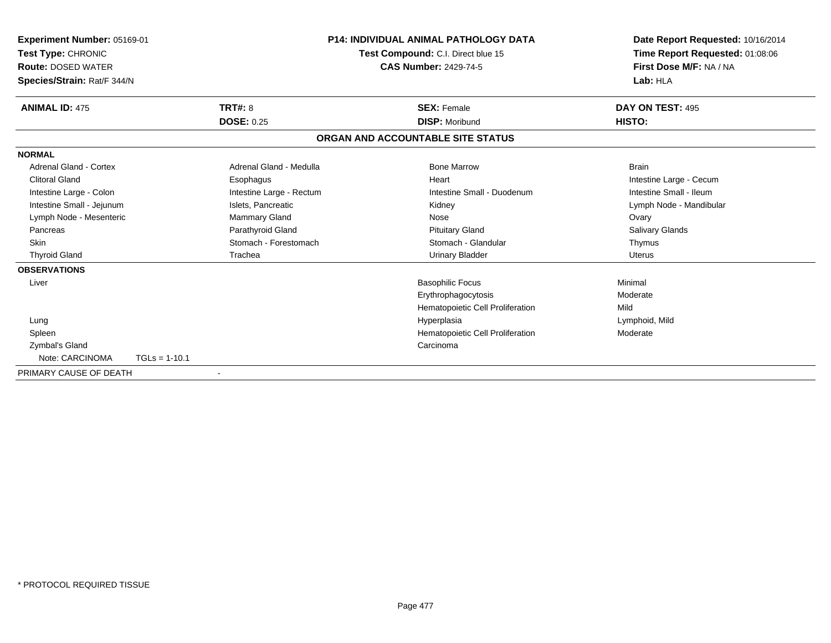| Experiment Number: 05169-01<br>Test Type: CHRONIC<br><b>Route: DOSED WATER</b><br>Species/Strain: Rat/F 344/N |                 |                          | <b>P14: INDIVIDUAL ANIMAL PATHOLOGY DATA</b><br>Test Compound: C.I. Direct blue 15<br><b>CAS Number: 2429-74-5</b> |                                  | Date Report Requested: 10/16/2014<br>Time Report Requested: 01:08:06<br>First Dose M/F: NA / NA<br>Lab: HLA |  |
|---------------------------------------------------------------------------------------------------------------|-----------------|--------------------------|--------------------------------------------------------------------------------------------------------------------|----------------------------------|-------------------------------------------------------------------------------------------------------------|--|
| <b>ANIMAL ID: 475</b>                                                                                         |                 | <b>TRT#: 8</b>           | <b>SEX: Female</b>                                                                                                 |                                  | DAY ON TEST: 495                                                                                            |  |
|                                                                                                               |                 | <b>DOSE: 0.25</b>        |                                                                                                                    | <b>DISP: Moribund</b>            | HISTO:                                                                                                      |  |
|                                                                                                               |                 |                          | ORGAN AND ACCOUNTABLE SITE STATUS                                                                                  |                                  |                                                                                                             |  |
| <b>NORMAL</b>                                                                                                 |                 |                          |                                                                                                                    |                                  |                                                                                                             |  |
| Adrenal Gland - Cortex                                                                                        |                 | Adrenal Gland - Medulla  |                                                                                                                    | <b>Bone Marrow</b>               | <b>Brain</b>                                                                                                |  |
| <b>Clitoral Gland</b>                                                                                         |                 | Esophagus                | Heart                                                                                                              |                                  | Intestine Large - Cecum                                                                                     |  |
| Intestine Large - Colon                                                                                       |                 | Intestine Large - Rectum |                                                                                                                    | Intestine Small - Duodenum       | Intestine Small - Ileum                                                                                     |  |
| Intestine Small - Jejunum                                                                                     |                 | Islets, Pancreatic       | Kidney                                                                                                             |                                  | Lymph Node - Mandibular                                                                                     |  |
| Lymph Node - Mesenteric                                                                                       |                 | <b>Mammary Gland</b>     | Nose                                                                                                               |                                  | Ovary                                                                                                       |  |
| Pancreas                                                                                                      |                 | Parathyroid Gland        |                                                                                                                    | <b>Pituitary Gland</b>           | <b>Salivary Glands</b>                                                                                      |  |
| <b>Skin</b>                                                                                                   |                 | Stomach - Forestomach    |                                                                                                                    | Stomach - Glandular              | Thymus                                                                                                      |  |
| <b>Thyroid Gland</b>                                                                                          |                 | Trachea                  |                                                                                                                    | <b>Urinary Bladder</b>           | <b>Uterus</b>                                                                                               |  |
| <b>OBSERVATIONS</b>                                                                                           |                 |                          |                                                                                                                    |                                  |                                                                                                             |  |
| Liver                                                                                                         |                 |                          |                                                                                                                    | <b>Basophilic Focus</b>          | Minimal                                                                                                     |  |
|                                                                                                               |                 |                          |                                                                                                                    | Erythrophagocytosis              | Moderate                                                                                                    |  |
|                                                                                                               |                 |                          |                                                                                                                    | Hematopoietic Cell Proliferation | Mild                                                                                                        |  |
| Lung                                                                                                          |                 |                          | Hyperplasia                                                                                                        |                                  | Lymphoid, Mild                                                                                              |  |
| Spleen                                                                                                        |                 |                          |                                                                                                                    | Hematopoietic Cell Proliferation | Moderate                                                                                                    |  |
| Zymbal's Gland                                                                                                |                 |                          | Carcinoma                                                                                                          |                                  |                                                                                                             |  |
| Note: CARCINOMA                                                                                               | $TGLs = 1-10.1$ |                          |                                                                                                                    |                                  |                                                                                                             |  |
| PRIMARY CAUSE OF DEATH                                                                                        |                 |                          |                                                                                                                    |                                  |                                                                                                             |  |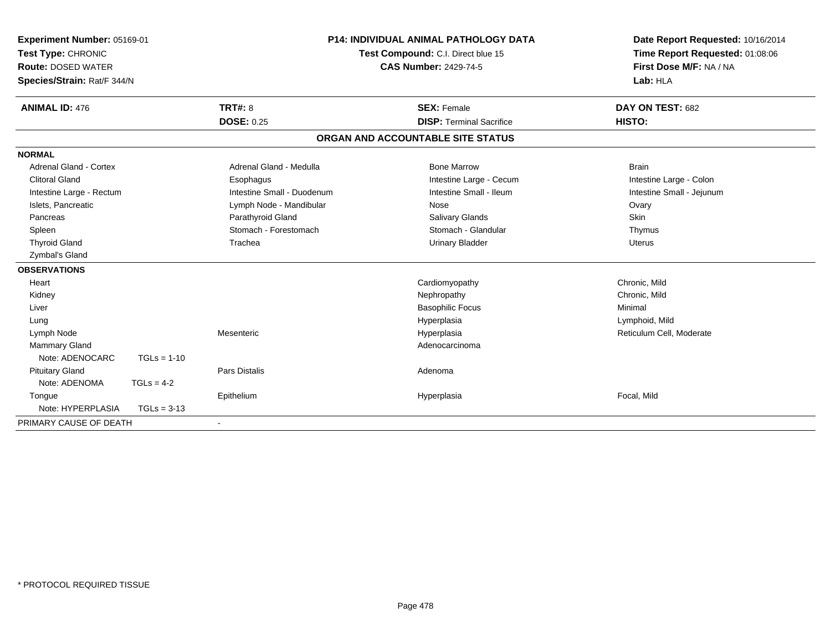| Experiment Number: 05169-01<br>Test Type: CHRONIC<br><b>Route: DOSED WATER</b><br>Species/Strain: Rat/F 344/N<br><b>ANIMAL ID: 476</b> |               | <b>TRT#: 8</b>             | <b>P14: INDIVIDUAL ANIMAL PATHOLOGY DATA</b><br>Test Compound: C.I. Direct blue 15<br><b>CAS Number: 2429-74-5</b> |                                                       | Date Report Requested: 10/16/2014<br>Time Report Requested: 01:08:06<br>First Dose M/F: NA / NA<br>Lab: HLA<br>DAY ON TEST: 682 |
|----------------------------------------------------------------------------------------------------------------------------------------|---------------|----------------------------|--------------------------------------------------------------------------------------------------------------------|-------------------------------------------------------|---------------------------------------------------------------------------------------------------------------------------------|
|                                                                                                                                        |               | <b>DOSE: 0.25</b>          |                                                                                                                    | <b>SEX: Female</b><br><b>DISP: Terminal Sacrifice</b> | HISTO:                                                                                                                          |
|                                                                                                                                        |               |                            |                                                                                                                    | ORGAN AND ACCOUNTABLE SITE STATUS                     |                                                                                                                                 |
| <b>NORMAL</b>                                                                                                                          |               |                            |                                                                                                                    |                                                       |                                                                                                                                 |
| Adrenal Gland - Cortex                                                                                                                 |               | Adrenal Gland - Medulla    |                                                                                                                    | <b>Bone Marrow</b>                                    | <b>Brain</b>                                                                                                                    |
| <b>Clitoral Gland</b>                                                                                                                  |               | Esophagus                  |                                                                                                                    | Intestine Large - Cecum                               | Intestine Large - Colon                                                                                                         |
| Intestine Large - Rectum                                                                                                               |               | Intestine Small - Duodenum |                                                                                                                    | Intestine Small - Ileum                               | Intestine Small - Jejunum                                                                                                       |
| Islets, Pancreatic                                                                                                                     |               | Lymph Node - Mandibular    |                                                                                                                    | Nose                                                  | Ovary                                                                                                                           |
| Pancreas                                                                                                                               |               | Parathyroid Gland          |                                                                                                                    | <b>Salivary Glands</b>                                | <b>Skin</b>                                                                                                                     |
| Spleen                                                                                                                                 |               | Stomach - Forestomach      |                                                                                                                    | Stomach - Glandular                                   | Thymus                                                                                                                          |
| <b>Thyroid Gland</b>                                                                                                                   |               | Trachea                    |                                                                                                                    | <b>Urinary Bladder</b>                                | <b>Uterus</b>                                                                                                                   |
| Zymbal's Gland                                                                                                                         |               |                            |                                                                                                                    |                                                       |                                                                                                                                 |
| <b>OBSERVATIONS</b>                                                                                                                    |               |                            |                                                                                                                    |                                                       |                                                                                                                                 |
| Heart                                                                                                                                  |               |                            |                                                                                                                    | Cardiomyopathy                                        | Chronic, Mild                                                                                                                   |
| Kidney                                                                                                                                 |               |                            |                                                                                                                    | Nephropathy                                           | Chronic, Mild                                                                                                                   |
| Liver                                                                                                                                  |               |                            |                                                                                                                    | <b>Basophilic Focus</b>                               | Minimal                                                                                                                         |
| Lung                                                                                                                                   |               |                            |                                                                                                                    | Hyperplasia                                           | Lymphoid, Mild                                                                                                                  |
| Lymph Node                                                                                                                             |               | Mesenteric                 |                                                                                                                    | Hyperplasia                                           | Reticulum Cell, Moderate                                                                                                        |
| <b>Mammary Gland</b>                                                                                                                   |               |                            |                                                                                                                    | Adenocarcinoma                                        |                                                                                                                                 |
| Note: ADENOCARC                                                                                                                        | $TGLs = 1-10$ |                            |                                                                                                                    |                                                       |                                                                                                                                 |
| <b>Pituitary Gland</b>                                                                                                                 |               | <b>Pars Distalis</b>       |                                                                                                                    | Adenoma                                               |                                                                                                                                 |
| Note: ADENOMA                                                                                                                          | $TGLs = 4-2$  |                            |                                                                                                                    |                                                       |                                                                                                                                 |
| Tongue                                                                                                                                 |               | Epithelium                 |                                                                                                                    | Hyperplasia                                           | Focal, Mild                                                                                                                     |
| Note: HYPERPLASIA                                                                                                                      | $TGLs = 3-13$ |                            |                                                                                                                    |                                                       |                                                                                                                                 |
| PRIMARY CAUSE OF DEATH                                                                                                                 |               | $\blacksquare$             |                                                                                                                    |                                                       |                                                                                                                                 |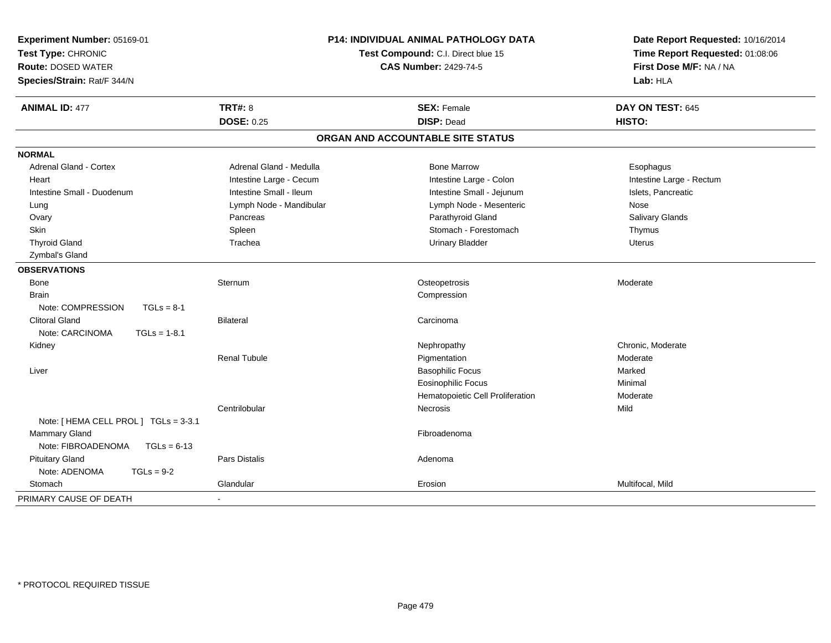| <b>P14: INDIVIDUAL ANIMAL PATHOLOGY DATA</b><br>Experiment Number: 05169-01<br>Test Type: CHRONIC<br>Test Compound: C.I. Direct blue 15<br><b>Route: DOSED WATER</b><br><b>CAS Number: 2429-74-5</b><br>Species/Strain: Rat/F 344/N |                         | Date Report Requested: 10/16/2014<br>Time Report Requested: 01:08:06<br>First Dose M/F: NA / NA<br>Lab: HLA |                          |
|-------------------------------------------------------------------------------------------------------------------------------------------------------------------------------------------------------------------------------------|-------------------------|-------------------------------------------------------------------------------------------------------------|--------------------------|
| <b>ANIMAL ID: 477</b>                                                                                                                                                                                                               | <b>TRT#: 8</b>          | <b>SEX: Female</b>                                                                                          | DAY ON TEST: 645         |
|                                                                                                                                                                                                                                     | <b>DOSE: 0.25</b>       | <b>DISP: Dead</b>                                                                                           | HISTO:                   |
|                                                                                                                                                                                                                                     |                         | ORGAN AND ACCOUNTABLE SITE STATUS                                                                           |                          |
| <b>NORMAL</b>                                                                                                                                                                                                                       |                         |                                                                                                             |                          |
| <b>Adrenal Gland - Cortex</b>                                                                                                                                                                                                       | Adrenal Gland - Medulla | <b>Bone Marrow</b>                                                                                          | Esophagus                |
| Heart                                                                                                                                                                                                                               | Intestine Large - Cecum | Intestine Large - Colon                                                                                     | Intestine Large - Rectum |
| Intestine Small - Duodenum                                                                                                                                                                                                          | Intestine Small - Ileum | Intestine Small - Jejunum                                                                                   | Islets, Pancreatic       |
| Lung                                                                                                                                                                                                                                | Lymph Node - Mandibular | Lymph Node - Mesenteric                                                                                     | Nose                     |
| Ovary                                                                                                                                                                                                                               | Pancreas                | Parathyroid Gland                                                                                           | Salivary Glands          |
| Skin                                                                                                                                                                                                                                | Spleen                  | Stomach - Forestomach                                                                                       | Thymus                   |
| <b>Thyroid Gland</b>                                                                                                                                                                                                                | Trachea                 | <b>Urinary Bladder</b>                                                                                      | <b>Uterus</b>            |
| Zymbal's Gland                                                                                                                                                                                                                      |                         |                                                                                                             |                          |
| <b>OBSERVATIONS</b>                                                                                                                                                                                                                 |                         |                                                                                                             |                          |
| Bone                                                                                                                                                                                                                                | Sternum                 | Osteopetrosis                                                                                               | Moderate                 |
| <b>Brain</b>                                                                                                                                                                                                                        |                         | Compression                                                                                                 |                          |
| Note: COMPRESSION<br>$TGLs = 8-1$                                                                                                                                                                                                   |                         |                                                                                                             |                          |
| <b>Clitoral Gland</b>                                                                                                                                                                                                               | Bilateral               | Carcinoma                                                                                                   |                          |
| Note: CARCINOMA<br>$TGLs = 1-8.1$                                                                                                                                                                                                   |                         |                                                                                                             |                          |
| Kidney                                                                                                                                                                                                                              |                         | Nephropathy                                                                                                 | Chronic, Moderate        |
|                                                                                                                                                                                                                                     | <b>Renal Tubule</b>     | Pigmentation                                                                                                | Moderate                 |
| Liver                                                                                                                                                                                                                               |                         | <b>Basophilic Focus</b>                                                                                     | Marked                   |
|                                                                                                                                                                                                                                     |                         | <b>Eosinophilic Focus</b>                                                                                   | Minimal                  |
|                                                                                                                                                                                                                                     |                         | Hematopoietic Cell Proliferation                                                                            | Moderate                 |
|                                                                                                                                                                                                                                     | Centrilobular           | Necrosis                                                                                                    | Mild                     |
| Note: [HEMA CELL PROL ] TGLs = 3-3.1                                                                                                                                                                                                |                         |                                                                                                             |                          |
| Mammary Gland                                                                                                                                                                                                                       |                         | Fibroadenoma                                                                                                |                          |
| Note: FIBROADENOMA<br>$TGLs = 6-13$                                                                                                                                                                                                 |                         |                                                                                                             |                          |
| <b>Pituitary Gland</b>                                                                                                                                                                                                              | Pars Distalis           | Adenoma                                                                                                     |                          |
| Note: ADENOMA<br>$TGLs = 9-2$                                                                                                                                                                                                       |                         |                                                                                                             |                          |
| Stomach                                                                                                                                                                                                                             | Glandular               | Erosion                                                                                                     | Multifocal, Mild         |
| PRIMARY CAUSE OF DEATH                                                                                                                                                                                                              | $\blacksquare$          |                                                                                                             |                          |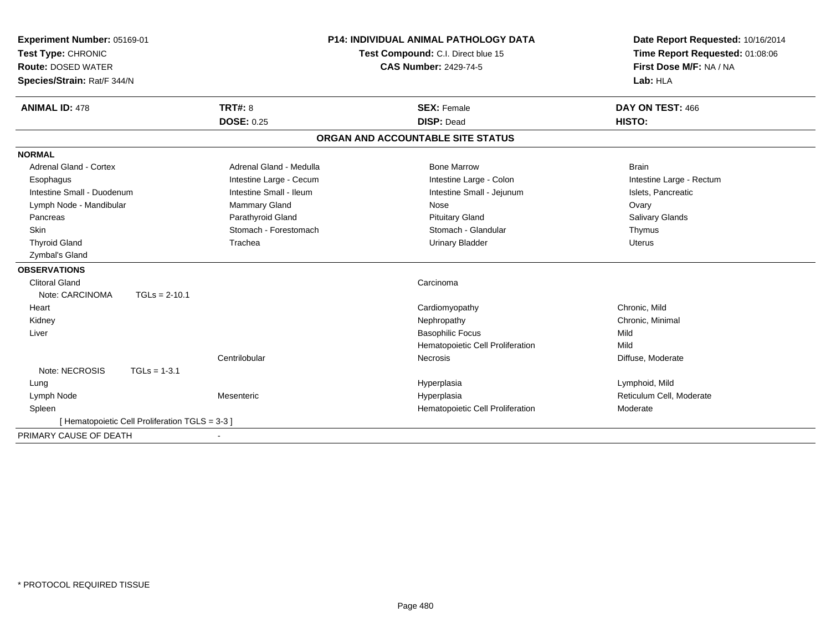| Experiment Number: 05169-01   |                                                 |                         | <b>P14: INDIVIDUAL ANIMAL PATHOLOGY DATA</b> | Date Report Requested: 10/16/2014 |  |
|-------------------------------|-------------------------------------------------|-------------------------|----------------------------------------------|-----------------------------------|--|
| Test Type: CHRONIC            |                                                 |                         | Test Compound: C.I. Direct blue 15           | Time Report Requested: 01:08:06   |  |
| <b>Route: DOSED WATER</b>     |                                                 |                         | <b>CAS Number: 2429-74-5</b>                 | First Dose M/F: NA / NA           |  |
| Species/Strain: Rat/F 344/N   |                                                 |                         |                                              | Lab: HLA                          |  |
| <b>ANIMAL ID: 478</b>         |                                                 | <b>TRT#: 8</b>          | <b>SEX: Female</b>                           | DAY ON TEST: 466                  |  |
|                               |                                                 | <b>DOSE: 0.25</b>       | <b>DISP: Dead</b>                            | HISTO:                            |  |
|                               |                                                 |                         | ORGAN AND ACCOUNTABLE SITE STATUS            |                                   |  |
| <b>NORMAL</b>                 |                                                 |                         |                                              |                                   |  |
| <b>Adrenal Gland - Cortex</b> |                                                 | Adrenal Gland - Medulla | <b>Bone Marrow</b>                           | <b>Brain</b>                      |  |
| Esophagus                     |                                                 | Intestine Large - Cecum | Intestine Large - Colon                      | Intestine Large - Rectum          |  |
| Intestine Small - Duodenum    |                                                 | Intestine Small - Ileum | Intestine Small - Jejunum                    | Islets, Pancreatic                |  |
| Lymph Node - Mandibular       |                                                 | Mammary Gland           | Nose                                         | Ovary                             |  |
| Pancreas                      |                                                 | Parathyroid Gland       | <b>Pituitary Gland</b>                       | Salivary Glands                   |  |
| Skin                          |                                                 | Stomach - Forestomach   | Stomach - Glandular                          | Thymus                            |  |
| <b>Thyroid Gland</b>          |                                                 | Trachea                 | <b>Urinary Bladder</b>                       | <b>Uterus</b>                     |  |
| Zymbal's Gland                |                                                 |                         |                                              |                                   |  |
| <b>OBSERVATIONS</b>           |                                                 |                         |                                              |                                   |  |
| <b>Clitoral Gland</b>         |                                                 |                         | Carcinoma                                    |                                   |  |
| Note: CARCINOMA               | $TGLs = 2-10.1$                                 |                         |                                              |                                   |  |
| Heart                         |                                                 |                         | Cardiomyopathy                               | Chronic, Mild                     |  |
| Kidney                        |                                                 |                         | Nephropathy                                  | Chronic, Minimal                  |  |
| Liver                         |                                                 |                         | <b>Basophilic Focus</b>                      | Mild                              |  |
|                               |                                                 |                         | Hematopoietic Cell Proliferation             | Mild                              |  |
|                               |                                                 | Centrilobular           | Necrosis                                     | Diffuse, Moderate                 |  |
| Note: NECROSIS                | $TGLs = 1-3.1$                                  |                         |                                              |                                   |  |
| Lung                          |                                                 |                         | Hyperplasia                                  | Lymphoid, Mild                    |  |
| Lymph Node                    |                                                 | Mesenteric              | Hyperplasia                                  | Reticulum Cell, Moderate          |  |
| Spleen                        |                                                 |                         | Hematopoietic Cell Proliferation             | Moderate                          |  |
|                               | [ Hematopoietic Cell Proliferation TGLS = 3-3 ] |                         |                                              |                                   |  |
| PRIMARY CAUSE OF DEATH        |                                                 |                         |                                              |                                   |  |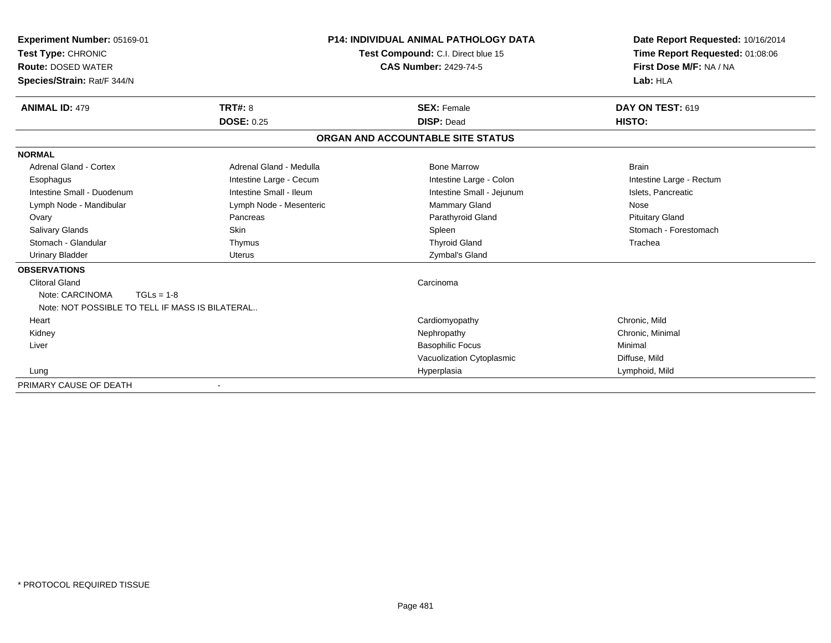| <b>Experiment Number: 05169-01</b><br>Test Type: CHRONIC<br><b>Route: DOSED WATER</b><br>Species/Strain: Rat/F 344/N |                         | <b>P14: INDIVIDUAL ANIMAL PATHOLOGY DATA</b><br><b>Test Compound: C.I. Direct blue 15</b><br><b>CAS Number: 2429-74-5</b> | Date Report Requested: 10/16/2014<br>Time Report Requested: 01:08:06<br>First Dose M/F: NA / NA<br>Lab: HLA |
|----------------------------------------------------------------------------------------------------------------------|-------------------------|---------------------------------------------------------------------------------------------------------------------------|-------------------------------------------------------------------------------------------------------------|
| <b>ANIMAL ID: 479</b>                                                                                                | <b>TRT#: 8</b>          | <b>SEX: Female</b>                                                                                                        | <b>DAY ON TEST: 619</b>                                                                                     |
|                                                                                                                      | <b>DOSE: 0.25</b>       | <b>DISP: Dead</b>                                                                                                         | HISTO:                                                                                                      |
|                                                                                                                      |                         | ORGAN AND ACCOUNTABLE SITE STATUS                                                                                         |                                                                                                             |
| <b>NORMAL</b>                                                                                                        |                         |                                                                                                                           |                                                                                                             |
| <b>Adrenal Gland - Cortex</b>                                                                                        | Adrenal Gland - Medulla | <b>Bone Marrow</b>                                                                                                        | <b>Brain</b>                                                                                                |
| Esophagus                                                                                                            | Intestine Large - Cecum | Intestine Large - Colon                                                                                                   | Intestine Large - Rectum                                                                                    |
| Intestine Small - Duodenum                                                                                           | Intestine Small - Ileum | Intestine Small - Jejunum                                                                                                 | Islets, Pancreatic                                                                                          |
| Lymph Node - Mandibular                                                                                              | Lymph Node - Mesenteric | <b>Mammary Gland</b>                                                                                                      | Nose                                                                                                        |
| Ovary                                                                                                                | Pancreas                | Parathyroid Gland                                                                                                         | <b>Pituitary Gland</b>                                                                                      |
| Salivary Glands                                                                                                      | Skin                    | Spleen                                                                                                                    | Stomach - Forestomach                                                                                       |
| Stomach - Glandular                                                                                                  | Thymus                  | <b>Thyroid Gland</b>                                                                                                      | Trachea                                                                                                     |
| <b>Urinary Bladder</b>                                                                                               | <b>Uterus</b>           | Zymbal's Gland                                                                                                            |                                                                                                             |
| <b>OBSERVATIONS</b>                                                                                                  |                         |                                                                                                                           |                                                                                                             |
| <b>Clitoral Gland</b>                                                                                                |                         | Carcinoma                                                                                                                 |                                                                                                             |
| Note: CARCINOMA<br>$TGLs = 1-8$<br>Note: NOT POSSIBLE TO TELL IF MASS IS BILATERAL                                   |                         |                                                                                                                           |                                                                                                             |
| Heart                                                                                                                |                         | Cardiomyopathy                                                                                                            | Chronic, Mild                                                                                               |
| Kidney                                                                                                               |                         | Nephropathy                                                                                                               | Chronic, Minimal                                                                                            |
| Liver                                                                                                                |                         | <b>Basophilic Focus</b>                                                                                                   | Minimal                                                                                                     |
|                                                                                                                      |                         | Vacuolization Cytoplasmic                                                                                                 | Diffuse, Mild                                                                                               |
| Lung                                                                                                                 |                         | Hyperplasia                                                                                                               | Lymphoid, Mild                                                                                              |
| PRIMARY CAUSE OF DEATH                                                                                               |                         |                                                                                                                           |                                                                                                             |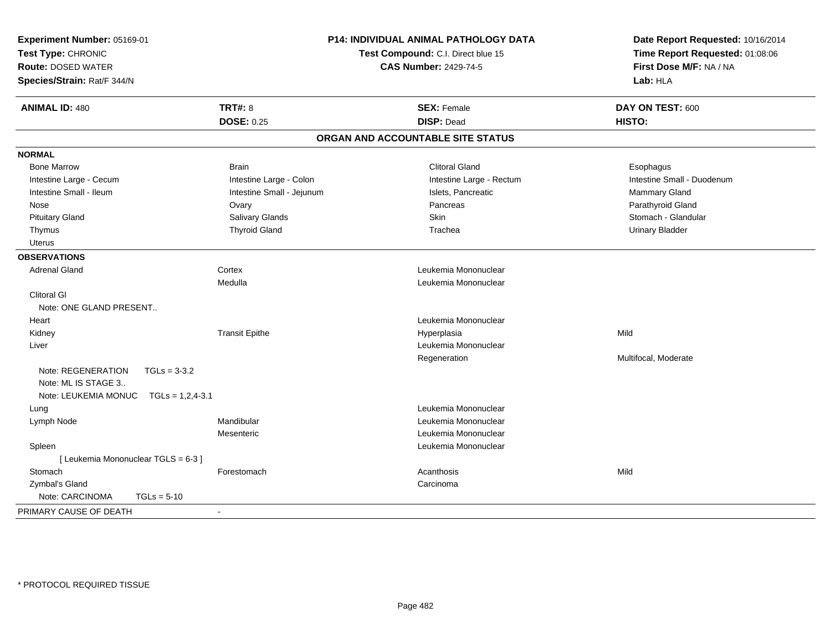| Experiment Number: 05169-01<br>Test Type: CHRONIC<br><b>Route: DOSED WATER</b><br>Species/Strain: Rat/F 344/N |                           | P14: INDIVIDUAL ANIMAL PATHOLOGY DATA<br>Test Compound: C.I. Direct blue 15<br><b>CAS Number: 2429-74-5</b> | Date Report Requested: 10/16/2014<br>Time Report Requested: 01:08:06<br>First Dose M/F: NA / NA<br>Lab: HLA |
|---------------------------------------------------------------------------------------------------------------|---------------------------|-------------------------------------------------------------------------------------------------------------|-------------------------------------------------------------------------------------------------------------|
| <b>ANIMAL ID: 480</b>                                                                                         | <b>TRT#: 8</b>            | <b>SEX: Female</b>                                                                                          | DAY ON TEST: 600                                                                                            |
|                                                                                                               | <b>DOSE: 0.25</b>         | <b>DISP: Dead</b>                                                                                           | HISTO:                                                                                                      |
|                                                                                                               |                           | ORGAN AND ACCOUNTABLE SITE STATUS                                                                           |                                                                                                             |
| <b>NORMAL</b>                                                                                                 |                           |                                                                                                             |                                                                                                             |
| <b>Bone Marrow</b>                                                                                            | <b>Brain</b>              | <b>Clitoral Gland</b>                                                                                       | Esophagus                                                                                                   |
| Intestine Large - Cecum                                                                                       | Intestine Large - Colon   | Intestine Large - Rectum                                                                                    | Intestine Small - Duodenum                                                                                  |
| Intestine Small - Ileum                                                                                       | Intestine Small - Jejunum | Islets, Pancreatic                                                                                          | <b>Mammary Gland</b>                                                                                        |
| Nose                                                                                                          | Ovary                     | Pancreas                                                                                                    | Parathyroid Gland                                                                                           |
| <b>Pituitary Gland</b>                                                                                        | Salivary Glands           | Skin                                                                                                        | Stomach - Glandular                                                                                         |
| Thymus                                                                                                        | <b>Thyroid Gland</b>      | Trachea                                                                                                     | <b>Urinary Bladder</b>                                                                                      |
| <b>Uterus</b>                                                                                                 |                           |                                                                                                             |                                                                                                             |
| <b>OBSERVATIONS</b>                                                                                           |                           |                                                                                                             |                                                                                                             |
| <b>Adrenal Gland</b>                                                                                          | Cortex                    | Leukemia Mononuclear                                                                                        |                                                                                                             |
|                                                                                                               | Medulla                   | Leukemia Mononuclear                                                                                        |                                                                                                             |
| <b>Clitoral GI</b>                                                                                            |                           |                                                                                                             |                                                                                                             |
| Note: ONE GLAND PRESENT                                                                                       |                           |                                                                                                             |                                                                                                             |
| Heart                                                                                                         |                           | Leukemia Mononuclear                                                                                        |                                                                                                             |
| Kidney                                                                                                        | <b>Transit Epithe</b>     | Hyperplasia                                                                                                 | Mild                                                                                                        |
| Liver                                                                                                         |                           | Leukemia Mononuclear                                                                                        |                                                                                                             |
|                                                                                                               |                           | Regeneration                                                                                                | Multifocal, Moderate                                                                                        |
| Note: REGENERATION<br>Note: ML IS STAGE 3                                                                     | $TGLs = 3-3.2$            |                                                                                                             |                                                                                                             |
| Note: LEUKEMIA MONUC  TGLs = 1,2,4-3.1                                                                        |                           |                                                                                                             |                                                                                                             |
| Lung                                                                                                          |                           | Leukemia Mononuclear                                                                                        |                                                                                                             |
| Lymph Node                                                                                                    | Mandibular                | Leukemia Mononuclear                                                                                        |                                                                                                             |
|                                                                                                               | Mesenteric                | Leukemia Mononuclear                                                                                        |                                                                                                             |
| Spleen                                                                                                        |                           | Leukemia Mononuclear                                                                                        |                                                                                                             |
| [ Leukemia Mononuclear TGLS = 6-3 ]                                                                           |                           |                                                                                                             | Mild                                                                                                        |
| Stomach<br>Zymbal's Gland                                                                                     | Forestomach               | Acanthosis<br>Carcinoma                                                                                     |                                                                                                             |
| Note: CARCINOMA                                                                                               | $TGLs = 5-10$             |                                                                                                             |                                                                                                             |
|                                                                                                               |                           |                                                                                                             |                                                                                                             |
| PRIMARY CAUSE OF DEATH                                                                                        | $\sim$                    |                                                                                                             |                                                                                                             |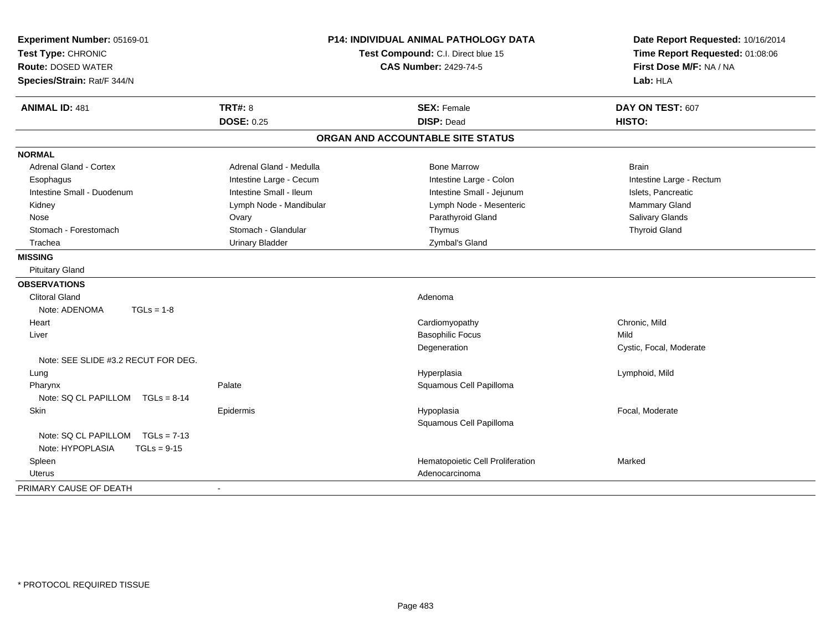| Experiment Number: 05169-01<br>Test Type: CHRONIC<br><b>Route: DOSED WATER</b><br>Species/Strain: Rat/F 344/N | <b>P14: INDIVIDUAL ANIMAL PATHOLOGY DATA</b><br>Test Compound: C.I. Direct blue 15<br><b>CAS Number: 2429-74-5</b> |                                   | Date Report Requested: 10/16/2014<br>Time Report Requested: 01:08:06<br>First Dose M/F: NA / NA<br>Lab: HLA |
|---------------------------------------------------------------------------------------------------------------|--------------------------------------------------------------------------------------------------------------------|-----------------------------------|-------------------------------------------------------------------------------------------------------------|
| <b>ANIMAL ID: 481</b>                                                                                         | <b>TRT#: 8</b>                                                                                                     | <b>SEX: Female</b>                | DAY ON TEST: 607                                                                                            |
|                                                                                                               | <b>DOSE: 0.25</b>                                                                                                  | <b>DISP: Dead</b>                 | HISTO:                                                                                                      |
|                                                                                                               |                                                                                                                    | ORGAN AND ACCOUNTABLE SITE STATUS |                                                                                                             |
| <b>NORMAL</b>                                                                                                 |                                                                                                                    |                                   |                                                                                                             |
| <b>Adrenal Gland - Cortex</b>                                                                                 | Adrenal Gland - Medulla                                                                                            | <b>Bone Marrow</b>                | <b>Brain</b>                                                                                                |
| Esophagus                                                                                                     | Intestine Large - Cecum                                                                                            | Intestine Large - Colon           | Intestine Large - Rectum                                                                                    |
| Intestine Small - Duodenum                                                                                    | Intestine Small - Ileum                                                                                            | Intestine Small - Jejunum         | Islets, Pancreatic                                                                                          |
| Kidney                                                                                                        | Lymph Node - Mandibular                                                                                            | Lymph Node - Mesenteric           | Mammary Gland                                                                                               |
| Nose                                                                                                          | Ovary                                                                                                              | Parathyroid Gland                 | Salivary Glands                                                                                             |
| Stomach - Forestomach                                                                                         | Stomach - Glandular                                                                                                | Thymus                            | <b>Thyroid Gland</b>                                                                                        |
| Trachea                                                                                                       | <b>Urinary Bladder</b>                                                                                             | Zymbal's Gland                    |                                                                                                             |
| <b>MISSING</b>                                                                                                |                                                                                                                    |                                   |                                                                                                             |
| <b>Pituitary Gland</b>                                                                                        |                                                                                                                    |                                   |                                                                                                             |
| <b>OBSERVATIONS</b>                                                                                           |                                                                                                                    |                                   |                                                                                                             |
| <b>Clitoral Gland</b>                                                                                         |                                                                                                                    | Adenoma                           |                                                                                                             |
| Note: ADENOMA<br>$TGLs = 1-8$                                                                                 |                                                                                                                    |                                   |                                                                                                             |
| Heart                                                                                                         |                                                                                                                    | Cardiomyopathy                    | Chronic, Mild                                                                                               |
| Liver                                                                                                         |                                                                                                                    | <b>Basophilic Focus</b>           | Mild                                                                                                        |
|                                                                                                               |                                                                                                                    | Degeneration                      | Cystic, Focal, Moderate                                                                                     |
| Note: SEE SLIDE #3.2 RECUT FOR DEG.                                                                           |                                                                                                                    |                                   |                                                                                                             |
| Lung                                                                                                          |                                                                                                                    | Hyperplasia                       | Lymphoid, Mild                                                                                              |
| Pharynx                                                                                                       | Palate                                                                                                             | Squamous Cell Papilloma           |                                                                                                             |
| Note: SQ CL PAPILLOM TGLs = 8-14                                                                              |                                                                                                                    |                                   |                                                                                                             |
| <b>Skin</b>                                                                                                   | Epidermis                                                                                                          | Hypoplasia                        | Focal, Moderate                                                                                             |
|                                                                                                               |                                                                                                                    | Squamous Cell Papilloma           |                                                                                                             |
| Note: SQ CL PAPILLOM TGLs = 7-13                                                                              |                                                                                                                    |                                   |                                                                                                             |
| Note: HYPOPLASIA<br>$TGLs = 9-15$                                                                             |                                                                                                                    |                                   |                                                                                                             |
| Spleen                                                                                                        |                                                                                                                    | Hematopoietic Cell Proliferation  | Marked                                                                                                      |
| <b>Uterus</b>                                                                                                 |                                                                                                                    | Adenocarcinoma                    |                                                                                                             |
| PRIMARY CAUSE OF DEATH                                                                                        | $\blacksquare$                                                                                                     |                                   |                                                                                                             |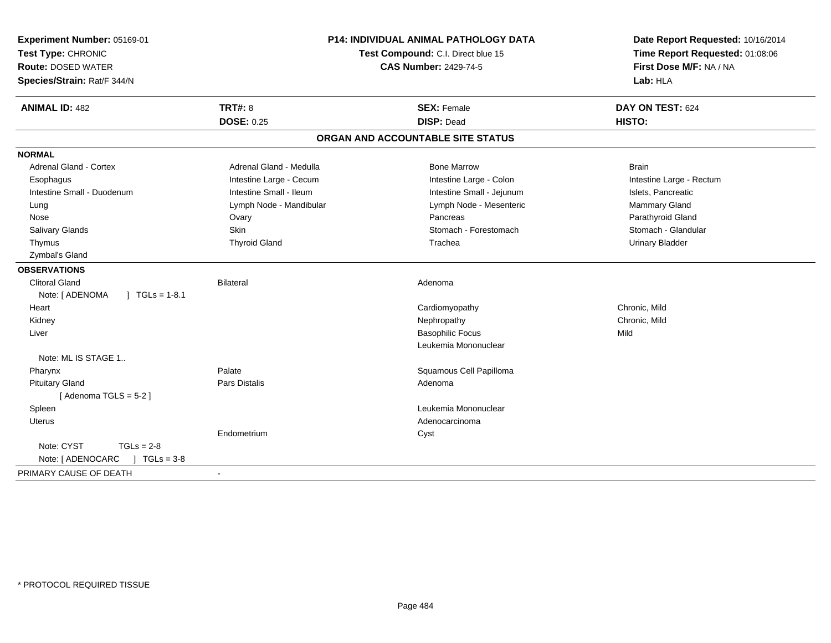| Experiment Number: 05169-01<br>Test Type: CHRONIC<br><b>Route: DOSED WATER</b><br>Species/Strain: Rat/F 344/N |                                     | <b>P14: INDIVIDUAL ANIMAL PATHOLOGY DATA</b><br>Test Compound: C.I. Direct blue 15<br><b>CAS Number: 2429-74-5</b> | Date Report Requested: 10/16/2014<br>Time Report Requested: 01:08:06<br>First Dose M/F: NA / NA<br>Lab: HLA |
|---------------------------------------------------------------------------------------------------------------|-------------------------------------|--------------------------------------------------------------------------------------------------------------------|-------------------------------------------------------------------------------------------------------------|
| <b>ANIMAL ID: 482</b>                                                                                         | <b>TRT#: 8</b><br><b>DOSE: 0.25</b> | <b>SEX: Female</b><br><b>DISP: Dead</b>                                                                            | DAY ON TEST: 624<br>HISTO:                                                                                  |
|                                                                                                               |                                     | ORGAN AND ACCOUNTABLE SITE STATUS                                                                                  |                                                                                                             |
|                                                                                                               |                                     |                                                                                                                    |                                                                                                             |
| <b>NORMAL</b>                                                                                                 |                                     |                                                                                                                    |                                                                                                             |
| <b>Adrenal Gland - Cortex</b>                                                                                 | Adrenal Gland - Medulla             | <b>Bone Marrow</b>                                                                                                 | <b>Brain</b>                                                                                                |
| Esophagus                                                                                                     | Intestine Large - Cecum             | Intestine Large - Colon                                                                                            | Intestine Large - Rectum                                                                                    |
| Intestine Small - Duodenum                                                                                    | Intestine Small - Ileum             | Intestine Small - Jejunum                                                                                          | Islets, Pancreatic                                                                                          |
| Lung                                                                                                          | Lymph Node - Mandibular             | Lymph Node - Mesenteric                                                                                            | Mammary Gland                                                                                               |
| Nose                                                                                                          | Ovary<br><b>Skin</b>                | Pancreas<br>Stomach - Forestomach                                                                                  | Parathyroid Gland                                                                                           |
| Salivary Glands                                                                                               |                                     |                                                                                                                    | Stomach - Glandular                                                                                         |
| Thymus                                                                                                        | <b>Thyroid Gland</b>                | Trachea                                                                                                            | <b>Urinary Bladder</b>                                                                                      |
| Zymbal's Gland                                                                                                |                                     |                                                                                                                    |                                                                                                             |
| <b>OBSERVATIONS</b>                                                                                           |                                     |                                                                                                                    |                                                                                                             |
| <b>Clitoral Gland</b>                                                                                         | Bilateral                           | Adenoma                                                                                                            |                                                                                                             |
| Note: [ ADENOMA<br>$\int$ TGLs = 1-8.1                                                                        |                                     |                                                                                                                    |                                                                                                             |
| Heart                                                                                                         |                                     | Cardiomyopathy<br>Nephropathy                                                                                      | Chronic, Mild<br>Chronic, Mild                                                                              |
| Kidney<br>Liver                                                                                               |                                     | <b>Basophilic Focus</b>                                                                                            | Mild                                                                                                        |
|                                                                                                               |                                     | Leukemia Mononuclear                                                                                               |                                                                                                             |
| Note: ML IS STAGE 1                                                                                           |                                     |                                                                                                                    |                                                                                                             |
| Pharynx                                                                                                       | Palate                              | Squamous Cell Papilloma                                                                                            |                                                                                                             |
| <b>Pituitary Gland</b>                                                                                        | <b>Pars Distalis</b>                | Adenoma                                                                                                            |                                                                                                             |
| [Adenoma TGLS = $5-2$ ]                                                                                       |                                     |                                                                                                                    |                                                                                                             |
| Spleen                                                                                                        |                                     | Leukemia Mononuclear                                                                                               |                                                                                                             |
| <b>Uterus</b>                                                                                                 |                                     | Adenocarcinoma                                                                                                     |                                                                                                             |
|                                                                                                               | Endometrium                         | Cyst                                                                                                               |                                                                                                             |
| Note: CYST<br>$TGLs = 2-8$                                                                                    |                                     |                                                                                                                    |                                                                                                             |
| $1 TGLs = 3-8$<br>Note: [ ADENOCARC                                                                           |                                     |                                                                                                                    |                                                                                                             |
| PRIMARY CAUSE OF DEATH                                                                                        | $\sim$                              |                                                                                                                    |                                                                                                             |
|                                                                                                               |                                     |                                                                                                                    |                                                                                                             |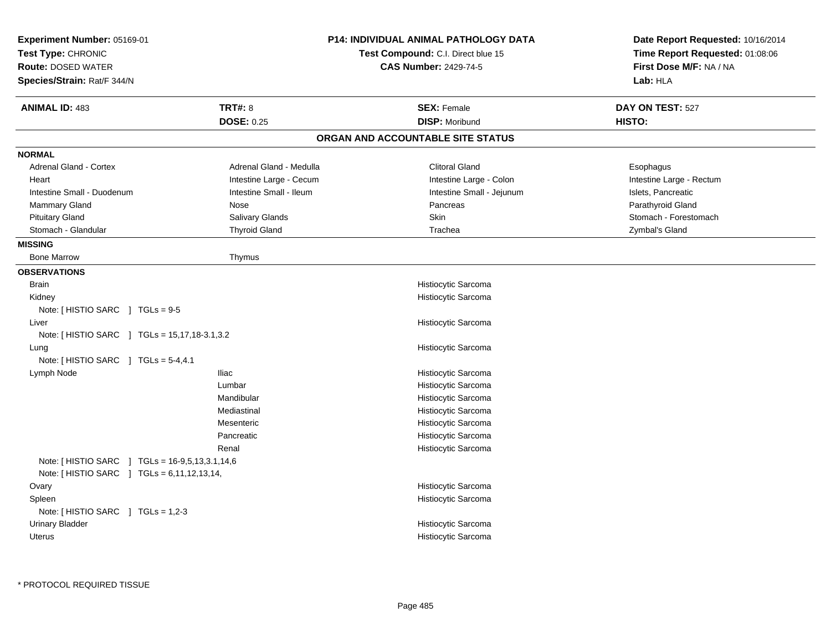| Experiment Number: 05169-01<br>Test Type: CHRONIC<br><b>Route: DOSED WATER</b><br>Species/Strain: Rat/F 344/N |                         | <b>P14: INDIVIDUAL ANIMAL PATHOLOGY DATA</b><br>Test Compound: C.I. Direct blue 15<br><b>CAS Number: 2429-74-5</b> | Date Report Requested: 10/16/2014<br>Time Report Requested: 01:08:06<br>First Dose M/F: NA / NA<br>Lab: HLA |
|---------------------------------------------------------------------------------------------------------------|-------------------------|--------------------------------------------------------------------------------------------------------------------|-------------------------------------------------------------------------------------------------------------|
| <b>ANIMAL ID: 483</b>                                                                                         | <b>TRT#: 8</b>          | <b>SEX: Female</b>                                                                                                 | DAY ON TEST: 527                                                                                            |
|                                                                                                               | <b>DOSE: 0.25</b>       | <b>DISP: Moribund</b>                                                                                              | HISTO:                                                                                                      |
|                                                                                                               |                         | ORGAN AND ACCOUNTABLE SITE STATUS                                                                                  |                                                                                                             |
| <b>NORMAL</b>                                                                                                 |                         |                                                                                                                    |                                                                                                             |
| Adrenal Gland - Cortex                                                                                        | Adrenal Gland - Medulla | <b>Clitoral Gland</b>                                                                                              | Esophagus                                                                                                   |
| Heart                                                                                                         | Intestine Large - Cecum | Intestine Large - Colon                                                                                            | Intestine Large - Rectum                                                                                    |
| Intestine Small - Duodenum                                                                                    | Intestine Small - Ileum | Intestine Small - Jejunum                                                                                          | Islets, Pancreatic                                                                                          |
| Mammary Gland                                                                                                 | Nose                    | Pancreas                                                                                                           | Parathyroid Gland                                                                                           |
| <b>Pituitary Gland</b>                                                                                        | Salivary Glands         | Skin                                                                                                               | Stomach - Forestomach                                                                                       |
| Stomach - Glandular                                                                                           | <b>Thyroid Gland</b>    | Trachea                                                                                                            | Zymbal's Gland                                                                                              |
| <b>MISSING</b>                                                                                                |                         |                                                                                                                    |                                                                                                             |
| <b>Bone Marrow</b>                                                                                            | Thymus                  |                                                                                                                    |                                                                                                             |
| <b>OBSERVATIONS</b>                                                                                           |                         |                                                                                                                    |                                                                                                             |
| <b>Brain</b>                                                                                                  |                         | Histiocytic Sarcoma                                                                                                |                                                                                                             |
| Kidney                                                                                                        |                         | Histiocytic Sarcoma                                                                                                |                                                                                                             |
| Note: [ HISTIO SARC ] TGLs = 9-5                                                                              |                         |                                                                                                                    |                                                                                                             |
| Liver                                                                                                         |                         | Histiocytic Sarcoma                                                                                                |                                                                                                             |
| Note: [ HISTIO SARC ] TGLs = 15,17,18-3.1,3.2                                                                 |                         |                                                                                                                    |                                                                                                             |
| Lung                                                                                                          |                         | Histiocytic Sarcoma                                                                                                |                                                                                                             |
| Note: [ HISTIO SARC ] TGLs = 5-4,4.1                                                                          |                         |                                                                                                                    |                                                                                                             |
| Lymph Node                                                                                                    | <b>Iliac</b>            | Histiocytic Sarcoma                                                                                                |                                                                                                             |
|                                                                                                               | Lumbar                  | Histiocytic Sarcoma                                                                                                |                                                                                                             |
|                                                                                                               | Mandibular              | Histiocytic Sarcoma                                                                                                |                                                                                                             |
|                                                                                                               | Mediastinal             | Histiocytic Sarcoma                                                                                                |                                                                                                             |
|                                                                                                               | Mesenteric              | Histiocytic Sarcoma                                                                                                |                                                                                                             |
|                                                                                                               | Pancreatic              | Histiocytic Sarcoma                                                                                                |                                                                                                             |
|                                                                                                               | Renal                   | Histiocytic Sarcoma                                                                                                |                                                                                                             |
| Note: [ HISTIO SARC ] TGLs = 16-9,5,13,3.1,14,6                                                               |                         |                                                                                                                    |                                                                                                             |
| Note: [HISTIO SARC ] TGLs = 6,11,12,13,14,                                                                    |                         |                                                                                                                    |                                                                                                             |
| Ovary                                                                                                         |                         | Histiocytic Sarcoma                                                                                                |                                                                                                             |
| Spleen                                                                                                        |                         | Histiocytic Sarcoma                                                                                                |                                                                                                             |
| Note: $[$ HISTIO SARC $]$ TGLs = 1,2-3                                                                        |                         |                                                                                                                    |                                                                                                             |
| <b>Urinary Bladder</b>                                                                                        |                         | Histiocytic Sarcoma                                                                                                |                                                                                                             |
| <b>Uterus</b>                                                                                                 |                         | Histiocytic Sarcoma                                                                                                |                                                                                                             |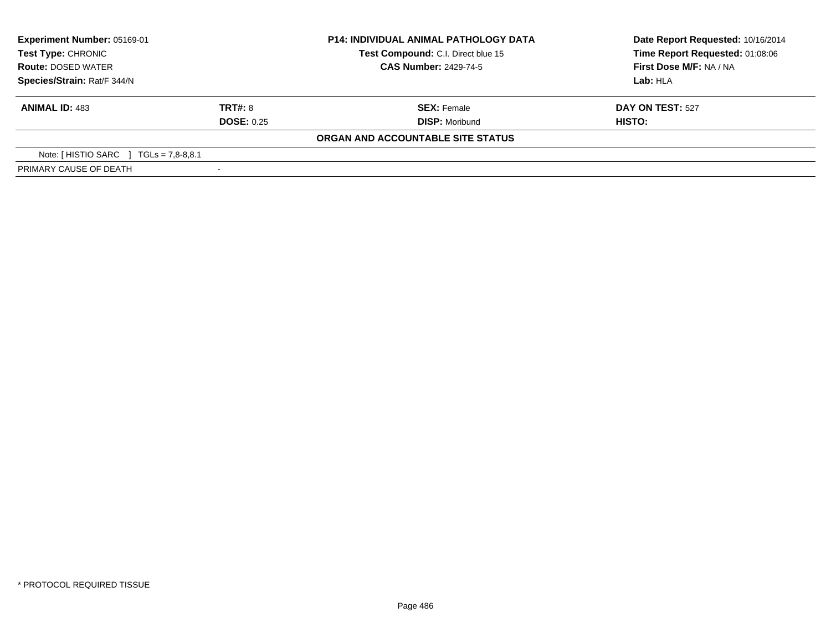| Experiment Number: 05169-01<br>Test Type: CHRONIC<br><b>Route: DOSED WATER</b><br>Species/Strain: Rat/F 344/N |                   | <b>P14: INDIVIDUAL ANIMAL PATHOLOGY DATA</b> | Date Report Requested: 10/16/2014 |  |
|---------------------------------------------------------------------------------------------------------------|-------------------|----------------------------------------------|-----------------------------------|--|
|                                                                                                               |                   | Test Compound: C.I. Direct blue 15           | Time Report Requested: 01:08:06   |  |
|                                                                                                               |                   | <b>CAS Number: 2429-74-5</b>                 | First Dose M/F: NA / NA           |  |
|                                                                                                               |                   |                                              | Lab: HLA                          |  |
| <b>ANIMAL ID: 483</b>                                                                                         | <b>TRT#: 8</b>    | <b>SEX: Female</b>                           | DAY ON TEST: 527                  |  |
|                                                                                                               | <b>DOSE: 0.25</b> | <b>DISP: Moribund</b>                        | HISTO:                            |  |
|                                                                                                               |                   | ORGAN AND ACCOUNTABLE SITE STATUS            |                                   |  |
| Note: [HISTIO SARC ]<br>$TGLs = 7.8-8.8.1$                                                                    |                   |                                              |                                   |  |
| PRIMARY CAUSE OF DEATH                                                                                        |                   |                                              |                                   |  |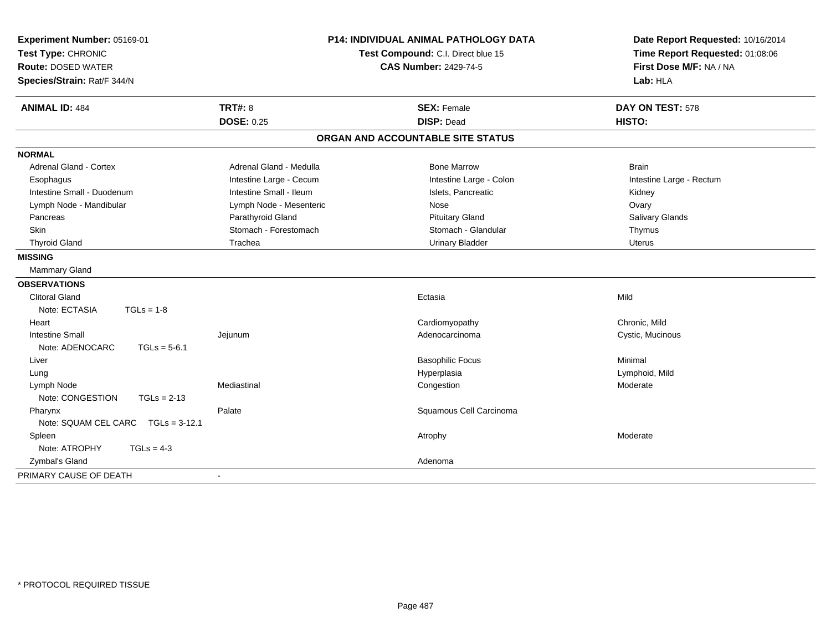| Experiment Number: 05169-01<br>Test Type: CHRONIC<br><b>Route: DOSED WATER</b><br>Species/Strain: Rat/F 344/N |                                     | <b>P14: INDIVIDUAL ANIMAL PATHOLOGY DATA</b><br>Test Compound: C.I. Direct blue 15<br><b>CAS Number: 2429-74-5</b> |                            |
|---------------------------------------------------------------------------------------------------------------|-------------------------------------|--------------------------------------------------------------------------------------------------------------------|----------------------------|
| <b>ANIMAL ID: 484</b>                                                                                         | <b>TRT#: 8</b><br><b>DOSE: 0.25</b> | <b>SEX: Female</b><br><b>DISP: Dead</b>                                                                            | DAY ON TEST: 578<br>HISTO: |
|                                                                                                               |                                     | ORGAN AND ACCOUNTABLE SITE STATUS                                                                                  |                            |
| <b>NORMAL</b>                                                                                                 |                                     |                                                                                                                    |                            |
| <b>Adrenal Gland - Cortex</b>                                                                                 | Adrenal Gland - Medulla             | <b>Bone Marrow</b>                                                                                                 | <b>Brain</b>               |
| Esophagus                                                                                                     | Intestine Large - Cecum             | Intestine Large - Colon                                                                                            | Intestine Large - Rectum   |
| Intestine Small - Duodenum                                                                                    | Intestine Small - Ileum             | Islets, Pancreatic                                                                                                 | Kidney                     |
| Lymph Node - Mandibular                                                                                       | Lymph Node - Mesenteric             | Nose                                                                                                               | Ovary                      |
| Pancreas                                                                                                      | Parathyroid Gland                   | <b>Pituitary Gland</b>                                                                                             | Salivary Glands            |
| <b>Skin</b>                                                                                                   | Stomach - Forestomach               | Stomach - Glandular                                                                                                | Thymus                     |
| <b>Thyroid Gland</b>                                                                                          | Trachea                             | <b>Urinary Bladder</b>                                                                                             | <b>Uterus</b>              |
| <b>MISSING</b>                                                                                                |                                     |                                                                                                                    |                            |
| <b>Mammary Gland</b>                                                                                          |                                     |                                                                                                                    |                            |
| <b>OBSERVATIONS</b>                                                                                           |                                     |                                                                                                                    |                            |
| <b>Clitoral Gland</b>                                                                                         |                                     | Ectasia                                                                                                            | Mild                       |
| Note: ECTASIA<br>$TGLs = 1-8$                                                                                 |                                     |                                                                                                                    |                            |
| Heart                                                                                                         |                                     | Cardiomyopathy                                                                                                     | Chronic, Mild              |
| <b>Intestine Small</b>                                                                                        | Jejunum                             | Adenocarcinoma                                                                                                     | Cystic, Mucinous           |
| $TGLs = 5-6.1$<br>Note: ADENOCARC                                                                             |                                     |                                                                                                                    |                            |
| Liver                                                                                                         |                                     | <b>Basophilic Focus</b>                                                                                            | Minimal                    |
| Lung                                                                                                          |                                     | Hyperplasia                                                                                                        | Lymphoid, Mild             |
| Lymph Node                                                                                                    | Mediastinal                         | Congestion                                                                                                         | Moderate                   |
| Note: CONGESTION<br>$TGLs = 2-13$                                                                             |                                     |                                                                                                                    |                            |
| Pharynx                                                                                                       | Palate                              | Squamous Cell Carcinoma                                                                                            |                            |
| Note: SQUAM CEL CARC TGLs = 3-12.1                                                                            |                                     |                                                                                                                    |                            |
| Spleen                                                                                                        |                                     | Atrophy                                                                                                            | Moderate                   |
| Note: ATROPHY<br>$TGLs = 4-3$                                                                                 |                                     |                                                                                                                    |                            |
| Zymbal's Gland                                                                                                |                                     | Adenoma                                                                                                            |                            |
| PRIMARY CAUSE OF DEATH                                                                                        |                                     |                                                                                                                    |                            |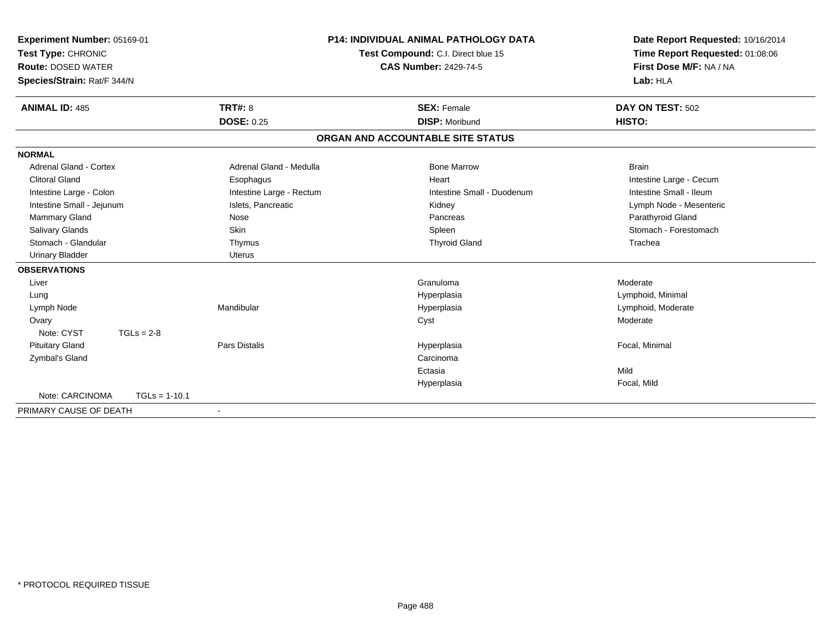| Experiment Number: 05169-01<br>Test Type: CHRONIC<br><b>Route: DOSED WATER</b><br>Species/Strain: Rat/F 344/N |                          | P14: INDIVIDUAL ANIMAL PATHOLOGY DATA<br>Test Compound: C.I. Direct blue 15<br><b>CAS Number: 2429-74-5</b> | Date Report Requested: 10/16/2014<br>Time Report Requested: 01:08:06<br>First Dose M/F: NA / NA<br>Lab: HLA |
|---------------------------------------------------------------------------------------------------------------|--------------------------|-------------------------------------------------------------------------------------------------------------|-------------------------------------------------------------------------------------------------------------|
| <b>ANIMAL ID: 485</b>                                                                                         | <b>TRT#: 8</b>           | <b>SEX: Female</b>                                                                                          | DAY ON TEST: 502                                                                                            |
|                                                                                                               | <b>DOSE: 0.25</b>        | <b>DISP: Moribund</b>                                                                                       | HISTO:                                                                                                      |
|                                                                                                               |                          | ORGAN AND ACCOUNTABLE SITE STATUS                                                                           |                                                                                                             |
| <b>NORMAL</b>                                                                                                 |                          |                                                                                                             |                                                                                                             |
| Adrenal Gland - Cortex                                                                                        | Adrenal Gland - Medulla  | <b>Bone Marrow</b>                                                                                          | <b>Brain</b>                                                                                                |
| <b>Clitoral Gland</b>                                                                                         | Esophagus                | Heart                                                                                                       | Intestine Large - Cecum                                                                                     |
| Intestine Large - Colon                                                                                       | Intestine Large - Rectum | Intestine Small - Duodenum                                                                                  | Intestine Small - Ileum                                                                                     |
| Intestine Small - Jejunum                                                                                     | Islets, Pancreatic       | Kidney                                                                                                      | Lymph Node - Mesenteric                                                                                     |
| Mammary Gland                                                                                                 | Nose                     | Pancreas                                                                                                    | Parathyroid Gland                                                                                           |
| <b>Salivary Glands</b>                                                                                        | Skin                     | Spleen                                                                                                      | Stomach - Forestomach                                                                                       |
| Stomach - Glandular                                                                                           | Thymus                   | <b>Thyroid Gland</b>                                                                                        | Trachea                                                                                                     |
| <b>Urinary Bladder</b>                                                                                        | <b>Uterus</b>            |                                                                                                             |                                                                                                             |
| <b>OBSERVATIONS</b>                                                                                           |                          |                                                                                                             |                                                                                                             |
| Liver                                                                                                         |                          | Granuloma                                                                                                   | Moderate                                                                                                    |
| Lung                                                                                                          |                          | Hyperplasia                                                                                                 | Lymphoid, Minimal                                                                                           |
| Lymph Node                                                                                                    | Mandibular               | Hyperplasia                                                                                                 | Lymphoid, Moderate                                                                                          |
| Ovary                                                                                                         |                          | Cyst                                                                                                        | Moderate                                                                                                    |
| Note: CYST<br>$TGLs = 2-8$                                                                                    |                          |                                                                                                             |                                                                                                             |
| <b>Pituitary Gland</b>                                                                                        | <b>Pars Distalis</b>     | Hyperplasia                                                                                                 | Focal, Minimal                                                                                              |
| Zymbal's Gland                                                                                                |                          | Carcinoma                                                                                                   |                                                                                                             |
|                                                                                                               |                          | Ectasia                                                                                                     | Mild                                                                                                        |
|                                                                                                               |                          | Hyperplasia                                                                                                 | Focal, Mild                                                                                                 |
| Note: CARCINOMA<br>$TGLs = 1-10.1$                                                                            |                          |                                                                                                             |                                                                                                             |
| PRIMARY CAUSE OF DEATH                                                                                        | $\blacksquare$           |                                                                                                             |                                                                                                             |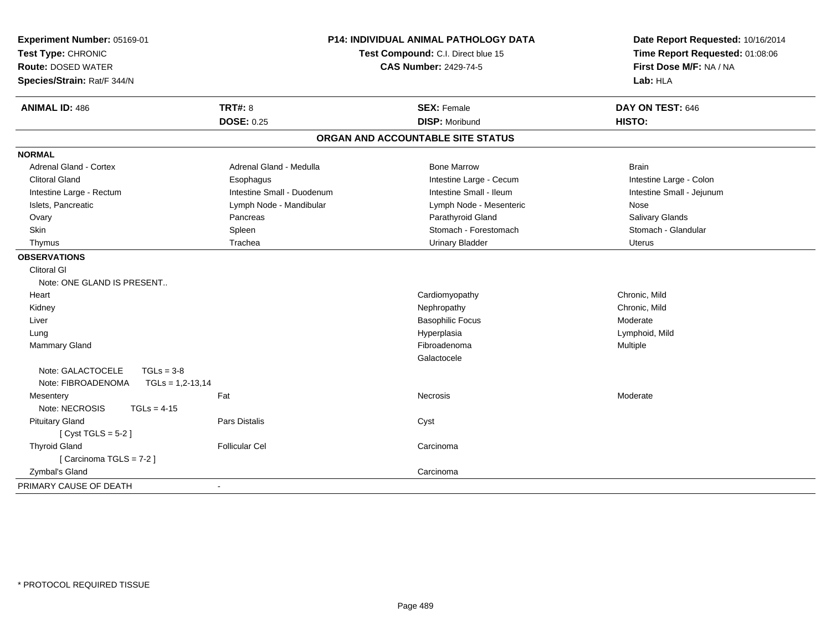| Experiment Number: 05169-01<br>Test Type: CHRONIC<br><b>Route: DOSED WATER</b><br>Species/Strain: Rat/F 344/N | P14: INDIVIDUAL ANIMAL PATHOLOGY DATA<br>Test Compound: C.I. Direct blue 15<br><b>CAS Number: 2429-74-5</b> |                                   | Date Report Requested: 10/16/2014<br>Time Report Requested: 01:08:06<br>First Dose M/F: NA / NA<br>Lab: HLA |  |
|---------------------------------------------------------------------------------------------------------------|-------------------------------------------------------------------------------------------------------------|-----------------------------------|-------------------------------------------------------------------------------------------------------------|--|
| <b>ANIMAL ID: 486</b>                                                                                         | <b>TRT#: 8</b>                                                                                              | <b>SEX: Female</b>                | DAY ON TEST: 646                                                                                            |  |
|                                                                                                               | <b>DOSE: 0.25</b>                                                                                           | <b>DISP: Moribund</b>             | HISTO:                                                                                                      |  |
|                                                                                                               |                                                                                                             | ORGAN AND ACCOUNTABLE SITE STATUS |                                                                                                             |  |
| <b>NORMAL</b>                                                                                                 |                                                                                                             |                                   |                                                                                                             |  |
| Adrenal Gland - Cortex                                                                                        | Adrenal Gland - Medulla                                                                                     | <b>Bone Marrow</b>                | <b>Brain</b>                                                                                                |  |
| <b>Clitoral Gland</b>                                                                                         | Esophagus                                                                                                   | Intestine Large - Cecum           | Intestine Large - Colon                                                                                     |  |
| Intestine Large - Rectum                                                                                      | Intestine Small - Duodenum                                                                                  | Intestine Small - Ileum           | Intestine Small - Jejunum                                                                                   |  |
| Islets, Pancreatic                                                                                            | Lymph Node - Mandibular                                                                                     | Lymph Node - Mesenteric           | Nose                                                                                                        |  |
| Ovary                                                                                                         | Pancreas                                                                                                    | Parathyroid Gland                 | Salivary Glands                                                                                             |  |
| Skin                                                                                                          | Spleen                                                                                                      | Stomach - Forestomach             | Stomach - Glandular                                                                                         |  |
| Thymus                                                                                                        | Trachea                                                                                                     | <b>Urinary Bladder</b>            | <b>Uterus</b>                                                                                               |  |
| <b>OBSERVATIONS</b>                                                                                           |                                                                                                             |                                   |                                                                                                             |  |
| <b>Clitoral GI</b>                                                                                            |                                                                                                             |                                   |                                                                                                             |  |
| Note: ONE GLAND IS PRESENT                                                                                    |                                                                                                             |                                   |                                                                                                             |  |
| Heart                                                                                                         |                                                                                                             | Cardiomyopathy                    | Chronic, Mild                                                                                               |  |
| Kidney                                                                                                        |                                                                                                             | Nephropathy                       | Chronic, Mild                                                                                               |  |
| Liver                                                                                                         |                                                                                                             | <b>Basophilic Focus</b>           | Moderate                                                                                                    |  |
| Lung                                                                                                          |                                                                                                             | Hyperplasia                       | Lymphoid, Mild                                                                                              |  |
| <b>Mammary Gland</b>                                                                                          |                                                                                                             | Fibroadenoma                      | Multiple                                                                                                    |  |
|                                                                                                               |                                                                                                             | Galactocele                       |                                                                                                             |  |
| Note: GALACTOCELE<br>$TGLs = 3-8$                                                                             |                                                                                                             |                                   |                                                                                                             |  |
| Note: FIBROADENOMA<br>$TGLs = 1,2-13,14$                                                                      |                                                                                                             |                                   |                                                                                                             |  |
| Mesentery                                                                                                     | Fat                                                                                                         | <b>Necrosis</b>                   | Moderate                                                                                                    |  |
| Note: NECROSIS<br>$TGLs = 4-15$                                                                               |                                                                                                             |                                   |                                                                                                             |  |
| <b>Pituitary Gland</b>                                                                                        | <b>Pars Distalis</b>                                                                                        | Cyst                              |                                                                                                             |  |
| [Cyst TGLS = $5-2$ ]                                                                                          |                                                                                                             |                                   |                                                                                                             |  |
| <b>Thyroid Gland</b>                                                                                          | <b>Follicular Cel</b>                                                                                       | Carcinoma                         |                                                                                                             |  |
| [Carcinoma TGLS = 7-2]                                                                                        |                                                                                                             |                                   |                                                                                                             |  |
| Zymbal's Gland                                                                                                |                                                                                                             | Carcinoma                         |                                                                                                             |  |
| PRIMARY CAUSE OF DEATH                                                                                        | $\blacksquare$                                                                                              |                                   |                                                                                                             |  |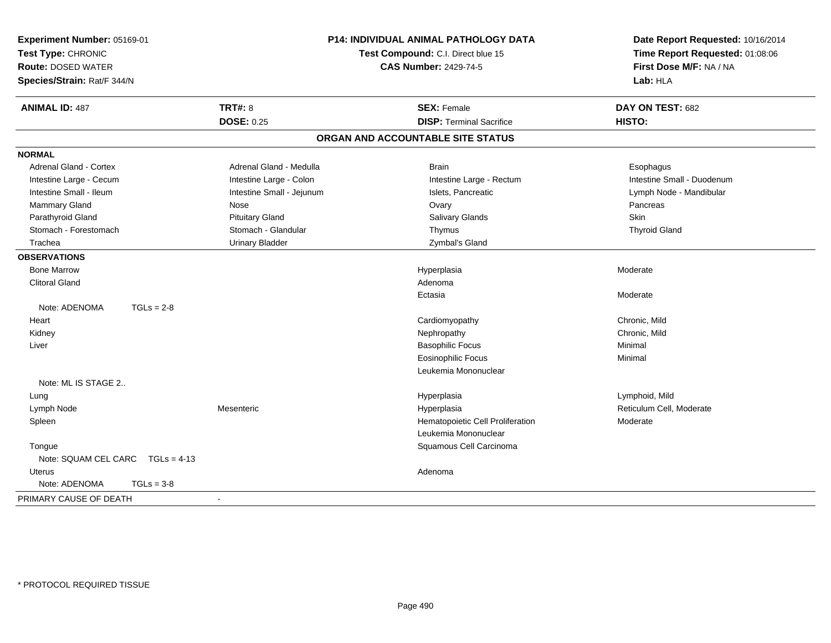| Experiment Number: 05169-01<br>Test Type: CHRONIC<br><b>Route: DOSED WATER</b><br>Species/Strain: Rat/F 344/N |                           | <b>P14: INDIVIDUAL ANIMAL PATHOLOGY DATA</b><br>Test Compound: C.I. Direct blue 15<br><b>CAS Number: 2429-74-5</b> | Date Report Requested: 10/16/2014<br>Time Report Requested: 01:08:06<br>First Dose M/F: NA / NA<br>Lab: HLA |
|---------------------------------------------------------------------------------------------------------------|---------------------------|--------------------------------------------------------------------------------------------------------------------|-------------------------------------------------------------------------------------------------------------|
| <b>ANIMAL ID: 487</b>                                                                                         | <b>TRT#: 8</b>            | <b>SEX: Female</b>                                                                                                 | DAY ON TEST: 682                                                                                            |
|                                                                                                               | <b>DOSE: 0.25</b>         | <b>DISP: Terminal Sacrifice</b>                                                                                    | HISTO:                                                                                                      |
|                                                                                                               |                           | ORGAN AND ACCOUNTABLE SITE STATUS                                                                                  |                                                                                                             |
| <b>NORMAL</b>                                                                                                 |                           |                                                                                                                    |                                                                                                             |
| Adrenal Gland - Cortex                                                                                        | Adrenal Gland - Medulla   | <b>Brain</b>                                                                                                       | Esophagus                                                                                                   |
| Intestine Large - Cecum                                                                                       | Intestine Large - Colon   | Intestine Large - Rectum                                                                                           | Intestine Small - Duodenum                                                                                  |
| Intestine Small - Ileum                                                                                       | Intestine Small - Jejunum | Islets, Pancreatic                                                                                                 | Lymph Node - Mandibular                                                                                     |
| Mammary Gland                                                                                                 | Nose                      | Ovary                                                                                                              | Pancreas                                                                                                    |
| Parathyroid Gland                                                                                             | <b>Pituitary Gland</b>    | Salivary Glands                                                                                                    | Skin                                                                                                        |
| Stomach - Forestomach                                                                                         | Stomach - Glandular       | Thymus                                                                                                             | <b>Thyroid Gland</b>                                                                                        |
| Trachea                                                                                                       | <b>Urinary Bladder</b>    | Zymbal's Gland                                                                                                     |                                                                                                             |
| <b>OBSERVATIONS</b>                                                                                           |                           |                                                                                                                    |                                                                                                             |
| <b>Bone Marrow</b>                                                                                            |                           | Hyperplasia                                                                                                        | Moderate                                                                                                    |
| <b>Clitoral Gland</b>                                                                                         |                           | Adenoma                                                                                                            |                                                                                                             |
|                                                                                                               |                           | Ectasia                                                                                                            | Moderate                                                                                                    |
| Note: ADENOMA<br>$TGLs = 2-8$                                                                                 |                           |                                                                                                                    |                                                                                                             |
| Heart                                                                                                         |                           | Cardiomyopathy                                                                                                     | Chronic, Mild                                                                                               |
| Kidney                                                                                                        |                           | Nephropathy                                                                                                        | Chronic, Mild                                                                                               |
| Liver                                                                                                         |                           | <b>Basophilic Focus</b>                                                                                            | Minimal                                                                                                     |
|                                                                                                               |                           | <b>Eosinophilic Focus</b>                                                                                          | Minimal                                                                                                     |
|                                                                                                               |                           | Leukemia Mononuclear                                                                                               |                                                                                                             |
| Note: ML IS STAGE 2                                                                                           |                           |                                                                                                                    |                                                                                                             |
| Lung                                                                                                          |                           | Hyperplasia                                                                                                        | Lymphoid, Mild                                                                                              |
| Lymph Node                                                                                                    | Mesenteric                | Hyperplasia                                                                                                        | Reticulum Cell, Moderate                                                                                    |
| Spleen                                                                                                        |                           | Hematopoietic Cell Proliferation                                                                                   | Moderate                                                                                                    |
|                                                                                                               |                           | Leukemia Mononuclear                                                                                               |                                                                                                             |
| Tongue                                                                                                        |                           | Squamous Cell Carcinoma                                                                                            |                                                                                                             |
| Note: SQUAM CEL CARC TGLs = 4-13                                                                              |                           |                                                                                                                    |                                                                                                             |
| Uterus                                                                                                        |                           | Adenoma                                                                                                            |                                                                                                             |
| Note: ADENOMA<br>$TGLs = 3-8$                                                                                 |                           |                                                                                                                    |                                                                                                             |
| PRIMARY CAUSE OF DEATH                                                                                        | $\blacksquare$            |                                                                                                                    |                                                                                                             |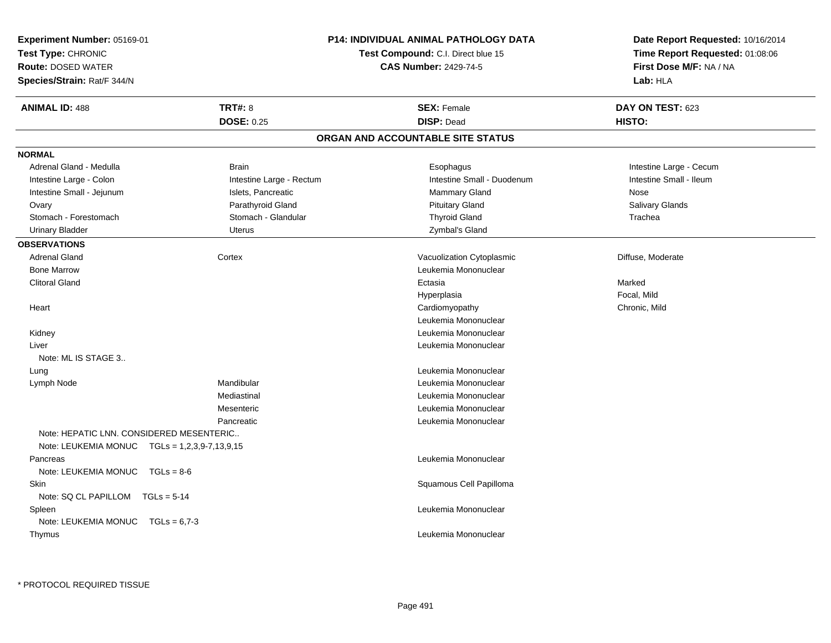| <b>Experiment Number: 05169-01</b>                                                        |                                                                    | P14: INDIVIDUAL ANIMAL PATHOLOGY DATA | Date Report Requested: 10/16/2014                          |
|-------------------------------------------------------------------------------------------|--------------------------------------------------------------------|---------------------------------------|------------------------------------------------------------|
| Test Type: CHRONIC                                                                        | Test Compound: C.I. Direct blue 15<br><b>CAS Number: 2429-74-5</b> |                                       | Time Report Requested: 01:08:06<br>First Dose M/F: NA / NA |
| <b>Route: DOSED WATER</b>                                                                 |                                                                    |                                       |                                                            |
| Species/Strain: Rat/F 344/N                                                               |                                                                    |                                       | Lab: HLA                                                   |
| <b>ANIMAL ID: 488</b>                                                                     | <b>TRT#: 8</b>                                                     | <b>SEX: Female</b>                    | DAY ON TEST: 623                                           |
|                                                                                           | <b>DOSE: 0.25</b>                                                  | <b>DISP: Dead</b>                     | HISTO:                                                     |
|                                                                                           |                                                                    | ORGAN AND ACCOUNTABLE SITE STATUS     |                                                            |
| <b>NORMAL</b>                                                                             |                                                                    |                                       |                                                            |
| Adrenal Gland - Medulla                                                                   | <b>Brain</b>                                                       | Esophagus                             | Intestine Large - Cecum                                    |
| Intestine Large - Colon                                                                   | Intestine Large - Rectum                                           | Intestine Small - Duodenum            | Intestine Small - Ileum                                    |
| Intestine Small - Jejunum                                                                 | Islets, Pancreatic                                                 | Mammary Gland                         | Nose                                                       |
| Ovary                                                                                     | Parathyroid Gland                                                  | <b>Pituitary Gland</b>                | <b>Salivary Glands</b>                                     |
| Stomach - Forestomach                                                                     | Stomach - Glandular                                                | <b>Thyroid Gland</b>                  | Trachea                                                    |
| Urinary Bladder                                                                           | Uterus                                                             | Zymbal's Gland                        |                                                            |
| <b>OBSERVATIONS</b>                                                                       |                                                                    |                                       |                                                            |
| <b>Adrenal Gland</b>                                                                      | Cortex                                                             | Vacuolization Cytoplasmic             | Diffuse, Moderate                                          |
| <b>Bone Marrow</b>                                                                        |                                                                    | Leukemia Mononuclear                  |                                                            |
| <b>Clitoral Gland</b>                                                                     |                                                                    | Ectasia                               | Marked                                                     |
|                                                                                           |                                                                    | Hyperplasia                           | Focal, Mild                                                |
| Heart                                                                                     |                                                                    | Cardiomyopathy                        | Chronic, Mild                                              |
|                                                                                           |                                                                    | Leukemia Mononuclear                  |                                                            |
| Kidney                                                                                    |                                                                    | Leukemia Mononuclear                  |                                                            |
| Liver                                                                                     |                                                                    | Leukemia Mononuclear                  |                                                            |
| Note: ML IS STAGE 3                                                                       |                                                                    |                                       |                                                            |
| Lung                                                                                      |                                                                    | Leukemia Mononuclear                  |                                                            |
| Lymph Node                                                                                | Mandibular                                                         | Leukemia Mononuclear                  |                                                            |
|                                                                                           | Mediastinal                                                        | Leukemia Mononuclear                  |                                                            |
|                                                                                           | Mesenteric                                                         | Leukemia Mononuclear                  |                                                            |
|                                                                                           | Pancreatic                                                         | Leukemia Mononuclear                  |                                                            |
| Note: HEPATIC LNN. CONSIDERED MESENTERIC<br>Note: LEUKEMIA MONUC TGLs = 1,2,3,9-7,13,9,15 |                                                                    |                                       |                                                            |
| Pancreas                                                                                  |                                                                    | Leukemia Mononuclear                  |                                                            |
| Note: LEUKEMIA MONUC TGLs = 8-6                                                           |                                                                    |                                       |                                                            |
| Skin                                                                                      |                                                                    | Squamous Cell Papilloma               |                                                            |
| Note: SQ CL PAPILLOM TGLs = 5-14                                                          |                                                                    |                                       |                                                            |
| Spleen                                                                                    |                                                                    | Leukemia Mononuclear                  |                                                            |
| Note: LEUKEMIA MONUC TGLs = 6,7-3                                                         |                                                                    |                                       |                                                            |
| Thymus                                                                                    |                                                                    | Leukemia Mononuclear                  |                                                            |
|                                                                                           |                                                                    |                                       |                                                            |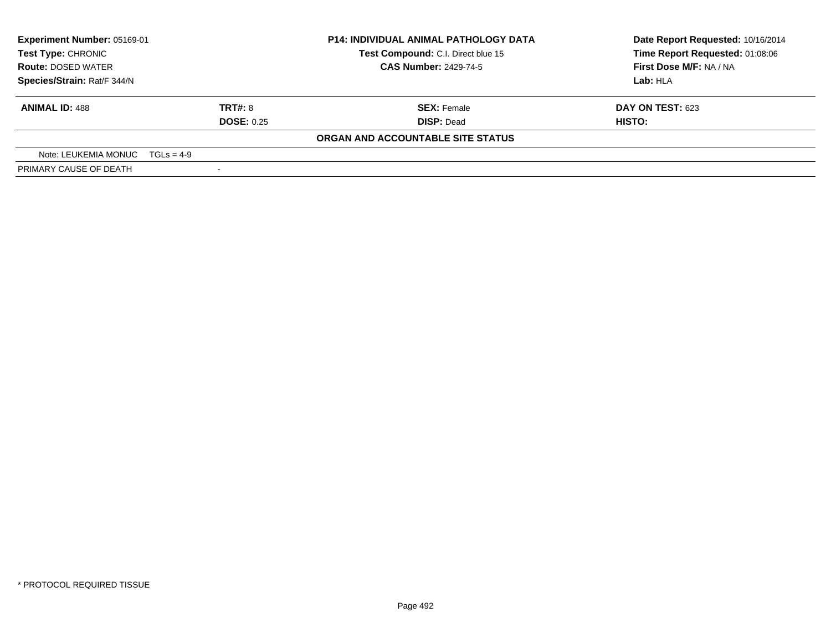| Experiment Number: 05169-01<br>Test Type: CHRONIC<br><b>Route: DOSED WATER</b><br>Species/Strain: Rat/F 344/N |                   | <b>P14: INDIVIDUAL ANIMAL PATHOLOGY DATA</b> | Date Report Requested: 10/16/2014 |
|---------------------------------------------------------------------------------------------------------------|-------------------|----------------------------------------------|-----------------------------------|
|                                                                                                               |                   | Test Compound: C.I. Direct blue 15           | Time Report Requested: 01:08:06   |
|                                                                                                               |                   | <b>CAS Number: 2429-74-5</b>                 | First Dose M/F: NA / NA           |
|                                                                                                               |                   |                                              | Lab: HLA                          |
| <b>ANIMAL ID: 488</b>                                                                                         | <b>TRT#: 8</b>    | <b>SEX: Female</b>                           | <b>DAY ON TEST: 623</b>           |
|                                                                                                               | <b>DOSE: 0.25</b> | <b>DISP: Dead</b>                            | HISTO:                            |
|                                                                                                               |                   | ORGAN AND ACCOUNTABLE SITE STATUS            |                                   |
| Note: LEUKEMIA MONUC $TGLs = 4-9$                                                                             |                   |                                              |                                   |
| PRIMARY CAUSE OF DEATH                                                                                        |                   |                                              |                                   |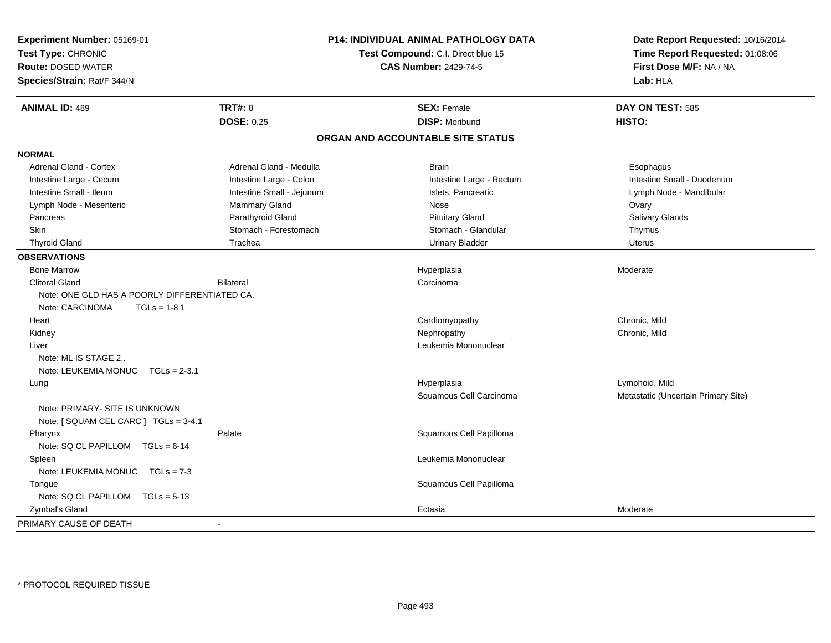| Experiment Number: 05169-01<br>Test Type: CHRONIC<br><b>Route: DOSED WATER</b><br>Species/Strain: Rat/F 344/N | P14: INDIVIDUAL ANIMAL PATHOLOGY DATA<br>Test Compound: C.I. Direct blue 15<br><b>CAS Number: 2429-74-5</b> |                                   | Date Report Requested: 10/16/2014<br>Time Report Requested: 01:08:06<br>First Dose M/F: NA / NA<br>Lab: HLA |  |
|---------------------------------------------------------------------------------------------------------------|-------------------------------------------------------------------------------------------------------------|-----------------------------------|-------------------------------------------------------------------------------------------------------------|--|
| <b>ANIMAL ID: 489</b>                                                                                         | <b>TRT#: 8</b>                                                                                              | <b>SEX: Female</b>                | DAY ON TEST: 585                                                                                            |  |
|                                                                                                               | <b>DOSE: 0.25</b>                                                                                           | <b>DISP: Moribund</b>             | HISTO:                                                                                                      |  |
|                                                                                                               |                                                                                                             | ORGAN AND ACCOUNTABLE SITE STATUS |                                                                                                             |  |
| <b>NORMAL</b>                                                                                                 |                                                                                                             |                                   |                                                                                                             |  |
| <b>Adrenal Gland - Cortex</b>                                                                                 | Adrenal Gland - Medulla                                                                                     | <b>Brain</b>                      | Esophagus                                                                                                   |  |
| Intestine Large - Cecum                                                                                       | Intestine Large - Colon                                                                                     | Intestine Large - Rectum          | Intestine Small - Duodenum                                                                                  |  |
| Intestine Small - Ileum                                                                                       | Intestine Small - Jejunum                                                                                   | Islets, Pancreatic                | Lymph Node - Mandibular                                                                                     |  |
| Lymph Node - Mesenteric                                                                                       | Mammary Gland                                                                                               | Nose                              | Ovary                                                                                                       |  |
| Pancreas                                                                                                      | Parathyroid Gland                                                                                           | <b>Pituitary Gland</b>            | Salivary Glands                                                                                             |  |
| Skin                                                                                                          | Stomach - Forestomach                                                                                       | Stomach - Glandular               | Thymus                                                                                                      |  |
| <b>Thyroid Gland</b>                                                                                          | Trachea                                                                                                     | <b>Urinary Bladder</b>            | <b>Uterus</b>                                                                                               |  |
| <b>OBSERVATIONS</b>                                                                                           |                                                                                                             |                                   |                                                                                                             |  |
| <b>Bone Marrow</b>                                                                                            |                                                                                                             | Hyperplasia                       | Moderate                                                                                                    |  |
| <b>Clitoral Gland</b>                                                                                         | <b>Bilateral</b>                                                                                            | Carcinoma                         |                                                                                                             |  |
| Note: ONE GLD HAS A POORLY DIFFERENTIATED CA.                                                                 |                                                                                                             |                                   |                                                                                                             |  |
| Note: CARCINOMA<br>$TGLs = 1-8.1$                                                                             |                                                                                                             |                                   |                                                                                                             |  |
| Heart                                                                                                         |                                                                                                             | Cardiomyopathy                    | Chronic, Mild                                                                                               |  |
| Kidney                                                                                                        |                                                                                                             | Nephropathy                       | Chronic, Mild                                                                                               |  |
| Liver                                                                                                         |                                                                                                             | Leukemia Mononuclear              |                                                                                                             |  |
| Note: ML IS STAGE 2                                                                                           |                                                                                                             |                                   |                                                                                                             |  |
| Note: LEUKEMIA MONUC TGLs = 2-3.1                                                                             |                                                                                                             |                                   |                                                                                                             |  |
| Lung                                                                                                          |                                                                                                             | Hyperplasia                       | Lymphoid, Mild                                                                                              |  |
|                                                                                                               |                                                                                                             | Squamous Cell Carcinoma           | Metastatic (Uncertain Primary Site)                                                                         |  |
| Note: PRIMARY- SITE IS UNKNOWN                                                                                |                                                                                                             |                                   |                                                                                                             |  |
| Note: [ SQUAM CEL CARC ] TGLs = 3-4.1                                                                         |                                                                                                             |                                   |                                                                                                             |  |
| Pharynx                                                                                                       | Palate                                                                                                      | Squamous Cell Papilloma           |                                                                                                             |  |
| Note: SQ CL PAPILLOM TGLs = 6-14                                                                              |                                                                                                             |                                   |                                                                                                             |  |
| Spleen                                                                                                        |                                                                                                             | Leukemia Mononuclear              |                                                                                                             |  |
| Note: LEUKEMIA MONUC TGLs = 7-3                                                                               |                                                                                                             |                                   |                                                                                                             |  |
| Tongue                                                                                                        |                                                                                                             | Squamous Cell Papilloma           |                                                                                                             |  |
| Note: SQ CL PAPILLOM TGLs = 5-13                                                                              |                                                                                                             |                                   |                                                                                                             |  |
| Zymbal's Gland                                                                                                |                                                                                                             | Ectasia                           | Moderate                                                                                                    |  |
| PRIMARY CAUSE OF DEATH                                                                                        | $\sim$                                                                                                      |                                   |                                                                                                             |  |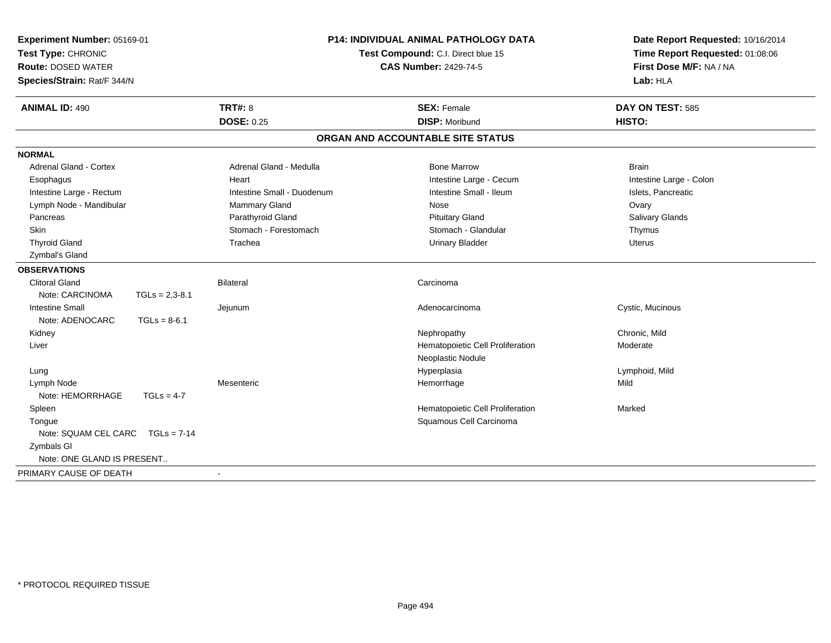| Experiment Number: 05169-01<br>Test Type: CHRONIC<br><b>Route: DOSED WATER</b><br>Species/Strain: Rat/F 344/N |                            | <b>P14: INDIVIDUAL ANIMAL PATHOLOGY DATA</b><br>Test Compound: C.I. Direct blue 15<br><b>CAS Number: 2429-74-5</b> | Date Report Requested: 10/16/2014<br>Time Report Requested: 01:08:06<br>First Dose M/F: NA / NA<br>Lab: HLA |
|---------------------------------------------------------------------------------------------------------------|----------------------------|--------------------------------------------------------------------------------------------------------------------|-------------------------------------------------------------------------------------------------------------|
| <b>ANIMAL ID: 490</b>                                                                                         | <b>TRT#: 8</b>             | <b>SEX: Female</b>                                                                                                 | DAY ON TEST: 585                                                                                            |
|                                                                                                               | <b>DOSE: 0.25</b>          | <b>DISP: Moribund</b>                                                                                              | HISTO:                                                                                                      |
|                                                                                                               |                            | ORGAN AND ACCOUNTABLE SITE STATUS                                                                                  |                                                                                                             |
| <b>NORMAL</b>                                                                                                 |                            |                                                                                                                    |                                                                                                             |
| Adrenal Gland - Cortex                                                                                        | Adrenal Gland - Medulla    | <b>Bone Marrow</b>                                                                                                 | <b>Brain</b>                                                                                                |
| Esophagus                                                                                                     | Heart                      | Intestine Large - Cecum                                                                                            | Intestine Large - Colon                                                                                     |
| Intestine Large - Rectum                                                                                      | Intestine Small - Duodenum | Intestine Small - Ileum                                                                                            | Islets, Pancreatic                                                                                          |
| Lymph Node - Mandibular                                                                                       | <b>Mammary Gland</b>       | Nose                                                                                                               | Ovary                                                                                                       |
| Pancreas                                                                                                      | Parathyroid Gland          | <b>Pituitary Gland</b>                                                                                             | <b>Salivary Glands</b>                                                                                      |
| <b>Skin</b>                                                                                                   | Stomach - Forestomach      | Stomach - Glandular                                                                                                | Thymus                                                                                                      |
| <b>Thyroid Gland</b>                                                                                          | Trachea                    | <b>Urinary Bladder</b>                                                                                             | <b>Uterus</b>                                                                                               |
| Zymbal's Gland                                                                                                |                            |                                                                                                                    |                                                                                                             |
| <b>OBSERVATIONS</b>                                                                                           |                            |                                                                                                                    |                                                                                                             |
| <b>Clitoral Gland</b>                                                                                         | Bilateral                  | Carcinoma                                                                                                          |                                                                                                             |
| Note: CARCINOMA                                                                                               | $TGLs = 2,3-8.1$           |                                                                                                                    |                                                                                                             |
| <b>Intestine Small</b>                                                                                        | Jejunum                    | Adenocarcinoma                                                                                                     | Cystic, Mucinous                                                                                            |
| Note: ADENOCARC                                                                                               | $TGLs = 8-6.1$             |                                                                                                                    |                                                                                                             |
| Kidney                                                                                                        |                            | Nephropathy                                                                                                        | Chronic, Mild                                                                                               |
| Liver                                                                                                         |                            | Hematopoietic Cell Proliferation                                                                                   | Moderate                                                                                                    |
|                                                                                                               |                            | Neoplastic Nodule                                                                                                  |                                                                                                             |
| Lung                                                                                                          |                            | Hyperplasia                                                                                                        | Lymphoid, Mild                                                                                              |
| Lymph Node                                                                                                    | Mesenteric                 | Hemorrhage                                                                                                         | Mild                                                                                                        |
| Note: HEMORRHAGE                                                                                              | $TGLs = 4-7$               |                                                                                                                    |                                                                                                             |
| Spleen                                                                                                        |                            | Hematopoietic Cell Proliferation                                                                                   | Marked                                                                                                      |
| Tongue                                                                                                        |                            | Squamous Cell Carcinoma                                                                                            |                                                                                                             |
| Note: SQUAM CEL CARC                                                                                          | $TGLs = 7-14$              |                                                                                                                    |                                                                                                             |
| Zymbals GI                                                                                                    |                            |                                                                                                                    |                                                                                                             |
| Note: ONE GLAND IS PRESENT                                                                                    |                            |                                                                                                                    |                                                                                                             |
| PRIMARY CAUSE OF DEATH                                                                                        |                            |                                                                                                                    |                                                                                                             |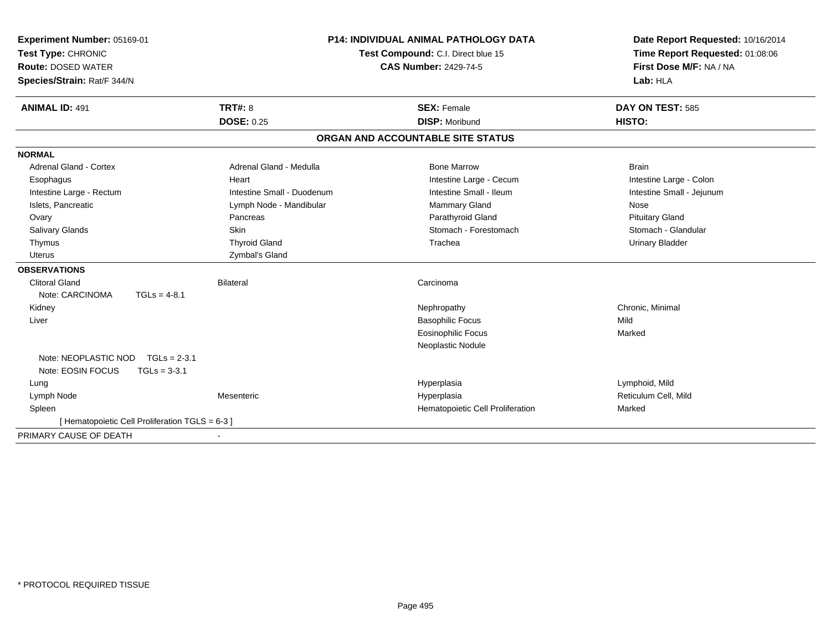| Experiment Number: 05169-01                     |                |                                    |  | <b>P14: INDIVIDUAL ANIMAL PATHOLOGY DATA</b> | Date Report Requested: 10/16/2014 |  |
|-------------------------------------------------|----------------|------------------------------------|--|----------------------------------------------|-----------------------------------|--|
| Test Type: CHRONIC                              |                | Test Compound: C.I. Direct blue 15 |  |                                              | Time Report Requested: 01:08:06   |  |
| <b>Route: DOSED WATER</b>                       |                |                                    |  | <b>CAS Number: 2429-74-5</b>                 | First Dose M/F: NA / NA           |  |
| Species/Strain: Rat/F 344/N                     |                |                                    |  |                                              | Lab: HLA                          |  |
| <b>ANIMAL ID: 491</b>                           |                | <b>TRT#: 8</b>                     |  | <b>SEX: Female</b>                           | DAY ON TEST: 585                  |  |
|                                                 |                | <b>DOSE: 0.25</b>                  |  | <b>DISP: Moribund</b>                        | HISTO:                            |  |
|                                                 |                |                                    |  | ORGAN AND ACCOUNTABLE SITE STATUS            |                                   |  |
| <b>NORMAL</b>                                   |                |                                    |  |                                              |                                   |  |
| Adrenal Gland - Cortex                          |                | Adrenal Gland - Medulla            |  | <b>Bone Marrow</b>                           | <b>Brain</b>                      |  |
| Esophagus                                       |                | Heart                              |  | Intestine Large - Cecum                      | Intestine Large - Colon           |  |
| Intestine Large - Rectum                        |                | Intestine Small - Duodenum         |  | Intestine Small - Ileum                      | Intestine Small - Jejunum         |  |
| Islets, Pancreatic                              |                | Lymph Node - Mandibular            |  | <b>Mammary Gland</b>                         | Nose                              |  |
| Ovary                                           |                | Pancreas                           |  | Parathyroid Gland                            | <b>Pituitary Gland</b>            |  |
| Salivary Glands                                 |                | Skin                               |  | Stomach - Forestomach                        | Stomach - Glandular               |  |
| Thymus                                          |                | <b>Thyroid Gland</b>               |  | Trachea                                      | <b>Urinary Bladder</b>            |  |
| <b>Uterus</b>                                   |                | Zymbal's Gland                     |  |                                              |                                   |  |
| <b>OBSERVATIONS</b>                             |                |                                    |  |                                              |                                   |  |
| Clitoral Gland                                  |                | <b>Bilateral</b>                   |  | Carcinoma                                    |                                   |  |
| Note: CARCINOMA                                 | $TGLs = 4-8.1$ |                                    |  |                                              |                                   |  |
| Kidney                                          |                |                                    |  | Nephropathy                                  | Chronic, Minimal                  |  |
| Liver                                           |                |                                    |  | <b>Basophilic Focus</b>                      | Mild                              |  |
|                                                 |                |                                    |  | <b>Eosinophilic Focus</b>                    | Marked                            |  |
|                                                 |                |                                    |  | Neoplastic Nodule                            |                                   |  |
| Note: NEOPLASTIC NOD                            | $TGLs = 2-3.1$ |                                    |  |                                              |                                   |  |
| Note: EOSIN FOCUS                               | $TGLs = 3-3.1$ |                                    |  |                                              |                                   |  |
| Lung                                            |                |                                    |  | Hyperplasia                                  | Lymphoid, Mild                    |  |
| Lymph Node                                      |                | Mesenteric                         |  | Hyperplasia                                  | Reticulum Cell, Mild              |  |
| Spleen                                          |                |                                    |  | Hematopoietic Cell Proliferation             | Marked                            |  |
| [ Hematopoietic Cell Proliferation TGLS = 6-3 ] |                |                                    |  |                                              |                                   |  |
| PRIMARY CAUSE OF DEATH                          |                | $\overline{\phantom{a}}$           |  |                                              |                                   |  |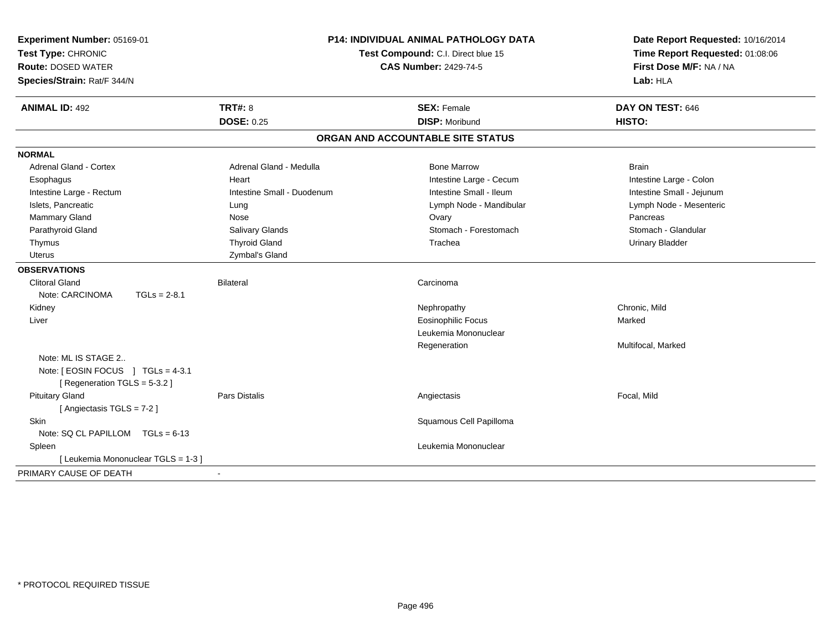| Experiment Number: 05169-01<br>Test Type: CHRONIC<br><b>Route: DOSED WATER</b><br>Species/Strain: Rat/F 344/N |                            | <b>P14: INDIVIDUAL ANIMAL PATHOLOGY DATA</b><br>Test Compound: C.I. Direct blue 15<br><b>CAS Number: 2429-74-5</b> | Date Report Requested: 10/16/2014<br>Time Report Requested: 01:08:06<br>First Dose M/F: NA / NA<br>Lab: HLA |
|---------------------------------------------------------------------------------------------------------------|----------------------------|--------------------------------------------------------------------------------------------------------------------|-------------------------------------------------------------------------------------------------------------|
| <b>ANIMAL ID: 492</b>                                                                                         | <b>TRT#: 8</b>             | <b>SEX: Female</b>                                                                                                 | DAY ON TEST: 646                                                                                            |
|                                                                                                               | <b>DOSE: 0.25</b>          | <b>DISP: Moribund</b>                                                                                              | HISTO:                                                                                                      |
|                                                                                                               |                            | ORGAN AND ACCOUNTABLE SITE STATUS                                                                                  |                                                                                                             |
| <b>NORMAL</b>                                                                                                 |                            |                                                                                                                    |                                                                                                             |
| <b>Adrenal Gland - Cortex</b>                                                                                 | Adrenal Gland - Medulla    | <b>Bone Marrow</b>                                                                                                 | <b>Brain</b>                                                                                                |
| Esophagus                                                                                                     | Heart                      | Intestine Large - Cecum                                                                                            | Intestine Large - Colon                                                                                     |
| Intestine Large - Rectum                                                                                      | Intestine Small - Duodenum | Intestine Small - Ileum                                                                                            | Intestine Small - Jejunum                                                                                   |
| Islets, Pancreatic                                                                                            | Lung                       | Lymph Node - Mandibular                                                                                            | Lymph Node - Mesenteric                                                                                     |
| Mammary Gland                                                                                                 | Nose                       | Ovary                                                                                                              | Pancreas                                                                                                    |
| Parathyroid Gland                                                                                             | Salivary Glands            | Stomach - Forestomach                                                                                              | Stomach - Glandular                                                                                         |
| Thymus                                                                                                        | <b>Thyroid Gland</b>       | Trachea                                                                                                            | <b>Urinary Bladder</b>                                                                                      |
| Uterus                                                                                                        | Zymbal's Gland             |                                                                                                                    |                                                                                                             |
| <b>OBSERVATIONS</b>                                                                                           |                            |                                                                                                                    |                                                                                                             |
| <b>Clitoral Gland</b>                                                                                         | <b>Bilateral</b>           | Carcinoma                                                                                                          |                                                                                                             |
| Note: CARCINOMA<br>$TGLs = 2-8.1$                                                                             |                            |                                                                                                                    |                                                                                                             |
| Kidney                                                                                                        |                            | Nephropathy                                                                                                        | Chronic. Mild                                                                                               |
| Liver                                                                                                         |                            | <b>Eosinophilic Focus</b>                                                                                          | Marked                                                                                                      |
|                                                                                                               |                            | Leukemia Mononuclear                                                                                               |                                                                                                             |
|                                                                                                               |                            | Regeneration                                                                                                       | Multifocal, Marked                                                                                          |
| Note: ML IS STAGE 2                                                                                           |                            |                                                                                                                    |                                                                                                             |
| Note: [ EOSIN FOCUS ] TGLs = 4-3.1                                                                            |                            |                                                                                                                    |                                                                                                             |
| [ Regeneration TGLS = 5-3.2 ]                                                                                 |                            |                                                                                                                    |                                                                                                             |
| <b>Pituitary Gland</b>                                                                                        | <b>Pars Distalis</b>       | Angiectasis                                                                                                        | Focal, Mild                                                                                                 |
| [Angiectasis TGLS = 7-2]                                                                                      |                            |                                                                                                                    |                                                                                                             |
| <b>Skin</b>                                                                                                   |                            | Squamous Cell Papilloma                                                                                            |                                                                                                             |
| Note: SQ CL PAPILLOM TGLs = 6-13                                                                              |                            |                                                                                                                    |                                                                                                             |
| Spleen                                                                                                        |                            | Leukemia Mononuclear                                                                                               |                                                                                                             |
| [ Leukemia Mononuclear TGLS = 1-3 ]                                                                           |                            |                                                                                                                    |                                                                                                             |
| PRIMARY CAUSE OF DEATH                                                                                        |                            |                                                                                                                    |                                                                                                             |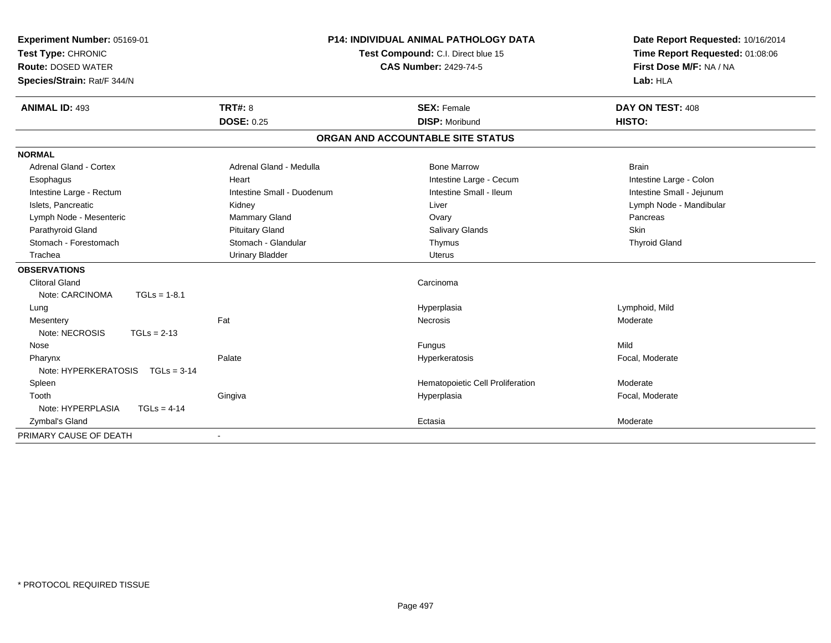| Experiment Number: 05169-01<br>Test Type: CHRONIC |                            | <b>P14: INDIVIDUAL ANIMAL PATHOLOGY DATA</b><br>Test Compound: C.I. Direct blue 15 | Date Report Requested: 10/16/2014<br>Time Report Requested: 01:08:06 |
|---------------------------------------------------|----------------------------|------------------------------------------------------------------------------------|----------------------------------------------------------------------|
| <b>Route: DOSED WATER</b>                         |                            | <b>CAS Number: 2429-74-5</b>                                                       | First Dose M/F: NA / NA                                              |
|                                                   |                            |                                                                                    |                                                                      |
| Species/Strain: Rat/F 344/N                       |                            |                                                                                    | Lab: HLA                                                             |
| <b>ANIMAL ID: 493</b>                             | <b>TRT#: 8</b>             | <b>SEX: Female</b>                                                                 | DAY ON TEST: 408                                                     |
|                                                   | <b>DOSE: 0.25</b>          | <b>DISP: Moribund</b>                                                              | <b>HISTO:</b>                                                        |
|                                                   |                            | ORGAN AND ACCOUNTABLE SITE STATUS                                                  |                                                                      |
| <b>NORMAL</b>                                     |                            |                                                                                    |                                                                      |
| Adrenal Gland - Cortex                            | Adrenal Gland - Medulla    | <b>Bone Marrow</b>                                                                 | <b>Brain</b>                                                         |
| Esophagus                                         | Heart                      | Intestine Large - Cecum                                                            | Intestine Large - Colon                                              |
| Intestine Large - Rectum                          | Intestine Small - Duodenum | Intestine Small - Ileum                                                            | Intestine Small - Jejunum                                            |
| Islets, Pancreatic                                | Kidney                     | Liver                                                                              | Lymph Node - Mandibular                                              |
| Lymph Node - Mesenteric                           | Mammary Gland              | Ovary                                                                              | Pancreas                                                             |
| Parathyroid Gland                                 | <b>Pituitary Gland</b>     | <b>Salivary Glands</b>                                                             | <b>Skin</b>                                                          |
| Stomach - Forestomach                             | Stomach - Glandular        | Thymus                                                                             | <b>Thyroid Gland</b>                                                 |
| Trachea                                           | <b>Urinary Bladder</b>     | <b>Uterus</b>                                                                      |                                                                      |
| <b>OBSERVATIONS</b>                               |                            |                                                                                    |                                                                      |
| <b>Clitoral Gland</b>                             |                            | Carcinoma                                                                          |                                                                      |
| Note: CARCINOMA<br>$TGLs = 1-8.1$                 |                            |                                                                                    |                                                                      |
| Lung                                              |                            | Hyperplasia                                                                        | Lymphoid, Mild                                                       |
| Mesentery                                         | Fat                        | <b>Necrosis</b>                                                                    | Moderate                                                             |
| Note: NECROSIS<br>$TGLs = 2-13$                   |                            |                                                                                    |                                                                      |
| Nose                                              |                            | Fungus                                                                             | Mild                                                                 |
| Pharynx                                           | Palate                     | Hyperkeratosis                                                                     | Focal, Moderate                                                      |
| Note: HYPERKERATOSIS TGLs = 3-14                  |                            |                                                                                    |                                                                      |
| Spleen                                            |                            | Hematopoietic Cell Proliferation                                                   | Moderate                                                             |
| Tooth                                             | Gingiva                    | Hyperplasia                                                                        | Focal, Moderate                                                      |
| Note: HYPERPLASIA<br>$TGLs = 4-14$                |                            |                                                                                    |                                                                      |
| Zymbal's Gland                                    |                            | Ectasia                                                                            | Moderate                                                             |
| PRIMARY CAUSE OF DEATH                            | $\overline{\phantom{0}}$   |                                                                                    |                                                                      |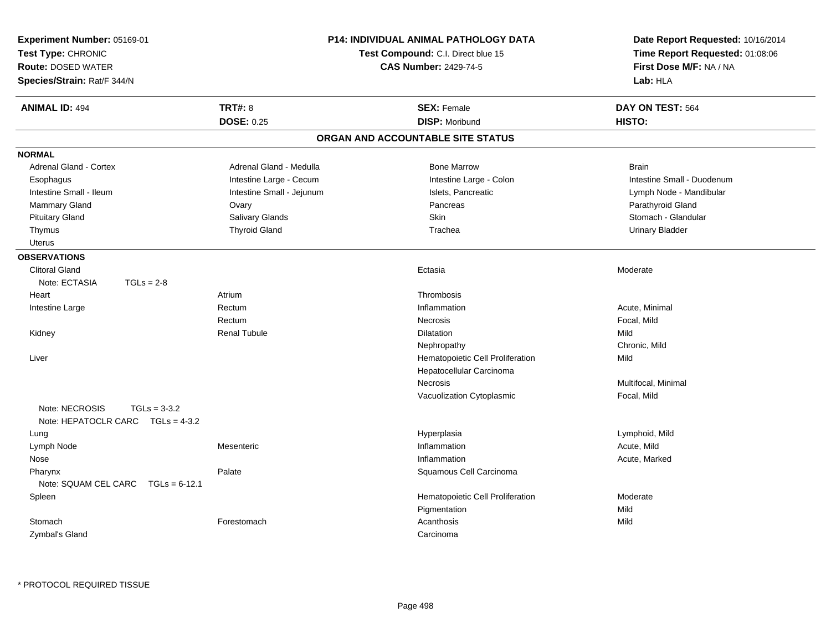| <b>Route: DOSED WATER</b><br>Species/Strain: Rat/F 344/N              |                           | Test Compound: C.I. Direct blue 15<br><b>CAS Number: 2429-74-5</b> | Date Report Requested: 10/16/2014<br>Time Report Requested: 01:08:06<br>First Dose M/F: NA / NA<br>Lab: HLA |  |
|-----------------------------------------------------------------------|---------------------------|--------------------------------------------------------------------|-------------------------------------------------------------------------------------------------------------|--|
| <b>ANIMAL ID: 494</b>                                                 | <b>TRT#: 8</b>            | <b>SEX: Female</b>                                                 | DAY ON TEST: 564                                                                                            |  |
|                                                                       | <b>DOSE: 0.25</b>         | <b>DISP: Moribund</b>                                              | HISTO:                                                                                                      |  |
|                                                                       |                           | ORGAN AND ACCOUNTABLE SITE STATUS                                  |                                                                                                             |  |
| <b>NORMAL</b>                                                         |                           |                                                                    |                                                                                                             |  |
| <b>Adrenal Gland - Cortex</b>                                         | Adrenal Gland - Medulla   | <b>Bone Marrow</b>                                                 | <b>Brain</b>                                                                                                |  |
| Esophagus                                                             | Intestine Large - Cecum   | Intestine Large - Colon                                            | Intestine Small - Duodenum                                                                                  |  |
| Intestine Small - Ileum                                               | Intestine Small - Jejunum | Islets, Pancreatic                                                 | Lymph Node - Mandibular                                                                                     |  |
| <b>Mammary Gland</b>                                                  | Ovary                     | Pancreas                                                           | Parathyroid Gland                                                                                           |  |
| <b>Pituitary Gland</b>                                                | Salivary Glands           | Skin                                                               | Stomach - Glandular                                                                                         |  |
| Thymus                                                                | <b>Thyroid Gland</b>      | Trachea                                                            | <b>Urinary Bladder</b>                                                                                      |  |
| <b>Uterus</b>                                                         |                           |                                                                    |                                                                                                             |  |
| <b>OBSERVATIONS</b>                                                   |                           |                                                                    |                                                                                                             |  |
| <b>Clitoral Gland</b>                                                 |                           | Ectasia                                                            | Moderate                                                                                                    |  |
| Note: ECTASIA<br>$TGLs = 2-8$                                         |                           |                                                                    |                                                                                                             |  |
| Heart                                                                 | Atrium                    | Thrombosis                                                         |                                                                                                             |  |
| Intestine Large                                                       | Rectum                    | Inflammation                                                       | Acute, Minimal                                                                                              |  |
|                                                                       | Rectum                    | Necrosis                                                           | Focal, Mild                                                                                                 |  |
| Kidney                                                                | <b>Renal Tubule</b>       | <b>Dilatation</b>                                                  | Mild                                                                                                        |  |
|                                                                       |                           | Nephropathy                                                        | Chronic, Mild                                                                                               |  |
| Liver                                                                 |                           | Hematopoietic Cell Proliferation                                   | Mild                                                                                                        |  |
|                                                                       |                           | Hepatocellular Carcinoma                                           |                                                                                                             |  |
|                                                                       |                           | Necrosis                                                           | Multifocal, Minimal                                                                                         |  |
|                                                                       |                           | Vacuolization Cytoplasmic                                          | Focal, Mild                                                                                                 |  |
| Note: NECROSIS<br>$TGLs = 3-3.2$<br>Note: HEPATOCLR CARC TGLs = 4-3.2 |                           |                                                                    |                                                                                                             |  |
| Lung                                                                  |                           | Hyperplasia                                                        | Lymphoid, Mild                                                                                              |  |
| Lymph Node                                                            | Mesenteric                | Inflammation                                                       | Acute, Mild                                                                                                 |  |
| Nose                                                                  |                           | Inflammation                                                       | Acute, Marked                                                                                               |  |
| Pharynx                                                               | Palate                    | Squamous Cell Carcinoma                                            |                                                                                                             |  |
| Note: SQUAM CEL CARC<br>$TGLs = 6-12.1$                               |                           |                                                                    |                                                                                                             |  |
| Spleen                                                                |                           | Hematopoietic Cell Proliferation                                   | Moderate                                                                                                    |  |
|                                                                       |                           | Pigmentation                                                       | Mild                                                                                                        |  |
| Stomach                                                               | Forestomach               | Acanthosis                                                         | Mild                                                                                                        |  |
| <b>Zymbal's Gland</b>                                                 |                           | Carcinoma                                                          |                                                                                                             |  |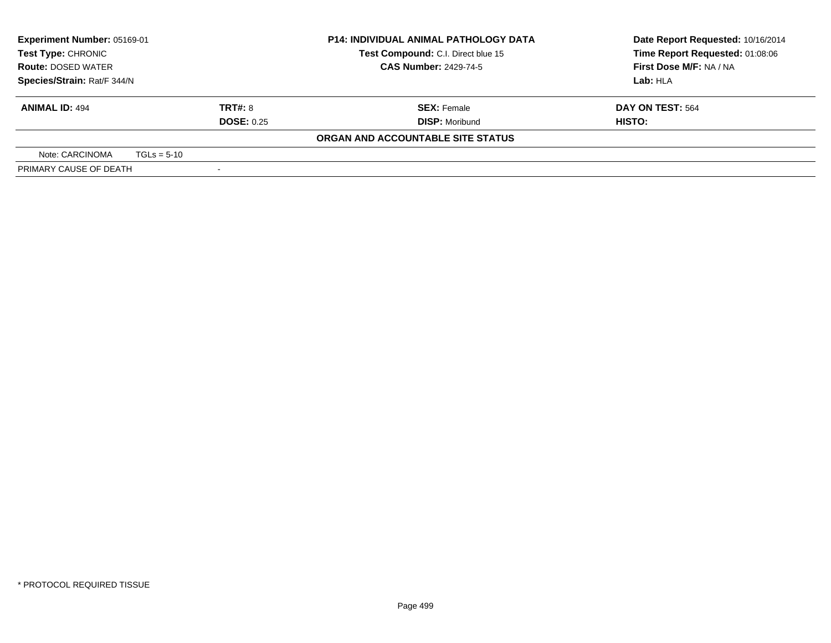| <b>Experiment Number: 05169-01</b> |               |                   | <b>P14: INDIVIDUAL ANIMAL PATHOLOGY DATA</b>                          | Date Report Requested: 10/16/2014 |  |
|------------------------------------|---------------|-------------------|-----------------------------------------------------------------------|-----------------------------------|--|
| <b>Test Type: CHRONIC</b>          |               |                   | Time Report Requested: 01:08:06<br>Test Compound: C.I. Direct blue 15 |                                   |  |
| <b>Route: DOSED WATER</b>          |               |                   | <b>CAS Number: 2429-74-5</b>                                          | First Dose M/F: NA / NA           |  |
| Species/Strain: Rat/F 344/N        |               |                   |                                                                       | Lab: HLA                          |  |
| <b>ANIMAL ID: 494</b>              |               | <b>TRT#: 8</b>    | <b>SEX: Female</b>                                                    | DAY ON TEST: 564                  |  |
|                                    |               | <b>DOSE: 0.25</b> | <b>DISP:</b> Moribund                                                 | HISTO:                            |  |
|                                    |               |                   | ORGAN AND ACCOUNTABLE SITE STATUS                                     |                                   |  |
| Note: CARCINOMA                    | $TGLs = 5-10$ |                   |                                                                       |                                   |  |
| PRIMARY CAUSE OF DEATH             |               |                   |                                                                       |                                   |  |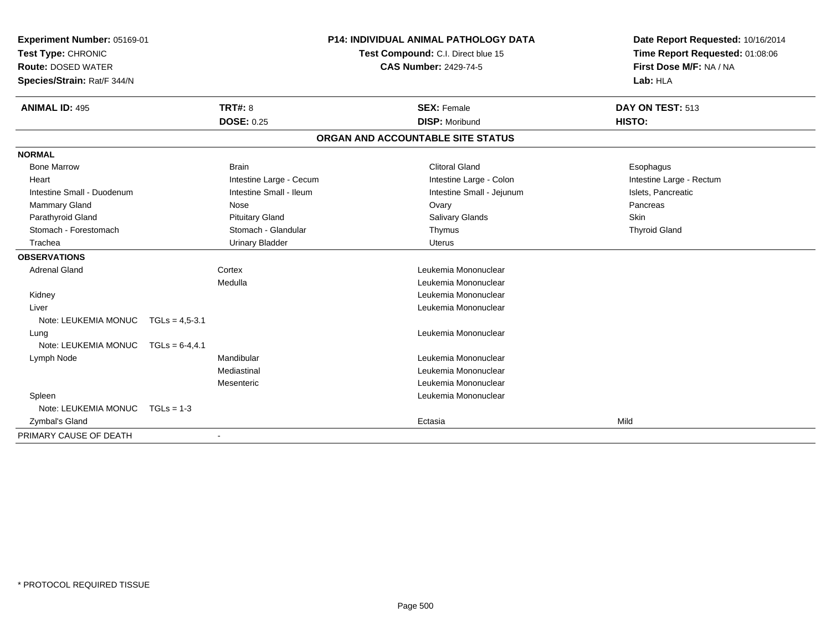| Experiment Number: 05169-01         |                   |                          | <b>P14: INDIVIDUAL ANIMAL PATHOLOGY DATA</b> |                                    | Date Report Requested: 10/16/2014 |  |
|-------------------------------------|-------------------|--------------------------|----------------------------------------------|------------------------------------|-----------------------------------|--|
| Test Type: CHRONIC                  |                   |                          |                                              | Test Compound: C.I. Direct blue 15 | Time Report Requested: 01:08:06   |  |
| <b>Route: DOSED WATER</b>           |                   |                          |                                              | <b>CAS Number: 2429-74-5</b>       | First Dose M/F: NA / NA           |  |
| Species/Strain: Rat/F 344/N         |                   |                          |                                              |                                    | Lab: HLA                          |  |
| <b>ANIMAL ID: 495</b>               |                   | <b>TRT#: 8</b>           |                                              | <b>SEX: Female</b>                 | DAY ON TEST: 513                  |  |
|                                     |                   | <b>DOSE: 0.25</b>        |                                              | <b>DISP: Moribund</b>              | HISTO:                            |  |
|                                     |                   |                          |                                              | ORGAN AND ACCOUNTABLE SITE STATUS  |                                   |  |
| <b>NORMAL</b>                       |                   |                          |                                              |                                    |                                   |  |
| <b>Bone Marrow</b>                  |                   | <b>Brain</b>             |                                              | <b>Clitoral Gland</b>              | Esophagus                         |  |
| Heart                               |                   | Intestine Large - Cecum  |                                              | Intestine Large - Colon            | Intestine Large - Rectum          |  |
| Intestine Small - Duodenum          |                   | Intestine Small - Ileum  |                                              | Intestine Small - Jejunum          | Islets, Pancreatic                |  |
| Mammary Gland                       |                   | Nose                     |                                              | Ovary                              | Pancreas                          |  |
| Parathyroid Gland                   |                   | <b>Pituitary Gland</b>   |                                              | Salivary Glands                    | Skin                              |  |
| Stomach - Forestomach               |                   | Stomach - Glandular      |                                              | Thymus                             | <b>Thyroid Gland</b>              |  |
| Trachea                             |                   | <b>Urinary Bladder</b>   |                                              | <b>Uterus</b>                      |                                   |  |
| <b>OBSERVATIONS</b>                 |                   |                          |                                              |                                    |                                   |  |
| <b>Adrenal Gland</b>                |                   | Cortex                   |                                              | Leukemia Mononuclear               |                                   |  |
|                                     |                   | Medulla                  |                                              | Leukemia Mononuclear               |                                   |  |
| Kidney                              |                   |                          |                                              | Leukemia Mononuclear               |                                   |  |
| Liver                               |                   |                          |                                              | Leukemia Mononuclear               |                                   |  |
| Note: LEUKEMIA MONUC TGLs = 4,5-3.1 |                   |                          |                                              |                                    |                                   |  |
| Lung                                |                   |                          |                                              | Leukemia Mononuclear               |                                   |  |
| Note: LEUKEMIA MONUC                | $TGLs = 6-4, 4.1$ |                          |                                              |                                    |                                   |  |
| Lymph Node                          |                   | Mandibular               |                                              | Leukemia Mononuclear               |                                   |  |
|                                     |                   | Mediastinal              |                                              | Leukemia Mononuclear               |                                   |  |
|                                     |                   | Mesenteric               |                                              | Leukemia Mononuclear               |                                   |  |
| Spleen                              |                   |                          |                                              | Leukemia Mononuclear               |                                   |  |
| Note: LEUKEMIA MONUC                | $TGLs = 1-3$      |                          |                                              |                                    |                                   |  |
| Zymbal's Gland                      |                   |                          |                                              | Ectasia                            | Mild                              |  |
| PRIMARY CAUSE OF DEATH              |                   | $\overline{\phantom{a}}$ |                                              |                                    |                                   |  |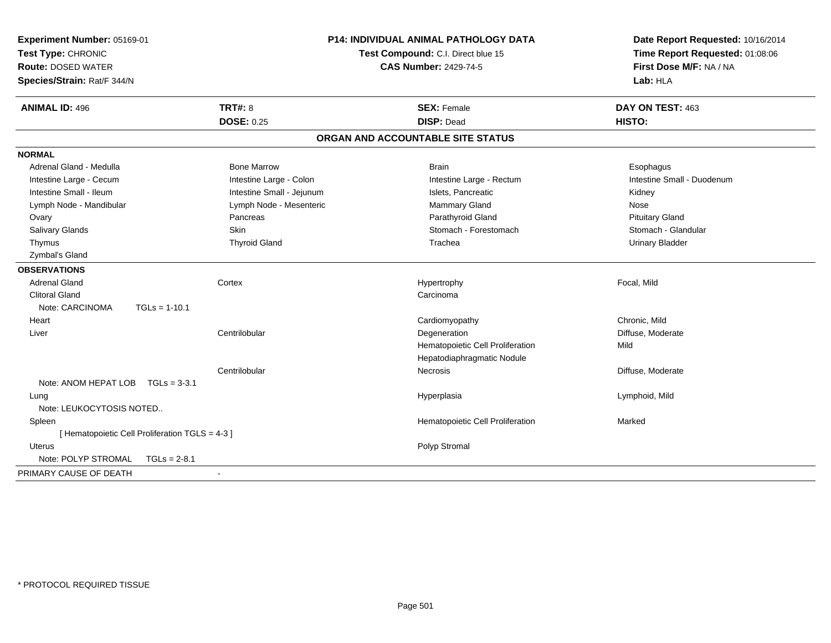| Experiment Number: 05169-01<br>Test Type: CHRONIC<br><b>Route: DOSED WATER</b><br>Species/Strain: Rat/F 344/N                                                                                                                            |                                                                                                                                                             | <b>P14: INDIVIDUAL ANIMAL PATHOLOGY DATA</b><br>Test Compound: C.I. Direct blue 15<br><b>CAS Number: 2429-74-5</b>                                                   | Date Report Requested: 10/16/2014<br>Time Report Requested: 01:08:06<br>First Dose M/F: NA / NA<br>Lab: HLA                                         |
|------------------------------------------------------------------------------------------------------------------------------------------------------------------------------------------------------------------------------------------|-------------------------------------------------------------------------------------------------------------------------------------------------------------|----------------------------------------------------------------------------------------------------------------------------------------------------------------------|-----------------------------------------------------------------------------------------------------------------------------------------------------|
| <b>ANIMAL ID: 496</b>                                                                                                                                                                                                                    | TRT#: 8<br><b>DOSE: 0.25</b>                                                                                                                                | <b>SEX: Female</b><br><b>DISP: Dead</b>                                                                                                                              | DAY ON TEST: 463<br>HISTO:                                                                                                                          |
|                                                                                                                                                                                                                                          |                                                                                                                                                             | ORGAN AND ACCOUNTABLE SITE STATUS                                                                                                                                    |                                                                                                                                                     |
| <b>NORMAL</b>                                                                                                                                                                                                                            |                                                                                                                                                             |                                                                                                                                                                      |                                                                                                                                                     |
| Adrenal Gland - Medulla<br>Intestine Large - Cecum<br>Intestine Small - Ileum<br>Lymph Node - Mandibular<br>Ovary<br>Salivary Glands<br>Thymus<br>Zymbal's Gland<br><b>OBSERVATIONS</b><br><b>Adrenal Gland</b><br><b>Clitoral Gland</b> | <b>Bone Marrow</b><br>Intestine Large - Colon<br>Intestine Small - Jejunum<br>Lymph Node - Mesenteric<br>Pancreas<br>Skin<br><b>Thyroid Gland</b><br>Cortex | <b>Brain</b><br>Intestine Large - Rectum<br>Islets, Pancreatic<br>Mammary Gland<br>Parathyroid Gland<br>Stomach - Forestomach<br>Trachea<br>Hypertrophy<br>Carcinoma | Esophagus<br>Intestine Small - Duodenum<br>Kidney<br>Nose<br><b>Pituitary Gland</b><br>Stomach - Glandular<br><b>Urinary Bladder</b><br>Focal, Mild |
| Note: CARCINOMA<br>$TGLs = 1-10.1$                                                                                                                                                                                                       |                                                                                                                                                             |                                                                                                                                                                      |                                                                                                                                                     |
| Heart<br>Liver                                                                                                                                                                                                                           | Centrilobular<br>Centrilobular                                                                                                                              | Cardiomyopathy<br>Degeneration<br>Hematopoietic Cell Proliferation<br>Hepatodiaphragmatic Nodule<br><b>Necrosis</b>                                                  | Chronic, Mild<br>Diffuse, Moderate<br>Mild<br>Diffuse, Moderate                                                                                     |
| Note: ANOM HEPAT LOB<br>$TGLs = 3-3.1$                                                                                                                                                                                                   |                                                                                                                                                             |                                                                                                                                                                      |                                                                                                                                                     |
| Lung<br>Note: LEUKOCYTOSIS NOTED                                                                                                                                                                                                         |                                                                                                                                                             | Hyperplasia                                                                                                                                                          | Lymphoid, Mild                                                                                                                                      |
| Spleen<br>[ Hematopoietic Cell Proliferation TGLS = 4-3 ]                                                                                                                                                                                |                                                                                                                                                             | Hematopoietic Cell Proliferation                                                                                                                                     | Marked                                                                                                                                              |
| <b>Uterus</b><br>Note: POLYP STROMAL<br>$TGLs = 2-8.1$                                                                                                                                                                                   |                                                                                                                                                             | Polyp Stromal                                                                                                                                                        |                                                                                                                                                     |
| PRIMARY CAUSE OF DEATH                                                                                                                                                                                                                   | $\blacksquare$                                                                                                                                              |                                                                                                                                                                      |                                                                                                                                                     |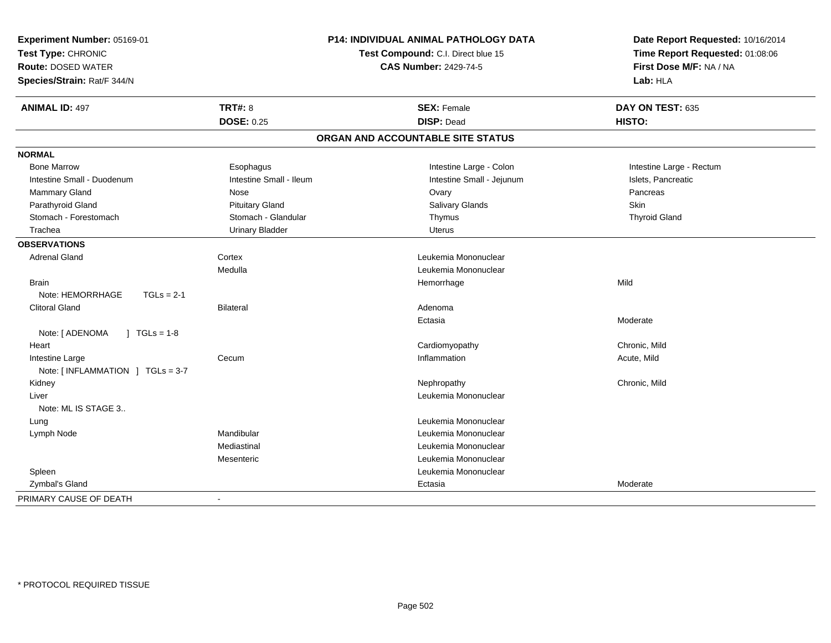| Experiment Number: 05169-01<br>Test Type: CHRONIC<br><b>Route: DOSED WATER</b><br>Species/Strain: Rat/F 344/N |                         | P14: INDIVIDUAL ANIMAL PATHOLOGY DATA<br>Test Compound: C.I. Direct blue 15<br><b>CAS Number: 2429-74-5</b> | Date Report Requested: 10/16/2014<br>Time Report Requested: 01:08:06<br>First Dose M/F: NA / NA<br>Lab: HLA |  |
|---------------------------------------------------------------------------------------------------------------|-------------------------|-------------------------------------------------------------------------------------------------------------|-------------------------------------------------------------------------------------------------------------|--|
| <b>ANIMAL ID: 497</b>                                                                                         | <b>TRT#: 8</b>          | <b>SEX: Female</b>                                                                                          | DAY ON TEST: 635                                                                                            |  |
|                                                                                                               | <b>DOSE: 0.25</b>       | <b>DISP: Dead</b>                                                                                           | HISTO:                                                                                                      |  |
|                                                                                                               |                         | ORGAN AND ACCOUNTABLE SITE STATUS                                                                           |                                                                                                             |  |
| <b>NORMAL</b>                                                                                                 |                         |                                                                                                             |                                                                                                             |  |
| <b>Bone Marrow</b>                                                                                            | Esophagus               | Intestine Large - Colon                                                                                     | Intestine Large - Rectum                                                                                    |  |
| Intestine Small - Duodenum                                                                                    | Intestine Small - Ileum | Intestine Small - Jejunum                                                                                   | Islets, Pancreatic                                                                                          |  |
| <b>Mammary Gland</b>                                                                                          | <b>Nose</b>             | Ovary                                                                                                       | Pancreas                                                                                                    |  |
| Parathyroid Gland                                                                                             | <b>Pituitary Gland</b>  | Salivary Glands                                                                                             | <b>Skin</b>                                                                                                 |  |
| Stomach - Forestomach                                                                                         | Stomach - Glandular     | Thymus                                                                                                      | <b>Thyroid Gland</b>                                                                                        |  |
| Trachea                                                                                                       | <b>Urinary Bladder</b>  | <b>Uterus</b>                                                                                               |                                                                                                             |  |
| <b>OBSERVATIONS</b>                                                                                           |                         |                                                                                                             |                                                                                                             |  |
| <b>Adrenal Gland</b>                                                                                          | Cortex                  | Leukemia Mononuclear                                                                                        |                                                                                                             |  |
|                                                                                                               | Medulla                 | Leukemia Mononuclear                                                                                        |                                                                                                             |  |
| <b>Brain</b>                                                                                                  |                         | Hemorrhage                                                                                                  | Mild                                                                                                        |  |
| Note: HEMORRHAGE<br>$TGLs = 2-1$                                                                              |                         |                                                                                                             |                                                                                                             |  |
| <b>Clitoral Gland</b>                                                                                         | <b>Bilateral</b>        | Adenoma                                                                                                     |                                                                                                             |  |
|                                                                                                               |                         | Ectasia                                                                                                     | Moderate                                                                                                    |  |
| Note: [ ADENOMA<br>$\vert$ TGLs = 1-8                                                                         |                         |                                                                                                             |                                                                                                             |  |
| Heart                                                                                                         |                         | Cardiomyopathy                                                                                              | Chronic, Mild                                                                                               |  |
| Intestine Large                                                                                               | Cecum                   | Inflammation                                                                                                | Acute, Mild                                                                                                 |  |
| Note: $\lceil$ INFLAMMATION $\lceil$ TGLs = 3-7                                                               |                         |                                                                                                             |                                                                                                             |  |
| Kidney                                                                                                        |                         | Nephropathy                                                                                                 | Chronic, Mild                                                                                               |  |
| Liver                                                                                                         |                         | Leukemia Mononuclear                                                                                        |                                                                                                             |  |
| Note: ML IS STAGE 3                                                                                           |                         |                                                                                                             |                                                                                                             |  |
| Lung                                                                                                          |                         | Leukemia Mononuclear                                                                                        |                                                                                                             |  |
| Lymph Node                                                                                                    | Mandibular              | Leukemia Mononuclear                                                                                        |                                                                                                             |  |
|                                                                                                               | Mediastinal             | Leukemia Mononuclear                                                                                        |                                                                                                             |  |
|                                                                                                               | Mesenteric              | Leukemia Mononuclear                                                                                        |                                                                                                             |  |
| Spleen                                                                                                        |                         | Leukemia Mononuclear                                                                                        |                                                                                                             |  |
| Zymbal's Gland                                                                                                |                         | Ectasia                                                                                                     | Moderate                                                                                                    |  |
| PRIMARY CAUSE OF DEATH                                                                                        | ÷                       |                                                                                                             |                                                                                                             |  |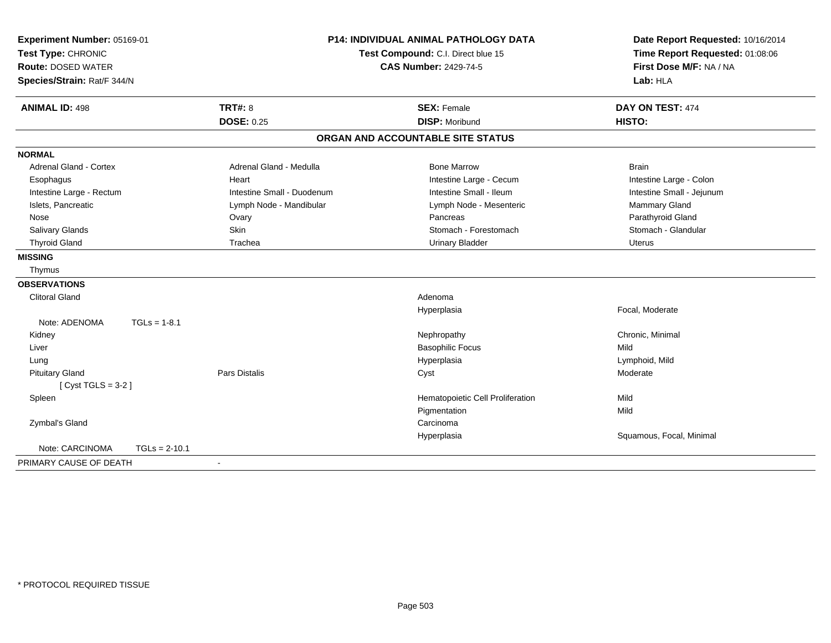| Experiment Number: 05169-01   |                      | <b>P14: INDIVIDUAL ANIMAL PATHOLOGY DATA</b> |                                    | Date Report Requested: 10/16/2014 |  |
|-------------------------------|----------------------|----------------------------------------------|------------------------------------|-----------------------------------|--|
| Test Type: CHRONIC            |                      |                                              | Test Compound: C.I. Direct blue 15 | Time Report Requested: 01:08:06   |  |
| <b>Route: DOSED WATER</b>     |                      |                                              | <b>CAS Number: 2429-74-5</b>       | First Dose M/F: NA / NA           |  |
| Species/Strain: Rat/F 344/N   |                      |                                              |                                    | Lab: HLA                          |  |
| <b>ANIMAL ID: 498</b>         | <b>TRT#: 8</b>       |                                              | <b>SEX: Female</b>                 | DAY ON TEST: 474                  |  |
|                               | <b>DOSE: 0.25</b>    |                                              | <b>DISP: Moribund</b>              | HISTO:                            |  |
|                               |                      |                                              | ORGAN AND ACCOUNTABLE SITE STATUS  |                                   |  |
| <b>NORMAL</b>                 |                      |                                              |                                    |                                   |  |
| <b>Adrenal Gland - Cortex</b> |                      | Adrenal Gland - Medulla                      | <b>Bone Marrow</b>                 | <b>Brain</b>                      |  |
| Esophagus                     | Heart                |                                              | Intestine Large - Cecum            | Intestine Large - Colon           |  |
| Intestine Large - Rectum      |                      | Intestine Small - Duodenum                   | Intestine Small - Ileum            | Intestine Small - Jejunum         |  |
| Islets, Pancreatic            |                      | Lymph Node - Mandibular                      | Lymph Node - Mesenteric            | Mammary Gland                     |  |
| Nose                          | Ovary                |                                              | Pancreas                           | Parathyroid Gland                 |  |
| Salivary Glands               | Skin                 |                                              | Stomach - Forestomach              | Stomach - Glandular               |  |
| <b>Thyroid Gland</b>          | Trachea              |                                              | <b>Urinary Bladder</b>             | <b>Uterus</b>                     |  |
| <b>MISSING</b>                |                      |                                              |                                    |                                   |  |
| Thymus                        |                      |                                              |                                    |                                   |  |
| <b>OBSERVATIONS</b>           |                      |                                              |                                    |                                   |  |
| <b>Clitoral Gland</b>         |                      |                                              | Adenoma                            |                                   |  |
|                               |                      |                                              | Hyperplasia                        | Focal, Moderate                   |  |
| Note: ADENOMA                 | $TGLs = 1-8.1$       |                                              |                                    |                                   |  |
| Kidney                        |                      |                                              | Nephropathy                        | Chronic, Minimal                  |  |
| Liver                         |                      |                                              | <b>Basophilic Focus</b>            | Mild                              |  |
| Lung                          |                      |                                              | Hyperplasia                        | Lymphoid, Mild                    |  |
| <b>Pituitary Gland</b>        | <b>Pars Distalis</b> |                                              | Cyst                               | Moderate                          |  |
| [Cyst TGLS = $3-2$ ]          |                      |                                              |                                    |                                   |  |
| Spleen                        |                      |                                              | Hematopoietic Cell Proliferation   | Mild                              |  |
|                               |                      |                                              | Pigmentation                       | Mild                              |  |
| Zymbal's Gland                |                      |                                              | Carcinoma                          |                                   |  |
|                               |                      |                                              | Hyperplasia                        | Squamous, Focal, Minimal          |  |
| Note: CARCINOMA               | $TGLs = 2-10.1$      |                                              |                                    |                                   |  |
| PRIMARY CAUSE OF DEATH        |                      |                                              |                                    |                                   |  |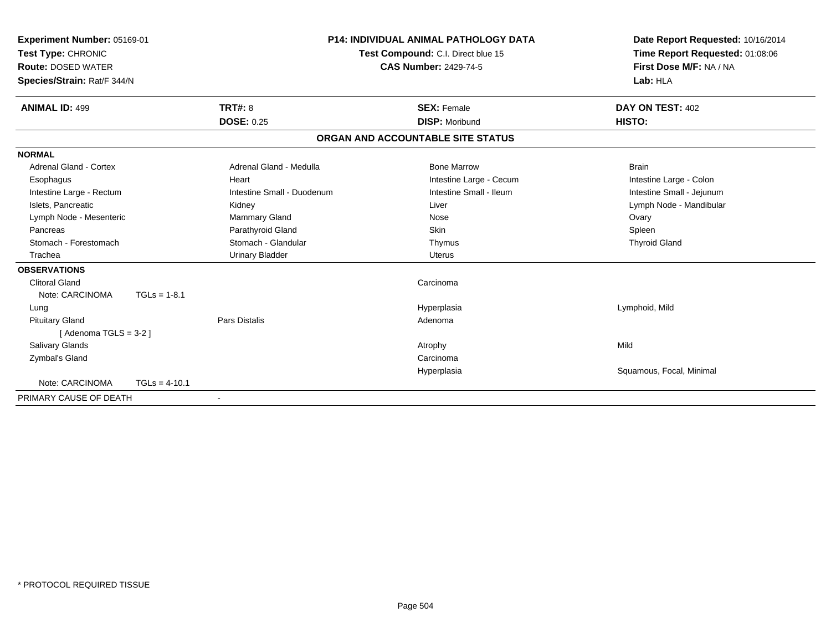| Experiment Number: 05169-01<br>Test Type: CHRONIC<br><b>Route: DOSED WATER</b><br>Species/Strain: Rat/F 344/N | <b>P14: INDIVIDUAL ANIMAL PATHOLOGY DATA</b><br>Test Compound: C.I. Direct blue 15<br><b>CAS Number: 2429-74-5</b> |                            | Date Report Requested: 10/16/2014<br>Time Report Requested: 01:08:06<br>First Dose M/F: NA / NA<br>Lab: HLA |                           |
|---------------------------------------------------------------------------------------------------------------|--------------------------------------------------------------------------------------------------------------------|----------------------------|-------------------------------------------------------------------------------------------------------------|---------------------------|
| <b>ANIMAL ID: 499</b>                                                                                         |                                                                                                                    | <b>TRT#: 8</b>             | <b>SEX: Female</b>                                                                                          | DAY ON TEST: 402          |
|                                                                                                               |                                                                                                                    | <b>DOSE: 0.25</b>          | <b>DISP: Moribund</b>                                                                                       | HISTO:                    |
|                                                                                                               |                                                                                                                    |                            | ORGAN AND ACCOUNTABLE SITE STATUS                                                                           |                           |
| <b>NORMAL</b>                                                                                                 |                                                                                                                    |                            |                                                                                                             |                           |
| <b>Adrenal Gland - Cortex</b>                                                                                 |                                                                                                                    | Adrenal Gland - Medulla    | <b>Bone Marrow</b>                                                                                          | <b>Brain</b>              |
| Esophagus                                                                                                     |                                                                                                                    | Heart                      | Intestine Large - Cecum                                                                                     | Intestine Large - Colon   |
| Intestine Large - Rectum                                                                                      |                                                                                                                    | Intestine Small - Duodenum | Intestine Small - Ileum                                                                                     | Intestine Small - Jejunum |
| Islets, Pancreatic                                                                                            |                                                                                                                    | Kidney                     | Liver                                                                                                       | Lymph Node - Mandibular   |
| Lymph Node - Mesenteric                                                                                       |                                                                                                                    | <b>Mammary Gland</b>       | Nose                                                                                                        | Ovary                     |
| Pancreas                                                                                                      |                                                                                                                    | Parathyroid Gland          | Skin                                                                                                        | Spleen                    |
| Stomach - Forestomach                                                                                         |                                                                                                                    | Stomach - Glandular        | Thymus                                                                                                      | <b>Thyroid Gland</b>      |
| Trachea                                                                                                       |                                                                                                                    | <b>Urinary Bladder</b>     | <b>Uterus</b>                                                                                               |                           |
| <b>OBSERVATIONS</b>                                                                                           |                                                                                                                    |                            |                                                                                                             |                           |
| <b>Clitoral Gland</b>                                                                                         |                                                                                                                    |                            | Carcinoma                                                                                                   |                           |
| Note: CARCINOMA                                                                                               | $TGLs = 1-8.1$                                                                                                     |                            |                                                                                                             |                           |
| Lung                                                                                                          |                                                                                                                    |                            | Hyperplasia                                                                                                 | Lymphoid, Mild            |
| <b>Pituitary Gland</b>                                                                                        |                                                                                                                    | Pars Distalis              | Adenoma                                                                                                     |                           |
| [Adenoma TGLS = $3-2$ ]                                                                                       |                                                                                                                    |                            |                                                                                                             |                           |
| <b>Salivary Glands</b>                                                                                        |                                                                                                                    |                            | Atrophy                                                                                                     | Mild                      |
| Zymbal's Gland                                                                                                |                                                                                                                    |                            | Carcinoma                                                                                                   |                           |
|                                                                                                               |                                                                                                                    |                            | Hyperplasia                                                                                                 | Squamous, Focal, Minimal  |
| Note: CARCINOMA                                                                                               | $TGLs = 4-10.1$                                                                                                    |                            |                                                                                                             |                           |
| PRIMARY CAUSE OF DEATH                                                                                        |                                                                                                                    | $\overline{\phantom{a}}$   |                                                                                                             |                           |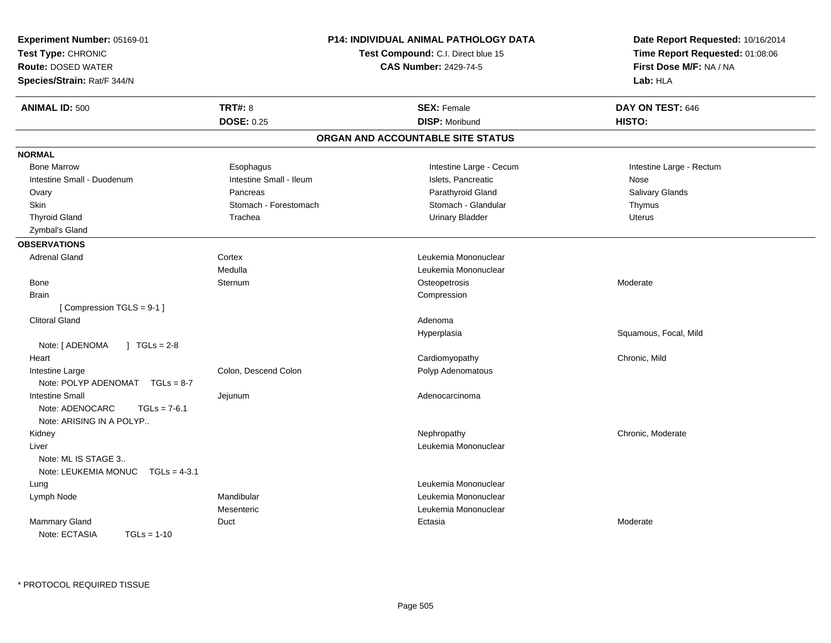| Experiment Number: 05169-01<br>Test Type: CHRONIC<br><b>Route: DOSED WATER</b><br>Species/Strain: Rat/F 344/N |                         | P14: INDIVIDUAL ANIMAL PATHOLOGY DATA<br>Test Compound: C.I. Direct blue 15<br><b>CAS Number: 2429-74-5</b> | Date Report Requested: 10/16/2014<br>Time Report Requested: 01:08:06<br>First Dose M/F: NA / NA<br>Lab: HLA |
|---------------------------------------------------------------------------------------------------------------|-------------------------|-------------------------------------------------------------------------------------------------------------|-------------------------------------------------------------------------------------------------------------|
| <b>ANIMAL ID: 500</b>                                                                                         | <b>TRT#: 8</b>          | <b>SEX: Female</b>                                                                                          | DAY ON TEST: 646                                                                                            |
|                                                                                                               | <b>DOSE: 0.25</b>       | <b>DISP: Moribund</b>                                                                                       | HISTO:                                                                                                      |
|                                                                                                               |                         | ORGAN AND ACCOUNTABLE SITE STATUS                                                                           |                                                                                                             |
| <b>NORMAL</b>                                                                                                 |                         |                                                                                                             |                                                                                                             |
| <b>Bone Marrow</b>                                                                                            | Esophagus               | Intestine Large - Cecum                                                                                     | Intestine Large - Rectum                                                                                    |
| Intestine Small - Duodenum                                                                                    | Intestine Small - Ileum | Islets, Pancreatic                                                                                          | Nose                                                                                                        |
| Ovary                                                                                                         | Pancreas                | Parathyroid Gland                                                                                           | Salivary Glands                                                                                             |
| Skin                                                                                                          | Stomach - Forestomach   | Stomach - Glandular                                                                                         | Thymus                                                                                                      |
| <b>Thyroid Gland</b>                                                                                          | Trachea                 | <b>Urinary Bladder</b>                                                                                      | <b>Uterus</b>                                                                                               |
| Zymbal's Gland                                                                                                |                         |                                                                                                             |                                                                                                             |
| <b>OBSERVATIONS</b>                                                                                           |                         |                                                                                                             |                                                                                                             |
| <b>Adrenal Gland</b>                                                                                          | Cortex                  | Leukemia Mononuclear                                                                                        |                                                                                                             |
|                                                                                                               | Medulla                 | Leukemia Mononuclear                                                                                        |                                                                                                             |
| Bone                                                                                                          | Sternum                 | Osteopetrosis                                                                                               | Moderate                                                                                                    |
| Brain                                                                                                         |                         | Compression                                                                                                 |                                                                                                             |
| [Compression TGLS = 9-1]                                                                                      |                         |                                                                                                             |                                                                                                             |
| <b>Clitoral Gland</b>                                                                                         |                         | Adenoma                                                                                                     |                                                                                                             |
|                                                                                                               |                         | Hyperplasia                                                                                                 | Squamous, Focal, Mild                                                                                       |
| Note: [ ADENOMA<br>$1 TGLs = 2-8$                                                                             |                         |                                                                                                             |                                                                                                             |
| Heart                                                                                                         |                         | Cardiomyopathy                                                                                              | Chronic, Mild                                                                                               |
| Intestine Large<br>Note: POLYP ADENOMAT TGLs = 8-7                                                            | Colon, Descend Colon    | Polyp Adenomatous                                                                                           |                                                                                                             |
| <b>Intestine Small</b><br>Note: ADENOCARC<br>$TGLs = 7-6.1$<br>Note: ARISING IN A POLYP                       | Jejunum                 | Adenocarcinoma                                                                                              |                                                                                                             |
| Kidney                                                                                                        |                         | Nephropathy                                                                                                 | Chronic, Moderate                                                                                           |
| Liver<br>Note: ML IS STAGE 3<br>Note: LEUKEMIA MONUC<br>$TGLs = 4-3.1$                                        |                         | Leukemia Mononuclear                                                                                        |                                                                                                             |
| Lung                                                                                                          |                         | Leukemia Mononuclear                                                                                        |                                                                                                             |
| Lymph Node                                                                                                    | Mandibular              | Leukemia Mononuclear                                                                                        |                                                                                                             |
|                                                                                                               | Mesenteric              | Leukemia Mononuclear                                                                                        |                                                                                                             |
| Mammary Gland                                                                                                 | Duct                    | Ectasia                                                                                                     | Moderate                                                                                                    |
| Note: ECTASIA<br>$TGLs = 1-10$                                                                                |                         |                                                                                                             |                                                                                                             |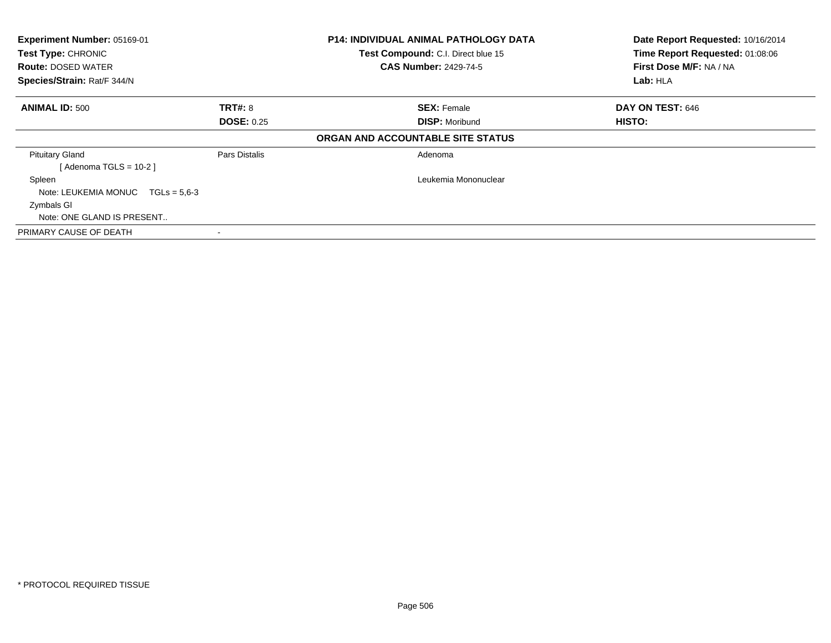| Experiment Number: 05169-01<br><b>Test Type: CHRONIC</b><br><b>Route: DOSED WATER</b><br>Species/Strain: Rat/F 344/N |                   | <b>P14: INDIVIDUAL ANIMAL PATHOLOGY DATA</b><br>Test Compound: C.I. Direct blue 15<br><b>CAS Number: 2429-74-5</b> | Date Report Requested: 10/16/2014<br>Time Report Requested: 01:08:06<br>First Dose M/F: NA / NA<br>Lab: HLA |
|----------------------------------------------------------------------------------------------------------------------|-------------------|--------------------------------------------------------------------------------------------------------------------|-------------------------------------------------------------------------------------------------------------|
| <b>ANIMAL ID: 500</b>                                                                                                | <b>TRT#: 8</b>    | <b>SEX: Female</b>                                                                                                 | DAY ON TEST: 646                                                                                            |
|                                                                                                                      | <b>DOSE: 0.25</b> | <b>DISP: Moribund</b>                                                                                              | HISTO:                                                                                                      |
|                                                                                                                      |                   | ORGAN AND ACCOUNTABLE SITE STATUS                                                                                  |                                                                                                             |
| <b>Pituitary Gland</b>                                                                                               | Pars Distalis     | Adenoma                                                                                                            |                                                                                                             |
| [Adenoma TGLS = $10-2$ ]                                                                                             |                   |                                                                                                                    |                                                                                                             |
| Spleen                                                                                                               |                   | Leukemia Mononuclear                                                                                               |                                                                                                             |
| Note: LEUKEMIA MONUC $TGLs = 5.6-3$                                                                                  |                   |                                                                                                                    |                                                                                                             |
| Zymbals GI                                                                                                           |                   |                                                                                                                    |                                                                                                             |
| Note: ONE GLAND IS PRESENT                                                                                           |                   |                                                                                                                    |                                                                                                             |
| PRIMARY CAUSE OF DEATH                                                                                               |                   |                                                                                                                    |                                                                                                             |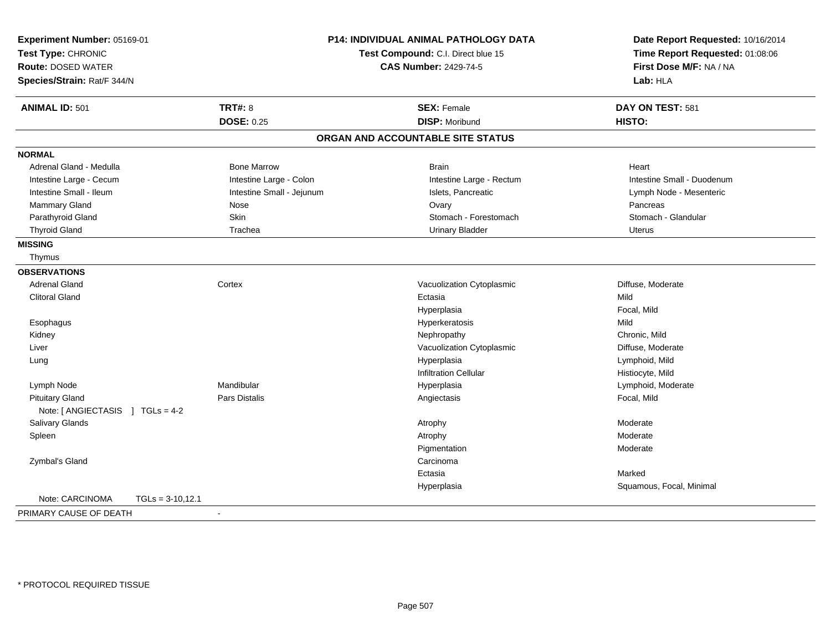| Experiment Number: 05169-01<br>Test Type: CHRONIC<br><b>Route: DOSED WATER</b> |                           | <b>P14: INDIVIDUAL ANIMAL PATHOLOGY DATA</b><br>Test Compound: C.I. Direct blue 15<br><b>CAS Number: 2429-74-5</b> | Date Report Requested: 10/16/2014<br>Time Report Requested: 01:08:06<br>First Dose M/F: NA / NA |  |
|--------------------------------------------------------------------------------|---------------------------|--------------------------------------------------------------------------------------------------------------------|-------------------------------------------------------------------------------------------------|--|
| Species/Strain: Rat/F 344/N                                                    |                           |                                                                                                                    | Lab: HLA                                                                                        |  |
| <b>ANIMAL ID: 501</b>                                                          | <b>TRT#: 8</b>            | <b>SEX: Female</b>                                                                                                 | DAY ON TEST: 581                                                                                |  |
|                                                                                | <b>DOSE: 0.25</b>         | <b>DISP: Moribund</b>                                                                                              | HISTO:                                                                                          |  |
|                                                                                |                           | ORGAN AND ACCOUNTABLE SITE STATUS                                                                                  |                                                                                                 |  |
| <b>NORMAL</b>                                                                  |                           |                                                                                                                    |                                                                                                 |  |
| Adrenal Gland - Medulla                                                        | <b>Bone Marrow</b>        | <b>Brain</b>                                                                                                       | Heart                                                                                           |  |
| Intestine Large - Cecum                                                        | Intestine Large - Colon   | Intestine Large - Rectum                                                                                           | Intestine Small - Duodenum                                                                      |  |
| Intestine Small - Ileum                                                        | Intestine Small - Jejunum | Islets, Pancreatic                                                                                                 | Lymph Node - Mesenteric                                                                         |  |
| Mammary Gland                                                                  | Nose                      | Ovary                                                                                                              | Pancreas                                                                                        |  |
| Parathyroid Gland                                                              | Skin                      | Stomach - Forestomach                                                                                              | Stomach - Glandular                                                                             |  |
| <b>Thyroid Gland</b>                                                           | Trachea                   | <b>Urinary Bladder</b>                                                                                             | <b>Uterus</b>                                                                                   |  |
| <b>MISSING</b>                                                                 |                           |                                                                                                                    |                                                                                                 |  |
| Thymus                                                                         |                           |                                                                                                                    |                                                                                                 |  |
| <b>OBSERVATIONS</b>                                                            |                           |                                                                                                                    |                                                                                                 |  |
| <b>Adrenal Gland</b>                                                           | Cortex                    | Vacuolization Cytoplasmic                                                                                          | Diffuse, Moderate                                                                               |  |
| <b>Clitoral Gland</b>                                                          |                           | Ectasia                                                                                                            | Mild                                                                                            |  |
|                                                                                |                           | Hyperplasia                                                                                                        | Focal, Mild                                                                                     |  |
| Esophagus                                                                      |                           | Hyperkeratosis                                                                                                     | Mild                                                                                            |  |
| Kidney                                                                         |                           | Nephropathy                                                                                                        | Chronic, Mild                                                                                   |  |
| Liver                                                                          |                           | Vacuolization Cytoplasmic                                                                                          | Diffuse, Moderate                                                                               |  |
| Lung                                                                           |                           | Hyperplasia                                                                                                        | Lymphoid, Mild                                                                                  |  |
|                                                                                |                           | <b>Infiltration Cellular</b>                                                                                       | Histiocyte, Mild                                                                                |  |
| Lymph Node                                                                     | Mandibular                | Hyperplasia                                                                                                        | Lymphoid, Moderate                                                                              |  |
| <b>Pituitary Gland</b>                                                         | <b>Pars Distalis</b>      | Angiectasis                                                                                                        | Focal, Mild                                                                                     |  |
| Note: [ ANGIECTASIS ] TGLs = 4-2                                               |                           |                                                                                                                    |                                                                                                 |  |
| Salivary Glands                                                                |                           | Atrophy                                                                                                            | Moderate                                                                                        |  |
| Spleen                                                                         |                           | Atrophy                                                                                                            | Moderate                                                                                        |  |
|                                                                                |                           | Pigmentation                                                                                                       | Moderate                                                                                        |  |
| Zymbal's Gland                                                                 |                           | Carcinoma                                                                                                          |                                                                                                 |  |
|                                                                                |                           | Ectasia                                                                                                            | Marked                                                                                          |  |
|                                                                                |                           | Hyperplasia                                                                                                        | Squamous, Focal, Minimal                                                                        |  |
| Note: CARCINOMA                                                                | $TGLs = 3-10.12.1$        |                                                                                                                    |                                                                                                 |  |
| PRIMARY CAUSE OF DEATH                                                         |                           |                                                                                                                    |                                                                                                 |  |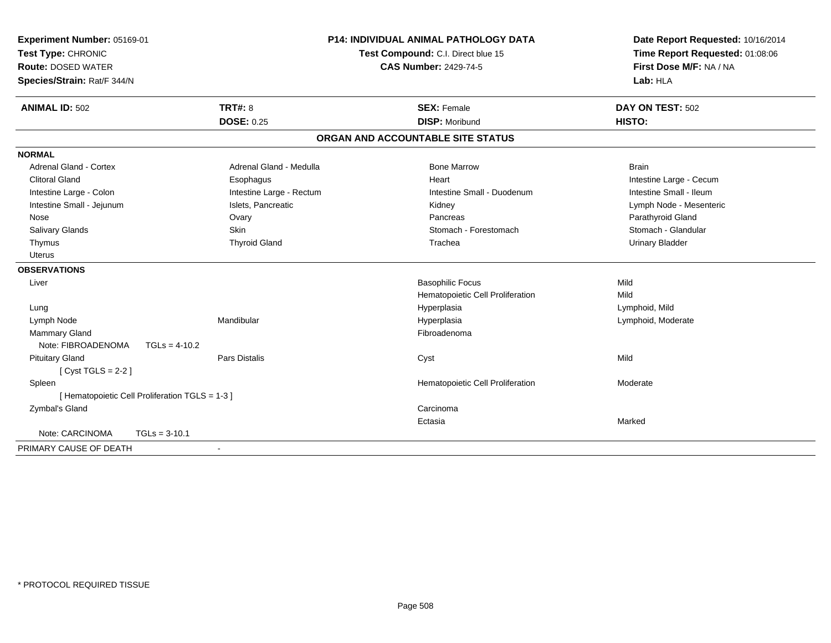| Experiment Number: 05169-01<br>Test Type: CHRONIC<br><b>Route: DOSED WATER</b><br>Species/Strain: Rat/F 344/N |                          | <b>P14: INDIVIDUAL ANIMAL PATHOLOGY DATA</b><br>Test Compound: C.I. Direct blue 15<br><b>CAS Number: 2429-74-5</b> | Date Report Requested: 10/16/2014<br>Time Report Requested: 01:08:06<br>First Dose M/F: NA / NA<br>Lab: HLA |  |
|---------------------------------------------------------------------------------------------------------------|--------------------------|--------------------------------------------------------------------------------------------------------------------|-------------------------------------------------------------------------------------------------------------|--|
| <b>ANIMAL ID: 502</b>                                                                                         | TRT#: 8                  | <b>SEX: Female</b>                                                                                                 | DAY ON TEST: 502                                                                                            |  |
|                                                                                                               | <b>DOSE: 0.25</b>        | <b>DISP: Moribund</b>                                                                                              | HISTO:                                                                                                      |  |
|                                                                                                               |                          | ORGAN AND ACCOUNTABLE SITE STATUS                                                                                  |                                                                                                             |  |
| <b>NORMAL</b>                                                                                                 |                          |                                                                                                                    |                                                                                                             |  |
| <b>Adrenal Gland - Cortex</b>                                                                                 | Adrenal Gland - Medulla  | <b>Bone Marrow</b>                                                                                                 | <b>Brain</b>                                                                                                |  |
| <b>Clitoral Gland</b>                                                                                         | Esophagus                | Heart                                                                                                              | Intestine Large - Cecum                                                                                     |  |
| Intestine Large - Colon                                                                                       | Intestine Large - Rectum | Intestine Small - Duodenum                                                                                         | Intestine Small - Ileum                                                                                     |  |
| Intestine Small - Jejunum                                                                                     | Islets, Pancreatic       | Kidney                                                                                                             | Lymph Node - Mesenteric                                                                                     |  |
| Nose                                                                                                          | Ovary                    | Pancreas                                                                                                           | Parathyroid Gland                                                                                           |  |
| Salivary Glands                                                                                               | Skin                     | Stomach - Forestomach                                                                                              | Stomach - Glandular                                                                                         |  |
| Thymus                                                                                                        | <b>Thyroid Gland</b>     | Trachea                                                                                                            | <b>Urinary Bladder</b>                                                                                      |  |
| Uterus                                                                                                        |                          |                                                                                                                    |                                                                                                             |  |
| <b>OBSERVATIONS</b>                                                                                           |                          |                                                                                                                    |                                                                                                             |  |
| Liver                                                                                                         |                          | <b>Basophilic Focus</b>                                                                                            | Mild                                                                                                        |  |
|                                                                                                               |                          | Hematopoietic Cell Proliferation                                                                                   | Mild                                                                                                        |  |
| Lung                                                                                                          |                          | Hyperplasia                                                                                                        | Lymphoid, Mild                                                                                              |  |
| Lymph Node                                                                                                    | Mandibular               | Hyperplasia                                                                                                        | Lymphoid, Moderate                                                                                          |  |
| <b>Mammary Gland</b>                                                                                          |                          | Fibroadenoma                                                                                                       |                                                                                                             |  |
| Note: FIBROADENOMA                                                                                            | $TGLs = 4-10.2$          |                                                                                                                    |                                                                                                             |  |
| <b>Pituitary Gland</b>                                                                                        | <b>Pars Distalis</b>     | Cyst                                                                                                               | Mild                                                                                                        |  |
| [Cyst TGLS = $2-2$ ]                                                                                          |                          |                                                                                                                    |                                                                                                             |  |
| Spleen                                                                                                        |                          | Hematopoietic Cell Proliferation                                                                                   | Moderate                                                                                                    |  |
| [ Hematopoietic Cell Proliferation TGLS = 1-3 ]                                                               |                          |                                                                                                                    |                                                                                                             |  |
| Zymbal's Gland                                                                                                |                          | Carcinoma                                                                                                          |                                                                                                             |  |
|                                                                                                               |                          | Ectasia                                                                                                            | Marked                                                                                                      |  |
| Note: CARCINOMA                                                                                               | $TGLs = 3-10.1$          |                                                                                                                    |                                                                                                             |  |
| PRIMARY CAUSE OF DEATH                                                                                        |                          |                                                                                                                    |                                                                                                             |  |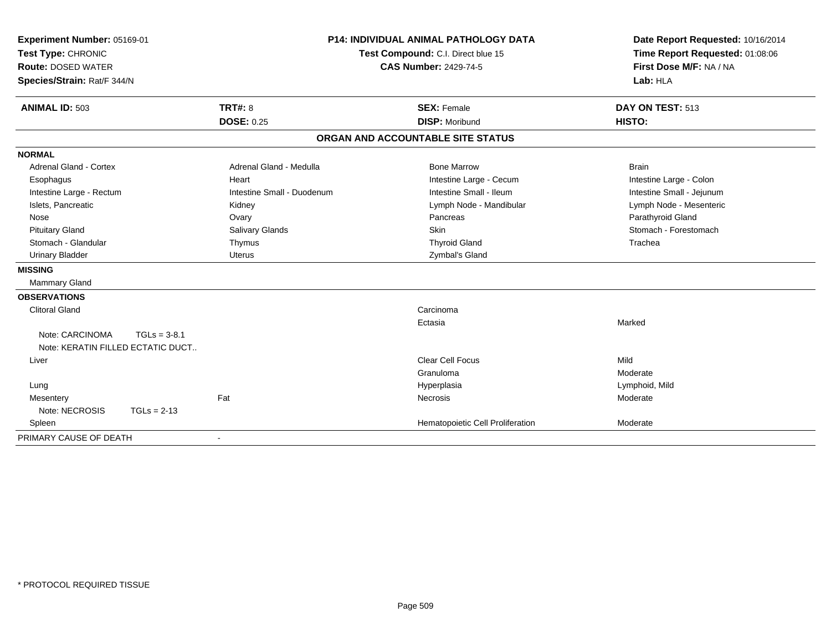| Experiment Number: 05169-01                                            |                            | <b>P14: INDIVIDUAL ANIMAL PATHOLOGY DATA</b> | Date Report Requested: 10/16/2014   |  |
|------------------------------------------------------------------------|----------------------------|----------------------------------------------|-------------------------------------|--|
| Test Type: CHRONIC                                                     |                            | Test Compound: C.I. Direct blue 15           | Time Report Requested: 01:08:06     |  |
| <b>Route: DOSED WATER</b>                                              |                            | <b>CAS Number: 2429-74-5</b>                 | First Dose M/F: NA / NA<br>Lab: HLA |  |
| Species/Strain: Rat/F 344/N                                            |                            |                                              |                                     |  |
| <b>ANIMAL ID: 503</b>                                                  | <b>TRT#: 8</b>             | <b>SEX: Female</b>                           | DAY ON TEST: 513                    |  |
|                                                                        | <b>DOSE: 0.25</b>          | <b>DISP: Moribund</b>                        | HISTO:                              |  |
|                                                                        |                            | ORGAN AND ACCOUNTABLE SITE STATUS            |                                     |  |
| <b>NORMAL</b>                                                          |                            |                                              |                                     |  |
| <b>Adrenal Gland - Cortex</b>                                          | Adrenal Gland - Medulla    | <b>Bone Marrow</b>                           | <b>Brain</b>                        |  |
| Esophagus                                                              | Heart                      | Intestine Large - Cecum                      | Intestine Large - Colon             |  |
| Intestine Large - Rectum                                               | Intestine Small - Duodenum | Intestine Small - Ileum                      | Intestine Small - Jejunum           |  |
| Islets, Pancreatic                                                     | Kidney                     | Lymph Node - Mandibular                      | Lymph Node - Mesenteric             |  |
| Nose                                                                   | Ovary                      | Pancreas                                     | Parathyroid Gland                   |  |
| <b>Pituitary Gland</b>                                                 | Salivary Glands            | <b>Skin</b>                                  | Stomach - Forestomach               |  |
| Stomach - Glandular                                                    | Thymus                     | <b>Thyroid Gland</b>                         | Trachea                             |  |
| <b>Urinary Bladder</b>                                                 | <b>Uterus</b>              | Zymbal's Gland                               |                                     |  |
| <b>MISSING</b>                                                         |                            |                                              |                                     |  |
| Mammary Gland                                                          |                            |                                              |                                     |  |
| <b>OBSERVATIONS</b>                                                    |                            |                                              |                                     |  |
| <b>Clitoral Gland</b>                                                  |                            | Carcinoma                                    |                                     |  |
|                                                                        |                            | Ectasia                                      | Marked                              |  |
| Note: CARCINOMA<br>$TGLs = 3-8.1$<br>Note: KERATIN FILLED ECTATIC DUCT |                            |                                              |                                     |  |
| Liver                                                                  |                            | <b>Clear Cell Focus</b>                      | Mild                                |  |
|                                                                        |                            | Granuloma                                    | Moderate                            |  |
| Lung                                                                   |                            | Hyperplasia                                  | Lymphoid, Mild                      |  |
| Mesentery                                                              | Fat                        | <b>Necrosis</b>                              | Moderate                            |  |
| Note: NECROSIS<br>$TGLs = 2-13$                                        |                            |                                              |                                     |  |
| Spleen                                                                 |                            | Hematopoietic Cell Proliferation             | Moderate                            |  |
| PRIMARY CAUSE OF DEATH                                                 |                            |                                              |                                     |  |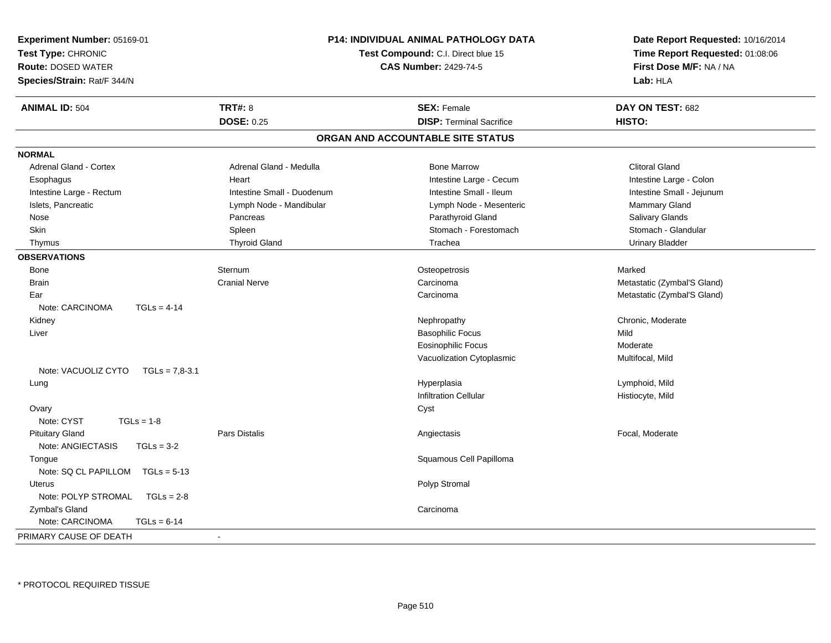| <b>P14: INDIVIDUAL ANIMAL PATHOLOGY DATA</b><br>Experiment Number: 05169-01<br>Test Type: CHRONIC<br>Test Compound: C.I. Direct blue 15<br><b>CAS Number: 2429-74-5</b><br><b>Route: DOSED WATER</b><br>Species/Strain: Rat/F 344/N |                            | Date Report Requested: 10/16/2014<br>Time Report Requested: 01:08:06<br>First Dose M/F: NA / NA<br>Lab: HLA |                             |
|-------------------------------------------------------------------------------------------------------------------------------------------------------------------------------------------------------------------------------------|----------------------------|-------------------------------------------------------------------------------------------------------------|-----------------------------|
| <b>ANIMAL ID: 504</b>                                                                                                                                                                                                               | <b>TRT#: 8</b>             | <b>SEX: Female</b>                                                                                          | DAY ON TEST: 682            |
|                                                                                                                                                                                                                                     | <b>DOSE: 0.25</b>          | <b>DISP: Terminal Sacrifice</b>                                                                             | HISTO:                      |
|                                                                                                                                                                                                                                     |                            | ORGAN AND ACCOUNTABLE SITE STATUS                                                                           |                             |
| <b>NORMAL</b>                                                                                                                                                                                                                       |                            |                                                                                                             |                             |
| Adrenal Gland - Cortex                                                                                                                                                                                                              | Adrenal Gland - Medulla    | <b>Bone Marrow</b>                                                                                          | <b>Clitoral Gland</b>       |
| Esophagus                                                                                                                                                                                                                           | Heart                      | Intestine Large - Cecum                                                                                     | Intestine Large - Colon     |
| Intestine Large - Rectum                                                                                                                                                                                                            | Intestine Small - Duodenum | Intestine Small - Ileum                                                                                     | Intestine Small - Jejunum   |
| Islets, Pancreatic                                                                                                                                                                                                                  | Lymph Node - Mandibular    | Lymph Node - Mesenteric                                                                                     | Mammary Gland               |
| Nose                                                                                                                                                                                                                                | Pancreas                   | Parathyroid Gland                                                                                           | <b>Salivary Glands</b>      |
| Skin                                                                                                                                                                                                                                | Spleen                     | Stomach - Forestomach                                                                                       | Stomach - Glandular         |
| Thymus                                                                                                                                                                                                                              | <b>Thyroid Gland</b>       | Trachea                                                                                                     | <b>Urinary Bladder</b>      |
| <b>OBSERVATIONS</b>                                                                                                                                                                                                                 |                            |                                                                                                             |                             |
| Bone                                                                                                                                                                                                                                | Sternum                    | Osteopetrosis                                                                                               | Marked                      |
| <b>Brain</b>                                                                                                                                                                                                                        | <b>Cranial Nerve</b>       | Carcinoma                                                                                                   | Metastatic (Zymbal'S Gland) |
| Ear                                                                                                                                                                                                                                 |                            | Carcinoma                                                                                                   | Metastatic (Zymbal'S Gland) |
| Note: CARCINOMA<br>$TGLs = 4-14$                                                                                                                                                                                                    |                            |                                                                                                             |                             |
| Kidney                                                                                                                                                                                                                              |                            | Nephropathy                                                                                                 | Chronic, Moderate           |
| Liver                                                                                                                                                                                                                               |                            | <b>Basophilic Focus</b>                                                                                     | Mild                        |
|                                                                                                                                                                                                                                     |                            | <b>Eosinophilic Focus</b>                                                                                   | Moderate                    |
|                                                                                                                                                                                                                                     |                            | Vacuolization Cytoplasmic                                                                                   | Multifocal, Mild            |
| Note: VACUOLIZ CYTO<br>$TGLs = 7.8-3.1$                                                                                                                                                                                             |                            |                                                                                                             |                             |
| Lung                                                                                                                                                                                                                                |                            | Hyperplasia                                                                                                 | Lymphoid, Mild              |
|                                                                                                                                                                                                                                     |                            | <b>Infiltration Cellular</b>                                                                                | Histiocyte, Mild            |
| Ovary                                                                                                                                                                                                                               |                            | Cyst                                                                                                        |                             |
| Note: CYST<br>$TGLs = 1-8$                                                                                                                                                                                                          |                            |                                                                                                             |                             |
| <b>Pituitary Gland</b>                                                                                                                                                                                                              | <b>Pars Distalis</b>       | Angiectasis                                                                                                 | Focal, Moderate             |
| Note: ANGIECTASIS<br>$TGLs = 3-2$                                                                                                                                                                                                   |                            |                                                                                                             |                             |
| Tongue                                                                                                                                                                                                                              |                            | Squamous Cell Papilloma                                                                                     |                             |
| Note: SQ CL PAPILLOM<br>$TGLs = 5-13$                                                                                                                                                                                               |                            |                                                                                                             |                             |
| Uterus                                                                                                                                                                                                                              |                            | Polyp Stromal                                                                                               |                             |
| Note: POLYP STROMAL<br>$TGLs = 2-8$                                                                                                                                                                                                 |                            |                                                                                                             |                             |
| Zymbal's Gland                                                                                                                                                                                                                      |                            | Carcinoma                                                                                                   |                             |
| Note: CARCINOMA<br>$TGLs = 6-14$                                                                                                                                                                                                    |                            |                                                                                                             |                             |
| PRIMARY CAUSE OF DEATH                                                                                                                                                                                                              |                            |                                                                                                             |                             |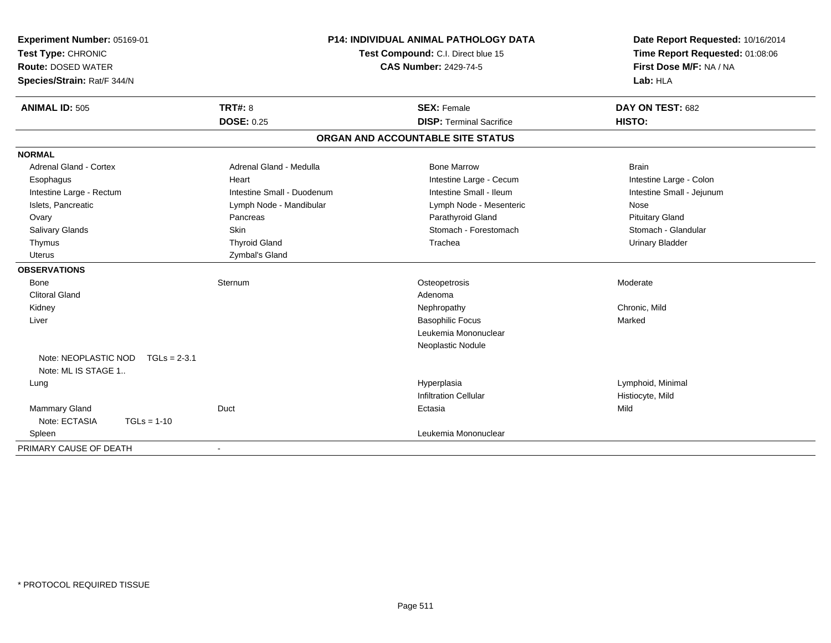| Experiment Number: 05169-01<br>Test Type: CHRONIC<br><b>Route: DOSED WATER</b><br>Species/Strain: Rat/F 344/N | <b>P14: INDIVIDUAL ANIMAL PATHOLOGY DATA</b><br>Test Compound: C.I. Direct blue 15<br><b>CAS Number: 2429-74-5</b> |                                   | Date Report Requested: 10/16/2014<br>Time Report Requested: 01:08:06<br>First Dose M/F: NA / NA<br>Lab: HLA |
|---------------------------------------------------------------------------------------------------------------|--------------------------------------------------------------------------------------------------------------------|-----------------------------------|-------------------------------------------------------------------------------------------------------------|
| <b>ANIMAL ID: 505</b>                                                                                         | <b>TRT#: 8</b>                                                                                                     | <b>SEX: Female</b>                | DAY ON TEST: 682                                                                                            |
|                                                                                                               | <b>DOSE: 0.25</b>                                                                                                  | <b>DISP: Terminal Sacrifice</b>   | HISTO:                                                                                                      |
|                                                                                                               |                                                                                                                    | ORGAN AND ACCOUNTABLE SITE STATUS |                                                                                                             |
| <b>NORMAL</b>                                                                                                 |                                                                                                                    |                                   |                                                                                                             |
| <b>Adrenal Gland - Cortex</b>                                                                                 | Adrenal Gland - Medulla                                                                                            | <b>Bone Marrow</b>                | <b>Brain</b>                                                                                                |
| Esophagus                                                                                                     | Heart                                                                                                              | Intestine Large - Cecum           | Intestine Large - Colon                                                                                     |
| Intestine Large - Rectum                                                                                      | Intestine Small - Duodenum                                                                                         | Intestine Small - Ileum           | Intestine Small - Jejunum                                                                                   |
| Islets, Pancreatic                                                                                            | Lymph Node - Mandibular                                                                                            | Lymph Node - Mesenteric           | Nose                                                                                                        |
| Ovary                                                                                                         | Pancreas                                                                                                           | Parathyroid Gland                 | <b>Pituitary Gland</b>                                                                                      |
| Salivary Glands                                                                                               | <b>Skin</b>                                                                                                        | Stomach - Forestomach             | Stomach - Glandular                                                                                         |
| Thymus                                                                                                        | <b>Thyroid Gland</b>                                                                                               | Trachea                           | <b>Urinary Bladder</b>                                                                                      |
| <b>Uterus</b>                                                                                                 | Zymbal's Gland                                                                                                     |                                   |                                                                                                             |
| <b>OBSERVATIONS</b>                                                                                           |                                                                                                                    |                                   |                                                                                                             |
| Bone                                                                                                          | Sternum                                                                                                            | Osteopetrosis                     | Moderate                                                                                                    |
| <b>Clitoral Gland</b>                                                                                         |                                                                                                                    | Adenoma                           |                                                                                                             |
| Kidney                                                                                                        |                                                                                                                    | Nephropathy                       | Chronic. Mild                                                                                               |
| Liver                                                                                                         |                                                                                                                    | <b>Basophilic Focus</b>           | Marked                                                                                                      |
|                                                                                                               |                                                                                                                    | Leukemia Mononuclear              |                                                                                                             |
|                                                                                                               |                                                                                                                    | Neoplastic Nodule                 |                                                                                                             |
| Note: NEOPLASTIC NOD<br>$TGLs = 2-3.1$<br>Note: ML IS STAGE 1                                                 |                                                                                                                    |                                   |                                                                                                             |
| Lung                                                                                                          |                                                                                                                    | Hyperplasia                       | Lymphoid, Minimal                                                                                           |
|                                                                                                               |                                                                                                                    | <b>Infiltration Cellular</b>      | Histiocyte, Mild                                                                                            |
| Mammary Gland                                                                                                 | Duct                                                                                                               | Ectasia                           | Mild                                                                                                        |
| Note: ECTASIA<br>$TGLs = 1-10$                                                                                |                                                                                                                    |                                   |                                                                                                             |
| Spleen                                                                                                        |                                                                                                                    | Leukemia Mononuclear              |                                                                                                             |
| PRIMARY CAUSE OF DEATH                                                                                        | $\blacksquare$                                                                                                     |                                   |                                                                                                             |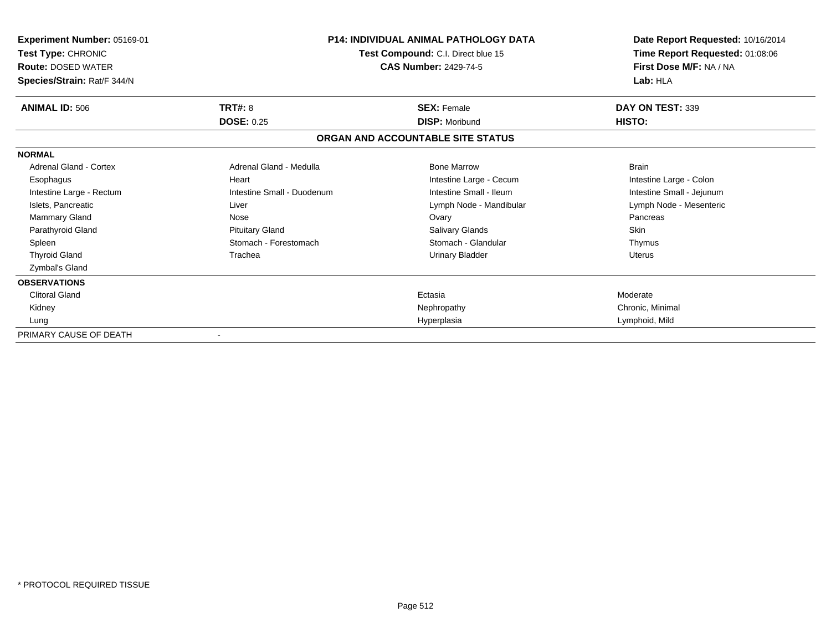| Experiment Number: 05169-01<br>Test Type: CHRONIC<br><b>Route: DOSED WATER</b><br>Species/Strain: Rat/F 344/N |                                     | <b>P14: INDIVIDUAL ANIMAL PATHOLOGY DATA</b><br>Test Compound: C.I. Direct blue 15<br><b>CAS Number: 2429-74-5</b> | Date Report Requested: 10/16/2014<br>Time Report Requested: 01:08:06<br>First Dose M/F: NA / NA<br>Lab: HLA |
|---------------------------------------------------------------------------------------------------------------|-------------------------------------|--------------------------------------------------------------------------------------------------------------------|-------------------------------------------------------------------------------------------------------------|
| <b>ANIMAL ID: 506</b>                                                                                         | <b>TRT#: 8</b><br><b>DOSE: 0.25</b> | <b>SEX: Female</b><br><b>DISP: Moribund</b>                                                                        | DAY ON TEST: 339<br>HISTO:                                                                                  |
|                                                                                                               |                                     | ORGAN AND ACCOUNTABLE SITE STATUS                                                                                  |                                                                                                             |
| <b>NORMAL</b>                                                                                                 |                                     |                                                                                                                    |                                                                                                             |
| Adrenal Gland - Cortex                                                                                        | Adrenal Gland - Medulla             | <b>Bone Marrow</b>                                                                                                 | <b>Brain</b>                                                                                                |
| Esophagus                                                                                                     | Heart                               | Intestine Large - Cecum                                                                                            | Intestine Large - Colon                                                                                     |
| Intestine Large - Rectum                                                                                      | Intestine Small - Duodenum          | Intestine Small - Ileum                                                                                            | Intestine Small - Jejunum                                                                                   |
| Islets, Pancreatic                                                                                            | Liver                               | Lymph Node - Mandibular                                                                                            | Lymph Node - Mesenteric                                                                                     |
| Mammary Gland                                                                                                 | Nose                                | Ovary                                                                                                              | Pancreas                                                                                                    |
| Parathyroid Gland                                                                                             | <b>Pituitary Gland</b>              | <b>Salivary Glands</b>                                                                                             | <b>Skin</b>                                                                                                 |
| Spleen                                                                                                        | Stomach - Forestomach               | Stomach - Glandular                                                                                                | Thymus                                                                                                      |
| <b>Thyroid Gland</b>                                                                                          | Trachea                             | <b>Urinary Bladder</b>                                                                                             | <b>Uterus</b>                                                                                               |
| Zymbal's Gland                                                                                                |                                     |                                                                                                                    |                                                                                                             |
| <b>OBSERVATIONS</b>                                                                                           |                                     |                                                                                                                    |                                                                                                             |
| Clitoral Gland                                                                                                |                                     | Ectasia                                                                                                            | Moderate                                                                                                    |
| Kidney                                                                                                        |                                     | Nephropathy                                                                                                        | Chronic, Minimal                                                                                            |
| Lung                                                                                                          |                                     | Hyperplasia                                                                                                        | Lymphoid, Mild                                                                                              |
| PRIMARY CAUSE OF DEATH                                                                                        |                                     |                                                                                                                    |                                                                                                             |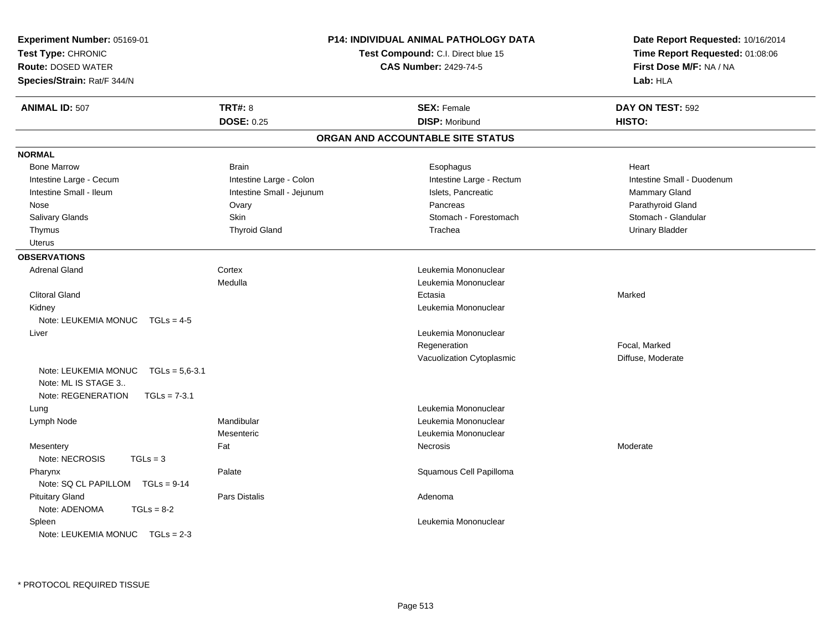| Experiment Number: 05169-01<br>Test Type: CHRONIC<br><b>Route: DOSED WATER</b><br>Species/Strain: Rat/F 344/N |                           | <b>P14: INDIVIDUAL ANIMAL PATHOLOGY DATA</b><br>Test Compound: C.I. Direct blue 15<br><b>CAS Number: 2429-74-5</b> |                                   | Date Report Requested: 10/16/2014<br>Time Report Requested: 01:08:06<br>First Dose M/F: NA / NA<br>Lab: HLA |
|---------------------------------------------------------------------------------------------------------------|---------------------------|--------------------------------------------------------------------------------------------------------------------|-----------------------------------|-------------------------------------------------------------------------------------------------------------|
| <b>ANIMAL ID: 507</b>                                                                                         | <b>TRT#: 8</b>            |                                                                                                                    | <b>SEX: Female</b>                | DAY ON TEST: 592                                                                                            |
|                                                                                                               | <b>DOSE: 0.25</b>         |                                                                                                                    | <b>DISP: Moribund</b>             | HISTO:                                                                                                      |
|                                                                                                               |                           |                                                                                                                    | ORGAN AND ACCOUNTABLE SITE STATUS |                                                                                                             |
| <b>NORMAL</b>                                                                                                 |                           |                                                                                                                    |                                   |                                                                                                             |
| <b>Bone Marrow</b>                                                                                            | <b>Brain</b>              |                                                                                                                    | Esophagus                         | Heart                                                                                                       |
| Intestine Large - Cecum                                                                                       | Intestine Large - Colon   |                                                                                                                    | Intestine Large - Rectum          | Intestine Small - Duodenum                                                                                  |
| Intestine Small - Ileum                                                                                       | Intestine Small - Jejunum |                                                                                                                    | Islets, Pancreatic                | Mammary Gland                                                                                               |
| Nose                                                                                                          | Ovary                     |                                                                                                                    | Pancreas                          | Parathyroid Gland                                                                                           |
| Salivary Glands                                                                                               | Skin                      |                                                                                                                    | Stomach - Forestomach             | Stomach - Glandular                                                                                         |
| Thymus                                                                                                        | <b>Thyroid Gland</b>      |                                                                                                                    | Trachea                           | <b>Urinary Bladder</b>                                                                                      |
| <b>Uterus</b>                                                                                                 |                           |                                                                                                                    |                                   |                                                                                                             |
| <b>OBSERVATIONS</b>                                                                                           |                           |                                                                                                                    |                                   |                                                                                                             |
| <b>Adrenal Gland</b>                                                                                          | Cortex                    |                                                                                                                    | Leukemia Mononuclear              |                                                                                                             |
|                                                                                                               | Medulla                   |                                                                                                                    | Leukemia Mononuclear              |                                                                                                             |
| <b>Clitoral Gland</b>                                                                                         |                           |                                                                                                                    | Ectasia                           | Marked                                                                                                      |
| Kidney                                                                                                        |                           |                                                                                                                    | Leukemia Mononuclear              |                                                                                                             |
| Note: LEUKEMIA MONUC TGLs = 4-5                                                                               |                           |                                                                                                                    |                                   |                                                                                                             |
| Liver                                                                                                         |                           |                                                                                                                    | Leukemia Mononuclear              |                                                                                                             |
|                                                                                                               |                           |                                                                                                                    | Regeneration                      | Focal, Marked                                                                                               |
|                                                                                                               |                           |                                                                                                                    | Vacuolization Cytoplasmic         | Diffuse, Moderate                                                                                           |
| Note: LEUKEMIA MONUC<br>$TGLs = 5.6 - 3.1$<br>Note: ML IS STAGE 3<br>Note: REGENERATION<br>$TGLs = 7-3.1$     |                           |                                                                                                                    |                                   |                                                                                                             |
| Lung                                                                                                          |                           |                                                                                                                    | Leukemia Mononuclear              |                                                                                                             |
| Lymph Node                                                                                                    | Mandibular                |                                                                                                                    | Leukemia Mononuclear              |                                                                                                             |
|                                                                                                               | Mesenteric                |                                                                                                                    | Leukemia Mononuclear              |                                                                                                             |
| Mesentery                                                                                                     | Fat                       |                                                                                                                    | Necrosis                          | Moderate                                                                                                    |
| Note: NECROSIS<br>$TGLs = 3$                                                                                  |                           |                                                                                                                    |                                   |                                                                                                             |
| Pharynx<br>Note: SQ CL PAPILLOM TGLs = 9-14                                                                   | Palate                    |                                                                                                                    | Squamous Cell Papilloma           |                                                                                                             |
| <b>Pituitary Gland</b><br>Note: ADENOMA<br>$TGLs = 8-2$                                                       | Pars Distalis             |                                                                                                                    | Adenoma                           |                                                                                                             |
| Spleen<br>Note: LEUKEMIA MONUC TGLs = 2-3                                                                     |                           |                                                                                                                    | Leukemia Mononuclear              |                                                                                                             |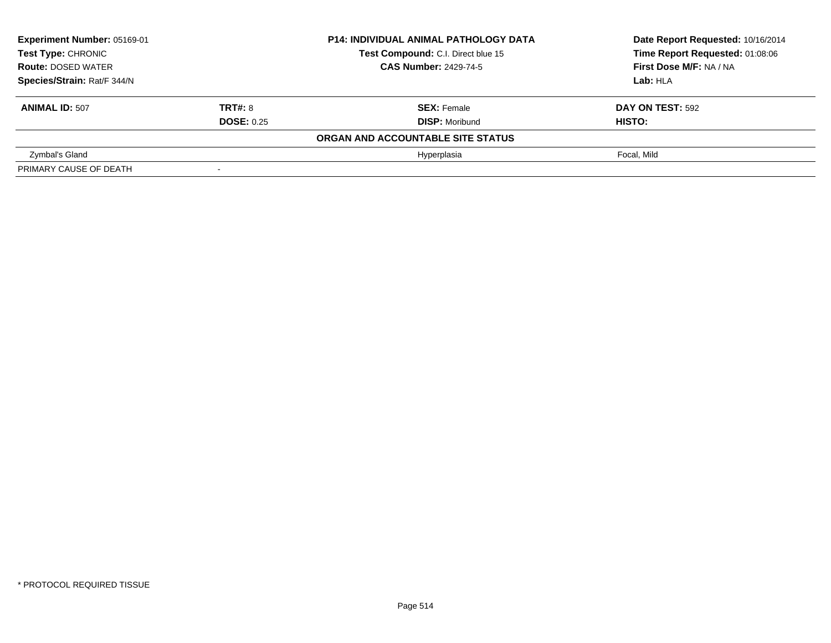| Experiment Number: 05169-01<br><b>Test Type: CHRONIC</b> |                          | <b>P14: INDIVIDUAL ANIMAL PATHOLOGY DATA</b> | Date Report Requested: 10/16/2014 |  |
|----------------------------------------------------------|--------------------------|----------------------------------------------|-----------------------------------|--|
|                                                          |                          | Test Compound: C.I. Direct blue 15           | Time Report Requested: 01:08:06   |  |
| <b>Route: DOSED WATER</b>                                |                          | <b>CAS Number: 2429-74-5</b>                 | First Dose M/F: NA / NA           |  |
| Species/Strain: Rat/F 344/N                              |                          |                                              | Lab: HLA                          |  |
| <b>ANIMAL ID: 507</b>                                    | <b>TRT#: 8</b>           | <b>SEX: Female</b>                           | DAY ON TEST: 592                  |  |
|                                                          | <b>DOSE: 0.25</b>        | <b>DISP: Moribund</b>                        | HISTO:                            |  |
|                                                          |                          | ORGAN AND ACCOUNTABLE SITE STATUS            |                                   |  |
| Zymbal's Gland                                           |                          | Hyperplasia                                  | Focal. Mild                       |  |
| PRIMARY CAUSE OF DEATH                                   | $\overline{\phantom{a}}$ |                                              |                                   |  |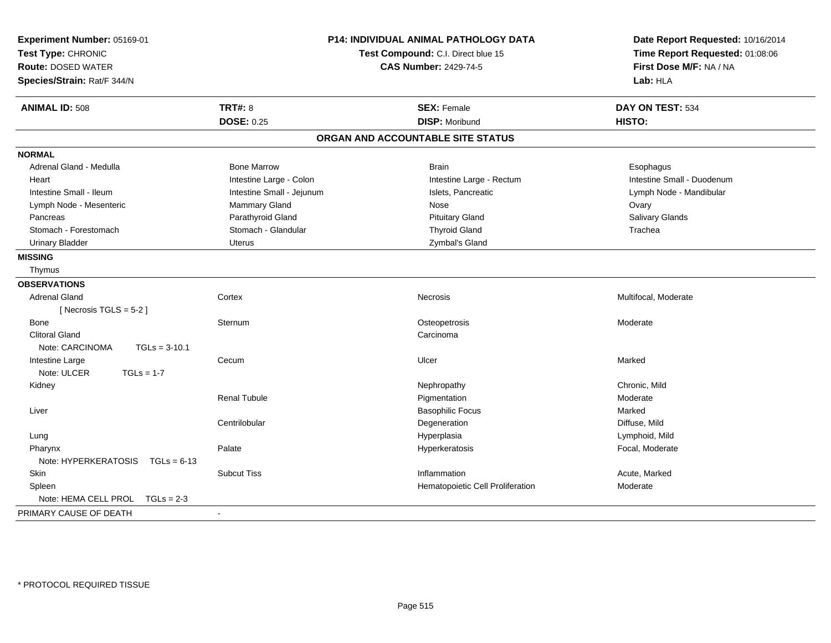| Experiment Number: 05169-01<br>Test Type: CHRONIC<br><b>Route: DOSED WATER</b><br>Species/Strain: Rat/F 344/N |                           | P14: INDIVIDUAL ANIMAL PATHOLOGY DATA<br>Test Compound: C.I. Direct blue 15<br><b>CAS Number: 2429-74-5</b> | Date Report Requested: 10/16/2014<br>Time Report Requested: 01:08:06<br>First Dose M/F: NA / NA<br>Lab: HLA |
|---------------------------------------------------------------------------------------------------------------|---------------------------|-------------------------------------------------------------------------------------------------------------|-------------------------------------------------------------------------------------------------------------|
| <b>ANIMAL ID: 508</b>                                                                                         | <b>TRT#: 8</b>            | <b>SEX: Female</b>                                                                                          | DAY ON TEST: 534                                                                                            |
|                                                                                                               | <b>DOSE: 0.25</b>         | <b>DISP: Moribund</b>                                                                                       | HISTO:                                                                                                      |
|                                                                                                               |                           | ORGAN AND ACCOUNTABLE SITE STATUS                                                                           |                                                                                                             |
| <b>NORMAL</b>                                                                                                 |                           |                                                                                                             |                                                                                                             |
| Adrenal Gland - Medulla                                                                                       | <b>Bone Marrow</b>        | <b>Brain</b>                                                                                                | Esophagus                                                                                                   |
| Heart                                                                                                         | Intestine Large - Colon   | Intestine Large - Rectum                                                                                    | Intestine Small - Duodenum                                                                                  |
| Intestine Small - Ileum                                                                                       | Intestine Small - Jejunum | Islets, Pancreatic                                                                                          | Lymph Node - Mandibular                                                                                     |
| Lymph Node - Mesenteric                                                                                       | Mammary Gland             | Nose                                                                                                        | Ovary                                                                                                       |
| Pancreas                                                                                                      | Parathyroid Gland         | <b>Pituitary Gland</b>                                                                                      | Salivary Glands                                                                                             |
| Stomach - Forestomach                                                                                         | Stomach - Glandular       | <b>Thyroid Gland</b>                                                                                        | Trachea                                                                                                     |
| <b>Urinary Bladder</b>                                                                                        | <b>Uterus</b>             | Zymbal's Gland                                                                                              |                                                                                                             |
| <b>MISSING</b>                                                                                                |                           |                                                                                                             |                                                                                                             |
| Thymus                                                                                                        |                           |                                                                                                             |                                                                                                             |
| <b>OBSERVATIONS</b>                                                                                           |                           |                                                                                                             |                                                                                                             |
| <b>Adrenal Gland</b>                                                                                          | Cortex                    | Necrosis                                                                                                    | Multifocal, Moderate                                                                                        |
| [Necrosis TGLS = $5-2$ ]                                                                                      |                           |                                                                                                             |                                                                                                             |
| Bone                                                                                                          | Sternum                   | Osteopetrosis                                                                                               | Moderate                                                                                                    |
| <b>Clitoral Gland</b>                                                                                         |                           | Carcinoma                                                                                                   |                                                                                                             |
| Note: CARCINOMA<br>$TGLs = 3-10.1$                                                                            |                           |                                                                                                             |                                                                                                             |
| Intestine Large                                                                                               | Cecum                     | Ulcer                                                                                                       | Marked                                                                                                      |
| Note: ULCER<br>$TGLs = 1-7$                                                                                   |                           |                                                                                                             |                                                                                                             |
| Kidney                                                                                                        |                           | Nephropathy                                                                                                 | Chronic, Mild                                                                                               |
|                                                                                                               | <b>Renal Tubule</b>       | Pigmentation                                                                                                | Moderate                                                                                                    |
| Liver                                                                                                         |                           | <b>Basophilic Focus</b>                                                                                     | Marked                                                                                                      |
|                                                                                                               | Centrilobular             | Degeneration                                                                                                | Diffuse, Mild                                                                                               |
| Lung                                                                                                          |                           | Hyperplasia                                                                                                 | Lymphoid, Mild                                                                                              |
| Pharynx                                                                                                       | Palate                    | Hyperkeratosis                                                                                              | Focal, Moderate                                                                                             |
| Note: HYPERKERATOSIS<br>$TGLs = 6-13$                                                                         |                           |                                                                                                             |                                                                                                             |
| Skin                                                                                                          | <b>Subcut Tiss</b>        | Inflammation                                                                                                | Acute, Marked                                                                                               |
| Spleen                                                                                                        |                           | Hematopoietic Cell Proliferation                                                                            | Moderate                                                                                                    |
| Note: HEMA CELL PROL<br>$TGLs = 2-3$                                                                          |                           |                                                                                                             |                                                                                                             |
| PRIMARY CAUSE OF DEATH                                                                                        |                           |                                                                                                             |                                                                                                             |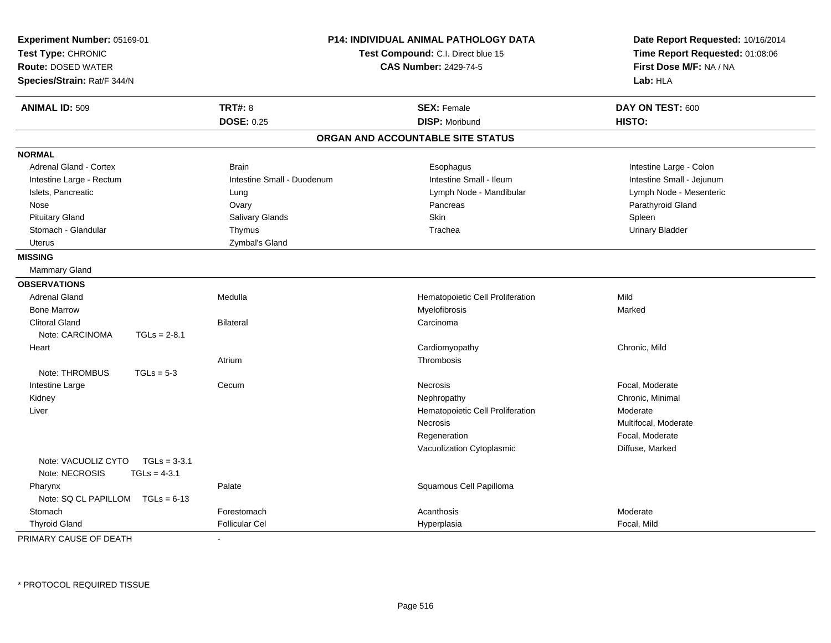| Experiment Number: 05169-01<br>Test Type: CHRONIC |                                  | <b>P14: INDIVIDUAL ANIMAL PATHOLOGY DATA</b><br>Test Compound: C.I. Direct blue 15 |                                   | Date Report Requested: 10/16/2014 |
|---------------------------------------------------|----------------------------------|------------------------------------------------------------------------------------|-----------------------------------|-----------------------------------|
|                                                   |                                  |                                                                                    |                                   | Time Report Requested: 01:08:06   |
| <b>Route: DOSED WATER</b>                         |                                  |                                                                                    | <b>CAS Number: 2429-74-5</b>      | First Dose M/F: NA / NA           |
| Species/Strain: Rat/F 344/N                       |                                  |                                                                                    |                                   | Lab: HLA                          |
| <b>ANIMAL ID: 509</b>                             |                                  | <b>TRT#: 8</b>                                                                     | <b>SEX: Female</b>                | DAY ON TEST: 600                  |
|                                                   |                                  | <b>DOSE: 0.25</b>                                                                  | <b>DISP: Moribund</b>             | HISTO:                            |
|                                                   |                                  |                                                                                    | ORGAN AND ACCOUNTABLE SITE STATUS |                                   |
| <b>NORMAL</b>                                     |                                  |                                                                                    |                                   |                                   |
| <b>Adrenal Gland - Cortex</b>                     |                                  | <b>Brain</b>                                                                       | Esophagus                         | Intestine Large - Colon           |
| Intestine Large - Rectum                          |                                  | Intestine Small - Duodenum                                                         | Intestine Small - Ileum           | Intestine Small - Jejunum         |
| Islets, Pancreatic                                |                                  | Lung                                                                               | Lymph Node - Mandibular           | Lymph Node - Mesenteric           |
| Nose                                              |                                  | Ovary                                                                              | Pancreas                          | Parathyroid Gland                 |
| <b>Pituitary Gland</b>                            |                                  | Salivary Glands                                                                    | <b>Skin</b>                       | Spleen                            |
| Stomach - Glandular                               |                                  | Thymus                                                                             | Trachea                           | <b>Urinary Bladder</b>            |
| <b>Uterus</b>                                     |                                  | Zymbal's Gland                                                                     |                                   |                                   |
| <b>MISSING</b>                                    |                                  |                                                                                    |                                   |                                   |
| Mammary Gland                                     |                                  |                                                                                    |                                   |                                   |
| <b>OBSERVATIONS</b>                               |                                  |                                                                                    |                                   |                                   |
| <b>Adrenal Gland</b>                              |                                  | Medulla                                                                            | Hematopoietic Cell Proliferation  | Mild                              |
| <b>Bone Marrow</b>                                |                                  |                                                                                    | Myelofibrosis                     | Marked                            |
| <b>Clitoral Gland</b>                             |                                  | <b>Bilateral</b>                                                                   | Carcinoma                         |                                   |
| Note: CARCINOMA                                   | $TGLs = 2-8.1$                   |                                                                                    |                                   |                                   |
| Heart                                             |                                  |                                                                                    | Cardiomyopathy                    | Chronic, Mild                     |
|                                                   |                                  | Atrium                                                                             | Thrombosis                        |                                   |
| Note: THROMBUS                                    | $TGLs = 5-3$                     |                                                                                    |                                   |                                   |
| Intestine Large                                   |                                  | Cecum                                                                              | Necrosis                          | Focal, Moderate                   |
| Kidney                                            |                                  |                                                                                    | Nephropathy                       | Chronic, Minimal                  |
| Liver                                             |                                  |                                                                                    | Hematopoietic Cell Proliferation  | Moderate                          |
|                                                   |                                  |                                                                                    | <b>Necrosis</b>                   | Multifocal, Moderate              |
|                                                   |                                  |                                                                                    | Regeneration                      | Focal, Moderate                   |
|                                                   |                                  |                                                                                    | Vacuolization Cytoplasmic         | Diffuse, Marked                   |
| Note: VACUOLIZ CYTO<br>Note: NECROSIS             | $TGLs = 3-3.1$<br>$TGLs = 4-3.1$ |                                                                                    |                                   |                                   |
| Pharynx                                           |                                  | Palate                                                                             | Squamous Cell Papilloma           |                                   |
| Note: SQ CL PAPILLOM TGLs = 6-13                  |                                  |                                                                                    |                                   |                                   |
| Stomach                                           |                                  | Forestomach                                                                        | Acanthosis                        | Moderate                          |
| <b>Thyroid Gland</b>                              |                                  | <b>Follicular Cel</b>                                                              | Hyperplasia                       | Focal, Mild                       |

PRIMARY CAUSE OF DEATH-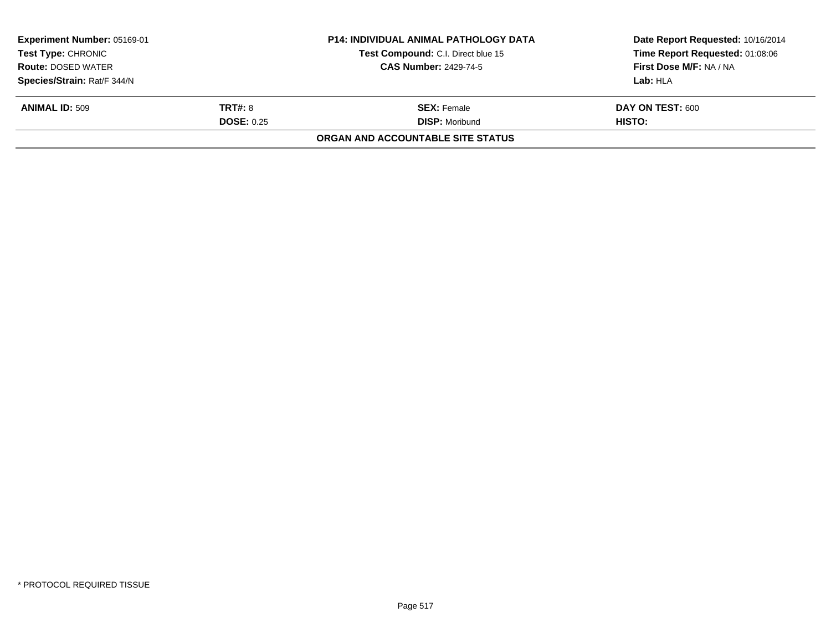| <b>Experiment Number: 05169-01</b><br><b>Test Type: CHRONIC</b> |                   | <b>P14: INDIVIDUAL ANIMAL PATHOLOGY DATA</b> | Date Report Requested: 10/16/2014 |  |
|-----------------------------------------------------------------|-------------------|----------------------------------------------|-----------------------------------|--|
|                                                                 |                   | Test Compound: C.I. Direct blue 15           | Time Report Requested: 01:08:06   |  |
| <b>Route: DOSED WATER</b>                                       |                   | <b>CAS Number: 2429-74-5</b>                 | First Dose M/F: NA / NA           |  |
| Species/Strain: Rat/F 344/N                                     |                   |                                              | Lab: HLA                          |  |
| <b>ANIMAL ID: 509</b>                                           | <b>TRT#: 8</b>    | <b>SEX: Female</b>                           | DAY ON TEST: 600                  |  |
|                                                                 | <b>DOSE: 0.25</b> | <b>DISP: Moribund</b>                        | HISTO:                            |  |
|                                                                 |                   | ORGAN AND ACCOUNTABLE SITE STATUS            |                                   |  |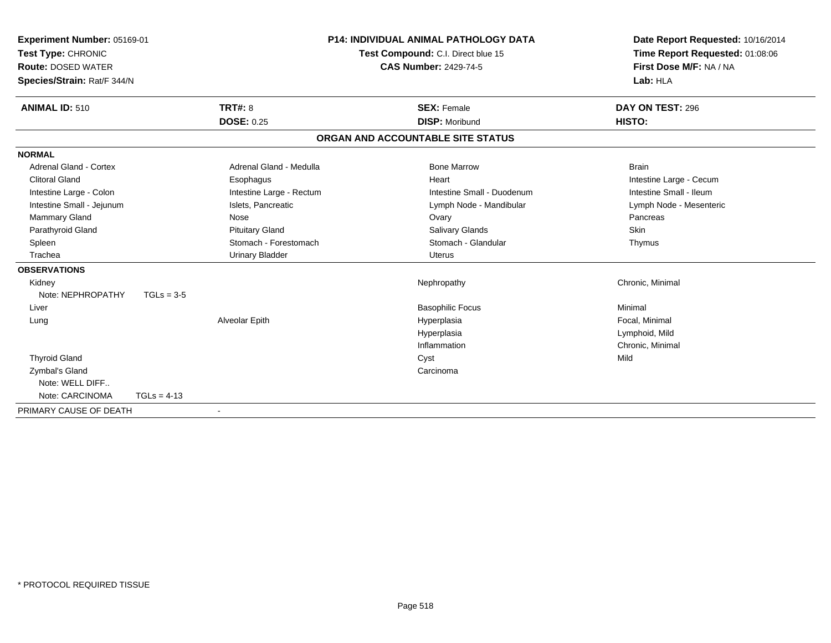| Experiment Number: 05169-01<br>Test Type: CHRONIC<br><b>Route: DOSED WATER</b><br>Species/Strain: Rat/F 344/N |                          | P14: INDIVIDUAL ANIMAL PATHOLOGY DATA<br>Test Compound: C.I. Direct blue 15<br><b>CAS Number: 2429-74-5</b> | Date Report Requested: 10/16/2014<br>Time Report Requested: 01:08:06<br>First Dose M/F: NA / NA<br>Lab: HLA |
|---------------------------------------------------------------------------------------------------------------|--------------------------|-------------------------------------------------------------------------------------------------------------|-------------------------------------------------------------------------------------------------------------|
| <b>ANIMAL ID: 510</b>                                                                                         | <b>TRT#: 8</b>           | <b>SEX: Female</b>                                                                                          | DAY ON TEST: 296                                                                                            |
|                                                                                                               | <b>DOSE: 0.25</b>        | <b>DISP: Moribund</b>                                                                                       | HISTO:                                                                                                      |
|                                                                                                               |                          | ORGAN AND ACCOUNTABLE SITE STATUS                                                                           |                                                                                                             |
| <b>NORMAL</b>                                                                                                 |                          |                                                                                                             |                                                                                                             |
| <b>Adrenal Gland - Cortex</b>                                                                                 | Adrenal Gland - Medulla  | <b>Bone Marrow</b>                                                                                          | <b>Brain</b>                                                                                                |
| <b>Clitoral Gland</b>                                                                                         | Esophagus                | Heart                                                                                                       | Intestine Large - Cecum                                                                                     |
| Intestine Large - Colon                                                                                       | Intestine Large - Rectum | Intestine Small - Duodenum                                                                                  | Intestine Small - Ileum                                                                                     |
| Intestine Small - Jejunum                                                                                     | Islets, Pancreatic       | Lymph Node - Mandibular                                                                                     | Lymph Node - Mesenteric                                                                                     |
| Mammary Gland                                                                                                 | Nose                     | Ovary                                                                                                       | Pancreas                                                                                                    |
| Parathyroid Gland                                                                                             | <b>Pituitary Gland</b>   | <b>Salivary Glands</b>                                                                                      | Skin                                                                                                        |
| Spleen                                                                                                        | Stomach - Forestomach    | Stomach - Glandular                                                                                         | Thymus                                                                                                      |
| Trachea                                                                                                       | <b>Urinary Bladder</b>   | Uterus                                                                                                      |                                                                                                             |
| <b>OBSERVATIONS</b>                                                                                           |                          |                                                                                                             |                                                                                                             |
| Kidney                                                                                                        |                          | Nephropathy                                                                                                 | Chronic, Minimal                                                                                            |
| Note: NEPHROPATHY                                                                                             | $TGLs = 3-5$             |                                                                                                             |                                                                                                             |
| Liver                                                                                                         |                          | <b>Basophilic Focus</b>                                                                                     | Minimal                                                                                                     |
| Lung                                                                                                          | Alveolar Epith           | Hyperplasia                                                                                                 | Focal, Minimal                                                                                              |
|                                                                                                               |                          | Hyperplasia                                                                                                 | Lymphoid, Mild                                                                                              |
|                                                                                                               |                          | Inflammation                                                                                                | Chronic, Minimal                                                                                            |
| <b>Thyroid Gland</b>                                                                                          |                          | Cyst                                                                                                        | Mild                                                                                                        |
| Zymbal's Gland                                                                                                |                          | Carcinoma                                                                                                   |                                                                                                             |
| Note: WELL DIFF                                                                                               |                          |                                                                                                             |                                                                                                             |
| Note: CARCINOMA                                                                                               | $TGLs = 4-13$            |                                                                                                             |                                                                                                             |
| PRIMARY CAUSE OF DEATH                                                                                        |                          |                                                                                                             |                                                                                                             |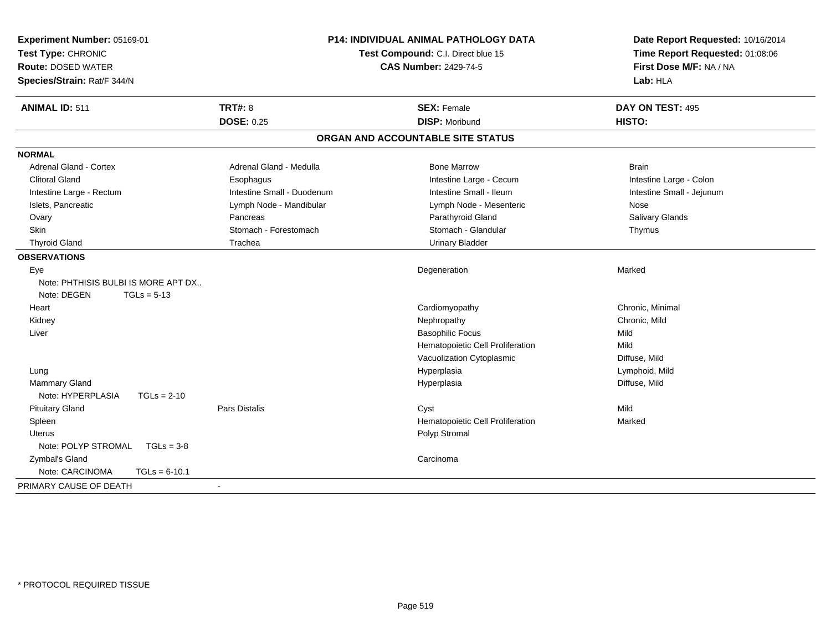| Experiment Number: 05169-01<br>Test Type: CHRONIC<br><b>Route: DOSED WATER</b><br>Species/Strain: Rat/F 344/N |                            | <b>P14: INDIVIDUAL ANIMAL PATHOLOGY DATA</b><br>Test Compound: C.I. Direct blue 15<br><b>CAS Number: 2429-74-5</b> | Date Report Requested: 10/16/2014<br>Time Report Requested: 01:08:06<br>First Dose M/F: NA / NA<br>Lab: HLA |
|---------------------------------------------------------------------------------------------------------------|----------------------------|--------------------------------------------------------------------------------------------------------------------|-------------------------------------------------------------------------------------------------------------|
| <b>ANIMAL ID: 511</b>                                                                                         | <b>TRT#: 8</b>             | <b>SEX: Female</b>                                                                                                 | DAY ON TEST: 495                                                                                            |
|                                                                                                               | <b>DOSE: 0.25</b>          | <b>DISP: Moribund</b>                                                                                              | HISTO:                                                                                                      |
|                                                                                                               |                            | ORGAN AND ACCOUNTABLE SITE STATUS                                                                                  |                                                                                                             |
| <b>NORMAL</b>                                                                                                 |                            |                                                                                                                    |                                                                                                             |
| Adrenal Gland - Cortex                                                                                        | Adrenal Gland - Medulla    | <b>Bone Marrow</b>                                                                                                 | <b>Brain</b>                                                                                                |
| <b>Clitoral Gland</b>                                                                                         | Esophagus                  | Intestine Large - Cecum                                                                                            | Intestine Large - Colon                                                                                     |
| Intestine Large - Rectum                                                                                      | Intestine Small - Duodenum | Intestine Small - Ileum                                                                                            | Intestine Small - Jejunum                                                                                   |
| Islets, Pancreatic                                                                                            | Lymph Node - Mandibular    | Lymph Node - Mesenteric                                                                                            | Nose                                                                                                        |
| Ovary                                                                                                         | Pancreas                   | Parathyroid Gland                                                                                                  | Salivary Glands                                                                                             |
| Skin                                                                                                          | Stomach - Forestomach      | Stomach - Glandular                                                                                                | Thymus                                                                                                      |
| <b>Thyroid Gland</b>                                                                                          | Trachea                    | <b>Urinary Bladder</b>                                                                                             |                                                                                                             |
| <b>OBSERVATIONS</b>                                                                                           |                            |                                                                                                                    |                                                                                                             |
| Eye                                                                                                           |                            | Degeneration                                                                                                       | Marked                                                                                                      |
| Note: PHTHISIS BULBI IS MORE APT DX                                                                           |                            |                                                                                                                    |                                                                                                             |
| Note: DEGEN<br>$TGLs = 5-13$                                                                                  |                            |                                                                                                                    |                                                                                                             |
| Heart                                                                                                         |                            | Cardiomyopathy                                                                                                     | Chronic, Minimal                                                                                            |
| Kidney                                                                                                        |                            | Nephropathy                                                                                                        | Chronic, Mild                                                                                               |
| Liver                                                                                                         |                            | <b>Basophilic Focus</b>                                                                                            | Mild                                                                                                        |
|                                                                                                               |                            | Hematopoietic Cell Proliferation                                                                                   | Mild                                                                                                        |
|                                                                                                               |                            | Vacuolization Cytoplasmic                                                                                          | Diffuse, Mild                                                                                               |
| Lung                                                                                                          |                            | Hyperplasia                                                                                                        | Lymphoid, Mild                                                                                              |
| Mammary Gland                                                                                                 |                            | Hyperplasia                                                                                                        | Diffuse, Mild                                                                                               |
| Note: HYPERPLASIA<br>$TGLs = 2-10$                                                                            |                            |                                                                                                                    |                                                                                                             |
| <b>Pituitary Gland</b>                                                                                        | Pars Distalis              | Cyst                                                                                                               | Mild                                                                                                        |
| Spleen                                                                                                        |                            | Hematopoietic Cell Proliferation                                                                                   | Marked                                                                                                      |
| <b>Uterus</b>                                                                                                 |                            | Polyp Stromal                                                                                                      |                                                                                                             |
| Note: POLYP STROMAL<br>$TGLs = 3-8$                                                                           |                            |                                                                                                                    |                                                                                                             |
| Zymbal's Gland                                                                                                |                            | Carcinoma                                                                                                          |                                                                                                             |
| Note: CARCINOMA<br>$TGLs = 6-10.1$                                                                            |                            |                                                                                                                    |                                                                                                             |
| PRIMARY CAUSE OF DEATH                                                                                        | $\blacksquare$             |                                                                                                                    |                                                                                                             |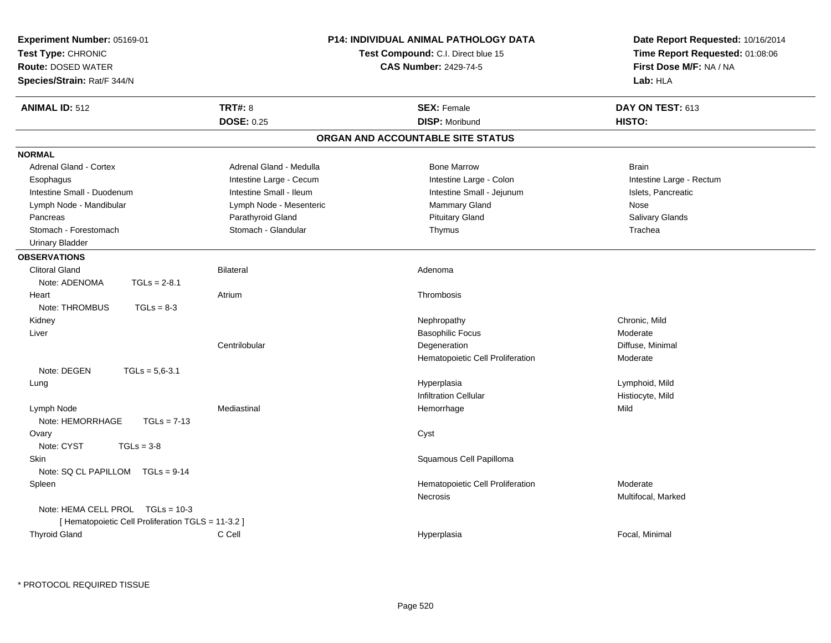| Experiment Number: 05169-01<br>Test Type: CHRONIC<br><b>Route: DOSED WATER</b><br>Species/Strain: Rat/F 344/N |                         | <b>P14: INDIVIDUAL ANIMAL PATHOLOGY DATA</b><br>Test Compound: C.I. Direct blue 15<br><b>CAS Number: 2429-74-5</b> | Date Report Requested: 10/16/2014<br>Time Report Requested: 01:08:06<br>First Dose M/F: NA / NA<br>Lab: HLA |
|---------------------------------------------------------------------------------------------------------------|-------------------------|--------------------------------------------------------------------------------------------------------------------|-------------------------------------------------------------------------------------------------------------|
| <b>ANIMAL ID: 512</b>                                                                                         | <b>TRT#: 8</b>          | <b>SEX: Female</b>                                                                                                 | DAY ON TEST: 613                                                                                            |
|                                                                                                               | <b>DOSE: 0.25</b>       | <b>DISP: Moribund</b>                                                                                              | HISTO:                                                                                                      |
|                                                                                                               |                         | ORGAN AND ACCOUNTABLE SITE STATUS                                                                                  |                                                                                                             |
| <b>NORMAL</b>                                                                                                 |                         |                                                                                                                    |                                                                                                             |
| <b>Adrenal Gland - Cortex</b>                                                                                 | Adrenal Gland - Medulla | <b>Bone Marrow</b>                                                                                                 | <b>Brain</b>                                                                                                |
| Esophagus                                                                                                     | Intestine Large - Cecum | Intestine Large - Colon                                                                                            | Intestine Large - Rectum                                                                                    |
| Intestine Small - Duodenum                                                                                    | Intestine Small - Ileum | Intestine Small - Jejunum                                                                                          | Islets, Pancreatic                                                                                          |
| Lymph Node - Mandibular                                                                                       | Lymph Node - Mesenteric | Mammary Gland                                                                                                      | Nose                                                                                                        |
| Pancreas                                                                                                      | Parathyroid Gland       | <b>Pituitary Gland</b>                                                                                             | Salivary Glands                                                                                             |
| Stomach - Forestomach                                                                                         | Stomach - Glandular     | Thymus                                                                                                             | Trachea                                                                                                     |
| <b>Urinary Bladder</b>                                                                                        |                         |                                                                                                                    |                                                                                                             |
| <b>OBSERVATIONS</b>                                                                                           |                         |                                                                                                                    |                                                                                                             |
| <b>Clitoral Gland</b>                                                                                         | <b>Bilateral</b>        | Adenoma                                                                                                            |                                                                                                             |
| Note: ADENOMA<br>$TGLs = 2-8.1$                                                                               |                         |                                                                                                                    |                                                                                                             |
| Heart                                                                                                         | Atrium                  | Thrombosis                                                                                                         |                                                                                                             |
| Note: THROMBUS<br>$TGLs = 8-3$                                                                                |                         |                                                                                                                    |                                                                                                             |
| Kidney                                                                                                        |                         | Nephropathy                                                                                                        | Chronic, Mild                                                                                               |
| Liver                                                                                                         |                         | <b>Basophilic Focus</b>                                                                                            | Moderate                                                                                                    |
|                                                                                                               | Centrilobular           | Degeneration                                                                                                       | Diffuse, Minimal                                                                                            |
|                                                                                                               |                         | Hematopoietic Cell Proliferation                                                                                   | Moderate                                                                                                    |
| Note: DEGEN<br>$TGLs = 5.6 - 3.1$                                                                             |                         |                                                                                                                    |                                                                                                             |
| Lung                                                                                                          |                         | Hyperplasia                                                                                                        | Lymphoid, Mild                                                                                              |
|                                                                                                               |                         | <b>Infiltration Cellular</b>                                                                                       | Histiocyte, Mild                                                                                            |
| Lymph Node<br>Note: HEMORRHAGE<br>$TGLs = 7-13$                                                               | Mediastinal             | Hemorrhage                                                                                                         | Mild                                                                                                        |
| Ovary<br>Note: CYST<br>$TGLs = 3-8$                                                                           |                         | Cyst                                                                                                               |                                                                                                             |
| Skin                                                                                                          |                         | Squamous Cell Papilloma                                                                                            |                                                                                                             |
| Note: SQ CL PAPILLOM TGLs = 9-14                                                                              |                         |                                                                                                                    |                                                                                                             |
| Spleen                                                                                                        |                         | Hematopoietic Cell Proliferation                                                                                   | Moderate                                                                                                    |
|                                                                                                               |                         | Necrosis                                                                                                           | Multifocal, Marked                                                                                          |
| Note: HEMA CELL PROL TGLs = 10-3                                                                              |                         |                                                                                                                    |                                                                                                             |
| [ Hematopoietic Cell Proliferation TGLS = 11-3.2 ]                                                            |                         |                                                                                                                    |                                                                                                             |
| <b>Thyroid Gland</b>                                                                                          | C Cell                  | Hyperplasia                                                                                                        | Focal, Minimal                                                                                              |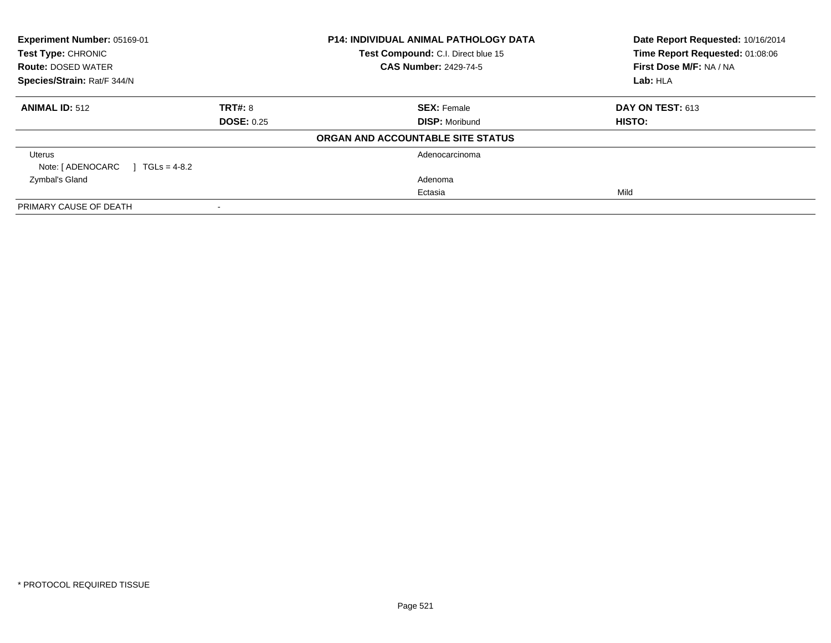| Experiment Number: 05169-01<br><b>Test Type: CHRONIC</b><br><b>Route: DOSED WATER</b><br>Species/Strain: Rat/F 344/N |                   | <b>P14: INDIVIDUAL ANIMAL PATHOLOGY DATA</b>                       | Date Report Requested: 10/16/2014<br>Time Report Requested: 01:08:06<br>First Dose M/F: NA / NA |
|----------------------------------------------------------------------------------------------------------------------|-------------------|--------------------------------------------------------------------|-------------------------------------------------------------------------------------------------|
|                                                                                                                      |                   | Test Compound: C.I. Direct blue 15<br><b>CAS Number: 2429-74-5</b> |                                                                                                 |
|                                                                                                                      |                   |                                                                    | Lab: HLA                                                                                        |
| <b>ANIMAL ID: 512</b>                                                                                                | TRT#: 8           | <b>SEX: Female</b>                                                 | <b>DAY ON TEST: 613</b>                                                                         |
|                                                                                                                      | <b>DOSE: 0.25</b> | <b>DISP: Moribund</b>                                              | HISTO:                                                                                          |
|                                                                                                                      |                   | ORGAN AND ACCOUNTABLE SITE STATUS                                  |                                                                                                 |
| Uterus                                                                                                               |                   | Adenocarcinoma                                                     |                                                                                                 |
| Note: [ ADENOCARC<br>$1 \text{ TGLs} = 4-8.2$                                                                        |                   |                                                                    |                                                                                                 |
| Zymbal's Gland                                                                                                       |                   | Adenoma                                                            |                                                                                                 |
|                                                                                                                      |                   | Ectasia                                                            | Mild                                                                                            |
| PRIMARY CAUSE OF DEATH                                                                                               |                   |                                                                    |                                                                                                 |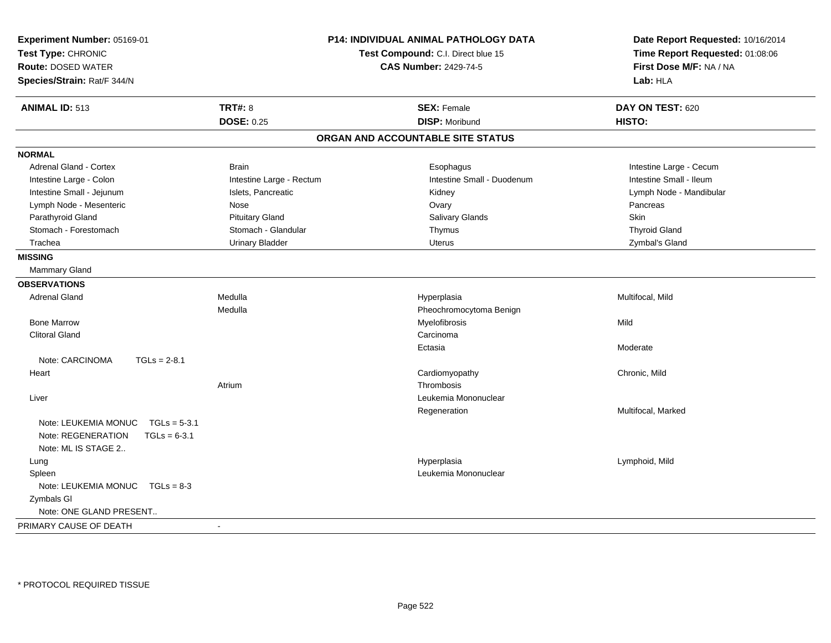| Experiment Number: 05169-01<br>Test Type: CHRONIC<br><b>Route: DOSED WATER</b><br>Species/Strain: Rat/F 344/N |                          | <b>P14: INDIVIDUAL ANIMAL PATHOLOGY DATA</b><br>Test Compound: C.I. Direct blue 15<br><b>CAS Number: 2429-74-5</b> | Date Report Requested: 10/16/2014<br>Time Report Requested: 01:08:06<br>First Dose M/F: NA / NA<br>Lab: HLA |
|---------------------------------------------------------------------------------------------------------------|--------------------------|--------------------------------------------------------------------------------------------------------------------|-------------------------------------------------------------------------------------------------------------|
| <b>ANIMAL ID: 513</b>                                                                                         | <b>TRT#: 8</b>           | <b>SEX: Female</b>                                                                                                 | DAY ON TEST: 620                                                                                            |
|                                                                                                               | <b>DOSE: 0.25</b>        | <b>DISP: Moribund</b>                                                                                              | HISTO:                                                                                                      |
|                                                                                                               |                          | ORGAN AND ACCOUNTABLE SITE STATUS                                                                                  |                                                                                                             |
| <b>NORMAL</b>                                                                                                 |                          |                                                                                                                    |                                                                                                             |
| Adrenal Gland - Cortex                                                                                        | <b>Brain</b>             | Esophagus                                                                                                          | Intestine Large - Cecum                                                                                     |
| Intestine Large - Colon                                                                                       | Intestine Large - Rectum | Intestine Small - Duodenum                                                                                         | Intestine Small - Ileum                                                                                     |
| Intestine Small - Jejunum                                                                                     | Islets, Pancreatic       | Kidney                                                                                                             | Lymph Node - Mandibular                                                                                     |
| Lymph Node - Mesenteric                                                                                       | Nose                     | Ovary                                                                                                              | Pancreas                                                                                                    |
| Parathyroid Gland                                                                                             | <b>Pituitary Gland</b>   | Salivary Glands                                                                                                    | Skin                                                                                                        |
| Stomach - Forestomach                                                                                         | Stomach - Glandular      | Thymus                                                                                                             | <b>Thyroid Gland</b>                                                                                        |
| Trachea                                                                                                       | <b>Urinary Bladder</b>   | Uterus                                                                                                             | Zymbal's Gland                                                                                              |
| <b>MISSING</b>                                                                                                |                          |                                                                                                                    |                                                                                                             |
| Mammary Gland                                                                                                 |                          |                                                                                                                    |                                                                                                             |
| <b>OBSERVATIONS</b>                                                                                           |                          |                                                                                                                    |                                                                                                             |
| <b>Adrenal Gland</b>                                                                                          | Medulla                  | Hyperplasia                                                                                                        | Multifocal, Mild                                                                                            |
|                                                                                                               | Medulla                  | Pheochromocytoma Benign                                                                                            |                                                                                                             |
| <b>Bone Marrow</b>                                                                                            |                          | Myelofibrosis                                                                                                      | Mild                                                                                                        |
| <b>Clitoral Gland</b>                                                                                         |                          | Carcinoma                                                                                                          |                                                                                                             |
|                                                                                                               |                          | Ectasia                                                                                                            | Moderate                                                                                                    |
| Note: CARCINOMA<br>$TGLs = 2-8.1$                                                                             |                          |                                                                                                                    |                                                                                                             |
| Heart                                                                                                         |                          | Cardiomyopathy                                                                                                     | Chronic, Mild                                                                                               |
|                                                                                                               | Atrium                   | Thrombosis                                                                                                         |                                                                                                             |
| Liver                                                                                                         |                          | Leukemia Mononuclear                                                                                               |                                                                                                             |
|                                                                                                               |                          | Regeneration                                                                                                       | Multifocal, Marked                                                                                          |
| Note: LEUKEMIA MONUC<br>$TGLs = 5-3.1$                                                                        |                          |                                                                                                                    |                                                                                                             |
| Note: REGENERATION<br>$TGLs = 6-3.1$                                                                          |                          |                                                                                                                    |                                                                                                             |
| Note: ML IS STAGE 2                                                                                           |                          |                                                                                                                    |                                                                                                             |
| Lung                                                                                                          |                          | Hyperplasia                                                                                                        | Lymphoid, Mild                                                                                              |
| Spleen                                                                                                        |                          | Leukemia Mononuclear                                                                                               |                                                                                                             |
| Note: LEUKEMIA MONUC  TGLs = 8-3                                                                              |                          |                                                                                                                    |                                                                                                             |
| Zymbals GI                                                                                                    |                          |                                                                                                                    |                                                                                                             |
| Note: ONE GLAND PRESENT                                                                                       |                          |                                                                                                                    |                                                                                                             |
| PRIMARY CAUSE OF DEATH                                                                                        | $\sim$                   |                                                                                                                    |                                                                                                             |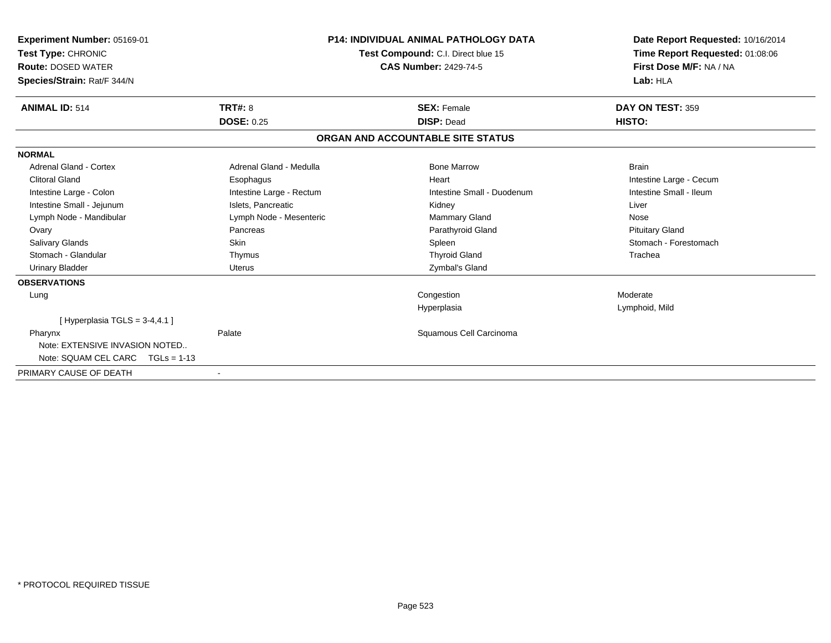| Experiment Number: 05169-01<br>Test Type: CHRONIC<br><b>Route: DOSED WATER</b><br>Species/Strain: Rat/F 344/N |                          | <b>P14: INDIVIDUAL ANIMAL PATHOLOGY DATA</b><br>Test Compound: C.I. Direct blue 15<br><b>CAS Number: 2429-74-5</b> | Date Report Requested: 10/16/2014<br>Time Report Requested: 01:08:06<br>First Dose M/F: NA / NA<br>Lab: HLA |
|---------------------------------------------------------------------------------------------------------------|--------------------------|--------------------------------------------------------------------------------------------------------------------|-------------------------------------------------------------------------------------------------------------|
| <b>ANIMAL ID: 514</b>                                                                                         | <b>TRT#: 8</b>           | <b>SEX: Female</b>                                                                                                 | DAY ON TEST: 359                                                                                            |
|                                                                                                               | <b>DOSE: 0.25</b>        | <b>DISP: Dead</b>                                                                                                  | HISTO:                                                                                                      |
|                                                                                                               |                          | ORGAN AND ACCOUNTABLE SITE STATUS                                                                                  |                                                                                                             |
| <b>NORMAL</b>                                                                                                 |                          |                                                                                                                    |                                                                                                             |
| Adrenal Gland - Cortex                                                                                        | Adrenal Gland - Medulla  | <b>Bone Marrow</b>                                                                                                 | <b>Brain</b>                                                                                                |
| <b>Clitoral Gland</b>                                                                                         | Esophagus                | Heart                                                                                                              | Intestine Large - Cecum                                                                                     |
| Intestine Large - Colon                                                                                       | Intestine Large - Rectum | Intestine Small - Duodenum                                                                                         | Intestine Small - Ileum                                                                                     |
| Intestine Small - Jejunum                                                                                     | Islets, Pancreatic       | Kidney                                                                                                             | Liver                                                                                                       |
| Lymph Node - Mandibular                                                                                       | Lymph Node - Mesenteric  | <b>Mammary Gland</b>                                                                                               | Nose                                                                                                        |
| Ovary                                                                                                         | Pancreas                 | Parathyroid Gland                                                                                                  | <b>Pituitary Gland</b>                                                                                      |
| <b>Salivary Glands</b>                                                                                        | Skin                     | Spleen                                                                                                             | Stomach - Forestomach                                                                                       |
| Stomach - Glandular                                                                                           | Thymus                   | <b>Thyroid Gland</b>                                                                                               | Trachea                                                                                                     |
| <b>Urinary Bladder</b>                                                                                        | <b>Uterus</b>            | Zymbal's Gland                                                                                                     |                                                                                                             |
| <b>OBSERVATIONS</b>                                                                                           |                          |                                                                                                                    |                                                                                                             |
| Lung                                                                                                          |                          | Congestion                                                                                                         | Moderate                                                                                                    |
|                                                                                                               |                          | Hyperplasia                                                                                                        | Lymphoid, Mild                                                                                              |
| [Hyperplasia TGLS = $3-4,4.1$ ]                                                                               |                          |                                                                                                                    |                                                                                                             |
| Pharynx                                                                                                       | Palate                   | Squamous Cell Carcinoma                                                                                            |                                                                                                             |
| Note: EXTENSIVE INVASION NOTED                                                                                |                          |                                                                                                                    |                                                                                                             |
| Note: SQUAM CEL CARC $TGLs = 1-13$                                                                            |                          |                                                                                                                    |                                                                                                             |
| PRIMARY CAUSE OF DEATH                                                                                        | $\overline{\phantom{a}}$ |                                                                                                                    |                                                                                                             |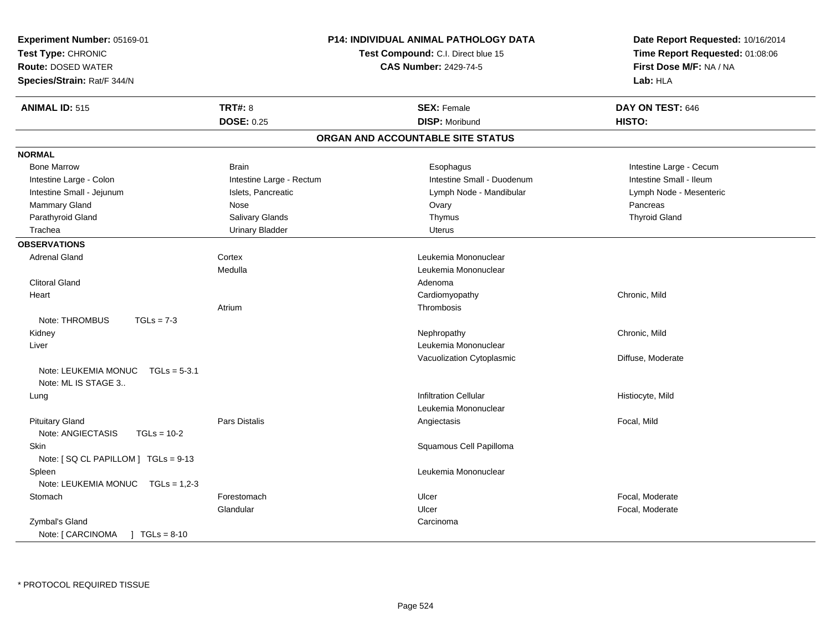| Experiment Number: 05169-01<br>Test Type: CHRONIC<br><b>Route: DOSED WATER</b><br>Species/Strain: Rat/F 344/N |                          | P14: INDIVIDUAL ANIMAL PATHOLOGY DATA<br>Test Compound: C.I. Direct blue 15<br><b>CAS Number: 2429-74-5</b> | Date Report Requested: 10/16/2014<br>Time Report Requested: 01:08:06<br>First Dose M/F: NA / NA<br>Lab: HLA |
|---------------------------------------------------------------------------------------------------------------|--------------------------|-------------------------------------------------------------------------------------------------------------|-------------------------------------------------------------------------------------------------------------|
| <b>ANIMAL ID: 515</b>                                                                                         | <b>TRT#: 8</b>           | <b>SEX: Female</b>                                                                                          | DAY ON TEST: 646                                                                                            |
|                                                                                                               | <b>DOSE: 0.25</b>        | <b>DISP: Moribund</b>                                                                                       | HISTO:                                                                                                      |
|                                                                                                               |                          | ORGAN AND ACCOUNTABLE SITE STATUS                                                                           |                                                                                                             |
| <b>NORMAL</b>                                                                                                 |                          |                                                                                                             |                                                                                                             |
| <b>Bone Marrow</b>                                                                                            | <b>Brain</b>             | Esophagus                                                                                                   | Intestine Large - Cecum                                                                                     |
| Intestine Large - Colon                                                                                       | Intestine Large - Rectum | Intestine Small - Duodenum                                                                                  | Intestine Small - Ileum                                                                                     |
| Intestine Small - Jejunum                                                                                     | Islets, Pancreatic       | Lymph Node - Mandibular                                                                                     | Lymph Node - Mesenteric                                                                                     |
| Mammary Gland                                                                                                 | Nose                     | Ovary                                                                                                       | Pancreas                                                                                                    |
| Parathyroid Gland                                                                                             | Salivary Glands          | Thymus                                                                                                      | <b>Thyroid Gland</b>                                                                                        |
| Trachea                                                                                                       | <b>Urinary Bladder</b>   | Uterus                                                                                                      |                                                                                                             |
| <b>OBSERVATIONS</b>                                                                                           |                          |                                                                                                             |                                                                                                             |
| <b>Adrenal Gland</b>                                                                                          | Cortex                   | Leukemia Mononuclear                                                                                        |                                                                                                             |
|                                                                                                               | Medulla                  | Leukemia Mononuclear                                                                                        |                                                                                                             |
| <b>Clitoral Gland</b>                                                                                         |                          | Adenoma                                                                                                     |                                                                                                             |
| Heart                                                                                                         |                          | Cardiomyopathy                                                                                              | Chronic, Mild                                                                                               |
|                                                                                                               | Atrium                   | Thrombosis                                                                                                  |                                                                                                             |
| Note: THROMBUS<br>$TGLs = 7-3$                                                                                |                          |                                                                                                             |                                                                                                             |
| Kidney                                                                                                        |                          | Nephropathy                                                                                                 | Chronic, Mild                                                                                               |
| Liver                                                                                                         |                          | Leukemia Mononuclear                                                                                        |                                                                                                             |
|                                                                                                               |                          | Vacuolization Cytoplasmic                                                                                   | Diffuse, Moderate                                                                                           |
| Note: LEUKEMIA MONUC<br>$TGLs = 5-3.1$<br>Note: ML IS STAGE 3                                                 |                          |                                                                                                             |                                                                                                             |
| Lung                                                                                                          |                          | <b>Infiltration Cellular</b>                                                                                | Histiocyte, Mild                                                                                            |
|                                                                                                               |                          | Leukemia Mononuclear                                                                                        |                                                                                                             |
| <b>Pituitary Gland</b>                                                                                        | Pars Distalis            | Angiectasis                                                                                                 | Focal, Mild                                                                                                 |
| Note: ANGIECTASIS<br>$TGLs = 10-2$                                                                            |                          |                                                                                                             |                                                                                                             |
| Skin<br>Note: [SQ CL PAPILLOM ] TGLs = 9-13                                                                   |                          | Squamous Cell Papilloma                                                                                     |                                                                                                             |
| Spleen                                                                                                        |                          | Leukemia Mononuclear                                                                                        |                                                                                                             |
| Note: LEUKEMIA MONUC TGLs = 1,2-3                                                                             |                          |                                                                                                             |                                                                                                             |
| Stomach                                                                                                       | Forestomach              | Ulcer                                                                                                       | Focal, Moderate                                                                                             |
|                                                                                                               | Glandular                | Ulcer                                                                                                       | Focal, Moderate                                                                                             |
| Zymbal's Gland                                                                                                |                          | Carcinoma                                                                                                   |                                                                                                             |
| $\sqrt{1} \text{ TGLs} = 8-10$<br>Note: [ CARCINOMA                                                           |                          |                                                                                                             |                                                                                                             |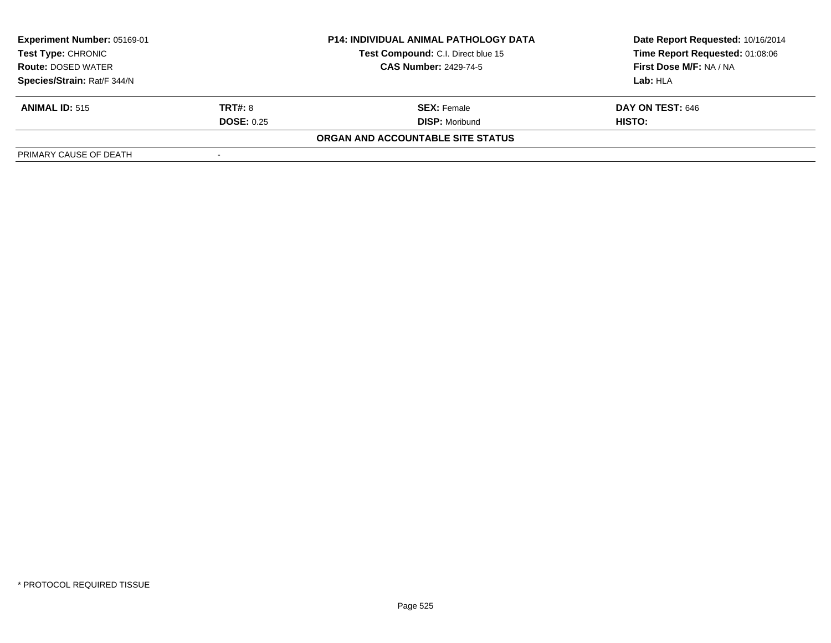| <b>Experiment Number: 05169-01</b><br>Test Type: CHRONIC<br><b>Route: DOSED WATER</b> |                          | <b>P14: INDIVIDUAL ANIMAL PATHOLOGY DATA</b> | Date Report Requested: 10/16/2014 |  |
|---------------------------------------------------------------------------------------|--------------------------|----------------------------------------------|-----------------------------------|--|
|                                                                                       |                          | Test Compound: C.I. Direct blue 15           | Time Report Requested: 01:08:06   |  |
|                                                                                       |                          | <b>CAS Number: 2429-74-5</b>                 | First Dose M/F: NA / NA           |  |
| Species/Strain: Rat/F 344/N                                                           |                          |                                              | Lab: HLA                          |  |
| <b>ANIMAL ID: 515</b>                                                                 | <b>TRT#: 8</b>           | <b>SEX:</b> Female                           | DAY ON TEST: 646                  |  |
|                                                                                       | <b>DOSE: 0.25</b>        | <b>DISP: Moribund</b>                        | <b>HISTO:</b>                     |  |
|                                                                                       |                          | ORGAN AND ACCOUNTABLE SITE STATUS            |                                   |  |
| PRIMARY CAUSE OF DEATH                                                                | $\overline{\phantom{a}}$ |                                              |                                   |  |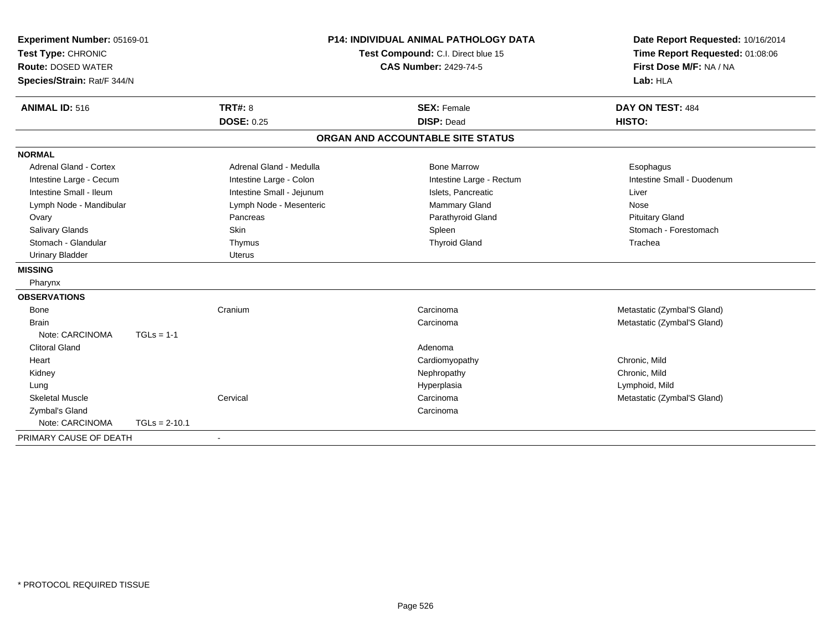| Experiment Number: 05169-01<br>Test Type: CHRONIC |                 |                                    | <b>P14: INDIVIDUAL ANIMAL PATHOLOGY DATA</b> | Date Report Requested: 10/16/2014 |
|---------------------------------------------------|-----------------|------------------------------------|----------------------------------------------|-----------------------------------|
|                                                   |                 | Test Compound: C.I. Direct blue 15 |                                              | Time Report Requested: 01:08:06   |
| <b>Route: DOSED WATER</b>                         |                 |                                    | <b>CAS Number: 2429-74-5</b>                 | First Dose M/F: NA / NA           |
| Species/Strain: Rat/F 344/N                       |                 |                                    |                                              | Lab: HLA                          |
| <b>ANIMAL ID: 516</b>                             |                 | <b>TRT#: 8</b>                     | <b>SEX: Female</b>                           | DAY ON TEST: 484                  |
|                                                   |                 | <b>DOSE: 0.25</b>                  | <b>DISP: Dead</b>                            | HISTO:                            |
|                                                   |                 |                                    | ORGAN AND ACCOUNTABLE SITE STATUS            |                                   |
| <b>NORMAL</b>                                     |                 |                                    |                                              |                                   |
| <b>Adrenal Gland - Cortex</b>                     |                 | Adrenal Gland - Medulla            | <b>Bone Marrow</b>                           | Esophagus                         |
| Intestine Large - Cecum                           |                 | Intestine Large - Colon            | Intestine Large - Rectum                     | Intestine Small - Duodenum        |
| Intestine Small - Ileum                           |                 | Intestine Small - Jejunum          | Islets, Pancreatic                           | Liver                             |
| Lymph Node - Mandibular                           |                 | Lymph Node - Mesenteric            | <b>Mammary Gland</b>                         | Nose                              |
| Ovary                                             |                 | Pancreas                           | Parathyroid Gland                            | <b>Pituitary Gland</b>            |
| Salivary Glands                                   |                 | <b>Skin</b>                        | Spleen                                       | Stomach - Forestomach             |
| Stomach - Glandular                               |                 | Thymus                             | <b>Thyroid Gland</b>                         | Trachea                           |
| <b>Urinary Bladder</b>                            |                 | <b>Uterus</b>                      |                                              |                                   |
| <b>MISSING</b>                                    |                 |                                    |                                              |                                   |
| Pharynx                                           |                 |                                    |                                              |                                   |
| <b>OBSERVATIONS</b>                               |                 |                                    |                                              |                                   |
| <b>Bone</b>                                       |                 | Cranium                            | Carcinoma                                    | Metastatic (Zymbal'S Gland)       |
| <b>Brain</b>                                      |                 |                                    | Carcinoma                                    | Metastatic (Zymbal'S Gland)       |
| Note: CARCINOMA                                   | $TGLs = 1-1$    |                                    |                                              |                                   |
| <b>Clitoral Gland</b>                             |                 |                                    | Adenoma                                      |                                   |
| Heart                                             |                 |                                    | Cardiomyopathy                               | Chronic, Mild                     |
| Kidney                                            |                 |                                    | Nephropathy                                  | Chronic, Mild                     |
| Lung                                              |                 |                                    | Hyperplasia                                  | Lymphoid, Mild                    |
| <b>Skeletal Muscle</b>                            |                 | Cervical                           | Carcinoma                                    | Metastatic (Zymbal'S Gland)       |
| Zymbal's Gland                                    |                 |                                    | Carcinoma                                    |                                   |
| Note: CARCINOMA                                   | $TGLs = 2-10.1$ |                                    |                                              |                                   |
| PRIMARY CAUSE OF DEATH                            |                 | $\overline{\phantom{a}}$           |                                              |                                   |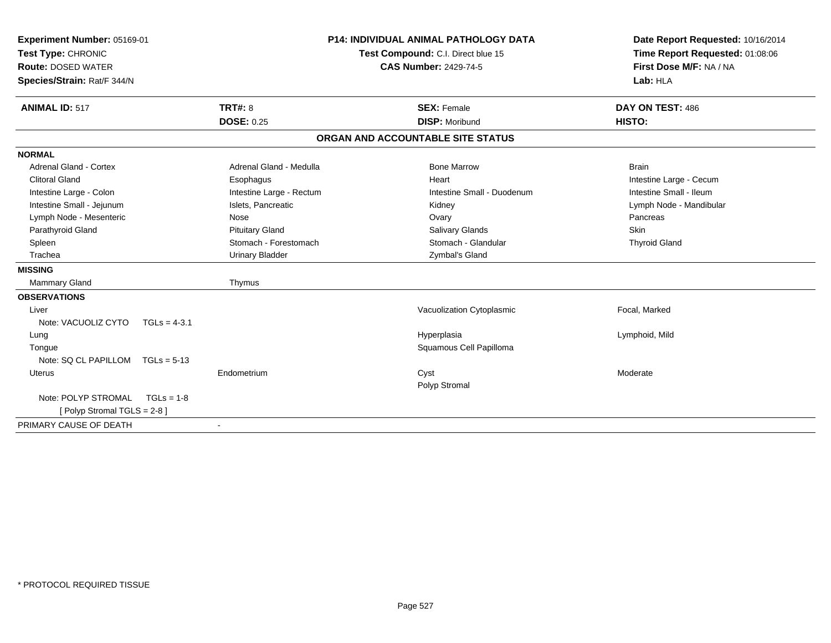| Experiment Number: 05169-01<br>Test Type: CHRONIC<br><b>Route: DOSED WATER</b><br>Species/Strain: Rat/F 344/N<br><b>ANIMAL ID: 517</b> | <b>TRT#: 8</b>           | <b>P14: INDIVIDUAL ANIMAL PATHOLOGY DATA</b><br>Test Compound: C.I. Direct blue 15<br><b>CAS Number: 2429-74-5</b><br><b>SEX: Female</b> | Date Report Requested: 10/16/2014<br>Time Report Requested: 01:08:06<br>First Dose M/F: NA / NA<br>Lab: HLA<br>DAY ON TEST: 486 |
|----------------------------------------------------------------------------------------------------------------------------------------|--------------------------|------------------------------------------------------------------------------------------------------------------------------------------|---------------------------------------------------------------------------------------------------------------------------------|
|                                                                                                                                        | <b>DOSE: 0.25</b>        | <b>DISP: Moribund</b>                                                                                                                    | HISTO:                                                                                                                          |
|                                                                                                                                        |                          | ORGAN AND ACCOUNTABLE SITE STATUS                                                                                                        |                                                                                                                                 |
| <b>NORMAL</b>                                                                                                                          |                          |                                                                                                                                          |                                                                                                                                 |
| Adrenal Gland - Cortex                                                                                                                 | Adrenal Gland - Medulla  | <b>Bone Marrow</b>                                                                                                                       | <b>Brain</b>                                                                                                                    |
| <b>Clitoral Gland</b>                                                                                                                  | Esophagus                | Heart                                                                                                                                    | Intestine Large - Cecum                                                                                                         |
| Intestine Large - Colon                                                                                                                | Intestine Large - Rectum | Intestine Small - Duodenum                                                                                                               | Intestine Small - Ileum                                                                                                         |
| Intestine Small - Jejunum                                                                                                              | Islets, Pancreatic       | Kidney                                                                                                                                   | Lymph Node - Mandibular                                                                                                         |
| Lymph Node - Mesenteric                                                                                                                | Nose                     | Ovary                                                                                                                                    | Pancreas                                                                                                                        |
| Parathyroid Gland                                                                                                                      | <b>Pituitary Gland</b>   | <b>Salivary Glands</b>                                                                                                                   | <b>Skin</b>                                                                                                                     |
| Spleen                                                                                                                                 | Stomach - Forestomach    | Stomach - Glandular                                                                                                                      | <b>Thyroid Gland</b>                                                                                                            |
| Trachea                                                                                                                                | <b>Urinary Bladder</b>   | Zymbal's Gland                                                                                                                           |                                                                                                                                 |
| <b>MISSING</b>                                                                                                                         |                          |                                                                                                                                          |                                                                                                                                 |
| <b>Mammary Gland</b>                                                                                                                   | Thymus                   |                                                                                                                                          |                                                                                                                                 |
| <b>OBSERVATIONS</b>                                                                                                                    |                          |                                                                                                                                          |                                                                                                                                 |
| Liver                                                                                                                                  |                          | Vacuolization Cytoplasmic                                                                                                                | Focal, Marked                                                                                                                   |
| Note: VACUOLIZ CYTO<br>$TGLs = 4-3.1$                                                                                                  |                          |                                                                                                                                          |                                                                                                                                 |
| Lung                                                                                                                                   |                          | Hyperplasia                                                                                                                              | Lymphoid, Mild                                                                                                                  |
| Tongue                                                                                                                                 |                          | Squamous Cell Papilloma                                                                                                                  |                                                                                                                                 |
| Note: SQ CL PAPILLOM<br>$TGLs = 5-13$                                                                                                  |                          |                                                                                                                                          |                                                                                                                                 |
| <b>Uterus</b>                                                                                                                          | Endometrium              | Cyst<br>Polyp Stromal                                                                                                                    | Moderate                                                                                                                        |
| Note: POLYP STROMAL<br>$TGLs = 1-8$                                                                                                    |                          |                                                                                                                                          |                                                                                                                                 |
| [Polyp Stromal TGLS = 2-8]                                                                                                             |                          |                                                                                                                                          |                                                                                                                                 |
| PRIMARY CAUSE OF DEATH                                                                                                                 |                          |                                                                                                                                          |                                                                                                                                 |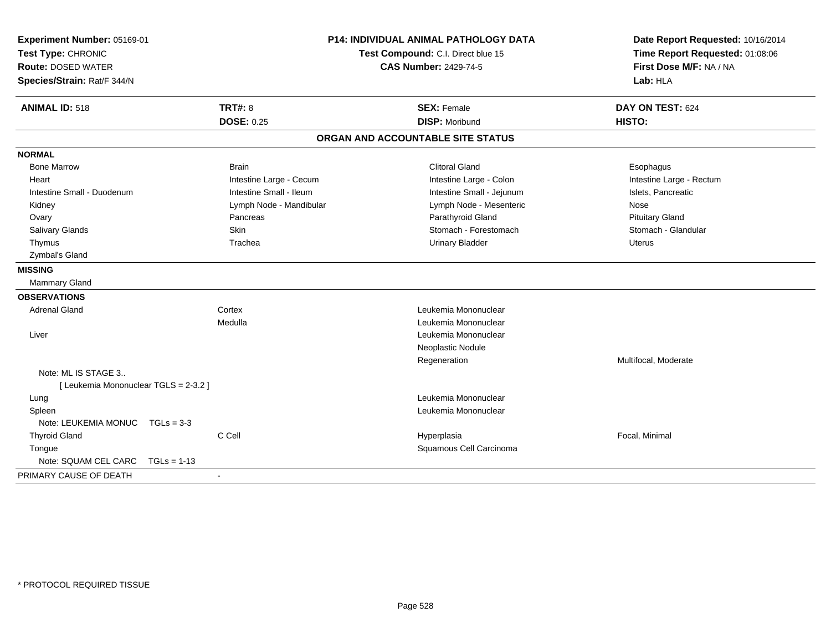| Experiment Number: 05169-01<br>Test Type: CHRONIC<br><b>Route: DOSED WATER</b><br>Species/Strain: Rat/F 344/N |                         | <b>P14: INDIVIDUAL ANIMAL PATHOLOGY DATA</b><br>Test Compound: C.I. Direct blue 15<br><b>CAS Number: 2429-74-5</b> | Date Report Requested: 10/16/2014<br>Time Report Requested: 01:08:06<br>First Dose M/F: NA / NA<br>Lab: HLA |
|---------------------------------------------------------------------------------------------------------------|-------------------------|--------------------------------------------------------------------------------------------------------------------|-------------------------------------------------------------------------------------------------------------|
| <b>ANIMAL ID: 518</b>                                                                                         | <b>TRT#: 8</b>          | <b>SEX: Female</b>                                                                                                 | DAY ON TEST: 624                                                                                            |
|                                                                                                               | <b>DOSE: 0.25</b>       | <b>DISP: Moribund</b>                                                                                              | HISTO:                                                                                                      |
|                                                                                                               |                         | ORGAN AND ACCOUNTABLE SITE STATUS                                                                                  |                                                                                                             |
| <b>NORMAL</b>                                                                                                 |                         |                                                                                                                    |                                                                                                             |
| <b>Bone Marrow</b>                                                                                            | <b>Brain</b>            | <b>Clitoral Gland</b>                                                                                              | Esophagus                                                                                                   |
| Heart                                                                                                         | Intestine Large - Cecum | Intestine Large - Colon                                                                                            | Intestine Large - Rectum                                                                                    |
| Intestine Small - Duodenum                                                                                    | Intestine Small - Ileum | Intestine Small - Jejunum                                                                                          | Islets, Pancreatic                                                                                          |
| Kidney                                                                                                        | Lymph Node - Mandibular | Lymph Node - Mesenteric                                                                                            | Nose                                                                                                        |
| Ovary                                                                                                         | Pancreas                | Parathyroid Gland                                                                                                  | <b>Pituitary Gland</b>                                                                                      |
| Salivary Glands                                                                                               | <b>Skin</b>             | Stomach - Forestomach                                                                                              | Stomach - Glandular                                                                                         |
| Thymus                                                                                                        | Trachea                 | <b>Urinary Bladder</b>                                                                                             | <b>Uterus</b>                                                                                               |
| Zymbal's Gland                                                                                                |                         |                                                                                                                    |                                                                                                             |
| <b>MISSING</b>                                                                                                |                         |                                                                                                                    |                                                                                                             |
| Mammary Gland                                                                                                 |                         |                                                                                                                    |                                                                                                             |
| <b>OBSERVATIONS</b>                                                                                           |                         |                                                                                                                    |                                                                                                             |
| <b>Adrenal Gland</b>                                                                                          | Cortex                  | Leukemia Mononuclear                                                                                               |                                                                                                             |
|                                                                                                               | Medulla                 | Leukemia Mononuclear                                                                                               |                                                                                                             |
| Liver                                                                                                         |                         | Leukemia Mononuclear                                                                                               |                                                                                                             |
|                                                                                                               |                         | Neoplastic Nodule                                                                                                  |                                                                                                             |
|                                                                                                               |                         | Regeneration                                                                                                       | Multifocal, Moderate                                                                                        |
| Note: ML IS STAGE 3                                                                                           |                         |                                                                                                                    |                                                                                                             |
| [ Leukemia Mononuclear TGLS = 2-3.2 ]                                                                         |                         |                                                                                                                    |                                                                                                             |
| Lung                                                                                                          |                         | Leukemia Mononuclear                                                                                               |                                                                                                             |
| Spleen                                                                                                        |                         | Leukemia Mononuclear                                                                                               |                                                                                                             |
| Note: LEUKEMIA MONUC TGLs = 3-3                                                                               |                         |                                                                                                                    |                                                                                                             |
| <b>Thyroid Gland</b>                                                                                          | C Cell                  | Hyperplasia                                                                                                        | Focal, Minimal                                                                                              |
| Tongue                                                                                                        |                         | Squamous Cell Carcinoma                                                                                            |                                                                                                             |
| Note: SQUAM CEL CARC                                                                                          | $TGLs = 1-13$           |                                                                                                                    |                                                                                                             |
| PRIMARY CAUSE OF DEATH                                                                                        |                         |                                                                                                                    |                                                                                                             |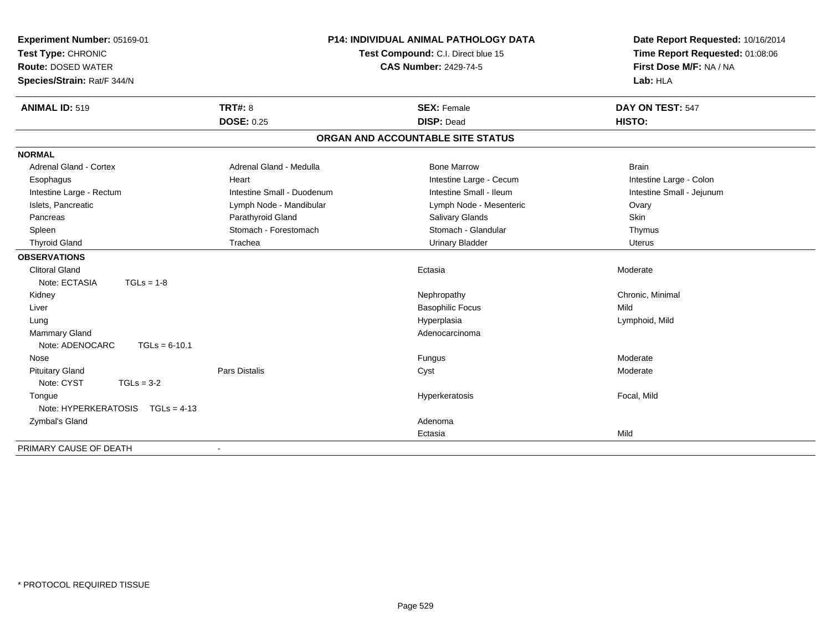| Experiment Number: 05169-01<br>Test Type: CHRONIC<br><b>Route: DOSED WATER</b><br>Species/Strain: Rat/F 344/N | <b>P14: INDIVIDUAL ANIMAL PATHOLOGY DATA</b><br>Test Compound: C.I. Direct blue 15<br><b>CAS Number: 2429-74-5</b> |                         | Date Report Requested: 10/16/2014<br>Time Report Requested: 01:08:06<br>First Dose M/F: NA / NA<br>Lab: HLA |  |  |
|---------------------------------------------------------------------------------------------------------------|--------------------------------------------------------------------------------------------------------------------|-------------------------|-------------------------------------------------------------------------------------------------------------|--|--|
| <b>ANIMAL ID: 519</b>                                                                                         | <b>TRT#: 8</b>                                                                                                     | <b>SEX: Female</b>      | DAY ON TEST: 547                                                                                            |  |  |
|                                                                                                               | <b>DOSE: 0.25</b>                                                                                                  | <b>DISP: Dead</b>       | HISTO:                                                                                                      |  |  |
| ORGAN AND ACCOUNTABLE SITE STATUS                                                                             |                                                                                                                    |                         |                                                                                                             |  |  |
| <b>NORMAL</b>                                                                                                 |                                                                                                                    |                         |                                                                                                             |  |  |
| <b>Adrenal Gland - Cortex</b>                                                                                 | Adrenal Gland - Medulla                                                                                            | <b>Bone Marrow</b>      | <b>Brain</b>                                                                                                |  |  |
| Esophagus                                                                                                     | Heart                                                                                                              | Intestine Large - Cecum | Intestine Large - Colon                                                                                     |  |  |
| Intestine Large - Rectum                                                                                      | Intestine Small - Duodenum                                                                                         | Intestine Small - Ileum | Intestine Small - Jejunum                                                                                   |  |  |
| Islets, Pancreatic                                                                                            | Lymph Node - Mandibular                                                                                            | Lymph Node - Mesenteric | Ovary                                                                                                       |  |  |
| Pancreas                                                                                                      | Parathyroid Gland                                                                                                  | Salivary Glands         | Skin                                                                                                        |  |  |
| Spleen                                                                                                        | Stomach - Forestomach                                                                                              | Stomach - Glandular     | Thymus                                                                                                      |  |  |
| <b>Thyroid Gland</b>                                                                                          | Trachea                                                                                                            | <b>Urinary Bladder</b>  | <b>Uterus</b>                                                                                               |  |  |
| <b>OBSERVATIONS</b>                                                                                           |                                                                                                                    |                         |                                                                                                             |  |  |
| <b>Clitoral Gland</b>                                                                                         |                                                                                                                    | Ectasia                 | Moderate                                                                                                    |  |  |
| Note: ECTASIA<br>$TGLs = 1-8$                                                                                 |                                                                                                                    |                         |                                                                                                             |  |  |
| Kidney                                                                                                        |                                                                                                                    | Nephropathy             | Chronic, Minimal                                                                                            |  |  |
| Liver                                                                                                         |                                                                                                                    | <b>Basophilic Focus</b> | Mild                                                                                                        |  |  |
| Lung                                                                                                          |                                                                                                                    | Hyperplasia             | Lymphoid, Mild                                                                                              |  |  |
| Mammary Gland                                                                                                 |                                                                                                                    | Adenocarcinoma          |                                                                                                             |  |  |
| Note: ADENOCARC<br>$TGLs = 6-10.1$                                                                            |                                                                                                                    |                         |                                                                                                             |  |  |
| Nose                                                                                                          |                                                                                                                    | Fungus                  | Moderate                                                                                                    |  |  |
| <b>Pituitary Gland</b>                                                                                        | Pars Distalis                                                                                                      | Cyst                    | Moderate                                                                                                    |  |  |
| Note: CYST<br>$TGLs = 3-2$                                                                                    |                                                                                                                    |                         |                                                                                                             |  |  |
| Tongue                                                                                                        |                                                                                                                    | Hyperkeratosis          | Focal, Mild                                                                                                 |  |  |
| Note: HYPERKERATOSIS TGLs = 4-13                                                                              |                                                                                                                    |                         |                                                                                                             |  |  |
| Zymbal's Gland                                                                                                |                                                                                                                    | Adenoma                 |                                                                                                             |  |  |
|                                                                                                               |                                                                                                                    | Ectasia                 | Mild                                                                                                        |  |  |
| PRIMARY CAUSE OF DEATH                                                                                        |                                                                                                                    |                         |                                                                                                             |  |  |